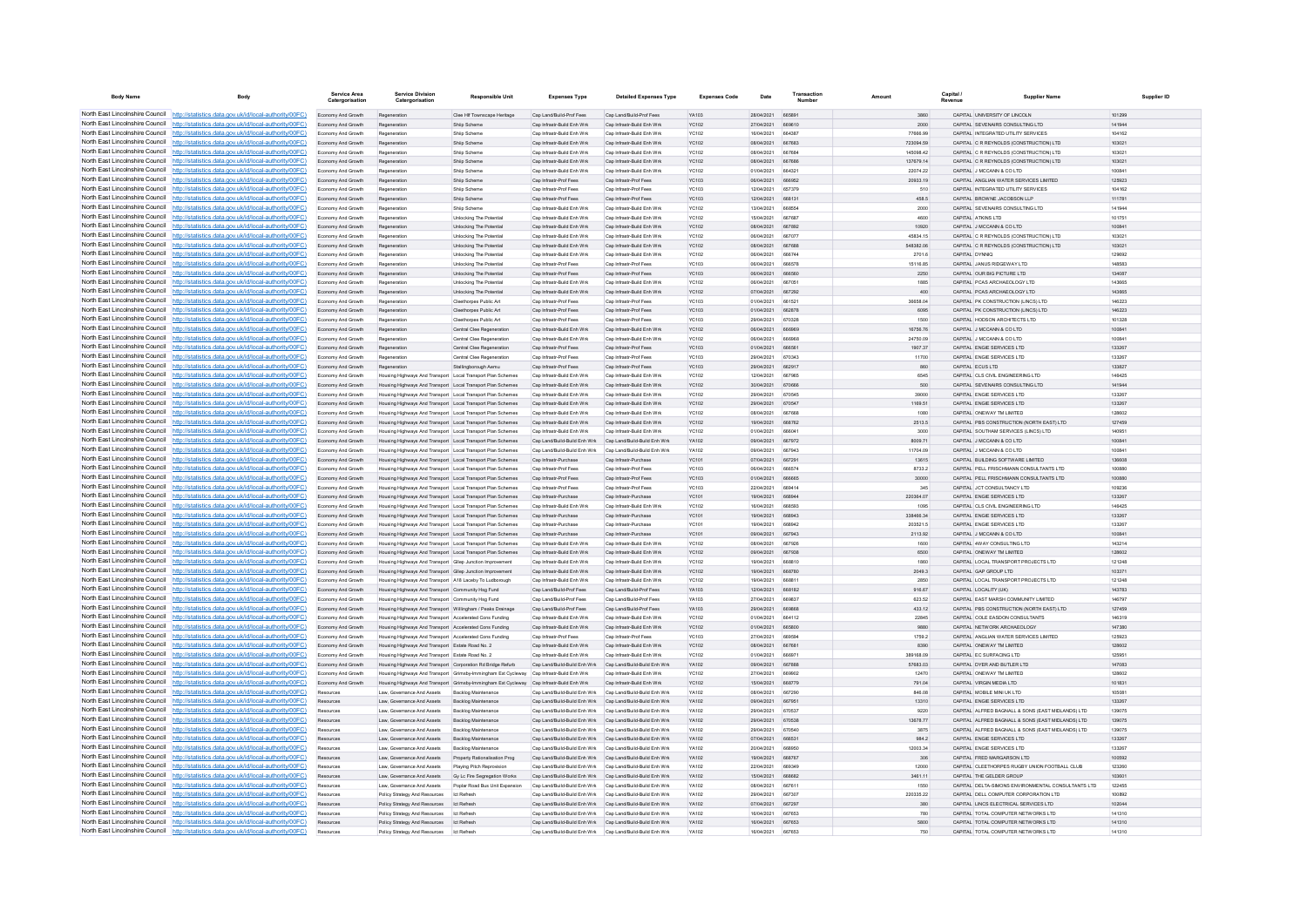| <b>Body Name</b>                                                   |                                                                                                                                                                                    | <b>Service Area</b>                      | <b>Service Division</b><br>Catergorisation                                                                           | <b>Responsible Unit</b>                                                                  | <b>Expenses Type</b>                                                                                                   | <b>Detailed Expenses Type</b>                            | <b>Expenses Code</b>  | Date                     | Transaction                    |                        | Capital /      | <b>Supplier Nam</b>                                                                | Supplier ID      |
|--------------------------------------------------------------------|------------------------------------------------------------------------------------------------------------------------------------------------------------------------------------|------------------------------------------|----------------------------------------------------------------------------------------------------------------------|------------------------------------------------------------------------------------------|------------------------------------------------------------------------------------------------------------------------|----------------------------------------------------------|-----------------------|--------------------------|--------------------------------|------------------------|----------------|------------------------------------------------------------------------------------|------------------|
|                                                                    | North East Lincolnshire Council http://statistics.data.gov.uk/id/local-authority/00FC)                                                                                             | Economy And Growth                       | Regeneration                                                                                                         | Clee HIf Townscape Heritage                                                              | Cap Land/Build-Prof Fees                                                                                               | Cap Land/Build-Prof Fees                                 | <b>YA103</b>          | 28/04/2021               | 665891                         | 3860                   |                | CAPITAL UNIVERSITY OF LINCOLN                                                      | 101299           |
|                                                                    | North East Lincolnshire Council http://statistics.data.gov.uk/id/local-authority/00FC)                                                                                             | Economy And Growth                       | Regeneration                                                                                                         | Shiip Scheme                                                                             | Cap Infrastr-Build Enh Wrk                                                                                             | Cap Infrastr-Build Enh Wrk                               | YC102                 | 27/04/2021               | 669610                         | 2000                   |                | CAPITAL SEVENAIRS CONSULTING LTD                                                   | 141944           |
|                                                                    | North East Lincolnshire Council http://statistics.data.gov.uk/id/local-authority/00FC)                                                                                             | Economy And Growth                       | Regeneration                                                                                                         | Shiip Scheme                                                                             | Cap Infrastr-Build Enh Wrk                                                                                             | Cap Infrastr-Build Enh Wrk                               | YC102                 | 16/04/2021               | <b>BR7RR3</b>                  | 77666.99               |                | CAPITAL INTEGRATED UTILITY SERVICES                                                | 104162           |
|                                                                    | North East Lincolnshire Council http://statistics.data.gov.uk/id/local-authority/00FC)<br>North East Lincolnshire Council   http://statistics.data.gov.uk/id/local-authority/00FC) | Economy And Growth<br>Fronomy And Growth | Regeneration<br>Regeneration                                                                                         | Shiip Schem<br>Shiin Scheme                                                              | Cap Infrastr-Build Enh Wrk<br>Can Infrastr-Build Enh Wrk                                                               | Cap Infrastr-Build Enh Wrk<br>Can Infrastr-Build Enh Wrk | <b>YC102</b><br>YC102 | 08/04/2021<br>08/04/2021 | 667684                         | 723094.59<br>145098.42 |                | CAPITAL C R REYNOLDS (CONSTRUCTION) LTD<br>CAPITAL C R REYNOLDS (CONSTRUCTION) LTD | 103021<br>103021 |
|                                                                    | North East Lincolnshire Council   http://statistics.data.gov.uk/id/local-authority/00FC)                                                                                           | Economy And Growth                       | Regeneration                                                                                                         | Shiip Scheme                                                                             | Cap Infrastr-Build Enh Wrk                                                                                             | Cap Infrastr-Build Enh Wrk                               | YC102                 | 08/04/2021               | 667686                         | 137679.14              |                | CAPITAL C R REYNOLDS (CONSTRUCTION) LTD                                            | 103021           |
|                                                                    | North East Lincolnshire Council http://statistics.data.gov.uk/id/local-authority/00FC)                                                                                             | Economy And Growth                       | Regeneration                                                                                                         | Shiip Scheme                                                                             | Cap Infrastr-Build Enh Wrk                                                                                             | Cap Infrastr-Build Enh Wrk                               | YC102                 | 01/04/2021               | 664321                         | 22074.22               |                | CAPITAL J MCCANN & CO LTD                                                          | 100841           |
|                                                                    | North East Lincolnshire Council   http://statistics.data.gov.uk/id/local-authority/00FC)                                                                                           | Economy And Growth                       | Regeneration                                                                                                         | Shiip Scheme                                                                             | Cap Infrastr-Prof Fees                                                                                                 | Cap Infrastr-Prof Fees                                   | <b>YC103</b>          | 08/04/2021               | <b>BRROS2</b>                  | 20933.19               |                | CAPITAL ANGLIAN WATER SERVICES LIMITED                                             | 125923           |
| North East Lincolnshire Council                                    | http://statistics.data.gov.uk/id/local-authority/00FC)                                                                                                                             | Fronomy And Growth                       | Regeneration                                                                                                         | Shiin Scheme                                                                             | Can Infrastr-Prof Fees                                                                                                 | Can Infrastr-Prof Fees                                   | YC103                 | 12/04/2021               | 657370                         | 510                    |                | CAPITAL INTEGRATED UTILITY SERVICES.                                               | 104162           |
| North East Lincolnshire Council<br>North East Lincolnshire Council | http://statistics.data.gov.uk/id/local-authority/00FC)                                                                                                                             | Economy And Growth                       | Regeneration                                                                                                         | Shiip Scheme                                                                             | Cap Infrastr-Prof Fees                                                                                                 | Cap Infrastr-Prof Fees                                   | YC103<br>YC102        | 12/04/2021<br>13/04/2021 | 668131<br>668554               | 458.5                  |                | CAPITAL BROWNE JACOBSON LLP                                                        | 111781           |
| North East Lincolnshire Council                                    | http://statistics.data.gov.uk/id/local-authority/00FC)<br>http://statistics.data.gov.uk/id/local-authority/00FC)                                                                   | Economy And Growth<br>Fronomy And Growth | Regeneration                                                                                                         | Shiip Scheme<br>Unlocking The Potentia                                                   | Cap Infrastr-Build Enh Wrk<br>Can Infrastr-Build Enh Wrk                                                               | Cap Infrastr-Build Enh Wr<br>Can Infrastr-Build Enh Wrk  | YC102                 | 15/04/2021               | 667687                         | 2000<br>4600           |                | CAPITAL SEVENAIRS CONSULTING LTD<br>CAPITAL ATKINS I TD                            | 141944<br>101751 |
|                                                                    | North East Lincolnshire Council http://statistics.data.gov.uk/id/local-authority/00FC)                                                                                             | Economy And Growth                       | Regeneration                                                                                                         | Unlocking The Potential                                                                  | Cap Infrastr-Build Enh Wrk                                                                                             | Cap Infrastr-Build Enh Wrk                               | YC102                 | 08/04/2021               | 667892                         | 10920                  |                | CAPITAL J MCCANN & CO LTD                                                          | 100841           |
|                                                                    | North East Lincolnshire Council http://statistics.data.gov.uk/id/local-authority/00FC)                                                                                             | Economy And Growth                       | Regeneration                                                                                                         | Unlocking The Potential                                                                  | Cap Infrastr-Build Enh Wrk                                                                                             | Cap Infrastr-Build Enh Wrk                               | YC102                 | 06/04/2021               | 66707                          | 45834.15               |                | CAPITAL C R REYNOLDS (CONSTRUCTION) LTD                                            | 103021           |
|                                                                    | North East Lincolnshire Council http://statistics.data.gov.uk/id/local-authority/00FC)                                                                                             | Economy And Growth                       | Regeneratio                                                                                                          | Unlocking The Potential                                                                  | Cap Infrastr-Build Enh Wrk                                                                                             | Cap Infrastr-Build Enh Wrk                               | YC102                 | 08/04/2021               | 667688                         | 548382.06              |                | CAPITAL C R REYNOLDS (CONSTRUCTION) LTD                                            | 103021           |
|                                                                    | North East Lincolnshire Council http://statistics.data.gov.uk/id/local-authority/00FC)                                                                                             | Economy And Growth                       | Regeneration                                                                                                         | <b>Unlocking The Potential</b>                                                           | Can Infrastr-Build Enh Wrk                                                                                             | Cap Infrastr-Build Enh Wrk                               | YC102                 | 06/04/2021               | 666744                         | 2701.6                 | CAPITAL DYNNIO |                                                                                    | 129692           |
| North East Lincolnshire Council                                    | http://statistics.data.gov.uk/id/local-authority/00FC)                                                                                                                             | Economy And Growth                       | Regeneration                                                                                                         | Unlocking The Potentia                                                                   | Cap Infrastr-Prof Fees                                                                                                 | Cap Infrastr-Prof Fees                                   | YC103                 | 06/04/2021               | <b>666578</b>                  | 15116.85               |                | CAPITAL JANUS RIDGEWAY LTD                                                         | 148583           |
| North East Lincolnshire Council                                    | http://statistics.data.gov.uk/id/local-authority/00FC)<br>North East Lincolnshire Council http://statistics.data.gov.uk/id/local-authority/00FC)                                   | Economy And Growth<br>Economy And Growth | Regeneration<br>Regeneration                                                                                         | Unlocking The Potential<br>Unlocking The Potentia                                        | Cap Infrastr-Prof Fees<br>Cap Infrastr-Build Enh Wrk                                                                   | Cap Infrastr-Prof Fees<br>Cap Infrastr-Build Enh Wrk     | <b>YC103</b><br>YC102 | 06/04/2021<br>08/04/2021 | <b>BR7051</b>                  | 2250<br>1885           |                | CAPITAL OUR BIG PICTURE LTD<br>CAPITAL PCAS ARCHAEOLOGY LTD                        | 134087<br>143665 |
|                                                                    | North East Lincolnshire Council http://statistics.data.gov.uk/id/local-authority/00FC)                                                                                             | Fronomy And Growth                       | Regeneration                                                                                                         | Unlocking The Potential                                                                  | Can Infrastr-Build Enh Wrk                                                                                             | Can Infrastr-Build Enh Wrk                               | YC102                 | 07/04/2021               | 667292                         | 400                    |                | CAPITAL PCAS ARCHAEOLOGY LTD                                                       | 143665           |
|                                                                    | North East Lincolnshire Council   http://statistics.data.gov.uk/id/local-authority/00FC)                                                                                           | Economy And Growth                       | Regeneration                                                                                                         | Cleethorpes Public Art                                                                   | Can Infrastr-Prof Fees                                                                                                 | Can Infrastr-Prof Fees                                   | <b>YC103</b>          | 01/04/2021               | 661521                         | 36658.04               |                | CAPITAL PK CONSTRUCTION (UNCS) LTD.                                                | 146223           |
|                                                                    | North East Lincolnshire Council http://statistics.data.gov.uk/id/local-authority/00FC)                                                                                             | Economy And Growth                       | Regeneration                                                                                                         | Cleethorpes Public Art                                                                   | Cap Infrastr-Prof Fees                                                                                                 | Cap Infrastr-Prof Fees                                   | YC103                 | 01/04/2021               | 662878                         | 6095                   |                | CAPITAL PK CONSTRUCTION (LINCS) LTD                                                | 146223           |
|                                                                    | North East Lincolnshire Council http://statistics.data.gov.uk/id/local-authority/00FC)                                                                                             | Economy And Growth                       | Regeneration                                                                                                         | Cleethorpes Public Art                                                                   | Cap Infrastr-Prof Fees                                                                                                 | Cap Infrastr-Prof Fees                                   | <b>YC103</b>          | 29/04/2021               | 670328                         | 1500                   |                | CAPITAL HODSON ARCHITECTS LTD                                                      | 101328           |
| North East Lincolnshire Council                                    | http://statistics.data.gov.uk/id/local-authority/00FC)                                                                                                                             | Economy And Growth                       | Regeneration                                                                                                         | Central Clee Regeneration                                                                | Cap Infrastr-Build Enh Wrk                                                                                             | Cap Infrastr-Build Enh Wrk                               | YC102                 | 06/04/2021               | 666969                         | 16756.76               |                | CAPITAL J MCCANN & CO LTD                                                          | 100841           |
| North East Lincolnshire Council<br>North East Lincolnshire Council | ttp://statistics.data.gov.uk/id/local-authority/00FC)                                                                                                                              | Economy And Growth                       | Regeneration                                                                                                         | Central Clee Regeneration                                                                | Cap Infrastr-Build Enh Wrk                                                                                             | Cap Infrastr-Build Enh Wrk                               | YC102                 | 06/04/2021               | <b>BRASS</b>                   | 24750.09               |                | CAPITAL J MCCANN & CO LTD                                                          | 100841           |
| North East Lincolnshire Council                                    | http://statistics.data.gov.uk/id/local-authority/00FC)<br>http://statistics.data.gov.uk/id/local-authority/00FC)                                                                   | Economy And Growth<br>Fronomy And Growth | Regeneration                                                                                                         | Central Clee Regeneration<br>Central Clee Regeneration                                   | Cap Infrastr-Prof Fees<br>Can Infrastr-Prof Fees                                                                       | Cap Infrastr-Prof Fees<br>Can Infrastr-Prof Fees         | YC103<br>YC103        | 01/04/2021<br>29/04/2021 | 670343                         | 1907.37<br>11700       |                | CAPITAL ENGIE SERVICES LTD<br>CAPITAL ENGIE SERVICES LTD                           | 133267<br>133267 |
| North East Lincolnshire Council                                    | http://statistics.data.gov.uk/id/local-authority/00FC)                                                                                                                             | Economy And Growth                       | Regeneration                                                                                                         | Stallingborough Aemu                                                                     | Cap Infrastr-Prof Fees                                                                                                 | Cap Infrastr-Prof Fees                                   | YC103                 | 29/04/2021               | 662917                         | 860                    |                | CAPITAL FCUS LTD                                                                   | 133827           |
|                                                                    | North East Lincolnshire Council http://statistics.data.gov.uk/id/local-authority/00FC)                                                                                             | Economy And Growth                       | Housing Highways And Transport Local Transport Plan Schemes                                                          |                                                                                          | Cap Infrastr-Build Enh Wrk                                                                                             | Cap Infrastr-Build Enh Wrk                               | YC102                 | 12/04/2021               | 667965                         | 6545                   |                | CAPITAL CLS CIVIL ENGINEERING LTD                                                  | 146425           |
|                                                                    | North East Lincolnshire Council http://statistics.data.gov.uk/id/local-authority/00FC)                                                                                             | Economy And Growth                       | Housing Highways And Transport Local Transport Plan Schemes                                                          |                                                                                          | Cap Infrastr-Build Enh Wrk                                                                                             | Cap Infrastr-Build Enh Wrk                               | <b>YC102</b>          | 30/04/2021               | 670666                         | 500                    |                | CAPITAL SEVENAIRS CONSULTING LTD                                                   | 141944           |
|                                                                    | North East Lincolnshire Council http://statistics.data.gov.uk/id/local-authority/00FC)                                                                                             | Fronomy And Growth                       | Housing Highways And Transport Local Transport Plan Schemes                                                          |                                                                                          | Can Infrastr-Build Enh Wrk                                                                                             | Can Infrastr-Build Enh Wrk                               | YC102                 | 29/04/2021               | 670545                         | 39000                  |                | CAPITAL ENGIE SERVICES LTD                                                         | 133267           |
| North East Lincolnshire Council                                    | http://statistics.data.gov.uk/id/local-authority/00FC)                                                                                                                             | Economy And Growth                       | Housing Highways And Transport Local Transport Plan Schemes                                                          |                                                                                          | Cap Infrastr-Build Enh Wrk                                                                                             | Cap Infrastr-Build Enh Wrk                               | YC102                 | 29/04/2021               | 670547                         | 1169.51                |                | CAPITAL ENGIE SERVICES LTD                                                         | 133267           |
| North East Lincolnshire Council                                    | http://statistics.data.gov.uk/id/local-authority/00FC)                                                                                                                             | Economy And Growth                       | Housing Highways And Transport Local Transport Plan Schemes                                                          |                                                                                          | Cap Infrastr-Build Enh Wri                                                                                             | Cap Infrastr-Build Enh Wr                                | YC102                 | 08/04/2021               | 667668                         | 1080                   |                | CAPITAL ONEWAY TM LIMITED                                                          | 128602           |
|                                                                    | North East Lincolnshire Council http://statistics.data.gov.uk/id/local-authority/00FC)<br>North East Lincolnshire Council http://statistics.data.gov.uk/id/local-authority/00FC)   | Economy And Growth                       | Housing Highways And Transport Local Transport Plan Schemes                                                          |                                                                                          | Cap Infrastr-Build Enh Wrk                                                                                             | Cap Infrastr-Build Enh Wrk<br>Cap Infrastr-Build Enh Wrk | YC102                 | 19/04/2021<br>01/04/2021 | 668762<br>666041               | 2513.5                 |                | CAPITAL PBS CONSTRUCTION (NORTH EAST) LTD                                          | 127459<br>140951 |
|                                                                    | North East Lincolnshire Council http://statistics.data.gov.uk/id/local-authority/00FC)                                                                                             | Economy And Growth<br>Economy And Growth | Housing Highways And Transport Local Transport Plan Schemes                                                          | Housing Highways And Transport Local Transport Plan Schemes                              | Cap Infrastr-Build Enh Wrk<br>Cap Land/Build-Build Enh Wrk                                                             | Cap Land/Build-Build Enh Wrk                             | YC102<br>YA102        | 09/04/2021               | 667972                         | 3000<br>8009.71        |                | CAPITAL SOUTHAM SERVICES (LINCS) LTD<br>CAPITAL J MCCANN & CO LTD                  | 100841           |
|                                                                    | North East Lincolnshire Council http://statistics.data.gov.uk/id/local-authority/00FC)                                                                                             | Economy And Growth                       | Housing Highways And Transport Local Transport Plan Schemes                                                          |                                                                                          | Cap Land/Build-Build Enh Wrk Cap Land/Build-Build Enh Wrk                                                              |                                                          | YA102                 | 09/04/2021               | 667943                         | 11704.09               |                | CAPITAL J MCCANN & CO LTD                                                          | 100841           |
|                                                                    | North East Lincolnshire Council http://statistics.data.gov.uk/id/local-authority/00FC)                                                                                             | Economy And Growth                       |                                                                                                                      | Housing Highways And Transport Local Transport Plan Schemes                              | Cap Infrastr-Purchase                                                                                                  | Cap Infrastr-Purchase                                    | YC101                 | 07/04/2021               | 667291                         | 13615                  |                | CAPITAL BUILDING SOFTWARE LIMITED                                                  | 136608           |
| North East Lincolnshire Council                                    | http://statistics.data.gov.uk/id/local-authority/00EC)                                                                                                                             | Economy And Growth                       | Housing Highways And Transport Local Transport Plan Schemes                                                          |                                                                                          | Cap Infrastr-Prof Fees                                                                                                 | Can Infrastr-Prof Fees                                   | YC103                 | 06/04/2021               | 666574                         | 8733.2                 |                | CAPITAL PELL FRISCHMANN CONSULTANTS LTD                                            | 100880           |
| North East Lincolnshire Council                                    | http://statistics.data.gov.uk/id/local-authority/00EC)                                                                                                                             | Economy And Growth                       | Housing Highways And Transport Local Transport Plan Schemes                                                          |                                                                                          | Cap Infrastr-Prof Fees                                                                                                 | Cap Infrastr-Prof Fees                                   | <b>YC103</b>          | 01/04/2021               | 666665                         | 30000                  |                | CAPITAL PELL FRISCHMANN CONSULTANTS LTD                                            | 100880           |
| North East Lincolnshire Council                                    | http://statistics.data.gov.uk/id/local-authority/00FC)                                                                                                                             | Economy And Growth                       | Housing Highways And Transport Local Transport Plan Schemes                                                          |                                                                                          | Cap Infrastr-Prof Fees                                                                                                 | Cap Infrastr-Prof Fees                                   | <b>YC103</b>          | 22/04/2021               |                                | 345                    |                | CAPITAL JCT CONSULTANCY LTD                                                        | 109236           |
|                                                                    | North East Lincolnshire Council http://statistics.data.gov.uk/id/local-authority/00FC)<br>North East Lincolnshire Council http://statistics.data.gov.uk/id/local-authority/00FC)   | Economy And Growth<br>Fronomy And Growth | Housing Highways And Transport   Local Transport Plan Schemes                                                        | sing Highways And Transport Local Transport Plan Schemes                                 | Cap Infrastr-Purchase<br>Can Infrastr-Build Enh Wrk                                                                    | Cap Infrastr-Purchase<br>Can Infrastr-Build Enh Wrk      | <b>YC101</b><br>YC102 | 19/04/2021<br>16/04/2021 | <b>BRBBAA</b><br><b>BRREQ3</b> | 220364.07<br>1095      |                | CAPITAL ENGIE SERVICES LTD<br>CAPITAL CLS CIVIL ENGINEERING LTD                    | 133267<br>146425 |
|                                                                    | North East Lincolnshire Council http://statistics.data.gov.uk/id/local-authority/00FC)                                                                                             | Economy And Growth                       |                                                                                                                      | Housing Highways And Transport Local Transport Plan Schemes                              | Cap Infrastr-Purchase                                                                                                  | Cap Infrastr-Purchase                                    | YC101                 | 19/04/2021               | 668943                         | 338466.34              |                | CAPITAL ENGIE SERVICES LTD.                                                        | 133267           |
|                                                                    | North East Lincolnshire Council http://statistics.data.gov.uk/id/local-authority/00FC)                                                                                             | Economy And Growth                       | Housing Highways And Transport Local Transport Plan Schemes                                                          |                                                                                          | Cap Infrastr-Purchase                                                                                                  | Cap Infrastr-Purchase                                    | YC101                 | 19/04/2021               | 668942                         | 203521.5               |                | CAPITAL ENGIE SERVICES LTD                                                         | 133267           |
|                                                                    | North East Lincolnshire Council http://statistics.data.gov.uk/id/local-authority/00FC)                                                                                             | Economy And Growth                       | Housing Highways And Transport Local Transport Plan Schemes                                                          |                                                                                          | Cap Infrastr-Purchase                                                                                                  | Cap Infrastr-Purchase                                    | YC101                 | 09/04/2021               | 667943                         | 2113.92                |                | CAPITAL J MCCANN & CO LTD                                                          | 100841           |
| North East Lincolnshire Council                                    | http://statistics.data.gov.uk/id/local-authority/00FC)                                                                                                                             | Economy And Growth                       | Housing Highways And Transport Local Transport Plan Schemes                                                          |                                                                                          | Cap Infrastr-Build Enh Wrk                                                                                             | Cap Infrastr-Build Enh Wrk                               | YC102                 | 08/04/2021               | 667926                         | 1600                   |                | CAPITAL 4WAY CONSULTING LTD                                                        | 143214           |
| North East Lincolnshire Council                                    | statistics.data.gov.uk/id/local-authority/00FC)                                                                                                                                    | Economy And Growth                       | Housing Highways And Transport Local Transport Plan Schemes                                                          |                                                                                          | Cap Infrastr-Build Enh Wrk                                                                                             | Cap Infrastr-Build Enh Wrk                               | <b>YC102</b>          | 09/04/2021               | 667938                         | 6500                   |                | CAPITAL ONEWAY TM LIMITED                                                          | 128602           |
|                                                                    | North East Lincolnshire Council   http://statistics.data.gov.uk/id/local-authority/00FC)<br>North East Lincolnshire Council http://statistics.data.gov.uk/id/local-authority/00FC) | Economy And Growth                       | Housing Highways And Transport Gilep Junction Improvement                                                            |                                                                                          | Cap Infrastr-Build Enh Wri<br>Cap Infrastr-Build Enh Wrk                                                               | Cap Infrastr-Build Enh Wrk<br>Cap Infrastr-Build Enh Wrk | YC102<br><b>YC102</b> | 19/04/2021<br>19/04/2021 | 668810<br>668780               | 1860<br>2049.3         |                | CAPITAL LOCAL TRANSPORT PROJECTS LTD<br>CAPITAL GAP GROUP LTD                      | 121248<br>103371 |
|                                                                    | North East Lincolnshire Council http://statistics.data.gov.uk/id/local-authority/00FC)                                                                                             | Economy And Growth<br>Economy And Growth | Housing Highways And Transport Gllep Junction Improvement<br>Housing Highways And Transport A18 Laceby To Ludborough |                                                                                          | Cap Infrastr-Build Enh Wrk                                                                                             | Cap Infrastr-Build Enh Wrk                               | YC102                 | 19/04/2021               | 668811                         | 2850                   |                | CAPITAL LOCAL TRANSPORT PROJECTS LTD                                               | 121248           |
|                                                                    | North East Lincolnshire Council http://statistics.data.gov.uk/id/local-authority/00FC)                                                                                             | Economy And Growth                       | Housing Highways And Transport Community Hsg Fund                                                                    |                                                                                          | Cap Land/Build-Prof Fees                                                                                               | Cap Land/Build-Prof Fees                                 | YA103                 | 12/04/2021               | 668182                         | 916.67                 |                | CAPITAL LOCALITY (UK)                                                              | 143783           |
|                                                                    | North East Lincolnshire Council http://statistics.data.gov.uk/id/local-authority/00FC)                                                                                             | Economy And Growth                       | Housing Highways And Transport Community Hsg Fund                                                                    |                                                                                          | Cap Land/Build-Prof Fees                                                                                               | Cap Land/Build-Prof Fees                                 | YA103                 | 27/04/2021               | 669837                         | 623.52                 |                | CAPITAL EAST MARSH COMMUNITY LIMITED                                               | 146797           |
| North East Lincolnshire Council                                    | http://statistics.data.gov.uk/id/local-authority/00EC)                                                                                                                             | Economy And Growth                       | Housing Highways And Transport Willingham / Peaks Drainage                                                           |                                                                                          | Cap Land/Build-Prof Fees                                                                                               | Cap Land/Build-Prof Fees                                 | <b>YA103</b>          | 29/04/2021               | <b>BRARRE</b>                  | 433 12                 |                | CAPITAL PBS CONSTRUCTION (NORTH EAST) LTD                                          | 127459           |
| North East Lincolnshire Council                                    | http://statistics.data.gov.uk/id/local-authority/00EC)                                                                                                                             | Economy And Growth                       | Housing Highways And Transport Accelerated Cons Funding                                                              |                                                                                          | Cap Infrastr-Build Enh Wrk                                                                                             | Cap Infrastr-Build Enh Wrk                               | YC102                 | 01/04/2021               | 664112                         | 22845                  |                | CAPITAL COLE EASDON CONSULTANTS                                                    | 146319           |
|                                                                    | North East Lincolnshire Council http://statistics.data.gov.uk/id/local-authority/00FC)<br>North East Lincolnshire Council http://statistics.data.gov.uk/id/local-authority/00FC)   | Economy And Growth                       | Housing Highways And Transport Accelerated Cons Funding                                                              |                                                                                          | Cap Infrastr-Build Enh Wrk<br>Can Infrastr-Prof Fees                                                                   | Cap Infrastr-Build Enh Wrk<br>Can Infrastr-Prof Fees     | YC102<br><b>VC103</b> | 01/04/2021<br>27/04/2021 | <b>RROSQ/</b>                  | 9880<br>1759.2         |                | CAPITAL NETWORK ARCHAEOLOGY<br>CARITAL ANGLIAN WATER SERVICES LIMITED              | 147380<br>125923 |
|                                                                    | North East Lincolnshire Council http://statistics.data.gov.uk/id/local-authority/00FC)                                                                                             | Economy And Growth<br>Economy And Growth | Housing Highways And Transport Accelerated Cons Funding<br>Housing Highways And Transport Estate Road No. 2          |                                                                                          | Cap Infrastr-Build Enh Wrk                                                                                             | Cap Infrastr-Build Enh Wrk                               | YC102                 | 08/04/2021               | <b>BR7681</b>                  | 8390                   |                | CAPITAL ONEWAY TM LIMITED                                                          | 128602           |
|                                                                    | North East Lincolnshire Council http://statistics.data.gov.uk/id/local-authority/00FC)                                                                                             | Economy And Growth                       | Housing Highways And Transport Estate Road No. 2                                                                     |                                                                                          | Cap Infrastr-Build Enh Wrk                                                                                             | Cap Infrastr-Build Enh Wrk                               | <b>YC102</b>          | 01/04/2021               | 66697                          | 389168.09              |                | CAPITAL EC SURFACING LTD                                                           | 125951           |
|                                                                    | North East Lincolnshire Council http://statistics.data.gov.uk/id/local-authority/00FC)                                                                                             | Economy And Growth                       | Housing Highways And Transport Corporation Rd Bridge Refurb                                                          |                                                                                          | Cap Land/Build-Build Enh Wrk Cap Land/Build-Build Enh Wrk                                                              |                                                          | YA102                 | 09/04/2021               | 667888                         | 57683.03               |                | CAPITAL DYER AND BUTLER LTD                                                        | 147083           |
| North East Lincolnshire Council                                    | http://statistics.data.gov.uk/id/local-authority/00FC)                                                                                                                             | Economy And Growth                       |                                                                                                                      | Housing Highways And Transport Grimsby-Immingham Ext Cycleway Cap Infrastr-Build Enh Wrk |                                                                                                                        | Cap Infrastr-Build Enh Wrk                               | YC102                 | 27/04/2021               | 669902                         | 12470                  |                | CAPITAL ONEWAY TM LIMITED                                                          | 128602           |
| North East Lincolnshire Council                                    | http://statistics.data.gov.uk/id/local-authority/00FC)                                                                                                                             | Economy And Growth                       |                                                                                                                      | Housing Highways And Transport Grimsby-Immingham Ext Cycleway Cap Infrastr-Build Enh Wrk |                                                                                                                        | Cap Infrastr-Build Enh Wrk                               | <b>YC102</b>          | 15/04/2021               | 668779                         | 791.04                 |                | CAPITAL VIRGIN MEDIA LTD                                                           | 101831           |
|                                                                    | North East Lincolnshire Council http://statistics.data.gov.uk/id/local-authority/00FC)                                                                                             | Resources                                | Law. Governance And Assets                                                                                           | Backlog Maintenance                                                                      | Cap Land/Build-Build Enh Wrk                                                                                           | Cap Land/Build-Build Enh Wrk                             | YA102                 | 08/04/2021               | 667290                         | 846.08                 |                | CAPITAL MOBILE MINI UK LTD                                                         | 105081           |
|                                                                    | North East Lincolnshire Council http://statistics.data.gov.uk/id/local-authority/00FC)<br>North East Lincolnshire Council http://statistics.data.gov.uk/id/local-authority/00FC)   | Resources<br>Resources                   | Law, Governance And Assets<br>Law, Governance And Assets                                                             | <b>Backlog Maintenance</b><br><b>Backlog Maintenance</b>                                 | Cap Land/Build-Build Enh Wrk<br>Can Land/Ruild-Ruild Enh Wrk Can Land/Ruild-Ruild Enh Wrk                              | Cap Land/Build-Build Enh Wrk                             | YA102<br><b>YA102</b> | 09/04/2021<br>29/04/2021 | 667951<br>670537               | 13310<br>9220          |                | CAPITAL ENGIE SERVICES LTD<br>CAPITAL ALERED BAGNALL & SONS (FAST MIDLANDS) LTD    | 133267<br>139075 |
|                                                                    | North East Lincolnshire Council http://statistics.data.gov.uk/id/local-authority/00FC)                                                                                             | Resources                                | Law. Governance And Assets Backlog Maintenance                                                                       |                                                                                          | Cap Land/Build-Build Enh Wrk Cap Land/Build-Build Enh Wrk                                                              |                                                          | <b>YA102</b>          | 29/04/2021               | 670538                         | 13678.77               |                | CAPITAL ALFRED BAGNALL & SONS (EAST MIDLANDS) LTD                                  | 139075           |
|                                                                    | North East Lincolnshire Council http://statistics.data.gov.uk/id/local-authority/00FC)                                                                                             | Resources                                | Law. Governance And Assets                                                                                           | Backlog Maintenance                                                                      | Cap Land/Build-Build Enh Wrk Cap Land/Build-Build Enh Wrk                                                              |                                                          | YA102                 | 29/04/2021               | 670540                         | 3875                   |                | CAPITAL ALFRED BAGNALL & SONS (EAST MIDLANDS) LTD                                  | 139075           |
|                                                                    | North East Lincolnshire Council http://statistics.data.gov.uk/id/local-authority/00FC)                                                                                             | Resources                                | Law, Governance And Assets                                                                                           | <b>Backlog Maintenance</b>                                                               | Cap Land/Build-Build Enh Wrk Cap Land/Build-Build Enh Wrk                                                              |                                                          | YA102                 | 07/04/2021               | 666531                         | 984.2                  |                | CAPITAL ENGIE SERVICES LTD                                                         | 133267           |
| North East Lincolnshire Council                                    | http://statistics.data.gov.uk/id/local-authority/00EC).                                                                                                                            | Resources                                | Law, Governance And Assets                                                                                           | <b>Backlog Maintenance</b>                                                               | Can Land/Ruild-Ruild Fnh Wrk Can Land/Ruild-Ruild Fnh Wrk                                                              |                                                          | <b>YA102</b>          | 20/04/2021               | 668950                         | 12003-34               |                | CAPITAL ENGIE SERVICES LTD                                                         | 133267           |
| North East Lincolnshire Council                                    | http://statistics.data.gov.uk/id/local-authority/00FC)                                                                                                                             | Resources                                | Law, Governance And Assets                                                                                           | Property Rationalisation Prog                                                            | Cap Land/Build-Build Enh Wrk Cap Land/Build-Build Enh Wrk                                                              |                                                          | YA102                 | 19/04/2021               | 668767                         | 306                    |                | CAPITAL FRED MARGARSON LTD                                                         | 100592           |
|                                                                    | North East Lincolnshire Council http://statistics.data.gov.uk/id/local-authority/00FC)<br>North East Lincolnshire Council http://statistics.data.gov.uk/id/local-authority/00FC)   | Resources                                | Law, Governance And Assets                                                                                           | Playing Pitch Reprovision                                                                | Cap Land/Build-Build Enh Wrk                                                                                           | Cap Land/Build-Build Enh Wrk                             | YA102                 | 22/04/2021               | 669349                         | 12000                  |                | CAPITAL CLEETHORPES RUGBY UNION FOOTBALL CLUB                                      | 123260           |
|                                                                    | North East Lincolnshire Council http://statistics.data.gov.uk/id/local-authority/00FC)                                                                                             | Resources<br>Resources                   | Law, Governance And Assets<br>Law. Governance And Assets                                                             | Gy Lc Fire Segregation Works<br>Poplar Road Bus Unit Expansion                           | Cap Land/Build-Build Enh Wrk Cap Land/Build-Build Enh Wrk<br>Cap Land/Build-Build Enh Wrk Cap Land/Build-Build Enh Wrk |                                                          | YA102<br>YA102        | 15/04/2021<br>08/04/2021 | 668682<br>667611               | 3461.11<br>1550        |                | CAPITAL THE GELDER GROUP<br>CAPITAL DELTA-SIMONS ENVIRONMENTAL CONSULTANTS LTD     | 103601<br>122455 |
|                                                                    | North East Lincolnshire Council http://statistics.data.gov.uk/id/local-authority/00FC)                                                                                             | Resources                                | Policy Strategy And Resources                                                                                        | Ict Refresh                                                                              | Cap Land/Build-Build Enh Wrk Cap Land/Build-Build Enh Wrk                                                              |                                                          | YA102                 | 29/04/2021               | 667307                         | 220335.22              |                | CAPITAL DELL COMPUTER CORPORATION LTD                                              | 100892           |
|                                                                    | North East Lincolnshire Council http://statistics.data.gov.uk/id/local-authority/00FC)                                                                                             | Resources                                | Policy Strategy And Resources Ict Refresh                                                                            |                                                                                          | Cap Land/Build-Build Enh Wrk Cap Land/Build-Build Enh Wrk                                                              |                                                          | YA102                 | 07/04/2021               | 667297                         | 380                    |                | CAPITAL LINCS ELECTRICAL SERVICES LTD                                              | 102044           |
|                                                                    | North East Lincolnshire Council http://statistics.data.gov.uk/id/local-authority/00FC)                                                                                             | Resources                                | Policy Strategy And Resources   Ict Refresh                                                                          |                                                                                          | Cap Land/Build-Build Enh Wrk Cap Land/Build-Build Enh Wrk                                                              |                                                          | <b>YA102</b>          | 16/04/2021               | 667653                         | 780                    |                | CAPITAL TOTAL COMPUTER NETWORKS LTD.                                               | 141310           |
|                                                                    | North East Lincolnshire Council http://statistics.data.gov.uk/id/local-authority/00FC)                                                                                             | Resources                                | Policy Strategy And Resources Ict Refresh                                                                            |                                                                                          | Cap Land/Build-Build Enh Wrk Cap Land/Build-Build Enh Wrk                                                              |                                                          | YA102                 | 16/04/2021               | 667653                         | 5800                   |                | CAPITAL TOTAL COMPUTER NETWORKS LTD                                                | 141310           |
|                                                                    | North East Lincolnshire Council http://statistics.data.gov.uk/id/local-authority/00FC)                                                                                             | Resources                                | Policy Strategy And Resources                                                                                        |                                                                                          | Cap Land/Build-Build Enh Wrk                                                                                           | Cap Land/Build-Build Enh Wrk                             |                       | 16/04/2021               | 667652                         | 750                    |                | CAPITAL TOTAL COMPUTER NETWORKS LTD                                                | 141310           |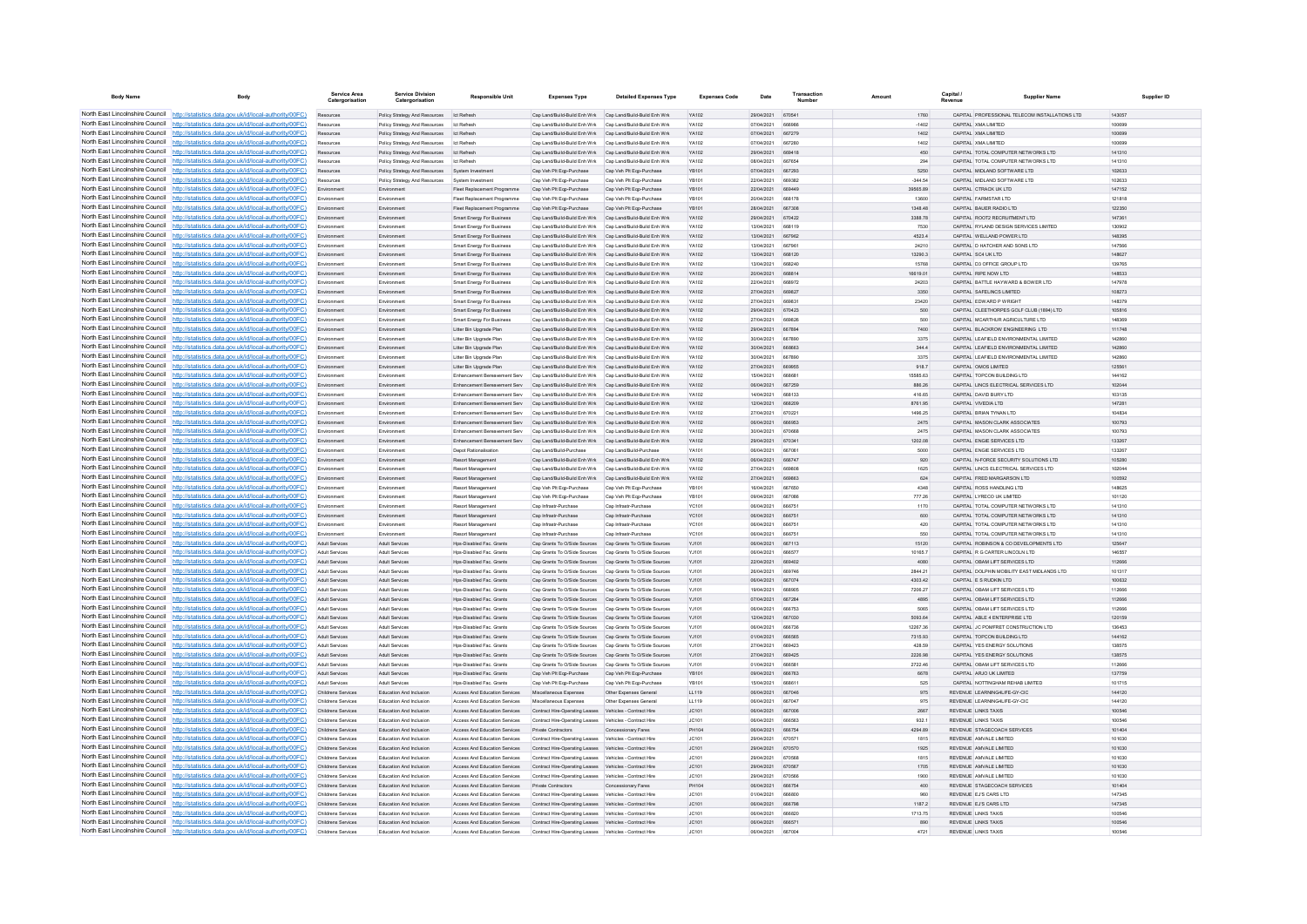| <b>Body Name</b>                |                                                                                                                                                                                    | Service Area<br>Catergorisation               | <b>Service Division</b><br>Catergorisation                                                         | <b>Responsible Unit</b>                                                                | <b>Expenses Type</b>                                                                                                   | <b>Detailed Expenses Type</b> | <b>Expenses Code</b>  | Date                     | Transactio              |                     | Capital /<br>Revenue | Supplier Name                                                                 | Supplier ID      |
|---------------------------------|------------------------------------------------------------------------------------------------------------------------------------------------------------------------------------|-----------------------------------------------|----------------------------------------------------------------------------------------------------|----------------------------------------------------------------------------------------|------------------------------------------------------------------------------------------------------------------------|-------------------------------|-----------------------|--------------------------|-------------------------|---------------------|----------------------|-------------------------------------------------------------------------------|------------------|
|                                 | North East Lincolnshire Council http://statistics.data.gov.uk/id/local-authority/00FC)                                                                                             | Resources                                     | Policy Strategy And Resources Ict Refresh                                                          |                                                                                        | Cap Land/Build-Build Enh Wrk Cap Land/Build-Build Enh Wrk                                                              |                               | YA102                 | 29/04/2021               | 670541                  | 1760                |                      | CAPITAL PROFESSIONAL TELECOM INSTALLATIONS LTD                                | 143057           |
|                                 | North East Lincolnshire Council http://statistics.data.gov.uk/id/local-authority/00FC)                                                                                             |                                               | Policy Strategy And Resources   Ict Refresh                                                        |                                                                                        | Cap Land/Build-Build Enh Wrk Cap Land/Build-Build Enh Wrk                                                              |                               | YA102                 | 07/04/2021               | <b>BRADBE</b>           | $-1402$             |                      | CAPITAL XMA LIMITED                                                           | 100699           |
|                                 | North East Lincolnshire Council   http://statistics.data.gov.uk/id/local-authority/00FC)                                                                                           | Resources                                     | Policy Strategy And Resources Ict Refresh                                                          |                                                                                        | Cap Land/Build-Build Enh Wrk Cap Land/Build-Build Enh Wrk                                                              |                               | <b>YA102</b>          | 07/04/2021               | 667279                  | 1402                |                      | CAPITAL XMA LIMITED                                                           | 100699           |
|                                 | North East Lincolnshire Council http://statistics.data.gov.uk/id/local-authority/00FC)                                                                                             | Resources                                     | Policy Strategy And Resources   Ict Refresh                                                        |                                                                                        | Cap Land/Build-Build Enh Wrk Cap Land/Build-Build Enh Wrk                                                              |                               | <b>YA102</b>          | 07/04/2021               | 667280                  | 1402                |                      | CAPITAL XMA LIMITED                                                           | 100699           |
|                                 | North East Lincolnshire Council http://statistics.data.gov.uk/id/local-authority/00FC)                                                                                             | Resources                                     | Policy Strategy And Resources Ict Refresh                                                          |                                                                                        | Cap Land/Build-Build Enh Wrk Cap Land/Build-Build Enh Wrk                                                              |                               | YA102                 | 29/04/2021               | 669418                  | 450                 |                      | CAPITAL TOTAL COMPUTER NETWORKS LTD                                           | 141310           |
|                                 | North East Lincolnshire Council http://statistics.data.gov.uk/id/local-authority/00FC)<br>North East Lincolnshire Council http://statistics.data.gov.uk/id/local-authority/00FC)   | Resources<br>Resources                        | Policy Strategy And Resources Ict Refresh                                                          |                                                                                        | Cap Land/Build-Build Enh Wrk Cap Land/Build-Build Enh Wrk<br>Cap Veh Plt Egp-Purchase                                  | Cap Veh PIt Ego-Purchase      | YA102<br><b>YR101</b> | 08/04/2021<br>07/04/2021 | 667654<br>667293        | 294<br>5250         |                      | CAPITAL TOTAL COMPUTER NETWORKS LTD<br>CAPITAL MIDLAND SOFTWARE LTD.          | 141310<br>102633 |
| North East Lincolnshire Council | http://statistics.data.gov.uk/id/local-authority/00FC)                                                                                                                             | Resources                                     | Policy Strategy And Resources System Investment<br>Policy Strategy And Resources System Investment |                                                                                        | Cap Veh Pit Egp-Purchase                                                                                               | Cap Veh Plt Ego-Purchase      | <b>YR101</b>          | 22/04/2021               | 669382                  | -344.54             |                      | CAPITAL MIDLAND SOFTWARE LTD                                                  | 102633           |
| North East Lincolnshire Council | http://statistics.data.gov.uk/id/local-authority/00FC)                                                                                                                             | Environment                                   |                                                                                                    | Fleet Replacement Programme                                                            | Cap Veh Plt Ego-Purchase                                                                                               | Cap Veh Plt Egp-Purchase      | YB101                 | 22/04/2021               |                         | 39565.89            |                      | CAPITAL CTRACK UK LTD                                                         | 147152           |
|                                 | North East Lincolnshire Council   http://statistics.data.gov.uk/id/local-authority/00FC)                                                                                           | Fry                                           | Environment                                                                                        | Fleet Replacement Programme                                                            | Cap Veh PIt Ego-Purchase                                                                                               | Can Veh Pit Fon-Purchas       | <b>VR101</b>          | 20/04/2021               | <b>668178</b>           | 13600               |                      | CARITAL CARMSTAR ITO                                                          | 121818           |
|                                 | North East Lincolnshire Council   http://statistics.data.gov.uk/id/local-authority/00FC)                                                                                           | Environment                                   | Environment                                                                                        | Fleet Renlacement Programme                                                            | Can Veh Plt Fon-Purchase                                                                                               | Can Veh Pit Fon-Purchase      | <b>VR101</b>          | 28/04/2021               | <b>667308</b>           | 1348 48             |                      | CAPITAL BAUER RADIO LTD                                                       | 122350           |
|                                 | North East Lincolnshire Council http://statistics.data.gov.uk/id/local-authority/00FC)                                                                                             | Environment                                   | Environment                                                                                        | Smart Energy For Business                                                              | Cap Land/Build-Build Enh Wrk Cap Land/Build-Build Enh Wrk                                                              |                               | YA102                 | 29/04/2021               | 670422                  | 3388.78             |                      | CAPITAL ROOT2 RECRUITMENT LTD                                                 | 147361           |
|                                 | North East Lincolnshire Council http://statistics.data.gov.uk/id/local-authority/00FC)                                                                                             |                                               | Environmen                                                                                         | Smart Energy For Business                                                              | Cap Land/Build-Build Enh Wrk Cap Land/Build-Build Enh Wrk                                                              |                               | YA102                 | 13/04/2021               | 668119                  | 7530                |                      | CAPITAL RYLAND DESIGN SERVICES LIMITED                                        | 130902           |
|                                 | North East Lincolnshire Council   http://statistics.data.gov.uk/id/local-authority/00FC)<br>North East Lincolnshire Council http://statistics.data.gov.uk/id/local-authority/00FC) | Environment                                   | Environment                                                                                        | Smart Energy For Business                                                              | Cap Land/Build-Build Enh Wrk Cap Land/Build-Build Enh Wrk                                                              |                               | YA102<br><b>YA102</b> | 13/04/2021               | 667962<br>667961        | 4523.4              |                      | CAPITAL WELLAND POWER LTD<br>CAPITAL D HATCHER AND SONS LTD                   | 148395<br>147566 |
|                                 | North East Lincolnshire Council http://statistics.data.gov.uk/id/local-authority/00FC)                                                                                             | Environment<br>Environment                    | Environment<br>Environment                                                                         | Smart Energy For Business<br>Smart Energy For Business                                 | Cap Land/Build-Build Enh Wrk Cap Land/Build-Build Enh Wrk<br>Cap Land/Build-Build Enh Wrk Cap Land/Build-Build Enh Wrk |                               | YA102                 | 13/04/2021<br>13/04/2021 | 668120                  | 24210<br>13290.3    |                      | CAPITAL SC4 UK LTD                                                            | 148627           |
|                                 | North East Lincolnshire Council http://statistics.data.gov.uk/id/local-authority/00FC)                                                                                             | Environmen                                    | Environmen                                                                                         | Smart Energy For Business                                                              | Cap Land/Build-Build Enh Wrk Cap Land/Build-Build Enh Wrk                                                              |                               | YA102                 | 13/04/2021               | <b>BRR2AD</b>           | 15768               |                      | CAPITAL D3 OFFICE GROUP LTD                                                   | 139765           |
|                                 | North East Lincolnshire Council   http://statistics.data.gov.uk/id/local-authority/00FC)                                                                                           | Environment                                   | Environment                                                                                        | Smart Energy For Business                                                              | Can Land/Ruild-Ruild Fnh Wrk Can Land/Ruild-Ruild Fnh Wrk                                                              |                               | <b>YA102</b>          | 20/04/2021               | 668814                  | 16619.01            |                      | CAPITAL RIPE NOW LTD.                                                         | 148533           |
|                                 | North East Lincolnshire Council http://statistics.data.gov.uk/id/local-authority/00FC)                                                                                             | Environment                                   | Environment                                                                                        | Smart Energy For Business                                                              | Cap Land/Build-Build Enh Wrk Cap Land/Build-Build Enh Wrk                                                              |                               | <b>YA102</b>          | 22/04/2021               | 668972                  | 24203               |                      | CAPITAL BATTLE HAYWARD & BOWER LTD                                            | 147978           |
|                                 | North East Lincolnshire Council http://statistics.data.gov.uk/id/local-authority/00FC)                                                                                             | Environment                                   | Environment                                                                                        | Smart Energy For Business                                                              | Cap Land/Build-Build Enh Wrk Cap Land/Build-Build Enh Wrk                                                              |                               | YA102                 | 27/04/2021               | 669827                  | 3350                |                      | CAPITAL SAFELINCS LIMITED                                                     | 108273           |
|                                 | North East Lincolnshire Council   http://statistics.data.gov.uk/id/local-authority/00FC)                                                                                           | Environment                                   | Environment                                                                                        | Smart Energy For Business                                                              | Cap Land/Build-Build Enh Wrk Cap Land/Build-Build Enh Wrk                                                              |                               | <b>YA102</b>          | 27/04/2021               | <b>BROB31</b>           | 23420               |                      | CAPITAL EDWARD P WRIGHT                                                       | 148370           |
| North East Lincolnshire Council | North East Lincolnshire Council http://statistics.data.gov.uk/id/local-authority/00FC)                                                                                             | Environment                                   | Environment                                                                                        | Smart Energy For Business                                                              | Can Land/Ruild-Ruild Fnh Wrk Can Land/Ruild-Ruild Fnh Wrk<br>Can Land/Ruild-Ruild Feb Wrk Can Land/Ruild-Ruild Feb Wrk |                               | <b>YA102</b>          | 29/04/2021<br>27/04/2021 | 670423<br>669826        | 500<br>500          |                      | CAPITAL CLEETHORPES GOLF CLUB (1894) LTD.<br>CAPITAL MCARTHUR AGRICULTURE LTD | 105816<br>148369 |
| North East Lincolnshire Council | http://statistics.data.gov.uk/id/local-authority/00FC)<br>http://statistics.data.gov.uk/id/local-authority/00FC)                                                                   | Environment<br>Environment                    | Environment<br>Environmen                                                                          | Smart Energy For Business<br>Litter Bin Upgrade Plan                                   | Cap Land/Build-Build Enh Wrk Cap Land/Build-Build Enh Wrk                                                              |                               | <b>YA102</b><br>YA102 | 29/04/2021               | 667894                  | 7400                |                      | CAPITAL BLACKROW ENGINEERING LTD                                              | 111748           |
|                                 | North East Lincolnshire Council http://statistics.data.gov.uk/id/local-authority/00FC)                                                                                             | Environment                                   | Environment                                                                                        | Litter Bin Upgrade Plan                                                                | Cap Land/Build-Build Enh Wrk Cap Land/Build-Build Enh Wrk                                                              |                               | <b>YA102</b>          | 30/04/2021               | 667890                  | 3375                |                      | CAPITAL LEAFIFLD ENVIRONMENTAL LIMITED                                        | 142860           |
|                                 | North East Lincolnshire Council http://statistics.data.gov.uk/id/local-authority/00FC)                                                                                             | Environment                                   | Environment                                                                                        | Litter Bin Upgrade Plan                                                                | Cap Land/Build-Build Enh Wrk Cap Land/Build-Build Enh Wrk                                                              |                               | <b>YA102</b>          | 30/04/2021               | 668663                  | 344.4               |                      | CAPITAL LEAFIELD ENVIRONMENTAL LIMITED                                        | 142860           |
|                                 | North East Lincolnshire Council http://statistics.data.gov.uk/id/local-authority/00FC)                                                                                             | Environment                                   | Environment                                                                                        | Litter Bin Upgrade Plan                                                                | Cap Land/Build-Build Enh Wrk Cap Land/Build-Build Enh Wrk                                                              |                               | YA102                 | 30/04/2021               | 667890                  | 3375                |                      | CAPITAL LEAFIELD ENVIRONMENTAL LIMITED                                        | 142860           |
|                                 | North East Lincolnshire Council http://statistics.data.gov.uk/id/local-authority/00FC)                                                                                             | Environment                                   | Environmen                                                                                         | Litter Bin Upgrade Plan                                                                | Cap Land/Build-Build Enh Wrk Cap Land/Build-Build Enh Wrk                                                              |                               | YA102                 | 27/04/2021               | 669955                  | 918.7               |                      | CAPITAL OMOS LIMITED                                                          | 125561           |
|                                 | North East Lincolnshire Council http://statistics.data.gov.uk/id/local-authority/00FC)                                                                                             | Environment                                   | Environment                                                                                        | Enhancement Rereavement Serv                                                           | Can Land/Ruild-Ruild Fnh Wrk Can Land/Ruild-Ruild Fnh Wrk                                                              |                               | <b>YA102</b>          | 15/04/2021               | 668681                  | 15585.63            |                      | CAPITAL TOPCON BUILDING LTD.                                                  | 144162           |
|                                 | North East Lincolnshire Council http://statistics.data.gov.uk/id/local-authority/00FC)                                                                                             | Environment                                   | Environment                                                                                        | Enhancement Bereavement Serv                                                           | Cap Land/Build-Build Enh Wrk Cap Land/Build-Build Enh Wrk                                                              |                               | <b>YA102</b>          | 06/04/2021               | 667259                  | 886.26              |                      | CAPITAL LINCS ELECTRICAL SERVICES LTD                                         | 102044           |
|                                 | North East Lincolnshire Council http://statistics.data.gov.uk/id/local-authority/00FC)<br>North East Lincolnshire Council http://statistics.data.gov.uk/id/local-authority/00FC)   | Environment                                   | Environmen<br>Environmen                                                                           | Enhancement Bereavement Serv<br>Enhancement Rereavement Serv                           | Cap Land/Build-Build Enh Wrk<br>Cap Land/Build-Build Enh Wrk Cap Land/Build-Build Enh Wrk                              | Cap Land/Build-Build Enh Wrk  | YA102<br>YA102        | 14/04/2021<br>12/04/2021 | 668209                  | 416.65<br>8761.95   |                      | CAPITAL DAVID BURY LTD<br>CAPITAL VIVEDIA LTD                                 | 103135<br>147281 |
|                                 | North East Lincolnshire Council http://statistics.data.gov.uk/id/local-authority/00FC)                                                                                             | Environment                                   | Environment                                                                                        | Enhancement Rereavement Serv                                                           | Can Land/Ruild-Ruild Fnh Wrk Can Land/Ruild-Ruild Fnh Wrk                                                              |                               | <b>YA102</b>          | 27/04/2021               | 670221                  | 1496.25             |                      | CAPITAL RRIAN TYNAN I TD                                                      | 104834           |
|                                 | North East Lincolnshire Council http://statistics.data.gov.uk/id/local-authority/00FC)                                                                                             | Environment                                   | Environment                                                                                        | Enhancement Rereavement Serv Can Land/Ruild-Ruild Fob Wrk Can Land/Ruild-Ruild Fob Wrk |                                                                                                                        |                               | <b>YA102</b>          | 06/04/2021               | <b>BRROS3</b>           | 2475                |                      | CAPITAL MASON CLARK ASSOCIATES                                                | 100793           |
|                                 | North East Lincolnshire Council http://statistics.data.gov.uk/id/local-authority/00FC)                                                                                             | Environment                                   | Environment                                                                                        | Enhancement Bereavement Serv Cap Land/Build-Build Enh Wrk Cap Land/Build-Build Enh Wrk |                                                                                                                        |                               | YA102                 | 30/04/2021               | 670668                  | 2475                |                      | CAPITAL MASON CLARK ASSOCIATES                                                | 100793           |
|                                 | North East Lincolnshire Council http://statistics.data.gov.uk/id/local-authority/00FC)                                                                                             | Environment                                   | Environment                                                                                        | Enhancement Bereavement Serv Cap Land/Build-Build Enh Wrk Cap Land/Build-Build Enh Wrk |                                                                                                                        |                               | YA102                 | 29/04/2021               | 670341                  | 1202.08             |                      | CAPITAL ENGIE SERVICES LTD                                                    | 133267           |
|                                 | North East Lincolnshire Council http://statistics.data.gov.uk/id/local-authority/00FC)                                                                                             | Environment                                   | Environment                                                                                        | <b>Denot Rationalisation</b>                                                           | Cap Land/Build-Purchase                                                                                                | Cap Land/Build-Purchase       | <b>YA101</b>          | 06/04/2021               | 667061                  | 5000                |                      | CAPITAL ENGIE SERVICES LTD.                                                   | 133267           |
| North East Lincolnshire Council | http://statistics.data.gov.uk/id/local-authority/00FC)                                                                                                                             | Environment                                   | Environment                                                                                        | Resort Management                                                                      | Cap Land/Build-Build Enh Wrk Cap Land/Build-Build Enh Wrk                                                              |                               | YA102                 | 06/04/2021               | 666747                  | 920                 |                      | CAPITAL N-FORCE SECURITY SOLUTIONS LTD                                        | 105280           |
| North East Lincolnshire Council | http://statistics.data.gov.uk/id/local-authority/00FC)<br>North East Lincolnshire Council http://statistics.data.gov.uk/id/local-authority/00FC)                                   | Environment                                   | Environmen                                                                                         | Resort Managemen                                                                       | Cap Land/Build-Build Enh Wrk Cap Land/Build-Build Enh Wrk                                                              |                               | YA102                 | 27/04/2021               |                         | 1625                |                      | CAPITAL LINCS ELECTRICAL SERVICES LTD                                         | 102044           |
|                                 | North East Lincolnshire Council http://statistics.data.gov.uk/id/local-authority/00FC)                                                                                             | Environment                                   | Environmen<br>Environment                                                                          | Resort Managemen<br>Resort Management                                                  | Cap Land/Build-Build Enh Wrk Cap Land/Build-Build Enh Wrk<br>Cap Veh Pit Egp-Purchase                                  | Cap Veh Plt Ego-Purchase      | YA102<br><b>YR101</b> | 27/04/2021<br>16/04/2021 | 669863<br>667650        | 624<br>4348         |                      | CAPITAL FRED MARGARSON LTD<br>CAPITAL ROSS HANDLING LTD                       | 100592<br>148625 |
|                                 | North East Lincolnshire Council http://statistics.data.gov.uk/id/local-authority/00FC)                                                                                             | Environment                                   | Environment                                                                                        | Resort Management                                                                      | Cap Veh Pit Ego-Purchase                                                                                               | Cap Veh PIt Egp-Purchase      | YB101                 | 09/04/2021               | 667086                  | 777.26              |                      | CAPITAL LYRECO UK LIMITED                                                     | 101120           |
|                                 | North East Lincolnshire Council http://statistics.data.gov.uk/id/local-authority/00FC)                                                                                             | Environment                                   | Environmen                                                                                         | Resort Management                                                                      | Cap Infrastr-Purchase                                                                                                  | Cap Infrastr-Purchase         | YC101                 | 06/04/2021               | 66675                   | 1170                |                      | CAPITAL TOTAL COMPUTER NETWORKS LTD                                           | 141310           |
|                                 | North East Lincolnshire Council http://statistics.data.gov.uk/id/local-authority/00FC)                                                                                             | Environment                                   | Environmen                                                                                         | Resort Managemen                                                                       | Cap Infrastr-Purchase                                                                                                  | Cap Infrastr-Purchase         | <b>YC101</b>          | 06/04/2021               | 666751                  | 600                 |                      | CAPITAL TOTAL COMPUTER NETWORKS LTD                                           | 141310           |
| North East Lincolnshire Council | http://statistics.data.gov.uk/id/local-authority/00EC)                                                                                                                             | Environment                                   | Environment                                                                                        | Resort Management                                                                      | Can Infrastr-Purchase                                                                                                  | Can Infrastr-Purchase         | YC101                 | 06/04/2021               | 666751                  | 420                 |                      | CAPITAL TOTAL COMPLITER NETWORKS LTD.                                         | 141310           |
|                                 | North East Lincolnshire Council http://statistics.data.gov.uk/id/local-authority/00FC)                                                                                             | Environment                                   | Environment                                                                                        | Resort Managemen                                                                       | Can Infrastr-Purchase                                                                                                  | Cap Infrastr-Purchase         | YC101                 | 06/04/2021               | 666751                  | 550                 |                      | CAPITAL TOTAL COMPUTER NETWORKS LTD                                           | 141310           |
|                                 | North East Lincolnshire Council http://statistics.data.gov.uk/id/local-authority/00FC)<br>North East Lincolnshire Council http://statistics.data.gov.uk/id/local-authority/00FC)   | Adult Services                                | Adult Services                                                                                     | Hps-Disabled Fac. Grants                                                               | Cap Grants To O/Side Sources Cap Grants To O/Side Sources                                                              |                               | <b>YJ101</b>          | 06/04/2021<br>06/04/2021 | 667112<br>666577        | 15120               |                      | CAPITAL ROBINSON & CO DEVELOPMENTS LTD<br>CAPITAL R G CARTER LINCOLN LTD      | 125647<br>146557 |
|                                 | North East Lincolnshire Council http://statistics.data.gov.uk/id/local-authority/00FC)                                                                                             | <b>Adult Senices</b><br>Adult Services        | Adult Services<br>Adult Services                                                                   | <b>Hos-Disabled Fac. Grants</b><br>Hos-Disabled Fac. Grants                            | Cap Grants To O/Side Sources Cap Grants To O/Side Sources<br>Cap Grants To O/Side Sources Cap Grants To O/Side Sources |                               | YJ101<br>YJ101        | 22/04/2021               | 669402                  | 10165.7<br>4080     |                      | CAPITAL OBAM LIFT SERVICES LTD                                                | 112666           |
|                                 | North East Lincolnshire Council http://statistics.data.gov.uk/id/local-authority/00FC)                                                                                             | Adult Services                                | Adult Services                                                                                     | Hos-Disabled Fac. Grants                                                               | Cap Grants To O/Side Sources Cap Grants To O/Side Sources                                                              |                               | YJ101                 | 26/04/2021               | 669746                  | 2844.21             |                      | CAPITAL DOLPHIN MOBILITY EAST MIDLANDS LTD                                    | 101317           |
|                                 | North East Lincolnshire Council http://statistics.data.gov.uk/id/local-authority/00FC)                                                                                             | <b>Adult Services</b>                         | Adult Services                                                                                     | Hps-Disabled Fac. Grants                                                               | Cap Grants To O/Side Sources Cap Grants To O/Side Sources                                                              |                               | YJ101                 | 06/04/2021               | 667074                  | 4303.42             |                      | CAPITAL E S RUDKIN LTD                                                        | 100632           |
|                                 | North East Lincolnshire Council http://statistics.data.gov.uk/id/local-authority/00FC)                                                                                             | Adult Senices                                 | <b>Adult Services</b>                                                                              | <b>Hos-Disabled Fac Grants</b>                                                         | Cap Grants To O/Side Sources Cap Grants To O/Side Sources                                                              |                               | Y.1101                | 19/04/2021               | 668905                  | 7206.27             |                      | CAPITAL ORAM LIFT SERVICES LTD                                                | 112666           |
| North East Lincolnshire Council | http://statistics.data.gov.uk/id/local-authority/00FC)                                                                                                                             | <b>Adult Services</b>                         | <b>Adult Services</b>                                                                              | Hos-Disabled Fac. Grants                                                               | Cap Grants To O/Side Sources Cap Grants To O/Side Sources                                                              |                               | YJ101                 | 07/04/2021               | 667284                  | 4895                |                      | CAPITAL OBAM LIFT SERVICES LTD                                                | 112666           |
|                                 | North East Lincolnshire Council http://statistics.data.gov.uk/id/local-authority/00FC)                                                                                             | Adult Service                                 | Adult Service                                                                                      | Hos-Disabled Fac. Grants                                                               | Cap Grants To O/Side Sources Cap Grants To O/Side Sources                                                              |                               | YJ101                 | 06/04/2021               |                         | 5065                |                      | CAPITAL OBAM LIFT SERVICES LTD                                                | 112666           |
|                                 | North East Lincolnshire Council   http://statistics.data.gov.uk/id/local-authority/00FC)<br>North East Lincolnshire Council http://statistics.data.gov.uk/id/local-authority/00FC) | <b>Adult Senice</b>                           | Adult Services                                                                                     | Hps-Disabled Fac. Grants                                                               | Cap Grants To O/Side Sources Cap Grants To O/Side Sources                                                              |                               | YJ101                 | 12/04/2021               | 667030<br><b>BRR73R</b> | 5093.64             |                      | CAPITAL ABLE 4 ENTERPRISE LTD                                                 | 120159           |
|                                 | North East Lincolnshire Council http://statistics.data.gov.uk/id/local-authority/00FC)                                                                                             | <b>Adult Services</b><br><b>Adult Senices</b> | <b>Adult Senices</b><br>Adult Services                                                             | Hos-Disabled Fac Grants<br>Hos-Disabled Fac. Grants                                    | Can Grants To O/Side Sources Can Grants To O/Side Sources<br>Cap Grants To O/Side Sources Cap Grants To O/Side Sources |                               | Y.1101<br>YJ101       | 06/04/2021<br>01/04/2021 | 666565                  | 12267.36<br>7315.93 |                      | CAPITAL JC POMERET CONSTRUCTION LTD<br>CAPITAL TOPCON BUILDING LTD            | 136453<br>144162 |
|                                 | North East Lincolnshire Council http://statistics.data.gov.uk/id/local-authority/00FC)                                                                                             | Adult Services                                | Adult Services                                                                                     | Hos-Disabled Fac. Grants                                                               | Cap Grants To O/Side Sources Cap Grants To O/Side Sources                                                              |                               | YJ101                 | 27/04/2021               | 669423                  | 428.59              |                      | CAPITAL YES ENERGY SOLUTIONS                                                  | 138575           |
|                                 | North East Lincolnshire Council http://statistics.data.gov.uk/id/local-authority/00FC)                                                                                             | <b>Adult Services</b>                         | <b>Adult Services</b>                                                                              | Hps-Disabled Fac. Grants                                                               | Cap Grants To O/Side Sources Cap Grants To O/Side Sources                                                              |                               | YJ101                 | 27/04/2021               | 669425                  | 2226.98             |                      | CAPITAL YES ENERGY SOLUTIONS                                                  | 138575           |
| North East Lincolnshire Council | http://statistics.data.gov.uk/id/local-authority/00FC)                                                                                                                             | Adult Services                                | <b>Adult Services</b>                                                                              | Hos-Disabled Fac. Grants                                                               | Cap Grants To O/Side Sources Cap Grants To O/Side Sources                                                              |                               | YJ101                 | 01/04/2021               | <b>BRASS1</b>           | 2722.46             |                      | CAPITAL OBAM LIFT SERVICES LTD                                                | 112666           |
|                                 | North East Lincolnshire Council http://statistics.data.gov.uk/id/local-authority/00FC)                                                                                             | <b>Adult Services</b>                         | <b>Adult Services</b>                                                                              | Hps-Disabled Fac. Grants                                                               | Cap Veh PIt Eqp-Purchase                                                                                               | Cap Veh Plt Eqp-Purchase      | YB101                 | 09/04/2021               | 666763                  | 6678                |                      | CAPITAL ARJO UK LIMITED                                                       | 137759           |
|                                 | North East Lincolnshire Council http://statistics.data.gov.uk/id/local-authority/00FC)                                                                                             | <b>Adult Services</b>                         | Adult Services                                                                                     | Hps-Disabled Fac. Grants                                                               | Cap Veh Plt Egp-Purchase                                                                                               | Cap Veh Plt Eqp-Purchas       | YB101                 | 15/04/2021               | 668611                  | 525                 |                      | CAPITAL NOTTINGHAM REHAB LIMITED                                              | 101715           |
|                                 | North East Lincolnshire Council http://statistics.data.gov.uk/id/local-authority/00FC)                                                                                             | Childrens Services                            | Education And Inclusion                                                                            | Access And Education Services                                                          | Miscellaneous Expenses                                                                                                 | Other Expenses General        | LL119                 | 06/04/2021               | 667046                  | 975                 |                      | REVENUE LEARNING4LIFE-GY-CIC                                                  | 144120           |
|                                 | North East Lincolnshire Council http://statistics.data.gov.uk/id/local-authority/00FC)<br>North East Lincolnshire Council http://statistics.data.gov.uk/id/local-authority/00FC)   | Childrens Services<br>Childrens Services      | Education And Inclusion<br>Education And Inclusion                                                 | Access And Education Services<br>Access And Education Services                         | Miscellaneous Expenses<br>Contract Hire-Operating Leases Vehicles - Contract Hire                                      | Other Expenses General        | LL119<br>JC101        | 06/04/2021<br>06/04/2021 | 667047<br>667006        | 975<br>2667         |                      | REVENUE LEARNING4LIFE-GY-CIC<br>REVENUE LINKS TAXIS                           | 144120<br>100546 |
|                                 | North East Lincolnshire Council http://statistics.data.gov.uk/id/local-authority/00FC)                                                                                             | Childrens Services                            | <b>Education And Inclusion</b>                                                                     | <b>Access And Education Services</b>                                                   | Contract Hire-Operating Leases Vehicles - Contract Hire                                                                |                               | JC101                 | 06/04/2021               | 666563                  | 932.1               |                      | <b>REVENUE LINKS TAXIS</b>                                                    | 100546           |
|                                 | North East Lincolnshire Council http://statistics.data.gov.uk/id/local-authority/00FC)                                                                                             | Childrens Services                            | <b>Education And Inclusion</b>                                                                     | Access And Education Services                                                          | Private Contractors                                                                                                    | Concessionary Fares           | PH104                 | 08/04/2021               | 666754                  | 4294.89             |                      | REVENUE STAGECOACH SERVICES.                                                  | 101404           |
| North East Lincolnshire Council | http://statistics.data.gov.uk/id/local-authority/00EC)                                                                                                                             | Childrens Services                            | Education And Inclusion                                                                            | <b>Access And Education Services</b>                                                   | Contract Hire-Operating Leases Vehicles - Contract Hire                                                                |                               | JC101                 | 29/04/2021               | 670571                  | 1815                |                      | REVENUE AMVALE LIMITED                                                        | 101030           |
|                                 | North East Lincolnshire Council http://statistics.data.gov.uk/id/local-authority/00FC)                                                                                             | Childrens Services                            | Education And Inclusion                                                                            | <b>Access And Education Services</b>                                                   | Contract Hire-Operating Leases Vehicles - Contract Hire                                                                |                               | JC101                 | 29/04/2021               | 670570                  | 1925                |                      | REVENUE AMVALE LIMITED                                                        | 101030           |
|                                 | North East Lincolnshire Council http://statistics.data.gov.uk/id/local-authority/00FC)                                                                                             | Childrens Services                            | Education And Inclusion                                                                            | <b>Access And Education Services</b>                                                   | Contract Hire-Operating Leases Vehicles - Contract Hire                                                                |                               | JC101                 | 29/14/2021               | <b>BZOSBE</b>           | 1815                |                      | <b>PEVENUE AMVALE LIMITED</b>                                                 | 101030           |
|                                 | North East Lincolnshire Council http://statistics.data.gov.uk/id/local-authority/00FC)                                                                                             | Childrens Services                            | Education And Inclusion                                                                            | Access And Education Services                                                          | Contract Hire-Operating Leases Vehicles - Contract Hire                                                                |                               | IC:101                | 29/04/2021               | 670567                  | 1705                |                      | REVENUE AMVALE LIMITED.                                                       | 101030           |
|                                 | North East Lincolnshire Council http://statistics.data.gov.uk/id/local-authority/00FC)<br>North East Lincolnshire Council http://statistics.data.gov.uk/id/local-authority/00FC)   | Childrens Services<br>Childrens Services      | Education And Inclusion<br>Education And Inclusion                                                 | Access And Education Services<br>Access And Education Services Private Contractors     | Contract Hire-Operating Leases Vehicles - Contract Hire                                                                | Concessionary Fares           | JC101<br>PH104        | 29/04/2021<br>06/04/2021 | 670566<br>666754        | 1900<br>400         |                      | REVENUE AMVALE LIMITED<br>REVENUE STAGECOACH SERVICES                         | 101030<br>101404 |
|                                 | North East Lincolnshire Council http://statistics.data.gov.uk/id/local-authority/00FC)                                                                                             | Childrens Services                            | <b>Education And Inclusion</b>                                                                     | <b>Access And Education Services</b>                                                   | Contract Hire-Operating Leases Vehicles - Contract Hire                                                                |                               | JC101                 | 01/04/2021               | 666800                  | 960                 |                      | REVENUE EJ'S CARS ITD                                                         | 147345           |
|                                 | North East Lincolnshire Council http://statistics.data.gov.uk/id/local-authority/00FC)                                                                                             | Childrens Services                            | Education And Inclusion                                                                            | Access And Education Services                                                          | Contract Hire-Operating Leases Vehicles - Contract Hire                                                                |                               | JC101                 | 06/04/2021               | 666798                  | 1187.2              |                      | REVENUE EJ'S CARS LTD                                                         | 147345           |
|                                 | North East Lincolnshire Council http://statistics.data.gov.uk/id/local-authority/00FC)                                                                                             | Childrens Services                            | <b>Education And Inclusion</b>                                                                     | <b>Access And Education Services</b>                                                   | Contract Hire-Operating Leases Vehicles - Contract Hire                                                                |                               | JC101                 | 06/04/2021               |                         | 1713.75             |                      | REVENUE LINKS TAXIS                                                           | 100546           |
|                                 | North East Lincolnshire Council http://statistics.data.gov.uk/id/local-authority/00FC)                                                                                             | Childrens Services                            | Education And Inclusion                                                                            | Access And Education Services                                                          | Contract Hire-Operating Leases Vehicles - Contract Hire                                                                |                               | JC101                 | 06/04/2021               | 666571                  | 890                 |                      | <b>REVENUE LINKS TAXIS</b>                                                    | 100546           |
|                                 | North East Lincolnshire Council http://statistics.data.gov.uk/id/local-authority/00FC)                                                                                             | Childrens Services                            | <b>Education And Inclusion</b>                                                                     | <b>Access And Education Services</b>                                                   | Contract Hire-Operating Leases Vehicles - Contract Hire                                                                |                               | IC:101                | 06/04/2021 667004        |                         | 4721                |                      | <b>REVENUE LINKS TAXIS</b>                                                    | 100546           |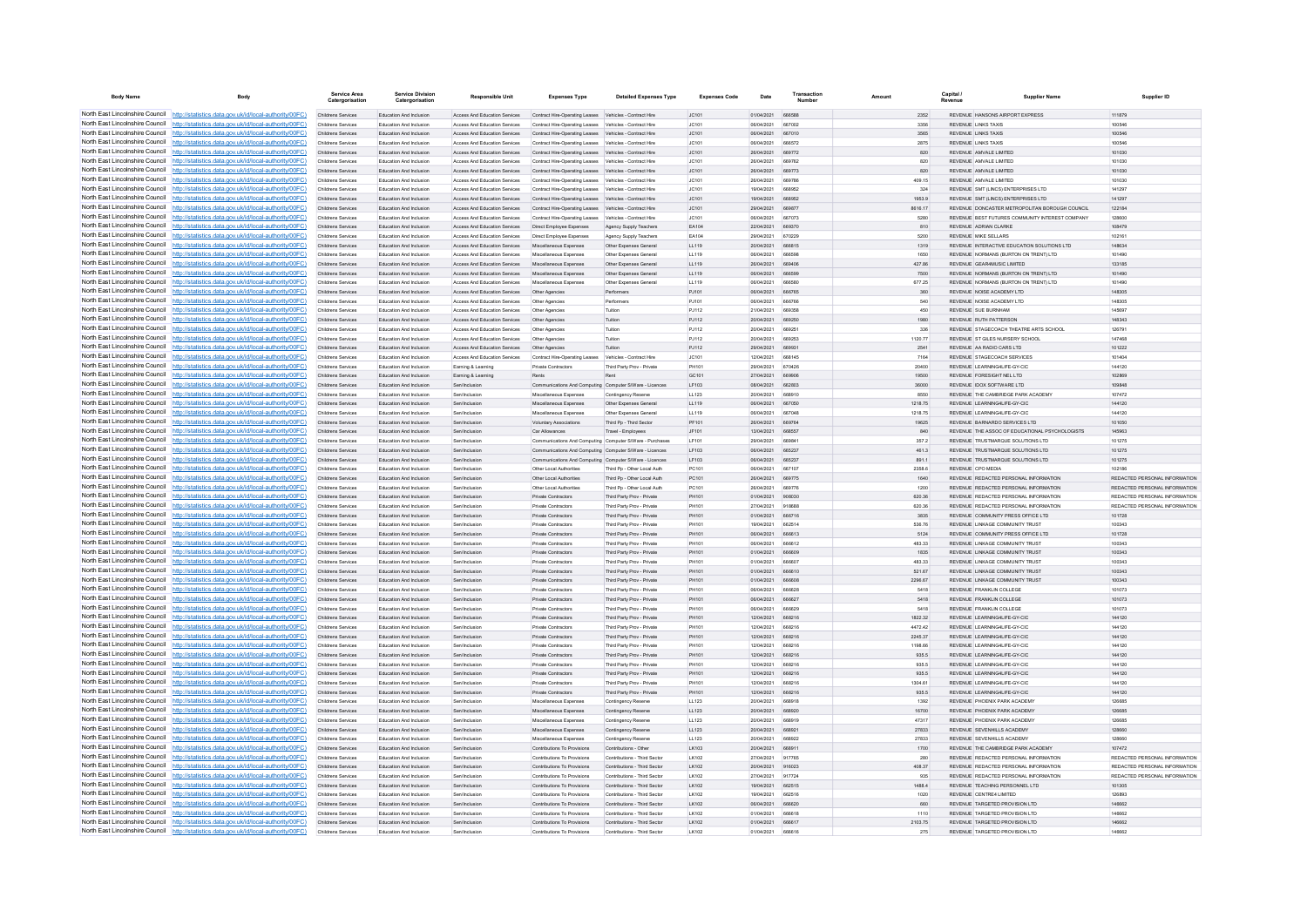| <b>Body Name</b>                                                   | Body                                                                                                                                                                               | Service Area<br>Catergorisatio                  | <b>Service Division</b><br>Catergorisation                | <b>Responsible Unit</b>                                        | <b>Expenses Type</b>                                                                                                                             | <b>Detailed Expenses Type</b>                                | <b>Expenses Code</b>  | Date                            | Transaction             | Amount           | Capital / | <b>Supplier Name</b>                                                           | Supplier ID                                                    |
|--------------------------------------------------------------------|------------------------------------------------------------------------------------------------------------------------------------------------------------------------------------|-------------------------------------------------|-----------------------------------------------------------|----------------------------------------------------------------|--------------------------------------------------------------------------------------------------------------------------------------------------|--------------------------------------------------------------|-----------------------|---------------------------------|-------------------------|------------------|-----------|--------------------------------------------------------------------------------|----------------------------------------------------------------|
|                                                                    | North East Lincolnshire Council http://statistics.data.gov.uk/id/local-authority/00FC)                                                                                             | Childrens Services                              | Education And Inclusion                                   | Access And Education Services                                  | Contract Hire-Operating Leases Vehicles - Contract Hire                                                                                          |                                                              | JC101                 | 01/04/2021 666588               |                         | 2352             |           | REVENUE HANSONS AIRPORT EXPRESS                                                | 111879                                                         |
|                                                                    | North East Lincolnshire Council http://statistics.data.gov.uk/id/local-authority/00FC)                                                                                             | Childrens Services                              | Education And Inclusion                                   | Access And Education Services                                  | Contract Hire-Operating Leases Vehicles - Contract Hire                                                                                          |                                                              | JC101                 | 06/04/2021                      | 667002                  | 3356             |           | REVENUE LINKS TAXIS                                                            | 100546                                                         |
|                                                                    | North East Lincolnshire Council http://statistics.data.gov.uk/id/local-authority/00FC)                                                                                             | Childrens Services                              | Education And Inclusion                                   | <b>Access And Education Services</b>                           | Contract Hire-Operating Leases Vehicles - Contract Hire                                                                                          |                                                              | JC101                 | 06/04/2021                      | 667010                  | 3565             |           | <b>REVENUE LINKS TAXIS</b>                                                     | 100546                                                         |
|                                                                    | North East Lincolnshire Council http://statistics.data.gov.uk/id/local-authority/00FC)<br>North East Lincolnshire Council http://statistics.data.gov.uk/id/local-authority/00FC)   | Childrens Services                              | Education And Inclusion                                   | <b>Access And Education Services</b>                           | Contract Hire-Operating Leases Vehicles - Contract Hire<br>Access And Education Services Contract Hire-Operating Leases Vehicles - Contract Hire |                                                              | 10:101                | 06/04/2021<br>26/04/2021 669772 | 666572                  | 2875             |           | <b>REVENUE LINKS TAXIS</b><br>REVENUE AMVALE LIMITED                           | 100546<br>101030                                               |
|                                                                    | North East Lincolnshire Council http://statistics.data.gov.uk/id/local-authority/00FC)                                                                                             | <b>Childrens Services</b><br>Childrens Services | Education And Inclusion<br>Education And Inclusion        | Access And Education Services                                  | Contract Hire-Operating Leases Vehicles - Contract Hire                                                                                          |                                                              | JC101<br>JC101        | 26/04/2021                      | 669762                  | 820<br>820       |           | REVENUE AMVALE LIMITED                                                         | 101030                                                         |
|                                                                    | North East Lincolnshire Council http://statistics.data.gov.uk/id/local-authority/00FC)                                                                                             | Childrens Services                              | Education And Inclusion                                   |                                                                | Access And Education Services Contract Hire-Operating Leases Vehicles - Contract Hire                                                            |                                                              | JC101                 | 26/04/2021                      | 669773                  | 820              |           | REVENUE AMVALE LIMITED                                                         | 101030                                                         |
|                                                                    | North East Lincolnshire Council http://statistics.data.gov.uk/id/local-authority/00FC)                                                                                             | Childrens Services                              | <b>Education And Inclusion</b>                            | <b>Access And Education Services</b>                           | Contract Hire-Operating Leases Vehicles - Contract Hire                                                                                          |                                                              | IC.101                | 26/04/2021                      | 669786                  | 409.15           |           | REVENUE AMVALE LIMITED.                                                        | 101030                                                         |
| North East Lincolnshire Council                                    | http://statistics.data.gov.uk/id/local-authority/00FC)                                                                                                                             | Childrens Services                              | Education And Inclusion                                   | Access And Education Services                                  | Contract Hire-Operating Leases Vehicles - Contract Hire                                                                                          |                                                              | IC.101                | 19/04/2021                      | 668952                  | 324              |           | REVENUE SMT (LINCS) ENTERPRISES LTD                                            | 141297                                                         |
| North East Lincolnshire Council                                    | http://statistics.data.gov.uk/id/local-authority/00FC)                                                                                                                             | Childrens Services                              | Education And Inclusion                                   | Access And Education Services                                  | Contract Hire-Operating Leases Vehicles - Contract Hire                                                                                          |                                                              | JC101                 | 19/04/2021                      |                         | 1953.9           |           | REVENUE SMT (LINCS) ENTERPRISES LTD                                            | 141297                                                         |
|                                                                    | North East Lincolnshire Council http://statistics.data.gov.uk/id/local-authority/00FC)                                                                                             | Childrens Services                              | <b>Education And Inclusion</b>                            | <b>Access And Education Services</b>                           | Contract Hire-Operating Leases Vehicles - Contract Hire                                                                                          |                                                              | JC101                 | 29/04/2021                      | ARGR77                  | 8616.17          |           | REVENUE DONCASTER METROPOLITAN BOROUGH COUNCIL                                 | 122184                                                         |
|                                                                    | North East Lincolnshire Council http://statistics.data.gov.uk/id/local-authority/00FC)                                                                                             | Childrens Services                              | Education And Inclusion                                   | <b>Access And Education Services</b>                           | Contract Hire-Operation Leases Vehicles - Contract Hire                                                                                          |                                                              | 10:101                | 06/04/2021                      | <b>BR7073</b>           | 5280             |           | REVENUE REST FUTURES COMMUNITY INTEREST COMPANY                                | 128600                                                         |
|                                                                    | North East Lincolnshire Council http://statistics.data.gov.uk/id/local-authority/00FC)<br>North East Lincolnshire Council http://statistics.data.gov.uk/id/local-authority/00FC)   | Childrens Services<br>Childrens Services        | Education And Inclusion<br>Education And Inclusion        | Access And Education Services<br>Access And Education Services | Direct Employee Expenses<br>Direct Employee Expenses                                                                                             | Agency Supply Teachers<br>Agency Supply Teachers             | EA104<br>EA104        | 22/04/2021<br>29/04/2021        | 669370<br>670229        | 810<br>5200      |           | REVENUE ADRIAN CLARKE<br><b>REVENUE MIKE SELLARS</b>                           | 108479<br>102161                                               |
|                                                                    | North East Lincolnshire Council http://statistics.data.gov.uk/id/local-authority/00FC)                                                                                             | Childrens Services                              | Education And Inclusion                                   | Access And Education Services                                  | Miscellaneous Expenses                                                                                                                           | Other Expenses General                                       | LL119                 | 20/04/2021                      | 666815                  | 1319             |           | REVENUE INTERACTIVE EDUCATION SOLUTIONS LTD                                    | 148634                                                         |
| North East Lincolnshire Council                                    | http://statistics.data.gov.uk/id/local-authority/00FC)                                                                                                                             | Childrens Services                              | Education And Inclusion                                   | Access And Education Services                                  | Miscellaneous Expenses                                                                                                                           | Other Expenses General                                       | LL119                 | 06/04/2021                      | 666598                  | 1650             |           | REVENUE NORMANS (BURTON ON TRENT) LTD                                          | 101490                                                         |
| North East Lincolnshire Council                                    | ttp://statistics.data.gov.uk/id/local-authority/00FC)                                                                                                                              | Childrens Services                              | Education And Inclusion                                   | Access And Education Services                                  | Miscellaneous Expenses                                                                                                                           | Other Expenses General                                       | LL119                 | 26/04/2021                      | 669406                  | 427.86           |           | REVENUE GEAR4MUSIC LIMITED                                                     | 133185                                                         |
| North East Lincolnshire Council                                    | http://statistics.data.gov.uk/id/local-authority/00FC)                                                                                                                             | Childrens Services                              | Education And Inclusion                                   | Access And Education Services                                  | Miscellaneous Expenses                                                                                                                           | Other Expenses General                                       | LL119                 | 06/04/2021                      | <b>BRASOD</b>           | 7500             |           | REVENUE NORMANS (BURTON ON TRENT) LTD                                          | 101490                                                         |
|                                                                    | North East Lincolnshire Council http://statistics.data.gov.uk/id/local-authority/00FC)                                                                                             | Childrens Services                              | Education And Inclusion                                   | <b>Access And Education Services</b>                           | Miscellaneous Expenses                                                                                                                           | Other Expenses General                                       | 11119                 | 06/04/2021                      | <b>BRASS</b>            | 677.25           |           | REVENUE NORMANS (BURTON ON TRENT) LTD                                          | 101490                                                         |
|                                                                    | North East Lincolnshire Council http://statistics.data.gov.uk/id/local-authority/00FC)                                                                                             | Childrens Services                              | Education And Inclusion                                   | Access And Education Services                                  | Other Agencies                                                                                                                                   | Performers                                                   | PJ101                 | 06/04/2021                      | 666765                  | 360              |           | REVENUE NOISE ACADEMY LTD                                                      | 148305                                                         |
|                                                                    | North East Lincolnshire Council   http://statistics.data.gov.uk/id/local-authority/00FC)<br>North East Lincolnshire Council http://statistics.data.gov.uk/id/local-authority/00FC) | Childrens Services<br>Childrens Services        | Education And Inclusion<br><b>Education And Inclusion</b> | Access And Education Services<br>Access And Education Services | Other Agencies<br>Other Agencies                                                                                                                 | Performers<br>Tuition                                        | PJ101<br>PJ112        | 06/04/2021<br>21/04/2021        | 666766<br><b>BRO35E</b> | 540<br>450       |           | REVENUE NOISE ACADEMY LTD<br>REVENUE SUE BURNHAM                               | 148305<br>145897                                               |
|                                                                    | North East Lincolnshire Council http://statistics.data.gov.uk/id/local-authority/00FC)                                                                                             | Childrens Services                              | <b>Education And Inclusion</b>                            | <b>Access And Education Services</b>                           | Other Agencies                                                                                                                                   | Tuition                                                      | P.1112                | 20/04/2021                      | 669250                  | 1980             |           | REVENUE RUTH PATTERSON                                                         | 148343                                                         |
| North East Lincolnshire Council                                    | http://statistics.data.gov.uk/id/local-authority/00FC)                                                                                                                             | Childrens Services                              | Education And Inclusion                                   | Access And Education Services                                  | Other Agencies                                                                                                                                   | Tuition                                                      | P.1112                | 20/04/2021                      | 669251                  | 336              |           | REVENUE STAGECOACH THEATRE ARTS SCHOOL                                         | 126791                                                         |
|                                                                    | North East Lincolnshire Council http://statistics.data.gov.uk/id/local-authority/00FC)                                                                                             | Childrens Services                              | Education And Inclusion                                   | <b>Access And Education Services</b>                           | Other Agencies                                                                                                                                   |                                                              | PJ112                 | 20/04/2021                      | 669252                  | 1120.77          |           | REVENUE ST GILES NURSERY SCHOOL                                                | 147468                                                         |
|                                                                    | North East Lincolnshire Council http://statistics.data.gov.uk/id/local-authority/00FC)                                                                                             | Childrens Services                              | <b>Education And Inclusion</b>                            | <b>Access And Education Services</b>                           | Other Agencies                                                                                                                                   | Tuiting                                                      | PJ112                 | 29/04/2021                      | 669931                  | 2541             |           | REVENUE AA RADIO CARS LTD                                                      | 101222                                                         |
|                                                                    | North East Lincolnshire Council http://statistics.data.gov.uk/id/local-authority/00FC)                                                                                             | Childrens Services                              | Education And Inclusion                                   | Access And Education Services                                  | Contract Hire-Operating Leases Vehicles - Contract Hire                                                                                          |                                                              | JC101                 | 12/04/2021                      | <b>BRR145</b>           | 7164             |           | REVENUE STAGECOACH SERVICES                                                    | 101404                                                         |
|                                                                    | North East Lincolnshire Council http://statistics.data.gov.uk/id/local-authority/00FC)                                                                                             | Childrens Services                              | Education And Inclusion                                   | Earning & Learning                                             | <b>Private Contractors</b>                                                                                                                       | Third Party Prov - Private                                   | PH101                 | 29/04/2021                      | 670426                  | 20400            |           | REVENUE LEARNING4LIFE-GY-CIC                                                   | 144120                                                         |
|                                                                    | North East Lincolnshire Council http://statistics.data.gov.uk/id/local-authority/00FC)<br>North East Lincolnshire Council http://statistics.data.gov.uk/id/local-authority/00FC)   | Childrens Services                              | Education And Inclusion<br>Education And Inclusion        | Earning & Learning                                             | Rents                                                                                                                                            |                                                              | GC101                 | 27/04/2021<br>08/04/2021        | 669906<br>662803        | 19500<br>36000   |           | REVENUE FORESIGHT NEL LTD<br>REVENUE IDOX SOFTWARE LTD                         | 102869<br>109848                                               |
| North East Lincolnshire Council                                    | http://statistics.data.gov.uk/id/local-authority/00FC)                                                                                                                             | Childrens Services<br>Childrens Services        | Education And Inclusion                                   | Sen/Inclusion<br>Sen/Inclusion                                 | Communications And Computing Computer S/Ware - Licences<br>Miscellaneous Expenses                                                                | Contingency Reserve                                          | LF103<br>LL123        | 20/04/2021                      | 668910                  | 8550             |           | REVENUE THE CAMBRIDGE PARK ACADEMY                                             | 107472                                                         |
|                                                                    | North East Lincolnshire Council http://statistics.data.gov.uk/id/local-authority/00FC)                                                                                             | Childrens Services                              | Education And Inclusion                                   | Sen/Inclusion                                                  | Miscellaneous Expenses                                                                                                                           | Other Expenses Genera                                        | LL119                 | 06/04/2021                      | 667050                  | 1218.75          |           | REVENUE LEARNING4LIFE-GY-CIC                                                   | 144120                                                         |
|                                                                    | North East Lincolnshire Council http://statistics.data.gov.uk/id/local-authority/00FC)                                                                                             | Childrens Services                              | Education And Inclusion                                   | Sen/Inclusion                                                  | Miscellaneous Expenses                                                                                                                           | Other Expenses Genera                                        | LL119                 | 08/04/2021                      | 667048                  | 1218.75          |           | REVENUE LEARNING4LIFE-GY-CIO                                                   | 144120                                                         |
|                                                                    | North East Lincolnshire Council http://statistics.data.gov.uk/id/local-authority/00FC)                                                                                             | Childrens Services                              | Education And Inclusion                                   | Sen/Inclusion                                                  | Voluntary Associations                                                                                                                           | Third Pp - Third Sector                                      | PF101                 | 26/04/2021                      | <b>BROTRA</b>           | 19625            |           | REVENUE BARNARDO SERVICES LTD                                                  | 101050                                                         |
|                                                                    | North East Lincolnshire Council http://statistics.data.gov.uk/id/local-authority/00FC)                                                                                             | Childrens Services                              | <b>Education And Inclusion</b>                            | Sen/Inclusion                                                  | Car Allowances                                                                                                                                   | Travel - Employees                                           | IF101                 | 13/04/2021                      | 668557                  | 840              |           | REVENUE THE ASSOCIOE EDUCATIONAL PSYCHOLOGISTS.                                | 145963                                                         |
|                                                                    | North East Lincolnshire Council http://statistics.data.gov.uk/id/local-authority/00FC)                                                                                             | Childrens Services                              | Education And Inclusion                                   | Sen/Inclusion                                                  | Communications And Computing Computer S/Ware - Purchases                                                                                         |                                                              | I F101                | 29/04/2021                      | 669841                  | 357.2            |           | REVENUE TRUSTMARQUE SOLUTIONS LTD.                                             | 101275                                                         |
|                                                                    | North East Lincolnshire Council http://statistics.data.gov.uk/id/local-authority/00FC)<br>North East Lincolnshire Council http://statistics.data.gov.uk/id/local-authority/00FC)   | Childrens Services                              | Education And Inclusion                                   | Sen/Inclusion                                                  | Communications And Computing Computer S/Ware - Licences                                                                                          |                                                              | LF103                 | 06/04/2021                      | 665237                  | 461.3            |           | REVENUE TRUSTMARQUE SOLUTIONS LTD                                              | 101275                                                         |
| North East Lincolnshire Council                                    | http://statistics.data.gov.uk/id/local-authority/00EC).                                                                                                                            | Childrens Services<br>Childrens Services        | Education And Inclusion<br><b>Education And Inclusion</b> | Sen/Inclusion<br>Sen/Inclusion                                 | Communications And Computing Computer S/Ware - Licences<br>Other Local Authorities                                                               | Third Pn - Other Local Auth                                  | LF103<br>PC101        | 06/04/2021<br>06/04/2021        | <b>BR5237</b><br>667107 | 891.1<br>2358 6  |           | REVENUE TRUSTMARQUE SOLUTIONS LTD<br>REVENUE CPO MEDIA                         | 101275<br>102186                                               |
| North East Lincolnshire Council                                    | ://statistics.data.gov.uk/id/local-authority/00FC)                                                                                                                                 | Childrens Services                              | Education And Inclusion                                   | Sen/Inclusion                                                  | Other Local Authorities                                                                                                                          | Third Pp - Other Local Auth                                  | PC101                 | 26/04/2021                      | 669775                  | 1640             |           | REVENUE REDACTED PERSONAL INFORMATION                                          | REDACTED PERSONAL INFORMATION                                  |
|                                                                    | North East Lincolnshire Council http://statistics.data.gov.uk/id/local-authority/00FC)                                                                                             | Childrens Services                              | Education And Inclusion                                   | Sen/Inclusion                                                  | Other Local Authorities                                                                                                                          | Third Pp - Other Local Auth                                  | PC101                 | 26/04/2021                      | 669776                  | 1200             |           | REVENUE REDACTED PERSONAL INFORMATION                                          | REDACTED PERSONAL INFORMATION                                  |
|                                                                    | North East Lincolnshire Council http://statistics.data.gov.uk/id/local-authority/00FC)                                                                                             | Childrens Services                              | Education And Inclusion                                   | Sen/Inclusion                                                  | Private Contractors                                                                                                                              | Third Party Prov - Private                                   | PH101                 | 01/04/2021                      | 908030                  | 620.36           |           | REVENUE REDACTED PERSONAL INFORMATION                                          | REDACTED PERSONAL INFORMATION                                  |
|                                                                    | North East Lincolnshire Council   http://statistics.data.gov.uk/id/local-authority/00FC)                                                                                           | Childrens Services                              | Education And Inclusion                                   | Sen/Inclusion                                                  | <b>Private Contractors</b>                                                                                                                       | Third Party Prov - Private                                   | PH101                 | 27/04/2021                      | 918688                  | 620.36           |           | REVENUE REDACTED PERSONAL INFORMATION                                          | REDACTED PERSONAL INFORMATION                                  |
|                                                                    | North East Lincolnshire Council http://statistics.data.gov.uk/id/local-authority/00FC)                                                                                             | Childrens Services                              | Education And Inclusion                                   | Sen/Inclusion                                                  | Private Contractors                                                                                                                              | Third Party Prov - Private                                   | PH101                 | 01/04/2021                      | 666716                  | 3835             |           | REVENUE COMMUNITY PRESS OFFICE LTD                                             | 101728                                                         |
|                                                                    | North East Lincolnshire Council http://statistics.data.gov.uk/id/local-authority/00FC)<br>North East Lincolnshire Council http://statistics.data.gov.uk/id/local-authority/00FC)   | Childrens Services                              | Education And Inclusion                                   | Sen/Inclusion                                                  | Private Contractors                                                                                                                              | Third Party Prov - Private                                   | PH101                 | 19/04/2021                      | 662514                  | 536.76           |           | REVENUE LINKAGE COMMUNITY TRUST                                                | 100343                                                         |
|                                                                    | North East Lincolnshire Council http://statistics.data.gov.uk/id/local-authority/00FC)                                                                                             | Childrens Services<br><b>Childrens Services</b> | Education And Inclusion<br>Education And Inclusion        | Sen/Inclusion<br>Sen/Inclusion                                 | Private Contractors<br>Private Contractors                                                                                                       | Third Party Prov - Private<br>Third Party Prov - Private     | PH101<br>PH101        | 08/04/2021<br>06/04/2021        | 666612<br>666612        | 5124<br>483.33   |           | REVENUE COMMUNITY PRESS OFFICE LTD<br>REVENUE LINKAGE COMMUNITY TRUST          | 101728<br>100343                                               |
|                                                                    | North East Lincolnshire Council http://statistics.data.gov.uk/id/local-authority/00FC)                                                                                             | Childrens Services                              | Education And Inclusion                                   | Sen/Inclusion                                                  | Private Contractors                                                                                                                              | Third Party Prov - Private                                   | PH101                 | 01/04/2021                      | 666609                  | 1835             |           | REVENUE LINKAGE COMMUNITY TRUST                                                | 100343                                                         |
|                                                                    | North East Lincolnshire Council http://statistics.data.gov.uk/id/local-authority/00FC)                                                                                             | Childrens Services                              | <b>Education And Inclusion</b>                            | Sen/Inclusion                                                  | <b>Private Contractors</b>                                                                                                                       | Third Party Prov - Private                                   | PH101                 | 01/04/2021                      | <b>BRARD</b>            | 483.33           |           | REVENUE I INKAGE COMMUNITY TRUST                                               | 100343                                                         |
|                                                                    | North East Lincolnshire Council   http://statistics.data.gov.uk/id/local-authority/00FC)                                                                                           | Childrens Services                              | <b>Education And Inclusion</b>                            | Sen/Inclusion                                                  | Private Contractors                                                                                                                              | Third Party Proy - Private                                   | PH101                 | 01/04/2021                      | 666610                  | 521.67           |           | REVENUE I INKAGE COMMUNITY TRUST                                               | 100343                                                         |
|                                                                    | North East Lincolnshire Council http://statistics.data.gov.uk/id/local-authority/00FC)                                                                                             | Childrens Services                              | Education And Inclusion                                   | Sen/Inclusion                                                  | Private Contractors                                                                                                                              | Third Party Proy - Private                                   | PH101                 | 01/04/2021                      | 666608                  | 2296.67          |           | REVENUE LINKAGE COMMUNITY TRUST                                                | 100343                                                         |
|                                                                    | North East Lincolnshire Council http://statistics.data.gov.uk/id/local-authority/00FC)                                                                                             | Childrens Services                              | Education And Inclusion                                   | Sen/Inclusion                                                  | Private Contractors                                                                                                                              | Third Party Prov - Private                                   | PH101                 | 06/04/2021                      | 666628                  | 5418             |           | REVENUE FRANKLIN COLLEGE                                                       | 101073                                                         |
| North East Lincolnshire Council                                    | North East Lincolnshire Council http://statistics.data.gov.uk/id/local-authority/00FC)                                                                                             | Childrens Services                              | Education And Inclusion                                   | Sen/Inclusion                                                  | <b>Private Contractors</b>                                                                                                                       | Third Party Prov - Private                                   | PH101                 | 08/04/2021                      | <b>BRAR27</b>           | 5418             |           | REVENUE FRANKLIN COLLEGE                                                       | 101073                                                         |
| North East Lincolnshire Council                                    | http://statistics.data.gov.uk/id/local-authority/00EC).<br>http://statistics.data.gov.uk/id/local-authority/00FC)                                                                  | Childrens Services<br>Childrens Services        | <b>Education And Inclusion</b><br>Education And Inclusion | Sen/Inclusion<br>Sen/Inclusion                                 | Private Contractors<br>Private Contractors                                                                                                       | Third Party Prov - Private<br>Third Party Prov - Private     | <b>DH101</b><br>PH101 | 06/04/2021<br>12/04/2021        | <b>BRAROD</b><br>668216 | 5418<br>1822.32  |           | REVENUE FRANKLIN COLLEGE<br>REVENUE LEARNING4LIFE-GY-CIC                       | 101073<br>144120                                               |
|                                                                    | North East Lincolnshire Council   http://statistics.data.gov.uk/id/local-authority/00FC)                                                                                           | Childrens Services                              | Education And Inclusion                                   |                                                                | Private Contractor                                                                                                                               | Third Party Prov - Private                                   |                       | 12/04/2021                      | 668216                  | 4472.42          |           | REVENUE LEARNING4LIFE-GY-CIO                                                   | 144120                                                         |
|                                                                    | North East Lincolnshire Council http://statistics.data.gov.uk/id/local-authority/00FC)                                                                                             | Childrens Services                              | Education And Inclusion                                   | Sen/Inclusion                                                  | Private Contractors                                                                                                                              | Third Party Proy - Private                                   | PH101                 | 12/04/2021                      | 668216                  | 2245.37          |           | REVENUE LEARNING4LIFE-GY-CIC                                                   | 144120                                                         |
|                                                                    | North East Lincolnshire Council   http://statistics.data.gov.uk/id/local-authority/00FC)                                                                                           | Childrens Services                              | Education And Inclusion                                   | Sen/Inclusion                                                  | Private Contractors                                                                                                                              | Third Party Prov - Private                                   | PH101                 | 12/04/2021                      | 668216                  | 1198.66          |           | REVENUE LEARNING4LIFE-GY-CIC                                                   | 144120                                                         |
|                                                                    | North East Lincolnshire Council http://statistics.data.gov.uk/id/local-authority/00FC)                                                                                             | Childrens Services                              | Education And Inclusion                                   | Sen/Inclusion                                                  | Private Contractors                                                                                                                              | Third Party Prov - Private                                   | PH101                 | 12/04/2021                      | 668216                  | 935.5            |           | REVENUE LEARNING4LIFE-GY-CIC                                                   | 144120                                                         |
|                                                                    | North East Lincolnshire Council http://statistics.data.gov.uk/id/local-authority/00FC)                                                                                             | Childrens Services                              | Education And Inclusion                                   | Sen/Inclusion                                                  | Private Contractors                                                                                                                              | Third Party Prov - Private                                   | PH101                 | 12/04/2021                      | 668216                  | 935.5            |           | REVENUE LEARNING4LIFE-GY-CIC                                                   | 144120                                                         |
| North East Lincolnshire Council<br>North East Lincolnshire Council | http://statistics.data.gov.uk/id/local-authority/00EC)                                                                                                                             | Childrens Services                              | Education And Inclusion                                   | Sen/Inclusion                                                  | Private Contractors                                                                                                                              | Third Party Prov - Private                                   | PH101                 | 12/04/2021                      | 668216                  | 935.5            |           | REVENUE LEARNING4LIFE-GY-CIC                                                   | 144120                                                         |
|                                                                    | ://statistics.data.gov.uk/id/local-authority/00FC)<br>North East Lincolnshire Council http://statistics.data.gov.uk/id/local-authority/00FC)                                       | Childrens Services<br>Childrens Services        | Education And Inclusion<br>Education And Inclusion        | Sen/Inclusion<br>Sen/Inclusion                                 | Private Contractors<br><b>Private Contractors</b>                                                                                                | Third Party Prov - Private<br>Third Party Prov - Private     | PH101<br>PH101        | 12/04/2021<br>12/04/2021        | 668216<br>668216        | 1304.61<br>935.5 |           | REVENUE LEARNING4LIFE-GY-CIC<br>REVENUE LEARNING4LIFE-GY-CIC                   | 144120<br>144120                                               |
|                                                                    | North East Lincolnshire Council http://statistics.data.gov.uk/id/local-authority/00FC)                                                                                             | Childrens Services                              | Education And Inclusion                                   | Sen/Inclusion                                                  | Miscellaneous Expenses                                                                                                                           | Contingency Reserve                                          | LL123                 | 20/04/2021                      | 668918                  | 1392             |           | REVENUE PHOENIX PARK ACADEMY                                                   | 126685                                                         |
|                                                                    | North East Lincolnshire Council http://statistics.data.gov.uk/id/local-authority/00FC)                                                                                             | Childrens Services                              | <b>Education And Inclusion</b>                            | Sen/Inclusion                                                  | Miscellaneous Expenses                                                                                                                           | Contingency Reserve                                          | 11 123                | 20/04/2021                      | 668920                  | 16700            |           | REVENUE PHOENIX PARK ACADEMY                                                   | 126685                                                         |
|                                                                    | North East Lincolnshire Council http://statistics.data.gov.uk/id/local-authority/00FC)                                                                                             | Childrens Services                              | Education And Inclusion                                   | Sen/Inclusion                                                  | Miscellaneous Expenses                                                                                                                           | Contingency Reserve                                          | LL123                 | 20/04/2021                      | 668919                  | 47317            |           | REVENUE PHOENIX PARK ACADEMY                                                   | 126685                                                         |
|                                                                    | North East Lincolnshire Council http://statistics.data.gov.uk/id/local-authority/00FC)                                                                                             | Childrens Services                              | Education And Inclusion                                   | Sen/Inclusion                                                  | Miscellaneous Expenses                                                                                                                           | Contingency Reserve                                          | LL123                 | 20/04/2021                      | 668921                  | 27833            |           | REVENUE SEVENHILLS ACADEMY                                                     | 128660                                                         |
|                                                                    | North East Lincolnshire Council http://statistics.data.gov.uk/id/local-authority/00FC)                                                                                             | Childrens Services                              | <b>Education And Inclusion</b>                            | Sen/Inclusion                                                  | Miscellaneous Expenses                                                                                                                           | Contingency Reserve                                          | LL123                 | 20/04/2021                      | <b>BRBD23</b>           | 27833            |           | REVENUE SEVENHILLS ACADEMY                                                     | 129880                                                         |
| North East Lincolnshire Council                                    | http://statistics.data.gov.uk/id/local-authority/00FC)                                                                                                                             | Childrens Services                              | Education And Inclusion                                   | Sen/Inclusion                                                  | Contributions To Provisions                                                                                                                      | Contributions - Other                                        | LK103                 | 20/04/2021                      | 668911                  | 1700             |           | REVENUE THE CAMBRIDGE PARK ACADEMY                                             | 107472                                                         |
|                                                                    | North East Lincolnshire Council http://statistics.data.gov.uk/id/local-authority/00FC)<br>North East Lincolnshire Council   http://statistics.data.gov.uk/id/local-authority/00FC) | Childrens Services                              | Education And Inclusion                                   | Sen/Inclusion                                                  | Contributions To Provisions                                                                                                                      | Contributions - Third Sector                                 | LK102                 | 27/04/2021                      | 917765<br>916023        | 280              |           | REVENUE REDACTED PERSONAL INFORMATION                                          | REDACTED PERSONAL INFORMATION<br>REDACTED PERSONAL INFORMATION |
|                                                                    | North East Lincolnshire Council http://statistics.data.gov.uk/id/local-authority/00FC)                                                                                             | Childrens Services<br>Childrens Services        | Education And Inclusion<br><b>Education And Inclusion</b> | Sen/Inclusion<br>Sen/Inclusion                                 | Contributions To Provisions<br>Contributions To Provisions                                                                                       | Contributions - Third Sector<br>Contributions - Third Sector | LK102<br>I K102       | 20/04/2021<br>27/04/2021        | 917724                  | 408.37<br>935    |           | REVENUE REDACTED PERSONAL INFORMATION<br>REVENUE REDACTED PERSONAL INFORMATION | REDACTED PERSONAL INFORMATION                                  |
|                                                                    | North East Lincolnshire Council http://statistics.data.gov.uk/id/local-authority/00FC)                                                                                             | Childrens Services                              | Education And Inclusion                                   | Sen/Inclusion                                                  | Contributions To Provisions                                                                                                                      | Contributions - Third Sector                                 | LK102                 | 19/04/2021                      | 662515                  | 1488.4           |           | REVENUE TEACHING PERSONNEL LTD                                                 | 101305                                                         |
|                                                                    | North East Lincolnshire Council http://statistics.data.gov.uk/id/local-authority/00FC)                                                                                             | Childrens Services                              | Education And Inclusion                                   | Sen/Inclusion                                                  | Contributions To Provisions                                                                                                                      | Contributions - Third Sector                                 | LK102                 | 19/04/2021                      | 662516                  | 1020             |           | REVENUE CENTRE4 LIMITED                                                        | 126893                                                         |
|                                                                    | North East Lincolnshire Council http://statistics.data.gov.uk/id/local-authority/00FC)                                                                                             | Childrens Services                              | Education And Inclusion                                   | Sen/Inclusion                                                  | Contributions To Provisions                                                                                                                      | Contributions - Third Sector                                 | LK102                 | 06/04/2021                      | 666620                  | 660              |           | REVENUE TARGETED PROVISION LTD                                                 | 146662                                                         |
|                                                                    | North East Lincolnshire Council http://statistics.data.gov.uk/id/local-authority/00FC)                                                                                             | Childrens Services                              | <b>Education And Inclusion</b>                            | Sen/Inclusion                                                  | Contributions To Provisions                                                                                                                      | Contributions - Third Sector                                 | I K102                | 01/04/2021                      | 666618                  | 1110             |           | REVENUE TARGETED PROVISION LTD.                                                | 146662                                                         |
|                                                                    | North East Lincolnshire Council http://statistics.data.gov.uk/id/local-authority/00FC)                                                                                             | Childrens Services                              | Education And Inclusion                                   | Sen/Inclusion                                                  | Contributions To Provisions                                                                                                                      | Contributions - Third Sector                                 | LK102                 | 01/04/2021                      | 666617                  | 2103.75          |           | REVENUE TARGETED PROVISION LTD                                                 | 146662                                                         |
|                                                                    | North East Lincolnshire Council http://statistics.data.gov.uk/id/local-authority/00FC)                                                                                             | Childrens Services                              | Education And Inclusion                                   | Sen/Inclusion                                                  | Contributions To Provisions                                                                                                                      | Contributions - Third Sector                                 | LK102                 | 01/04/2021                      |                         | 275              |           | REVENUE TARGETED PROVISION LTD                                                 | 146662                                                         |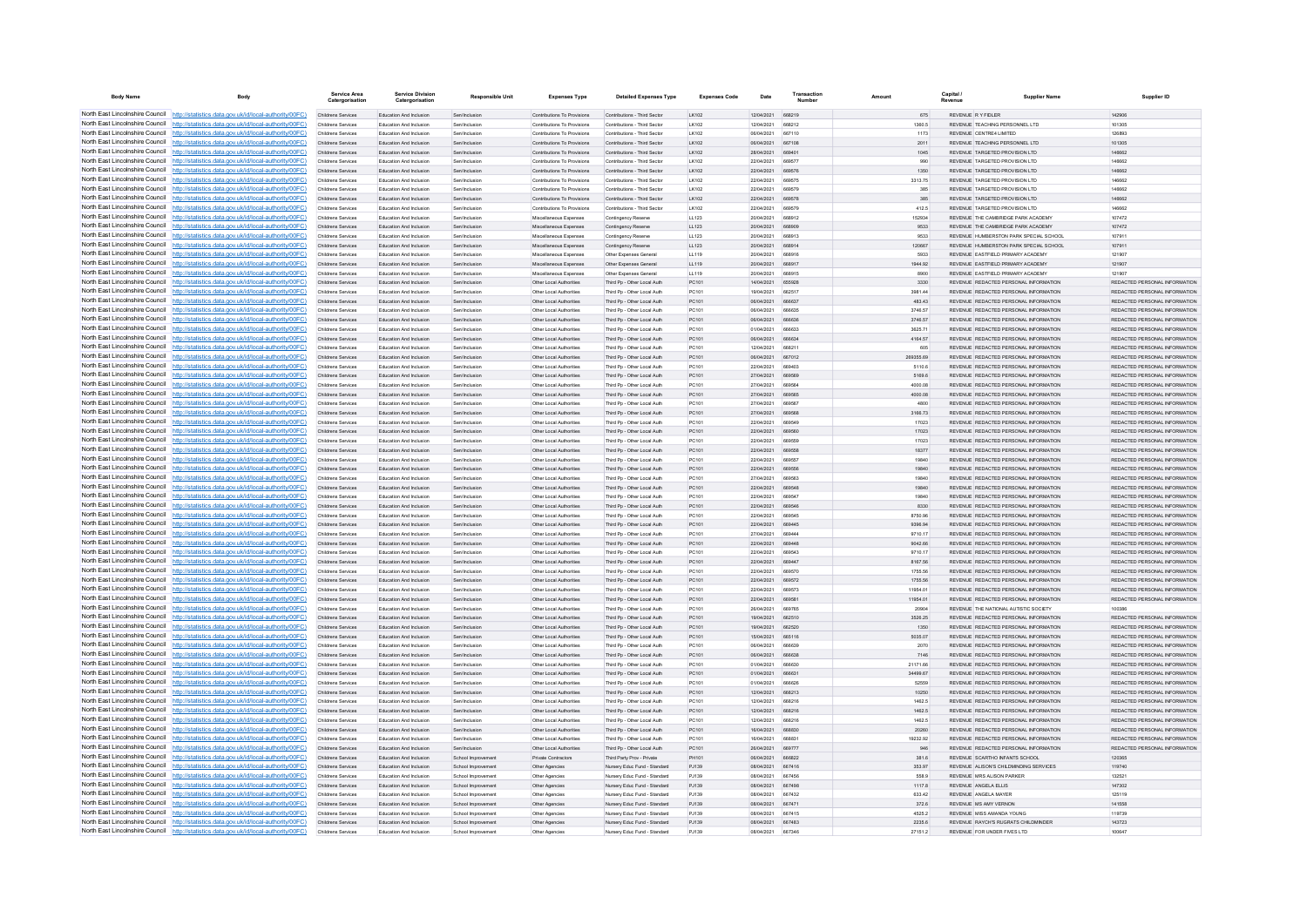| <b>Body Name</b>                | Body                                                                                                                                                                               | Service Area                                    | <b>Service Division</b><br>Catergorisation                | <b>Responsible Unit</b>               | <b>Expenses Type</b>                                       | <b>Detailed Expenses Type</b>                                | <b>Expenses Code</b> | Date                     | Transaction<br><b>Numbor</b> | Amount           | Capital | <b>Supplier Name</b>                                                           | Supplier ID                                                    |
|---------------------------------|------------------------------------------------------------------------------------------------------------------------------------------------------------------------------------|-------------------------------------------------|-----------------------------------------------------------|---------------------------------------|------------------------------------------------------------|--------------------------------------------------------------|----------------------|--------------------------|------------------------------|------------------|---------|--------------------------------------------------------------------------------|----------------------------------------------------------------|
|                                 | North East Lincolnshire Council http://statistics.data.gov.uk/id/local-authority/00FC)                                                                                             | Childrens Services                              | Education And Inclusion                                   | Sen/Inclusion                         | Contributions To Provisions                                | Contributions - Third Sector                                 | LK102                | 12/04/2021 668219        |                              | 675              |         | REVENUE RY FIDLER                                                              | 142906                                                         |
|                                 | North East Lincolnshire Council http://statistics.data.gov.uk/id/local-authority/00FC)                                                                                             | Childrens Services                              | Education And Inclusion                                   | Sen/Inclusion                         | Contributions To Provisions                                | Contributions - Third Sector                                 | LK102                | 12/04/2021               | 668212                       | 1360.5           |         | REVENUE TEACHING PERSONNEL LTD                                                 | 101305                                                         |
|                                 | North East Lincolnshire Council http://statistics.data.gov.uk/id/local-authority/00FC)                                                                                             | Childrens Services                              | Education And Inclusio                                    | Sen/Inclusion                         | Contributions To Provisions                                | Contributions - Third Secto                                  | LK102                | 06/04/2021               | 667110                       | 1173             |         | REVENUE CENTRE4 LIMITED                                                        | 126893                                                         |
|                                 | North East Lincolnshire Council http://statistics.data.gov.uk/id/local-authority/00FC)                                                                                             | <b>Childrens Services</b>                       | <b>Education And Inclusion</b>                            | Sen/Inclusion                         | Contributions To Provisions                                | Contributions - Third Sector                                 | I K102               | 06/04/2021               | 667108                       | 2011             |         | REVENUE TEACHING PERSONNEL LTD.                                                | 101305                                                         |
|                                 | North East Lincolnshire Council http://statistics.data.gov.uk/id/local-authority/00FC)<br>North East Lincolnshire Council   http://statistics.data.gov.uk/id/local-authority/00FC) | Childrens Services<br>Childrens Services        | Education And Inclusion<br>Education And Inclusion        | Sen/Inclusion<br>Sen/Inclusion        | Contributions To Provisions<br>Contributions To Provisions | Contributions - Third Sector<br>Contributions - Third Sector | I K102<br>LK102      | 28/04/2021<br>22/04/2021 | 669401<br>669577             | 1045<br>990      |         | REVENUE TARGETED PROVISION LTD<br>REVENUE TARGETED PROVISION LTD               | 146662<br>146662                                               |
|                                 | North East Lincolnshire Council http://statistics.data.gov.uk/id/local-authority/00FC)                                                                                             | Childrens Services                              | Education And Inclusion                                   | Sen/Inclusion                         | Contributions To Provisions                                | Contributions - Third Sector                                 | LK102                | 22/04/2021               | 669576                       | 1350             |         | REVENUE TARGETED PROVISION LTD                                                 | 146662                                                         |
|                                 | North East Lincolnshire Council http://statistics.data.gov.uk/id/local-authority/00FC)                                                                                             | Childrens Services                              | Education And Inclusion                                   | Sen/Inclusion                         | Contributions To Provisions                                | Contributions - Third Sector                                 | LK102                | 22/04/2021               | 669575                       | 3313.75          |         | REVENUE TARGETED PROVISION LTD                                                 | 146662                                                         |
| North East Lincolnshire Council | http://statistics.data.gov.uk/id/local-authority/00FC)                                                                                                                             | Childrens Services                              | <b>Education And Inclusion</b>                            | Sen/Inclusion                         | Contributions To Provisions                                | Contributions - Third Sector                                 | LK102                | 22/04/2021               | 669579                       | 385              |         | REVENUE TARGETED PROVISION LTD                                                 | 146662                                                         |
| North East Lincolnshire Council | http://statistics.data.gov.uk/id/local-authority/00FC)                                                                                                                             | Childrens Services                              | Education And Inclusion                                   | Sen/Inclusion                         | Contributions To Provisions                                | Contributions - Third Sector                                 | LK102                | 22/04/2021               | 669578                       | 385              |         | REVENUE TARGETED PROVISION LTD                                                 | 146662                                                         |
|                                 | North East Lincolnshire Council http://statistics.data.gov.uk/id/local-authority/00FC)                                                                                             | Childrens Services                              | Education And Inclusion                                   | Sen/Inclusion                         | Contributions To Provisions                                | Contributions - Third Sector                                 | LK102                | 22/04/2021               | 669579                       | 412.5            |         | REVENUE TARGETED PROVISION LTD                                                 | 146662                                                         |
|                                 | North East Lincolnshire Council http://statistics.data.gov.uk/id/local-authority/00FC)                                                                                             | Childrens Services                              | Education And Inclusion                                   | Sen/Inclusion                         | Miscellaneous Expenses                                     | Contingency Reserve                                          | LL123                | 20/04/2021               | 668912                       | 152934           |         | REVENUE THE CAMBRIDGE PARK ACADEMY                                             | 107472                                                         |
|                                 | North East Lincolnshire Council http://statistics.data.gov.uk/id/local-authority/00FC)                                                                                             | Childrens Services                              | Education And Inclusion                                   | Sen/Inclusion                         | Miscellaneous Expenses                                     | Contingency Reserve                                          | LL123                | 20/04/2021               | 668909                       | 9533             |         | REVENUE THE CAMBRIDGE PARK ACADEMY                                             | 107472                                                         |
|                                 | North East Lincolnshire Council http://statistics.data.gov.uk/id/local-authority/00FC)                                                                                             | Childrens Services                              | Education And Inclusion                                   | Sen/Inclusion                         | Miscellaneous Expenses                                     | Contingency Reserve                                          | LL123                | 20/04/2021               | 668913                       | 9533             |         | REVENUE HUMBERSTON PARK SPECIAL SCHOOL                                         | 107911                                                         |
| North East Lincolnshire Council | North East Lincolnshire Council http://statistics.data.gov.uk/id/local-authority/00FC)<br>http://statistics.data.gov.uk/id/local-authority/00FC)                                   | Childrens Services                              | Education And Inclusion<br><b>Education And Inclusion</b> | Sen/Inclusion                         | Miscellaneous Expenses                                     | Contingency Reserve                                          | LL123<br>11119       | 20/04/2021<br>20/04/2021 | 668914<br>668916             | 120667<br>5933   |         | REVENUE HUMBERSTON PARK SPECIAL SCHOOL<br>REVENUE EASTFIELD PRIMARY ACADEMY    | 107911<br>121907                                               |
| North East Lincolnshire Council | ttp://statistics.data.gov.uk/id/local-authority/00FC)                                                                                                                              | <b>Childrens Services</b><br>Childrens Services | Education And Inclusion                                   | Sen/Inclusion<br>Sen/Inclusion        | Miscellaneous Expenses<br>Miscellaneous Expenses           | Other Expenses General<br>Other Expenses General             | LL119                | 20/04/2021               | 668917                       | 1944.92          |         | REVENUE EASTFIELD PRIMARY ACADEMY                                              | 121907                                                         |
| North East Lincolnshire Council | http://statistics.data.gov.uk/id/local-authority/00FC)                                                                                                                             | Childrens Services                              | Education And Inclusion                                   | Senfingburing                         | Miscellaneous Expenses                                     | Other Expenses Genera                                        | 11119                | 20/04/2021               | 668915                       | 8900             |         | <b>PEVENUE EASTEIEI DI PRIMARY ACADEMY</b>                                     | 121907                                                         |
|                                 | North East Lincolnshire Council http://statistics.data.gov.uk/id/local-authority/00FC)                                                                                             | Childrens Services                              | <b>Education And Inclusion</b>                            | Sen/Inclusion                         | Other Local Authorities                                    | Third Po - Other Local Auth                                  | PC101                | 14/04/2021               | 655928                       | 3330             |         | REVENUE REDACTED PERSONAL INFORMATION                                          | REDACTED PERSONAL INFORMATION                                  |
|                                 | North East Lincolnshire Council http://statistics.data.gov.uk/id/local-authority/00FC)                                                                                             | Childrens Services                              | Education And Inclusion                                   | Sen/Inclusion                         | Other Local Authorities                                    | Third Pp - Other Local Auth                                  | PC101                | 19/04/2021               | 662517                       | 3981.44          |         | REVENUE REDACTED PERSONAL INFORMATION                                          | REDACTED PERSONAL INFORMATION                                  |
|                                 | North East Lincolnshire Council http://statistics.data.gov.uk/id/local-authority/00FC)                                                                                             | Childrens Services                              | Education And Inclusion                                   | Sen/Inclusion                         | Other Local Authorities                                    | Third Pp - Other Local Auth                                  | PC101                | 06/04/2021               | 666637                       | 483.43           |         | REVENUE REDACTED PERSONAL INFORMATION                                          | REDACTED PERSONAL INFORMATION                                  |
|                                 | North East Lincolnshire Council   http://statistics.data.gov.uk/id/local-authority/00FC)                                                                                           | Childrens Services                              | Education And Inclusion                                   | Sen/Inclusion                         | Other Local Authorities                                    | Third Po - Other Local Auth                                  | PC101                | 08/04/2021               | 666635                       | 3746.57          |         | REVENUE REDACTED PERSONAL INFORMATION                                          | REDACTED PERSONAL INFORMATION                                  |
|                                 | North East Lincolnshire Council http://statistics.data.gov.uk/id/local-authority/00FC)                                                                                             | Childrens Services                              | Education And Inclusion                                   | Sen/Inclusion                         | Other Local Authorities                                    | Third Pp - Other Local Auth                                  | PC101                | 06/04/2021               | 666636                       | 3746.57          |         | REVENUE REDACTED PERSONAL INFORMATION                                          | REDACTED PERSONAL INFORMATION                                  |
| North East Lincolnshire Council | http://statistics.data.gov.uk/id/local-authority/00FC)                                                                                                                             | Childrens Services                              | Education And Inclusion                                   | Sen/Inclusion                         | Other Local Authorities                                    | Third Pp - Other Local Auth                                  | PC101                | 01/04/2021               | 666633                       | 3625.71          |         | REVENUE REDACTED PERSONAL INFORMATION                                          | REDACTED PERSONAL INFORMATION                                  |
| North East Lincolnshire Council | http://statistics.data.gov.uk/id/local-authority/00FC)                                                                                                                             | Childrens Services                              | Education And Inclusion                                   | Sen/Inclusion                         | Other Local Authorities                                    | Third Pp - Other Local Auth                                  | PC101                | 06/04/2021               | 666634                       | 4164.57          |         | REVENUE REDACTED PERSONAL INFORMATION                                          | REDACTED PERSONAL INFORMATION                                  |
|                                 | North East Lincolnshire Council http://statistics.data.gov.uk/id/local-authority/00FC)                                                                                             | Childrens Services                              | Education And Inclusion                                   | Sen/Inclusion                         | Other Local Authorities                                    | Third Po - Other Local Auth                                  | PC101                | 12/04/2021               | 668211                       | 605              |         | REVENUE REDACTED PERSONAL INFORMATION                                          | REDACTED PERSONAL INFORMATION                                  |
|                                 | North East Lincolnshire Council http://statistics.data.gov.uk/id/local-authority/00FC)                                                                                             | Childrens Services                              | Education And Inclusion                                   | Sen/Inclusion                         | Other Local Authorities                                    | Third Pp - Other Local Auth                                  | PC101                | 06/04/2021               | 667012                       | 269355.69        |         | REVENUE REDACTED PERSONAL INFORMATION                                          | REDACTED PERSONAL INFORMATION                                  |
|                                 | North East Lincolnshire Council http://statistics.data.gov.uk/id/local-authority/00FC)<br>North East Lincolnshire Council http://statistics.data.gov.uk/id/local-authority/00FC)   | Childrens Services                              | Education And Inclusion<br>Education And Inclusion        | Sen/Inclusion<br>Sen/Inclusion        | Other Local Authorities<br>Other Local Authorities         | Third Po - Other Local Auth                                  | PC101<br>PC101       | 22/04/2021<br>27/04/2021 | 66940<br>669569              | 5110.6<br>5169.6 |         | REVENUE REDACTED PERSONAL INFORMATION<br>REVENUE REDACTED PERSONAL INFORMATION | REDACTED PERSONAL INFORMATION<br>REDACTED PERSONAL INFORMATION |
|                                 | North East Lincolnshire Council http://statistics.data.gov.uk/id/local-authority/00FC)                                                                                             | Childrens Services<br>Childrens Services        | <b>Education And Inclusion</b>                            | Sen/Inclusion                         | Other Local Authorities                                    | Third Pp - Other Local Auth<br>Third Po - Other Local Auth   | PC101                | 27/04/2021               | 669564                       | 4000.08          |         | REVENUE REDACTED PERSONAL INFORMATION                                          | REDACTED PERSONAL INFORMATION                                  |
| North East Lincolnshire Council | http://statistics.data.gov.uk/id/local-authority/00FC)                                                                                                                             | Childrens Services                              | Education And Inclusion                                   | Sen/Inclusion                         | Other Local Authorities                                    | Third Pp - Other Local Auth                                  | PC101                | 27/04/2021               | 669565                       | 4000.08          |         | REVENUE REDACTED PERSONAL INFORMATION                                          | REDACTED PERSONAL INFORMATION                                  |
| North East Lincolnshire Council | http://statistics.data.gov.uk/id/local-authority/00FC)                                                                                                                             | Childrens Services                              | Education And Inclusio                                    | Sen/Inclusio                          | Other Local Authorities                                    | Third Pp - Other Local Auth                                  | PC101                | 27/04/2021               | 669563                       | 4800             |         | REVENUE REDACTED PERSONAL INFORMATION                                          | REDACTED PERSONAL INFORMATION                                  |
|                                 | North East Lincolnshire Council http://statistics.data.gov.uk/id/local-authority/00FC)                                                                                             | Childrens Services                              | Education And Inclusion                                   | Sen/Inclusion                         | Other Local Authorities                                    | Third Pp - Other Local Auth                                  | PC101                | 27/04/2021               | 669568                       | 3166.73          |         | REVENUE REDACTED PERSONAL INFORMATION                                          | REDACTED PERSONAL INFORMATION                                  |
|                                 | North East Lincolnshire Council http://statistics.data.gov.uk/id/local-authority/00FC)                                                                                             | Childrens Services                              | Education And Inclusion                                   | Sen/Inclusion                         | Other Local Authorities                                    | Third Po - Other Local Auth                                  | PC101                | 22/04/2021               | 669549                       | 17023            |         | REVENUE REDACTED PERSONAL INFORMATION                                          | REDACTED PERSONAL INFORMATION                                  |
|                                 | North East Lincolnshire Council http://statistics.data.gov.uk/id/local-authority/00FC)                                                                                             | Childrens Services                              | Education And Inclusion                                   | Sen/Inclusion                         | Other Local Authorities                                    | Third Pp - Other Local Auth                                  | PC101                | 22/04/2021               | 669560                       | 17023            |         | REVENUE REDACTED PERSONAL INFORMATION                                          | REDACTED PERSONAL INFORMATION                                  |
|                                 | North East Lincolnshire Council http://statistics.data.gov.uk/id/local-authority/00FC)                                                                                             | Childrens Services                              | Education And Inclusion                                   | Sen/Inclusion                         | Other Local Authorities                                    | Third Pp - Other Local Auth                                  | PC101                | 22/04/2021               | 669559                       | 17023            |         | REVENUE REDACTED PERSONAL INFORMATION                                          | REDACTED PERSONAL INFORMATION                                  |
|                                 | North East Lincolnshire Council http://statistics.data.gov.uk/id/local-authority/00FC)                                                                                             | Childrens Services                              | Education And Inclusion                                   | Sen/Inclusion                         | Other Local Authorities                                    | Third Pp - Other Local Auth                                  | PC101                | 22/04/2021               | 669558                       | 18377            |         | REVENUE REDACTED PERSONAL INFORMATION                                          | REDACTED PERSONAL INFORMATION                                  |
| North East Lincolnshire Council | http://statistics.data.gov.uk/id/local-authority/00EC)                                                                                                                             | Childrens Services                              | Education And Inclusion                                   | Sen/Inclusion                         | Other Local Authorities                                    | Third Po - Other Local Auth                                  | PC101                | 22/04/2021               | 669557                       | 19840            |         | REVENUE REDACTED PERSONAL INFORMATION.                                         | REDACTED PERSONAL INFORMATION                                  |
| North East Lincolnshire Council | http://statistics.data.gov.uk/id/local-authority/00EC)                                                                                                                             | Childrens Services                              | Education And Inclusion                                   | Sen/Inclusion                         | Other Local Authorities                                    | Third Pp - Other Local Auth                                  | PC101                | 22/04/2021               | 669556                       | 19840            |         | REVENUE REDACTED PERSONAL INFORMATION                                          | REDACTED PERSONAL INFORMATION                                  |
|                                 | North East Lincolnshire Council http://statistics.data.gov.uk/id/local-authority/00FC)                                                                                             | Childrens Services                              | Education And Inclusion                                   | Sen/Inclusio                          | Other Local Authorities                                    | Third Pp - Other Local Auth                                  | PC101                | 27/04/2021               | 669563                       | 19840            |         | REVENUE REDACTED PERSONAL INFORMATION                                          | REDACTED PERSONAL INFORMATION                                  |
|                                 | North East Lincolnshire Council http://statistics.data.gov.uk/id/local-authority/00FC)                                                                                             | Childrens Services                              | Education And Inclusion                                   | Sen/Inclusion                         | Other Local Authorities                                    | Third Pp - Other Local Auth                                  | PC101                | 22/04/2021               | 669548                       | 19840            |         | REVENUE REDACTED PERSONAL INFORMATION                                          | REDACTED PERSONAL INFORMATION                                  |
|                                 | North East Lincolnshire Council http://statistics.data.gov.uk/id/local-authority/00FC)<br>North East Lincolnshire Council http://statistics.data.gov.uk/id/local-authority/00FC)   | Childrens Services                              | Education And Inclusion                                   | Sen/Inclusion                         | Other Local Authorities                                    | Third Pp - Other Local Auth                                  | PC101                | 22/04/2021               | 669547                       | 19840            |         | REVENUE REDACTED PERSONAL INFORMATION<br>REVENUE REDACTED PERSONAL INFORMATION | REDACTED PERSONAL INFORMATION<br>REDACTED PERSONAL INFORMATION |
|                                 | North East Lincolnshire Council http://statistics.data.gov.uk/id/local-authority/00FC)                                                                                             | Childrens Services<br>Childrens Services        | Education And Inclusion<br>Education And Inclusion        | Sen/Inclusion<br>Sen/Inclusio         | Other Local Authorities<br>Other Local Authorities         | Third Pp - Other Local Auth<br>Third Pp - Other Local Auth   | PC101<br>PC101       | 22/04/2021<br>22/04/2021 | 669546<br>66954              | 8330<br>8750.96  |         | REVENUE REDACTED PERSONAL INFORMATION                                          | REDACTED PERSONAL INFORMATION                                  |
|                                 | North East Lincolnshire Council http://statistics.data.gov.uk/id/local-authority/00FC)                                                                                             | Childrens Services                              | Education And Inclusion                                   | Sen/Inclusion                         | Other Local Authorities                                    | Third Pp - Other Local Auth                                  | PC101                | 22/04/2021               | 669445                       | 9396.94          |         | REVENUE REDACTED PERSONAL INFORMATION                                          | REDACTED PERSONAL INFORMATION                                  |
|                                 | North East Lincolnshire Council http://statistics.data.gov.uk/id/local-authority/00FC)                                                                                             | <b>Childrens Services</b>                       | Education And Inclusion                                   | Sen/Inclusion                         | Other Local Authorities                                    | Third Po - Other Local Auth                                  | PC101                | 27/04/2021               | 66944                        | 9710.17          |         | REVENUE REDACTED PERSONAL INFORMATION                                          | REDACTED PERSONAL INFORMATION                                  |
|                                 | North East Lincolnshire Council http://statistics.data.gov.uk/id/local-authority/00FC)                                                                                             | Childrens Services                              | Education And Inclusion                                   | Sen/Inclusion                         | Other Local Authorities                                    | Third Pp - Other Local Auth                                  | PC101                | 22/04/2021               | 669448                       | 9042.66          |         | REVENUE REDACTED PERSONAL INFORMATION                                          | REDACTED PERSONAL INFORMATION                                  |
|                                 | North East Lincolnshire Council http://statistics.data.gov.uk/id/local-authority/00FC)                                                                                             | Childrens Services                              | <b>Education And Inclusion</b>                            | Sen/Inclusion                         | Other Local Authorities                                    | Third Pp - Other Local Auth                                  | PC101                | 22/04/2021               | <b>BROS43</b>                | 9710.17          |         | REVENUE REDACTED PERSONAL INFORMATION                                          | REDACTED PERSONAL INFORMATION                                  |
|                                 | North East Lincolnshire Council http://statistics.data.gov.uk/id/local-authority/00FC)                                                                                             | Childrens Services                              | <b>Education And Inclusion</b>                            | Sen/Inclusion                         | Other Local Authorities                                    | Third Pp - Other Local Auth                                  | PC101                | 22/04/2021               | 669447                       | 8167.56          |         | REVENUE REDACTED PERSONAL INFORMATION                                          | REDACTED PERSONAL INFORMATION                                  |
|                                 | North East Lincolnshire Council http://statistics.data.gov.uk/id/local-authority/00FC)                                                                                             | Childrens Services                              | <b>Education And Inclusion</b>                            | Sen/Inclusion                         | Other Local Authorities                                    | Third Po - Other Local Auth                                  | PC101                | 22/04/2021               | 669570                       | 1755.56          |         | REVENUE REDACTED PERSONAL INFORMATION                                          | REDACTED PERSONAL INFORMATION                                  |
|                                 | North East Lincolnshire Council http://statistics.data.gov.uk/id/local-authority/00FC)                                                                                             | Childrens Services                              | Education And Inclusion                                   | Sen/Inclusion                         | Other Local Authorities                                    | Third Pp - Other Local Auth                                  | PC101                | 22/04/2021               | 669572                       | 1755.56          |         | REVENUE REDACTED PERSONAL INFORMATION                                          | REDACTED PERSONAL INFORMATION                                  |
|                                 | North East Lincolnshire Council http://statistics.data.gov.uk/id/local-authority/00FC)                                                                                             | Childrens Services                              | Education And Inclusion                                   | Sen/Inclusion                         | Other Local Authorities                                    | Third Pp - Other Local Auth                                  | PC101                | 22/04/2021               | 669573                       | 11954.01         |         | REVENUE REDACTED PERSONAL INFORMATION                                          | REDACTED PERSONAL INFORMATION                                  |
| North East Lincolnshire Council | http://statistics.data.gov.uk/id/local-authority/00FC)                                                                                                                             | Childrens Services                              | Education And Inclusion                                   | Sen/Inclusion                         | Other Local Authorities                                    | Third Pp - Other Local Auth                                  | PC101                | 22/04/2021               | 669581                       | 11954.01         |         | REVENUE REDACTED PERSONAL INFORMATION                                          | REDACTED PERSONAL INFORMATION                                  |
| North East Lincolnshire Council | http://statistics.data.gov.uk/id/local-authority/00FC)                                                                                                                             | Childrens Services                              | Education And Inclusion                                   | Sen/Inclusion                         | Other Local Authorities                                    | Third Pp - Other Local Auth                                  | PC101                | 26/04/2021               |                              | 20904            |         | REVENUE THE NATIONAL AUTISTIC SOCIETY                                          |                                                                |
|                                 | North East Lincolnshire Council http://statistics.data.gov.uk/id/local-authority/00FC)<br>North East Lincolnshire Council http://statistics.data.gov.uk/id/local-authority/00FC)   | Childrens Services<br>Childrens Services        | Education And Inclusion<br>Education And Inclusion        | Sen/Inclusion<br>Sen/Inclusion        | Other Local Authorities<br>Other Local Authorities         | Third Pp - Other Local Auth<br>Third Pp - Other Local Auth   | PC101<br>PC101       | 19/04/2021<br>19/04/2021 | 662510<br>662520             | 3526.25<br>1350  |         | REVENUE REDACTED PERSONAL INFORMATION<br>REVENUE REDACTED PERSONAL INFORMATION | REDACTED PERSONAL INFORMATION<br>REDACTED PERSONAL INFORMATION |
|                                 | North East Lincolnshire Council http://statistics.data.gov.uk/id/local-authority/00FC)                                                                                             | Childrens Services                              | Education And Inclusion                                   | Sen/Inclusion                         | Other Local Authorities                                    | Third Pp - Other Local Auth                                  | PC101                | 15/04/2021               | 665116                       | 5035.07          |         | REVENUE REDACTED PERSONAL INFORMATION                                          | REDACTED PERSONAL INFORMATION                                  |
|                                 | North East Lincolnshire Council http://statistics.data.gov.uk/id/local-authority/00FC)                                                                                             | Childrens Services                              | Education And Inclusion                                   | Sen/Inclusion                         | Other Local Authorities                                    | Third Pp - Other Local Auth                                  | PC101                | 06/04/2021               | 666639                       | 2070             |         | REVENUE REDACTED PERSONAL INFORMATION                                          | REDACTED PERSONAL INFORMATION                                  |
|                                 | North East Lincolnshire Council http://statistics.data.gov.uk/id/local-authority/00FC)                                                                                             | Childrens Services                              | Education And Inclusion                                   | Sen/Inclusion                         | Other Local Authorities                                    | Third Pp - Other Local Auth                                  | PC101                | 06/04/2021               | 66663                        | 7146             |         | REVENUE REDACTED PERSONAL INFORMATION                                          | REDACTED PERSONAL INFORMATION                                  |
| North East Lincolnshire Council | http://statistics.data.gov.uk/id/local-authority/00EC)                                                                                                                             | Childrens Services                              | <b>Education And Inclusion</b>                            | Sen/Inclusion                         | Other Local Authorities                                    | Third Po - Other Local Auth                                  | PC101                | 01/04/2021               | 666630                       | 21171.66         |         | REVENUE REDACTED PERSONAL INFORMATION                                          | REDACTED PERSONAL INFORMATION                                  |
|                                 | North East Lincolnshire Council http://statistics.data.gov.uk/id/local-authority/00FC)                                                                                             | Childrens Services                              | Education And Inclusion                                   | Sen/Inclusion                         | Other Local Authorities                                    | Third Pp - Other Local Auth                                  | PC101                | 01/04/2021               | 666631                       | 34499.67         |         | REVENUE REDACTED PERSONAL INFORMATION                                          | REDACTED PERSONAL INFORMATION                                  |
|                                 | North East Lincolnshire Council http://statistics.data.gov.uk/id/local-authority/00FC)                                                                                             | Childrens Services                              | Education And Inclusio                                    | Sen/Inclusio                          | Other Local Authorities                                    | Third Pp - Other Local Auth                                  | PC101                | 01/04/2021               | 66662                        | 52559            |         | REVENUE REDACTED PERSONAL INFORMATION                                          | REDACTED PERSONAL INFORMATION                                  |
|                                 | North East Lincolnshire Council http://statistics.data.gov.uk/id/local-authority/00FC)                                                                                             | Childrens Services                              | <b>Education And Inclusion</b>                            | Sen/Inclusion                         | Other Local Authorities                                    | Third Pp - Other Local Auth                                  | PC101                | 12/04/2021               | 668213                       | 10250            |         | REVENUE REDACTED PERSONAL INFORMATION                                          | REDACTED PERSONAL INFORMATION                                  |
|                                 | North East Lincolnshire Council http://statistics.data.gov.uk/id/local-authority/00FC)                                                                                             | Childrens Services                              | Education And Inclusion                                   | Sen/Inclusion                         | Other Local Authorities                                    | Third Pp - Other Local Auth                                  | PC101                | 12/04/2021               | 668216                       | 1462.5           |         | REVENUE REDACTED PERSONAL INFORMATION                                          | REDACTED PERSONAL INFORMATION                                  |
|                                 | North East Lincolnshire Council http://statistics.data.gov.uk/id/local-authority/00FC)                                                                                             | Childrens Services                              | Education And Inclusion                                   | Sen/Inclusion                         | Other Local Authorities                                    | Third Pp - Other Local Auth                                  | PC101                | 12/04/2021               | 668216                       | 1462.5           |         | REVENUE REDACTED PERSONAL INFORMATION                                          | REDACTED PERSONAL INFORMATION                                  |
|                                 | North East Lincolnshire Council http://statistics.data.gov.uk/id/local-authority/00FC)                                                                                             | Childrens Services                              | Education And Inclusion                                   | Sen/Inclusion                         | Other Local Authorities                                    | Third Pp - Other Local Auth                                  | PC101                | 12/04/2021               | 668216                       | 1462.5           |         | REVENUE REDACTED PERSONAL INFORMATION                                          | REDACTED PERSONAL INFORMATION                                  |
| North East Lincolnshire Council | North East Lincolnshire Council http://statistics.data.gov.uk/id/local-authority/00FC)                                                                                             | Childrens Services                              | Education And Inclusion                                   | Sen/Inclusion                         | Other Local Authorities                                    | Third Pp - Other Local Auth                                  | PC101                | 16/04/2021               | 668830                       | 20260            |         | REVENUE REDACTED PERSONAL INFORMATION                                          | REDACTED PERSONAL INFORMATION                                  |
|                                 | http://statistics.data.gov.uk/id/local-authority/00FC)                                                                                                                             | <b>Childrens Services</b>                       | Education And Inclusion                                   | Sen/Inclusion                         | Other Local Authorities                                    | Third Po - Other Local Auth                                  | PC101                | 16/04/2021               | 668831                       | 19232.92         |         | REVENUE REDACTED PERSONAL INFORMATION                                          | REDACTED PERSONAL INFORMATION                                  |
|                                 | North East Lincolnshire Council http://statistics.data.gov.uk/id/local-authority/00FC)<br>North East Lincolnshire Council http://statistics.data.gov.uk/id/local-authority/00FC)   | Childrens Services<br>Childrens Services        | Education And Inclusion<br>Education And Inclusion        | Sen/Inclusion                         | Other Local Authorities<br><b>Private Contractors</b>      | Third Pp - Other Local Auth<br>Third Party Prov - Private    | PC101<br>PH101       | 26/04/2021<br>06/04/2021 | 669777<br><b>BRRR22</b>      | 946<br>381.6     |         | REVENUE REDACTED PERSONAL INFORMATION<br>REVENUE SCARTHO INFANTS SCHOOL        | REDACTED PERSONAL INFORMATION<br>120365                        |
|                                 | North East Lincolnshire Council http://statistics.data.gov.uk/id/local-authority/00FC)                                                                                             | Childrens Services                              | Education And Inclusion                                   | School Improven<br>School Improvement | Other Agencies                                             | Nursery Educ Fund - Standard                                 | P.1139               | 08/04/2021               | 667416                       | 353.97           |         | REVENUE ALISON'S CHILDMINDING SERVICES                                         | 119740                                                         |
|                                 | North East Lincolnshire Council http://statistics.data.gov.uk/id/local-authority/00FC)                                                                                             | Childrens Services                              | Education And Inclusion                                   | School Improvement                    | Other Agencies                                             | Nursery Educ Fund - Standard                                 | P.1139               | 08/04/2021               | 667456                       | 558.9            |         | REVENUE MRS ALISON PARKER                                                      | 132521                                                         |
|                                 | North East Lincolnshire Council http://statistics.data.gov.uk/id/local-authority/00FC)                                                                                             | Childrens Services                              | Education And Inclusion                                   | School Improvement                    | Other Agencies                                             | Nursery Educ Fund - Standard                                 | PJ139                | 08/04/2021               | 667498                       | 1117.8           |         | REVENUE ANGELA ELLIS                                                           | 147302                                                         |
|                                 | North East Lincolnshire Council http://statistics.data.gov.uk/id/local-authority/00FC)                                                                                             | Childrens Services                              | Education And Inclusion                                   | School Improvement                    | Other Agencies                                             | Nursery Educ Fund - Standard                                 | P.1139               | 08/04/2021               | 667432                       | 633.42           |         | REVENUE ANGELA MAYER                                                           | 125119                                                         |
|                                 | North East Lincolnshire Council http://statistics.data.gov.uk/id/local-authority/00FC)                                                                                             | Childrens Services                              | Education And Inclusion                                   | School Improvement                    | Other Agencies                                             | Nursery Educ Fund - Standard                                 | PJ139                | 08/04/2021               | 667471                       | 372.6            |         | REVENUE MS AMY VERNON                                                          | 141558                                                         |
|                                 | North East Lincolnshire Council http://statistics.data.gov.uk/id/local-authority/00FC)                                                                                             | Childrens Services                              | <b>Education And Inclusion</b>                            | School Improvement                    | Other Agencies                                             | Nursery Educ Fund - Standard                                 | PJ139                | 08/04/2021               | 667415                       | 4525.2           |         | REVENUE MISS AMANDA YOUNG                                                      | 119739                                                         |
|                                 | North East Lincolnshire Council http://statistics.data.gov.uk/id/local-authority/00FC)                                                                                             | Childrens Services                              | Education And Inclusion                                   | School Improvement                    | Other Agencies                                             | Nursery Educ Fund - Standard                                 | PJ139                | 08/04/2021               | 667483                       | 2235.6           |         | REVENUE RAYCH'S RUGRATS CHILDMINDER                                            | 143723                                                         |
|                                 | North East Lincolnshire Council http://statistics.data.gov.uk/id/local-authority/00FC)                                                                                             | Childrens Services                              | Education And Inclusion                                   | School Improvement                    | Other Agencies                                             | Nursery Educ Fund - Standard                                 | P.1139               | 08/04/2021               | 667346                       | 271512           |         | REVENUE FOR UNDER EMES LTD.                                                    | 100647                                                         |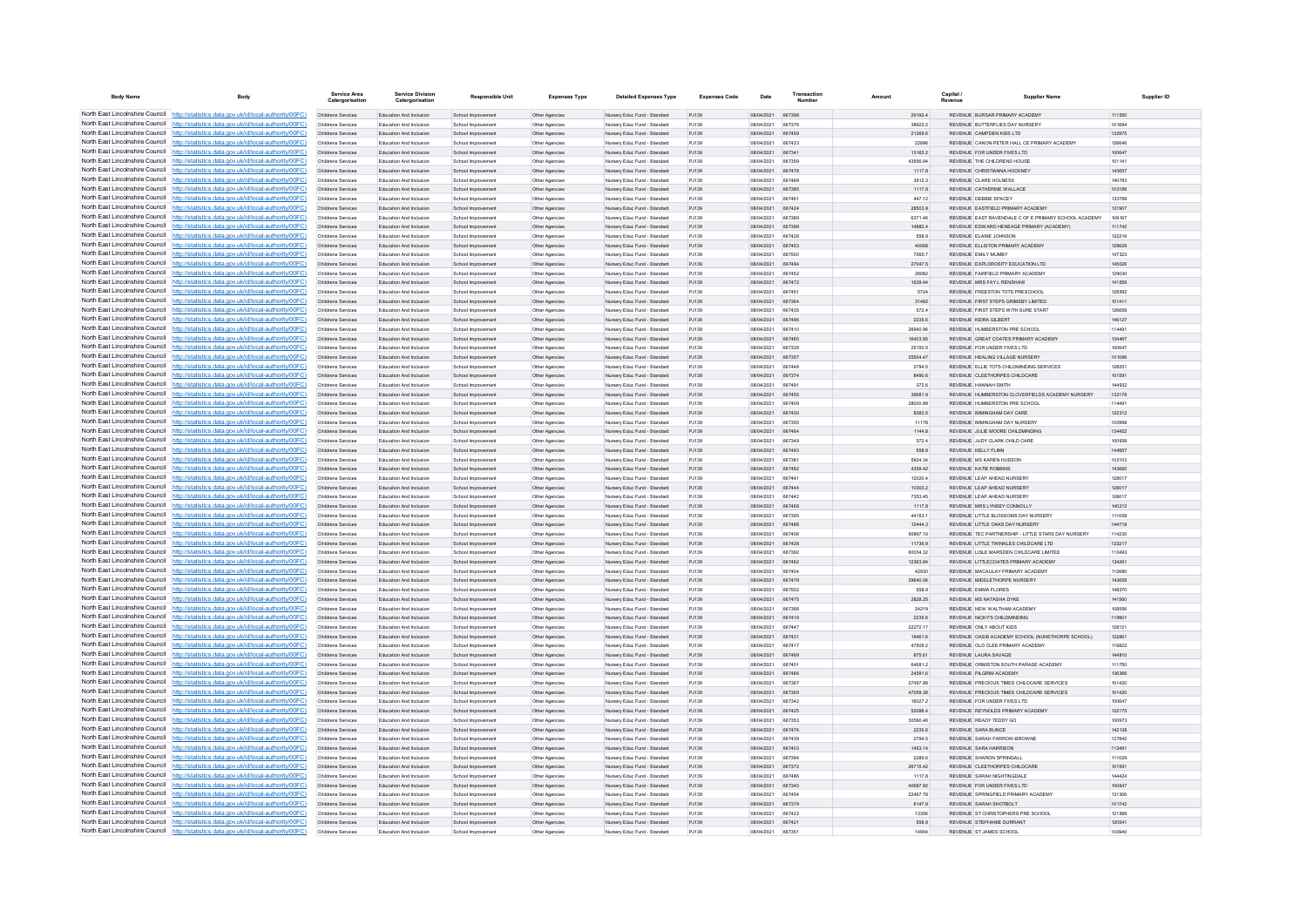| <b>Body Name</b>                                                        | Body                                                                                                                                                                               | Service Area<br>Catergorisati                   | <b>Service Division</b><br>Catergorisation                | <b>Responsible Unit</b>                  | <b>Expenses Type</b>             | <b>Detailed Expenses Type</b>                                | <b>Expenses Code</b> | Date                            | Transaction             | Amount              | Capital / | <b>Supplier Name</b>                                                                             | Supplier ID      |
|-------------------------------------------------------------------------|------------------------------------------------------------------------------------------------------------------------------------------------------------------------------------|-------------------------------------------------|-----------------------------------------------------------|------------------------------------------|----------------------------------|--------------------------------------------------------------|----------------------|---------------------------------|-------------------------|---------------------|-----------|--------------------------------------------------------------------------------------------------|------------------|
|                                                                         | North East Lincolnshire Council http://statistics.data.gov.uk/id/local-authority/00FC)                                                                                             | Childrens Services                              | Education And Inclusion                                   | School Improvement                       | Other Agencies                   | Nursery Educ Fund - Standard                                 | PJ139                | 08/04/2021 667398               |                         | 29192.4             |           | REVENUE BURSAR PRIMARY ACADEMY                                                                   | 111550           |
|                                                                         | North East Lincolnshire Council http://statistics.data.gov.uk/id/local-authority/00FC)                                                                                             | Childrens Services                              | Education And Inclusion                                   | School Improvement                       | Other Agencies                   | Nursery Educ Fund - Standard                                 | PJ139                | 08/04/2021                      | 667376                  | 38923.2             |           | REVENUE BUTTERFLIES DAY NURSERY                                                                  | 101694           |
|                                                                         | North East Lincolnshire Council http://statistics.data.gov.uk/id/local-authority/00FC)                                                                                             | Childrens Services                              | Education And Inclusion                                   | School Improvemen                        | Other Agencies                   | Nursery Educ Fund - Standard                                 | PJ139                | 08/04/2021                      | 667459                  | 21369.6             |           | REVENUE CAMPDEN KIDS I TD                                                                        | 132975           |
|                                                                         | North East Lincolnshire Council http://statistics.data.gov.uk/id/local-authority/00FC)                                                                                             | Childrens Services                              | <b>Education And Inclusion</b>                            | School Improvement                       | Other Agencies                   | Nursery Educ Fund - Standard                                 | P.1139               | 08/04/2021                      | 667433                  | <b>22896</b>        |           | REVENUE, CANON PETER HALL CE PRIMARY ACADEMY                                                     | 126646           |
|                                                                         | North East Lincolnshire Council http://statistics.data.gov.uk/id/local-authority/00FC)<br>North East Lincolnshire Council http://statistics.data.gov.uk/id/local-authority/00FC)   | Childrens Services<br>Childrens Services        | Education And Inclusion<br>Education And Inclusion        | School Improvement<br>School Improvement | Other Agencies<br>Other Agencies | Nursery Educ Fund - Standard<br>Nursery Educ Fund - Standard | P.1139<br>PJ139      | 08/04/2021 667341<br>08/04/2021 | 667359                  | 13165.2<br>43556.94 |           | REVENUE FOR UNDER FIVES LTD<br>REVENUE THE CHILDRENS HOUSE                                       | 100647<br>101141 |
|                                                                         | North East Lincolnshire Council http://statistics.data.gov.uk/id/local-authority/00FC)                                                                                             | Childrens Services                              | Education And Inclusion                                   | School Improvement                       | Other Agencie                    | Nursery Educ Fund - Standard                                 | PJ139                | 08/04/2021                      | 667478                  | 1117.8              |           | REVENUE CHRISTIANNA HOCKNEY                                                                      | 143657           |
|                                                                         | North East Lincolnshire Council http://statistics.data.gov.uk/id/local-authority/00FC)                                                                                             | Childrens Services                              | <b>Education And Inclusion</b>                            | School Improvement                       | Other Agencies                   | Nursery Educ Fund - Standard                                 | P.1139               | 08/04/2021                      | 667469                  | 3912.3              |           | REVENUE CLARE HOLNESS.                                                                           | 140793           |
| North East Lincolnshire Council                                         | http://statistics.data.gov.uk/id/local-authority/00FC)                                                                                                                             | Childrens Services                              | Education And Inclusion                                   | School Improvement                       | Other Agencies                   | Nursery Educ Fund - Standard                                 | PJ139                | 08/04/2021                      | 667385                  | 1117.8              |           | REVENUE CATHERINE WALLACE                                                                        | 103189           |
|                                                                         | North East Lincolnshire Council http://statistics.data.gov.uk/id/local-authority/00FC)                                                                                             | Childrens Services                              | Education And Inclusion                                   | School Improvemer                        | Other Agencies                   | Nursery Educ Fund - Standard                                 | PJ139                | 08/04/2021                      | 667461                  | 447.12              |           | REVENUE DEBBIE SPACEY                                                                            | 133789           |
|                                                                         | North East Lincolnshire Council http://statistics.data.gov.uk/id/local-authority/00FC)<br>North East Lincolnshire Council http://statistics.data.gov.uk/id/local-authority/00FC)   | Childrens Services                              | Education And Inclusion                                   | School Improvement                       | Other Agencies                   | Nursery Educ Fund - Standard                                 | PJ139                | 08/04/2021                      | 667424                  | 28503.9             |           | REVENUE FASTEIELD PRIMARY ACADEMY                                                                | 121907           |
|                                                                         | North East Lincolnshire Council http://statistics.data.gov.uk/id/local-authority/00FC)                                                                                             | Childrens Services<br>Childrens Services        | Education And Inclusion<br>Education And Inclusion        | School Improvement<br>School Improvement | Other Agencies<br>Other Agencies | Nursery Educ Fund - Standard<br>Nursery Educ Fund - Standard | P.1139<br>PJ139      | 08/04/2021<br>08/04/2021 667399 | 667389                  | 6371.46<br>14882.4  |           | REVENUE EAST RAVENDALE C OF E PRIMARY SCHOOL ACADEMY<br>REVENUE EDWARD HENEAGE PRIMARY (ACADEMY) | 109167<br>111742 |
|                                                                         | North East Lincolnshire Council http://statistics.data.gov.uk/id/local-authority/00FC)                                                                                             | Childrens Services                              | Education And Inclusion                                   | School Improvement                       | Other Agencies                   | Nursery Educ Fund - Standard                                 | PJ139                | 08/04/2021                      | 667426                  | 558.9               |           | REVENUE ELAINE JOHNSON                                                                           | 122216           |
|                                                                         | North East Lincolnshire Council http://statistics.data.gov.uk/id/local-authority/00FC)                                                                                             | Childrens Services                              | <b>Education And Inclusion</b>                            | School Improvement                       | Other Agencies                   | Nursery Educ Fund - Standard                                 | P.1139               | 08/04/2021                      | 667453                  | 40068               |           | REVENUE ELLISTON PRIMARY ACADEMY                                                                 | 129629           |
| North East Lincolnshire Council                                         | http://statistics.data.gov.uk/id/local-authority/00FC)                                                                                                                             | Childrens Services                              | Education And Inclusion                                   | School Improvement                       | Other Agencies                   | Nursery Educ Fund - Standard                                 | P.1139               | 08/04/2021                      | 667500                  | 7265.7              |           | REVENUE FMLY MUMBY                                                                               | 147323           |
| North East Lincolnshire Council                                         | http://statistics.data.gov.uk/id/local-authority/00FC)                                                                                                                             | Childrens Services                              | Education And Inclusion                                   | School Improvement                       | Other Agencies                   | Nursery Educ Fund - Standard                                 | PJ139                | 08/04/2021                      | 667494                  | 27047.5             |           | REVENUE EXPLOROSITY EDUCATION LTD                                                                | 145026           |
|                                                                         | North East Lincolnshire Council http://statistics.data.gov.uk/id/local-authority/00FC)<br>North East Lincolnshire Council http://statistics.data.gov.uk/id/local-authority/00FC)   | Childrens Services<br>Childrens Services        | Education And Inclusion<br>Education And Inclusion        | School Improvement<br>School Improvement | Other Agencie                    | Nursery Educ Fund - Standard<br>Nursery Educ Fund - Standard | P.1139<br>P.1139     | COCUMUNIO<br>08/04/2021         | <b>BR7452</b><br>667472 | 26082<br>1639.44    |           | REVENUE FAIRFIELD PRIMARY ACADEMY<br>REVENUE MRS FAY LRENSHAW                                    | 129030<br>141559 |
|                                                                         | North East Lincolnshire Council   http://statistics.data.gov.uk/id/local-authority/00FC)                                                                                           | Childrens Services                              | Education And Inclusion                                   | School Improvement                       | Other Agencies<br>Other Agencies | Nursery Educ Fund - Standard                                 | PJ139                | 08/04/2021                      | 667451                  | 5724                |           | REVENUE FREESTON TOTS PRESCHOOL                                                                  | 128592           |
|                                                                         | North East Lincolnshire Council http://statistics.data.gov.uk/id/local-authority/00FC)                                                                                             | Childrens Services                              | Education And Inclusion                                   | School Improvement                       | Other Agencies                   | Nursery Educ Fund - Standard                                 | PJ139                | 08/04/2021                      | 667364                  | 31482               |           | REVENUE FIRST STEPS GRIMSBY LIMITED                                                              | 101411           |
|                                                                         | North East Lincolnshire Council http://statistics.data.gov.uk/id/local-authority/00FC)                                                                                             | Childrens Services                              | Education And Inclusion                                   | School Improvement                       | Other Agencies                   | Nursery Educ Fund - Standard                                 | P.1139               | 08/04/2021                      | 667435                  | 572.4               |           | REVENUE FIRST STEPS WITH SURE START                                                              | 126658           |
|                                                                         | North East Lincolnshire Council http://statistics.data.gov.uk/id/local-authority/00FC)                                                                                             | Childrens Services                              | Education And Inclusion                                   | School Improvement                       | Other Agencies                   | Nursery Educ Fund - Standard                                 | PJ139                | 08/04/2021                      | 667496                  | 2235.6              |           | REVENUE KEIRA GILBERT                                                                            | 146127           |
| North East Lincolnshire Council                                         | http://statistics.data.gov.uk/id/local-authority/00FC)                                                                                                                             | Childrens Services                              | Education And Inclusion                                   | School Improvement                       | Other Agencies                   | Nursery Educ Fund - Standard                                 | PJ139                | 08/04/2021                      | 667410                  | 26940.96            |           | REVENUE HUMBERSTON PRE SCHOOL                                                                    | 114491           |
|                                                                         | North East Lincolnshire Council http://statistics.data.gov.uk/id/local-authority/00FC)                                                                                             | Childrens Services                              | Education And Inclusion                                   | School Improvemen                        | Other Agencies                   | Nursery Educ Fund - Standard                                 | PJ139                | 08/04/2021                      | 667465                  | 16403.85            |           | REVENUE GREAT COATES PRIMARY ACADEMY                                                             | 134467           |
|                                                                         | North East Lincolnshire Council http://statistics.data.gov.uk/id/local-authority/00FC)<br>North East Lincolnshire Council http://statistics.data.gov.uk/id/local-authority/00FC)   | Childrens Services<br><b>Childrens Services</b> | Education And Inclusion<br>Education And Inclusion        | School Improvement<br>School Improvement | Other Agencies<br>Other Agencies | Nursery Educ Fund - Standard<br>Nursery Educ Fund - Standard | P.1139<br>P.1139     | 08/04/2021<br>08/04/2021 667357 | 667339                  | 25150.5<br>25504.47 |           | REVENUE FOR UNDER EMES LTD.<br>REVENUE HEALING VILLAGE NURSERY                                   | 100647<br>101096 |
|                                                                         | North East Lincolnshire Council http://statistics.data.gov.uk/id/local-authority/00FC)                                                                                             | Childrens Services                              | Education And Inclusion                                   | School Improvement                       | Other Agencies                   | Nursery Educ Fund - Standard                                 | PJ139                | 08/04/2021                      | 667448                  | 2794.5              |           | REVENUE ELLIE TOTS CHILDMINDING SERVICES                                                         | 128251           |
|                                                                         | North East Lincolnshire Council http://statistics.data.gov.uk/id/local-authority/00FC)                                                                                             | Childrens Services                              | Education And Inclusion                                   | School Improvement                       | Other Agencies                   | Nursery Educ Fund - Standard                                 | PJ139                | 08/04/2021                      | 667374                  | 8490.6              |           | REVENUE CLEETHORPES CHILDCARE                                                                    | 101591           |
|                                                                         | North East Lincolnshire Council http://statistics.data.gov.uk/id/local-authority/00FC)                                                                                             | Childrens Services                              | <b>Education And Inclusion</b>                            | School Improvement                       | Other Agencies                   | Nursery Educ Fund - Standard                                 | P.1139               | 08/04/2021                      | 667491                  | 372 B               |           | REVENUE HANNAH SMITH                                                                             | 144932           |
| North East Lincolnshire Council                                         | http://statistics.data.gov.uk/id/local-authority/00FC)                                                                                                                             | Childrens Services                              | Education And Inclusion                                   | School Improvement                       | Other Agencies                   | Nursery Educ Fund - Standard                                 | PJ139                | 08/04/2021                      | 667455                  | 39681.9             |           | REVENUE HUMBERSTON CLOVERFIELDS ACADEMY NURSERY                                                  | 132178           |
|                                                                         | North East Lincolnshire Council http://statistics.data.gov.uk/id/local-authority/00FC)                                                                                             | Childrens Services                              | Education And Inclusio                                    | School Improvemen                        | Other Agencie                    | Nursery Educ Fund - Standard                                 | PJ139                | 08/04/2021                      | 667409                  | 28000.89            |           | REVENUE HUMBERSTON PRE SCHOO                                                                     | 114491           |
|                                                                         | North East Lincolnshire Council http://statistics.data.gov.uk/id/local-authority/00FC)<br>North East Lincolnshire Council http://statistics.data.gov.uk/id/local-authority/00FC)   | Childrens Services<br>Childrens Services        | Education And Inclusion<br>Education And Inclusion        | School Improvement                       | Other Agencies                   | Nursery Educ Fund - Standard                                 | PJ139<br>P.1139      | 08/04/2021<br>08/04/2021        | 667430<br>667355        | 8383.5<br>1117R     |           | REVENUE IMMINGHAM DAY CARE<br>REVENUE IMMINGHAM DAY NURSERY                                      | 122312<br>100998 |
|                                                                         | North East Lincolnshire Council http://statistics.data.gov.uk/id/local-authority/00FC)                                                                                             | Childrens Services                              | Education And Inclusion                                   | School Improvement<br>School Improvement | Other Agencies<br>Other Agencies | Nursery Educ Fund - Standard<br>Nursery Educ Fund - Standard | PJ139                | 08/04/2021 667464               |                         | 1144.8              |           | REVENUE JULIE MOORE CHILDMINDING                                                                 | 134452           |
|                                                                         | North East Lincolnshire Council http://statistics.data.gov.uk/id/local-authority/00FC)                                                                                             | Childrens Services                              | Education And Inclusion                                   | School Improvement                       | Other Agencies                   | Nursery Educ Fund - Standard                                 | PJ139                | 08/04/2021                      | 667349                  | 572.4               |           | REVENUE JUDY CLARK CHILD CARE                                                                    | 100939           |
|                                                                         | North East Lincolnshire Council http://statistics.data.gov.uk/id/local-authority/00FC)                                                                                             | Childrens Services                              | Education And Inclusion                                   | School Improvement                       | Other Agencies                   | Nursery Educ Fund - Standard                                 | PJ139                | 08/04/2021                      | 667493                  | 558.9               |           | REVENUE KELLY FLINN                                                                              | 144957           |
| North East Lincolnshire Council                                         | http://statistics.data.gov.uk/id/local-authority/00EC).                                                                                                                            | Childrens Services                              | <b>Education And Inclusion</b>                            | School Improvement                       | Other Agencies                   | Nursery Educ Fund - Standard                                 | P.1139               | 08/04/2021                      | 667381                  | 5924.34             |           | REVENUE MS KAREN HUDSON                                                                          | 102103           |
| North East Lincolnshire Council                                         | tatistics data gov uk/id/local-authority/00EC)                                                                                                                                     | Childrens Services                              | Education And Inclusion                                   | School Improvement                       | Other Agencies                   | Nursery Educ Fund - Standard                                 | PJ139                | 08/04/2021                      | 667482                  | 4359.42             |           | REVENUE KATIE ROBBINS                                                                            | 143660           |
|                                                                         | North East Lincolnshire Council http://statistics.data.gov.uk/id/local-authority/00FC)<br>North East Lincolnshire Council http://statistics.data.gov.uk/id/local-authority/00FC)   | Childrens Services                              | Education And Inclusion                                   | School Improvemer                        | Other Agencies                   | Nursery Educ Fund - Standard                                 | PJ139                | 08/04/2021                      | 667441                  | 12020.4             |           | REVENUE LEAP AHEAD NURSERY                                                                       | 128017           |
|                                                                         | North East Lincolnshire Council   http://statistics.data.gov.uk/id/local-authority/00FC)                                                                                           | Childrens Services<br>Childrens Services        | Education And Inclusion<br>Education And Inclusion        | School Improvement<br>School Improvement | Other Agencies<br>Other Agencies | Nursery Educ Fund - Standard<br>Nursery Educ Fund - Standard | PJ139<br>PJ139       | 08/04/2021<br>08/04/2021        | 667444<br>667442        | 10303.2<br>7353.45  |           | REVENUE LEAP AHEAD NURSERY<br>REVENUE LEAP AHEAD NURSERY                                         | 128017<br>128017 |
|                                                                         | North East Lincolnshire Council http://statistics.data.gov.uk/id/local-authority/00FC)                                                                                             | Childrens Services                              | Education And Inclusion                                   | School Improvement                       | Other Agencies                   | Nursery Educ Fund - Standard                                 | PJ139                | 08/04/2021                      | 667468                  | 1117.8              |           | REVENUE MRS LYNSEY CONNOLLY                                                                      | 140212           |
|                                                                         | North East Lincolnshire Council http://statistics.data.gov.uk/id/local-authority/00FC)                                                                                             | Childrens Services                              | Education And Inclusion                                   | School Improvemen                        | Other Agencies                   | Nursery Educ Fund - Standard                                 | PJ139                | 08/04/2021                      | 667395                  | 44153.1             |           | REVENUE LITTLE BLOSSOMS DAY NURSERY                                                              | 111058           |
|                                                                         | North East Lincolnshire Council http://statistics.data.gov.uk/id/local-authority/00FC)                                                                                             | Childrens Services                              | Education And Inclusion                                   | School Improvement                       | Other Agencies                   | Nursery Educ Fund - Standard                                 | PJ139                | 08/04/2021                      | 667488                  | 12444.3             |           | REVENUE LITTLE OAKS DAY NURSERY                                                                  | 144718           |
|                                                                         | North East Lincolnshire Council http://statistics.data.gov.uk/id/local-authority/00FC)                                                                                             | <b>Childrens Services</b>                       | Education And Inclusion                                   | School Improvement                       | Other Agencies                   | Nursery Educ Fund - Standard                                 | P.1139               | 08/04/2021                      | 667406                  | 50897.16            |           | REVENUE TEC PARTNERSHIP - LITTLE STARS DAY NURSERY                                               | 114230           |
|                                                                         | North East Lincolnshire Council http://statistics.data.gov.uk/id/local-authority/00FC)<br>North East Lincolnshire Council http://statistics.data.gov.uk/id/local-authority/00FC)   | Childrens Services<br>Childrens Services        | Education And Inclusion<br><b>Education And Inclusion</b> | School Improvement                       | Other Agencies                   | Nursery Educ Fund - Standard                                 | PJ139<br>PJ139       | 08/04/2021<br>160514001         | 667428<br>667392        | 11736.9<br>60034.32 |           | REVENUE LITTLE TWINKLES CHILDCARE LTD<br>REVENUE LISLE MARSDEN CHILDCARE LIMITED                 | 122217<br>110493 |
|                                                                         | North East Lincolnshire Council   http://statistics.data.gov.uk/id/local-authority/00FC)                                                                                           | Childrens Services                              | Education And Inclusion                                   | School Improvement<br>School Improvement | Other Agencie<br>Other Agencies  | Nursery Educ Fund - Standard<br>Nursery Educ Fund - Standard | P.1139               | 08/04/2021                      | 667462                  | 12363.84            |           | REVENUE LITTLECOATES PRIMARY ACADEMY                                                             | 134261           |
|                                                                         | North East Lincolnshire Council http://statistics.data.gov.uk/id/local-authority/00FC)                                                                                             | Childrens Services                              | <b>Education And Inclusion</b>                            | School Improvement                       | Other Agencies                   | Nursery Educ Fund - Standard                                 | P.1139               | 08/04/2021                      | 667404                  | 42930               |           | REVENUE, MACAULAY PRIMARY ACADEMY                                                                | 112680           |
|                                                                         | North East Lincolnshire Council http://statistics.data.gov.uk/id/local-authority/00FC)                                                                                             | Childrens Services                              | Education And Inclusion                                   | School Improvement                       | Other Agencies                   | Nursery Educ Fund - Standard                                 | PJ139                | 08/04/2021                      | 667479                  | 29640.06            |           | REVENUE MIDDLETHORPE NURSERY                                                                     | 143658           |
|                                                                         | North East Lincolnshire Council http://statistics.data.gov.uk/id/local-authority/00FC)                                                                                             | Childrens Services                              | Education And Inclusion                                   | School Improvement                       | Other Agencies                   | Nursery Educ Fund - Standard                                 | PJ139                | 08/04/2021                      | 667502                  | 558.9               |           | REVENUE EMMA FLORES                                                                              | 148270           |
| North East Lincolnshire Council<br>North East Lincolnshire Council      | http://statistics.data.gov.uk/id/local-authority/00FC)                                                                                                                             | Childrens Services                              | Education And Inclusion                                   | School Improvement                       | Other Agencies                   | Nursery Educ Fund - Standard                                 | PJ139                | 08/04/2021                      | 667475                  | 2828.25             |           | REVENUE MS NATASHA DYKE                                                                          | 141560           |
|                                                                         | http://statistics.data.gov.uk/id/local-authority/00FC)<br>North East Lincolnshire Council http://statistics.data.gov.uk/id/local-authority/00FC)                                   | Childrens Services<br>Childrens Services        | Education And Inclusion<br>Education And Inclusion        | School Improvemen<br>School Improvemen   | Other Agencies<br>Other Agencies | Nursery Educ Fund - Standard<br>Nursery Educ Fund - Standard | PJ139<br>PJ139       | 08/04/2021<br>08/04/2021        | 667388<br>667419        | 24219<br>2235.6     |           | REVENUE NEW WALTHAM ACADEMY<br>REVENUE NICKY'S CHILDMINDING                                      | 108556<br>119901 |
|                                                                         | North East Lincolnshire Council http://statistics.data.gov.uk/id/local-authority/00FC)                                                                                             | Childrens Services                              | Education And Inclusion                                   | School Improvement                       | Other Agencies                   | Nursery Educ Fund - Standard                                 | P.1139               | 08/04/2021                      | 667447                  | 22272 17            |           | REVENUE ONLY AROUT KIDS                                                                          | 128121           |
|                                                                         | North East Lincolnshire Council http://statistics.data.gov.uk/id/local-authority/00FC)                                                                                             | Childrens Services                              | Education And Inclusion                                   | School Improvement                       | Other Agencies                   | Nursery Educ Fund - Standard                                 | PJ139                | 08/04/2021                      | 667431                  | 19461.6             |           | REVENUE OASIS ACADEMY SCHOOL (NUNSTHORPE SCHOOL)                                                 | 122861           |
|                                                                         | North East Lincolnshire Council http://statistics.data.gov.uk/id/local-authority/00FC)                                                                                             | Childrens Services                              | Education And Inclusion                                   | School Improvement                       | Other Agencies                   | Nursery Educ Fund - Standard                                 | PJ139                | 08/04/2021                      | 667417                  | 47509.2             |           | REVENUE OLD CLEE PRIMARY ACADEMY                                                                 | 119822           |
|                                                                         | North East Lincolnshire Council http://statistics.data.gov.uk/id/local-authority/00FC)                                                                                             | Childrens Services                              | Education And Inclusion                                   | School Improvement                       | Other Agencies                   | Nursery Educ Fund - Standard                                 | PJ139                | 08/04/2021                      | 667489                  | 875.61              |           | REVENUE LAURA SAVAGE                                                                             | 144810           |
| North East Lincolnshire Council<br>North East Lincolnshire Council http | http://statistics.data.gov.uk/id/local-authority/00EC)<br>//statistics.data.gov.uk/id/local-authority/00EC)                                                                        | Childrens Services                              | <b>Education And Inclusion</b>                            | School Improvement                       | Other Agencies                   | Nursery Educ Fund - Standard                                 | P.1139               | 08/04/2021                      | 667401                  | 64681.2             |           | REVENUE ORMISTON SOUTH PARADE ACADEMY                                                            | 111750           |
|                                                                         | North East Lincolnshire Council http://statistics.data.gov.uk/id/local-authority/00FC)                                                                                             | Childrens Services<br>Childrens Services        | Education And Inclusion<br>Education And Inclusion        | School Improvement<br>School Improvemer  | Other Agencies<br>Other Agencies | Nursery Educ Fund - Standard<br>Nursery Educ Fund - Standard | PJ139<br>PJ139       | 08/04/2021<br>08/04/2021        | 667466<br>667367        | 24591.6<br>27497.88 |           | REVENUE PILGRIM ACADEMY<br>REVENUE PRECIOUS TIMES CHILDCARE SERVICES                             | 136366<br>101420 |
|                                                                         | North East Lincolnshire Council http://statistics.data.gov.uk/id/local-authority/00FC)                                                                                             | Childrens Services                              | Education And Inclusion                                   | School Improvement                       | Other Agencie                    | Nursery Educ Fund - Standard                                 | PJ139                | 08/04/2021                      | 667369                  | 47059.38            |           | REVENUE PRECIOUS TIMES CHILDCARE SERVICES                                                        | 101420           |
|                                                                         | North East Lincolnshire Council   http://statistics.data.gov.uk/id/local-authority/00FC)                                                                                           | Childrens Services                              | Education And Inclusion                                   | School Improvement                       | Other Agencies                   | Nursery Educ Fund - Standard                                 | PJ139                | 08/04/2021                      | 667342                  | 16027.2             |           | REVENUE FOR UNDER FIVES LTD                                                                      | 100647           |
|                                                                         | North East Lincolnshire Council http://statistics.data.gov.uk/id/local-authority/00FC)                                                                                             | Childrens Services                              | Education And Inclusion                                   | School Improvement                       | Other Agencies                   | Nursery Educ Fund - Standard                                 | PJ139                | 08/04/2021                      | 667425                  | 52088.4             |           | REVENUE REYNOLDS PRIMARY ACADEMY                                                                 | 122175           |
|                                                                         | North East Lincolnshire Council http://statistics.data.gov.uk/id/local-authority/00FC)                                                                                             | Childrens Services                              | Education And Inclusion                                   | School Improvement                       | Other Agencies                   | Nursery Educ Fund - Standard                                 | PJ139                | 08/04/2021                      | 667353                  | 30590.46            |           | REVENUE READY TEDDY GO                                                                           | 100973           |
| North East Lincolnshire Council                                         | North East Lincolnshire Council http://statistics.data.gov.uk/id/local-authority/00FC)<br>http://statistics.data.gov.uk/id/local-authority/00EC).                                  | Childrens Services                              | Education And Inclusion                                   | School Improvement                       | Other Agencies                   | Nursery Educ Fund - Standard                                 | PJ139                | 08/04/2021                      | 667476                  | 2235.6              |           | REVENUE SARA BUNCE                                                                               | 142138           |
|                                                                         | North East Lincolnshire Council http://statistics.data.gov.uk/id/local-authority/00FC)                                                                                             | <b>Childrens Services</b><br>Childrens Services | Education And Inclusion<br>Education And Inclusion        | School Improvement<br>School Improvement | Other Agencies<br>Other Agencies | Nursery Educ Fund - Standard<br>Nursery Educ Fund - Standard | P.1139<br>PJ139      | 08/04/2021<br>08/04/2021        | 667439<br>667403        | 2794.5<br>1453.14   |           | REVENUE SARAH FARROW-BROWNE<br>REVENUE SARA HARRISON                                             | 127842<br>112491 |
|                                                                         | North East Lincolnshire Council http://statistics.data.gov.uk/id/local-authority/00FC)                                                                                             | Childrens Services                              | <b>Education And Inclusion</b>                            | School Improvement                       | Other Agencie                    | Nursery Educ Fund - Standard                                 | P.1139               | 160514001                       | <b>667394</b>           | 2289.6              |           | <b>PEVENHE SHARON SPRINGALL</b>                                                                  | 111029           |
|                                                                         | North East Lincolnshire Council http://statistics.data.gov.uk/id/local-authority/00FC)                                                                                             | Childrens Services                              | Education And Inclusion                                   | School Improvement                       | Other Agencies                   | Nursery Educ Fund - Standard                                 | P.1139               | 08/04/2021                      | 667372                  | 26715.42            |           | REVENUE CLEETHORPES CHILDCARE                                                                    | 101591           |
|                                                                         | North East Lincolnshire Council http://statistics.data.gov.uk/id/local-authority/00FC)                                                                                             | Childrens Services                              | Education And Inclusion                                   | School Improvement                       | Other Agencies                   | Nursery Educ Fund - Standard                                 | P.1139               | 08/04/2021                      | 667486                  | 1117 R              |           | REVENUE SARAH NIGHTINGDALE                                                                       | 144424           |
|                                                                         | North East Lincolnshire Council http://statistics.data.gov.uk/id/local-authority/00FC)                                                                                             | Childrens Services                              | Education And Inclusion                                   | School Improvement                       | Other Agencies                   | Nursery Educ Fund - Standard                                 | PJ139                | 08/04/2021                      | 667345                  | 40687.92            |           | REVENUE FOR UNDER FIVES LTD                                                                      | 100647           |
|                                                                         | North East Lincolnshire Council http://statistics.data.gov.uk/id/local-authority/00FC)                                                                                             | Childrens Services                              | Education And Inclusion                                   | School Improvement                       | Other Agencies                   | Nursery Educ Fund - Standard                                 | P.1139               | 08/04/2021                      | 667454                  | 22467.78            |           | REVENUE SPRINGFIELD PRIMARY ACADEMY                                                              | 131306           |
|                                                                         | North East Lincolnshire Council   http://statistics.data.gov.uk/id/local-authority/00FC)<br>North East Lincolnshire Council http://statistics.data.gov.uk/id/local-authority/00FC) | Childrens Services<br>Childrens Services        | Education And Inclusion<br>Education And Inclusion        | School Improvement<br>School Improvement | Other Agencies<br>Other Agencies | Nursery Educ Fund - Standard<br>Nursery Educ Fund - Standard | PJ139<br>PJ139       | 08/04/2021<br>08/04/2021        | 667379<br>667422        | 6147.9<br>13356     |           | REVENUE SARAH SHOTBOLT<br>REVENUE ST CHRISTOPHERS PRE SCHOOL                                     | 101742<br>121589 |
|                                                                         | North East Lincolnshire Council http://statistics.data.gov.uk/id/local-authority/00FC)                                                                                             | Childrens Services                              | Education And Inclusion                                   | School Improvement                       | Other Agencies                   | Nursery Educ Fund - Standard                                 | PJ139                | 08/04/2021                      | 667421                  | 558.9               |           | REVENUE STEPHANIE DURRANT                                                                        | 120541           |
|                                                                         | North East Lincolnshire Council http://statistics.data.gov.uk/id/local-authority/00FC)                                                                                             | Childrens Services                              | Education And Inclusion                                   | School Improvement                       | Other Agencies                   | Nursery Educ Fund - Standard                                 | P.1139               | 08/04/2021 667351               |                         | 14904               |           | REVENUE ST JAMES SCHOOL                                                                          | 100940           |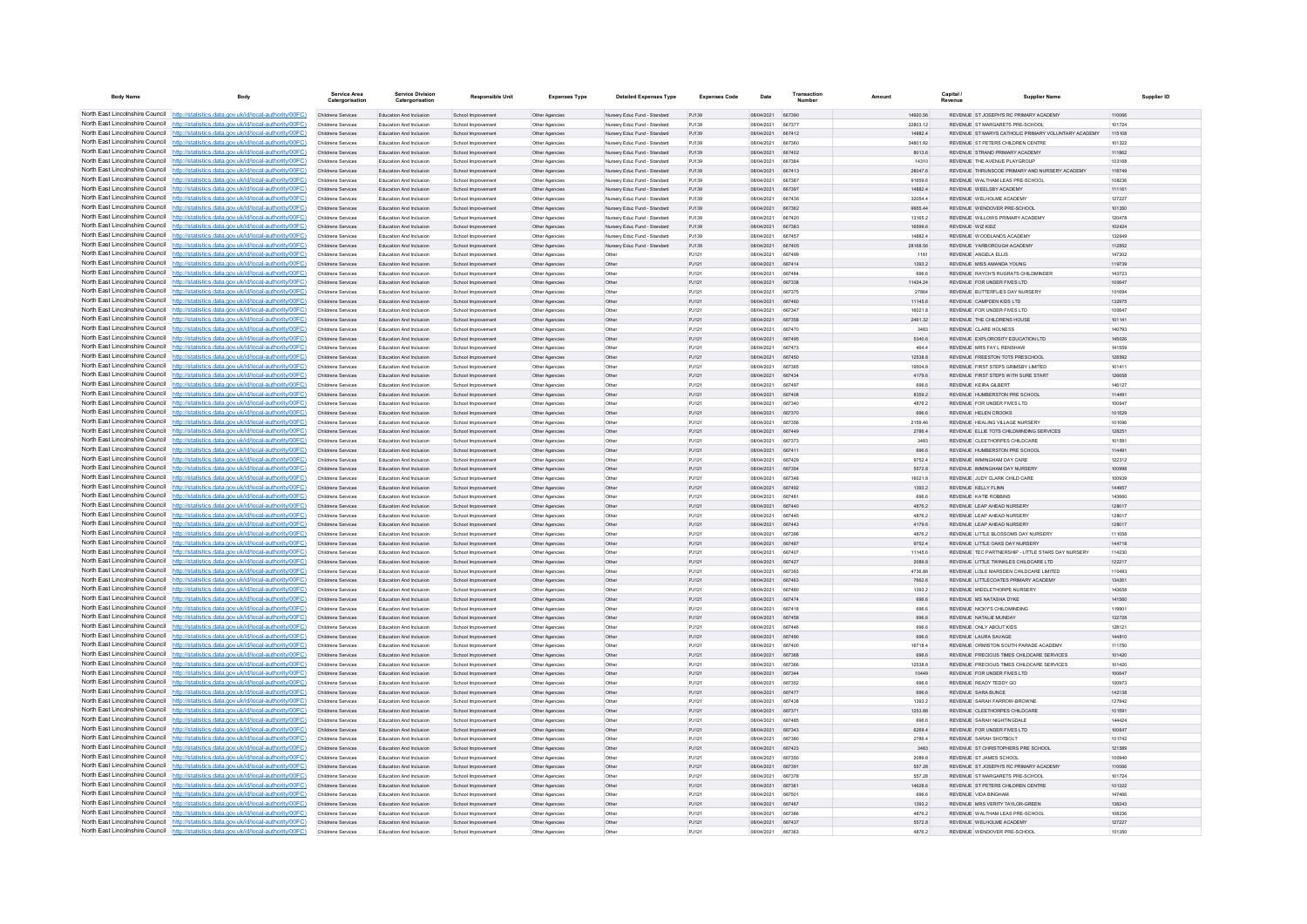| <b>Body Name</b>                | Body                                                                                                                                                                             | Service Area                                    | <b>Service Division</b><br>Catergorisation         | <b>Responsible Unit</b>                  | <b>Expenses Type</b>             | <b>Detailed Expenses Type</b>                                | <b>Expenses Code</b> | Date                                   | Transaction      | Amount             | Capital /        | <b>Supplier Name</b>                                                      | Supplier ID      |
|---------------------------------|----------------------------------------------------------------------------------------------------------------------------------------------------------------------------------|-------------------------------------------------|----------------------------------------------------|------------------------------------------|----------------------------------|--------------------------------------------------------------|----------------------|----------------------------------------|------------------|--------------------|------------------|---------------------------------------------------------------------------|------------------|
|                                 | North East Lincolnshire Council http://statistics.data.gov.uk/id/local-authority/00FC)                                                                                           | Childrens Services                              | Education And Inclusion                            | School Improvement                       | Other Agencies                   | Nursery Educ Fund - Standard                                 | PJ139                | 08/04/2021 667390                      |                  | 14920.56           |                  | REVENUE ST JOSEPH'S RC PRIMARY ACADEMY                                    | 110066           |
|                                 | North East Lincolnshire Council http://statistics.data.gov.uk/id/local-authority/00FC)                                                                                           | Childrens Services                              | Education And Inclusion                            | School Improvement                       | Other Agencies                   | Nursery Educ Fund - Standard                                 | PJ139                | 08/04/2021                             | 66737            | 22803.12           |                  | REVENUE ST MARGARETS PRE-SCHOOL                                           | 101724           |
|                                 | North East Lincolnshire Council http://statistics.data.gov.uk/id/local-authority/00FC)                                                                                           | Childrens Services                              | Education And Inclusion                            | School Improvement                       | Other Agencies                   | Nursery Educ Fund - Standard                                 | PJ139                | 08/04/2021                             | 667412           | 14882.4            |                  | REVENUE ST MARYS CATHOLIC PRIMARY VOLUNTARY ACADEMY                       | 115108           |
|                                 | North East Lincolnshire Council http://statistics.data.gov.uk/id/local-authority/00FC)<br>North East Lincolnshire Council http://statistics.data.gov.uk/id/local-authority/00FC) | Childrens Services                              | <b>Education And Inclusion</b>                     | School Improvement                       | Other Agencies                   | Nursery Educ Fund - Standard<br>Nursery Educ Fund - Standard | P.1139<br>P.1139     | 08/04/2021<br>08/04/2021 667402        | 667360           | 34801.92           |                  | REVENUE ST PETERS CHILDREN CENTRE<br>REVENUE STRAND PRIMARY ACADEMY       | 101322<br>111862 |
|                                 | North East Lincolnshire Council   http://statistics.data.gov.uk/id/local-authority/00FC)                                                                                         | <b>Childrens Services</b><br>Childrens Services | Education And Inclusion<br>Education And Inclusion | School Improvement<br>School Improvement | Other Agencies<br>Other Agencies | Nursery Educ Fund - Standard                                 | PJ139                | 08/04/2021                             | 667384           | 8013.6<br>14310    |                  | REVENUE THE AVENUE PLAYGROUP                                              | 103168           |
|                                 | North East Lincolnshire Council http://statistics.data.gov.uk/id/local-authority/00FC)                                                                                           | Childrens Services                              | Education And Inclusion                            | School Improvement                       | Other Agencies                   | Nursery Educ Fund - Standard                                 | PJ139                | 08/04/2021                             | 667413           | 28047.6            |                  | REVENUE THRUNSCOE PRIMARY AND NURSERY ACADEMY                             | 118749           |
|                                 | North East Lincolnshire Council http://statistics.data.gov.uk/id/local-authority/00FC)                                                                                           | Childrens Services                              | Education And Inclusion                            | School Improvement                       | Other Agencies                   | Nursery Educ Fund - Standard                                 | P.1139               | 08/04/2021                             | 667387           | 91659.6            |                  | REVENUE WALTHAM LEAS PRE-SCHOOL                                           | 108236           |
| North East Lincolnshire Council | http://statistics.data.gov.uk/id/local-authority/00FC)                                                                                                                           | Childrens Services                              | Education And Inclusion                            | School Improvement                       | Other Agencies                   | Nursery Educ Fund - Standard                                 | PJ139                | 08/04/2021                             | 667397           | 14882.4            |                  | REVENUE WEELSBY ACADEMY                                                   | 111161           |
|                                 | North East Lincolnshire Council http://statistics.data.gov.uk/id/local-authority/00FC)                                                                                           | Childrens Services                              | Education And Inclusion                            | School Improvemen                        | Other Agencies                   | Nursery Educ Fund - Standard                                 | PJ139                | 08/04/2021                             | 667436           | 32054.4            |                  | REVENUE WELHOLME ACADEMY                                                  | 127227           |
|                                 | North East Lincolnshire Council http://statistics.data.gov.uk/id/local-authority/00FC)                                                                                           | Childrens Services                              | Education And Inclusion                            | School Improvement                       | Other Agencies                   | Nursery Educ Fund - Standard                                 | PJ139                | 08/04/2021                             | 667362           | 9955 44            |                  | REVENUE WENDOVER PRE-SCHOOL                                               | 101350           |
|                                 | North East Lincolnshire Council http://statistics.data.gov.uk/id/local-authority/00FC)                                                                                           | Childrens Services                              | Education And Inclusion                            | School Improvement                       | Other Agencies                   | Nursery Educ Fund - Standard                                 | P.1139               | 08/04/2021                             | 667420           | 13165.2            |                  | REVENUE WILLOWS PRIMARY ACADEMY                                           | 120478           |
|                                 | North East Lincolnshire Council http://statistics.data.gov.uk/id/local-authority/00FC)                                                                                           | Childrens Services                              | Education And Inclusion<br>Education And Inclusion | School Improvement                       | Other Agencies                   | Nursery Educ Fund - Standard                                 | PJ139<br>PJ139       | 08/04/2021 667383<br>08/04/2021        | 667457           | 16599.6<br>14882.4 | REVENUE WIZ KIDZ | REVENUE WOODLANDS ACADEMY                                                 | 102424<br>132649 |
|                                 | North East Lincolnshire Council http://statistics.data.gov.uk/id/local-authority/00FC)<br>North East Lincolnshire Council http://statistics.data.gov.uk/id/local-authority/00FC) | Childrens Services<br>Childrens Services        | <b>Education And Inclusion</b>                     | School Improvement<br>School Improvement | Other Agencies<br>Other Agencies | Nursery Educ Fund - Standard<br>Nursery Educ Fund - Standard | P.1139               | 08/04/2021                             | 667405           | 28168.56           |                  | REVENUE YARROROUGH ACADEMY                                                | 112852           |
| North East Lincolnshire Council | http://statistics.data.gov.uk/id/local-authority/00FC)                                                                                                                           | Childrens Services                              | Education And Inclusion                            | School Improvement                       | Other Agencies                   | Othe                                                         | P.1121               | 08/04/2021                             | 667499           | 1161               |                  | REVENUE ANGELA ELLIS                                                      | 147302           |
| North East Lincolnshire Council | http://statistics.data.gov.uk/id/local-authority/00FC)                                                                                                                           | Childrens Services                              | Education And Inclusion                            | School Improvement                       | Other Agencies                   | Other                                                        | PJ121                | 08/04/2021                             | 667414           | 1393.2             |                  | REVENUE MISS AMANDA YOUNG                                                 | 119739           |
|                                 | North East Lincolnshire Council http://statistics.data.gov.uk/id/local-authority/00FC)                                                                                           | Childrens Services                              | <b>Education And Inclusion</b>                     | School Improvement                       | Other Agencie                    | Other                                                        | PJ121                | 160514-0021                            | <b>BR7484</b>    | 896.6              |                  | REVENUE, RAYCH'S RUGRATS CHILDMINDER                                      | 143723           |
|                                 | North East Lincolnshire Council http://statistics.data.gov.uk/id/local-authority/00FC)                                                                                           | Childrens Services                              | Education And Inclusion                            | School Improvement                       | Other Agencies                   | Other                                                        | P.1121               | 08/04/2021 667338                      |                  | 11424 24           |                  | REVENUE FOR UNDER EMES LTD.                                               | 100647           |
|                                 | North East Lincolnshire Council   http://statistics.data.gov.uk/id/local-authority/00FC)                                                                                         | Childrens Services                              | Education And Inclusion                            | School Improvement                       | Other Agencies                   | Other                                                        | PJ121                | 08/04/2021                             | 667375           | 27864              |                  | REVENUE BUTTERFLIES DAY NURSERY                                           | 101694           |
|                                 | North East Lincolnshire Council http://statistics.data.gov.uk/id/local-authority/00FC)                                                                                           | Childrens Services                              | Education And Inclusion                            | School Improvement                       | Other Agencies                   | Othe                                                         | PJ121                | 08/04/2021                             | 667460           | 11145.6            |                  | REVENUE CAMPDEN KIDS LTD                                                  | 132975           |
|                                 | North East Lincolnshire Council http://statistics.data.gov.uk/id/local-authority/00FC)                                                                                           | Childrens Services                              | Education And Inclusion                            | School Improvement                       | Other Agencies                   | Other                                                        | P.1121               | 08/04/2021 667347                      |                  | 16021.8            |                  | REVENUE FOR UNDER FIVES LTD                                               | 100647           |
| North East Lincolnshire Council | North East Lincolnshire Council http://statistics.data.gov.uk/id/local-authority/00FC)<br>http://statistics.data.gov.uk/id/local-authority/00FC)                                 | Childrens Services                              | Education And Inclusion                            | School Improvement                       | Other Agencies                   | Other                                                        | PJ121                | 08/04/2021<br>08/04/2021               | 667358           | 2461.32            |                  | REVENUE THE CHILDRENS HOUSE<br>REVENUE CLARE HOLNESS                      | 101141           |
|                                 | North East Lincolnshire Council http://statistics.data.gov.uk/id/local-authority/00FC)                                                                                           | Childrens Services<br>Childrens Services        | Education And Inclusion<br>Education And Inclusion | School Improvement<br>School Improv      | Other Agencies<br>Other Agencies | Othe<br>Othe                                                 | PJ121<br>PJ121       | 08/04/2021                             | 667470<br>667495 | 3483<br>5340.6     |                  | REVENUE EXPLOROSITY EDUCATION LTD                                         | 140793<br>145026 |
|                                 | North East Lincolnshire Council http://statistics.data.gov.uk/id/local-authority/00FC)                                                                                           | Childrens Services                              | Education And Inclusion                            | School Improvement                       | Other Agencies                   | Other                                                        | P.1121               | 08/04/2021                             | 667473           | 464.4              |                  | REVENUE MRS FAY L RENSHAW                                                 | 141559           |
|                                 | North East Lincolnshire Council   http://statistics.data.gov.uk/id/local-authority/00FC)                                                                                         | <b>Childrens Services</b>                       | Education And Inclusion                            | School Improvement                       | Other Agencies                   | Other                                                        | PJ121                | 08/04/2021 667450                      |                  | 12538.8            |                  | REVENUE FREESTON TOTS PRESCHOOL                                           | 128592           |
|                                 | North East Lincolnshire Council http://statistics.data.gov.uk/id/local-authority/00FC)                                                                                           | Childrens Services                              | Education And Inclusion                            | School Improvement                       | Other Agencies                   | Othe                                                         | PJ121                | 08/04/2021                             | 667365           | 19504.8            |                  | REVENUE FIRST STEPS GRIMSBY LIMITED                                       | 101411           |
|                                 | North East Lincolnshire Council http://statistics.data.gov.uk/id/local-authority/00FC)                                                                                           | Childrens Services                              | Education And Inclusion                            | School Improvement                       | Other Agencies                   | Othe                                                         | PJ121                | 08/04/2021 667434                      |                  | 4179.6             |                  | REVENUE FIRST STEPS WITH SURE START                                       | 126658           |
|                                 | North East Lincolnshire Council http://statistics.data.gov.uk/id/local-authority/00FC)                                                                                           | Childrens Services                              | <b>Education And Inclusion</b>                     | School Improvement                       | Other Agencies                   | Other                                                        | P.1121               | 08/04/2021                             | 667497           | 898.8              |                  | REVENUE KEIRA GLRERT                                                      | 146127           |
| North East Lincolnshire Council | http://statistics.data.gov.uk/id/local-authority/00FC)                                                                                                                           | Childrens Services                              | Education And Inclusion                            | School Improvement                       | Other Agencies                   | Other                                                        | PJ121                | 08/04/2021                             | 667408           | 8359.2             |                  | REVENUE HUMBERSTON PRE SCHOOL                                             | 114491           |
|                                 | North East Lincolnshire Council http://statistics.data.gov.uk/id/local-authority/00FC)                                                                                           | Childrens Services                              | Education And Inclusion                            | School Improvemen                        | Other Agencie                    | Othe                                                         | PJ121                | 08/04/2021                             | 667340           | 4876.2             |                  | REVENUE FOR UNDER FIVES LTD                                               | 100647           |
|                                 | North East Lincolnshire Council http://statistics.data.gov.uk/id/local-authority/00FC)                                                                                           | Childrens Services                              | Education And Inclusion                            | School Improvement                       | Other Agencie                    | Othe                                                         | PJ121                | 08/04/2021                             | 667370           | 696.6              |                  | REVENUE HELEN CROOKS                                                      | 101529           |
|                                 | North East Lincolnshire Council http://statistics.data.gov.uk/id/local-authority/00FC)                                                                                           | Childrens Services                              | Education And Inclusion                            | School Improvement                       | Other Agencies                   | Other                                                        | P.1121               | 08/04/2021                             | 667356           | 2159.46            |                  | REVENUE HEALING VILLAGE NURSERY                                           | 101096           |
|                                 | North East Lincolnshire Council http://statistics.data.gov.uk/id/local-authority/00FC)<br>North East Lincolnshire Council http://statistics.data.gov.uk/id/local-authority/00FC) | Childrens Services<br>Childrens Services        | Education And Inclusion<br>Education And Inclusion | School Improvement                       | Other Agencies                   | Other                                                        | PJ121<br>PJ121       | 08/04/2021 667449<br>08/04/2021 667373 |                  | 2786.4<br>3483     |                  | REVENUE ELLIE TOTS CHILDMINDING SERVICES<br>REVENUE CLEETHORPES CHILDCARE | 128251<br>101591 |
|                                 | North East Lincolnshire Council http://statistics.data.gov.uk/id/local-authority/00FC)                                                                                           | Childrens Services                              | Education And Inclusion                            | School Improvement<br>School Improvement | Other Agencies<br>Other Agencies | Other<br>Othe                                                | PJ121                | 08/04/2021                             | 667411           | 696.6              |                  | REVENUE HUMBERSTON PRE SCHOOL                                             | 114491           |
| North East Lincolnshire Council | http://statistics.data.gov.uk/id/local-authority/00EC)                                                                                                                           | Childrens Services                              | <b>Education And Inclusion</b>                     | School Improvement                       | Other Agencies                   | Othe                                                         | P.1121               | 08/04/2021                             | 667429           | 9752 4             |                  | REVENUE IMMINGHAM DAY CARE                                                | 122312           |
| North East Lincolnshire Council | //statistics.data.gov.uk/id/local-authority/00EC)                                                                                                                                | Childrens Services                              | Education And Inclusion                            | School Improvement                       | Other Agencies                   | Other                                                        | PJ121                | 08/04/2021                             | 667354           | 5572.8             |                  | REVENUE IMMINGHAM DAY NURSERY                                             | 100998           |
|                                 | North East Lincolnshire Council http://statistics.data.gov.uk/id/local-authority/00FC)                                                                                           | Childrens Services                              | Education And Inclusion                            | School Improvemen                        | Other Agencies                   | Othe                                                         | PJ121                | 08/04/2021                             | 667348           | 16021.8            |                  | REVENUE JUDY CLARK CHILD CARE                                             | 100939           |
|                                 | North East Lincolnshire Council http://statistics.data.gov.uk/id/local-authority/00FC)                                                                                           | Childrens Services                              | Education And Inclusion                            | School Improvement                       | Other Agencies                   | Othe                                                         | PJ121                | 08/04/2021                             | 667492           | 1393.2             |                  | REVENUE KELLY FLINN                                                       | 144957           |
|                                 | North East Lincolnshire Council http://statistics.data.gov.uk/id/local-authority/00FC)                                                                                           | Childrens Services                              | Education And Inclusion                            | School Improvement                       | Other Agencies                   | Other                                                        | PJ121                | 08/04/2021                             | 667481           | 696.6              |                  | REVENUE KATIE ROBBINS                                                     | 143660           |
|                                 | North East Lincolnshire Council http://statistics.data.gov.uk/id/local-authority/00FC)                                                                                           | Childrens Services                              | Education And Inclusion                            | School Improvement                       | Other Agencies                   | Other                                                        | PJ121                | 08/04/2021 667440                      |                  | 4876.2             |                  | REVENUE LEAP AHEAD NURSERY                                                | 128017           |
|                                 | North East Lincolnshire Council http://statistics.data.gov.uk/id/local-authority/00FC)<br>North East Lincolnshire Council http://statistics.data.gov.uk/id/local-authority/00FC) | Childrens Services                              | Education And Inclusion                            | School Improvemen                        | Other Agencies                   |                                                              | PJ121                | 08/04/2021                             | 667445           | 4876.2             |                  | REVENUE LEAP AHEAD NURSERY                                                | 128017           |
|                                 | North East Lincolnshire Council http://statistics.data.gov.uk/id/local-authority/00FC)                                                                                           | Childrens Services<br><b>Childrens Services</b> | Education And Inclusion<br>Education And Inclusion | School Improvement<br>School Improvement | Other Agencies                   | Other<br>Othe                                                | PJ121<br>PJ121       | 08/04/2021<br>08/04/2021               | 667443<br>667396 | 4179.6<br>4876.2   |                  | REVENUE LEAP AHEAD NURSERY<br>REVENUE LITTLE BLOSSOMS DAY NURSERY         | 128017<br>111058 |
|                                 | North East Lincolnshire Council http://statistics.data.gov.uk/id/local-authority/00FC)                                                                                           | Childrens Services                              | Education And Inclusion                            | School Improvement                       | Other Agencies<br>Other Agencies | Other                                                        | PJ121                | 08/04/2021                             | 667487           | 9752.4             |                  | REVENUE LITTLE OAKS DAY NURSERY                                           | 144718           |
|                                 | North East Lincolnshire Council http://statistics.data.gov.uk/id/local-authority/00FC)                                                                                           | Childrens Services                              | <b>Education And Inclusion</b>                     | School Improvement                       | Other Agencie                    | Othe                                                         | PJ121                | 08/04/2021                             | 667407           | 11145.6            |                  | REVENUE TEC PARTNERSHIP - LITTLE STARS DAY NURSERY                        | 114230           |
|                                 | North East Lincolnshire Council   http://statistics.data.gov.uk/id/local-authority/00FC)                                                                                         | Childrens Services                              | Education And Inclusion                            | School Improvement                       | Other Agencies                   | Other                                                        | P.1121               | 08/04/2021 667427                      |                  | 2089 8             |                  | REVENUE LITTLE TWINKLES CHILDCARE LTD                                     | 122217           |
|                                 | North East Lincolnshire Council http://statistics.data.gov.uk/id/local-authority/00FC)                                                                                           | Childrens Services                              | <b>Education And Inclusion</b>                     | School Improvement                       | Other Agencies                   | Other                                                        | PJ121                | 08/04/2021                             | 667393           | 4736.88            |                  | REVENUE LISLE MARSDEN CHILDCARE LIMITED                                   | 110493           |
|                                 | North East Lincolnshire Council http://statistics.data.gov.uk/id/local-authority/00FC)                                                                                           | Childrens Services                              | Education And Inclusion                            | School Improvement                       | Other Agencies                   | Othe                                                         | PJ121                | 08/04/2021 667463                      |                  | 7662.6             |                  | REVENUE LITTLECOATES PRIMARY ACADEMY                                      | 134261           |
|                                 | North East Lincolnshire Council http://statistics.data.gov.uk/id/local-authority/00FC)                                                                                           | Childrens Services                              | Education And Inclusion                            | School Improvement                       | Other Agencies                   | Other                                                        | PJ121                | 08/04/2021 667480                      |                  | 1393.2             |                  | REVENUE MIDDLETHORPE NURSERY                                              | 143658           |
| North East Lincolnshire Council | http://statistics.data.gov.uk/id/local-authority/00FC)                                                                                                                           | Childrens Services                              | Education And Inclusion                            | School Improvement                       | Other Agencies                   | Other                                                        | PJ121                | 08/04/2021                             | 667474           | 696.6              |                  | REVENUE MS NATASHA DYKE                                                   | 141560           |
|                                 | North East Lincolnshire Council http://statistics.data.gov.uk/id/local-authority/00FC)<br>North East Lincolnshire Council http://statistics.data.gov.uk/id/local-authority/00FC) | Childrens Services                              | Education And Inclusion                            | School Improvement                       | Other Agencies                   | Othe                                                         | PJ121                | 08/04/2021<br>08/04/2021               | 667418<br>667458 | 696.6              |                  | REVENUE NICKY'S CHILDMINDING<br>REVENUE NATALIE MUNDAY                    | 119901           |
|                                 | North East Lincolnshire Council http://statistics.data.gov.uk/id/local-authority/00FC)                                                                                           | Childrens Services<br>Childrens Services        | Education And Inclusion<br>Education And Inclusion | School Improvement<br>School Improvement | Other Agencies<br>Other Agencies | Othe<br>Other                                                | PJ121<br>P.1121      | 08/04/2021                             | 667446           | 696.6<br>898.6     |                  | REVENUE ONLY ABOUT KIDS                                                   | 132728<br>128121 |
|                                 | North East Lincolnshire Council http://statistics.data.gov.uk/id/local-authority/00FC)                                                                                           | Childrens Services                              | Education And Inclusion                            | School Improvement                       | Other Agencies                   | Other                                                        | PJ121                | 08/04/2021                             | 667490           | 696.6              |                  | REVENUE LAURA SAVAGE                                                      | 144810           |
|                                 | North East Lincolnshire Council http://statistics.data.gov.uk/id/local-authority/00FC)                                                                                           | Childrens Services                              | Education And Inclusion                            | School Improvement                       | Other Agencies                   | Othe                                                         | PJ121                | 08/04/2021                             | 667400           | 16718.4            |                  | REVENUE ORMISTON SOUTH PARADE ACADEMY                                     | 111750           |
|                                 | North East Lincolnshire Council http://statistics.data.gov.uk/id/local-authority/00FC)                                                                                           | Childrens Services                              | Education And Inclusion                            | School Improvement                       | Other Agencies                   | Othe                                                         | PJ121                | 08/04/2021                             | 667368           | 696.6              |                  | REVENUE PRECIOUS TIMES CHILDCARE SERVICES                                 | 101420           |
|                                 | North East Lincolnshire Council   http://statistics.data.gov.uk/id/local-authority/00FC)                                                                                         | Childrens Services                              | <b>Education And Inclusion</b>                     | School Improvement                       | Other Agencies                   | Othe                                                         | P.1121               | 08/04/2021                             | 667366           | 12538 B            |                  | REVENUE, PRECIOUS TMES CHILDCARE SERVICES                                 | 101420           |
|                                 | North East Lincolnshire Council   http://statistics.data.gov.uk/id/local-authority/00FC)                                                                                         | Childrens Services                              | Education And Inclusion                            | School Improvement                       | Other Agencies                   | Other                                                        | PJ121                | 08/04/2021                             | 667344           | 10449              |                  | REVENUE FOR UNDER FIVES LTD                                               | 100647           |
|                                 | North East Lincolnshire Council   http://statistics.data.gov.uk/id/local-authority/00FC)                                                                                         | Childrens Services                              | Education And Inclusion                            | School Improvemen                        | Other Agencies                   | Othe                                                         | PJ121                | 08/04/2021                             | 667352           | 696.6              |                  | REVENUE READY TEDDY GO                                                    | 100973           |
|                                 | North East Lincolnshire Council http://statistics.data.gov.uk/id/local-authority/00FC)                                                                                           | Childrens Services                              | Education And Inclusion                            | School Improvement                       | Other Agencie                    | Othe                                                         | PJ121                | 08/04/2021                             | 667477           | 696.6              |                  | REVENUE SARA BUNCE                                                        | 142138           |
|                                 | North East Lincolnshire Council   http://statistics.data.gov.uk/id/local-authority/00FC)                                                                                         | Childrens Services                              | Education And Inclusion                            | School Improvement                       | Other Agencies                   | Other                                                        | PJ121                | 08/04/2021                             | 667438           | 1393.2             |                  | REVENUE SARAH FARROW-BROWNE                                               | 127842           |
|                                 | North East Lincolnshire Council http://statistics.data.gov.uk/id/local-authority/00FC)<br>North East Lincolnshire Council http://statistics.data.gov.uk/id/local-authority/00FC) | Childrens Services<br>Childrens Services        | Education And Inclusion<br>Education And Inclusion | School Improvement<br>School Improvement | Other Agencies<br>Other Agencies | Other                                                        | PJ121<br>PJ121       | 08/04/2021<br>08/04/2021               | 667371<br>667485 | 1253.88<br>696.6   |                  | REVENUE CLEETHORPES CHILDCARE<br>REVENUE SARAH NIGHTINGDALE               | 101591<br>144424 |
|                                 | North East Lincolnshire Council http://statistics.data.gov.uk/id/local-authority/00FC)                                                                                           | Childrens Services                              | Education And Inclusion                            | School Improvement                       | Other Agencies                   | Othe                                                         | PJ121                | 08/04/2021                             | 667343           | 6269.4             |                  | REVENUE FOR UNDER FIVES LTD                                               | 100647           |
|                                 | North East Lincolnshire Council http://statistics.data.gov.uk/id/local-authority/00FC)                                                                                           | Childrens Services                              | Education And Inclusion                            | School Improvement                       | <b>Other Agencies</b>            | Othe                                                         | PJ121                | 08/04/2021                             | 667380           | 2786.4             |                  | REVENUE SARAH SHOTBOLT                                                    | 101742           |
|                                 | North East Lincolnshire Council http://statistics.data.gov.uk/id/local-authority/00FC)                                                                                           | Childrens Services                              | Education And Inclusion                            | School Improvement                       | Other Agencies                   | Other                                                        | PJ121                | 08/04/2021                             | 667423           | 3483               |                  | REVENUE ST CHRISTOPHERS PRE SCHOOL                                        | 121589           |
|                                 | North East Lincolnshire Council http://statistics.data.gov.uk/id/local-authority/00FC)                                                                                           | Childrens Services                              | <b>Education And Inclusion</b>                     | School Improvement                       | Other Agencie                    | Othe                                                         | PJ121                | 08/04/2021                             | <b>BR7350</b>    | 2089.8             |                  | REVENUE ST JAMES SCHOOL                                                   | 100940           |
|                                 | North East Lincolnshire Council http://statistics.data.gov.uk/id/local-authority/00FC)                                                                                           | Childrens Services                              | Education And Inclusion                            | School Improvement                       | Other Agencies                   | Other                                                        | P.1121               | 08/04/2021                             | 667391           | 557 28             |                  | REVENUE ST JOSEPH'S RC PRIMARY ACADEMY                                    | 110066           |
|                                 | North East Lincolnshire Council http://statistics.data.gov.uk/id/local-authority/00FC)                                                                                           | Childrens Services                              | Education And Inclusion                            | School Improvement                       | Other Agencies                   | Other                                                        | P.1121               | 08/04/2021                             | 667378           | 557 28             |                  | REVENUE ST MARGARETS PRE-SCHOOL                                           | 101724           |
|                                 | North East Lincolnshire Council http://statistics.data.gov.uk/id/local-authority/00FC)                                                                                           | Childrens Services                              | Education And Inclusion                            | School Improvement                       | Other Agencies                   | Other                                                        | PJ121                | 08/04/2021 667361                      |                  | 14628.6            |                  | REVENUE ST PETERS CHILDREN CENTRE                                         | 101322           |
|                                 | North East Lincolnshire Council http://statistics.data.gov.uk/id/local-authority/00FC)                                                                                           | Childrens Services                              | Education And Inclusion                            | School Improvement                       | Other Agencies                   | Other                                                        | PJ121                | 08/04/2021                             | 667501           | 898.6              |                  | REVENUE VIDA BINGHAM                                                      | 147466           |
|                                 | North East Lincolnshire Council http://statistics.data.gov.uk/id/local-authority/00FC)<br>North East Lincolnshire Council http://statistics.data.gov.uk/id/local-authority/00FC) | Childrens Services<br>Childrens Services        | Education And Inclusion<br>Education And Inclusion | School Improvement                       | Other Agencies                   | Other<br>Other                                               | PJ121<br>PJ121       | 08/04/2021<br>08/04/2021               | 667467<br>667386 | 1393.2<br>4876.2   |                  | REVENUE MRS VERITY TAYLOR-GREEN<br>REVENUE WALTHAM LEAS PRE-SCHOOL        | 138243<br>108236 |
|                                 | North East Lincolnshire Council http://statistics.data.gov.uk/id/local-authority/00FC)                                                                                           | Childrens Services                              | Education And Inclusion                            | School Improvemen<br>School Improvement  | Other Agencies<br>Other Agencies |                                                              | PJ121                | 08/04/2021                             | 667437           | 5572.8             |                  | REVENUE WELHOLME ACADEMY                                                  | 127227           |
|                                 | North East Lincolnshire Council http://statistics.data.gov.uk/id/local-authority/00FC)                                                                                           | Childrens Services                              | Education And Inclusion                            | School Improvement                       | Other Agencies                   | Othe                                                         | P.1121               | 08/04/2021 667363                      |                  | 48762              |                  | REVENUE WENDOVER PRE-SCHOOL                                               | 101350           |
|                                 |                                                                                                                                                                                  |                                                 |                                                    |                                          |                                  |                                                              |                      |                                        |                  |                    |                  |                                                                           |                  |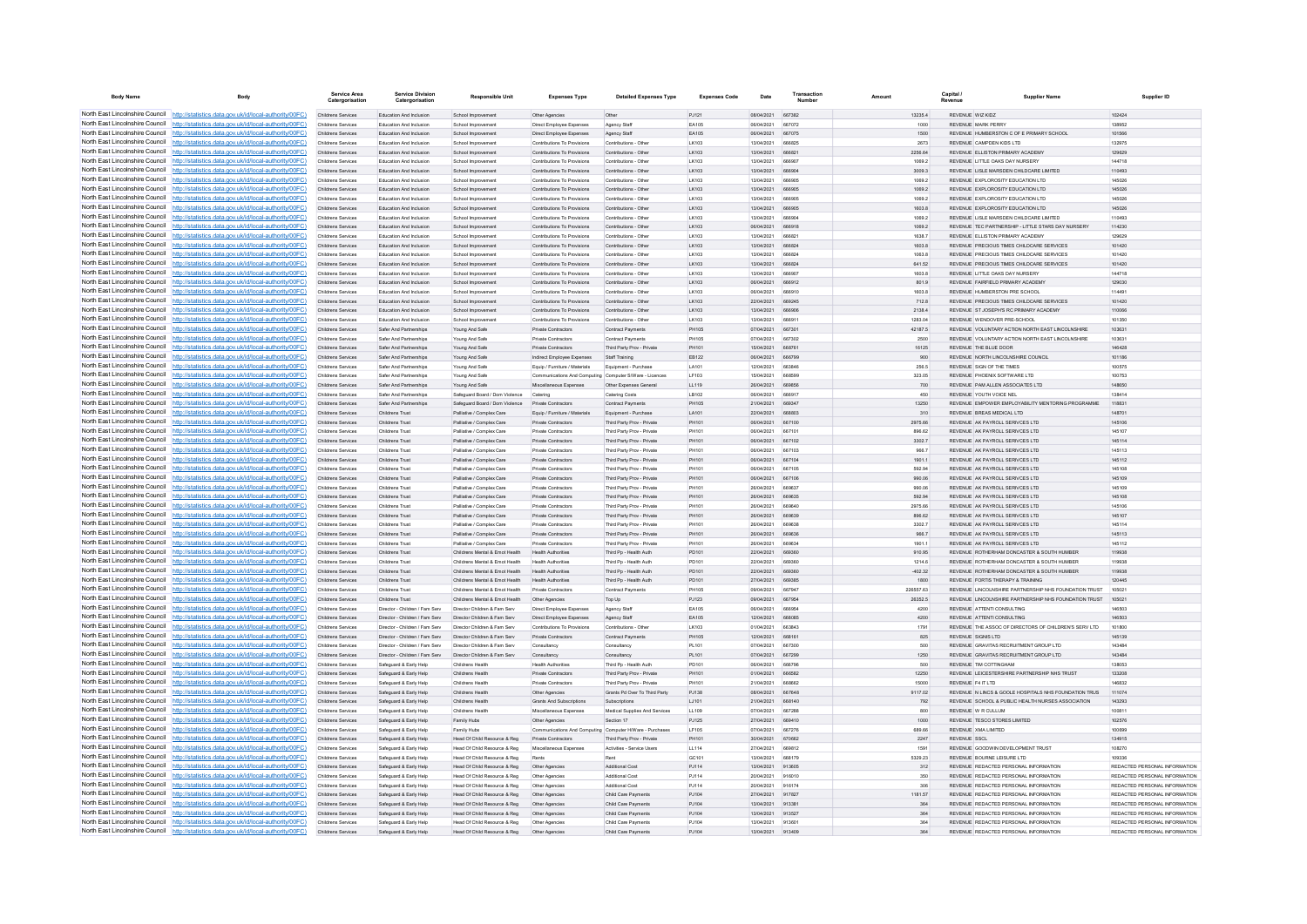| <b>Body Name</b>                                                   | Body                                                                                                                                                                               | Service Area                                   | <b>Service Division</b><br>Catergorisation                       | <b>Responsible Unit</b>                                      | <b>Expenses Type</b>                                       | <b>Detailed Expenses Type</b>                            | <b>Expenses Code</b>         | Date                     | Transaction             |                  | Capital /           | <b>Supplier Name</b>                                                         | Supplier ID                   |
|--------------------------------------------------------------------|------------------------------------------------------------------------------------------------------------------------------------------------------------------------------------|------------------------------------------------|------------------------------------------------------------------|--------------------------------------------------------------|------------------------------------------------------------|----------------------------------------------------------|------------------------------|--------------------------|-------------------------|------------------|---------------------|------------------------------------------------------------------------------|-------------------------------|
|                                                                    | North East Lincolnshire Council http://statistics.data.gov.uk/id/local-authority/00FC)                                                                                             | Childrens Services                             | Education And Inclusion                                          | School Improvement                                           | Other Agencies                                             | Other                                                    | P.1121                       | 08/04/2021 667382        |                         | 13235.4          | REVENUE WIZ KIDZ    |                                                                              | 102424                        |
|                                                                    | North East Lincolnshire Council http://statistics.data.gov.uk/id/local-authority/00FC)                                                                                             | Childrens Services                             | Education And Inclusion                                          | School Improvement                                           | Direct Employee Expenses                                   | Agency Staff                                             | FA105                        | 06/04/2021               | 667072                  | 1000             |                     | <b>REVENUE MARK PERRY</b>                                                    | 138952                        |
|                                                                    | North East Lincolnshire Council http://statistics.data.gov.uk/id/local-authority/00FC)                                                                                             | Childrens Services                             | Education And Inclusion                                          | School Improvement                                           | Direct Employee Expenses                                   | Agency Staff                                             | EA105                        | 06/04/2021               | 667075                  | 1500             |                     | REVENUE HUMBERSTON C OF E PRIMARY SCHOOL                                     | 101566                        |
|                                                                    | North East Lincolnshire Council http://statistics.data.gov.uk/id/local-authority/00FC)<br>North East Lincolnshire Council http://statistics.data.gov.uk/id/local-authority/00FC)   | Childrens Service<br><b>Childrens Services</b> | <b>Education And Inclusion</b><br><b>Education And Inclusion</b> | School Improvement<br>School Improvement                     | Contributions To Provisions<br>Contributions To Provisions | Contributions - Other<br>Contributions - Other           | LK103<br>LK103               | 13/04/2021<br>13/04/2021 | <b>BRRB25</b><br>666821 | 2673<br>2256.64  |                     | <b>PEVENHE CAMPBEN KIDS I TD</b><br>REVENUE ELLISTON PRIMARY ACADEMY         | 132975<br>129829              |
|                                                                    | North East Lincolnshire Council   http://statistics.data.gov.uk/id/local-authority/00FC)                                                                                           | Childrens Services                             | Education And Inclusion                                          | School Improvement                                           | Contributions To Provisions                                | Contributions - Other                                    | LK103                        | 13/04/2021               | 666907                  | 1069.2           |                     | REVENUE LITTLE OAKS DAY NURSERY                                              | 144718                        |
|                                                                    | North East Lincolnshire Council http://statistics.data.gov.uk/id/local-authority/00FC)                                                                                             | Childrens Services                             | Education And Inclusion                                          | School Improvement                                           | Contributions To Provisions                                | Contributions - Other                                    | LK103                        | 13/04/2021               | 666904                  | 3009.3           |                     | REVENUE LISLE MARSDEN CHILDCARE LIMITED                                      | 110493                        |
|                                                                    | North East Lincolnshire Council   http://statistics.data.gov.uk/id/local-authority/00FC)                                                                                           | Childrens Services                             | <b>Education And Inclusion</b>                                   | School Improvement                                           | Contributions To Provisions                                | Contributions - Other                                    | LK103                        | 13/04/2021               | 666905                  | 1069.2           |                     | REVENUE EXPLOROSITY EDUCATION LTD.                                           | 145026                        |
| North East Lincolnshire Council                                    | http://statistics.data.gov.uk/id/local-authority/00FC)                                                                                                                             | Childrens Services                             | Education And Inclusion                                          | School Improvement                                           | Contributions To Provisions                                | Contributions - Other                                    | LK103                        | 13/04/2021               | 666905                  | 1069.2           |                     | REVENUE EXPLOROSITY EDUCATION LTD                                            | 145026                        |
| North East Lincolnshire Council                                    | http://statistics.data.gov.uk/id/local-authority/00FC)                                                                                                                             | Childrens Services                             | Education And Inclusion                                          | School Improvement                                           | Contributions To Provisions                                | Contributions - Other                                    | LK103                        | 13/04/2021               |                         | 1069.2           |                     | REVENUE EXPLOROSITY EDUCATION LTD                                            | 145026                        |
|                                                                    | North East Lincolnshire Council http://statistics.data.gov.uk/id/local-authority/00FC)                                                                                             | Childrens Services                             | Education And Inclusion                                          | School Improv                                                | Contributions To Provisions                                | Contributions - Other                                    | LK103                        | 13/04/2021               | 666905                  | 1603.8           |                     | REVENUE EXPLOROSITY EDUCATION LTD                                            | 145026                        |
|                                                                    | North East Lincolnshire Council http://statistics.data.gov.uk/id/local-authority/00FC)                                                                                             | Childrens Services                             | Education And Inclusion                                          | School Improvement                                           | Contributions To Provisions                                | Contributions - Other                                    | LK103                        | 13/04/2021               | <b>BRROOM</b>           | 1069.2           |                     | REVENUE LISLE MARSDEN CHILDCARE LIMITED.                                     | 110493                        |
|                                                                    | North East Lincolnshire Council http://statistics.data.gov.uk/id/local-authority/00FC)                                                                                             | <b>Childrens Services</b>                      | Education And Inclusion                                          | School Improvement                                           | Contributions To Provisions                                | Contributions - Other                                    | LK103                        | 06/04/2021               | 666918                  | 1069.2           |                     | REVENUE TEC PARTNERSHIP - LITTLE STARS DAY NURSERY                           | 114230                        |
|                                                                    | North East Lincolnshire Council http://statistics.data.gov.uk/id/local-authority/00FC)<br>North East Lincolnshire Council http://statistics.data.gov.uk/id/local-authority/00FC)   | Childrens Services                             | Education And Inclusion                                          | School Improvement                                           | Contributions To Provisions<br>Contributions To Provisions | Contributions - Other                                    | LK103                        | 13/04/2021<br>13/04/2021 | 666821<br><b>BRRB24</b> | 1638.7           |                     | REVENUE ELLISTON PRIMARY ACADEMY<br>REVENUE PRECIOUS TMES CHILDCARE SERVICES | 129629                        |
|                                                                    | North East Lincolnshire Council http://statistics.data.gov.uk/id/local-authority/00FC)                                                                                             | Childrens Services<br>Childrens Services       | Education And Inclusion<br><b>Education And Inclusion</b>        | School Improvement<br>School Improvement                     | Contributions To Provisions                                | Contributions - Other<br>Contributions - Other           | LK103<br>LK103               | 13/04/2021               | 666824                  | 1603.8<br>8.8001 |                     | REVENUE, PRECIOUS TIMES CHILDCARE SERVICES.                                  | 101420<br>101420              |
| North East Lincolnshire Council                                    | http://statistics.data.gov.uk/id/local-authority/00FC)                                                                                                                             | Childrens Services                             | Education And Inclusion                                          | School Improvement                                           | Contributions To Provisions                                | Contributions - Other                                    | LK103                        | 13/04/2021               | 666824                  | 641.52           |                     | REVENUE PRECIOUS TIMES CHILDCARE SERVICES                                    | 101420                        |
|                                                                    | North East Lincolnshire Council http://statistics.data.gov.uk/id/local-authority/00FC)                                                                                             | Childrens Services                             | Education And Inclusion                                          | School Improvement                                           | Contributions To Provisions                                | Contributions - Other                                    | LK103                        | 13/04/2021               | 666907                  | 1603.8           |                     | REVENUE LITTLE OAKS DAY NURSERY                                              | 144718                        |
|                                                                    | North East Lincolnshire Council http://statistics.data.gov.uk/id/local-authority/00FC)                                                                                             | Childrens Services                             | <b>Education And Inclusion</b>                                   | School Improvement                                           | Contributions To Provisions                                | Contributions - Other                                    | LK103                        | 06/04/2021               | 666912                  | 801.9            |                     | REVENUE FAIRFIELD PRIMARY ACADEMY                                            | 129030                        |
|                                                                    | North East Lincolnshire Council http://statistics.data.gov.uk/id/local-authority/00FC)                                                                                             | Childrens Services                             | Education And Inclusion                                          | School Improvement                                           | Contributions To Provisions                                | Contributions - Other                                    | LK103                        | 06/04/2021               | 666910                  | 1603.8           |                     | REVENUE HUMBERSTON PRE SCHOOL                                                | 114491                        |
|                                                                    | North East Lincolnshire Council http://statistics.data.gov.uk/id/local-authority/00FC)                                                                                             | Childrens Services                             | Education And Inclusion                                          | School Improvement                                           | Contributions To Provisions                                | Contributions - Other                                    | LK103                        | 22/04/2021               | 669245                  | 712.8            |                     | REVENUE PRECIOUS TIMES CHILDCARE SERVICES                                    | 101420                        |
|                                                                    | North East Lincolnshire Council http://statistics.data.gov.uk/id/local-authority/00FC)                                                                                             | Childrens Services                             | Education And Inclusion                                          | School Improvement                                           | Contributions To Provisions                                | Contributions - Other                                    | LK103                        | 13/04/2021               | <b>BRROOR</b>           | 2138.4           |                     | REVENUE ST JOSEPH'S RC PRIMARY ACADEMY                                       | 110066                        |
|                                                                    | North East Lincolnshire Council http://statistics.data.gov.uk/id/local-authority/00FC)                                                                                             | Childrens Services                             | <b>Education And Inclusion</b>                                   | School Improvement                                           | Contributions To Provisions                                | Contributions - Other                                    | LK103                        | 13/04/2021               | 666911                  | 1283.04          |                     | REVENUE WENDOVER PRE-SCHOOL                                                  | 101350                        |
| North East Lincolnshire Council<br>North East Lincolnshire Council | http://statistics.data.gov.uk/id/local-authority/00FC)                                                                                                                             | Childrens Services                             | Safer And Partnerships                                           | Young And Safe                                               | <b>Private Contractors</b>                                 | Contract Payments                                        | <b>PH105</b>                 | 07/04/2021               | 667301                  | 42187.5          |                     | REVENUE VOLUNTARY ACTION NORTH EAST LINCOLNSHIRE                             | 103631                        |
|                                                                    | http://statistics.data.gov.uk/id/local-authority/00FC)<br>North East Lincolnshire Council http://statistics.data.gov.uk/id/local-authority/00FC)                                   | Childrens Services<br>Childrens Services       | Safer And Partnerships<br>Safer And Partnerships                 | Young And Safe                                               | <b>Private Contractors</b><br><b>Private Contractors</b>   | Contract Payments<br>Third Party Proy - Private          | <b>PH105</b><br><b>PH101</b> | 07/04/2021<br>15/04/2021 | 667302<br>A68761        | 2500<br>16125    |                     | REVENUE VOLUNTARY ACTION NORTH EAST LINCOLNSHIRE<br>PEVENIJE THE BLUE DOOR   | 10363<br>148428               |
|                                                                    | North East Lincolnshire Council http://statistics.data.gov.uk/id/local-authority/00FC)                                                                                             | Childrens Services                             | Safer And Partnerships                                           | Young And Safe<br>Young And Safe                             | Indirect Employee Expenses                                 | Staff Training                                           | EB122                        | 06/04/2021               | 666799                  | 900              |                     | REVENUE NORTH LINCOLNSHIRE COUNCIL                                           | 101186                        |
|                                                                    | North East Lincolnshire Council http://statistics.data.gov.uk/id/local-authority/00FC)                                                                                             | Childrens Services                             | Safer And Partnerships                                           | Young And Safe                                               | Equip / Furniture / Materials                              | Equipment - Purchase                                     | LA101                        | 12/04/2021               | 663846                  | 256.5            |                     | REVENUE SIGN OF THE TIMES                                                    | 100575                        |
|                                                                    | North East Lincolnshire Council http://statistics.data.gov.uk/id/local-authority/00FC)                                                                                             | Childrens Services                             | Safer And Partnerships                                           | Young And Safe                                               | Communications And Computing Computer S/Ware - Licence     |                                                          | LF103                        | 15/04/2021               | 668599                  | 323.05           |                     | REVENUE PHOENIX SOFTWARE LTD                                                 | 100753                        |
|                                                                    | North East Lincolnshire Council http://statistics.data.gov.uk/id/local-authority/00FC)                                                                                             | Childrens Services                             | Safer And Partnershins                                           | Young And Safe                                               | Miscellaneous Expenses                                     | Other Expenses General                                   | LL119                        | 26/04/2021               | 669856                  | 700              |                     | REVENUE PAM ALLEN ASSOCIATES LTD                                             | 148650                        |
| North East Lincolnshire Council                                    | http://statistics.data.gov.uk/id/local-authority/00FC)                                                                                                                             | <b>Childrens Services</b>                      | Safer And Partnerships                                           | Safeguard Board / Dom Violence                               | Catering                                                   | Catering Costs                                           | LB102                        | 06/04/2021               | 666917                  | 450              |                     | REVENUE YOUTH VOICE NEL                                                      | 138414                        |
|                                                                    | North East Lincolnshire Council http://statistics.data.gov.uk/id/local-authority/00FC)                                                                                             | Childrens Services                             | Safer And Partnerships                                           | Safeguard Board / Dom Violence                               | Private Contractors                                        | Contract Payments                                        | PH105                        | 21/04/2021               | 669347                  | 13250            |                     | REVENUE EMPOWER EMPLOYABILITY MENTORING PROGRAMME                            | 11883                         |
|                                                                    | North East Lincolnshire Council http://statistics.data.gov.uk/id/local-authority/00FC)                                                                                             | Childrens Services                             | Childrens Trus                                                   | Palliative / Complex Care                                    | Equip / Furniture / Materials                              | Equipment - Purchase                                     | LA101                        | 22/04/2021               | <b>BRBBO3</b>           | 310              |                     | <b>PEVENHE RPEAS MEDICAL LTD</b>                                             | 148701                        |
|                                                                    | North East Lincolnshire Council http://statistics.data.gov.uk/id/local-authority/00FC)                                                                                             | Childrens Services                             | Childrens Trust                                                  | Palliative / Complex Care                                    | Private Contractors                                        | Third Party Proy - Private                               | PH101                        | 08/04/2021               | 667100                  | 2975.66          |                     | REVENUE AK PAYROLL SERIVCES LTD                                              | 145106                        |
|                                                                    | North East Lincolnshire Council   http://statistics.data.gov.uk/id/local-authority/00FC)                                                                                           | Childrens Services                             | Childrens Trust                                                  | Palliative / Complex Care                                    | <b>Private Contractors</b>                                 | Third Party Prov - Private                               | PH101                        | 06/04/2021               | 667101                  | 896.62           |                     | REVENUE AK PAYROLL SERIVCES LTD                                              | 145107                        |
|                                                                    | North East Lincolnshire Council http://statistics.data.gov.uk/id/local-authority/00FC)<br>North East Lincolnshire Council http://statistics.data.gov.uk/id/local-authority/00FC)   | Childrens Services                             | Childrens Trust<br>Childrens Trus                                | Palliative / Complex Care                                    | Private Contractors                                        | Third Party Prov - Private                               | PH101<br>PH101               | 06/04/2021 667102        | 667103                  | 3302.7           |                     | REVENUE AK PAYROLL SERNCES LTD                                               | 145114<br>145113              |
|                                                                    | North East Lincolnshire Council http://statistics.data.gov.uk/id/local-authority/00FC)                                                                                             | Childrens Services<br>Childrens Services       | Childrens Trust                                                  | Palliative / Complex Care<br>Palliative / Complex Care       | Private Contractors<br>Private Contractors                 | Third Party Prov - Private<br>Third Party Prov - Private | PH101                        | 06/04/2021<br>06/04/2021 | 667104                  | 966.7<br>1901.1  |                     | REVENUE AK PAYROLL SERIVCES LTD<br>REVENUE AK PAYROLL SERIVCES LTD           | 145112                        |
| North East Lincolnshire Council                                    | ://statistics.data.gov.uk/id/local-authority/00FC)                                                                                                                                 | Childrens Services                             | Childrens Trust                                                  | Palliative / Complex Care                                    | Private Contractors                                        | Third Party Prov - Private                               | PH101                        | 06/04/2021               | 667105                  | 592.94           |                     | REVENUE AK PAYROLL SERIVCES LTD                                              | 145108                        |
|                                                                    | North East Lincolnshire Council http://statistics.data.gov.uk/id/local-authority/00FC)                                                                                             | Childrens Services                             | Childrens Trust                                                  | Palliative / Complex Care                                    | Private Contractors                                        | Third Party Prov - Private                               | PH101                        | 06/04/2021               | 667106                  | 990.06           |                     | REVENUE AK PAYROLL SERNCES LTD                                               | 145109                        |
|                                                                    | North East Lincolnshire Council http://statistics.data.gov.uk/id/local-authority/00FC)                                                                                             | Childrens Services                             | Childrens Trus                                                   | Palliative / Complex Care                                    | Private Contractor                                         | Third Party Prov - Private                               | PH101                        | 26/04/2021               | <b>BROR37</b>           | 990.06           |                     | REVENUE AK PAYROLL SERIVCES LTD                                              | 145109                        |
|                                                                    | North East Lincolnshire Council http://statistics.data.gov.uk/id/local-authority/00FC)                                                                                             | Childrens Services                             | Childrens Trust                                                  | Palliative / Complex Care                                    | <b>Private Contractors</b>                                 | Third Party Prov - Private                               | PH101                        | 26/04/2021               | <b>BROR35</b>           | 592.94           |                     | REVENUE AK PAYROLL SERMCES LTD                                               | 145108                        |
|                                                                    | North East Lincolnshire Council http://statistics.data.gov.uk/id/local-authority/00FC)                                                                                             | Childrens Services                             | Childrens Trust                                                  | Palliative / Complex Care                                    | <b>Private Contractors</b>                                 | Third Party Prov - Private                               | <b>PH101</b>                 | 26/04/2021               | 669640                  | 2975.66          |                     | REVENUE AK PAYROLL SERIVCES LTD                                              | 145106                        |
|                                                                    | North East Lincolnshire Council http://statistics.data.gov.uk/id/local-authority/00FC)                                                                                             | Childrens Services                             | Childrens Trust                                                  | Palliative / Complex Care                                    | Private Contractors                                        | Third Party Prov - Private                               | PH101                        | 26/04/2021               | 669639                  | 896.62           |                     | REVENUE AK PAYROLL SERNCES LTD                                               | 145107                        |
|                                                                    | North East Lincolnshire Council http://statistics.data.gov.uk/id/local-authority/00FC)                                                                                             | Childrens Services                             | Childrens Trus                                                   | Palliative / Complex Care                                    | Private Contractors                                        | Third Party Prov - Private                               | <b>PH101</b>                 | 26/04/2021               | <b>BROR3R</b>           | 3302.7           |                     | REVENUE AK PAYROLL SERIVCES LTD                                              | 145114                        |
| North East Lincolnshire Council                                    | http://statistics.data.gov.uk/id/local-authority/00FC)<br>North East Lincolnshire Council http://statistics.data.gov.uk/id/local-authority/00FC)                                   | Childrens Services                             | Childrens Trust<br>Childrens Trus                                | Palliative / Complex Care                                    | <b>Private Contractors</b>                                 | Third Party Prov - Private                               | PH101<br>PH101               | 26/04/2021<br>26/04/2021 | 669636<br>669634        | 966.7<br>1901.1  |                     | REVENUE AK PAYROLL SERIVCES LTD<br>REVENUE AK PAYROLL SERIVCES LTD           | 145113<br>145112              |
|                                                                    | North East Lincolnshire Council   http://statistics.data.gov.uk/id/local-authority/00FC)                                                                                           | Childrens Services<br>Childrens Services       | Childrens Trus                                                   | Palliative / Complex Care<br>Childrens Mental & Emot Health  | Private Contractors<br><b>Health Authorities</b>           | Third Party Prov - Private<br>Third Pp - Health Auth     | PD101                        | 22/04/2021               | 669360                  | 910.95           |                     | REVENUE ROTHERHAM DONCASTER & SOUTH HUMBER                                   | 119938                        |
|                                                                    | North East Lincolnshire Council http://statistics.data.gov.uk/id/local-authority/00FC)                                                                                             | Childrens Services                             | Childrens Trust                                                  | Childrens Mental & Emot Health                               | <b>Health Authorities</b>                                  | Third Pp - Health Auth                                   | PD101                        | 22/04/2021               | 669360                  | 1214.6           |                     | REVENUE ROTHERHAM DONCASTER & SOUTH HUMBER                                   | 119938                        |
|                                                                    | North East Lincolnshire Council http://statistics.data.gov.uk/id/local-authority/00FC)                                                                                             | <b>Childrens Services</b>                      | Childrens Trust                                                  | Childrens Mental & Emot Health                               | <b>Health Authorities</b>                                  | Third Po - Health Auth                                   | PD101                        | 22/04/2021               | 669360                  | $-402.32$        |                     | REVENUE ROTHERHAM DONCASTER & SOUTH HUMBER                                   | 119938                        |
|                                                                    | North East Lincolnshire Council http://statistics.data.gov.uk/id/local-authority/00FC)                                                                                             | Childrens Services                             | Childrens Trust                                                  | Childrens Mental & Emot Health Health Authorities            |                                                            | Third Pp - Health Auth                                   | PD101                        | 27/04/2021               | 669385                  | 1800             |                     | REVENUE FORTIS THERAPY & TRAINING                                            | 120445                        |
|                                                                    | North East Lincolnshire Council http://statistics.data.gov.uk/id/local-authority/00FC)                                                                                             | Childrens Services                             | Childrens Trust                                                  | Childrens Mental & Emot Health                               | <b>Private Contractors</b>                                 | Contract Payments                                        | <b>PH105</b>                 | 09/04/2021               | <b>BR7047</b>           | 226557.63        |                     | REVENUE LINCOLNSHIRE PARTNERSHIP NHS FOUNDATION TRUST                        | 105021                        |
| North East Lincolnshire Council                                    | http://statistics.data.gov.uk/id/local-authority/00EC)                                                                                                                             | Childrens Services                             | Childrens Trust                                                  | Childrens Mental & Emot Health                               | Other Agencies                                             | Top Up                                                   | P.1123                       | 09/04/2021               | 667954                  | 26352.5          |                     | REVENUE LINCOLNSHIRE PARTNERSHIP NHS FOUNDATION TRUST.                       | 105021                        |
| North East Lincolnshire Council                                    | http://statistics.data.gov.uk/id/local-authority/00FC)                                                                                                                             | Childrens Services                             | Director - Children / Fam Serv                                   | Director Children & Fam Serv                                 | Direct Employee Expenses                                   | Agency Staff                                             | EA105                        | 06/04/2021               | 666954                  | 4200             |                     | REVENUE ATTENTI CONSULTING                                                   | 146503                        |
|                                                                    | North East Lincolnshire Council   http://statistics.data.gov.uk/id/local-authority/00FC)                                                                                           | Childrens Services                             | Director - Children / Fam Serv                                   | Director Children & Fam Serv                                 | Direct Employee Expenses                                   | Agency Staff                                             | EA105                        | 12/04/2021               | 668085                  | 4200             |                     | REVENUE ATTENTI CONSULTING                                                   | 146503                        |
|                                                                    | North East Lincolnshire Council http://statistics.data.gov.uk/id/local-authority/00FC)<br>North East Lincolnshire Council   http://statistics.data.gov.uk/id/local-authority/00FC) | Childrens Services                             | Director - Children / Fam Serv                                   | Director Children & Fam Serv                                 | Contributions To Provisions                                | Contributions - Other                                    | LK103                        | 01/04/2021               | 663843                  | 1791             |                     | REVENUE THE ASSOC OF DIRECTORS OF CHILDREN'S SERV LTD                        | 101800                        |
|                                                                    | North East Lincolnshire Council http://statistics.data.gov.uk/id/local-authority/00FC)                                                                                             | Childrens Services<br>Childrens Services       | Director - Children / Fam Serv<br>Director - Children / Fam Serv | Director Children & Fam Serv<br>Director Children & Fam Serv | Private Contractors<br>Consultancy                         | Contract Payments<br>Consultancy                         | PH105<br>PL101               | 12/04/2021<br>07/04/2021 | 668161<br>667300        | 825<br>500       |                     | REVENUE SIGNIS LTD<br>REVENUE GRAVITAS RECRUITMENT GROUP LTD                 | 145139<br>143484              |
|                                                                    | North East Lincolnshire Council http://statistics.data.gov.uk/id/local-authority/00FC)                                                                                             | Childrens Services                             | Director - Children / Fam Serv Director Children & Fam Serv      |                                                              | Consultancy                                                | Consultancy                                              | PL101                        | 07/04/2021               | 667299                  | 1250             |                     | REVENUE GRAVITAS RECRUITMENT GROUP LTD                                       | 143484                        |
| North East Lincolnshire Council                                    | http://statistics.data.gov.uk/id/local-authority/00EC)                                                                                                                             | Childrens Services                             | Safeguard & Early Help                                           | Childrens Health                                             | <b>Health Authorities</b>                                  | Third Po - Health Auth                                   | PD101                        | 06/04/2021               | 666796                  | 500              |                     | <b>REVENUE TIM COTTINGHAM</b>                                                | 138053                        |
| North East Lincolnshire Council                                    | //statistics.data.gov.uk/id/local-authority/00EC)                                                                                                                                  | <b>Childrens Services</b>                      | Safeguard & Early Help                                           | Childrens Health                                             | <b>Private Contractors</b>                                 | Third Party Prov - Private                               | PH101                        | 01/04/2021               | 666582                  | 12250            |                     | REVENUE LEICESTERSHIRE PARTNERSHIP NHS TRUST                                 | 133208                        |
|                                                                    | North East Lincolnshire Council http://statistics.data.gov.uk/id/local-authority/00FC)                                                                                             | Childrens Services                             | Safeguard & Early Help                                           | Childrens Health                                             | Private Contractors                                        | Third Party Prov - Private                               | PH101                        | 21/04/2021               |                         | 15000            |                     |                                                                              | 146832                        |
|                                                                    | North East Lincolnshire Council http://statistics.data.gov.uk/id/local-authority/00FC)                                                                                             | Childrens Services                             | Safeguard & Early Help                                           | Childrens Health                                             | Other Agencies                                             | Grants Pd Over To Third Party                            | PJ138                        | 08/04/2021               | <b>BR7R48</b>           | 9117.02          |                     | REVENUE IN LINCS & GOOLE HOSPITALS NHS FOUNDATION TRUS                       | 111074                        |
|                                                                    | North East Lincolnshire Council http://statistics.data.gov.uk/id/local-authority/00FC)                                                                                             | Childrens Services                             | Safeguard & Early Help                                           | Childrens Health                                             | <b>Grants And Subscriptions</b>                            | Subscriptions                                            | LJ101                        | 21/04/2021               | 668140                  | 792              |                     | REVENUE SCHOOL & PUBLIC HEALTH NURSES ASSOCIATION                            | 143293                        |
|                                                                    | North East Lincolnshire Council http://statistics.data.gov.uk/id/local-authority/00FC)                                                                                             | Childrens Services                             | Safeguard & Early Help                                           | Childrens Health                                             | Miscellaneous Expenses                                     | Medical Supplies And Services                            | LL109                        | 07/04/2021               | 667288                  | 800              |                     | REVENUE W R CULLUM                                                           | 100811                        |
|                                                                    | North East Lincolnshire Council http://statistics.data.gov.uk/id/local-authority/00FC)                                                                                             | Childrens Services                             | Safeguard & Early Help                                           | Family Hubs                                                  | Other Agencies                                             | Section 17                                               | PJ125                        | 27/04/2021               | 669410                  | 1000             |                     | REVENUE TESCO STORES LIMITED                                                 | 102576                        |
| North East Lincolnshire Council                                    | North East Lincolnshire Council http://statistics.data.gov.uk/id/local-authority/00FC)<br>http://statistics.data.gov.uk/id/local-authority/00EC)                                   | Childrens Services                             | Safeguard & Early Help                                           | Family Hubs                                                  |                                                            | Communications And Computing Computer H/Ware - Purchases | LF105                        | 07/04/2021               | 667276                  | 889.66           |                     | REVENUE XMA LIMITED                                                          | 100699                        |
|                                                                    | North East Lincolnshire Council http://statistics.data.gov.uk/id/local-authority/00FC)                                                                                             | Childrens Services<br>Childrens Services       | Safeguard & Early Help<br>Safeguard & Early Help                 | Head Of Child Resource & Reg<br>Head Of Child Resource & Reg | Private Contractors<br>Miscellaneous Expenses              | Third Party Prov - Private<br>Activities - Service Users | PH101<br>LL114               | 30/04/2021<br>27/04/2021 | 670662<br>669812        | 2247<br>1591     | <b>REVENUE SSCL</b> | REVENUE GOODWIN DEVELOPMENT TRUST                                            | 134915<br>108270              |
|                                                                    | North East Lincolnshire Council http://statistics.data.gov.uk/id/local-authority/00FC)                                                                                             | Childrens Services                             | Safeguard & Early Help                                           | Head Of Child Resource & Reg                                 | Rents                                                      |                                                          | GC101                        | 13/04/2021               | 668170                  | 5329.23          |                     | REVENUE BOURNE LEISURE LTD                                                   | 109336                        |
|                                                                    | North East Lincolnshire Council http://statistics.data.gov.uk/id/local-authority/00FC)                                                                                             | Childrens Services                             | Safeguard & Early Help                                           | Head Of Child Resource & Reg                                 | Other Agencies                                             | Additional Cost                                          | P.1114                       | 13/04/2021               | 913605                  | 312              |                     | REVENUE REDACTED PERSONAL INFORMATION                                        | REDACTED PERSONAL INFORMATION |
|                                                                    | North East Lincolnshire Council http://statistics.data.gov.uk/id/local-authority/00FC)                                                                                             | Childrens Services                             | Safeguard & Early Help                                           | Head Of Child Resource & Reg                                 | Other Agencies                                             | Additional Cost                                          | P.1114                       | 20/04/2021               | 916010                  | 350              |                     | REVENUE REDACTED PERSONAL INFORMATION                                        | REDACTED PERSONAL INFORMATION |
|                                                                    | North East Lincolnshire Council http://statistics.data.gov.uk/id/local-authority/00FC)                                                                                             | Childrens Services                             | Safeguard & Early Help                                           | Head Of Child Resource & Reg                                 | Other Agencies                                             | Additional Cost                                          | PJ114                        | 20/04/2021               | 916174                  | 306              |                     | REVENUE REDACTED PERSONAL INFORMATION                                        | REDACTED PERSONAL INFORMATION |
|                                                                    | North East Lincolnshire Council http://statistics.data.gov.uk/id/local-authority/00FC)                                                                                             | Childrens Services                             | Safeguard & Early Help                                           | Head Of Child Resource & Reg                                 | Other Agencies                                             | Child Care Payments                                      | PJ104                        | 27/04/2021 917827        |                         | 1181.57          |                     | REVENUE REDACTED PERSONAL INFORMATION                                        | REDACTED PERSONAL INFORMATION |
|                                                                    | North East Lincolnshire Council http://statistics.data.gov.uk/id/local-authority/00FC)                                                                                             | Childrens Services                             | Safeguard & Early Help                                           | Head Of Child Resource & Reg                                 | Other Agencies                                             | Child Care Payments                                      | PJ104                        | 13/04/2021               | 913381                  | 364              |                     | REVENUE REDACTED PERSONAL INFORMATION                                        | REDACTED PERSONAL INFORMATION |
|                                                                    | North East Lincolnshire Council http://statistics.data.gov.uk/id/local-authority/00FC)                                                                                             | Childrens Services                             | Safeguard & Early Help                                           | Head Of Child Resource & Reg                                 | Other Agencies                                             | Child Care Payments                                      | PJ104                        | 13/04/2021               | 913527                  | 364              |                     | REVENUE REDACTED PERSONAL INFORMATION                                        | REDACTED PERSONAL INFORMATION |
|                                                                    | North East Lincolnshire Council http://statistics.data.gov.uk/id/local-authority/00FC)                                                                                             | Childrens Services                             | Safeguard & Early Help                                           | Head Of Child Resource & Reg                                 | Other Agencies                                             | Child Care Payment                                       | PJ104                        | 13/04/2021               | 913601                  | 364              |                     | REVENUE REDACTED PERSONAL INFORMATION                                        | REDACTED PERSONAL INFORMATION |
|                                                                    | North East Lincolnshire Council http://statistics.data.gov.uk/id/local-authority/00FC)                                                                                             | Childrens Services                             | Safeguard & Early Help                                           | Head Of Child Resource & Reg                                 | Other Agencies                                             | Child Care Payments                                      | P.1104                       | 13/04/2021 913409        |                         | 364              |                     | REVENUE REDACTED PERSONAL INFORMATION                                        | REDACTED PERSONAL INFORMATION |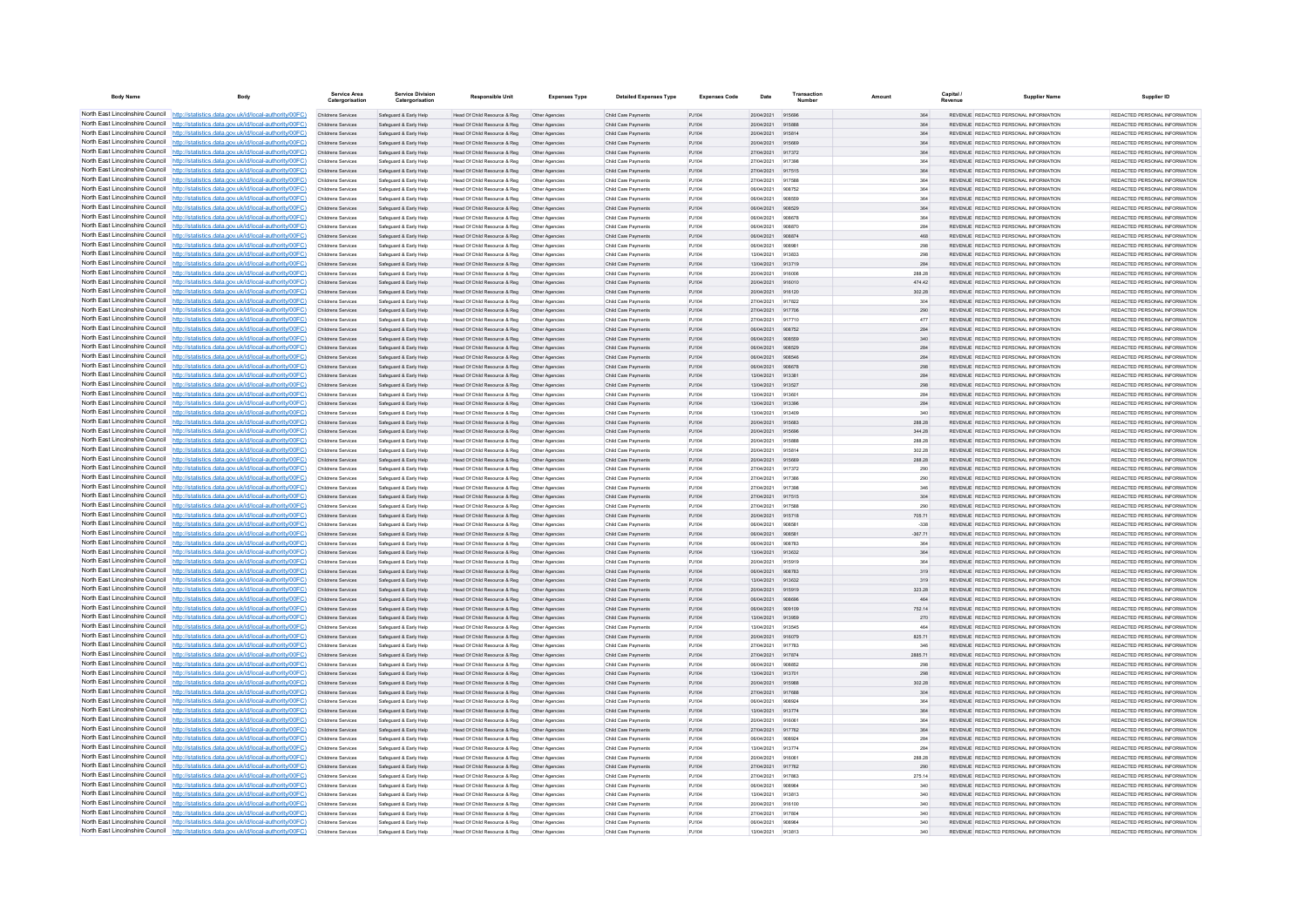| <b>Body Name</b>                                                   | Body                                                                                                                                                                             | Service Area<br>Catergorisatio                  | <b>Service Division</b><br>Catergorisation       | <b>Responsible Unit</b>                                      | <b>Expenses Type</b>             | <b>Detailed Expenses Type</b>              | <b>Expenses Code</b> | Date                            | Transaction      | Amount        | Capital | <b>Supplier Name</b>                                                           | Supplier ID                                                     |
|--------------------------------------------------------------------|----------------------------------------------------------------------------------------------------------------------------------------------------------------------------------|-------------------------------------------------|--------------------------------------------------|--------------------------------------------------------------|----------------------------------|--------------------------------------------|----------------------|---------------------------------|------------------|---------------|---------|--------------------------------------------------------------------------------|-----------------------------------------------------------------|
|                                                                    | North East Lincolnshire Council http://statistics.data.gov.uk/id/local-authority/00FC)                                                                                           | Childrens Services                              | Safeguard & Early Help                           | Head Of Child Resource & Reg                                 | Other Agencies                   | Child Care Payments                        | PJ104                | 20/04/2021 915696               |                  | 364           |         | REVENUE REDACTED PERSONAL INFORMATION                                          | REDACTED PERSONAL INFORMATION                                   |
|                                                                    | North East Lincolnshire Council http://statistics.data.gov.uk/id/local-authority/00FC)                                                                                           | Childrens Services                              | Safeguard & Early Help                           | Head Of Child Resource & Reg                                 | Other Agencies                   | Child Care Payments                        | PJ104                | 20/04/2021                      | 91588            | 364           |         | REVENUE REDACTED PERSONAL INFORMATION                                          | REDACTED PERSONAL INFORMATION                                   |
|                                                                    | North East Lincolnshire Council http://statistics.data.gov.uk/id/local-authority/00FC)<br>North East Lincolnshire Council http://statistics.data.gov.uk/id/local-authority/00FC) | Childrens Services                              | Safeguard & Early Help                           | Head Of Child Resource & Reg                                 | Other Agencies                   | Child Care Payment                         | PJ104                | 20/04/2021                      | 915814           | 364           |         | REVENUE REDACTED PERSONAL INFORMATION                                          | REDACTED PERSONAL INFORMATION                                   |
|                                                                    | North East Lincolnshire Council http://statistics.data.gov.uk/id/local-authority/00FC)                                                                                           | Childrens Services<br><b>Childrens Services</b> | Safeguard & Early Help<br>Safeguard & Early Help | Head Of Child Resource & Reg<br>Head Of Child Resource & Reg | Other Agencies<br>Other Agencies | Child Care Payments<br>Child Care Payments | PJ104<br>PJ104       | 20/04/2021<br>27/04/2021 917372 | 915669           | 364<br>364    |         | REVENUE REDACTED PERSONAL INFORMATION<br>REVENUE REDACTED PERSONAL INFORMATION | REDACTED PERSONAL INFORMATION<br>REDACTED PERSONAL INFORMATION  |
|                                                                    | North East Lincolnshire Council http://statistics.data.gov.uk/id/local-authority/00FC)                                                                                           | Childrens Services                              | Safeguard & Early Help                           | Head Of Child Resource & Reg                                 | Other Agencies                   | Child Care Payments                        | PJ104                | 27/04/2021                      | 917398           | 364           |         | REVENUE REDACTED PERSONAL INFORMATION                                          | REDACTED PERSONAL INFORMATION                                   |
|                                                                    | North East Lincolnshire Council http://statistics.data.gov.uk/id/local-authority/00FC)                                                                                           | Childrens Services                              | Safeguard & Early Help                           | Head Of Child Resource & Reg                                 | Other Agencies                   | Child Care Payments                        | PJ104                | 27/04/2021                      | 917515           | 364           |         | REVENUE REDACTED PERSONAL INFORMATION                                          | REDACTED PERSONAL INFORMATION                                   |
| North East Lincolnshire Council                                    | http://statistics.data.gov.uk/id/local-authority/00EC)                                                                                                                           | Childrens Services                              | Safeguard & Early Help                           | Head Of Child Resource & Reg                                 | Other Agencies                   | Child Care Payments                        | P.1104               | 27/04/2021                      | 917588           | 364           |         | REVENUE REDACTED PERSONAL INFORMATION                                          | REDACTED PERSONAL INFORMATION.                                  |
| North East Lincolnshire Council                                    | http://statistics.data.gov.uk/id/local-authority/00FC)                                                                                                                           | <b>Childrens Services</b>                       | Safeguard & Early Help                           | Head Of Child Resource & Reg                                 | Other Agencies                   | Child Care Payments                        | PJ104                | 06/04/2021                      | 908752           | 364           |         | REVENUE REDACTED PERSONAL INFORMATION                                          | REDACTED PERSONAL INFORMATION                                   |
| North East Lincolnshire Council                                    | http://statistics.data.gov.uk/id/local-authority/00FC)                                                                                                                           | Childrens Services                              | Safeguard & Early Help                           | Head Of Child Resource & Reg                                 | Other Agencies                   | Child Care Payments                        | PJ104                | 06/04/2021                      |                  |               | 364     | REVENUE REDACTED PERSONAL INFORMATION                                          | REDACTED PERSONAL INFORMATION                                   |
| North East Lincolnshire Council                                    | http://statistics.data.gov.uk/id/local-authority/00FC)                                                                                                                           | Childrens Services                              | Safeguard & Early Help                           | Head Of Child Resource & Reg                                 | Other Agencie                    | Child Care Payment                         | PJ104                | 06/04/2021                      | 908529           | 364           |         | REVENUE REDACTED PERSONAL INFORMATION                                          | REDACTED PERSONAL INFORMATION.                                  |
|                                                                    | North East Lincolnshire Council http://statistics.data.gov.uk/id/local-authority/00FC)                                                                                           | Childrens Services                              | Safeguard & Early Help                           | Head Of Child Resource & Reg                                 | Other Agencies                   | Child Care Payments                        | P.1104               | 06/04/2021                      | gnag78           | 364           |         | REVENUE REDACTED PERSONAL INFORMATION                                          | REDACTED PERSONAL INFORMATION.                                  |
|                                                                    | North East Lincolnshire Council http://statistics.data.gov.uk/id/local-authority/00FC)                                                                                           | Childrens Services                              | Safeguard & Early Help                           | Head Of Child Resource & Reg                                 | Other Agencies                   | Child Care Payments                        | PJ104                | 06/04/2021                      | 908870           | 284           |         | REVENUE REDACTED PERSONAL INFORMATION                                          | REDACTED PERSONAL INFORMATION                                   |
|                                                                    | North East Lincolnshire Council http://statistics.data.gov.uk/id/local-authority/00FC)<br>North East Lincolnshire Council http://statistics.data.gov.uk/id/local-authority/00FC) | Childrens Services<br>Childrens Services        | Safeguard & Early Help                           | Head Of Child Resource & Reg                                 | Other Agencies                   | Child Care Payments                        | PJ104                | 06/04/2021<br>06/04/2021        | 908874<br>908981 | 468           |         | REVENUE REDACTED PERSONAL INFORMATION<br>REVENUE REDACTED PERSONAL INFORMATION | REDACTED PERSONAL INFORMATION<br>REDACTED PERSONAL INFORMATION  |
| North East Lincolnshire Council                                    | http://statistics.data.gov.uk/id/local-authority/00FC)                                                                                                                           | Childrens Services                              | Safeguard & Early Help<br>Safeguard & Early Help | Head Of Child Resource & Reg<br>Head Of Child Resource & Reg | Other Agencies<br>Other Agencies | Child Care Payments<br>Child Care Payments | PJ104<br>PJ104       | 13/04/2021                      | 913833           | 298<br>298    |         | REVENUE REDACTED PERSONAL INFORMATION                                          | REDACTED PERSONAL INFORMATION                                   |
| North East Lincolnshire Council                                    | //statistics.data.gov.uk/id/local-authority/00FC)                                                                                                                                | Childrens Services                              | Safeguard & Early Help                           | Head Of Child Resource & Reg                                 | Other Agencies                   | Child Care Payments                        | PJ104                | 13/04/2021                      | 913719           | 284           |         | REVENUE REDACTED PERSONAL INFORMATION                                          | REDACTED PERSONAL INFORMATION                                   |
| North East Lincolnshire Council                                    | /statistics.data.gov.uk/id/local-authority/00FC)                                                                                                                                 | Childrens Services                              | Safeguard & Early Help                           | Head Of Child Resource & Reg                                 | Other Agencie                    | Child Care Payment                         | PJ104                | 20/04/2021                      | 91600            | 288.28        |         | REVENUE REDACTED PERSONAL INFORMATION                                          | REDACTED PERSONAL INFORMATION                                   |
| North East Lincolnshire Council                                    | http://statistics.data.gov.uk/id/local-authority/00FC)                                                                                                                           | Childrens Services                              | Safeguard & Early Help                           | Head Of Child Resource & Reg                                 | Other Agencies                   | Child Care Payments                        | PJ104                | 20/04/2021                      | 916010           | 474.42        |         | REVENUE REDACTED PERSONAL INFORMATION                                          | REDACTED PERSONAL INFORMATION                                   |
| North East Lincolnshire Council                                    | http://statistics.data.gov.uk/id/local-authority/00FC)                                                                                                                           | <b>Childrens Services</b>                       | Safeguard & Early Help                           | Head Of Child Resource & Reg                                 | Other Agencies                   | Child Care Payments                        | PJ104                | 20/04/2021                      | 916120           | 302.28        |         | REVENUE REDACTED PERSONAL INFORMATION                                          | REDACTED PERSONAL INFORMATION                                   |
|                                                                    | North East Lincolnshire Council http://statistics.data.gov.uk/id/local-authority/00FC)                                                                                           | Childrens Services                              | Safeguard & Early Help                           | Head Of Child Resource & Reg                                 | Other Agencies                   | Child Care Payments                        | PJ104                | 27/04/2021                      | 917822           | 304           |         | REVENUE REDACTED PERSONAL INFORMATION                                          | REDACTED PERSONAL INFORMATION                                   |
|                                                                    | North East Lincolnshire Council http://statistics.data.gov.uk/id/local-authority/00FC)                                                                                           | Childrens Services                              | Safeguard & Early Help                           | Head Of Child Resource & Reg                                 | Other Agencies                   | Child Care Payments                        | PJ104                | 27/04/2021                      | 917706           | 290           |         | REVENUE REDACTED PERSONAL INFORMATION                                          | REDACTED PERSONAL INFORMATION                                   |
| North East Lincolnshire Council                                    | http://statistics.data.gov.uk/id/local-authority/00EC)                                                                                                                           | Childrens Services                              | Safeguard & Early Help                           | Head Of Child Resource & Reg                                 | Other Agencies                   | Child Care Payments                        | P.1104               | 27/04/2021                      | 917710           | 477           |         | REVENUE REDACTED PERSONAL INFORMATION                                          | REDACTED PERSONAL INFORMATION.                                  |
| North East Lincolnshire Council<br>North East Lincolnshire Council | http://statistics.data.gov.uk/id/local-authority/00FC)                                                                                                                           | Childrens Services                              | Safeguard & Early Help                           | Head Of Child Resource & Reg                                 | Other Agencies                   | Child Care Payments                        | P.1104               | 06/04/2021                      | 908752           | 284           |         | REVENUE REDACTED PERSONAL INFORMATION                                          | REDACTED PERSONAL INFORMATION                                   |
| North East Lincolnshire Council                                    | http://statistics.data.gov.uk/id/local-authority/00FC)                                                                                                                           | Childrens Services                              | Safeguard & Early Help                           | Head Of Child Resource & Reg                                 | Other Agencies                   | Child Care Payments                        | PJ104                | 06/04/2021<br>08/04/2021        | gnasog           | 340           |         | REVENUE REDACTED PERSONAL INFORMATION<br>REVENUE REDACTED PERSONAL INFORMATION | REDACTED PERSONAL INFORMATION<br>REDACTED PERSONAL INFORMATION. |
|                                                                    | http://statistics.data.gov.uk/id/local-authority/00FC)<br>North East Lincolnshire Council http://statistics.data.gov.uk/id/local-authority/00FC)                                 | Childrens Services<br>Childrens Services        | Safeguard & Early Help<br>Safeguard & Early Help | Head Of Child Resource & Reg<br>Head Of Child Resource & Reg | Other Agencie<br>Other Agencies  | Child Care Payment<br>Child Care Payments  | PJ104<br>PJ104       | 06/04/2021                      | <b>QORS4R</b>    | 284<br>284    |         | REVENUE REDACTED PERSONAL INFORMATION                                          | REDACTED PERSONAL INFORMATION                                   |
|                                                                    | North East Lincolnshire Council http://statistics.data.gov.uk/id/local-authority/00FC)                                                                                           | Childrens Services                              | Safeguard & Early Help                           | Head Of Child Resource & Reg                                 | Other Agencies                   | Child Care Payments                        | PJ104                | 06/04/2021                      | 908678           | 298           |         | REVENUE REDACTED PERSONAL INFORMATION                                          | REDACTED PERSONAL INFORMATION                                   |
|                                                                    | North East Lincolnshire Council http://statistics.data.gov.uk/id/local-authority/00FC)                                                                                           | Childrens Services                              | Safeguard & Early Help                           | Head Of Child Resource & Reg                                 | Other Agencies                   | Child Care Payment                         | PJ104                | 13/04/2021                      | 91338            | 284           |         | REVENUE REDACTED PERSONAL INFORMATION                                          | REDACTED PERSONAL INFORMATION                                   |
|                                                                    | North East Lincolnshire Council http://statistics.data.gov.uk/id/local-authority/00FC)                                                                                           | Childrens Services                              | Safeguard & Early Help                           | Head Of Child Resource & Reg                                 | Other Agencies                   | Child Care Payments                        | PJ104                | 13/04/2021                      | 913527           | 298           |         | REVENUE REDACTED PERSONAL INFORMATION                                          | REDACTED PERSONAL INFORMATION                                   |
| North East Lincolnshire Council                                    | http://statistics.data.gov.uk/id/local-authority/00FC)                                                                                                                           | Childrens Services                              | Safeguard & Early Help                           | Head Of Child Resource & Reg                                 | Other Agencies                   | Child Care Payments                        | PJ104                | 13/04/2021                      | 913601           | 284           |         | REVENUE REDACTED PERSONAL INFORMATION                                          | REDACTED PERSONAL INFORMATION                                   |
| North East Lincolnshire Council                                    | http://statistics.data.gov.uk/id/local-authority/00FC)                                                                                                                           | Childrens Services                              | Safeguard & Early Help                           | Head Of Child Resource & Reg                                 | Other Agencies                   | Child Care Payments                        | PJ104                | 13/04/2021                      | 913396           | 284           |         | REVENUE REDACTED PERSONAL INFORMATION                                          | REDACTED PERSONAL INFORMATION                                   |
| North East Lincolnshire Council                                    | http://statistics.data.gov.uk/id/local-authority/00FC)                                                                                                                           | Childrens Services                              | Safeguard & Early Help                           | Head Of Child Resource & Reg                                 | Other Agencie                    | Child Care Payment                         | PJ104                | 13/04/2021                      | 91340            | 340           |         | REVENUE REDACTED PERSONAL INFORMATION                                          | REDACTED PERSONAL INFORMATION                                   |
|                                                                    | North East Lincolnshire Council http://statistics.data.gov.uk/id/local-authority/00FC)                                                                                           | Childrens Services                              | Safeguard & Early Help                           | Head Of Child Resource & Reg                                 | Other Agencie                    | Child Care Payment                         | PJ104                | 20/04/2021                      | 915683           | 288.28        |         | REVENUE REDACTED PERSONAL INFORMATION                                          | REDACTED PERSONAL INFORMATION                                   |
| North East Lincolnshire Council                                    | http://statistics.data.gov.uk/id/local-authority/00EC)                                                                                                                           | <b>Childrens Services</b>                       | Safeguard & Early Help                           | Head Of Child Resource & Reg                                 | Other Agencies                   | Child Care Payments                        | P.1104               | 20/04/2021                      | 915696           | 344 28        |         | REVENUE REDACTED PERSONAL INFORMATION                                          | REDACTED PERSONAL INFORMATION.                                  |
|                                                                    | North East Lincolnshire Council http://statistics.data.gov.uk/id/local-authority/00FC)                                                                                           | <b>Childrens Services</b>                       | Safeguard & Early Help                           | Head Of Child Resource & Reg                                 | Other Agencies                   | Child Care Payments                        | PJ104                | 20/04/2021                      | 915888           | 288.28        |         | REVENUE REDACTED PERSONAL INFORMATION                                          | REDACTED PERSONAL INFORMATION                                   |
| North East Lincolnshire Council                                    | North East Lincolnshire Council http://statistics.data.gov.uk/id/local-authority/00FC)<br>http://statistics.data.gov.uk/id/local-authority/00FC)                                 | Childrens Services                              | Safeguard & Early Help                           | Head Of Child Resource & Reg                                 | Other Agencies                   | Child Care Payments                        | PJ104<br>PJ104       | 20/04/2021<br>20/04/2021        | 915814<br>915669 | 302.28        |         | REVENUE REDACTED PERSONAL INFORMATION<br>REVENUE REDACTED PERSONAL INFORMATION | REDACTED PERSONAL INFORMATION<br>REDACTED PERSONAL INFORMATION  |
| North East Lincolnshire Council                                    | http://statistics.data.gov.uk/id/local-authority/00EC).                                                                                                                          | Childrens Services<br>Childrens Services        | Safeguard & Early Help<br>Safeguard & Early Help | Head Of Child Resource & Reg<br>Head Of Child Resource & Reg | Other Agencies<br>Other Agencies | Child Care Payments<br>Child Care Payments | P.1104               | 27/04/2021                      | 917372           | 288.28<br>290 |         | REVENUE REDACTED PERSONAL INFORMATION                                          | REDACTED PERSONAL INFORMATION.                                  |
| North East Lincolnshire Council                                    | /statistics.data.gov.uk/id/local-authority/00FC)                                                                                                                                 | Childrens Services                              | Safeguard & Early Help                           | Head Of Child Resource & Reg                                 | Other Agencies                   | Child Care Payments                        | PJ104                | 27/04/2021                      | 917386           | 290           |         | REVENUE REDACTED PERSONAL INFORMATION                                          | REDACTED PERSONAL INFORMATION                                   |
| North East Lincolnshire Council                                    | http://statistics.data.gov.uk/id/local-authority/00FC)                                                                                                                           | Childrens Services                              | Safeguard & Early Help                           | Head Of Child Resource & Reg                                 | Other Agencies                   | Child Care Payments                        | PJ104                | 27/04/2021                      | 91739            | 346           |         | REVENUE REDACTED PERSONAL INFORMATION                                          | REDACTED PERSONAL INFORMATION                                   |
|                                                                    | North East Lincolnshire Council http://statistics.data.gov.uk/id/local-authority/00FC)                                                                                           | Childrens Services                              | Safeguard & Early Help                           | Head Of Child Resource & Reg                                 | Other Agencie                    | Child Care Payments                        | PJ104                | 27/04/2021                      | 917515           | 304           |         | REVENUE REDACTED PERSONAL INFORMATION                                          | REDACTED PERSONAL INFORMATION                                   |
| North East Lincolnshire Council                                    | http://statistics.data.gov.uk/id/local-authority/00FC)                                                                                                                           | Childrens Services                              | Safeguard & Early Help                           | Head Of Child Resource & Reg                                 | Other Agencies                   | Child Care Payments                        | PJ104                | 27/04/2021                      | 917588           | 290           |         | REVENUE REDACTED PERSONAL INFORMATION                                          | REDACTED PERSONAL INFORMATION                                   |
|                                                                    | North East Lincolnshire Council http://statistics.data.gov.uk/id/local-authority/00FC)                                                                                           | Childrens Services                              | Safeguard & Early Help                           | Head Of Child Resource & Reg                                 | Other Agencies                   | Child Care Payments                        | PJ104                | 20/04/2021                      | 915718           | 705.71        |         | REVENUE REDACTED PERSONAL INFORMATION                                          | REDACTED PERSONAL INFORMATION                                   |
|                                                                    | North East Lincolnshire Council http://statistics.data.gov.uk/id/local-authority/00FC)                                                                                           | Childrens Services                              | Safeguard & Early Help                           | Head Of Child Resource & Reg                                 | Other Agencies                   | Child Care Payments                        | PJ104                | 06/04/2021                      | 90858            | $-338$        |         | REVENUE REDACTED PERSONAL INFORMATION                                          | REDACTED PERSONAL INFORMATION                                   |
| North East Lincolnshire Council                                    | http://statistics.data.gov.uk/id/local-authority/00EC)                                                                                                                           | Childrens Services                              | Safeguard & Early Help                           | Head Of Child Resource & Reg                                 | Other Agencies                   | Child Care Payments                        | PJ104                | 06/04/2021                      | 908581           | $-367.71$     |         | REVENUE REDACTED PERSONAL INFORMATION                                          | REDACTED PERSONAL INFORMATION                                   |
| North East Lincolnshire Council                                    | http://statistics.data.gov.uk/id/local-authority/00EC)<br>North East Lincolnshire Council http://statistics.data.gov.uk/id/local-authority/00FC)                                 | <b>Childrens Services</b>                       | Safeguard & Early Help                           | Head Of Child Resource & Reg                                 | Other Agencies                   | Child Care Payments                        | PJ104                | 06/04/2021<br>13/04/2021        | 908783           | 364<br>364    |         | REVENUE REDACTED PERSONAL INFORMATION<br>REVENUE REDACTED PERSONAL INFORMATION | REDACTED PERSONAL INFORMATION<br>REDACTED PERSONAL INFORMATION  |
|                                                                    | North East Lincolnshire Council http://statistics.data.gov.uk/id/local-authority/00FC)                                                                                           | Childrens Services<br>Childrens Service         | Safeguard & Early Help<br>Safeguard & Early Help | Head Of Child Resource & Reg<br>Head Of Child Resource & Reg | Other Agencies<br>Other Agencie  | Child Care Payments<br>Child Care Payment  | PJ104<br>PJ104       | 20/04/2021                      | 913632<br>915919 | 364           |         | REVENUE REDACTED PERSONAL INFORMATION                                          | REDACTED PERSONAL INFORMATION                                   |
|                                                                    | North East Lincolnshire Council http://statistics.data.gov.uk/id/local-authority/00FC)                                                                                           | <b>Childrens Services</b>                       | Safeguard & Early Help                           | Head Of Child Resource & Reg                                 | Other Agencies                   | Child Care Payments                        | P.1104               | 06/04/2021                      | 908783           | 319           |         | REVENUE REDACTED PERSONAL INFORMATION                                          | REDACTED PERSONAL INFORMATION.                                  |
|                                                                    | North East Lincolnshire Council http://statistics.data.gov.uk/id/local-authority/00FC)                                                                                           | Childrens Services                              | Safeguard & Early Help                           | Head Of Child Resource & Reg                                 | Other Agencies                   | Child Care Payments                        | PJ104                | 13/04/2021                      | 913632           | 319           |         | REVENUE REDACTED PERSONAL INFORMATION                                          | REDACTED PERSONAL INFORMATION                                   |
|                                                                    | North East Lincolnshire Council http://statistics.data.gov.uk/id/local-authority/00FC)                                                                                           | Childrens Services                              | Safeguard & Early Help                           | Head Of Child Resource & Reg                                 | Other Agencies                   | Child Care Payments                        | PJ104                | 20/04/2021                      | 915919           | 323.28        |         | REVENUE REDACTED PERSONAL INFORMATION                                          | REDACTED PERSONAL INFORMATION                                   |
| North East Lincolnshire Council                                    | http://statistics.data.gov.uk/id/local-authority/00EC)                                                                                                                           | Childrens Services                              | Safeguard & Early Help                           | Head Of Child Resource & Reg                                 | Other Agencies                   | Child Care Payments                        | PJ104                | 06/04/2021                      | 908696           | 464           |         | REVENUE REDACTED PERSONAL INFORMATION                                          | REDACTED PERSONAL INFORMATION                                   |
| North East Lincolnshire Council                                    | http://statistics.data.gov.uk/id/local-authority/00EC)                                                                                                                           | <b>Childrens Services</b>                       | Safeguard & Early Help                           | Head Of Child Resource & Reg                                 | Other Agencies                   | Child Care Payments                        | P.1104               | 06/04/2021                      | 909109           | 752 14        |         | REVENUE REDACTED PERSONAL INFORMATION                                          | REDACTED PERSONAL INFORMATION.                                  |
| North East Lincolnshire Council                                    | http://statistics.data.gov.uk/id/local-authority/00FC)                                                                                                                           | Childrens Services                              | Safeguard & Early Help                           | Head Of Child Resource & Reg                                 | Other Agencies                   | Child Care Payments                        | PJ104                | 13/04/2021                      | 913959           | 270           |         | REVENUE REDACTED PERSONAL INFORMATION                                          | REDACTED PERSONAL INFORMATION                                   |
| North East Lincolnshire Council                                    | http://statistics.data.gov.uk/id/local-authority/00FC)                                                                                                                           | Childrens Services                              | Safeguard & Early Help                           | Head Of Child Resource & Reg                                 | Other Agencie                    | Child Care Payment                         | PJ104                | 13/04/2021                      | 913545           | 464           |         | REVENUE REDACTED PERSONAL INFORMATION                                          | REDACTED PERSONAL INFORMATION                                   |
|                                                                    | North East Lincolnshire Council http://statistics.data.gov.uk/id/local-authority/00FC)                                                                                           | Childrens Services                              | Safeguard & Early Help                           | Head Of Child Resource & Reg                                 | Other Agencies                   | Child Care Payments                        | PJ104                | 20/04/2021                      | 916079           | 825.71        |         | REVENUE REDACTED PERSONAL INFORMATION                                          | REDACTED PERSONAL INFORMATION                                   |
| North East Lincolnshire Council                                    | http://statistics.data.gov.uk/id/local-authority/00FC)                                                                                                                           | Childrens Services                              | Safeguard & Early Help                           | Head Of Child Resource & Reg                                 | Other Agencies                   | Child Care Payments                        | PJ104                | 27/04/2021                      | 917783           | 346           |         | REVENUE REDACTED PERSONAL INFORMATION                                          | REDACTED PERSONAL INFORMATION                                   |
| North East Lincolnshire Council                                    | North East Lincolnshire Council http://statistics.data.gov.uk/id/local-authority/00FC)                                                                                           | Childrens Services                              | Safeguard & Early Help                           | Head Of Child Resource & Reg                                 | Other Agencies                   | Child Care Payments                        | PJ104                | 27/04/2021 917874               | 90885            | 2885.71       |         | REVENUE REDACTED PERSONAL INFORMATION                                          | REDACTED PERSONAL INFORMATION                                   |
| North East Lincolnshire Council                                    | http://statistics.data.gov.uk/id/local-authority/00FC)<br>http://statistics.data.gov.uk/id/local-authority/00EC)                                                                 | Childrens Services<br>Childrens Services        | Safeguard & Early Help<br>Safeguard & Early Help | Head Of Child Resource & Reg<br>Head Of Child Resource & Reg | Other Agencies<br>Other Agencies | Child Care Payments<br>Child Care Payments | PJ104<br>PJ104       | 06/04/2021<br>13/04/2021        | 913701           | 298<br>298    |         | REVENUE REDACTED PERSONAL INFORMATION<br>REVENUE REDACTED PERSONAL INFORMATION | REDACTED PERSONAL INFORMATION<br>REDACTED PERSONAL INFORMATION  |
| North East Lincolnshire Council                                    | //statistics.data.gov.uk/id/local-authority/00FC)                                                                                                                                | <b>Childrens Services</b>                       | Safeguard & Early Help                           | Head Of Child Resource & Reg                                 | Other Agencies                   | Child Care Payments                        | PJ104                | 20/04/2021                      | 915988           | 302.28        |         | REVENUE REDACTED PERSONAL INFORMATION                                          | REDACTED PERSONAL INFORMATION                                   |
| North East Lincolnshire Council                                    | http://statistics.data.gov.uk/id/local-authority/00FC)                                                                                                                           | Childrens Services                              | Safeguard & Early Help                           | Head Of Child Resource & Reg                                 | Other Agencies                   | Child Care Payments                        | PJ104                | 27/04/2021                      | 917688           | 304           |         | REVENUE REDACTED PERSONAL INFORMATION                                          | REDACTED PERSONAL INFORMATION                                   |
|                                                                    | North East Lincolnshire Council http://statistics.data.gov.uk/id/local-authority/00FC)                                                                                           | Childrens Services                              | Safeguard & Early Help                           | Head Of Child Resource & Reg                                 | Other Agencie                    | Child Care Payment                         | PJ104                | 06/04/2021                      | 908924           | 364           |         | REVENUE REDACTED PERSONAL INFORMATION                                          | REDACTED PERSONAL INFORMATION                                   |
| North East Lincolnshire Council                                    | http://statistics.data.gov.uk/id/local-authority/00EC)                                                                                                                           | Childrens Services                              | Safeguard & Early Help                           | Head Of Child Resource & Reg                                 | Other Agencies                   | Child Care Payments                        | PJ104                | 13/04/2021                      | 913774           | 364           |         | REVENUE REDACTED PERSONAL INFORMATION                                          | REDACTED PERSONAL INFORMATION.                                  |
|                                                                    | North East Lincolnshire Council http://statistics.data.gov.uk/id/local-authority/00FC)                                                                                           | Childrens Services                              | Safeguard & Early Help                           | Head Of Child Resource & Reg                                 | Other Agencies                   | Child Care Payments                        | PJ104                | 20/04/2021                      | 916061           | 364           |         | REVENUE REDACTED PERSONAL INFORMATION                                          | REDACTED PERSONAL INFORMATION                                   |
|                                                                    | North East Lincolnshire Council http://statistics.data.gov.uk/id/local-authority/00FC)                                                                                           | Childrens Services                              | Safeguard & Early Help                           | Head Of Child Resource & Reg                                 | Other Agencies                   | Child Care Payments                        | PJ104                | 27/04/2021                      | 917762           | 364           |         | REVENUE REDACTED PERSONAL INFORMATION                                          | REDACTED PERSONAL INFORMATION                                   |
| North East Lincolnshire Council                                    | http://statistics.data.gov.uk/id/local-authority/00EC)                                                                                                                           | Childrens Services                              | Safeguard & Early Help                           | Head Of Child Resource & Reg                                 | Other Agencies                   | Child Care Payments                        | PJ104                | 06/04/2021                      | 908924           | 284           |         | REVENUE REDACTED PERSONAL INFORMATION                                          | REDACTED PERSONAL INFORMATION                                   |
| North East Lincolnshire Council                                    | http://statistics.data.gov.uk/id/local-authority/00FC)                                                                                                                           | Childrens Services                              | Safeguard & Early Help                           | Head Of Child Resource & Reg                                 | Other Agencies                   | Child Care Payments                        | PJ104                | 13/04/2021                      | 913774           | 284           |         | REVENUE REDACTED PERSONAL INFORMATION                                          | REDACTED PERSONAL INFORMATION                                   |
| North East Lincolnshire Council                                    | //statistics.data.gov.uk/id/local-authority/00FC)<br>North East Lincolnshire Council http://statistics.data.gov.uk/id/local-authority/00FC)                                      | Childrens Services<br>Childrens Services        | Safeguard & Early Help<br>Safeguard & Early Help | Head Of Child Resource & Reg                                 | Other Agencies                   | Child Care Payments<br>Child Care Payments | PJ104<br>PJ104       | 20/04/2021<br>27/04/2021        | 916061<br>917762 | 288.28<br>290 |         | REVENUE REDACTED PERSONAL INFORMATION<br>REVENUE REDACTED PERSONAL INFORMATION | REDACTED PERSONAL INFORMATION<br>REDACTED PERSONAL INFORMATION  |
|                                                                    | North East Lincolnshire Council http://statistics.data.gov.uk/id/local-authority/00FC)                                                                                           | Childrens Services                              | Safeguard & Early Help                           | Head Of Child Resource & Reg<br>Head Of Child Resource & Reg | Other Agencies<br>Other Agencies | Child Care Payments                        | PJ104                | 27/04/2021                      | 917863           | 275.14        |         | REVENUE REDACTED PERSONAL INFORMATION                                          | REDACTED PERSONAL INFORMATION                                   |
|                                                                    | North East Lincolnshire Council http://statistics.data.gov.uk/id/local-authority/00FC)                                                                                           | Childrens Services                              | Safeguard & Early Help                           | Head Of Child Resource & Reg                                 | Other Agencies                   | Child Care Payments                        | PJ104                | 06/04/2021                      | 908964           | 340           |         | REVENUE REDACTED PERSONAL INFORMATION                                          | REDACTED PERSONAL INFORMATION                                   |
|                                                                    | North East Lincolnshire Council http://statistics.data.gov.uk/id/local-authority/00FC)                                                                                           | Childrens Services                              | Safeguard & Early Help                           | Head Of Child Resource & Reg                                 | Other Agencies                   | Child Care Payments                        | PJ104                | 13/04/2021                      | 913813           | 340           |         | REVENUE REDACTED PERSONAL INFORMATION                                          | REDACTED PERSONAL INFORMATION                                   |
|                                                                    | North East Lincolnshire Council http://statistics.data.gov.uk/id/local-authority/00FC)                                                                                           | Childrens Services                              | Safeguard & Early Help                           | Head Of Child Resource & Reg                                 | Other Agencies                   | Child Care Payments                        | PJ104                | 20/04/2021                      | 916100           | 340           |         | REVENUE REDACTED PERSONAL INFORMATION                                          | REDACTED PERSONAL INFORMATION                                   |
|                                                                    | North East Lincolnshire Council http://statistics.data.gov.uk/id/local-authority/00FC)                                                                                           | Childrens Services                              | Safeguard & Early Help                           | Head Of Child Resource & Reg                                 | Other Agencies                   | Child Care Payments                        | P.1104               | 27/04/2021 917804               |                  | 340           |         | REVENUE REDACTED PERSONAL INFORMATION                                          | REDACTED PERSONAL INFORMATION                                   |
|                                                                    | North East Lincolnshire Council http://statistics.data.gov.uk/id/local-authority/00FC)                                                                                           | Childrens Services                              | Safeguard & Early Help                           | Head Of Child Resource & Reg                                 | Other Agencies                   | Child Care Payments                        | PJ104                | 06/04/2021                      | 908964           | 340           |         | REVENUE REDACTED PERSONAL INFORMATION                                          | REDACTED PERSONAL INFORMATION                                   |
|                                                                    | North East Lincolnshire Council http://statistics.data.gov.uk/id/local-authority/00FC)                                                                                           | Childrens Services                              | Safeguard & Early Help                           | Head Of Child Resource & Reg                                 | Other Agencies                   | Child Care Payments                        | PJ104                | 13/04/2021                      | 913813           |               |         | REVENUE REDACTED PERSONAL INFORMATION                                          | REDACTED PERSONAL INFORMATION                                   |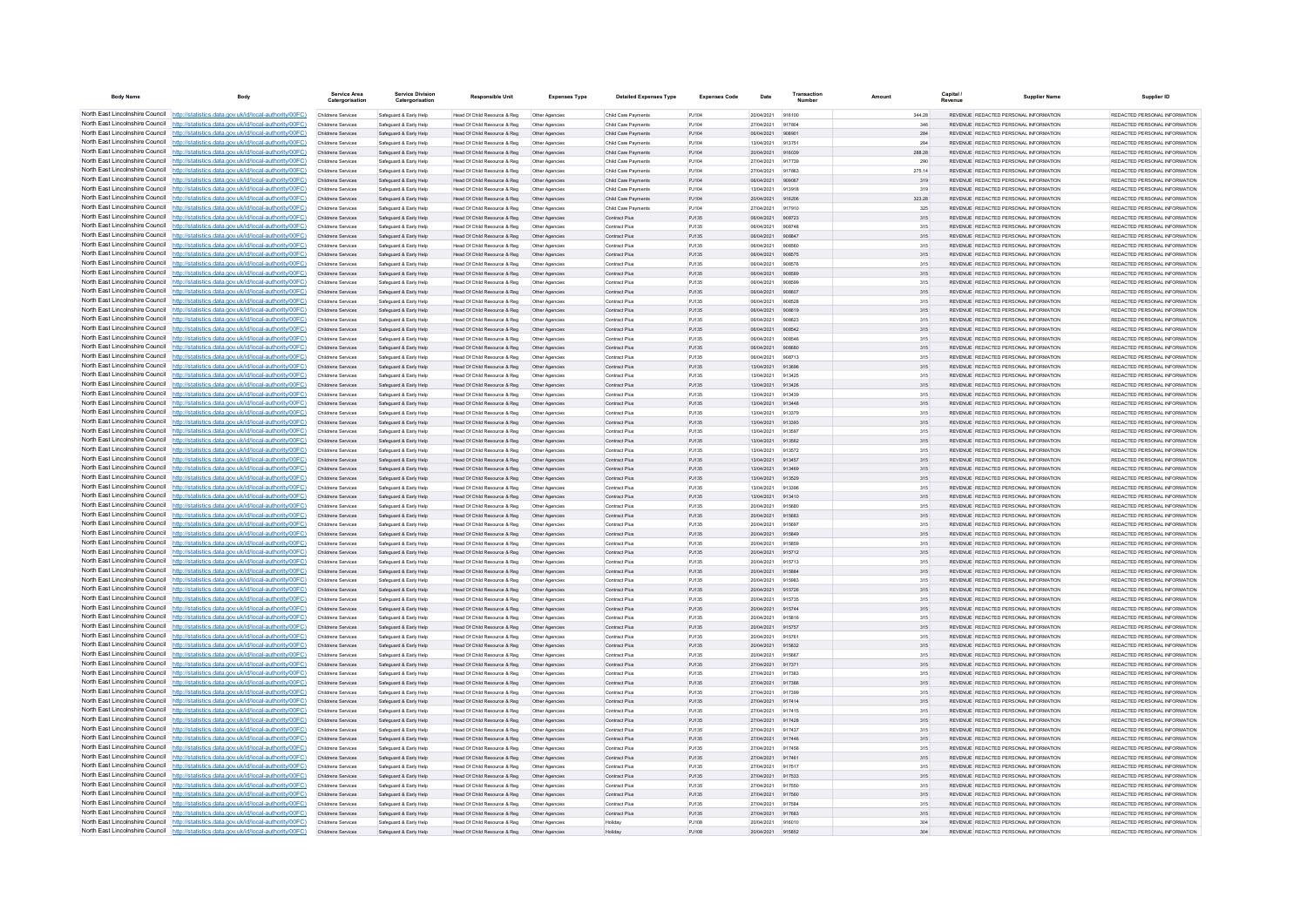| <b>Body Name</b>                                                   | Body                                                                                                                                                                               | <b>Service Area</b><br>Catergorisat             | <b>Service Division</b><br>Catergorisation       | <b>Responsible Unit</b>                                      | <b>Expenses Type</b>             | <b>Detailed Expenses Type</b>             | <b>Expenses Code</b> | Date                     | Transaction      | Amount        | Capital /  | <b>Supplier Name</b>                                                           | Supplier ID                                                     |
|--------------------------------------------------------------------|------------------------------------------------------------------------------------------------------------------------------------------------------------------------------------|-------------------------------------------------|--------------------------------------------------|--------------------------------------------------------------|----------------------------------|-------------------------------------------|----------------------|--------------------------|------------------|---------------|------------|--------------------------------------------------------------------------------|-----------------------------------------------------------------|
|                                                                    | North East Lincolnshire Council http://statistics.data.gov.uk/id/local-authority/00FC)                                                                                             | Childrens Services                              | Safeguard & Early Help                           | Head Of Child Resource & Reg                                 | Other Agencies                   | Child Care Payments                       | PJ104                | 20/04/2021 916100        |                  | 344.28        |            | REVENUE, REDACTED PERSONAL INFORMATION                                         | REDACTED PERSONAL INFORMATION                                   |
|                                                                    | North East Lincolnshire Council http://statistics.data.gov.uk/id/local-authority/00FC)                                                                                             | Childrens Services                              | Safeguard & Early Help                           | Head Of Child Resource & Reg                                 | Other Agencies                   | Child Care Payments                       | PJ104                | 27/04/2021               | 917804           |               | 346        | REVENUE REDACTED PERSONAL INFORMATION                                          | REDACTED PERSONAL INFORMATION                                   |
|                                                                    | North East Lincolnshire Council http://statistics.data.gov.uk/id/local-authority/00FC)<br>North East Lincolnshire Council http://statistics.data.gov.uk/id/local-authority/00FC)   | Childrens Services<br>Childrens Services        | Safeguard & Early Help<br>Safeguard & Early Help | Head Of Child Resource & Reg<br>Head Of Child Resource & Reg | Other Agencies<br>Other Agencie  | Child Care Payments<br>Child Care Payment | PJ104<br>PJ104       | 06/04/2021<br>13/04/2021 | 90890<br>913751  |               | 284<br>284 | REVENUE REDACTED PERSONAL INFORMATION<br>REVENUE REDACTED PERSONAL INFORMATION | REDACTED PERSONAL INFORMATION<br>REDACTED PERSONAL INFORMATION  |
|                                                                    | North East Lincolnshire Council http://statistics.data.gov.uk/id/local-authority/00FC)                                                                                             | Childrens Services                              | Safeguard & Early Help                           | Head Of Child Resource & Reg                                 | Other Agencies                   | Child Care Payments                       | P.1104               | 20/04/2021               | 916039           | <b>288.28</b> |            | REVENUE REDACTED PERSONAL INFORMATION                                          | REDACTED PERSONAL INFORMATION.                                  |
|                                                                    | North East Lincolnshire Council   http://statistics.data.gov.uk/id/local-authority/00FC)                                                                                           | Childrens Services                              | Safeguard & Early Help                           | Head Of Child Resource & Reg                                 | Other Agencies                   | Child Care Payments                       | PJ104                | 27/04/2021               | 917739           |               | 290        | REVENUE REDACTED PERSONAL INFORMATION                                          | REDACTED PERSONAL INFORMATION                                   |
|                                                                    | North East Lincolnshire Council http://statistics.data.gov.uk/id/local-authority/00FC)                                                                                             | Childrens Services                              | Safeguard & Early Help                           | Head Of Child Resource & Reg                                 | Other Agencies                   | Child Care Payment                        | PJ104                | 27/04/2021               | 917863           | 275.14        |            | REVENUE REDACTED PERSONAL INFORMATION                                          | REDACTED PERSONAL INFORMATION                                   |
|                                                                    | North East Lincolnshire Council   http://statistics.data.gov.uk/id/local-authority/00FC)                                                                                           | Childrens Services                              | Safeguard & Early Help                           | Head Of Child Resource & Reg                                 | Other Agencies                   | Child Care Payments                       | PJ104                | 06/04/2021               | 909067           |               | 319        | REVENUE REDACTED PERSONAL INFORMATION                                          | REDACTED PERSONAL INFORMATION                                   |
|                                                                    | North East Lincolnshire Council http://statistics.data.gov.uk/id/local-authority/00FC)                                                                                             | Childrens Services                              | Safernard & Farly Help                           | Head Of Child Resource & Reg                                 | Other Agencies                   | Child Care Payments                       | P.1104               | 13/04/2021               | 913918           |               | 319        | REVENUE REDACTED PERSONAL INFORMATION                                          | REDACTED PERSONAL INFORMATION.                                  |
| North East Lincolnshire Council<br>North East Lincolnshire Council | http://statistics.data.gov.uk/id/local-authority/00FC)<br>http://statistics.data.gov.uk/id/local-authority/00FC)                                                                   | Childrens Services<br>Childrens Services        | Safeguard & Early Help<br>Safeguard & Early Help | Head Of Child Resource & Reg<br>Head Of Child Resource & Reg | Other Agencies<br>Other Agencie  | Child Care Payments<br>Child Care Paymen  | PJ104<br>PJ10        | 20/04/2021<br>27/04/2021 | 916206<br>917910 | 323.28        | 325        | REVENUE REDACTED PERSONAL INFORMATION<br>REVENUE REDACTED PERSONAL INFORMATION | REDACTED PERSONAL INFORMATION<br>REDACTED PERSONAL INFORMATION  |
|                                                                    | North East Lincolnshire Council http://statistics.data.gov.uk/id/local-authority/00FC)                                                                                             | <b>Childrens Services</b>                       | Safeguard & Early Help                           | Head Of Child Resource & Reg                                 | Other Agencies                   | Contract Plus                             | PJ135                | 08/04/2021               | 908723           |               | 315        | REVENUE REDACTED PERSONAL INFORMATION                                          | REDACTED PERSONAL INFORMATION                                   |
|                                                                    | North East Lincolnshire Council http://statistics.data.gov.uk/id/local-authority/00FC)                                                                                             | Childrens Services                              | Safeguard & Early Help                           | Head Of Child Resource & Reg                                 | Other Agencies                   | Contract Plus                             | PJ135                | 06/04/2021               | 908748           |               | 315        | REVENUE REDACTED PERSONAL INFORMATION                                          | REDACTED PERSONAL INFORMATION                                   |
|                                                                    | North East Lincolnshire Council http://statistics.data.gov.uk/id/local-authority/00FC)                                                                                             | Childrens Services                              | Safeguard & Early Help                           | Head Of Child Resource & Reg                                 | Other Agencies                   | Contract Plus                             | PJ135                | 06/04/2021               | 908847           |               | 315        | REVENUE REDACTED PERSONAL INFORMATION                                          | REDACTED PERSONAL INFORMATION                                   |
|                                                                    | North East Lincolnshire Council http://statistics.data.gov.uk/id/local-authority/00FC)                                                                                             | Childrens Services                              | Safeguard & Early Help                           | Head Of Child Resource & Reg                                 | Other Agencie                    | Contract Plus                             | PJ135                | 06/04/2021               | 908560           |               | 315        | REVENUE REDACTED PERSONAL INFORMATION                                          | REDACTED PERSONAL INFORMATION                                   |
|                                                                    | North East Lincolnshire Council http://statistics.data.gov.uk/id/local-authority/00FC)                                                                                             | Childrens Services                              | Safeguard & Early Help                           | Head Of Child Resource & Reg                                 | Other Agencies                   | Contract Plus                             | P.1135               | 06/04/2021               | 908575           |               | 315        | REVENUE REDACTED PERSONAL INFORMATION                                          | REDACTED PERSONAL INFORMATION                                   |
| North East Lincolnshire Council                                    | http://statistics.data.gov.uk/id/local-authority/00FC)                                                                                                                             | Childrens Services                              | Safeguard & Early Help                           | Head Of Child Resource & Reg                                 | Other Agencies                   | Contract Plus                             | PJ135                | 06/04/2021               | 908576           |               | 315        | REVENUE REDACTED PERSONAL INFORMATION                                          | REDACTED PERSONAL INFORMATION                                   |
|                                                                    | North East Lincolnshire Council http://statistics.data.gov.uk/id/local-authority/00FC)<br>North East Lincolnshire Council http://statistics.data.gov.uk/id/local-authority/00FC)   | Childrens Services<br>Childrens Service         | Safeguard & Early Help<br>Safeguard & Early Help | Head Of Child Resource & Reg<br>Head Of Child Resource & Reg | Other Agencies<br>Other Agencie  | Contract Plus<br>Contract Plus            | PJ135<br>PJ135       | 06/04/2021<br>06/04/2021 | 908589<br>gnasop |               | 315<br>315 | REVENUE REDACTED PERSONAL INFORMATION<br>REVENUE REDACTED PERSONAL INFORMATION | REDACTED PERSONAL INFORMATION<br>REDACTED PERSONAL INFORMATION. |
|                                                                    | North East Lincolnshire Council http://statistics.data.gov.uk/id/local-authority/00FC)                                                                                             | Childrens Services                              | Safeguard & Early Help                           | Head Of Child Resource & Reg                                 | Other Agencies                   | Contract Plus                             | P.1135               | 06/04/2021               | 908607           |               | 315        | REVENUE, REDACTED PERSONAL INFORMATION                                         | REDACTED PERSONAL INFORMATION.                                  |
|                                                                    | North East Lincolnshire Council   http://statistics.data.gov.uk/id/local-authority/00FC)                                                                                           | Childrens Services                              | Safeguard & Early Help                           | Head Of Child Resource & Reg                                 | Other Agencies                   | Contract Plus                             | PJ135                | 06/04/2021               | 908528           |               | 315        | REVENUE REDACTED PERSONAL INFORMATION                                          | REDACTED PERSONAL INFORMATION                                   |
|                                                                    | North East Lincolnshire Council http://statistics.data.gov.uk/id/local-authority/00FC)                                                                                             | Childrens Services                              | Safeguard & Early Help                           | Head Of Child Resource & Reg                                 | Other Agencies                   | Contract Plus                             | PJ135                | 06/04/2021               | 908619           |               | 315        | REVENUE REDACTED PERSONAL INFORMATION                                          | REDACTED PERSONAL INFORMATION                                   |
|                                                                    | North East Lincolnshire Council   http://statistics.data.gov.uk/id/local-authority/00FC)                                                                                           | Childrens Services                              | Safeguard & Early Help                           | Head Of Child Resource & Reg                                 | Other Agencies                   | Contract Plus                             | PJ135                | 06/04/2021               | 908623           |               | 315        | REVENUE REDACTED PERSONAL INFORMATION                                          | REDACTED PERSONAL INFORMATION                                   |
|                                                                    | North East Lincolnshire Council http://statistics.data.gov.uk/id/local-authority/00FC)                                                                                             | Childrens Services                              | Safeguard & Early Help                           | Head Of Child Resource & Reg                                 | Other Agencies                   | Contract Plus                             | PJ135                | 06/04/2021               | 908542           |               | 315        | REVENUE REDACTED PERSONAL INFORMATION                                          | REDACTED PERSONAL INFORMATION                                   |
| North East Lincolnshire Council                                    | http://statistics.data.gov.uk/id/local-authority/00FC)                                                                                                                             | Childrens Services                              | Safeguard & Early Help                           | Head Of Child Resource & Reg                                 | Other Agencies                   | Contract Plus                             | PJ135                | 06/04/2021               | 908546           |               | 315        | REVENUE REDACTED PERSONAL INFORMATION                                          | REDACTED PERSONAL INFORMATION                                   |
|                                                                    | North East Lincolnshire Council http://statistics.data.gov.uk/id/local-authority/00FC)<br>North East Lincolnshire Council http://statistics.data.gov.uk/id/local-authority/00FC)   | Childrens Services<br>Childrens Services        | Safeguard & Early Help<br>Safeguard & Early Help | Head Of Child Resource & Reg<br>Head Of Child Resource & Reg | Other Agencies<br>Other Agencie  | Contract Plus<br>Contract Plus            | PJ135<br>P.1135      | 06/04/2021<br>08/04/2021 | 908680<br>908713 |               | 315<br>315 | REVENUE REDACTED PERSONAL INFORMATION<br>REVENUE REDACTED PERSONAL INFORMATION | REDACTED PERSONAL INFORMATION<br>REDACTED PERSONAL INFORMATION  |
|                                                                    | North East Lincolnshire Council http://statistics.data.gov.uk/id/local-authority/00FC)                                                                                             | <b>Childrens Services</b>                       | Safeguard & Early Help                           | Head Of Child Resource & Reg                                 | Other Agencies                   | Contract Plus                             | PJ135                | 13/04/2021               | 913696           |               | 315        | REVENUE REDACTED PERSONAL INFORMATION                                          | REDACTED PERSONAL INFORMATION                                   |
|                                                                    | North East Lincolnshire Council http://statistics.data.gov.uk/id/local-authority/00FC)                                                                                             | Childrens Services                              | Safeguard & Early Help                           | Head Of Child Resource & Reg                                 | Other Agencies                   | Contract Plus                             | PJ135                | 13/04/2021               | 913425           |               | 315        | REVENUE REDACTED PERSONAL INFORMATION                                          | REDACTED PERSONAL INFORMATION                                   |
|                                                                    | North East Lincolnshire Council http://statistics.data.gov.uk/id/local-authority/00FC)                                                                                             | Childrens Services                              | Safeguard & Early Help                           | Head Of Child Resource & Reg                                 | Other Agencies                   | Contract Plus                             | PJ135                | 13/04/2021               | 913426           |               | 315        | REVENUE REDACTED PERSONAL INFORMATION                                          | REDACTED PERSONAL INFORMATION                                   |
|                                                                    | North East Lincolnshire Council http://statistics.data.gov.uk/id/local-authority/00FC)                                                                                             | Childrens Services                              | Safeguard & Early Help                           | Head Of Child Resource & Reg                                 | Other Agencies                   | Contract Plus                             | P.1135               | 13/04/2021               | 913439           |               | 315        | REVENUE REDACTED PERSONAL INFORMATION                                          | REDACTED PERSONAL INFORMATION.                                  |
| North East Lincolnshire Council                                    | http://statistics.data.gov.uk/id/local-authority/00FC)                                                                                                                             | Childrens Services                              | Safeguard & Early Help                           | Head Of Child Resource & Reg                                 | Other Agencies                   | Contract Plus                             | PJ135                | 13/04/2021               | 913448           |               | 315        | REVENUE REDACTED PERSONAL INFORMATION                                          | REDACTED PERSONAL INFORMATION                                   |
| North East Lincolnshire Council                                    | http://statistics.data.gov.uk/id/local-authority/00FC)                                                                                                                             | Childrens Services                              | Safeguard & Early Help                           | Head Of Child Resource & Reg                                 | Other Agencie                    | Contract Plus                             | PJ135                | 13/04/2021               | 913379           |               | 315        | REVENUE REDACTED PERSONAL INFORMATION                                          | REDACTED PERSONAL INFORMATION                                   |
|                                                                    | North East Lincolnshire Council http://statistics.data.gov.uk/id/local-authority/00FC)<br>North East Lincolnshire Council http://statistics.data.gov.uk/id/local-authority/00FC)   | Childrens Services                              | Safeguard & Early Help                           | Head Of Child Resource & Reg                                 | Other Agencies                   | Contract Plus                             | PJ135                | 13/04/2021<br>13/04/2021 | 913393           |               | 315        | REVENUE REDACTED PERSONAL INFORMATION                                          | REDACTED PERSONAL INFORMATION                                   |
|                                                                    | North East Lincolnshire Council http://statistics.data.gov.uk/id/local-authority/00FC)                                                                                             | Childrens Services<br>Childrens Services        | Safeguard & Early Help<br>Safeguard & Early Help | Head Of Child Resource & Reg<br>Head Of Child Resource & Reg | Other Agencie<br>Other Agencies  | Contract Plus<br>Contract Plus            | PJ135<br>PJ135       | 13/04/2021               | 913597<br>913562 |               | 315<br>315 | REVENUE REDACTED PERSONAL INFORMATION<br>REVENUE REDACTED PERSONAL INFORMATION | REDACTED PERSONAL INFORMATION<br>REDACTED PERSONAL INFORMATION  |
|                                                                    | North East Lincolnshire Council http://statistics.data.gov.uk/id/local-authority/00FC)                                                                                             | Childrens Services                              | Safeguard & Early Help                           | Head Of Child Resource & Reg                                 | Other Agencies                   | Contract Plus                             | PJ135                | 13/04/2021               | 913572           |               | 315        | REVENUE REDACTED PERSONAL INFORMATION                                          | REDACTED PERSONAL INFORMATION                                   |
|                                                                    | North East Lincolnshire Council http://statistics.data.gov.uk/id/local-authority/00FC)                                                                                             | Childrens Services                              | Safeguard & Early Help                           | Head Of Child Resource & Reg                                 | Other Agencies                   | Contract Plus                             | PJ135                | 13/04/2021               | 913457           |               | 315        | REVENUE REDACTED PERSONAL INFORMATION                                          | REDACTED PERSONAL INFORMATION                                   |
| North East Lincolnshire Council                                    | http://statistics.data.gov.uk/id/local-authority/00EC)                                                                                                                             | Childrens Services                              | Safeguard & Early Help                           | Head Of Child Resource & Reg                                 | Other Agencies                   | Contract Plus                             | PJ135                | 13/04/2021               | 913469           |               | 315        | REVENUE REDACTED PERSONAL INFORMATION                                          | REDACTED PERSONAL INFORMATION                                   |
| North East Lincolnshire Council                                    | http://statistics.data.gov.uk/id/local-authority/00EC)                                                                                                                             | <b>Childrens Services</b>                       | Safeguard & Early Help                           | Head Of Child Resource & Reg                                 | Other Agencies                   | Contract Plus                             | PJ135                | 13/04/2021               | 913529           |               | 315        | REVENUE REDACTED PERSONAL INFORMATION                                          | REDACTED PERSONAL INFORMATION                                   |
|                                                                    | North East Lincolnshire Council http://statistics.data.gov.uk/id/local-authority/00FC)                                                                                             | Childrens Services                              | Safeguard & Early Help                           | Head Of Child Resource & Reg                                 | Other Agencies                   | Contract Plus                             | PJ135                | 13/04/2021               | 91339            |               | 315        | REVENUE REDACTED PERSONAL INFORMATION                                          | REDACTED PERSONAL INFORMATION                                   |
|                                                                    | North East Lincolnshire Council http://statistics.data.gov.uk/id/local-authority/00FC)<br>North East Lincolnshire Council http://statistics.data.gov.uk/id/local-authority/00FC)   | Childrens Services<br>Childrens Services        | Safeguard & Early Help                           | Head Of Child Resource & Reg                                 | Other Agencies<br>Other Agencies | Contract Plus<br>Contract Plus            | PJ135<br>P.1135      | 13/04/2021<br>20/04/2021 | 913410<br>915680 |               | 315<br>315 | REVENUE REDACTED PERSONAL INFORMATION<br>REVENUE REDACTED PERSONAL INFORMATION | REDACTED PERSONAL INFORMATION<br>REDACTED PERSONAL INFORMATION. |
|                                                                    | North East Lincolnshire Council http://statistics.data.gov.uk/id/local-authority/00FC)                                                                                             | Childrens Services                              | Safeguard & Early Help<br>Safeguard & Early Help | Head Of Child Resource & Reg<br>Head Of Child Resource & Reg | Other Agencies                   | Contract Plus                             | PJ135                | 20/04/2021               | 915683           |               | 315        | REVENUE REDACTED PERSONAL INFORMATION                                          | REDACTED PERSONAL INFORMATION                                   |
|                                                                    | North East Lincolnshire Council http://statistics.data.gov.uk/id/local-authority/00FC)                                                                                             | Childrens Services                              | Safeguard & Early Help                           | Head Of Child Resource & Reg                                 | Other Agencies                   | Contract Plus                             | PJ135                | 20/04/2021               | 915697           |               | 315        | REVENUE REDACTED PERSONAL INFORMATION                                          | REDACTED PERSONAL INFORMATION                                   |
|                                                                    | North East Lincolnshire Council http://statistics.data.gov.uk/id/local-authority/00FC)                                                                                             | Childrens Services                              | Safeguard & Early Help                           | Head Of Child Resource & Reg                                 | Other Agencies                   | Contract Plus                             | PJ135                | 20/04/2021               | 915849           |               | 315        | REVENUE REDACTED PERSONAL INFORMATION                                          | REDACTED PERSONAL INFORMATION                                   |
| North East Lincolnshire Council                                    | http://statistics.data.gov.uk/id/local-authority/00FC)                                                                                                                             | Childrens Services                              | Safeguard & Early Help                           | Head Of Child Resource & Reg                                 | Other Agencies                   | Contract Plus                             | PJ135                | 20/04/2021               | 915859           |               | 315        | REVENUE REDACTED PERSONAL INFORMATION                                          | REDACTED PERSONAL INFORMATION                                   |
|                                                                    | North East Lincolnshire Council http://statistics.data.gov.uk/id/local-authority/00FC)                                                                                             | Childrens Services                              | Safeguard & Early Help                           | Head Of Child Resource & Reg                                 | Other Agencies                   | Contract Plus                             | PJ135                | 20/04/2021               | 915712           |               | 315        | REVENUE REDACTED PERSONAL INFORMATION                                          | REDACTED PERSONAL INFORMATION                                   |
|                                                                    | North East Lincolnshire Council http://statistics.data.gov.uk/id/local-authority/00FC)<br>North East Lincolnshire Council http://statistics.data.gov.uk/id/local-authority/00FC)   | Childrens Services                              | Safeguard & Early Help                           | Head Of Child Resource & Reg                                 | Other Agencie                    | Contract Plu                              | PJ135                | 20/04/2021               | 915713           |               | 315        | REVENUE REDACTED PERSONAL INFORMATION                                          | REDACTED PERSONAL INFORMATION                                   |
|                                                                    | North East Lincolnshire Council http://statistics.data.gov.uk/id/local-authority/00FC)                                                                                             | Childrens Services<br>Childrens Services        | Safeguard & Early Help<br>Safeguard & Early Help | Head Of Child Resource & Reg<br>Head Of Child Resource & Reg | Other Agencies<br>Other Agencies | Contract Plus<br>Contract Plus            | PJ135<br>PJ135       | 20/04/2021<br>20/04/2021 | 915884<br>915983 |               | 315<br>315 | REVENUE REDACTED PERSONAL INFORMATION<br>REVENUE REDACTED PERSONAL INFORMATION | REDACTED PERSONAL INFORMATION<br>REDACTED PERSONAL INFORMATION  |
|                                                                    | North East Lincolnshire Council http://statistics.data.gov.uk/id/local-authority/00FC)                                                                                             | Childrens Services                              | Safeguard & Early Help                           | Head Of Child Resource & Reg                                 | Other Agencies                   | Contract Plus                             | PJ135                | 20/04/2021               | 915726           |               | 315        | REVENUE REDACTED PERSONAL INFORMATION                                          | REDACTED PERSONAL INFORMATION                                   |
|                                                                    | North East Lincolnshire Council http://statistics.data.gov.uk/id/local-authority/00FC)                                                                                             | Childrens Services                              | Safeguard & Early Help                           | Head Of Child Resource & Reg                                 | Other Agencies                   | Contract Plus                             | PJ135                | 20/04/2021               | 915735           |               | 315        | REVENUE REDACTED PERSONAL INFORMATION                                          | REDACTED PERSONAL INFORMATION                                   |
| North East Lincolnshire Council                                    | http://statistics.data.gov.uk/id/local-authority/00EC).                                                                                                                            | Childrens Services                              | Safeguard & Early Help                           | Head Of Child Resource & Reg                                 | Other Agencies                   | Contract Plus                             | P.1135               | 20/04/2021               | 915744           |               | 315        | REVENUE REDACTED PERSONAL INFORMATION                                          | REDACTED PERSONAL INFORMATION.                                  |
| North East Lincolnshire Council                                    | http://statistics.data.gov.uk/id/local-authority/00EC).                                                                                                                            | Childrens Services                              | Safeguard & Early Help                           | Head Of Child Resource & Reg                                 | Other Agencies                   | Contract Plus                             | PJ135                | 20/04/2021               | 915816           |               | 315        | REVENUE REDACTED PERSONAL INFORMATION                                          | REDACTED PERSONAL INFORMATION                                   |
|                                                                    | North East Lincolnshire Council http://statistics.data.gov.uk/id/local-authority/00FC)                                                                                             | Childrens Services                              | Safeguard & Early Help                           | Head Of Child Resource & Reg                                 | Other Agencies                   | Contract Plus                             | PJ135                | 20/04/2021               |                  |               | 315        | REVENUE REDACTED PERSONAL INFORMATION                                          | REDACTED PERSONAL INFORMATION                                   |
|                                                                    | North East Lincolnshire Council http://statistics.data.gov.uk/id/local-authority/00FC)<br>North East Lincolnshire Council   http://statistics.data.gov.uk/id/local-authority/00FC) | Childrens Services                              | Safeguard & Early Help                           | Head Of Child Resource & Reg                                 | Other Agencie                    | Contract Plus                             | PJ135                | 20/04/2021               | <b>915761</b>    |               | 315        | REVENUE REDACTED PERSONAL INFORMATION                                          | REDACTED PERSONAL INFORMATION.                                  |
|                                                                    | North East Lincolnshire Council http://statistics.data.gov.uk/id/local-authority/00FC)                                                                                             | Childrens Services<br>Childrens Services        | Safeguard & Early Help<br>Safeguard & Early Help | Head Of Child Resource & Reg<br>Head Of Child Resource & Reg | Other Agencies<br>Other Agencies | Contract Plus<br>Contract Plus            | PJ135<br>PJ135       | 20/04/2021<br>20/04/2021 | 915832<br>915667 |               | 315<br>315 | REVENUE REDACTED PERSONAL INFORMATION<br>REVENUE REDACTED PERSONAL INFORMATION | REDACTED PERSONAL INFORMATION<br>REDACTED PERSONAL INFORMATION  |
|                                                                    | North East Lincolnshire Council http://statistics.data.gov.uk/id/local-authority/00FC)                                                                                             | Childrens Services                              | Safeguard & Early Help                           | Head Of Child Resource & Reg                                 | Other Agencies                   | Contract Plus                             | PJ135                | 27/04/2021               | 91737            |               | 315        | REVENUE REDACTED PERSONAL INFORMATION                                          | REDACTED PERSONAL INFORMATION                                   |
| North East Lincolnshire Council                                    | http://statistics.data.gov.uk/id/local-authority/00FC)                                                                                                                             | Childrens Services                              | Safeguard & Early Help                           | Head Of Child Resource & Reg                                 | Other Agencies                   | Contract Plus                             | PJ135                | 27/04/2021               | 917382           |               | 315        | REVENUE REDACTED PERSONAL INFORMATION                                          | REDACTED PERSONAL INFORMATION                                   |
| North East Lincolnshire Council                                    | http://statistics.data.gov.uk/id/local-authority/00FC)                                                                                                                             | Childrens Services                              | Safeguard & Early Help                           | Head Of Child Resource & Reg                                 | Other Agencies                   | Contract Plus                             | PJ135                | 27/04/2021               | 917386           |               | 315        | REVENUE REDACTED PERSONAL INFORMATION                                          | REDACTED PERSONAL INFORMATION                                   |
|                                                                    | North East Lincolnshire Council http://statistics.data.gov.uk/id/local-authority/00FC)                                                                                             | Childrens Services                              | Safeguard & Early Help                           | Head Of Child Resource & Reg                                 | Other Agencies                   | Contract Plus                             | PJ135                | 27/04/2021               | 91739            |               | 315        | REVENUE REDACTED PERSONAL INFORMATION                                          | REDACTED PERSONAL INFORMATION                                   |
|                                                                    | North East Lincolnshire Council http://statistics.data.gov.uk/id/local-authority/00FC)                                                                                             | Childrens Services                              | Safeguard & Early Help                           | Head Of Child Resource & Reg                                 | Other Agencies                   | Contract Plus                             | PJ135                | 27/04/2021               | 917414           |               | 315        | REVENUE REDACTED PERSONAL INFORMATION                                          | REDACTED PERSONAL INFORMATION                                   |
|                                                                    | North East Lincolnshire Council http://statistics.data.gov.uk/id/local-authority/00FC)<br>North East Lincolnshire Council http://statistics.data.gov.uk/id/local-authority/00FC)   | Childrens Services                              | Safeguard & Early Help                           | Head Of Child Resource & Reg<br>Head Of Child Resource & Reg | Other Agencies                   | Contract Plus<br>Contract Plus            | P.1135               | 27/04/2021               | 917415           |               | 315        | REVENUE REDACTED PERSONAL INFORMATION<br>REVENUE REDACTED PERSONAL INFORMATION | REDACTED PERSONAL INFORMATION.<br>REDACTED PERSONAL INFORMATION |
|                                                                    | North East Lincolnshire Council http://statistics.data.gov.uk/id/local-authority/00FC)                                                                                             | <b>Childrens Services</b><br>Childrens Services | Safeguard & Early Help<br>Safeguard & Early Help | Head Of Child Resource & Reg                                 | Other Agencies<br>Other Agencies | Contract Plus                             | PJ135<br>PJ135       | 27/04/2021<br>27/04/2021 | 917428<br>917437 |               | 315<br>315 | REVENUE REDACTED PERSONAL INFORMATION                                          | REDACTED PERSONAL INFORMATION                                   |
|                                                                    | North East Lincolnshire Council http://statistics.data.gov.uk/id/local-authority/00FC)                                                                                             | Childrens Services                              | Safeguard & Early Help                           | Head Of Child Resource & Reg                                 | Other Agencies                   | Contract Plus                             | PJ135                | 27/04/2021               | 917446           |               | 315        | REVENUE REDACTED PERSONAL INFORMATION                                          | REDACTED PERSONAL INFORMATION                                   |
| North East Lincolnshire Council                                    | http://statistics.data.gov.uk/id/local-authority/00EC).                                                                                                                            | Childrens Services                              | Safeguard & Early Help                           | Head Of Child Resource & Reg                                 | Other Agencies                   | Contract Plus                             | P.1135               | 27/04/2021               | 917458           |               | 315        | REVENUE REDACTED PERSONAL INFORMATION                                          | REDACTED PERSONAL INFORMATION.                                  |
|                                                                    | North East Lincolnshire Council http://statistics.data.gov.uk/id/local-authority/00FC)                                                                                             | Childrens Services                              | Safeguard & Early Help                           | Head Of Child Resource & Reg                                 | Other Agencies                   | Contract Plus                             | PJ135                | 27/04/2021               | 917461           |               | 315        | REVENUE REDACTED PERSONAL INFORMATION                                          | REDACTED PERSONAL INFORMATION                                   |
|                                                                    | North East Lincolnshire Council   http://statistics.data.gov.uk/id/local-authority/00FC)                                                                                           | Childrens Services                              | Safeguard & Early Help                           | Head Of Child Resource & Reg                                 | Other Agencies                   | Contract Plus                             | PJ135                | 27/04/2021               | 917517           |               | 315        | REVENUE REDACTED PERSONAL INFORMATION                                          | REDACTED PERSONAL INFORMATION                                   |
|                                                                    | North East Lincolnshire Council http://statistics.data.gov.uk/id/local-authority/00FC)<br>North East Lincolnshire Council http://statistics.data.gov.uk/id/local-authority/00FC)   | Childrens Services                              | Safeguard & Early Help                           | Head Of Child Resource & Reg                                 | Other Agencies                   | Contract Plus                             | PJ135                | 27/04/2021               | 917533           |               | 315        | REVENUE REDACTED PERSONAL INFORMATION                                          | REDACTED PERSONAL INFORMATION                                   |
|                                                                    | North East Lincolnshire Council http://statistics.data.gov.uk/id/local-authority/00FC)                                                                                             | Childrens Services<br>Childrens Services        | Safeguard & Early Help<br>Safeguard & Early Help | Head Of Child Resource & Reg<br>Head Of Child Resource & Reg | Other Agencies<br>Other Agencies | Contract Plus<br>Contract Plus            | PJ135<br>PJ135       | 27/04/2021<br>27/04/2021 | 917550<br>917560 |               | 315<br>315 | REVENUE REDACTED PERSONAL INFORMATION<br>REVENUE REDACTED PERSONAL INFORMATION | REDACTED PERSONAL INFORMATION<br>REDACTED PERSONAL INFORMATION  |
|                                                                    | North East Lincolnshire Council http://statistics.data.gov.uk/id/local-authority/00FC)                                                                                             | Childrens Services                              | Safeguard & Early Help                           | Head Of Child Resource & Reg                                 | Other Agencie                    | Contract Plu                              | PJ135                | 27/04/2021               | 917584           |               | 315        | REVENUE REDACTED PERSONAL INFORMATION                                          | REDACTED PERSONAL INFORMATION                                   |
|                                                                    | North East Lincolnshire Council http://statistics.data.gov.uk/id/local-authority/00FC)                                                                                             | Childrens Services                              | Safeguard & Early Help                           | Head Of Child Resource & Reg                                 | Other Agencies                   | Contract Plus                             | PJ135                | 27/04/2021 917682        |                  |               | 315        | REVENUE REDACTED PERSONAL INFORMATION                                          | REDACTED PERSONAL INFORMATION                                   |
|                                                                    | North East Lincolnshire Council http://statistics.data.gov.uk/id/local-authority/00FC)                                                                                             | Childrens Services                              | Safeguard & Early Help                           | Head Of Child Resource & Reg                                 | Other Agencies                   | Holidav                                   | PJ108                | 20/04/2021               | 916010           |               | 304        | REVENUE REDACTED PERSONAL INFORMATION                                          | REDACTED PERSONAL INFORMATION                                   |
|                                                                    | North East Lincolnshire Council http://statistics.data.gov.uk/id/local-authority/00FC)                                                                                             | Childrens Services                              | Safeguard & Early Help                           | Head Of Child Resource & Reg                                 | Other Agencies                   | Holidav                                   | PJ108                | 20/04/2021               |                  |               | 304        | REVENUE REDACTED PERSONAL INFORMATION                                          | REDACTED PERSONAL INFORMATION                                   |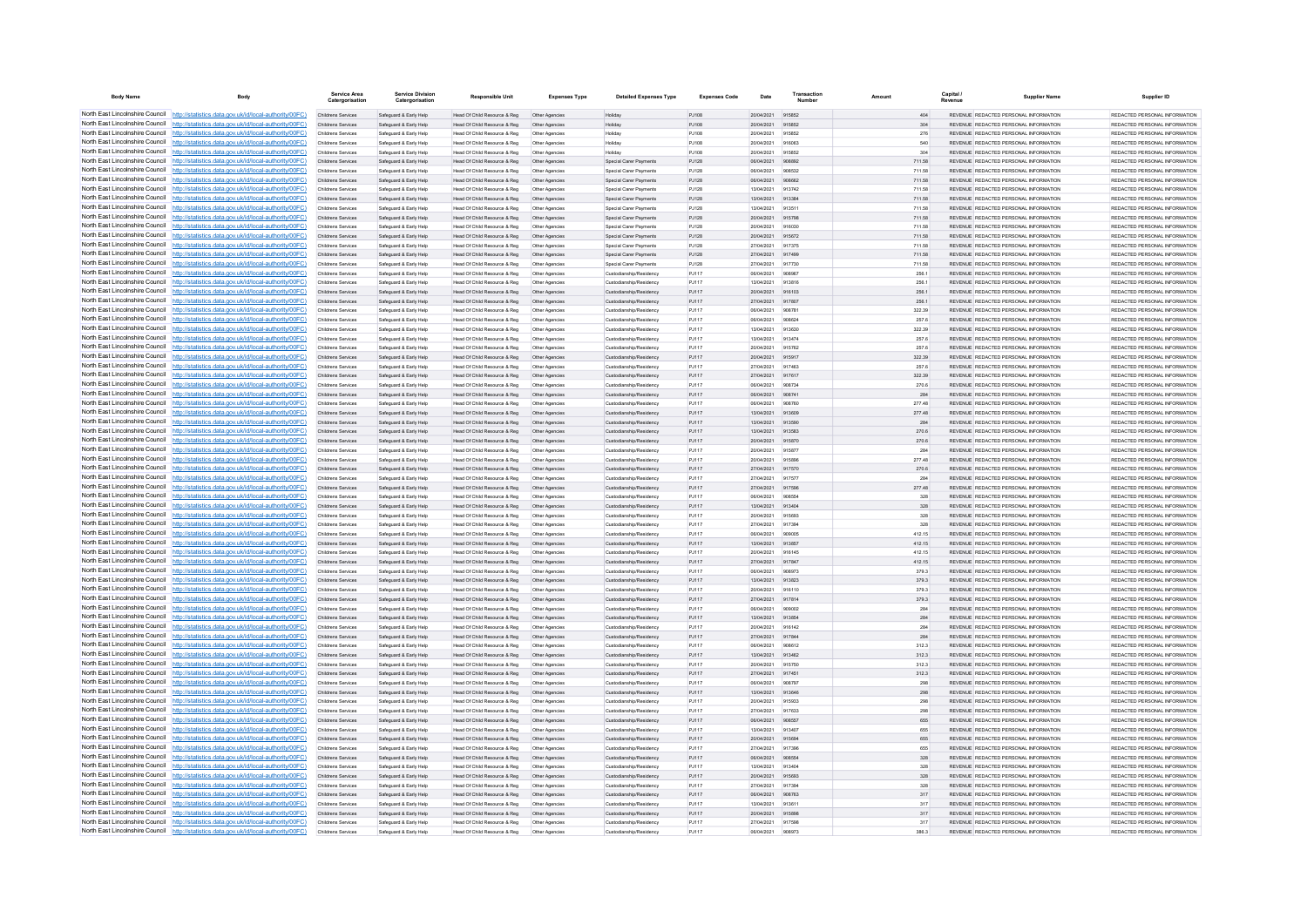| <b>Body Name</b>                                                   | Body                                                                                                                                                                               | Service Area                                    | <b>Service Division</b><br>Catergorisation       | Responsible Unit                                             | <b>Expenses Type</b>             | <b>Detailed Expenses Type</b>                      | <b>Expenses Code</b> | Date                            | Transaction      |                  | Capital / | <b>Supplier Name</b>                                                           | Supplier ID                                                     |
|--------------------------------------------------------------------|------------------------------------------------------------------------------------------------------------------------------------------------------------------------------------|-------------------------------------------------|--------------------------------------------------|--------------------------------------------------------------|----------------------------------|----------------------------------------------------|----------------------|---------------------------------|------------------|------------------|-----------|--------------------------------------------------------------------------------|-----------------------------------------------------------------|
|                                                                    | North East Lincolnshire Council http://statistics.data.gov.uk/id/local-authority/00FC)                                                                                             | Childrens Services                              | Safeguard & Early Help                           | Head Of Child Resource & Reg                                 | Other Agencies                   | Holiday                                            | PJ108                | 20/04/2021 915852               |                  | 404              |           | REVENUE REDACTED PERSONAL INFORMATION                                          | REDACTED PERSONAL INFORMATION                                   |
|                                                                    | North East Lincolnshire Council http://statistics.data.gov.uk/id/local-authority/00FC)<br>North East Lincolnshire Council http://statistics.data.gov.uk/id/local-authority/00FC)   | Childrens Services                              | Safeguard & Early Help                           | Head Of Child Resource & Reg                                 | Other Agencies                   | Holiday                                            | PJ108<br>PJ108       | 20/04/2021<br>20/04/2021        | 915852           | 304<br>276       |           | REVENUE REDACTED PERSONAL INFORMATION<br>REVENUE REDACTED PERSONAL INFORMATION | REDACTED PERSONAL INFORMATION<br>REDACTED PERSONAL INFORMATION  |
|                                                                    | North East Lincolnshire Council http://statistics.data.gov.uk/id/local-authority/00FC)                                                                                             | Childrens Services<br>Childrens Services        | Safeguard & Early Help<br>Safeguard & Early Help | Head Of Child Resource & Reg<br>Head Of Child Resource & Reg | Other Agencies<br>Other Agencies | Holiday<br>Holiday                                 | PJ108                | 20/04/2021                      | 915852<br>916063 | 540              |           | REVENUE REDACTED PERSONAL INFORMATION                                          | REDACTED PERSONAL INFORMATION                                   |
|                                                                    | North East Lincolnshire Council http://statistics.data.gov.uk/id/local-authority/00FC)                                                                                             | Childrens Services                              | Safeguard & Early Help                           | Head Of Child Resource & Reg                                 | Other Agencies                   | Holiday                                            | P.1108               | 20/04/2021                      | 915852           | 304              |           | REVENUE REDACTED PERSONAL INFORMATION                                          | REDACTED PERSONAL INFORMATION.                                  |
|                                                                    | North East Lincolnshire Council   http://statistics.data.gov.uk/id/local-authority/00FC)                                                                                           | Childrens Services                              | Safeguard & Early Help                           | Head Of Child Resource & Reg                                 | Other Agencies                   | Special Carer Payments                             | PJ128                | 06/04/2021                      | 908892           | 711.58           |           | REVENUE REDACTED PERSONAL INFORMATION                                          | REDACTED PERSONAL INFORMATION                                   |
|                                                                    | North East Lincolnshire Council http://statistics.data.gov.uk/id/local-authority/00FC)                                                                                             | Childrens Services                              | Safeguard & Early Help                           | Head Of Child Resource & Reg                                 | Other Agencies                   | Special Carer Payments                             | PJ128                | 06/04/2021                      | 908532           | 711.58           |           | REVENUE REDACTED PERSONAL INFORMATION                                          | REDACTED PERSONAL INFORMATION                                   |
|                                                                    | North East Lincolnshire Council http://statistics.data.gov.uk/id/local-authority/00FC)                                                                                             | Childrens Services                              | Safeguard & Early Help                           | Head Of Child Resource & Reg                                 | Other Agencies                   | Special Carer Payments                             | PJ128                | 06/04/2021                      | 908662           | 711.58           |           | REVENUE REDACTED PERSONAL INFORMATION                                          | REDACTED PERSONAL INFORMATION                                   |
| North East Lincolnshire Council<br>North East Lincolnshire Council | http://statistics.data.gov.uk/id/local-authority/00EC)<br>http://statistics.data.gov.uk/id/local-authority/00FC)                                                                   | Childrens Services<br>Childrens Services        | Safeguard & Early Help<br>Safeguard & Early Help | Head Of Child Resource & Reg<br>Head Of Child Resource & Reg | Other Agencies                   | Special Carer Payments<br>Special Carer Payments   | P.1128<br>PJ128      | 13/04/2021<br>13/04/2021        | 913742<br>913384 | 711.58<br>711.58 |           | REVENUE REDACTED PERSONAL INFORMATION<br>REVENUE REDACTED PERSONAL INFORMATION | REDACTED PERSONAL INFORMATION.<br>REDACTED PERSONAL INFORMATION |
| North East Lincolnshire Council                                    | http://statistics.data.gov.uk/id/local-authority/00FC)                                                                                                                             | Childrens Services                              | Safeguard & Early Help                           | Head Of Child Resource & Reg                                 | Other Agencies<br>Other Agencie  | Special Carer Payments                             | PJ128                | 13/04/2021                      | 91351            | 711.58           |           | REVENUE REDACTED PERSONAL INFORMATION                                          | REDACTED PERSONAL INFORMATION                                   |
| North East Lincolnshire Council                                    | http://statistics.data.gov.uk/id/local-authority/00FC)                                                                                                                             | Childrens Services                              | Safeguard & Early Help                           | Head Of Child Resource & Reg                                 | Other Agencies                   | Special Carer Payments                             | PJ128                | 20/04/2021                      | 915798           | 711.58           |           | REVENUE REDACTED PERSONAL INFORMATION                                          | REDACTED PERSONAL INFORMATION                                   |
| North East Lincolnshire Council                                    | http://statistics.data.gov.uk/id/local-authority/00FC)                                                                                                                             | Childrens Services                              | Safeguard & Early Help                           | Head Of Child Resource & Reg                                 | Other Agencies                   | Special Carer Payments                             | PJ128                | 20/04/2021                      | 916030           | 711.58           |           | REVENUE REDACTED PERSONAL INFORMATION                                          | REDACTED PERSONAL INFORMATION                                   |
|                                                                    | North East Lincolnshire Council http://statistics.data.gov.uk/id/local-authority/00FC)                                                                                             | Childrens Services                              | Safeguard & Early Help                           | Head Of Child Resource & Reg                                 | Other Agencies                   | Special Carer Payments                             | PJ128                | 20/04/2021                      | 915672           | 711.58           |           | REVENUE REDACTED PERSONAL INFORMATION                                          | REDACTED PERSONAL INFORMATION                                   |
| North East Lincolnshire Council                                    | North East Lincolnshire Council http://statistics.data.gov.uk/id/local-authority/00FC)<br>http://statistics.data.gov.uk/id/local-authority/00FC)                                   | Childrens Services<br>Childrens Services        | Safeguard & Early Help                           | Head Of Child Resource & Reg                                 | Other Agencie                    | Special Carer Payments                             | PJ128<br>P.1128      | 27/04/2021<br>27/04/2021        | 917375<br>917499 | 711.58<br>711.58 |           | REVENUE REDACTED PERSONAL INFORMATION<br>REVENUE REDACTED PERSONAL INFORMATION | REDACTED PERSONAL INFORMATION<br>REDACTED PERSONAL INFORMATION  |
| North East Lincolnshire Council                                    | http://statistics.data.gov.uk/id/local-authority/00FC)                                                                                                                             | <b>Childrens Services</b>                       | Safeguard & Early Help<br>Safeguard & Early Help | Head Of Child Resource & Reg<br>Head Of Child Resource & Reg | Other Agencies<br>Other Agencies | Special Carer Payments<br>Special Carer Payments   | PJ128                | 27/04/2021                      | 917730           | 711.58           |           | REVENUE REDACTED PERSONAL INFORMATION                                          | REDACTED PERSONAL INFORMATION                                   |
| North East Lincolnshire Council                                    | http://statistics.data.gov.uk/id/local-authority/00FC)                                                                                                                             | Childrens Services                              | Safeguard & Early Help                           | Head Of Child Resource & Reg                                 | Other Agencies                   | Custodianship/Residency                            | PJ117                | 06/04/2021                      | 908967           | 256.1            |           | REVENUE REDACTED PERSONAL INFORMATION                                          | REDACTED PERSONAL INFORMATION                                   |
|                                                                    | North East Lincolnshire Council   http://statistics.data.gov.uk/id/local-authority/00FC)                                                                                           | Childrens Services                              | Safeguard & Early Help                           | Head Of Child Resource & Reg                                 | Other Agencie                    | Custodianship/Residenc                             | PJ117                | 13/04/2021                      | 913816           | 256.1            |           | REVENUE REDACTED PERSONAL INFORMATION                                          | REDACTED PERSONAL INFORMATION.                                  |
|                                                                    | North East Lincolnshire Council http://statistics.data.gov.uk/id/local-authority/00FC)                                                                                             | <b>Childrens Services</b>                       | Safeguard & Early Help                           | Head Of Child Resource & Reg                                 | Other Agencies                   | Custodianship/Residency                            | P.1117               | 20/04/2021                      | 916103           | 256.1            |           | REVENUE REDACTED PERSONAL INFORMATION                                          | REDACTED PERSONAL INFORMATION.                                  |
|                                                                    | North East Lincolnshire Council   http://statistics.data.gov.uk/id/local-authority/00FC)                                                                                           | Childrens Services                              | Safeguard & Early Help                           | Head Of Child Resource & Reg                                 | Other Agencies                   | Custodianship/Residency                            | PJ117                | 27/04/2021                      | 917807           | 256.1            |           | REVENUE REDACTED PERSONAL INFORMATION                                          | REDACTED PERSONAL INFORMATION                                   |
|                                                                    | North East Lincolnshire Council http://statistics.data.gov.uk/id/local-authority/00FC)<br>North East Lincolnshire Council   http://statistics.data.gov.uk/id/local-authority/00FC) | Childrens Services<br>Childrens Services        | Safeguard & Early Help                           | Head Of Child Resource & Reg                                 | Other Agencies                   | Custodianship/Residency                            | PJ117<br>PJ117       | 06/04/2021<br>06/04/2021        | 90878<br>908624  | 322.39           |           | REVENUE REDACTED PERSONAL INFORMATION<br>REVENUE REDACTED PERSONAL INFORMATION | REDACTED PERSONAL INFORMATION<br>REDACTED PERSONAL INFORMATION  |
| North East Lincolnshire Council                                    | http://statistics.data.gov.uk/id/local-authority/00FC)                                                                                                                             | Childrens Services                              | Safeguard & Early Help<br>Safeguard & Early Help | Head Of Child Resource & Reg<br>Head Of Child Resource & Reg | Other Agencies<br>Other Agencies | Custodianship/Residency<br>Custodianship/Residency | PJ117                | 13/04/2021                      | 913630           | 257.6<br>322.39  |           | REVENUE REDACTED PERSONAL INFORMATION                                          | REDACTED PERSONAL INFORMATION                                   |
| North East Lincolnshire Council                                    | http://statistics.data.gov.uk/id/local-authority/00FC)                                                                                                                             | Childrens Services                              | Safeguard & Early Help                           | Head Of Child Resource & Reg                                 | Other Agencies                   | Custodianship/Residency                            | PJ117                | 13/04/2021                      | 913474           | 257.6            |           | REVENUE REDACTED PERSONAL INFORMATION                                          | REDACTED PERSONAL INFORMATION                                   |
| North East Lincolnshire Council                                    | http://statistics.data.gov.uk/id/local-authority/00FC)                                                                                                                             | Childrens Services                              | Safeguard & Early Help                           | Head Of Child Resource & Reg                                 | Other Agencie                    | Custodianship/Residency                            | PJ117                | 20/04/2021                      | 915762           | 257.6            |           | REVENUE REDACTED PERSONAL INFORMATION                                          | REDACTED PERSONAL INFORMATION                                   |
|                                                                    | North East Lincolnshire Council http://statistics.data.gov.uk/id/local-authority/00FC)                                                                                             | <b>Childrens Services</b>                       | Safeguard & Early Help                           | Head Of Child Resource & Reg                                 | Other Agencie                    | Custodianship/Residency                            | PJ117                | 20/04/2021                      | 915917           | 322.39           |           | REVENUE REDACTED PERSONAL INFORMATION                                          | REDACTED PERSONAL INFORMATION                                   |
|                                                                    | North East Lincolnshire Council http://statistics.data.gov.uk/id/local-authority/00FC)                                                                                             | <b>Childrens Services</b>                       | Safeguard & Early Help                           | Head Of Child Resource & Reg                                 | Other Agencies                   | Custodianship/Residency                            | PJ117                | 27/04/2021                      | 917463           | 257.6            |           | REVENUE REDACTED PERSONAL INFORMATION                                          | REDACTED PERSONAL INFORMATION                                   |
|                                                                    | North East Lincolnshire Council http://statistics.data.gov.uk/id/local-authority/00FC)<br>North East Lincolnshire Council http://statistics.data.gov.uk/id/local-authority/00FC)   | Childrens Services<br>Childrens Services        | Safeguard & Early Help<br>Safeguard & Early Help | Head Of Child Resource & Reg<br>Head Of Child Resource & Reg | Other Agencies<br>Other Agencie  | Custodianship/Residency<br>Custodianship/Residency | PJ117<br>PJ117       | 27/04/2021<br>06/04/2021        | 917617<br>908734 | 322.39<br>270.6  |           | REVENUE REDACTED PERSONAL INFORMATION<br>REVENUE REDACTED PERSONAL INFORMATION | REDACTED PERSONAL INFORMATION<br>REDACTED PERSONAL INFORMATION  |
| North East Lincolnshire Council                                    | http://statistics.data.gov.uk/id/local-authority/00EC)                                                                                                                             | <b>Childrens Services</b>                       | Safeguard & Early Help                           | Head Of Child Resource & Reg                                 | Other Agencies                   | Custodianship/Residency                            | P.1117               | 06/04/2021                      | 908741           | 284              |           | REVENUE REDACTED PERSONAL INFORMATION                                          | REDACTED PERSONAL INFORMATION.                                  |
| North East Lincolnshire Council                                    | http://statistics.data.gov.uk/id/local-authority/00FC)                                                                                                                             | Childrens Services                              | Safeguard & Early Help                           | Head Of Child Resource & Reg                                 | Other Agencies                   | Custodianship/Residency                            | P.1117               | 06/04/2021                      | 908760           | 277.48           |           | REVENUE REDACTED PERSONAL INFORMATION                                          | REDACTED PERSONAL INFORMATION                                   |
| North East Lincolnshire Council                                    | http://statistics.data.gov.uk/id/local-authority/00FC)                                                                                                                             | Childrens Services                              | Safeguard & Early Help                           | Head Of Child Resource & Reg                                 | Other Agencies                   | Custodianship/Residency                            | PJ117                | 13/04/2021                      | 913609           | 277.48           |           | REVENUE REDACTED PERSONAL INFORMATION                                          | REDACTED PERSONAL INFORMATION                                   |
|                                                                    | North East Lincolnshire Council http://statistics.data.gov.uk/id/local-authority/00FC)                                                                                             | Childrens Services                              | Safeguard & Early Help                           | Head Of Child Resource & Reg                                 | Other Agencies                   | Custodianship/Residency                            | PJ117                | 13/04/2021                      | 91359            | 284              |           | REVENUE REDACTED PERSONAL INFORMATION                                          | REDACTED PERSONAL INFORMATION                                   |
| North East Lincolnshire Council                                    | North East Lincolnshire Council http://statistics.data.gov.uk/id/local-authority/00FC)                                                                                             | Childrens Services                              | Safeguard & Early Help                           | Head Of Child Resource & Reg                                 | Other Agencie                    | Custodianship/Residency                            | PJ117                | 13/04/2021                      | 913583           | 270.6            |           | REVENUE REDACTED PERSONAL INFORMATION                                          | REDACTED PERSONAL INFORMATION                                   |
|                                                                    | http://statistics.data.gov.uk/id/local-authority/00FC)<br>North East Lincolnshire Council http://statistics.data.gov.uk/id/local-authority/00FC)                                   | Childrens Services<br>Childrens Services        | Safeguard & Early Help<br>Safeguard & Early Help | Head Of Child Resource & Reg<br>Head Of Child Resource & Reg | Other Agencies<br>Other Agencies | Custodianship/Residency<br>Custodianship/Residency | PJ117<br>PJ117       | 20/04/2021<br>20/04/2021        | 915870<br>915877 | 270.6<br>284     |           | REVENUE REDACTED PERSONAL INFORMATION<br>REVENUE REDACTED PERSONAL INFORMATION | REDACTED PERSONAL INFORMATION<br>REDACTED PERSONAL INFORMATION  |
|                                                                    | North East Lincolnshire Council http://statistics.data.gov.uk/id/local-authority/00FC)                                                                                             | Childrens Services                              | Safeguard & Early Help                           | Head Of Child Resource & Reg                                 | Other Agencies                   | Custodianship/Residency                            | PJ117                | 20/04/2021                      | 915896           | 277.48           |           | REVENUE REDACTED PERSONAL INFORMATION                                          | REDACTED PERSONAL INFORMATION                                   |
| North East Lincolnshire Council                                    | http://statistics.data.gov.uk/id/local-authority/00EC)                                                                                                                             | Childrens Services                              | Safeguard & Early Help                           | Head Of Child Resource & Reg                                 | Other Agencies                   | Custodianship/Residency                            | PJ117                | 27/04/2021                      | 917570           | 270.6            |           | REVENUE REDACTED PERSONAL INFORMATION                                          | REDACTED PERSONAL INFORMATION                                   |
| North East Lincolnshire Council                                    | atistics data gov uk/id/local-authority/00EC)                                                                                                                                      | <b>Childrens Services</b>                       | Safeguard & Early Help                           | Head Of Child Resource & Reg                                 | Other Agencies                   | Custodianship/Residency                            | PJ117                | 27/04/2021                      | 917577           | 284              |           | REVENUE REDACTED PERSONAL INFORMATION                                          | REDACTED PERSONAL INFORMATION                                   |
| North East Lincolnshire Council                                    | http://statistics.data.gov.uk/id/local-authority/00FC)                                                                                                                             | Childrens Services                              | Safeguard & Early Help                           | Head Of Child Resource & Reg                                 | Other Agencies                   | Custodianship/Residency                            | PJ117                | 27/04/2021                      | 917596           | 277.48           |           | REVENUE REDACTED PERSONAL INFORMATION                                          | REDACTED PERSONAL INFORMATION                                   |
|                                                                    | North East Lincolnshire Council http://statistics.data.gov.uk/id/local-authority/00FC)<br>North East Lincolnshire Council http://statistics.data.gov.uk/id/local-authority/00FC)   | Childrens Services<br><b>Childrens Services</b> | Safeguard & Early Help<br>Safeguard & Early Help | Head Of Child Resource & Reg<br>Head Of Child Resource & Reg | Other Agencies                   | Custodianship/Residency<br>Custodianship/Residency | PJ117<br>PJ117       | 06/04/2021<br>13/04/2021        | 908554<br>913404 | 328<br>328       |           | REVENUE REDACTED PERSONAL INFORMATION<br>REVENUE REDACTED PERSONAL INFORMATION | REDACTED PERSONAL INFORMATION<br>REDACTED PERSONAL INFORMATION. |
|                                                                    | North East Lincolnshire Council http://statistics.data.gov.uk/id/local-authority/00FC)                                                                                             | Childrens Services                              | Safeguard & Early Help                           | Head Of Child Resource & Reg                                 | Other Agencies                   | Custodianship/Residency                            | PJ117                | 20/04/2021                      | 915693           | 328              |           | REVENUE REDACTED PERSONAL INFORMATION                                          | REDACTED PERSONAL INFORMATION                                   |
|                                                                    | North East Lincolnshire Council http://statistics.data.gov.uk/id/local-authority/00FC)                                                                                             | Childrens Services                              | Safeguard & Early Help                           | Head Of Child Resource & Reg                                 | Other Agencies                   | Custodianship/Residency                            | PJ117                | 27/04/2021                      | 91739            | 328              |           | REVENUE REDACTED PERSONAL INFORMATION                                          | REDACTED PERSONAL INFORMATION                                   |
| North East Lincolnshire Council                                    | http://statistics.data.gov.uk/id/local-authority/00FC)                                                                                                                             | Childrens Services                              | Safeguard & Early Help                           | Head Of Child Resource & Reg                                 | Other Agencies                   | Custodianship/Residency                            | PJ117                | 06/04/2021                      | gnonns           | 412.15           |           | REVENUE REDACTED PERSONAL INFORMATION                                          | REDACTED PERSONAL INFORMATION                                   |
| North East Lincolnshire Council                                    | http://statistics.data.gov.uk/id/local-authority/00FC)                                                                                                                             | Childrens Services                              | Safeguard & Early Help                           | Head Of Child Resource & Reg                                 | Other Agencies                   | Custodianship/Residency                            | PJ117                | 13/04/2021                      | 913857           | 412.15           |           | REVENUE REDACTED PERSONAL INFORMATION                                          | REDACTED PERSONAL INFORMATION                                   |
|                                                                    | North East Lincolnshire Council http://statistics.data.gov.uk/id/local-authority/00FC)<br>North East Lincolnshire Council http://statistics.data.gov.uk/id/local-authority/00FC)   | Childrens Services                              | Safeguard & Early Help                           | Head Of Child Resource & Reg                                 | Other Agencies                   | Custodianship/Residency                            | PJ117                | 20/04/2021                      | 916145<br>917847 | 412.15           |           | REVENUE REDACTED PERSONAL INFORMATION                                          | REDACTED PERSONAL INFORMATION<br>REDACTED PERSONAL INFORMATION  |
|                                                                    | North East Lincolnshire Council http://statistics.data.gov.uk/id/local-authority/00FC)                                                                                             | Childrens Services<br>Childrens Services        | Safeguard & Early Help<br>Safeguard & Early Help | Head Of Child Resource & Reg<br>Head Of Child Resource & Reg | Other Agencies<br>Other Agencies | Custodianship/Residency<br>Custodianship/Residency | PJ117<br>P.1117      | 27/04/2021<br>06/04/2021        | 908973           | 412.15<br>379.3  |           | REVENUE REDACTED PERSONAL INFORMATION<br>REVENUE REDACTED PERSONAL INFORMATION | REDACTED PERSONAL INFORMATION                                   |
|                                                                    | North East Lincolnshire Council http://statistics.data.gov.uk/id/local-authority/00FC)                                                                                             | Childrens Services                              | Safeguard & Early Help                           | Head Of Child Resource & Reg                                 | Other Agencies                   | Custodianship/Residency                            | PJ117                | 13/04/2021                      | 913823           | 379.3            |           | REVENUE REDACTED PERSONAL INFORMATION                                          | REDACTED PERSONAL INFORMATION                                   |
|                                                                    | North East Lincolnshire Council http://statistics.data.gov.uk/id/local-authority/00FC)                                                                                             | Childrens Services                              | Safeguard & Early Help                           | Head Of Child Resource & Reg                                 | Other Agencies                   | Custodianship/Residency                            | PJ117                | 20/04/2021                      | 916110           | 379.3            |           | REVENUE REDACTED PERSONAL INFORMATION                                          | REDACTED PERSONAL INFORMATION                                   |
|                                                                    | North East Lincolnshire Council http://statistics.data.gov.uk/id/local-authority/00FC)                                                                                             | Childrens Services                              | Safeguard & Early Help                           | Head Of Child Resource & Reg                                 | Other Agencies                   | Custodianship/Residency                            | PJ117                | 27/04/2021                      | 917814           | 379.3            |           | REVENUE REDACTED PERSONAL INFORMATION                                          | REDACTED PERSONAL INFORMATION                                   |
| North East Lincolnshire Council<br>North East Lincolnshire Council | http://statistics.data.gov.uk/id/local-authority/00EC)                                                                                                                             | Childrens Services                              | Safeguard & Early Help                           | Head Of Child Resource & Reg                                 | Other Agencies                   | Custodianship/Residency                            | P.1117               | 06/04/2021                      | 909002           | 284              |           | REVENUE REDACTED PERSONAL INFORMATION                                          | REDACTED PERSONAL INFORMATION.                                  |
| North East Lincolnshire Council                                    | http://statistics.data.gov.uk/id/local-authority/00EC)<br>http://statistics.data.gov.uk/id/local-authority/00FC)                                                                   | <b>Childrens Services</b><br>Childrens Services | Safeguard & Early Help<br>Safeguard & Early Help | Head Of Child Resource & Reg<br>Head Of Child Resource & Reg | Other Agencies<br>Other Agencies | Custodianship/Residency<br>Custodianship/Residency | PJ117<br>PJ117       | 13/04/2021<br>20/04/2021        | 913854<br>916142 | 284<br>284       |           | REVENUE REDACTED PERSONAL INFORMATION<br>REVENUE REDACTED PERSONAL INFORMATION | REDACTED PERSONAL INFORMATION<br>REDACTED PERSONAL INFORMATION  |
|                                                                    | North East Lincolnshire Council http://statistics.data.gov.uk/id/local-authority/00FC)                                                                                             | Childrens Services                              | Safeguard & Early Help                           | Head Of Child Resource & Reg                                 | Other Agencie                    | Custodianship/Residency                            | PJ117                | 27/04/2021                      | 917844           | 284              |           | REVENUE REDACTED PERSONAL INFORMATION                                          | REDACTED PERSONAL INFORMATION.                                  |
| North East Lincolnshire Council                                    | http://statistics.data.gov.uk/id/local-authority/00FC)                                                                                                                             | Childrens Services                              | Safeguard & Early Help                           | Head Of Child Resource & Reg                                 | Other Agencies                   | Custodianship/Residency                            | PJ117                | 06/04/2021                      | 908612           | 312.3            |           | REVENUE REDACTED PERSONAL INFORMATION                                          | REDACTED PERSONAL INFORMATION                                   |
|                                                                    | North East Lincolnshire Council http://statistics.data.gov.uk/id/local-authority/00FC)                                                                                             | Childrens Services                              | Safeguard & Early Help                           | Head Of Child Resource & Reg                                 | Other Agencies                   | Custodianship/Residency                            | PJ117                | 13/04/2021                      | 913462           | 312.3            |           | REVENUE REDACTED PERSONAL INFORMATION                                          | REDACTED PERSONAL INFORMATION                                   |
|                                                                    | North East Lincolnshire Council http://statistics.data.gov.uk/id/local-authority/00FC)                                                                                             | Childrens Services                              | Safeguard & Early Help                           | Head Of Child Resource & Reg                                 | Other Agencies                   | Custodianship/Residency                            | PJ117                | 20/04/2021                      | 91575            | 312.3            |           | REVENUE REDACTED PERSONAL INFORMATION                                          | REDACTED PERSONAL INFORMATION                                   |
| North East Lincolnshire Council<br>North East Lincolnshire Council | http://statistics.data.gov.uk/id/local-authority/00FC)                                                                                                                             | Childrens Services                              | Safeguard & Early Help                           | Head Of Child Resource & Reg                                 | Other Agencies                   | Custodianship/Residency                            | PJ117                | 27/04/2021                      | 917451           | 312.3            |           | REVENUE REDACTED PERSONAL INFORMATION                                          | REDACTED PERSONAL INFORMATION                                   |
| North East Lincolnshire Council                                    | http://statistics.data.gov.uk/id/local-authority/00FC)<br>//statistics.data.gov.uk/id/local-authority/00FC)                                                                        | Childrens Services<br>Childrens Services        | Safeguard & Early Help<br>Safeguard & Early Help | Head Of Child Resource & Reg<br>Head Of Child Resource & Reg | Other Agencies                   | Custodianship/Residency<br>Custodianship/Residency | PJ117<br>PJ117       | 06/04/2021<br>13/04/2021        | 908797<br>913646 | 298<br>298       |           | REVENUE REDACTED PERSONAL INFORMATION<br>REVENUE REDACTED PERSONAL INFORMATION | REDACTED PERSONAL INFORMATION<br>REDACTED PERSONAL INFORMATION  |
|                                                                    | North East Lincolnshire Council http://statistics.data.gov.uk/id/local-authority/00FC)                                                                                             | Childrens Services                              | Safeguard & Early Help                           | Head Of Child Resource & Reg                                 | Other Agencies<br>Other Agencies | Custodianship/Residency                            | PJ117                | 20/04/2021                      | 915933           | 298              |           | REVENUE REDACTED PERSONAL INFORMATION                                          | REDACTED PERSONAL INFORMATION                                   |
| North East Lincolnshire Council                                    | http://statistics.data.gov.uk/id/local-authority/00EC)                                                                                                                             | Childrens Services                              | Safeguard & Early Help                           | Head Of Child Resource & Reg                                 | Other Agencies                   | Custodianship/Residency                            | P.1117               | 27/04/2021                      | 917633           | 298              |           | REVENUE REDACTED PERSONAL INFORMATION                                          | REDACTED PERSONAL INFORMATION.                                  |
|                                                                    | North East Lincolnshire Council http://statistics.data.gov.uk/id/local-authority/00FC)                                                                                             | <b>Childrens Services</b>                       | Safeguard & Early Help                           | Head Of Child Resource & Reg                                 | Other Agencies                   | Custodianship/Residency                            | PJ117                | 06/04/2021                      | 908557           | 655              |           | REVENUE REDACTED PERSONAL INFORMATION                                          | REDACTED PERSONAL INFORMATION                                   |
|                                                                    | North East Lincolnshire Council http://statistics.data.gov.uk/id/local-authority/00FC)                                                                                             | Childrens Services                              | Safeguard & Early Help                           | Head Of Child Resource & Reg                                 | Other Agencies                   | Custodianship/Residency                            | PJ117                | 13/04/2021                      | 913407           | 655              |           | REVENUE REDACTED PERSONAL INFORMATION                                          | REDACTED PERSONAL INFORMATION                                   |
| North East Lincolnshire Council                                    | North East Lincolnshire Council http://statistics.data.gov.uk/id/local-authority/00FC)<br>http://statistics.data.gov.uk/id/local-authority/00EC)                                   | Childrens Services<br>Childrens Services        | Safeguard & Early Help                           | Head Of Child Resource & Reg                                 | Other Agencies                   | Custodianship/Residency                            | PJ117<br>P.1117      | 20/04/2021<br>27/04/2021        | 915694<br>917396 | 655<br>655       |           | REVENUE REDACTED PERSONAL INFORMATION<br>REVENUE REDACTED PERSONAL INFORMATION | REDACTED PERSONAL INFORMATION<br>REDACTED PERSONAL INFORMATION. |
| North East Lincolnshire Council                                    | http://statistics.data.gov.uk/id/local-authority/00FC)                                                                                                                             | Childrens Services                              | Safeguard & Early Help<br>Safeguard & Early Help | Head Of Child Resource & Reg<br>Head Of Child Resource & Reg | Other Agencies<br>Other Agencies | Custodianship/Residency<br>Custodianship/Residency | PJ117                | 06/04/2021                      | 908554           | 328              |           | REVENUE REDACTED PERSONAL INFORMATION                                          | REDACTED PERSONAL INFORMATION                                   |
|                                                                    | North East Lincolnshire Council http://statistics.data.gov.uk/id/local-authority/00FC)                                                                                             | Childrens Services                              | Safeguard & Early Help                           | Head Of Child Resource & Reg                                 | Other Agencie                    | Custodianship/Residency                            | PJ117                | 13/04/2021                      | 91340            | 328              |           | REVENUE REDACTED PERSONAL INFORMATION                                          | REDACTED PERSONAL INFORMATION                                   |
|                                                                    | North East Lincolnshire Council http://statistics.data.gov.uk/id/local-authority/00FC)                                                                                             | Childrens Services                              | Safeguard & Early Help                           | Head Of Child Resource & Reg                                 | Other Agencies                   | Custodianship/Residency                            | PJ117                | 20/04/2021                      | 915693           | 328              |           | REVENUE REDACTED PERSONAL INFORMATION                                          | REDACTED PERSONAL INFORMATION                                   |
|                                                                    | North East Lincolnshire Council http://statistics.data.gov.uk/id/local-authority/00FC)                                                                                             | Childrens Services                              | Safeguard & Early Help                           | Head Of Child Resource & Reg                                 | Other Agencies                   | Custodianship/Residency                            | PJ117                | 27/04/2021                      | 917394           | 328              |           | REVENUE REDACTED PERSONAL INFORMATION                                          | REDACTED PERSONAL INFORMATION                                   |
|                                                                    | North East Lincolnshire Council http://statistics.data.gov.uk/id/local-authority/00FC)                                                                                             | Childrens Services                              | Safeguard & Early Help                           | Head Of Child Resource & Reg                                 | Other Agencies                   | Custodianship/Residency                            | PJ117                | 06/04/2021                      | 908763           | 317              |           | REVENUE REDACTED PERSONAL INFORMATION                                          | REDACTED PERSONAL INFORMATION                                   |
|                                                                    | North East Lincolnshire Council http://statistics.data.gov.uk/id/local-authority/00FC)<br>North East Lincolnshire Council http://statistics.data.gov.uk/id/local-authority/00FC)   | Childrens Services<br>Childrens Services        | Safeguard & Early Help                           | Head Of Child Resource & Reg                                 | Other Agencie                    | Custodianship/Residency<br>Custodianship/Residency | PJ117<br>PJ117       | 13/04/2021<br>20/04/2021 915898 | 913611           | 317<br>317       |           | REVENUE REDACTED PERSONAL INFORMATION<br>REVENUE REDACTED PERSONAL INFORMATION | REDACTED PERSONAL INFORMATION<br>REDACTED PERSONAL INFORMATION  |
|                                                                    | North East Lincolnshire Council http://statistics.data.gov.uk/id/local-authority/00FC)                                                                                             | Childrens Services                              | Safeguard & Early Help<br>Safeguard & Early Help | Head Of Child Resource & Reg<br>Head Of Child Resource & Reg | Other Agencies<br>Other Agencies | Custodianship/Residency                            | PJ117                | 27/04/2021                      | 917598           | 317              |           | REVENUE REDACTED PERSONAL INFORMATION                                          | REDACTED PERSONAL INFORMATION                                   |
|                                                                    | North East Lincolnshire Council http://statistics.data.gov.uk/id/local-authority/00FC)                                                                                             | Childrens Services                              | Safeguard & Early Help                           | Head Of Child Resource & Reg                                 | Other Agencies                   | Custodianship/Residency                            |                      | 06/04/2021                      |                  | 386.3            |           | REVENUE REDACTED PERSONAL INFORMATION                                          | REDACTED PERSONAL INFORMATION                                   |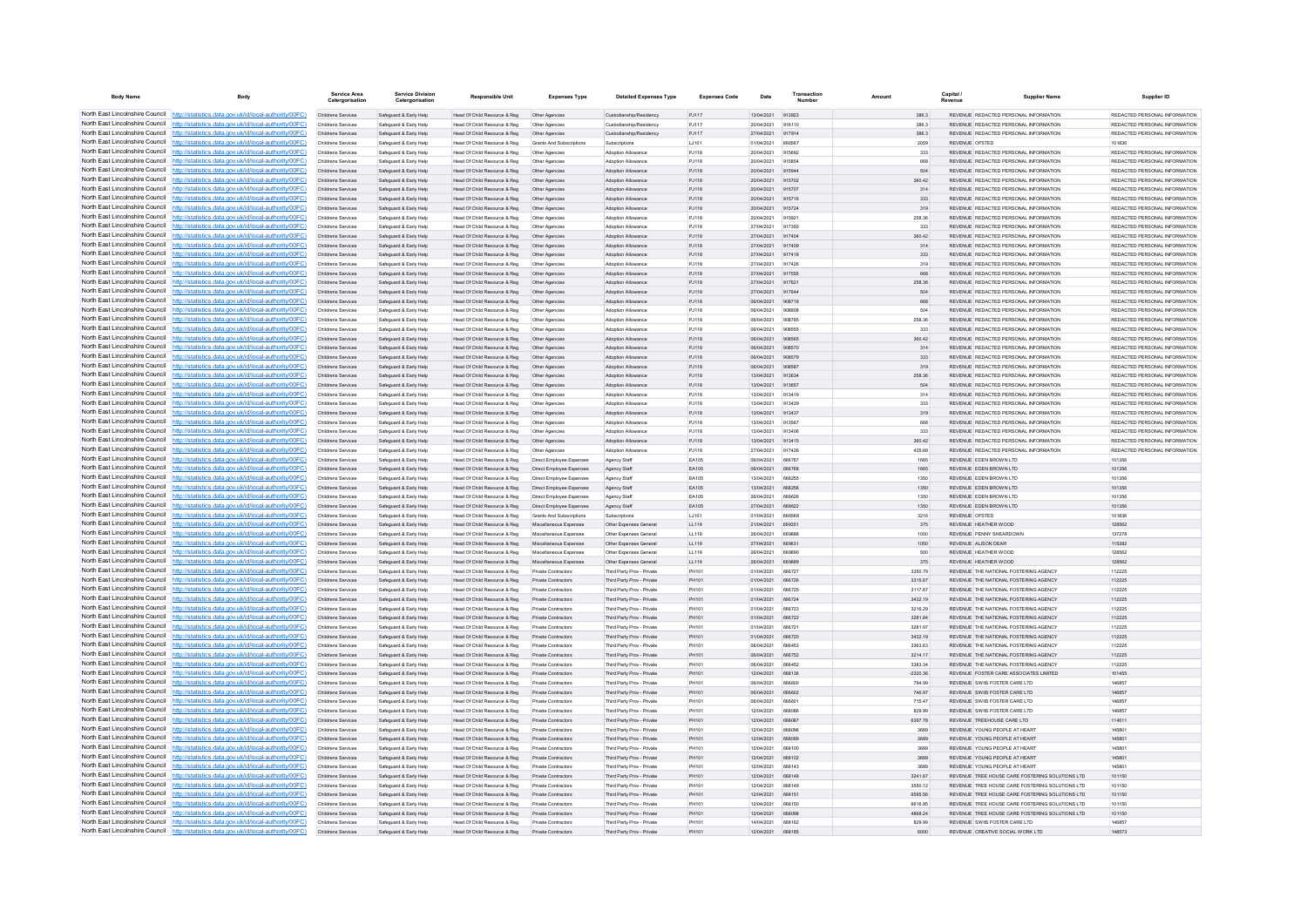| <b>Body Name</b>                | Body                                                                                                                                                                             | Service Area<br>Catergorisatio           | <b>Service Division</b><br>Catergorisation       | <b>Responsible Unit</b>                                      | <b>Expenses Type</b>                                     | <b>Detailed Expenses Type</b>                            | <b>Expenses Code</b>  | Date                     | Transactio                     | Amount             | Capital /       | <b>Supplier Name</b>                                                             | Supplier ID                                                    |
|---------------------------------|----------------------------------------------------------------------------------------------------------------------------------------------------------------------------------|------------------------------------------|--------------------------------------------------|--------------------------------------------------------------|----------------------------------------------------------|----------------------------------------------------------|-----------------------|--------------------------|--------------------------------|--------------------|-----------------|----------------------------------------------------------------------------------|----------------------------------------------------------------|
|                                 | North East Lincolnshire Council http://statistics.data.gov.uk/id/local-authority/00FC)                                                                                           | Childrens Services                       | Safeguard & Early Help                           | Head Of Child Resource & Reg                                 | Other Agencies                                           | Custodianship/Residency                                  | PJ117                 | 13/04/2021 913823        |                                | 386.3              |                 | REVENUE REDACTED PERSONAL INFORMATION                                            | REDACTED PERSONAL INFORMATION                                  |
|                                 | North East Lincolnshire Council http://statistics.data.gov.uk/id/local-authority/00FC)                                                                                           | Childrens Services                       | Safeguard & Early Help                           | Head Of Child Resource & Reg                                 | Other Agencies                                           | Custodianship/Residency                                  | PJ117                 | 20/04/2021               | 916110                         | 386.3              |                 | REVENUE REDACTED PERSONAL INFORMATION                                            | REDACTED PERSONAL INFORMATION                                  |
|                                 | North East Lincolnshire Council http://statistics.data.gov.uk/id/local-authority/00FC)                                                                                           | Childrens Services                       | Safeguard & Early Help                           | Head Of Child Resource & Reg                                 | Other Agencies                                           | Custodianship/Residency                                  | PJ117                 | 27/04/2021               | 917814                         | 386.3              |                 | REVENUE REDACTED PERSONAL INFORMATION                                            | REDACTED PERSONAL INFORMATION                                  |
|                                 | North East Lincolnshire Council http://statistics.data.oov.uk/id/local-authority/00FC)<br>North East Lincolnshire Council http://statistics.data.gov.uk/id/local-authority/00FC) | Childrens Services                       | Safeguard & Early Help                           | Head Of Child Resource & Reg<br>Head Of Child Resource & Reg | <b>Grants And Subscriptions</b>                          | Subscriptions                                            | LJ101                 | 01/04/2021               | 666567<br>915692               | 2059               | REVENUE OFSTED  | REVENUE REDACTED PERSONAL INFORMATION                                            | 101836<br>REDACTED PERSONAL INFORMATION                        |
|                                 | North East Lincolnshire Council http://statistics.data.gov.uk/id/local-authority/00FC)                                                                                           | Childrens Services<br>Childrens Services | Safeguard & Early Help<br>Safeguard & Early Help | Head Of Child Resource & Reg                                 | Other Agencies<br>Other Agencies                         | Adoption Allowance<br>Adoption Allowance                 | PJ118<br>PJ118        | 20/04/2021<br>20/04/2021 | 915854                         | 333<br>668         |                 | REVENUE REDACTED PERSONAL INFORMATION                                            | REDACTED PERSONAL INFORMATION                                  |
|                                 | North East Lincolnshire Council http://statistics.data.gov.uk/id/local-authority/00FC)                                                                                           | Childrens Services                       | Safeguard & Early Help                           | Head Of Child Resource & Reg                                 | Other Agencies                                           | Adoption Allowance                                       | PJ118                 | 20/04/2021               | 915944                         | 504                |                 | REVENUE REDACTED PERSONAL INFORMATION                                            | REDACTED PERSONAL INFORMATION                                  |
|                                 | North East Lincolnshire Council http://statistics.data.gov.uk/id/local-authority/00FC)                                                                                           | Childrens Services                       | Safeguard & Early Help                           | Head Of Child Resource & Reg                                 | Other Agencies                                           | <b>Adoption Allowance</b>                                | P.1118                | 20/04/2021               | 915702                         | 360.42             |                 | REVENUE REDACTED PERSONAL INFORMATION                                            | REDACTED PERSONAL INFORMATION                                  |
| North East Lincolnshire Council | http://statistics.data.gov.uk/id/local-authority/00FC)                                                                                                                           | <b>Childrens Services</b>                | Safeguard & Early Help                           | Head Of Child Resource & Reg                                 | Other Agencies                                           | Adoption Allowance                                       | PJ118                 | 20/04/2021               | 915707                         | 314                |                 | REVENUE REDACTED PERSONAL INFORMATION                                            | REDACTED PERSONAL INFORMATION                                  |
| North East Lincolnshire Council | http://statistics.data.gov.uk/id/local-authority/00FC)                                                                                                                           | Childrens Services                       | Safeguard & Early Help                           | Head Of Child Resource & Reg                                 | Other Agencies                                           | Adoption Allowance                                       | PJ118                 | 20/04/2021               |                                | 333                |                 | REVENUE REDACTED PERSONAL INFORMATION                                            | REDACTED PERSONAL INFORMATION                                  |
|                                 | North East Lincolnshire Council http://statistics.data.gov.uk/id/local-authority/00FC)                                                                                           | Childrens Services                       | Safeguard & Early Help                           | Head Of Child Resource & Reg                                 | Other Agencie                                            | Adoption Allowance                                       | PJ118                 | 20/04/2021               | 915724                         | 319                |                 | REVENUE REDACTED PERSONAL INFORMATION                                            | REDACTED PERSONAL INFORMATION                                  |
|                                 | North East Lincolnshire Council http://statistics.data.gov.uk/id/local-authority/00FC)                                                                                           | Childrens Services                       | Safeguard & Early Help                           | Head Of Child Resource & Reg                                 | Other Agencies                                           | <b>Adoption Allowance</b>                                | P.1118                | 20/04/2021               | 915921                         | 258.36             |                 | REVENUE REDACTED PERSONAL INFORMATION                                            | REDACTED PERSONAL INFORMATION                                  |
|                                 | North East Lincolnshire Council http://statistics.data.gov.uk/id/local-authority/00FC)                                                                                           | Childrens Services                       | Safeguard & Early Help                           | Head Of Child Resource & Reg                                 | Other Agencies                                           | <b>Adoption Allowance</b>                                | P.1118                | 27/04/2021               | 917393                         | 333                |                 | REVENUE REDACTED PERSONAL INFORMATION                                            | REDACTED PERSONAL INFORMATION                                  |
|                                 | North East Lincolnshire Council http://statistics.data.gov.uk/id/local-authority/00FC)<br>North East Lincolnshire Council http://statistics.data.gov.uk/id/local-authority/00FC) | Childrens Services<br>Childrens Services | Safeguard & Early Help                           | Head Of Child Resource & Reg                                 | Other Agencies                                           | Adoption Allowance<br>Adoption Allowance                 | PJ118<br>PJ118        | 27/04/2021<br>27/04/2021 | 917404<br>917409               | 360.42<br>314      |                 | REVENUE REDACTED PERSONAL INFORMATION<br>REVENUE REDACTED PERSONAL INFORMATION   | REDACTED PERSONAL INFORMATION<br>REDACTED PERSONAL INFORMATION |
| North East Lincolnshire Council | http://statistics.data.gov.uk/id/local-authority/00FC)                                                                                                                           | Childrens Services                       | Safeguard & Early Help<br>Safeguard & Early Help | Head Of Child Resource & Reg<br>Head Of Child Resource & Reg | Other Agencies<br>Other Agencies                         | Adoption Allowance                                       | PJ118                 | 27/04/2021               | 917418                         | 333                |                 | REVENUE REDACTED PERSONAL INFORMATION                                            | REDACTED PERSONAL INFORMATION                                  |
| North East Lincolnshire Council | http://statistics.data.gov.uk/id/local-authority/00FC)                                                                                                                           | Childrens Services                       | Safeguard & Early Help                           | Head Of Child Resource & Reg                                 | Other Agencies                                           | Adoption Allowance                                       | PJ118                 | 27/04/2021               | 917426                         | 319                |                 | REVENUE REDACTED PERSONAL INFORMATION                                            | REDACTED PERSONAL INFORMATION                                  |
| North East Lincolnshire Council | http://statistics.data.gov.uk/id/local-authority/00FC)                                                                                                                           | Childrens Services                       | Safeguard & Early Help                           | Head Of Child Resource & Reg                                 | Other Agencies                                           | Adoption Allowand                                        | PJ118                 | 27/04/2021               | 917555                         | 668                |                 | REVENUE REDACTED PERSONAL INFORMATION                                            | REDACTED PERSONAL INFORMATION                                  |
|                                 | North East Lincolnshire Council http://statistics.data.gov.uk/id/local-authority/00FC)                                                                                           | Childrens Services                       | Safeguard & Early Help                           | Head Of Child Resource & Reg                                 | Other Agencies                                           | <b>Adoption Allowance</b>                                | PJ118                 | 27/04/2021               | 917621                         | 258.36             |                 | REVENUE REDACTED PERSONAL INFORMATION                                            | REDACTED PERSONAL INFORMATION                                  |
|                                 | North East Lincolnshire Council http://statistics.data.gov.uk/id/local-authority/00FC)                                                                                           | Childrens Services                       | Safeguard & Early Help                           | Head Of Child Resource & Reg                                 | Other Agencies                                           | Adoption Allowance                                       | PJ118                 | 27/04/2021               | 917644                         | 504                |                 | REVENUE REDACTED PERSONAL INFORMATION                                            | REDACTED PERSONAL INFORMATION                                  |
|                                 | North East Lincolnshire Council http://statistics.data.gov.uk/id/local-authority/00FC)                                                                                           | Childrens Services                       | Safeguard & Early Help                           | Head Of Child Resource & Reg                                 | Other Agencies                                           | Adoption Allowance                                       | PJ118                 | 06/04/2021               | 908718                         | 668                |                 | REVENUE REDACTED PERSONAL INFORMATION                                            | REDACTED PERSONAL INFORMATION                                  |
|                                 | North East Lincolnshire Council http://statistics.data.gov.uk/id/local-authority/00FC)                                                                                           | Childrens Services                       | Safeguard & Early Help                           | Head Of Child Resource & Reg                                 | Other Agencies                                           | Adoption Allowance                                       | PJ118                 | 06/04/2021               | 90880F                         | 504                |                 | REVENUE REDACTED PERSONAL INFORMATION                                            | REDACTED PERSONAL INFORMATION                                  |
| North East Lincolnshire Council | North East Lincolnshire Council http://statistics.data.gov.uk/id/local-authority/00FC)<br>http://statistics.data.gov.uk/id/local-authority/00FC)                                 | Childrens Services<br>Childrens Services | Safeguard & Early Help<br>Safeguard & Early Help | Head Of Child Resource & Reg<br>Head Of Child Resource & Reg | Other Agencies                                           | Adoption Allowance<br>Adoption Allowance                 | P.I118                | 08/04/2021<br>06/04/2021 | 908785<br>908555               | 258.36<br>333      |                 | REVENUE REDACTED PERSONAL INFORMATION<br>REVENUE REDACTED PERSONAL INFORMATION   | REDACTED PERSONAL INFORMATION<br>REDACTED PERSONAL INFORMATION |
| North East Lincolnshire Council | http://statistics.data.gov.uk/id/local-authority/00FC)                                                                                                                           | Childrens Services                       | Safeguard & Early Help                           | Head Of Child Resource & Reg                                 | Other Agencies<br>Other Agencies                         | Adoption Allowance                                       | P.1118<br>PJ118       | 06/04/2021               |                                | 360.42             |                 | REVENUE REDACTED PERSONAL INFORMATION                                            | REDACTED PERSONAL INFORMATION                                  |
| North East Lincolnshire Council | http://statistics.data.gov.uk/id/local-authority/00FC)                                                                                                                           | Childrens Services                       | Safeguard & Early Help                           | Head Of Child Resource & Reg                                 | Other Agencie                                            | <b>Adoption Allowance</b>                                | PJ118                 | 06/04/2021               | 908570                         | 314                |                 | REVENUE REDACTED PERSONAL INFORMATION                                            | REDACTED PERSONAL INFORMATION                                  |
|                                 | North East Lincolnshire Council http://statistics.data.gov.uk/id/local-authority/00EC)                                                                                           | Childrens Services                       | Safeguard & Early Help                           | Head Of Child Resource & Reg.                                | Other Agencies                                           | <b>Adoption Allowance</b>                                | P.1118                | 06/04/2021               | 908579                         | 333                |                 | REVENUE REDACTED PERSONAL INFORMATION                                            | REDACTED PERSONAL INFORMATION                                  |
| North East Lincolnshire Council | http://statistics.data.gov.uk/id/local-authority/00FC)                                                                                                                           | Childrens Services                       | Safeguard & Early Help                           | Head Of Child Resource & Reg                                 | Other Agencies                                           | <b>Adoption Allowance</b>                                | P.I118                | 06/04/2021               | 908587                         | 319                |                 | REVENUE REDACTED PERSONAL INFORMATION                                            | REDACTED PERSONAL INFORMATION                                  |
|                                 | North East Lincolnshire Council http://statistics.data.gov.uk/id/local-authority/00FC)                                                                                           | Childrens Services                       | Safeguard & Early Help                           | Head Of Child Resource & Reg                                 | Other Agencies                                           | Adoption Allowance                                       | PJ118                 | 13/04/2021               | 913634                         | 258.36             |                 | REVENUE REDACTED PERSONAL INFORMATION                                            | REDACTED PERSONAL INFORMATION                                  |
|                                 | North East Lincolnshire Council http://statistics.data.gov.uk/id/local-authority/00FC)                                                                                           | Childrens Services                       | Safeguard & Early Help                           | Head Of Child Resource & Reg                                 | Other Agencies                                           | Adoption Allowance                                       | PJ118                 | 13/04/2021               | 913657                         | 504                |                 | REVENUE REDACTED PERSONAL INFORMATION                                            | REDACTED PERSONAL INFORMATION                                  |
|                                 | North East Lincolnshire Council http://statistics.data.gov.uk/id/local-authority/00FC)                                                                                           | Childrens Services                       | Safeguard & Early Help                           | Head Of Child Resource & Reg                                 | Other Agencies                                           | <b>Adoption Allowance</b>                                | P.I118                | 13/04/2021               | 913419                         | 314                |                 | REVENUE REDACTED PERSONAL INFORMATION                                            | REDACTED PERSONAL INFORMATION                                  |
| North East Lincolnshire Council | http://statistics.data.gov.uk/id/local-authority/00EC)                                                                                                                           | Childrens Services                       | Safeguard & Early Help                           | Head Of Child Resource & Reg                                 | Other Agencies                                           | Adoption Allowance                                       | P.I118                | 13/04/2021               | 913429                         | 333                |                 | REVENUE REDACTED PERSONAL INFORMATION                                            | REDACTED PERSONAL INFORMATION                                  |
|                                 | North East Lincolnshire Council http://statistics.data.gov.uk/id/local-authority/00FC)                                                                                           | Childrens Services                       | Safeguard & Early Help                           | Head Of Child Resource & Reg                                 | Other Agencies                                           | Adoption Allowance                                       | PJ118                 | 13/04/2021               | 913437                         | 319                |                 | REVENUE REDACTED PERSONAL INFORMATION                                            | REDACTED PERSONAL INFORMATION                                  |
|                                 | North East Lincolnshire Council http://statistics.data.gov.uk/id/local-authority/00FC)<br>North East Lincolnshire Council http://statistics.data.gov.uk/id/local-authority/00FC) | Childrens Services                       | Safeguard & Early Help                           | Head Of Child Resource & Reg                                 | Other Agencies                                           | Adoption Allowand<br><b>Adoption Allowance</b>           | PJ118                 | 13/04/2021<br>13/04/2021 | 913567<br>913406               | 668                |                 | REVENUE REDACTED PERSONAL INFORMATION<br>REVENUE, REDACTED PERSONAL INFORMATION  | REDACTED PERSONAL INFORMATION<br>REDACTED PERSONAL INFORMATION |
|                                 | North East Lincolnshire Council http://statistics.data.gov.uk/id/local-authority/00FC)                                                                                           | Childrens Services<br>Childrens Services | Safeguard & Early Help<br>Safeguard & Early Help | Head Of Child Resource & Reg<br>Head Of Child Resource & Reg | Other Agencies<br>Other Agencies                         | Adoption Allowance                                       | PJ118<br>PJ118        | 13/04/2021               | 913415                         | 333<br>360.42      |                 | REVENUE REDACTED PERSONAL INFORMATION                                            | REDACTED PERSONAL INFORMATION                                  |
|                                 | North East Lincolnshire Council http://statistics.data.gov.uk/id/local-authority/00FC)                                                                                           | Childrens Services                       | Safeguard & Early Help                           | Head Of Child Resource & Reg                                 | Other Agencies                                           | Adoption Allowance                                       | PJ118                 | 27/04/2021               | 917426                         | 435.69             |                 | REVENUE REDACTED PERSONAL INFORMATION                                            | REDACTED PERSONAL INFORMATION                                  |
|                                 | North East Lincolnshire Council   http://statistics.data.gov.uk/id/local-authority/00FC)                                                                                         | Childrens Services                       | Safeguard & Early Help                           | Head Of Child Resource & Reg                                 | Direct Employee Expenses                                 | Agency Staff                                             | EA105                 | 06/04/2021               | 666767                         | 1665               |                 | REVENUE EDEN BROWN LTD                                                           | 101356                                                         |
| North East Lincolnshire Council | http://statistics.data.gov.uk/id/local-authority/00EC)                                                                                                                           | Childrens Services                       | Safeguard & Early Help                           | Head Of Child Resource & Reg                                 | Direct Employee Expenses                                 | Agency Staff                                             | FA105                 | 08/04/2021               | 666768                         | 1665               |                 | REVENUE FDEN BROWN LTD                                                           | 101356                                                         |
| North East Lincolnshire Council | http://statistics.data.gov.uk/id/local-authority/00EC)                                                                                                                           | Childrens Services                       | Safeguard & Early Help                           | Head Of Child Resource & Reg                                 | Direct Employee Expenses                                 | Agency Staff                                             | <b>FA105</b>          | 13/04/2021               | 668255                         | 1350               |                 | REVENUE EDEN BROWN LTD                                                           | 101356                                                         |
|                                 | North East Lincolnshire Council http://statistics.data.gov.uk/id/local-authority/00FC)                                                                                           | Childrens Services                       | Safeguard & Early Help                           | Head Of Child Resource & Reg                                 | Direct Employee Expenses                                 | Agency Staff                                             | EA105                 | 13/04/2021               | 668256                         | 1350               |                 | REVENUE EDEN BROWN LTD                                                           | 101356                                                         |
|                                 | North East Lincolnshire Council http://statistics.data.gov.uk/id/local-authority/00FC)                                                                                           | Childrens Services                       | Safeguard & Early Help                           | Head Of Child Resource & Reg                                 | Direct Employee Expenser                                 | Agency Staff                                             | EA105                 | 26/04/2021               | <b>BROROF</b>                  | 1350               |                 | REVENUE FOEN BROWN LTD                                                           | 101356                                                         |
|                                 | North East Lincolnshire Council http://statistics.data.gov.uk/id/local-authority/00FC)                                                                                           | Childrens Services                       | Safeguard & Early Help                           | Head Of Child Resource & Reg                                 | Direct Employee Expenses                                 | Agency Staff                                             | FA105                 | 27/04/2021               | 669622                         | 1350               |                 | REVENUE FOEN BROWN LTD                                                           | 101356                                                         |
|                                 | North East Lincolnshire Council http://statistics.data.gov.uk/id/local-authority/00FC)<br>North East Lincolnshire Council http://statistics.data.gov.uk/id/local-authority/00FC) | Childrens Services<br>Childrens Services | Safeguard & Early Help<br>Safeguard & Early Help | Head Of Child Resource & Reg                                 | Grants And Subscriptions<br>Miscellaneous Expenses       | Subscriptions<br>Other Expenses General                  | 1.1101<br>LL119       | 01/04/2021<br>21/04/2021 | 666568<br>669351               | 3216<br>375        | REVENUE OFSTED. | REVENUE HEATHER WOOD                                                             | 101836<br>128562                                               |
| North East Lincolnshire Council | http://statistics.data.gov.uk/id/local-authority/00FC)                                                                                                                           | Childrens Services                       | Safeguard & Early Help                           | Head Of Child Resource & Reg<br>Head Of Child Resource & Reg | Miscellaneous Expenses                                   | Other Expenses General                                   | LL119                 | 26/04/2021               | <b>BROBBE</b>                  | 1000               |                 | REVENUE PENNY SHEARDOWN                                                          | 137278                                                         |
| North East Lincolnshire Council | http://statistics.data.gov.uk/id/local-authority/00EC)                                                                                                                           | Childrens Services                       | Safeguard & Early Help                           | Head Of Child Resource & Reg                                 | Miscellaneous Expenses                                   | Other Expenses General                                   | 11119                 | 27/04/2021               | 669631                         | 1050               |                 | REVENUE ALISON DEAR                                                              | 115282                                                         |
| North East Lincolnshire Council | tatistics data gov uk/id/local-authority/00EC)                                                                                                                                   | Childrens Services                       | Safeguard & Early Help                           | Head Of Child Resource & Reg                                 | Miscellaneous Expenses                                   | Other Expenses General                                   | 11119                 | 26/04/2021               | 669890                         | 500                |                 | REVENUE HEATHER WOOD                                                             | 128562                                                         |
|                                 | North East Lincolnshire Council http://statistics.data.gov.uk/id/local-authority/00FC)                                                                                           | Childrens Services                       | Safeguard & Early Help                           | Head Of Child Resource & Reg                                 | Miscellaneous Expenses                                   | Other Expenses General                                   | LL119                 | 26/04/2021               |                                | 375                |                 | REVENUE HEATHER WOOD                                                             | 128562                                                         |
|                                 | North East Lincolnshire Council http://statistics.data.gov.uk/id/local-authority/00FC)                                                                                           | Childrens Services                       | Safeguard & Early Help                           | Head Of Child Resource & Reg                                 | <b>Private Contractors</b>                               | Third Party Prov - Private                               | PH101                 | 01/04/2021               | 666727                         | 3350.79            |                 | REVENUE THE NATIONAL FOSTERING AGENCY                                            | 112225                                                         |
| North East Lincolnshire Council | http://statistics.data.gov.uk/id/local-authority/00FC)                                                                                                                           | Childrens Services                       | Safeguard & Early Help                           | Head Of Child Resource & Reg                                 | <b>Private Contractors</b>                               | Third Party Prov - Private                               | PH101                 | 01/04/2021               | 666726                         | 3315.67            |                 | REVENUE THE NATIONAL FOSTERING AGENCY                                            | 112225                                                         |
|                                 | North East Lincolnshire Council http://statistics.data.gov.uk/id/local-authority/00FC)                                                                                           | Childrens Services                       | Safeguard & Early Help                           | Head Of Child Resource & Reg                                 | Private Contractors                                      | Third Party Prov - Private                               | PH101                 | 01/04/2021               | 666725                         | 3117.67            |                 | REVENUE THE NATIONAL FOSTERING AGENCY                                            | 112225                                                         |
| North East Lincolnshire Council | North East Lincolnshire Council http://statistics.data.gov.uk/id/local-authority/00FC)                                                                                           | Childrens Services                       | Safeguard & Early Help                           | Head Of Child Resource & Reg                                 | Private Contractors                                      | Third Party Prov - Private                               | PH101                 | 01/04/2021               | 666724                         | 3432.19            |                 | REVENUE THE NATIONAL FOSTERING AGENCY                                            | 112225                                                         |
| North East Lincolnshire Council | http://statistics.data.gov.uk/id/local-authority/00FC)<br>http://statistics.data.gov.uk/id/local-authority/00FC)                                                                 | Childrens Services<br>Childrens Services | Safeguard & Early Help<br>Safeguard & Early Help | Head Of Child Resource & Reg                                 | <b>Private Contractors</b><br><b>Private Contractors</b> | Third Party Prov - Private<br>Third Party Proy - Private | PH101<br>PH101        | 01/04/2021<br>01/04/2021 | 666723<br>666722               | 3216.29<br>3281.84 |                 | REVENUE THE NATIONAL FOSTERING AGENCY<br>REVENUE THE NATIONAL FOSTERING AGENCY   | 112225<br>112225                                               |
|                                 | North East Lincolnshire Council http://statistics.data.gov.uk/id/local-authority/00FC)                                                                                           | Childrens Services                       | Safeguard & Early Help                           | Head Of Child Resource & Reg<br>Head Of Child Resource & Reg | <b>Private Contractors</b>                               | Third Party Prov - Private                               | PH101                 | 01/04/2021               | 666721                         | 3281.97            |                 | REVENUE THE NATIONAL FOSTERING AGENCY                                            | 112225                                                         |
|                                 | North East Lincolnshire Council http://statistics.data.gov.uk/id/local-authority/00FC)                                                                                           | Childrens Services                       | Safeguard & Early Help                           | Head Of Child Resource & Reg                                 | Private Contractor                                       | Third Party Prov - Private                               | PH101                 | 01/04/2021               | 666720                         | 3432.19            |                 | REVENUE THE NATIONAL FOSTERING AGENCY                                            | 112225                                                         |
|                                 | North East Lincolnshire Council http://statistics.data.gov.uk/id/local-authority/00FC)                                                                                           | Childrens Services                       | Safeguard & Early Help                           | Head Of Child Resource & Reg                                 | <b>Private Contractors</b>                               | Third Party Proy - Private                               | PH101                 | 06/04/2021               | 666453                         | 3363.63            |                 | REVENUE THE NATIONAL FOSTERING AGENCY                                            | 112225                                                         |
|                                 | North East Lincolnshire Council http://statistics.data.gov.uk/id/local-authority/00FC)                                                                                           | Childrens Services                       | Safeguard & Early Help                           | Head Of Child Resource & Reg                                 | Private Contractors                                      | Third Party Prov - Private                               | PH101                 | 06/04/2021               | 666752                         | 3214.17            |                 | REVENUE THE NATIONAL FOSTERING AGENCY                                            | 112225                                                         |
|                                 | North East Lincolnshire Council http://statistics.data.gov.uk/id/local-authority/00FC)                                                                                           | Childrens Services                       | Safeguard & Early Help                           | Head Of Child Resource & Reg                                 | Private Contractors                                      | Third Party Prov - Private                               | PH101                 | 06/04/2021               | 666452                         | 3383.34            |                 | REVENUE THE NATIONAL FOSTERING AGENCY                                            | 112225                                                         |
|                                 | North East Lincolnshire Council http://statistics.data.gov.uk/id/local-authority/00FC)                                                                                           | Childrens Services                       | Safeguard & Early Help                           | Head Of Child Resource & Reg                                 | Private Contractors                                      | Third Party Prov - Private                               | PH101                 | 12/04/2021               | 668136                         | $-2320.36$         |                 | REVENUE FOSTER CARE ASSOCIATES LIMITED                                           | 101455                                                         |
| North East Lincolnshire Council | http://statistics.data.gov.uk/id/local-authority/00EC)                                                                                                                           | Childrens Services                       | Safeguard & Early Help                           | Head Of Child Resource & Reg                                 | <b>Private Contractors</b>                               | Third Party Prov - Private                               | PH101                 | 06/04/2021               | 666600                         | 794 99             |                 | REVENUE SWIIS FOSTER CARE LTD.                                                   | 146857                                                         |
|                                 | North East Lincolnshire Council http://statistics.data.gov.uk/id/local-authority/00FC)                                                                                           | Childrens Services                       | Safeguard & Early Help                           | Head Of Child Resource & Reg                                 | Private Contractors                                      | Third Party Proy - Private                               | PH101                 | 06/04/2021               | 666602                         | 746.97             |                 | REVENUE SWIIS FOSTER CARE LTD                                                    | 146857                                                         |
|                                 | North East Lincolnshire Council http://statistics.data.gov.uk/id/local-authority/00FC)<br>North East Lincolnshire Council http://statistics.data.gov.uk/id/local-authority/00FC) | Childrens Services                       | Safeguard & Early Help                           | Head Of Child Resource & Reg                                 | Private Contractor                                       | Third Party Prov - Private                               | PH101                 | 06/04/202<br>12/04/2021  | 66660                          | 715.47             |                 | REVENUE SWIIS FOSTER CARE LTD<br>REVENUE SWIIS EOSTER CARE ITD                   | 146857<br>146857                                               |
|                                 | North East Lincolnshire Council http://statistics.data.gov.uk/id/local-authority/00FC)                                                                                           | Childrens Services<br>Childrens Services | Safeguard & Early Help                           | Head Of Child Resource & Reg                                 | <b>Private Contractors</b><br>Private Contractors        | Third Party Prov - Private                               | <b>PH101</b><br>PH101 | 12/04/2021               | <b>BRBOBE</b><br><b>BRBORT</b> | 829.99<br>6397.78  |                 | REVENUE TREEHOUSE CARE LTD                                                       | 114511                                                         |
|                                 | North East Lincolnshire Council http://statistics.data.gov.uk/id/local-authority/00FC)                                                                                           | Childrens Services                       | Safeguard & Early Help<br>Safeguard & Early Help | Head Of Child Resource & Reg<br>Head Of Child Resource & Reg | Private Contractors                                      | Third Party Prov - Private<br>Third Party Prov - Private | PH101                 | 12/04/2021               | 668096                         | 3689               |                 | REVENUE YOUNG PEOPLE AT HEART                                                    | 145801                                                         |
|                                 | North East Lincolnshire Council http://statistics.data.gov.uk/id/local-authority/00FC)                                                                                           | Childrens Services                       | Safeguard & Early Help                           | Head Of Child Resource & Reg                                 | Private Contractors                                      | Third Party Prov - Private                               | PH101                 | 12/04/2021               | 668099                         | 3689               |                 | REVENUE YOUNG PEOPLE AT HEART                                                    | 145801                                                         |
| North East Lincolnshire Council | http://statistics.data.gov.uk/id/local-authority/00FC)                                                                                                                           | Childrens Services                       | Safeguard & Early Help                           | Head Of Child Resource & Reg                                 | Private Contractors                                      | Third Party Proy - Private                               | PH101                 | 12/04/2021               | 668100                         | 3689               |                 | REVENUE YOUNG PEOPLE AT HEART                                                    | 145801                                                         |
| North East Lincolnshire Council | http://statistics.data.gov.uk/id/local-authority/00FC)                                                                                                                           | Childrens Services                       | Safeguard & Early Help                           | Head Of Child Resource & Reg                                 | Private Contractors                                      | Third Party Prov - Private                               | PH101                 | 12/04/2021               | 668102                         | 3689               |                 | REVENUE YOUNG PEOPLE AT HEART                                                    | 145801                                                         |
| North East Lincolnshire Council | http://statistics.data.gov.uk/id/local-authority/00FC)                                                                                                                           | Childrens Services                       | Safeguard & Early Help                           | Head Of Child Resource & Reg                                 | <b>Private Contractors</b>                               | Third Party Prov - Private                               | PH101                 | 12/04/2021               | 668143                         | 3689               |                 | REVENUE YOUNG PEOPLE AT HEART                                                    | 145801                                                         |
|                                 | North East Lincolnshire Council http://statistics.data.gov.uk/id/local-authority/00FC)                                                                                           | Childrens Services                       | Safeguard & Early Help                           | Head Of Child Resource & Reg                                 | Private Contractors                                      | Third Party Prov - Private                               | PH101                 | 12/04/2021               | 668148                         | 3241.67            |                 | REVENUE TREE HOUSE CARE FOSTERING SOLUTIONS LTD                                  | 101150                                                         |
|                                 | North East Lincolnshire Council http://statistics.data.gov.uk/id/local-authority/00FC)                                                                                           | Childrens Services                       | Safeguard & Early Help                           | Head Of Child Resource & Reg                                 | Private Contractors                                      | Third Party Prov - Private                               | PH101                 | 12/04/2021               | 668149                         | 3550.12            |                 | REVENUE TREE HOUSE CARE FOSTERING SOLUTIONS LTD.                                 | 101150                                                         |
|                                 | North East Lincolnshire Council http://statistics.data.gov.uk/id/local-authority/00FC)                                                                                           | Childrens Services                       | Safeguard & Early Help                           | Head Of Child Resource & Reg                                 | <b>Private Contractors</b>                               | Third Party Prov - Private                               | PH101                 | 12/04/2021               | 668151                         | 6595.56            |                 | REVENUE TREE HOUSE CARE FOSTERING SOLUTIONS LTD                                  | 101150                                                         |
|                                 | North East Lincolnshire Council http://statistics.data.gov.uk/id/local-authority/00FC)<br>North East Lincolnshire Council http://statistics.data.gov.uk/id/local-authority/00FC) | Childrens Services                       | Safeguard & Early Help                           | Head Of Child Resource & Reg                                 | Private Contractors                                      | Third Party Prov - Private                               | PH101                 | 12/04/2021               | 668150                         | 6616.95            |                 | REVENUE TREE HOUSE CARE FOSTERING SOLUTIONS LTD                                  | 101150                                                         |
|                                 | North East Lincolnshire Council http://statistics.data.gov.uk/id/local-authority/00FC)                                                                                           | Childrens Services<br>Childrens Services | Safeguard & Early Help<br>Safeguard & Early Help | Head Of Child Resource & Reg<br>Head Of Child Resource & Reg | Private Contractors<br>Private Contractors               | Third Party Prov - Private<br>Third Party Proy - Private | PH101<br>PH101        | 12/04/2021<br>14/04/2021 | 668098<br>668162               | 4868.24<br>829.99  |                 | REVENUE TREE HOUSE CARE FOSTERING SOLUTIONS LTD<br>REVENUE SWIIS FOSTER CARE LTD | 101150<br>146857                                               |
|                                 | North East Lincolnshire Council http://statistics.data.gov.uk/id/local-authority/00FC)                                                                                           | <b>Childrens Services</b>                | Safeguard & Early Help                           | Head Of Child Resource & Reg                                 | <b>Private Contractors</b>                               | Third Party Prov - Private                               | PH101                 | 12/04/2021               | 668185                         | 6000               |                 | REVENUE CREATIVE SOCIAL WORK LTD                                                 | 148573                                                         |
|                                 |                                                                                                                                                                                  |                                          |                                                  |                                                              |                                                          |                                                          |                       |                          |                                |                    |                 |                                                                                  |                                                                |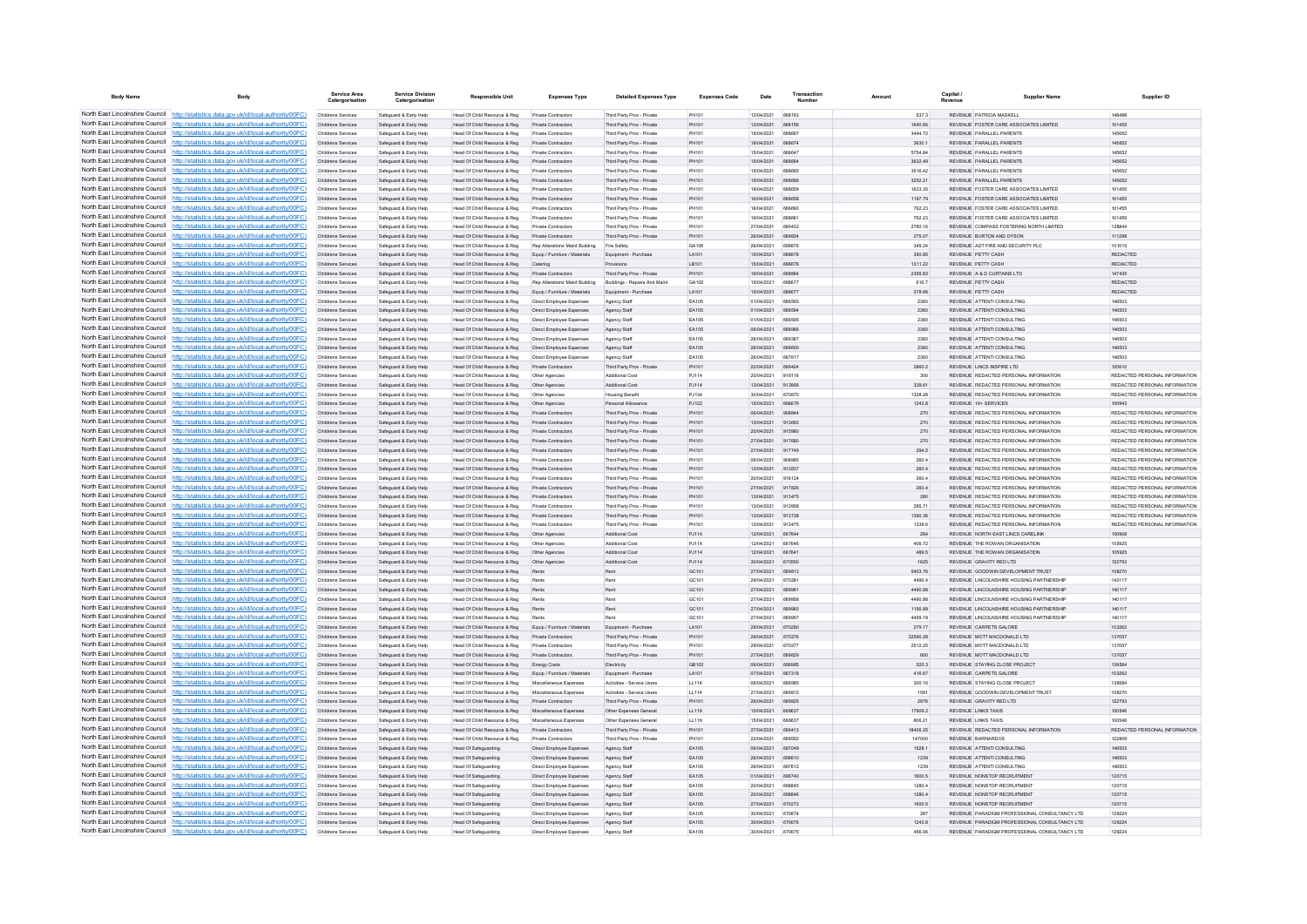| <b>Body Name</b>                                                   | Body                                                                                                                                                                               | Service Area<br>Catergorisati                   | <b>Service Division</b><br>Catergorisation       | <b>Responsible Unit</b>                                      | <b>Expenses Type</b>                                        | <b>Detailed Expenses Type</b>                            | <b>Expenses Code</b>  | Date                     | Transaction             | Amount             | Capital | <b>Supplier Name</b>                                                           | Supplier ID                                                    |
|--------------------------------------------------------------------|------------------------------------------------------------------------------------------------------------------------------------------------------------------------------------|-------------------------------------------------|--------------------------------------------------|--------------------------------------------------------------|-------------------------------------------------------------|----------------------------------------------------------|-----------------------|--------------------------|-------------------------|--------------------|---------|--------------------------------------------------------------------------------|----------------------------------------------------------------|
|                                                                    | North East Lincolnshire Council http://statistics.data.gov.uk/id/local-authority/00FC)                                                                                             | Childrens Services                              | Safeguard & Early Help                           | Head Of Child Resource & Reg                                 | Private Contractors                                         | Third Party Prov - Private                               | PH101                 | 12/04/2021               | 668163                  | 537.3              |         | REVENUE PATRICIA MASKELL                                                       | 148488                                                         |
|                                                                    | North East Lincolnshire Council http://statistics.data.gov.uk/id/local-authority/00FC)                                                                                             | Childrens Services                              | Safeguard & Early Help                           | Head Of Child Resource & Reg                                 | <b>Private Contractors</b>                                  | Third Party Prov - Private                               | PH101                 | 12/04/2021               | 668156                  | 1640.66            |         | REVENUE FOSTER CARE ASSOCIATES LIMITED                                         | 101455                                                         |
|                                                                    | North East Lincolnshire Council http://statistics.data.gov.uk/id/local-authority/00FC)                                                                                             | Childrens Services                              | Safeguard & Early Help                           | Head Of Child Resource & Reg                                 | Private Contractor                                          | Third Party Prov - Private                               | PH101                 | 15/04/2021               | <b>BRARRT</b>           | 3444.72            |         | REVENUE PARALLEL PARENTS                                                       | 145652                                                         |
|                                                                    | North East Lincolnshire Council http://statistics.data.gov.uk/id/local-authority/00FC)                                                                                             | Childrens Services                              | Safeguard & Early Help                           | Head Of Child Resource & Reg                                 | <b>Private Contractors</b>                                  | Third Party Proy - Private                               | PH101                 | 19/04/2021               | 668674                  | 3630.1             |         | REVENUE PARALLEL PARENTS                                                       | 145652                                                         |
|                                                                    | North East Lincolnshire Council http://statistics.data.gov.uk/id/local-authority/00FC)<br>North East Lincolnshire Council http://statistics.data.gov.uk/id/local-authority/00FC)   | <b>Childrens Services</b><br>Childrens Services | Safeguard & Early Help<br>Safeguard & Early Help | Head Of Child Resource & Reg<br>Head Of Child Resource & Reg | Private Contractors<br>Private Contractors                  | Third Party Prov - Private<br>Third Party Prov - Private | <b>PH101</b><br>PH101 | 15/04/2021<br>15/04/2021 | 668647                  | 5754.84<br>3632.49 |         | REVENUE PARALLEL PARENTS<br>REVENUE PARALLEL PARENTS                           | 145652<br>145652                                               |
|                                                                    | North East Lincolnshire Council http://statistics.data.gov.uk/id/local-authority/00FC)                                                                                             | Childrens Services                              | Safeguard & Early Help                           | Head Of Child Resource & Reg                                 | <b>Private Contractors</b>                                  | Third Party Prov - Private                               | PH101                 | 15/04/2021               | <b>BRBRAS</b>           | 3516.42            |         | REVENUE PARALLEL PARENTS                                                       | 145652                                                         |
|                                                                    | North East Lincolnshire Council http://statistics.data.gov.uk/id/local-authority/00FC)                                                                                             | <b>Childrens Services</b>                       | Safeguard & Early Help                           | Head Of Child Resource & Reg                                 | <b>Private Contractors</b>                                  | Third Party Proy - Private                               | PH101                 | 15/04/2021               | 668666                  | 3252.21            |         | REVENUE PARALLEL PARENTS                                                       | 145652                                                         |
| North East Lincolnshire Council                                    | http://statistics.data.gov.uk/id/local-authority/00FC)                                                                                                                             | Childrens Services                              | Safeguard & Early Help                           | Head Of Child Resource & Reg                                 | Private Contractors                                         | Third Party Prov - Private                               | PH101                 | 19/04/2021               | 668659                  | 1633.35            |         | REVENUE FOSTER CARE ASSOCIATES LIMITED                                         | 101455                                                         |
| North East Lincolnshire Council                                    | http://statistics.data.gov.uk/id/local-authority/00FC)                                                                                                                             | Childrens Services                              | Safeguard & Early Help                           | Head Of Child Resource & Reg                                 | Private Contractors                                         | Third Party Prov - Private                               | PH101                 | 16/04/2021               |                         | 1197.79            |         | REVENUE FOSTER CARE ASSOCIATES LIMITED                                         | 101455                                                         |
|                                                                    | North East Lincolnshire Council http://statistics.data.gov.uk/id/local-authority/00FC)                                                                                             | Childrens Services                              | Safeguard & Early Help                           | Head Of Child Resource & Reg                                 | <b>Private Contractors</b>                                  | Third Party Prov - Private                               | <b>PH101</b>          | 16/04/2021               | <b>BRBRAD</b>           | 762.23             |         | REVENUE COSTER CARE ASSOCIATES LIMITED                                         | 101455                                                         |
|                                                                    | North East Lincolnshire Council http://statistics.data.gov.uk/id/local-authority/00FC)                                                                                             | Childrens Services                              | Safeguard & Early Help                           | Head Of Child Resource & Reg                                 | Private Contractors                                         | Third Party Prov - Private                               | <b>PH101</b>          | 19/04/2021               | 668661                  | 762.23             |         | REVENUE FOSTER CARE ASSOCIATES LIMITED                                         | 101455                                                         |
|                                                                    | North East Lincolnshire Council http://statistics.data.gov.uk/id/local-authority/00FC)<br>North East Lincolnshire Council http://statistics.data.gov.uk/id/local-authority/00FC)   | Childrens Services<br>Childrens Services        | Safeguard & Early Help<br>Safeguard & Early Help | Head Of Child Resource & Reg<br>Head Of Child Resource & Reg | Private Contractors<br>Private Contractors                  | Third Party Prov - Private<br>Third Party Prov - Private | PH101<br>PH101        | 27/04/2021<br>26/04/2021 | 669433<br>669824        | 2780.16<br>275.07  |         | REVENUE COMPASS FOSTERING NORTH LIMITED<br>REVENUE BURTON AND DYSON            | 128844<br>111298                                               |
|                                                                    | North East Lincolnshire Council http://statistics.data.gov.uk/id/local-authority/00FC)                                                                                             | Childrens Services                              | Safeguard & Early Help                           | Head Of Child Resource & Reg                                 | Rep Alterations Maint Building                              | Fire Safety                                              | GA106                 | 26/04/2021               | 669876                  | 349.24             |         | REVENUE ADT FIRE AND SECURITY PLC.                                             | 101015                                                         |
| North East Lincolnshire Council                                    | http://statistics.data.gov.uk/id/local-authority/00FC)                                                                                                                             | Childrens Services                              | Safeguard & Early Help                           | Head Of Child Resource & Reg                                 | Equip / Furniture / Materials                               | Equipment - Purchase                                     | LA101                 | 15/04/2021               | 668678                  | 350.85             |         | REVENUE PETTY CASH                                                             | REDACTED                                                       |
| North East Lincolnshire Council                                    | //statistics.data.gov.uk/id/local-authority/00FC)                                                                                                                                  | Childrens Services                              | Safeguard & Early Help                           | Head Of Child Resource & Reg                                 | Catering                                                    | Provisions                                               | LB101                 | 15/04/2021               |                         | 1311.22            |         | REVENUE PETTY CASH                                                             | REDACTED                                                       |
| North East Lincolnshire Council                                    | http://statistics.data.gov.uk/id/local-authority/00FC)                                                                                                                             | Childrens Services                              | Safeguard & Early Help                           | Head Of Child Resource & Reg                                 | Private Contractor                                          | Third Party Prov - Private                               | PH101                 | 19/04/2021               | <b>GRRRRA</b>           | 2395.83            |         | REVENUE A & D CURTAINS LTD                                                     | 147435                                                         |
|                                                                    | North East Lincolnshire Council http://statistics.data.gov.uk/id/local-authority/00FC)                                                                                             | Childrens Services                              | Safeguard & Early Help                           | Head Of Child Resource & Reg                                 | Ren Alterations Maint Ruilding                              | <b>Buildings - Renairs And Maint</b>                     | GA102                 | 15/04/2021               | ARBR77                  | 616.7              |         | REVENUE PETTY CASH                                                             | <b>REDACTED</b>                                                |
|                                                                    | North East Lincolnshire Council   http://statistics.data.gov.uk/id/local-authority/00FC)                                                                                           | Childrens Services                              | Safeguard & Early Help                           | Head Of Child Resource & Reg                                 | Equip / Furniture / Materials                               | Equipment - Purchase                                     | LA101                 | 15/04/2021               | 668677                  | 378.66             |         | REVENUE PETTY CASH                                                             | <b>REDACTED</b>                                                |
|                                                                    | North East Lincolnshire Council http://statistics.data.gov.uk/id/local-authority/00FC)<br>North East Lincolnshire Council http://statistics.data.gov.uk/id/local-authority/00FC)   | Childrens Services                              | Safeguard & Early Help                           | Head Of Child Resource & Reg                                 | Direct Employee Expenses                                    | Agency Staff                                             | EA105<br>FA105        | 01/04/2021<br>01/04/2021 | 666592<br><b>BRASSA</b> | 2360               |         | REVENUE ATTENTI CONSULTING<br>REVENUE ATTENTICONSULTING                        | 146503<br>146503                                               |
|                                                                    | North East Lincolnshire Council http://statistics.data.gov.uk/id/local-authority/00FC)                                                                                             | Childrens Services<br>Childrens Services        | Safeguard & Early Help<br>Safeguard & Early Help | Head Of Child Resource & Reg<br>Head Of Child Resource & Reg | Direct Employee Expenses<br>Direct Employee Expenses        | Agency Staff<br>Agency Staff                             | EA105                 | 01/04/2021               | 666595                  | 2360<br>2360       |         | REVENUE ATTENTI CONSULTING                                                     | 146503                                                         |
| North East Lincolnshire Council                                    | http://statistics.data.gov.uk/id/local-authority/00FC)                                                                                                                             | Childrens Services                              | Safeguard & Early Help                           | Head Of Child Resource & Reg                                 | Direct Employee Expenses                                    | Agency Staff                                             | EA105                 | 06/04/2021               | 666966                  | 2360               |         | REVENUE ATTENTI CONSULTING                                                     | 146503                                                         |
| North East Lincolnshire Council                                    | http://statistics.data.gov.uk/id/local-authority/00FC)                                                                                                                             | Childrens Services                              | Safeguard & Early Help                           | Head Of Child Resource & Reg                                 | Direct Employee Expenses                                    | Agency Stat                                              | EA10                  | 26/04/2021               | 669367                  | 2360               |         | REVENUE ATTENTI CONSULTING                                                     | 146503                                                         |
|                                                                    | North East Lincolnshire Council http://statistics.data.gov.uk/id/local-authority/00FC)                                                                                             | Childrens Services                              | Safeguard & Early Help                           | Head Of Child Resource & Reg                                 | Direct Employee Expenses                                    | Agency Staff                                             | FA105                 | 26/04/2021               | <b>BRBROO</b>           | 2360               |         | REVENUE ATTENTI CONSULTING                                                     | 146503                                                         |
|                                                                    | North East Lincolnshire Council http://statistics.data.gov.uk/id/local-authority/00FC)                                                                                             | Childrens Services                              | Safeguard & Early Help                           | Head Of Child Resource & Reg                                 | Direct Employee Expenses                                    | Agency Staff                                             | EA105                 | 26/04/2021               | 667617                  | 2360               |         | REVENUE ATTENTICONSULTING                                                      | 146503                                                         |
|                                                                    | North East Lincolnshire Council http://statistics.data.gov.uk/id/local-authority/00FC)                                                                                             | Childrens Services                              | Safeguard & Early Help                           | Head Of Child Resource & Reg                                 | Private Contractors                                         | Third Party Prov - Private                               | PH101                 | 22/04/2021               | 669424                  | 2860.2             |         | REVENUE LINCS INSPIRE LTD                                                      | 120610                                                         |
| North East Lincolnshire Council                                    | North East Lincolnshire Council http://statistics.data.gov.uk/id/local-authority/00FC)                                                                                             | Childrens Services                              | Safeguard & Early Help                           | Head Of Child Resource & Reg                                 | Other Agencies                                              | Additional Cost                                          | PJ114                 | 20/04/2021               | 916116                  | 300                |         | REVENUE REDACTED PERSONAL INFORMATION                                          | REDACTED PERSONAL INFORMATION                                  |
| North East Lincolnshire Council                                    | http://statistics.data.gov.uk/id/local-authority/00FC)<br>http://statistics.data.gov.uk/id/local-authority/00FC)                                                                   | Childrens Services<br>Childrens Services        | Safeguard & Early Help<br>Safeguard & Early Help | Head Of Child Resource & Reg<br>Head Of Child Resource & Reg | Other Agencies                                              | Additional Cost<br><b>Housing Benefit</b>                | P.1114<br>P.1134      | 13/04/2021<br>30/04/2021 | 913956<br>670670        | 339.61<br>1328.28  |         | REVENUE REDACTED PERSONAL INFORMATION<br>REVENUE REDACTED PERSONAL INFORMATION | REDACTED PERSONAL INFORMATION<br>REDACTED PERSONAL INFORMATION |
| North East Lincolnshire Council                                    | ://statistics.data.gov.uk/id/local-authority/00FC)                                                                                                                                 | Childrens Services                              | Safeguard & Early Help                           | Head Of Child Resource & Reg                                 | Other Agencies<br>Other Agencies                            | Personal Allowance                                       | PJ122                 | 15/04/2021               |                         | 1243.8             |         | REVENUE 16+ SERVICES                                                           |                                                                |
|                                                                    | North East Lincolnshire Council http://statistics.data.gov.uk/id/local-authority/00FC)                                                                                             | Childrens Services                              | Safeguard & Early Help                           | Head Of Child Resource & Reg                                 | Private Contractor                                          | Third Party Prov - Private                               | PH101                 | 08/04/2021               | <b>QORRAA</b>           | 270                |         | REVENUE REDACTED PERSONAL INFORMATION                                          | REDACTED PERSONAL INFORMATION                                  |
|                                                                    | North East Lincolnshire Council http://statistics.data.gov.uk/id/local-authority/00FC)                                                                                             | Childrens Services                              | Safeguard & Early Help                           | Head Of Child Resource & Reg                                 | Private Contractor                                          | Third Party Prov - Private                               | PH101                 | 13/04/2021               | 913693                  | 270                |         | REVENUE REDACTED PERSONAL INFORMATION                                          | REDACTED PERSONAL INFORMATION                                  |
| North East Lincolnshire Council                                    | http://statistics.data.gov.uk/id/local-authority/00FC)                                                                                                                             | Childrens Services                              | Safeguard & Early Help                           | Head Of Child Resource & Reg                                 | <b>Private Contractors</b>                                  | Third Party Prov - Private                               | PH101                 | 20/04/2021               | 915980                  | 270                |         | REVENUE REDACTED PERSONAL INFORMATION                                          | REDACTED PERSONAL INFORMATION                                  |
|                                                                    | North East Lincolnshire Council http://statistics.data.gov.uk/id/local-authority/00FC)                                                                                             | Childrens Services                              | Safeguard & Early Help                           | Head Of Child Resource & Reg                                 | Private Contractors                                         | Third Party Prov - Private                               | PH101                 | 27/04/2021               | 917680                  | 270                |         | REVENUE REDACTED PERSONAL INFORMATION                                          | REDACTED PERSONAL INFORMATION                                  |
|                                                                    | North East Lincolnshire Council http://statistics.data.gov.uk/id/local-authority/00FC)                                                                                             | Childrens Services                              | Safeguard & Early Help                           | Head Of Child Resource & Reg                                 | Private Contractors                                         | Third Party Prov - Private                               | PH101                 | 27/04/2021               | 917749                  | 294.5              |         | REVENUE REDACTED PERSONAL INFORMATION                                          | REDACTED PERSONAL INFORMATION                                  |
| North East Lincolnshire Council<br>North East Lincolnshire Council | http://statistics.data.gov.uk/id/local-authority/00EC)<br>//statistics.data.gov.uk/id/local-authority/00EC)                                                                        | Childrens Services                              | Safeguard & Early Help                           | Head Of Child Resource & Reg                                 | <b>Private Contractors</b>                                  | Third Party Prov - Private                               | PH101                 | 06/04/2021               | 908985                  | 260.4              |         | REVENUE REDACTED PERSONAL INFORMATION                                          | REDACTED PERSONAL INFORMATION                                  |
| North East Lincolnshire Council Http                               | ://statistics.data.gov.uk/id/local-authority/00FC)                                                                                                                                 | Childrens Services<br>Childrens Services        | Safeguard & Early Help<br>Safeguard & Early Help | Head Of Child Resource & Reg<br>Head Of Child Resource & Reg | Private Contractors                                         | Third Party Proy - Private<br>Third Party Prov - Private | PH101<br>PH101        | 13/04/2021<br>20/04/2021 | 913837<br>916124        | 260.4<br>260.4     |         | REVENUE REDACTED PERSONAL INFORMATION<br>REVENUE REDACTED PERSONAL INFORMATION | REDACTED PERSONAL INFORMATION<br>REDACTED PERSONAL INFORMATION |
|                                                                    | North East Lincolnshire Council http://statistics.data.gov.uk/id/local-authority/00FC)                                                                                             | Childrens Services                              | Safeguard & Early Help                           | Head Of Child Resource & Reg                                 | Private Contractors<br>Private Contractor                   | Third Party Prov - Private                               | PH101                 | 27/04/2021               | 917826                  | 260.4              |         | REVENUE REDACTED PERSONAL INFORMATION                                          | REDACTED PERSONAL INFORMATION                                  |
|                                                                    | North East Lincolnshire Council http://statistics.data.gov.uk/id/local-authority/00FC)                                                                                             | <b>Childrens Services</b>                       | Safeguard & Early Help                           | Head Of Child Resource & Reg                                 | <b>Private Contractors</b>                                  | Third Party Prov - Private                               | PH101                 | 13/04/2021               | 913475                  | 280                |         | REVENUE REDACTED PERSONAL INFORMATION                                          | REDACTED PERSONAL INFORMATION                                  |
|                                                                    | North East Lincolnshire Council http://statistics.data.gov.uk/id/local-authority/00FC)                                                                                             | Childrens Services                              | Safeguard & Early Help                           | Head Of Child Resource & Reg                                 | Private Contractors                                         | Third Party Prov - Private                               | PH101                 | 13/04/2021               | 913958                  | 285 71             |         | REVENUE REDACTED PERSONAL INFORMATION                                          | REDACTED PERSONAL INFORMATION                                  |
|                                                                    | North East Lincolnshire Council http://statistics.data.gov.uk/id/local-authority/00FC)                                                                                             | Childrens Services                              | Safeguard & Early Help                           | Head Of Child Resource & Reg                                 | Private Contractors                                         | Third Party Proy - Private                               | PH101                 | 13/04/2021               | 913738                  | 1390.36            |         | REVENUE REDACTED PERSONAL INFORMATION                                          | REDACTED PERSONAL INFORMATION                                  |
| North East Lincolnshire Council                                    | http://statistics.data.gov.uk/id/local-authority/00EC)                                                                                                                             | Childrens Services                              | Safeguard & Early Help                           | Head Of Child Resource & Reg                                 | Private Contractors                                         | Third Party Prov - Private                               | <b>PH101</b>          | 13/04/2021               | 913475                  | 1339.6             |         | REVENUE REDACTED PERSONAL INFORMATION                                          | REDACTED PERSONAL INFORMATION                                  |
| North East Lincolnshire Council                                    | http://statistics.data.gov.uk/id/local-authority/00EC)                                                                                                                             | Childrens Services                              | Safeguard & Early Help                           | Head Of Child Resource & Reg                                 | Other Agencies                                              | Additional Cost                                          | P.1114                | 12/04/2021               | 667644                  | 264                |         | REVENUE NORTH FAST LINCS CARELINK                                              | 100908                                                         |
|                                                                    | North East Lincolnshire Council http://statistics.data.gov.uk/id/local-authority/00FC)<br>North East Lincolnshire Council http://statistics.data.gov.uk/id/local-authority/00FC)   | Childrens Services<br>Childrens Services        | Safeguard & Early Help<br>Safeguard & Early Help | Head Of Child Resource & Reg<br>Head Of Child Resource & Reg | Other Agencies                                              | Additional Cost<br>Additional Cost                       | PJ114<br>PJ114        | 12/04/2021<br>12/04/2021 | 667646<br>66764         | 406.72<br>489.5    |         | REVENUE THE ROWAN ORGANISATION<br>REVENUE THE ROWAN ORGANISATION               | 105925<br>105925                                               |
|                                                                    | North East Lincolnshire Council http://statistics.data.gov.uk/id/local-authority/00FC)                                                                                             | Childrens Services                              | Safeguard & Early Help                           | Head Of Child Resource & Reg                                 | Other Agencies<br>Other Agencie                             | Additional Cost                                          | PJ114                 | 30/04/2021               | 670550                  | 1625               |         | REVENUE GRAVITY RED LTD                                                        | 122793                                                         |
|                                                                    | North East Lincolnshire Council http://statistics.data.gov.uk/id/local-authority/00FC)                                                                                             | Childrens Services                              | Safeguard & Early Help                           | Head Of Child Resource & Reg                                 | Rents                                                       | Rent                                                     | GC101                 | 27/04/2021               | 669813                  | 5403.76            |         | REVENUE GOODWIN DEVELOPMENT TRUST                                              | 108270                                                         |
|                                                                    | North East Lincolnshire Council http://statistics.data.gov.uk/id/local-authority/00FC)                                                                                             | Childrens Services                              | Safeguard & Early Help                           | Head Of Child Resource & Reg                                 | Rents                                                       | Rent                                                     | GC101                 | 29/04/2021               | 670281                  | 4490.4             |         | REVENUE LINCOLNSHIRE HOUSING PARTNERSHIP                                       | 140117                                                         |
|                                                                    | North East Lincolnshire Council http://statistics.data.gov.uk/id/local-authority/00FC)                                                                                             | Childrens Services                              | Safeguard & Early Help                           | Head Of Child Resource & Reg                                 | Rents                                                       |                                                          | GC101                 | 27/04/2021               | 669961                  | 4490.88            |         | REVENUE LINCOLNSHIRE HOUSING PARTNERSHIP                                       | 140117                                                         |
| North East Lincolnshire Council                                    | http://statistics.data.gov.uk/id/local-authority/00EC).                                                                                                                            | Childrens Services                              | Safeguard & Early Help                           | Head Of Child Resource & Reg                                 | Rents                                                       | Rent                                                     | GC101                 | 27/04/2021               | 669958                  | 4490 88            |         | REVENUE LINCOLNSHIRE HOUSING PARTNERSHIP                                       | 140117                                                         |
| North East Lincolnshire Council<br>North East Lincolnshire Council | //statistics.data.gov.uk/id/local-authority/00EC)                                                                                                                                  | <b>Childrens Services</b>                       | Safeguard & Early Help                           | Head Of Child Resource & Reg                                 | Rents                                                       | Rent                                                     | GC101                 | 27/04/2021               | 669960                  | 1156.89            |         | REVENUE LINCOLNSHIRE HOUSING PARTNERSHIP                                       | 140117                                                         |
|                                                                    | http://statistics.data.gov.uk/id/local-authority/00FC)<br>North East Lincolnshire Council http://statistics.data.gov.uk/id/local-authority/00FC)                                   | Childrens Services<br>Childrens Services        | Safeguard & Early Help                           | Head Of Child Resource & Reg                                 |                                                             |                                                          | GC101<br>LA101        | 27/04/2021<br>29/04/2021 | 670280                  | 4459.18<br>279.17  |         | REVENUE LINCOLNSHIRE HOUSING PARTNERSHI<br>REVENUE CARPETS GALORE              | 140117<br>103262                                               |
|                                                                    | North East Lincolnshire Council   http://statistics.data.gov.uk/id/local-authority/00FC)                                                                                           | <b>Childrens Services</b>                       | Safeguard & Early Help<br>Safeguard & Early Help | Head Of Child Resource & Reg<br>Head Of Child Resource & Reg | Equip / Furniture / Materials<br><b>Private Contractors</b> | Equipment - Purchas<br>Third Party Prov - Private        | PH101                 | 29/04/2021               | 670276                  | 32590.28           |         | REVENUE MOTT MACDONALD LTD.                                                    | 137057                                                         |
|                                                                    | North East Lincolnshire Council http://statistics.data.gov.uk/id/local-authority/00FC)                                                                                             | Childrens Services                              | Safeguard & Early Help                           | Head Of Child Resource & Reg                                 | Private Contractors                                         | Third Party Prov - Private                               | PH101                 | 29/04/2021               | 670277                  | 2512.25            |         | REVENUE MOTT MACDONALD LTD                                                     | 137057                                                         |
|                                                                    | North East Lincolnshire Council http://statistics.data.gov.uk/id/local-authority/00FC)                                                                                             | Childrens Services                              | Safeguard & Early Help                           | Head Of Child Resource & Reg                                 | Private Contractors                                         | Third Party Prov - Private                               | PH101                 | 27/04/2021               | 669829                  | 800                |         | REVENUE MOTT MACDONALD LTD                                                     | 137057                                                         |
|                                                                    | North East Lincolnshire Council http://statistics.data.gov.uk/id/local-authority/00FC)                                                                                             | Childrens Services                              | Safeguard & Early Help                           | Head Of Child Resource & Reg                                 | Energy Costs                                                | Electricity                                              | GB102                 | 06/04/2021               | 666985                  | 520.3              |         | REVENUE STAYING CLOSE PROJECT                                                  | 139584                                                         |
| North East Lincolnshire Council                                    | http://statistics.data.gov.uk/id/local-authority/00FC)                                                                                                                             | Childrens Services                              | Safeguard & Early Help                           | Head Of Child Resource & Reg                                 | Equip / Furniture / Materials                               | Equipment - Purchase                                     | LA101                 | 07/04/2021               | 667318                  | 416.67             |         | REVENUE CARPETS GALORE                                                         | 103262                                                         |
|                                                                    | North East Lincolnshire Council http://statistics.data.gov.uk/id/local-authority/00FC)                                                                                             | Childrens Services                              | Safeguard & Early Help                           | Head Of Child Resource & Reg                                 | Miscellaneous Expenses                                      | Activities - Service Users                               | LL114                 | 06/04/2021               | 666985                  | 300.16             |         | REVENUE STAYING CLOSE PROJECT                                                  | 139584                                                         |
|                                                                    | North East Lincolnshire Council http://statistics.data.gov.uk/id/local-authority/00FC)<br>North East Lincolnshire Council http://statistics.data.gov.uk/id/local-authority/00FC)   | Childrens Services<br>Childrens Services        | Safeguard & Early Help                           | Head Of Child Resource & Reg                                 | Miscellaneous Expense                                       | Activities - Service User                                | LL114<br>PH101        | 27/04/2021<br>26/04/2021 | GROB12<br>669825        | 1591               |         | REVENUE GOODWIN DEVELOPMENT TRUST<br>REVENUE GRAVITY RED LTD                   | 108270<br>122793                                               |
|                                                                    | North East Lincolnshire Council http://statistics.data.gov.uk/id/local-authority/00FC)                                                                                             | <b>Childrens Services</b>                       | Safeguard & Early Help<br>Safeguard & Early Help | Head Of Child Resource & Reg<br>Head Of Child Resource & Reg | <b>Private Contractors</b><br>Miscellaneous Expenses        | Third Party Proy - Private<br>Other Expenses General     | LL119                 | 15/04/2021               | 668637                  | 2976<br>17909.2    |         | REVENUE LINKS TAXIS                                                            | 100546                                                         |
|                                                                    | North East Lincolnshire Council http://statistics.data.gov.uk/id/local-authority/00FC)                                                                                             | Childrens Services                              | Safeguard & Early Help                           | Head Of Child Resource & Reg                                 | Miscellaneous Expenses                                      | Other Expenses General                                   | LL119                 | 15/04/2021               | 668637                  | 806.21             |         | REVENUE LINKS TAXIS                                                            | 100546                                                         |
|                                                                    | North East Lincolnshire Council http://statistics.data.gov.uk/id/local-authority/00FC)                                                                                             | Childrens Services                              | Safeguard & Early Help                           | Head Of Child Resource & Reg                                 | Private Contractors                                         | Third Party Prov - Private                               | PH101                 | 27/04/2021               | 669413                  | 18406.25           |         | REVENUE REDACTED PERSONAL INFORMATION                                          | REDACTED PERSONAL INFORMATION                                  |
| North East Lincolnshire Council                                    | http://statistics.data.gov.uk/id/local-authority/00EC).                                                                                                                            | Childrens Services                              | Safeguard & Early Help                           | Head Of Child Resource & Reg                                 | <b>Private Contractors</b>                                  | Third Party Proy - Private                               | PH101                 | 22/04/2021               | 669552                  | 147000             |         | REVENUE BARNARDOS                                                              | 122809                                                         |
| North East Lincolnshire Council                                    | //statistics.data.gov.uk/id/local-authority/00EC)                                                                                                                                  | Childrens Services                              | Safeguard & Early Help                           | Head Of Safeguarding                                         | Direct Employee Expenses                                    | Agency Staff                                             | FA105                 | 06/04/2021               | 667049                  | 1528.1             |         | REVENUE ATTENTI CONSULTING                                                     | 146503                                                         |
|                                                                    | North East Lincolnshire Council http://statistics.data.gov.uk/id/local-authority/00FC)                                                                                             | Childrens Services                              | Safeguard & Early Help                           | Head Of Safeguarding                                         | Direct Employee Expenses                                    | Agency Staff                                             | EA105                 | 26/04/2021               |                         | 1239               |         | REVENUE ATTENTI CONSULTING                                                     | 146503                                                         |
|                                                                    | North East Lincolnshire Council http://statistics.data.gov.uk/id/local-authority/00FC)                                                                                             | Childrens Services                              | Safeguard & Early Help                           | Head Of Safeguarding                                         | Direct Employee Expenses                                    | Agency Staff                                             | EA105                 | 28/04/2021               | <b>BR7812</b>           | 1239               |         | REVENUE ATTENTI CONSULTING                                                     | 146503                                                         |
|                                                                    | North East Lincolnshire Council   http://statistics.data.gov.uk/id/local-authority/00FC)<br>North East Lincolnshire Council http://statistics.data.gov.uk/id/local-authority/00FC) | Childrens Services<br>Childrens Services        | Safeguard & Early Help<br>Safeguard & Early Help | Head Of Safeguarding<br><b>Head Of Safeguarding</b>          | Direct Employee Expenses<br>Direct Employee Expenses        | Agency Staff                                             | EA105<br>EA105        | 01/04/2021<br>20/04/2021 | 666740<br>668845        | 1600.5<br>1280.4   |         | REVENUE NONSTOP RECRUITMENT<br>REVENUE NONSTOP RECRUITMENT                     | 120715<br>120715                                               |
|                                                                    | North East Lincolnshire Council http://statistics.data.gov.uk/id/local-authority/00FC)                                                                                             | Childrens Services                              | Safeguard & Early Help                           | Head Of Safeguarding                                         | Direct Employee Expenses                                    | Agency Staff<br>Agency Stat                              | EA105                 | 20/04/2021               | 668846                  | 1280.4             |         | REVENUE NONSTOP RECRUITMENT                                                    | 120715                                                         |
|                                                                    | North East Lincolnshire Council http://statistics.data.gov.uk/id/local-authority/00FC)                                                                                             | Childrens Services                              | Safeguard & Early Help                           | Head Of Safeguarding                                         | Direct Employee Expenses                                    | Agency Staff                                             | EA105                 | 27/04/2021               | 670272                  | 1600.5             |         | REVENUE NONSTOP RECRUITMENT                                                    | 120715                                                         |
|                                                                    | North East Lincolnshire Council http://statistics.data.gov.uk/id/local-authority/00FC)                                                                                             | Childrens Services                              | Safeguard & Early Help                           | <b>Head Of Safeguarding</b>                                  | Direct Employee Expenses                                    | Agency Staff                                             | EA105                 | 30/04/2021               | 670674                  | 287                |         | REVENUE PARADIGM PROFESSIONAL CONSULTANCY LTD                                  | 129224                                                         |
|                                                                    | North East Lincolnshire Council http://statistics.data.gov.uk/id/local-authority/00FC)                                                                                             | Childrens Services                              | Safeguard & Early Help                           | Head Of Safeguarding                                         | Direct Employee Expenses                                    | Agency Staff                                             | EA105                 | 30/04/2021               | 670676                  | 1243.8             |         | REVENUE PARADIGM PROFESSIONAL CONSULTANCY LTD                                  | 129224                                                         |
|                                                                    | North East Lincolnshire Council http://statistics.data.gov.uk/id/local-authority/00FC)                                                                                             | Childrens Services                              | Safeguard & Early Help                           | Head Of Safeguarding                                         | Direct Employee Expenser                                    | Agency Stal                                              | FA105                 | 30/04/2021               | 670675                  | 456.06             |         | REVENUE, PARADIGM PROFESSIONAL CONSULTANCY LTD                                 | 129224                                                         |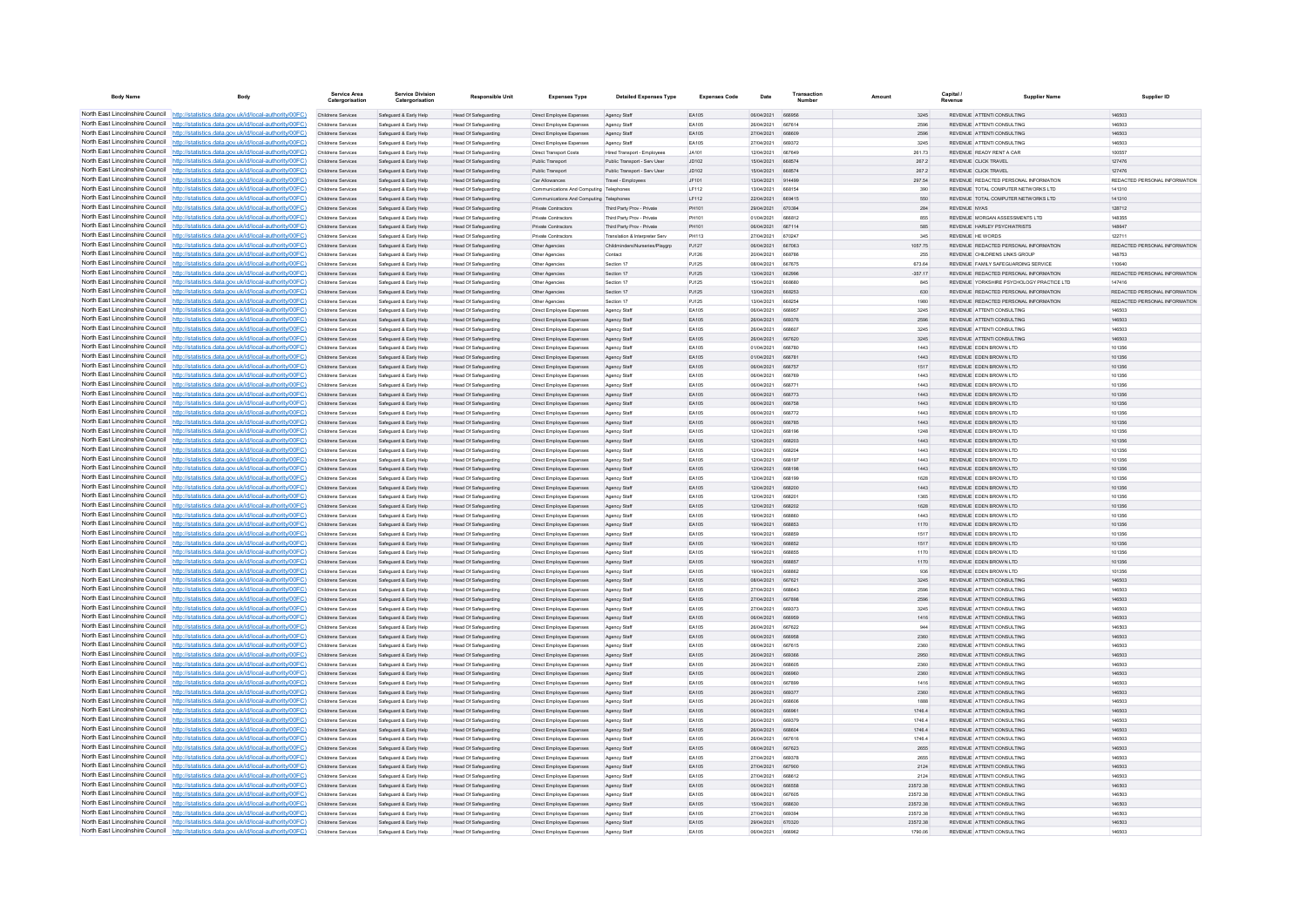| <b>Body Name</b>                | <b>Body</b>                                                                                                                                                                      | Service Area<br>Catergorisation          | <b>Service Division</b><br>Catergorisation       | <b>Responsible Unit</b>                                    | <b>Expenses Type</b>                                        | <b>Detailed Expenses Type</b>                                 | <b>Expenses Code</b>  | Date                     | Transactio<br>Number           | Amount               | Capital /<br>Revenue | <b>Supplier Name</b>                                                | Supplier ID                             |
|---------------------------------|----------------------------------------------------------------------------------------------------------------------------------------------------------------------------------|------------------------------------------|--------------------------------------------------|------------------------------------------------------------|-------------------------------------------------------------|---------------------------------------------------------------|-----------------------|--------------------------|--------------------------------|----------------------|----------------------|---------------------------------------------------------------------|-----------------------------------------|
|                                 | North East Lincolnshire Council http://statistics.data.gov.uk/id/local-authority/00FC)                                                                                           | Childrens Services                       | Safeguard & Early Help                           | Head Of Safeguarding                                       | Direct Employee Expenses                                    | Agency Staff                                                  | EA105                 | 06/04/2021               | 666956                         | 3245                 |                      | REVENUE ATTENTI CONSULTING                                          | 146503                                  |
|                                 | North East Lincolnshire Council http://statistics.data.gov.uk/id/local-authority/00FC)                                                                                           | Childrens Service                        | Safeguard & Early Help                           | Head Of Safeguarding                                       | Direct Employee Expenses                                    | Agency Staff                                                  | EA105                 | 26/04/2021               | <b>BR781/</b>                  | 2596                 |                      | REVENUE ATTENTICONSULTING                                           | 146503                                  |
|                                 | North East Lincolnshire Council http://statistics.data.gov.uk/id/local-authority/00FC)                                                                                           | Childrens Services                       | Safeguard & Early Help                           | <b>Head Of Safeguarding</b>                                | Direct Employee Expenses                                    | Agency Staff                                                  | <b>EA105</b>          | 27/04/2021               | 668609                         | 2598                 |                      | REVENUE ATTENTI CONSULTING                                          | 146503                                  |
|                                 | North East Lincolnshire Council http://statistics.data.gov.uk/id/local-authority/00FC)                                                                                           | Childrens Services                       | Safeguard & Early Help                           | Head Of Safeguarding                                       | Direct Employee Expenses                                    | Agency Staff                                                  | EA105                 | 27/04/2021               | 669372                         | 3245                 |                      | REVENUE ATTENTI CONSULTING                                          | 146503                                  |
|                                 | North East Lincolnshire Council http://statistics.data.gov.uk/id/local-authority/00FC)                                                                                           | Childrens Services                       | Safeguard & Early Help                           | Head Of Safeguarding                                       | Direct Transport Costs                                      | Hired Transport - Employees                                   | <b>JA101</b>          | 12/04/2021               | 667649                         | 261.73               |                      | REVENUE READY RENT A CAR<br>REVENUE CLICK TRAVEL                    | 100557                                  |
|                                 | North East Lincolnshire Council http://statistics.data.gov.uk/id/local-authority/00FC)<br>North East Lincolnshire Council http://statistics.data.gov.uk/id/local-authority/00FC) | Childrens Services<br>Childrens Services | Safeguard & Early Help<br>Safeguard & Early Help | Head Of Safeguarding<br>Head Of Safeguarding               | Public Transport<br>Public Transport                        | Public Transport - Serv User<br>Public Transport - Serv Llser | JD102<br>JD102        | 15/04/2021<br>15/04/2021 | 668574<br>668574               | 267.2<br>267.2       |                      | REVENUE CLICK TRAVEL                                                | 127476<br>127476                        |
| North East Lincolnshire Council | http://statistics.data.gov.uk/id/local-authority/00FC)                                                                                                                           | Childrens Services                       | Safeguard & Early Help                           | <b>Head Of Safeguarding</b>                                | Car Allowances                                              | Travel - Employees                                            | JF101                 | 13/04/2021               | 914499                         | 297.54               |                      | REVENUE REDACTED PERSONAL INFORMATION                               | REDACTED PERSONAL INFORMATION           |
| North East Lincolnshire Council | http://statistics.data.gov.uk/id/local-authority/00FC)                                                                                                                           | Childrens Services                       | Safeguard & Early Help                           | Head Of Safeguarding                                       | Communications And Computing Telephones                     |                                                               | LF112                 | 13/04/2021               | 668154                         | 390                  |                      | REVENUE TOTAL COMPUTER NETWORKS LTD                                 | 141310                                  |
|                                 | North East Lincolnshire Council http://statistics.data.gov.uk/id/local-authority/00FC)                                                                                           | Childrens Services                       | Safeguard & Early Help                           | Head Of Safeguarding                                       | Communications And Computing Telephones                     |                                                               | IF112                 | 22/04/2021               | <b>BR9415</b>                  | 550                  |                      | REVENUE TOTAL COMPLITER NETWORKS LTD.                               | 141310                                  |
|                                 | North East Lincolnshire Council http://statistics.data.gov.uk/id/local-authority/00FC)                                                                                           | Childrens Services                       | Safeguard & Early Help                           | Head Of Safeguarding                                       | Private Contractors                                         | Third Party Prov - Private                                    | PH101                 | 29/04/2021               | 670394                         | 284                  |                      | <b>DEVENIJE NYAS</b>                                                | 128712                                  |
|                                 | North East Lincolnshire Council http://statistics.data.gov.uk/id/local-authority/00FC)                                                                                           | Childrens Services                       | Safeguard & Early Help                           | <b>Head Of Safeguarding</b>                                | <b>Private Contractors</b>                                  | Third Party Prov - Private                                    | PH101                 | 01/04/2021               | 666812                         | 855                  |                      | REVENUE MORGAN ASSESSMENTS LTD                                      | 148355                                  |
|                                 | North East Lincolnshire Council http://statistics.data.gov.uk/id/local-authority/00FC)<br>North East Lincolnshire Council http://statistics.data.gov.uk/id/local-authority/00FC) | Childrens Services<br>Childrens Services | Safeguard & Early Help<br>Safeguard & Early Help | <b>Head Of Safeguarding</b>                                | Private Contractors<br>Private Contractors                  | Third Party Prov - Private<br>Translation & Interpreter Serv  | PH101<br>PH113        | 06/04/2021<br>27/04/2021 | 667114<br>670247               | 585<br>345           |                      | REVENUE HARLEY PSYCHIATRISTS<br>REVENUE HE WORDS                    | 148647<br>122711                        |
|                                 | North East Lincolnshire Council http://statistics.data.gov.uk/id/local-authority/00FC)                                                                                           | Childrens Services                       | Safeguard & Early Help                           | <b>Head Of Safeguarding</b><br>Head Of Safeguarding        | Other Agencies                                              | Childminders/Nurseries/Playard                                | PJ127                 | 06/04/2021               | 667063                         | 1057.75              |                      | REVENUE REDACTED PERSONAL INFORMATION                               | REDACTED PERSONAL INFORMATION           |
|                                 | North East Lincolnshire Council http://statistics.data.gov.uk/id/local-authority/00FC)                                                                                           | Childrens Services                       | Safeguard & Early Help                           | <b>Head Of Safeguarding</b>                                | Other Agencies                                              | Contact                                                       | PJ126                 | 20/04/2021               | 668786                         | 255                  |                      | REVENUE CHILDRENS LINKS GROUP                                       | 148753                                  |
|                                 | North East Lincolnshire Council http://statistics.data.gov.uk/id/local-authority/00FC)                                                                                           | Childrens Services                       | Safeguard & Early Help                           | Head Of Safeguarding                                       | Other Agencie                                               | Section 17                                                    | PJ125                 | 08/04/2021               | 667675                         | 673.64               |                      | REVENUE FAMILY SAFEGUARDING SERVICE                                 | 110640                                  |
|                                 | North East Lincolnshire Council http://statistics.data.gov.uk/id/local-authority/00FC)                                                                                           | Childrens Services                       | Safeguard & Early Help                           | Head Of Safeguarding                                       | Other Agencies                                              | Section 17                                                    | P.1125                | 13/04/2021               | 662996                         | $-357.17$            |                      | REVENUE REDACTED PERSONAL INFORMATION                               | REDACTED PERSONAL INFORMATION.          |
|                                 | North East Lincolnshire Council http://statistics.data.gov.uk/id/local-authority/00FC)                                                                                           | Childrens Services                       | Safeguard & Early Help                           | Head Of Safeguarding                                       | Other Agencies                                              | Section 17                                                    | PJ125                 | 15/04/2021               | 668680                         | 845                  |                      | REVENUE YORKSHIRE PSYCHOLOGY PRACTICE LTD                           | 147416                                  |
|                                 | North East Lincolnshire Council http://statistics.data.gov.uk/id/local-authority/00FC)                                                                                           | Childrens Services                       | Safeguard & Early Help                           | Head Of Safeguarding                                       | Other Agencies                                              | Section 17                                                    | PJ125                 | 13/04/2021               | 668253                         | 630                  |                      | REVENUE REDACTED PERSONAL INFORMATION                               | REDACTED PERSONAL INFORMATION           |
|                                 | North East Lincolnshire Council http://statistics.data.gov.uk/id/local-authority/00FC)<br>North East Lincolnshire Council http://statistics.data.gov.uk/id/local-authority/00FC) | Childrens Services<br>Childrens Services | Safeguard & Early Help<br>Safernard & Farly Help | Head Of Safeguarding<br>Head Of Safeguarding               | Other Agencies<br><b>Direct Employee Expenses</b>           | Section 17<br>Agency Staff                                    | PJ125<br><b>FA105</b> | 13/04/2021<br>06/04/2021 | <b>BRR254</b><br><b>BRROST</b> | 1980<br>3245         |                      | REVENUE REDACTED PERSONAL INFORMATION<br>REVENUE ATTENTI CONSULTING | REDACTED PERSONAL INFORMATION<br>146503 |
| North East Lincolnshire Council | http://statistics.data.gov.uk/id/local-authority/00FC)                                                                                                                           | Childrens Services                       | Safeguard & Early Help                           | <b>Head Of Safeguarding</b>                                | Direct Employee Expenses                                    | Agency Staff                                                  | <b>FA105</b>          | 26/04/2021               | 669376                         | 2596                 |                      | REVENUE ATTENTICONSULTING                                           | 146503                                  |
| North East Lincolnshire Council | http://statistics.data.gov.uk/id/local-authority/00FC)                                                                                                                           | Childrens Services                       | Safeguard & Early Help                           | Head Of Safeguarding                                       | Direct Employee Expenses                                    | Agency Sta                                                    | EA105                 | 26/04/2021               | 000007                         | 3245                 |                      | REVENUE ATTENTI CONSULTING                                          | 146503                                  |
|                                 | North East Lincolnshire Council http://statistics.data.gov.uk/id/local-authority/00FC)                                                                                           | Childrens Services                       | Safeguard & Early Help                           | Head Of Safeguarding                                       | Direct Employee Expenses                                    | Agency Staff                                                  | FA105                 | 26/04/2021               | 667620                         | 3245                 |                      | REVENUE ATTENTI CONSULTING                                          | 146503                                  |
|                                 | North East Lincolnshire Council http://statistics.data.gov.uk/id/local-authority/00FC)                                                                                           | Childrens Services                       | Safeguard & Early Help                           | <b>Head Of Safeguarding</b>                                | <b>Direct Employee Expenses</b>                             | Agency Staff                                                  | EA105                 | 01/04/2021               | 666780                         | 1443                 |                      | REVENUE EDEN BROWN LTD                                              | 101356                                  |
|                                 | North East Lincolnshire Council http://statistics.data.gov.uk/id/local-authority/00FC)                                                                                           | Childrens Services                       | Safeguard & Early Help                           | <b>Head Of Safeguarding</b>                                | Direct Employee Expenses                                    | Agency Staff                                                  | EA105                 | 01/04/2021               | 666781                         | 1443                 |                      | REVENUE EDEN BROWN LTD                                              | 101356                                  |
|                                 | North East Lincolnshire Council http://statistics.data.gov.uk/id/local-authority/00FC)                                                                                           | Childrens Services                       | Safeguard & Early Help                           | <b>Head Of Safeguarding</b>                                | Direct Employee Expenses                                    | Agency Staf                                                   | EA105                 | 06/04/2021               | 666757                         | 1517                 |                      | REVENUE EDEN BROWN LTD                                              | 101356                                  |
| North East Lincolnshire Council | North East Lincolnshire Council http://statistics.data.gov.uk/id/local-authority/00FC)                                                                                           | Childrens Services                       | Safeguard & Early Help                           | Head Of Safeguarding                                       | Direct Employee Expenses                                    | Agency Staff                                                  | <b>FA105</b><br>FA105 | 06/04/2021<br>06/04/2021 | 666769<br>66677                | 1443                 |                      | REVENUE FDEN BROWN LTD.<br>REVENUE EDEN BROWN LTD                   | 101356<br>101356                        |
| North East Lincolnshire Council | http://statistics.data.gov.uk/id/local-authority/00FC)<br>://statistics.data.gov.uk/id/local-authority/00FC)                                                                     | Childrens Services<br>Childrens Services | Safeguard & Early Help<br>Safeguard & Early Help | <b>Head Of Safeguarding</b><br>Head Of Safeguarding        | Direct Employee Expenses<br><b>Direct Employee Expenses</b> | Agency Staff<br>Agency Staff                                  | EA105                 | 06/04/2021               |                                | 1443<br>1443         |                      | REVENUE EDEN BROWN LTD                                              | 101356                                  |
|                                 | North East Lincolnshire Council http://statistics.data.gov.uk/id/local-authority/00FC)                                                                                           | Childrens Services                       | Safeguard & Early Help                           | Head Of Safeguarding                                       | Direct Employee Expenses                                    | Agency Staff                                                  | EA105                 | 06/04/2021               | <b>BRR758</b>                  | 1443                 |                      | REVENUE FDEN BROWN LTD                                              | 101356                                  |
|                                 | North East Lincolnshire Council http://statistics.data.gov.uk/id/local-authority/00FC)                                                                                           | Childrens Services                       | Safeguard & Early Help                           | Head Of Safeguarding                                       | Direct Employee Expenses                                    | Agency Staff                                                  | FA105                 | 06/04/2021               | BRR772                         | 1443                 |                      | REVENUE FDEN BROWN LTD.                                             | 101356                                  |
|                                 | North East Lincolnshire Council   http://statistics.data.gov.uk/id/local-authority/00FC)                                                                                         | Childrens Services                       | Safeguard & Early Help                           | Head Of Safeguarding                                       | Direct Employee Expenses                                    | Agency Staff                                                  | FA105                 | 06/04/2021               | <b>BRAZRE</b>                  | 1443                 |                      | REVENUE FDEN BROWN LTD                                              | 101356                                  |
|                                 | North East Lincolnshire Council http://statistics.data.gov.uk/id/local-authority/00FC)                                                                                           | Childrens Services                       | Safeguard & Early Help                           | Head Of Safeguarding                                       | Direct Employee Expenses                                    | Agency Staff                                                  | EA105                 | 12/04/2021               | 668196                         | 1248                 |                      | REVENUE EDEN BROWN LTD                                              | 101356                                  |
|                                 | North East Lincolnshire Council http://statistics.data.gov.uk/id/local-authority/00FC)                                                                                           | Childrens Services                       | Safeguard & Early Help                           | Head Of Safeguarding                                       | Direct Employee Expenses                                    | Agency Staff                                                  | EA105                 | 12/04/2021               | 668203                         | 1443                 |                      | REVENUE EDEN BROWN LTD                                              | 101356                                  |
| North East Lincolnshire Council | North East Lincolnshire Council http://statistics.data.gov.uk/id/local-authority/00FC)<br>http://statistics.data.gov.uk/id/local-authority/00FC)                                 | Childrens Services                       | Safeguard & Early Help                           | Head Of Safeguarding                                       | Direct Employee Expenses                                    | Agency Staff                                                  | EA105                 | 12/04/2021               | 668204<br>668197               | 1443                 |                      | REVENUE EDEN BROWN LTD<br>REVENUE EDEN BROWN LTD                    | 101356                                  |
|                                 | North East Lincolnshire Council http://statistics.data.gov.uk/id/local-authority/00FC)                                                                                           | Childrens Services<br>Childrens Services | Safeguard & Early Help<br>Safeguard & Early Help | <b>Head Of Safeguarding</b><br><b>Head Of Safeguarding</b> | Direct Employee Expenses<br>Direct Employee Expenses        | Agency Staff<br>Agency Staff                                  | EA105<br>EA105        | 12/04/2021<br>12/04/2021 | 668198                         | 1443<br>1443         |                      | REVENUE EDEN BROWN LTD                                              | 101356<br>101356                        |
|                                 | North East Lincolnshire Council http://statistics.data.gov.uk/id/local-authority/00FC)                                                                                           | Childrens Services                       | Safeguard & Early Help                           | Head Of Safeguarding                                       | Direct Employee Expenses                                    | Agency Staf                                                   | EA105                 | 12/04/2021               | <b>BRR100</b>                  | 1628                 |                      | REVENUE EDEN BROWN LTD                                              | 101356                                  |
|                                 | North East Lincolnshire Council http://statistics.data.gov.uk/id/local-authority/00FC)                                                                                           | Childrens Services                       | Safeguard & Early Help                           | Head Of Safeguarding                                       | Direct Employee Expenses                                    | Agency Staff                                                  | <b>EA105</b>          | 12/04/2021               | 668200                         | 1443                 |                      | REVENUE FDEN BROWN LTD                                              | 101356                                  |
|                                 | North East Lincolnshire Council http://statistics.data.gov.uk/id/local-authority/00FC)                                                                                           | Childrens Services                       | Safeguard & Early Help                           | Head Of Safeguarding                                       | Direct Employee Expenses                                    | Agency Staff                                                  | FA105                 | 12/04/2021               | 668201                         | 1365                 |                      | REVENUE EDEN BROWN LTD                                              | 101356                                  |
|                                 | North East Lincolnshire Council http://statistics.data.gov.uk/id/local-authority/00FC)                                                                                           | Childrens Services                       | Safeguard & Early Help                           | Head Of Safeguarding                                       | Direct Employee Expenses                                    | Agency Staff                                                  | EA105                 | 12/04/2021               | 668202                         | 1628                 |                      | REVENUE EDEN BROWN LTD                                              | 101356                                  |
| North East Lincolnshire Council | North East Lincolnshire Council http://statistics.data.gov.uk/id/local-authority/00FC)                                                                                           | Childrens Services                       | Safeguard & Early Help                           | Head Of Safeguarding                                       | Direct Employee Expenses                                    | Agency Staff                                                  | <b>FA105</b>          | 10/04/2021               | <b>BRBBBF</b>                  | 1443                 |                      | REVENUE FDEN BROWN LTD.                                             | 101356                                  |
|                                 | http://statistics.data.gov.uk/id/local-authority/00EC)<br>North East Lincolnshire Council http://statistics.data.gov.uk/id/local-authority/00FC)                                 | Childrens Services<br>Childrens Services | Safeguard & Early Help<br>Safeguard & Early Help | Head Of Safeguarding<br>Head Of Safeguarding               | Direct Employee Expenses<br>Direct Employee Expenses        | Agency Staff<br>Agency Staff                                  | FA105<br>FA105        | 19/04/2021<br>19/04/2021 | 668853<br>668859               | 1170<br>1517         |                      | REVENUE FDEN BROWN LTD<br>REVENUE EDEN BROWN LTD                    | 101356<br>101356                        |
|                                 | North East Lincolnshire Council http://statistics.data.gov.uk/id/local-authority/00FC)                                                                                           | Childrens Services                       | Safeguard & Early Help                           | <b>Head Of Safeguarding</b>                                | Direct Employee Expenses                                    | Agency Staff                                                  | EA105                 | 19/04/2021               | 668852                         | 1517                 |                      | REVENUE EDEN BROWN LTD                                              | 101356                                  |
|                                 | North East Lincolnshire Council http://statistics.data.gov.uk/id/local-authority/00FC)                                                                                           | Childrens Services                       | Safeguard & Early Help                           | Head Of Safeguarding                                       | Direct Employee Expenses                                    | Agency Staff                                                  | <b>FA105</b>          | 19/04/2021               | <b>BRARSE</b>                  | 1170                 |                      | REVENUE FDEN BROWN LTD                                              | 101356                                  |
|                                 | North East Lincolnshire Council http://statistics.data.gov.uk/id/local-authority/00FC)                                                                                           | Childrens Services                       | Safeguard & Early Help                           | Head Of Safeguarding                                       | Direct Employee Expenses                                    | Agency Staff                                                  | EA105                 | 19/04/2021               | 668857                         | 1170                 |                      | REVENUE EDEN BROWN LTD                                              | 101356                                  |
|                                 | North East Lincolnshire Council http://statistics.data.gov.uk/id/local-authority/00FC)                                                                                           | Childrens Services                       | Safeguard & Early Help                           | <b>Head Of Safeguarding</b>                                | Direct Employee Expenses                                    | Agency Staff                                                  | EA105                 | 19/04/2021               | 668862                         | 936                  |                      | REVENUE EDEN BROWN LTD                                              | 101356                                  |
| North East Lincolnshire Council | North East Lincolnshire Council http://statistics.data.gov.uk/id/local-authority/00FC)                                                                                           | Childrens Services                       | Safeguard & Early Help                           | Head Of Safeguarding                                       | Direct Employee Expenses                                    | Agency Staf                                                   | EA105                 | 08/04/2021               | 667621                         | 3245                 |                      | REVENUE ATTENTI CONSULTING                                          | 146503                                  |
| North East Lincolnshire Council | http://statistics.data.gov.uk/id/local-authority/00EC)<br>://statistics.data.gov.uk/id/local-authority/00FC)                                                                     | Childrens Services<br>Childrens Services | Safeguard & Early Help<br>Safeguard & Early Help | Head Of Safeguarding<br><b>Head Of Safeguarding</b>        | Direct Employee Expenses<br>Direct Employee Expenses        | Agency Staff<br>Agency Staff                                  | FA105<br>EA105        | 27/04/2021<br>27/04/2021 | 668643<br>667898               | 2598<br>2596         |                      | REVENUE ATTENTI CONSULTING<br>REVENUE ATTENTI CONSULTING            | 146503<br>146503                        |
| North East Lincolnshire Council | http://statistics.data.gov.uk/id/local-authority/00FC)                                                                                                                           | Childrens Services                       | Safeguard & Early Help                           | <b>Head Of Safeguarding</b>                                | Direct Employee Expenses                                    | Agency Staf                                                   | EA105                 | 27/04/2021               |                                | 3245                 |                      | REVENUE ATTENTI CONSULTING                                          | 146503                                  |
|                                 | North East Lincolnshire Council http://statistics.data.gov.uk/id/local-authority/00FC)                                                                                           | Childrens Services                       | Safeguard & Early Help                           | <b>Head Of Safeguarding</b>                                | Direct Employee Expenses                                    | Agency Staf                                                   | EA105                 | 08/04/2021               | <b>BRROSC</b>                  | 1416                 |                      | REVENUE ATTENTICONSULTING                                           | 146503                                  |
|                                 | North East Lincolnshire Council http://statistics.data.gov.uk/id/local-authority/00FC)                                                                                           | Childrens Services                       | Safeguard & Early Help                           | Head Of Safeguarding                                       | Direct Employee Expenses                                    | Agency Staff                                                  | FA105                 | 26/04/2021               | 667622                         | 944                  |                      | REVENUE ATTENTICONSULTING                                           | 146503                                  |
|                                 | North East Lincolnshire Council http://statistics.data.gov.uk/id/local-authority/00FC)                                                                                           | Childrens Services                       | Safeguard & Early Help                           | Head Of Safeguarding                                       | Direct Employee Expenses                                    | Agency Staff                                                  | EA105                 | 06/04/2021               | 666958                         | 2360                 |                      | REVENUE ATTENTICONSULTING                                           | 146503                                  |
|                                 | North East Lincolnshire Council http://statistics.data.gov.uk/id/local-authority/00FC)                                                                                           | Childrens Services                       | Safeguard & Early Help                           | Head Of Safeguarding                                       | <b>Direct Employee Expenses</b>                             | Agency Staf                                                   | EA105                 | 08/04/2021               | 667615                         | 2360                 |                      | REVENUE ATTENTI CONSULTING                                          | 146503                                  |
| North East Lincolnshire Council | North East Lincolnshire Council http://statistics.data.gov.uk/id/local-authority/00FC)<br>http://statistics.data.gov.uk/id/local-authority/00FC)                                 | Childrens Services<br>Childrens Services | Safeguard & Early Help<br>Safeguard & Early Help | <b>Head Of Safeguarding</b>                                | Direct Employee Expenses                                    | Agency Staff                                                  | FA105<br>EA105        | 26/04/2021<br>26/04/2021 | <b>BRO3BE</b><br><b>BRBROF</b> | 2950<br>2360         |                      | REVENUE ATTENTI CONSULTING<br>REVENUE ATTENTI CONSULTING            | 146503<br>146503                        |
|                                 | North East Lincolnshire Council http://statistics.data.gov.uk/id/local-authority/00FC)                                                                                           | Childrens Services                       | Safeguard & Early Help                           | <b>Head Of Safeguarding</b><br><b>Head Of Safeguarding</b> | Direct Employee Expenses<br>Direct Employee Expenses        | Agency Staff<br>Agency Staff                                  | EA105                 | 06/04/2021               | 666960                         | 2360                 |                      | REVENUE ATTENTI CONSULTING                                          | 146503                                  |
|                                 | North East Lincolnshire Council http://statistics.data.gov.uk/id/local-authority/00FC)                                                                                           | Childrens Services                       | Safeguard & Early Help                           | Head Of Safeguarding                                       | Direct Employee Expenses                                    | Agency Staf                                                   | EA105                 | 08/04/2021               | 667899                         | 1416                 |                      | REVENUE ATTENTI CONSULTING                                          | 146503                                  |
|                                 | North East Lincolnshire Council http://statistics.data.gov.uk/id/local-authority/00FC)                                                                                           | Childrens Services                       | Safeguard & Early Help                           | Head Of Safeguarding                                       | Direct Employee Expenses                                    | Agency Staff                                                  | FA105                 | 26/04/2021               | 669377                         | 2360                 |                      | REVENUE ATTENTI CONSULTING                                          | 146503                                  |
|                                 | North East Lincolnshire Council http://statistics.data.gov.uk/id/local-authority/00FC)                                                                                           | Childrens Services                       | Safeguard & Early Help                           | Head Of Safeguarding                                       | Direct Employee Expenses                                    | Agency Staff                                                  | EA105                 | 26/04/2021               | 668606                         | 1888                 |                      | REVENUE ATTENTI CONSULTING                                          | 146503                                  |
|                                 | North East Lincolnshire Council http://statistics.data.gov.uk/id/local-authority/00FC)                                                                                           | Childrens Services                       | Safeguard & Early Help                           | Head Of Safeguarding                                       | Direct Employee Expenses                                    | Agency Staff                                                  | EA105                 | 06/04/2021               | 666961                         | 1746.4               |                      | REVENUE ATTENTI CONSULTING                                          | 146503                                  |
| North East Lincolnshire Council | North East Lincolnshire Council http://statistics.data.gov.uk/id/local-authority/00FC)                                                                                           | Childrens Services                       | Safeguard & Early Help                           | <b>Head Of Safeguarding</b>                                | Direct Employee Expenses                                    | Agency Staff                                                  | EA105                 | 26/04/2021               | 669379                         | 1746.4               |                      | REVENUE ATTENTI CONSULTING                                          | 146503                                  |
| North East Lincolnshire Council | http://statistics.data.gov.uk/id/local-authority/00EC).<br>http://statistics.data.gov.uk/id/local-authority/00EC).                                                               | Childrens Services                       | Safeguard & Early Help                           | Head Of Safeguarding                                       | Direct Employee Expenses                                    | Agency Staff                                                  | FA105<br><b>FA105</b> | 26/04/2021<br>26/04/2021 | 668604<br>667616               | 1746.4               |                      | REVENUE ATTENTI CONSULTING<br>REVENUE ATTENTI CONSULTING            | 146503<br>146503                        |
|                                 | North East Lincolnshire Council http://statistics.data.gov.uk/id/local-authority/00FC)                                                                                           | Childrens Services<br>Childrens Services | Safeguard & Early Help<br>Safeguard & Early Help | <b>Head Of Safeguarding</b><br>Head Of Safeguarding        | Direct Employee Expenses<br>Direct Employee Expenses        | Agency Staff<br>Agency Staff                                  | EA105                 | 08/04/2021               | 667623                         | 1746.4<br>2655       |                      | REVENUE ATTENTI CONSULTING                                          | 146503                                  |
|                                 | North East Lincolnshire Council http://statistics.data.gov.uk/id/local-authority/00FC)                                                                                           | Childrens Services                       | Safeguard & Early Help                           | Head Of Safeguarding                                       | Direct Employee Expenses                                    | Agency Staff                                                  | <b>FA105</b>          | 27/04/2021               | 669378                         | 2655                 |                      | <b>PEVENHE ATTENTICONSHI TING</b>                                   | 146503                                  |
|                                 | North East Lincolnshire Council http://statistics.data.gov.uk/id/local-authority/00FC)                                                                                           | Childrens Services                       | Safeguard & Early Help                           | Head Of Safeguarding                                       | Direct Employee Expenses                                    | Agency Staff                                                  | FA105                 | 27/04/2021               | 667900                         | 2124                 |                      | REVENUE ATTENTI CONSULTING                                          | 146503                                  |
|                                 | North East Lincolnshire Council http://statistics.data.gov.uk/id/local-authority/00FC)                                                                                           | Childrens Services                       | Safeguard & Early Help                           | <b>Head Of Safeguarding</b>                                | Direct Employee Expenses                                    | Agency Staff                                                  | EA105                 | 27/04/2021               | 668612                         | 2124                 |                      | REVENUE ATTENTI CONSULTING                                          | 146503                                  |
|                                 | North East Lincolnshire Council http://statistics.data.gov.uk/id/local-authority/00FC)                                                                                           | Childrens Services                       | Safeguard & Early Help                           | Head Of Safeguarding                                       | Direct Employee Expenses                                    | Agency Staff                                                  | EA105                 | 06/04/2021               | 666558                         | 23572.38             |                      | REVENUE ATTENTI CONSULTING                                          | 146503                                  |
|                                 | North East Lincolnshire Council http://statistics.data.gov.uk/id/local-authority/00FC)                                                                                           | Childrens Services                       | Safeguard & Early Help                           | <b>Head Of Safeguarding</b>                                | Direct Employee Expenses                                    | Agency Staff                                                  | FA105                 | 08/04/2021               | 667605                         | 23572.38             |                      | REVENUE ATTENTICONSULTING                                           | 146503                                  |
| North East Lincolnshire Council | http://statistics.data.gov.uk/id/local-authority/00FC)<br>North East Lincolnshire Council http://statistics.data.gov.uk/id/local-authority/00FC)                                 | Childrens Services<br>Childrens Services | Safeguard & Early Help<br>Safeguard & Early Help | Head Of Safeguarding<br>Head Of Safeguarding               | Direct Employee Expenses<br>Direct Employee Expenses        | Agency Staff                                                  | EA105<br>EA105        | 15/04/2021<br>27/04/2021 | 668630                         | 23572.38<br>23572.38 |                      | REVENUE ATTENTI CONSULTING<br>REVENUE ATTENTI CONSULTING            | 146503<br>146503                        |
|                                 | North East Lincolnshire Council http://statistics.data.gov.uk/id/local-authority/00FC)                                                                                           | Childrens Services                       | Safeguard & Early Help                           | Head Of Safeguarding                                       | Direct Employee Expenses                                    | Agency Staf<br>Agency Staff                                   | EA105                 | 29/04/2021               | 670320                         | 23572.38             |                      | REVENUE ATTENTI CONSULTING                                          | 146503                                  |
|                                 | North East Lincolnshire Council http://statistics.data.gov.uk/id/local-authority/00FC)                                                                                           | Childrens Services                       | Safeguard & Early Help                           | <b>Head Of Safeguarding</b>                                | Direct Employee Expenses                                    | Agency Staff                                                  | <b>FA105</b>          | 06/04/2021               | 666962                         | 1790.08              |                      | REVENUE ATTENTI CONSULTING                                          | 146503                                  |
|                                 |                                                                                                                                                                                  |                                          |                                                  |                                                            |                                                             |                                                               |                       |                          |                                |                      |                      |                                                                     |                                         |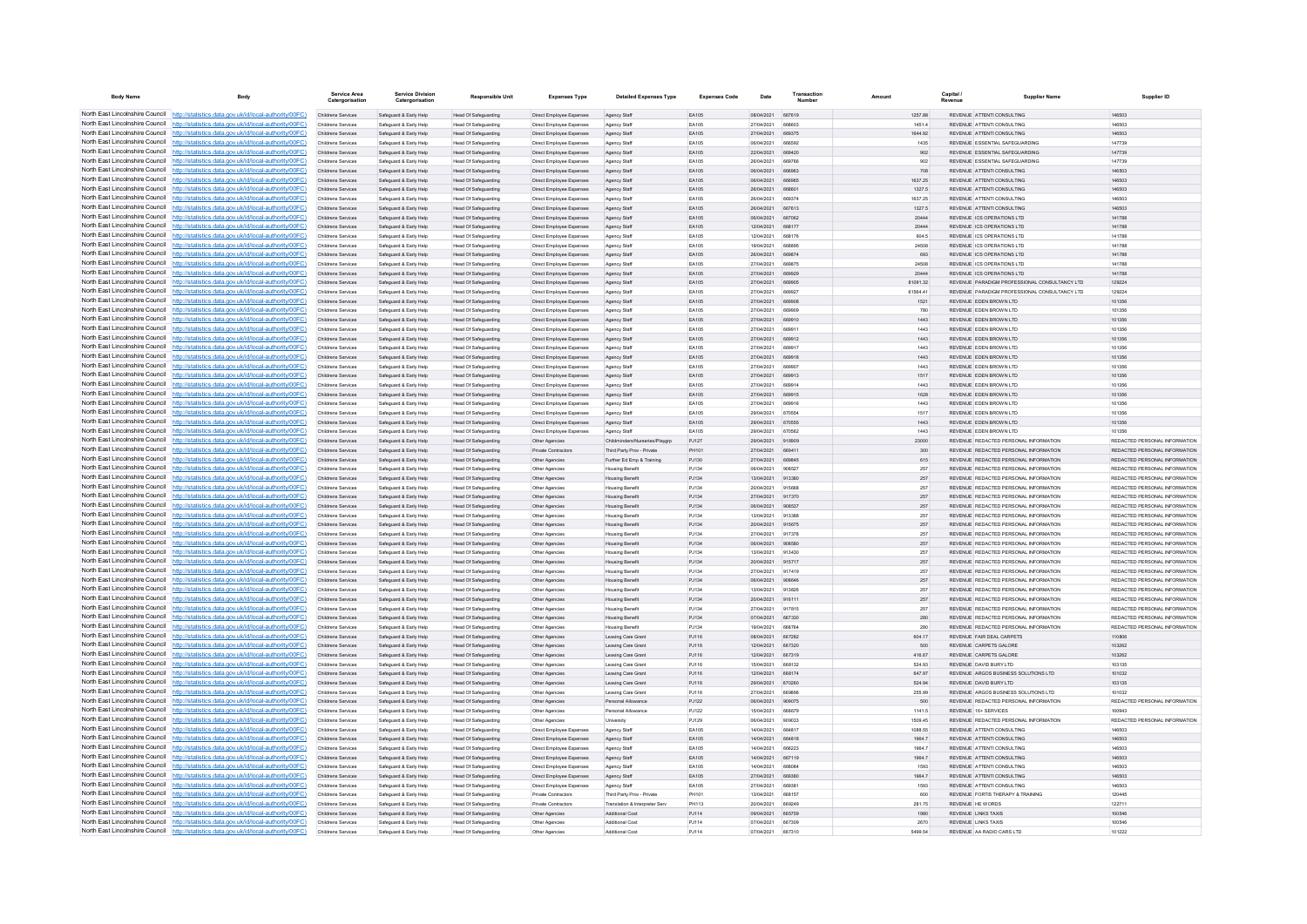| <b>Body Name</b>                                                   | Body                                                                                                                                                                               | Service Area<br>Catergorisatio                  | <b>Service Division</b><br>Catergorisation       | <b>Responsible Unit</b>                                    | <b>Expenses Type</b>                                        | <b>Detailed Expenses Type</b>                                | <b>Expenses Code</b>         | Date                     | Transaction             | Amount        | Capital / | <b>Supplier Name</b>                                                           | Supplier ID                                                    |
|--------------------------------------------------------------------|------------------------------------------------------------------------------------------------------------------------------------------------------------------------------------|-------------------------------------------------|--------------------------------------------------|------------------------------------------------------------|-------------------------------------------------------------|--------------------------------------------------------------|------------------------------|--------------------------|-------------------------|---------------|-----------|--------------------------------------------------------------------------------|----------------------------------------------------------------|
|                                                                    | North East Lincolnshire Council http://statistics.data.gov.uk/id/local-authority/00FC)                                                                                             | Childrens Services                              | Safeguard & Early Help                           | Head Of Safeguarding                                       | Direct Employee Expenses                                    | Agency Staff                                                 | EA105                        | 08/04/2021 667619        |                         | 1257.88       |           | REVENUE ATTENTI CONSULTING                                                     | 146503                                                         |
|                                                                    | North East Lincolnshire Council http://statistics.data.gov.uk/id/local-authority/00FC)                                                                                             | Childrens Services                              | Safeguard & Early Help                           | Head Of Safeguarding                                       | Direct Employee Expenses                                    | Agency Staff                                                 | EA105                        | 27/04/2021               |                         | 1451.4        |           | REVENUE ATTENTI CONSULTING                                                     | 146503                                                         |
|                                                                    | North East Lincolnshire Council http://statistics.data.gov.uk/id/local-authority/00FC)                                                                                             | Childrens Services                              | Safeguard & Early Help                           | <b>Head Of Safeguarding</b>                                | Direct Employee Expenses                                    | Agency Staff                                                 | EA105                        | 27/04/2021               | 669375                  | 1644.92       |           | REVENUE ATTENTI CONSULTING                                                     | 146503                                                         |
|                                                                    | North East Lincolnshire Council http://statistics.data.gov.uk/id/local-authority/00FC)                                                                                             | Childrens Services                              | Safeguard & Early Help                           | Head Of Safeguarding                                       | Direct Employee Expenses                                    | Agency Staff                                                 | FA105                        | 06/04/2021               | 666592                  | 1435          |           | REVENUE ESSENTIAL SAFEGUARDING                                                 | 147739                                                         |
|                                                                    | North East Lincolnshire Council   http://statistics.data.gov.uk/id/local-authority/00FC)<br>North East Lincolnshire Council http://statistics.data.gov.uk/id/local-authority/00FC) | <b>Childrens Services</b><br>Childrens Services | Safeguard & Early Help                           | Head Of Safeguarding<br>Head Of Safeguarding               | Direct Employee Expenses<br><b>Direct Employee Expenses</b> | Agency Staff                                                 | FA105<br>EA105               | 22/04/2021<br>26/04/2021 | 669420<br>669766        | 902<br>902    |           | REVENUE ESSENTIAL SAFEGUARDING<br>REVENUE ESSENTIAL SAFEGUARDING               | 147739<br>147739                                               |
|                                                                    | North East Lincolnshire Council http://statistics.data.gov.uk/id/local-authority/00FC)                                                                                             | Childrens Services                              | Safeguard & Early Help<br>Safeguard & Early Help | Head Of Safeguarding                                       | Direct Employee Expenses                                    | Agency Staff<br>Agency Staff                                 | FA105                        | 06/04/2021               | <b>BRROAT</b>           | 708           |           | REVENUE ATTENTI CONSULTING                                                     | 146503                                                         |
|                                                                    | North East Lincolnshire Council http://statistics.data.gov.uk/id/local-authority/00FC)                                                                                             | Childrens Services                              | Safeguard & Early Help                           | <b>Head Of Safeguarding</b>                                | Direct Employee Expenses                                    | Agency Staff                                                 | FA105                        | 06/04/2021               | <b>BRROBE</b>           | 1637.25       |           | REVENUE ATTENTI CONSULTING                                                     | 146503                                                         |
| North East Lincolnshire Council                                    | http://statistics.data.gov.uk/id/local-authority/00FC)                                                                                                                             | Childrens Services                              | Safeguard & Early Help                           | <b>Head Of Safeguarding</b>                                | Direct Employee Expenses                                    | Agency Staff                                                 | EA105                        | 26/04/2021               | 668601                  | 1327.5        |           | REVENUE ATTENTI CONSULTING                                                     | 146503                                                         |
| North East Lincolnshire Council                                    | http://statistics.data.gov.uk/id/local-authority/00FC)                                                                                                                             | Childrens Services                              | Safeguard & Early Help                           | Head Of Safeguarding                                       | Direct Employee Expenses                                    | Agency Sta                                                   | EA105                        | 26/04/2021               | 669374                  | 1637.25       |           | REVENUE ATTENTI CONSULTING                                                     | 146503                                                         |
|                                                                    | North East Lincolnshire Council http://statistics.data.gov.uk/id/local-authority/00FC)                                                                                             | Childrens Services                              | Safeguard & Early Help                           | Head Of Safeguarding                                       | Direct Employee Expenses                                    | Agency Staff                                                 | FA105                        | 26/04/2021               | 667613                  | 1327.5        |           | REVENUE ATTENTI CONSULTING                                                     | 146503                                                         |
|                                                                    | North East Lincolnshire Council http://statistics.data.gov.uk/id/local-authority/00FC)                                                                                             | Childrens Services                              | Safeguard & Early Help                           | <b>Head Of Safeguarding</b>                                | <b>Direct Employee Expenses</b>                             | Agency Staff                                                 | EA105                        | 06/04/2021               | 667062                  | 20444         |           | REVENUE ICS OPERATIONS LTD                                                     | 141788                                                         |
|                                                                    | North East Lincolnshire Council http://statistics.data.gov.uk/id/local-authority/00FC)                                                                                             | Childrens Services                              | Safeguard & Early Help                           | <b>Head Of Safeguarding</b>                                | Direct Employee Expenses                                    | Agency Staff                                                 | EA105                        | 12/04/2021               | 66817                   | 20444         |           | REVENUE ICS OPERATIONS LTD                                                     | 141788                                                         |
|                                                                    | North East Lincolnshire Council http://statistics.data.gov.uk/id/local-authority/00FC)                                                                                             | Childrens Services                              | Safeguard & Early Help                           | Head Of Safeguarding                                       | Direct Employee Expenses                                    | Agency Staff                                                 | EA105                        | 12/04/2021               | 668176                  | 904.5         |           | REVENUE ICS OPERATIONS LTD                                                     | 141788                                                         |
| North East Lincolnshire Council                                    | North East Lincolnshire Council http://statistics.data.gov.uk/id/local-authority/00FC)<br>http://statistics.data.gov.uk/id/local-authority/00FC)                                   | Childrens Services<br>Childrens Services        | Safeguard & Early Help<br>Safeguard & Early Help | Head Of Safeguarding<br><b>Head Of Safeguarding</b>        | Direct Employee Expenses<br><b>Direct Employee Expenses</b> | Agency Staff                                                 | <b>FA105</b><br><b>EA105</b> | 19/04/2021<br>26/04/2021 | <b>BRARGE</b><br>669874 | 24508<br>693  |           | REVENUE ICS OPERATIONS LTD.<br>REVENUE ICS OPERATIONS LTD                      | 141788<br>141788                                               |
| North East Lincolnshire Council                                    | ://statistics.data.gov.uk/id/local-authority/00FC)                                                                                                                                 | Childrens Services                              | Safeguard & Early Help                           | Head Of Safeguarding                                       | <b>Direct Employee Expenses</b>                             | Agency Staff<br>Agency Staf                                  | EA105                        | 27/04/2021               | 669875                  | 24508         |           | REVENUE ICS OPERATIONS LTD                                                     | 141788                                                         |
| North East Lincolnshire Council                                    | http://statistics.data.gov.uk/id/local-authority/00FC)                                                                                                                             | Childrens Services                              | Safeguard & Early Help                           | Head Of Safeguarding                                       | Direct Employee Expenses                                    | Agency Staff                                                 | <b>EA105</b>                 | 27/04/2021               | <b>BRODO</b>            | 20444         |           | REVENUE JOS ORERATIONS LTD.                                                    | 141788                                                         |
|                                                                    | North East Lincolnshire Council http://statistics.data.gov.uk/id/local-authority/00FC)                                                                                             | Childrens Services                              | Saferward & Farly Help                           | Head Of Safeguarding                                       | Direct Employee Expenses                                    | Agency Staff                                                 | FA105                        | 27/04/2021               | <b>BROON</b>            | 81091.32      |           | REVENUE PARADIGM PROFESSIONAL CONSULTANCY LTD                                  | 129224                                                         |
|                                                                    | North East Lincolnshire Council   http://statistics.data.gov.uk/id/local-authority/00FC)                                                                                           | Childrens Services                              | Safeguard & Early Help                           | <b>Head Of Safeguarding</b>                                | Direct Employee Expenses                                    | Agency Staff                                                 | EA105                        | 27/04/2021               | 669927                  | 61564.41      |           | REVENUE PARADIGM PROFESSIONAL CONSULTANCY LTD                                  | 129224                                                         |
|                                                                    | North East Lincolnshire Council http://statistics.data.gov.uk/id/local-authority/00FC)                                                                                             | Childrens Services                              | Safeguard & Early Help                           | Head Of Safeguarding                                       | Direct Employee Expenses                                    | Agency Staf                                                  | EA105                        | 27/04/2021               | 669908                  | 1521          |           | REVENUE EDEN BROWN LTD                                                         | 101356                                                         |
|                                                                    | North East Lincolnshire Council   http://statistics.data.gov.uk/id/local-authority/00FC)                                                                                           | Childrens Services                              | Safeguard & Early Help                           | Head Of Safeguarding                                       | Direct Employee Expenses                                    | Agency Staff                                                 | FA105                        | 27/04/2021               | 669909                  | 780           |           | REVENUE FDEN BROWN LTD.                                                        | 101356                                                         |
| North East Lincolnshire Council                                    | http://statistics.data.gov.uk/id/local-authority/00FC)                                                                                                                             | Childrens Services                              | Safeguard & Early Help                           | Head Of Safeguarding                                       | Direct Employee Expenses                                    | Agency Staff                                                 | EA105                        | 27/04/2021               | 669910                  | 1443          |           | REVENUE EDEN BROWN LTD                                                         | 101356                                                         |
| North East Lincolnshire Council                                    | http://statistics.data.gov.uk/id/local-authority/00FC)<br>North East Lincolnshire Council http://statistics.data.gov.uk/id/local-authority/00FC)                                   | Childrens Services<br>Childrens Services        | Safeguard & Early Help                           | <b>Head Of Safeguarding</b>                                | Direct Employee Expenses                                    | Agency Staff                                                 | EA105<br>EA105               | 27/04/2021<br>27/04/2021 | 669912                  | 1443<br>1443  |           | REVENUE EDEN BROWN LTD<br>REVENUE EDEN BROWN LTD                               | 101356<br>101356                                               |
|                                                                    | North East Lincolnshire Council http://statistics.data.gov.uk/id/local-authority/00FC)                                                                                             | Childrens Services                              | Safeguard & Early Help<br>Safeguard & Early Help | <b>Head Of Safeguarding</b><br>Head Of Safeguarding        | Direct Employee Expenses<br>Direct Employee Expenses        | Agency Staf<br>Agency Staff                                  | FA105                        | 27/04/2021               | <b>A69917</b>           | 1443          |           | REVENUE FDEN BROWN LTD.                                                        | 101356                                                         |
|                                                                    | North East Lincolnshire Council http://statistics.data.gov.uk/id/local-authority/00FC)                                                                                             | <b>Childrens Services</b>                       | Safeguard & Early Help                           | Head Of Safeguarding                                       | Direct Employee Expenses                                    | Agency Staff                                                 | FA105                        | 27/04/2021               | 669918                  | 1443          |           | REVENUE FDEN BROWN LTD                                                         | 101356                                                         |
|                                                                    | North East Lincolnshire Council http://statistics.data.gov.uk/id/local-authority/00FC)                                                                                             | Childrens Services                              | Safeguard & Early Help                           | Head Of Safeguarding                                       | <b>Direct Employee Expenses</b>                             | Agency Staf                                                  | EA105                        | 27/04/2021               | 669907                  | 1443          |           | REVENUE EDEN BROWN LTD                                                         | 101356                                                         |
|                                                                    | North East Lincolnshire Council   http://statistics.data.gov.uk/id/local-authority/00FC)                                                                                           | Childrens Services                              | Safeguard & Early Help                           | <b>Head Of Safeguarding</b>                                | Direct Employee Expenses                                    | Agency Staff                                                 | EA105                        | 27/04/2021               | 669912                  | 1517          |           | REVENUE FDEN BROWN LTD                                                         | 101356                                                         |
| North East Lincolnshire Council                                    | http://statistics.data.gov.uk/id/local-authority/00EC)                                                                                                                             | Childrens Services                              | Safeguard & Early Help                           | Head Of Safeguarding                                       | Direct Employee Expenses                                    | Agency Staff                                                 | <b>FA105</b>                 | 27/04/2021               | <b>ARQ01/</b>           | 1443          |           | REVENUE FDEN BROWN LTD.                                                        | 101356                                                         |
| North East Lincolnshire Council                                    | ://statistics.data.gov.uk/id/local-authority/00FC)                                                                                                                                 | Childrens Services                              | Safeguard & Early Help                           | Head Of Safeguarding                                       | Direct Employee Expenses                                    | Agency Staff                                                 | EA105                        | 27/04/2021               | 669915                  | 1628          |           | REVENUE EDEN BROWN LTD                                                         | 101356                                                         |
| North East Lincolnshire Council                                    | http://statistics.data.gov.uk/id/local-authority/00FC)                                                                                                                             | Childrens Services                              | Safeguard & Early Help                           | Head Of Safeguarding                                       | Direct Employee Expenses                                    | Agency Staf                                                  | EA105                        | 27/04/2021               | 669916                  | 1443          |           | REVENUE EDEN BROWN LTD                                                         | 101356                                                         |
|                                                                    | North East Lincolnshire Council http://statistics.data.gov.uk/id/local-authority/00FC)                                                                                             | Childrens Services                              | Safeguard & Early Help                           | Head Of Safeguardin                                        | Direct Employee Expenses                                    | Agency Staff                                                 | FA105                        | 29/04/2021               | 670554                  | 1517          |           | REVENUE FDEN BROWN LTD.                                                        | 101356                                                         |
|                                                                    | North East Lincolnshire Council http://statistics.data.gov.uk/id/local-authority/00FC)                                                                                             | Childrens Services                              | Safeguard & Early Help                           | Head Of Safeguarding                                       | Direct Employee Expenses                                    | Agency Staff                                                 | FA105                        | 29/04/2021               | 670555                  | 1443          |           | REVENUE FDEN BROWN LTD                                                         | 101356                                                         |
|                                                                    | North East Lincolnshire Council http://statistics.data.gov.uk/id/local-authority/00FC)<br>North East Lincolnshire Council http://statistics.data.gov.uk/id/local-authority/00FC)   | Childrens Services                              | Safeguard & Early Help                           | Head Of Safeguarding                                       | Direct Employee Expenses                                    | Agency Staff                                                 | EA105<br>PJ127               | 29/04/2021<br>29/04/2021 | 670562                  | 1443<br>23000 |           | REVENUE EDEN BROWN LTD<br>REVENUE REDACTED PERSONAL INFORMATION                | 101356<br>REDACTED PERSONAL INFORMATION                        |
|                                                                    | North East Lincolnshire Council http://statistics.data.gov.uk/id/local-authority/00FC)                                                                                             | Childrens Services<br>Childrens Services        | Safeguard & Early Help<br>Safeguard & Early Help | Head Of Safeguarding<br>Head Of Safeguarding               | Other Agencies<br>Private Contractors                       | Childminders/Nurseries/Playarp<br>Third Party Prov - Private | PH101                        | 27/04/2021               | 918909<br>669411        | 300           |           | REVENUE REDACTED PERSONAL INFORMATION                                          | REDACTED PERSONAL INFORMATION                                  |
| North East Lincolnshire Council                                    | http://statistics.data.gov.uk/id/local-authority/00EC).                                                                                                                            | Childrens Services                              | Safeguard & Early Help                           | Head Of Safeguarding                                       | Other Agencies                                              | Further Ed Emp & Training                                    | P.1130                       | 27/04/2021               | 669845                  | 615           |           | REVENUE REDACTED PERSONAL INFORMATION                                          | REDACTED PERSONAL INFORMATION.                                 |
| North East Lincolnshire Council                                    | atistics data gov uk/id/local-authority/00EC)                                                                                                                                      | Childrens Services                              | Safeguard & Early Help                           | <b>Head Of Safeguarding</b>                                | Other Agencies                                              | Housing Benefit                                              | P.1134                       | 06/04/2021               | 908527                  | 257           |           | REVENUE REDACTED PERSONAL INFORMATION                                          | REDACTED PERSONAL INFORMATION.                                 |
|                                                                    | North East Lincolnshire Council http://statistics.data.gov.uk/id/local-authority/00FC)                                                                                             | Childrens Services                              | Safeguard & Early Help                           | Head Of Safeguarding                                       | Other Agencies                                              | <b>Housing Benefit</b>                                       | PJ134                        | 13/04/2021               | 913380                  | 257           |           | REVENUE REDACTED PERSONAL INFORMATION                                          | REDACTED PERSONAL INFORMATION                                  |
|                                                                    | North East Lincolnshire Council http://statistics.data.gov.uk/id/local-authority/00FC)                                                                                             | Childrens Services                              | Safeguard & Early Help                           | Head Of Safeguarding                                       | Other Agencie                                               | <b>Housing Benefit</b>                                       | PJ134                        | 20/04/2021               | 915668                  | 257           |           | REVENUE REDACTED PERSONAL INFORMATION                                          | REDACTED PERSONAL INFORMATION.                                 |
|                                                                    | North East Lincolnshire Council   http://statistics.data.gov.uk/id/local-authority/00FC)                                                                                           | Childrens Services                              | Safeguard & Early Help                           | Head Of Safeguarding                                       | Other Agencies                                              | <b>Housing Benefit</b>                                       | PJ134                        | 27/04/2021               | 917370                  | 257           |           | REVENUE REDACTED PERSONAL INFORMATION                                          | REDACTED PERSONAL INFORMATION                                  |
|                                                                    | North East Lincolnshire Council http://statistics.data.gov.uk/id/local-authority/00FC)                                                                                             | Childrens Services                              | Safeguard & Early Help                           | Head Of Safeguarding                                       | Other Agencies                                              | <b>Housing Benefit</b>                                       | PJ134                        | 06/04/2021               | 908537                  | 257           |           | REVENUE REDACTED PERSONAL INFORMATION                                          | REDACTED PERSONAL INFORMATION                                  |
|                                                                    | North East Lincolnshire Council http://statistics.data.gov.uk/id/local-authority/00FC)<br>North East Lincolnshire Council http://statistics.data.gov.uk/id/local-authority/00FC)   | Childrens Services                              | Safeguard & Early Help                           | <b>Head Of Safeguarding</b>                                | Other Agencies                                              | <b>Housing Benefi</b>                                        | PJ134                        | 13/04/2021<br>20/04/2021 | 913388<br>915675        | 257           |           | REVENUE REDACTED PERSONAL INFORMATION                                          | REDACTED PERSONAL INFORMATION<br>REDACTED PERSONAL INFORMATION |
|                                                                    | North East Lincolnshire Council http://statistics.data.gov.uk/id/local-authority/00FC)                                                                                             | Childrens Services<br><b>Childrens Services</b> | Safeguard & Early Help<br>Safeguard & Early Help | Head Of Safeguarding<br><b>Head Of Safeguarding</b>        | Other Agencies<br>Other Agencies                            | <b>Housing Benefit</b><br><b>Housing Benefit</b>             | PJ134<br>PJ134               | 27/04/2021               | 917378                  | 257<br>257    |           | REVENUE REDACTED PERSONAL INFORMATION<br>REVENUE REDACTED PERSONAL INFORMATION | REDACTED PERSONAL INFORMATION                                  |
|                                                                    | North East Lincolnshire Council http://statistics.data.gov.uk/id/local-authority/00FC)                                                                                             | Childrens Services                              | Safeguard & Early Help                           | Head Of Safeguarding                                       | Other Agencies                                              | <b>Housing Benefit</b>                                       | PJ134                        | 06/04/2021               | 908580                  | 257           |           | REVENUE REDACTED PERSONAL INFORMATION                                          | REDACTED PERSONAL INFORMATION                                  |
|                                                                    | North East Lincolnshire Council http://statistics.data.gov.uk/id/local-authority/00FC)                                                                                             | Childrens Services                              | Safeguard & Early Help                           | Head Of Safeguardin                                        | Other Agencie                                               | <b>Housing Benefit</b>                                       | PJ134                        | 13/04/2021               | 913430                  | 257           |           | REVENUE REDACTED PERSONAL INFORMATION                                          | REDACTED PERSONAL INFORMATION.                                 |
|                                                                    | North East Lincolnshire Council   http://statistics.data.gov.uk/id/local-authority/00FC)                                                                                           | Childrens Services                              | Safeguard & Early Help                           | Head Of Safeguarding                                       | Other Agencies                                              | <b>Housing Benefit</b>                                       | P.1134                       | 20/04/2021               | 915717                  | 257           |           | REVENUE REDACTED PERSONAL INFORMATION                                          | REDACTED PERSONAL INFORMATION.                                 |
|                                                                    | North East Lincolnshire Council http://statistics.data.gov.uk/id/local-authority/00FC)                                                                                             | Childrens Services                              | Safeguard & Early Help                           | Head Of Safeguarding                                       | Other Agencies                                              | <b>Housing Benefit</b>                                       | PJ134                        | 27/04/2021               | 917419                  | 257           |           | REVENUE REDACTED PERSONAL INFORMATION                                          | REDACTED PERSONAL INFORMATION                                  |
|                                                                    | North East Lincolnshire Council http://statistics.data.gov.uk/id/local-authority/00FC)                                                                                             | Childrens Services                              | Safeguard & Early Help                           | Head Of Safeguarding                                       | Other Agencies                                              | <b>Housing Benefit</b>                                       | PJ134                        | 06/04/2021               | 908646                  | 257           |           | REVENUE REDACTED PERSONAL INFORMATION                                          | REDACTED PERSONAL INFORMATION                                  |
|                                                                    | North East Lincolnshire Council http://statistics.data.gov.uk/id/local-authority/00FC)                                                                                             | Childrens Services                              | Safeguard & Early Help                           | <b>Head Of Safeguarding</b>                                | Other Agencies                                              | <b>Housing Benefit</b>                                       | P.1134                       | 13/04/2021               | 913826                  | 257           |           | REVENUE REDACTED PERSONAL INFORMATION                                          | REDACTED PERSONAL INFORMATION                                  |
| North East Lincolnshire Council<br>North East Lincolnshire Council | http://statistics.data.gov.uk/id/local-authority/00FC)<br>http://statistics.data.gov.uk/id/local-authority/00FC)                                                                   | Childrens Services                              | Safeguard & Early Help                           | <b>Head Of Safeguarding</b>                                | Other Agencies                                              | <b>Housing Benefit</b>                                       | PJ134                        | 20/04/2021               | 916111                  | 257           |           | REVENUE REDACTED PERSONAL INFORMATION<br>REVENUE REDACTED PERSONAL INFORMATION | REDACTED PERSONAL INFORMATION                                  |
|                                                                    | North East Lincolnshire Council http://statistics.data.gov.uk/id/local-authority/00FC)                                                                                             | Childrens Services<br>Childrens Services        | Safeguard & Early Help<br>Safeguard & Early Help | <b>Head Of Safeguarding</b><br><b>Head Of Safeguarding</b> | Other Agencies<br>Other Agencies                            | <b>Housing Benefit</b><br><b>Housing Benefit</b>             | PJ134<br>PJ134               | 27/04/2021<br>07/04/2021 | 917815<br>667330        | 257<br>280    |           | REVENUE REDACTED PERSONAL INFORMATION                                          | REDACTED PERSONAL INFORMATION<br>REDACTED PERSONAL INFORMATION |
|                                                                    | North East Lincolnshire Council http://statistics.data.gov.uk/id/local-authority/00FC)                                                                                             | Childrens Services                              | Safeguard & Early Help                           | Head Of Safeguarding                                       | Other Agencies                                              | <b>Housing Benefit</b>                                       | P.1134                       | 19/04/2021               | 668764                  | 280           |           | REVENUE REDACTED PERSONAL INFORMATION                                          | REDACTED PERSONAL INFORMATION                                  |
|                                                                    | North East Lincolnshire Council http://statistics.data.gov.uk/id/local-authority/00FC)                                                                                             | <b>Childrens Services</b>                       | Safeguard & Early Help                           | Head Of Safeguarding                                       | Other Agencies                                              | Leaving Care Gran                                            | PJ116                        | 08/04/2021               | 667282                  | 604.17        |           | REVENUE FAIR DEAL CARPETS                                                      | 110806                                                         |
|                                                                    | North East Lincolnshire Council http://statistics.data.gov.uk/id/local-authority/00FC)                                                                                             | Childrens Services                              | Safeguard & Early Help                           | Head Of Safeguarding                                       | Other Agencies                                              | Leaving Care Gran                                            | PJ116                        | 12/04/2021               | 667320                  | 500           |           | REVENUE CARPETS GALORE                                                         | 103262                                                         |
|                                                                    | North East Lincolnshire Council http://statistics.data.gov.uk/id/local-authority/00FC)                                                                                             | Childrens Services                              | Safeguard & Early Help                           | Head Of Safeguarding                                       | Other Agencies                                              | Leaving Care Gran                                            | PJ116                        | 12/04/2021               | 667319                  | 416.67        |           | REVENUE CARPETS GALORE                                                         | 103262                                                         |
| North East Lincolnshire Council                                    | http://statistics.data.gov.uk/id/local-authority/00EC)                                                                                                                             | Childrens Services                              | Safeguard & Early Help                           | <b>Head Of Safeguarding</b>                                | Other Agencies                                              | Leaving Care Gran                                            | P.1116                       | 15/04/2021               | 668132                  | 524 93        |           | REVENUE DAVID BURY LTD.                                                        | 103135                                                         |
| North East Lincolnshire Council                                    | tatistics data gov uk/id/local-authority/00EC)                                                                                                                                     | Childrens Services                              | Safeguard & Early Help                           | Head Of Safeguarding                                       | Other Agencies                                              | Leaving Care Gran                                            | PJ116                        | 12/04/2021               | 668174                  | 647.97        |           | REVENUE ARGOS BUSINESS SOLUTIONS LTD                                           | 101032                                                         |
|                                                                    | North East Lincolnshire Council http://statistics.data.gov.uk/id/local-authority/00FC)<br>North East Lincolnshire Council http://statistics.data.gov.uk/id/local-authority/00FC)   | Childrens Services                              | Safeguard & Early Help                           | Head Of Safeguarding                                       | Other Agencies                                              | Leaving Care Gran                                            | PJ116                        | 29/04/2021               | 670260                  | 524.94        |           | REVENUE DAVID BURY LTD                                                         | 103135                                                         |
|                                                                    | North East Lincolnshire Council   http://statistics.data.gov.uk/id/local-authority/00FC)                                                                                           | Childrens Services                              | Safeguard & Early Help                           | Head Of Safeguardin                                        | Other Agencie                                               | Leaving Care Gran                                            | PJ116                        | 27/04/2021               | 669896                  | 255.99        |           | REVENUE ARGOS BUSINESS SOLUTIONS LTD                                           | 101032                                                         |
|                                                                    | North East Lincolnshire Council http://statistics.data.gov.uk/id/local-authority/00FC)                                                                                             | Childrens Services<br>Childrens Services        | Safeguard & Early Help<br>Safeguard & Early Help | Head Of Safeguarding<br><b>Head Of Safeguarding</b>        | Other Agencies<br>Other Agencies                            | Personal Allowance<br>Personal Allowance                     | PJ122<br>PJ122               | 06/04/2021<br>15/04/2021 | 909075<br>668679        | 500<br>1141.5 |           | REVENUE REDACTED PERSONAL INFORMATION<br>REVENUE 16+ SERVICES                  | REDACTED PERSONAL INFORMATION<br>100943                        |
|                                                                    | North East Lincolnshire Council http://statistics.data.gov.uk/id/local-authority/00FC)                                                                                             | Childrens Services                              | Safeguard & Early Help                           | <b>Head Of Safeguarding</b>                                | Other Agencies                                              | University                                                   | PJ129                        | 06/04/2021               | 909033                  | 1509.45       |           | REVENUE REDACTED PERSONAL INFORMATION                                          | REDACTED PERSONAL INFORMATION                                  |
|                                                                    | North East Lincolnshire Council http://statistics.data.gov.uk/id/local-authority/00FC)                                                                                             | Childrens Services                              | Safeguard & Early Help                           | <b>Head Of Safeguarding</b>                                | Direct Employee Expenses                                    | Agency Staff                                                 | FA105                        | 14/04/2021               | 664817                  | 1088.55       |           | REVENUE ATTENTI CONSULTING                                                     | 146503                                                         |
| North East Lincolnshire Council                                    | http://statistics.data.gov.uk/id/local-authority/00EC).                                                                                                                            | <b>Childrens Services</b>                       | Safeguard & Early Help                           | <b>Head Of Safeguarding</b>                                | Direct Employee Expenses                                    | Agency Staff                                                 | EA105                        | 14/04/2021               | <b>BR4818</b>           | 1964.7        |           | REVENUE ATTENTI CONSULTING                                                     | 146503                                                         |
|                                                                    | North East Lincolnshire Council http://statistics.data.gov.uk/id/local-authority/00FC)                                                                                             | Childrens Services                              | Safeguard & Early Help                           | Head Of Safeguarding                                       | Direct Employee Expenses                                    | Agency Staf                                                  | EA105                        | 14/04/2021               |                         | 1964.7        |           | REVENUE ATTENTI CONSULTING                                                     | 146503                                                         |
|                                                                    | North East Lincolnshire Council http://statistics.data.gov.uk/id/local-authority/00FC)                                                                                             | Childrens Services                              | Safeguard & Early Help                           | <b>Head Of Safeguarding</b>                                | Direct Employee Expenses                                    | Agency Staff                                                 | EA105                        | 14/04/2021               | 667119                  | 1964.7        |           | REVENUE ATTENTI CONSULTING                                                     | 146503                                                         |
|                                                                    | North East Lincolnshire Council http://statistics.data.gov.uk/id/local-authority/00FC)                                                                                             | Childrens Services                              | Safeguard & Early Help                           | Head Of Safeguarding                                       | Direct Employee Expenses                                    | Agency Staff                                                 | FA105                        | 14/04/2021               | <b>BRANSA</b>           | 1593          |           | REVENUE ATTENTICONSULTING                                                      | 146503                                                         |
|                                                                    | North East Lincolnshire Council http://statistics.data.gov.uk/id/local-authority/00FC)                                                                                             | Childrens Services                              | Safeguard & Early Help                           | Head Of Safeguarding                                       | Direct Employee Expenses                                    | Agency Staff                                                 | FA105                        | 27/04/2021               | 669380                  | 19647         |           | REVENUE ATTENTICONSULTING                                                      | 146503                                                         |
|                                                                    | North East Lincolnshire Council http://statistics.data.gov.uk/id/local-authority/00FC)<br>North East Lincolnshire Council http://statistics.data.gov.uk/id/local-authority/00FC)   | Childrens Services                              | Safeguard & Early Help                           | <b>Head Of Safeguarding</b>                                | Direct Employee Expenses                                    | Agency Staff                                                 | EA105                        | 27/04/2021               | 66938                   | 1593          |           | REVENUE ATTENTI CONSULTING                                                     | 146503                                                         |
| North East Lincolnshire Council                                    | http://statistics.data.gov.uk/id/local-authority/00FC)                                                                                                                             | Childrens Services<br>Childrens Services        | Safeguard & Early Help<br>Safeguard & Early Help | <b>Head Of Safeguarding</b><br><b>Head Of Safeguarding</b> | <b>Private Contractors</b><br><b>Private Contractors</b>    | Third Party Prov - Private<br>Translation & Interpreter Serv | PH101<br>PH113               | 13/04/2021<br>20/04/2021 | 668157<br>669249        | 600<br>281.75 |           | REVENUE FORTIS THERAPY & TRAINING<br>REVENUE HE WORDS                          | 120445<br>122711                                               |
|                                                                    | North East Lincolnshire Council http://statistics.data.gov.uk/id/local-authority/00FC)                                                                                             | Childrens Services                              | Safeguard & Early Help                           | <b>Head Of Safeguarding</b>                                | Other Agencies                                              | Additional Cost                                              | PJ114                        | 09/04/2021               | 665759                  | 1980          |           | <b>REVENUE LINKS TAXIS</b>                                                     | 100546                                                         |
|                                                                    | North East Lincolnshire Council http://statistics.data.gov.uk/id/local-authority/00FC)                                                                                             | Childrens Services                              | Safeguard & Early Help                           | <b>Head Of Safeguarding</b>                                | Other Agencies                                              | Additional Cos                                               | PJ114                        | 07/04/2021               | 667309                  | 2670          |           | <b>REVENUE LINKS TAXIS</b>                                                     | 100546                                                         |
|                                                                    | North East Lincolnshire Council http://statistics.data.gov.uk/id/local-authority/00FC)                                                                                             | Childrens Services                              | Safeguard & Early Help                           | <b>Head Of Safeguarding</b>                                | Other Agencies                                              | Additional Cost                                              | P.1114                       | 07/04/2021 667310        |                         | 5499.54       |           | REVENUE AA RADIO CARS LTD                                                      | 101222                                                         |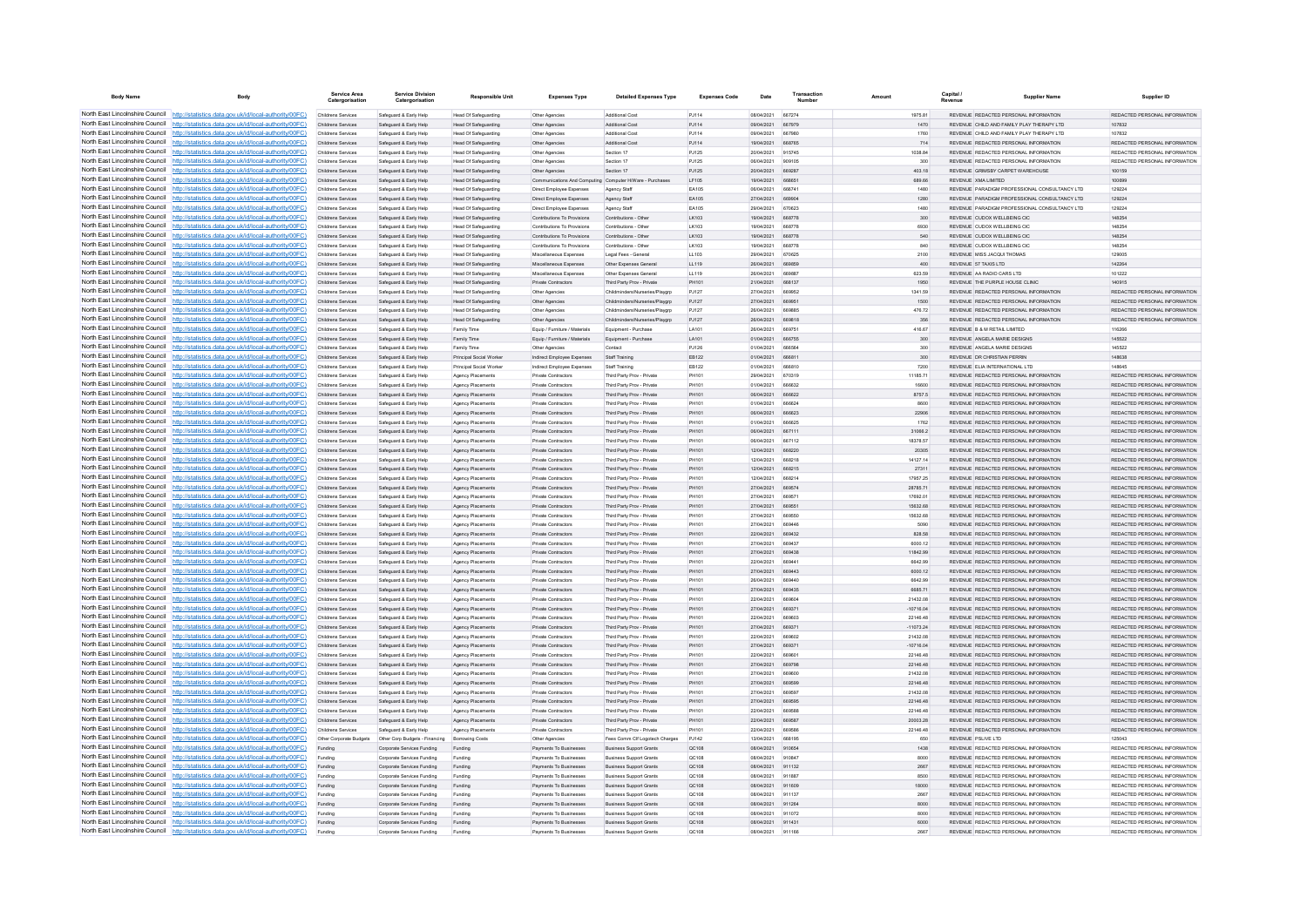| <b>Body Name</b>                | Body                                                                                                                                                                               | Service Area<br>Catergorisat             | <b>Service Division</b><br>Catergorisation               | <b>Responsible Unit</b>                             | <b>Expenses Type</b>                             | <b>Detailed Expenses Type</b>                                    | <b>Expenses Code</b>  | Date                      | Transaction             |                         | Capital / | <b>Supplier Name</b>                                                           | Supplier ID                                                    |
|---------------------------------|------------------------------------------------------------------------------------------------------------------------------------------------------------------------------------|------------------------------------------|----------------------------------------------------------|-----------------------------------------------------|--------------------------------------------------|------------------------------------------------------------------|-----------------------|---------------------------|-------------------------|-------------------------|-----------|--------------------------------------------------------------------------------|----------------------------------------------------------------|
|                                 | North East Lincolnshire Council http://statistics.data.gov.uk/id/local-authority/00FC)                                                                                             | Childrens Services                       | Safeguard & Early Help                                   | Head Of Safeguarding                                | Other Agencies                                   | Additional Cost                                                  | P.1114                | 08/04/2021 667274         |                         | 1975 81                 |           | REVENUE REDACTED PERSONAL INFORMATION                                          | REDACTED PERSONAL INFORMATION                                  |
|                                 | North East Lincolnshire Council http://statistics.data.gov.uk/id/local-authority/00FC)                                                                                             | Childrens Services                       | Safeguard & Early Help                                   | <b>Head Of Safeguarding</b>                         | Other Agencies                                   | Additional Cost                                                  | PJ114                 | 09/04/2021                | 667979                  | 1470                    |           | REVENUE CHILD AND FAMILY PLAY THERAPY LTD                                      | 107832                                                         |
|                                 | North East Lincolnshire Council http://statistics.data.gov.uk/id/local-authority/00FC)                                                                                             | Childrens Services                       | Safeguard & Early Help                                   | Head Of Safeguarding                                | Other Agencies                                   | Additional Cost                                                  | PJ114                 | 09/04/2021                | 667980                  | 1760                    |           | REVENUE CHILD AND FAMILY PLAY THERAPY LTD                                      | 107832                                                         |
|                                 | North East Lincolnshire Council http://statistics.data.gov.uk/id/local-authority/00FC)                                                                                             | Childrens Services                       | Safeguard & Early Help                                   | <b>Head Of Safeguarding</b>                         | Other Agencie                                    | Additional Cost                                                  | PJ114                 | 19/04/2021                | <b>BRR765</b>           | 714                     |           | REVENUE REDACTED PERSONAL INFORMATION                                          | REDACTED PERSONAL INFORMATION                                  |
|                                 | North East Lincolnshire Council http://statistics.data.gov.uk/id/local-authority/00FC)<br>North East Lincolnshire Council   http://statistics.data.gov.uk/id/local-authority/00FC) | Childrens Services<br>Childrens Services | Safeguard & Early Help<br>Safeguard & Early Help         | Head Of Safeguarding<br>Head Of Safeguarding        | Other Agencies<br>Other Agencies                 | Section 17<br>Section 17                                         | P.1125<br>P.1125      | 20/04/2021<br>106/04/2021 | 915745<br>909105        | 1038.84<br>300          |           | REVENUE REDACTED PERSONAL INFORMATION<br>REVENUE REDACTED PERSONAL INFORMATION | REDACTED PERSONAL INFORMATION<br>REDACTED PERSONAL INFORMATION |
|                                 | North East Lincolnshire Council http://statistics.data.gov.uk/id/local-authority/00FC)                                                                                             | Childrens Services                       | Safeguard & Early Help                                   | Head Of Safeguarding                                | Other Agencies                                   | Section 17                                                       | PJ125                 | 20/04/2021                | 669287                  | 403.18                  |           | REVENUE GRIMSBY CARPET WAREHOUSE                                               | 100159                                                         |
|                                 | North East Lincolnshire Council http://statistics.data.gov.uk/id/local-authority/00FC)                                                                                             | Childrens Services                       | Safeguard & Early Help                                   | Head Of Safeguarding                                |                                                  | Communications And Computing Computer H/Ware - Purchases         | LF105                 | 19/04/2021                | 668651                  | 689.66                  |           | REVENUE XMA LIMITED                                                            | 100699                                                         |
| North East Lincolnshire Council | http://statistics.data.gov.uk/id/local-authority/00FC)                                                                                                                             | Childrens Services                       | Safeguard & Early Help                                   | <b>Head Of Safeguarding</b>                         | Direct Employee Expenses                         | Agency Staff                                                     | EA105                 | 06/04/2021                | 666741                  | 1480                    |           | REVENUE PARADIGM PROFESSIONAL CONSULTANCY LTD                                  | 129224                                                         |
| North East Lincolnshire Council | http://statistics.data.gov.uk/id/local-authority/00FC)                                                                                                                             | Childrens Services                       | Safeguard & Early Help                                   | Head Of Safeguarding                                | Direct Employee Expenses                         | Agency Staff                                                     | EA105                 | 27/04/2021                | 669904                  | 1280                    |           | REVENUE PARADIGM PROFESSIONAL CONSULTANCY LTD                                  | 129224                                                         |
| North East Lincolnshire Council | http://statistics.data.gov.uk/id/local-authority/00FC)                                                                                                                             | Childrens Services                       | Safeguard & Early Help                                   | Head Of Safeguarding                                | Direct Employee Expenses                         | Agency Staff                                                     | EA105                 | 29/04/2021                | 670623                  | 1480                    |           | REVENUE PARADIGM PROFESSIONAL CONSULTANCY LTD                                  | 129224                                                         |
|                                 | North East Lincolnshire Council   http://statistics.data.gov.uk/id/local-authority/00FC)                                                                                           | <b>Childrens Services</b>                | Safeguard & Early Help                                   | Head Of Safeguarding                                | Contributions To Provisions                      | Contributions - Other                                            | LK103                 | 19/04/2021                | 668778                  | 300                     |           | REVENUE CUDOX WELLBEING CIC.                                                   | 148254                                                         |
|                                 | North East Lincolnshire Council http://statistics.data.gov.uk/id/local-authority/00FC)                                                                                             | <b>Childrens Services</b>                | Safeguard & Early Help                                   | Head Of Safeguarding                                | Contributions To Provisions                      | Contributions - Other                                            | <b>IK103</b>          | 19/04/2021                | 668778                  | 6930                    |           | REVENUE CUDOX WELLBEING CIC                                                    | 148254                                                         |
|                                 | North East Lincolnshire Council http://statistics.data.gov.uk/id/local-authority/00FC)                                                                                             | Childrens Services                       | Safeguard & Early Help                                   | Head Of Safeguarding                                | Contributions To Provisions                      | Contributions - Other                                            | LK103                 | 19/04/2021                | 668778                  | 540                     |           | REVENUE CUDOX WELLBEING CIC                                                    | 148254                                                         |
|                                 | North East Lincolnshire Council http://statistics.data.gov.uk/id/local-authority/00FC)<br>North East Lincolnshire Council http://statistics.data.gov.uk/id/local-authority/00FC)   | Childrens Services                       | Safeguard & Early Help                                   | <b>Head Of Safeguarding</b>                         | Contributions To Provisions                      | Contributions - Other                                            | LK103                 | 19/04/2021                | 668778<br><b>870825</b> | 840                     |           | REVENUE CUDOX WELLBEING CIC<br>REVENUE MISS JACQUI THOMAS                      | 148254                                                         |
| North East Lincolnshire Council | http://statistics.data.gov.uk/id/local-authority/00FC)                                                                                                                             | Childrens Services<br>Childrens Services | Safeguard & Early Help<br>Safeguard & Early Help         | <b>Head Of Safeguarding</b><br>Head Of Safeguarding | Miscellaneous Expenses<br>Miscellaneous Expenses | Legal Fees - General<br>Other Expenses General                   | 11.103<br>LL119       | 29/04/2021<br>26/04/2021  | 669859                  | 2100<br>400             |           | REVENUE 57 TAXIS LTD                                                           | 129005<br>142264                                               |
|                                 | North East Lincolnshire Council http://statistics.data.gov.uk/id/local-authority/00FC)                                                                                             | Childrens Services                       | Safeguard & Early Help                                   | <b>Head Of Safeguarding</b>                         | Miscellaneous Expenses                           | Other Expenses General                                           | LL119                 | 26/04/2021                | 669887                  | 623.59                  |           | REVENUE AA RADIO CARS LTD                                                      | 101222                                                         |
|                                 | North East Lincolnshire Council http://statistics.data.gov.uk/id/local-authority/00FC)                                                                                             | Childrens Services                       | Safeguard & Early Help                                   | Head Of Safeguarding                                | Private Contractors                              | Third Party Prov - Private                                       | PH101                 | 21/04/2021                | 668137                  | 1950                    |           | REVENUE THE PURPLE HOUSE CUNIC                                                 | 140915                                                         |
|                                 | North East Lincolnshire Council http://statistics.data.gov.uk/id/local-authority/00FC)                                                                                             | Childrens Services                       | Safeguard & Early Help                                   | Head Of Safeguarding                                | Other Agencies                                   | Childminders/Nurseries/Playarp                                   | PJ127                 | 27/04/2021                | 669952                  | 1341.59                 |           | REVENUE REDACTED PERSONAL INFORMATION                                          | REDACTED PERSONAL INFORMATION                                  |
|                                 | North East Lincolnshire Council http://statistics.data.gov.uk/id/local-authority/00FC)                                                                                             | Childrens Services                       | Safeguard & Early Help                                   | Head Of Safeguarding                                | Other Agencies                                   | Childminders/Nurseries/Playgrp                                   | PJ127                 | 27/04/2021                | 669951                  | 1500                    |           | REVENUE REDACTED PERSONAL INFORMATION                                          | REDACTED PERSONAL INFORMATION                                  |
|                                 | North East Lincolnshire Council http://statistics.data.gov.uk/id/local-authority/00FC)                                                                                             | Childrens Services                       | Safeguard & Early Help                                   | Head Of Safeguarding                                | Other Agencies                                   | Childminders/Nurseries/Playgrp                                   | PJ127                 | 26/04/2021                | <b>BRARRS</b>           | 476.72                  |           | REVENUE REDACTED PERSONAL INFORMATION                                          | REDACTED PERSONAL INFORMATION                                  |
|                                 | North East Lincolnshire Council http://statistics.data.gov.uk/id/local-authority/00FC)                                                                                             | <b>Childrens Services</b>                | Safeguard & Early Help                                   | Head Of Safeguarding                                | Other Agencies                                   | Childminders/Nurseries/Playgrp                                   | P.1127                | 26/04/2021                | 669818                  | 356                     |           | REVENUE REDACTED PERSONAL INFORMATION                                          | REDACTED PERSONAL INFORMATION                                  |
| North East Lincolnshire Council | http://statistics.data.gov.uk/id/local-authority/00FC)                                                                                                                             | Childrens Services                       | Safeguard & Early Help                                   | Family Time                                         | Equip / Furniture / Materials                    | Equipment - Purchase                                             | LA101                 | 26/04/2021                | 669751                  | 416.67                  |           | REVENUE B & M RETAIL LIMITED                                                   | 116266                                                         |
| North East Lincolnshire Council | http://statistics.data.gov.uk/id/local-authority/00FC)                                                                                                                             | Childrens Services                       | Safeguard & Early Help                                   | Family Time                                         | Equip / Furniture / Materials                    | Equipment - Purchase                                             | LA101                 | 01/04/2021                | 666755                  | 300                     |           | REVENUE ANGELA MARIE DESIGNS                                                   | 145522                                                         |
|                                 | North East Lincolnshire Council http://statistics.data.gov.uk/id/local-authority/00FC)                                                                                             | Childrens Services                       | Safeguard & Early Help                                   | Family Time                                         | Other Agencies                                   | Contact                                                          | PJ126                 | 11/04/2021                | <b>BRASSA</b>           | 300                     |           | <b>PEVENUE</b> ANCELA MARIE DESIGNS                                            | 145522                                                         |
|                                 | North East Lincolnshire Council http://statistics.data.gov.uk/id/local-authority/00FC)                                                                                             | Childrens Services                       | Safeguard & Early Help                                   | Principal Social Worker                             | Indirect Employee Expenses                       | Staff Training                                                   | EB122                 | 01/04/2021                | 666811                  | 300                     |           | REVENUE DR CHRISTIAN PERRIN                                                    | 148638                                                         |
|                                 | North East Lincolnshire Council http://statistics.data.gov.uk/id/local-authority/00FC)                                                                                             | Childrens Services                       | Safeguard & Early Help                                   | Principal Social Worker                             | Indirect Employee Expenses                       | Staff Training                                                   | EB122                 | 01/04/2021                | 666810                  | 7200                    |           | REVENUE ELIA INTERNATIONAL LTD                                                 | 148645                                                         |
|                                 | North East Lincolnshire Council http://statistics.data.gov.uk/id/local-authority/00FC)<br>North East Lincolnshire Council http://statistics.data.gov.uk/id/local-authority/00FC)   | Childrens Services<br>Childrens Services | Safeguard & Early Help<br>Safeguard & Early Help         | Agency Placements<br>Agency Placements              | Private Contractors<br>Private Contractors       | Third Party Prov - Private<br>Third Party Prov - Private         | PH101<br><b>PH101</b> | 29/04/2021<br>01/04/2021  | 670319<br>666632        | 11185.71<br>16600       |           | REVENUE REDACTED PERSONAL INFORMATION<br>REVENUE REDACTED PERSONAL INFORMATION | REDACTED PERSONAL INFORMATION<br>REDACTED PERSONAL INFORMATION |
| North East Lincolnshire Council | http://statistics.data.gov.uk/id/local-authority/00FC)                                                                                                                             | <b>Childrens Services</b>                | Safeguard & Early Help                                   | Agency Placements                                   | <b>Private Contractors</b>                       | Third Party Prov - Private                                       | PH101                 | 06/04/2021                | 666622                  | 8757.5                  |           | REVENUE REDACTED PERSONAL INFORMATION                                          | REDACTED PERSONAL INFORMATION                                  |
|                                 | North East Lincolnshire Council http://statistics.data.gov.uk/id/local-authority/00FC)                                                                                             | Childrens Services                       | Safeguard & Early Help                                   | Agency Placements                                   | Private Contractors                              | Third Party Prov - Private                                       | PH101                 | 01/04/2021                |                         | 8600                    |           | REVENUE REDACTED PERSONAL INFORMATION                                          | REDACTED PERSONAL INFORMATION                                  |
|                                 | North East Lincolnshire Council http://statistics.data.gov.uk/id/local-authority/00FC)                                                                                             | Childrens Services                       | Safeguard & Early Help                                   | Agency Placements                                   | Private Contractor                               | Third Party Prov - Private                                       | PH101                 | 06/04/2021                | 666623                  | 22906                   |           | REVENUE REDACTED PERSONAL INFORMATION                                          | REDACTED PERSONAL INFORMATION                                  |
|                                 | North East Lincolnshire Council http://statistics.data.gov.uk/id/local-authority/00FC)                                                                                             | Childrens Services                       | Safeguard & Early Help                                   | Agency Placements                                   | Private Contractors                              | Third Party Prov - Private                                       | <b>PH101</b>          | 11/04/2021                | <b>BRAR25</b>           | 1762                    |           | REVENUE REDACTED PERSONAL INFORMATION                                          | REDACTED PERSONAL INFORMATION                                  |
|                                 | North East Lincolnshire Council http://statistics.data.gov.uk/id/local-authority/00FC)                                                                                             | Childrens Services                       | Safeguard & Early Help                                   | Agency Placements                                   | Private Contractors                              | Third Party Prov - Private                                       | PH101                 | 06/04/2021                | 667111                  | 31066.2                 |           | REVENUE REDACTED PERSONAL INFORMATION                                          | REDACTED PERSONAL INFORMATION                                  |
|                                 | North East Lincolnshire Council http://statistics.data.gov.uk/id/local-authority/00FC)                                                                                             | Childrens Services                       | Safeguard & Early Help                                   | Agency Placements                                   | Private Contractors                              | Third Party Prov - Private                                       | PH101                 | 06/04/2021                | 667112                  | 18378.57                |           | REVENUE REDACTED PERSONAL INFORMATION                                          | REDACTED PERSONAL INFORMATION                                  |
|                                 | North East Lincolnshire Council http://statistics.data.gov.uk/id/local-authority/00FC)                                                                                             | Childrens Services                       | Safeguard & Early Help                                   | Agency Placements                                   | Private Contractors                              | Third Party Prov - Private                                       | PH101                 | 12/04/2021                | 668220                  | 20305                   |           | REVENUE REDACTED PERSONAL INFORMATION                                          | REDACTED PERSONAL INFORMATION                                  |
|                                 | North East Lincolnshire Council http://statistics.data.gov.uk/id/local-authority/00FC)                                                                                             | Childrens Services                       | Safeguard & Early Help                                   | Agency Placements                                   | Private Contractors                              | Third Party Prov - Private                                       | PH101                 | 12/04/2021                | 668218                  | 14127.14                |           | REVENUE REDACTED PERSONAL INFORMATION                                          | REDACTED PERSONAL INFORMATION                                  |
| North East Lincolnshire Council | http://statistics.data.gov.uk/id/local-authority/00FC)                                                                                                                             | Childrens Services                       | Safeguard & Early Help                                   | Agency Placements                                   | Private Contractors                              | Third Party Prov - Private                                       | PH101                 | 12/04/2021                | 668215                  | 27311                   |           | REVENUE REDACTED PERSONAL INFORMATION                                          | REDACTED PERSONAL INFORMATION                                  |
|                                 | North East Lincolnshire Council http://statistics.data.gov.uk/id/local-authority/00FC)                                                                                             | Childrens Services                       | Safeguard & Early Help                                   | Agency Placements                                   | Private Contractors                              | Third Party Prov - Private                                       | <b>PH10</b>           | 12/04/2021                | 668214                  | 17957.25                |           | REVENUE REDACTED PERSONAL INFORMATION                                          | REDACTED PERSONAL INFORMATION                                  |
|                                 | North East Lincolnshire Council http://statistics.data.gov.uk/id/local-authority/00FC)                                                                                             | Childrens Services                       | Safeguard & Early Help                                   | Agency Placements                                   | Private Contractor                               | Third Party Prov - Private                                       | PH101                 | 27/04/2021                | 669574                  | 28785.71                |           | REVENUE REDACTED PERSONAL INFORMATION                                          | REDACTED PERSONAL INFORMATION                                  |
|                                 | North East Lincolnshire Council http://statistics.data.gov.uk/id/local-authority/00FC)                                                                                             | Childrens Services                       | Safeguard & Farly Help                                   | Agency Placements                                   | Private Contractors                              | Third Party Proy - Private                                       | PH101                 | 27/04/2021                | 669571                  | 17692.01                |           | REVENUE REDACTED PERSONAL INFORMATION                                          | REDACTED PERSONAL INFORMATION                                  |
|                                 | North East Lincolnshire Council http://statistics.data.gov.uk/id/local-authority/00FC)<br>North East Lincolnshire Council http://statistics.data.gov.uk/id/local-authority/00FC)   | <b>Childrens Services</b>                | Safeguard & Early Help                                   | Agency Placements                                   | Private Contractors                              | Third Party Proy - Private                                       | PH101                 | 27/04/2021                | 669551                  | 15632.68                |           | REVENUE REDACTED PERSONAL INFORMATION                                          | REDACTED PERSONAL INFORMATION                                  |
|                                 | North East Lincolnshire Council http://statistics.data.gov.uk/id/local-authority/00FC)                                                                                             | Childrens Services<br>Childrens Services | Safeguard & Early Help                                   | Agency Placements                                   | Private Contractors<br>Private Contractors       | Third Party Prov - Private<br>Third Party Prov - Private         | PH101<br><b>PH101</b> | 27/04/2021<br>27/04/2021  | 669550<br><b>RRG44R</b> | 15632.68<br>5090        |           | REVENUE REDACTED PERSONAL INFORMATION<br>REVENUE REDACTED PERSONAL INFORMATION | REDACTED PERSONAL INFORMATION<br>REDACTED PERSONAL INFORMATION |
| North East Lincolnshire Council | http://statistics.data.gov.uk/id/local-authority/00FC)                                                                                                                             | Childrens Services                       | Safeguard & Early Help<br>Safeguard & Early Help         | Agency Placements<br>Agency Placements              | Private Contractors                              | Third Party Prov - Private                                       | PH101                 | 22/04/2021                | 669432                  | 828.58                  |           | REVENUE REDACTED PERSONAL INFORMATION                                          | REDACTED PERSONAL INFORMATION                                  |
|                                 | North East Lincolnshire Council http://statistics.data.gov.uk/id/local-authority/00FC)                                                                                             | Childrens Services                       | Safeguard & Early Help                                   | Agency Placements                                   | Private Contractors                              | Third Party Prov - Private                                       | PH101                 | 27/04/2021                | 669437                  | 6000.12                 |           | REVENUE REDACTED PERSONAL INFORMATION                                          | REDACTED PERSONAL INFORMATION                                  |
|                                 | North East Lincolnshire Council http://statistics.data.gov.uk/id/local-authority/00FC)                                                                                             | Childrens Services                       | Safeguard & Early Help                                   | Agency Placements                                   | Private Contractors                              | Third Party Prov - Private                                       | PH101                 | 27/04/2021                | 669438                  | 11842.99                |           | REVENUE REDACTED PERSONAL INFORMATION                                          | REDACTED PERSONAL INFORMATION                                  |
|                                 | North East Lincolnshire Council http://statistics.data.gov.uk/id/local-authority/00FC)                                                                                             | Childrens Services                       | Safeguard & Early Help                                   | Agency Placements                                   | Private Contractors                              | Third Party Prov - Private                                       | PH101                 | 22/04/2021                | 669441                  | 6642.99                 |           | REVENUE REDACTED PERSONAL INFORMATION                                          | REDACTED PERSONAL INFORMATION                                  |
|                                 | North East Lincolnshire Council http://statistics.data.gov.uk/id/local-authority/00FC)                                                                                             | <b>Childrens Services</b>                | Safeguard & Early Help                                   | Agency Placements                                   | <b>Private Contractors</b>                       | Third Party Proy - Private                                       | PH101                 | 27/04/2021                | 669443                  | 6000.12                 |           | REVENUE REDACTED PERSONAL INFORMATION                                          | REDACTED PERSONAL INFORMATION                                  |
|                                 | North East Lincolnshire Council http://statistics.data.gov.uk/id/local-authority/00FC)                                                                                             | Childrens Services                       | Safeguard & Early Help                                   | Agency Placements                                   | Private Contractors                              | Third Party Proy - Private                                       | PH101                 | 26/04/2021                | 669440                  | 6642.99                 |           | REVENUE REDACTED PERSONAL INFORMATION                                          | REDACTED PERSONAL INFORMATION                                  |
|                                 | North East Lincolnshire Council http://statistics.data.gov.uk/id/local-authority/00FC)                                                                                             | Childrens Services                       | Safeguard & Early Help                                   | Agency Placements                                   | Private Contractors                              | Third Party Prov - Private                                       | PH101                 | 27/04/2021                | 669435                  | 6685.71                 |           | REVENUE REDACTED PERSONAL INFORMATION                                          | REDACTED PERSONAL INFORMATION                                  |
| North East Lincolnshire Council | http://statistics.data.gov.uk/id/local-authority/00EC)                                                                                                                             | Childrens Services                       | Safeguard & Early Help                                   | Agency Placements                                   | Private Contractors                              | Third Party Proy - Private                                       | PH101                 | 22/04/2021                | 669604                  | 21432.08                |           | REVENUE REDACTED PERSONAL INFORMATION                                          | REDACTED PERSONAL INFORMATION.                                 |
| North East Lincolnshire Council | http://statistics.data.gov.uk/id/local-authority/00FC)                                                                                                                             | Childrens Services                       | Safeguard & Early Help                                   | Agency Placements                                   | Private Contractors                              | Third Party Prov - Private                                       | PH101                 | 27/04/2021                | 669371                  | $-10716.04$             |           | REVENUE REDACTED PERSONAL INFORMATION                                          | REDACTED PERSONAL INFORMATION                                  |
|                                 | North East Lincolnshire Council   http://statistics.data.gov.uk/id/local-authority/00FC)<br>North East Lincolnshire Council http://statistics.data.gov.uk/id/local-authority/00FC) | Childrens Services                       | Safeguard & Early Help                                   | Agency Placements                                   | Private Contractor                               | Third Party Prov - Private                                       | <b>PH10</b><br>PH101  | 22/04/2021<br>27/04/2021  | 669603<br>669371        | 22146.48<br>$-11073.24$ |           | REVENUE REDACTED PERSONAL INFORMATION<br>REVENUE REDACTED PERSONAL INFORMATION | REDACTED PERSONAL INFORMATION<br>REDACTED PERSONAL INFORMATION |
|                                 | North East Lincolnshire Council   http://statistics.data.gov.uk/id/local-authority/00FC)                                                                                           | Childrens Services<br>Childrens Services | Safeguard & Early Help<br>Safeguard & Early Help         | Agency Placements<br>Agency Placements              | Private Contractors<br>Private Contractors       | Third Party Prov - Private<br>Third Party Prov - Private         | PH101                 | 22/04/2021                | 669602                  | 21432.08                |           | REVENUE REDACTED PERSONAL INFORMATION                                          | REDACTED PERSONAL INFORMATION                                  |
|                                 | North East Lincolnshire Council http://statistics.data.gov.uk/id/local-authority/00FC)                                                                                             | Childrens Services                       | Safeguard & Early Help                                   | Agency Placements                                   | Private Contractors                              | Third Party Prov - Private                                       | PH101                 | 27/04/2021                | 669371                  | $-10716.04$             |           | REVENUE REDACTED PERSONAL INFORMATION                                          | REDACTED PERSONAL INFORMATION                                  |
|                                 | North East Lincolnshire Council http://statistics.data.gov.uk/id/local-authority/00FC)                                                                                             | Childrens Services                       | Safeguard & Early Help                                   | Agency Placements                                   | Private Contractor                               | Third Party Prov - Private                                       | PH101                 | 22/04/2021                | 669601                  | 22146.48                |           | REVENUE REDACTED PERSONAL INFORMATION                                          | REDACTED PERSONAL INFORMATION                                  |
| North East Lincolnshire Council | http://statistics.data.gov.uk/id/local-authority/00EC)                                                                                                                             | Childrens Services                       | Safeguard & Early Help                                   | Agency Placements                                   | Private Contractors                              | Third Party Prov - Private                                       | PH101                 | 27/04/2021                | 669798                  | 22146.48                |           | REVENUE REDACTED PERSONAL INFORMATION                                          | REDACTED PERSONAL INFORMATION                                  |
| North East Lincolnshire Council | //statistics.data.gov.uk/id/local-authority/00EC)                                                                                                                                  | <b>Childrens Services</b>                | Safeguard & Early Help                                   | Agency Placements                                   | <b>Private Contractors</b>                       | Third Party Proy - Private                                       | PH101                 | 27/04/2021                | 669600                  | 21432.08                |           | REVENUE REDACTED PERSONAL INFORMATION                                          | REDACTED PERSONAL INFORMATION                                  |
|                                 | North East Lincolnshire Council http://statistics.data.gov.uk/id/local-authority/00FC)                                                                                             | Childrens Services                       | Safeguard & Early Help                                   | Agency Placements                                   | Private Contractors                              | Third Party Prov - Private                                       | PH101                 | 27/04/2021                | 669599                  | 22146.48                |           | REVENUE REDACTED PERSONAL INFORMATION                                          | REDACTED PERSONAL INFORMATION                                  |
|                                 | North East Lincolnshire Council http://statistics.data.gov.uk/id/local-authority/00FC)                                                                                             | Childrens Services                       | Safeguard & Early Help                                   | Agency Placements                                   | Private Contractor                               | Third Party Prov - Private                                       | PH101                 | 27/04/2021                | <b>ARGSQ7</b>           | 21432.08                |           | REVENUE REDACTED PERSONAL INFORMATION                                          | REDACTED PERSONAL INFORMATION                                  |
|                                 | North East Lincolnshire Council http://statistics.data.gov.uk/id/local-authority/00FC)                                                                                             | Childrens Services                       | Safeguard & Early Help                                   | Agency Placements                                   | <b>Private Contractors</b>                       | Third Party Prov - Private                                       | PH101                 | 27/04/2021                | 669595                  | 22146.48                |           | REVENUE REDACTED PERSONAL INFORMATION                                          | REDACTED PERSONAL INFORMATION                                  |
|                                 | North East Lincolnshire Council http://statistics.data.gov.uk/id/local-authority/00FC)                                                                                             | Childrens Services                       | Safeguard & Early Help                                   | Agency Placements                                   | Private Contractors                              | Third Party Prov - Private                                       | PH101                 | 22/04/2021                | 669588                  | 22146.48                |           | REVENUE REDACTED PERSONAL INFORMATION                                          | REDACTED PERSONAL INFORMATION                                  |
|                                 | North East Lincolnshire Council http://statistics.data.gov.uk/id/local-authority/00FC)                                                                                             | Childrens Services                       | Safeguard & Early Help                                   | Agency Placements                                   | Private Contractors                              | Third Party Prov - Private                                       | PH101                 | 22/04/2021                | 669587                  | 20003.28                |           | REVENUE REDACTED PERSONAL INFORMATION                                          | REDACTED PERSONAL INFORMATION                                  |
|                                 | North East Lincolnshire Council http://statistics.data.gov.uk/id/local-authority/00FC)                                                                                             | Childrens Services                       | Safeguard & Early Help                                   | Agency Placements                                   | Private Contractors                              | Third Party Prov - Private                                       | PH101                 | 22/04/2021                | 669586                  | 22146.48                |           | REVENUE REDACTED PERSONAL INFORMATION                                          | REDACTED PERSONAL INFORMATION                                  |
| North East Lincolnshire Council | http://statistics.data.gov.uk/id/local-authority/00FC)                                                                                                                             | Other Corporate Budgets                  | Other Corp Budgets - Financing                           | Borrowing Costs                                     | Other Agencies                                   | Fees Comm Clf Logotech Charges                                   | PJ142                 | 13/04/2021                | 668195                  | 650                     |           | REVENUE PSLIVE LTD                                                             | 125043                                                         |
|                                 | North East Lincolnshire Council http://statistics.data.gov.uk/id/local-authority/00FC)<br>North East Lincolnshire Council http://statistics.data.gov.uk/id/local-authority/00FC)   | Funding                                  | Corporate Services Funding                               | Funding                                             | Payments To Businesses                           | <b>Business Support Grants</b>                                   | QC108                 | 08/04/2021                | 910654                  | 1438                    |           | REVENUE REDACTED PERSONAL INFORMATION                                          | REDACTED PERSONAL INFORMATION                                  |
|                                 | North East Lincolnshire Council http://statistics.data.gov.uk/id/local-authority/00FC)                                                                                             | Funding                                  | Corporate Services Funding<br>Corporate Services Funding |                                                     | Payments To Businesses<br>Payments To Businesses | <b>Business Support Grants</b><br><b>Business Sunnort Grants</b> | QC108<br>OC108        | 08/04/2021<br>08/04/2021  | 910847<br>911132        | 8000<br>2667            |           | REVENUE REDACTED PERSONAL INFORMATION<br>REVENUE REDACTED PERSONAL INFORMATION | REDACTED PERSONAL INFORMATION<br>REDACTED PERSONAL INFORMATION |
|                                 | North East Lincolnshire Council http://statistics.data.gov.uk/id/local-authority/00FC)                                                                                             | Funding<br>Funding                       | Corporate Services Funding                               | Funding<br>Funding                                  | Payments To Businesses                           | <b>Business Support Grants</b>                                   | OC108                 | 08/04/2021                | 911887                  | 8500                    |           | REVENUE REDACTED PERSONAL INFORMATION                                          | REDACTED PERSONAL INFORMATION                                  |
|                                 | North East Lincolnshire Council http://statistics.data.gov.uk/id/local-authority/00FC)                                                                                             | Funding                                  | Corporate Services Funding                               | Funding                                             | Payments To Businesses                           | <b>Business Support Grants</b>                                   | QC108                 | 08/04/2021 911609         |                         | 18000                   |           | REVENUE REDACTED PERSONAL INFORMATION                                          | REDACTED PERSONAL INFORMATION                                  |
|                                 | North East Lincolnshire Council http://statistics.data.gov.uk/id/local-authority/00FC)                                                                                             | Funding                                  | Corporate Services Funding                               | Funding                                             | Payments To Businesses                           | <b>Business Support Grants</b>                                   | OC108                 | 08/04/2021 911137         |                         | 2667                    |           | REVENUE REDACTED PERSONAL INFORMATION                                          | REDACTED PERSONAL INFORMATION                                  |
| North East Lincolnshire Council | http://statistics.data.gov.uk/id/local-authority/00FC)                                                                                                                             | Funding                                  | Corporate Services Funding                               | Funding                                             | Payments To Businesses                           | <b>Business Support Grants</b>                                   | QC108                 | 08/04/2021                | 911264                  | 8000                    |           | REVENUE REDACTED PERSONAL INFORMATION                                          | REDACTED PERSONAL INFORMATION                                  |
|                                 | North East Lincolnshire Council http://statistics.data.gov.uk/id/local-authority/00FC)                                                                                             | Funding                                  | Corporate Services Funding                               | Funding                                             | Payments To Businesses                           | <b>Business Support Grants</b>                                   | OC108                 | 08/04/2021                | 911072                  | 8000                    |           | REVENUE REDACTED PERSONAL INFORMATION                                          | REDACTED PERSONAL INFORMATION                                  |
|                                 | North East Lincolnshire Council http://statistics.data.gov.uk/id/local-authority/00FC)                                                                                             | Funding                                  | Corporate Services Funding                               | Funding                                             | Payments To Businesses                           | <b>Business Support Grants</b>                                   | QC108                 | 08/04/2021                | 911431                  | 6000                    |           | REVENUE REDACTED PERSONAL INFORMATION                                          | REDACTED PERSONAL INFORMATION                                  |
|                                 | North East Lincolnshire Council http://statistics.data.gov.uk/id/local-authority/00FC)                                                                                             | Funding                                  | Corporate Services Funding                               | Funding                                             | Payments To Businesses                           | <b>Business Sunnort Grants</b>                                   | OC108                 | 08/04/2021 911166         |                         | 2667                    |           | REVENUE REDACTED PERSONAL INFORMATION                                          | REDACTED PERSONAL INFORMATION                                  |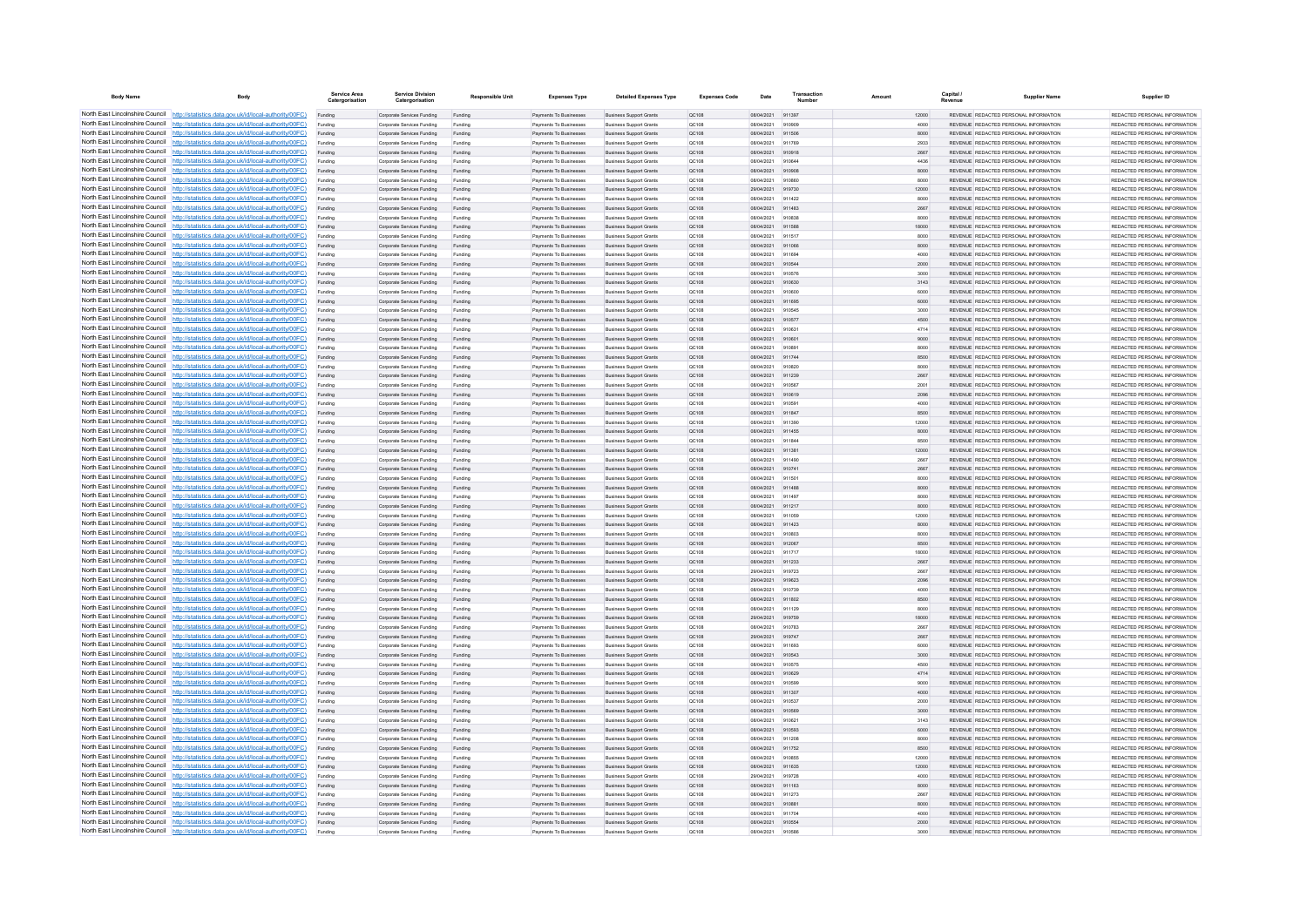| <b>Body Name</b>                | Body                                                                                                                                                                               | Service Area<br>Catergorisation | <b>Service Division</b><br>Catergorisation               | <b>Responsible Unit</b> | <b>Expenses Type</b>                                    | <b>Detailed Expenses Type</b>                                    | <b>Expenses Code</b>  | Date                     | Transactio       | Amount |               | Capital | <b>Supplier Name</b>                                                           | Supplier ID                                                     |
|---------------------------------|------------------------------------------------------------------------------------------------------------------------------------------------------------------------------------|---------------------------------|----------------------------------------------------------|-------------------------|---------------------------------------------------------|------------------------------------------------------------------|-----------------------|--------------------------|------------------|--------|---------------|---------|--------------------------------------------------------------------------------|-----------------------------------------------------------------|
|                                 | North East Lincolnshire Council http://statistics.data.gov.uk/id/local-authority/00FC)                                                                                             | Funding                         | Corporate Services Funding                               | Funding                 | Payments To Businesses                                  | <b>Business Support Grants</b>                                   | QC108                 | 08/04/2021 911397        |                  |        | 12000         |         | REVENUE REDACTED PERSONAL INFORMATION                                          | REDACTED PERSONAL INFORMATION                                   |
|                                 | North East Lincolnshire Council http://statistics.data.gov.uk/id/local-authority/00FC)                                                                                             | Funding                         | Corporate Services Funding                               | Funding                 | <b>Payments To Businesses</b>                           | <b>Business Support Grants</b>                                   | QC108                 | 08/04/2021               | 910909           |        | 4000          |         | REVENUE REDACTED PERSONAL INFORMATION                                          | REDACTED PERSONAL INFORMATION                                   |
|                                 | North East Lincolnshire Council http://statistics.data.gov.uk/id/local-authority/00FC)                                                                                             | Funding                         | Corporate Services Funding                               | Funding                 | Payments To Busi                                        | <b>Business Support Grants</b>                                   | QC108                 | 08/04/2021               | 911506           |        | 8000          |         | REVENUE REDACTED PERSONAL INFORMATION                                          | REDACTED PERSONAL INFORMATION                                   |
|                                 | North East Lincolnshire Council http://statistics.data.gov.uk/id/local-authority/00FC)                                                                                             | Funding                         | Comorate Services Funding                                | Funding                 | <b>Payments To Businesses</b>                           | <b>Business Sunnort Grants</b>                                   | OC108                 | 08/04/2021               | 911769           |        | 2933          |         | REVENUE REDACTED PERSONAL INFORMATION                                          | REDACTED PERSONAL INFORMATION                                   |
|                                 | North East Lincolnshire Council http://statistics.data.gov.uk/id/local-authority/00FC)                                                                                             | Funding                         | Corporate Services Funding                               | Funding                 | Payments To Businesses                                  | <b>Business Support Grants</b>                                   | <b>QC108</b>          | 08/04/2021               | 910918           |        | 2667          |         | REVENUE REDACTED PERSONAL INFORMATION                                          | REDACTED PERSONAL INFORMATION.                                  |
|                                 | North East Lincolnshire Council http://statistics.data.gov.uk/id/local-authority/00FC)                                                                                             | Funding                         | Corporate Services Funding                               | Funding                 | Payments To Businesses                                  | <b>Business Support Grants</b>                                   | OC108                 | 08/04/2021               | 910644           |        | 4436          |         | REVENUE REDACTED PERSONAL INFORMATION                                          | REDACTED PERSONAL INFORMATION                                   |
|                                 | North East Lincolnshire Council http://statistics.data.gov.uk/id/local-authority/00FC)<br>North East Lincolnshire Council http://statistics.data.gov.uk/id/local-authority/00FC)   | Funding                         | Corporate Services Funding                               | Funding                 | Payments To Businesses<br><b>Payments To Businesses</b> | <b>Business Support Grants</b>                                   | QC108                 | 08/04/2021<br>08/04/2021 | 910908<br>910860 |        | 8000<br>8000  |         | REVENUE REDACTED PERSONAL INFORMATION<br>REVENUE REDACTED PERSONAL INFORMATION | REDACTED PERSONAL INFORMATION<br>REDACTED PERSONAL INFORMATION. |
| North East Lincolnshire Council | http://statistics.data.gov.uk/id/local-authority/00FC)                                                                                                                             | Funding<br>Funding              | Corporate Services Funding<br>Corporate Services Funding | Funding<br>Funding      | Payments To Businesses                                  | <b>Business Support Grants</b><br><b>Business Support Grants</b> | OC108<br>OC:108       | 29/04/2021               | 919730           |        | 12000         |         | REVENUE REDACTED PERSONAL INFORMATION                                          | REDACTED PERSONAL INFORMATION                                   |
| North East Lincolnshire Council | http://statistics.data.gov.uk/id/local-authority/00FC)                                                                                                                             | Funding                         | Corporate Services Funding                               | Funding                 | Payments To Businessee                                  | <b>Business Support Grants</b>                                   | QC108                 | 08/04/2021               | 911422           |        | 8000          |         | REVENUE REDACTED PERSONAL INFORMATION                                          | REDACTED PERSONAL INFORMATION                                   |
|                                 | North East Lincolnshire Council http://statistics.data.gov.uk/id/local-authority/00FC)                                                                                             |                                 | Corporate Services Funding                               | Funding                 | Payments To Businesses                                  | <b>Business Support Grants</b>                                   | QC108                 | 08/04/2021               | 911483           |        | 2667          |         | <b>REVENHE REDACTED RERSONAL INFORMATION</b>                                   | <b>PEDACTED PERSONAL INFORMATION</b>                            |
|                                 | North East Lincolnshire Council http://statistics.data.gov.uk/id/local-authority/00FC)                                                                                             | Funding                         | Corporate Services Funding                               | Funding                 | Payments To Businesses                                  | <b>Business Support Grants</b>                                   | OC108                 | 08/04/2021               | 910838           |        | 8000          |         | REVENUE REDACTED PERSONAL INFORMATION                                          | REDACTED PERSONAL INFORMATION                                   |
|                                 | North East Lincolnshire Council http://statistics.data.gov.uk/id/local-authority/00FC)                                                                                             | Funding                         | Corporate Services Funding                               | Funding                 | Payments To Businesses                                  | <b>Business Support Grants</b>                                   | QC108                 | 08/04/2021               | 911588           |        | 18000         |         | REVENUE REDACTED PERSONAL INFORMATION                                          | REDACTED PERSONAL INFORMATION                                   |
|                                 | North East Lincolnshire Council http://statistics.data.gov.uk/id/local-authority/00FC)                                                                                             | Funding                         | Corporate Services Funding                               | Funding                 | Payments To Businessee                                  | <b>Business Support Grants</b>                                   | QC108                 | 08/04/2021               | 911517           |        | 8000          |         | REVENUE REDACTED PERSONAL INFORMATION                                          | REDACTED PERSONAL INFORMATION                                   |
|                                 | North East Lincolnshire Council http://statistics.data.gov.uk/id/local-authority/00FC)                                                                                             | Funding                         | Corporate Services Funding                               | Funding                 | Payments To Businesses                                  | <b>Business Support Grants</b>                                   | QC108                 | 08/04/2021               | 911066           |        | 8000          |         | REVENUE REDACTED PERSONAL INFORMATION                                          | REDACTED PERSONAL INFORMATION                                   |
| North East Lincolnshire Council | http://statistics.data.gov.uk/id/local-authority/00FC)                                                                                                                             | Funding                         | Corporate Services Funding                               | Funding                 | Payments To Businessee                                  | <b>Business Support Grants</b>                                   | QC108                 | 08/04/2021               | 911694           |        | 4000          |         | REVENUE REDACTED PERSONAL INFORMATION                                          | REDACTED PERSONAL INFORMATION                                   |
| North East Lincolnshire Council | http://statistics.data.gov.uk/id/local-authority/00FC)                                                                                                                             | Funding                         | Corporate Services Funding                               | Funding                 | Payments To Businessee                                  | <b>Business Support Grants</b>                                   | QC108                 | 08/04/2021               | 910544           |        | 2000          |         | REVENUE REDACTED PERSONAL INFORMATION                                          | REDACTED PERSONAL INFORMATION                                   |
| North East Lincolnshire Council | http://statistics.data.gov.uk/id/local-authority/00FC)                                                                                                                             | Funding                         | Corporate Services Funding                               | Funding                 | Payments To Businesse                                   | <b>Business Support Grants</b>                                   | QC108                 | 08/04/2021               | 910576           |        | 3000          |         | REVENUE, REDACTED PERSONAL INFORMATION                                         | REDACTED PERSONAL INFORMATION.                                  |
|                                 | North East Lincolnshire Council http://statistics.data.gov.uk/id/local-authority/00FC)                                                                                             | Funding                         | Comorate Services Funding                                | Funding                 | <b>Payments To Businesses</b>                           | <b>Business Sunnort Grants</b>                                   | OC108                 | 08/04/2021               | 910630           |        | 3143          |         | REVENUE REDACTED PERSONAL INFORMATION                                          | REDACTED PERSONAL INFORMATION.                                  |
|                                 | North East Lincolnshire Council   http://statistics.data.gov.uk/id/local-authority/00FC)                                                                                           | Funding                         | Corporate Services Funding                               | Funding                 | Payments To Businesses                                  | <b>Business Support Grants</b>                                   | OC108                 | 08/04/2021               | 910600           |        | 6000          |         | REVENUE REDACTED PERSONAL INFORMATION                                          | REDACTED PERSONAL INFORMATION                                   |
|                                 | North East Lincolnshire Council http://statistics.data.gov.uk/id/local-authority/00FC)                                                                                             | Funding                         | Corporate Services Funding                               | Funding                 | Payments To Businesses                                  | <b>Business Support Grants</b>                                   | QC108                 | 08/04/2021               | 911695           |        | 6000          |         | REVENUE REDACTED PERSONAL INFORMATION                                          | REDACTED PERSONAL INFORMATION                                   |
|                                 | North East Lincolnshire Council   http://statistics.data.gov.uk/id/local-authority/00FC)<br>North East Lincolnshire Council http://statistics.data.gov.uk/id/local-authority/00FC) | Funding                         | Corporate Services Funding                               | Funding                 | Payments To Businesses                                  | <b>Business Support Grants</b>                                   | QC108                 | 08/04/2021               | 910545           |        | 3000          |         | REVENUE REDACTED PERSONAL INFORMATION                                          | REDACTED PERSONAL INFORMATION                                   |
| North East Lincolnshire Council | http://statistics.data.gov.uk/id/local-authority/00FC)                                                                                                                             | Funding                         | Corporate Services Funding<br>Corporate Services Funding | Funding<br>Funding      | <b>Payments To Businesses</b><br>Payments To Businesses | <b>Business Support Grants</b><br><b>Business Support Grants</b> | QC108<br>QC108        | 08/04/2021<br>08/04/2021 | 910577<br>910631 |        | 4500<br>4714  |         | REVENUE REDACTED PERSONAL INFORMATION<br>REVENUE REDACTED PERSONAL INFORMATION | REDACTED PERSONAL INFORMATION<br>REDACTED PERSONAL INFORMATION  |
|                                 | North East Lincolnshire Council http://statistics.data.gov.uk/id/local-authority/00FC)                                                                                             | Funding<br>Funding              | Corporate Services Funding                               | Funding                 | Payments To Businesses                                  | <b>Business Support Grants</b>                                   | QC108                 | 08/04/2021               | 910601           |        | 9000          |         | REVENUE REDACTED PERSONAL INFORMATION                                          | REDACTED PERSONAL INFORMATION                                   |
|                                 | North East Lincolnshire Council http://statistics.data.gov.uk/id/local-authority/00FC)                                                                                             | Funding                         | Corporate Services Funding                               | Funding                 | Payments To Businesses                                  | <b>Business Support Grants</b>                                   | QC108                 | 08/04/2021               | 910891           |        | 8000          |         | REVENUE REDACTED PERSONAL INFORMATION                                          | REDACTED PERSONAL INFORMATION                                   |
|                                 | North East Lincolnshire Council http://statistics.data.gov.uk/id/local-authority/00FC)                                                                                             | Funding                         | Corporate Services Funding                               | Funding                 | Payments To Businesses                                  | <b>Business Support Grants</b>                                   | QC108                 | 08/04/2021               | 911744           |        | 8500          |         | REVENUE REDACTED PERSONAL INFORMATION                                          | REDACTED PERSONAL INFORMATION                                   |
|                                 | North East Lincolnshire Council http://statistics.data.gov.uk/id/local-authority/00FC)                                                                                             | Funding                         | Corporate Services Funding                               | Funding                 | Payments To Businesses                                  | <b>Business Support Grants</b>                                   | OC108                 | 08/04/2021               | 910820           |        | 8000          |         | REVENUE REDACTED PERSONAL INFORMATION                                          | REDACTED PERSONAL INFORMATION                                   |
|                                 | North East Lincolnshire Council http://statistics.data.gov.uk/id/local-authority/00FC)                                                                                             | Funding                         | Corporate Services Funding                               | Funding                 | Payments To Businessee                                  | <b>Business Support Grants</b>                                   | QC108                 | 08/04/2021               | 911239           |        | 2667          |         | REVENUE REDACTED PERSONAL INFORMATION                                          | REDACTED PERSONAL INFORMATION                                   |
|                                 | North East Lincolnshire Council http://statistics.data.gov.uk/id/local-authority/00FC)                                                                                             | Funding                         | Corporate Services Funding                               | Funding                 | Payments To Businessee                                  | <b>Business Support Grants</b>                                   | OC108                 | 08/04/2021               | 910567           |        | 2001          |         | REVENUE REDACTED PERSONAL INFORMATION                                          | REDACTED PERSONAL INFORMATION.                                  |
| North East Lincolnshire Council | http://statistics.data.gov.uk/id/local-authority/00FC)                                                                                                                             | Funding                         | Corporate Services Funding                               | Funding                 | Payments To Businesses                                  | <b>Business Support Grants</b>                                   | QC108                 | 08/04/2021               | 910619           |        | 2096          |         | REVENUE REDACTED PERSONAL INFORMATION                                          | REDACTED PERSONAL INFORMATION                                   |
| North East Lincolnshire Council | http://statistics.data.gov.uk/id/local-authority/00FC)                                                                                                                             | Funding                         | Corporate Services Funding                               | Funding                 | Payments To Businesse                                   | <b>Business Support Grants</b>                                   | QC108                 | 08/04/2021               | 91059            |        | 4000          |         | REVENUE REDACTED PERSONAL INFORMATION                                          | REDACTED PERSONAL INFORMATION                                   |
|                                 | North East Lincolnshire Council http://statistics.data.gov.uk/id/local-authority/00FC)                                                                                             | Funding                         | Corporate Services Funding                               | Funding                 | Payments To Businesses                                  | <b>Business Support Grants</b>                                   | QC108                 | 08/04/2021               | 911847           |        | 8500          |         | REVENUE REDACTED PERSONAL INFORMATION                                          | REDACTED PERSONAL INFORMATION.                                  |
|                                 | North East Lincolnshire Council http://statistics.data.gov.uk/id/local-authority/00FC)                                                                                             | Funding                         | Corporate Services Funding                               | Funding                 | Payments To Businessee                                  | <b>Business Support Grants</b>                                   | QC108                 | 08/04/2021               | 911390           |        | 12000         |         | REVENUE REDACTED PERSONAL INFORMATION                                          | REDACTED PERSONAL INFORMATION                                   |
|                                 | North East Lincolnshire Council http://statistics.data.gov.uk/id/local-authority/00FC)                                                                                             | Funding                         | Corporate Services Funding                               | Funding                 | Payments To Businesses                                  | <b>Business Support Grants</b>                                   | QC108                 | 08/04/2021               | 911455           |        | 8000          |         | REVENUE REDACTED PERSONAL INFORMATION                                          | REDACTED PERSONAL INFORMATION                                   |
|                                 | North East Lincolnshire Council http://statistics.data.gov.uk/id/local-authority/00FC)                                                                                             | Funding                         | Corporate Services Funding                               | Funding                 | Payments To Businesses                                  | <b>Business Support Grants</b>                                   | OC108                 | 08/04/2021               | 911844           |        | 8500          |         | REVENUE REDACTED PERSONAL INFORMATION                                          | REDACTED PERSONAL INFORMATION                                   |
|                                 | North East Lincolnshire Council http://statistics.data.gov.uk/id/local-authority/00FC)                                                                                             | Funding                         | Corporate Services Funding                               | Funding                 | Payments To Businesses                                  | <b>Business Support Grants</b>                                   | QC108                 | 08/04/2021               | 911381           |        | 12000         |         | REVENUE REDACTED PERSONAL INFORMATION                                          | REDACTED PERSONAL INFORMATION                                   |
| North East Lincolnshire Council | North East Lincolnshire Council http://statistics.data.gov.uk/id/local-authority/00FC)                                                                                             | Funding                         | Corporate Services Funding                               | Funding                 | Payments To Businesses                                  | <b>Business Support Grants</b>                                   | QC108                 | 08/04/2021               | 911490           |        | 2667          |         | REVENUE REDACTED PERSONAL INFORMATION                                          | REDACTED PERSONAL INFORMATION                                   |
|                                 | http://statistics.data.gov.uk/id/local-authority/00FC)<br>North East Lincolnshire Council http://statistics.data.gov.uk/id/local-authority/00FC)                                   | Funding                         | Corporate Services Funding                               | Funding                 | Payments To Businesses                                  | <b>Business Support Grants</b>                                   | QC108                 | 08/04/2021               | 910741           |        | 2667          |         | REVENUE REDACTED PERSONAL INFORMATION<br>REVENUE REDACTED PERSONAL INFORMATION | REDACTED PERSONAL INFORMATION<br>REDACTED PERSONAL INFORMATION  |
|                                 | North East Lincolnshire Council http://statistics.data.gov.uk/id/local-authority/00FC)                                                                                             | Funding                         | Corporate Services Funding                               | Funding                 | Payments To Businesses                                  | <b>Business Support Grants</b>                                   | QC108                 | 08/04/2021<br>08/04/2021 | 911501<br>911488 |        | 8000          |         | REVENUE REDACTED PERSONAL INFORMATION                                          | REDACTED PERSONAL INFORMATION                                   |
|                                 | North East Lincolnshire Council http://statistics.data.gov.uk/id/local-authority/00FC)                                                                                             | Funding                         | Corporate Services Funding<br>Comorate Services Funding  | Funding<br>Funding      | Payments To Businesses<br><b>Payments To Businesses</b> | <b>Business Support Grants</b><br><b>Business Sunnort Grants</b> | QC108<br>OCD108       | 08/04/2021               | 911497           |        | 8000<br>8000  |         | REVENUE REDACTED PERSONAL INFORMATION                                          | REDACTED PERSONAL INFORMATION.                                  |
|                                 | North East Lincolnshire Council http://statistics.data.gov.uk/id/local-authority/00FC)                                                                                             | Funding                         | Corporate Services Funding                               | Funding                 | Payments To Businesses                                  | <b>Business Support Grants</b>                                   | <b>QC108</b>          | 08/04/2021               | 911217           |        | 8000          |         | REVENUE REDACTED PERSONAL INFORMATION                                          | REDACTED PERSONAL INFORMATION                                   |
|                                 | North East Lincolnshire Council http://statistics.data.gov.uk/id/local-authority/00FC)                                                                                             | Funding                         | Corporate Services Funding                               | Funding                 | Payments To Businessee                                  | <b>Business Support Grants</b>                                   | QC108                 | 08/04/2021               | 911059           |        | 12000         |         | REVENUE REDACTED PERSONAL INFORMATION                                          | REDACTED PERSONAL INFORMATION                                   |
|                                 | North East Lincolnshire Council http://statistics.data.gov.uk/id/local-authority/00FC)                                                                                             | Funding                         | Corporate Services Funding                               | Funding                 | Payments To Businesses                                  | <b>Business Support Grants</b>                                   | QC108                 | 08/04/2021               | 911423           |        | 8000          |         | REVENUE REDACTED PERSONAL INFORMATION                                          | REDACTED PERSONAL INFORMATION                                   |
| North East Lincolnshire Council | http://statistics.data.gov.uk/id/local-authority/00EC)                                                                                                                             | Funding                         | Comorate Services Funding                                | Funding                 | Payments To Businessee                                  | <b>Business Sunnort Grants</b>                                   | OC108                 | 08/04/2021               | 910803           |        | 8000          |         | REVENUE REDACTED PERSONAL INFORMATION                                          | REDACTED PERSONAL INFORMATION.                                  |
|                                 | North East Lincolnshire Council http://statistics.data.gov.uk/id/local-authority/00FC)                                                                                             | Funding                         | Corporate Services Funding                               | Funding                 | Payments To Businessee                                  | <b>Business Support Grants</b>                                   | QC108                 | 08/04/2021               | 912067           |        | 8500          |         | REVENUE REDACTED PERSONAL INFORMATION                                          | REDACTED PERSONAL INFORMATION                                   |
|                                 | North East Lincolnshire Council http://statistics.data.gov.uk/id/local-authority/00FC)                                                                                             | Funding                         | Corporate Services Funding                               | Funding                 | Payments To Businesse                                   | <b>Business Support Grants</b>                                   | QC108                 | 08/04/2021               | 911717           |        | 18000         |         | REVENUE REDACTED PERSONAL INFORMATION                                          | REDACTED PERSONAL INFORMATION                                   |
|                                 | North East Lincolnshire Council http://statistics.data.gov.uk/id/local-authority/00FC)                                                                                             | Funding                         | Corporate Services Funding                               | Funding                 | Payments To Businesses                                  | <b>Business Support Grants</b>                                   | QC108                 | 08/04/2021               | 911233           |        | 2667          |         | REVENUE REDACTED PERSONAL INFORMATION                                          | REDACTED PERSONAL INFORMATION                                   |
|                                 | North East Lincolnshire Council http://statistics.data.gov.uk/id/local-authority/00FC)                                                                                             | Funding                         | Corporate Services Funding                               | Funding                 | Payments To Businesses                                  | <b>Business Support Grants</b>                                   | OC108                 | 29/04/2021               | 919723           |        | 2667          |         | REVENUE REDACTED PERSONAL INFORMATION                                          | REDACTED PERSONAL INFORMATION                                   |
|                                 | North East Lincolnshire Council http://statistics.data.gov.uk/id/local-authority/00FC)                                                                                             | Funding                         | Corporate Services Funding                               | Funding                 | Payments To Businesses                                  | <b>Business Support Grants</b>                                   | QC108                 | 29/04/2021               | 919623           |        | 2096          |         | REVENUE REDACTED PERSONAL INFORMATION                                          | REDACTED PERSONAL INFORMATION                                   |
|                                 | North East Lincolnshire Council http://statistics.data.gov.uk/id/local-authority/00FC)<br>North East Lincolnshire Council http://statistics.data.gov.uk/id/local-authority/00FC)   | Funding                         | Corporate Services Funding                               | Funding                 | Payments To Businesses                                  | <b>Business Support Grants</b>                                   | QC108                 | 08/04/2021               | 910739           |        | 4000          |         | REVENUE REDACTED PERSONAL INFORMATION                                          | REDACTED PERSONAL INFORMATION                                   |
| North East Lincolnshire Council | http://statistics.data.gov.uk/id/local-authority/00EC)                                                                                                                             | Funding                         | Corporate Services Funding                               | Funding                 | Payments To Businesses                                  | <b>Business Support Grants</b>                                   | <b>QC108</b>          | 08/04/2021               | 911802           |        | 8500          |         | REVENUE REDACTED PERSONAL INFORMATION                                          | REDACTED PERSONAL INFORMATION.                                  |
|                                 | North East Lincolnshire Council http://statistics.data.gov.uk/id/local-authority/00FC)                                                                                             | Funding<br>Funding              | Corporate Services Funding<br>Corporate Services Funding | Funding<br>Funding      | Payments To Businesses<br>Payments To Businesses        | <b>Business Support Grants</b><br><b>Business Support Grants</b> | QC108<br>QC108        | 08/04/2021<br>29/04/2021 | 911129<br>919759 |        | 8000<br>18000 |         | REVENUE REDACTED PERSONAL INFORMATION<br>REVENUE REDACTED PERSONAL INFORMATION | REDACTED PERSONAL INFORMATION<br>REDACTED PERSONAL INFORMATION  |
|                                 | North East Lincolnshire Council http://statistics.data.gov.uk/id/local-authority/00FC)                                                                                             |                                 | Corporate Services Funding                               | Funding                 | Payments To Businessee                                  | <b>Business Support Grants</b>                                   | QC108                 | 08/04/2021               | 910783           |        | 2667          |         | REVENUE REDACTED PERSONAL INFORMATION                                          | REDACTED PERSONAL INFORMATION                                   |
|                                 | North East Lincolnshire Council http://statistics.data.gov.uk/id/local-authority/00FC)                                                                                             | Funding                         | Corporate Services Funding                               | Funding                 | <b>Payments To Businesses</b>                           | <b>Business Support Grants</b>                                   | OC108                 | 29/04/2021               | 919747           |        | 2667          |         | REVENUE REDACTED PERSONAL INFORMATION                                          | REDACTED PERSONAL INFORMATION.                                  |
|                                 | North East Lincolnshire Council http://statistics.data.gov.uk/id/local-authority/00FC)                                                                                             | Funding                         | Corporate Services Funding                               | Funding                 | Payments To Businesses                                  | <b>Business Support Grants</b>                                   | OC108                 | 08/04/2021               | 911693           |        | 6000          |         | REVENUE REDACTED PERSONAL INFORMATION                                          | REDACTED PERSONAL INFORMATION                                   |
|                                 | North East Lincolnshire Council http://statistics.data.gov.uk/id/local-authority/00FC)                                                                                             | Funding                         | Corporate Services Funding                               | Funding                 | Payments To Businesses                                  | <b>Business Support Grants</b>                                   | QC108                 | 08/04/2021               | 910543           |        | 3000          |         | REVENUE REDACTED PERSONAL INFORMATION                                          | REDACTED PERSONAL INFORMATION                                   |
|                                 | North East Lincolnshire Council http://statistics.data.gov.uk/id/local-authority/00FC)                                                                                             | Funding                         | Corporate Services Funding                               | Funding                 | Payments To Businessee                                  | <b>Business Support Grants</b>                                   | QC108                 | 08/04/2021               | 910575           |        | 4500          |         | REVENUE REDACTED PERSONAL INFORMATION                                          | REDACTED PERSONAL INFORMATION                                   |
| North East Lincolnshire Council | http://statistics.data.gov.uk/id/local-authority/00FC)                                                                                                                             | Funding                         | Corporate Services Funding                               | Funding                 | Payments To Businessee                                  | <b>Business Support Grants</b>                                   | QC108                 | 08/04/2021               | 910629           |        | 4714          |         | REVENUE REDACTED PERSONAL INFORMATION                                          | REDACTED PERSONAL INFORMATION                                   |
|                                 | North East Lincolnshire Council http://statistics.data.gov.uk/id/local-authority/00FC)                                                                                             | Funding                         | Corporate Services Funding                               | Funding                 | Payments To Businessee                                  | <b>Business Support Grants</b>                                   | QC108                 | 08/04/2021               | 910599           |        | 9000          |         | REVENUE REDACTED PERSONAL INFORMATION                                          | REDACTED PERSONAL INFORMATION                                   |
|                                 | North East Lincolnshire Council http://statistics.data.gov.uk/id/local-authority/00FC)                                                                                             | Funding                         | Corporate Services Funding                               | Funding                 | Payments To Businessee                                  | <b>Business Support Grants</b>                                   | QC108                 | 08/04/2021               | 911307           |        | 4000          |         | REVENUE REDACTED PERSONAL INFORMATION                                          | REDACTED PERSONAL INFORMATION                                   |
|                                 | North East Lincolnshire Council http://statistics.data.gov.uk/id/local-authority/00FC)                                                                                             | Funding                         | Comorate Services Funding                                | Funding                 | Payments To Businesses                                  | <b>Business Support Grants</b>                                   | 00108                 | 08/04/2021               | 910537           |        | 2000          |         | REVENUE REDACTED PERSONAL INFORMATION                                          | REDACTED PERSONAL INFORMATION                                   |
|                                 | North East Lincolnshire Council http://statistics.data.gov.uk/id/local-authority/00FC)                                                                                             | Funding                         | Corporate Services Funding                               | Funding                 | Payments To Businesses                                  | <b>Business Support Grants</b>                                   | <b>QC108</b>          | 08/04/2021               | 910569           |        | 3000          |         | REVENUE REDACTED PERSONAL INFORMATION                                          | REDACTED PERSONAL INFORMATION                                   |
|                                 | North East Lincolnshire Council http://statistics.data.gov.uk/id/local-authority/00FC)                                                                                             | Funding                         | Corporate Services Funding                               | Funding                 | Payments To Businesses                                  | <b>Business Support Grants</b>                                   | OC108                 | 08/04/2021               | 910621           |        | 3143          |         | REVENUE REDACTED PERSONAL INFORMATION                                          | REDACTED PERSONAL INFORMATION                                   |
|                                 | North East Lincolnshire Council http://statistics.data.gov.uk/id/local-authority/00FC)<br>North East Lincolnshire Council http://statistics.data.gov.uk/id/local-authority/00FC)   | Funding                         | Corporate Services Funding                               | Funding                 | Payments To Businesses                                  | <b>Business Support Grants</b>                                   | QC108                 | 08/04/2021               | 910593           |        | 6000          |         | REVENUE REDACTED PERSONAL INFORMATION                                          | REDACTED PERSONAL INFORMATION                                   |
| North East Lincolnshire Council | http://statistics.data.gov.uk/id/local-authority/00EC)                                                                                                                             | Funding                         | Corporate Services Funding<br>Corporate Services Funding | Funding                 | <b>Payments To Businesses</b><br>Payments To Businesses | <b>Business Support Grants</b><br><b>Business Support Grants</b> | OC108                 | 08/04/2021<br>08/04/2021 | 911208<br>911752 |        | 8000<br>8500  |         | REVENUE REDACTED PERSONAL INFORMATION<br>REVENUE REDACTED PERSONAL INFORMATION | REDACTED PERSONAL INFORMATION.<br>REDACTED PERSONAL INFORMATION |
|                                 | North East Lincolnshire Council http://statistics.data.gov.uk/id/local-authority/00FC)                                                                                             | Funding<br>Funding              | Corporate Services Funding                               | Funding<br>Funding      | Payments To Businesses                                  | <b>Business Support Grants</b>                                   | <b>QC108</b><br>QC108 | 08/04/202                | 910855           |        | 12000         |         | REVENUE REDACTED PERSONAL INFORMATION                                          | REDACTED PERSONAL INFORMATION                                   |
|                                 | North East Lincolnshire Council http://statistics.data.gov.uk/id/local-authority/00FC)                                                                                             |                                 | Corporate Services Funding                               | Funding                 | Payments To Businesses                                  | <b>Business Support Grants</b>                                   | QC108                 | 08/04/2021               | 911635           |        | 12000         |         | REVENUE REDACTED PERSONAL INFORMATION                                          | REDACTED PERSONAL INFORMATION                                   |
|                                 | North East Lincolnshire Council http://statistics.data.gov.uk/id/local-authority/00FC)                                                                                             | Funding                         | Corporate Services Funding                               | Funding                 | Payments To Businesses                                  | <b>Business Support Grants</b>                                   | OC108                 | 29/04/2021               | 919728           |        | 4000          |         | REVENUE REDACTED PERSONAL INFORMATION                                          | REDACTED PERSONAL INFORMATION                                   |
|                                 | North East Lincolnshire Council http://statistics.data.gov.uk/id/local-authority/00FC)                                                                                             | Funding                         | Corporate Services Funding                               | Funding                 | Payments To Businesses                                  | <b>Business Support Grants</b>                                   | QC108                 | 08/04/2021               | 911163           |        | 8000          |         | REVENUE REDACTED PERSONAL INFORMATION                                          | REDACTED PERSONAL INFORMATION                                   |
|                                 | North East Lincolnshire Council http://statistics.data.gov.uk/id/local-authority/00FC)                                                                                             | Funding                         | Corporate Services Funding                               | Funding                 | Payments To Businessee                                  | <b>Business Support Grants</b>                                   | QC108                 | 08/04/2021               | 911273           |        | 2667          |         | REVENUE REDACTED PERSONAL INFORMATION                                          | REDACTED PERSONAL INFORMATION                                   |
|                                 | North East Lincolnshire Council http://statistics.data.gov.uk/id/local-authority/00FC)                                                                                             | Funding                         | Corporate Services Funding                               | Funding                 | Payments To Businesses                                  | <b>Business Support Grants</b>                                   | QC108                 | 08/04/2021               | 910881           |        | 8000          |         | REVENUE REDACTED PERSONAL INFORMATION                                          | REDACTED PERSONAL INFORMATION                                   |
|                                 | North East Lincolnshire Council http://statistics.data.gov.uk/id/local-authority/00FC)                                                                                             | Funding                         | Corporate Services Funding                               | Funding                 | Payments To Businessee                                  | <b>Business Support Grants</b>                                   | QC108                 | 08/04/2021               | 911704           |        | 4000          |         | REVENUE REDACTED PERSONAL INFORMATION                                          | REDACTED PERSONAL INFORMATION                                   |
|                                 | North East Lincolnshire Council http://statistics.data.gov.uk/id/local-authority/00FC)                                                                                             | Funding                         | Corporate Services Funding                               | Funding                 | Payments To Businesses                                  | <b>Business Support Grants</b>                                   | QC108                 | 08/04/2021               | 910554           |        | 2000          |         | REVENUE REDACTED PERSONAL INFORMATION                                          | REDACTED PERSONAL INFORMATION                                   |
|                                 | North East Lincolnshire Council http://statistics.data.gov.uk/id/local-authority/00FC)                                                                                             |                                 | Corporate Services Funding                               | Funding                 | Payments To Businesse                                   | <b>Business Support Grants</b>                                   | QC108                 | 08/04/2021               | 910586           |        | 3000          |         | REVENUE REDACTED PERSONAL INFORMATION                                          | REDACTED PERSONAL INFORMATION                                   |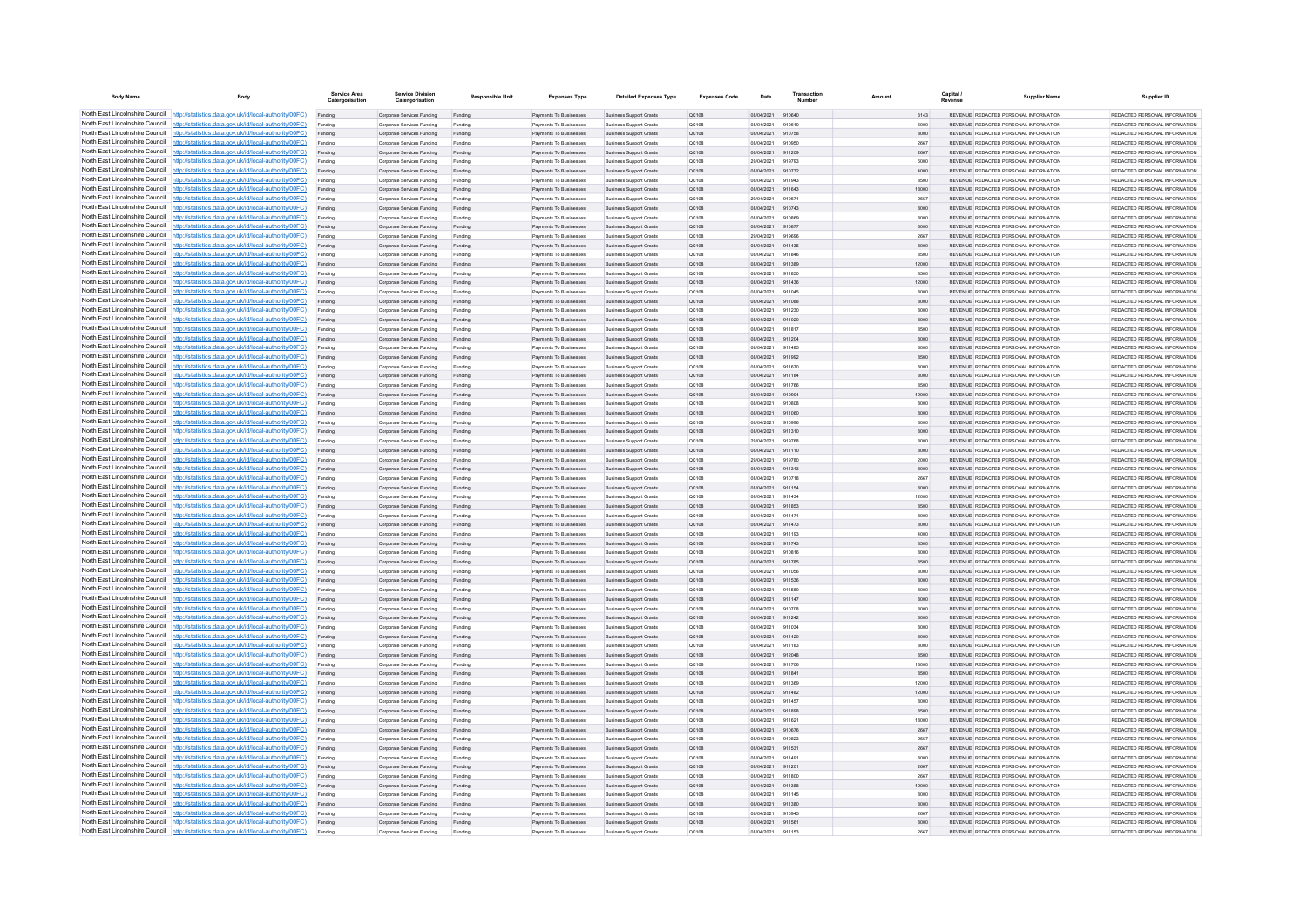| North East Lincolnshire Council http://statistics.data.gov.uk/id/local-authority/00FC)<br>REVENUE REDACTED PERSONAL INFORMATION<br>Payments To Businesses<br><b>Business Support Grants</b><br>QC108<br>08/04/2021<br>910640<br>3143<br>Funding<br>Corporate Services Funding<br>Funding<br>North East Lincolnshire Council http://statistics.data.gov.uk/id/local-authority/00FC)<br>Corporate Services Funding<br>Payments To Businesser<br><b>Business Support Grant</b><br>QC108<br>08/04/2021<br>910610<br>6000<br>REVENUE REDACTED PERSONAL INFORMATION<br>North East Lincolnshire Council http://statistics.data.gov.uk/id/local-authority/00FC)<br>Corporate Services Funding<br>Payments To Businesses<br><b>Business Support Grants</b><br>08/04/2021<br>910758<br>8000<br>REVENUE REDACTED PERSONAL INFORMATION<br>Funding<br>Funding<br>QC108<br>North East Lincolnshire Council http://statistics.data.gov.uk/id/local-authority/00FC)<br>REVENUE REDACTED PERSONAL INFORMATION<br>REDACTED PERSONAL INFORMATION<br>Payments To Businesses<br>Funding<br>Corporate Services Funding<br>Funding<br><b>Business Support Grants</b><br>QC108<br>08/04/2021<br>910950<br>2667<br>North East Lincolnshire Council http://statistics.data.gov.uk/id/local-authority/00FC)<br>Payments To Businesses<br><b>Business Support Grants</b><br>08/04/2021<br>911209<br>REVENUE REDACTED PERSONAL INFORMATION<br>REDACTED PERSONAL INFORMATION<br>Corporate Services Funding<br>QC108<br>2667<br>Funding<br>Funding<br>North East Lincolnshire Council http://statistics.data.gov.uk/id/local-authority/00FC)<br>REVENUE REDACTED PERSONAL INFORMATION<br>REDACTED PERSONAL INFORMATION<br>Funding<br>Corporate Services Funding<br>Funding<br>Payments To Businesses<br><b>Business Support Grants</b><br>QC108<br>29/04/2021<br>919793<br>6000<br>North East Lincolnshire Council http://statistics.data.gov.uk/id/local-authority/00FC)<br>Corporate Services Funding<br>Payments To Businesses<br><b>Business Support Grants</b><br>08/04/2021<br>910732<br>4000<br>REVENUE REDACTED PERSONAL INFORMATION<br>REDACTED PERSONAL INFORMATION<br>Funding<br>Funding<br>OC108<br>North East Lincolnshire Council<br>http://statistics.data.gov.uk/id/local-authority/00FC)<br>REVENUE REDACTED PERSONAL INFORMATION<br>REDACTED PERSONAL INFORMATION<br>Payments To Businesses<br><b>Business Support Grants</b><br>08/04/2021<br>911943<br>8500<br>Funding<br>Corporate Services Funding<br>Funding<br>OC108<br>North East Lincolnshire Council<br>http://statistics.data.gov.uk/id/local-authority/00FC)<br>Corporate Services Funding<br>Payments To Businesses<br><b>Business Support Grants</b><br>QC108<br>08/04/2021<br>911643<br>18000<br>REVENUE REDACTED PERSONAL INFORMATION<br>REDACTED PERSONAL INFORMATION<br>Funding<br>Funding<br>North East Lincolnshire Council   http://statistics.data.gov.uk/id/local-authority/00FC)<br>Corporate Services Funding<br>Funding<br>Payments To Businesses<br><b>Business Support Grants</b><br>QC108<br>29/04/2021<br>01067<br>2667<br><b>PEVENHE PEDACTED PERSONAL INFORMATION</b><br>North East Lincolnshire Council   http://statistics.data.gov.uk/id/local-authority/00FC)<br>Comorate Services Funding<br>Payments To Businesses<br><b>Business Sunnort Grants</b><br>OC108<br>08/04/2021<br>910743<br>8000<br>REVENUE REDACTED PERSONAL INFORMATION<br>Funding<br>Funding<br>North East Lincolnshire Council http://statistics.data.gov.uk/id/local-authority/00FC)<br>REVENUE REDACTED PERSONAL INFORMATION<br>Payments To Businesses<br><b>Business Support Grants</b><br>Corporate Services Funding<br>QC108<br>08/04/2021<br>910869<br>8000<br>Funding<br>Funding<br>North East Lincolnshire Council http://statistics.data.gov.uk/id/local-authority/00FC)<br>Corporate Services Funding<br>Payments To Businesses<br><b>Business Support Grants</b><br>QC108<br>08/04/2021<br>910877<br>8000<br>REVENUE REDACTED PERSONAL INFORMATION<br>Funding<br>Funding<br>North East Lincolnshire Council http://statistics.data.gov.uk/id/local-authority/00FC)<br>Corporate Services Funding<br>Payments To Businesses<br><b>Business Support Grants</b><br>29/04/2021<br>REVENUE REDACTED PERSONAL INFORMATION<br>Funding<br>Funding<br>QC108<br>919696<br>2667<br>North East Lincolnshire Council<br>http://statistics.data.gov.uk/id/local-authority/00FC)<br>911435<br>REVENUE REDACTED PERSONAL INFORMATION<br>REDACTED PERSONAL INFORMATION<br>Funding<br>Corporate Services Funding<br>Funding<br>Payments To Businesses<br><b>Business Support Grants</b><br>QC108<br>08/04/2021<br>8000<br>North East Lincolnshire Council<br>http://statistics.data.gov.uk/id/local-authority/00FC)<br>Payments To Businesses<br>08/04/2021<br>8500<br>REVENUE REDACTED PERSONAL INFORMATION<br>REDACTED PERSONAL INFORMATION<br>Corporate Services Funding<br><b>Business Support Grants</b><br>QC108<br>911846<br>Funding<br>Funding<br>North East Lincolnshire Council http://statistics.data.gov.uk/id/local-authority/00FC)<br>Corporate Services Funding<br>Payments To Businesser<br><b>Business Support Grants</b><br>QC108<br>08/04/2021<br>911389<br>12000<br>REVENUE REDACTED PERSONAL INFORMATION<br>REDACTED PERSONAL INFORMATION<br>Funding<br>Funding<br>North East Lincolnshire Council http://statistics.data.gov.uk/id/local-authority/00FC)<br>Comorate Services Funding<br><b>Payments To Businesses</b><br><b>Business Sunnort Grants</b><br>OC108<br>08/04/2021<br>911850<br>8500<br>REVENUE REDACTED PERSONAL INFORMATION<br>REDACTED PERSONAL INFORMATION<br>Funding<br>Funding<br>North East Lincolnshire Council http://statistics.data.gov.uk/id/local-authority/00FC)<br>REVENUE REDACTED PERSONAL INFORMATION<br>REDACTED PERSONAL INFORMATION<br>Payments To Businesses<br><b>Business Support Grants</b><br>08/04/2021<br>911436<br>12000<br>Funding<br>Corporate Services Funding<br>Funding<br>QC108<br>North East Lincolnshire Council http://statistics.data.gov.uk/id/local-authority/00FC)<br>Corporate Services Funding<br>Payments To Businesses<br><b>Business Support Grants</b><br>QC108<br>08/04/2021<br>911045<br>8000<br>REVENUE REDACTED PERSONAL INFORMATION<br>Funding<br>Funding<br>North East Lincolnshire Council http://statistics.data.gov.uk/id/local-authority/00FC)<br>REVENUE REDACTED PERSONAL INFORMATION<br>Funding<br>Corporate Services Funding<br>Funding<br>Payments To Businesses<br><b>Business Support Grants</b><br>QC108<br>08/04/2021<br>911088<br>8000<br>North East Lincolnshire Council http://statistics.data.gov.uk/id/local-authority/00FC)<br>Comorate Services Funding<br><b>Payments To Businesses</b><br><b>Business Sunnort Grants</b><br>OC108<br>08/04/2021<br>911230<br>8000<br>REVENUE REDACTED PERSONAL INFORMATION<br>Funding<br>Funding<br>North East Lincolnshire Council<br>http://statistics.data.gov.uk/id/local-authority/00FC)<br>Payments To Businesses<br>08/04/2021<br>911020<br>8000<br>REVENUE REDACTED PERSONAL INFORMATION<br>Corporate Services Funding<br><b>Business Support Grants</b><br>OC108<br>Funding<br>Funding<br>North East Lincolnshire Council<br>http://statistics.data.gov.uk/id/local-authority/00FC)<br>Corporate Services Funding<br>Payments To Businesser<br><b>Business Support Grants</b><br>QC108<br>08/04/2021<br>911817<br>8500<br>REVENUE REDACTED PERSONAL INFORMATION<br>Funding<br>Funding<br>North East Lincolnshire Council http://statistics.data.gov.uk/id/local-authority/00FC)<br>Payments To Businesses<br><b>Business Support Grants</b><br>08/04/2021<br>8000<br>REVENUE REDACTED PERSONAL INFORMATION<br>REDACTED PERSONAL INFORMATION<br>Funding<br>Corporate Services Funding<br>Funding<br>QC108<br>911204<br>North East Lincolnshire Council http://statistics.data.gov.uk/id/local-authority/00FC)<br>REDACTED PERSONAL INFORMATION<br>Corporate Services Funding<br>Funding<br>Payments To Businesses<br><b>Business Support Grants</b><br>QC108<br>08/04/2021<br>911485<br>8000<br>REVENUE REDACTED PERSONAL INFORMATION<br>Funding<br>North East Lincolnshire Council http://statistics.data.gov.uk/id/local-authority/00FC)<br>Payments To Businesses<br>REVENUE REDACTED PERSONAL INFORMATION<br>REDACTED PERSONAL INFORMATION<br>Corporate Services Funding<br><b>Business Support Grants</b><br>08/04/2021<br>911992<br>8500<br><b>QC108</b><br>Funding<br>Funding<br>North East Lincolnshire Council http://statistics.data.gov.uk/id/local-authority/00FC)<br>Corporate Services Funding<br>Funding<br>Payments To Businesser<br><b>Business Support Grants</b><br>QC108<br>08/04/2021<br>911670<br>8000<br>REVENUE REDACTED PERSONAL INFORMATION<br>REDACTED PERSONAL INFORMATION<br>Funding<br>North East Lincolnshire Council http://statistics.data.gov.uk/id/local-authority/00FC)<br>Corporate Services Funding<br>Payments To Businesses<br><b>Business Support Grants</b><br>08/04/2021<br>911184<br>8000<br>REVENUE REDACTED PERSONAL INFORMATION<br>REDACTED PERSONAL INFORMATION<br>Funding<br>Funding<br><b>QC108</b><br>North East Lincolnshire Council<br>http://statistics.data.gov.uk/id/local-authority/00FC)<br>911766<br>8500<br>REVENUE REDACTED PERSONAL INFORMATION<br>REDACTED PERSONAL INFORMATION<br>Funding<br>Corporate Services Funding<br>Funding<br>Payments To Businesses<br><b>Business Support Grants</b><br>QC108<br>08/04/2021<br>North East Lincolnshire Council http://statistics.data.gov.uk/id/local-authority/00FC)<br>Payments To Businesses<br><b>Business Support Grants</b><br>08/04/2021<br>91090<br>12000<br>REVENUE REDACTED PERSONAL INFORMATION<br>Corporate Services Funding<br>QC108<br>Funding<br>Funding<br>North East Lincolnshire Council http://statistics.data.gov.uk/id/local-authority/00FC)<br>Funding<br>Corporate Services Funding<br>Funding<br>Payments To Businesse<br><b>Business Support Grants</b><br>QC108<br>08/04/2021<br>910808<br>8000<br>REVENUE REDACTED PERSONAL INFORMATION<br>North East Lincolnshire Council http://statistics.data.gov.uk/id/local-authority/00FC)<br>Comorate Services Funding<br><b>Payments To Businesses</b><br><b>Business Sunnort Grants</b><br>OC108<br>08/04/2021<br>911060<br>8000<br>REVENUE REDACTED PERSONAL INFORMATION<br>Funding<br>Funding<br>North East Lincolnshire Council http://statistics.data.gov.uk/id/local-authority/00FC)<br>Comorate Services Funding<br>Funding<br><b>Payments To Businesses</b><br><b>Business Sunnort Grants</b><br>OC108<br>08/04/2021<br>910996<br>8000<br>REVENUE REDACTED PERSONAL INFORMATION<br>Funding<br>North East Lincolnshire Council http://statistics.data.gov.uk/id/local-authority/00FC)<br>REVENUE REDACTED PERSONAL INFORMATION<br>Payments To Businesses<br>Corporate Services Funding<br><b>Business Support Grants</b><br><b>QC108</b><br>08/04/2021 911310<br>8000<br>Funding<br>Funding<br>North East Lincolnshire Council http://statistics.data.gov.uk/id/local-authority/00FC)<br>Corporate Services Funding<br>Funding<br>Payments To Businesses<br><b>Business Support Grants</b><br>QC108<br>29/04/2021<br>919768<br>8000<br>REVENUE REDACTED PERSONAL INFORMATION<br>Funding<br>North East Lincolnshire Council http://statistics.data.gov.uk/id/local-authority/00FC)<br>Payments To Businesses<br>REVENUE REDACTED PERSONAL INFORMATION<br>REDACTED PERSONAL INFORMATION<br>Funding<br>Corporate Services Funding<br>Funding<br><b>Business Support Grants</b><br>QC108<br>08/04/2021<br>911110<br>8000<br>North East Lincolnshire Council<br>http://statistics.data.gov.uk/id/local-authority/00FC)<br>Funding<br>Corporate Services Funding<br>Payments To Businesses<br><b>Business Support Grants</b><br>QC108<br>29/04/2021<br>919780<br>2000<br>REVENUE REDACTED PERSONAL INFORMATION<br>REDACTED PERSONAL INFORMATION<br>Funding<br>North East Lincolnshire Council<br>http://statistics.data.gov.uk/id/local-authority/00FC)<br>REVENUE REDACTED PERSONAL INFORMATION<br>Corporate Services Funding<br>Payments To Businesses<br><b>Business Support Grants</b><br>08/04/2021<br>911313<br>8000<br>REDACTED PERSONAL INFORMATION<br>QC108<br>Funding<br>Funding<br>North East Lincolnshire Council http://statistics.data.gov.uk/id/local-authority/00FC)<br>Corporate Services Funding<br>Payments To Businesser<br><b>Business Support Grants</b><br>QC108<br>08/04/2021<br>910718<br>2667<br>REVENUE REDACTED PERSONAL INFORMATION<br>REDACTED PERSONAL INFORMATION<br>Funding<br>Funding<br>North East Lincolnshire Council http://statistics.data.gov.uk/id/local-authority/00FC)<br>Corporate Services Funding<br>Payments To Businesses<br><b>Business Support Grants</b><br>08/04/2021<br>REVENUE REDACTED PERSONAL INFORMATION<br>REDACTED PERSONAL INFORMATION<br>Funding<br>Funding<br>OC108<br>911154<br>8000<br>North East Lincolnshire Council http://statistics.data.gov.uk/id/local-authority/00FC)<br>911434<br>REVENUE REDACTED PERSONAL INFORMATION<br>REDACTED PERSONAL INFORMATION<br>Funding<br>Corporate Services Funding<br>Funding<br>Payments To Businesses<br><b>Business Support Grants</b><br>QC108<br>08/04/2021<br>12000<br>North East Lincolnshire Council http://statistics.data.gov.uk/id/local-authority/00FC)<br>Payments To Businesses<br><b>Business Support Grants</b><br>08/04/2021<br>REVENUE REDACTED PERSONAL INFORMATION<br>Corporate Services Funding<br>QC108<br>911853<br>8500<br>Funding<br>Funding<br>North East Lincolnshire Council http://statistics.data.gov.uk/id/local-authority/00FC)<br>REVENUE REDACTED PERSONAL INFORMATION<br>Funding<br>Corporate Services Funding<br>Funding<br>Payments To Businesser<br><b>Business Support Grants</b><br>QC108<br>08/04/2021<br>911471<br>8000<br>North East Lincolnshire Council<br>http://statistics.data.gov.uk/id/local-authority/00EC)<br>Corporate Services Funding<br>Payments To Businesses<br><b>Business Support Grants</b><br>OC108<br>08/04/2021<br>911473<br>8000<br>REVENUE REDACTED PERSONAL INFORMATION<br>Funding<br>Funding<br>North East Lincolnshire Council http://statistics.data.gov.uk/id/local-authority/00FC)<br>REVENUE REDACTED PERSONAL INFORMATION<br>Corporate Services Funding<br>Payments To Businesser<br><b>Business Support Grants</b><br>OC108<br>08/04/2021<br>911193<br>4000<br>Funding<br>Funding<br>North East Lincolnshire Council http://statistics.data.gov.uk/id/local-authority/00FC)<br>Corporate Services Funding<br>Payments To Businesses<br><b>Business Support Grants</b><br>QC108<br>08/04/2021<br>911743<br>8500<br>REVENUE REDACTED PERSONAL INFORMATION<br>Funding<br>Funding<br>North East Lincolnshire Council http://statistics.data.gov.uk/id/local-authority/00FC)<br>Payments To Businesser<br>08/04/2021<br>REVENUE REDACTED PERSONAL INFORMATION<br>REDACTED PERSONAL INFORMATION<br>Funding<br>Corporate Services Funding<br>Funding<br><b>Business Support Grants</b><br>QC108<br>910816<br>8000<br>North East Lincolnshire Council http://statistics.data.gov.uk/id/local-authority/00FC)<br>Corporate Services Funding<br>Funding<br>Payments To Businesses<br><b>Business Support Grants</b><br>QC108<br>08/04/2021<br>911785<br>8500<br>REVENUE REDACTED PERSONAL INFORMATION<br>REDACTED PERSONAL INFORMATION<br>Funding<br>North East Lincolnshire Council http://statistics.data.gov.uk/id/local-authority/00FC)<br>REVENUE REDACTED PERSONAL INFORMATION<br>REDACTED PERSONAL INFORMATION<br>Corporate Services Funding<br>Payments To Businesses<br><b>Business Support Grants</b><br>08/04/2021<br>911056<br>QC108<br>8000<br>Funding<br>Funding<br>North East Lincolnshire Council http://statistics.data.gov.uk/id/local-authority/00FC)<br>Funding<br>Corporate Services Funding<br>Funding<br>Payments To Businesses<br><b>Business Support Grants</b><br>QC108<br>08/04/2021<br>911536<br>8000<br>REVENUE REDACTED PERSONAL INFORMATION<br>REDACTED PERSONAL INFORMATION<br>North East Lincolnshire Council http://statistics.data.gov.uk/id/local-authority/00FC)<br>Corporate Services Funding<br>Payments To Businesses<br><b>Business Support Grants</b><br>08/04/2021<br>8000<br>REVENUE REDACTED PERSONAL INFORMATION<br>REDACTED PERSONAL INFORMATION<br>Funding<br>Funding<br>OC108<br>911560<br>North East Lincolnshire Council<br>http://statistics.data.gov.uk/id/local-authority/00FC)<br>Payments To Businesses<br>REVENUE REDACTED PERSONAL INFORMATION<br>REDACTED PERSONAL INFORMATION<br>Funding<br>Corporate Services Funding<br>Funding<br><b>Business Support Grants</b><br>QC108<br>08/04/2021<br>911147<br>8000<br>North East Lincolnshire Council http://statistics.data.gov.uk/id/local-authority/00FC)<br>Corporate Services Funding<br>Payments To Businesses<br><b>Business Support Grants</b><br>08/04/2021<br>REVENUE REDACTED PERSONAL INFORMATION<br>QC108<br>8000<br>Funding<br>Funding<br>North East Lincolnshire Council http://statistics.data.gov.uk/id/local-authority/00FC)<br>Corporate Services Funding<br>Payments To Businesses<br><b>Business Support Grants</b><br>QC108<br>08/04/2021<br>911242<br>8000<br>REVENUE REDACTED PERSONAL INFORMATION<br>North East Lincolnshire Council http://statistics.data.gov.uk/id/local-authority/00FC)<br>Comorate Services Funding<br><b>Payments To Rusinesses</b><br><b>Business Sunnort Grants</b><br>OC108<br>08/04/2021<br>911034<br>8000<br>REVENUE REDACTED PERSONAL INFORMATION<br>Funding<br>Funding<br>North East Lincolnshire Council http://statistics.data.gov.uk/id/local-authority/00FC)<br>REVENUE REDACTED PERSONAL INFORMATION<br>Payments To Businesses<br><b>Business Support Grants</b><br>911420<br>Funding<br>Corporate Services Funding<br>Funding<br><b>QC108</b><br>08/04/2021<br>8000<br>North East Lincolnshire Council http://statistics.data.gov.uk/id/local-authority/00FC)<br>Corporate Services Funding<br>Payments To Businesses<br><b>Business Support Grants</b><br>08/04/2021<br>911183<br>8000<br>REVENUE REDACTED PERSONAL INFORMATION<br>Funding<br>QC108<br>Funding<br>North East Lincolnshire Council http://statistics.data.gov.uk/id/local-authority/00FC)<br>REVENUE REDACTED PERSONAL INFORMATION<br>REDACTED PERSONAL INFORMATION<br>Funding<br>Corporate Services Funding<br>Funding<br>Payments To Businesses<br><b>Business Support Grants</b><br>QC108<br>08/04/2021<br>912048<br>8500<br>North East Lincolnshire Council<br>http://statistics.data.gov.uk/id/local-authority/00FC)<br>Corporate Services Funding<br>Funding<br>Payments To Businesses<br><b>Business Support Grants</b><br>QC108<br>08/04/2021<br>911706<br>18000<br>REVENUE REDACTED PERSONAL INFORMATION<br>REDACTED PERSONAL INFORMATION<br>Funding<br>North East Lincolnshire Council<br>http://statistics.data.gov.uk/id/local-authority/00FC)<br>Payments To Businesses<br><b>Business Support Grants</b><br>911841<br>REVENUE REDACTED PERSONAL INFORMATION<br>REDACTED PERSONAL INFORMATION<br>Corporate Services Funding<br>QC108<br>08/04/2021<br>8500<br>Funding<br>Funding<br>North East Lincolnshire Council http://statistics.data.gov.uk/id/local-authority/00FC)<br>Corporate Services Funding<br>Payments To Businesser<br><b>Business Support Grants</b><br>QC108<br>08/04/2021<br>911369<br>12000<br>REVENUE REDACTED PERSONAL INFORMATION<br>REDACTED PERSONAL INFORMATION<br>Funding<br>Funding<br>North East Lincolnshire Council http://statistics.data.gov.uk/id/local-authority/00FC)<br>Payments To Businesses<br><b>Business Support Grants</b><br>REVENUE REDACTED PERSONAL INFORMATION<br>REDACTED PERSONAL INFORMATION<br>Funding<br>Corporate Services Funding<br>Funding<br>QC108<br>08/04/2021<br>911482<br>12000<br>North East Lincolnshire Council http://statistics.data.gov.uk/id/local-authority/00FC)<br>REVENUE REDACTED PERSONAL INFORMATION<br>REDACTED PERSONAL INFORMATION<br>Corporate Services Funding<br>Funding<br>Payments To Businesses<br><b>Business Support Grants</b><br>QC108<br>08/04/2021<br>911457<br>8000<br>Funding<br>North East Lincolnshire Council http://statistics.data.gov.uk/id/local-authority/00FC)<br>REVENUE REDACTED PERSONAL INFORMATION<br>Corporate Services Funding<br>Payments To Businesses<br><b>Business Support Grants</b><br>08/04/2021<br>911898<br>8500<br><b>QC108</b><br>Funding<br>Funding<br>North East Lincolnshire Council http://statistics.data.gov.uk/id/local-authority/00FC)<br>Funding<br>Corporate Services Funding<br>Funding<br>Payments To Businesses<br><b>Business Support Grants</b><br>QC108<br>08/04/2021<br>911621<br>18000<br>REVENUE REDACTED PERSONAL INFORMATION<br>North East Lincolnshire Council http://statistics.data.gov.uk/id/local-authority/00FC)<br>Corporate Services Funding<br>Payments To Businesses<br><b>Business Support Grants</b><br>08/04/2021<br>910676<br>2667<br>REVENUE REDACTED PERSONAL INFORMATION<br>Funding<br>Funding<br>QC108<br>North East Lincolnshire Council<br>http://statistics.data.gov.uk/id/local-authority/00EC)<br>REVENUE REDACTED PERSONAL INFORMATION<br>Payments To Businesses<br>Funding<br>Corporate Services Funding<br>Funding<br><b>Business Support Grants</b><br>OC108<br>08/04/2021<br>910823<br>2667<br>North East Lincolnshire Council http://statistics.data.gov.uk/id/local-authority/00FC)<br>Corporate Services Funding<br>Payments To Businesses<br><b>Business Support Grants</b><br>QC108<br>08/04/2021<br>911531<br>2667<br>REVENUE REDACTED PERSONAL INFORMATION<br>Funding<br>Funding<br>North East Lincolnshire Council http://statistics.data.gov.uk/id/local-authority/00FC)<br>REVENUE REDACTED PERSONAL INFORMATION<br>Funding<br>Corporate Services Funding<br>Funding<br>Payments To Businesses<br><b>Business Support Grants</b><br>QC108<br>08/04/2021<br>011401<br>8000<br>North East Lincolnshire Council http://statistics.data.gov.uk/id/local-authority/00FC)<br>Corporate Services Funding<br>Payments To Businesses<br><b>Business Sunnort Grants</b><br>OC108<br>08/04/2021<br>911201<br>2667<br>REVENUE REDACTED PERSONAL INFORMATION<br>Funding<br>Funding<br>North East Lincolnshire Council http://statistics.data.gov.uk/id/local-authority/00FC)<br>REVENUE REDACTED PERSONAL INFORMATION<br>Payments To Businesses<br>911800<br>REDACTED PERSONAL INFORMATION<br>Corporate Services Funding<br><b>Business Support Grants</b><br>QC108<br>08/04/2021<br>2667<br>Funding<br>Funding<br>North East Lincolnshire Council http://statistics.data.gov.uk/id/local-authority/00FC)<br>Corporate Services Funding<br>Payments To Businesses<br><b>Business Support Grants</b><br>QC108<br>08/04/2021<br>911388<br>12000<br>REVENUE REDACTED PERSONAL INFORMATION<br>REDACTED PERSONAL INFORMATION<br>Funding<br>Funding<br>North East Lincolnshire Council http://statistics.data.gov.uk/id/local-authority/00FC)<br>Corporate Services Funding<br>Payments To Businesses<br><b>Business Support Grants</b><br>08/04/2021<br>REVENUE REDACTED PERSONAL INFORMATION<br>REDACTED PERSONAL INFORMATION<br>Funding<br>Funding<br>QC108<br>911145<br>8000<br>North East Lincolnshire Council<br>http://statistics.data.gov.uk/id/local-authority/00FC)<br>911380<br>Funding<br>Corporate Services Funding<br>Funding<br>Payments To Businesses<br><b>Business Support Grants</b><br>QC108<br>08/04/2021<br>8000<br>REVENUE REDACTED PERSONAL INFORMATION<br>REDACTED PERSONAL INFORMATION<br>North East Lincolnshire Council http://statistics.data.gov.uk/id/local-authority/00FC)<br>08/04/2021<br>REVENUE REDACTED PERSONAL INFORMATION<br>Corporate Services Funding<br>Payments To Businesser<br><b>Business Support Grants</b><br>QC108<br>910945<br>2667<br>Funding<br>Funding<br>North East Lincolnshire Council http://statistics.data.gov.uk/id/local-authority/00FC)<br>Corporate Services Funding<br>Payments To Businesses<br><b>Business Support Grants</b><br>QC108<br>08/04/2021<br>911561<br>8000<br>REVENUE REDACTED PERSONAL INFORMATION<br>Funding<br>Funding<br>North East Lincolnshire Council http://statistics.data.gov.uk/id/local-authority/00FC)<br>Corporate Services Funding<br>Payments To Businesses<br><b>Business Sunnort Grants</b><br>08/04/2021 911153<br>REVENUE REDACTED PERSONAL INFORMATION<br>Funding<br>Funding<br>OC108<br>2667 | <b>Body Name</b> | Body | Service Area<br>Catergorisation | Service Division<br>Catergorisation | <b>Responsible Unit</b> | <b>Expenses Type</b> | <b>Detailed Expenses Type</b> | <b>Expenses Code</b> | Date | Transactio<br>Numbe | Capital / | <b>Supplier Name</b> | Supplier ID                   |
|--------------------------------------------------------------------------------------------------------------------------------------------------------------------------------------------------------------------------------------------------------------------------------------------------------------------------------------------------------------------------------------------------------------------------------------------------------------------------------------------------------------------------------------------------------------------------------------------------------------------------------------------------------------------------------------------------------------------------------------------------------------------------------------------------------------------------------------------------------------------------------------------------------------------------------------------------------------------------------------------------------------------------------------------------------------------------------------------------------------------------------------------------------------------------------------------------------------------------------------------------------------------------------------------------------------------------------------------------------------------------------------------------------------------------------------------------------------------------------------------------------------------------------------------------------------------------------------------------------------------------------------------------------------------------------------------------------------------------------------------------------------------------------------------------------------------------------------------------------------------------------------------------------------------------------------------------------------------------------------------------------------------------------------------------------------------------------------------------------------------------------------------------------------------------------------------------------------------------------------------------------------------------------------------------------------------------------------------------------------------------------------------------------------------------------------------------------------------------------------------------------------------------------------------------------------------------------------------------------------------------------------------------------------------------------------------------------------------------------------------------------------------------------------------------------------------------------------------------------------------------------------------------------------------------------------------------------------------------------------------------------------------------------------------------------------------------------------------------------------------------------------------------------------------------------------------------------------------------------------------------------------------------------------------------------------------------------------------------------------------------------------------------------------------------------------------------------------------------------------------------------------------------------------------------------------------------------------------------------------------------------------------------------------------------------------------------------------------------------------------------------------------------------------------------------------------------------------------------------------------------------------------------------------------------------------------------------------------------------------------------------------------------------------------------------------------------------------------------------------------------------------------------------------------------------------------------------------------------------------------------------------------------------------------------------------------------------------------------------------------------------------------------------------------------------------------------------------------------------------------------------------------------------------------------------------------------------------------------------------------------------------------------------------------------------------------------------------------------------------------------------------------------------------------------------------------------------------------------------------------------------------------------------------------------------------------------------------------------------------------------------------------------------------------------------------------------------------------------------------------------------------------------------------------------------------------------------------------------------------------------------------------------------------------------------------------------------------------------------------------------------------------------------------------------------------------------------------------------------------------------------------------------------------------------------------------------------------------------------------------------------------------------------------------------------------------------------------------------------------------------------------------------------------------------------------------------------------------------------------------------------------------------------------------------------------------------------------------------------------------------------------------------------------------------------------------------------------------------------------------------------------------------------------------------------------------------------------------------------------------------------------------------------------------------------------------------------------------------------------------------------------------------------------------------------------------------------------------------------------------------------------------------------------------------------------------------------------------------------------------------------------------------------------------------------------------------------------------------------------------------------------------------------------------------------------------------------------------------------------------------------------------------------------------------------------------------------------------------------------------------------------------------------------------------------------------------------------------------------------------------------------------------------------------------------------------------------------------------------------------------------------------------------------------------------------------------------------------------------------------------------------------------------------------------------------------------------------------------------------------------------------------------------------------------------------------------------------------------------------------------------------------------------------------------------------------------------------------------------------------------------------------------------------------------------------------------------------------------------------------------------------------------------------------------------------------------------------------------------------------------------------------------------------------------------------------------------------------------------------------------------------------------------------------------------------------------------------------------------------------------------------------------------------------------------------------------------------------------------------------------------------------------------------------------------------------------------------------------------------------------------------------------------------------------------------------------------------------------------------------------------------------------------------------------------------------------------------------------------------------------------------------------------------------------------------------------------------------------------------------------------------------------------------------------------------------------------------------------------------------------------------------------------------------------------------------------------------------------------------------------------------------------------------------------------------------------------------------------------------------------------------------------------------------------------------------------------------------------------------------------------------------------------------------------------------------------------------------------------------------------------------------------------------------------------------------------------------------------------------------------------------------------------------------------------------------------------------------------------------------------------------------------------------------------------------------------------------------------------------------------------------------------------------------------------------------------------------------------------------------------------------------------------------------------------------------------------------------------------------------------------------------------------------------------------------------------------------------------------------------------------------------------------------------------------------------------------------------------------------------------------------------------------------------------------------------------------------------------------------------------------------------------------------------------------------------------------------------------------------------------------------------------------------------------------------------------------------------------------------------------------------------------------------------------------------------------------------------------------------------------------------------------------------------------------------------------------------------------------------------------------------------------------------------------------------------------------------------------------------------------------------------------------------------------------------------------------------------------------------------------------------------------------------------------------------------------------------------------------------------------------------------------------------------------------------------------------------------------------------------------------------------------------------------------------------------------------------------------------------------------------------------------------------------------------------------------------------------------------------------------------------------------------------------------------------------------------------------------------------------------------------------------------------------------------------------------------------------------------------------------------------------------------------------------------------------------------------------------------------------------------------------------------------------------------------------------------------------------------------------------------------------------------------------------------------------------------------------------------------------------------------------------------------------------------------------------------------------------------------------------------------------------------------------------------------------------------------------------------------------------------------------------------------------------------------------------------------------------------------------------------------------------------------------------------------------------------------------------------------------------------------------------------------------------------------------------------------------------------------------------------------------------------------------------------------------------------------------------------------------------------------------------------------------------------------------------------------------------------------------------------------------------------------------------------------------------------------------------------------------------------------------------------------------------------------------------------------------------------------------------------------------------------------------------------------------------------------------------------------------------------------------------------------------------------------------------------------------------------------------------------------------------------------------------------------------------------------------------------------------------------------------------------------------------------------------------------------------------------------------------------------------------------------------------------------------------------------------------------------------------------------------------------------------------------------------------------------------------------------------------------------------------------------------------------------------------------------------------------------------------------------------------------------------------------------------------------------------------------------------------------------------------------------------------------------------------------------------------------------------------------------------------------------------------------------------------------------------------------------------------------------------------------------------------------------------------------------------------------------------------------------------------------------------------------------------------------------------------------------------------------------------------------------------------------------------------------------------------------------------------------------------------------------------------------------------------------------------------------------------------------------------------------------------------------------------------------------------------------------------------------------------------------------------------------------------------------------------------------------------------------------------------------------------------------------------------------------------------------------------------------------------------------------------------------------------------------------------------------------------------------------------------------------------------------------------------------------------------------------------------------------------------------------------------------------------------------------------------------------------------------------------------------------------------------------------------------------------------------------------------------------------------------------------------------------------------------------------------------------------------------------------------------------------------------------------------------------------------------------------------------------------------------------------------------------------------------------------------------------------------------------------------------------------------------------------------------------------------------------------------------------------------------------------------------------------------------------------------------------------------------------------------------------------------------------------------------------------------------------------------------------------------------------------------------------------------------------------------------------------------------------------------------------------------------------------------------------------------------------------------------------------------------------------------------------------------------------------------------------------------------------------------------------------------------------------------------------------------------------------------------------------------------------------------------------------------------------------------------------------------------------------------------------------------------------------------------------------------------------------------------------------------------------------------------------------------------------------------------------------------------------------------------------------------------------------------------------------------------------------------------------------------------------------------------------------------------------------------------------------------------------------------------------------------------------------------------------------------------------------------------------------------------------------------------------------------------------------------------------------------------------------------------------------------------------------------------------------------------------------------------------------------------------------------------------------------------------------------------------------------------------------------------------------------------------------------------------------------------------------------------------------------------------------------------------------------------------------------------------------------------------------------------------------------------------------------------------------------------------------------------------------------------------------------------------------------------------------------------------------------------------------------------------------------------------------------------------------------------------------------------------------------------------------------------------------------------------------------------------------------------------------------------------------------------------------------------------------------------------------------------------------------------------------------------------------------------------------------------------------------------------------------------------------------------------------------------------------------------------------------------------------------------------------------------------------------------------------------------------------------------------------------------------------------------------------------------------------------------------------------------------------------------------------------------------------------------------------------------------------------------------------------------------------------------------------------------------------------------------------------------------------------------------------------------------------------------------------------------------------------------------------------------------------------------------------------------------------------------------------------------------------------------------------------------------------------------------------------------------------------------------------------------------------------------------------------------------------------------------------------------------------------------------------------------------------------------------------------------------------------------------------------------------------------------------------------------------------------------------------------------------------------------------------------------------------------------------------------------------------------------------------------------------------------------------------------------------------------------------------------------------------------------------------------------------------------------------------------------------------------------------------------------------------------------------------------------------------------------------------------------------------------------------------------------------------------------------------------------------------------------------------------------------------------------------------------------------------------------------------------------------------------------------------------------------------------------------------------------------------------------------------------------------------------------------------------------------------------------------------------------------------------------------------------------------------------------------------------------------------------------------------------------------------------------------------------------------------------------------------------------------------------------------------------------------------------------------------------------------------------------------------------------------------------------------------------------------------------------------------------------------------------------------------------------------------------------------------------------------------------------------------------------------------------------------------------------------------------------------------------------------------------------------------------------------------------------------------------------------------------------------------------------------------------------------------------------------------------------------------------------------------------------------------------------------------------------------------------------------------------------------------------------------------------------------------------------------------------------------------------------------------------------------------------------------------------------------------------------------------------------------------------------------------------------------------------------------------------------------------------------------------------------------------------------------------------------------------------------------------------------------------------------------------------------------------------------------------------------------------------------------------------------------------------------------------------------------------------------------------------------------------------------------------------------------------------------------------------------------------------------------------------------------------------------------------------------------------------------------------------------------------------------------------------------------------------------------------------------------------------------------------------------------------------------------------------------------------------------------------------------------------------------------------------------------------------------------------------------------------------------------------------------------------------------------------------------------------|------------------|------|---------------------------------|-------------------------------------|-------------------------|----------------------|-------------------------------|----------------------|------|---------------------|-----------|----------------------|-------------------------------|
|                                                                                                                                                                                                                                                                                                                                                                                                                                                                                                                                                                                                                                                                                                                                                                                                                                                                                                                                                                                                                                                                                                                                                                                                                                                                                                                                                                                                                                                                                                                                                                                                                                                                                                                                                                                                                                                                                                                                                                                                                                                                                                                                                                                                                                                                                                                                                                                                                                                                                                                                                                                                                                                                                                                                                                                                                                                                                                                                                                                                                                                                                                                                                                                                                                                                                                                                                                                                                                                                                                                                                                                                                                                                                                                                                                                                                                                                                                                                                                                                                                                                                                                                                                                                                                                                                                                                                                                                                                                                                                                                                                                                                                                                                                                                                                                                                                                                                                                                                                                                                                                                                                                                                                                                                                                                                                                                                                                                                                                                                                                                                                                                                                                                                                                                                                                                                                                                                                                                                                                                                                                                                                                                                                                                                                                                                                                                                                                                                                                                                                                                                                                                                                                                                                                                                                                                                                                                                                                                                                                                                                                                                                                                                                                                                                                                                                                                                                                                                                                                                                                                                                                                                                                                                                                                                                                                                                                                                                                                                                                                                                                                                                                                                                                                                                                                                                                                                                                                                                                                                                                                                                                                                                                                                                                                                                                                                                                                                                                                                                                                                                                                                                                                                                                                                                                                                                                                                                                                                                                                                                                                                                                                                                                                                                                                                                                                                                                                                                                                                                                                                                                                                                                                                                                                                                                                                                                                                                                                                                                                                                                                                                                                                                                                                                                                                                                                                                                                                                                                                                                                                                                                                                                                                                                                                                                                                                                                                                                                                                                                                                                                                                                                                                                                                                                                                                                                                                                                                                                                                                                                                                                                                                                                                                                                                                                                                                                                                                                                                                                                                                                                                                                                                                                                                                                                                                                                                                                                                                                                                                                                                                                                                                                                                                                                                                                                                                                                                                                                                                                                                                                                                                                                                                                                                                                                                                                                                                                                                                                                                                                                                                                                                                                                                                                                                                                                                                                                                                                                                                                                                                                                                                                                                                                                                                                                                                                                                                                                                                                                                                                                                                                                                                                                                                                                                                                                                                                                                                                                                                                                                                                                                                                                                                                                                                                                                                                                                                                                                                                                                                                                                                                                                                                                                                                                                                                                                                                                                                                                                                                                                                                                                                                                                                                                                                                                                                                                                                                                                                                                                                                                                                                                                                                                                                                                                                                                                                                                                                                                                                                                                                                                                                                                                                                                                                                                                                                                                                                                                                                                                                                                                                                                                                                                                                                                                                                                                                                                                                                                                                                                                                                                                                                                                                                                                                                                                                                                                                                                                                                                                                                                                                                                                                                                                                                                                                                                                                                                                                                                                                                                                                                                                                                                                                                                                                                                                                                                                                                                                                                                                                                                                                                                                                                                                                                                                                                                                                                                                                                                                                                                                                                                                                                                                                                                                                                                                                                                                                                                                                                                                                                                                                                                                                                                                                                                                                                                                                                                                                                                                                                                                                                                                                                                                                                                                                                                                                                                                                                                                                                                                                                                                                                                                                                                                                                                                                                                                                                                                                                                                                                                                                                                                                                                                                                                                                                                                                                                                                                                                                                                                                                                                                                                                                                                                                                                                                                                                                                                                                                                                                                                                                                                                                                                                                                                                                                                                                                                                                                                                                                                                                                                                                                                                                                                                                                                                                                                                                                                                                                                                                                                    |                  |      |                                 |                                     |                         |                      |                               |                      |      |                     |           |                      | REDACTED PERSONAL INFORMATION |
|                                                                                                                                                                                                                                                                                                                                                                                                                                                                                                                                                                                                                                                                                                                                                                                                                                                                                                                                                                                                                                                                                                                                                                                                                                                                                                                                                                                                                                                                                                                                                                                                                                                                                                                                                                                                                                                                                                                                                                                                                                                                                                                                                                                                                                                                                                                                                                                                                                                                                                                                                                                                                                                                                                                                                                                                                                                                                                                                                                                                                                                                                                                                                                                                                                                                                                                                                                                                                                                                                                                                                                                                                                                                                                                                                                                                                                                                                                                                                                                                                                                                                                                                                                                                                                                                                                                                                                                                                                                                                                                                                                                                                                                                                                                                                                                                                                                                                                                                                                                                                                                                                                                                                                                                                                                                                                                                                                                                                                                                                                                                                                                                                                                                                                                                                                                                                                                                                                                                                                                                                                                                                                                                                                                                                                                                                                                                                                                                                                                                                                                                                                                                                                                                                                                                                                                                                                                                                                                                                                                                                                                                                                                                                                                                                                                                                                                                                                                                                                                                                                                                                                                                                                                                                                                                                                                                                                                                                                                                                                                                                                                                                                                                                                                                                                                                                                                                                                                                                                                                                                                                                                                                                                                                                                                                                                                                                                                                                                                                                                                                                                                                                                                                                                                                                                                                                                                                                                                                                                                                                                                                                                                                                                                                                                                                                                                                                                                                                                                                                                                                                                                                                                                                                                                                                                                                                                                                                                                                                                                                                                                                                                                                                                                                                                                                                                                                                                                                                                                                                                                                                                                                                                                                                                                                                                                                                                                                                                                                                                                                                                                                                                                                                                                                                                                                                                                                                                                                                                                                                                                                                                                                                                                                                                                                                                                                                                                                                                                                                                                                                                                                                                                                                                                                                                                                                                                                                                                                                                                                                                                                                                                                                                                                                                                                                                                                                                                                                                                                                                                                                                                                                                                                                                                                                                                                                                                                                                                                                                                                                                                                                                                                                                                                                                                                                                                                                                                                                                                                                                                                                                                                                                                                                                                                                                                                                                                                                                                                                                                                                                                                                                                                                                                                                                                                                                                                                                                                                                                                                                                                                                                                                                                                                                                                                                                                                                                                                                                                                                                                                                                                                                                                                                                                                                                                                                                                                                                                                                                                                                                                                                                                                                                                                                                                                                                                                                                                                                                                                                                                                                                                                                                                                                                                                                                                                                                                                                                                                                                                                                                                                                                                                                                                                                                                                                                                                                                                                                                                                                                                                                                                                                                                                                                                                                                                                                                                                                                                                                                                                                                                                                                                                                                                                                                                                                                                                                                                                                                                                                                                                                                                                                                                                                                                                                                                                                                                                                                                                                                                                                                                                                                                                                                                                                                                                                                                                                                                                                                                                                                                                                                                                                                                                                                                                                                                                                                                                                                                                                                                                                                                                                                                                                                                                                                                                                                                                                                                                                                                                                                                                                                                                                                                                                                                                                                                                                                                                                                                                                                                                                                                                                                                                                                                                                                                                                                                                                                                                                                                                                                                                                                                                                                                                                                                                                                                                                                                                                                                                                                                                                                                                                                                                                                                                                                                                                                                                                                                                                                                                                                                                                                                                                                                                                                                                                                                                                                                                                                                                                                                                                                                                                                                                                                                                                                                                                                                                                                                                                                                                                                                                                                                                                                                                                                                                                                                                                                                                                                                                                                                                                                                    |                  |      |                                 |                                     |                         |                      |                               |                      |      |                     |           |                      | REDACTED PERSONAL INFORMATION |
|                                                                                                                                                                                                                                                                                                                                                                                                                                                                                                                                                                                                                                                                                                                                                                                                                                                                                                                                                                                                                                                                                                                                                                                                                                                                                                                                                                                                                                                                                                                                                                                                                                                                                                                                                                                                                                                                                                                                                                                                                                                                                                                                                                                                                                                                                                                                                                                                                                                                                                                                                                                                                                                                                                                                                                                                                                                                                                                                                                                                                                                                                                                                                                                                                                                                                                                                                                                                                                                                                                                                                                                                                                                                                                                                                                                                                                                                                                                                                                                                                                                                                                                                                                                                                                                                                                                                                                                                                                                                                                                                                                                                                                                                                                                                                                                                                                                                                                                                                                                                                                                                                                                                                                                                                                                                                                                                                                                                                                                                                                                                                                                                                                                                                                                                                                                                                                                                                                                                                                                                                                                                                                                                                                                                                                                                                                                                                                                                                                                                                                                                                                                                                                                                                                                                                                                                                                                                                                                                                                                                                                                                                                                                                                                                                                                                                                                                                                                                                                                                                                                                                                                                                                                                                                                                                                                                                                                                                                                                                                                                                                                                                                                                                                                                                                                                                                                                                                                                                                                                                                                                                                                                                                                                                                                                                                                                                                                                                                                                                                                                                                                                                                                                                                                                                                                                                                                                                                                                                                                                                                                                                                                                                                                                                                                                                                                                                                                                                                                                                                                                                                                                                                                                                                                                                                                                                                                                                                                                                                                                                                                                                                                                                                                                                                                                                                                                                                                                                                                                                                                                                                                                                                                                                                                                                                                                                                                                                                                                                                                                                                                                                                                                                                                                                                                                                                                                                                                                                                                                                                                                                                                                                                                                                                                                                                                                                                                                                                                                                                                                                                                                                                                                                                                                                                                                                                                                                                                                                                                                                                                                                                                                                                                                                                                                                                                                                                                                                                                                                                                                                                                                                                                                                                                                                                                                                                                                                                                                                                                                                                                                                                                                                                                                                                                                                                                                                                                                                                                                                                                                                                                                                                                                                                                                                                                                                                                                                                                                                                                                                                                                                                                                                                                                                                                                                                                                                                                                                                                                                                                                                                                                                                                                                                                                                                                                                                                                                                                                                                                                                                                                                                                                                                                                                                                                                                                                                                                                                                                                                                                                                                                                                                                                                                                                                                                                                                                                                                                                                                                                                                                                                                                                                                                                                                                                                                                                                                                                                                                                                                                                                                                                                                                                                                                                                                                                                                                                                                                                                                                                                                                                                                                                                                                                                                                                                                                                                                                                                                                                                                                                                                                                                                                                                                                                                                                                                                                                                                                                                                                                                                                                                                                                                                                                                                                                                                                                                                                                                                                                                                                                                                                                                                                                                                                                                                                                                                                                                                                                                                                                                                                                                                                                                                                                                                                                                                                                                                                                                                                                                                                                                                                                                                                                                                                                                                                                                                                                                                                                                                                                                                                                                                                                                                                                                                                                                                                                                                                                                                                                                                                                                                                                                                                                                                                                                                                                                                                                                                                                                                                                                                                                                                                                                                                                                                                                                                                                                                                                                                                                                                                                                                                                                                                                                                                                                                                                                                                                                                                                                                                                                                                                                                                                                                                                                                                                                                                                                                                                                                                                                                                                                                                                                                                                                                                                                                                                                                                                                                                                                                                                                                                                                                                                                                                                                                                                                                                                                                                                                                                                                                                                    |                  |      |                                 |                                     |                         |                      |                               |                      |      |                     |           |                      | REDACTED PERSONAL INFORMATION |
|                                                                                                                                                                                                                                                                                                                                                                                                                                                                                                                                                                                                                                                                                                                                                                                                                                                                                                                                                                                                                                                                                                                                                                                                                                                                                                                                                                                                                                                                                                                                                                                                                                                                                                                                                                                                                                                                                                                                                                                                                                                                                                                                                                                                                                                                                                                                                                                                                                                                                                                                                                                                                                                                                                                                                                                                                                                                                                                                                                                                                                                                                                                                                                                                                                                                                                                                                                                                                                                                                                                                                                                                                                                                                                                                                                                                                                                                                                                                                                                                                                                                                                                                                                                                                                                                                                                                                                                                                                                                                                                                                                                                                                                                                                                                                                                                                                                                                                                                                                                                                                                                                                                                                                                                                                                                                                                                                                                                                                                                                                                                                                                                                                                                                                                                                                                                                                                                                                                                                                                                                                                                                                                                                                                                                                                                                                                                                                                                                                                                                                                                                                                                                                                                                                                                                                                                                                                                                                                                                                                                                                                                                                                                                                                                                                                                                                                                                                                                                                                                                                                                                                                                                                                                                                                                                                                                                                                                                                                                                                                                                                                                                                                                                                                                                                                                                                                                                                                                                                                                                                                                                                                                                                                                                                                                                                                                                                                                                                                                                                                                                                                                                                                                                                                                                                                                                                                                                                                                                                                                                                                                                                                                                                                                                                                                                                                                                                                                                                                                                                                                                                                                                                                                                                                                                                                                                                                                                                                                                                                                                                                                                                                                                                                                                                                                                                                                                                                                                                                                                                                                                                                                                                                                                                                                                                                                                                                                                                                                                                                                                                                                                                                                                                                                                                                                                                                                                                                                                                                                                                                                                                                                                                                                                                                                                                                                                                                                                                                                                                                                                                                                                                                                                                                                                                                                                                                                                                                                                                                                                                                                                                                                                                                                                                                                                                                                                                                                                                                                                                                                                                                                                                                                                                                                                                                                                                                                                                                                                                                                                                                                                                                                                                                                                                                                                                                                                                                                                                                                                                                                                                                                                                                                                                                                                                                                                                                                                                                                                                                                                                                                                                                                                                                                                                                                                                                                                                                                                                                                                                                                                                                                                                                                                                                                                                                                                                                                                                                                                                                                                                                                                                                                                                                                                                                                                                                                                                                                                                                                                                                                                                                                                                                                                                                                                                                                                                                                                                                                                                                                                                                                                                                                                                                                                                                                                                                                                                                                                                                                                                                                                                                                                                                                                                                                                                                                                                                                                                                                                                                                                                                                                                                                                                                                                                                                                                                                                                                                                                                                                                                                                                                                                                                                                                                                                                                                                                                                                                                                                                                                                                                                                                                                                                                                                                                                                                                                                                                                                                                                                                                                                                                                                                                                                                                                                                                                                                                                                                                                                                                                                                                                                                                                                                                                                                                                                                                                                                                                                                                                                                                                                                                                                                                                                                                                                                                                                                                                                                                                                                                                                                                                                                                                                                                                                                                                                                                                                                                                                                                                                                                                                                                                                                                                                                                                                                                                                                                                                                                                                                                                                                                                                                                                                                                                                                                                                                                                                                                                                                                                                                                                                                                                                                                                                                                                                                                                                                                                                                                                                                                                                                                                                                                                                                                                                                                                                                                                                                                                                                                                                                                                                                                                                                                                                                                                                                                                                                                                                                                                                                                                                                                                                                                                                                                                                                                                                                                                                                                                                                                                                                                                    |                  |      |                                 |                                     |                         |                      |                               |                      |      |                     |           |                      |                               |
|                                                                                                                                                                                                                                                                                                                                                                                                                                                                                                                                                                                                                                                                                                                                                                                                                                                                                                                                                                                                                                                                                                                                                                                                                                                                                                                                                                                                                                                                                                                                                                                                                                                                                                                                                                                                                                                                                                                                                                                                                                                                                                                                                                                                                                                                                                                                                                                                                                                                                                                                                                                                                                                                                                                                                                                                                                                                                                                                                                                                                                                                                                                                                                                                                                                                                                                                                                                                                                                                                                                                                                                                                                                                                                                                                                                                                                                                                                                                                                                                                                                                                                                                                                                                                                                                                                                                                                                                                                                                                                                                                                                                                                                                                                                                                                                                                                                                                                                                                                                                                                                                                                                                                                                                                                                                                                                                                                                                                                                                                                                                                                                                                                                                                                                                                                                                                                                                                                                                                                                                                                                                                                                                                                                                                                                                                                                                                                                                                                                                                                                                                                                                                                                                                                                                                                                                                                                                                                                                                                                                                                                                                                                                                                                                                                                                                                                                                                                                                                                                                                                                                                                                                                                                                                                                                                                                                                                                                                                                                                                                                                                                                                                                                                                                                                                                                                                                                                                                                                                                                                                                                                                                                                                                                                                                                                                                                                                                                                                                                                                                                                                                                                                                                                                                                                                                                                                                                                                                                                                                                                                                                                                                                                                                                                                                                                                                                                                                                                                                                                                                                                                                                                                                                                                                                                                                                                                                                                                                                                                                                                                                                                                                                                                                                                                                                                                                                                                                                                                                                                                                                                                                                                                                                                                                                                                                                                                                                                                                                                                                                                                                                                                                                                                                                                                                                                                                                                                                                                                                                                                                                                                                                                                                                                                                                                                                                                                                                                                                                                                                                                                                                                                                                                                                                                                                                                                                                                                                                                                                                                                                                                                                                                                                                                                                                                                                                                                                                                                                                                                                                                                                                                                                                                                                                                                                                                                                                                                                                                                                                                                                                                                                                                                                                                                                                                                                                                                                                                                                                                                                                                                                                                                                                                                                                                                                                                                                                                                                                                                                                                                                                                                                                                                                                                                                                                                                                                                                                                                                                                                                                                                                                                                                                                                                                                                                                                                                                                                                                                                                                                                                                                                                                                                                                                                                                                                                                                                                                                                                                                                                                                                                                                                                                                                                                                                                                                                                                                                                                                                                                                                                                                                                                                                                                                                                                                                                                                                                                                                                                                                                                                                                                                                                                                                                                                                                                                                                                                                                                                                                                                                                                                                                                                                                                                                                                                                                                                                                                                                                                                                                                                                                                                                                                                                                                                                                                                                                                                                                                                                                                                                                                                                                                                                                                                                                                                                                                                                                                                                                                                                                                                                                                                                                                                                                                                                                                                                                                                                                                                                                                                                                                                                                                                                                                                                                                                                                                                                                                                                                                                                                                                                                                                                                                                                                                                                                                                                                                                                                                                                                                                                                                                                                                                                                                                                                                                                                                                                                                                                                                                                                                                                                                                                                                                                                                                                                                                                                                                                                                                                                                                                                                                                                                                                                                                                                                                                                                                                                                                                                                                                                                                                                                                                                                                                                                                                                                                                                                                                                                                                                                                                                                                                                                                                                                                                                                                                                                                                                                                                                                                                                                                                                                                                                                                                                                                                                                                                                                                                                                                                                                                                                                                                                                                                                                                                                                                                                                                                                                                                                                                                                    |                  |      |                                 |                                     |                         |                      |                               |                      |      |                     |           |                      |                               |
|                                                                                                                                                                                                                                                                                                                                                                                                                                                                                                                                                                                                                                                                                                                                                                                                                                                                                                                                                                                                                                                                                                                                                                                                                                                                                                                                                                                                                                                                                                                                                                                                                                                                                                                                                                                                                                                                                                                                                                                                                                                                                                                                                                                                                                                                                                                                                                                                                                                                                                                                                                                                                                                                                                                                                                                                                                                                                                                                                                                                                                                                                                                                                                                                                                                                                                                                                                                                                                                                                                                                                                                                                                                                                                                                                                                                                                                                                                                                                                                                                                                                                                                                                                                                                                                                                                                                                                                                                                                                                                                                                                                                                                                                                                                                                                                                                                                                                                                                                                                                                                                                                                                                                                                                                                                                                                                                                                                                                                                                                                                                                                                                                                                                                                                                                                                                                                                                                                                                                                                                                                                                                                                                                                                                                                                                                                                                                                                                                                                                                                                                                                                                                                                                                                                                                                                                                                                                                                                                                                                                                                                                                                                                                                                                                                                                                                                                                                                                                                                                                                                                                                                                                                                                                                                                                                                                                                                                                                                                                                                                                                                                                                                                                                                                                                                                                                                                                                                                                                                                                                                                                                                                                                                                                                                                                                                                                                                                                                                                                                                                                                                                                                                                                                                                                                                                                                                                                                                                                                                                                                                                                                                                                                                                                                                                                                                                                                                                                                                                                                                                                                                                                                                                                                                                                                                                                                                                                                                                                                                                                                                                                                                                                                                                                                                                                                                                                                                                                                                                                                                                                                                                                                                                                                                                                                                                                                                                                                                                                                                                                                                                                                                                                                                                                                                                                                                                                                                                                                                                                                                                                                                                                                                                                                                                                                                                                                                                                                                                                                                                                                                                                                                                                                                                                                                                                                                                                                                                                                                                                                                                                                                                                                                                                                                                                                                                                                                                                                                                                                                                                                                                                                                                                                                                                                                                                                                                                                                                                                                                                                                                                                                                                                                                                                                                                                                                                                                                                                                                                                                                                                                                                                                                                                                                                                                                                                                                                                                                                                                                                                                                                                                                                                                                                                                                                                                                                                                                                                                                                                                                                                                                                                                                                                                                                                                                                                                                                                                                                                                                                                                                                                                                                                                                                                                                                                                                                                                                                                                                                                                                                                                                                                                                                                                                                                                                                                                                                                                                                                                                                                                                                                                                                                                                                                                                                                                                                                                                                                                                                                                                                                                                                                                                                                                                                                                                                                                                                                                                                                                                                                                                                                                                                                                                                                                                                                                                                                                                                                                                                                                                                                                                                                                                                                                                                                                                                                                                                                                                                                                                                                                                                                                                                                                                                                                                                                                                                                                                                                                                                                                                                                                                                                                                                                                                                                                                                                                                                                                                                                                                                                                                                                                                                                                                                                                                                                                                                                                                                                                                                                                                                                                                                                                                                                                                                                                                                                                                                                                                                                                                                                                                                                                                                                                                                                                                                                                                                                                                                                                                                                                                                                                                                                                                                                                                                                                                                                                                                                                                                                                                                                                                                                                                                                                                                                                                                                                                                                                                                                                                                                                                                                                                                                                                                                                                                                                                                                                                                                                                                                                                                                                                                                                                                                                                                                                                                                                                                                                                                                                                                                                                                                                                                                                                                                                                                                                                                                                                                                                                                                                                                                                                                                                                                                                                                                                                                                                                                                                                                                                                                                                                    |                  |      |                                 |                                     |                         |                      |                               |                      |      |                     |           |                      |                               |
|                                                                                                                                                                                                                                                                                                                                                                                                                                                                                                                                                                                                                                                                                                                                                                                                                                                                                                                                                                                                                                                                                                                                                                                                                                                                                                                                                                                                                                                                                                                                                                                                                                                                                                                                                                                                                                                                                                                                                                                                                                                                                                                                                                                                                                                                                                                                                                                                                                                                                                                                                                                                                                                                                                                                                                                                                                                                                                                                                                                                                                                                                                                                                                                                                                                                                                                                                                                                                                                                                                                                                                                                                                                                                                                                                                                                                                                                                                                                                                                                                                                                                                                                                                                                                                                                                                                                                                                                                                                                                                                                                                                                                                                                                                                                                                                                                                                                                                                                                                                                                                                                                                                                                                                                                                                                                                                                                                                                                                                                                                                                                                                                                                                                                                                                                                                                                                                                                                                                                                                                                                                                                                                                                                                                                                                                                                                                                                                                                                                                                                                                                                                                                                                                                                                                                                                                                                                                                                                                                                                                                                                                                                                                                                                                                                                                                                                                                                                                                                                                                                                                                                                                                                                                                                                                                                                                                                                                                                                                                                                                                                                                                                                                                                                                                                                                                                                                                                                                                                                                                                                                                                                                                                                                                                                                                                                                                                                                                                                                                                                                                                                                                                                                                                                                                                                                                                                                                                                                                                                                                                                                                                                                                                                                                                                                                                                                                                                                                                                                                                                                                                                                                                                                                                                                                                                                                                                                                                                                                                                                                                                                                                                                                                                                                                                                                                                                                                                                                                                                                                                                                                                                                                                                                                                                                                                                                                                                                                                                                                                                                                                                                                                                                                                                                                                                                                                                                                                                                                                                                                                                                                                                                                                                                                                                                                                                                                                                                                                                                                                                                                                                                                                                                                                                                                                                                                                                                                                                                                                                                                                                                                                                                                                                                                                                                                                                                                                                                                                                                                                                                                                                                                                                                                                                                                                                                                                                                                                                                                                                                                                                                                                                                                                                                                                                                                                                                                                                                                                                                                                                                                                                                                                                                                                                                                                                                                                                                                                                                                                                                                                                                                                                                                                                                                                                                                                                                                                                                                                                                                                                                                                                                                                                                                                                                                                                                                                                                                                                                                                                                                                                                                                                                                                                                                                                                                                                                                                                                                                                                                                                                                                                                                                                                                                                                                                                                                                                                                                                                                                                                                                                                                                                                                                                                                                                                                                                                                                                                                                                                                                                                                                                                                                                                                                                                                                                                                                                                                                                                                                                                                                                                                                                                                                                                                                                                                                                                                                                                                                                                                                                                                                                                                                                                                                                                                                                                                                                                                                                                                                                                                                                                                                                                                                                                                                                                                                                                                                                                                                                                                                                                                                                                                                                                                                                                                                                                                                                                                                                                                                                                                                                                                                                                                                                                                                                                                                                                                                                                                                                                                                                                                                                                                                                                                                                                                                                                                                                                                                                                                                                                                                                                                                                                                                                                                                                                                                                                                                                                                                                                                                                                                                                                                                                                                                                                                                                                                                                                                                                                                                                                                                                                                                                                                                                                                                                                                                                                                                                                                                                                                                                                                                                                                                                                                                                                                                                                                                                                                                                                                                                                                                                                                                                                                                                                                                                                                                                                                                                                                                                                                                                                                                                                                                                                                                                                                                                                                                                                                                                                                                                                                                                                                                                                                                                                                                                                                                                                                                                                                                                                                                                    |                  |      |                                 |                                     |                         |                      |                               |                      |      |                     |           |                      |                               |
|                                                                                                                                                                                                                                                                                                                                                                                                                                                                                                                                                                                                                                                                                                                                                                                                                                                                                                                                                                                                                                                                                                                                                                                                                                                                                                                                                                                                                                                                                                                                                                                                                                                                                                                                                                                                                                                                                                                                                                                                                                                                                                                                                                                                                                                                                                                                                                                                                                                                                                                                                                                                                                                                                                                                                                                                                                                                                                                                                                                                                                                                                                                                                                                                                                                                                                                                                                                                                                                                                                                                                                                                                                                                                                                                                                                                                                                                                                                                                                                                                                                                                                                                                                                                                                                                                                                                                                                                                                                                                                                                                                                                                                                                                                                                                                                                                                                                                                                                                                                                                                                                                                                                                                                                                                                                                                                                                                                                                                                                                                                                                                                                                                                                                                                                                                                                                                                                                                                                                                                                                                                                                                                                                                                                                                                                                                                                                                                                                                                                                                                                                                                                                                                                                                                                                                                                                                                                                                                                                                                                                                                                                                                                                                                                                                                                                                                                                                                                                                                                                                                                                                                                                                                                                                                                                                                                                                                                                                                                                                                                                                                                                                                                                                                                                                                                                                                                                                                                                                                                                                                                                                                                                                                                                                                                                                                                                                                                                                                                                                                                                                                                                                                                                                                                                                                                                                                                                                                                                                                                                                                                                                                                                                                                                                                                                                                                                                                                                                                                                                                                                                                                                                                                                                                                                                                                                                                                                                                                                                                                                                                                                                                                                                                                                                                                                                                                                                                                                                                                                                                                                                                                                                                                                                                                                                                                                                                                                                                                                                                                                                                                                                                                                                                                                                                                                                                                                                                                                                                                                                                                                                                                                                                                                                                                                                                                                                                                                                                                                                                                                                                                                                                                                                                                                                                                                                                                                                                                                                                                                                                                                                                                                                                                                                                                                                                                                                                                                                                                                                                                                                                                                                                                                                                                                                                                                                                                                                                                                                                                                                                                                                                                                                                                                                                                                                                                                                                                                                                                                                                                                                                                                                                                                                                                                                                                                                                                                                                                                                                                                                                                                                                                                                                                                                                                                                                                                                                                                                                                                                                                                                                                                                                                                                                                                                                                                                                                                                                                                                                                                                                                                                                                                                                                                                                                                                                                                                                                                                                                                                                                                                                                                                                                                                                                                                                                                                                                                                                                                                                                                                                                                                                                                                                                                                                                                                                                                                                                                                                                                                                                                                                                                                                                                                                                                                                                                                                                                                                                                                                                                                                                                                                                                                                                                                                                                                                                                                                                                                                                                                                                                                                                                                                                                                                                                                                                                                                                                                                                                                                                                                                                                                                                                                                                                                                                                                                                                                                                                                                                                                                                                                                                                                                                                                                                                                                                                                                                                                                                                                                                                                                                                                                                                                                                                                                                                                                                                                                                                                                                                                                                                                                                                                                                                                                                                                                                                                                                                                                                                                                                                                                                                                                                                                                                                                                                                                                                                                                                                                                                                                                                                                                                                                                                                                                                                                                                                                                                                                                                                                                                                                                                                                                                                                                                                                                                                                                                                                                                                                                                                                                                                                                                                                                                                                                                                                                                                                                                                                                                                                                                                                                                                                                                                                                                                                                                                                                                                                                                                                                                                                                                                                                                                                                                                                                                                                                                                                                                                                                                                                                                                                                                                                                                                                                                                                                                                                                                                                                                                                                                                                                                    |                  |      |                                 |                                     |                         |                      |                               |                      |      |                     |           |                      |                               |
|                                                                                                                                                                                                                                                                                                                                                                                                                                                                                                                                                                                                                                                                                                                                                                                                                                                                                                                                                                                                                                                                                                                                                                                                                                                                                                                                                                                                                                                                                                                                                                                                                                                                                                                                                                                                                                                                                                                                                                                                                                                                                                                                                                                                                                                                                                                                                                                                                                                                                                                                                                                                                                                                                                                                                                                                                                                                                                                                                                                                                                                                                                                                                                                                                                                                                                                                                                                                                                                                                                                                                                                                                                                                                                                                                                                                                                                                                                                                                                                                                                                                                                                                                                                                                                                                                                                                                                                                                                                                                                                                                                                                                                                                                                                                                                                                                                                                                                                                                                                                                                                                                                                                                                                                                                                                                                                                                                                                                                                                                                                                                                                                                                                                                                                                                                                                                                                                                                                                                                                                                                                                                                                                                                                                                                                                                                                                                                                                                                                                                                                                                                                                                                                                                                                                                                                                                                                                                                                                                                                                                                                                                                                                                                                                                                                                                                                                                                                                                                                                                                                                                                                                                                                                                                                                                                                                                                                                                                                                                                                                                                                                                                                                                                                                                                                                                                                                                                                                                                                                                                                                                                                                                                                                                                                                                                                                                                                                                                                                                                                                                                                                                                                                                                                                                                                                                                                                                                                                                                                                                                                                                                                                                                                                                                                                                                                                                                                                                                                                                                                                                                                                                                                                                                                                                                                                                                                                                                                                                                                                                                                                                                                                                                                                                                                                                                                                                                                                                                                                                                                                                                                                                                                                                                                                                                                                                                                                                                                                                                                                                                                                                                                                                                                                                                                                                                                                                                                                                                                                                                                                                                                                                                                                                                                                                                                                                                                                                                                                                                                                                                                                                                                                                                                                                                                                                                                                                                                                                                                                                                                                                                                                                                                                                                                                                                                                                                                                                                                                                                                                                                                                                                                                                                                                                                                                                                                                                                                                                                                                                                                                                                                                                                                                                                                                                                                                                                                                                                                                                                                                                                                                                                                                                                                                                                                                                                                                                                                                                                                                                                                                                                                                                                                                                                                                                                                                                                                                                                                                                                                                                                                                                                                                                                                                                                                                                                                                                                                                                                                                                                                                                                                                                                                                                                                                                                                                                                                                                                                                                                                                                                                                                                                                                                                                                                                                                                                                                                                                                                                                                                                                                                                                                                                                                                                                                                                                                                                                                                                                                                                                                                                                                                                                                                                                                                                                                                                                                                                                                                                                                                                                                                                                                                                                                                                                                                                                                                                                                                                                                                                                                                                                                                                                                                                                                                                                                                                                                                                                                                                                                                                                                                                                                                                                                                                                                                                                                                                                                                                                                                                                                                                                                                                                                                                                                                                                                                                                                                                                                                                                                                                                                                                                                                                                                                                                                                                                                                                                                                                                                                                                                                                                                                                                                                                                                                                                                                                                                                                                                                                                                                                                                                                                                                                                                                                                                                                                                                                                                                                                                                                                                                                                                                                                                                                                                                                                                                                                                                                                                                                                                                                                                                                                                                                                                                                                                                                                                                                                                                                                                                                                                                                                                                                                                                                                                                                                                                                                                                                                                                                                                                                                                                                                                                                                                                                                                                                                                                                                                                                                                                                                                                                                                                                                                                                                                                                                                                                                                                                                                                                                                                                                                                                                                                                                                                                                                                                                                                                                                                                                                                                                    |                  |      |                                 |                                     |                         |                      |                               |                      |      |                     |           |                      | REDACTED PERSONAL INFORMATION |
|                                                                                                                                                                                                                                                                                                                                                                                                                                                                                                                                                                                                                                                                                                                                                                                                                                                                                                                                                                                                                                                                                                                                                                                                                                                                                                                                                                                                                                                                                                                                                                                                                                                                                                                                                                                                                                                                                                                                                                                                                                                                                                                                                                                                                                                                                                                                                                                                                                                                                                                                                                                                                                                                                                                                                                                                                                                                                                                                                                                                                                                                                                                                                                                                                                                                                                                                                                                                                                                                                                                                                                                                                                                                                                                                                                                                                                                                                                                                                                                                                                                                                                                                                                                                                                                                                                                                                                                                                                                                                                                                                                                                                                                                                                                                                                                                                                                                                                                                                                                                                                                                                                                                                                                                                                                                                                                                                                                                                                                                                                                                                                                                                                                                                                                                                                                                                                                                                                                                                                                                                                                                                                                                                                                                                                                                                                                                                                                                                                                                                                                                                                                                                                                                                                                                                                                                                                                                                                                                                                                                                                                                                                                                                                                                                                                                                                                                                                                                                                                                                                                                                                                                                                                                                                                                                                                                                                                                                                                                                                                                                                                                                                                                                                                                                                                                                                                                                                                                                                                                                                                                                                                                                                                                                                                                                                                                                                                                                                                                                                                                                                                                                                                                                                                                                                                                                                                                                                                                                                                                                                                                                                                                                                                                                                                                                                                                                                                                                                                                                                                                                                                                                                                                                                                                                                                                                                                                                                                                                                                                                                                                                                                                                                                                                                                                                                                                                                                                                                                                                                                                                                                                                                                                                                                                                                                                                                                                                                                                                                                                                                                                                                                                                                                                                                                                                                                                                                                                                                                                                                                                                                                                                                                                                                                                                                                                                                                                                                                                                                                                                                                                                                                                                                                                                                                                                                                                                                                                                                                                                                                                                                                                                                                                                                                                                                                                                                                                                                                                                                                                                                                                                                                                                                                                                                                                                                                                                                                                                                                                                                                                                                                                                                                                                                                                                                                                                                                                                                                                                                                                                                                                                                                                                                                                                                                                                                                                                                                                                                                                                                                                                                                                                                                                                                                                                                                                                                                                                                                                                                                                                                                                                                                                                                                                                                                                                                                                                                                                                                                                                                                                                                                                                                                                                                                                                                                                                                                                                                                                                                                                                                                                                                                                                                                                                                                                                                                                                                                                                                                                                                                                                                                                                                                                                                                                                                                                                                                                                                                                                                                                                                                                                                                                                                                                                                                                                                                                                                                                                                                                                                                                                                                                                                                                                                                                                                                                                                                                                                                                                                                                                                                                                                                                                                                                                                                                                                                                                                                                                                                                                                                                                                                                                                                                                                                                                                                                                                                                                                                                                                                                                                                                                                                                                                                                                                                                                                                                                                                                                                                                                                                                                                                                                                                                                                                                                                                                                                                                                                                                                                                                                                                                                                                                                                                                                                                                                                                                                                                                                                                                                                                                                                                                                                                                                                                                                                                                                                                                                                                                                                                                                                                                                                                                                                                                                                                                                                                                                                                                                                                                                                                                                                                                                                                                                                                                                                                                                                                                                                                                                                                                                                                                                                                                                                                                                                                                                                                                                                                                                                                                                                                                                                                                                                                                                                                                                                                                                                                                                                                                                                                                                                                                                                                                                                                                                                                                                                                                                                                                                                                                                                                                                                                                                                                                                                                                                                                                                                                                                                                                                                                                    |                  |      |                                 |                                     |                         |                      |                               |                      |      |                     |           |                      | REDACTED PERSONAL INFORMATION |
|                                                                                                                                                                                                                                                                                                                                                                                                                                                                                                                                                                                                                                                                                                                                                                                                                                                                                                                                                                                                                                                                                                                                                                                                                                                                                                                                                                                                                                                                                                                                                                                                                                                                                                                                                                                                                                                                                                                                                                                                                                                                                                                                                                                                                                                                                                                                                                                                                                                                                                                                                                                                                                                                                                                                                                                                                                                                                                                                                                                                                                                                                                                                                                                                                                                                                                                                                                                                                                                                                                                                                                                                                                                                                                                                                                                                                                                                                                                                                                                                                                                                                                                                                                                                                                                                                                                                                                                                                                                                                                                                                                                                                                                                                                                                                                                                                                                                                                                                                                                                                                                                                                                                                                                                                                                                                                                                                                                                                                                                                                                                                                                                                                                                                                                                                                                                                                                                                                                                                                                                                                                                                                                                                                                                                                                                                                                                                                                                                                                                                                                                                                                                                                                                                                                                                                                                                                                                                                                                                                                                                                                                                                                                                                                                                                                                                                                                                                                                                                                                                                                                                                                                                                                                                                                                                                                                                                                                                                                                                                                                                                                                                                                                                                                                                                                                                                                                                                                                                                                                                                                                                                                                                                                                                                                                                                                                                                                                                                                                                                                                                                                                                                                                                                                                                                                                                                                                                                                                                                                                                                                                                                                                                                                                                                                                                                                                                                                                                                                                                                                                                                                                                                                                                                                                                                                                                                                                                                                                                                                                                                                                                                                                                                                                                                                                                                                                                                                                                                                                                                                                                                                                                                                                                                                                                                                                                                                                                                                                                                                                                                                                                                                                                                                                                                                                                                                                                                                                                                                                                                                                                                                                                                                                                                                                                                                                                                                                                                                                                                                                                                                                                                                                                                                                                                                                                                                                                                                                                                                                                                                                                                                                                                                                                                                                                                                                                                                                                                                                                                                                                                                                                                                                                                                                                                                                                                                                                                                                                                                                                                                                                                                                                                                                                                                                                                                                                                                                                                                                                                                                                                                                                                                                                                                                                                                                                                                                                                                                                                                                                                                                                                                                                                                                                                                                                                                                                                                                                                                                                                                                                                                                                                                                                                                                                                                                                                                                                                                                                                                                                                                                                                                                                                                                                                                                                                                                                                                                                                                                                                                                                                                                                                                                                                                                                                                                                                                                                                                                                                                                                                                                                                                                                                                                                                                                                                                                                                                                                                                                                                                                                                                                                                                                                                                                                                                                                                                                                                                                                                                                                                                                                                                                                                                                                                                                                                                                                                                                                                                                                                                                                                                                                                                                                                                                                                                                                                                                                                                                                                                                                                                                                                                                                                                                                                                                                                                                                                                                                                                                                                                                                                                                                                                                                                                                                                                                                                                                                                                                                                                                                                                                                                                                                                                                                                                                                                                                                                                                                                                                                                                                                                                                                                                                                                                                                                                                                                                                                                                                                                                                                                                                                                                                                                                                                                                                                                                                                                                                                                                                                                                                                                                                                                                                                                                                                                                                                                                                                                                                                                                                                                                                                                                                                                                                                                                                                                                                                                                                                                                                                                                                                                                                                                                                                                                                                                                                                                                                                                                                                                                                                                                                                                                                                                                                                                                                                                                                                                                                                                                                                                                                                                                                                                                                                                                                                                                                                                                                                                                                                                                                                                                                                                                                                                                                                                                                                                                                                                                                                                                                                                                                    |                  |      |                                 |                                     |                         |                      |                               |                      |      |                     |           |                      | REDACTED PERSONAL INFORMATION |
|                                                                                                                                                                                                                                                                                                                                                                                                                                                                                                                                                                                                                                                                                                                                                                                                                                                                                                                                                                                                                                                                                                                                                                                                                                                                                                                                                                                                                                                                                                                                                                                                                                                                                                                                                                                                                                                                                                                                                                                                                                                                                                                                                                                                                                                                                                                                                                                                                                                                                                                                                                                                                                                                                                                                                                                                                                                                                                                                                                                                                                                                                                                                                                                                                                                                                                                                                                                                                                                                                                                                                                                                                                                                                                                                                                                                                                                                                                                                                                                                                                                                                                                                                                                                                                                                                                                                                                                                                                                                                                                                                                                                                                                                                                                                                                                                                                                                                                                                                                                                                                                                                                                                                                                                                                                                                                                                                                                                                                                                                                                                                                                                                                                                                                                                                                                                                                                                                                                                                                                                                                                                                                                                                                                                                                                                                                                                                                                                                                                                                                                                                                                                                                                                                                                                                                                                                                                                                                                                                                                                                                                                                                                                                                                                                                                                                                                                                                                                                                                                                                                                                                                                                                                                                                                                                                                                                                                                                                                                                                                                                                                                                                                                                                                                                                                                                                                                                                                                                                                                                                                                                                                                                                                                                                                                                                                                                                                                                                                                                                                                                                                                                                                                                                                                                                                                                                                                                                                                                                                                                                                                                                                                                                                                                                                                                                                                                                                                                                                                                                                                                                                                                                                                                                                                                                                                                                                                                                                                                                                                                                                                                                                                                                                                                                                                                                                                                                                                                                                                                                                                                                                                                                                                                                                                                                                                                                                                                                                                                                                                                                                                                                                                                                                                                                                                                                                                                                                                                                                                                                                                                                                                                                                                                                                                                                                                                                                                                                                                                                                                                                                                                                                                                                                                                                                                                                                                                                                                                                                                                                                                                                                                                                                                                                                                                                                                                                                                                                                                                                                                                                                                                                                                                                                                                                                                                                                                                                                                                                                                                                                                                                                                                                                                                                                                                                                                                                                                                                                                                                                                                                                                                                                                                                                                                                                                                                                                                                                                                                                                                                                                                                                                                                                                                                                                                                                                                                                                                                                                                                                                                                                                                                                                                                                                                                                                                                                                                                                                                                                                                                                                                                                                                                                                                                                                                                                                                                                                                                                                                                                                                                                                                                                                                                                                                                                                                                                                                                                                                                                                                                                                                                                                                                                                                                                                                                                                                                                                                                                                                                                                                                                                                                                                                                                                                                                                                                                                                                                                                                                                                                                                                                                                                                                                                                                                                                                                                                                                                                                                                                                                                                                                                                                                                                                                                                                                                                                                                                                                                                                                                                                                                                                                                                                                                                                                                                                                                                                                                                                                                                                                                                                                                                                                                                                                                                                                                                                                                                                                                                                                                                                                                                                                                                                                                                                                                                                                                                                                                                                                                                                                                                                                                                                                                                                                                                                                                                                                                                                                                                                                                                                                                                                                                                                                                                                                                                                                                                                                                                                                                                                                                                                                                                                                                                                                                                                                                                                                                                                                                                                                                                                                                                                                                                                                                                                                                                                                                                                                                                                                                                                                                                                                                                                                                                                                                                                                                                                                                                                                                                                                                                                                                                                                                                                                                                                                                                                                                                                                                                                                                                                                                                                                                                                                                                                                                                                                                                                                                                                                                                                                                                                                                                                                                                                                                                                                                                                                                                                                                                                                                                                                    |                  |      |                                 |                                     |                         |                      |                               |                      |      |                     |           |                      | REDACTED PERSONAL INFORMATION |
|                                                                                                                                                                                                                                                                                                                                                                                                                                                                                                                                                                                                                                                                                                                                                                                                                                                                                                                                                                                                                                                                                                                                                                                                                                                                                                                                                                                                                                                                                                                                                                                                                                                                                                                                                                                                                                                                                                                                                                                                                                                                                                                                                                                                                                                                                                                                                                                                                                                                                                                                                                                                                                                                                                                                                                                                                                                                                                                                                                                                                                                                                                                                                                                                                                                                                                                                                                                                                                                                                                                                                                                                                                                                                                                                                                                                                                                                                                                                                                                                                                                                                                                                                                                                                                                                                                                                                                                                                                                                                                                                                                                                                                                                                                                                                                                                                                                                                                                                                                                                                                                                                                                                                                                                                                                                                                                                                                                                                                                                                                                                                                                                                                                                                                                                                                                                                                                                                                                                                                                                                                                                                                                                                                                                                                                                                                                                                                                                                                                                                                                                                                                                                                                                                                                                                                                                                                                                                                                                                                                                                                                                                                                                                                                                                                                                                                                                                                                                                                                                                                                                                                                                                                                                                                                                                                                                                                                                                                                                                                                                                                                                                                                                                                                                                                                                                                                                                                                                                                                                                                                                                                                                                                                                                                                                                                                                                                                                                                                                                                                                                                                                                                                                                                                                                                                                                                                                                                                                                                                                                                                                                                                                                                                                                                                                                                                                                                                                                                                                                                                                                                                                                                                                                                                                                                                                                                                                                                                                                                                                                                                                                                                                                                                                                                                                                                                                                                                                                                                                                                                                                                                                                                                                                                                                                                                                                                                                                                                                                                                                                                                                                                                                                                                                                                                                                                                                                                                                                                                                                                                                                                                                                                                                                                                                                                                                                                                                                                                                                                                                                                                                                                                                                                                                                                                                                                                                                                                                                                                                                                                                                                                                                                                                                                                                                                                                                                                                                                                                                                                                                                                                                                                                                                                                                                                                                                                                                                                                                                                                                                                                                                                                                                                                                                                                                                                                                                                                                                                                                                                                                                                                                                                                                                                                                                                                                                                                                                                                                                                                                                                                                                                                                                                                                                                                                                                                                                                                                                                                                                                                                                                                                                                                                                                                                                                                                                                                                                                                                                                                                                                                                                                                                                                                                                                                                                                                                                                                                                                                                                                                                                                                                                                                                                                                                                                                                                                                                                                                                                                                                                                                                                                                                                                                                                                                                                                                                                                                                                                                                                                                                                                                                                                                                                                                                                                                                                                                                                                                                                                                                                                                                                                                                                                                                                                                                                                                                                                                                                                                                                                                                                                                                                                                                                                                                                                                                                                                                                                                                                                                                                                                                                                                                                                                                                                                                                                                                                                                                                                                                                                                                                                                                                                                                                                                                                                                                                                                                                                                                                                                                                                                                                                                                                                                                                                                                                                                                                                                                                                                                                                                                                                                                                                                                                                                                                                                                                                                                                                                                                                                                                                                                                                                                                                                                                                                                                                                                                                                                                                                                                                                                                                                                                                                                                                                                                                                                                                                                                                                                                                                                                                                                                                                                                                                                                                                                                                                                                                                                                                                                                                                                                                                                                                                                                                                                                                                                                                                                                                                                                                                                                                                                                                                                                                                                                                                                                                                                                                                                                                                                                                                                                                                                                                                                                                                                                                                                                                                                                                                                                                                                                                                                                                                                                                                                                                                                                                                                                                                                                                                                                                                    |                  |      |                                 |                                     |                         |                      |                               |                      |      |                     |           |                      | REDACTED PERSONAL INFORMATION |
|                                                                                                                                                                                                                                                                                                                                                                                                                                                                                                                                                                                                                                                                                                                                                                                                                                                                                                                                                                                                                                                                                                                                                                                                                                                                                                                                                                                                                                                                                                                                                                                                                                                                                                                                                                                                                                                                                                                                                                                                                                                                                                                                                                                                                                                                                                                                                                                                                                                                                                                                                                                                                                                                                                                                                                                                                                                                                                                                                                                                                                                                                                                                                                                                                                                                                                                                                                                                                                                                                                                                                                                                                                                                                                                                                                                                                                                                                                                                                                                                                                                                                                                                                                                                                                                                                                                                                                                                                                                                                                                                                                                                                                                                                                                                                                                                                                                                                                                                                                                                                                                                                                                                                                                                                                                                                                                                                                                                                                                                                                                                                                                                                                                                                                                                                                                                                                                                                                                                                                                                                                                                                                                                                                                                                                                                                                                                                                                                                                                                                                                                                                                                                                                                                                                                                                                                                                                                                                                                                                                                                                                                                                                                                                                                                                                                                                                                                                                                                                                                                                                                                                                                                                                                                                                                                                                                                                                                                                                                                                                                                                                                                                                                                                                                                                                                                                                                                                                                                                                                                                                                                                                                                                                                                                                                                                                                                                                                                                                                                                                                                                                                                                                                                                                                                                                                                                                                                                                                                                                                                                                                                                                                                                                                                                                                                                                                                                                                                                                                                                                                                                                                                                                                                                                                                                                                                                                                                                                                                                                                                                                                                                                                                                                                                                                                                                                                                                                                                                                                                                                                                                                                                                                                                                                                                                                                                                                                                                                                                                                                                                                                                                                                                                                                                                                                                                                                                                                                                                                                                                                                                                                                                                                                                                                                                                                                                                                                                                                                                                                                                                                                                                                                                                                                                                                                                                                                                                                                                                                                                                                                                                                                                                                                                                                                                                                                                                                                                                                                                                                                                                                                                                                                                                                                                                                                                                                                                                                                                                                                                                                                                                                                                                                                                                                                                                                                                                                                                                                                                                                                                                                                                                                                                                                                                                                                                                                                                                                                                                                                                                                                                                                                                                                                                                                                                                                                                                                                                                                                                                                                                                                                                                                                                                                                                                                                                                                                                                                                                                                                                                                                                                                                                                                                                                                                                                                                                                                                                                                                                                                                                                                                                                                                                                                                                                                                                                                                                                                                                                                                                                                                                                                                                                                                                                                                                                                                                                                                                                                                                                                                                                                                                                                                                                                                                                                                                                                                                                                                                                                                                                                                                                                                                                                                                                                                                                                                                                                                                                                                                                                                                                                                                                                                                                                                                                                                                                                                                                                                                                                                                                                                                                                                                                                                                                                                                                                                                                                                                                                                                                                                                                                                                                                                                                                                                                                                                                                                                                                                                                                                                                                                                                                                                                                                                                                                                                                                                                                                                                                                                                                                                                                                                                                                                                                                                                                                                                                                                                                                                                                                                                                                                                                                                                                                                                                                                                                                                                                                                                                                                                                                                                                                                                                                                                                                                                                                                                                                                                                                                                                                                                                                                                                                                                                                                                                                                                                                                                                                                                                                                                                                                                                                                                                                                                                                                                                                                                                                                                                                                                                                                                                                                                                                                                                                                                                                                                                                                                                                                                                                                                                                                                                                                                                                                                                                                                                                                                                                                                                                                                                                                                                                                                                                                                                                                                                                                                                                                                                                                                                                                                                                    |                  |      |                                 |                                     |                         |                      |                               |                      |      |                     |           |                      |                               |
|                                                                                                                                                                                                                                                                                                                                                                                                                                                                                                                                                                                                                                                                                                                                                                                                                                                                                                                                                                                                                                                                                                                                                                                                                                                                                                                                                                                                                                                                                                                                                                                                                                                                                                                                                                                                                                                                                                                                                                                                                                                                                                                                                                                                                                                                                                                                                                                                                                                                                                                                                                                                                                                                                                                                                                                                                                                                                                                                                                                                                                                                                                                                                                                                                                                                                                                                                                                                                                                                                                                                                                                                                                                                                                                                                                                                                                                                                                                                                                                                                                                                                                                                                                                                                                                                                                                                                                                                                                                                                                                                                                                                                                                                                                                                                                                                                                                                                                                                                                                                                                                                                                                                                                                                                                                                                                                                                                                                                                                                                                                                                                                                                                                                                                                                                                                                                                                                                                                                                                                                                                                                                                                                                                                                                                                                                                                                                                                                                                                                                                                                                                                                                                                                                                                                                                                                                                                                                                                                                                                                                                                                                                                                                                                                                                                                                                                                                                                                                                                                                                                                                                                                                                                                                                                                                                                                                                                                                                                                                                                                                                                                                                                                                                                                                                                                                                                                                                                                                                                                                                                                                                                                                                                                                                                                                                                                                                                                                                                                                                                                                                                                                                                                                                                                                                                                                                                                                                                                                                                                                                                                                                                                                                                                                                                                                                                                                                                                                                                                                                                                                                                                                                                                                                                                                                                                                                                                                                                                                                                                                                                                                                                                                                                                                                                                                                                                                                                                                                                                                                                                                                                                                                                                                                                                                                                                                                                                                                                                                                                                                                                                                                                                                                                                                                                                                                                                                                                                                                                                                                                                                                                                                                                                                                                                                                                                                                                                                                                                                                                                                                                                                                                                                                                                                                                                                                                                                                                                                                                                                                                                                                                                                                                                                                                                                                                                                                                                                                                                                                                                                                                                                                                                                                                                                                                                                                                                                                                                                                                                                                                                                                                                                                                                                                                                                                                                                                                                                                                                                                                                                                                                                                                                                                                                                                                                                                                                                                                                                                                                                                                                                                                                                                                                                                                                                                                                                                                                                                                                                                                                                                                                                                                                                                                                                                                                                                                                                                                                                                                                                                                                                                                                                                                                                                                                                                                                                                                                                                                                                                                                                                                                                                                                                                                                                                                                                                                                                                                                                                                                                                                                                                                                                                                                                                                                                                                                                                                                                                                                                                                                                                                                                                                                                                                                                                                                                                                                                                                                                                                                                                                                                                                                                                                                                                                                                                                                                                                                                                                                                                                                                                                                                                                                                                                                                                                                                                                                                                                                                                                                                                                                                                                                                                                                                                                                                                                                                                                                                                                                                                                                                                                                                                                                                                                                                                                                                                                                                                                                                                                                                                                                                                                                                                                                                                                                                                                                                                                                                                                                                                                                                                                                                                                                                                                                                                                                                                                                                                                                                                                                                                                                                                                                                                                                                                                                                                                                                                                                                                                                                                                                                                                                                                                                                                                                                                                                                                                                                                                                                                                                                                                                                                                                                                                                                                                                                                                                                                                                                                                                                                                                                                                                                                                                                                                                                                                                                                                                                                                                                                                                                                                                                                                                                                                                                                                                                                                                                                                                                                                                                                                                                                                                                                                                                                                                                                                                                                                                                                                                                                                                                                                                                                                                                                                                                                                                                                                                                                                                                                                                                                                                    |                  |      |                                 |                                     |                         |                      |                               |                      |      |                     |           |                      |                               |
|                                                                                                                                                                                                                                                                                                                                                                                                                                                                                                                                                                                                                                                                                                                                                                                                                                                                                                                                                                                                                                                                                                                                                                                                                                                                                                                                                                                                                                                                                                                                                                                                                                                                                                                                                                                                                                                                                                                                                                                                                                                                                                                                                                                                                                                                                                                                                                                                                                                                                                                                                                                                                                                                                                                                                                                                                                                                                                                                                                                                                                                                                                                                                                                                                                                                                                                                                                                                                                                                                                                                                                                                                                                                                                                                                                                                                                                                                                                                                                                                                                                                                                                                                                                                                                                                                                                                                                                                                                                                                                                                                                                                                                                                                                                                                                                                                                                                                                                                                                                                                                                                                                                                                                                                                                                                                                                                                                                                                                                                                                                                                                                                                                                                                                                                                                                                                                                                                                                                                                                                                                                                                                                                                                                                                                                                                                                                                                                                                                                                                                                                                                                                                                                                                                                                                                                                                                                                                                                                                                                                                                                                                                                                                                                                                                                                                                                                                                                                                                                                                                                                                                                                                                                                                                                                                                                                                                                                                                                                                                                                                                                                                                                                                                                                                                                                                                                                                                                                                                                                                                                                                                                                                                                                                                                                                                                                                                                                                                                                                                                                                                                                                                                                                                                                                                                                                                                                                                                                                                                                                                                                                                                                                                                                                                                                                                                                                                                                                                                                                                                                                                                                                                                                                                                                                                                                                                                                                                                                                                                                                                                                                                                                                                                                                                                                                                                                                                                                                                                                                                                                                                                                                                                                                                                                                                                                                                                                                                                                                                                                                                                                                                                                                                                                                                                                                                                                                                                                                                                                                                                                                                                                                                                                                                                                                                                                                                                                                                                                                                                                                                                                                                                                                                                                                                                                                                                                                                                                                                                                                                                                                                                                                                                                                                                                                                                                                                                                                                                                                                                                                                                                                                                                                                                                                                                                                                                                                                                                                                                                                                                                                                                                                                                                                                                                                                                                                                                                                                                                                                                                                                                                                                                                                                                                                                                                                                                                                                                                                                                                                                                                                                                                                                                                                                                                                                                                                                                                                                                                                                                                                                                                                                                                                                                                                                                                                                                                                                                                                                                                                                                                                                                                                                                                                                                                                                                                                                                                                                                                                                                                                                                                                                                                                                                                                                                                                                                                                                                                                                                                                                                                                                                                                                                                                                                                                                                                                                                                                                                                                                                                                                                                                                                                                                                                                                                                                                                                                                                                                                                                                                                                                                                                                                                                                                                                                                                                                                                                                                                                                                                                                                                                                                                                                                                                                                                                                                                                                                                                                                                                                                                                                                                                                                                                                                                                                                                                                                                                                                                                                                                                                                                                                                                                                                                                                                                                                                                                                                                                                                                                                                                                                                                                                                                                                                                                                                                                                                                                                                                                                                                                                                                                                                                                                                                                                                                                                                                                                                                                                                                                                                                                                                                                                                                                                                                                                                                                                                                                                                                                                                                                                                                                                                                                                                                                                                                                                                                                                                                                                                                                                                                                                                                                                                                                                                                                                                                                                                                                                                                                                                                                                                                                                                                                                                                                                                                                                                                                                                                                                                                                                                                                                                                                                                                                                                                                                                                                                                                                                                                                                                                                                                                                                                                                                                                                                                                                                                                                                                                                                                                                                                                                                                                                                                                                                                                                                                                                                                                                                                                                                                                                    |                  |      |                                 |                                     |                         |                      |                               |                      |      |                     |           |                      |                               |
|                                                                                                                                                                                                                                                                                                                                                                                                                                                                                                                                                                                                                                                                                                                                                                                                                                                                                                                                                                                                                                                                                                                                                                                                                                                                                                                                                                                                                                                                                                                                                                                                                                                                                                                                                                                                                                                                                                                                                                                                                                                                                                                                                                                                                                                                                                                                                                                                                                                                                                                                                                                                                                                                                                                                                                                                                                                                                                                                                                                                                                                                                                                                                                                                                                                                                                                                                                                                                                                                                                                                                                                                                                                                                                                                                                                                                                                                                                                                                                                                                                                                                                                                                                                                                                                                                                                                                                                                                                                                                                                                                                                                                                                                                                                                                                                                                                                                                                                                                                                                                                                                                                                                                                                                                                                                                                                                                                                                                                                                                                                                                                                                                                                                                                                                                                                                                                                                                                                                                                                                                                                                                                                                                                                                                                                                                                                                                                                                                                                                                                                                                                                                                                                                                                                                                                                                                                                                                                                                                                                                                                                                                                                                                                                                                                                                                                                                                                                                                                                                                                                                                                                                                                                                                                                                                                                                                                                                                                                                                                                                                                                                                                                                                                                                                                                                                                                                                                                                                                                                                                                                                                                                                                                                                                                                                                                                                                                                                                                                                                                                                                                                                                                                                                                                                                                                                                                                                                                                                                                                                                                                                                                                                                                                                                                                                                                                                                                                                                                                                                                                                                                                                                                                                                                                                                                                                                                                                                                                                                                                                                                                                                                                                                                                                                                                                                                                                                                                                                                                                                                                                                                                                                                                                                                                                                                                                                                                                                                                                                                                                                                                                                                                                                                                                                                                                                                                                                                                                                                                                                                                                                                                                                                                                                                                                                                                                                                                                                                                                                                                                                                                                                                                                                                                                                                                                                                                                                                                                                                                                                                                                                                                                                                                                                                                                                                                                                                                                                                                                                                                                                                                                                                                                                                                                                                                                                                                                                                                                                                                                                                                                                                                                                                                                                                                                                                                                                                                                                                                                                                                                                                                                                                                                                                                                                                                                                                                                                                                                                                                                                                                                                                                                                                                                                                                                                                                                                                                                                                                                                                                                                                                                                                                                                                                                                                                                                                                                                                                                                                                                                                                                                                                                                                                                                                                                                                                                                                                                                                                                                                                                                                                                                                                                                                                                                                                                                                                                                                                                                                                                                                                                                                                                                                                                                                                                                                                                                                                                                                                                                                                                                                                                                                                                                                                                                                                                                                                                                                                                                                                                                                                                                                                                                                                                                                                                                                                                                                                                                                                                                                                                                                                                                                                                                                                                                                                                                                                                                                                                                                                                                                                                                                                                                                                                                                                                                                                                                                                                                                                                                                                                                                                                                                                                                                                                                                                                                                                                                                                                                                                                                                                                                                                                                                                                                                                                                                                                                                                                                                                                                                                                                                                                                                                                                                                                                                                                                                                                                                                                                                                                                                                                                                                                                                                                                                                                                                                                                                                                                                                                                                                                                                                                                                                                                                                                                                                                                                                                                                                                                                                                                                                                                                                                                                                                                                                                                                                                                                                                                                                                                                                                                                                                                                                                                                                                                                                                                                                                                                                                                                                                                                                                                                                                                                                                                                                                                                                                                                                                                                                                                                                                                                                                                                                                                                                                                                                                                                                                                                                                                                                                                                                                                                                                                                                                                                                                                                                                                                                                                                                                                                                    |                  |      |                                 |                                     |                         |                      |                               |                      |      |                     |           |                      |                               |
|                                                                                                                                                                                                                                                                                                                                                                                                                                                                                                                                                                                                                                                                                                                                                                                                                                                                                                                                                                                                                                                                                                                                                                                                                                                                                                                                                                                                                                                                                                                                                                                                                                                                                                                                                                                                                                                                                                                                                                                                                                                                                                                                                                                                                                                                                                                                                                                                                                                                                                                                                                                                                                                                                                                                                                                                                                                                                                                                                                                                                                                                                                                                                                                                                                                                                                                                                                                                                                                                                                                                                                                                                                                                                                                                                                                                                                                                                                                                                                                                                                                                                                                                                                                                                                                                                                                                                                                                                                                                                                                                                                                                                                                                                                                                                                                                                                                                                                                                                                                                                                                                                                                                                                                                                                                                                                                                                                                                                                                                                                                                                                                                                                                                                                                                                                                                                                                                                                                                                                                                                                                                                                                                                                                                                                                                                                                                                                                                                                                                                                                                                                                                                                                                                                                                                                                                                                                                                                                                                                                                                                                                                                                                                                                                                                                                                                                                                                                                                                                                                                                                                                                                                                                                                                                                                                                                                                                                                                                                                                                                                                                                                                                                                                                                                                                                                                                                                                                                                                                                                                                                                                                                                                                                                                                                                                                                                                                                                                                                                                                                                                                                                                                                                                                                                                                                                                                                                                                                                                                                                                                                                                                                                                                                                                                                                                                                                                                                                                                                                                                                                                                                                                                                                                                                                                                                                                                                                                                                                                                                                                                                                                                                                                                                                                                                                                                                                                                                                                                                                                                                                                                                                                                                                                                                                                                                                                                                                                                                                                                                                                                                                                                                                                                                                                                                                                                                                                                                                                                                                                                                                                                                                                                                                                                                                                                                                                                                                                                                                                                                                                                                                                                                                                                                                                                                                                                                                                                                                                                                                                                                                                                                                                                                                                                                                                                                                                                                                                                                                                                                                                                                                                                                                                                                                                                                                                                                                                                                                                                                                                                                                                                                                                                                                                                                                                                                                                                                                                                                                                                                                                                                                                                                                                                                                                                                                                                                                                                                                                                                                                                                                                                                                                                                                                                                                                                                                                                                                                                                                                                                                                                                                                                                                                                                                                                                                                                                                                                                                                                                                                                                                                                                                                                                                                                                                                                                                                                                                                                                                                                                                                                                                                                                                                                                                                                                                                                                                                                                                                                                                                                                                                                                                                                                                                                                                                                                                                                                                                                                                                                                                                                                                                                                                                                                                                                                                                                                                                                                                                                                                                                                                                                                                                                                                                                                                                                                                                                                                                                                                                                                                                                                                                                                                                                                                                                                                                                                                                                                                                                                                                                                                                                                                                                                                                                                                                                                                                                                                                                                                                                                                                                                                                                                                                                                                                                                                                                                                                                                                                                                                                                                                                                                                                                                                                                                                                                                                                                                                                                                                                                                                                                                                                                                                                                                                                                                                                                                                                                                                                                                                                                                                                                                                                                                                                                                                                                                                                                                                                                                                                                                                                                                                                                                                                                                                                                                                                                                                                                                                                                                                                                                                                                                                                                                                                                                                                                                                                                                                                                                                                                                                                                                                                                                                                                                                                                                                                                                                                                                                                                                                                                                                                                                                                                                                                                                                                                                                                                                                                                                                                                                                                                                                                                                                                                                                                                                                                                                                                                                                                                                                                                                                                                                                                                                                                                                                                                                                                                                                                                                                                                                    |                  |      |                                 |                                     |                         |                      |                               |                      |      |                     |           |                      | REDACTED PERSONAL INFORMATION |
|                                                                                                                                                                                                                                                                                                                                                                                                                                                                                                                                                                                                                                                                                                                                                                                                                                                                                                                                                                                                                                                                                                                                                                                                                                                                                                                                                                                                                                                                                                                                                                                                                                                                                                                                                                                                                                                                                                                                                                                                                                                                                                                                                                                                                                                                                                                                                                                                                                                                                                                                                                                                                                                                                                                                                                                                                                                                                                                                                                                                                                                                                                                                                                                                                                                                                                                                                                                                                                                                                                                                                                                                                                                                                                                                                                                                                                                                                                                                                                                                                                                                                                                                                                                                                                                                                                                                                                                                                                                                                                                                                                                                                                                                                                                                                                                                                                                                                                                                                                                                                                                                                                                                                                                                                                                                                                                                                                                                                                                                                                                                                                                                                                                                                                                                                                                                                                                                                                                                                                                                                                                                                                                                                                                                                                                                                                                                                                                                                                                                                                                                                                                                                                                                                                                                                                                                                                                                                                                                                                                                                                                                                                                                                                                                                                                                                                                                                                                                                                                                                                                                                                                                                                                                                                                                                                                                                                                                                                                                                                                                                                                                                                                                                                                                                                                                                                                                                                                                                                                                                                                                                                                                                                                                                                                                                                                                                                                                                                                                                                                                                                                                                                                                                                                                                                                                                                                                                                                                                                                                                                                                                                                                                                                                                                                                                                                                                                                                                                                                                                                                                                                                                                                                                                                                                                                                                                                                                                                                                                                                                                                                                                                                                                                                                                                                                                                                                                                                                                                                                                                                                                                                                                                                                                                                                                                                                                                                                                                                                                                                                                                                                                                                                                                                                                                                                                                                                                                                                                                                                                                                                                                                                                                                                                                                                                                                                                                                                                                                                                                                                                                                                                                                                                                                                                                                                                                                                                                                                                                                                                                                                                                                                                                                                                                                                                                                                                                                                                                                                                                                                                                                                                                                                                                                                                                                                                                                                                                                                                                                                                                                                                                                                                                                                                                                                                                                                                                                                                                                                                                                                                                                                                                                                                                                                                                                                                                                                                                                                                                                                                                                                                                                                                                                                                                                                                                                                                                                                                                                                                                                                                                                                                                                                                                                                                                                                                                                                                                                                                                                                                                                                                                                                                                                                                                                                                                                                                                                                                                                                                                                                                                                                                                                                                                                                                                                                                                                                                                                                                                                                                                                                                                                                                                                                                                                                                                                                                                                                                                                                                                                                                                                                                                                                                                                                                                                                                                                                                                                                                                                                                                                                                                                                                                                                                                                                                                                                                                                                                                                                                                                                                                                                                                                                                                                                                                                                                                                                                                                                                                                                                                                                                                                                                                                                                                                                                                                                                                                                                                                                                                                                                                                                                                                                                                                                                                                                                                                                                                                                                                                                                                                                                                                                                                                                                                                                                                                                                                                                                                                                                                                                                                                                                                                                                                                                                                                                                                                                                                                                                                                                                                                                                                                                                                                                                                                                                                                                                                                                                                                                                                                                                                                                                                                                                                                                                                                                                                                                                                                                                                                                                                                                                                                                                                                                                                                                                                                                                                                                                                                                                                                                                                                                                                                                                                                                                                                                                                                                                                                                                                                                                                                                                                                                                                                                                                                                                                                                                                                                                                                                                                                                                                                                                                                                                                                                                                                                                                                                                                                                                                                                                                                                                                                                                                                                                                                                                                                                                                                                                                                                                                                    |                  |      |                                 |                                     |                         |                      |                               |                      |      |                     |           |                      | REDACTED PERSONAL INFORMATION |
|                                                                                                                                                                                                                                                                                                                                                                                                                                                                                                                                                                                                                                                                                                                                                                                                                                                                                                                                                                                                                                                                                                                                                                                                                                                                                                                                                                                                                                                                                                                                                                                                                                                                                                                                                                                                                                                                                                                                                                                                                                                                                                                                                                                                                                                                                                                                                                                                                                                                                                                                                                                                                                                                                                                                                                                                                                                                                                                                                                                                                                                                                                                                                                                                                                                                                                                                                                                                                                                                                                                                                                                                                                                                                                                                                                                                                                                                                                                                                                                                                                                                                                                                                                                                                                                                                                                                                                                                                                                                                                                                                                                                                                                                                                                                                                                                                                                                                                                                                                                                                                                                                                                                                                                                                                                                                                                                                                                                                                                                                                                                                                                                                                                                                                                                                                                                                                                                                                                                                                                                                                                                                                                                                                                                                                                                                                                                                                                                                                                                                                                                                                                                                                                                                                                                                                                                                                                                                                                                                                                                                                                                                                                                                                                                                                                                                                                                                                                                                                                                                                                                                                                                                                                                                                                                                                                                                                                                                                                                                                                                                                                                                                                                                                                                                                                                                                                                                                                                                                                                                                                                                                                                                                                                                                                                                                                                                                                                                                                                                                                                                                                                                                                                                                                                                                                                                                                                                                                                                                                                                                                                                                                                                                                                                                                                                                                                                                                                                                                                                                                                                                                                                                                                                                                                                                                                                                                                                                                                                                                                                                                                                                                                                                                                                                                                                                                                                                                                                                                                                                                                                                                                                                                                                                                                                                                                                                                                                                                                                                                                                                                                                                                                                                                                                                                                                                                                                                                                                                                                                                                                                                                                                                                                                                                                                                                                                                                                                                                                                                                                                                                                                                                                                                                                                                                                                                                                                                                                                                                                                                                                                                                                                                                                                                                                                                                                                                                                                                                                                                                                                                                                                                                                                                                                                                                                                                                                                                                                                                                                                                                                                                                                                                                                                                                                                                                                                                                                                                                                                                                                                                                                                                                                                                                                                                                                                                                                                                                                                                                                                                                                                                                                                                                                                                                                                                                                                                                                                                                                                                                                                                                                                                                                                                                                                                                                                                                                                                                                                                                                                                                                                                                                                                                                                                                                                                                                                                                                                                                                                                                                                                                                                                                                                                                                                                                                                                                                                                                                                                                                                                                                                                                                                                                                                                                                                                                                                                                                                                                                                                                                                                                                                                                                                                                                                                                                                                                                                                                                                                                                                                                                                                                                                                                                                                                                                                                                                                                                                                                                                                                                                                                                                                                                                                                                                                                                                                                                                                                                                                                                                                                                                                                                                                                                                                                                                                                                                                                                                                                                                                                                                                                                                                                                                                                                                                                                                                                                                                                                                                                                                                                                                                                                                                                                                                                                                                                                                                                                                                                                                                                                                                                                                                                                                                                                                                                                                                                                                                                                                                                                                                                                                                                                                                                                                                                                                                                                                                                                                                                                                                                                                                                                                                                                                                                                                                                                                                                                                                                                                                                                                                                                                                                                                                                                                                                                                                                                                                                                                                                                                                                                                                                                                                                                                                                                                                                                                                                                                                                                                                                                                                                                                                                                                                                                                                                                                                                                                                                                                                                                                                                                                                                                                                                                                                                                                                                                                                                                                                                                                                                                                                                                                                                                                                                                                                                                                                                                                                                                                                                                                                                                    |                  |      |                                 |                                     |                         |                      |                               |                      |      |                     |           |                      | REDACTED PERSONAL INFORMATION |
|                                                                                                                                                                                                                                                                                                                                                                                                                                                                                                                                                                                                                                                                                                                                                                                                                                                                                                                                                                                                                                                                                                                                                                                                                                                                                                                                                                                                                                                                                                                                                                                                                                                                                                                                                                                                                                                                                                                                                                                                                                                                                                                                                                                                                                                                                                                                                                                                                                                                                                                                                                                                                                                                                                                                                                                                                                                                                                                                                                                                                                                                                                                                                                                                                                                                                                                                                                                                                                                                                                                                                                                                                                                                                                                                                                                                                                                                                                                                                                                                                                                                                                                                                                                                                                                                                                                                                                                                                                                                                                                                                                                                                                                                                                                                                                                                                                                                                                                                                                                                                                                                                                                                                                                                                                                                                                                                                                                                                                                                                                                                                                                                                                                                                                                                                                                                                                                                                                                                                                                                                                                                                                                                                                                                                                                                                                                                                                                                                                                                                                                                                                                                                                                                                                                                                                                                                                                                                                                                                                                                                                                                                                                                                                                                                                                                                                                                                                                                                                                                                                                                                                                                                                                                                                                                                                                                                                                                                                                                                                                                                                                                                                                                                                                                                                                                                                                                                                                                                                                                                                                                                                                                                                                                                                                                                                                                                                                                                                                                                                                                                                                                                                                                                                                                                                                                                                                                                                                                                                                                                                                                                                                                                                                                                                                                                                                                                                                                                                                                                                                                                                                                                                                                                                                                                                                                                                                                                                                                                                                                                                                                                                                                                                                                                                                                                                                                                                                                                                                                                                                                                                                                                                                                                                                                                                                                                                                                                                                                                                                                                                                                                                                                                                                                                                                                                                                                                                                                                                                                                                                                                                                                                                                                                                                                                                                                                                                                                                                                                                                                                                                                                                                                                                                                                                                                                                                                                                                                                                                                                                                                                                                                                                                                                                                                                                                                                                                                                                                                                                                                                                                                                                                                                                                                                                                                                                                                                                                                                                                                                                                                                                                                                                                                                                                                                                                                                                                                                                                                                                                                                                                                                                                                                                                                                                                                                                                                                                                                                                                                                                                                                                                                                                                                                                                                                                                                                                                                                                                                                                                                                                                                                                                                                                                                                                                                                                                                                                                                                                                                                                                                                                                                                                                                                                                                                                                                                                                                                                                                                                                                                                                                                                                                                                                                                                                                                                                                                                                                                                                                                                                                                                                                                                                                                                                                                                                                                                                                                                                                                                                                                                                                                                                                                                                                                                                                                                                                                                                                                                                                                                                                                                                                                                                                                                                                                                                                                                                                                                                                                                                                                                                                                                                                                                                                                                                                                                                                                                                                                                                                                                                                                                                                                                                                                                                                                                                                                                                                                                                                                                                                                                                                                                                                                                                                                                                                                                                                                                                                                                                                                                                                                                                                                                                                                                                                                                                                                                                                                                                                                                                                                                                                                                                                                                                                                                                                                                                                                                                                                                                                                                                                                                                                                                                                                                                                                                                                                                                                                                                                                                                                                                                                                                                                                                                                                                                                                                                                                                                                                                                                                                                                                                                                                                                                                                                                                                                                                                                                                                                                                                                                                                                                                                                                                                                                                                                                                                                                                                                                                                                                                                                                                                                                                                                                                                                                                                                                                                                                                                                                                                                                                                                                                                                                                                                                                                                                                                                                                                                                                                                                                                                                                                                                                                                                                                                                                                                                                                                                                                                                                                                                    |                  |      |                                 |                                     |                         |                      |                               |                      |      |                     |           |                      | REDACTED PERSONAL INFORMATION |
|                                                                                                                                                                                                                                                                                                                                                                                                                                                                                                                                                                                                                                                                                                                                                                                                                                                                                                                                                                                                                                                                                                                                                                                                                                                                                                                                                                                                                                                                                                                                                                                                                                                                                                                                                                                                                                                                                                                                                                                                                                                                                                                                                                                                                                                                                                                                                                                                                                                                                                                                                                                                                                                                                                                                                                                                                                                                                                                                                                                                                                                                                                                                                                                                                                                                                                                                                                                                                                                                                                                                                                                                                                                                                                                                                                                                                                                                                                                                                                                                                                                                                                                                                                                                                                                                                                                                                                                                                                                                                                                                                                                                                                                                                                                                                                                                                                                                                                                                                                                                                                                                                                                                                                                                                                                                                                                                                                                                                                                                                                                                                                                                                                                                                                                                                                                                                                                                                                                                                                                                                                                                                                                                                                                                                                                                                                                                                                                                                                                                                                                                                                                                                                                                                                                                                                                                                                                                                                                                                                                                                                                                                                                                                                                                                                                                                                                                                                                                                                                                                                                                                                                                                                                                                                                                                                                                                                                                                                                                                                                                                                                                                                                                                                                                                                                                                                                                                                                                                                                                                                                                                                                                                                                                                                                                                                                                                                                                                                                                                                                                                                                                                                                                                                                                                                                                                                                                                                                                                                                                                                                                                                                                                                                                                                                                                                                                                                                                                                                                                                                                                                                                                                                                                                                                                                                                                                                                                                                                                                                                                                                                                                                                                                                                                                                                                                                                                                                                                                                                                                                                                                                                                                                                                                                                                                                                                                                                                                                                                                                                                                                                                                                                                                                                                                                                                                                                                                                                                                                                                                                                                                                                                                                                                                                                                                                                                                                                                                                                                                                                                                                                                                                                                                                                                                                                                                                                                                                                                                                                                                                                                                                                                                                                                                                                                                                                                                                                                                                                                                                                                                                                                                                                                                                                                                                                                                                                                                                                                                                                                                                                                                                                                                                                                                                                                                                                                                                                                                                                                                                                                                                                                                                                                                                                                                                                                                                                                                                                                                                                                                                                                                                                                                                                                                                                                                                                                                                                                                                                                                                                                                                                                                                                                                                                                                                                                                                                                                                                                                                                                                                                                                                                                                                                                                                                                                                                                                                                                                                                                                                                                                                                                                                                                                                                                                                                                                                                                                                                                                                                                                                                                                                                                                                                                                                                                                                                                                                                                                                                                                                                                                                                                                                                                                                                                                                                                                                                                                                                                                                                                                                                                                                                                                                                                                                                                                                                                                                                                                                                                                                                                                                                                                                                                                                                                                                                                                                                                                                                                                                                                                                                                                                                                                                                                                                                                                                                                                                                                                                                                                                                                                                                                                                                                                                                                                                                                                                                                                                                                                                                                                                                                                                                                                                                                                                                                                                                                                                                                                                                                                                                                                                                                                                                                                                                                                                                                                                                                                                                                                                                                                                                                                                                                                                                                                                                                                                                                                                                                                                                                                                                                                                                                                                                                                                                                                                                                                                                                                                                                                                                                                                                                                                                                                                                                                                                                                                                                                                                                                                                                                                                                                                                                                                                                                                                                                                                                                                                                                                                                                                                                                                                                                                                                                                                                                                                                                                                                                                                                                                                                                                                                                                                                                                                                                                                                                                                                                                                                                                                                                                                                                                                                                                                                                                                                                                                                                                                                                                                                                                                                                                                    |                  |      |                                 |                                     |                         |                      |                               |                      |      |                     |           |                      | REDACTED PERSONAL INFORMATION |
|                                                                                                                                                                                                                                                                                                                                                                                                                                                                                                                                                                                                                                                                                                                                                                                                                                                                                                                                                                                                                                                                                                                                                                                                                                                                                                                                                                                                                                                                                                                                                                                                                                                                                                                                                                                                                                                                                                                                                                                                                                                                                                                                                                                                                                                                                                                                                                                                                                                                                                                                                                                                                                                                                                                                                                                                                                                                                                                                                                                                                                                                                                                                                                                                                                                                                                                                                                                                                                                                                                                                                                                                                                                                                                                                                                                                                                                                                                                                                                                                                                                                                                                                                                                                                                                                                                                                                                                                                                                                                                                                                                                                                                                                                                                                                                                                                                                                                                                                                                                                                                                                                                                                                                                                                                                                                                                                                                                                                                                                                                                                                                                                                                                                                                                                                                                                                                                                                                                                                                                                                                                                                                                                                                                                                                                                                                                                                                                                                                                                                                                                                                                                                                                                                                                                                                                                                                                                                                                                                                                                                                                                                                                                                                                                                                                                                                                                                                                                                                                                                                                                                                                                                                                                                                                                                                                                                                                                                                                                                                                                                                                                                                                                                                                                                                                                                                                                                                                                                                                                                                                                                                                                                                                                                                                                                                                                                                                                                                                                                                                                                                                                                                                                                                                                                                                                                                                                                                                                                                                                                                                                                                                                                                                                                                                                                                                                                                                                                                                                                                                                                                                                                                                                                                                                                                                                                                                                                                                                                                                                                                                                                                                                                                                                                                                                                                                                                                                                                                                                                                                                                                                                                                                                                                                                                                                                                                                                                                                                                                                                                                                                                                                                                                                                                                                                                                                                                                                                                                                                                                                                                                                                                                                                                                                                                                                                                                                                                                                                                                                                                                                                                                                                                                                                                                                                                                                                                                                                                                                                                                                                                                                                                                                                                                                                                                                                                                                                                                                                                                                                                                                                                                                                                                                                                                                                                                                                                                                                                                                                                                                                                                                                                                                                                                                                                                                                                                                                                                                                                                                                                                                                                                                                                                                                                                                                                                                                                                                                                                                                                                                                                                                                                                                                                                                                                                                                                                                                                                                                                                                                                                                                                                                                                                                                                                                                                                                                                                                                                                                                                                                                                                                                                                                                                                                                                                                                                                                                                                                                                                                                                                                                                                                                                                                                                                                                                                                                                                                                                                                                                                                                                                                                                                                                                                                                                                                                                                                                                                                                                                                                                                                                                                                                                                                                                                                                                                                                                                                                                                                                                                                                                                                                                                                                                                                                                                                                                                                                                                                                                                                                                                                                                                                                                                                                                                                                                                                                                                                                                                                                                                                                                                                                                                                                                                                                                                                                                                                                                                                                                                                                                                                                                                                                                                                                                                                                                                                                                                                                                                                                                                                                                                                                                                                                                                                                                                                                                                                                                                                                                                                                                                                                                                                                                                                                                                                                                                                                                                                                                                                                                                                                                                                                                                                                                                                                                                                                                                                                                                                                                                                                                                                                                                                                                                                                                                                                                                                                                                                                                                                                                                                                                                                                                                                                                                                                                                                                                                                                                                                                                                                                                                                                                                                                                                                                                                                                                                                                                                                                                                                                                                                                                                                                                                                                                                                                                                                                                                                                                                                                                                                                                                                                                                                                                                                                                                                                                                                                                                                                                                                                                                                                                                                                                                                                                                                                                                                                                                                                                                                                                                                                    |                  |      |                                 |                                     |                         |                      |                               |                      |      |                     |           |                      |                               |
|                                                                                                                                                                                                                                                                                                                                                                                                                                                                                                                                                                                                                                                                                                                                                                                                                                                                                                                                                                                                                                                                                                                                                                                                                                                                                                                                                                                                                                                                                                                                                                                                                                                                                                                                                                                                                                                                                                                                                                                                                                                                                                                                                                                                                                                                                                                                                                                                                                                                                                                                                                                                                                                                                                                                                                                                                                                                                                                                                                                                                                                                                                                                                                                                                                                                                                                                                                                                                                                                                                                                                                                                                                                                                                                                                                                                                                                                                                                                                                                                                                                                                                                                                                                                                                                                                                                                                                                                                                                                                                                                                                                                                                                                                                                                                                                                                                                                                                                                                                                                                                                                                                                                                                                                                                                                                                                                                                                                                                                                                                                                                                                                                                                                                                                                                                                                                                                                                                                                                                                                                                                                                                                                                                                                                                                                                                                                                                                                                                                                                                                                                                                                                                                                                                                                                                                                                                                                                                                                                                                                                                                                                                                                                                                                                                                                                                                                                                                                                                                                                                                                                                                                                                                                                                                                                                                                                                                                                                                                                                                                                                                                                                                                                                                                                                                                                                                                                                                                                                                                                                                                                                                                                                                                                                                                                                                                                                                                                                                                                                                                                                                                                                                                                                                                                                                                                                                                                                                                                                                                                                                                                                                                                                                                                                                                                                                                                                                                                                                                                                                                                                                                                                                                                                                                                                                                                                                                                                                                                                                                                                                                                                                                                                                                                                                                                                                                                                                                                                                                                                                                                                                                                                                                                                                                                                                                                                                                                                                                                                                                                                                                                                                                                                                                                                                                                                                                                                                                                                                                                                                                                                                                                                                                                                                                                                                                                                                                                                                                                                                                                                                                                                                                                                                                                                                                                                                                                                                                                                                                                                                                                                                                                                                                                                                                                                                                                                                                                                                                                                                                                                                                                                                                                                                                                                                                                                                                                                                                                                                                                                                                                                                                                                                                                                                                                                                                                                                                                                                                                                                                                                                                                                                                                                                                                                                                                                                                                                                                                                                                                                                                                                                                                                                                                                                                                                                                                                                                                                                                                                                                                                                                                                                                                                                                                                                                                                                                                                                                                                                                                                                                                                                                                                                                                                                                                                                                                                                                                                                                                                                                                                                                                                                                                                                                                                                                                                                                                                                                                                                                                                                                                                                                                                                                                                                                                                                                                                                                                                                                                                                                                                                                                                                                                                                                                                                                                                                                                                                                                                                                                                                                                                                                                                                                                                                                                                                                                                                                                                                                                                                                                                                                                                                                                                                                                                                                                                                                                                                                                                                                                                                                                                                                                                                                                                                                                                                                                                                                                                                                                                                                                                                                                                                                                                                                                                                                                                                                                                                                                                                                                                                                                                                                                                                                                                                                                                                                                                                                                                                                                                                                                                                                                                                                                                                                                                                                                                                                                                                                                                                                                                                                                                                                                                                                                                                                                                                                                                                                                                                                                                                                                                                                                                                                                                                                                                                                                                                                                                                                                                                                                                                                                                                                                                                                                                                                                                                                                                                                                                                                                                                                                                                                                                                                                                                                                                                                                                                                                                                                                                                                                                                                                                                                                                                                                                                                                                                                                                                                                                                                                                                                                                                                                                                                                                                                                                                                                                                                                                                                                                                                                                                                                                                                                                                                                                                                                                                                                                                                                                                                                                                                    |                  |      |                                 |                                     |                         |                      |                               |                      |      |                     |           |                      |                               |
|                                                                                                                                                                                                                                                                                                                                                                                                                                                                                                                                                                                                                                                                                                                                                                                                                                                                                                                                                                                                                                                                                                                                                                                                                                                                                                                                                                                                                                                                                                                                                                                                                                                                                                                                                                                                                                                                                                                                                                                                                                                                                                                                                                                                                                                                                                                                                                                                                                                                                                                                                                                                                                                                                                                                                                                                                                                                                                                                                                                                                                                                                                                                                                                                                                                                                                                                                                                                                                                                                                                                                                                                                                                                                                                                                                                                                                                                                                                                                                                                                                                                                                                                                                                                                                                                                                                                                                                                                                                                                                                                                                                                                                                                                                                                                                                                                                                                                                                                                                                                                                                                                                                                                                                                                                                                                                                                                                                                                                                                                                                                                                                                                                                                                                                                                                                                                                                                                                                                                                                                                                                                                                                                                                                                                                                                                                                                                                                                                                                                                                                                                                                                                                                                                                                                                                                                                                                                                                                                                                                                                                                                                                                                                                                                                                                                                                                                                                                                                                                                                                                                                                                                                                                                                                                                                                                                                                                                                                                                                                                                                                                                                                                                                                                                                                                                                                                                                                                                                                                                                                                                                                                                                                                                                                                                                                                                                                                                                                                                                                                                                                                                                                                                                                                                                                                                                                                                                                                                                                                                                                                                                                                                                                                                                                                                                                                                                                                                                                                                                                                                                                                                                                                                                                                                                                                                                                                                                                                                                                                                                                                                                                                                                                                                                                                                                                                                                                                                                                                                                                                                                                                                                                                                                                                                                                                                                                                                                                                                                                                                                                                                                                                                                                                                                                                                                                                                                                                                                                                                                                                                                                                                                                                                                                                                                                                                                                                                                                                                                                                                                                                                                                                                                                                                                                                                                                                                                                                                                                                                                                                                                                                                                                                                                                                                                                                                                                                                                                                                                                                                                                                                                                                                                                                                                                                                                                                                                                                                                                                                                                                                                                                                                                                                                                                                                                                                                                                                                                                                                                                                                                                                                                                                                                                                                                                                                                                                                                                                                                                                                                                                                                                                                                                                                                                                                                                                                                                                                                                                                                                                                                                                                                                                                                                                                                                                                                                                                                                                                                                                                                                                                                                                                                                                                                                                                                                                                                                                                                                                                                                                                                                                                                                                                                                                                                                                                                                                                                                                                                                                                                                                                                                                                                                                                                                                                                                                                                                                                                                                                                                                                                                                                                                                                                                                                                                                                                                                                                                                                                                                                                                                                                                                                                                                                                                                                                                                                                                                                                                                                                                                                                                                                                                                                                                                                                                                                                                                                                                                                                                                                                                                                                                                                                                                                                                                                                                                                                                                                                                                                                                                                                                                                                                                                                                                                                                                                                                                                                                                                                                                                                                                                                                                                                                                                                                                                                                                                                                                                                                                                                                                                                                                                                                                                                                                                                                                                                                                                                                                                                                                                                                                                                                                                                                                                                                                                                                                                                                                                                                                                                                                                                                                                                                                                                                                                                                                                                                                                                                                                                                                                                                                                                                                                                                                                                                                                                                                                                                                                                                                                                                                                                                                                                                                                                                                                                                                                                                                                                                                                                                                                                                                                                                                                                                                                                                                                                                                                                                                                                                                                                                                                                                                                                                                                                                                                                                                                                                                                                                                                                                                                                                                                                                                                                                                                                                                                                                                                                                                                                                                                                                                    |                  |      |                                 |                                     |                         |                      |                               |                      |      |                     |           |                      |                               |
|                                                                                                                                                                                                                                                                                                                                                                                                                                                                                                                                                                                                                                                                                                                                                                                                                                                                                                                                                                                                                                                                                                                                                                                                                                                                                                                                                                                                                                                                                                                                                                                                                                                                                                                                                                                                                                                                                                                                                                                                                                                                                                                                                                                                                                                                                                                                                                                                                                                                                                                                                                                                                                                                                                                                                                                                                                                                                                                                                                                                                                                                                                                                                                                                                                                                                                                                                                                                                                                                                                                                                                                                                                                                                                                                                                                                                                                                                                                                                                                                                                                                                                                                                                                                                                                                                                                                                                                                                                                                                                                                                                                                                                                                                                                                                                                                                                                                                                                                                                                                                                                                                                                                                                                                                                                                                                                                                                                                                                                                                                                                                                                                                                                                                                                                                                                                                                                                                                                                                                                                                                                                                                                                                                                                                                                                                                                                                                                                                                                                                                                                                                                                                                                                                                                                                                                                                                                                                                                                                                                                                                                                                                                                                                                                                                                                                                                                                                                                                                                                                                                                                                                                                                                                                                                                                                                                                                                                                                                                                                                                                                                                                                                                                                                                                                                                                                                                                                                                                                                                                                                                                                                                                                                                                                                                                                                                                                                                                                                                                                                                                                                                                                                                                                                                                                                                                                                                                                                                                                                                                                                                                                                                                                                                                                                                                                                                                                                                                                                                                                                                                                                                                                                                                                                                                                                                                                                                                                                                                                                                                                                                                                                                                                                                                                                                                                                                                                                                                                                                                                                                                                                                                                                                                                                                                                                                                                                                                                                                                                                                                                                                                                                                                                                                                                                                                                                                                                                                                                                                                                                                                                                                                                                                                                                                                                                                                                                                                                                                                                                                                                                                                                                                                                                                                                                                                                                                                                                                                                                                                                                                                                                                                                                                                                                                                                                                                                                                                                                                                                                                                                                                                                                                                                                                                                                                                                                                                                                                                                                                                                                                                                                                                                                                                                                                                                                                                                                                                                                                                                                                                                                                                                                                                                                                                                                                                                                                                                                                                                                                                                                                                                                                                                                                                                                                                                                                                                                                                                                                                                                                                                                                                                                                                                                                                                                                                                                                                                                                                                                                                                                                                                                                                                                                                                                                                                                                                                                                                                                                                                                                                                                                                                                                                                                                                                                                                                                                                                                                                                                                                                                                                                                                                                                                                                                                                                                                                                                                                                                                                                                                                                                                                                                                                                                                                                                                                                                                                                                                                                                                                                                                                                                                                                                                                                                                                                                                                                                                                                                                                                                                                                                                                                                                                                                                                                                                                                                                                                                                                                                                                                                                                                                                                                                                                                                                                                                                                                                                                                                                                                                                                                                                                                                                                                                                                                                                                                                                                                                                                                                                                                                                                                                                                                                                                                                                                                                                                                                                                                                                                                                                                                                                                                                                                                                                                                                                                                                                                                                                                                                                                                                                                                                                                                                                                                                                                                                                                                                                                                                                                                                                                                                                                                                                                                                                                                                                                                                                                                                                                                                                                                                                                                                                                                                                                                                                                                                                                                                                                                                                                                                                                                                                                                                                                                                                                                                                                                                                                                                                                                                                                                                                                                                                                                                                                                                                                                                                                                                                                                                                                                                                                                                                                                                                                                                                                                                                                                                                                                                                                                                                                                                                                                                                                                                                                                                                                                                                                                                                                                                                                                                                    |                  |      |                                 |                                     |                         |                      |                               |                      |      |                     |           |                      |                               |
|                                                                                                                                                                                                                                                                                                                                                                                                                                                                                                                                                                                                                                                                                                                                                                                                                                                                                                                                                                                                                                                                                                                                                                                                                                                                                                                                                                                                                                                                                                                                                                                                                                                                                                                                                                                                                                                                                                                                                                                                                                                                                                                                                                                                                                                                                                                                                                                                                                                                                                                                                                                                                                                                                                                                                                                                                                                                                                                                                                                                                                                                                                                                                                                                                                                                                                                                                                                                                                                                                                                                                                                                                                                                                                                                                                                                                                                                                                                                                                                                                                                                                                                                                                                                                                                                                                                                                                                                                                                                                                                                                                                                                                                                                                                                                                                                                                                                                                                                                                                                                                                                                                                                                                                                                                                                                                                                                                                                                                                                                                                                                                                                                                                                                                                                                                                                                                                                                                                                                                                                                                                                                                                                                                                                                                                                                                                                                                                                                                                                                                                                                                                                                                                                                                                                                                                                                                                                                                                                                                                                                                                                                                                                                                                                                                                                                                                                                                                                                                                                                                                                                                                                                                                                                                                                                                                                                                                                                                                                                                                                                                                                                                                                                                                                                                                                                                                                                                                                                                                                                                                                                                                                                                                                                                                                                                                                                                                                                                                                                                                                                                                                                                                                                                                                                                                                                                                                                                                                                                                                                                                                                                                                                                                                                                                                                                                                                                                                                                                                                                                                                                                                                                                                                                                                                                                                                                                                                                                                                                                                                                                                                                                                                                                                                                                                                                                                                                                                                                                                                                                                                                                                                                                                                                                                                                                                                                                                                                                                                                                                                                                                                                                                                                                                                                                                                                                                                                                                                                                                                                                                                                                                                                                                                                                                                                                                                                                                                                                                                                                                                                                                                                                                                                                                                                                                                                                                                                                                                                                                                                                                                                                                                                                                                                                                                                                                                                                                                                                                                                                                                                                                                                                                                                                                                                                                                                                                                                                                                                                                                                                                                                                                                                                                                                                                                                                                                                                                                                                                                                                                                                                                                                                                                                                                                                                                                                                                                                                                                                                                                                                                                                                                                                                                                                                                                                                                                                                                                                                                                                                                                                                                                                                                                                                                                                                                                                                                                                                                                                                                                                                                                                                                                                                                                                                                                                                                                                                                                                                                                                                                                                                                                                                                                                                                                                                                                                                                                                                                                                                                                                                                                                                                                                                                                                                                                                                                                                                                                                                                                                                                                                                                                                                                                                                                                                                                                                                                                                                                                                                                                                                                                                                                                                                                                                                                                                                                                                                                                                                                                                                                                                                                                                                                                                                                                                                                                                                                                                                                                                                                                                                                                                                                                                                                                                                                                                                                                                                                                                                                                                                                                                                                                                                                                                                                                                                                                                                                                                                                                                                                                                                                                                                                                                                                                                                                                                                                                                                                                                                                                                                                                                                                                                                                                                                                                                                                                                                                                                                                                                                                                                                                                                                                                                                                                                                                                                                                                                                                                                                                                                                                                                                                                                                                                                                                                                                                                                                                                                                                                                                                                                                                                                                                                                                                                                                                                                                                                                                                                                                                                                                                                                                                                                                                                                                                                                                                                                                                                                                                                                                                                                                                                                                                                                                                                                                                                                                                                                                                                                                                                                                                                                                                                                                                                                                                                                                                                                                                                                                                                                                                                                                                                                                                                                                                                                                                                                                                                                                                                                                                                                                                    |                  |      |                                 |                                     |                         |                      |                               |                      |      |                     |           |                      |                               |
|                                                                                                                                                                                                                                                                                                                                                                                                                                                                                                                                                                                                                                                                                                                                                                                                                                                                                                                                                                                                                                                                                                                                                                                                                                                                                                                                                                                                                                                                                                                                                                                                                                                                                                                                                                                                                                                                                                                                                                                                                                                                                                                                                                                                                                                                                                                                                                                                                                                                                                                                                                                                                                                                                                                                                                                                                                                                                                                                                                                                                                                                                                                                                                                                                                                                                                                                                                                                                                                                                                                                                                                                                                                                                                                                                                                                                                                                                                                                                                                                                                                                                                                                                                                                                                                                                                                                                                                                                                                                                                                                                                                                                                                                                                                                                                                                                                                                                                                                                                                                                                                                                                                                                                                                                                                                                                                                                                                                                                                                                                                                                                                                                                                                                                                                                                                                                                                                                                                                                                                                                                                                                                                                                                                                                                                                                                                                                                                                                                                                                                                                                                                                                                                                                                                                                                                                                                                                                                                                                                                                                                                                                                                                                                                                                                                                                                                                                                                                                                                                                                                                                                                                                                                                                                                                                                                                                                                                                                                                                                                                                                                                                                                                                                                                                                                                                                                                                                                                                                                                                                                                                                                                                                                                                                                                                                                                                                                                                                                                                                                                                                                                                                                                                                                                                                                                                                                                                                                                                                                                                                                                                                                                                                                                                                                                                                                                                                                                                                                                                                                                                                                                                                                                                                                                                                                                                                                                                                                                                                                                                                                                                                                                                                                                                                                                                                                                                                                                                                                                                                                                                                                                                                                                                                                                                                                                                                                                                                                                                                                                                                                                                                                                                                                                                                                                                                                                                                                                                                                                                                                                                                                                                                                                                                                                                                                                                                                                                                                                                                                                                                                                                                                                                                                                                                                                                                                                                                                                                                                                                                                                                                                                                                                                                                                                                                                                                                                                                                                                                                                                                                                                                                                                                                                                                                                                                                                                                                                                                                                                                                                                                                                                                                                                                                                                                                                                                                                                                                                                                                                                                                                                                                                                                                                                                                                                                                                                                                                                                                                                                                                                                                                                                                                                                                                                                                                                                                                                                                                                                                                                                                                                                                                                                                                                                                                                                                                                                                                                                                                                                                                                                                                                                                                                                                                                                                                                                                                                                                                                                                                                                                                                                                                                                                                                                                                                                                                                                                                                                                                                                                                                                                                                                                                                                                                                                                                                                                                                                                                                                                                                                                                                                                                                                                                                                                                                                                                                                                                                                                                                                                                                                                                                                                                                                                                                                                                                                                                                                                                                                                                                                                                                                                                                                                                                                                                                                                                                                                                                                                                                                                                                                                                                                                                                                                                                                                                                                                                                                                                                                                                                                                                                                                                                                                                                                                                                                                                                                                                                                                                                                                                                                                                                                                                                                                                                                                                                                                                                                                                                                                                                                                                                                                                                                                                                                                                                                                                                                                                                                                                                                                                                                                                                                                                                                                                                                                                                                                                                                                                                                                                                                                                                                                                                                                                                                                                                                                                                                                                                                                                                                                                                                                                                                                                                                                                                                                                                                                                                                                                                                                                                                                                                                                                                                                                                                                                                                                                                                                                                                                                                                                                                                                                                                                                                                                                                                                                                                                                                                                                                                                                                                                                                                                                                                                                                                                                                                                                                                                                                                                                                                                                                                                                                                                                                                                                                                                                                                                                                                                                                                                                                    |                  |      |                                 |                                     |                         |                      |                               |                      |      |                     |           |                      | REDACTED PERSONAL INFORMATION |
|                                                                                                                                                                                                                                                                                                                                                                                                                                                                                                                                                                                                                                                                                                                                                                                                                                                                                                                                                                                                                                                                                                                                                                                                                                                                                                                                                                                                                                                                                                                                                                                                                                                                                                                                                                                                                                                                                                                                                                                                                                                                                                                                                                                                                                                                                                                                                                                                                                                                                                                                                                                                                                                                                                                                                                                                                                                                                                                                                                                                                                                                                                                                                                                                                                                                                                                                                                                                                                                                                                                                                                                                                                                                                                                                                                                                                                                                                                                                                                                                                                                                                                                                                                                                                                                                                                                                                                                                                                                                                                                                                                                                                                                                                                                                                                                                                                                                                                                                                                                                                                                                                                                                                                                                                                                                                                                                                                                                                                                                                                                                                                                                                                                                                                                                                                                                                                                                                                                                                                                                                                                                                                                                                                                                                                                                                                                                                                                                                                                                                                                                                                                                                                                                                                                                                                                                                                                                                                                                                                                                                                                                                                                                                                                                                                                                                                                                                                                                                                                                                                                                                                                                                                                                                                                                                                                                                                                                                                                                                                                                                                                                                                                                                                                                                                                                                                                                                                                                                                                                                                                                                                                                                                                                                                                                                                                                                                                                                                                                                                                                                                                                                                                                                                                                                                                                                                                                                                                                                                                                                                                                                                                                                                                                                                                                                                                                                                                                                                                                                                                                                                                                                                                                                                                                                                                                                                                                                                                                                                                                                                                                                                                                                                                                                                                                                                                                                                                                                                                                                                                                                                                                                                                                                                                                                                                                                                                                                                                                                                                                                                                                                                                                                                                                                                                                                                                                                                                                                                                                                                                                                                                                                                                                                                                                                                                                                                                                                                                                                                                                                                                                                                                                                                                                                                                                                                                                                                                                                                                                                                                                                                                                                                                                                                                                                                                                                                                                                                                                                                                                                                                                                                                                                                                                                                                                                                                                                                                                                                                                                                                                                                                                                                                                                                                                                                                                                                                                                                                                                                                                                                                                                                                                                                                                                                                                                                                                                                                                                                                                                                                                                                                                                                                                                                                                                                                                                                                                                                                                                                                                                                                                                                                                                                                                                                                                                                                                                                                                                                                                                                                                                                                                                                                                                                                                                                                                                                                                                                                                                                                                                                                                                                                                                                                                                                                                                                                                                                                                                                                                                                                                                                                                                                                                                                                                                                                                                                                                                                                                                                                                                                                                                                                                                                                                                                                                                                                                                                                                                                                                                                                                                                                                                                                                                                                                                                                                                                                                                                                                                                                                                                                                                                                                                                                                                                                                                                                                                                                                                                                                                                                                                                                                                                                                                                                                                                                                                                                                                                                                                                                                                                                                                                                                                                                                                                                                                                                                                                                                                                                                                                                                                                                                                                                                                                                                                                                                                                                                                                                                                                                                                                                                                                                                                                                                                                                                                                                                                                                                                                                                                                                                                                                                                                                                                                                                                                                                                                                                                                                                                                                                                                                                                                                                                                                                                                                                                                                                                                                                                                                                                                                                                                                                                                                                                                                                                                                                                                                                                                                                                                                                                                                                                                                                                                                                                                                                                                                                                                                                                                                                                                                                                                                                                                                                                                                                                                                                                                                                                                                                                                                                                                                                                                                                                                                                                                                                                                                                                                                                                                                                                                                                                                                                                                                                                                                                                                                                                                                                                                                                                                                                    |                  |      |                                 |                                     |                         |                      |                               |                      |      |                     |           |                      | REDACTED PERSONAL INFORMATION |
|                                                                                                                                                                                                                                                                                                                                                                                                                                                                                                                                                                                                                                                                                                                                                                                                                                                                                                                                                                                                                                                                                                                                                                                                                                                                                                                                                                                                                                                                                                                                                                                                                                                                                                                                                                                                                                                                                                                                                                                                                                                                                                                                                                                                                                                                                                                                                                                                                                                                                                                                                                                                                                                                                                                                                                                                                                                                                                                                                                                                                                                                                                                                                                                                                                                                                                                                                                                                                                                                                                                                                                                                                                                                                                                                                                                                                                                                                                                                                                                                                                                                                                                                                                                                                                                                                                                                                                                                                                                                                                                                                                                                                                                                                                                                                                                                                                                                                                                                                                                                                                                                                                                                                                                                                                                                                                                                                                                                                                                                                                                                                                                                                                                                                                                                                                                                                                                                                                                                                                                                                                                                                                                                                                                                                                                                                                                                                                                                                                                                                                                                                                                                                                                                                                                                                                                                                                                                                                                                                                                                                                                                                                                                                                                                                                                                                                                                                                                                                                                                                                                                                                                                                                                                                                                                                                                                                                                                                                                                                                                                                                                                                                                                                                                                                                                                                                                                                                                                                                                                                                                                                                                                                                                                                                                                                                                                                                                                                                                                                                                                                                                                                                                                                                                                                                                                                                                                                                                                                                                                                                                                                                                                                                                                                                                                                                                                                                                                                                                                                                                                                                                                                                                                                                                                                                                                                                                                                                                                                                                                                                                                                                                                                                                                                                                                                                                                                                                                                                                                                                                                                                                                                                                                                                                                                                                                                                                                                                                                                                                                                                                                                                                                                                                                                                                                                                                                                                                                                                                                                                                                                                                                                                                                                                                                                                                                                                                                                                                                                                                                                                                                                                                                                                                                                                                                                                                                                                                                                                                                                                                                                                                                                                                                                                                                                                                                                                                                                                                                                                                                                                                                                                                                                                                                                                                                                                                                                                                                                                                                                                                                                                                                                                                                                                                                                                                                                                                                                                                                                                                                                                                                                                                                                                                                                                                                                                                                                                                                                                                                                                                                                                                                                                                                                                                                                                                                                                                                                                                                                                                                                                                                                                                                                                                                                                                                                                                                                                                                                                                                                                                                                                                                                                                                                                                                                                                                                                                                                                                                                                                                                                                                                                                                                                                                                                                                                                                                                                                                                                                                                                                                                                                                                                                                                                                                                                                                                                                                                                                                                                                                                                                                                                                                                                                                                                                                                                                                                                                                                                                                                                                                                                                                                                                                                                                                                                                                                                                                                                                                                                                                                                                                                                                                                                                                                                                                                                                                                                                                                                                                                                                                                                                                                                                                                                                                                                                                                                                                                                                                                                                                                                                                                                                                                                                                                                                                                                                                                                                                                                                                                                                                                                                                                                                                                                                                                                                                                                                                                                                                                                                                                                                                                                                                                                                                                                                                                                                                                                                                                                                                                                                                                                                                                                                                                                                                                                                                                                                                                                                                                                                                                                                                                                                                                                                                                                                                                                                                                                                                                                                                                                                                                                                                                                                                                                                                                                                                                                                                                                                                                                                                                                                                                                                                                                                                                                                                                                                                                                                                                                                                                                                                                                                                                                                                                                                                                                                                                                                                                                                                                                                                                                                                                                                                                                                                                                                                                                                                                                                                                                                                                                                                                                                                                                                                                                                                                                                                                                                                                                                                                                                                    |                  |      |                                 |                                     |                         |                      |                               |                      |      |                     |           |                      | REDACTED PERSONAL INFORMATION |
|                                                                                                                                                                                                                                                                                                                                                                                                                                                                                                                                                                                                                                                                                                                                                                                                                                                                                                                                                                                                                                                                                                                                                                                                                                                                                                                                                                                                                                                                                                                                                                                                                                                                                                                                                                                                                                                                                                                                                                                                                                                                                                                                                                                                                                                                                                                                                                                                                                                                                                                                                                                                                                                                                                                                                                                                                                                                                                                                                                                                                                                                                                                                                                                                                                                                                                                                                                                                                                                                                                                                                                                                                                                                                                                                                                                                                                                                                                                                                                                                                                                                                                                                                                                                                                                                                                                                                                                                                                                                                                                                                                                                                                                                                                                                                                                                                                                                                                                                                                                                                                                                                                                                                                                                                                                                                                                                                                                                                                                                                                                                                                                                                                                                                                                                                                                                                                                                                                                                                                                                                                                                                                                                                                                                                                                                                                                                                                                                                                                                                                                                                                                                                                                                                                                                                                                                                                                                                                                                                                                                                                                                                                                                                                                                                                                                                                                                                                                                                                                                                                                                                                                                                                                                                                                                                                                                                                                                                                                                                                                                                                                                                                                                                                                                                                                                                                                                                                                                                                                                                                                                                                                                                                                                                                                                                                                                                                                                                                                                                                                                                                                                                                                                                                                                                                                                                                                                                                                                                                                                                                                                                                                                                                                                                                                                                                                                                                                                                                                                                                                                                                                                                                                                                                                                                                                                                                                                                                                                                                                                                                                                                                                                                                                                                                                                                                                                                                                                                                                                                                                                                                                                                                                                                                                                                                                                                                                                                                                                                                                                                                                                                                                                                                                                                                                                                                                                                                                                                                                                                                                                                                                                                                                                                                                                                                                                                                                                                                                                                                                                                                                                                                                                                                                                                                                                                                                                                                                                                                                                                                                                                                                                                                                                                                                                                                                                                                                                                                                                                                                                                                                                                                                                                                                                                                                                                                                                                                                                                                                                                                                                                                                                                                                                                                                                                                                                                                                                                                                                                                                                                                                                                                                                                                                                                                                                                                                                                                                                                                                                                                                                                                                                                                                                                                                                                                                                                                                                                                                                                                                                                                                                                                                                                                                                                                                                                                                                                                                                                                                                                                                                                                                                                                                                                                                                                                                                                                                                                                                                                                                                                                                                                                                                                                                                                                                                                                                                                                                                                                                                                                                                                                                                                                                                                                                                                                                                                                                                                                                                                                                                                                                                                                                                                                                                                                                                                                                                                                                                                                                                                                                                                                                                                                                                                                                                                                                                                                                                                                                                                                                                                                                                                                                                                                                                                                                                                                                                                                                                                                                                                                                                                                                                                                                                                                                                                                                                                                                                                                                                                                                                                                                                                                                                                                                                                                                                                                                                                                                                                                                                                                                                                                                                                                                                                                                                                                                                                                                                                                                                                                                                                                                                                                                                                                                                                                                                                                                                                                                                                                                                                                                                                                                                                                                                                                                                                                                                                                                                                                                                                                                                                                                                                                                                                                                                                                                                                                                                                                                                                                                                                                                                                                                                                                                                                                                                                                                                                                                                                                                                                                                                                                                                                                                                                                                                                                                                                                                                                                                                                                                                                                                                                                                                                                                                                                                                                                                                                                                                                                                                                                                                                                                                                                                                                                                                                                                                                                                                                                                                                                                                                                                                                                                                                                                                                                                                                                                                                                                                                                                                                                                                    |                  |      |                                 |                                     |                         |                      |                               |                      |      |                     |           |                      | REDACTED PERSONAL INFORMATION |
|                                                                                                                                                                                                                                                                                                                                                                                                                                                                                                                                                                                                                                                                                                                                                                                                                                                                                                                                                                                                                                                                                                                                                                                                                                                                                                                                                                                                                                                                                                                                                                                                                                                                                                                                                                                                                                                                                                                                                                                                                                                                                                                                                                                                                                                                                                                                                                                                                                                                                                                                                                                                                                                                                                                                                                                                                                                                                                                                                                                                                                                                                                                                                                                                                                                                                                                                                                                                                                                                                                                                                                                                                                                                                                                                                                                                                                                                                                                                                                                                                                                                                                                                                                                                                                                                                                                                                                                                                                                                                                                                                                                                                                                                                                                                                                                                                                                                                                                                                                                                                                                                                                                                                                                                                                                                                                                                                                                                                                                                                                                                                                                                                                                                                                                                                                                                                                                                                                                                                                                                                                                                                                                                                                                                                                                                                                                                                                                                                                                                                                                                                                                                                                                                                                                                                                                                                                                                                                                                                                                                                                                                                                                                                                                                                                                                                                                                                                                                                                                                                                                                                                                                                                                                                                                                                                                                                                                                                                                                                                                                                                                                                                                                                                                                                                                                                                                                                                                                                                                                                                                                                                                                                                                                                                                                                                                                                                                                                                                                                                                                                                                                                                                                                                                                                                                                                                                                                                                                                                                                                                                                                                                                                                                                                                                                                                                                                                                                                                                                                                                                                                                                                                                                                                                                                                                                                                                                                                                                                                                                                                                                                                                                                                                                                                                                                                                                                                                                                                                                                                                                                                                                                                                                                                                                                                                                                                                                                                                                                                                                                                                                                                                                                                                                                                                                                                                                                                                                                                                                                                                                                                                                                                                                                                                                                                                                                                                                                                                                                                                                                                                                                                                                                                                                                                                                                                                                                                                                                                                                                                                                                                                                                                                                                                                                                                                                                                                                                                                                                                                                                                                                                                                                                                                                                                                                                                                                                                                                                                                                                                                                                                                                                                                                                                                                                                                                                                                                                                                                                                                                                                                                                                                                                                                                                                                                                                                                                                                                                                                                                                                                                                                                                                                                                                                                                                                                                                                                                                                                                                                                                                                                                                                                                                                                                                                                                                                                                                                                                                                                                                                                                                                                                                                                                                                                                                                                                                                                                                                                                                                                                                                                                                                                                                                                                                                                                                                                                                                                                                                                                                                                                                                                                                                                                                                                                                                                                                                                                                                                                                                                                                                                                                                                                                                                                                                                                                                                                                                                                                                                                                                                                                                                                                                                                                                                                                                                                                                                                                                                                                                                                                                                                                                                                                                                                                                                                                                                                                                                                                                                                                                                                                                                                                                                                                                                                                                                                                                                                                                                                                                                                                                                                                                                                                                                                                                                                                                                                                                                                                                                                                                                                                                                                                                                                                                                                                                                                                                                                                                                                                                                                                                                                                                                                                                                                                                                                                                                                                                                                                                                                                                                                                                                                                                                                                                                                                                                                                                                                                                                                                                                                                                                                                                                                                                                                                                                                                                                                                                                                                                                                                                                                                                                                                                                                                                                                                                                                                                                                                                                                                                                                                                                                                                                                                                                                                                                                                                                                                                                                                                                                                                                                                                                                                                                                                                                                                                                                                                                                                                                                                                                                                                                                                                                                                                                                                                                                                                                                                                                                                                                                                                                                                                                                                                                                                                                                                                                                                                                                                                                                                                                    |                  |      |                                 |                                     |                         |                      |                               |                      |      |                     |           |                      | REDACTED PERSONAL INFORMATION |
|                                                                                                                                                                                                                                                                                                                                                                                                                                                                                                                                                                                                                                                                                                                                                                                                                                                                                                                                                                                                                                                                                                                                                                                                                                                                                                                                                                                                                                                                                                                                                                                                                                                                                                                                                                                                                                                                                                                                                                                                                                                                                                                                                                                                                                                                                                                                                                                                                                                                                                                                                                                                                                                                                                                                                                                                                                                                                                                                                                                                                                                                                                                                                                                                                                                                                                                                                                                                                                                                                                                                                                                                                                                                                                                                                                                                                                                                                                                                                                                                                                                                                                                                                                                                                                                                                                                                                                                                                                                                                                                                                                                                                                                                                                                                                                                                                                                                                                                                                                                                                                                                                                                                                                                                                                                                                                                                                                                                                                                                                                                                                                                                                                                                                                                                                                                                                                                                                                                                                                                                                                                                                                                                                                                                                                                                                                                                                                                                                                                                                                                                                                                                                                                                                                                                                                                                                                                                                                                                                                                                                                                                                                                                                                                                                                                                                                                                                                                                                                                                                                                                                                                                                                                                                                                                                                                                                                                                                                                                                                                                                                                                                                                                                                                                                                                                                                                                                                                                                                                                                                                                                                                                                                                                                                                                                                                                                                                                                                                                                                                                                                                                                                                                                                                                                                                                                                                                                                                                                                                                                                                                                                                                                                                                                                                                                                                                                                                                                                                                                                                                                                                                                                                                                                                                                                                                                                                                                                                                                                                                                                                                                                                                                                                                                                                                                                                                                                                                                                                                                                                                                                                                                                                                                                                                                                                                                                                                                                                                                                                                                                                                                                                                                                                                                                                                                                                                                                                                                                                                                                                                                                                                                                                                                                                                                                                                                                                                                                                                                                                                                                                                                                                                                                                                                                                                                                                                                                                                                                                                                                                                                                                                                                                                                                                                                                                                                                                                                                                                                                                                                                                                                                                                                                                                                                                                                                                                                                                                                                                                                                                                                                                                                                                                                                                                                                                                                                                                                                                                                                                                                                                                                                                                                                                                                                                                                                                                                                                                                                                                                                                                                                                                                                                                                                                                                                                                                                                                                                                                                                                                                                                                                                                                                                                                                                                                                                                                                                                                                                                                                                                                                                                                                                                                                                                                                                                                                                                                                                                                                                                                                                                                                                                                                                                                                                                                                                                                                                                                                                                                                                                                                                                                                                                                                                                                                                                                                                                                                                                                                                                                                                                                                                                                                                                                                                                                                                                                                                                                                                                                                                                                                                                                                                                                                                                                                                                                                                                                                                                                                                                                                                                                                                                                                                                                                                                                                                                                                                                                                                                                                                                                                                                                                                                                                                                                                                                                                                                                                                                                                                                                                                                                                                                                                                                                                                                                                                                                                                                                                                                                                                                                                                                                                                                                                                                                                                                                                                                                                                                                                                                                                                                                                                                                                                                                                                                                                                                                                                                                                                                                                                                                                                                                                                                                                                                                                                                                                                                                                                                                                                                                                                                                                                                                                                                                                                                                                                                                                                                                                                                                                                                                                                                                                                                                                                                                                                                                                                                                                                                                                                                                                                                                                                                                                                                                                                                                                                                                                                                                                                                                                                                                                                                                                                                                                                                                                                                                                                                                                                                                                                                                                                                                                                                                                                                                                                                                                                                                                                                                                                                                                                                                                                                                                                                                                                                                                                                                                                                                                                                                                                                                    |                  |      |                                 |                                     |                         |                      |                               |                      |      |                     |           |                      | REDACTED PERSONAL INFORMATION |
|                                                                                                                                                                                                                                                                                                                                                                                                                                                                                                                                                                                                                                                                                                                                                                                                                                                                                                                                                                                                                                                                                                                                                                                                                                                                                                                                                                                                                                                                                                                                                                                                                                                                                                                                                                                                                                                                                                                                                                                                                                                                                                                                                                                                                                                                                                                                                                                                                                                                                                                                                                                                                                                                                                                                                                                                                                                                                                                                                                                                                                                                                                                                                                                                                                                                                                                                                                                                                                                                                                                                                                                                                                                                                                                                                                                                                                                                                                                                                                                                                                                                                                                                                                                                                                                                                                                                                                                                                                                                                                                                                                                                                                                                                                                                                                                                                                                                                                                                                                                                                                                                                                                                                                                                                                                                                                                                                                                                                                                                                                                                                                                                                                                                                                                                                                                                                                                                                                                                                                                                                                                                                                                                                                                                                                                                                                                                                                                                                                                                                                                                                                                                                                                                                                                                                                                                                                                                                                                                                                                                                                                                                                                                                                                                                                                                                                                                                                                                                                                                                                                                                                                                                                                                                                                                                                                                                                                                                                                                                                                                                                                                                                                                                                                                                                                                                                                                                                                                                                                                                                                                                                                                                                                                                                                                                                                                                                                                                                                                                                                                                                                                                                                                                                                                                                                                                                                                                                                                                                                                                                                                                                                                                                                                                                                                                                                                                                                                                                                                                                                                                                                                                                                                                                                                                                                                                                                                                                                                                                                                                                                                                                                                                                                                                                                                                                                                                                                                                                                                                                                                                                                                                                                                                                                                                                                                                                                                                                                                                                                                                                                                                                                                                                                                                                                                                                                                                                                                                                                                                                                                                                                                                                                                                                                                                                                                                                                                                                                                                                                                                                                                                                                                                                                                                                                                                                                                                                                                                                                                                                                                                                                                                                                                                                                                                                                                                                                                                                                                                                                                                                                                                                                                                                                                                                                                                                                                                                                                                                                                                                                                                                                                                                                                                                                                                                                                                                                                                                                                                                                                                                                                                                                                                                                                                                                                                                                                                                                                                                                                                                                                                                                                                                                                                                                                                                                                                                                                                                                                                                                                                                                                                                                                                                                                                                                                                                                                                                                                                                                                                                                                                                                                                                                                                                                                                                                                                                                                                                                                                                                                                                                                                                                                                                                                                                                                                                                                                                                                                                                                                                                                                                                                                                                                                                                                                                                                                                                                                                                                                                                                                                                                                                                                                                                                                                                                                                                                                                                                                                                                                                                                                                                                                                                                                                                                                                                                                                                                                                                                                                                                                                                                                                                                                                                                                                                                                                                                                                                                                                                                                                                                                                                                                                                                                                                                                                                                                                                                                                                                                                                                                                                                                                                                                                                                                                                                                                                                                                                                                                                                                                                                                                                                                                                                                                                                                                                                                                                                                                                                                                                                                                                                                                                                                                                                                                                                                                                                                                                                                                                                                                                                                                                                                                                                                                                                                                                                                                                                                                                                                                                                                                                                                                                                                                                                                                                                                                                                                                                                                                                                                                                                                                                                                                                                                                                                                                                                                                                                                                                                                                                                                                                                                                                                                                                                                                                                                                                                                                                                                                                                                                                                                                                                                                                                                                                                                                                                                                                                                                                                                                                                                                                                                                                                                                                                                                                                                                                                                                                                                                                                                                                                                                                                                                                                                                                                                                                                                                                                                                                                                                                                    |                  |      |                                 |                                     |                         |                      |                               |                      |      |                     |           |                      |                               |
|                                                                                                                                                                                                                                                                                                                                                                                                                                                                                                                                                                                                                                                                                                                                                                                                                                                                                                                                                                                                                                                                                                                                                                                                                                                                                                                                                                                                                                                                                                                                                                                                                                                                                                                                                                                                                                                                                                                                                                                                                                                                                                                                                                                                                                                                                                                                                                                                                                                                                                                                                                                                                                                                                                                                                                                                                                                                                                                                                                                                                                                                                                                                                                                                                                                                                                                                                                                                                                                                                                                                                                                                                                                                                                                                                                                                                                                                                                                                                                                                                                                                                                                                                                                                                                                                                                                                                                                                                                                                                                                                                                                                                                                                                                                                                                                                                                                                                                                                                                                                                                                                                                                                                                                                                                                                                                                                                                                                                                                                                                                                                                                                                                                                                                                                                                                                                                                                                                                                                                                                                                                                                                                                                                                                                                                                                                                                                                                                                                                                                                                                                                                                                                                                                                                                                                                                                                                                                                                                                                                                                                                                                                                                                                                                                                                                                                                                                                                                                                                                                                                                                                                                                                                                                                                                                                                                                                                                                                                                                                                                                                                                                                                                                                                                                                                                                                                                                                                                                                                                                                                                                                                                                                                                                                                                                                                                                                                                                                                                                                                                                                                                                                                                                                                                                                                                                                                                                                                                                                                                                                                                                                                                                                                                                                                                                                                                                                                                                                                                                                                                                                                                                                                                                                                                                                                                                                                                                                                                                                                                                                                                                                                                                                                                                                                                                                                                                                                                                                                                                                                                                                                                                                                                                                                                                                                                                                                                                                                                                                                                                                                                                                                                                                                                                                                                                                                                                                                                                                                                                                                                                                                                                                                                                                                                                                                                                                                                                                                                                                                                                                                                                                                                                                                                                                                                                                                                                                                                                                                                                                                                                                                                                                                                                                                                                                                                                                                                                                                                                                                                                                                                                                                                                                                                                                                                                                                                                                                                                                                                                                                                                                                                                                                                                                                                                                                                                                                                                                                                                                                                                                                                                                                                                                                                                                                                                                                                                                                                                                                                                                                                                                                                                                                                                                                                                                                                                                                                                                                                                                                                                                                                                                                                                                                                                                                                                                                                                                                                                                                                                                                                                                                                                                                                                                                                                                                                                                                                                                                                                                                                                                                                                                                                                                                                                                                                                                                                                                                                                                                                                                                                                                                                                                                                                                                                                                                                                                                                                                                                                                                                                                                                                                                                                                                                                                                                                                                                                                                                                                                                                                                                                                                                                                                                                                                                                                                                                                                                                                                                                                                                                                                                                                                                                                                                                                                                                                                                                                                                                                                                                                                                                                                                                                                                                                                                                                                                                                                                                                                                                                                                                                                                                                                                                                                                                                                                                                                                                                                                                                                                                                                                                                                                                                                                                                                                                                                                                                                                                                                                                                                                                                                                                                                                                                                                                                                                                                                                                                                                                                                                                                                                                                                                                                                                                                                                                                                                                                                                                                                                                                                                                                                                                                                                                                                                                                                                                                                                                                                                                                                                                                                                                                                                                                                                                                                                                                                                                                                                                                                                                                                                                                                                                                                                                                                                                                                                                                                                                                                                                                                                                                                                                                                                                                                                                                                                                                                                                                                                                                                                                                                                                                                                                                                                                                                                                                                                                                                                                                                                                                                                                                                                                                                                                                                                                                                                                                                                                                                                                                                                                                                                    |                  |      |                                 |                                     |                         |                      |                               |                      |      |                     |           |                      |                               |
|                                                                                                                                                                                                                                                                                                                                                                                                                                                                                                                                                                                                                                                                                                                                                                                                                                                                                                                                                                                                                                                                                                                                                                                                                                                                                                                                                                                                                                                                                                                                                                                                                                                                                                                                                                                                                                                                                                                                                                                                                                                                                                                                                                                                                                                                                                                                                                                                                                                                                                                                                                                                                                                                                                                                                                                                                                                                                                                                                                                                                                                                                                                                                                                                                                                                                                                                                                                                                                                                                                                                                                                                                                                                                                                                                                                                                                                                                                                                                                                                                                                                                                                                                                                                                                                                                                                                                                                                                                                                                                                                                                                                                                                                                                                                                                                                                                                                                                                                                                                                                                                                                                                                                                                                                                                                                                                                                                                                                                                                                                                                                                                                                                                                                                                                                                                                                                                                                                                                                                                                                                                                                                                                                                                                                                                                                                                                                                                                                                                                                                                                                                                                                                                                                                                                                                                                                                                                                                                                                                                                                                                                                                                                                                                                                                                                                                                                                                                                                                                                                                                                                                                                                                                                                                                                                                                                                                                                                                                                                                                                                                                                                                                                                                                                                                                                                                                                                                                                                                                                                                                                                                                                                                                                                                                                                                                                                                                                                                                                                                                                                                                                                                                                                                                                                                                                                                                                                                                                                                                                                                                                                                                                                                                                                                                                                                                                                                                                                                                                                                                                                                                                                                                                                                                                                                                                                                                                                                                                                                                                                                                                                                                                                                                                                                                                                                                                                                                                                                                                                                                                                                                                                                                                                                                                                                                                                                                                                                                                                                                                                                                                                                                                                                                                                                                                                                                                                                                                                                                                                                                                                                                                                                                                                                                                                                                                                                                                                                                                                                                                                                                                                                                                                                                                                                                                                                                                                                                                                                                                                                                                                                                                                                                                                                                                                                                                                                                                                                                                                                                                                                                                                                                                                                                                                                                                                                                                                                                                                                                                                                                                                                                                                                                                                                                                                                                                                                                                                                                                                                                                                                                                                                                                                                                                                                                                                                                                                                                                                                                                                                                                                                                                                                                                                                                                                                                                                                                                                                                                                                                                                                                                                                                                                                                                                                                                                                                                                                                                                                                                                                                                                                                                                                                                                                                                                                                                                                                                                                                                                                                                                                                                                                                                                                                                                                                                                                                                                                                                                                                                                                                                                                                                                                                                                                                                                                                                                                                                                                                                                                                                                                                                                                                                                                                                                                                                                                                                                                                                                                                                                                                                                                                                                                                                                                                                                                                                                                                                                                                                                                                                                                                                                                                                                                                                                                                                                                                                                                                                                                                                                                                                                                                                                                                                                                                                                                                                                                                                                                                                                                                                                                                                                                                                                                                                                                                                                                                                                                                                                                                                                                                                                                                                                                                                                                                                                                                                                                                                                                                                                                                                                                                                                                                                                                                                                                                                                                                                                                                                                                                                                                                                                                                                                                                                                                                                                                                                                                                                                                                                                                                                                                                                                                                                                                                                                                                                                                                                                                                                                                                                                                                                                                                                                                                                                                                                                                                                                                                                                                                                                                                                                                                                                                                                                                                                                                                                                                                                                                                                                                                                                                                                                                                                                                                                                                                                                                                                                                                                                                                                                                                                                                                                                                                                                                                                                                                                                                                                                                                                                                                                                                                                                                                                                                                                                                                                                                                                                                                                                                                                                                                                    |                  |      |                                 |                                     |                         |                      |                               |                      |      |                     |           |                      |                               |
|                                                                                                                                                                                                                                                                                                                                                                                                                                                                                                                                                                                                                                                                                                                                                                                                                                                                                                                                                                                                                                                                                                                                                                                                                                                                                                                                                                                                                                                                                                                                                                                                                                                                                                                                                                                                                                                                                                                                                                                                                                                                                                                                                                                                                                                                                                                                                                                                                                                                                                                                                                                                                                                                                                                                                                                                                                                                                                                                                                                                                                                                                                                                                                                                                                                                                                                                                                                                                                                                                                                                                                                                                                                                                                                                                                                                                                                                                                                                                                                                                                                                                                                                                                                                                                                                                                                                                                                                                                                                                                                                                                                                                                                                                                                                                                                                                                                                                                                                                                                                                                                                                                                                                                                                                                                                                                                                                                                                                                                                                                                                                                                                                                                                                                                                                                                                                                                                                                                                                                                                                                                                                                                                                                                                                                                                                                                                                                                                                                                                                                                                                                                                                                                                                                                                                                                                                                                                                                                                                                                                                                                                                                                                                                                                                                                                                                                                                                                                                                                                                                                                                                                                                                                                                                                                                                                                                                                                                                                                                                                                                                                                                                                                                                                                                                                                                                                                                                                                                                                                                                                                                                                                                                                                                                                                                                                                                                                                                                                                                                                                                                                                                                                                                                                                                                                                                                                                                                                                                                                                                                                                                                                                                                                                                                                                                                                                                                                                                                                                                                                                                                                                                                                                                                                                                                                                                                                                                                                                                                                                                                                                                                                                                                                                                                                                                                                                                                                                                                                                                                                                                                                                                                                                                                                                                                                                                                                                                                                                                                                                                                                                                                                                                                                                                                                                                                                                                                                                                                                                                                                                                                                                                                                                                                                                                                                                                                                                                                                                                                                                                                                                                                                                                                                                                                                                                                                                                                                                                                                                                                                                                                                                                                                                                                                                                                                                                                                                                                                                                                                                                                                                                                                                                                                                                                                                                                                                                                                                                                                                                                                                                                                                                                                                                                                                                                                                                                                                                                                                                                                                                                                                                                                                                                                                                                                                                                                                                                                                                                                                                                                                                                                                                                                                                                                                                                                                                                                                                                                                                                                                                                                                                                                                                                                                                                                                                                                                                                                                                                                                                                                                                                                                                                                                                                                                                                                                                                                                                                                                                                                                                                                                                                                                                                                                                                                                                                                                                                                                                                                                                                                                                                                                                                                                                                                                                                                                                                                                                                                                                                                                                                                                                                                                                                                                                                                                                                                                                                                                                                                                                                                                                                                                                                                                                                                                                                                                                                                                                                                                                                                                                                                                                                                                                                                                                                                                                                                                                                                                                                                                                                                                                                                                                                                                                                                                                                                                                                                                                                                                                                                                                                                                                                                                                                                                                                                                                                                                                                                                                                                                                                                                                                                                                                                                                                                                                                                                                                                                                                                                                                                                                                                                                                                                                                                                                                                                                                                                                                                                                                                                                                                                                                                                                                                                                                                                                                                                                                                                                                                                                                                                                                                                                                                                                                                                                                                                                                                                                                                                                                                                                                                                                                                                                                                                                                                                                                                                                                                                                                                                                                                                                                                                                                                                                                                                                                                                                                                                                                                                                                                                                                                                                                                                                                                                                                                                                                                                                                                                                                                                                                                                                                                                                                                                                                                                                                                                                                                                                                                                                                                                                                                                                                                                                                                                                                                                                                                                                                                                                                                                                                                                    |                  |      |                                 |                                     |                         |                      |                               |                      |      |                     |           |                      |                               |
|                                                                                                                                                                                                                                                                                                                                                                                                                                                                                                                                                                                                                                                                                                                                                                                                                                                                                                                                                                                                                                                                                                                                                                                                                                                                                                                                                                                                                                                                                                                                                                                                                                                                                                                                                                                                                                                                                                                                                                                                                                                                                                                                                                                                                                                                                                                                                                                                                                                                                                                                                                                                                                                                                                                                                                                                                                                                                                                                                                                                                                                                                                                                                                                                                                                                                                                                                                                                                                                                                                                                                                                                                                                                                                                                                                                                                                                                                                                                                                                                                                                                                                                                                                                                                                                                                                                                                                                                                                                                                                                                                                                                                                                                                                                                                                                                                                                                                                                                                                                                                                                                                                                                                                                                                                                                                                                                                                                                                                                                                                                                                                                                                                                                                                                                                                                                                                                                                                                                                                                                                                                                                                                                                                                                                                                                                                                                                                                                                                                                                                                                                                                                                                                                                                                                                                                                                                                                                                                                                                                                                                                                                                                                                                                                                                                                                                                                                                                                                                                                                                                                                                                                                                                                                                                                                                                                                                                                                                                                                                                                                                                                                                                                                                                                                                                                                                                                                                                                                                                                                                                                                                                                                                                                                                                                                                                                                                                                                                                                                                                                                                                                                                                                                                                                                                                                                                                                                                                                                                                                                                                                                                                                                                                                                                                                                                                                                                                                                                                                                                                                                                                                                                                                                                                                                                                                                                                                                                                                                                                                                                                                                                                                                                                                                                                                                                                                                                                                                                                                                                                                                                                                                                                                                                                                                                                                                                                                                                                                                                                                                                                                                                                                                                                                                                                                                                                                                                                                                                                                                                                                                                                                                                                                                                                                                                                                                                                                                                                                                                                                                                                                                                                                                                                                                                                                                                                                                                                                                                                                                                                                                                                                                                                                                                                                                                                                                                                                                                                                                                                                                                                                                                                                                                                                                                                                                                                                                                                                                                                                                                                                                                                                                                                                                                                                                                                                                                                                                                                                                                                                                                                                                                                                                                                                                                                                                                                                                                                                                                                                                                                                                                                                                                                                                                                                                                                                                                                                                                                                                                                                                                                                                                                                                                                                                                                                                                                                                                                                                                                                                                                                                                                                                                                                                                                                                                                                                                                                                                                                                                                                                                                                                                                                                                                                                                                                                                                                                                                                                                                                                                                                                                                                                                                                                                                                                                                                                                                                                                                                                                                                                                                                                                                                                                                                                                                                                                                                                                                                                                                                                                                                                                                                                                                                                                                                                                                                                                                                                                                                                                                                                                                                                                                                                                                                                                                                                                                                                                                                                                                                                                                                                                                                                                                                                                                                                                                                                                                                                                                                                                                                                                                                                                                                                                                                                                                                                                                                                                                                                                                                                                                                                                                                                                                                                                                                                                                                                                                                                                                                                                                                                                                                                                                                                                                                                                                                                                                                                                                                                                                                                                                                                                                                                                                                                                                                                                                                                                                                                                                                                                                                                                                                                                                                                                                                                                                                                                                                                                                                                                                                                                                                                                                                                                                                                                                                                                                                                                                                                                                                                                                                                                                                                                                                                                                                                                                                                                                                                                                                                                                                                                                                                                                                                                                                                                                                                                                                                                                                                                                                                                                                                                                                                                                                                                                                                                                                                                                                                                                                                                                                                                                                                                                                                                                                                                                                                                                                                                                                                                                                                                                                    |                  |      |                                 |                                     |                         |                      |                               |                      |      |                     |           |                      |                               |
|                                                                                                                                                                                                                                                                                                                                                                                                                                                                                                                                                                                                                                                                                                                                                                                                                                                                                                                                                                                                                                                                                                                                                                                                                                                                                                                                                                                                                                                                                                                                                                                                                                                                                                                                                                                                                                                                                                                                                                                                                                                                                                                                                                                                                                                                                                                                                                                                                                                                                                                                                                                                                                                                                                                                                                                                                                                                                                                                                                                                                                                                                                                                                                                                                                                                                                                                                                                                                                                                                                                                                                                                                                                                                                                                                                                                                                                                                                                                                                                                                                                                                                                                                                                                                                                                                                                                                                                                                                                                                                                                                                                                                                                                                                                                                                                                                                                                                                                                                                                                                                                                                                                                                                                                                                                                                                                                                                                                                                                                                                                                                                                                                                                                                                                                                                                                                                                                                                                                                                                                                                                                                                                                                                                                                                                                                                                                                                                                                                                                                                                                                                                                                                                                                                                                                                                                                                                                                                                                                                                                                                                                                                                                                                                                                                                                                                                                                                                                                                                                                                                                                                                                                                                                                                                                                                                                                                                                                                                                                                                                                                                                                                                                                                                                                                                                                                                                                                                                                                                                                                                                                                                                                                                                                                                                                                                                                                                                                                                                                                                                                                                                                                                                                                                                                                                                                                                                                                                                                                                                                                                                                                                                                                                                                                                                                                                                                                                                                                                                                                                                                                                                                                                                                                                                                                                                                                                                                                                                                                                                                                                                                                                                                                                                                                                                                                                                                                                                                                                                                                                                                                                                                                                                                                                                                                                                                                                                                                                                                                                                                                                                                                                                                                                                                                                                                                                                                                                                                                                                                                                                                                                                                                                                                                                                                                                                                                                                                                                                                                                                                                                                                                                                                                                                                                                                                                                                                                                                                                                                                                                                                                                                                                                                                                                                                                                                                                                                                                                                                                                                                                                                                                                                                                                                                                                                                                                                                                                                                                                                                                                                                                                                                                                                                                                                                                                                                                                                                                                                                                                                                                                                                                                                                                                                                                                                                                                                                                                                                                                                                                                                                                                                                                                                                                                                                                                                                                                                                                                                                                                                                                                                                                                                                                                                                                                                                                                                                                                                                                                                                                                                                                                                                                                                                                                                                                                                                                                                                                                                                                                                                                                                                                                                                                                                                                                                                                                                                                                                                                                                                                                                                                                                                                                                                                                                                                                                                                                                                                                                                                                                                                                                                                                                                                                                                                                                                                                                                                                                                                                                                                                                                                                                                                                                                                                                                                                                                                                                                                                                                                                                                                                                                                                                                                                                                                                                                                                                                                                                                                                                                                                                                                                                                                                                                                                                                                                                                                                                                                                                                                                                                                                                                                                                                                                                                                                                                                                                                                                                                                                                                                                                                                                                                                                                                                                                                                                                                                                                                                                                                                                                                                                                                                                                                                                                                                                                                                                                                                                                                                                                                                                                                                                                                                                                                                                                                                                                                                                                                                                                                                                                                                                                                                                                                                                                                                                                                                                                                                                                                                                                                                                                                                                                                                                                                                                                                                                                                                                                                                                                                                                                                                                                                                                                                                                                                                                                                                                                                                                                                                                                                                                                                                                                                                                                                                                                                                                                                                                                                                                                                                                                                                                                                                                                                                                                                                                                                                                                                                                                                                                                                                                                                                                                                                                                                                                                                                                                                                                                                                                                                                                                    |                  |      |                                 |                                     |                         |                      |                               |                      |      |                     |           |                      | REDACTED PERSONAL INFORMATION |
|                                                                                                                                                                                                                                                                                                                                                                                                                                                                                                                                                                                                                                                                                                                                                                                                                                                                                                                                                                                                                                                                                                                                                                                                                                                                                                                                                                                                                                                                                                                                                                                                                                                                                                                                                                                                                                                                                                                                                                                                                                                                                                                                                                                                                                                                                                                                                                                                                                                                                                                                                                                                                                                                                                                                                                                                                                                                                                                                                                                                                                                                                                                                                                                                                                                                                                                                                                                                                                                                                                                                                                                                                                                                                                                                                                                                                                                                                                                                                                                                                                                                                                                                                                                                                                                                                                                                                                                                                                                                                                                                                                                                                                                                                                                                                                                                                                                                                                                                                                                                                                                                                                                                                                                                                                                                                                                                                                                                                                                                                                                                                                                                                                                                                                                                                                                                                                                                                                                                                                                                                                                                                                                                                                                                                                                                                                                                                                                                                                                                                                                                                                                                                                                                                                                                                                                                                                                                                                                                                                                                                                                                                                                                                                                                                                                                                                                                                                                                                                                                                                                                                                                                                                                                                                                                                                                                                                                                                                                                                                                                                                                                                                                                                                                                                                                                                                                                                                                                                                                                                                                                                                                                                                                                                                                                                                                                                                                                                                                                                                                                                                                                                                                                                                                                                                                                                                                                                                                                                                                                                                                                                                                                                                                                                                                                                                                                                                                                                                                                                                                                                                                                                                                                                                                                                                                                                                                                                                                                                                                                                                                                                                                                                                                                                                                                                                                                                                                                                                                                                                                                                                                                                                                                                                                                                                                                                                                                                                                                                                                                                                                                                                                                                                                                                                                                                                                                                                                                                                                                                                                                                                                                                                                                                                                                                                                                                                                                                                                                                                                                                                                                                                                                                                                                                                                                                                                                                                                                                                                                                                                                                                                                                                                                                                                                                                                                                                                                                                                                                                                                                                                                                                                                                                                                                                                                                                                                                                                                                                                                                                                                                                                                                                                                                                                                                                                                                                                                                                                                                                                                                                                                                                                                                                                                                                                                                                                                                                                                                                                                                                                                                                                                                                                                                                                                                                                                                                                                                                                                                                                                                                                                                                                                                                                                                                                                                                                                                                                                                                                                                                                                                                                                                                                                                                                                                                                                                                                                                                                                                                                                                                                                                                                                                                                                                                                                                                                                                                                                                                                                                                                                                                                                                                                                                                                                                                                                                                                                                                                                                                                                                                                                                                                                                                                                                                                                                                                                                                                                                                                                                                                                                                                                                                                                                                                                                                                                                                                                                                                                                                                                                                                                                                                                                                                                                                                                                                                                                                                                                                                                                                                                                                                                                                                                                                                                                                                                                                                                                                                                                                                                                                                                                                                                                                                                                                                                                                                                                                                                                                                                                                                                                                                                                                                                                                                                                                                                                                                                                                                                                                                                                                                                                                                                                                                                                                                                                                                                                                                                                                                                                                                                                                                                                                                                                                                                                                                                                                                                                                                                                                                                                                                                                                                                                                                                                                                                                                                                                                                                                                                                                                                                                                                                                                                                                                                                                                                                                                                                                                                                                                                                                                                                                                                                                                                                                                                                                                                                                                                                                                                                                                                                                                                                                                                                                                                                                                                                                                                                                                                                                                                                                                                                                                                                                                                                                                                                                                                                                                                                                                                                                                                                                                                                                                                                                                                                                                                                                                                                                                                                                                                                    |                  |      |                                 |                                     |                         |                      |                               |                      |      |                     |           |                      | REDACTED PERSONAL INFORMATION |
|                                                                                                                                                                                                                                                                                                                                                                                                                                                                                                                                                                                                                                                                                                                                                                                                                                                                                                                                                                                                                                                                                                                                                                                                                                                                                                                                                                                                                                                                                                                                                                                                                                                                                                                                                                                                                                                                                                                                                                                                                                                                                                                                                                                                                                                                                                                                                                                                                                                                                                                                                                                                                                                                                                                                                                                                                                                                                                                                                                                                                                                                                                                                                                                                                                                                                                                                                                                                                                                                                                                                                                                                                                                                                                                                                                                                                                                                                                                                                                                                                                                                                                                                                                                                                                                                                                                                                                                                                                                                                                                                                                                                                                                                                                                                                                                                                                                                                                                                                                                                                                                                                                                                                                                                                                                                                                                                                                                                                                                                                                                                                                                                                                                                                                                                                                                                                                                                                                                                                                                                                                                                                                                                                                                                                                                                                                                                                                                                                                                                                                                                                                                                                                                                                                                                                                                                                                                                                                                                                                                                                                                                                                                                                                                                                                                                                                                                                                                                                                                                                                                                                                                                                                                                                                                                                                                                                                                                                                                                                                                                                                                                                                                                                                                                                                                                                                                                                                                                                                                                                                                                                                                                                                                                                                                                                                                                                                                                                                                                                                                                                                                                                                                                                                                                                                                                                                                                                                                                                                                                                                                                                                                                                                                                                                                                                                                                                                                                                                                                                                                                                                                                                                                                                                                                                                                                                                                                                                                                                                                                                                                                                                                                                                                                                                                                                                                                                                                                                                                                                                                                                                                                                                                                                                                                                                                                                                                                                                                                                                                                                                                                                                                                                                                                                                                                                                                                                                                                                                                                                                                                                                                                                                                                                                                                                                                                                                                                                                                                                                                                                                                                                                                                                                                                                                                                                                                                                                                                                                                                                                                                                                                                                                                                                                                                                                                                                                                                                                                                                                                                                                                                                                                                                                                                                                                                                                                                                                                                                                                                                                                                                                                                                                                                                                                                                                                                                                                                                                                                                                                                                                                                                                                                                                                                                                                                                                                                                                                                                                                                                                                                                                                                                                                                                                                                                                                                                                                                                                                                                                                                                                                                                                                                                                                                                                                                                                                                                                                                                                                                                                                                                                                                                                                                                                                                                                                                                                                                                                                                                                                                                                                                                                                                                                                                                                                                                                                                                                                                                                                                                                                                                                                                                                                                                                                                                                                                                                                                                                                                                                                                                                                                                                                                                                                                                                                                                                                                                                                                                                                                                                                                                                                                                                                                                                                                                                                                                                                                                                                                                                                                                                                                                                                                                                                                                                                                                                                                                                                                                                                                                                                                                                                                                                                                                                                                                                                                                                                                                                                                                                                                                                                                                                                                                                                                                                                                                                                                                                                                                                                                                                                                                                                                                                                                                                                                                                                                                                                                                                                                                                                                                                                                                                                                                                                                                                                                                                                                                                                                                                                                                                                                                                                                                                                                                                                                                                                                                                                                                                                                                                                                                                                                                                                                                                                                                                                                                                                                                                                                                                                                                                                                                                                                                                                                                                                                                                                                                                                                                                                                                                                                                                                                                                                                                                                                                                                                                                                                                                                                                                                                                                                                                                                                                                                                                                                                                                                                                                                                                                                                                                                                                                                                                                                                                                                                                                                                                                                                                                                                                                                                                                                                                                                                                                                                                                                                                                                                                                                                                                                                                                                                    |                  |      |                                 |                                     |                         |                      |                               |                      |      |                     |           |                      | REDACTED PERSONAL INFORMATION |
|                                                                                                                                                                                                                                                                                                                                                                                                                                                                                                                                                                                                                                                                                                                                                                                                                                                                                                                                                                                                                                                                                                                                                                                                                                                                                                                                                                                                                                                                                                                                                                                                                                                                                                                                                                                                                                                                                                                                                                                                                                                                                                                                                                                                                                                                                                                                                                                                                                                                                                                                                                                                                                                                                                                                                                                                                                                                                                                                                                                                                                                                                                                                                                                                                                                                                                                                                                                                                                                                                                                                                                                                                                                                                                                                                                                                                                                                                                                                                                                                                                                                                                                                                                                                                                                                                                                                                                                                                                                                                                                                                                                                                                                                                                                                                                                                                                                                                                                                                                                                                                                                                                                                                                                                                                                                                                                                                                                                                                                                                                                                                                                                                                                                                                                                                                                                                                                                                                                                                                                                                                                                                                                                                                                                                                                                                                                                                                                                                                                                                                                                                                                                                                                                                                                                                                                                                                                                                                                                                                                                                                                                                                                                                                                                                                                                                                                                                                                                                                                                                                                                                                                                                                                                                                                                                                                                                                                                                                                                                                                                                                                                                                                                                                                                                                                                                                                                                                                                                                                                                                                                                                                                                                                                                                                                                                                                                                                                                                                                                                                                                                                                                                                                                                                                                                                                                                                                                                                                                                                                                                                                                                                                                                                                                                                                                                                                                                                                                                                                                                                                                                                                                                                                                                                                                                                                                                                                                                                                                                                                                                                                                                                                                                                                                                                                                                                                                                                                                                                                                                                                                                                                                                                                                                                                                                                                                                                                                                                                                                                                                                                                                                                                                                                                                                                                                                                                                                                                                                                                                                                                                                                                                                                                                                                                                                                                                                                                                                                                                                                                                                                                                                                                                                                                                                                                                                                                                                                                                                                                                                                                                                                                                                                                                                                                                                                                                                                                                                                                                                                                                                                                                                                                                                                                                                                                                                                                                                                                                                                                                                                                                                                                                                                                                                                                                                                                                                                                                                                                                                                                                                                                                                                                                                                                                                                                                                                                                                                                                                                                                                                                                                                                                                                                                                                                                                                                                                                                                                                                                                                                                                                                                                                                                                                                                                                                                                                                                                                                                                                                                                                                                                                                                                                                                                                                                                                                                                                                                                                                                                                                                                                                                                                                                                                                                                                                                                                                                                                                                                                                                                                                                                                                                                                                                                                                                                                                                                                                                                                                                                                                                                                                                                                                                                                                                                                                                                                                                                                                                                                                                                                                                                                                                                                                                                                                                                                                                                                                                                                                                                                                                                                                                                                                                                                                                                                                                                                                                                                                                                                                                                                                                                                                                                                                                                                                                                                                                                                                                                                                                                                                                                                                                                                                                                                                                                                                                                                                                                                                                                                                                                                                                                                                                                                                                                                                                                                                                                                                                                                                                                                                                                                                                                                                                                                                                                                                                                                                                                                                                                                                                                                                                                                                                                                                                                                                                                                                                                                                                                                                                                                                                                                                                                                                                                                                                                                                                                                                                                                                                                                                                                                                                                                                                                                                                                                                                                                                                                                                                                                                                                                                                                                                                                                                                                                                                                                                                                                                                                                                                                                                                                                                                                                                                                                                                                                                                                                                                                                                                                                                                                                                                                                                                                                                                                                                                                                                                                                                                                                                                                                                                                                                                                                                                                                                                                                                                                                                                                                                                                                                                                                                    |                  |      |                                 |                                     |                         |                      |                               |                      |      |                     |           |                      | REDACTED PERSONAL INFORMATION |
|                                                                                                                                                                                                                                                                                                                                                                                                                                                                                                                                                                                                                                                                                                                                                                                                                                                                                                                                                                                                                                                                                                                                                                                                                                                                                                                                                                                                                                                                                                                                                                                                                                                                                                                                                                                                                                                                                                                                                                                                                                                                                                                                                                                                                                                                                                                                                                                                                                                                                                                                                                                                                                                                                                                                                                                                                                                                                                                                                                                                                                                                                                                                                                                                                                                                                                                                                                                                                                                                                                                                                                                                                                                                                                                                                                                                                                                                                                                                                                                                                                                                                                                                                                                                                                                                                                                                                                                                                                                                                                                                                                                                                                                                                                                                                                                                                                                                                                                                                                                                                                                                                                                                                                                                                                                                                                                                                                                                                                                                                                                                                                                                                                                                                                                                                                                                                                                                                                                                                                                                                                                                                                                                                                                                                                                                                                                                                                                                                                                                                                                                                                                                                                                                                                                                                                                                                                                                                                                                                                                                                                                                                                                                                                                                                                                                                                                                                                                                                                                                                                                                                                                                                                                                                                                                                                                                                                                                                                                                                                                                                                                                                                                                                                                                                                                                                                                                                                                                                                                                                                                                                                                                                                                                                                                                                                                                                                                                                                                                                                                                                                                                                                                                                                                                                                                                                                                                                                                                                                                                                                                                                                                                                                                                                                                                                                                                                                                                                                                                                                                                                                                                                                                                                                                                                                                                                                                                                                                                                                                                                                                                                                                                                                                                                                                                                                                                                                                                                                                                                                                                                                                                                                                                                                                                                                                                                                                                                                                                                                                                                                                                                                                                                                                                                                                                                                                                                                                                                                                                                                                                                                                                                                                                                                                                                                                                                                                                                                                                                                                                                                                                                                                                                                                                                                                                                                                                                                                                                                                                                                                                                                                                                                                                                                                                                                                                                                                                                                                                                                                                                                                                                                                                                                                                                                                                                                                                                                                                                                                                                                                                                                                                                                                                                                                                                                                                                                                                                                                                                                                                                                                                                                                                                                                                                                                                                                                                                                                                                                                                                                                                                                                                                                                                                                                                                                                                                                                                                                                                                                                                                                                                                                                                                                                                                                                                                                                                                                                                                                                                                                                                                                                                                                                                                                                                                                                                                                                                                                                                                                                                                                                                                                                                                                                                                                                                                                                                                                                                                                                                                                                                                                                                                                                                                                                                                                                                                                                                                                                                                                                                                                                                                                                                                                                                                                                                                                                                                                                                                                                                                                                                                                                                                                                                                                                                                                                                                                                                                                                                                                                                                                                                                                                                                                                                                                                                                                                                                                                                                                                                                                                                                                                                                                                                                                                                                                                                                                                                                                                                                                                                                                                                                                                                                                                                                                                                                                                                                                                                                                                                                                                                                                                                                                                                                                                                                                                                                                                                                                                                                                                                                                                                                                                                                                                                                                                                                                                                                                                                                                                                                                                                                                                                                                                                                                                                                                                                                                                                                                                                                                                                                                                                                                                                                                                                                                                                                                                                                                                                                                                                                                                                                                                                                                                                                                                                                                                                                                                                                                                                                                                                                                                                                                                                                                                                                                                                                                                                                                                                                                                                                                                                                                                                                                                                                                                                                                                                                                                                                                                                                                                                                                                                                                                                                                                                                                                                                                                                                                                                                                                                                                                                                                                                                                                                                                                                                                                                                                                                                                                                                                                                    |                  |      |                                 |                                     |                         |                      |                               |                      |      |                     |           |                      | REDACTED PERSONAL INFORMATION |
|                                                                                                                                                                                                                                                                                                                                                                                                                                                                                                                                                                                                                                                                                                                                                                                                                                                                                                                                                                                                                                                                                                                                                                                                                                                                                                                                                                                                                                                                                                                                                                                                                                                                                                                                                                                                                                                                                                                                                                                                                                                                                                                                                                                                                                                                                                                                                                                                                                                                                                                                                                                                                                                                                                                                                                                                                                                                                                                                                                                                                                                                                                                                                                                                                                                                                                                                                                                                                                                                                                                                                                                                                                                                                                                                                                                                                                                                                                                                                                                                                                                                                                                                                                                                                                                                                                                                                                                                                                                                                                                                                                                                                                                                                                                                                                                                                                                                                                                                                                                                                                                                                                                                                                                                                                                                                                                                                                                                                                                                                                                                                                                                                                                                                                                                                                                                                                                                                                                                                                                                                                                                                                                                                                                                                                                                                                                                                                                                                                                                                                                                                                                                                                                                                                                                                                                                                                                                                                                                                                                                                                                                                                                                                                                                                                                                                                                                                                                                                                                                                                                                                                                                                                                                                                                                                                                                                                                                                                                                                                                                                                                                                                                                                                                                                                                                                                                                                                                                                                                                                                                                                                                                                                                                                                                                                                                                                                                                                                                                                                                                                                                                                                                                                                                                                                                                                                                                                                                                                                                                                                                                                                                                                                                                                                                                                                                                                                                                                                                                                                                                                                                                                                                                                                                                                                                                                                                                                                                                                                                                                                                                                                                                                                                                                                                                                                                                                                                                                                                                                                                                                                                                                                                                                                                                                                                                                                                                                                                                                                                                                                                                                                                                                                                                                                                                                                                                                                                                                                                                                                                                                                                                                                                                                                                                                                                                                                                                                                                                                                                                                                                                                                                                                                                                                                                                                                                                                                                                                                                                                                                                                                                                                                                                                                                                                                                                                                                                                                                                                                                                                                                                                                                                                                                                                                                                                                                                                                                                                                                                                                                                                                                                                                                                                                                                                                                                                                                                                                                                                                                                                                                                                                                                                                                                                                                                                                                                                                                                                                                                                                                                                                                                                                                                                                                                                                                                                                                                                                                                                                                                                                                                                                                                                                                                                                                                                                                                                                                                                                                                                                                                                                                                                                                                                                                                                                                                                                                                                                                                                                                                                                                                                                                                                                                                                                                                                                                                                                                                                                                                                                                                                                                                                                                                                                                                                                                                                                                                                                                                                                                                                                                                                                                                                                                                                                                                                                                                                                                                                                                                                                                                                                                                                                                                                                                                                                                                                                                                                                                                                                                                                                                                                                                                                                                                                                                                                                                                                                                                                                                                                                                                                                                                                                                                                                                                                                                                                                                                                                                                                                                                                                                                                                                                                                                                                                                                                                                                                                                                                                                                                                                                                                                                                                                                                                                                                                                                                                                                                                                                                                                                                                                                                                                                                                                                                                                                                                                                                                                                                                                                                                                                                                                                                                                                                                                                                                                                                                                                                                                                                                                                                                                                                                                                                                                                                                                                                                                                                                                                                                                                                                                                                                                                                                                                                                                                                                                                                                                                                                                                                                                                                                                                                                                                                                                                                                                                                                                                                                                                                                                                                                                                                                                                                                                                                                                                                                                                                                                                                                                                                                                                                                                                                                                                                                                                                                                                                                                                                                                                                                                                                                                                                                                                                                                                                                                                                                                                                                                                                                                                                                                                    |                  |      |                                 |                                     |                         |                      |                               |                      |      |                     |           |                      |                               |
|                                                                                                                                                                                                                                                                                                                                                                                                                                                                                                                                                                                                                                                                                                                                                                                                                                                                                                                                                                                                                                                                                                                                                                                                                                                                                                                                                                                                                                                                                                                                                                                                                                                                                                                                                                                                                                                                                                                                                                                                                                                                                                                                                                                                                                                                                                                                                                                                                                                                                                                                                                                                                                                                                                                                                                                                                                                                                                                                                                                                                                                                                                                                                                                                                                                                                                                                                                                                                                                                                                                                                                                                                                                                                                                                                                                                                                                                                                                                                                                                                                                                                                                                                                                                                                                                                                                                                                                                                                                                                                                                                                                                                                                                                                                                                                                                                                                                                                                                                                                                                                                                                                                                                                                                                                                                                                                                                                                                                                                                                                                                                                                                                                                                                                                                                                                                                                                                                                                                                                                                                                                                                                                                                                                                                                                                                                                                                                                                                                                                                                                                                                                                                                                                                                                                                                                                                                                                                                                                                                                                                                                                                                                                                                                                                                                                                                                                                                                                                                                                                                                                                                                                                                                                                                                                                                                                                                                                                                                                                                                                                                                                                                                                                                                                                                                                                                                                                                                                                                                                                                                                                                                                                                                                                                                                                                                                                                                                                                                                                                                                                                                                                                                                                                                                                                                                                                                                                                                                                                                                                                                                                                                                                                                                                                                                                                                                                                                                                                                                                                                                                                                                                                                                                                                                                                                                                                                                                                                                                                                                                                                                                                                                                                                                                                                                                                                                                                                                                                                                                                                                                                                                                                                                                                                                                                                                                                                                                                                                                                                                                                                                                                                                                                                                                                                                                                                                                                                                                                                                                                                                                                                                                                                                                                                                                                                                                                                                                                                                                                                                                                                                                                                                                                                                                                                                                                                                                                                                                                                                                                                                                                                                                                                                                                                                                                                                                                                                                                                                                                                                                                                                                                                                                                                                                                                                                                                                                                                                                                                                                                                                                                                                                                                                                                                                                                                                                                                                                                                                                                                                                                                                                                                                                                                                                                                                                                                                                                                                                                                                                                                                                                                                                                                                                                                                                                                                                                                                                                                                                                                                                                                                                                                                                                                                                                                                                                                                                                                                                                                                                                                                                                                                                                                                                                                                                                                                                                                                                                                                                                                                                                                                                                                                                                                                                                                                                                                                                                                                                                                                                                                                                                                                                                                                                                                                                                                                                                                                                                                                                                                                                                                                                                                                                                                                                                                                                                                                                                                                                                                                                                                                                                                                                                                                                                                                                                                                                                                                                                                                                                                                                                                                                                                                                                                                                                                                                                                                                                                                                                                                                                                                                                                                                                                                                                                                                                                                                                                                                                                                                                                                                                                                                                                                                                                                                                                                                                                                                                                                                                                                                                                                                                                                                                                                                                                                                                                                                                                                                                                                                                                                                                                                                                                                                                                                                                                                                                                                                                                                                                                                                                                                                                                                                                                                                                                                                                                                                                                                                                                                                                                                                                                                                                                                                                                                                                                                                                                                                                                                                                                                                                                                                                                                                                                                                                                                                                                                                                                                                                                                                                                                                                                                                                                                                                                                                                                                                                                                                                                                                                                                                                                                                                                                                                                                                                                                                                                                                                                                                                                                                                                                                                                                                                                                                                                                                                                                                                                                                                                                                                                                                                                                                                                                                                                                                                                                                                                                                                                                                                                                                                                                    |                  |      |                                 |                                     |                         |                      |                               |                      |      |                     |           |                      |                               |
|                                                                                                                                                                                                                                                                                                                                                                                                                                                                                                                                                                                                                                                                                                                                                                                                                                                                                                                                                                                                                                                                                                                                                                                                                                                                                                                                                                                                                                                                                                                                                                                                                                                                                                                                                                                                                                                                                                                                                                                                                                                                                                                                                                                                                                                                                                                                                                                                                                                                                                                                                                                                                                                                                                                                                                                                                                                                                                                                                                                                                                                                                                                                                                                                                                                                                                                                                                                                                                                                                                                                                                                                                                                                                                                                                                                                                                                                                                                                                                                                                                                                                                                                                                                                                                                                                                                                                                                                                                                                                                                                                                                                                                                                                                                                                                                                                                                                                                                                                                                                                                                                                                                                                                                                                                                                                                                                                                                                                                                                                                                                                                                                                                                                                                                                                                                                                                                                                                                                                                                                                                                                                                                                                                                                                                                                                                                                                                                                                                                                                                                                                                                                                                                                                                                                                                                                                                                                                                                                                                                                                                                                                                                                                                                                                                                                                                                                                                                                                                                                                                                                                                                                                                                                                                                                                                                                                                                                                                                                                                                                                                                                                                                                                                                                                                                                                                                                                                                                                                                                                                                                                                                                                                                                                                                                                                                                                                                                                                                                                                                                                                                                                                                                                                                                                                                                                                                                                                                                                                                                                                                                                                                                                                                                                                                                                                                                                                                                                                                                                                                                                                                                                                                                                                                                                                                                                                                                                                                                                                                                                                                                                                                                                                                                                                                                                                                                                                                                                                                                                                                                                                                                                                                                                                                                                                                                                                                                                                                                                                                                                                                                                                                                                                                                                                                                                                                                                                                                                                                                                                                                                                                                                                                                                                                                                                                                                                                                                                                                                                                                                                                                                                                                                                                                                                                                                                                                                                                                                                                                                                                                                                                                                                                                                                                                                                                                                                                                                                                                                                                                                                                                                                                                                                                                                                                                                                                                                                                                                                                                                                                                                                                                                                                                                                                                                                                                                                                                                                                                                                                                                                                                                                                                                                                                                                                                                                                                                                                                                                                                                                                                                                                                                                                                                                                                                                                                                                                                                                                                                                                                                                                                                                                                                                                                                                                                                                                                                                                                                                                                                                                                                                                                                                                                                                                                                                                                                                                                                                                                                                                                                                                                                                                                                                                                                                                                                                                                                                                                                                                                                                                                                                                                                                                                                                                                                                                                                                                                                                                                                                                                                                                                                                                                                                                                                                                                                                                                                                                                                                                                                                                                                                                                                                                                                                                                                                                                                                                                                                                                                                                                                                                                                                                                                                                                                                                                                                                                                                                                                                                                                                                                                                                                                                                                                                                                                                                                                                                                                                                                                                                                                                                                                                                                                                                                                                                                                                                                                                                                                                                                                                                                                                                                                                                                                                                                                                                                                                                                                                                                                                                                                                                                                                                                                                                                                                                                                                                                                                                                                                                                                                                                                                                                                                                                                                                                                                                                                                                                                                                                                                                                                                                                                                                                                                                                                                                                                                                                                                                                                                                                                                                                                                                                                                                                                                                                                                                                                                                                                                                                                                                                                                                                                                                                                                                                                                                                                                                                                                                                                                                                                                                                                                                                                                                                                                                                                                                                                                                                                                                                                                                                                                                                                                                                                                                                                                                                                                                                                                                                                                                                                                                                                                                                                                                                                                                                                                                                                                                                                                                                                                                                    |                  |      |                                 |                                     |                         |                      |                               |                      |      |                     |           |                      |                               |
|                                                                                                                                                                                                                                                                                                                                                                                                                                                                                                                                                                                                                                                                                                                                                                                                                                                                                                                                                                                                                                                                                                                                                                                                                                                                                                                                                                                                                                                                                                                                                                                                                                                                                                                                                                                                                                                                                                                                                                                                                                                                                                                                                                                                                                                                                                                                                                                                                                                                                                                                                                                                                                                                                                                                                                                                                                                                                                                                                                                                                                                                                                                                                                                                                                                                                                                                                                                                                                                                                                                                                                                                                                                                                                                                                                                                                                                                                                                                                                                                                                                                                                                                                                                                                                                                                                                                                                                                                                                                                                                                                                                                                                                                                                                                                                                                                                                                                                                                                                                                                                                                                                                                                                                                                                                                                                                                                                                                                                                                                                                                                                                                                                                                                                                                                                                                                                                                                                                                                                                                                                                                                                                                                                                                                                                                                                                                                                                                                                                                                                                                                                                                                                                                                                                                                                                                                                                                                                                                                                                                                                                                                                                                                                                                                                                                                                                                                                                                                                                                                                                                                                                                                                                                                                                                                                                                                                                                                                                                                                                                                                                                                                                                                                                                                                                                                                                                                                                                                                                                                                                                                                                                                                                                                                                                                                                                                                                                                                                                                                                                                                                                                                                                                                                                                                                                                                                                                                                                                                                                                                                                                                                                                                                                                                                                                                                                                                                                                                                                                                                                                                                                                                                                                                                                                                                                                                                                                                                                                                                                                                                                                                                                                                                                                                                                                                                                                                                                                                                                                                                                                                                                                                                                                                                                                                                                                                                                                                                                                                                                                                                                                                                                                                                                                                                                                                                                                                                                                                                                                                                                                                                                                                                                                                                                                                                                                                                                                                                                                                                                                                                                                                                                                                                                                                                                                                                                                                                                                                                                                                                                                                                                                                                                                                                                                                                                                                                                                                                                                                                                                                                                                                                                                                                                                                                                                                                                                                                                                                                                                                                                                                                                                                                                                                                                                                                                                                                                                                                                                                                                                                                                                                                                                                                                                                                                                                                                                                                                                                                                                                                                                                                                                                                                                                                                                                                                                                                                                                                                                                                                                                                                                                                                                                                                                                                                                                                                                                                                                                                                                                                                                                                                                                                                                                                                                                                                                                                                                                                                                                                                                                                                                                                                                                                                                                                                                                                                                                                                                                                                                                                                                                                                                                                                                                                                                                                                                                                                                                                                                                                                                                                                                                                                                                                                                                                                                                                                                                                                                                                                                                                                                                                                                                                                                                                                                                                                                                                                                                                                                                                                                                                                                                                                                                                                                                                                                                                                                                                                                                                                                                                                                                                                                                                                                                                                                                                                                                                                                                                                                                                                                                                                                                                                                                                                                                                                                                                                                                                                                                                                                                                                                                                                                                                                                                                                                                                                                                                                                                                                                                                                                                                                                                                                                                                                                                                                                                                                                                                                                                                                                                                                                                                                                                                                                                                                                                                                                                                                                                                                                                                                                                                                                                                                                                                                                                                                                                                                                                                                                                                                                                                                                                                                                                                                                                                                                                                                                                                                                                                                                                                                                                                                                                                                                                                                                                                                                                                                                                                                                                                                                                                                                                                                                                                                                                                                                                                                                                                                                                                                                                                                                                                                                                                                                                                                                                                                                                                                                                                                                                                                                                                                                                                                                                                                                                                                                                                                                                                                                                                                                                                                    |                  |      |                                 |                                     |                         |                      |                               |                      |      |                     |           |                      |                               |
|                                                                                                                                                                                                                                                                                                                                                                                                                                                                                                                                                                                                                                                                                                                                                                                                                                                                                                                                                                                                                                                                                                                                                                                                                                                                                                                                                                                                                                                                                                                                                                                                                                                                                                                                                                                                                                                                                                                                                                                                                                                                                                                                                                                                                                                                                                                                                                                                                                                                                                                                                                                                                                                                                                                                                                                                                                                                                                                                                                                                                                                                                                                                                                                                                                                                                                                                                                                                                                                                                                                                                                                                                                                                                                                                                                                                                                                                                                                                                                                                                                                                                                                                                                                                                                                                                                                                                                                                                                                                                                                                                                                                                                                                                                                                                                                                                                                                                                                                                                                                                                                                                                                                                                                                                                                                                                                                                                                                                                                                                                                                                                                                                                                                                                                                                                                                                                                                                                                                                                                                                                                                                                                                                                                                                                                                                                                                                                                                                                                                                                                                                                                                                                                                                                                                                                                                                                                                                                                                                                                                                                                                                                                                                                                                                                                                                                                                                                                                                                                                                                                                                                                                                                                                                                                                                                                                                                                                                                                                                                                                                                                                                                                                                                                                                                                                                                                                                                                                                                                                                                                                                                                                                                                                                                                                                                                                                                                                                                                                                                                                                                                                                                                                                                                                                                                                                                                                                                                                                                                                                                                                                                                                                                                                                                                                                                                                                                                                                                                                                                                                                                                                                                                                                                                                                                                                                                                                                                                                                                                                                                                                                                                                                                                                                                                                                                                                                                                                                                                                                                                                                                                                                                                                                                                                                                                                                                                                                                                                                                                                                                                                                                                                                                                                                                                                                                                                                                                                                                                                                                                                                                                                                                                                                                                                                                                                                                                                                                                                                                                                                                                                                                                                                                                                                                                                                                                                                                                                                                                                                                                                                                                                                                                                                                                                                                                                                                                                                                                                                                                                                                                                                                                                                                                                                                                                                                                                                                                                                                                                                                                                                                                                                                                                                                                                                                                                                                                                                                                                                                                                                                                                                                                                                                                                                                                                                                                                                                                                                                                                                                                                                                                                                                                                                                                                                                                                                                                                                                                                                                                                                                                                                                                                                                                                                                                                                                                                                                                                                                                                                                                                                                                                                                                                                                                                                                                                                                                                                                                                                                                                                                                                                                                                                                                                                                                                                                                                                                                                                                                                                                                                                                                                                                                                                                                                                                                                                                                                                                                                                                                                                                                                                                                                                                                                                                                                                                                                                                                                                                                                                                                                                                                                                                                                                                                                                                                                                                                                                                                                                                                                                                                                                                                                                                                                                                                                                                                                                                                                                                                                                                                                                                                                                                                                                                                                                                                                                                                                                                                                                                                                                                                                                                                                                                                                                                                                                                                                                                                                                                                                                                                                                                                                                                                                                                                                                                                                                                                                                                                                                                                                                                                                                                                                                                                                                                                                                                                                                                                                                                                                                                                                                                                                                                                                                                                                                                                                                                                                                                                                                                                                                                                                                                                                                                                                                                                                                                                                                                                                                                                                                                                                                                                                                                                                                                                                                                                                                                                                                                                                                                                                                                                                                                                                                                                                                                                                                                                                                                                                                                                                                                                                                                                                                                                                                                                                                                                                                                                                                                                                                                                                                                                                                                                                                                                                                                                                                                                                                                                                                                                                                                                                                                                                                                                                                                                                                                                                                                                                                                                                                                                                    |                  |      |                                 |                                     |                         |                      |                               |                      |      |                     |           |                      |                               |
|                                                                                                                                                                                                                                                                                                                                                                                                                                                                                                                                                                                                                                                                                                                                                                                                                                                                                                                                                                                                                                                                                                                                                                                                                                                                                                                                                                                                                                                                                                                                                                                                                                                                                                                                                                                                                                                                                                                                                                                                                                                                                                                                                                                                                                                                                                                                                                                                                                                                                                                                                                                                                                                                                                                                                                                                                                                                                                                                                                                                                                                                                                                                                                                                                                                                                                                                                                                                                                                                                                                                                                                                                                                                                                                                                                                                                                                                                                                                                                                                                                                                                                                                                                                                                                                                                                                                                                                                                                                                                                                                                                                                                                                                                                                                                                                                                                                                                                                                                                                                                                                                                                                                                                                                                                                                                                                                                                                                                                                                                                                                                                                                                                                                                                                                                                                                                                                                                                                                                                                                                                                                                                                                                                                                                                                                                                                                                                                                                                                                                                                                                                                                                                                                                                                                                                                                                                                                                                                                                                                                                                                                                                                                                                                                                                                                                                                                                                                                                                                                                                                                                                                                                                                                                                                                                                                                                                                                                                                                                                                                                                                                                                                                                                                                                                                                                                                                                                                                                                                                                                                                                                                                                                                                                                                                                                                                                                                                                                                                                                                                                                                                                                                                                                                                                                                                                                                                                                                                                                                                                                                                                                                                                                                                                                                                                                                                                                                                                                                                                                                                                                                                                                                                                                                                                                                                                                                                                                                                                                                                                                                                                                                                                                                                                                                                                                                                                                                                                                                                                                                                                                                                                                                                                                                                                                                                                                                                                                                                                                                                                                                                                                                                                                                                                                                                                                                                                                                                                                                                                                                                                                                                                                                                                                                                                                                                                                                                                                                                                                                                                                                                                                                                                                                                                                                                                                                                                                                                                                                                                                                                                                                                                                                                                                                                                                                                                                                                                                                                                                                                                                                                                                                                                                                                                                                                                                                                                                                                                                                                                                                                                                                                                                                                                                                                                                                                                                                                                                                                                                                                                                                                                                                                                                                                                                                                                                                                                                                                                                                                                                                                                                                                                                                                                                                                                                                                                                                                                                                                                                                                                                                                                                                                                                                                                                                                                                                                                                                                                                                                                                                                                                                                                                                                                                                                                                                                                                                                                                                                                                                                                                                                                                                                                                                                                                                                                                                                                                                                                                                                                                                                                                                                                                                                                                                                                                                                                                                                                                                                                                                                                                                                                                                                                                                                                                                                                                                                                                                                                                                                                                                                                                                                                                                                                                                                                                                                                                                                                                                                                                                                                                                                                                                                                                                                                                                                                                                                                                                                                                                                                                                                                                                                                                                                                                                                                                                                                                                                                                                                                                                                                                                                                                                                                                                                                                                                                                                                                                                                                                                                                                                                                                                                                                                                                                                                                                                                                                                                                                                                                                                                                                                                                                                                                                                                                                                                                                                                                                                                                                                                                                                                                                                                                                                                                                                                                                                                                                                                                                                                                                                                                                                                                                                                                                                                                                                                                                                                                                                                                                                                                                                                                                                                                                                                                                                                                                                                                                                                                                                                                                                                                                                                                                                                                                                                                                                                                                                                                                                                                                                                                                                                                                                                                                                                                                                                                                                                                                                                                                                                                                                                                                                                                                                                                                                                                                                                                                                                                                                                                                                                                                                                                                                                                                                                                                                                                                                                                                                                                                                                                                                                    |                  |      |                                 |                                     |                         |                      |                               |                      |      |                     |           |                      | REDACTED PERSONAL INFORMATION |
|                                                                                                                                                                                                                                                                                                                                                                                                                                                                                                                                                                                                                                                                                                                                                                                                                                                                                                                                                                                                                                                                                                                                                                                                                                                                                                                                                                                                                                                                                                                                                                                                                                                                                                                                                                                                                                                                                                                                                                                                                                                                                                                                                                                                                                                                                                                                                                                                                                                                                                                                                                                                                                                                                                                                                                                                                                                                                                                                                                                                                                                                                                                                                                                                                                                                                                                                                                                                                                                                                                                                                                                                                                                                                                                                                                                                                                                                                                                                                                                                                                                                                                                                                                                                                                                                                                                                                                                                                                                                                                                                                                                                                                                                                                                                                                                                                                                                                                                                                                                                                                                                                                                                                                                                                                                                                                                                                                                                                                                                                                                                                                                                                                                                                                                                                                                                                                                                                                                                                                                                                                                                                                                                                                                                                                                                                                                                                                                                                                                                                                                                                                                                                                                                                                                                                                                                                                                                                                                                                                                                                                                                                                                                                                                                                                                                                                                                                                                                                                                                                                                                                                                                                                                                                                                                                                                                                                                                                                                                                                                                                                                                                                                                                                                                                                                                                                                                                                                                                                                                                                                                                                                                                                                                                                                                                                                                                                                                                                                                                                                                                                                                                                                                                                                                                                                                                                                                                                                                                                                                                                                                                                                                                                                                                                                                                                                                                                                                                                                                                                                                                                                                                                                                                                                                                                                                                                                                                                                                                                                                                                                                                                                                                                                                                                                                                                                                                                                                                                                                                                                                                                                                                                                                                                                                                                                                                                                                                                                                                                                                                                                                                                                                                                                                                                                                                                                                                                                                                                                                                                                                                                                                                                                                                                                                                                                                                                                                                                                                                                                                                                                                                                                                                                                                                                                                                                                                                                                                                                                                                                                                                                                                                                                                                                                                                                                                                                                                                                                                                                                                                                                                                                                                                                                                                                                                                                                                                                                                                                                                                                                                                                                                                                                                                                                                                                                                                                                                                                                                                                                                                                                                                                                                                                                                                                                                                                                                                                                                                                                                                                                                                                                                                                                                                                                                                                                                                                                                                                                                                                                                                                                                                                                                                                                                                                                                                                                                                                                                                                                                                                                                                                                                                                                                                                                                                                                                                                                                                                                                                                                                                                                                                                                                                                                                                                                                                                                                                                                                                                                                                                                                                                                                                                                                                                                                                                                                                                                                                                                                                                                                                                                                                                                                                                                                                                                                                                                                                                                                                                                                                                                                                                                                                                                                                                                                                                                                                                                                                                                                                                                                                                                                                                                                                                                                                                                                                                                                                                                                                                                                                                                                                                                                                                                                                                                                                                                                                                                                                                                                                                                                                                                                                                                                                                                                                                                                                                                                                                                                                                                                                                                                                                                                                                                                                                                                                                                                                                                                                                                                                                                                                                                                                                                                                                                                                                                                                                                                                                                                                                                                                                                                                                                                                                                                                                                                                                                                                                                                                                                                                                                                                                                                                                                                                                                                                                                                                                                                                                                                                                                                                                                                                                                                                                                                                                                                                                                                                                                                                                                                                                                                                                                                                                                                                                                                                                                                                                                                                                                                                                                                                                                                                                                                                                                                                                                                                                                                                                                                                                                                                                                                                                                                                                                                                                                                                                                                                                                                                                                                                                                                                                                                                                                                                                                                                                                                                                                                                                                                                                                                                                                                    |                  |      |                                 |                                     |                         |                      |                               |                      |      |                     |           |                      | REDACTED PERSONAL INFORMATION |
|                                                                                                                                                                                                                                                                                                                                                                                                                                                                                                                                                                                                                                                                                                                                                                                                                                                                                                                                                                                                                                                                                                                                                                                                                                                                                                                                                                                                                                                                                                                                                                                                                                                                                                                                                                                                                                                                                                                                                                                                                                                                                                                                                                                                                                                                                                                                                                                                                                                                                                                                                                                                                                                                                                                                                                                                                                                                                                                                                                                                                                                                                                                                                                                                                                                                                                                                                                                                                                                                                                                                                                                                                                                                                                                                                                                                                                                                                                                                                                                                                                                                                                                                                                                                                                                                                                                                                                                                                                                                                                                                                                                                                                                                                                                                                                                                                                                                                                                                                                                                                                                                                                                                                                                                                                                                                                                                                                                                                                                                                                                                                                                                                                                                                                                                                                                                                                                                                                                                                                                                                                                                                                                                                                                                                                                                                                                                                                                                                                                                                                                                                                                                                                                                                                                                                                                                                                                                                                                                                                                                                                                                                                                                                                                                                                                                                                                                                                                                                                                                                                                                                                                                                                                                                                                                                                                                                                                                                                                                                                                                                                                                                                                                                                                                                                                                                                                                                                                                                                                                                                                                                                                                                                                                                                                                                                                                                                                                                                                                                                                                                                                                                                                                                                                                                                                                                                                                                                                                                                                                                                                                                                                                                                                                                                                                                                                                                                                                                                                                                                                                                                                                                                                                                                                                                                                                                                                                                                                                                                                                                                                                                                                                                                                                                                                                                                                                                                                                                                                                                                                                                                                                                                                                                                                                                                                                                                                                                                                                                                                                                                                                                                                                                                                                                                                                                                                                                                                                                                                                                                                                                                                                                                                                                                                                                                                                                                                                                                                                                                                                                                                                                                                                                                                                                                                                                                                                                                                                                                                                                                                                                                                                                                                                                                                                                                                                                                                                                                                                                                                                                                                                                                                                                                                                                                                                                                                                                                                                                                                                                                                                                                                                                                                                                                                                                                                                                                                                                                                                                                                                                                                                                                                                                                                                                                                                                                                                                                                                                                                                                                                                                                                                                                                                                                                                                                                                                                                                                                                                                                                                                                                                                                                                                                                                                                                                                                                                                                                                                                                                                                                                                                                                                                                                                                                                                                                                                                                                                                                                                                                                                                                                                                                                                                                                                                                                                                                                                                                                                                                                                                                                                                                                                                                                                                                                                                                                                                                                                                                                                                                                                                                                                                                                                                                                                                                                                                                                                                                                                                                                                                                                                                                                                                                                                                                                                                                                                                                                                                                                                                                                                                                                                                                                                                                                                                                                                                                                                                                                                                                                                                                                                                                                                                                                                                                                                                                                                                                                                                                                                                                                                                                                                                                                                                                                                                                                                                                                                                                                                                                                                                                                                                                                                                                                                                                                                                                                                                                                                                                                                                                                                                                                                                                                                                                                                                                                                                                                                                                                                                                                                                                                                                                                                                                                                                                                                                                                                                                                                                                                                                                                                                                                                                                                                                                                                                                                                                                                                                                                                                                                                                                                                                                                                                                                                                                                                                                                                                                                                                                                                                                                                                                                                                                                                                                                                                                                                                                                                                                                                                                                                                                                                                                                                                                                                                                                                                                                                                                                                                                                                                                                                                                                                                                                                                                                                                                                                                                                                                                                                                                                                                                                                                                                                                                                                                                                                                                                                                                                                                                                                                                                    |                  |      |                                 |                                     |                         |                      |                               |                      |      |                     |           |                      | REDACTED PERSONAL INFORMATION |
|                                                                                                                                                                                                                                                                                                                                                                                                                                                                                                                                                                                                                                                                                                                                                                                                                                                                                                                                                                                                                                                                                                                                                                                                                                                                                                                                                                                                                                                                                                                                                                                                                                                                                                                                                                                                                                                                                                                                                                                                                                                                                                                                                                                                                                                                                                                                                                                                                                                                                                                                                                                                                                                                                                                                                                                                                                                                                                                                                                                                                                                                                                                                                                                                                                                                                                                                                                                                                                                                                                                                                                                                                                                                                                                                                                                                                                                                                                                                                                                                                                                                                                                                                                                                                                                                                                                                                                                                                                                                                                                                                                                                                                                                                                                                                                                                                                                                                                                                                                                                                                                                                                                                                                                                                                                                                                                                                                                                                                                                                                                                                                                                                                                                                                                                                                                                                                                                                                                                                                                                                                                                                                                                                                                                                                                                                                                                                                                                                                                                                                                                                                                                                                                                                                                                                                                                                                                                                                                                                                                                                                                                                                                                                                                                                                                                                                                                                                                                                                                                                                                                                                                                                                                                                                                                                                                                                                                                                                                                                                                                                                                                                                                                                                                                                                                                                                                                                                                                                                                                                                                                                                                                                                                                                                                                                                                                                                                                                                                                                                                                                                                                                                                                                                                                                                                                                                                                                                                                                                                                                                                                                                                                                                                                                                                                                                                                                                                                                                                                                                                                                                                                                                                                                                                                                                                                                                                                                                                                                                                                                                                                                                                                                                                                                                                                                                                                                                                                                                                                                                                                                                                                                                                                                                                                                                                                                                                                                                                                                                                                                                                                                                                                                                                                                                                                                                                                                                                                                                                                                                                                                                                                                                                                                                                                                                                                                                                                                                                                                                                                                                                                                                                                                                                                                                                                                                                                                                                                                                                                                                                                                                                                                                                                                                                                                                                                                                                                                                                                                                                                                                                                                                                                                                                                                                                                                                                                                                                                                                                                                                                                                                                                                                                                                                                                                                                                                                                                                                                                                                                                                                                                                                                                                                                                                                                                                                                                                                                                                                                                                                                                                                                                                                                                                                                                                                                                                                                                                                                                                                                                                                                                                                                                                                                                                                                                                                                                                                                                                                                                                                                                                                                                                                                                                                                                                                                                                                                                                                                                                                                                                                                                                                                                                                                                                                                                                                                                                                                                                                                                                                                                                                                                                                                                                                                                                                                                                                                                                                                                                                                                                                                                                                                                                                                                                                                                                                                                                                                                                                                                                                                                                                                                                                                                                                                                                                                                                                                                                                                                                                                                                                                                                                                                                                                                                                                                                                                                                                                                                                                                                                                                                                                                                                                                                                                                                                                                                                                                                                                                                                                                                                                                                                                                                                                                                                                                                                                                                                                                                                                                                                                                                                                                                                                                                                                                                                                                                                                                                                                                                                                                                                                                                                                                                                                                                                                                                                                                                                                                                                                                                                                                                                                                                                                                                                                                                                                                                                                                                                                                                                                                                                                                                                                                                                                                                                                                                                                                                                                                                                                                                                                                                                                                                                                                                                                                                                                                                                                                                                                                                                                                                                                                                                                                                                                                                                                                                                                                                                                                                                                                                                                                                                                                                                                                                                                                                                                                                                                                                                                                                                                                                                                                                                                                                                                                                                                                                                                                                                                                                                                                                                                                                                                                                                                                                                                                                                                                                                                                                                                                                                                                    |                  |      |                                 |                                     |                         |                      |                               |                      |      |                     |           |                      | REDACTED PERSONAL INFORMATION |
|                                                                                                                                                                                                                                                                                                                                                                                                                                                                                                                                                                                                                                                                                                                                                                                                                                                                                                                                                                                                                                                                                                                                                                                                                                                                                                                                                                                                                                                                                                                                                                                                                                                                                                                                                                                                                                                                                                                                                                                                                                                                                                                                                                                                                                                                                                                                                                                                                                                                                                                                                                                                                                                                                                                                                                                                                                                                                                                                                                                                                                                                                                                                                                                                                                                                                                                                                                                                                                                                                                                                                                                                                                                                                                                                                                                                                                                                                                                                                                                                                                                                                                                                                                                                                                                                                                                                                                                                                                                                                                                                                                                                                                                                                                                                                                                                                                                                                                                                                                                                                                                                                                                                                                                                                                                                                                                                                                                                                                                                                                                                                                                                                                                                                                                                                                                                                                                                                                                                                                                                                                                                                                                                                                                                                                                                                                                                                                                                                                                                                                                                                                                                                                                                                                                                                                                                                                                                                                                                                                                                                                                                                                                                                                                                                                                                                                                                                                                                                                                                                                                                                                                                                                                                                                                                                                                                                                                                                                                                                                                                                                                                                                                                                                                                                                                                                                                                                                                                                                                                                                                                                                                                                                                                                                                                                                                                                                                                                                                                                                                                                                                                                                                                                                                                                                                                                                                                                                                                                                                                                                                                                                                                                                                                                                                                                                                                                                                                                                                                                                                                                                                                                                                                                                                                                                                                                                                                                                                                                                                                                                                                                                                                                                                                                                                                                                                                                                                                                                                                                                                                                                                                                                                                                                                                                                                                                                                                                                                                                                                                                                                                                                                                                                                                                                                                                                                                                                                                                                                                                                                                                                                                                                                                                                                                                                                                                                                                                                                                                                                                                                                                                                                                                                                                                                                                                                                                                                                                                                                                                                                                                                                                                                                                                                                                                                                                                                                                                                                                                                                                                                                                                                                                                                                                                                                                                                                                                                                                                                                                                                                                                                                                                                                                                                                                                                                                                                                                                                                                                                                                                                                                                                                                                                                                                                                                                                                                                                                                                                                                                                                                                                                                                                                                                                                                                                                                                                                                                                                                                                                                                                                                                                                                                                                                                                                                                                                                                                                                                                                                                                                                                                                                                                                                                                                                                                                                                                                                                                                                                                                                                                                                                                                                                                                                                                                                                                                                                                                                                                                                                                                                                                                                                                                                                                                                                                                                                                                                                                                                                                                                                                                                                                                                                                                                                                                                                                                                                                                                                                                                                                                                                                                                                                                                                                                                                                                                                                                                                                                                                                                                                                                                                                                                                                                                                                                                                                                                                                                                                                                                                                                                                                                                                                                                                                                                                                                                                                                                                                                                                                                                                                                                                                                                                                                                                                                                                                                                                                                                                                                                                                                                                                                                                                                                                                                                                                                                                                                                                                                                                                                                                                                                                                                                                                                                                                                                                                                                                                                                                                                                                                                                                                                                                                                                                                                                                                                                                                                                                                                                                                                                                                                                                                                                                                                                                                                                                                                                                                                                                                                                                                                                                                                                                                                                                                                                                                                                                                                                                                                                                                                                                                                                                                                                                                                                                                                                                                                                                                                                                                                                                                                                                                                                                                                                                                                                                                                                                                                                                                                                                                                                                                                                                                                                                                                                                                                                                                                                                                                                                                                                                                                                                                                                                                                                                                                                                                                                                                                                                                                                                                                                    |                  |      |                                 |                                     |                         |                      |                               |                      |      |                     |           |                      | REDACTED PERSONAL INFORMATION |
|                                                                                                                                                                                                                                                                                                                                                                                                                                                                                                                                                                                                                                                                                                                                                                                                                                                                                                                                                                                                                                                                                                                                                                                                                                                                                                                                                                                                                                                                                                                                                                                                                                                                                                                                                                                                                                                                                                                                                                                                                                                                                                                                                                                                                                                                                                                                                                                                                                                                                                                                                                                                                                                                                                                                                                                                                                                                                                                                                                                                                                                                                                                                                                                                                                                                                                                                                                                                                                                                                                                                                                                                                                                                                                                                                                                                                                                                                                                                                                                                                                                                                                                                                                                                                                                                                                                                                                                                                                                                                                                                                                                                                                                                                                                                                                                                                                                                                                                                                                                                                                                                                                                                                                                                                                                                                                                                                                                                                                                                                                                                                                                                                                                                                                                                                                                                                                                                                                                                                                                                                                                                                                                                                                                                                                                                                                                                                                                                                                                                                                                                                                                                                                                                                                                                                                                                                                                                                                                                                                                                                                                                                                                                                                                                                                                                                                                                                                                                                                                                                                                                                                                                                                                                                                                                                                                                                                                                                                                                                                                                                                                                                                                                                                                                                                                                                                                                                                                                                                                                                                                                                                                                                                                                                                                                                                                                                                                                                                                                                                                                                                                                                                                                                                                                                                                                                                                                                                                                                                                                                                                                                                                                                                                                                                                                                                                                                                                                                                                                                                                                                                                                                                                                                                                                                                                                                                                                                                                                                                                                                                                                                                                                                                                                                                                                                                                                                                                                                                                                                                                                                                                                                                                                                                                                                                                                                                                                                                                                                                                                                                                                                                                                                                                                                                                                                                                                                                                                                                                                                                                                                                                                                                                                                                                                                                                                                                                                                                                                                                                                                                                                                                                                                                                                                                                                                                                                                                                                                                                                                                                                                                                                                                                                                                                                                                                                                                                                                                                                                                                                                                                                                                                                                                                                                                                                                                                                                                                                                                                                                                                                                                                                                                                                                                                                                                                                                                                                                                                                                                                                                                                                                                                                                                                                                                                                                                                                                                                                                                                                                                                                                                                                                                                                                                                                                                                                                                                                                                                                                                                                                                                                                                                                                                                                                                                                                                                                                                                                                                                                                                                                                                                                                                                                                                                                                                                                                                                                                                                                                                                                                                                                                                                                                                                                                                                                                                                                                                                                                                                                                                                                                                                                                                                                                                                                                                                                                                                                                                                                                                                                                                                                                                                                                                                                                                                                                                                                                                                                                                                                                                                                                                                                                                                                                                                                                                                                                                                                                                                                                                                                                                                                                                                                                                                                                                                                                                                                                                                                                                                                                                                                                                                                                                                                                                                                                                                                                                                                                                                                                                                                                                                                                                                                                                                                                                                                                                                                                                                                                                                                                                                                                                                                                                                                                                                                                                                                                                                                                                                                                                                                                                                                                                                                                                                                                                                                                                                                                                                                                                                                                                                                                                                                                                                                                                                                                                                                                                                                                                                                                                                                                                                                                                                                                                                                                                                                                                                                                                                                                                                                                                                                                                                                                                                                                                                                                                                                                                                                                                                                                                                                                                                                                                                                                                                                                                                                                                                                                                                                                                                                                                                                                                                                                                                                                                                                                                                                                                                                                                                                                                                                                                                                                                                                                                                                                                                                                                                                                                                                                                                                                                                                                                                                                                                                                                                                                                                                                                                                                                                                                                                                    |                  |      |                                 |                                     |                         |                      |                               |                      |      |                     |           |                      |                               |
|                                                                                                                                                                                                                                                                                                                                                                                                                                                                                                                                                                                                                                                                                                                                                                                                                                                                                                                                                                                                                                                                                                                                                                                                                                                                                                                                                                                                                                                                                                                                                                                                                                                                                                                                                                                                                                                                                                                                                                                                                                                                                                                                                                                                                                                                                                                                                                                                                                                                                                                                                                                                                                                                                                                                                                                                                                                                                                                                                                                                                                                                                                                                                                                                                                                                                                                                                                                                                                                                                                                                                                                                                                                                                                                                                                                                                                                                                                                                                                                                                                                                                                                                                                                                                                                                                                                                                                                                                                                                                                                                                                                                                                                                                                                                                                                                                                                                                                                                                                                                                                                                                                                                                                                                                                                                                                                                                                                                                                                                                                                                                                                                                                                                                                                                                                                                                                                                                                                                                                                                                                                                                                                                                                                                                                                                                                                                                                                                                                                                                                                                                                                                                                                                                                                                                                                                                                                                                                                                                                                                                                                                                                                                                                                                                                                                                                                                                                                                                                                                                                                                                                                                                                                                                                                                                                                                                                                                                                                                                                                                                                                                                                                                                                                                                                                                                                                                                                                                                                                                                                                                                                                                                                                                                                                                                                                                                                                                                                                                                                                                                                                                                                                                                                                                                                                                                                                                                                                                                                                                                                                                                                                                                                                                                                                                                                                                                                                                                                                                                                                                                                                                                                                                                                                                                                                                                                                                                                                                                                                                                                                                                                                                                                                                                                                                                                                                                                                                                                                                                                                                                                                                                                                                                                                                                                                                                                                                                                                                                                                                                                                                                                                                                                                                                                                                                                                                                                                                                                                                                                                                                                                                                                                                                                                                                                                                                                                                                                                                                                                                                                                                                                                                                                                                                                                                                                                                                                                                                                                                                                                                                                                                                                                                                                                                                                                                                                                                                                                                                                                                                                                                                                                                                                                                                                                                                                                                                                                                                                                                                                                                                                                                                                                                                                                                                                                                                                                                                                                                                                                                                                                                                                                                                                                                                                                                                                                                                                                                                                                                                                                                                                                                                                                                                                                                                                                                                                                                                                                                                                                                                                                                                                                                                                                                                                                                                                                                                                                                                                                                                                                                                                                                                                                                                                                                                                                                                                                                                                                                                                                                                                                                                                                                                                                                                                                                                                                                                                                                                                                                                                                                                                                                                                                                                                                                                                                                                                                                                                                                                                                                                                                                                                                                                                                                                                                                                                                                                                                                                                                                                                                                                                                                                                                                                                                                                                                                                                                                                                                                                                                                                                                                                                                                                                                                                                                                                                                                                                                                                                                                                                                                                                                                                                                                                                                                                                                                                                                                                                                                                                                                                                                                                                                                                                                                                                                                                                                                                                                                                                                                                                                                                                                                                                                                                                                                                                                                                                                                                                                                                                                                                                                                                                                                                                                                                                                                                                                                                                                                                                                                                                                                                                                                                                                                                                                                                                                                                                                                                                                                                                                                                                                                                                                                                                                                                                                                                                                                                                                                                                                                                                                                                                                                                                                                                                                                                                                                                                                                                                                                                                                                                                                                                                                                                                                                                                                                                                                                                                                                                                                                                                                                                                                                                                                                                                                                                                                                                                                                                                                                                                                                                                                                                                                                                                                                                                                                                                                                                                                                                                                                                                                                                                                                                                                                                                                                                                                                                                                                                                                                                                                                    |                  |      |                                 |                                     |                         |                      |                               |                      |      |                     |           |                      |                               |
|                                                                                                                                                                                                                                                                                                                                                                                                                                                                                                                                                                                                                                                                                                                                                                                                                                                                                                                                                                                                                                                                                                                                                                                                                                                                                                                                                                                                                                                                                                                                                                                                                                                                                                                                                                                                                                                                                                                                                                                                                                                                                                                                                                                                                                                                                                                                                                                                                                                                                                                                                                                                                                                                                                                                                                                                                                                                                                                                                                                                                                                                                                                                                                                                                                                                                                                                                                                                                                                                                                                                                                                                                                                                                                                                                                                                                                                                                                                                                                                                                                                                                                                                                                                                                                                                                                                                                                                                                                                                                                                                                                                                                                                                                                                                                                                                                                                                                                                                                                                                                                                                                                                                                                                                                                                                                                                                                                                                                                                                                                                                                                                                                                                                                                                                                                                                                                                                                                                                                                                                                                                                                                                                                                                                                                                                                                                                                                                                                                                                                                                                                                                                                                                                                                                                                                                                                                                                                                                                                                                                                                                                                                                                                                                                                                                                                                                                                                                                                                                                                                                                                                                                                                                                                                                                                                                                                                                                                                                                                                                                                                                                                                                                                                                                                                                                                                                                                                                                                                                                                                                                                                                                                                                                                                                                                                                                                                                                                                                                                                                                                                                                                                                                                                                                                                                                                                                                                                                                                                                                                                                                                                                                                                                                                                                                                                                                                                                                                                                                                                                                                                                                                                                                                                                                                                                                                                                                                                                                                                                                                                                                                                                                                                                                                                                                                                                                                                                                                                                                                                                                                                                                                                                                                                                                                                                                                                                                                                                                                                                                                                                                                                                                                                                                                                                                                                                                                                                                                                                                                                                                                                                                                                                                                                                                                                                                                                                                                                                                                                                                                                                                                                                                                                                                                                                                                                                                                                                                                                                                                                                                                                                                                                                                                                                                                                                                                                                                                                                                                                                                                                                                                                                                                                                                                                                                                                                                                                                                                                                                                                                                                                                                                                                                                                                                                                                                                                                                                                                                                                                                                                                                                                                                                                                                                                                                                                                                                                                                                                                                                                                                                                                                                                                                                                                                                                                                                                                                                                                                                                                                                                                                                                                                                                                                                                                                                                                                                                                                                                                                                                                                                                                                                                                                                                                                                                                                                                                                                                                                                                                                                                                                                                                                                                                                                                                                                                                                                                                                                                                                                                                                                                                                                                                                                                                                                                                                                                                                                                                                                                                                                                                                                                                                                                                                                                                                                                                                                                                                                                                                                                                                                                                                                                                                                                                                                                                                                                                                                                                                                                                                                                                                                                                                                                                                                                                                                                                                                                                                                                                                                                                                                                                                                                                                                                                                                                                                                                                                                                                                                                                                                                                                                                                                                                                                                                                                                                                                                                                                                                                                                                                                                                                                                                                                                                                                                                                                                                                                                                                                                                                                                                                                                                                                                                                                                                                                                                                                                                                                                                                                                                                                                                                                                                                                                                                                                                                                                                                                                                                                                                                                                                                                                                                                                                                                                                                                                                                                                                                                                                                                                                                                                                                                                                                                                                                                                                                                                                                                                                                                                                                                                                                                                                                                                                                                                                                                                                                                                                                                                                                                                                                                                                                                                                                                                                                                                                                                                                                                                                                                                                                                                                                                                                                                                                                                                                                                                                                                                                                                                                                                                                                                                                                                                                                                                                                                                                                                                                                                                                                                                                                                    |                  |      |                                 |                                     |                         |                      |                               |                      |      |                     |           |                      |                               |
|                                                                                                                                                                                                                                                                                                                                                                                                                                                                                                                                                                                                                                                                                                                                                                                                                                                                                                                                                                                                                                                                                                                                                                                                                                                                                                                                                                                                                                                                                                                                                                                                                                                                                                                                                                                                                                                                                                                                                                                                                                                                                                                                                                                                                                                                                                                                                                                                                                                                                                                                                                                                                                                                                                                                                                                                                                                                                                                                                                                                                                                                                                                                                                                                                                                                                                                                                                                                                                                                                                                                                                                                                                                                                                                                                                                                                                                                                                                                                                                                                                                                                                                                                                                                                                                                                                                                                                                                                                                                                                                                                                                                                                                                                                                                                                                                                                                                                                                                                                                                                                                                                                                                                                                                                                                                                                                                                                                                                                                                                                                                                                                                                                                                                                                                                                                                                                                                                                                                                                                                                                                                                                                                                                                                                                                                                                                                                                                                                                                                                                                                                                                                                                                                                                                                                                                                                                                                                                                                                                                                                                                                                                                                                                                                                                                                                                                                                                                                                                                                                                                                                                                                                                                                                                                                                                                                                                                                                                                                                                                                                                                                                                                                                                                                                                                                                                                                                                                                                                                                                                                                                                                                                                                                                                                                                                                                                                                                                                                                                                                                                                                                                                                                                                                                                                                                                                                                                                                                                                                                                                                                                                                                                                                                                                                                                                                                                                                                                                                                                                                                                                                                                                                                                                                                                                                                                                                                                                                                                                                                                                                                                                                                                                                                                                                                                                                                                                                                                                                                                                                                                                                                                                                                                                                                                                                                                                                                                                                                                                                                                                                                                                                                                                                                                                                                                                                                                                                                                                                                                                                                                                                                                                                                                                                                                                                                                                                                                                                                                                                                                                                                                                                                                                                                                                                                                                                                                                                                                                                                                                                                                                                                                                                                                                                                                                                                                                                                                                                                                                                                                                                                                                                                                                                                                                                                                                                                                                                                                                                                                                                                                                                                                                                                                                                                                                                                                                                                                                                                                                                                                                                                                                                                                                                                                                                                                                                                                                                                                                                                                                                                                                                                                                                                                                                                                                                                                                                                                                                                                                                                                                                                                                                                                                                                                                                                                                                                                                                                                                                                                                                                                                                                                                                                                                                                                                                                                                                                                                                                                                                                                                                                                                                                                                                                                                                                                                                                                                                                                                                                                                                                                                                                                                                                                                                                                                                                                                                                                                                                                                                                                                                                                                                                                                                                                                                                                                                                                                                                                                                                                                                                                                                                                                                                                                                                                                                                                                                                                                                                                                                                                                                                                                                                                                                                                                                                                                                                                                                                                                                                                                                                                                                                                                                                                                                                                                                                                                                                                                                                                                                                                                                                                                                                                                                                                                                                                                                                                                                                                                                                                                                                                                                                                                                                                                                                                                                                                                                                                                                                                                                                                                                                                                                                                                                                                                                                                                                                                                                                                                                                                                                                                                                                                                                                                                                                                                                                                                                                                                                                                                                                                                                                                                                                                                                                                                                                                                                                                                                                                                                                                                                                                                                                                                                                                                                                                                                                                                                                                                                                                                                                                                                                                                                                                                                                                                                                                                                                                                                                                                                                                                                                                                                                                                                                                                                                                                                                                                                                                                                                                                                                                                                                                                                                                                                                                                                                                                                                                                                                                                                                                                                                                                                                                                                                                                                                                                                                                                                                                                                                                                                                    |                  |      |                                 |                                     |                         |                      |                               |                      |      |                     |           |                      |                               |
|                                                                                                                                                                                                                                                                                                                                                                                                                                                                                                                                                                                                                                                                                                                                                                                                                                                                                                                                                                                                                                                                                                                                                                                                                                                                                                                                                                                                                                                                                                                                                                                                                                                                                                                                                                                                                                                                                                                                                                                                                                                                                                                                                                                                                                                                                                                                                                                                                                                                                                                                                                                                                                                                                                                                                                                                                                                                                                                                                                                                                                                                                                                                                                                                                                                                                                                                                                                                                                                                                                                                                                                                                                                                                                                                                                                                                                                                                                                                                                                                                                                                                                                                                                                                                                                                                                                                                                                                                                                                                                                                                                                                                                                                                                                                                                                                                                                                                                                                                                                                                                                                                                                                                                                                                                                                                                                                                                                                                                                                                                                                                                                                                                                                                                                                                                                                                                                                                                                                                                                                                                                                                                                                                                                                                                                                                                                                                                                                                                                                                                                                                                                                                                                                                                                                                                                                                                                                                                                                                                                                                                                                                                                                                                                                                                                                                                                                                                                                                                                                                                                                                                                                                                                                                                                                                                                                                                                                                                                                                                                                                                                                                                                                                                                                                                                                                                                                                                                                                                                                                                                                                                                                                                                                                                                                                                                                                                                                                                                                                                                                                                                                                                                                                                                                                                                                                                                                                                                                                                                                                                                                                                                                                                                                                                                                                                                                                                                                                                                                                                                                                                                                                                                                                                                                                                                                                                                                                                                                                                                                                                                                                                                                                                                                                                                                                                                                                                                                                                                                                                                                                                                                                                                                                                                                                                                                                                                                                                                                                                                                                                                                                                                                                                                                                                                                                                                                                                                                                                                                                                                                                                                                                                                                                                                                                                                                                                                                                                                                                                                                                                                                                                                                                                                                                                                                                                                                                                                                                                                                                                                                                                                                                                                                                                                                                                                                                                                                                                                                                                                                                                                                                                                                                                                                                                                                                                                                                                                                                                                                                                                                                                                                                                                                                                                                                                                                                                                                                                                                                                                                                                                                                                                                                                                                                                                                                                                                                                                                                                                                                                                                                                                                                                                                                                                                                                                                                                                                                                                                                                                                                                                                                                                                                                                                                                                                                                                                                                                                                                                                                                                                                                                                                                                                                                                                                                                                                                                                                                                                                                                                                                                                                                                                                                                                                                                                                                                                                                                                                                                                                                                                                                                                                                                                                                                                                                                                                                                                                                                                                                                                                                                                                                                                                                                                                                                                                                                                                                                                                                                                                                                                                                                                                                                                                                                                                                                                                                                                                                                                                                                                                                                                                                                                                                                                                                                                                                                                                                                                                                                                                                                                                                                                                                                                                                                                                                                                                                                                                                                                                                                                                                                                                                                                                                                                                                                                                                                                                                                                                                                                                                                                                                                                                                                                                                                                                                                                                                                                                                                                                                                                                                                                                                                                                                                                                                                                                                                                                                                                                                                                                                                                                                                                                                                                                                                                                                                                                                                                                                                                                                                                                                                                                                                                                                                                                                                                                                                                                                                                                                                                                                                                                                                                                                                                                                                                                                                                                                                                                                                                                                                                                                                                                                                                                                                                                                                                                                                                                                                                                                                                                                                                                                                                                                                                                                                                                                                                                                                                                                                                                                                                                                                                                                                                                                                                                                                                                                                                                                                                                                                                                                                                                                                                                                                                                                                                                                                                                                                                                                                                                                                                    |                  |      |                                 |                                     |                         |                      |                               |                      |      |                     |           |                      |                               |
|                                                                                                                                                                                                                                                                                                                                                                                                                                                                                                                                                                                                                                                                                                                                                                                                                                                                                                                                                                                                                                                                                                                                                                                                                                                                                                                                                                                                                                                                                                                                                                                                                                                                                                                                                                                                                                                                                                                                                                                                                                                                                                                                                                                                                                                                                                                                                                                                                                                                                                                                                                                                                                                                                                                                                                                                                                                                                                                                                                                                                                                                                                                                                                                                                                                                                                                                                                                                                                                                                                                                                                                                                                                                                                                                                                                                                                                                                                                                                                                                                                                                                                                                                                                                                                                                                                                                                                                                                                                                                                                                                                                                                                                                                                                                                                                                                                                                                                                                                                                                                                                                                                                                                                                                                                                                                                                                                                                                                                                                                                                                                                                                                                                                                                                                                                                                                                                                                                                                                                                                                                                                                                                                                                                                                                                                                                                                                                                                                                                                                                                                                                                                                                                                                                                                                                                                                                                                                                                                                                                                                                                                                                                                                                                                                                                                                                                                                                                                                                                                                                                                                                                                                                                                                                                                                                                                                                                                                                                                                                                                                                                                                                                                                                                                                                                                                                                                                                                                                                                                                                                                                                                                                                                                                                                                                                                                                                                                                                                                                                                                                                                                                                                                                                                                                                                                                                                                                                                                                                                                                                                                                                                                                                                                                                                                                                                                                                                                                                                                                                                                                                                                                                                                                                                                                                                                                                                                                                                                                                                                                                                                                                                                                                                                                                                                                                                                                                                                                                                                                                                                                                                                                                                                                                                                                                                                                                                                                                                                                                                                                                                                                                                                                                                                                                                                                                                                                                                                                                                                                                                                                                                                                                                                                                                                                                                                                                                                                                                                                                                                                                                                                                                                                                                                                                                                                                                                                                                                                                                                                                                                                                                                                                                                                                                                                                                                                                                                                                                                                                                                                                                                                                                                                                                                                                                                                                                                                                                                                                                                                                                                                                                                                                                                                                                                                                                                                                                                                                                                                                                                                                                                                                                                                                                                                                                                                                                                                                                                                                                                                                                                                                                                                                                                                                                                                                                                                                                                                                                                                                                                                                                                                                                                                                                                                                                                                                                                                                                                                                                                                                                                                                                                                                                                                                                                                                                                                                                                                                                                                                                                                                                                                                                                                                                                                                                                                                                                                                                                                                                                                                                                                                                                                                                                                                                                                                                                                                                                                                                                                                                                                                                                                                                                                                                                                                                                                                                                                                                                                                                                                                                                                                                                                                                                                                                                                                                                                                                                                                                                                                                                                                                                                                                                                                                                                                                                                                                                                                                                                                                                                                                                                                                                                                                                                                                                                                                                                                                                                                                                                                                                                                                                                                                                                                                                                                                                                                                                                                                                                                                                                                                                                                                                                                                                                                                                                                                                                                                                                                                                                                                                                                                                                                                                                                                                                                                                                                                                                                                                                                                                                                                                                                                                                                                                                                                                                                                                                                                                                                                                                                                                                                                                                                                                                                                                                                                                                                                                                                                                                                                                                                                                                                                                                                                                                                                                                                                                                                                                                                                                                                                                                                                                                                                                                                                                                                                                                                                                                                                                                                                                                                                                                                                                                                                                                                                                                                                                                                                                                                                                                                                                                                                                                                                                                                                                                                                                                                                                                                                                                                                                                                                                                                                                                                                                                                                                                                                                                                                                                                                                                                                                    |                  |      |                                 |                                     |                         |                      |                               |                      |      |                     |           |                      | REDACTED PERSONAL INFORMATION |
|                                                                                                                                                                                                                                                                                                                                                                                                                                                                                                                                                                                                                                                                                                                                                                                                                                                                                                                                                                                                                                                                                                                                                                                                                                                                                                                                                                                                                                                                                                                                                                                                                                                                                                                                                                                                                                                                                                                                                                                                                                                                                                                                                                                                                                                                                                                                                                                                                                                                                                                                                                                                                                                                                                                                                                                                                                                                                                                                                                                                                                                                                                                                                                                                                                                                                                                                                                                                                                                                                                                                                                                                                                                                                                                                                                                                                                                                                                                                                                                                                                                                                                                                                                                                                                                                                                                                                                                                                                                                                                                                                                                                                                                                                                                                                                                                                                                                                                                                                                                                                                                                                                                                                                                                                                                                                                                                                                                                                                                                                                                                                                                                                                                                                                                                                                                                                                                                                                                                                                                                                                                                                                                                                                                                                                                                                                                                                                                                                                                                                                                                                                                                                                                                                                                                                                                                                                                                                                                                                                                                                                                                                                                                                                                                                                                                                                                                                                                                                                                                                                                                                                                                                                                                                                                                                                                                                                                                                                                                                                                                                                                                                                                                                                                                                                                                                                                                                                                                                                                                                                                                                                                                                                                                                                                                                                                                                                                                                                                                                                                                                                                                                                                                                                                                                                                                                                                                                                                                                                                                                                                                                                                                                                                                                                                                                                                                                                                                                                                                                                                                                                                                                                                                                                                                                                                                                                                                                                                                                                                                                                                                                                                                                                                                                                                                                                                                                                                                                                                                                                                                                                                                                                                                                                                                                                                                                                                                                                                                                                                                                                                                                                                                                                                                                                                                                                                                                                                                                                                                                                                                                                                                                                                                                                                                                                                                                                                                                                                                                                                                                                                                                                                                                                                                                                                                                                                                                                                                                                                                                                                                                                                                                                                                                                                                                                                                                                                                                                                                                                                                                                                                                                                                                                                                                                                                                                                                                                                                                                                                                                                                                                                                                                                                                                                                                                                                                                                                                                                                                                                                                                                                                                                                                                                                                                                                                                                                                                                                                                                                                                                                                                                                                                                                                                                                                                                                                                                                                                                                                                                                                                                                                                                                                                                                                                                                                                                                                                                                                                                                                                                                                                                                                                                                                                                                                                                                                                                                                                                                                                                                                                                                                                                                                                                                                                                                                                                                                                                                                                                                                                                                                                                                                                                                                                                                                                                                                                                                                                                                                                                                                                                                                                                                                                                                                                                                                                                                                                                                                                                                                                                                                                                                                                                                                                                                                                                                                                                                                                                                                                                                                                                                                                                                                                                                                                                                                                                                                                                                                                                                                                                                                                                                                                                                                                                                                                                                                                                                                                                                                                                                                                                                                                                                                                                                                                                                                                                                                                                                                                                                                                                                                                                                                                                                                                                                                                                                                                                                                                                                                                                                                                                                                                                                                                                                                                                                                                                                                                                                                                                                                                                                                                                                                                                                                                                                                                                                                                                                                                                                                                                                                                                                                                                                                                                                                                                                                                                                                                                                                                                                                                                                                                                                                                                                                                                                                                                                                                                                                                                                                                                                                                                                                                                                                                                                                                                                                                                                                                                                                                                                                                                                                                                                                                                                                                                                                                                                                                                                                                                                                                                                                                                                                                                                                                                                                                                                                                                                                                                                                                                                                                                                                                                                                                                                                                                                                                                                                                                                                                                                                                                                    |                  |      |                                 |                                     |                         |                      |                               |                      |      |                     |           |                      | REDACTED PERSONAL INFORMATION |
|                                                                                                                                                                                                                                                                                                                                                                                                                                                                                                                                                                                                                                                                                                                                                                                                                                                                                                                                                                                                                                                                                                                                                                                                                                                                                                                                                                                                                                                                                                                                                                                                                                                                                                                                                                                                                                                                                                                                                                                                                                                                                                                                                                                                                                                                                                                                                                                                                                                                                                                                                                                                                                                                                                                                                                                                                                                                                                                                                                                                                                                                                                                                                                                                                                                                                                                                                                                                                                                                                                                                                                                                                                                                                                                                                                                                                                                                                                                                                                                                                                                                                                                                                                                                                                                                                                                                                                                                                                                                                                                                                                                                                                                                                                                                                                                                                                                                                                                                                                                                                                                                                                                                                                                                                                                                                                                                                                                                                                                                                                                                                                                                                                                                                                                                                                                                                                                                                                                                                                                                                                                                                                                                                                                                                                                                                                                                                                                                                                                                                                                                                                                                                                                                                                                                                                                                                                                                                                                                                                                                                                                                                                                                                                                                                                                                                                                                                                                                                                                                                                                                                                                                                                                                                                                                                                                                                                                                                                                                                                                                                                                                                                                                                                                                                                                                                                                                                                                                                                                                                                                                                                                                                                                                                                                                                                                                                                                                                                                                                                                                                                                                                                                                                                                                                                                                                                                                                                                                                                                                                                                                                                                                                                                                                                                                                                                                                                                                                                                                                                                                                                                                                                                                                                                                                                                                                                                                                                                                                                                                                                                                                                                                                                                                                                                                                                                                                                                                                                                                                                                                                                                                                                                                                                                                                                                                                                                                                                                                                                                                                                                                                                                                                                                                                                                                                                                                                                                                                                                                                                                                                                                                                                                                                                                                                                                                                                                                                                                                                                                                                                                                                                                                                                                                                                                                                                                                                                                                                                                                                                                                                                                                                                                                                                                                                                                                                                                                                                                                                                                                                                                                                                                                                                                                                                                                                                                                                                                                                                                                                                                                                                                                                                                                                                                                                                                                                                                                                                                                                                                                                                                                                                                                                                                                                                                                                                                                                                                                                                                                                                                                                                                                                                                                                                                                                                                                                                                                                                                                                                                                                                                                                                                                                                                                                                                                                                                                                                                                                                                                                                                                                                                                                                                                                                                                                                                                                                                                                                                                                                                                                                                                                                                                                                                                                                                                                                                                                                                                                                                                                                                                                                                                                                                                                                                                                                                                                                                                                                                                                                                                                                                                                                                                                                                                                                                                                                                                                                                                                                                                                                                                                                                                                                                                                                                                                                                                                                                                                                                                                                                                                                                                                                                                                                                                                                                                                                                                                                                                                                                                                                                                                                                                                                                                                                                                                                                                                                                                                                                                                                                                                                                                                                                                                                                                                                                                                                                                                                                                                                                                                                                                                                                                                                                                                                                                                                                                                                                                                                                                                                                                                                                                                                                                                                                                                                                                                                                                                                                                                                                                                                                                                                                                                                                                                                                                                                                                                                                                                                                                                                                                                                                                                                                                                                                                                                                                                                                                                                                                                                                                                                                                                                                                                                                                                                                                                                                                                                                                                                                                                                                                                                                                                                                                                                                                                                                                                                                                                                                                                                                                                                                                                                                                                                                                                                                                                                                                                                                                                                                                                                                                                                                                                                                                                                                                                                                                                                                                                                                                                                                                                                                                                                                                                                                                                                                                                                                                                                                                                                                                                                                                    |                  |      |                                 |                                     |                         |                      |                               |                      |      |                     |           |                      | REDACTED PERSONAL INFORMATION |
|                                                                                                                                                                                                                                                                                                                                                                                                                                                                                                                                                                                                                                                                                                                                                                                                                                                                                                                                                                                                                                                                                                                                                                                                                                                                                                                                                                                                                                                                                                                                                                                                                                                                                                                                                                                                                                                                                                                                                                                                                                                                                                                                                                                                                                                                                                                                                                                                                                                                                                                                                                                                                                                                                                                                                                                                                                                                                                                                                                                                                                                                                                                                                                                                                                                                                                                                                                                                                                                                                                                                                                                                                                                                                                                                                                                                                                                                                                                                                                                                                                                                                                                                                                                                                                                                                                                                                                                                                                                                                                                                                                                                                                                                                                                                                                                                                                                                                                                                                                                                                                                                                                                                                                                                                                                                                                                                                                                                                                                                                                                                                                                                                                                                                                                                                                                                                                                                                                                                                                                                                                                                                                                                                                                                                                                                                                                                                                                                                                                                                                                                                                                                                                                                                                                                                                                                                                                                                                                                                                                                                                                                                                                                                                                                                                                                                                                                                                                                                                                                                                                                                                                                                                                                                                                                                                                                                                                                                                                                                                                                                                                                                                                                                                                                                                                                                                                                                                                                                                                                                                                                                                                                                                                                                                                                                                                                                                                                                                                                                                                                                                                                                                                                                                                                                                                                                                                                                                                                                                                                                                                                                                                                                                                                                                                                                                                                                                                                                                                                                                                                                                                                                                                                                                                                                                                                                                                                                                                                                                                                                                                                                                                                                                                                                                                                                                                                                                                                                                                                                                                                                                                                                                                                                                                                                                                                                                                                                                                                                                                                                                                                                                                                                                                                                                                                                                                                                                                                                                                                                                                                                                                                                                                                                                                                                                                                                                                                                                                                                                                                                                                                                                                                                                                                                                                                                                                                                                                                                                                                                                                                                                                                                                                                                                                                                                                                                                                                                                                                                                                                                                                                                                                                                                                                                                                                                                                                                                                                                                                                                                                                                                                                                                                                                                                                                                                                                                                                                                                                                                                                                                                                                                                                                                                                                                                                                                                                                                                                                                                                                                                                                                                                                                                                                                                                                                                                                                                                                                                                                                                                                                                                                                                                                                                                                                                                                                                                                                                                                                                                                                                                                                                                                                                                                                                                                                                                                                                                                                                                                                                                                                                                                                                                                                                                                                                                                                                                                                                                                                                                                                                                                                                                                                                                                                                                                                                                                                                                                                                                                                                                                                                                                                                                                                                                                                                                                                                                                                                                                                                                                                                                                                                                                                                                                                                                                                                                                                                                                                                                                                                                                                                                                                                                                                                                                                                                                                                                                                                                                                                                                                                                                                                                                                                                                                                                                                                                                                                                                                                                                                                                                                                                                                                                                                                                                                                                                                                                                                                                                                                                                                                                                                                                                                                                                                                                                                                                                                                                                                                                                                                                                                                                                                                                                                                                                                                                                                                                                                                                                                                                                                                                                                                                                                                                                                                                                                                                                                                                                                                                                                                                                                                                                                                                                                                                                                                                                                                                                                                                                                                                                                                                                                                                                                                                                                                                                                                                                                                                                                                                                                                                                                                                                                                                                                                                                                                                                                                                                                                                                                                                                                                                                                                                                                                                                                                                                                                                                                                                                                                                                                                                                                                                                                                                                                                                                                                                                                                                                                                                                                                                                                                                                                                                                                                                                                                                                                                                                                                                                                                                                                                                    |                  |      |                                 |                                     |                         |                      |                               |                      |      |                     |           |                      | REDACTED PERSONAL INFORMATION |
|                                                                                                                                                                                                                                                                                                                                                                                                                                                                                                                                                                                                                                                                                                                                                                                                                                                                                                                                                                                                                                                                                                                                                                                                                                                                                                                                                                                                                                                                                                                                                                                                                                                                                                                                                                                                                                                                                                                                                                                                                                                                                                                                                                                                                                                                                                                                                                                                                                                                                                                                                                                                                                                                                                                                                                                                                                                                                                                                                                                                                                                                                                                                                                                                                                                                                                                                                                                                                                                                                                                                                                                                                                                                                                                                                                                                                                                                                                                                                                                                                                                                                                                                                                                                                                                                                                                                                                                                                                                                                                                                                                                                                                                                                                                                                                                                                                                                                                                                                                                                                                                                                                                                                                                                                                                                                                                                                                                                                                                                                                                                                                                                                                                                                                                                                                                                                                                                                                                                                                                                                                                                                                                                                                                                                                                                                                                                                                                                                                                                                                                                                                                                                                                                                                                                                                                                                                                                                                                                                                                                                                                                                                                                                                                                                                                                                                                                                                                                                                                                                                                                                                                                                                                                                                                                                                                                                                                                                                                                                                                                                                                                                                                                                                                                                                                                                                                                                                                                                                                                                                                                                                                                                                                                                                                                                                                                                                                                                                                                                                                                                                                                                                                                                                                                                                                                                                                                                                                                                                                                                                                                                                                                                                                                                                                                                                                                                                                                                                                                                                                                                                                                                                                                                                                                                                                                                                                                                                                                                                                                                                                                                                                                                                                                                                                                                                                                                                                                                                                                                                                                                                                                                                                                                                                                                                                                                                                                                                                                                                                                                                                                                                                                                                                                                                                                                                                                                                                                                                                                                                                                                                                                                                                                                                                                                                                                                                                                                                                                                                                                                                                                                                                                                                                                                                                                                                                                                                                                                                                                                                                                                                                                                                                                                                                                                                                                                                                                                                                                                                                                                                                                                                                                                                                                                                                                                                                                                                                                                                                                                                                                                                                                                                                                                                                                                                                                                                                                                                                                                                                                                                                                                                                                                                                                                                                                                                                                                                                                                                                                                                                                                                                                                                                                                                                                                                                                                                                                                                                                                                                                                                                                                                                                                                                                                                                                                                                                                                                                                                                                                                                                                                                                                                                                                                                                                                                                                                                                                                                                                                                                                                                                                                                                                                                                                                                                                                                                                                                                                                                                                                                                                                                                                                                                                                                                                                                                                                                                                                                                                                                                                                                                                                                                                                                                                                                                                                                                                                                                                                                                                                                                                                                                                                                                                                                                                                                                                                                                                                                                                                                                                                                                                                                                                                                                                                                                                                                                                                                                                                                                                                                                                                                                                                                                                                                                                                                                                                                                                                                                                                                                                                                                                                                                                                                                                                                                                                                                                                                                                                                                                                                                                                                                                                                                                                                                                                                                                                                                                                                                                                                                                                                                                                                                                                                                                                                                                                                                                                                                                                                                                                                                                                                                                                                                                                                                                                                                                                                                                                                                                                                                                                                                                                                                                                                                                                                                                                                                                                                                                                                                                                                                                                                                                                                                                                                                                                                                                                                                                                                                                                                                                                                                                                                                                                                                                                                                                                                                                                                                                                                                                                                                                                                                                                                                                                                                                                                                                                                                                                                                                                                                                                                                                                                                                                                                                                                                                                                                                                                                                                                                                                                                                                                                                                                                                                                                                                                                                                                                                                                                                                                                    |                  |      |                                 |                                     |                         |                      |                               |                      |      |                     |           |                      | REDACTED PERSONAL INFORMATION |
|                                                                                                                                                                                                                                                                                                                                                                                                                                                                                                                                                                                                                                                                                                                                                                                                                                                                                                                                                                                                                                                                                                                                                                                                                                                                                                                                                                                                                                                                                                                                                                                                                                                                                                                                                                                                                                                                                                                                                                                                                                                                                                                                                                                                                                                                                                                                                                                                                                                                                                                                                                                                                                                                                                                                                                                                                                                                                                                                                                                                                                                                                                                                                                                                                                                                                                                                                                                                                                                                                                                                                                                                                                                                                                                                                                                                                                                                                                                                                                                                                                                                                                                                                                                                                                                                                                                                                                                                                                                                                                                                                                                                                                                                                                                                                                                                                                                                                                                                                                                                                                                                                                                                                                                                                                                                                                                                                                                                                                                                                                                                                                                                                                                                                                                                                                                                                                                                                                                                                                                                                                                                                                                                                                                                                                                                                                                                                                                                                                                                                                                                                                                                                                                                                                                                                                                                                                                                                                                                                                                                                                                                                                                                                                                                                                                                                                                                                                                                                                                                                                                                                                                                                                                                                                                                                                                                                                                                                                                                                                                                                                                                                                                                                                                                                                                                                                                                                                                                                                                                                                                                                                                                                                                                                                                                                                                                                                                                                                                                                                                                                                                                                                                                                                                                                                                                                                                                                                                                                                                                                                                                                                                                                                                                                                                                                                                                                                                                                                                                                                                                                                                                                                                                                                                                                                                                                                                                                                                                                                                                                                                                                                                                                                                                                                                                                                                                                                                                                                                                                                                                                                                                                                                                                                                                                                                                                                                                                                                                                                                                                                                                                                                                                                                                                                                                                                                                                                                                                                                                                                                                                                                                                                                                                                                                                                                                                                                                                                                                                                                                                                                                                                                                                                                                                                                                                                                                                                                                                                                                                                                                                                                                                                                                                                                                                                                                                                                                                                                                                                                                                                                                                                                                                                                                                                                                                                                                                                                                                                                                                                                                                                                                                                                                                                                                                                                                                                                                                                                                                                                                                                                                                                                                                                                                                                                                                                                                                                                                                                                                                                                                                                                                                                                                                                                                                                                                                                                                                                                                                                                                                                                                                                                                                                                                                                                                                                                                                                                                                                                                                                                                                                                                                                                                                                                                                                                                                                                                                                                                                                                                                                                                                                                                                                                                                                                                                                                                                                                                                                                                                                                                                                                                                                                                                                                                                                                                                                                                                                                                                                                                                                                                                                                                                                                                                                                                                                                                                                                                                                                                                                                                                                                                                                                                                                                                                                                                                                                                                                                                                                                                                                                                                                                                                                                                                                                                                                                                                                                                                                                                                                                                                                                                                                                                                                                                                                                                                                                                                                                                                                                                                                                                                                                                                                                                                                                                                                                                                                                                                                                                                                                                                                                                                                                                                                                                                                                                                                                                                                                                                                                                                                                                                                                                                                                                                                                                                                                                                                                                                                                                                                                                                                                                                                                                                                                                                                                                                                                                                                                                                                                                                                                                                                                                                                                                                                                                                                                                                                                                                                                                                                                                                                                                                                                                                                                                                                                                                                                                                                                                                                                                                                                                                                                                                                                                                                                                                                                                                                                                                                                                                                                                                                                                                                                                                                                                                                                                                                                                                                                                                                                                                                                                                                                                                                                                                                                                                                                                                                                                                                                                                                                                                                                                                                                                                                                                                                                                                                                                                                                                                                                                    |                  |      |                                 |                                     |                         |                      |                               |                      |      |                     |           |                      | REDACTED PERSONAL INFORMATION |
|                                                                                                                                                                                                                                                                                                                                                                                                                                                                                                                                                                                                                                                                                                                                                                                                                                                                                                                                                                                                                                                                                                                                                                                                                                                                                                                                                                                                                                                                                                                                                                                                                                                                                                                                                                                                                                                                                                                                                                                                                                                                                                                                                                                                                                                                                                                                                                                                                                                                                                                                                                                                                                                                                                                                                                                                                                                                                                                                                                                                                                                                                                                                                                                                                                                                                                                                                                                                                                                                                                                                                                                                                                                                                                                                                                                                                                                                                                                                                                                                                                                                                                                                                                                                                                                                                                                                                                                                                                                                                                                                                                                                                                                                                                                                                                                                                                                                                                                                                                                                                                                                                                                                                                                                                                                                                                                                                                                                                                                                                                                                                                                                                                                                                                                                                                                                                                                                                                                                                                                                                                                                                                                                                                                                                                                                                                                                                                                                                                                                                                                                                                                                                                                                                                                                                                                                                                                                                                                                                                                                                                                                                                                                                                                                                                                                                                                                                                                                                                                                                                                                                                                                                                                                                                                                                                                                                                                                                                                                                                                                                                                                                                                                                                                                                                                                                                                                                                                                                                                                                                                                                                                                                                                                                                                                                                                                                                                                                                                                                                                                                                                                                                                                                                                                                                                                                                                                                                                                                                                                                                                                                                                                                                                                                                                                                                                                                                                                                                                                                                                                                                                                                                                                                                                                                                                                                                                                                                                                                                                                                                                                                                                                                                                                                                                                                                                                                                                                                                                                                                                                                                                                                                                                                                                                                                                                                                                                                                                                                                                                                                                                                                                                                                                                                                                                                                                                                                                                                                                                                                                                                                                                                                                                                                                                                                                                                                                                                                                                                                                                                                                                                                                                                                                                                                                                                                                                                                                                                                                                                                                                                                                                                                                                                                                                                                                                                                                                                                                                                                                                                                                                                                                                                                                                                                                                                                                                                                                                                                                                                                                                                                                                                                                                                                                                                                                                                                                                                                                                                                                                                                                                                                                                                                                                                                                                                                                                                                                                                                                                                                                                                                                                                                                                                                                                                                                                                                                                                                                                                                                                                                                                                                                                                                                                                                                                                                                                                                                                                                                                                                                                                                                                                                                                                                                                                                                                                                                                                                                                                                                                                                                                                                                                                                                                                                                                                                                                                                                                                                                                                                                                                                                                                                                                                                                                                                                                                                                                                                                                                                                                                                                                                                                                                                                                                                                                                                                                                                                                                                                                                                                                                                                                                                                                                                                                                                                                                                                                                                                                                                                                                                                                                                                                                                                                                                                                                                                                                                                                                                                                                                                                                                                                                                                                                                                                                                                                                                                                                                                                                                                                                                                                                                                                                                                                                                                                                                                                                                                                                                                                                                                                                                                                                                                                                                                                                                                                                                                                                                                                                                                                                                                                                                                                                                                                                                                                                                                                                                                                                                                                                                                                                                                                                                                                                                                                                                                                                                                                                                                                                                                                                                                                                                                                                                                                                                                                                                                                                                                                                                                                                                                                                                                                                                                                                                                                                                                                                                                                                                                                                                                                                                                                                                                                                                                                                                                                                                                                                                                                                                                                                                                                                                                                                                                                                                                                                                                                                                                                                                                                                                                                                                                                                                                                                                                                                                                                                                                                                                                                                                                                                                                                                                                                                                                                                                                                                                                                                                                                                                                                                                                                    |                  |      |                                 |                                     |                         |                      |                               |                      |      |                     |           |                      | REDACTED PERSONAL INFORMATION |
|                                                                                                                                                                                                                                                                                                                                                                                                                                                                                                                                                                                                                                                                                                                                                                                                                                                                                                                                                                                                                                                                                                                                                                                                                                                                                                                                                                                                                                                                                                                                                                                                                                                                                                                                                                                                                                                                                                                                                                                                                                                                                                                                                                                                                                                                                                                                                                                                                                                                                                                                                                                                                                                                                                                                                                                                                                                                                                                                                                                                                                                                                                                                                                                                                                                                                                                                                                                                                                                                                                                                                                                                                                                                                                                                                                                                                                                                                                                                                                                                                                                                                                                                                                                                                                                                                                                                                                                                                                                                                                                                                                                                                                                                                                                                                                                                                                                                                                                                                                                                                                                                                                                                                                                                                                                                                                                                                                                                                                                                                                                                                                                                                                                                                                                                                                                                                                                                                                                                                                                                                                                                                                                                                                                                                                                                                                                                                                                                                                                                                                                                                                                                                                                                                                                                                                                                                                                                                                                                                                                                                                                                                                                                                                                                                                                                                                                                                                                                                                                                                                                                                                                                                                                                                                                                                                                                                                                                                                                                                                                                                                                                                                                                                                                                                                                                                                                                                                                                                                                                                                                                                                                                                                                                                                                                                                                                                                                                                                                                                                                                                                                                                                                                                                                                                                                                                                                                                                                                                                                                                                                                                                                                                                                                                                                                                                                                                                                                                                                                                                                                                                                                                                                                                                                                                                                                                                                                                                                                                                                                                                                                                                                                                                                                                                                                                                                                                                                                                                                                                                                                                                                                                                                                                                                                                                                                                                                                                                                                                                                                                                                                                                                                                                                                                                                                                                                                                                                                                                                                                                                                                                                                                                                                                                                                                                                                                                                                                                                                                                                                                                                                                                                                                                                                                                                                                                                                                                                                                                                                                                                                                                                                                                                                                                                                                                                                                                                                                                                                                                                                                                                                                                                                                                                                                                                                                                                                                                                                                                                                                                                                                                                                                                                                                                                                                                                                                                                                                                                                                                                                                                                                                                                                                                                                                                                                                                                                                                                                                                                                                                                                                                                                                                                                                                                                                                                                                                                                                                                                                                                                                                                                                                                                                                                                                                                                                                                                                                                                                                                                                                                                                                                                                                                                                                                                                                                                                                                                                                                                                                                                                                                                                                                                                                                                                                                                                                                                                                                                                                                                                                                                                                                                                                                                                                                                                                                                                                                                                                                                                                                                                                                                                                                                                                                                                                                                                                                                                                                                                                                                                                                                                                                                                                                                                                                                                                                                                                                                                                                                                                                                                                                                                                                                                                                                                                                                                                                                                                                                                                                                                                                                                                                                                                                                                                                                                                                                                                                                                                                                                                                                                                                                                                                                                                                                                                                                                                                                                                                                                                                                                                                                                                                                                                                                                                                                                                                                                                                                                                                                                                                                                                                                                                                                                                                                                                                                                                                                                                                                                                                                                                                                                                                                                                                                                                                                                                                                                                                                                                                                                                                                                                                                                                                                                                                                                                                                                                                                                                                                                                                                                                                                                                                                                                                                                                                                                                                                                                                                                                                                                                                                                                                                                                                                                                                                                                                                                                                                                                                                                                                                                                                                                                                                                                                                                                                                                                                                                                                                                                                                                                                                                                                                                                                                                                                                                                                                                                                                                                                                                                                                                                                                                                                                                                                                                                                                                                                                                                                                                                                                                                                                    |                  |      |                                 |                                     |                         |                      |                               |                      |      |                     |           |                      |                               |
|                                                                                                                                                                                                                                                                                                                                                                                                                                                                                                                                                                                                                                                                                                                                                                                                                                                                                                                                                                                                                                                                                                                                                                                                                                                                                                                                                                                                                                                                                                                                                                                                                                                                                                                                                                                                                                                                                                                                                                                                                                                                                                                                                                                                                                                                                                                                                                                                                                                                                                                                                                                                                                                                                                                                                                                                                                                                                                                                                                                                                                                                                                                                                                                                                                                                                                                                                                                                                                                                                                                                                                                                                                                                                                                                                                                                                                                                                                                                                                                                                                                                                                                                                                                                                                                                                                                                                                                                                                                                                                                                                                                                                                                                                                                                                                                                                                                                                                                                                                                                                                                                                                                                                                                                                                                                                                                                                                                                                                                                                                                                                                                                                                                                                                                                                                                                                                                                                                                                                                                                                                                                                                                                                                                                                                                                                                                                                                                                                                                                                                                                                                                                                                                                                                                                                                                                                                                                                                                                                                                                                                                                                                                                                                                                                                                                                                                                                                                                                                                                                                                                                                                                                                                                                                                                                                                                                                                                                                                                                                                                                                                                                                                                                                                                                                                                                                                                                                                                                                                                                                                                                                                                                                                                                                                                                                                                                                                                                                                                                                                                                                                                                                                                                                                                                                                                                                                                                                                                                                                                                                                                                                                                                                                                                                                                                                                                                                                                                                                                                                                                                                                                                                                                                                                                                                                                                                                                                                                                                                                                                                                                                                                                                                                                                                                                                                                                                                                                                                                                                                                                                                                                                                                                                                                                                                                                                                                                                                                                                                                                                                                                                                                                                                                                                                                                                                                                                                                                                                                                                                                                                                                                                                                                                                                                                                                                                                                                                                                                                                                                                                                                                                                                                                                                                                                                                                                                                                                                                                                                                                                                                                                                                                                                                                                                                                                                                                                                                                                                                                                                                                                                                                                                                                                                                                                                                                                                                                                                                                                                                                                                                                                                                                                                                                                                                                                                                                                                                                                                                                                                                                                                                                                                                                                                                                                                                                                                                                                                                                                                                                                                                                                                                                                                                                                                                                                                                                                                                                                                                                                                                                                                                                                                                                                                                                                                                                                                                                                                                                                                                                                                                                                                                                                                                                                                                                                                                                                                                                                                                                                                                                                                                                                                                                                                                                                                                                                                                                                                                                                                                                                                                                                                                                                                                                                                                                                                                                                                                                                                                                                                                                                                                                                                                                                                                                                                                                                                                                                                                                                                                                                                                                                                                                                                                                                                                                                                                                                                                                                                                                                                                                                                                                                                                                                                                                                                                                                                                                                                                                                                                                                                                                                                                                                                                                                                                                                                                                                                                                                                                                                                                                                                                                                                                                                                                                                                                                                                                                                                                                                                                                                                                                                                                                                                                                                                                                                                                                                                                                                                                                                                                                                                                                                                                                                                                                                                                                                                                                                                                                                                                                                                                                                                                                                                                                                                                                                                                                                                                                                                                                                                                                                                                                                                                                                                                                                                                                                                                                                                                                                                                                                                                                                                                                                                                                                                                                                                                                                                                                                                                                                                                                                                                                                                                                                                                                                                                                                                                                                                                                                                                                                                                                                                                                                                                                                                                                                                                                                                                                                                                                                                                                                                                                                                                                                                                                                                                                                                                                                                                                                                                                                                                                                                                                                                                                                                                                                                                                                                                                                                                                                                    |                  |      |                                 |                                     |                         |                      |                               |                      |      |                     |           |                      |                               |
|                                                                                                                                                                                                                                                                                                                                                                                                                                                                                                                                                                                                                                                                                                                                                                                                                                                                                                                                                                                                                                                                                                                                                                                                                                                                                                                                                                                                                                                                                                                                                                                                                                                                                                                                                                                                                                                                                                                                                                                                                                                                                                                                                                                                                                                                                                                                                                                                                                                                                                                                                                                                                                                                                                                                                                                                                                                                                                                                                                                                                                                                                                                                                                                                                                                                                                                                                                                                                                                                                                                                                                                                                                                                                                                                                                                                                                                                                                                                                                                                                                                                                                                                                                                                                                                                                                                                                                                                                                                                                                                                                                                                                                                                                                                                                                                                                                                                                                                                                                                                                                                                                                                                                                                                                                                                                                                                                                                                                                                                                                                                                                                                                                                                                                                                                                                                                                                                                                                                                                                                                                                                                                                                                                                                                                                                                                                                                                                                                                                                                                                                                                                                                                                                                                                                                                                                                                                                                                                                                                                                                                                                                                                                                                                                                                                                                                                                                                                                                                                                                                                                                                                                                                                                                                                                                                                                                                                                                                                                                                                                                                                                                                                                                                                                                                                                                                                                                                                                                                                                                                                                                                                                                                                                                                                                                                                                                                                                                                                                                                                                                                                                                                                                                                                                                                                                                                                                                                                                                                                                                                                                                                                                                                                                                                                                                                                                                                                                                                                                                                                                                                                                                                                                                                                                                                                                                                                                                                                                                                                                                                                                                                                                                                                                                                                                                                                                                                                                                                                                                                                                                                                                                                                                                                                                                                                                                                                                                                                                                                                                                                                                                                                                                                                                                                                                                                                                                                                                                                                                                                                                                                                                                                                                                                                                                                                                                                                                                                                                                                                                                                                                                                                                                                                                                                                                                                                                                                                                                                                                                                                                                                                                                                                                                                                                                                                                                                                                                                                                                                                                                                                                                                                                                                                                                                                                                                                                                                                                                                                                                                                                                                                                                                                                                                                                                                                                                                                                                                                                                                                                                                                                                                                                                                                                                                                                                                                                                                                                                                                                                                                                                                                                                                                                                                                                                                                                                                                                                                                                                                                                                                                                                                                                                                                                                                                                                                                                                                                                                                                                                                                                                                                                                                                                                                                                                                                                                                                                                                                                                                                                                                                                                                                                                                                                                                                                                                                                                                                                                                                                                                                                                                                                                                                                                                                                                                                                                                                                                                                                                                                                                                                                                                                                                                                                                                                                                                                                                                                                                                                                                                                                                                                                                                                                                                                                                                                                                                                                                                                                                                                                                                                                                                                                                                                                                                                                                                                                                                                                                                                                                                                                                                                                                                                                                                                                                                                                                                                                                                                                                                                                                                                                                                                                                                                                                                                                                                                                                                                                                                                                                                                                                                                                                                                                                                                                                                                                                                                                                                                                                                                                                                                                                                                                                                                                                                                                                                                                                                                                                                                                                                                                                                                                                                                                                                                                                                                                                                                                                                                                                                                                                                                                                                                                                                                                                                                                                                                                                                                                                                                                                                                                                                                                                                                                                                                                                                                                                                                                                                                                                                                                                                                                                                                                                                                                                                                                                                                                                                                                                                                                                                                                                                                                                                                                                                                                                                                                                                                                                                                                                                                                                                                                                                                                                                                                                                                                                                                                                                                                                                                                                                                                                                                                                                                                                                                                                                                                                                                                                                                                                                                                    |                  |      |                                 |                                     |                         |                      |                               |                      |      |                     |           |                      |                               |
|                                                                                                                                                                                                                                                                                                                                                                                                                                                                                                                                                                                                                                                                                                                                                                                                                                                                                                                                                                                                                                                                                                                                                                                                                                                                                                                                                                                                                                                                                                                                                                                                                                                                                                                                                                                                                                                                                                                                                                                                                                                                                                                                                                                                                                                                                                                                                                                                                                                                                                                                                                                                                                                                                                                                                                                                                                                                                                                                                                                                                                                                                                                                                                                                                                                                                                                                                                                                                                                                                                                                                                                                                                                                                                                                                                                                                                                                                                                                                                                                                                                                                                                                                                                                                                                                                                                                                                                                                                                                                                                                                                                                                                                                                                                                                                                                                                                                                                                                                                                                                                                                                                                                                                                                                                                                                                                                                                                                                                                                                                                                                                                                                                                                                                                                                                                                                                                                                                                                                                                                                                                                                                                                                                                                                                                                                                                                                                                                                                                                                                                                                                                                                                                                                                                                                                                                                                                                                                                                                                                                                                                                                                                                                                                                                                                                                                                                                                                                                                                                                                                                                                                                                                                                                                                                                                                                                                                                                                                                                                                                                                                                                                                                                                                                                                                                                                                                                                                                                                                                                                                                                                                                                                                                                                                                                                                                                                                                                                                                                                                                                                                                                                                                                                                                                                                                                                                                                                                                                                                                                                                                                                                                                                                                                                                                                                                                                                                                                                                                                                                                                                                                                                                                                                                                                                                                                                                                                                                                                                                                                                                                                                                                                                                                                                                                                                                                                                                                                                                                                                                                                                                                                                                                                                                                                                                                                                                                                                                                                                                                                                                                                                                                                                                                                                                                                                                                                                                                                                                                                                                                                                                                                                                                                                                                                                                                                                                                                                                                                                                                                                                                                                                                                                                                                                                                                                                                                                                                                                                                                                                                                                                                                                                                                                                                                                                                                                                                                                                                                                                                                                                                                                                                                                                                                                                                                                                                                                                                                                                                                                                                                                                                                                                                                                                                                                                                                                                                                                                                                                                                                                                                                                                                                                                                                                                                                                                                                                                                                                                                                                                                                                                                                                                                                                                                                                                                                                                                                                                                                                                                                                                                                                                                                                                                                                                                                                                                                                                                                                                                                                                                                                                                                                                                                                                                                                                                                                                                                                                                                                                                                                                                                                                                                                                                                                                                                                                                                                                                                                                                                                                                                                                                                                                                                                                                                                                                                                                                                                                                                                                                                                                                                                                                                                                                                                                                                                                                                                                                                                                                                                                                                                                                                                                                                                                                                                                                                                                                                                                                                                                                                                                                                                                                                                                                                                                                                                                                                                                                                                                                                                                                                                                                                                                                                                                                                                                                                                                                                                                                                                                                                                                                                                                                                                                                                                                                                                                                                                                                                                                                                                                                                                                                                                                                                                                                                                                                                                                                                                                                                                                                                                                                                                                                                                                                                                                                                                                                                                                                                                                                                                                                                                                                                                                                                                                                                                                                                                                                                                                                                                                                                                                                                                                                                                                                                                                                                                                                                                                                                                                                                                                                                                                                                                                                                                                                                                                                                                                                                                                                                                                                                                                                                                                                                                                                                                                                                                                                                                                                                                                                                                                                                                                                                                                                                                                                                                                                                                                                                                                                                                                                                                                                                                                                                                                                                                                                                                                                                                                                                                                                                                                                                                                                                                                                                                                                                                                                                                                                                                                                                                                                    |                  |      |                                 |                                     |                         |                      |                               |                      |      |                     |           |                      | REDACTED PERSONAL INFORMATION |
|                                                                                                                                                                                                                                                                                                                                                                                                                                                                                                                                                                                                                                                                                                                                                                                                                                                                                                                                                                                                                                                                                                                                                                                                                                                                                                                                                                                                                                                                                                                                                                                                                                                                                                                                                                                                                                                                                                                                                                                                                                                                                                                                                                                                                                                                                                                                                                                                                                                                                                                                                                                                                                                                                                                                                                                                                                                                                                                                                                                                                                                                                                                                                                                                                                                                                                                                                                                                                                                                                                                                                                                                                                                                                                                                                                                                                                                                                                                                                                                                                                                                                                                                                                                                                                                                                                                                                                                                                                                                                                                                                                                                                                                                                                                                                                                                                                                                                                                                                                                                                                                                                                                                                                                                                                                                                                                                                                                                                                                                                                                                                                                                                                                                                                                                                                                                                                                                                                                                                                                                                                                                                                                                                                                                                                                                                                                                                                                                                                                                                                                                                                                                                                                                                                                                                                                                                                                                                                                                                                                                                                                                                                                                                                                                                                                                                                                                                                                                                                                                                                                                                                                                                                                                                                                                                                                                                                                                                                                                                                                                                                                                                                                                                                                                                                                                                                                                                                                                                                                                                                                                                                                                                                                                                                                                                                                                                                                                                                                                                                                                                                                                                                                                                                                                                                                                                                                                                                                                                                                                                                                                                                                                                                                                                                                                                                                                                                                                                                                                                                                                                                                                                                                                                                                                                                                                                                                                                                                                                                                                                                                                                                                                                                                                                                                                                                                                                                                                                                                                                                                                                                                                                                                                                                                                                                                                                                                                                                                                                                                                                                                                                                                                                                                                                                                                                                                                                                                                                                                                                                                                                                                                                                                                                                                                                                                                                                                                                                                                                                                                                                                                                                                                                                                                                                                                                                                                                                                                                                                                                                                                                                                                                                                                                                                                                                                                                                                                                                                                                                                                                                                                                                                                                                                                                                                                                                                                                                                                                                                                                                                                                                                                                                                                                                                                                                                                                                                                                                                                                                                                                                                                                                                                                                                                                                                                                                                                                                                                                                                                                                                                                                                                                                                                                                                                                                                                                                                                                                                                                                                                                                                                                                                                                                                                                                                                                                                                                                                                                                                                                                                                                                                                                                                                                                                                                                                                                                                                                                                                                                                                                                                                                                                                                                                                                                                                                                                                                                                                                                                                                                                                                                                                                                                                                                                                                                                                                                                                                                                                                                                                                                                                                                                                                                                                                                                                                                                                                                                                                                                                                                                                                                                                                                                                                                                                                                                                                                                                                                                                                                                                                                                                                                                                                                                                                                                                                                                                                                                                                                                                                                                                                                                                                                                                                                                                                                                                                                                                                                                                                                                                                                                                                                                                                                                                                                                                                                                                                                                                                                                                                                                                                                                                                                                                                                                                                                                                                                                                                                                                                                                                                                                                                                                                                                                                                                                                                                                                                                                                                                                                                                                                                                                                                                                                                                                                                                                                                                                                                                                                                                                                                                                                                                                                                                                                                                                                                                                                                                                                                                                                                                                                                                                                                                                                                                                                                                                                                                                                                                                                                                                                                                                                                                                                                                                                                                                                                                                                                                                                                                                                                                                                                                                                                                                                                                                                                                                                                                                                                                                                                                                                                                                                                                                                                                                                                                                                                                                                                                                                                                                                                                                                                                                                                                                                                                                                                                                                                                                                                                                                                                                                    |                  |      |                                 |                                     |                         |                      |                               |                      |      |                     |           |                      | REDACTED PERSONAL INFORMATION |
|                                                                                                                                                                                                                                                                                                                                                                                                                                                                                                                                                                                                                                                                                                                                                                                                                                                                                                                                                                                                                                                                                                                                                                                                                                                                                                                                                                                                                                                                                                                                                                                                                                                                                                                                                                                                                                                                                                                                                                                                                                                                                                                                                                                                                                                                                                                                                                                                                                                                                                                                                                                                                                                                                                                                                                                                                                                                                                                                                                                                                                                                                                                                                                                                                                                                                                                                                                                                                                                                                                                                                                                                                                                                                                                                                                                                                                                                                                                                                                                                                                                                                                                                                                                                                                                                                                                                                                                                                                                                                                                                                                                                                                                                                                                                                                                                                                                                                                                                                                                                                                                                                                                                                                                                                                                                                                                                                                                                                                                                                                                                                                                                                                                                                                                                                                                                                                                                                                                                                                                                                                                                                                                                                                                                                                                                                                                                                                                                                                                                                                                                                                                                                                                                                                                                                                                                                                                                                                                                                                                                                                                                                                                                                                                                                                                                                                                                                                                                                                                                                                                                                                                                                                                                                                                                                                                                                                                                                                                                                                                                                                                                                                                                                                                                                                                                                                                                                                                                                                                                                                                                                                                                                                                                                                                                                                                                                                                                                                                                                                                                                                                                                                                                                                                                                                                                                                                                                                                                                                                                                                                                                                                                                                                                                                                                                                                                                                                                                                                                                                                                                                                                                                                                                                                                                                                                                                                                                                                                                                                                                                                                                                                                                                                                                                                                                                                                                                                                                                                                                                                                                                                                                                                                                                                                                                                                                                                                                                                                                                                                                                                                                                                                                                                                                                                                                                                                                                                                                                                                                                                                                                                                                                                                                                                                                                                                                                                                                                                                                                                                                                                                                                                                                                                                                                                                                                                                                                                                                                                                                                                                                                                                                                                                                                                                                                                                                                                                                                                                                                                                                                                                                                                                                                                                                                                                                                                                                                                                                                                                                                                                                                                                                                                                                                                                                                                                                                                                                                                                                                                                                                                                                                                                                                                                                                                                                                                                                                                                                                                                                                                                                                                                                                                                                                                                                                                                                                                                                                                                                                                                                                                                                                                                                                                                                                                                                                                                                                                                                                                                                                                                                                                                                                                                                                                                                                                                                                                                                                                                                                                                                                                                                                                                                                                                                                                                                                                                                                                                                                                                                                                                                                                                                                                                                                                                                                                                                                                                                                                                                                                                                                                                                                                                                                                                                                                                                                                                                                                                                                                                                                                                                                                                                                                                                                                                                                                                                                                                                                                                                                                                                                                                                                                                                                                                                                                                                                                                                                                                                                                                                                                                                                                                                                                                                                                                                                                                                                                                                                                                                                                                                                                                                                                                                                                                                                                                                                                                                                                                                                                                                                                                                                                                                                                                                                                                                                                                                                                                                                                                                                                                                                                                                                                                                                                                                                                                                                                                                                                                                                                                                                                                                                                                                                                                                                                                                                                                                                                                                                                                                                                                                                                                                                                                                                                                                                                                                                                                                                                                                                                                                                                                                                                                                                                                                                                                                                                                                                                                                                                                                                                                                                                                                                                                                                                                                                                                                                                                                                                                                                                                                                                                                                                                                                                                                                                                                                                                                                                                                                                                                                                                                                                                                                                                                                                                                                                                                                                                                                                                                                                                                                                                                                                                                                                                                                                                                                                                                                                                                                                                                                                                    |                  |      |                                 |                                     |                         |                      |                               |                      |      |                     |           |                      | REDACTED PERSONAL INFORMATION |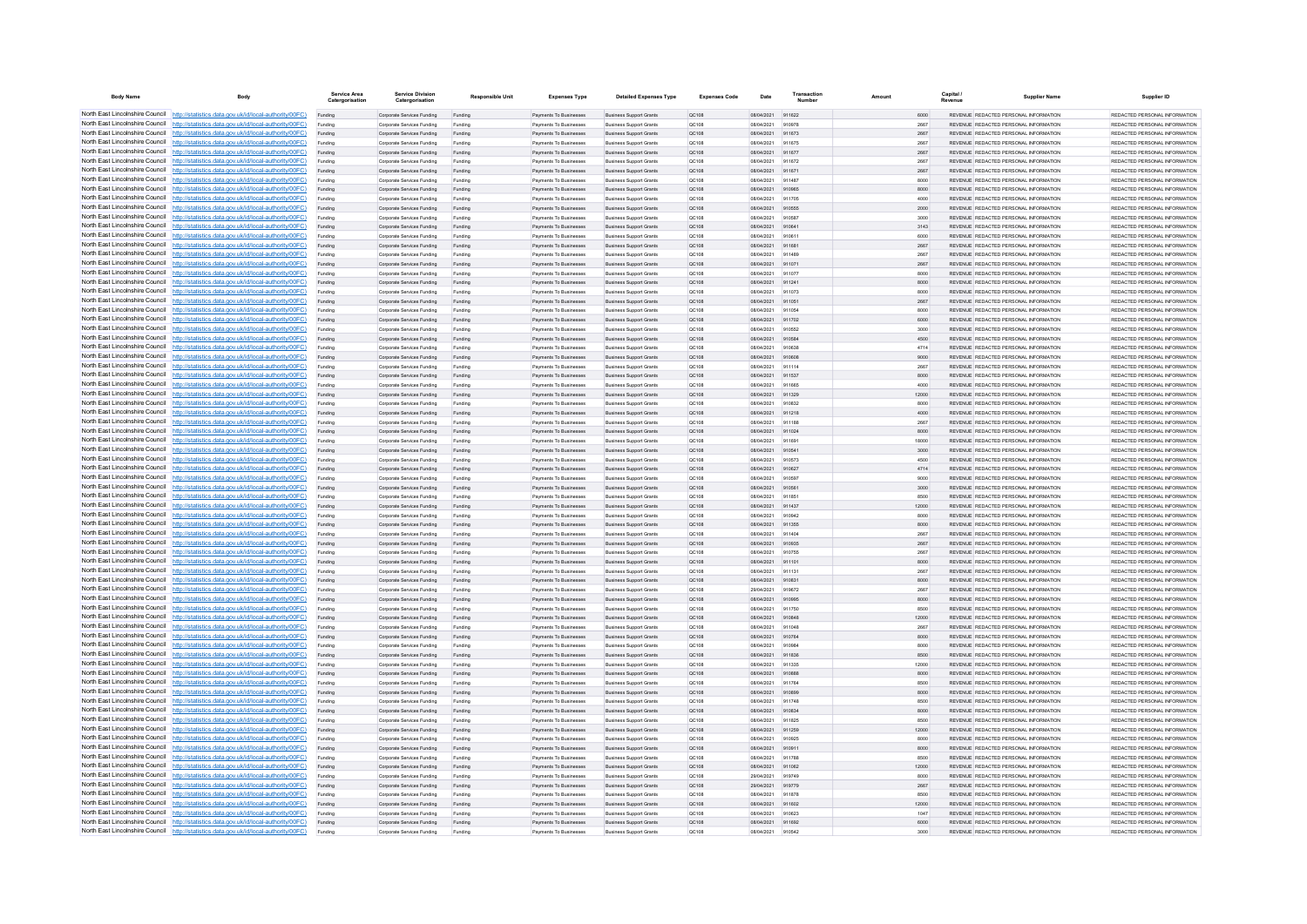| <b>Body Name</b>                                                   | Body                                                                                                                                                                             | Service Area<br>Catergorisation | <b>Service Division</b><br>Catergorisation               | <b>Responsible Unit</b> | <b>Expenses Type</b>                                    | <b>Detailed Expenses Type</b>                                    | <b>Expenses Code</b>  | Date                     | Transactio       | Amount |               | Capital | <b>Supplier Name</b>                                                             | Supplier ID                                                      |
|--------------------------------------------------------------------|----------------------------------------------------------------------------------------------------------------------------------------------------------------------------------|---------------------------------|----------------------------------------------------------|-------------------------|---------------------------------------------------------|------------------------------------------------------------------|-----------------------|--------------------------|------------------|--------|---------------|---------|----------------------------------------------------------------------------------|------------------------------------------------------------------|
|                                                                    | North East Lincolnshire Council http://statistics.data.gov.uk/id/local-authority/00FC)                                                                                           | Funding                         | Corporate Services Funding                               | Funding                 | Payments To Businesses                                  | <b>Business Support Grants</b>                                   | QC108                 | 08/04/2021 911622        |                  |        | 6000          |         | REVENUE REDACTED PERSONAL INFORMATION                                            | REDACTED PERSONAL INFORMATION                                    |
|                                                                    | North East Lincolnshire Council http://statistics.data.gov.uk/id/local-authority/00FC)                                                                                           | Funding                         | Corporate Services Funding                               | Funding                 | <b>Payments To Businesses</b>                           | <b>Business Support Grants</b>                                   | QC108                 | 08/04/2021               | 910978           |        | 2667          |         | REVENUE REDACTED PERSONAL INFORMATION                                            | REDACTED PERSONAL INFORMATION                                    |
|                                                                    | North East Lincolnshire Council http://statistics.data.gov.uk/id/local-authority/00FC)                                                                                           | Funding                         | Corporate Services Funding                               | Funding                 | Payments To Busi                                        | <b>Business Support Grants</b>                                   | QC108                 | 08/04/2021               | 911673           |        | 2667          |         | REVENUE REDACTED PERSONAL INFORMATION                                            | REDACTED PERSONAL INFORMATION                                    |
|                                                                    | North East Lincolnshire Council http://statistics.data.gov.uk/id/local-authority/00FC)<br>North East Lincolnshire Council http://statistics.data.gov.uk/id/local-authority/00FC) | Funding                         | Comorate Services Funding                                | Funding                 | <b>Payments To Businesses</b>                           | <b>Business Sunnort Grants</b>                                   | OC108                 | 08/04/2021               | 911675           |        | 2667          |         | REVENUE REDACTED PERSONAL INFORMATION<br>REVENUE REDACTED PERSONAL INFORMATION   | REDACTED PERSONAL INFORMATION                                    |
|                                                                    | North East Lincolnshire Council http://statistics.data.gov.uk/id/local-authority/00FC)                                                                                           | Funding                         | Corporate Services Funding<br>Corporate Services Funding | Funding<br>Funding      | Payments To Businesses<br>Payments To Businesses        | <b>Business Support Grants</b><br><b>Business Support Grants</b> | <b>QC108</b><br>OC108 | 08/04/2021<br>08/04/2021 | 911677<br>911672 |        | 2667<br>2667  |         | REVENUE REDACTED PERSONAL INFORMATION                                            | REDACTED PERSONAL INFORMATION.<br>REDACTED PERSONAL INFORMATION  |
|                                                                    | North East Lincolnshire Council http://statistics.data.gov.uk/id/local-authority/00FC)                                                                                           | Funding<br>Funding              | Corporate Services Funding                               | Funding                 | Payments To Businesses                                  | <b>Business Support Grants</b>                                   | QC108                 | 08/04/2021               | 911671           |        | 2667          |         | REVENUE REDACTED PERSONAL INFORMATION                                            | REDACTED PERSONAL INFORMATION                                    |
|                                                                    | North East Lincolnshire Council http://statistics.data.gov.uk/id/local-authority/00FC)                                                                                           | Funding                         | Corporate Services Funding                               | Funding                 | <b>Payments To Businesses</b>                           | <b>Business Support Grants</b>                                   | OC108                 | 08/04/2021               | 911487           |        | 8000          |         | REVENUE REDACTED PERSONAL INFORMATION                                            | REDACTED PERSONAL INFORMATION.                                   |
| North East Lincolnshire Council                                    | http://statistics.data.gov.uk/id/local-authority/00FC)                                                                                                                           | Funding                         | Corporate Services Funding                               | Funding                 | Payments To Businesses                                  | <b>Business Support Grants</b>                                   | OC:108                | 08/04/2021               | 910965           |        | 8000          |         | REVENUE REDACTED PERSONAL INFORMATION                                            | REDACTED PERSONAL INFORMATION                                    |
| North East Lincolnshire Council                                    | http://statistics.data.gov.uk/id/local-authority/00FC)                                                                                                                           | Funding                         | Corporate Services Funding                               | Funding                 | Payments To Businessee                                  | <b>Business Support Grants</b>                                   | QC108                 | 08/04/2021               | 911705           |        | 4000          |         | REVENUE REDACTED PERSONAL INFORMATION                                            | REDACTED PERSONAL INFORMATION                                    |
|                                                                    | North East Lincolnshire Council http://statistics.data.gov.uk/id/local-authority/00FC)                                                                                           | Funding                         | Corporate Services Funding                               | Funding                 | Payments To Businesses                                  | <b>Business Support Grants</b>                                   | QC108                 | 08/04/2021               | 910555           |        | 2000          |         | <b>REVENHE REDACTED REPSONAL INFORMATION</b>                                     | <b>PEDACTED PERSONAL INFORMATION</b>                             |
|                                                                    | North East Lincolnshire Council http://statistics.data.gov.uk/id/local-authority/00FC)                                                                                           | Funding                         | Corporate Services Funding                               | Funding                 | Payments To Businesses                                  | <b>Business Support Grants</b>                                   | OC108                 | 08/04/2021               | 910587           |        | 3000          |         | REVENUE REDACTED PERSONAL INFORMATION                                            | REDACTED PERSONAL INFORMATION                                    |
|                                                                    | North East Lincolnshire Council http://statistics.data.gov.uk/id/local-authority/00FC)                                                                                           | Funding                         | Corporate Services Funding                               | Funding                 | Payments To Businesses                                  | <b>Business Support Grants</b>                                   | QC108                 | 08/04/2021               | 910641           |        | 3143          |         | REVENUE REDACTED PERSONAL INFORMATION                                            | REDACTED PERSONAL INFORMATION                                    |
|                                                                    | North East Lincolnshire Council http://statistics.data.gov.uk/id/local-authority/00FC)                                                                                           | Funding                         | Corporate Services Funding                               | Funding                 | Payments To Businessee                                  | <b>Business Support Grants</b>                                   | QC108                 | 08/04/2021               | 910611           |        | 6000          |         | REVENUE REDACTED PERSONAL INFORMATION                                            | REDACTED PERSONAL INFORMATION                                    |
|                                                                    | North East Lincolnshire Council http://statistics.data.gov.uk/id/local-authority/00FC)                                                                                           | Funding                         | Corporate Services Funding                               | Funding                 | Payments To Businesses                                  | <b>Business Support Grants</b>                                   | QC108                 | 08/04/2021               | 911681           |        | 2667          |         | REVENUE REDACTED PERSONAL INFORMATION                                            | REDACTED PERSONAL INFORMATION                                    |
| North East Lincolnshire Council                                    | http://statistics.data.gov.uk/id/local-authority/00FC)                                                                                                                           | Funding                         | Corporate Services Funding                               | Funding                 | Payments To Businessee                                  | <b>Business Support Grants</b>                                   | QC108                 | 08/04/2021               | 911489           |        | 2667          |         | REVENUE REDACTED PERSONAL INFORMATION                                            | REDACTED PERSONAL INFORMATION                                    |
| North East Lincolnshire Council<br>North East Lincolnshire Council | http://statistics.data.gov.uk/id/local-authority/00FC)                                                                                                                           | Funding                         | Corporate Services Funding                               | Funding                 | Payments To Businessee                                  | <b>Business Support Grants</b>                                   | QC108                 | 08/04/2021               | 911071<br>911077 |        | 2667          |         | REVENUE REDACTED PERSONAL INFORMATION                                            | REDACTED PERSONAL INFORMATION                                    |
|                                                                    | http://statistics.data.gov.uk/id/local-authority/00FC)<br>North East Lincolnshire Council http://statistics.data.gov.uk/id/local-authority/00FC)                                 | Funding                         | Corporate Services Funding<br>Comorate Services Funding  | Funding<br>Funding      | Payments To Businessee<br><b>Payments To Businesses</b> | <b>Business Support Grants</b><br><b>Business Sunnort Grants</b> | QC108<br>OC108        | 08/04/2021<br>08/04/2021 | 911241           |        | 8000<br>8000  |         | REVENUE, REDACTED PERSONAL INFORMATION<br>REVENUE, REDACTED PERSONAL INFORMATION | REDACTED PERSONAL INFORMATION.<br>REDACTED PERSONAL INFORMATION. |
|                                                                    | North East Lincolnshire Council   http://statistics.data.gov.uk/id/local-authority/00FC)                                                                                         | Funding<br>Funding              | Corporate Services Funding                               | Funding                 | Payments To Businesses                                  | <b>Business Support Grants</b>                                   | OC108                 | 08/04/2021               | 911073           |        | 8000          |         | REVENUE REDACTED PERSONAL INFORMATION                                            | REDACTED PERSONAL INFORMATION                                    |
|                                                                    | North East Lincolnshire Council http://statistics.data.gov.uk/id/local-authority/00FC)                                                                                           | Funding                         | Corporate Services Funding                               | Funding                 | Payments To Businesses                                  | <b>Business Support Grants</b>                                   | QC108                 | 08/04/2021               | 911051           |        | 2667          |         | REVENUE REDACTED PERSONAL INFORMATION                                            | REDACTED PERSONAL INFORMATION                                    |
|                                                                    | North East Lincolnshire Council   http://statistics.data.gov.uk/id/local-authority/00FC)                                                                                         | Funding                         | Corporate Services Funding                               | Funding                 | Payments To Businesses                                  | <b>Business Support Grants</b>                                   | QC108                 | 08/04/2021               | 911054           |        | 8000          |         | REVENUE REDACTED PERSONAL INFORMATION                                            | REDACTED PERSONAL INFORMATION                                    |
|                                                                    | North East Lincolnshire Council http://statistics.data.gov.uk/id/local-authority/00FC)                                                                                           | Funding                         | Corporate Services Funding                               | Funding                 | <b>Payments To Businesses</b>                           | <b>Business Support Grants</b>                                   | QC108                 | 08/04/2021               | 911702           |        | 6000          |         | REVENUE REDACTED PERSONAL INFORMATION                                            | REDACTED PERSONAL INFORMATION                                    |
| North East Lincolnshire Council                                    | http://statistics.data.gov.uk/id/local-authority/00FC)                                                                                                                           | Funding                         | Corporate Services Funding                               | Funding                 | Payments To Businesses                                  | <b>Business Support Grants</b>                                   | QC108                 | 08/04/2021               | 910552           |        | 3000          |         | REVENUE REDACTED PERSONAL INFORMATION                                            | REDACTED PERSONAL INFORMATION                                    |
|                                                                    | North East Lincolnshire Council http://statistics.data.gov.uk/id/local-authority/00FC)                                                                                           | Funding                         | Corporate Services Funding                               | Funding                 | Payments To Businesses                                  | <b>Business Support Grants</b>                                   | QC108                 | 08/04/2021               | 910584           |        | 4500          |         | REVENUE REDACTED PERSONAL INFORMATION                                            | REDACTED PERSONAL INFORMATION                                    |
|                                                                    | North East Lincolnshire Council http://statistics.data.gov.uk/id/local-authority/00FC)                                                                                           | Funding                         | Corporate Services Funding                               | Funding                 | Payments To Businesses                                  | <b>Business Support Grants</b>                                   | QC108                 | 08/04/2021               | 910638           |        | 4714          |         | REVENUE REDACTED PERSONAL INFORMATION                                            | REDACTED PERSONAL INFORMATION                                    |
|                                                                    | North East Lincolnshire Council http://statistics.data.gov.uk/id/local-authority/00FC)                                                                                           | Funding                         | Corporate Services Funding                               | Funding                 | Payments To Businesses                                  | <b>Business Support Grants</b>                                   | QC108                 | 08/04/2021               | 910608           |        | 9000          |         | REVENUE REDACTED PERSONAL INFORMATION                                            | REDACTED PERSONAL INFORMATION                                    |
|                                                                    | North East Lincolnshire Council http://statistics.data.gov.uk/id/local-authority/00FC)                                                                                           | Funding                         | Corporate Services Funding                               | Funding                 | Payments To Businesses                                  | <b>Business Support Grants</b>                                   | OC108                 | 08/04/2021               | 911114           |        | 2667          |         | REVENUE REDACTED PERSONAL INFORMATION                                            | REDACTED PERSONAL INFORMATION                                    |
|                                                                    | North East Lincolnshire Council http://statistics.data.gov.uk/id/local-authority/00FC)                                                                                           | Funding                         | Corporate Services Funding                               | Funding                 | Payments To Businessee                                  | <b>Business Support Grants</b>                                   | QC108                 | 08/04/2021               | 911537           |        | 8000          |         | REVENUE REDACTED PERSONAL INFORMATION                                            | REDACTED PERSONAL INFORMATION                                    |
|                                                                    | North East Lincolnshire Council http://statistics.data.gov.uk/id/local-authority/00FC)                                                                                           | Funding                         | Corporate Services Funding                               | Funding                 | Payments To Businessee                                  | <b>Business Support Grants</b>                                   | OC108                 | 08/04/2021               | 911665           |        | 4000          |         | REVENUE REDACTED PERSONAL INFORMATION                                            | REDACTED PERSONAL INFORMATION.                                   |
| North East Lincolnshire Council                                    | http://statistics.data.gov.uk/id/local-authority/00FC)                                                                                                                           | Funding                         | Corporate Services Funding                               | Funding                 | Payments To Businesses                                  | <b>Business Support Grants</b>                                   | QC108                 | 08/04/2021               | 911329           |        | 12000         |         | REVENUE REDACTED PERSONAL INFORMATION                                            | REDACTED PERSONAL INFORMATION                                    |
| North East Lincolnshire Council                                    | http://statistics.data.gov.uk/id/local-authority/00FC)                                                                                                                           | Funding                         | Corporate Services Funding                               | Funding                 | Payments To Businesse                                   | <b>Business Support Grants</b>                                   | QC108                 | 08/04/2021               | 910832           |        | 8000          |         | REVENUE REDACTED PERSONAL INFORMATION                                            | REDACTED PERSONAL INFORMATION                                    |
|                                                                    | North East Lincolnshire Council http://statistics.data.gov.uk/id/local-authority/00FC)                                                                                           | Funding                         | Corporate Services Funding                               | Funding                 | Payments To Businesses                                  | <b>Business Support Grants</b>                                   | QC108                 | 08/04/2021               | 911218           |        | 4000          |         | REVENUE REDACTED PERSONAL INFORMATION                                            | REDACTED PERSONAL INFORMATION.                                   |
|                                                                    | North East Lincolnshire Council http://statistics.data.gov.uk/id/local-authority/00FC)<br>North East Lincolnshire Council http://statistics.data.gov.uk/id/local-authority/00FC) | Funding                         | Corporate Services Funding                               | Funding                 | Payments To Businessee                                  | <b>Business Support Grants</b>                                   | QC108                 | 08/04/2021               | 011188           |        | 2667          |         | REVENUE REDACTED PERSONAL INFORMATION                                            | REDACTED PERSONAL INFORMATION                                    |
|                                                                    | North East Lincolnshire Council http://statistics.data.gov.uk/id/local-authority/00FC)                                                                                           | Funding                         | Corporate Services Funding<br>Corporate Services Funding | Funding                 | Payments To Businesses<br>Payments To Businesses        | <b>Business Support Grants</b><br><b>Business Support Grants</b> | QC108<br>OC108        | 08/04/2021<br>08/04/2021 | 911024<br>911691 |        | 8000<br>18000 |         | REVENUE REDACTED PERSONAL INFORMATION<br>REVENUE REDACTED PERSONAL INFORMATION   | REDACTED PERSONAL INFORMATION<br>REDACTED PERSONAL INFORMATION   |
|                                                                    | North East Lincolnshire Council http://statistics.data.gov.uk/id/local-authority/00FC)                                                                                           | Funding<br>Funding              | Corporate Services Funding                               | Funding<br>Funding      | Payments To Businesses                                  | <b>Business Support Grants</b>                                   | QC108                 | 08/04/2021               | 910541           |        | 3000          |         | REVENUE REDACTED PERSONAL INFORMATION                                            | REDACTED PERSONAL INFORMATION                                    |
|                                                                    | North East Lincolnshire Council http://statistics.data.gov.uk/id/local-authority/00FC)                                                                                           | Funding                         | Corporate Services Funding                               | Funding                 | Payments To Businesses                                  | <b>Business Support Grants</b>                                   | QC108                 | 08/04/2021               | 910573           |        | 4500          |         | REVENUE REDACTED PERSONAL INFORMATION                                            | REDACTED PERSONAL INFORMATION                                    |
| North East Lincolnshire Council                                    | http://statistics.data.gov.uk/id/local-authority/00FC)                                                                                                                           | Funding                         | Corporate Services Funding                               | Funding                 | Payments To Businesses                                  | <b>Business Support Grants</b>                                   | QC108                 | 08/04/2021               | 910627           |        | 4714          |         | REVENUE REDACTED PERSONAL INFORMATION                                            | REDACTED PERSONAL INFORMATION                                    |
|                                                                    | North East Lincolnshire Council http://statistics.data.gov.uk/id/local-authority/00FC)                                                                                           | Funding                         | Corporate Services Funding                               | Funding                 | Payments To Businesses                                  | <b>Business Support Grants</b>                                   | QC108                 | 08/04/2021               | 910597           |        | 9000          |         | REVENUE REDACTED PERSONAL INFORMATION                                            | REDACTED PERSONAL INFORMATION                                    |
|                                                                    | North East Lincolnshire Council http://statistics.data.gov.uk/id/local-authority/00FC)                                                                                           |                                 | Corporate Services Funding                               | Funding                 | Payments To Businesses                                  | <b>Business Support Grants</b>                                   | QC108                 | 08/04/2021               | 910561           |        | 3000          |         | REVENUE REDACTED PERSONAL INFORMATION                                            | REDACTED PERSONAL INFORMATION                                    |
|                                                                    | North East Lincolnshire Council http://statistics.data.gov.uk/id/local-authority/00FC)                                                                                           | Funding                         | Comorate Services Funding                                | Funding                 | <b>Payments To Businesses</b>                           | <b>Business Sunnort Grants</b>                                   | OCD108                | 08/04/2021               | 911851           |        | 8500          |         | REVENUE REDACTED PERSONAL INFORMATION                                            | REDACTED PERSONAL INFORMATION.                                   |
|                                                                    | North East Lincolnshire Council http://statistics.data.gov.uk/id/local-authority/00FC)                                                                                           | Funding                         | Corporate Services Funding                               | Funding                 | Payments To Businesses                                  | <b>Business Support Grants</b>                                   | <b>QC108</b>          | 08/04/2021               | 911437           |        | 12000         |         | REVENUE REDACTED PERSONAL INFORMATION                                            | REDACTED PERSONAL INFORMATION                                    |
|                                                                    | North East Lincolnshire Council http://statistics.data.gov.uk/id/local-authority/00FC)                                                                                           | Funding                         | Corporate Services Funding                               | Funding                 | Payments To Businessee                                  | <b>Business Support Grants</b>                                   | QC108                 | 08/04/2021               | 910942           |        | 8000          |         | REVENUE REDACTED PERSONAL INFORMATION                                            | REDACTED PERSONAL INFORMATION                                    |
|                                                                    | North East Lincolnshire Council http://statistics.data.gov.uk/id/local-authority/00FC)                                                                                           | Funding                         | Corporate Services Funding                               | Funding                 | Payments To Businesses                                  | <b>Business Support Grants</b>                                   | QC108                 | 08/04/2021               | 911355           |        | 8000          |         | REVENUE REDACTED PERSONAL INFORMATION                                            | REDACTED PERSONAL INFORMATION                                    |
| North East Lincolnshire Council                                    | http://statistics.data.gov.uk/id/local-authority/00EC)                                                                                                                           | Funding                         | Comorate Services Funding                                | Funding                 | <b>Payments To Businessee</b>                           | <b>Business Sunnort Grants</b>                                   | OC108                 | 08/04/2021               | 911404           |        | 2667          |         | REVENUE REDACTED PERSONAL INFORMATION                                            | REDACTED PERSONAL INFORMATION.                                   |
|                                                                    | North East Lincolnshire Council http://statistics.data.gov.uk/id/local-authority/00FC)                                                                                           | Funding                         | Corporate Services Funding                               | Funding                 | Payments To Businessee                                  | <b>Business Support Grants</b>                                   | QC108                 | 08/04/2021               | 910935           |        | 2667          |         | REVENUE REDACTED PERSONAL INFORMATION                                            | REDACTED PERSONAL INFORMATION                                    |
|                                                                    | North East Lincolnshire Council http://statistics.data.gov.uk/id/local-authority/00FC)<br>North East Lincolnshire Council http://statistics.data.gov.uk/id/local-authority/00FC) | Funding                         | Corporate Services Funding                               | Funding                 | Payments To Businesse                                   | <b>Business Support Grants</b>                                   | QC108                 | 08/04/2021               | 910755           |        | 2667          |         | REVENUE REDACTED PERSONAL INFORMATION                                            | REDACTED PERSONAL INFORMATION                                    |
|                                                                    | North East Lincolnshire Council http://statistics.data.gov.uk/id/local-authority/00FC)                                                                                           | Funding                         | Corporate Services Funding                               | Funding                 | Payments To Businesses                                  | <b>Business Support Grants</b>                                   | QC108                 | 08/04/2021               | 911101           |        | 8000          |         | REVENUE REDACTED PERSONAL INFORMATION                                            | REDACTED PERSONAL INFORMATION<br>REDACTED PERSONAL INFORMATION   |
|                                                                    | North East Lincolnshire Council http://statistics.data.gov.uk/id/local-authority/00FC)                                                                                           | Funding<br>Funding              | Corporate Services Funding<br>Corporate Services Funding | Funding<br>Funding      | Payments To Businesses<br>Payments To Businesses        | <b>Business Support Grants</b><br><b>Business Support Grants</b> | OC108<br>QC108        | 08/04/2021<br>08/04/2021 | 911131<br>910831 |        | 2667<br>8000  |         | REVENUE REDACTED PERSONAL INFORMATION<br>REVENUE REDACTED PERSONAL INFORMATION   | REDACTED PERSONAL INFORMATION                                    |
|                                                                    | North East Lincolnshire Council http://statistics.data.gov.uk/id/local-authority/00FC)                                                                                           | Funding                         | Corporate Services Funding                               | Funding                 | Payments To Businesses                                  | <b>Business Support Grants</b>                                   | QC108                 | 29/04/2021               | 919672           |        | 2667          |         | REVENUE REDACTED PERSONAL INFORMATION                                            | REDACTED PERSONAL INFORMATION                                    |
|                                                                    | North East Lincolnshire Council http://statistics.data.gov.uk/id/local-authority/00FC)                                                                                           | Funding                         | Corporate Services Funding                               | Funding                 | Payments To Businesses                                  | <b>Business Support Grants</b>                                   | QC108                 | 08/04/2021               | 910995           |        | 8000          |         | REVENUE REDACTED PERSONAL INFORMATION                                            | REDACTED PERSONAL INFORMATION.                                   |
| North East Lincolnshire Council                                    | http://statistics.data.gov.uk/id/local-authority/00EC)                                                                                                                           | Funding                         | Corporate Services Funding                               | Funding                 | Payments To Businesses                                  | <b>Business Support Grants</b>                                   | QC108                 | 08/04/2021               | 911750           |        | 8500          |         | REVENUE REDACTED PERSONAL INFORMATION                                            | REDACTED PERSONAL INFORMATION                                    |
|                                                                    | North East Lincolnshire Council http://statistics.data.gov.uk/id/local-authority/00FC)                                                                                           | Funding                         | Corporate Services Funding                               | Funding                 | Payments To Businesses                                  | <b>Business Support Grants</b>                                   | QC108                 | 08/04/2021               | 910848           |        | 12000         |         | REVENUE REDACTED PERSONAL INFORMATION                                            | REDACTED PERSONAL INFORMATION                                    |
|                                                                    | North East Lincolnshire Council http://statistics.data.gov.uk/id/local-authority/00FC)                                                                                           |                                 | Corporate Services Funding                               | Funding                 | Payments To Businessee                                  | <b>Business Support Grants</b>                                   | QC108                 | 08/04/2021               | 011048           |        | 2667          |         | REVENUE REDACTED PERSONAL INFORMATION                                            | REDACTED PERSONAL INFORMATION                                    |
|                                                                    | North East Lincolnshire Council http://statistics.data.gov.uk/id/local-authority/00FC)                                                                                           | Funding                         | Corporate Services Funding                               | Funding                 | <b>Payments To Businesses</b>                           | <b>Business Support Grants</b>                                   | OC108                 | 08/04/2021               | 910764           |        | 8000          |         | REVENUE REDACTED PERSONAL INFORMATION                                            | REDACTED PERSONAL INFORMATION.                                   |
|                                                                    | North East Lincolnshire Council http://statistics.data.gov.uk/id/local-authority/00FC)                                                                                           | Funding                         | Corporate Services Funding                               | Funding                 | Payments To Businesses                                  | <b>Business Support Grants</b>                                   | OC108                 | 08/04/2021               | 910984           |        | 8000          |         | REVENUE REDACTED PERSONAL INFORMATION                                            | REDACTED PERSONAL INFORMATION                                    |
|                                                                    | North East Lincolnshire Council http://statistics.data.gov.uk/id/local-authority/00FC)                                                                                           | Funding                         | Corporate Services Funding                               | Funding                 | Payments To Businesses                                  | <b>Business Support Grants</b>                                   | QC108                 | 08/04/2021               | 911836           |        | 8500          |         | REVENUE REDACTED PERSONAL INFORMATION                                            | REDACTED PERSONAL INFORMATION                                    |
|                                                                    | North East Lincolnshire Council http://statistics.data.gov.uk/id/local-authority/00FC)                                                                                           | Funding                         | Corporate Services Funding                               | Funding                 | Payments To Businessee                                  | <b>Business Support Grants</b>                                   | QC108                 | 08/04/2021               | 911335           |        | 12000         |         | REVENUE REDACTED PERSONAL INFORMATION                                            | REDACTED PERSONAL INFORMATION                                    |
| North East Lincolnshire Council                                    | http://statistics.data.gov.uk/id/local-authority/00FC)                                                                                                                           | Funding                         | Corporate Services Funding                               | Funding                 | Payments To Businessee                                  | <b>Business Support Grants</b>                                   | QC108                 | 08/04/2021               | 910888           |        | 8000          |         | REVENUE REDACTED PERSONAL INFORMATION                                            | REDACTED PERSONAL INFORMATION                                    |
|                                                                    | North East Lincolnshire Council http://statistics.data.gov.uk/id/local-authority/00FC)<br>North East Lincolnshire Council http://statistics.data.gov.uk/id/local-authority/00FC) | Funding                         | Corporate Services Funding                               | Funding                 | Payments To Businessee                                  | <b>Business Support Grants</b>                                   | QC108                 | 08/04/2021               | 911764           |        | 8500          |         | REVENUE REDACTED PERSONAL INFORMATION                                            | REDACTED PERSONAL INFORMATION                                    |
|                                                                    | North East Lincolnshire Council http://statistics.data.gov.uk/id/local-authority/00FC)                                                                                           | Funding                         | Corporate Services Funding<br>Comorate Services Funding  | Funding                 | Payments To Businessee<br>Payments To Businesses        | <b>Business Support Grants</b>                                   | QC108<br>00108        | 08/04/2021<br>08/04/2021 | 910899<br>911748 |        | 8000<br>8500  |         | REVENUE REDACTED PERSONAL INFORMATION<br>REVENUE REDACTED PERSONAL INFORMATION   | REDACTED PERSONAL INFORMATION<br>REDACTED PERSONAL INFORMATION   |
|                                                                    | North East Lincolnshire Council http://statistics.data.gov.uk/id/local-authority/00FC)                                                                                           | Funding<br>Funding              | Corporate Services Funding                               | Funding<br>Funding      | Payments To Businesses                                  | <b>Business Support Grants</b><br><b>Business Support Grants</b> | QC108                 | 08/04/2021               | 910834           |        | 8000          |         | REVENUE REDACTED PERSONAL INFORMATION                                            | REDACTED PERSONAL INFORMATION                                    |
|                                                                    | North East Lincolnshire Council http://statistics.data.gov.uk/id/local-authority/00FC)                                                                                           | Funding                         | Corporate Services Funding                               | Funding                 | Payments To Businesses                                  | <b>Business Support Grants</b>                                   | OC108                 | 08/04/2021               | 911825           |        | 8500          |         | REVENUE REDACTED PERSONAL INFORMATION                                            | REDACTED PERSONAL INFORMATION                                    |
|                                                                    | North East Lincolnshire Council http://statistics.data.gov.uk/id/local-authority/00FC)                                                                                           | Funding                         | Corporate Services Funding                               | Funding                 | Payments To Businesses                                  | <b>Business Support Grants</b>                                   | QC108                 | 08/04/2021               | 911259           |        | 12000         |         | REVENUE REDACTED PERSONAL INFORMATION                                            | REDACTED PERSONAL INFORMATION                                    |
|                                                                    | North East Lincolnshire Council http://statistics.data.gov.uk/id/local-authority/00FC)                                                                                           | Funding                         | Corporate Services Funding                               | Funding                 | <b>Payments To Businesses</b>                           | <b>Business Support Grants</b>                                   | OC108                 | 08/04/2021               | 910925           |        | 8000          |         | REVENUE REDACTED PERSONAL INFORMATION                                            | REDACTED PERSONAL INFORMATION.                                   |
| North East Lincolnshire Council                                    | http://statistics.data.gov.uk/id/local-authority/00EC)                                                                                                                           | Funding                         | Corporate Services Funding                               | Funding                 | Payments To Businesses                                  | <b>Business Support Grants</b>                                   | <b>QC108</b>          | 08/04/2021               | 910911           |        | 8000          |         | REVENUE REDACTED PERSONAL INFORMATION                                            | REDACTED PERSONAL INFORMATION                                    |
|                                                                    | North East Lincolnshire Council http://statistics.data.gov.uk/id/local-authority/00FC)                                                                                           | Funding                         | Corporate Services Funding                               | Funding                 | Payments To Businesses                                  | <b>Business Support Grants</b>                                   | QC108                 | 08/04/2021               | 911788           |        | 8500          |         | REVENUE REDACTED PERSONAL INFORMATION                                            | REDACTED PERSONAL INFORMATION                                    |
|                                                                    | North East Lincolnshire Council http://statistics.data.gov.uk/id/local-authority/00FC)                                                                                           |                                 | Corporate Services Funding                               | Funding                 | Payments To Businesses                                  | <b>Business Support Grants</b>                                   | QC108                 | 08/04/2021               | 911062           |        | 12000         |         | REVENUE REDACTED PERSONAL INFORMATION                                            | REDACTED PERSONAL INFORMATION                                    |
|                                                                    | North East Lincolnshire Council http://statistics.data.gov.uk/id/local-authority/00FC)                                                                                           | Funding                         | Corporate Services Funding                               | Funding                 | Payments To Businesses                                  | <b>Business Support Grants</b>                                   | OC108                 | 29/04/2021               | 919749           |        | 8000          |         | REVENUE REDACTED PERSONAL INFORMATION                                            | REDACTED PERSONAL INFORMATION                                    |
|                                                                    | North East Lincolnshire Council http://statistics.data.gov.uk/id/local-authority/00FC)                                                                                           | Funding                         | Corporate Services Funding                               | Funding                 | Payments To Businesses                                  | <b>Business Support Grants</b>                                   | QC108                 | 29/04/2021               | 919779           |        | 2667          |         | REVENUE REDACTED PERSONAL INFORMATION                                            | REDACTED PERSONAL INFORMATION                                    |
|                                                                    | North East Lincolnshire Council http://statistics.data.gov.uk/id/local-authority/00FC)                                                                                           | Funding                         | Corporate Services Funding                               | Funding                 | Payments To Businessee                                  | <b>Business Support Grants</b>                                   | QC108                 | 08/04/2021               | 911878           |        | 8500          |         | REVENUE REDACTED PERSONAL INFORMATION                                            | REDACTED PERSONAL INFORMATION                                    |
|                                                                    | North East Lincolnshire Council http://statistics.data.gov.uk/id/local-authority/00FC)                                                                                           | Funding                         | Corporate Services Funding                               | Funding                 | Payments To Businesses                                  | <b>Business Support Grants</b>                                   | QC108                 | 08/04/2021               | 911602           |        | 12000         |         | REVENUE REDACTED PERSONAL INFORMATION                                            | REDACTED PERSONAL INFORMATION                                    |
|                                                                    | North East Lincolnshire Council http://statistics.data.gov.uk/id/local-authority/00FC)                                                                                           | Funding                         | Corporate Services Funding                               | Funding                 | Payments To Businessee                                  | <b>Business Support Grants</b>                                   | QC108                 | 08/04/2021               | 910623           |        | 1047          |         | REVENUE REDACTED PERSONAL INFORMATION                                            | REDACTED PERSONAL INFORMATION                                    |
|                                                                    | North East Lincolnshire Council http://statistics.data.gov.uk/id/local-authority/00FC)                                                                                           | Funding                         | Corporate Services Funding                               | Funding                 | Payments To Businesses                                  | <b>Business Support Grants</b>                                   | QC108                 | 08/04/2021               | 911692           |        | 6000          |         | REVENUE REDACTED PERSONAL INFORMATION                                            | REDACTED PERSONAL INFORMATION                                    |
|                                                                    | North East Lincolnshire Council http://statistics.data.gov.uk/id/local-authority/00FC)                                                                                           |                                 | Corporate Services Funding                               | Funding                 | Payments To Businesse                                   | <b>Business Support Grants</b>                                   | QC108                 | 08/04/2021               | 910542           |        | 3000          |         | REVENUE REDACTED PERSONAL INFORMATION                                            | REDACTED PERSONAL INFORMATION                                    |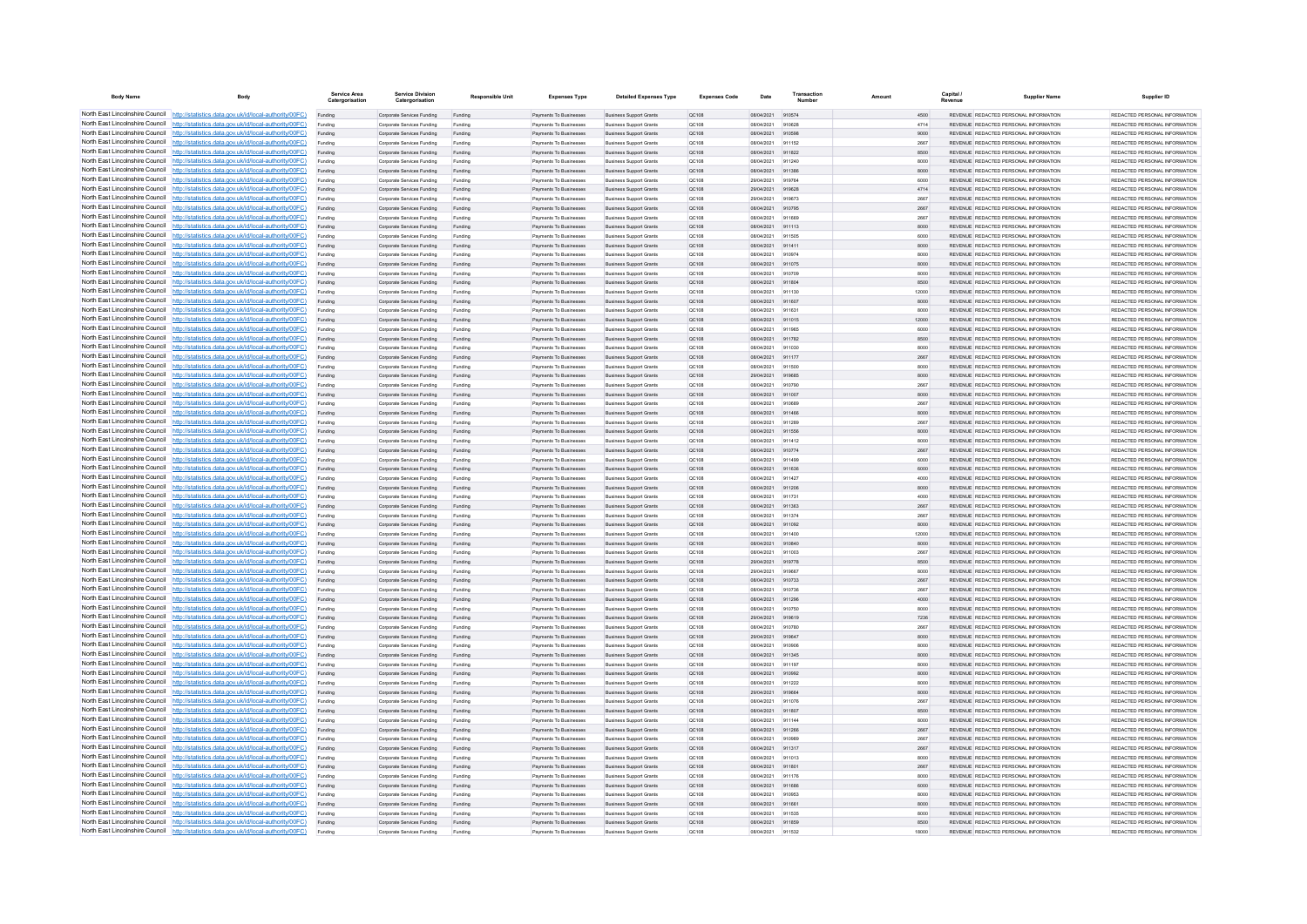| <b>Body Name</b>                | Body                                                                                                                                                                             | Service Area<br>Catergorisation | <b>Service Division</b><br>Catergorisation               | <b>Responsible Unit</b> | <b>Expenses Type</b>                                    | <b>Detailed Expenses Type</b>                                    | <b>Expenses Code</b>  | Date                     | Transactio       | Amount |              | Capital | <b>Supplier Name</b>                                                           | Supplier ID                                                     |
|---------------------------------|----------------------------------------------------------------------------------------------------------------------------------------------------------------------------------|---------------------------------|----------------------------------------------------------|-------------------------|---------------------------------------------------------|------------------------------------------------------------------|-----------------------|--------------------------|------------------|--------|--------------|---------|--------------------------------------------------------------------------------|-----------------------------------------------------------------|
|                                 | North East Lincolnshire Council http://statistics.data.gov.uk/id/local-authority/00FC)                                                                                           | Funding                         | Corporate Services Funding                               | Funding                 | Payments To Businesses                                  | <b>Business Support Grants</b>                                   | QC108                 | 08/04/2021 910574        |                  |        | 4500         |         | REVENUE REDACTED PERSONAL INFORMATION                                          | REDACTED PERSONAL INFORMATION                                   |
|                                 | North East Lincolnshire Council http://statistics.data.gov.uk/id/local-authority/00FC)                                                                                           | Funding                         | Corporate Services Funding                               | Funding                 | <b>Payments To Businesses</b>                           | <b>Business Support Grants</b>                                   | QC108                 | 08/04/2021               | 910628           |        | 4714         |         | REVENUE REDACTED PERSONAL INFORMATION                                          | REDACTED PERSONAL INFORMATION                                   |
|                                 | North East Lincolnshire Council http://statistics.data.gov.uk/id/local-authority/00FC)                                                                                           | Funding                         | Corporate Services Funding                               | Funding                 | Payments To Busi                                        | <b>Business Support Grants</b>                                   | QC108                 | 08/04/2021               | 910598           |        | 9000         |         | REVENUE REDACTED PERSONAL INFORMATION                                          | REDACTED PERSONAL INFORMATION                                   |
|                                 | North East Lincolnshire Council http://statistics.data.gov.uk/id/local-authority/00FC)<br>North East Lincolnshire Council http://statistics.data.gov.uk/id/local-authority/00FC) | Funding                         | Comorate Services Funding                                | Funding                 | <b>Payments To Businesses</b>                           | <b>Business Sunnort Grants</b>                                   | OC108                 | 08/04/2021               | 911152<br>911822 |        | 2667         |         | REVENUE REDACTED PERSONAL INFORMATION<br>REVENUE REDACTED PERSONAL INFORMATION | REDACTED PERSONAL INFORMATION<br>REDACTED PERSONAL INFORMATION. |
|                                 | North East Lincolnshire Council http://statistics.data.gov.uk/id/local-authority/00FC)                                                                                           | Funding<br>Funding              | Corporate Services Funding<br>Corporate Services Funding | Funding<br>Funding      | Payments To Businesses<br>Payments To Businesses        | <b>Business Support Grants</b><br><b>Business Support Grants</b> | <b>QC108</b><br>OC108 | 08/04/2021<br>08/04/2021 | 911240           |        | 8500<br>8000 |         | REVENUE REDACTED PERSONAL INFORMATION                                          | REDACTED PERSONAL INFORMATION                                   |
|                                 | North East Lincolnshire Council http://statistics.data.gov.uk/id/local-authority/00FC)                                                                                           | Funding                         | Corporate Services Funding                               | Funding                 | Payments To Businesses                                  | <b>Business Support Grants</b>                                   | QC108                 | 08/04/2021               | 911386           |        | 8000         |         | REVENUE REDACTED PERSONAL INFORMATION                                          | REDACTED PERSONAL INFORMATION                                   |
|                                 | North East Lincolnshire Council http://statistics.data.gov.uk/id/local-authority/00FC)                                                                                           | Funding                         | Corporate Services Funding                               | Funding                 | <b>Payments To Businesses</b>                           | <b>Business Support Grants</b>                                   | OC108                 | 29/04/2021               | 919764           |        | 6000         |         | REVENUE, REDACTED PERSONAL INFORMATION                                         | REDACTED PERSONAL INFORMATION.                                  |
| North East Lincolnshire Council | http://statistics.data.gov.uk/id/local-authority/00FC)                                                                                                                           | Funding                         | Corporate Services Funding                               | Funding                 | Payments To Businesses                                  | <b>Business Support Grants</b>                                   | OC:108                | 29/04/2021               | 919628           |        | 4714         |         | REVENUE REDACTED PERSONAL INFORMATION                                          | REDACTED PERSONAL INFORMATION                                   |
| North East Lincolnshire Council | http://statistics.data.gov.uk/id/local-authority/00FC)                                                                                                                           | Funding                         | Corporate Services Funding                               | Funding                 | Payments To Businessee                                  | <b>Business Support Grants</b>                                   | QC108                 | 29/04/2021               | 919672           |        | 2667         |         | REVENUE REDACTED PERSONAL INFORMATION                                          | REDACTED PERSONAL INFORMATION                                   |
|                                 | North East Lincolnshire Council http://statistics.data.gov.uk/id/local-authority/00FC)                                                                                           |                                 | Corporate Services Funding                               | Funding                 | Payments To Businesses                                  | <b>Business Support Grants</b>                                   | QC108                 | 08/04/2021               | 910795           |        | 2667         |         | <b>REVENHE REDACTED REPSONAL INFORMATION</b>                                   | <b>PEDACTED PERSONAL INFORMATION</b>                            |
|                                 | North East Lincolnshire Council http://statistics.data.gov.uk/id/local-authority/00FC)                                                                                           | Funding                         | Corporate Services Funding                               | Funding                 | Payments To Businesses                                  | <b>Business Support Grants</b>                                   | OC108                 | 08/04/2021               | 911669           |        | 2667         |         | REVENUE REDACTED PERSONAL INFORMATION                                          | REDACTED PERSONAL INFORMATION                                   |
|                                 | North East Lincolnshire Council http://statistics.data.gov.uk/id/local-authority/00FC)                                                                                           | Funding                         | Corporate Services Funding                               | Funding                 | Payments To Businesses                                  | <b>Business Support Grants</b>                                   | QC108                 | 08/04/2021               | 911113           |        | 8000         |         | REVENUE REDACTED PERSONAL INFORMATION                                          | REDACTED PERSONAL INFORMATION                                   |
|                                 | North East Lincolnshire Council http://statistics.data.gov.uk/id/local-authority/00FC)                                                                                           | Funding                         | Corporate Services Funding                               | Funding                 | Payments To Businessee                                  | <b>Business Support Grants</b>                                   | QC108                 | 08/04/2021               | 911505           |        | 6000         |         | REVENUE REDACTED PERSONAL INFORMATION                                          | REDACTED PERSONAL INFORMATION                                   |
| North East Lincolnshire Council | North East Lincolnshire Council http://statistics.data.gov.uk/id/local-authority/00FC)<br>http://statistics.data.gov.uk/id/local-authority/00FC)                                 | Funding<br>Funding              | Corporate Services Funding<br>Corporate Services Funding | Funding<br>Funding      | Payments To Businesses<br>Payments To Businessee        | <b>Business Support Grants</b><br><b>Business Support Grants</b> | QC108<br>QC108        | 08/04/2021<br>08/04/2021 | 911411<br>910974 |        | 8000<br>8000 |         | REVENUE REDACTED PERSONAL INFORMATION<br>REVENUE REDACTED PERSONAL INFORMATION | REDACTED PERSONAL INFORMATION<br>REDACTED PERSONAL INFORMATION  |
| North East Lincolnshire Council | http://statistics.data.gov.uk/id/local-authority/00FC)                                                                                                                           | Funding                         | Corporate Services Funding                               | Funding                 | Payments To Businessee                                  | <b>Business Support Grants</b>                                   | QC108                 | 08/04/2021               | 911075           |        | 8000         |         | REVENUE REDACTED PERSONAL INFORMATION                                          | REDACTED PERSONAL INFORMATION                                   |
| North East Lincolnshire Council | http://statistics.data.gov.uk/id/local-authority/00FC)                                                                                                                           | Funding                         | Corporate Services Funding                               | Funding                 | Payments To Businessee                                  | <b>Business Support Grants</b>                                   | QC108                 | 08/04/2021               | 910709           |        | 8000         |         | REVENUE, REDACTED PERSONAL INFORMATION                                         | REDACTED PERSONAL INFORMATION.                                  |
|                                 | North East Lincolnshire Council http://statistics.data.gov.uk/id/local-authority/00FC)                                                                                           | Funding                         | Comorate Services Funding                                | Funding                 | <b>Payments To Businesses</b>                           | <b>Business Sunnort Grants</b>                                   | OC108                 | 08/04/2021               | 911804           |        | 8500         |         | REVENUE, REDACTED PERSONAL INFORMATION                                         | REDACTED PERSONAL INFORMATION.                                  |
|                                 | North East Lincolnshire Council   http://statistics.data.gov.uk/id/local-authority/00FC)                                                                                         | Funding                         | Corporate Services Funding                               | Funding                 | Payments To Businesses                                  | <b>Business Support Grants</b>                                   | OC108                 | 08/04/2021               | 911130           |        | 12000        |         | REVENUE REDACTED PERSONAL INFORMATION                                          | REDACTED PERSONAL INFORMATION                                   |
|                                 | North East Lincolnshire Council http://statistics.data.gov.uk/id/local-authority/00FC)                                                                                           | Funding                         | Corporate Services Funding                               | Funding                 | Payments To Businesses                                  | <b>Business Support Grants</b>                                   | QC108                 | 08/04/2021               | 911607           |        | 8000         |         | REVENUE REDACTED PERSONAL INFORMATION                                          | REDACTED PERSONAL INFORMATION                                   |
|                                 | North East Lincolnshire Council   http://statistics.data.gov.uk/id/local-authority/00FC)                                                                                         | Funding                         | Corporate Services Funding                               | Funding                 | Payments To Businesses                                  | <b>Business Support Grants</b>                                   | QC108                 | 08/04/2021               | 911631           |        | 8000         |         | REVENUE REDACTED PERSONAL INFORMATION                                          | REDACTED PERSONAL INFORMATION                                   |
|                                 | North East Lincolnshire Council http://statistics.data.gov.uk/id/local-authority/00FC)                                                                                           | Funding                         | Corporate Services Funding                               | Funding                 | <b>Payments To Businesses</b>                           | <b>Business Support Grants</b>                                   | QC108                 | 08/04/2021               | 911015           |        | 12000        |         | REVENUE REDACTED PERSONAL INFORMATION                                          | REDACTED PERSONAL INFORMATION                                   |
| North East Lincolnshire Council | http://statistics.data.gov.uk/id/local-authority/00FC)                                                                                                                           | Funding                         | Corporate Services Funding                               | Funding                 | Payments To Businesses                                  | <b>Business Support Grants</b>                                   | QC108                 | 08/04/2021               | 911965           |        | 6000         |         | REVENUE REDACTED PERSONAL INFORMATION                                          | REDACTED PERSONAL INFORMATION                                   |
|                                 | North East Lincolnshire Council http://statistics.data.gov.uk/id/local-authority/00FC)                                                                                           | Funding                         | Corporate Services Funding                               | Funding                 | Payments To Businesses                                  | <b>Business Support Grants</b>                                   | QC108                 | 08/04/2021               | 911782           |        | 8500         |         | REVENUE REDACTED PERSONAL INFORMATION                                          | REDACTED PERSONAL INFORMATION                                   |
|                                 | North East Lincolnshire Council http://statistics.data.gov.uk/id/local-authority/00FC)<br>North East Lincolnshire Council http://statistics.data.gov.uk/id/local-authority/00FC) | Funding                         | Corporate Services Funding                               | Funding                 | Payments To Businesses                                  | <b>Business Support Grants</b>                                   | QC108                 | 08/04/2021               | 911030           |        | 8000         |         | REVENUE REDACTED PERSONAL INFORMATION                                          | REDACTED PERSONAL INFORMATION<br>REDACTED PERSONAL INFORMATION  |
|                                 | North East Lincolnshire Council http://statistics.data.gov.uk/id/local-authority/00FC)                                                                                           | Funding<br>Funding              | Corporate Services Funding<br>Corporate Services Funding | Funding<br>Funding      | Payments To Businesses<br>Payments To Businesses        | <b>Business Support Grants</b><br><b>Business Support Grants</b> | QC108<br>OC108        | 08/04/2021<br>08/04/2021 | 911177<br>911500 |        | 2667<br>8000 |         | REVENUE REDACTED PERSONAL INFORMATION<br>REVENUE REDACTED PERSONAL INFORMATION | REDACTED PERSONAL INFORMATION                                   |
|                                 | North East Lincolnshire Council http://statistics.data.gov.uk/id/local-authority/00FC)                                                                                           | Funding                         | Corporate Services Funding                               | Funding                 | Payments To Businessee                                  | <b>Business Support Grants</b>                                   | QC108                 | 29/04/2021               | 919685           |        | 8000         |         | REVENUE REDACTED PERSONAL INFORMATION                                          | REDACTED PERSONAL INFORMATION                                   |
|                                 | North East Lincolnshire Council http://statistics.data.gov.uk/id/local-authority/00FC)                                                                                           | Funding                         | Corporate Services Funding                               | Funding                 | Payments To Businessee                                  | <b>Business Support Grants</b>                                   | OC108                 | 08/04/2021               | 910790           |        | 2667         |         | REVENUE REDACTED PERSONAL INFORMATION                                          | REDACTED PERSONAL INFORMATION.                                  |
| North East Lincolnshire Council | http://statistics.data.gov.uk/id/local-authority/00FC)                                                                                                                           | Funding                         | Corporate Services Funding                               | Funding                 | Payments To Businesses                                  | <b>Business Support Grants</b>                                   | QC108                 | 08/04/2021               | 911007           |        | 8000         |         | REVENUE REDACTED PERSONAL INFORMATION                                          | REDACTED PERSONAL INFORMATION                                   |
| North East Lincolnshire Council | http://statistics.data.gov.uk/id/local-authority/00FC)                                                                                                                           | Funding                         | Corporate Services Funding                               | Funding                 | Payments To Businesse                                   | <b>Business Support Grants</b>                                   | QC108                 | 08/04/2021               | 91068            |        | 2667         |         | REVENUE REDACTED PERSONAL INFORMATION                                          | REDACTED PERSONAL INFORMATION                                   |
|                                 | North East Lincolnshire Council http://statistics.data.gov.uk/id/local-authority/00FC)                                                                                           | Funding                         | Corporate Services Funding                               | Funding                 | Payments To Businesses                                  | <b>Business Support Grants</b>                                   | QC108                 | 08/04/2021               | 911466           |        | 8000         |         | REVENUE REDACTED PERSONAL INFORMATION                                          | REDACTED PERSONAL INFORMATION.                                  |
|                                 | North East Lincolnshire Council http://statistics.data.gov.uk/id/local-authority/00FC)                                                                                           | Funding                         | Corporate Services Funding                               | Funding                 | Payments To Businessee                                  | <b>Business Support Grants</b>                                   | QC108                 | 08/04/2021               | 911289           |        | 2667         |         | REVENUE REDACTED PERSONAL INFORMATION                                          | REDACTED PERSONAL INFORMATION                                   |
|                                 | North East Lincolnshire Council http://statistics.data.gov.uk/id/local-authority/00FC)                                                                                           | Funding                         | Corporate Services Funding                               | Funding                 | Payments To Businesses                                  | <b>Business Support Grants</b>                                   | QC108                 | 08/04/2021               | 911556           |        | 8000         |         | REVENUE REDACTED PERSONAL INFORMATION                                          | REDACTED PERSONAL INFORMATION                                   |
|                                 | North East Lincolnshire Council http://statistics.data.gov.uk/id/local-authority/00FC)                                                                                           | Funding                         | Corporate Services Funding                               | Funding                 | Payments To Businesses                                  | <b>Business Support Grants</b>                                   | OC108                 | 08/04/2021               | 911412           |        | 8000         |         | REVENUE REDACTED PERSONAL INFORMATION                                          | REDACTED PERSONAL INFORMATION                                   |
|                                 | North East Lincolnshire Council http://statistics.data.gov.uk/id/local-authority/00FC)<br>North East Lincolnshire Council http://statistics.data.gov.uk/id/local-authority/00FC) | Funding                         | Corporate Services Funding                               | Funding                 | Payments To Businesses                                  | <b>Business Support Grants</b>                                   | QC108                 | 08/04/2021               | 910774           |        | 2667         |         | REVENUE REDACTED PERSONAL INFORMATION                                          | REDACTED PERSONAL INFORMATION                                   |
| North East Lincolnshire Council | http://statistics.data.gov.uk/id/local-authority/00FC)                                                                                                                           | Funding                         | Corporate Services Funding                               | Funding<br>Funding      | Payments To Businesses<br>Payments To Businesses        | <b>Business Support Grants</b><br><b>Business Support Grants</b> | QC108<br>QC108        | 08/04/2021<br>08/04/2021 | 911499<br>911636 |        | 6000<br>6000 |         | REVENUE REDACTED PERSONAL INFORMATION<br>REVENUE REDACTED PERSONAL INFORMATION | REDACTED PERSONAL INFORMATION<br>REDACTED PERSONAL INFORMATION  |
|                                 | North East Lincolnshire Council http://statistics.data.gov.uk/id/local-authority/00FC)                                                                                           | Funding<br>Funding              | Corporate Services Funding<br>Corporate Services Funding | Funding                 | Payments To Businesses                                  | <b>Business Support Grants</b>                                   | QC108                 | 08/04/2021               | 911427           |        | 4000         |         | REVENUE REDACTED PERSONAL INFORMATION                                          | REDACTED PERSONAL INFORMATION                                   |
|                                 | North East Lincolnshire Council http://statistics.data.gov.uk/id/local-authority/00FC)                                                                                           |                                 | Corporate Services Funding                               | Funding                 | Payments To Businesses                                  | <b>Business Support Grants</b>                                   | QC108                 | 08/04/2021               | 911206           |        | 8000         |         | REVENUE REDACTED PERSONAL INFORMATION                                          | REDACTED PERSONAL INFORMATION                                   |
|                                 | North East Lincolnshire Council http://statistics.data.gov.uk/id/local-authority/00FC)                                                                                           | Funding                         | Comorate Services Funding                                | Funding                 | <b>Payments To Businesses</b>                           | <b>Business Sunnort Grants</b>                                   | OCD108                | 08/04/2021               | 911731           |        | 4000         |         | REVENUE REDACTED PERSONAL INFORMATION                                          | REDACTED PERSONAL INFORMATION.                                  |
|                                 | North East Lincolnshire Council http://statistics.data.gov.uk/id/local-authority/00FC)                                                                                           | Funding                         | Corporate Services Funding                               | Funding                 | Payments To Businesses                                  | <b>Business Support Grants</b>                                   | <b>QC108</b>          | 08/04/2021               | 911363           |        | 2667         |         | REVENUE REDACTED PERSONAL INFORMATION                                          | REDACTED PERSONAL INFORMATION                                   |
|                                 | North East Lincolnshire Council http://statistics.data.gov.uk/id/local-authority/00FC)                                                                                           | Funding                         | Corporate Services Funding                               | Funding                 | Payments To Businessee                                  | <b>Business Support Grants</b>                                   | QC108                 | 08/04/2021               | 911374           |        | 2667         |         | REVENUE REDACTED PERSONAL INFORMATION                                          | REDACTED PERSONAL INFORMATION                                   |
|                                 | North East Lincolnshire Council http://statistics.data.gov.uk/id/local-authority/00FC)                                                                                           | Funding                         | Corporate Services Funding                               | Funding                 | Payments To Businesses                                  | <b>Business Support Grants</b>                                   | QC108                 | 08/04/2021               | 911092           |        | 8000         |         | REVENUE REDACTED PERSONAL INFORMATION                                          | REDACTED PERSONAL INFORMATION                                   |
| North East Lincolnshire Council | http://statistics.data.gov.uk/id/local-authority/00EC)                                                                                                                           | Funding                         | Comorate Services Funding                                | Funding                 | Payments To Businessee                                  | <b>Business Sunnort Grants</b>                                   | OC108                 | 08/04/2021               | 911400           |        | 12000        |         | REVENUE REDACTED PERSONAL INFORMATION                                          | REDACTED PERSONAL INFORMATION.                                  |
|                                 | North East Lincolnshire Council http://statistics.data.gov.uk/id/local-authority/00FC)                                                                                           | Funding                         | Corporate Services Funding                               | Funding                 | Payments To Businessee                                  | <b>Business Support Grants</b>                                   | QC108                 | 08/04/2021               | 910840           |        | 8000         |         | REVENUE REDACTED PERSONAL INFORMATION                                          | REDACTED PERSONAL INFORMATION                                   |
|                                 | North East Lincolnshire Council http://statistics.data.gov.uk/id/local-authority/00FC)<br>North East Lincolnshire Council http://statistics.data.gov.uk/id/local-authority/00FC) | Funding                         | Corporate Services Funding                               | Funding                 | Payments To Businesse                                   | <b>Business Support Grants</b>                                   | QC108                 | 08/04/2021               | 911003           |        | 2667         |         | REVENUE REDACTED PERSONAL INFORMATION                                          | REDACTED PERSONAL INFORMATION                                   |
|                                 | North East Lincolnshire Council http://statistics.data.gov.uk/id/local-authority/00FC)                                                                                           | Funding                         | Corporate Services Funding<br>Corporate Services Funding | Funding<br>Funding      | Payments To Businesses<br>Payments To Businesses        | <b>Business Support Grants</b><br><b>Business Support Grants</b> | QC108<br>OC108        | 29/04/2021<br>29/04/2021 | 919778<br>919667 |        | 8500<br>8000 |         | REVENUE REDACTED PERSONAL INFORMATION<br>REVENUE REDACTED PERSONAL INFORMATION | REDACTED PERSONAL INFORMATION<br>REDACTED PERSONAL INFORMATION  |
|                                 | North East Lincolnshire Council http://statistics.data.gov.uk/id/local-authority/00FC)                                                                                           | Funding<br>Funding              | Corporate Services Funding                               | Funding                 | Payments To Businesses                                  | <b>Business Support Grants</b>                                   | QC108                 | 08/04/2021               | 910733           |        | 2667         |         | REVENUE REDACTED PERSONAL INFORMATION                                          | REDACTED PERSONAL INFORMATION                                   |
|                                 | North East Lincolnshire Council http://statistics.data.gov.uk/id/local-authority/00FC)                                                                                           | Funding                         | Corporate Services Funding                               | Funding                 | Payments To Businesses                                  | <b>Business Support Grants</b>                                   | QC108                 | 08/04/2021               | 910736           |        | 2667         |         | REVENUE REDACTED PERSONAL INFORMATION                                          | REDACTED PERSONAL INFORMATION                                   |
|                                 | North East Lincolnshire Council http://statistics.data.gov.uk/id/local-authority/00FC)                                                                                           | Funding                         | Corporate Services Funding                               | Funding                 | Payments To Businesses                                  | <b>Business Support Grants</b>                                   | <b>QC108</b>          | 08/04/2021               | 911296           |        | 4000         |         | REVENUE REDACTED PERSONAL INFORMATION                                          | REDACTED PERSONAL INFORMATION.                                  |
| North East Lincolnshire Council | http://statistics.data.gov.uk/id/local-authority/00EC)                                                                                                                           | Funding                         | Corporate Services Funding                               | Funding                 | Payments To Businesses                                  | <b>Business Support Grants</b>                                   | QC108                 | 08/04/2021               | 910750           |        | 8000         |         | REVENUE REDACTED PERSONAL INFORMATION                                          | REDACTED PERSONAL INFORMATION                                   |
|                                 | North East Lincolnshire Council http://statistics.data.gov.uk/id/local-authority/00FC)                                                                                           | Funding                         | Corporate Services Funding                               | Funding                 | Payments To Businesses                                  | <b>Business Support Grants</b>                                   | QC108                 | 29/04/2021               | 919619           |        | 7236         |         | REVENUE REDACTED PERSONAL INFORMATION                                          | REDACTED PERSONAL INFORMATION                                   |
|                                 | North East Lincolnshire Council http://statistics.data.gov.uk/id/local-authority/00FC)                                                                                           |                                 | Corporate Services Funding                               | Funding                 | Payments To Businessee                                  | <b>Business Support Grants</b>                                   | QC108                 | 08/04/2021               | 910780           |        | 2667         |         | REVENUE REDACTED PERSONAL INFORMATION                                          | REDACTED PERSONAL INFORMATION                                   |
|                                 | North East Lincolnshire Council http://statistics.data.gov.uk/id/local-authority/00FC)                                                                                           | Funding                         | Corporate Services Funding                               | Funding                 | <b>Payments To Businesses</b>                           | <b>Business Support Grants</b>                                   | OC108                 | 29/04/2021               | 919647           |        | 8000         |         | REVENUE REDACTED PERSONAL INFORMATION                                          | REDACTED PERSONAL INFORMATION.                                  |
|                                 | North East Lincolnshire Council http://statistics.data.gov.uk/id/local-authority/00FC)                                                                                           | Funding                         | Corporate Services Funding                               | Funding                 | Payments To Businesses                                  | <b>Business Support Grants</b>                                   | OC108                 | 08/04/2021               | 910906           |        | 8000         |         | REVENUE REDACTED PERSONAL INFORMATION                                          | REDACTED PERSONAL INFORMATION                                   |
|                                 | North East Lincolnshire Council http://statistics.data.gov.uk/id/local-authority/00FC)                                                                                           | Funding                         | Corporate Services Funding                               | Funding                 | Payments To Businesses                                  | <b>Business Support Grants</b>                                   | QC108                 | 08/04/2021               | 911345           |        | 8000         |         | REVENUE REDACTED PERSONAL INFORMATION                                          | REDACTED PERSONAL INFORMATION                                   |
| North East Lincolnshire Council | North East Lincolnshire Council http://statistics.data.gov.uk/id/local-authority/00FC)<br>http://statistics.data.gov.uk/id/local-authority/00FC)                                 | Funding<br>Funding              | Corporate Services Funding                               | Funding<br>Funding      | Payments To Businessee                                  | <b>Business Support Grants</b>                                   | QC108<br>QC108        | 08/04/2021<br>08/04/2021 | 911197<br>910992 |        | 8000<br>8000 |         | REVENUE REDACTED PERSONAL INFORMATION<br>REVENUE REDACTED PERSONAL INFORMATION | REDACTED PERSONAL INFORMATION<br>REDACTED PERSONAL INFORMATION  |
|                                 | North East Lincolnshire Council http://statistics.data.gov.uk/id/local-authority/00FC)                                                                                           | Funding                         | Corporate Services Funding<br>Corporate Services Funding | Funding                 | Payments To Businessee<br>Payments To Businessee        | <b>Business Support Grants</b><br><b>Business Support Grants</b> | QC108                 | 08/04/2021               | 911222           |        | 8000         |         | REVENUE REDACTED PERSONAL INFORMATION                                          | REDACTED PERSONAL INFORMATION                                   |
|                                 | North East Lincolnshire Council http://statistics.data.gov.uk/id/local-authority/00FC)                                                                                           | Funding                         | Corporate Services Funding                               | Funding                 | Payments To Businessee                                  | <b>Business Support Grants</b>                                   | QC108                 | 29/04/2021               | 919664           |        | 8000         |         | REVENUE REDACTED PERSONAL INFORMATION                                          | REDACTED PERSONAL INFORMATION                                   |
|                                 | North East Lincolnshire Council http://statistics.data.gov.uk/id/local-authority/00FC)                                                                                           | Funding                         | Comorate Services Funding                                | Funding                 | Payments To Businesses                                  | <b>Business Support Grants</b>                                   | 00108                 | 08/04/2021               | 911076           |        | 2667         |         | REVENUE REDACTED PERSONAL INFORMATION                                          | REDACTED PERSONAL INFORMATION                                   |
|                                 | North East Lincolnshire Council http://statistics.data.gov.uk/id/local-authority/00FC)                                                                                           | Funding                         | Corporate Services Funding                               | Funding                 | Payments To Businesses                                  | <b>Business Support Grants</b>                                   | QC108                 | 08/04/2021               | 911807           |        | 8500         |         | REVENUE REDACTED PERSONAL INFORMATION                                          | REDACTED PERSONAL INFORMATION                                   |
|                                 | North East Lincolnshire Council http://statistics.data.gov.uk/id/local-authority/00FC)                                                                                           | Funding                         | Corporate Services Funding                               | Funding                 | Payments To Businesses                                  | <b>Business Support Grants</b>                                   | OC108                 | 08/04/2021               | 911144           |        | 8000         |         | REVENUE REDACTED PERSONAL INFORMATION                                          | REDACTED PERSONAL INFORMATION                                   |
|                                 | North East Lincolnshire Council http://statistics.data.gov.uk/id/local-authority/00FC)                                                                                           | Funding                         | Corporate Services Funding                               | Funding                 | Payments To Businesses                                  | <b>Business Support Grants</b>                                   | QC108                 | 08/04/2021               | 911266           |        | 2667         |         | REVENUE REDACTED PERSONAL INFORMATION                                          | REDACTED PERSONAL INFORMATION                                   |
|                                 | North East Lincolnshire Council http://statistics.data.gov.uk/id/local-authority/00FC)                                                                                           | Funding                         | Corporate Services Funding                               | Funding                 | <b>Payments To Businesses</b>                           | <b>Business Support Grants</b>                                   | OC108                 | 08/04/2021               | 910989           |        | 2667         |         | REVENUE REDACTED PERSONAL INFORMATION                                          | REDACTED PERSONAL INFORMATION.                                  |
| North East Lincolnshire Council | http://statistics.data.gov.uk/id/local-authority/00EC)                                                                                                                           | Funding                         | Corporate Services Funding                               | Funding                 | Payments To Businesses                                  | <b>Business Support Grants</b>                                   | QC108                 | 08/04/2021               | 911317           |        | 2667         |         | REVENUE REDACTED PERSONAL INFORMATION                                          | REDACTED PERSONAL INFORMATION                                   |
|                                 | North East Lincolnshire Council http://statistics.data.gov.uk/id/local-authority/00FC)                                                                                           | Funding                         | Corporate Services Funding                               | Funding                 | Payments To Businesses                                  | <b>Business Support Grants</b>                                   | QC108                 | 08/04/2021               | 911012           |        | 8000         |         | REVENUE REDACTED PERSONAL INFORMATION                                          | REDACTED PERSONAL INFORMATION                                   |
|                                 | North East Lincolnshire Council http://statistics.data.gov.uk/id/local-authority/00FC)<br>North East Lincolnshire Council http://statistics.data.gov.uk/id/local-authority/00FC) |                                 | Corporate Services Funding                               | Funding                 | Payments To Businesses                                  | <b>Business Support Grants</b>                                   | QC108                 | 08/04/2021               | 911801           |        | 2667         |         | REVENUE REDACTED PERSONAL INFORMATION                                          | REDACTED PERSONAL INFORMATION                                   |
|                                 | North East Lincolnshire Council http://statistics.data.gov.uk/id/local-authority/00FC)                                                                                           | Funding                         | Corporate Services Funding<br>Corporate Services Funding | Funding<br>Funding      | <b>Payments To Businesses</b><br>Payments To Businesses | <b>Business Support Grants</b><br><b>Business Support Grants</b> | OC108<br>QC108        | 08/04/2021<br>08/04/2021 | 911176<br>911686 |        | 8000<br>6000 |         | REVENUE REDACTED PERSONAL INFORMATION<br>REVENUE REDACTED PERSONAL INFORMATION | REDACTED PERSONAL INFORMATION<br>REDACTED PERSONAL INFORMATION  |
|                                 | North East Lincolnshire Council http://statistics.data.gov.uk/id/local-authority/00FC)                                                                                           | Funding<br>Funding              | Corporate Services Funding                               | Funding                 | Payments To Businessee                                  | <b>Business Support Grants</b>                                   | QC108                 | 08/04/2021               | 910953           |        | 8000         |         | REVENUE REDACTED PERSONAL INFORMATION                                          | REDACTED PERSONAL INFORMATION                                   |
|                                 | North East Lincolnshire Council http://statistics.data.gov.uk/id/local-authority/00FC)                                                                                           | Funding                         | Corporate Services Funding                               | Funding                 | Payments To Businesses                                  | <b>Business Support Grants</b>                                   | QC108                 | 08/04/2021               | 911661           |        | 8000         |         | REVENUE REDACTED PERSONAL INFORMATION                                          | REDACTED PERSONAL INFORMATION                                   |
|                                 | North East Lincolnshire Council http://statistics.data.gov.uk/id/local-authority/00FC)                                                                                           | Funding                         | Corporate Services Funding                               | Funding                 | Payments To Businessee                                  | <b>Business Support Grants</b>                                   | QC108                 | 08/04/2021               | 911535           |        | 8000         |         | REVENUE REDACTED PERSONAL INFORMATION                                          | REDACTED PERSONAL INFORMATION                                   |
|                                 | North East Lincolnshire Council http://statistics.data.gov.uk/id/local-authority/00FC)                                                                                           | Funding                         | Corporate Services Funding                               | Funding                 | Payments To Businesses                                  | <b>Business Support Grants</b>                                   | QC108                 | 08/04/2021               | 911859           |        | 8500         |         | REVENUE REDACTED PERSONAL INFORMATION                                          | REDACTED PERSONAL INFORMATION                                   |
|                                 | North East Lincolnshire Council http://statistics.data.gov.uk/id/local-authority/00FC)                                                                                           |                                 | Corporate Services Funding                               | Funding                 | Payments To Businesse                                   | <b>Business Support Grants</b>                                   | QC108                 | 08/04/2021               | 911532           |        | 18000        |         | REVENUE REDACTED PERSONAL INFORMATION                                          | REDACTED PERSONAL INFORMATION                                   |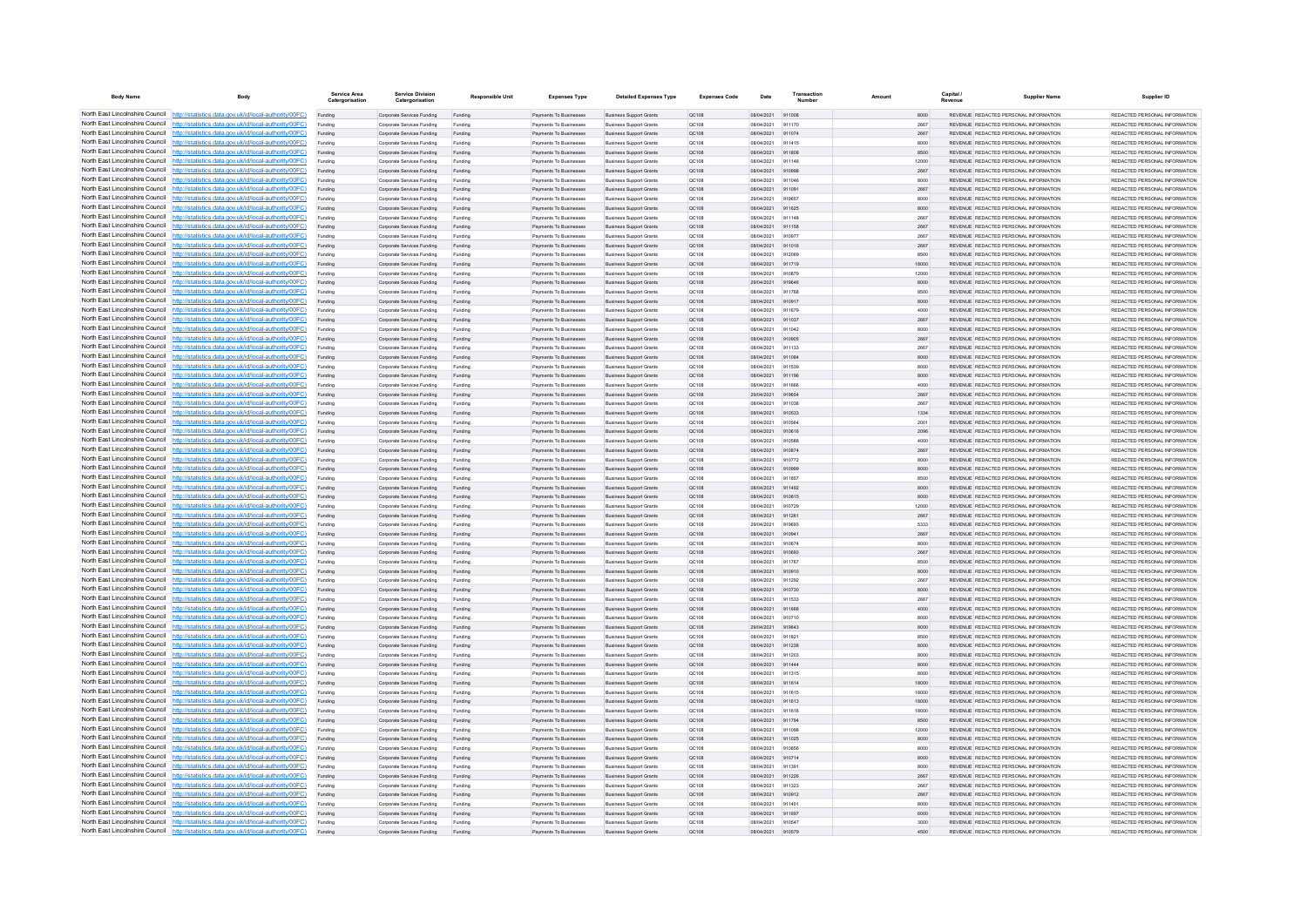| <b>Body Name</b>                | Body                                                                                                                                                                             | Service Area<br>Catergorisation | <b>Service Division</b><br>Catergorisation               | <b>Responsible Unit</b> | <b>Expenses Type</b>                             | <b>Detailed Expenses Type</b>                                    | <b>Expenses Code</b>  | Date                     | Transactio       | Amount        | Capital | <b>Supplier Name</b>                                                           | Supplier ID                                                     |
|---------------------------------|----------------------------------------------------------------------------------------------------------------------------------------------------------------------------------|---------------------------------|----------------------------------------------------------|-------------------------|--------------------------------------------------|------------------------------------------------------------------|-----------------------|--------------------------|------------------|---------------|---------|--------------------------------------------------------------------------------|-----------------------------------------------------------------|
|                                 | North East Lincolnshire Council http://statistics.data.gov.uk/id/local-authority/00FC)                                                                                           | Funding                         | Corporate Services Funding                               | Funding                 | Payments To Businesses                           | <b>Business Support Grants</b>                                   | QC108                 | 08/04/2021 911008        |                  | 8000          |         | REVENUE REDACTED PERSONAL INFORMATION                                          | REDACTED PERSONAL INFORMATION                                   |
|                                 | North East Lincolnshire Council http://statistics.data.gov.uk/id/local-authority/00FC)                                                                                           | Funding                         | Corporate Services Funding                               | Funding                 | <b>Payments To Businesses</b>                    | <b>Business Support Grants</b>                                   | QC108                 | 08/04/2021               | 911170           | 2667          |         | REVENUE REDACTED PERSONAL INFORMATION                                          | REDACTED PERSONAL INFORMATION                                   |
|                                 | North East Lincolnshire Council http://statistics.data.gov.uk/id/local-authority/00FC)                                                                                           | Funding                         | Corporate Services Funding                               | Funding                 | Payments To Busi                                 | <b>Business Support Grants</b>                                   | QC108                 | 08/04/2021               | 911074           | 2667          |         | REVENUE REDACTED PERSONAL INFORMATION                                          | REDACTED PERSONAL INFORMATION                                   |
|                                 | North East Lincolnshire Council http://statistics.data.gov.uk/id/local-authority/00FC)<br>North East Lincolnshire Council http://statistics.data.gov.uk/id/local-authority/00FC) | Funding                         | Comorate Services Funding                                | Funding                 | <b>Payments To Businesses</b>                    | <b>Business Sunnort Grants</b>                                   | OC108                 | 08/04/2021               | 911415           | 8000          |         | REVENUE REDACTED PERSONAL INFORMATION<br>REVENUE REDACTED PERSONAL INFORMATION | REDACTED PERSONAL INFORMATION                                   |
|                                 | North East Lincolnshire Council http://statistics.data.gov.uk/id/local-authority/00FC)                                                                                           | Funding<br>Funding              | Corporate Services Funding<br>Corporate Services Funding | Funding<br>Funding      | Payments To Businesses<br>Payments To Businesses | <b>Business Support Grants</b><br><b>Business Support Grants</b> | <b>QC108</b><br>OC108 | 08/04/2021<br>08/04/2021 | 911808<br>911146 | 8500<br>12000 |         | REVENUE REDACTED PERSONAL INFORMATION                                          | REDACTED PERSONAL INFORMATION.<br>REDACTED PERSONAL INFORMATION |
|                                 | North East Lincolnshire Council http://statistics.data.gov.uk/id/local-authority/00FC)                                                                                           | Funding                         | Corporate Services Funding                               | Funding                 | Payments To Businesses                           | <b>Business Support Grants</b>                                   | QC108                 | 08/04/2021               | 910998           | 2667          |         | REVENUE REDACTED PERSONAL INFORMATION                                          | REDACTED PERSONAL INFORMATION                                   |
|                                 | North East Lincolnshire Council http://statistics.data.gov.uk/id/local-authority/00FC)                                                                                           | Funding                         | Corporate Services Funding                               | Funding                 | <b>Payments To Businesses</b>                    | <b>Business Support Grants</b>                                   | OC108                 | 08/04/2021               | 911046           | 8000          |         | REVENUE, REDACTED PERSONAL INFORMATION                                         | REDACTED PERSONAL INFORMATION.                                  |
| North East Lincolnshire Council | http://statistics.data.gov.uk/id/local-authority/00FC)                                                                                                                           | Funding                         | Corporate Services Funding                               | Funding                 | Payments To Businesses                           | <b>Business Support Grants</b>                                   | OC:108                | 08/04/2021               | 911091           | 2667          |         | REVENUE REDACTED PERSONAL INFORMATION                                          | REDACTED PERSONAL INFORMATION                                   |
| North East Lincolnshire Council | http://statistics.data.gov.uk/id/local-authority/00FC)                                                                                                                           | Funding                         | Corporate Services Funding                               | Funding                 | Payments To Businessee                           | <b>Business Support Grants</b>                                   | QC108                 | 29/04/2021               | 919657           | 8000          |         | REVENUE REDACTED PERSONAL INFORMATION                                          | REDACTED PERSONAL INFORMATION                                   |
|                                 | North East Lincolnshire Council http://statistics.data.gov.uk/id/local-authority/00FC)                                                                                           |                                 | Corporate Services Funding                               | Funding                 | Payments To Businesses                           | <b>Business Support Grants</b>                                   | QC108                 | 08/04/2021               | 911625           | 8000          |         | <b>REVENHE REDACTED RERSONAL INFORMATION</b>                                   | <b>PEDACTED PERSONAL INFORMATION</b>                            |
|                                 | North East Lincolnshire Council http://statistics.data.gov.uk/id/local-authority/00FC)                                                                                           | Funding                         | Corporate Services Funding                               | Funding                 | Payments To Businesses                           | <b>Business Support Grants</b>                                   | OC108                 | 08/04/2021               | 911148           | 2667          |         | REVENUE REDACTED PERSONAL INFORMATION                                          | REDACTED PERSONAL INFORMATION                                   |
|                                 | North East Lincolnshire Council http://statistics.data.gov.uk/id/local-authority/00FC)                                                                                           | Funding                         | Corporate Services Funding                               | Funding                 | Payments To Businesses                           | <b>Business Support Grants</b>                                   | QC108                 | 08/04/2021               | 911158           | 2667          |         | REVENUE REDACTED PERSONAL INFORMATION                                          | REDACTED PERSONAL INFORMATION                                   |
|                                 | North East Lincolnshire Council http://statistics.data.gov.uk/id/local-authority/00FC)                                                                                           | Funding                         | Corporate Services Funding                               | Funding                 | Payments To Businessee                           | <b>Business Support Grants</b>                                   | QC108                 | 08/04/2021               | 910977           | 2667          |         | REVENUE REDACTED PERSONAL INFORMATION                                          | REDACTED PERSONAL INFORMATION                                   |
| North East Lincolnshire Council | North East Lincolnshire Council http://statistics.data.gov.uk/id/local-authority/00FC)<br>http://statistics.data.gov.uk/id/local-authority/00FC)                                 | Funding<br>Funding              | Corporate Services Funding<br>Corporate Services Funding | Funding<br>Funding      | Payments To Businesses<br>Payments To Businessee | <b>Business Support Grants</b><br><b>Business Support Grants</b> | QC108<br>QC108        | 08/04/2021<br>08/04/2021 | 911016<br>912069 | 2667<br>8500  |         | REVENUE REDACTED PERSONAL INFORMATION<br>REVENUE REDACTED PERSONAL INFORMATION | REDACTED PERSONAL INFORMATION<br>REDACTED PERSONAL INFORMATION  |
| North East Lincolnshire Council | http://statistics.data.gov.uk/id/local-authority/00FC)                                                                                                                           | Funding                         | Corporate Services Funding                               | Funding                 | Payments To Businessee                           | <b>Business Support Grants</b>                                   | QC108                 | 08/04/2021               | 911719           | 18000         |         | REVENUE REDACTED PERSONAL INFORMATION                                          | REDACTED PERSONAL INFORMATION                                   |
| North East Lincolnshire Council | http://statistics.data.gov.uk/id/local-authority/00FC)                                                                                                                           | Funding                         | Corporate Services Funding                               | Funding                 | Payments To Businessee                           | <b>Business Support Grants</b>                                   | QC108                 | 08/04/2021               | 910879           | 12000         |         | REVENUE, REDACTED PERSONAL INFORMATION                                         | REDACTED PERSONAL INFORMATION.                                  |
|                                 | North East Lincolnshire Council http://statistics.data.gov.uk/id/local-authority/00FC)                                                                                           | Funding                         | Comorate Services Funding                                | Funding                 | <b>Payments To Businesses</b>                    | <b>Business Sunnort Grants</b>                                   | OC108                 | 29/04/2021               | 919646           | 8000          |         | REVENUE, REDACTED PERSONAL INFORMATION                                         | REDACTED PERSONAL INFORMATION.                                  |
|                                 | North East Lincolnshire Council   http://statistics.data.gov.uk/id/local-authority/00FC)                                                                                         | Funding                         | Corporate Services Funding                               | Funding                 | Payments To Businesses                           | <b>Business Support Grants</b>                                   | OC108                 | 08/04/2021               | 911768           | 8500          |         | REVENUE REDACTED PERSONAL INFORMATION                                          | REDACTED PERSONAL INFORMATION                                   |
|                                 | North East Lincolnshire Council http://statistics.data.gov.uk/id/local-authority/00FC)                                                                                           | Funding                         | Corporate Services Funding                               | Funding                 | Payments To Businesses                           | <b>Business Support Grants</b>                                   | QC108                 | 08/04/2021               | 910917           | 8000          |         | REVENUE REDACTED PERSONAL INFORMATION                                          | REDACTED PERSONAL INFORMATION                                   |
|                                 | North East Lincolnshire Council   http://statistics.data.gov.uk/id/local-authority/00FC)                                                                                         | Funding                         | Corporate Services Funding                               | Funding                 | Payments To Businesses                           | <b>Business Support Grants</b>                                   | QC108                 | 08/04/2021               | 911679           | 4000          |         | REVENUE REDACTED PERSONAL INFORMATION                                          | REDACTED PERSONAL INFORMATION                                   |
|                                 | North East Lincolnshire Council http://statistics.data.gov.uk/id/local-authority/00FC)                                                                                           | Funding                         | Corporate Services Funding                               | Funding                 | <b>Payments To Businesses</b>                    | <b>Business Support Grants</b>                                   | QC108                 | 08/04/2021               | 911037           | 2667          |         | REVENUE REDACTED PERSONAL INFORMATION                                          | REDACTED PERSONAL INFORMATION                                   |
| North East Lincolnshire Council | http://statistics.data.gov.uk/id/local-authority/00FC)                                                                                                                           | Funding                         | Corporate Services Funding                               | Funding                 | Payments To Businesses                           | <b>Business Support Grants</b>                                   | QC108                 | 08/04/2021               | 911042           | 8000          |         | REVENUE REDACTED PERSONAL INFORMATION                                          | REDACTED PERSONAL INFORMATION                                   |
|                                 | North East Lincolnshire Council http://statistics.data.gov.uk/id/local-authority/00FC)                                                                                           | Funding                         | Corporate Services Funding                               | Funding                 | Payments To Businesses                           | <b>Business Support Grants</b>                                   | QC108                 | 08/04/2021               | 910905           | 2667          |         | REVENUE REDACTED PERSONAL INFORMATION                                          | REDACTED PERSONAL INFORMATION                                   |
|                                 | North East Lincolnshire Council http://statistics.data.gov.uk/id/local-authority/00FC)<br>North East Lincolnshire Council http://statistics.data.gov.uk/id/local-authority/00FC) | Funding                         | Corporate Services Funding                               | Funding                 | Payments To Businesses                           | <b>Business Support Grants</b>                                   | QC108                 | 08/04/2021               | 911133           | 2667          |         | REVENUE REDACTED PERSONAL INFORMATION                                          | REDACTED PERSONAL INFORMATION<br>REDACTED PERSONAL INFORMATION  |
|                                 | North East Lincolnshire Council http://statistics.data.gov.uk/id/local-authority/00FC)                                                                                           | Funding<br>Funding              | Corporate Services Funding<br>Corporate Services Funding | Funding<br>Funding      | Payments To Businesses<br>Payments To Businesses | <b>Business Support Grants</b><br><b>Business Support Grants</b> | QC108<br>OC108        | 08/04/2021<br>08/04/2021 | 911084<br>911539 | 8000<br>8000  |         | REVENUE REDACTED PERSONAL INFORMATION<br>REVENUE REDACTED PERSONAL INFORMATION | REDACTED PERSONAL INFORMATION                                   |
|                                 | North East Lincolnshire Council http://statistics.data.gov.uk/id/local-authority/00FC)                                                                                           | Funding                         | Corporate Services Funding                               | Funding                 | Payments To Businessee                           | <b>Business Support Grants</b>                                   | QC108                 | 08/04/2021               | 911196           | 8000          |         | REVENUE REDACTED PERSONAL INFORMATION                                          | REDACTED PERSONAL INFORMATION                                   |
|                                 | North East Lincolnshire Council http://statistics.data.gov.uk/id/local-authority/00FC)                                                                                           | Funding                         | Corporate Services Funding                               | Funding                 | Payments To Businessee                           | <b>Business Support Grants</b>                                   | OC108                 | 08/04/2021               | 911666           | 4000          |         | REVENUE REDACTED PERSONAL INFORMATION                                          | REDACTED PERSONAL INFORMATION.                                  |
| North East Lincolnshire Council | http://statistics.data.gov.uk/id/local-authority/00FC)                                                                                                                           | Funding                         | Corporate Services Funding                               | Funding                 | Payments To Businesses                           | <b>Business Support Grants</b>                                   | QC108                 | 29/04/2021               | 919654           | 2667          |         | REVENUE REDACTED PERSONAL INFORMATION                                          | REDACTED PERSONAL INFORMATION                                   |
| North East Lincolnshire Council | http://statistics.data.gov.uk/id/local-authority/00FC)                                                                                                                           | Funding                         | Corporate Services Funding                               | Funding                 | Payments To Businesse                            | <b>Business Support Grants</b>                                   | QC108                 | 08/04/2021               | 911038           | 2667          |         | REVENUE REDACTED PERSONAL INFORMATION                                          | REDACTED PERSONAL INFORMATION                                   |
|                                 | North East Lincolnshire Council http://statistics.data.gov.uk/id/local-authority/00FC)                                                                                           | Funding                         | Corporate Services Funding                               | Funding                 | Payments To Businesses                           | <b>Business Support Grants</b>                                   | QC108                 | 08/04/2021               | 910533           | 1334          |         | REVENUE REDACTED PERSONAL INFORMATION                                          | REDACTED PERSONAL INFORMATION.                                  |
|                                 | North East Lincolnshire Council http://statistics.data.gov.uk/id/local-authority/00FC)                                                                                           | Funding                         | Corporate Services Funding                               | Funding                 | Payments To Businessee                           | <b>Business Support Grants</b>                                   | QC108                 | 08/04/2021               | 910584           | 2001          |         | REVENUE REDACTED PERSONAL INFORMATION                                          | REDACTED PERSONAL INFORMATION                                   |
|                                 | North East Lincolnshire Council http://statistics.data.gov.uk/id/local-authority/00FC)                                                                                           | Funding                         | Corporate Services Funding                               | Funding                 | Payments To Businesses                           | <b>Business Support Grants</b>                                   | QC108                 | 08/04/2021               | 910616           | 2096          |         | REVENUE REDACTED PERSONAL INFORMATION                                          | REDACTED PERSONAL INFORMATION                                   |
|                                 | North East Lincolnshire Council http://statistics.data.gov.uk/id/local-authority/00FC)                                                                                           | Funding                         | Corporate Services Funding                               | Funding                 | Payments To Businesses                           | <b>Business Support Grants</b>                                   | OC108                 | 08/04/2021               | 910588           | 4000          |         | REVENUE REDACTED PERSONAL INFORMATION                                          | REDACTED PERSONAL INFORMATION                                   |
|                                 | North East Lincolnshire Council http://statistics.data.gov.uk/id/local-authority/00FC)<br>North East Lincolnshire Council http://statistics.data.gov.uk/id/local-authority/00FC) | Funding                         | Corporate Services Funding                               | Funding                 | Payments To Businesses                           | <b>Business Support Grants</b>                                   | QC108                 | 08/04/2021               | 910874           | 2667          |         | REVENUE REDACTED PERSONAL INFORMATION                                          | REDACTED PERSONAL INFORMATION                                   |
| North East Lincolnshire Council | http://statistics.data.gov.uk/id/local-authority/00FC)                                                                                                                           | Funding                         | Corporate Services Funding                               | Funding<br>Funding      | Payments To Businesses<br>Payments To Businesses | <b>Business Support Grants</b><br><b>Business Support Grants</b> | QC108<br>QC108        | 08/04/2021<br>08/04/2021 | 910772<br>910999 | 8000<br>8000  |         | REVENUE REDACTED PERSONAL INFORMATION<br>REVENUE REDACTED PERSONAL INFORMATION | REDACTED PERSONAL INFORMATION<br>REDACTED PERSONAL INFORMATION  |
|                                 | North East Lincolnshire Council http://statistics.data.gov.uk/id/local-authority/00FC)                                                                                           | Funding<br>Funding              | Corporate Services Funding<br>Corporate Services Funding | Funding                 | Payments To Businesses                           | <b>Business Support Grants</b>                                   | QC108                 | 08/04/2021               | 911857           | 8500          |         | REVENUE REDACTED PERSONAL INFORMATION                                          | REDACTED PERSONAL INFORMATION                                   |
|                                 | North East Lincolnshire Council http://statistics.data.gov.uk/id/local-authority/00FC)                                                                                           | Funding                         | Corporate Services Funding                               | Funding                 | Payments To Businessee                           | <b>Business Support Grants</b>                                   | QC108                 | 08/04/2021               | 911492           | 8000          |         | REVENUE REDACTED PERSONAL INFORMATION                                          | REDACTED PERSONAL INFORMATION                                   |
|                                 | North East Lincolnshire Council http://statistics.data.gov.uk/id/local-authority/00FC)                                                                                           | Funding                         | Corporate Services Funding                               | Funding                 | Payments To Businesses                           | <b>Business Support Grants</b>                                   | OC108                 | 08/04/2021               | 910815           | 8000          |         | REVENUE REDACTED PERSONAL INFORMATION                                          | REDACTED PERSONAL INFORMATION.                                  |
|                                 | North East Lincolnshire Council http://statistics.data.gov.uk/id/local-authority/00FC)                                                                                           | Funding                         | Corporate Services Funding                               | Funding                 | Payments To Businesses                           | <b>Business Support Grants</b>                                   | <b>QC108</b>          | 08/04/2021               | 910729           | 12000         |         | REVENUE REDACTED PERSONAL INFORMATION                                          | REDACTED PERSONAL INFORMATION                                   |
|                                 | North East Lincolnshire Council http://statistics.data.gov.uk/id/local-authority/00FC)                                                                                           | Funding                         | Corporate Services Funding                               | Funding                 | Payments To Businesses                           | <b>Business Support Grants</b>                                   | QC108                 | 08/04/2021               | 911261           | 2667          |         | REVENUE REDACTED PERSONAL INFORMATION                                          | REDACTED PERSONAL INFORMATION                                   |
|                                 | North East Lincolnshire Council http://statistics.data.gov.uk/id/local-authority/00FC)                                                                                           | Funding                         | Corporate Services Funding                               | Funding                 | Payments To Businessee                           | <b>Business Support Grants</b>                                   | QC108                 | 29/04/2021               | 919693           | 5333          |         | REVENUE REDACTED PERSONAL INFORMATION                                          | REDACTED PERSONAL INFORMATION                                   |
| North East Lincolnshire Council | http://statistics.data.gov.uk/id/local-authority/00EC)                                                                                                                           | Funding                         | Corporate Services Funding                               | Funding                 | Payments To Businessee                           | <b>Business Support Grants</b>                                   | OC108                 | 08/04/2021               | 910941           | 2667          |         | REVENUE REDACTED PERSONAL INFORMATION                                          | REDACTED PERSONAL INFORMATION.                                  |
|                                 | North East Lincolnshire Council http://statistics.data.gov.uk/id/local-authority/00FC)                                                                                           | Funding                         | Corporate Services Funding                               | Funding                 | Payments To Businessee                           | <b>Business Support Grants</b>                                   | QC108                 | 08/04/2021               | 910674           | 8000          |         | REVENUE REDACTED PERSONAL INFORMATION                                          | REDACTED PERSONAL INFORMATION                                   |
|                                 | North East Lincolnshire Council http://statistics.data.gov.uk/id/local-authority/00FC)<br>North East Lincolnshire Council http://statistics.data.gov.uk/id/local-authority/00FC) | Funding                         | Corporate Services Funding                               | Funding                 | Payments To Businessee                           | <b>Business Support Grants</b>                                   | QC108                 | 08/04/2021               | 910693           | 2667          |         | REVENUE REDACTED PERSONAL INFORMATION                                          | REDACTED PERSONAL INFORMATION                                   |
|                                 | North East Lincolnshire Council http://statistics.data.gov.uk/id/local-authority/00FC)                                                                                           | Funding                         | Corporate Services Funding<br>Corporate Services Funding | Funding<br>Funding      | Payments To Businesses<br>Payments To Businesses | <b>Business Support Grants</b><br><b>Business Support Grants</b> | OC108<br>QC108        | 08/04/2021<br>08/04/2021 | 911767<br>910910 | 8500<br>8000  |         | REVENUE REDACTED PERSONAL INFORMATION<br>REVENUE REDACTED PERSONAL INFORMATION | REDACTED PERSONAL INFORMATION<br>REDACTED PERSONAL INFORMATION  |
|                                 | North East Lincolnshire Council http://statistics.data.gov.uk/id/local-authority/00FC)                                                                                           | Funding<br>Funding              | Corporate Services Funding                               | Funding                 | Payments To Businesses                           | <b>Business Support Grants</b>                                   | OC108                 | 08/04/2021               | 911292           | 2667          |         | REVENUE REDACTED PERSONAL INFORMATION                                          | REDACTED PERSONAL INFORMATION                                   |
|                                 | North East Lincolnshire Council http://statistics.data.gov.uk/id/local-authority/00FC)                                                                                           | Funding                         | Corporate Services Funding                               | Funding                 | Payments To Businesses                           | <b>Business Support Grants</b>                                   | QC108                 | 08/04/2021               | 910730           | 8000          |         | REVENUE REDACTED PERSONAL INFORMATION                                          | REDACTED PERSONAL INFORMATION                                   |
|                                 | North East Lincolnshire Council http://statistics.data.gov.uk/id/local-authority/00FC)                                                                                           | Funding                         | Corporate Services Funding                               | Funding                 | Payments To Businesses                           | <b>Business Support Grants</b>                                   | <b>QC108</b>          | 08/04/2021               | 911533           | 2667          |         | REVENUE REDACTED PERSONAL INFORMATION                                          | REDACTED PERSONAL INFORMATION.                                  |
| North East Lincolnshire Council | http://statistics.data.gov.uk/id/local-authority/00EC)                                                                                                                           | Funding                         | Corporate Services Funding                               | Funding                 | Payments To Businesses                           | <b>Business Support Grants</b>                                   | <b>QC108</b>          | 08/04/2021               | 911668           | 4000          |         | REVENUE REDACTED PERSONAL INFORMATION                                          | REDACTED PERSONAL INFORMATION                                   |
|                                 | North East Lincolnshire Council http://statistics.data.gov.uk/id/local-authority/00FC)                                                                                           | Funding                         | Corporate Services Funding                               | Funding                 | <b>Payments To Businesses</b>                    | <b>Business Support Grants</b>                                   | QC108                 | 08/04/2021               |                  | 8000          |         | <b>REVENUE REDACTED PERSONAL INFORMATION</b>                                   | REDACTED PERSONAL INFORMATION                                   |
|                                 | North East Lincolnshire Council http://statistics.data.gov.uk/id/local-authority/00FC)                                                                                           |                                 | Corporate Services Funding                               | Funding                 | Payments To Businesses                           | <b>Business Support Grants</b>                                   | QC108                 | 29/04/2021               | 919643           | 8000          |         | REVENUE REDACTED PERSONAL INFORMATION                                          | REDACTED PERSONAL INFORMATION                                   |
|                                 | North East Lincolnshire Council http://statistics.data.gov.uk/id/local-authority/00FC)                                                                                           | Funding                         | Comorate Services Funding                                | Funding                 | <b>Payments To Businesses</b>                    | <b>Business Sunnort Grants</b>                                   | OCD108                | 08/04/2021               | 911821           | 8500          |         | REVENUE REDACTED PERSONAL INFORMATION                                          | REDACTED PERSONAL INFORMATION.                                  |
|                                 | North East Lincolnshire Council http://statistics.data.gov.uk/id/local-authority/00FC)                                                                                           | Funding                         | Corporate Services Funding                               | Funding                 | Payments To Businesses                           | <b>Business Support Grants</b>                                   | QC108                 | 08/04/2021               | 911238           | 8000          |         | REVENUE REDACTED PERSONAL INFORMATION                                          | REDACTED PERSONAL INFORMATION                                   |
|                                 | North East Lincolnshire Council http://statistics.data.gov.uk/id/local-authority/00FC)                                                                                           | Funding                         | Corporate Services Funding                               | Funding                 | Payments To Businessee                           | <b>Business Support Grants</b>                                   | QC108                 | 08/04/2021               | 911203           | 8000          |         | REVENUE REDACTED PERSONAL INFORMATION                                          | REDACTED PERSONAL INFORMATION                                   |
| North East Lincolnshire Council | North East Lincolnshire Council http://statistics.data.gov.uk/id/local-authority/00FC)<br>http://statistics.data.gov.uk/id/local-authority/00FC)                                 | Funding<br>Funding              | Corporate Services Funding<br>Corporate Services Funding | Funding<br>Funding      | Payments To Businesses<br>Payments To Businessee | <b>Business Support Grants</b><br><b>Business Support Grants</b> | QC108<br>QC108        | 08/04/2021<br>08/04/2021 | 911444<br>911315 | 8000<br>8000  |         | REVENUE REDACTED PERSONAL INFORMATION<br>REVENUE REDACTED PERSONAL INFORMATION | REDACTED PERSONAL INFORMATION<br>REDACTED PERSONAL INFORMATION  |
|                                 | North East Lincolnshire Council http://statistics.data.gov.uk/id/local-authority/00FC)                                                                                           | Funding                         | Corporate Services Funding                               | Funding                 | Payments To Businesses                           | <b>Business Support Grants</b>                                   | QC108                 | 08/04/2021               | 911614           | 18000         |         | REVENUE REDACTED PERSONAL INFORMATION                                          | REDACTED PERSONAL INFORMATION                                   |
|                                 | North East Lincolnshire Council http://statistics.data.gov.uk/id/local-authority/00FC)                                                                                           | Funding                         | Corporate Services Funding                               | Funding                 | Payments To Businesse                            | <b>Business Support Grants</b>                                   | QC108                 | 08/04/2021               | 911615           | 18000         |         | REVENUE REDACTED PERSONAL INFORMATION                                          | REDACTED PERSONAL INFORMATION                                   |
|                                 | North East Lincolnshire Council http://statistics.data.gov.uk/id/local-authority/00FC)                                                                                           | Funding                         | Corporate Services Funding                               | Funding                 | Payments To Businesses                           | <b>Business Support Grants</b>                                   | OC108                 | 08/04/2021               | 911613           | 18000         |         | REVENUE REDACTED PERSONAL INFORMATION                                          | REDACTED PERSONAL INFORMATION                                   |
|                                 | North East Lincolnshire Council http://statistics.data.gov.uk/id/local-authority/00FC)                                                                                           | Funding                         | Corporate Services Funding                               | Funding                 | Payments To Businesses                           | <b>Business Support Grants</b>                                   | <b>QC108</b>          | 08/04/2021               | 911616           | 18000         |         | REVENUE REDACTED PERSONAL INFORMATION                                          | REDACTED PERSONAL INFORMATION                                   |
|                                 | North East Lincolnshire Council http://statistics.data.gov.uk/id/local-authority/00FC)                                                                                           | Funding                         | Corporate Services Funding                               | Funding                 | Payments To Businesses                           | <b>Business Support Grants</b>                                   | QC108                 | 08/04/2021               | 911794           | 8500          |         | REVENUE REDACTED PERSONAL INFORMATION                                          | REDACTED PERSONAL INFORMATION                                   |
|                                 | North East Lincolnshire Council http://statistics.data.gov.uk/id/local-authority/00FC)                                                                                           | Funding                         | Corporate Services Funding                               | Funding                 | Payments To Businesses                           | <b>Business Support Grants</b>                                   | OC108                 | 08/04/2021               | 911098           | 12000         |         | REVENUE REDACTED PERSONAL INFORMATION                                          | REDACTED PERSONAL INFORMATION                                   |
|                                 | North East Lincolnshire Council http://statistics.data.gov.uk/id/local-authority/00FC)                                                                                           | Funding                         | Corporate Services Funding                               | Funding                 | <b>Payments To Businesses</b>                    | <b>Business Support Grants</b>                                   | OC108                 | 08/04/2021               | 911025           | 8000          |         | REVENUE, REDACTED PERSONAL INFORMATION                                         | REDACTED PERSONAL INFORMATION.                                  |
| North East Lincolnshire Council | http://statistics.data.gov.uk/id/local-authority/00EC)                                                                                                                           | Funding                         | Corporate Services Funding                               | Funding                 | Payments To Businesses                           | <b>Business Support Grants</b>                                   | OC108                 | 08/04/2021               | 910856           | 8000          |         | REVENUE REDACTED PERSONAL INFORMATION                                          | REDACTED PERSONAL INFORMATION                                   |
|                                 | North East Lincolnshire Council http://statistics.data.gov.uk/id/local-authority/00FC)                                                                                           | Funding                         | Corporate Services Funding                               | Funding                 | Payments To Businesses                           | <b>Business Support Grants</b>                                   | QC108                 | 08/04/2021               | 910714           | 8000          |         | REVENUE REDACTED PERSONAL INFORMATION                                          | REDACTED PERSONAL INFORMATION                                   |
|                                 | North East Lincolnshire Council http://statistics.data.gov.uk/id/local-authority/00FC)<br>North East Lincolnshire Council http://statistics.data.gov.uk/id/local-authority/00FC) | Funding                         | Corporate Services Funding                               | Funding                 | Payments To Businessee                           | <b>Business Support Grants</b>                                   | QC108                 | 08/04/2021               | 011301           | 8000          |         | REVENUE REDACTED PERSONAL INFORMATION                                          | REDACTED PERSONAL INFORMATION                                   |
|                                 | North East Lincolnshire Council http://statistics.data.gov.uk/id/local-authority/00FC)                                                                                           | Funding<br>Funding              | Corporate Services Funding<br>Corporate Services Funding | Funding<br>Funding      | Payments To Businesses<br>Payments To Businesses | <b>Business Support Grants</b><br><b>Business Support Grants</b> | QC108<br>OC108        | 08/04/2021<br>08/04/2021 | 911226<br>911323 | 2667<br>2667  |         | REVENUE REDACTED PERSONAL INFORMATION<br>REVENUE REDACTED PERSONAL INFORMATION | REDACTED PERSONAL INFORMATION<br>REDACTED PERSONAL INFORMATION  |
|                                 | North East Lincolnshire Council http://statistics.data.gov.uk/id/local-authority/00FC)                                                                                           | Funding                         | Corporate Services Funding                               | Funding                 | Payments To Businesses                           | <b>Business Support Grants</b>                                   | QC108                 | 08/04/2021               | 910912           | 2667          |         | REVENUE REDACTED PERSONAL INFORMATION                                          | REDACTED PERSONAL INFORMATION                                   |
|                                 | North East Lincolnshire Council http://statistics.data.gov.uk/id/local-authority/00FC)                                                                                           | Funding                         | Corporate Services Funding                               | Funding                 | Payments To Businessee                           | <b>Business Support Grants</b>                                   | OC108                 | 08/04/2021               | 911401           | 8000          |         | REVENUE REDACTED PERSONAL INFORMATION                                          | REDACTED PERSONAL INFORMATION                                   |
|                                 | North East Lincolnshire Council http://statistics.data.gov.uk/id/local-authority/00FC)                                                                                           | Funding                         | Corporate Services Funding                               | Funding                 | Payments To Businesses                           | <b>Business Support Grants</b>                                   | QC108                 | 08/04/2021               | 911697           | 6000          |         | REVENUE REDACTED PERSONAL INFORMATION                                          | REDACTED PERSONAL INFORMATION                                   |
|                                 | North East Lincolnshire Council http://statistics.data.gov.uk/id/local-authority/00FC)                                                                                           | Funding                         | Corporate Services Funding                               | Funding                 | Payments To Businessee                           | <b>Business Support Grants</b>                                   | QC108                 | 08/04/2021               |                  | 3000          |         | REVENUE REDACTED PERSONAL INFORMATION                                          | REDACTED PERSONAL INFORMATION                                   |
|                                 | North East Lincolnshire Council http://statistics.data.gov.uk/id/local-authority/00FC)                                                                                           |                                 | Corporate Services Funding                               |                         | Payments To Businesse                            | <b>Business Support Grants</b>                                   | OC:108                | 08/04/2021               | 910579           | 4500          |         | REVENUE REDACTED PERSONAL INFORMATION                                          | REDACTED PERSONAL INFORMATION                                   |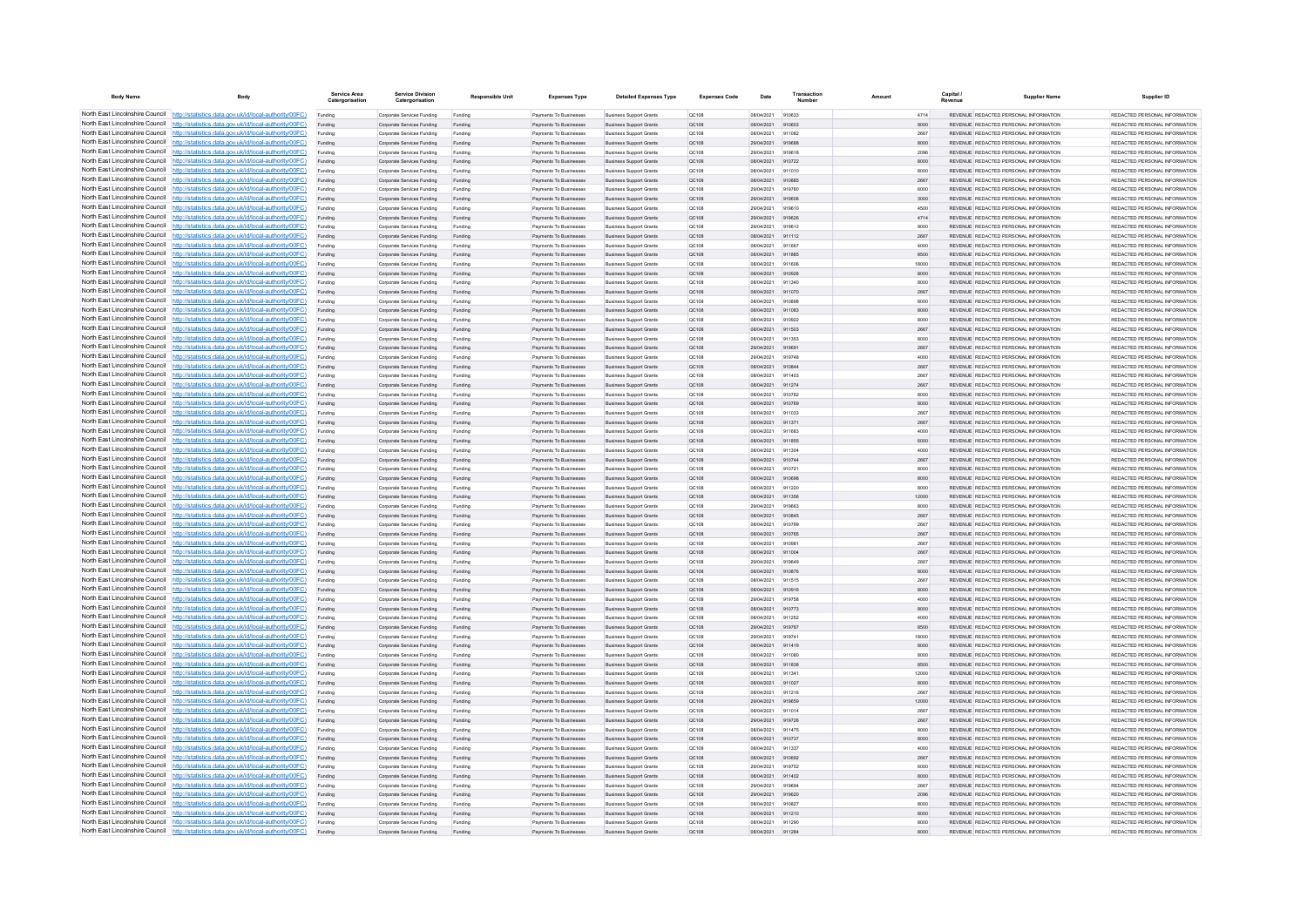| <b>Body Name</b>                | Body                                                                                                                                                                             | Service Area<br>Catergorisatio | <b>Service Division</b><br>Catergorisation               | <b>Responsible Unit</b> | <b>Expenses Type</b>                             | <b>Detailed Expenses Type</b>                                    | <b>Expenses Code</b>  | Date                     | Transactio       | Amount | Capital       | <b>Supplier Name</b>                                                           | Supplier ID                                                     |
|---------------------------------|----------------------------------------------------------------------------------------------------------------------------------------------------------------------------------|--------------------------------|----------------------------------------------------------|-------------------------|--------------------------------------------------|------------------------------------------------------------------|-----------------------|--------------------------|------------------|--------|---------------|--------------------------------------------------------------------------------|-----------------------------------------------------------------|
|                                 | North East Lincolnshire Council http://statistics.data.gov.uk/id/local-authority/00FC)                                                                                           | Funding                        | Corporate Services Funding                               | Funding                 | Payments To Businesses                           | <b>Business Support Grants</b>                                   | OC108                 | 08/04/2021               | 910633           |        | 4714          | REVENUE REDACTED PERSONAL INFORMATION                                          | REDACTED PERSONAL INFORMATION                                   |
|                                 | North East Lincolnshire Council http://statistics.data.gov.uk/id/local-authority/00FC)                                                                                           | Funding                        | Corporate Services Funding                               | Funding                 | Payments To Businesses                           | <b>Business Support Grants</b>                                   | QC108                 | 08/04/2021               | 910603           |        | 9000          | REVENUE REDACTED PERSONAL INFORMATION                                          | REDACTED PERSONAL INFORMATION                                   |
|                                 | North East Lincolnshire Council http://statistics.data.gov.uk/id/local-authority/00FC)                                                                                           | Funding                        | Corporate Services Funding                               | Funding                 | Payments To Busin                                | <b>Business Support Grant</b>                                    | QC108                 | 08/04/2021               | 911082           |        | 2667          | REVENUE REDACTED PERSONAL INFORMATION                                          | REDACTED PERSONAL INFORMATION                                   |
|                                 | North East Lincolnshire Council http://statistics.data.gov.uk/id/local-authority/00FC)<br>North East Lincolnshire Council http://statistics.data.gov.uk/id/local-authority/00FC) | Funding                        | Corporate Services Funding                               | Funding                 | Payments To Businesses                           | <b>Business Support Grants</b>                                   | OC108                 | 29/04/2021               | 919688<br>919618 |        | 8000          | REVENUE REDACTED PERSONAL INFORMATION<br>REVENUE REDACTED PERSONAL INFORMATION | REDACTED PERSONAL INFORMATION<br>REDACTED PERSONAL INFORMATION. |
|                                 | North East Lincolnshire Council http://statistics.data.gov.uk/id/local-authority/00FC)                                                                                           | Funding<br>Funding             | Corporate Services Funding<br>Corporate Services Funding | Funding<br>Funding      | Payments To Businesses<br>Payments To Businesses | <b>Business Support Grants</b><br><b>Business Support Grants</b> | <b>QC108</b><br>QC108 | 29/04/2021<br>08/04/2021 | 910722           |        | 2096<br>8000  | REVENUE REDACTED PERSONAL INFORMATION                                          | REDACTED PERSONAL INFORMATION                                   |
|                                 | North East Lincolnshire Council http://statistics.data.gov.uk/id/local-authority/00FC)                                                                                           | Funding                        | Corporate Services Funding                               | Funding                 | Payments To Businesses                           | <b>Business Support Grants</b>                                   | QC108                 | 08/04/2021               | 911010           |        | 8000          | REVENUE REDACTED PERSONAL INFORMATION                                          | REDACTED PERSONAL INFORMATION                                   |
|                                 | North East Lincolnshire Council http://statistics.data.gov.uk/id/local-authority/00FC)                                                                                           | Funding                        | Corporate Services Funding                               | Funding                 | <b>Payments To Businesses</b>                    | <b>Business Support Grants</b>                                   | OC108                 | 08/04/2021               | 910885           |        | 2667          | REVENUE REDACTED PERSONAL INFORMATION                                          | REDACTED PERSONAL INFORMATION.                                  |
| North East Lincolnshire Council | http://statistics.data.gov.uk/id/local-authority/00FC)                                                                                                                           | Funding                        | Corporate Services Funding                               | Funding                 | <b>Payments To Businesses</b>                    | <b>Business Support Grants</b>                                   | OC108                 | 29/04/2021               | 919760           |        | 6000          | REVENUE REDACTED PERSONAL INFORMATION                                          | REDACTED PERSONAL INFORMATION                                   |
| North East Lincolnshire Council | http://statistics.data.gov.uk/id/local-authority/00FC)                                                                                                                           | Funding                        | Corporate Services Funding                               | Funding                 | Payments To Businesses                           | <b>Business Support Grants</b>                                   | QC108                 | 29/04/2021               | 919606           |        | 3000          | REVENUE REDACTED PERSONAL INFORMATION                                          | REDACTED PERSONAL INFORMATION                                   |
|                                 | North East Lincolnshire Council http://statistics.data.gov.uk/id/local-authority/00FC)                                                                                           | Funding                        | Corporate Services Funding                               | Funding                 | Payments To Businesses                           | <b>Business Support Grants</b>                                   | QC108                 | 20/04/2021               | 919810           |        | 4500          | <b>REVENHE REDACTED RERSONAL INFORMATION</b>                                   | <b>PEDACTED PERSONAL INFORMATION</b>                            |
|                                 | North East Lincolnshire Council http://statistics.data.gov.uk/id/local-authority/00FC)                                                                                           | Funding                        | Corporate Services Funding                               | Funding                 | Payments To Businesses                           | <b>Business Support Grants</b>                                   | QC108                 | 29/04/2021               | 919626           |        | 4714          | REVENUE REDACTED PERSONAL INFORMATION                                          | REDACTED PERSONAL INFORMATION                                   |
|                                 | North East Lincolnshire Council http://statistics.data.gov.uk/id/local-authority/00FC)                                                                                           | Funding                        | Corporate Services Funding                               | Funding                 | Payments To Businesses                           | <b>Business Support Grants</b>                                   | OC108                 | 29/04/2021               | 919612           |        | 9000          | REVENUE REDACTED PERSONAL INFORMATION                                          | REDACTED PERSONAL INFORMATION                                   |
|                                 | North East Lincolnshire Council http://statistics.data.gov.uk/id/local-authority/00FC)                                                                                           | Funding                        | Corporate Services Funding                               | Funding                 | Payments To Businesses                           | <b>Business Support Grants</b>                                   | QC108                 | 08/04/2021               | 911112           |        | 2667          | REVENUE REDACTED PERSONAL INFORMATION                                          | REDACTED PERSONAL INFORMATION                                   |
| North East Lincolnshire Council | North East Lincolnshire Council http://statistics.data.gov.uk/id/local-authority/00FC)<br>http://statistics.data.gov.uk/id/local-authority/00FC)                                 | Funding                        | Corporate Services Funding                               | Funding                 | Payments To Businessee<br>Payments To Businesses | <b>Business Support Grants</b><br><b>Business Support Grants</b> | OC108                 | 08/04/2021<br>08/04/2021 | 911667<br>911885 |        | 4000<br>8500  | REVENUE REDACTED PERSONAL INFORMATION<br>REVENUE REDACTED PERSONAL INFORMATION | REDACTED PERSONAL INFORMATION<br>REDACTED PERSONAL INFORMATION  |
| North East Lincolnshire Council | http://statistics.data.gov.uk/id/local-authority/00FC)                                                                                                                           | Funding<br>Funding             | Corporate Services Funding<br>Corporate Services Funding | Funding<br>Funding      | Payments To Businessee                           | <b>Business Support Grants</b>                                   | QC108<br>QC108        | 08/04/2021               | 911606           |        | 18000         | REVENUE REDACTED PERSONAL INFORMATION                                          | REDACTED PERSONAL INFORMATION                                   |
| North East Lincolnshire Council | http://statistics.data.gov.uk/id/local-authority/00FC)                                                                                                                           | Funding                        | Corporate Services Funding                               | Funding                 | Payments To Businessee                           | <b>Business Support Grants</b>                                   | QC108                 | 08/04/2021               | 910928           |        | 8000          | REVENUE, REDACTED PERSONAL INFORMATION                                         | REDACTED PERSONAL INFORMATION.                                  |
|                                 | North East Lincolnshire Council http://statistics.data.gov.uk/id/local-authority/00FC)                                                                                           | Funding                        | Comorate Services Funding                                | Funding                 | <b>Payments To Businesses</b>                    | <b>Business Sunnort Grants</b>                                   | OC108                 | 08/04/2021               | 911340           |        | 8000          | REVENUE, REDACTED PERSONAL INFORMATION                                         | REDACTED PERSONAL INFORMATION.                                  |
|                                 | North East Lincolnshire Council   http://statistics.data.gov.uk/id/local-authority/00FC)                                                                                         | Funding                        | Corporate Services Funding                               | Funding                 | Payments To Businesses                           | <b>Business Support Grants</b>                                   | OC108                 | 08/04/2021               | 911070           |        | 2667          | REVENUE REDACTED PERSONAL INFORMATION                                          | REDACTED PERSONAL INFORMATION                                   |
|                                 | North East Lincolnshire Council http://statistics.data.gov.uk/id/local-authority/00FC)                                                                                           | Funding                        | Corporate Services Funding                               | Funding                 | Payments To Businesses                           | <b>Business Support Grants</b>                                   | OC108                 | 08/04/2021               | 910898           |        | 8000          | REVENUE REDACTED PERSONAL INFORMATION                                          | REDACTED PERSONAL INFORMATION                                   |
|                                 | North East Lincolnshire Council   http://statistics.data.gov.uk/id/local-authority/00FC)                                                                                         | Funding                        | Corporate Services Funding                               | Funding                 | Payments To Businesses                           | <b>Business Support Grants</b>                                   | QC108                 | 08/04/2021               | 911083           |        | 8000          | REVENUE REDACTED PERSONAL INFORMATION                                          | REDACTED PERSONAL INFORMATION                                   |
|                                 | North East Lincolnshire Council http://statistics.data.gov.uk/id/local-authority/00FC)                                                                                           | Funding                        | Corporate Services Funding                               | Funding                 | Payments To Businesses                           | <b>Business Support Grants</b>                                   | QC108                 | 08/04/2021               | 910922           |        | 8000          | REVENUE REDACTED PERSONAL INFORMATION                                          | REDACTED PERSONAL INFORMATION                                   |
| North East Lincolnshire Council | http://statistics.data.gov.uk/id/local-authority/00FC)                                                                                                                           | Funding                        | Corporate Services Funding                               | Funding                 | Payments To Businesses                           | <b>Business Support Grants</b>                                   | QC108                 | 08/04/2021               | 911503           |        | 2667          | REVENUE REDACTED PERSONAL INFORMATION                                          | REDACTED PERSONAL INFORMATION                                   |
|                                 | North East Lincolnshire Council http://statistics.data.gov.uk/id/local-authority/00FC)                                                                                           | Funding                        | Corporate Services Funding                               | Funding                 | Payments To Businessee                           | <b>Business Support Grants</b>                                   | QC108                 | 08/04/2021               | 911353           |        | 8000          | REVENUE REDACTED PERSONAL INFORMATION                                          | REDACTED PERSONAL INFORMATION                                   |
|                                 | North East Lincolnshire Council http://statistics.data.gov.uk/id/local-authority/00FC)<br>North East Lincolnshire Council http://statistics.data.gov.uk/id/local-authority/00FC) | Funding                        | Corporate Services Funding                               | Funding                 | Payments To Businesses                           | <b>Business Support Grants</b>                                   | QC108                 | 29/04/2021               | 919691           |        | 2667          | REVENUE REDACTED PERSONAL INFORMATION                                          | REDACTED PERSONAL INFORMATION<br>REDACTED PERSONAL INFORMATION  |
|                                 | North East Lincolnshire Council http://statistics.data.gov.uk/id/local-authority/00FC)                                                                                           | Funding<br>Funding             | Corporate Services Funding<br>Corporate Services Funding | Funding<br>Funding      | Payments To Businesses<br>Payments To Businesses | <b>Business Support Grants</b><br><b>Business Support Grants</b> | OC108<br>QC108        | 29/04/2021<br>08/04/2021 | 919748<br>910844 |        | 4000<br>2667  | REVENUE REDACTED PERSONAL INFORMATION<br>REVENUE REDACTED PERSONAL INFORMATION | REDACTED PERSONAL INFORMATION                                   |
|                                 | North East Lincolnshire Council http://statistics.data.gov.uk/id/local-authority/00FC)                                                                                           | Funding                        | Corporate Services Funding                               | Funding                 | Payments To Businessee                           | <b>Business Support Grants</b>                                   | QC108                 | 08/04/2021               | 911403           |        | 2667          | REVENUE REDACTED PERSONAL INFORMATION                                          | REDACTED PERSONAL INFORMATION                                   |
|                                 | North East Lincolnshire Council http://statistics.data.gov.uk/id/local-authority/00FC)                                                                                           | Funding                        | Corporate Services Funding                               | Funding                 | Payments To Businessee                           | <b>Business Support Grants</b>                                   | QC108                 | 08/04/2021               | 911274           |        | 2667          | REVENUE REDACTED PERSONAL INFORMATION                                          | REDACTED PERSONAL INFORMATION.                                  |
| North East Lincolnshire Council | http://statistics.data.gov.uk/id/local-authority/00FC)                                                                                                                           | Funding                        | Corporate Services Funding                               | Funding                 | Payments To Businessee                           | <b>Business Support Grants</b>                                   | OCD108                | 08/04/2021               | 910782           |        | 8000          | REVENUE REDACTED PERSONAL INFORMATION                                          | REDACTED PERSONAL INFORMATION                                   |
| North East Lincolnshire Council | http://statistics.data.gov.uk/id/local-authority/00FC)                                                                                                                           | Funding                        | Corporate Services Funding                               | Funding                 | Payments To Businessee                           | <b>Business Support Grants</b>                                   | QC108                 | 08/04/2021               | 910769           |        | 8000          | REVENUE REDACTED PERSONAL INFORMATION                                          | REDACTED PERSONAL INFORMATION                                   |
|                                 | North East Lincolnshire Council http://statistics.data.gov.uk/id/local-authority/00FC)                                                                                           | Funding                        | Corporate Services Funding                               | Funding                 | Payments To Businessee                           | <b>Business Support Grants</b>                                   | OC108                 | 08/04/2021               | 911033           |        | 2667          | REVENUE REDACTED PERSONAL INFORMATION                                          | REDACTED PERSONAL INFORMATION.                                  |
|                                 | North East Lincolnshire Council http://statistics.data.gov.uk/id/local-authority/00FC)                                                                                           |                                | Corporate Services Funding                               | Funding                 | Payments To Businessee                           | <b>Business Support Grants</b>                                   | QC108                 | 08/04/2021               | 911371           |        | 2667          | REVENUE REDACTED PERSONAL INFORMATION                                          | REDACTED PERSONAL INFORMATION                                   |
|                                 | North East Lincolnshire Council http://statistics.data.gov.uk/id/local-authority/00FC)                                                                                           | Funding                        | Corporate Services Funding                               | Funding                 | Payments To Businesses                           | <b>Business Support Grants</b>                                   | OC108                 | 08/04/2021               | 911683           |        | 4000          | REVENUE REDACTED PERSONAL INFORMATION                                          | REDACTED PERSONAL INFORMATION                                   |
|                                 | North East Lincolnshire Council http://statistics.data.gov.uk/id/local-authority/00FC)                                                                                           | Funding                        | Corporate Services Funding                               | Funding                 | Payments To Businesses                           | <b>Business Support Grants</b>                                   | QC108                 | 08/04/2021               | 911855           |        | 6000          | REVENUE REDACTED PERSONAL INFORMATION                                          | REDACTED PERSONAL INFORMATION                                   |
|                                 | North East Lincolnshire Council http://statistics.data.gov.uk/id/local-authority/00FC)<br>North East Lincolnshire Council http://statistics.data.gov.uk/id/local-authority/00FC) | Funding                        | Corporate Services Funding                               | Funding                 | Payments To Businesses                           | <b>Business Support Grants</b>                                   | QC108                 | 08/04/2021               | 911304           |        | 4000          | REVENUE REDACTED PERSONAL INFORMATION                                          | REDACTED PERSONAL INFORMATION                                   |
| North East Lincolnshire Council | http://statistics.data.gov.uk/id/local-authority/00FC)                                                                                                                           | Funding                        | Corporate Services Funding<br>Corporate Services Funding | Funding                 | Payments To Businesses<br>Payments To Businesses | <b>Business Support Grants</b><br><b>Business Support Grants</b> | QC108<br>QC108        | 08/04/2021<br>08/04/2021 | 910744<br>910721 |        | 2667<br>8000  | REVENUE REDACTED PERSONAL INFORMATION<br>REVENUE REDACTED PERSONAL INFORMATION | REDACTED PERSONAL INFORMATION<br>REDACTED PERSONAL INFORMATION  |
|                                 | North East Lincolnshire Council http://statistics.data.gov.uk/id/local-authority/00FC)                                                                                           | Funding<br>Funding             | Corporate Services Funding                               | Funding<br>Funding      | Payments To Businesses                           | <b>Business Support Grants</b>                                   | QC108                 | 08/04/2021               | 910698           |        | 8000          | REVENUE REDACTED PERSONAL INFORMATION                                          | REDACTED PERSONAL INFORMATION                                   |
|                                 | North East Lincolnshire Council http://statistics.data.gov.uk/id/local-authority/00FC)                                                                                           |                                | Corporate Services Funding                               |                         | Payments To Businessee                           | <b>Business Support Grants</b>                                   | QC108                 | 08/04/2021               | 911220           |        | 8000          | REVENUE REDACTED PERSONAL INFORMATION                                          | REDACTED PERSONAL INFORMATION                                   |
|                                 | North East Lincolnshire Council http://statistics.data.gov.uk/id/local-authority/00FC)                                                                                           | Funding                        | Corporate Services Funding                               | Funding                 | Payments To Businesses                           | <b>Business Support Grants</b>                                   | OC108                 | 08/04/2021               | 911356           |        | 12000         | REVENUE REDACTED PERSONAL INFORMATION                                          | REDACTED PERSONAL INFORMATION.                                  |
|                                 | North East Lincolnshire Council http://statistics.data.gov.uk/id/local-authority/00FC)                                                                                           | Funding                        | Corporate Services Funding                               | Funding                 | Payments To Businesses                           | <b>Business Support Grants</b>                                   | <b>QC108</b>          | 29/04/2021               | 919663           |        | 8000          | REVENUE REDACTED PERSONAL INFORMATION                                          | REDACTED PERSONAL INFORMATION                                   |
|                                 | North East Lincolnshire Council http://statistics.data.gov.uk/id/local-authority/00FC)                                                                                           | Funding                        | Corporate Services Funding                               | Funding                 | Payments To Businesses                           | <b>Business Support Grants</b>                                   | QC108                 | 08/04/2021               | 910845           |        | 2667          | REVENUE REDACTED PERSONAL INFORMATION                                          | REDACTED PERSONAL INFORMATION                                   |
|                                 | North East Lincolnshire Council http://statistics.data.gov.uk/id/local-authority/00FC)                                                                                           | Funding                        | Corporate Services Funding                               | Funding                 | Payments To Businessee                           | <b>Business Support Grants</b>                                   | QC108                 | 08/04/2021               | 910799           |        | 2667          | REVENUE REDACTED PERSONAL INFORMATION                                          | REDACTED PERSONAL INFORMATION                                   |
| North East Lincolnshire Council | http://statistics.data.gov.uk/id/local-authority/00EC)                                                                                                                           | Funding                        | Corporate Services Funding                               | Funding                 | Payments To Businessee                           | <b>Business Support Grants</b>                                   | OC108                 | 08/04/2021               | 910765           |        | 2667          | REVENUE REDACTED PERSONAL INFORMATION                                          | REDACTED PERSONAL INFORMATION.                                  |
|                                 | North East Lincolnshire Council http://statistics.data.gov.uk/id/local-authority/00FC)                                                                                           | Funding                        | Corporate Services Funding                               | Funding                 | Payments To Businessee                           | <b>Business Support Grants</b>                                   | QC108                 | 08/04/2021               | 91098            |        | 2667          | REVENUE REDACTED PERSONAL INFORMATION                                          | REDACTED PERSONAL INFORMATION                                   |
|                                 | North East Lincolnshire Council http://statistics.data.gov.uk/id/local-authority/00FC)<br>North East Lincolnshire Council http://statistics.data.gov.uk/id/local-authority/00FC) | Funding                        | Corporate Services Funding                               | Funding                 | Payments To Businessee                           | <b>Business Support Grants</b>                                   | QC108                 | 08/04/2021               | 911004           |        | 2667          | REVENUE REDACTED PERSONAL INFORMATION                                          | REDACTED PERSONAL INFORMATION                                   |
|                                 | North East Lincolnshire Council http://statistics.data.gov.uk/id/local-authority/00FC)                                                                                           | Funding                        | Corporate Services Funding<br>Corporate Services Funding | Funding<br>Funding      | Payments To Businesses<br>Payments To Businesses | <b>Business Support Grants</b><br><b>Business Support Grants</b> | OC108<br>QC108        | 29/04/2021<br>08/04/2021 | 919649<br>910876 |        | 2667<br>8000  | REVENUE REDACTED PERSONAL INFORMATION<br>REVENUE REDACTED PERSONAL INFORMATION | REDACTED PERSONAL INFORMATION<br>REDACTED PERSONAL INFORMATION  |
|                                 | North East Lincolnshire Council http://statistics.data.gov.uk/id/local-authority/00FC)                                                                                           | Funding<br>Funding             | Corporate Services Funding                               | Funding                 | Payments To Businesses                           | <b>Business Support Grants</b>                                   | OC108                 | 08/04/2021               | 911515           |        | 2667          | REVENUE REDACTED PERSONAL INFORMATION                                          | REDACTED PERSONAL INFORMATION                                   |
|                                 | North East Lincolnshire Council http://statistics.data.gov.uk/id/local-authority/00FC)                                                                                           | Funding                        | Corporate Services Funding                               | Funding                 | Payments To Businesses                           | <b>Business Support Grants</b>                                   | QC108                 | 08/04/2021               | 910916           |        | 8000          | REVENUE REDACTED PERSONAL INFORMATION                                          | REDACTED PERSONAL INFORMATION                                   |
| North East Lincolnshire Council | http://statistics.data.gov.uk/id/local-authority/00FC)                                                                                                                           | Funding                        | Corporate Services Funding                               | Funding                 | Payments To Businesses                           | <b>Business Support Grants</b>                                   | <b>QC108</b>          | 29/04/2021               | 919758           |        | 4000          | REVENUE REDACTED PERSONAL INFORMATION                                          | REDACTED PERSONAL INFORMATION.                                  |
| North East Lincolnshire Council | http://statistics.data.gov.uk/id/local-authority/00EC)                                                                                                                           | Funding                        | Corporate Services Funding                               | Funding                 | Payments To Businesses                           | <b>Business Support Grants</b>                                   | <b>QC108</b>          | 08/04/2021               | 910773           |        | 8000          | REVENUE REDACTED PERSONAL INFORMATION                                          | REDACTED PERSONAL INFORMATION                                   |
|                                 | North East Lincolnshire Council http://statistics.data.gov.uk/id/local-authority/00FC)                                                                                           | Funding                        | Corporate Services Funding                               | Funding                 | <b>Payments To Businesses</b>                    | <b>Business Support Grants</b>                                   | QC108                 | 08/04/2021               | 911252           |        | 4000          | <b>REVENUE REDACTED PERSONAL INFORMATION</b>                                   | REDACTED PERSONAL INFORMATION                                   |
|                                 | North East Lincolnshire Council http://statistics.data.gov.uk/id/local-authority/00FC)                                                                                           |                                | Corporate Services Funding                               | Funding                 | Payments To Businesses                           | <b>Business Support Grants</b>                                   | QC108                 | 29/04/2021               | 919787           |        | 8500          | REVENUE REDACTED PERSONAL INFORMATION                                          | REDACTED PERSONAL INFORMATION                                   |
|                                 | North East Lincolnshire Council http://statistics.data.gov.uk/id/local-authority/00FC)                                                                                           | Funding                        | Comorate Services Funding                                | Funding                 | <b>Payments To Businesses</b>                    | <b>Business Sunnort Grants</b>                                   | OCD108                | 29/04/2021               | 919741           |        | 18000         | REVENUE REDACTED PERSONAL INFORMATION                                          | REDACTED PERSONAL INFORMATION.                                  |
|                                 | North East Lincolnshire Council http://statistics.data.gov.uk/id/local-authority/00FC)                                                                                           | Funding                        | Corporate Services Funding                               | Funding                 | Payments To Businesses                           | <b>Business Support Grants</b>                                   | QC108                 | 08/04/2021               | 911419           |        | 8000          | REVENUE REDACTED PERSONAL INFORMATION                                          | REDACTED PERSONAL INFORMATION                                   |
|                                 | North East Lincolnshire Council http://statistics.data.gov.uk/id/local-authority/00FC)                                                                                           | Funding                        | Corporate Services Funding                               | Funding                 | Payments To Businessee                           | <b>Business Support Grants</b>                                   | QC108                 | 08/04/2021               | 911080           |        | 8000          | REVENUE REDACTED PERSONAL INFORMATION                                          | REDACTED PERSONAL INFORMATION                                   |
| North East Lincolnshire Council | North East Lincolnshire Council http://statistics.data.gov.uk/id/local-authority/00FC)<br>http://statistics.data.gov.uk/id/local-authority/00FC)                                 | Funding                        | Corporate Services Funding                               | Funding                 | Payments To Businesses                           | <b>Business Support Grants</b>                                   | QC108                 | 08/04/2021               | 911838           |        | 8500          | REVENUE REDACTED PERSONAL INFORMATION<br>REVENUE REDACTED PERSONAL INFORMATION | REDACTED PERSONAL INFORMATION<br>REDACTED PERSONAL INFORMATION  |
|                                 | North East Lincolnshire Council http://statistics.data.gov.uk/id/local-authority/00FC)                                                                                           | Funding<br>Funding             | Corporate Services Funding<br>Corporate Services Funding | Funding<br>Funding      | Payments To Businessee<br>Payments To Businesses | <b>Business Support Grants</b><br><b>Business Support Grants</b> | QC108<br>QC108        | 08/04/2021<br>08/04/2021 | 911341<br>911027 |        | 12000<br>8000 | REVENUE REDACTED PERSONAL INFORMATION                                          | REDACTED PERSONAL INFORMATION                                   |
|                                 | North East Lincolnshire Council http://statistics.data.gov.uk/id/local-authority/00FC)                                                                                           | Funding                        | Corporate Services Funding                               | Funding                 | Payments To Businesse                            | <b>Business Support Grants</b>                                   | QC108                 | 08/04/2021               | 911216           |        | 2667          | REVENUE REDACTED PERSONAL INFORMATION                                          | REDACTED PERSONAL INFORMATION                                   |
|                                 | North East Lincolnshire Council http://statistics.data.gov.uk/id/local-authority/00FC)                                                                                           | Funding                        | Corporate Services Funding                               | Funding                 | Payments To Businesses                           | <b>Business Support Grants</b>                                   | OC108                 | 29/04/2021               | 919659           |        | 12000         | REVENUE REDACTED PERSONAL INFORMATION                                          | REDACTED PERSONAL INFORMATION                                   |
|                                 | North East Lincolnshire Council http://statistics.data.gov.uk/id/local-authority/00FC)                                                                                           | Funding                        | Corporate Services Funding                               | Funding                 | Payments To Businesses                           | <b>Business Support Grants</b>                                   | <b>QC108</b>          | 08/04/2021               | 911014           |        | 2667          | REVENUE REDACTED PERSONAL INFORMATION                                          | REDACTED PERSONAL INFORMATION                                   |
|                                 | North East Lincolnshire Council http://statistics.data.gov.uk/id/local-authority/00FC)                                                                                           | Funding                        | Corporate Services Funding                               | Funding                 | Payments To Businesses                           | <b>Business Support Grants</b>                                   | QC108                 | 29/04/2021               | 919726           |        | 2667          | REVENUE REDACTED PERSONAL INFORMATION                                          | REDACTED PERSONAL INFORMATION                                   |
|                                 | North East Lincolnshire Council http://statistics.data.gov.uk/id/local-authority/00FC)                                                                                           | Funding                        | Corporate Services Funding                               | Funding                 | Payments To Businesses                           | <b>Business Support Grants</b>                                   | QC108                 | 08/04/2021               | 911475           |        | 8000          | REVENUE REDACTED PERSONAL INFORMATION                                          | REDACTED PERSONAL INFORMATION                                   |
|                                 | North East Lincolnshire Council http://statistics.data.gov.uk/id/local-authority/00FC)                                                                                           | Funding                        | Corporate Services Funding                               | Funding                 | <b>Payments To Businesses</b>                    | <b>Business Support Grants</b>                                   | OC108                 | 08/04/2021               | 910737           |        | 8000          | REVENUE REDACTED PERSONAL INFORMATION                                          | REDACTED PERSONAL INFORMATION.                                  |
| North East Lincolnshire Council | http://statistics.data.gov.uk/id/local-authority/00EC)                                                                                                                           | Funding                        | Corporate Services Funding                               | Funding                 | Payments To Businesses                           | <b>Business Support Grants</b>                                   | OC108                 | 08/04/2021               | 911337           |        | 4000          | REVENUE REDACTED PERSONAL INFORMATION                                          | REDACTED PERSONAL INFORMATION                                   |
|                                 | North East Lincolnshire Council http://statistics.data.gov.uk/id/local-authority/00FC)                                                                                           | Funding                        | Corporate Services Funding                               | Funding                 | Payments To Businesses                           | <b>Business Support Grants</b>                                   | QC108                 | 08/04/2021               | 910692           |        | 2667          | REVENUE REDACTED PERSONAL INFORMATION                                          | REDACTED PERSONAL INFORMATION                                   |
|                                 | North East Lincolnshire Council http://statistics.data.gov.uk/id/local-authority/00FC)<br>North East Lincolnshire Council http://statistics.data.gov.uk/id/local-authority/00FC) | Funding                        | Corporate Services Funding                               | Funding                 | Payments To Businessee                           | <b>Business Support Grants</b>                                   | QC108                 | 29/04/2021               | 919752           |        | 6000          | REVENUE REDACTED PERSONAL INFORMATION                                          | REDACTED PERSONAL INFORMATION                                   |
|                                 | North East Lincolnshire Council http://statistics.data.gov.uk/id/local-authority/00FC)                                                                                           | Funding<br>Funding             | Corporate Services Funding<br>Corporate Services Funding | Funding<br>Funding      | Payments To Businesses<br>Payments To Businesses | <b>Business Support Grants</b><br><b>Business Support Grants</b> | QC108<br>OC108        | 08/04/2021<br>29/04/2021 | 911402<br>919694 |        | 8000<br>2667  | REVENUE REDACTED PERSONAL INFORMATION<br>REVENUE REDACTED PERSONAL INFORMATION | REDACTED PERSONAL INFORMATION<br>REDACTED PERSONAL INFORMATION  |
|                                 | North East Lincolnshire Council http://statistics.data.gov.uk/id/local-authority/00FC)                                                                                           | Funding                        | Corporate Services Funding                               | Funding                 | Payments To Businesses                           | <b>Business Support Grants</b>                                   | QC108                 | 29/04/2021               | 919620           |        | 2096          | REVENUE REDACTED PERSONAL INFORMATION                                          | REDACTED PERSONAL INFORMATION                                   |
|                                 | North East Lincolnshire Council http://statistics.data.gov.uk/id/local-authority/00FC)                                                                                           | Funding                        | Corporate Services Funding                               | Funding                 | Payments To Businessee                           | <b>Business Support Grants</b>                                   | OC108                 | 08/04/2021               | 910827           |        | 8000          | REVENUE REDACTED PERSONAL INFORMATION                                          | REDACTED PERSONAL INFORMATION                                   |
|                                 | North East Lincolnshire Council http://statistics.data.gov.uk/id/local-authority/00FC)                                                                                           | Funding                        | Corporate Services Funding                               | Funding                 | Payments To Businesses                           | <b>Business Support Grants</b>                                   | QC108                 | 08/04/2021               | 911210           |        | 8000          | REVENUE REDACTED PERSONAL INFORMATION                                          | REDACTED PERSONAL INFORMATION                                   |
|                                 | North East Lincolnshire Council http://statistics.data.gov.uk/id/local-authority/00FC)                                                                                           | Funding                        | Corporate Services Funding                               | Funding                 | Payments To Businessee                           | <b>Business Support Grants</b>                                   | QC108                 | 08/04/2021               | 911290           |        | 8000          | REVENUE REDACTED PERSONAL INFORMATION                                          | REDACTED PERSONAL INFORMATION                                   |
|                                 | North East Lincolnshire Council http://statistics.data.gov.uk/id/local-authority/00FC)                                                                                           |                                | Corporate Services Funding                               |                         | Payments To Businesse                            | <b>Business Support Grants</b>                                   | OC:108                | 08/04/2021               | 911284           |        | 8000          | REVENUE REDACTED PERSONAL INFORMATION                                          | REDACTED PERSONAL INFORMATION                                   |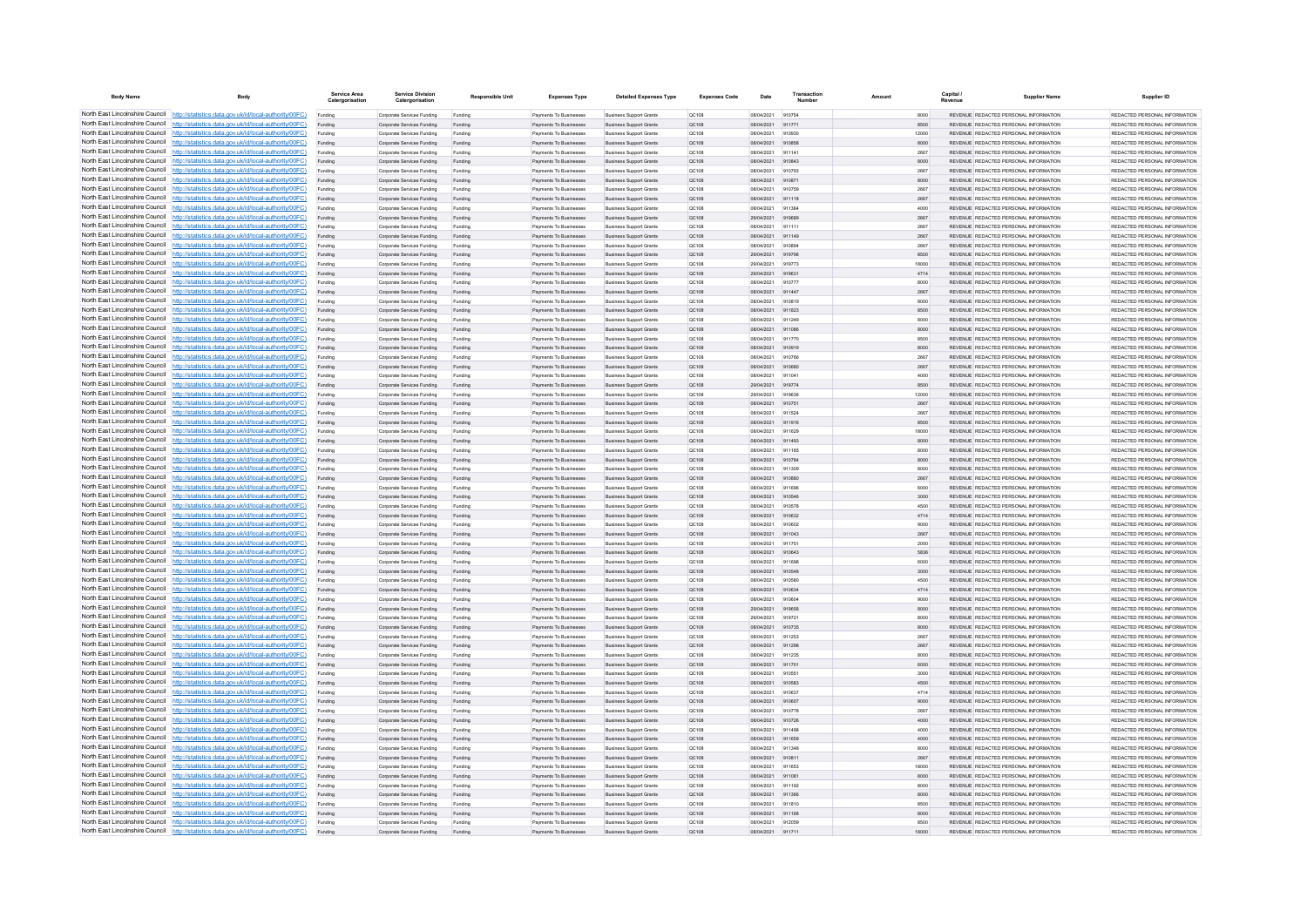| <b>Body Name</b>                                                   | Body                                                                                                                                                                             | Service Area<br>Catergorisatio | <b>Service Division</b><br>Catergorisation               | <b>Responsible Unit</b> | <b>Expenses Type</b>                             | <b>Detailed Expenses Type</b>                                    | <b>Expenses Code</b>  | Date                     | Transactio       | Amount | Capital      | <b>Supplier Name</b>                                                           | Supplier ID                                                     |
|--------------------------------------------------------------------|----------------------------------------------------------------------------------------------------------------------------------------------------------------------------------|--------------------------------|----------------------------------------------------------|-------------------------|--------------------------------------------------|------------------------------------------------------------------|-----------------------|--------------------------|------------------|--------|--------------|--------------------------------------------------------------------------------|-----------------------------------------------------------------|
|                                                                    | North East Lincolnshire Council http://statistics.data.gov.uk/id/local-authority/00FC)                                                                                           | Funding                        | Corporate Services Funding                               | Funding                 | Payments To Businesses                           | <b>Business Support Grants</b>                                   | OC108                 | 08/04/2021               | 910754           |        | 8000         | REVENUE REDACTED PERSONAL INFORMATION                                          | REDACTED PERSONAL INFORMATION                                   |
|                                                                    | North East Lincolnshire Council http://statistics.data.gov.uk/id/local-authority/00FC)                                                                                           | Funding                        | Corporate Services Funding                               | Funding                 | Payments To Businesses                           | <b>Business Support Grants</b>                                   | QC108                 | 08/04/2021               | 911771           |        | 8500         | REVENUE REDACTED PERSONAL INFORMATION                                          | REDACTED PERSONAL INFORMATION                                   |
|                                                                    | North East Lincolnshire Council http://statistics.data.gov.uk/id/local-authority/00FC)                                                                                           | Funding                        | Corporate Services Funding                               | Funding                 | Payments To Busin                                | <b>Business Support Grant</b>                                    | QC108                 | 08/04/2021               | 910930           |        | 12000        | REVENUE REDACTED PERSONAL INFORMATION                                          | REDACTED PERSONAL INFORMATION                                   |
|                                                                    | North East Lincolnshire Council http://statistics.data.gov.uk/id/local-authority/00FC)<br>North East Lincolnshire Council http://statistics.data.gov.uk/id/local-authority/00FC) | Funding                        | Corporate Services Funding                               | Funding                 | Payments To Businesses                           | <b>Business Support Grants</b>                                   | QC108                 | 08/04/2021               | 910858<br>911141 |        | 8000         | REVENUE REDACTED PERSONAL INFORMATION                                          | REDACTED PERSONAL INFORMATION<br>REDACTED PERSONAL INFORMATION  |
|                                                                    | North East Lincolnshire Council http://statistics.data.gov.uk/id/local-authority/00FC)                                                                                           | Funding<br>Funding             | Corporate Services Funding<br>Corporate Services Funding | Funding<br>Funding      | Payments To Businesses<br>Payments To Businesses | <b>Business Support Grants</b><br>Business Support Grants        | <b>QC108</b><br>QC108 | 08/04/2021<br>08/04/2021 | 910843           |        | 2667<br>8000 | REVENUE REDACTED PERSONAL INFORMATION<br>REVENUE REDACTED PERSONAL INFORMATION | REDACTED PERSONAL INFORMATION                                   |
|                                                                    | North East Lincolnshire Council http://statistics.data.gov.uk/id/local-authority/00FC)                                                                                           | Funding                        | Corporate Services Funding                               | Funding                 | Payments To Businesses                           | <b>Business Support Grants</b>                                   | QC108                 | 08/04/2021               | 910793           |        | 2667         | REVENUE REDACTED PERSONAL INFORMATION                                          | REDACTED PERSONAL INFORMATION                                   |
|                                                                    | North East Lincolnshire Council http://statistics.data.gov.uk/id/local-authority/00FC)                                                                                           | Funding                        | Corporate Services Funding                               | Funding                 | <b>Payments To Businesses</b>                    | <b>Business Support Grants</b>                                   | OC108                 | 08/04/2021               | 910871           |        | 8000         | REVENUE, REDACTED PERSONAL INFORMATION                                         | REDACTED PERSONAL INFORMATION.                                  |
| North East Lincolnshire Council                                    | http://statistics.data.gov.uk/id/local-authority/00FC)                                                                                                                           | Funding                        | Corporate Services Funding                               | Funding                 | <b>Payments To Businesses</b>                    | <b>Business Support Grants</b>                                   | OC108                 | 08/04/2021               | 910759           |        | 2667         | REVENUE REDACTED PERSONAL INFORMATION                                          | REDACTED PERSONAL INFORMATION                                   |
| North East Lincolnshire Council                                    | http://statistics.data.gov.uk/id/local-authority/00FC)                                                                                                                           | Funding                        | Corporate Services Funding                               | Funding                 | Payments To Businesses                           | <b>Business Support Grants</b>                                   | QC108                 | 08/04/2021               | 911118           |        | 2667         | REVENUE REDACTED PERSONAL INFORMATION                                          | REDACTED PERSONAL INFORMATION                                   |
|                                                                    | North East Lincolnshire Council http://statistics.data.gov.uk/id/local-authority/00FC)                                                                                           | Funding                        | Corporate Services Funding                               | Funding                 | Payments To Businesses                           | <b>Business Support Grants</b>                                   | OCD108                | 08/04/2021               | 911364           |        | 4000         | <b>REVENHE REDACTED RERSONAL INFORMATION</b>                                   | PEDACTED PERSONAL INFORMATION                                   |
|                                                                    | North East Lincolnshire Council http://statistics.data.gov.uk/id/local-authority/00FC)                                                                                           | Funding                        | Comorate Services Funding                                | Funding                 | <b>Payments To Businesses</b>                    | <b>Business Sunnort Grants</b>                                   | OC108                 | 29/04/2021               | 919689           |        | 2667         | REVENUE, REDACTED PERSONAL INFORMATION                                         | <b>PEDACTED PERSONAL INFORMATION</b>                            |
|                                                                    | North East Lincolnshire Council http://statistics.data.gov.uk/id/local-authority/00FC)                                                                                           | Funding                        | Corporate Services Funding                               | Funding                 | Payments To Businesses                           | <b>Business Support Grants</b>                                   | OC108                 | 08/04/2021               | 911111           |        | 2667         | REVENUE REDACTED PERSONAL INFORMATION                                          | REDACTED PERSONAL INFORMATION                                   |
|                                                                    | North East Lincolnshire Council http://statistics.data.gov.uk/id/local-authority/00FC)<br>North East Lincolnshire Council http://statistics.data.gov.uk/id/local-authority/00FC) | Funding                        | Corporate Services Funding                               | Funding                 | Payments To Businesses<br>Payments To Businessee | <b>Business Support Grants</b><br><b>Business Support Grants</b> | QC108                 | 08/04/2021<br>08/04/2021 | 911149<br>910894 |        | 2667<br>2667 | REVENUE REDACTED PERSONAL INFORMATION<br>REVENUE REDACTED PERSONAL INFORMATION | REDACTED PERSONAL INFORMATION<br>REDACTED PERSONAL INFORMATION  |
| North East Lincolnshire Council                                    | http://statistics.data.gov.uk/id/local-authority/00FC)                                                                                                                           | Funding<br>Funding             | Corporate Services Funding<br>Corporate Services Funding | Funding<br>Funding      | Payments To Businesses                           | <b>Business Support Grants</b>                                   | OC108<br>QC108        | 29/04/2021               | 919796           |        | 8500         | REVENUE REDACTED PERSONAL INFORMATION                                          | REDACTED PERSONAL INFORMATION                                   |
| North East Lincolnshire Council                                    | http://statistics.data.gov.uk/id/local-authority/00FC)                                                                                                                           | Funding                        | Corporate Services Funding                               | Funding                 | Payments To Businesser                           | <b>Business Support Grants</b>                                   | QC108                 | 29/04/2021               | 919773           |        | 18000        | REVENUE REDACTED PERSONAL INFORMATION                                          | REDACTED PERSONAL INFORMATION                                   |
|                                                                    | North East Lincolnshire Council http://statistics.data.gov.uk/id/local-authority/00FC)                                                                                           | Funding                        | Corporate Services Funding                               | Funding                 | Payments To Businesse                            | <b>Business Support Grants</b>                                   | QC108                 | 29/04/2021               | 919631           |        | 4714         | REVENUE REDACTED PERSONAL INFORMATION                                          | REDACTED PERSONAL INFORMATION                                   |
|                                                                    | North East Lincolnshire Council http://statistics.data.gov.uk/id/local-authority/00FC)                                                                                           | Funding                        | Comorate Services Funding                                | Funding                 | <b>Payments To Businesses</b>                    | <b>Business Sunnort Grants</b>                                   | 00108                 | 08/04/2021               | 910777           |        | 8000         | REVENUE REDACTED PERSONAL INFORMATION                                          | REDACTED PERSONAL INFORMATION                                   |
|                                                                    | North East Lincolnshire Council http://statistics.data.gov.uk/id/local-authority/00FC)                                                                                           | Funding                        | Corporate Services Funding                               | Funding                 | Payments To Businesses                           | <b>Business Support Grants</b>                                   | QC108                 | 08/04/2021               | 911447           |        | 2667         | REVENUE REDACTED PERSONAL INFORMATION                                          | REDACTED PERSONAL INFORMATION.                                  |
|                                                                    | North East Lincolnshire Council   http://statistics.data.gov.uk/id/local-authority/00FC)                                                                                         | Funding                        | Corporate Services Funding                               | Funding                 | Payments To Businesses                           | <b>Business Support Grants</b>                                   | OC108                 | 08/04/2021               | 910819           |        | 8000         | REVENUE REDACTED PERSONAL INFORMATION                                          | REDACTED PERSONAL INFORMATION                                   |
|                                                                    | North East Lincolnshire Council http://statistics.data.gov.uk/id/local-authority/00FC)                                                                                           | Funding                        | Corporate Services Funding                               | Funding                 | Payments To Businesses                           | <b>Business Support Grants</b>                                   | QC108                 | 08/04/2021               | 911823           |        | 8500         | REVENUE REDACTED PERSONAL INFORMATION                                          | REDACTED PERSONAL INFORMATION                                   |
| North East Lincolnshire Council                                    | North East Lincolnshire Council http://statistics.data.gov.uk/id/local-authority/00FC)                                                                                           | Funding                        | Corporate Services Funding                               | Funding                 | <b>Payments To Businesses</b>                    | <b>Business Support Grants</b>                                   | OC108                 | 08/04/2021               | 911249           |        | 8000         | REVENUE, REDACTED PERSONAL INFORMATION                                         | REDACTED PERSONAL INFORMATION.                                  |
| North East Lincolnshire Council                                    | http://statistics.data.gov.uk/id/local-authority/00FC)<br>http://statistics.data.gov.uk/id/local-authority/00FC)                                                                 | Funding                        | Corporate Services Funding<br>Corporate Services Funding | Funding                 | Payments To Businesses<br>Payments To Businesser | <b>Business Support Grants</b><br><b>Business Support Grants</b> | OC108<br>QC108        | 08/04/2021<br>08/04/2021 | 911086<br>911770 |        | 8000<br>8500 | REVENUE REDACTED PERSONAL INFORMATION<br>REVENUE REDACTED PERSONAL INFORMATION | REDACTED PERSONAL INFORMATION<br>REDACTED PERSONAL INFORMATION  |
|                                                                    | North East Lincolnshire Council http://statistics.data.gov.uk/id/local-authority/00FC)                                                                                           | Funding                        | Corporate Services Funding                               | Funding<br>Funding      | Payments To Businesses                           | <b>Business Support Grants</b>                                   | QC108                 | 08/04/2021               | 910919           |        | 8000         | <b>REVENHE REDACTED RERSONAL INFORMATION</b>                                   | PEDACTED PERSONAL INFORMATION                                   |
|                                                                    | North East Lincolnshire Council http://statistics.data.gov.uk/id/local-authority/00FC)                                                                                           | Funding                        | Corporate Services Funding                               | Funding                 | Payments To Businesses                           | <b>Business Support Grants</b>                                   | OC108                 | 08/04/2021               | 910766           |        | 2667         | REVENUE REDACTED PERSONAL INFORMATION                                          | REDACTED PERSONAL INFORMATION                                   |
|                                                                    | North East Lincolnshire Council http://statistics.data.gov.uk/id/local-authority/00FC)                                                                                           | Funding                        | Corporate Services Funding                               | Funding                 | Payments To Businesses                           | <b>Business Support Grants</b>                                   | QC108                 | 08/04/2021               | 910680           |        | 2667         | REVENUE REDACTED PERSONAL INFORMATION                                          | REDACTED PERSONAL INFORMATION                                   |
|                                                                    | North East Lincolnshire Council http://statistics.data.gov.uk/id/local-authority/00FC)                                                                                           | Funding                        | Corporate Services Funding                               | Funding                 | Payments To Businessee                           | <b>Business Support Grants</b>                                   | QC108                 | 08/04/2021               | 911041           |        | 4000         | REVENUE REDACTED PERSONAL INFORMATION                                          | REDACTED PERSONAL INFORMATION                                   |
|                                                                    | North East Lincolnshire Council http://statistics.data.gov.uk/id/local-authority/00FC)                                                                                           | Funding                        | Corporate Services Funding                               | Funding                 | Payments To Businesses                           | <b>Business Support Grants</b>                                   | QC108                 | 29/04/2021               | 919774           |        | 8500         | REVENUE REDACTED PERSONAL INFORMATION                                          | REDACTED PERSONAL INFORMATION                                   |
| North East Lincolnshire Council                                    | http://statistics.data.gov.uk/id/local-authority/00FC)                                                                                                                           | Funding                        | Corporate Services Funding                               | Funding                 | Payments To Businessee                           | <b>Business Support Grants</b>                                   | QC108                 | 29/04/2021               | 919636           |        | 12000        | REVENUE REDACTED PERSONAL INFORMATION                                          | REDACTED PERSONAL INFORMATION                                   |
| North East Lincolnshire Council                                    | to://statistics.data.gov.uk/id/local-authority/00FC)                                                                                                                             | Funding                        | Corporate Services Funding                               | Funding                 | Payments To Businesses                           | <b>Business Support Grants</b>                                   | QC108                 | 08/04/2021               | 910751           |        | 2667         | REVENUE REDACTED PERSONAL INFORMATION                                          | REDACTED PERSONAL INFORMATION                                   |
| North East Lincolnshire Council                                    | http://statistics.data.gov.uk/id/local-authority/00FC)                                                                                                                           | Funding                        | Corporate Services Funding                               | Funding                 | Payments To Businesse                            | <b>Business Support Grants</b>                                   | QC108                 | 08/04/2021               | 911524           |        | 2667         | REVENUE REDACTED PERSONAL INFORMATION                                          | REDACTED PERSONAL INFORMATION                                   |
|                                                                    | North East Lincolnshire Council http://statistics.data.gov.uk/id/local-authority/00FC)                                                                                           | Funding                        | Corporate Services Funding                               | Funding                 | Payments To Businessee                           | <b>Business Support Grants</b>                                   | QC108                 | 08/04/2021               | 911916           |        | 8500         | REVENUE REDACTED PERSONAL INFORMATION                                          | REDACTED PERSONAL INFORMATION                                   |
|                                                                    | North East Lincolnshire Council http://statistics.data.gov.uk/id/local-authority/00FC)<br>North East Lincolnshire Council http://statistics.data.gov.uk/id/local-authority/00FC) | Funding                        | Comorate Services Funding                                | Funding                 | Payments To Businesses                           | <b>Business Support Grants</b>                                   | OC108                 | 08/04/2021               | 911629           |        | 18000        | REVENUE, REDACTED PERSONAL INFORMATION                                         | REDACTED PERSONAL INFORMATION.<br>REDACTED PERSONAL INFORMATION |
|                                                                    | North East Lincolnshire Council http://statistics.data.gov.uk/id/local-authority/00FC)                                                                                           | Funding<br>Funding             | Corporate Services Funding<br>Corporate Services Funding | Funding<br>Funding      | Payments To Businesses<br>Payments To Businesses | <b>Business Support Grants</b><br><b>Business Support Grants</b> | QC108<br>OC108        | 08/04/2021<br>08/04/2021 | 911493<br>911165 |        | 8000<br>8000 | REVENUE REDACTED PERSONAL INFORMATION<br>REVENUE REDACTED PERSONAL INFORMATION | REDACTED PERSONAL INFORMATION                                   |
|                                                                    | North East Lincolnshire Council http://statistics.data.gov.uk/id/local-authority/00FC)                                                                                           | Funding                        | Corporate Services Funding                               | Funding                 | Payments To Businesses                           | <b>Business Support Grants</b>                                   | QC108                 | 08/04/2021               | 910784           |        | 8000         | REVENUE REDACTED PERSONAL INFORMATION                                          | REDACTED PERSONAL INFORMATION                                   |
| North East Lincolnshire Council                                    | http://statistics.data.gov.uk/id/local-authority/00EC)                                                                                                                           | Funding                        | Corporate Services Funding                               | Funding                 | <b>Payments To Businesses</b>                    | <b>Business Support Grants</b>                                   | OCD108                | 08/04/2021               | 911309           |        | 8000         | REVENUE REDACTED PERSONAL INFORMATION                                          | REDACTED PERSONAL INFORMATION                                   |
| North East Lincolnshire Council                                    | http://statistics.data.gov.uk/id/local-authority/00FC)                                                                                                                           | Funding                        | Corporate Services Funding                               | Funding                 | Payments To Businesses                           | <b>Business Support Grants</b>                                   | QC108                 | 08/04/2021               | 910880           |        | 2667         | REVENUE REDACTED PERSONAL INFORMATION                                          | REDACTED PERSONAL INFORMATION                                   |
|                                                                    | North East Lincolnshire Council http://statistics.data.gov.uk/id/local-authority/00FC)                                                                                           | Funding                        | Corporate Services Funding                               | Funding                 | Payments To Businessee                           | <b>Business Support Grants</b>                                   | QC108                 | 08/04/2021               | 911696           |        | 6000         | REVENUE REDACTED PERSONAL INFORMATION                                          | REDACTED PERSONAL INFORMATION                                   |
|                                                                    | North East Lincolnshire Council http://statistics.data.gov.uk/id/local-authority/00FC)                                                                                           | Funding                        | Corporate Services Funding                               | Funding                 | Payments To Businesses                           | <b>Business Support Grants</b>                                   | QC108                 | 08/04/2021               | 910546           |        | 3000         | REVENUE REDACTED PERSONAL INFORMATION                                          | REDACTED PERSONAL INFORMATION                                   |
|                                                                    | North East Lincolnshire Council http://statistics.data.gov.uk/id/local-authority/00FC)                                                                                           | Funding                        | Corporate Services Funding                               | Funding                 | Payments To Businesses                           | <b>Business Support Grants</b>                                   | OC108                 | 08/04/2021               | 910578           |        | 4500         | REVENUE REDACTED PERSONAL INFORMATION                                          | REDACTED PERSONAL INFORMATION                                   |
|                                                                    | North East Lincolnshire Council http://statistics.data.gov.uk/id/local-authority/00FC)                                                                                           | Funding                        | Corporate Services Funding                               | Funding                 | Payments To Businesses                           | <b>Business Support Grants</b>                                   | QC108                 | 08/04/2021               | 910632           |        | 4714         | REVENUE REDACTED PERSONAL INFORMATION                                          | REDACTED PERSONAL INFORMATION                                   |
|                                                                    | North East Lincolnshire Council http://statistics.data.gov.uk/id/local-authority/00FC)<br>North East Lincolnshire Council http://statistics.data.gov.uk/id/local-authority/00FC) | Funding                        | Corporate Services Funding                               | Funding                 | Payments To Businessee                           | <b>Business Support Grants</b>                                   | QC108                 | 08/04/2021<br>08/04/2021 | 910602<br>911043 |        | 9000         | REVENUE REDACTED PERSONAL INFORMATION<br>REVENUE REDACTED PERSONAL INFORMATION | REDACTED PERSONAL INFORMATION<br>REDACTED PERSONAL INFORMATION  |
| North East Lincolnshire Council                                    | ://statistics.data.gov.uk/id/local-authority/00FC)                                                                                                                               | Funding<br>Funding             | Corporate Services Funding<br>Corporate Services Funding | Funding<br>Funding      | Payments To Businesses<br>Payments To Businessee | <b>Business Support Grants</b><br><b>Business Support Grants</b> | QC108<br>QC108        | 08/04/2021               | 911751           |        | 2667<br>2000 | REVENUE REDACTED PERSONAL INFORMATION                                          | REDACTED PERSONAL INFORMATION                                   |
|                                                                    | North East Lincolnshire Council http://statistics.data.gov.uk/id/local-authority/00FC)                                                                                           | Funding                        | Corporate Services Funding                               | Funding                 | Payments To Businesses                           | <b>Business Support Grants</b>                                   | QC108                 | 08/04/2021               | 910643           |        | 5836         | REVENUE REDACTED PERSONAL INFORMATION                                          | REDACTED PERSONAL INFORMATION                                   |
|                                                                    | North East Lincolnshire Council http://statistics.data.gov.uk/id/local-authority/00FC)                                                                                           | Funding                        | Corporate Services Funding                               | Funding                 | Payments To Businesse                            | <b>Business Support Grants</b>                                   | QC108                 | 08/04/2021               | 911698           |        | 6000         | REVENUE REDACTED PERSONAL INFORMATION                                          | REDACTED PERSONAL INFORMATION                                   |
|                                                                    | North East Lincolnshire Council http://statistics.data.gov.uk/id/local-authority/00FC)                                                                                           | Funding                        | Corporate Services Funding                               | Funding                 | Payments To Businesses                           | <b>Business Support Grants</b>                                   | OC108                 | 08/04/2021               | 910548           |        | 3000         | REVENUE, REDACTED PERSONAL INFORMATION                                         | REDACTED PERSONAL INFORMATION.                                  |
|                                                                    | North East Lincolnshire Council http://statistics.data.gov.uk/id/local-authority/00FC)                                                                                           | Funding                        | Corporate Services Funding                               | Funding                 | Payments To Businesses                           | <b>Business Support Grants</b>                                   | <b>QC108</b>          | 08/04/2021               | 910580           |        | 4500         | REVENUE REDACTED PERSONAL INFORMATION                                          | REDACTED PERSONAL INFORMATION                                   |
|                                                                    | North East Lincolnshire Council http://statistics.data.gov.uk/id/local-authority/00FC)                                                                                           | Funding                        | Corporate Services Funding                               | Funding                 | Payments To Businesses                           | <b>Business Support Grants</b>                                   | QC108                 | 08/04/2021               | 910634           |        | 4714         | REVENUE REDACTED PERSONAL INFORMATION                                          | REDACTED PERSONAL INFORMATION                                   |
|                                                                    | North East Lincolnshire Council http://statistics.data.gov.uk/id/local-authority/00FC)                                                                                           | Funding                        | Corporate Services Funding                               | Funding                 | Payments To Businesses                           | <b>Business Support Grants</b>                                   | QC108                 | 08/04/2021               | 910604           |        | 9000         | REVENUE REDACTED PERSONAL INFORMATION                                          | REDACTED PERSONAL INFORMATION                                   |
| North East Lincolnshire Council<br>North East Lincolnshire Council | http://statistics.data.gov.uk/id/local-authority/00EC)                                                                                                                           | Funding                        | Corporate Services Funding                               | Funding                 | Payments To Businesses                           | <b>Business Support Grants</b>                                   | OC108                 | 29/04/2021               | 919658           |        | 8000         | REVENUE REDACTED PERSONAL INFORMATION                                          | REDACTED PERSONAL INFORMATION                                   |
|                                                                    | http://statistics.data.gov.uk/id/local-authority/00FC)<br>North East Lincolnshire Council http://statistics.data.gov.uk/id/local-authority/00FC)                                 | Funding                        | Corporate Services Funding                               | Funding                 | Payments To Businesses                           | <b>Business Support Grants</b>                                   | QC108                 | 29/04/2021               | 919721<br>910735 |        | 8000         | REVENUE REDACTED PERSONAL INFORMATION                                          | REDACTED PERSONAL INFORMATION<br>REDACTED PERSONAL INFORMATION  |
|                                                                    | North East Lincolnshire Council http://statistics.data.gov.uk/id/local-authority/00FC)                                                                                           | Funding<br>Funding             | Corporate Services Funding<br>Corporate Services Funding | Funding<br>Fundin       | Payments To Businesses<br>Payments To Businesses | <b>Business Support Grants</b><br><b>Business Support Grants</b> | QC108<br>QC108        | 08/04/202<br>08/04/2021  | 911253           |        | 8000<br>2667 | REVENUE REDACTED PERSONAL INFORMATION<br>REVENUE REDACTED PERSONAL INFORMATION | REDACTED PERSONAL INFORMATION                                   |
|                                                                    | North East Lincolnshire Council http://statistics.data.gov.uk/id/local-authority/00FC)                                                                                           | Funding                        | Corporate Services Funding                               | Funding                 | Payments To Businesses                           | <b>Business Support Grants</b>                                   | QC108                 | 08/04/2021               | 911298           |        | 2667         | REVENUE REDACTED PERSONAL INFORMATION                                          | REDACTED PERSONAL INFORMATION                                   |
|                                                                    | North East Lincolnshire Council http://statistics.data.gov.uk/id/local-authority/00FC)                                                                                           | Funding                        | Corporate Services Funding                               | Funding                 | Payments To Businesses                           | <b>Business Support Grants</b>                                   | OC108                 | 08/04/2021               | 911235           |        | 8000         | REVENUE REDACTED PERSONAL INFORMATION                                          | REDACTED PERSONAL INFORMATION                                   |
|                                                                    | North East Lincolnshire Council http://statistics.data.gov.uk/id/local-authority/00FC)                                                                                           | Funding                        | Corporate Services Funding                               | Funding                 | Payments To Businesses                           | <b>Business Support Grants</b>                                   | QC108                 | 08/04/2021               | 911701           |        | 6000         | REVENUE REDACTED PERSONAL INFORMATION                                          | REDACTED PERSONAL INFORMATION                                   |
|                                                                    | North East Lincolnshire Council http://statistics.data.gov.uk/id/local-authority/00FC)                                                                                           | Funding                        | Corporate Services Funding                               | Funding                 | Payments To Businessee                           | <b>Business Support Grants</b>                                   | OC108                 | 08/04/2021               | 910551           |        | 3000         | REVENUE REDACTED PERSONAL INFORMATION                                          | REDACTED PERSONAL INFORMATION                                   |
| North East Lincolnshire Council                                    | http://statistics.data.gov.uk/id/local-authority/00FC)                                                                                                                           | Funding                        | Corporate Services Funding                               | Funding                 | Payments To Businesses                           | <b>Business Support Grants</b>                                   | QC108                 | 08/04/2021               | 910583           |        | 4500         | REVENUE REDACTED PERSONAL INFORMATION                                          | REDACTED PERSONAL INFORMATION                                   |
|                                                                    | North East Lincolnshire Council http://statistics.data.gov.uk/id/local-authority/00FC)                                                                                           | Funding                        | Corporate Services Funding                               | Funding                 | Payments To Businessee                           | <b>Business Support Grants</b>                                   | QC108                 | 08/04/2021               | 910637           |        | 4714         | REVENUE REDACTED PERSONAL INFORMATION                                          | REDACTED PERSONAL INFORMATION                                   |
|                                                                    | North East Lincolnshire Council http://statistics.data.gov.uk/id/local-authority/00FC)                                                                                           | Funding                        | Corporate Services Funding                               | Funding                 | Payments To Businessee                           | <b>Business Support Grants</b>                                   | QC108                 | 08/04/2021               | 910607           |        | 9000         | REVENUE REDACTED PERSONAL INFORMATION                                          | REDACTED PERSONAL INFORMATION                                   |
|                                                                    | North East Lincolnshire Council http://statistics.data.gov.uk/id/local-authority/00FC)                                                                                           | Funding                        | Comorate Services Funding                                | Funding                 | <b>Payments To Businesses</b>                    | <b>Business Sunnort Grants</b>                                   | OC108                 | 08/04/2021               | 910778           |        | 2667         | REVENUE, REDACTED PERSONAL INFORMATION                                         | REDACTED PERSONAL INFORMATION.                                  |
|                                                                    | North East Lincolnshire Council http://statistics.data.gov.uk/id/local-authority/00FC)<br>North East Lincolnshire Council http://statistics.data.gov.uk/id/local-authority/00FC) | Funding                        | Corporate Services Funding<br>Corporate Services Funding | Funding                 | Payments To Businesses<br>Payments To Businesses | <b>Business Support Grants</b><br><b>Business Support Grants</b> | QC108<br>OC108        | 08/04/2021<br>08/04/2021 | 910726<br>911498 |        | 4000<br>4000 | REVENUE REDACTED PERSONAL INFORMATION<br>REVENUE REDACTED PERSONAL INFORMATION | REDACTED PERSONAL INFORMATION<br>REDACTED PERSONAL INFORMATION  |
|                                                                    | North East Lincolnshire Council http://statistics.data.gov.uk/id/local-authority/00FC)                                                                                           | Funding<br>Funding             | Corporate Services Funding                               | Funding<br>Funding      | Payments To Businesses                           | <b>Business Support Grants</b>                                   | QC108                 | 08/04/2021               | 911659           |        | 4000         | REVENUE REDACTED PERSONAL INFORMATION                                          | REDACTED PERSONAL INFORMATION                                   |
| North East Lincolnshire Council                                    | http://statistics.data.gov.uk/id/local-authority/00FC)                                                                                                                           | Funding                        | Corporate Services Funding                               | Funding                 | Payments To Businesses                           | <b>Business Support Grants</b>                                   | QC108                 | 08/04/2021               | 911348           |        | 8000         | REVENUE REDACTED PERSONAL INFORMATION                                          | REDACTED PERSONAL INFORMATION                                   |
|                                                                    | North East Lincolnshire Council http://statistics.data.gov.uk/id/local-authority/00FC)                                                                                           | Funding                        | Corporate Services Funding                               | Funding                 | Payments To Businesses                           | <b>Business Support Grants</b>                                   | QC108                 | 08/04/2021               | 910811           |        | 2667         | REVENUE REDACTED PERSONAL INFORMATION                                          | REDACTED PERSONAL INFORMATION                                   |
|                                                                    | North East Lincolnshire Council http://statistics.data.gov.uk/id/local-authority/00FC)                                                                                           | Funding                        | Corporate Services Funding                               | Funding                 | Payments To Businessee                           | <b>Business Support Grants</b>                                   | QC108                 | 08/04/2021               | 911653           |        | 18000        | REVENUE REDACTED PERSONAL INFORMATION                                          | REDACTED PERSONAL INFORMATION                                   |
|                                                                    | North East Lincolnshire Council http://statistics.data.gov.uk/id/local-authority/00FC)                                                                                           | Funding                        | Corporate Services Funding                               | Funding                 | Payments To Businesses                           | <b>Business Support Grants</b>                                   | QC108                 | 08/04/2021               | 911081           |        | 8000         | REVENUE REDACTED PERSONAL INFORMATION                                          | REDACTED PERSONAL INFORMATION                                   |
|                                                                    | North East Lincolnshire Council http://statistics.data.gov.uk/id/local-authority/00FC)                                                                                           | Funding                        | Corporate Services Funding                               | Funding                 | Payments To Businesses                           | <b>Business Support Grants</b>                                   | OC108                 | 08/04/2021               | 911192           |        | 8000         | REVENUE REDACTED PERSONAL INFORMATION                                          | REDACTED PERSONAL INFORMATION                                   |
|                                                                    | North East Lincolnshire Council http://statistics.data.gov.uk/id/local-authority/00FC)                                                                                           | Funding                        | Corporate Services Funding                               | Funding                 | Payments To Businesses                           | <b>Business Support Grants</b>                                   | QC108                 | 08/04/2021               | 911366           |        | 8000         | REVENUE REDACTED PERSONAL INFORMATION                                          | REDACTED PERSONAL INFORMATION                                   |
|                                                                    | North East Lincolnshire Council http://statistics.data.gov.uk/id/local-authority/00FC)                                                                                           |                                | Corporate Services Funding                               | Funding                 | Payments To Businessee                           | <b>Business Support Grants</b>                                   | QC108                 | 08/04/2021               | 911810           |        | 8500         | REVENUE REDACTED PERSONAL INFORMATION                                          | REDACTED PERSONAL INFORMATION                                   |
|                                                                    | North East Lincolnshire Council http://statistics.data.gov.uk/id/local-authority/00FC)<br>North East Lincolnshire Council http://statistics.data.gov.uk/id/local-authority/00FC) | Funding                        | Corporate Services Funding                               | Funding                 | Payments To Businesses                           | <b>Business Support Grants</b>                                   | QC108                 | 08/04/2021 911168        |                  |        | 8000         | REVENUE REDACTED PERSONAL INFORMATION                                          | REDACTED PERSONAL INFORMATION                                   |
|                                                                    | North East Lincolnshire Council http://statistics.data.gov.uk/id/local-authority/00FC)                                                                                           | Funding                        | Corporate Services Funding<br>Corporate Services Funding | Funding                 | Payments To Businesses<br>Payments To Businessee | <b>Business Support Grants</b><br><b>Business Support Grants</b> | OC108                 | 08/04/2021<br>08/04/2021 | 912059           |        | 8500         | REVENUE REDACTED PERSONAL INFORMATION<br>REVENUE REDACTED PERSONAL INFORMATION | REDACTED PERSONAL INFORMATION<br>REDACTED PERSONAL INFORMATION  |
|                                                                    |                                                                                                                                                                                  | Funding                        |                                                          | Funding                 |                                                  |                                                                  |                       |                          |                  |        | 18000        |                                                                                |                                                                 |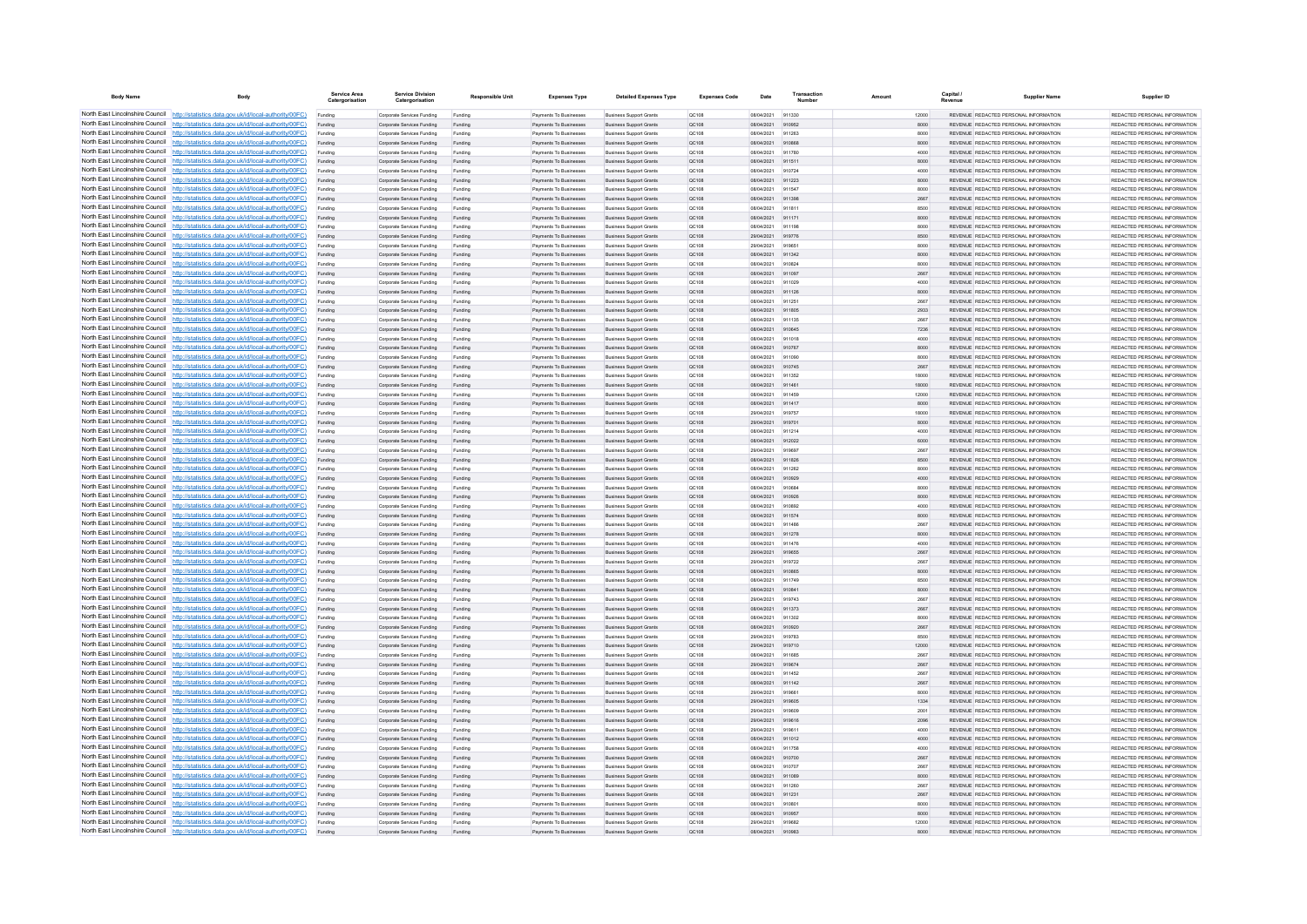| <b>Body Name</b>                | Body                                                                                                                                                                             | Service Area<br>Catergorisatio | <b>Service Division</b><br>Catergorisation               | <b>Responsible Unit</b> | <b>Expenses Type</b>                                           | <b>Detailed Expenses Type</b>                                    | <b>Expenses Code</b> | Date                     | Transactio       | Amount |              | Capital | <b>Supplier Name</b>                                                                  | Supplier ID                                                     |
|---------------------------------|----------------------------------------------------------------------------------------------------------------------------------------------------------------------------------|--------------------------------|----------------------------------------------------------|-------------------------|----------------------------------------------------------------|------------------------------------------------------------------|----------------------|--------------------------|------------------|--------|--------------|---------|---------------------------------------------------------------------------------------|-----------------------------------------------------------------|
|                                 | North East Lincolnshire Council http://statistics.data.gov.uk/id/local-authority/00FC)                                                                                           | Funding                        | Corporate Services Funding                               | Funding                 | Payments To Businesses                                         | <b>Business Support Grants</b>                                   | OC108                | 08/04/2021               | 911330           |        | 12000        |         | REVENUE REDACTED PERSONAL INFORMATION                                                 | REDACTED PERSONAL INFORMATION                                   |
|                                 | North East Lincolnshire Council http://statistics.data.gov.uk/id/local-authority/00FC)                                                                                           | Funding                        | Corporate Services Funding                               | Funding                 | Payments To Businesses                                         | <b>Business Support Grants</b>                                   | QC108                | 08/04/2021               | 910952           |        | 8000         |         | REVENUE REDACTED PERSONAL INFORMATION                                                 | REDACTED PERSONAL INFORMATION                                   |
|                                 | North East Lincolnshire Council http://statistics.data.gov.uk/id/local-authority/00FC)                                                                                           | Funding                        | Corporate Services Funding                               | Funding                 | Payments To Busin                                              | <b>Business Support Grant</b>                                    | QC108                | 08/04/2021               | 911263           |        | 8000         |         | REVENUE REDACTED PERSONAL INFORMATION                                                 | REDACTED PERSONAL INFORMATION                                   |
|                                 | North East Lincolnshire Council http://statistics.data.gov.uk/id/local-authority/00FC)                                                                                           | Funding                        | Corporate Services Funding                               | Funding                 | Payments To Businesses                                         | <b>Business Support Grants</b>                                   | OC108                | 08/04/2021               | 910868           |        | 8000         |         | REVENUE REDACTED PERSONAL INFORMATION                                                 | REDACTED PERSONAL INFORMATION                                   |
|                                 | North East Lincolnshire Council http://statistics.data.gov.uk/id/local-authority/00FC)                                                                                           | Funding                        | Corporate Services Funding                               | Funding                 | Payments To Businesses                                         | <b>Business Support Grants</b>                                   | <b>QC108</b>         | 08/04/2021               | 911780           |        | 4000         |         | REVENUE REDACTED PERSONAL INFORMATION                                                 | REDACTED PERSONAL INFORMATION.                                  |
|                                 | North East Lincolnshire Council http://statistics.data.gov.uk/id/local-authority/00FC)                                                                                           | Funding                        | Corporate Services Funding                               | Funding                 | Payments To Businesses                                         | <b>Business Support Grants</b>                                   | QC108                | 08/04/2021               | 911511           |        | 8000         |         | REVENUE REDACTED PERSONAL INFORMATION                                                 | REDACTED PERSONAL INFORMATION                                   |
|                                 | North East Lincolnshire Council http://statistics.data.gov.uk/id/local-authority/00FC)<br>North East Lincolnshire Council http://statistics.data.gov.uk/id/local-authority/00FC) | Funding                        | Corporate Services Funding                               | Funding                 | Payments To Businesses                                         | <b>Business Support Grants</b>                                   | QC108<br>OC108       | 08/04/2021<br>08/04/2021 | 910724<br>911223 |        | 4000<br>8000 |         | REVENUE REDACTED PERSONAL INFORMATION<br>REVENUE, REDACTED PERSONAL INFORMATION       | REDACTED PERSONAL INFORMATION<br>REDACTED PERSONAL INFORMATION. |
| North East Lincolnshire Council | http://statistics.data.gov.uk/id/local-authority/00FC)                                                                                                                           | Funding                        | Corporate Services Funding<br>Corporate Services Funding | Funding                 | <b>Payments To Businesses</b><br><b>Payments To Businesses</b> | <b>Business Support Grants</b><br><b>Business Support Grants</b> | OC108                | 08/04/2021               | 911547           |        | 8000         |         | REVENUE REDACTED PERSONAL INFORMATION                                                 | REDACTED PERSONAL INFORMATION                                   |
| North East Lincolnshire Council | http://statistics.data.gov.uk/id/local-authority/00FC)                                                                                                                           | Funding<br>Funding             | Corporate Services Funding                               | Funding<br>Funding      | Payments To Businesses                                         | <b>Business Support Grants</b>                                   | QC108                | 08/04/2021               | 911398           |        | 2667         |         | REVENUE REDACTED PERSONAL INFORMATION                                                 | REDACTED PERSONAL INFORMATION                                   |
|                                 | North East Lincolnshire Council http://statistics.data.gov.uk/id/local-authority/00FC)                                                                                           | Funding                        | Corporate Services Funding                               | Funding                 | Payments To Businesses                                         | <b>Business Support Grants</b>                                   | QC108                | 08/04/2021               | 011811           |        | 8500         |         | <b>REVENHE REDACTED RERSONAL INFORMATION</b>                                          | <b>PEDACTED PERSONAL INFORMATION</b>                            |
|                                 | North East Lincolnshire Council http://statistics.data.gov.uk/id/local-authority/00FC)                                                                                           | Funding                        | Corporate Services Funding                               | Funding                 | Payments To Businesses                                         | <b>Business Support Grants</b>                                   | QC108                | 08/04/2021               | 911171           |        | 8000         |         | REVENUE REDACTED PERSONAL INFORMATION                                                 | REDACTED PERSONAL INFORMATION                                   |
|                                 | North East Lincolnshire Council http://statistics.data.gov.uk/id/local-authority/00FC)                                                                                           | Funding                        | Corporate Services Funding                               | Funding                 | Payments To Businesses                                         | <b>Business Support Grants</b>                                   | OC108                | 08/04/2021               | 911198           |        | 8000         |         | REVENUE REDACTED PERSONAL INFORMATION                                                 | REDACTED PERSONAL INFORMATION                                   |
|                                 | North East Lincolnshire Council http://statistics.data.gov.uk/id/local-authority/00FC)                                                                                           | Funding                        | Corporate Services Funding                               | Funding                 | Payments To Businesses                                         | <b>Business Support Grants</b>                                   | QC108                | 29/04/2021               | 919776           |        | 8500         |         | REVENUE REDACTED PERSONAL INFORMATION                                                 | REDACTED PERSONAL INFORMATION                                   |
|                                 | North East Lincolnshire Council http://statistics.data.gov.uk/id/local-authority/00FC)                                                                                           | Funding                        | Corporate Services Funding                               | Funding                 | Payments To Businessee                                         | <b>Business Support Grants</b>                                   | OC108                | 29/04/2021               | 919651           |        | 8000         |         | REVENUE REDACTED PERSONAL INFORMATION                                                 | REDACTED PERSONAL INFORMATION                                   |
| North East Lincolnshire Council | http://statistics.data.gov.uk/id/local-authority/00FC)                                                                                                                           | Funding                        | Corporate Services Funding                               | Funding                 | Payments To Businesses                                         | <b>Business Support Grants</b>                                   | QC108                | 08/04/2021               | 911342           |        | 8000         |         | REVENUE REDACTED PERSONAL INFORMATION                                                 | REDACTED PERSONAL INFORMATION                                   |
| North East Lincolnshire Council | http://statistics.data.gov.uk/id/local-authority/00FC)                                                                                                                           | Funding                        | Corporate Services Funding                               | Funding                 | Payments To Businessee                                         | <b>Business Support Grants</b>                                   | QC108                | 08/04/2021               | 910824           |        | 8000         |         | REVENUE REDACTED PERSONAL INFORMATION                                                 | REDACTED PERSONAL INFORMATION                                   |
| North East Lincolnshire Council | http://statistics.data.gov.uk/id/local-authority/00FC)                                                                                                                           | Funding                        | Corporate Services Funding                               | Funding                 | Payments To Businessee                                         | <b>Business Support Grants</b>                                   | QC108                | 08/04/2021               | 911097           |        | 2667         |         | REVENUE, REDACTED PERSONAL INFORMATION                                                | REDACTED PERSONAL INFORMATION.                                  |
|                                 | North East Lincolnshire Council http://statistics.data.gov.uk/id/local-authority/00FC)                                                                                           | Funding                        | Comorate Services Funding                                | Funding                 | <b>Payments To Businesses</b>                                  | <b>Business Sunnort Grants</b>                                   | OC108                | 08/04/2021               | 911029           |        | 4000         |         | REVENUE, REDACTED PERSONAL INFORMATION                                                | REDACTED PERSONAL INFORMATION.                                  |
|                                 | North East Lincolnshire Council   http://statistics.data.gov.uk/id/local-authority/00FC)                                                                                         | Funding                        | Corporate Services Funding                               | Funding                 | Payments To Businesses                                         | <b>Business Support Grants</b>                                   | OC108                | 08/04/2021               | 911126           |        | 8000         |         | REVENUE REDACTED PERSONAL INFORMATION                                                 | REDACTED PERSONAL INFORMATION                                   |
|                                 | North East Lincolnshire Council http://statistics.data.gov.uk/id/local-authority/00FC)                                                                                           | Funding                        | Corporate Services Funding                               | Funding                 | Payments To Businesses                                         | <b>Business Support Grants</b>                                   | OC108                | 08/04/2021               | 911251           |        | 2667         |         | REVENUE REDACTED PERSONAL INFORMATION                                                 | REDACTED PERSONAL INFORMATION                                   |
|                                 | North East Lincolnshire Council   http://statistics.data.gov.uk/id/local-authority/00FC)                                                                                         | Funding                        | Corporate Services Funding                               | Funding                 | Payments To Businesses                                         | <b>Business Support Grants</b>                                   | QC108                | 08/04/2021               | 911805           |        | 2933         |         | REVENUE REDACTED PERSONAL INFORMATION                                                 | REDACTED PERSONAL INFORMATION                                   |
| North East Lincolnshire Council | North East Lincolnshire Council http://statistics.data.gov.uk/id/local-authority/00FC)<br>http://statistics.data.gov.uk/id/local-authority/00FC)                                 | Funding                        | Corporate Services Funding                               | Funding                 | Payments To Businesses                                         | <b>Business Support Grants</b>                                   | QC108                | 08/04/2021<br>08/04/2021 | 911135<br>910645 |        | 2667         |         | REVENUE REDACTED PERSONAL INFORMATION<br>REVENUE REDACTED PERSONAL INFORMATION        | REDACTED PERSONAL INFORMATION<br>REDACTED PERSONAL INFORMATION  |
|                                 | North East Lincolnshire Council http://statistics.data.gov.uk/id/local-authority/00FC)                                                                                           | Funding<br>Funding             | Corporate Services Funding<br>Corporate Services Funding | Funding<br>Funding      | Payments To Businesses<br>Payments To Businessee               | <b>Business Support Grants</b><br><b>Business Support Grants</b> | QC108<br>QC108       | 08/04/2021               | 911018           |        | 7236<br>4000 |         | REVENUE REDACTED PERSONAL INFORMATION                                                 | REDACTED PERSONAL INFORMATION                                   |
|                                 | North East Lincolnshire Council http://statistics.data.gov.uk/id/local-authority/00FC)                                                                                           | Funding                        | Corporate Services Funding                               | Funding                 | Payments To Businesses                                         | <b>Business Support Grants</b>                                   | QC108                | 08/04/2021               | 910767           |        | 8000         |         | REVENUE REDACTED PERSONAL INFORMATION                                                 | REDACTED PERSONAL INFORMATION                                   |
|                                 | North East Lincolnshire Council http://statistics.data.gov.uk/id/local-authority/00FC)                                                                                           | Funding                        | Corporate Services Funding                               | Funding                 | Payments To Businesses                                         | <b>Business Support Grants</b>                                   | OC108                | 08/04/2021               | 911090           |        | 8000         |         | REVENUE REDACTED PERSONAL INFORMATION                                                 | REDACTED PERSONAL INFORMATION                                   |
|                                 | North East Lincolnshire Council http://statistics.data.gov.uk/id/local-authority/00FC)                                                                                           | Funding                        | Corporate Services Funding                               | Funding                 | Payments To Businesses                                         | <b>Business Support Grants</b>                                   | QC108                | 08/04/2021               | 910745           |        | 2667         |         | REVENUE REDACTED PERSONAL INFORMATION                                                 | REDACTED PERSONAL INFORMATION                                   |
|                                 | North East Lincolnshire Council http://statistics.data.gov.uk/id/local-authority/00FC)                                                                                           | Funding                        | Corporate Services Funding                               | Funding                 | Payments To Businessee                                         | <b>Business Support Grants</b>                                   | QC108                | 08/04/2021               | 911352           |        | 18000        |         | REVENUE REDACTED PERSONAL INFORMATION                                                 | REDACTED PERSONAL INFORMATION                                   |
|                                 | North East Lincolnshire Council http://statistics.data.gov.uk/id/local-authority/00FC)                                                                                           | Funding                        | Corporate Services Funding                               | Funding                 | Payments To Businessee                                         | <b>Business Support Grants</b>                                   | QC108                | 08/04/2021               | 911461           |        | 18000        |         | REVENUE REDACTED PERSONAL INFORMATION                                                 | REDACTED PERSONAL INFORMATION.                                  |
| North East Lincolnshire Council | http://statistics.data.gov.uk/id/local-authority/00FC)                                                                                                                           | Funding                        | Corporate Services Funding                               | Funding                 | Payments To Businessee                                         | <b>Business Support Grants</b>                                   | OCD108               | 08/04/2021               | 911459           |        | 12000        |         | REVENUE REDACTED PERSONAL INFORMATION                                                 | REDACTED PERSONAL INFORMATION                                   |
| North East Lincolnshire Council | http://statistics.data.gov.uk/id/local-authority/00FC)                                                                                                                           | Funding                        | Corporate Services Funding                               | Funding                 | Payments To Businessee                                         | <b>Business Support Grants</b>                                   | QC108                | 08/04/2021               | 911417           |        | 8000         |         | REVENUE REDACTED PERSONAL INFORMATION                                                 | REDACTED PERSONAL INFORMATION                                   |
|                                 | North East Lincolnshire Council http://statistics.data.gov.uk/id/local-authority/00FC)                                                                                           | Funding                        | Corporate Services Funding                               | Funding                 | Payments To Businessee                                         | <b>Business Support Grants</b>                                   | OC108                | 29/04/2021               | 919757           |        | 18000        |         | REVENUE REDACTED PERSONAL INFORMATION                                                 | REDACTED PERSONAL INFORMATION.                                  |
|                                 | North East Lincolnshire Council http://statistics.data.gov.uk/id/local-authority/00FC)                                                                                           |                                | Corporate Services Funding                               | Funding                 | Payments To Businessee                                         | <b>Business Support Grants</b>                                   | QC108                | 29/04/2021               | 919701           |        | 8000         |         | REVENUE REDACTED PERSONAL INFORMATION                                                 | REDACTED PERSONAL INFORMATION                                   |
|                                 | North East Lincolnshire Council http://statistics.data.gov.uk/id/local-authority/00FC)                                                                                           | Funding                        | Corporate Services Funding                               | Funding                 | Payments To Businesses                                         | <b>Business Support Grants</b>                                   | OC108                | 08/04/2021               | 911214           |        | 4000         |         | REVENUE REDACTED PERSONAL INFORMATION                                                 | REDACTED PERSONAL INFORMATION                                   |
|                                 | North East Lincolnshire Council http://statistics.data.gov.uk/id/local-authority/00FC)                                                                                           | Funding                        | Corporate Services Funding                               | Funding                 | Payments To Businesses                                         | <b>Business Support Grants</b>                                   | QC108                | 08/04/2021               | 912022           |        | 6000         |         | REVENUE REDACTED PERSONAL INFORMATION                                                 | REDACTED PERSONAL INFORMATION                                   |
|                                 | North East Lincolnshire Council http://statistics.data.gov.uk/id/local-authority/00FC)                                                                                           | Funding                        | Corporate Services Funding                               | Funding                 | Payments To Businesses                                         | <b>Business Support Grants</b>                                   | QC108                | 29/04/2021               | 919697           |        | 2667         |         | REVENUE REDACTED PERSONAL INFORMATION                                                 | REDACTED PERSONAL INFORMATION                                   |
|                                 | North East Lincolnshire Council http://statistics.data.gov.uk/id/local-authority/00FC)                                                                                           | Funding                        | Corporate Services Funding                               | Funding                 | Payments To Businesses                                         | <b>Business Support Grants</b>                                   | QC108                | 08/04/2021               | 911826           |        | 8500         |         | REVENUE REDACTED PERSONAL INFORMATION                                                 | REDACTED PERSONAL INFORMATION                                   |
| North East Lincolnshire Council | http://statistics.data.gov.uk/id/local-authority/00FC)                                                                                                                           | Funding                        | Corporate Services Funding                               | Funding                 | Payments To Businesses                                         | <b>Business Support Grants</b>                                   | QC108                | 08/04/2021               | 911262           |        | 8000         |         | REVENUE REDACTED PERSONAL INFORMATION                                                 | REDACTED PERSONAL INFORMATION                                   |
|                                 | North East Lincolnshire Council http://statistics.data.gov.uk/id/local-authority/00FC)<br>North East Lincolnshire Council http://statistics.data.gov.uk/id/local-authority/00FC) | Funding                        | Corporate Services Funding                               | Funding                 | Payments To Businesses                                         | <b>Business Support Grants</b>                                   | QC108                | 08/04/2021               | 910929           |        | 4000         |         | REVENUE REDACTED PERSONAL INFORMATION                                                 | REDACTED PERSONAL INFORMATION                                   |
|                                 | North East Lincolnshire Council http://statistics.data.gov.uk/id/local-authority/00FC)                                                                                           | Funding                        | Corporate Services Funding<br>Corporate Services Funding | Funding                 | Payments To Businessee<br>Payments To Businesses               | <b>Business Support Grants</b><br><b>Business Support Grants</b> | QC108<br>OC108       | 08/04/2021<br>08/04/2021 | 910684<br>910926 |        | 8000<br>8000 |         | REVENUE REDACTED PERSONAL INFORMATION<br>REVENUE REDACTED PERSONAL INFORMATION        | REDACTED PERSONAL INFORMATION<br>REDACTED PERSONAL INFORMATION. |
|                                 | North East Lincolnshire Council http://statistics.data.gov.uk/id/local-authority/00FC)                                                                                           | Funding                        | Corporate Services Funding                               | Funding                 | Payments To Businesses                                         | <b>Business Support Grants</b>                                   | <b>QC108</b>         | 08/04/2021               | 910892           |        | 4000         |         | REVENUE REDACTED PERSONAL INFORMATION                                                 | REDACTED PERSONAL INFORMATION                                   |
|                                 | North East Lincolnshire Council http://statistics.data.gov.uk/id/local-authority/00FC)                                                                                           | Funding                        | Corporate Services Funding                               | Funding                 | Payments To Businesses                                         | <b>Business Support Grants</b>                                   | QC108                | 08/04/2021               | 911574           |        | 8000         |         | REVENUE REDACTED PERSONAL INFORMATION                                                 | REDACTED PERSONAL INFORMATION                                   |
|                                 | North East Lincolnshire Council http://statistics.data.gov.uk/id/local-authority/00FC)                                                                                           | Funding                        | Corporate Services Funding                               | Funding                 | Payments To Businessee                                         | <b>Business Support Grants</b>                                   | QC108                | 08/04/2021               | 911486           |        | 2667         |         | REVENUE REDACTED PERSONAL INFORMATION                                                 | REDACTED PERSONAL INFORMATION                                   |
| North East Lincolnshire Council | http://statistics.data.gov.uk/id/local-authority/00EC)                                                                                                                           | Funding                        | Corporate Services Funding                               | Funding                 | Payments To Businessee                                         | <b>Business Support Grants</b>                                   | OC108                | 08/04/2021               | 911278           |        | 8000         |         | REVENUE REDACTED PERSONAL INFORMATION                                                 | REDACTED PERSONAL INFORMATION.                                  |
|                                 | North East Lincolnshire Council http://statistics.data.gov.uk/id/local-authority/00FC)                                                                                           | Funding                        | Corporate Services Funding                               | Funding                 | Payments To Businessee                                         | <b>Business Support Grants</b>                                   | QC108                | 08/04/2021               | 911476           |        | 4000         |         | REVENUE REDACTED PERSONAL INFORMATION                                                 | REDACTED PERSONAL INFORMATION                                   |
|                                 | North East Lincolnshire Council http://statistics.data.gov.uk/id/local-authority/00FC)                                                                                           | Funding                        | Corporate Services Funding                               | Funding                 | Payments To Businessee                                         | <b>Business Support Grants</b>                                   | QC108                | 29/04/2021               | 919655           |        | 2667         |         | REVENUE REDACTED PERSONAL INFORMATION                                                 | REDACTED PERSONAL INFORMATION                                   |
|                                 | North East Lincolnshire Council http://statistics.data.gov.uk/id/local-authority/00FC)                                                                                           | Funding                        | Corporate Services Funding                               | Funding                 | Payments To Businesses                                         | <b>Business Support Grants</b>                                   | OC108                | 29/04/2021               | 919722           |        | 2667         |         | REVENUE REDACTED PERSONAL INFORMATION                                                 | REDACTED PERSONAL INFORMATION                                   |
|                                 | North East Lincolnshire Council http://statistics.data.gov.uk/id/local-authority/00FC)                                                                                           | Funding                        | Corporate Services Funding                               | Funding                 | Payments To Businesses                                         | <b>Business Support Grants</b>                                   | QC108                | 08/04/2021               | 910865           |        | 8000         |         | REVENUE REDACTED PERSONAL INFORMATION                                                 | REDACTED PERSONAL INFORMATION                                   |
|                                 | North East Lincolnshire Council http://statistics.data.gov.uk/id/local-authority/00FC)                                                                                           | Funding                        | Corporate Services Funding                               | Funding                 | Payments To Businesses                                         | <b>Business Support Grants</b>                                   | OC108                | 08/04/2021               | 911749           |        | 8500         |         | REVENUE REDACTED PERSONAL INFORMATION                                                 | REDACTED PERSONAL INFORMATION                                   |
|                                 | North East Lincolnshire Council http://statistics.data.gov.uk/id/local-authority/00FC)                                                                                           | Funding                        | Corporate Services Funding                               | Funding                 | Payments To Businesses                                         | <b>Business Support Grants</b>                                   | QC108                | 08/04/2021               | 910841           |        | 8000         |         | REVENUE REDACTED PERSONAL INFORMATION                                                 | REDACTED PERSONAL INFORMATION                                   |
| North East Lincolnshire Council | http://statistics.data.gov.uk/id/local-authority/00FC)                                                                                                                           | Funding                        | Corporate Services Funding                               | Funding                 | Payments To Businesses                                         | <b>Business Support Grants</b>                                   | <b>QC108</b>         | 29/04/2021               | 919743           |        | 2667         |         | REVENUE REDACTED PERSONAL INFORMATION                                                 | REDACTED PERSONAL INFORMATION.                                  |
| North East Lincolnshire Council | http://statistics.data.gov.uk/id/local-authority/00EC)                                                                                                                           | Funding                        | Corporate Services Funding                               | Funding                 | Payments To Businesses                                         | <b>Business Support Grants</b>                                   | <b>QC108</b>         | 08/04/2021               | 911373           |        | 2667         |         | REVENUE REDACTED PERSONAL INFORMATION                                                 | REDACTED PERSONAL INFORMATION                                   |
|                                 | North East Lincolnshire Council http://statistics.data.gov.uk/id/local-authority/00FC)<br>North East Lincolnshire Council http://statistics.data.gov.uk/id/local-authority/00FC) | Funding                        | Corporate Services Funding                               | Funding                 | <b>Payments To Businesses</b>                                  | <b>Business Support Grants</b>                                   | QC108                | 08/04/2021<br>08/04/2021 | 911302<br>910920 |        | 8000         |         | <b>REVENUE REDACTED PERSONAL INFORMATION</b><br>REVENUE REDACTED PERSONAL INFORMATION | REDACTED PERSONAL INFORMATION<br>REDACTED PERSONAL INFORMATION  |
|                                 | North East Lincolnshire Council http://statistics.data.gov.uk/id/local-authority/00FC)                                                                                           | Funding                        | Corporate Services Funding<br>Comorate Services Funding  | Funding<br>Funding      | Payments To Businesses<br><b>Payments To Businesses</b>        | <b>Business Support Grants</b><br><b>Business Sunnort Grants</b> | QC108<br>OCD108      | 29/04/2021               | 919783           |        | 2667<br>8500 |         | REVENUE REDACTED PERSONAL INFORMATION                                                 | REDACTED PERSONAL INFORMATION.                                  |
|                                 | North East Lincolnshire Council http://statistics.data.gov.uk/id/local-authority/00FC)                                                                                           | Funding                        | Corporate Services Funding                               | Funding                 | Payments To Businesses                                         | <b>Business Support Grants</b>                                   | QC108                | 29/04/2021               | 919710           |        | 12000        |         | REVENUE REDACTED PERSONAL INFORMATION                                                 | REDACTED PERSONAL INFORMATION                                   |
|                                 | North East Lincolnshire Council http://statistics.data.gov.uk/id/local-authority/00FC)                                                                                           | Funding                        | Corporate Services Funding                               | Funding                 | Payments To Businessee                                         | <b>Business Support Grants</b>                                   | QC108                | 08/04/2021               | 911685           |        | 2667         |         | REVENUE REDACTED PERSONAL INFORMATION                                                 | REDACTED PERSONAL INFORMATION                                   |
|                                 | North East Lincolnshire Council http://statistics.data.gov.uk/id/local-authority/00FC)                                                                                           | Funding                        | Corporate Services Funding                               | Funding                 | Payments To Businesses                                         | <b>Business Support Grants</b>                                   | QC108                | 29/04/2021               | 919674           |        | 2667         |         | REVENUE REDACTED PERSONAL INFORMATION                                                 | REDACTED PERSONAL INFORMATION                                   |
| North East Lincolnshire Council | http://statistics.data.gov.uk/id/local-authority/00FC)                                                                                                                           | Funding                        | Corporate Services Funding                               | Funding                 | Payments To Businessee                                         | <b>Business Support Grants</b>                                   | QC108                | 08/04/2021               | 911452           |        | 2667         |         | REVENUE REDACTED PERSONAL INFORMATION                                                 | REDACTED PERSONAL INFORMATION                                   |
|                                 | North East Lincolnshire Council http://statistics.data.gov.uk/id/local-authority/00FC)                                                                                           | Funding                        | Corporate Services Funding                               | Funding                 | Payments To Businesses                                         | <b>Business Support Grants</b>                                   | QC108                | 08/04/2021               | 911142           |        | 2667         |         | REVENUE REDACTED PERSONAL INFORMATION                                                 | REDACTED PERSONAL INFORMATION                                   |
|                                 | North East Lincolnshire Council http://statistics.data.gov.uk/id/local-authority/00FC)                                                                                           | Funding                        | Corporate Services Funding                               | Funding                 | Payments To Businesse                                          | <b>Business Support Grants</b>                                   | QC108                | 29/04/2021               | 919661           |        | 8000         |         | REVENUE REDACTED PERSONAL INFORMATION                                                 | REDACTED PERSONAL INFORMATION                                   |
|                                 | North East Lincolnshire Council http://statistics.data.gov.uk/id/local-authority/00FC)                                                                                           | Funding                        | Corporate Services Funding                               | Funding                 | Payments To Businesses                                         | <b>Business Support Grants</b>                                   | OC108                | 29/04/2021               | 919605           |        | 1334         |         | REVENUE REDACTED PERSONAL INFORMATION                                                 | REDACTED PERSONAL INFORMATION                                   |
|                                 | North East Lincolnshire Council http://statistics.data.gov.uk/id/local-authority/00FC)                                                                                           | Funding                        | Corporate Services Funding                               | Funding                 | Payments To Businesses                                         | <b>Business Support Grants</b>                                   | <b>QC108</b>         | 29/04/2021               | 919609           |        | 2001         |         | REVENUE REDACTED PERSONAL INFORMATION                                                 | REDACTED PERSONAL INFORMATION                                   |
|                                 | North East Lincolnshire Council http://statistics.data.gov.uk/id/local-authority/00FC)                                                                                           | Funding                        | Corporate Services Funding                               | Funding                 | Payments To Businesses                                         | <b>Business Support Grants</b>                                   | QC108                | 29/04/2021               | 919616           |        | 2096         |         | REVENUE REDACTED PERSONAL INFORMATION                                                 | REDACTED PERSONAL INFORMATION                                   |
|                                 | North East Lincolnshire Council http://statistics.data.gov.uk/id/local-authority/00FC)                                                                                           | Funding                        | Corporate Services Funding                               | Funding                 | Payments To Businesses                                         | <b>Business Support Grants</b>                                   | QC108                | 29/04/2021               | 919611           |        | 4000         |         | REVENUE REDACTED PERSONAL INFORMATION                                                 | REDACTED PERSONAL INFORMATION                                   |
|                                 | North East Lincolnshire Council http://statistics.data.gov.uk/id/local-authority/00FC)                                                                                           | Funding                        | Corporate Services Funding                               | Funding                 | <b>Payments To Businesses</b>                                  | <b>Business Support Grants</b>                                   | OC108                | 08/04/2021               | 911012           |        | 4000         |         | REVENUE REDACTED PERSONAL INFORMATION                                                 | REDACTED PERSONAL INFORMATION.                                  |
| North East Lincolnshire Council | http://statistics.data.gov.uk/id/local-authority/00EC)                                                                                                                           | Funding                        | Corporate Services Funding                               | Funding                 | Payments To Businesses                                         | <b>Business Support Grants</b>                                   | OC108                | 08/04/2021               | 911758           |        | 4000         |         | REVENUE REDACTED PERSONAL INFORMATION                                                 | REDACTED PERSONAL INFORMATION                                   |
|                                 | North East Lincolnshire Council http://statistics.data.gov.uk/id/local-authority/00FC)                                                                                           | Funding                        | Corporate Services Funding                               | Funding                 | Payments To Businesses                                         | <b>Business Support Grants</b>                                   | QC108                | 08/04/2021               | 910700           |        | 2667         |         | REVENUE REDACTED PERSONAL INFORMATION                                                 | REDACTED PERSONAL INFORMATION                                   |
|                                 | North East Lincolnshire Council http://statistics.data.gov.uk/id/local-authority/00FC)<br>North East Lincolnshire Council http://statistics.data.gov.uk/id/local-authority/00FC) | Funding                        | Corporate Services Funding                               | Funding                 | Payments To Businessee                                         | <b>Business Support Grants</b>                                   | QC108                | 08/04/2021               | 910707           |        | 2667         |         | REVENUE REDACTED PERSONAL INFORMATION                                                 | REDACTED PERSONAL INFORMATION                                   |
|                                 | North East Lincolnshire Council http://statistics.data.gov.uk/id/local-authority/00FC)                                                                                           | Funding<br>Funding             | Corporate Services Funding<br>Corporate Services Funding | Funding<br>Funding      | Payments To Businesses<br>Payments To Businesses               | <b>Business Support Grants</b><br><b>Business Support Grants</b> | QC108<br>OC108       | 08/04/2021<br>08/04/2021 | 911089<br>911260 |        | 8000<br>2667 |         | REVENUE REDACTED PERSONAL INFORMATION<br>REVENUE REDACTED PERSONAL INFORMATION        | REDACTED PERSONAL INFORMATION<br>REDACTED PERSONAL INFORMATION  |
|                                 | North East Lincolnshire Council http://statistics.data.gov.uk/id/local-authority/00FC)                                                                                           | Funding                        | Corporate Services Funding                               | Funding                 | Payments To Businesses                                         | <b>Business Support Grants</b>                                   | QC108                | 08/04/2021               | 911231           |        | 2667         |         | REVENUE REDACTED PERSONAL INFORMATION                                                 | REDACTED PERSONAL INFORMATION                                   |
|                                 | North East Lincolnshire Council http://statistics.data.gov.uk/id/local-authority/00FC)                                                                                           | Funding                        | Corporate Services Funding                               | Funding                 | Payments To Businessee                                         | <b>Business Support Grants</b>                                   | OC108                | 08/04/2021               | 910801           |        | 8000         |         | REVENUE REDACTED PERSONAL INFORMATION                                                 | REDACTED PERSONAL INFORMATION                                   |
|                                 | North East Lincolnshire Council http://statistics.data.gov.uk/id/local-authority/00FC)                                                                                           | Funding                        | Corporate Services Funding                               | Funding                 | Payments To Businesses                                         | <b>Business Support Grants</b>                                   | QC108                | 08/04/2021               | 910957           |        | 8000         |         | REVENUE REDACTED PERSONAL INFORMATION                                                 | REDACTED PERSONAL INFORMATION                                   |
|                                 | North East Lincolnshire Council http://statistics.data.gov.uk/id/local-authority/00FC)                                                                                           | Funding                        | Corporate Services Funding                               | Funding                 | Payments To Businessee                                         | <b>Business Support Grants</b>                                   | QC108                | 29/04/2021               |                  |        | 12000        |         | REVENUE REDACTED PERSONAL INFORMATION                                                 | REDACTED PERSONAL INFORMATION                                   |
|                                 | North East Lincolnshire Council http://statistics.data.gov.uk/id/local-authority/00FC)                                                                                           |                                | Corporate Services Funding                               |                         | Payments To Businesse                                          | <b>Business Support Grants</b>                                   | OC:108               | 08/04/2021               | 910983           |        | 8000         |         | REVENUE REDACTED PERSONAL INFORMATION                                                 | REDACTED PERSONAL INFORMATION                                   |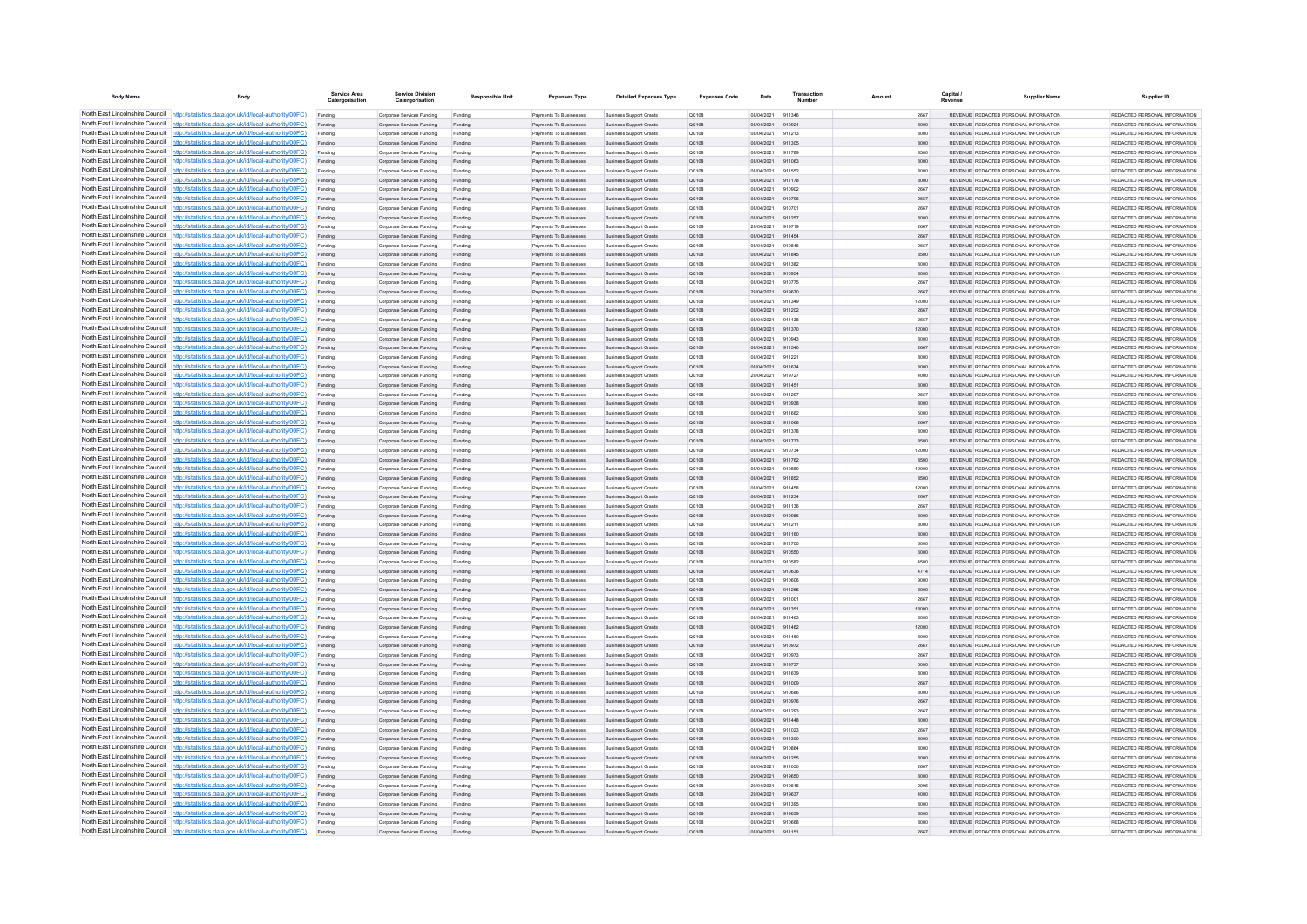| <b>Body Name</b>                                                   | Body                                                                                                                                                                             | Service Area<br>Catergorisatio | <b>Service Division</b><br>Catergorisation               | <b>Responsible Unit</b> | <b>Expenses Type</b>                                   | <b>Detailed Expenses Type</b>                                    | <b>Expenses Code</b>  | Date                     | Transactio       | Amount | Capital      | <b>Supplier Name</b>                                                           | Supplier ID                                                    |
|--------------------------------------------------------------------|----------------------------------------------------------------------------------------------------------------------------------------------------------------------------------|--------------------------------|----------------------------------------------------------|-------------------------|--------------------------------------------------------|------------------------------------------------------------------|-----------------------|--------------------------|------------------|--------|--------------|--------------------------------------------------------------------------------|----------------------------------------------------------------|
|                                                                    | North East Lincolnshire Council http://statistics.data.gov.uk/id/local-authority/00FC)                                                                                           | Funding                        | Corporate Services Funding                               | Funding                 | Payments To Businesses                                 | <b>Business Support Grants</b>                                   | OC108                 | 08/04/2021               | 911346           |        | 2667         | REVENUE REDACTED PERSONAL INFORMATION                                          | REDACTED PERSONAL INFORMATION                                  |
|                                                                    | North East Lincolnshire Council http://statistics.data.gov.uk/id/local-authority/00FC)                                                                                           | Funding                        | Corporate Services Funding                               | Funding                 | Payments To Businesses                                 | <b>Business Support Grants</b>                                   | QC108                 | 08/04/2021               | 910924           |        | 8000         | REVENUE REDACTED PERSONAL INFORMATION                                          | REDACTED PERSONAL INFORMATION                                  |
|                                                                    | North East Lincolnshire Council http://statistics.data.gov.uk/id/local-authority/00FC)                                                                                           | Funding                        | Corporate Services Funding                               | Funding                 | Payments To Busin                                      | <b>Business Support Grant</b>                                    | QC108                 | 08/04/2021               | 911213           |        | 8000         | REVENUE REDACTED PERSONAL INFORMATION                                          | REDACTED PERSONAL INFORMATION                                  |
|                                                                    | North East Lincolnshire Council http://statistics.data.gov.uk/id/local-authority/00FC)<br>North East Lincolnshire Council http://statistics.data.gov.uk/id/local-authority/00FC) | Funding                        | Corporate Services Funding                               | Funding                 | Payments To Businesses                                 | <b>Business Support Grants</b>                                   | QC108                 | 08/04/2021               | 911305<br>911789 |        | 8000         | REVENUE REDACTED PERSONAL INFORMATION                                          | REDACTED PERSONAL INFORMATION<br>REDACTED PERSONAL INFORMATION |
|                                                                    | North East Lincolnshire Council http://statistics.data.gov.uk/id/local-authority/00FC)                                                                                           | Funding                        | Corporate Services Funding<br>Corporate Services Funding | Funding<br>Funding      | Payments To Businesses<br>Payments To Businesses       | <b>Business Support Grants</b><br><b>Business Support Grants</b> | <b>QC108</b><br>QC108 | 08/04/2021<br>08/04/2021 | 911063           |        | 8500<br>8000 | REVENUE REDACTED PERSONAL INFORMATION<br>REVENUE REDACTED PERSONAL INFORMATION | REDACTED PERSONAL INFORMATION                                  |
|                                                                    | North East Lincolnshire Council http://statistics.data.gov.uk/id/local-authority/00FC)                                                                                           | Funding<br>Funding             | Corporate Services Funding                               | Funding                 | Payments To Businesses                                 | <b>Business Support Grants</b>                                   | QC108                 | 08/04/2021               | 911552           |        | 8000         | REVENUE REDACTED PERSONAL INFORMATION                                          | REDACTED PERSONAL INFORMATION                                  |
|                                                                    | North East Lincolnshire Council http://statistics.data.gov.uk/id/local-authority/00FC)                                                                                           | Funding                        | Corporate Services Funding                               | Funding                 | <b>Payments To Businesses</b>                          | <b>Business Support Grants</b>                                   | OC108                 | 08/04/2021               | 911178           |        | 8000         | REVENUE, REDACTED PERSONAL INFORMATION                                         | REDACTED PERSONAL INFORMATION.                                 |
| North East Lincolnshire Council                                    | http://statistics.data.gov.uk/id/local-authority/00FC)                                                                                                                           | Funding                        | Corporate Services Funding                               | Funding                 | <b>Payments To Businesses</b>                          | <b>Business Support Grants</b>                                   | OC108                 | 08/04/2021               | 910902           |        | 2667         | REVENUE REDACTED PERSONAL INFORMATION                                          | REDACTED PERSONAL INFORMATION                                  |
| North East Lincolnshire Council                                    | http://statistics.data.gov.uk/id/local-authority/00FC)                                                                                                                           | Funding                        | Corporate Services Funding                               | Funding                 | Payments To Businesses                                 | <b>Business Support Grants</b>                                   | QC108                 | 08/04/2021               | 910796           |        | 2667         | REVENUE REDACTED PERSONAL INFORMATION                                          | REDACTED PERSONAL INFORMATION                                  |
|                                                                    | North East Lincolnshire Council http://statistics.data.gov.uk/id/local-authority/00FC)                                                                                           | Funding                        | Corporate Services Funding                               | Funding                 | Payments To Businesses                                 | <b>Business Support Grants</b>                                   | OCD108                | 08/04/2021               | 910701           |        | 2667         | <b>REVENHE REDACTED RERSONAL INFORMATION</b>                                   | PEDACTED PERSONAL INFORMATION                                  |
|                                                                    | North East Lincolnshire Council http://statistics.data.gov.uk/id/local-authority/00FC)                                                                                           | Funding                        | Comorate Services Funding                                | Funding                 | <b>Payments To Businesses</b>                          | <b>Business Sunnort Grants</b>                                   | OC108                 | 08/04/2021               | 911257           |        | 8000         | REVENUE, REDACTED PERSONAL INFORMATION                                         | PEDACTED PERSONAL INFORMATION                                  |
|                                                                    | North East Lincolnshire Council http://statistics.data.gov.uk/id/local-authority/00FC)                                                                                           | Funding                        | Corporate Services Funding                               | Funding                 | Payments To Businesses                                 | <b>Business Support Grants</b>                                   | OC108                 | 29/04/2021               | 919719           |        | 2667         | REVENUE REDACTED PERSONAL INFORMATION                                          | REDACTED PERSONAL INFORMATION                                  |
|                                                                    | North East Lincolnshire Council http://statistics.data.gov.uk/id/local-authority/00FC)                                                                                           | Funding                        | Corporate Services Funding                               | Funding                 | Payments To Businesses                                 | <b>Business Support Grants</b>                                   | QC108                 | 08/04/2021               | 911454           |        | 2667         | REVENUE REDACTED PERSONAL INFORMATION                                          | REDACTED PERSONAL INFORMATION                                  |
|                                                                    | North East Lincolnshire Council http://statistics.data.gov.uk/id/local-authority/00FC)                                                                                           | Funding                        | Corporate Services Funding                               | Funding                 | Payments To Businessee                                 | <b>Business Support Grants</b>                                   | OC108                 | 08/04/2021               | 910846           |        | 2667         | REVENUE REDACTED PERSONAL INFORMATION                                          | REDACTED PERSONAL INFORMATION                                  |
| North East Lincolnshire Council                                    | http://statistics.data.gov.uk/id/local-authority/00FC)                                                                                                                           | Funding                        | Corporate Services Funding                               | Funding                 | Payments To Businesses                                 | <b>Business Support Grants</b>                                   | QC108                 | 08/04/2021               | 911845           |        | 8500         | REVENUE REDACTED PERSONAL INFORMATION                                          | REDACTED PERSONAL INFORMATION                                  |
| North East Lincolnshire Council                                    | http://statistics.data.gov.uk/id/local-authority/00FC)                                                                                                                           | Funding                        | Corporate Services Funding                               | Funding                 | Payments To Businesser                                 | <b>Business Support Grants</b>                                   | QC108                 | 08/04/2021<br>08/04/2021 | 911382<br>910954 |        | 8000         | REVENUE REDACTED PERSONAL INFORMATION<br>REVENUE REDACTED PERSONAL INFORMATION | REDACTED PERSONAL INFORMATION<br>REDACTED PERSONAL INFORMATION |
|                                                                    | North East Lincolnshire Council http://statistics.data.gov.uk/id/local-authority/00FC)<br>North East Lincolnshire Council http://statistics.data.gov.uk/id/local-authority/00FC) | Funding<br>Funding             | Corporate Services Funding<br>Comorate Services Funding  | Funding<br>Funding      | Payments To Businesse<br><b>Payments To Businesses</b> | <b>Business Support Grants</b><br><b>Business Sunnort Grants</b> | QC108<br>00108        | 08/04/2021               | 910775           |        | 8000<br>2667 | REVENUE REDACTED PERSONAL INFORMATION                                          | REDACTED PERSONAL INFORMATION                                  |
|                                                                    | North East Lincolnshire Council http://statistics.data.gov.uk/id/local-authority/00FC)                                                                                           | Funding                        | Corporate Services Funding                               | Funding                 | Payments To Businesses                                 | <b>Business Support Grants</b>                                   | QC108                 | 29/04/2021               | 919670           |        | 2667         | REVENUE REDACTED PERSONAL INFORMATION                                          | REDACTED PERSONAL INFORMATION.                                 |
|                                                                    | North East Lincolnshire Council   http://statistics.data.gov.uk/id/local-authority/00FC)                                                                                         | Funding                        | Corporate Services Funding                               | Funding                 | Payments To Businesses                                 | <b>Business Support Grants</b>                                   | OC108                 | 08/04/2021               | 911349           | 12000  |              | REVENUE REDACTED PERSONAL INFORMATION                                          | REDACTED PERSONAL INFORMATION                                  |
|                                                                    | North East Lincolnshire Council http://statistics.data.gov.uk/id/local-authority/00FC)                                                                                           | Funding                        | Corporate Services Funding                               | Funding                 | Payments To Businesses                                 | <b>Business Support Grants</b>                                   | QC108                 | 08/04/2021               | 911202           |        | 2667         | REVENUE REDACTED PERSONAL INFORMATION                                          | REDACTED PERSONAL INFORMATION                                  |
|                                                                    | North East Lincolnshire Council http://statistics.data.gov.uk/id/local-authority/00FC)                                                                                           | Funding                        | Corporate Services Funding                               | Funding                 | <b>Payments To Businesses</b>                          | <b>Business Support Grants</b>                                   | OC108                 | 08/04/2021               | 911138           |        | 2667         | REVENUE REDACTED PERSONAL INFORMATION                                          | REDACTED PERSONAL INFORMATION.                                 |
| North East Lincolnshire Council                                    | http://statistics.data.gov.uk/id/local-authority/00FC)                                                                                                                           | Funding                        | Corporate Services Funding                               | Funding                 | Payments To Businesses                                 | <b>Business Support Grants</b>                                   | OC108                 | 08/04/2021               | 911370           | 12000  |              | REVENUE REDACTED PERSONAL INFORMATION                                          | REDACTED PERSONAL INFORMATION                                  |
| North East Lincolnshire Council                                    | http://statistics.data.gov.uk/id/local-authority/00FC)                                                                                                                           | Funding                        | Corporate Services Funding                               | Funding                 | Payments To Businesser                                 | <b>Business Support Grants</b>                                   | QC108                 | 08/04/2021               | 910942           |        | 8000         | REVENUE REDACTED PERSONAL INFORMATION                                          | REDACTED PERSONAL INFORMATION                                  |
|                                                                    | North East Lincolnshire Council http://statistics.data.gov.uk/id/local-authority/00FC)                                                                                           |                                | Corporate Services Funding                               | Funding                 | Payments To Businesses                                 | <b>Business Support Grants</b>                                   | QC108                 | 08/04/2021               | 911540           |        | 2667         | <b>REVENHE REDACTED RERSONAL INFORMATION</b>                                   | PEDACTED PERSONAL INFORMATION                                  |
|                                                                    | North East Lincolnshire Council http://statistics.data.gov.uk/id/local-authority/00FC)                                                                                           | Funding                        | Corporate Services Funding                               | Funding                 | Payments To Businesses                                 | <b>Business Support Grants</b>                                   | OC108                 | 08/04/2021               | 011221           |        | 8000         | REVENUE REDACTED PERSONAL INFORMATION                                          | REDACTED PERSONAL INFORMATION                                  |
|                                                                    | North East Lincolnshire Council http://statistics.data.gov.uk/id/local-authority/00FC)                                                                                           | Funding                        | Corporate Services Funding                               | Funding                 | Payments To Businesses                                 | <b>Business Support Grants</b>                                   | QC108                 | 08/04/2021               | 911674           |        | 8000         | REVENUE REDACTED PERSONAL INFORMATION                                          | REDACTED PERSONAL INFORMATION                                  |
|                                                                    | North East Lincolnshire Council http://statistics.data.gov.uk/id/local-authority/00FC)                                                                                           | Funding                        | Corporate Services Funding                               | Funding                 | Payments To Businessee                                 | <b>Business Support Grants</b>                                   | QC108                 | 29/04/2021               | 919727           |        | 4000         | REVENUE REDACTED PERSONAL INFORMATION                                          | REDACTED PERSONAL INFORMATION                                  |
|                                                                    | North East Lincolnshire Council http://statistics.data.gov.uk/id/local-authority/00FC)                                                                                           | Funding                        | Corporate Services Funding                               | Funding                 | Payments To Businesses                                 | <b>Business Support Grants</b>                                   | QC108                 | 08/04/2021               | 911451           |        | 8000         | REVENUE REDACTED PERSONAL INFORMATION                                          | REDACTED PERSONAL INFORMATION                                  |
| North East Lincolnshire Council                                    | http://statistics.data.gov.uk/id/local-authority/00FC)                                                                                                                           | Funding                        | Corporate Services Funding                               | Funding                 | Payments To Businessee                                 | <b>Business Support Grants</b>                                   | QC108                 | 08/04/2021               | 911297           |        | 2667         | REVENUE REDACTED PERSONAL INFORMATION                                          | REDACTED PERSONAL INFORMATION                                  |
| North East Lincolnshire Council<br>North East Lincolnshire Council | to://statistics.data.gov.uk/id/local-authority/00FC)<br>http://statistics.data.gov.uk/id/local-authority/00FC)                                                                   | Funding                        | Corporate Services Funding                               | Funding                 | Payments To Businesses                                 | <b>Business Support Grants</b>                                   | QC108                 | 08/04/2021<br>08/04/2021 | 910938<br>911662 |        | 8000<br>6000 | REVENUE REDACTED PERSONAL INFORMATION<br>REVENUE REDACTED PERSONAL INFORMATION | REDACTED PERSONAL INFORMATION<br>REDACTED PERSONAL INFORMATION |
|                                                                    | North East Lincolnshire Council http://statistics.data.gov.uk/id/local-authority/00FC)                                                                                           | Funding                        | Corporate Services Funding                               | Funding                 | Payments To Businesse                                  | <b>Business Support Grants</b>                                   | QC108                 | 08/04/2021               | 911068           |        |              | REVENUE REDACTED PERSONAL INFORMATION                                          | REDACTED PERSONAL INFORMATION                                  |
|                                                                    | North East Lincolnshire Council http://statistics.data.gov.uk/id/local-authority/00FC)                                                                                           | Funding<br>Funding             | Corporate Services Funding<br>Comorate Services Funding  | Funding<br>Funding      | Payments To Businessee<br>Payments To Businesses       | <b>Business Support Grants</b><br><b>Business Support Grants</b> | QC108<br>OC108        | 08/04/2021               | 911378           |        | 2667<br>8000 | REVENUE, REDACTED PERSONAL INFORMATION                                         | REDACTED PERSONAL INFORMATION.                                 |
|                                                                    | North East Lincolnshire Council http://statistics.data.gov.uk/id/local-authority/00FC)                                                                                           | Funding                        | Corporate Services Funding                               | Funding                 | Payments To Businesses                                 | <b>Business Support Grants</b>                                   | QC108                 | 08/04/2021               | 911733           |        | 8500         | REVENUE REDACTED PERSONAL INFORMATION                                          | REDACTED PERSONAL INFORMATION                                  |
|                                                                    | North East Lincolnshire Council http://statistics.data.gov.uk/id/local-authority/00FC)                                                                                           | Funding                        | Corporate Services Funding                               | Funding                 | Payments To Businesses                                 | <b>Business Support Grants</b>                                   | OC108                 | 08/04/2021               | 910734           | 12000  |              | REVENUE REDACTED PERSONAL INFORMATION                                          | REDACTED PERSONAL INFORMATION                                  |
|                                                                    | North East Lincolnshire Council http://statistics.data.gov.uk/id/local-authority/00FC)                                                                                           | Funding                        | Corporate Services Funding                               | Funding                 | Payments To Businesses                                 | <b>Business Support Grants</b>                                   | QC108                 | 08/04/2021               | 911762           |        | 8500         | REVENUE REDACTED PERSONAL INFORMATION                                          | REDACTED PERSONAL INFORMATION                                  |
| North East Lincolnshire Council                                    | http://statistics.data.gov.uk/id/local-authority/00EC)                                                                                                                           | Funding                        | Corporate Services Funding                               | Funding                 | <b>Payments To Businesses</b>                          | <b>Business Support Grants</b>                                   | OCD108                | 08/04/2021               | 910889           | 12000  |              | REVENUE REDACTED PERSONAL INFORMATION                                          | REDACTED PERSONAL INFORMATION.                                 |
| North East Lincolnshire Council                                    | http://statistics.data.gov.uk/id/local-authority/00FC)                                                                                                                           | Funding                        | Corporate Services Funding                               | Funding                 | Payments To Businesses                                 | <b>Business Support Grants</b>                                   | QC108                 | 08/04/2021               | 911852           |        | 8500         | REVENUE REDACTED PERSONAL INFORMATION                                          | REDACTED PERSONAL INFORMATION                                  |
|                                                                    | North East Lincolnshire Council http://statistics.data.gov.uk/id/local-authority/00FC)                                                                                           | Funding                        | Corporate Services Funding                               | Funding                 | Payments To Businessee                                 | <b>Business Support Grants</b>                                   | QC108                 | 08/04/2021               | 911458           |        | 12000        | REVENUE REDACTED PERSONAL INFORMATION                                          | REDACTED PERSONAL INFORMATION                                  |
|                                                                    | North East Lincolnshire Council http://statistics.data.gov.uk/id/local-authority/00FC)                                                                                           | Funding                        | Corporate Services Funding                               | Funding                 | Payments To Businesses                                 | <b>Business Support Grants</b>                                   | QC108                 | 08/04/2021               | 911234           |        | 2667         | REVENUE REDACTED PERSONAL INFORMATION                                          | REDACTED PERSONAL INFORMATION                                  |
|                                                                    | North East Lincolnshire Council http://statistics.data.gov.uk/id/local-authority/00FC)                                                                                           | Funding                        | Corporate Services Funding                               | Funding                 | Payments To Businesses                                 | <b>Business Support Grants</b>                                   | OC108                 | 08/04/2021               | 911136           |        | 2667         | REVENUE REDACTED PERSONAL INFORMATION                                          | REDACTED PERSONAL INFORMATION                                  |
|                                                                    | North East Lincolnshire Council http://statistics.data.gov.uk/id/local-authority/00FC)                                                                                           | Funding                        | Corporate Services Funding                               | Funding                 | Payments To Businesses                                 | <b>Business Support Grants</b>                                   | QC108                 | 08/04/2021               | 910956           |        | 8000         | REVENUE REDACTED PERSONAL INFORMATION                                          | REDACTED PERSONAL INFORMATION                                  |
|                                                                    | North East Lincolnshire Council http://statistics.data.gov.uk/id/local-authority/00FC)                                                                                           | Funding                        | Corporate Services Funding                               | Funding                 | Payments To Businessee                                 | <b>Business Support Grants</b>                                   | QC108                 | 08/04/2021               | 911211           |        | 8000         | REVENUE REDACTED PERSONAL INFORMATION                                          | REDACTED PERSONAL INFORMATION                                  |
| North East Lincolnshire Council                                    | North East Lincolnshire Council http://statistics.data.gov.uk/id/local-authority/00FC)<br>://statistics.data.gov.uk/id/local-authority/00FC)                                     | Funding                        | Corporate Services Funding                               | Funding                 | Payments To Businesses                                 | <b>Business Support Grants</b>                                   | QC108                 | 08/04/2021               | 911160           |        | 8000         | REVENUE REDACTED PERSONAL INFORMATION                                          | REDACTED PERSONAL INFORMATION                                  |
|                                                                    | North East Lincolnshire Council http://statistics.data.gov.uk/id/local-authority/00FC)                                                                                           | Funding                        | Corporate Services Funding<br>Corporate Services Funding | Funding                 | Payments To Businessee<br>Payments To Businesses       | <b>Business Support Grants</b><br><b>Business Support Grants</b> | QC108<br>QC108        | 08/04/2021<br>08/04/2021 | 911700<br>910550 |        | 6000<br>3000 | REVENUE REDACTED PERSONAL INFORMATION<br>REVENUE REDACTED PERSONAL INFORMATION | REDACTED PERSONAL INFORMATION<br>REDACTED PERSONAL INFORMATION |
|                                                                    | North East Lincolnshire Council http://statistics.data.gov.uk/id/local-authority/00FC)                                                                                           | Funding<br>Funding             | Corporate Services Funding                               | Funding<br>Funding      | Payments To Businesse                                  | <b>Business Support Grants</b>                                   | QC108                 | 08/04/2021               | 910582           |        | 4500         | REVENUE REDACTED PERSONAL INFORMATION                                          | REDACTED PERSONAL INFORMATION                                  |
|                                                                    | North East Lincolnshire Council http://statistics.data.gov.uk/id/local-authority/00FC)                                                                                           | Funding                        | Corporate Services Funding                               | Funding                 | Payments To Businesses                                 | <b>Business Support Grants</b>                                   | OC108                 | 08/04/2021               | 910636           |        | 4714         | REVENUE, REDACTED PERSONAL INFORMATION                                         | REDACTED PERSONAL INFORMATION.                                 |
|                                                                    | North East Lincolnshire Council http://statistics.data.gov.uk/id/local-authority/00FC)                                                                                           | Funding                        | Corporate Services Funding                               | Funding                 | Payments To Businesses                                 | <b>Business Support Grants</b>                                   | <b>QC108</b>          | 08/04/2021               | 910606           |        | 9000         | REVENUE REDACTED PERSONAL INFORMATION                                          | REDACTED PERSONAL INFORMATION                                  |
|                                                                    | North East Lincolnshire Council http://statistics.data.gov.uk/id/local-authority/00FC)                                                                                           | Funding                        | Corporate Services Funding                               | Funding                 | Payments To Businesses                                 | <b>Business Support Grants</b>                                   | QC108                 | 08/04/2021               | 911265           |        | 8000         | REVENUE REDACTED PERSONAL INFORMATION                                          | REDACTED PERSONAL INFORMATION                                  |
|                                                                    | North East Lincolnshire Council http://statistics.data.gov.uk/id/local-authority/00FC)                                                                                           | Funding                        | Corporate Services Funding                               | Funding                 | Payments To Businesses                                 | <b>Business Support Grants</b>                                   | QC108                 | 08/04/2021               | 911001           |        | 2667         | REVENUE REDACTED PERSONAL INFORMATION                                          | REDACTED PERSONAL INFORMATION                                  |
| North East Lincolnshire Council                                    | http://statistics.data.gov.uk/id/local-authority/00EC)                                                                                                                           | Funding                        | Corporate Services Funding                               | Funding                 | Payments To Businesses                                 | <b>Business Support Grants</b>                                   | OC108                 | 08/04/2021               | 911351           | 18000  |              | REVENUE REDACTED PERSONAL INFORMATION                                          | REDACTED PERSONAL INFORMATION                                  |
| North East Lincolnshire Council                                    | http://statistics.data.gov.uk/id/local-authority/00FC)                                                                                                                           | Funding                        | Corporate Services Funding                               | Funding                 | Payments To Businessee                                 | <b>Business Support Grants</b>                                   | QC108                 | 08/04/2021               | 911463           |        | 8000         | REVENUE REDACTED PERSONAL INFORMATION                                          | REDACTED PERSONAL INFORMATION                                  |
|                                                                    | North East Lincolnshire Council http://statistics.data.gov.uk/id/local-authority/00FC)                                                                                           | Funding                        | Corporate Services Funding                               | Funding                 | Payments To Businesses                                 | <b>Business Support Grants</b>                                   | QC108                 | 08/04/202                | 911462           |        | 12000        | REVENUE REDACTED PERSONAL INFORMATION                                          | REDACTED PERSONAL INFORMATION                                  |
|                                                                    | North East Lincolnshire Council http://statistics.data.gov.uk/id/local-authority/00FC)                                                                                           | Funding                        | Corporate Services Funding                               | Fundin                  | Payments To Businesses                                 | <b>Business Support Grants</b>                                   | QC108                 | 08/04/2021               | 911460           |        | 8000         | REVENUE REDACTED PERSONAL INFORMATION                                          | REDACTED PERSONAL INFORMATION                                  |
|                                                                    | North East Lincolnshire Council http://statistics.data.gov.uk/id/local-authority/00FC)                                                                                           | Funding                        | Corporate Services Funding                               | Funding                 | Payments To Businesses                                 | <b>Business Support Grants</b>                                   | QC108                 | 08/04/2021               | 910972           |        | 2667         | REVENUE REDACTED PERSONAL INFORMATION                                          | REDACTED PERSONAL INFORMATION                                  |
|                                                                    | North East Lincolnshire Council http://statistics.data.gov.uk/id/local-authority/00FC)<br>North East Lincolnshire Council http://statistics.data.gov.uk/id/local-authority/00FC) | Funding                        | Corporate Services Funding                               | Funding                 | Payments To Businesses                                 | <b>Business Support Grants</b>                                   | OC108                 | 08/04/2021               | 910973           |        | 2667         | REVENUE REDACTED PERSONAL INFORMATION                                          | REDACTED PERSONAL INFORMATION                                  |
|                                                                    | North East Lincolnshire Council http://statistics.data.gov.uk/id/local-authority/00FC)                                                                                           | Funding                        | Corporate Services Funding<br>Corporate Services Funding | Funding                 | Payments To Businesses<br>Payments To Businessee       | <b>Business Support Grants</b><br><b>Business Support Grants</b> | QC108<br>OC108        | 29/04/2021<br>08/04/2021 | 919737<br>911639 |        | 6000<br>8000 | REVENUE REDACTED PERSONAL INFORMATION<br>REVENUE REDACTED PERSONAL INFORMATION | REDACTED PERSONAL INFORMATION<br>REDACTED PERSONAL INFORMATION |
| North East Lincolnshire Council                                    | http://statistics.data.gov.uk/id/local-authority/00FC)                                                                                                                           | Funding<br>Funding             | Corporate Services Funding                               | Funding<br>Funding      | Payments To Businesses                                 | <b>Business Support Grants</b>                                   | <b>QC108</b>          | 08/04/2021               | 911009           |        | 2667         | REVENUE REDACTED PERSONAL INFORMATION                                          | REDACTED PERSONAL INFORMATION                                  |
|                                                                    | North East Lincolnshire Council http://statistics.data.gov.uk/id/local-authority/00FC)                                                                                           | Funding                        | Corporate Services Funding                               | Funding                 | Payments To Businessee                                 | <b>Business Support Grants</b>                                   | QC108                 | 08/04/2021               | 91068            |        | 8000         | REVENUE REDACTED PERSONAL INFORMATION                                          | REDACTED PERSONAL INFORMATION                                  |
|                                                                    | North East Lincolnshire Council http://statistics.data.gov.uk/id/local-authority/00FC)                                                                                           | Funding                        | Corporate Services Funding                               | Funding                 | Payments To Businessee                                 | <b>Business Support Grants</b>                                   | QC108                 | 08/04/2021               | 910976           |        | 2667         | REVENUE REDACTED PERSONAL INFORMATION                                          | REDACTED PERSONAL INFORMATION.                                 |
|                                                                    | North East Lincolnshire Council http://statistics.data.gov.uk/id/local-authority/00FC)                                                                                           | Funding                        | Comorate Services Funding                                | Funding                 | <b>Payments To Businesses</b>                          | <b>Business Sunnort Grants</b>                                   | OC108                 | 08/04/2021               | 911293           |        | 2667         | REVENUE, REDACTED PERSONAL INFORMATION                                         | REDACTED PERSONAL INFORMATION.                                 |
|                                                                    | North East Lincolnshire Council http://statistics.data.gov.uk/id/local-authority/00FC)                                                                                           | Funding                        | Corporate Services Funding                               | Funding                 | Payments To Businesses                                 | <b>Business Support Grants</b>                                   | <b>QC108</b>          | 08/04/2021               | 911448           |        | 8000         | REVENUE REDACTED PERSONAL INFORMATION                                          | REDACTED PERSONAL INFORMATION                                  |
|                                                                    | North East Lincolnshire Council http://statistics.data.gov.uk/id/local-authority/00FC)                                                                                           | Funding                        | Corporate Services Funding                               | Funding                 | Payments To Businesses                                 | <b>Business Support Grants</b>                                   | OC108                 | 08/04/2021               | 911023           |        | 2667         | REVENUE REDACTED PERSONAL INFORMATION                                          | REDACTED PERSONAL INFORMATION                                  |
|                                                                    | North East Lincolnshire Council http://statistics.data.gov.uk/id/local-authority/00FC)                                                                                           | Funding                        | Corporate Services Funding                               | Funding                 | Payments To Businesses                                 | <b>Business Support Grants</b>                                   | QC108                 | 08/04/2021               | 911300           |        | 8000         | REVENUE REDACTED PERSONAL INFORMATION                                          | REDACTED PERSONAL INFORMATION                                  |
| North East Lincolnshire Council                                    | http://statistics.data.gov.uk/id/local-authority/00FC)                                                                                                                           | Funding                        | Corporate Services Funding                               | Funding                 | Payments To Businesses                                 | <b>Business Support Grants</b>                                   | QC108                 | 08/04/2021               | 910864           |        | 8000         | REVENUE REDACTED PERSONAL INFORMATION                                          | REDACTED PERSONAL INFORMATION                                  |
|                                                                    | North East Lincolnshire Council http://statistics.data.gov.uk/id/local-authority/00FC)                                                                                           | Funding                        | Corporate Services Funding                               | Funding                 | Payments To Businesses                                 | <b>Business Support Grants</b>                                   | QC108                 | 08/04/2021               | 911255           |        | 8000         | REVENUE REDACTED PERSONAL INFORMATION                                          | REDACTED PERSONAL INFORMATION                                  |
|                                                                    | North East Lincolnshire Council http://statistics.data.gov.uk/id/local-authority/00FC)                                                                                           | Funding                        | Corporate Services Funding                               | Funding                 | Payments To Businessee                                 | <b>Business Support Grants</b>                                   | QC108                 | 08/04/2021               | 911050           |        | 2667         | REVENUE REDACTED PERSONAL INFORMATION                                          | REDACTED PERSONAL INFORMATION                                  |
|                                                                    | North East Lincolnshire Council http://statistics.data.gov.uk/id/local-authority/00FC)<br>North East Lincolnshire Council http://statistics.data.gov.uk/id/local-authority/00FC) | Funding                        | Corporate Services Funding                               | Funding                 | Payments To Businesses                                 | <b>Business Support Grants</b>                                   | QC108                 | 29/04/2021               | 919650           |        | 8000         | REVENUE REDACTED PERSONAL INFORMATION                                          | REDACTED PERSONAL INFORMATION                                  |
|                                                                    | North East Lincolnshire Council http://statistics.data.gov.uk/id/local-authority/00FC)                                                                                           | Funding                        | Corporate Services Funding                               | Funding                 | Payments To Businesses                                 | <b>Business Support Grants</b>                                   | OC108                 | 29/04/2021<br>29/04/2021 | 919615<br>919637 |        | 2096<br>4000 | REVENUE REDACTED PERSONAL INFORMATION<br>REVENUE REDACTED PERSONAL INFORMATION | REDACTED PERSONAL INFORMATION<br>REDACTED PERSONAL INFORMATION |
|                                                                    | North East Lincolnshire Council http://statistics.data.gov.uk/id/local-authority/00FC)                                                                                           | Funding                        | Corporate Services Funding<br>Corporate Services Funding | Funding<br>Funding      | Payments To Businesses<br>Payments To Businessee       | <b>Business Support Grants</b><br><b>Business Support Grants</b> | QC108<br>QC108        | 08/04/2021               | 911395           |        | 8000         | REVENUE REDACTED PERSONAL INFORMATION                                          | REDACTED PERSONAL INFORMATION                                  |
|                                                                    | North East Lincolnshire Council http://statistics.data.gov.uk/id/local-authority/00FC)                                                                                           | Funding                        | Corporate Services Funding                               | Funding                 | Payments To Businesses                                 | <b>Business Support Grants</b>                                   | <b>QC108</b>          | 29/04/2021               | 919639           |        | 8000         | REVENUE REDACTED PERSONAL INFORMATION                                          | REDACTED PERSONAL INFORMATION                                  |
|                                                                    | North East Lincolnshire Council http://statistics.data.gov.uk/id/local-authority/00FC)                                                                                           | Funding                        | Corporate Services Funding                               | Funding                 | Payments To Businesses                                 | <b>Business Support Grants</b>                                   | OC108                 | 08/04/2021               | 910668           |        | 8000         | REVENUE REDACTED PERSONAL INFORMATION                                          | REDACTED PERSONAL INFORMATION                                  |
|                                                                    | North East Lincolnshire Council http://statistics.data.gov.uk/id/local-authority/00FC)                                                                                           | Funding                        | Corporate Services Funding                               | Funding                 | Payments To Businessee                                 | <b>Business Support Grants</b>                                   |                       | 08/04/2021               |                  |        | 2667         | REVENUE REDACTED PERSONAL INFORMATION                                          | REDACTED PERSONAL INFORMATION                                  |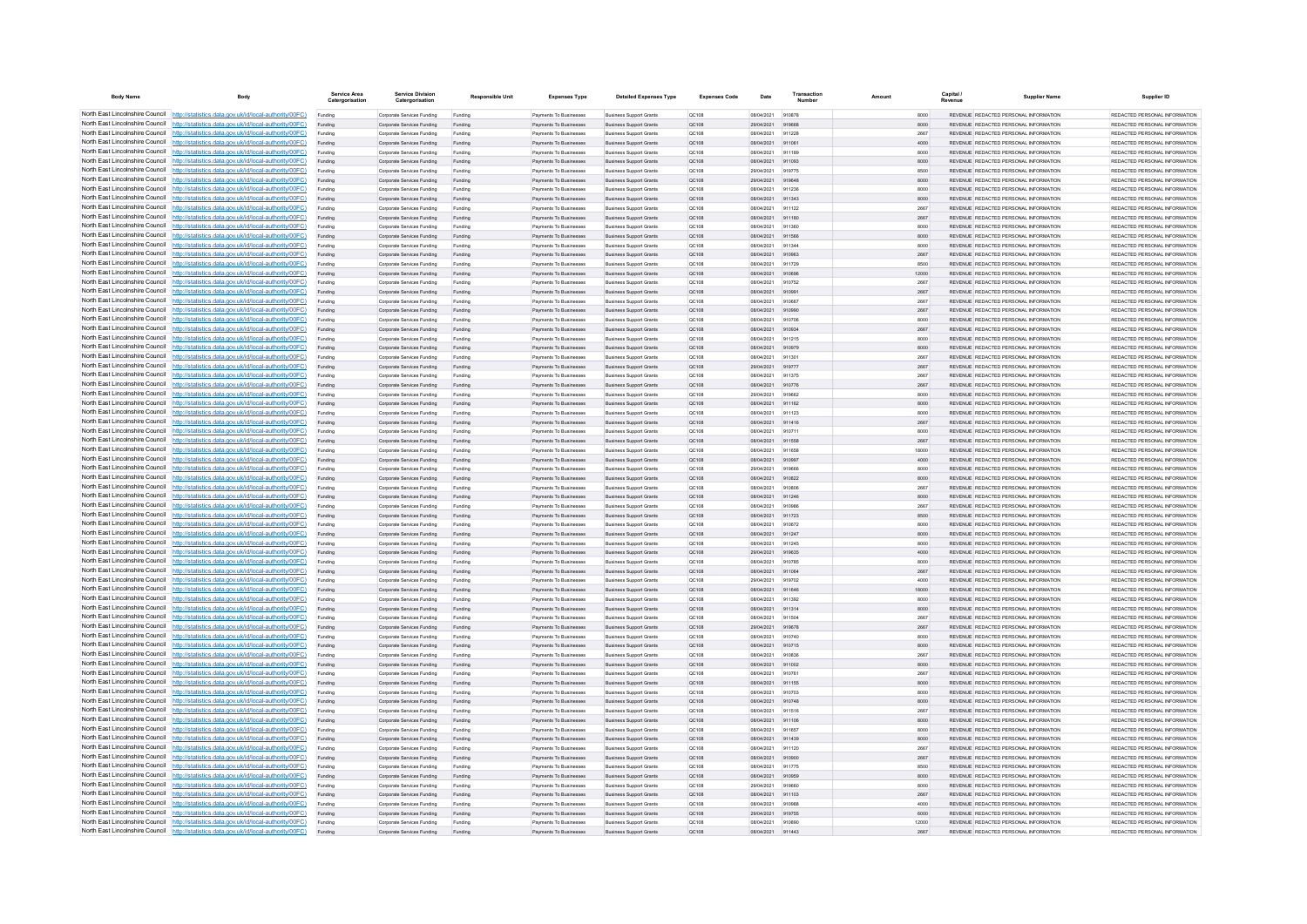| <b>Body Name</b>                                                   | Body                                                                                                                                                                             | Service Area<br>Catergorisatio | <b>Service Division</b><br>Catergorisation               | <b>Responsible Unit</b> | <b>Expenses Type</b>                                   | <b>Detailed Expenses Type</b>                                    | <b>Expenses Code</b>  | Date                     | Transactio       | Amount | Capital       | <b>Supplier Name</b>                                                           | Supplier ID                                                    |
|--------------------------------------------------------------------|----------------------------------------------------------------------------------------------------------------------------------------------------------------------------------|--------------------------------|----------------------------------------------------------|-------------------------|--------------------------------------------------------|------------------------------------------------------------------|-----------------------|--------------------------|------------------|--------|---------------|--------------------------------------------------------------------------------|----------------------------------------------------------------|
|                                                                    | North East Lincolnshire Council http://statistics.data.gov.uk/id/local-authority/00FC)                                                                                           | Funding                        | Corporate Services Funding                               | Funding                 | Payments To Businesses                                 | <b>Business Support Grants</b>                                   | OC108                 | 08/04/2021               | 910878           |        | 8000          | REVENUE REDACTED PERSONAL INFORMATION                                          | REDACTED PERSONAL INFORMATION                                  |
|                                                                    | North East Lincolnshire Council http://statistics.data.gov.uk/id/local-authority/00FC)                                                                                           | Funding                        | Corporate Services Funding                               | Funding                 | Payments To Businesses                                 | <b>Business Support Grants</b>                                   | QC108                 | 29/04/2021               | 919668           |        | 8000          | REVENUE REDACTED PERSONAL INFORMATION                                          | REDACTED PERSONAL INFORMATION                                  |
|                                                                    | North East Lincolnshire Council http://statistics.data.gov.uk/id/local-authority/00FC)                                                                                           | Funding                        | Corporate Services Funding                               | Funding                 | Payments To Busin                                      | <b>Business Support Grant</b>                                    | QC108                 | 08/04/2021               | 911228           |        | 2667          | REVENUE REDACTED PERSONAL INFORMATION                                          | REDACTED PERSONAL INFORMATION                                  |
|                                                                    | North East Lincolnshire Council http://statistics.data.gov.uk/id/local-authority/00FC)<br>North East Lincolnshire Council http://statistics.data.gov.uk/id/local-authority/00FC) | Funding                        | Corporate Services Funding                               | Funding                 | Payments To Businesses                                 | <b>Business Support Grants</b>                                   | QC108                 | 08/04/2021               | 911061<br>911189 |        | 4000          | REVENUE REDACTED PERSONAL INFORMATION                                          | REDACTED PERSONAL INFORMATION<br>REDACTED PERSONAL INFORMATION |
|                                                                    | North East Lincolnshire Council http://statistics.data.gov.uk/id/local-authority/00FC)                                                                                           | Funding                        | Corporate Services Funding<br>Corporate Services Funding | Funding<br>Funding      | Payments To Businesses<br>Payments To Businesses       | <b>Business Support Grants</b><br><b>Business Support Grants</b> | <b>QC108</b><br>QC108 | 08/04/2021<br>08/04/2021 | 911093           |        | 8000<br>8000  | REVENUE REDACTED PERSONAL INFORMATION<br>REVENUE REDACTED PERSONAL INFORMATION | REDACTED PERSONAL INFORMATION                                  |
|                                                                    | North East Lincolnshire Council http://statistics.data.gov.uk/id/local-authority/00FC)                                                                                           | Funding<br>Funding             | Corporate Services Funding                               | Funding                 | Payments To Businesses                                 | <b>Business Support Grants</b>                                   | QC108                 | 29/04/2021               | 919775           |        | 8500          | REVENUE REDACTED PERSONAL INFORMATION                                          | REDACTED PERSONAL INFORMATION                                  |
|                                                                    | North East Lincolnshire Council http://statistics.data.gov.uk/id/local-authority/00FC)                                                                                           | Funding                        | Corporate Services Funding                               | Funding                 | <b>Payments To Businesses</b>                          | <b>Business Support Grants</b>                                   | OC108                 | 29/04/2021               | 919648           |        | 8000          | REVENUE, REDACTED PERSONAL INFORMATION                                         | REDACTED PERSONAL INFORMATION.                                 |
| North East Lincolnshire Council                                    | http://statistics.data.gov.uk/id/local-authority/00FC)                                                                                                                           | Funding                        | Corporate Services Funding                               | Funding                 | <b>Payments To Businesses</b>                          | <b>Business Support Grants</b>                                   | OC108                 | 08/04/2021               | 911236           |        | 8000          | REVENUE REDACTED PERSONAL INFORMATION                                          | REDACTED PERSONAL INFORMATION                                  |
| North East Lincolnshire Council                                    | http://statistics.data.gov.uk/id/local-authority/00FC)                                                                                                                           | Funding                        | Corporate Services Funding                               | Funding                 | Payments To Businesses                                 | <b>Business Support Grants</b>                                   | QC108                 | 08/04/2021               | 911343           |        | 8000          | REVENUE REDACTED PERSONAL INFORMATION                                          | REDACTED PERSONAL INFORMATION                                  |
|                                                                    | North East Lincolnshire Council http://statistics.data.gov.uk/id/local-authority/00FC)                                                                                           | Funding                        | Corporate Services Funding                               | Funding                 | Payments To Businesses                                 | <b>Business Support Grants</b>                                   | OCD108                | 08/04/2021               | 011122           |        | 2667          | <b>REVENHE REDACTED RERSONAL INFORMATION</b>                                   | PEDACTED PERSONAL INFORMATION                                  |
|                                                                    | North East Lincolnshire Council http://statistics.data.gov.uk/id/local-authority/00FC)                                                                                           | Funding                        | Comorate Services Funding                                | Funding                 | <b>Payments To Businesses</b>                          | <b>Business Sunnort Grants</b>                                   | OC108                 | 08/04/2021               | 911180           |        | 2667          | REVENUE, REDACTED PERSONAL INFORMATION                                         | <b>PEDACTED PERSONAL INFORMATION</b>                           |
|                                                                    | North East Lincolnshire Council http://statistics.data.gov.uk/id/local-authority/00FC)                                                                                           | Funding                        | Corporate Services Funding                               | Funding                 | Payments To Businesses                                 | <b>Business Support Grants</b>                                   | OC108                 | 08/04/2021               | 911360           |        | 8000          | REVENUE REDACTED PERSONAL INFORMATION                                          | REDACTED PERSONAL INFORMATION                                  |
|                                                                    | North East Lincolnshire Council http://statistics.data.gov.uk/id/local-authority/00FC)                                                                                           | Funding                        | Corporate Services Funding                               | Funding                 | Payments To Businesses                                 | <b>Business Support Grants</b>                                   | QC108                 | 08/04/2021               | 911566           |        | 8000          | REVENUE REDACTED PERSONAL INFORMATION                                          | REDACTED PERSONAL INFORMATION                                  |
|                                                                    | North East Lincolnshire Council http://statistics.data.gov.uk/id/local-authority/00FC)                                                                                           | Funding                        | Corporate Services Funding                               | Funding                 | Payments To Businessee                                 | <b>Business Support Grants</b>                                   | OC108                 | 08/04/2021               | 911344           |        | 8000          | REVENUE REDACTED PERSONAL INFORMATION                                          | REDACTED PERSONAL INFORMATION                                  |
| North East Lincolnshire Council                                    | http://statistics.data.gov.uk/id/local-authority/00FC)                                                                                                                           | Funding                        | Corporate Services Funding                               | Funding                 | Payments To Businesses                                 | <b>Business Support Grants</b>                                   | QC108                 | 08/04/2021               | 910963           |        | 2667          | REVENUE REDACTED PERSONAL INFORMATION                                          | REDACTED PERSONAL INFORMATION                                  |
| North East Lincolnshire Council                                    | http://statistics.data.gov.uk/id/local-authority/00FC)                                                                                                                           | Funding                        | Corporate Services Funding                               | Funding                 | Payments To Businesser                                 | <b>Business Support Grants</b>                                   | QC108                 | 08/04/2021<br>08/04/2021 | 911729<br>910696 |        | 8500<br>12000 | REVENUE REDACTED PERSONAL INFORMATION<br>REVENUE REDACTED PERSONAL INFORMATION | REDACTED PERSONAL INFORMATION<br>REDACTED PERSONAL INFORMATION |
|                                                                    | North East Lincolnshire Council http://statistics.data.gov.uk/id/local-authority/00FC)<br>North East Lincolnshire Council http://statistics.data.gov.uk/id/local-authority/00FC) | Funding<br>Funding             | Corporate Services Funding<br>Comorate Services Funding  | Funding<br>Funding      | Payments To Businesse<br><b>Payments To Businesses</b> | <b>Business Support Grants</b><br><b>Business Sunnort Grants</b> | QC108<br>00108        | 08/04/2021               | 910752           |        | 2667          | REVENUE REDACTED PERSONAL INFORMATION                                          | REDACTED PERSONAL INFORMATION                                  |
|                                                                    | North East Lincolnshire Council http://statistics.data.gov.uk/id/local-authority/00FC)                                                                                           | Funding                        | Corporate Services Funding                               | Funding                 | Payments To Businesses                                 | <b>Business Support Grants</b>                                   | <b>QC108</b>          | 08/04/2021               | 910991           |        | 2667          | REVENUE REDACTED PERSONAL INFORMATION                                          | REDACTED PERSONAL INFORMATION.                                 |
|                                                                    | North East Lincolnshire Council   http://statistics.data.gov.uk/id/local-authority/00FC)                                                                                         | Funding                        | Corporate Services Funding                               | Funding                 | Payments To Businesses                                 | <b>Business Support Grants</b>                                   | OC108                 | 08/04/2021               | 910667           |        | 2667          | REVENUE REDACTED PERSONAL INFORMATION                                          | REDACTED PERSONAL INFORMATION                                  |
|                                                                    | North East Lincolnshire Council http://statistics.data.gov.uk/id/local-authority/00FC)                                                                                           | Funding                        | Corporate Services Funding                               | Funding                 | Payments To Businesses                                 | <b>Business Support Grants</b>                                   | QC108                 | 08/04/2021               | 910990           |        | 2667          | REVENUE REDACTED PERSONAL INFORMATION                                          | REDACTED PERSONAL INFORMATION                                  |
|                                                                    | North East Lincolnshire Council http://statistics.data.gov.uk/id/local-authority/00FC)                                                                                           | Funding                        | Corporate Services Funding                               | Funding                 | <b>Payments To Businesses</b>                          | <b>Business Support Grants</b>                                   | OC108                 | 08/04/2021               | 910706           |        | 8000          | REVENUE, REDACTED PERSONAL INFORMATION                                         | REDACTED PERSONAL INFORMATION.                                 |
| North East Lincolnshire Council                                    | http://statistics.data.gov.uk/id/local-authority/00FC)                                                                                                                           | Funding                        | Corporate Services Funding                               | Funding                 | Payments To Businesses                                 | <b>Business Support Grants</b>                                   | OC108                 | 08/04/2021               | 910934           |        | 2667          | REVENUE REDACTED PERSONAL INFORMATION                                          | REDACTED PERSONAL INFORMATION                                  |
| North East Lincolnshire Council                                    | http://statistics.data.gov.uk/id/local-authority/00FC)                                                                                                                           | Funding                        | Corporate Services Funding                               | Funding                 | Payments To Businesser                                 | <b>Business Support Grants</b>                                   | QC108                 | 08/04/2021               | 911215           |        | 8000          | REVENUE REDACTED PERSONAL INFORMATION                                          | REDACTED PERSONAL INFORMATION                                  |
|                                                                    | North East Lincolnshire Council http://statistics.data.gov.uk/id/local-authority/00FC)                                                                                           |                                | Corporate Services Funding                               | Funding                 | Payments To Businesses                                 | <b>Business Support Grants</b>                                   | QC108                 | 08/04/2021               | 910979           |        | 8000          | <b>REVENHE REDACTED RERSONAL INFORMATION</b>                                   | PEDACTED PERSONAL INFORMATION                                  |
|                                                                    | North East Lincolnshire Council http://statistics.data.gov.uk/id/local-authority/00FC)                                                                                           | Funding                        | Corporate Services Funding                               | Funding                 | Payments To Businesses                                 | <b>Business Support Grants</b>                                   | OC108                 | 08/04/2021               | 911301           |        | 2667          | REVENUE REDACTED PERSONAL INFORMATION                                          | REDACTED PERSONAL INFORMATION                                  |
|                                                                    | North East Lincolnshire Council http://statistics.data.gov.uk/id/local-authority/00FC)                                                                                           | Funding                        | Corporate Services Funding                               | Funding                 | Payments To Businesses                                 | <b>Business Support Grants</b>                                   | QC108                 | 29/04/2021               | 919777           |        | 2667          | REVENUE REDACTED PERSONAL INFORMATION                                          | REDACTED PERSONAL INFORMATION                                  |
|                                                                    | North East Lincolnshire Council http://statistics.data.gov.uk/id/local-authority/00FC)                                                                                           | Funding                        | Corporate Services Funding                               | Funding                 | Payments To Businessee                                 | <b>Business Support Grants</b>                                   | QC108                 | 08/04/2021               | 911375           |        | 2667          | REVENUE REDACTED PERSONAL INFORMATION                                          | REDACTED PERSONAL INFORMATION                                  |
|                                                                    | North East Lincolnshire Council http://statistics.data.gov.uk/id/local-authority/00FC)                                                                                           | Funding                        | Corporate Services Funding                               | Funding                 | Payments To Businesses                                 | <b>Business Support Grants</b>                                   | QC108                 | 08/04/2021               | 910776           |        | 2667          | REVENUE REDACTED PERSONAL INFORMATION                                          | REDACTED PERSONAL INFORMATION                                  |
| North East Lincolnshire Council<br>North East Lincolnshire Council | http://statistics.data.gov.uk/id/local-authority/00FC)<br>to://statistics.data.gov.uk/id/local-authority/00FC)                                                                   | Funding                        | Corporate Services Funding                               | Funding                 | Payments To Businessee                                 | <b>Business Support Grants</b>                                   | QC108                 | 29/04/2021<br>08/04/2021 | 919662<br>911162 |        | 8000          | REVENUE REDACTED PERSONAL INFORMATION<br>REVENUE REDACTED PERSONAL INFORMATION | REDACTED PERSONAL INFORMATION<br>REDACTED PERSONAL INFORMATION |
| North East Lincolnshire Council                                    | http://statistics.data.gov.uk/id/local-authority/00FC)                                                                                                                           | Funding<br>Funding             | Corporate Services Funding<br>Corporate Services Funding | Funding<br>Funding      | Payments To Businesses<br>Payments To Businesse        | <b>Business Support Grants</b><br><b>Business Support Grants</b> | QC108<br>QC108        | 08/04/2021               | 911122           |        | 8000<br>8000  | REVENUE REDACTED PERSONAL INFORMATION                                          | REDACTED PERSONAL INFORMATION                                  |
|                                                                    | North East Lincolnshire Council http://statistics.data.gov.uk/id/local-authority/00FC)                                                                                           |                                | Corporate Services Funding                               | Funding                 | Payments To Businessee                                 | <b>Business Support Grants</b>                                   | QC108                 | 08/04/2021               | 911416           |        | 2667          | REVENUE REDACTED PERSONAL INFORMATION                                          | REDACTED PERSONAL INFORMATION                                  |
|                                                                    | North East Lincolnshire Council http://statistics.data.gov.uk/id/local-authority/00FC)                                                                                           | Funding<br>Funding             | Comorate Services Funding                                | Funding                 | Payments To Businesses                                 | <b>Business Support Grants</b>                                   | OC108                 | 08/04/2021               | 910711           |        | 8000          | REVENUE, REDACTED PERSONAL INFORMATION                                         | REDACTED PERSONAL INFORMATION.                                 |
|                                                                    | North East Lincolnshire Council http://statistics.data.gov.uk/id/local-authority/00FC)                                                                                           | Funding                        | Corporate Services Funding                               | Funding                 | Payments To Businesses                                 | <b>Business Support Grants</b>                                   | QC108                 | 08/04/2021               | 911558           |        | 2667          | REVENUE REDACTED PERSONAL INFORMATION                                          | REDACTED PERSONAL INFORMATION                                  |
|                                                                    | North East Lincolnshire Council http://statistics.data.gov.uk/id/local-authority/00FC)                                                                                           | Funding                        | Corporate Services Funding                               | Funding                 | Payments To Businesses                                 | <b>Business Support Grants</b>                                   | OC108                 | 08/04/2021               | 911658           |        | 18000         | REVENUE REDACTED PERSONAL INFORMATION                                          | REDACTED PERSONAL INFORMATION                                  |
|                                                                    | North East Lincolnshire Council http://statistics.data.gov.uk/id/local-authority/00FC)                                                                                           | Funding                        | Corporate Services Funding                               | Funding                 | Payments To Businesses                                 | <b>Business Support Grants</b>                                   | QC108                 | 08/04/2021               | 910997           |        | 4000          | REVENUE REDACTED PERSONAL INFORMATION                                          | REDACTED PERSONAL INFORMATION                                  |
| North East Lincolnshire Council                                    | http://statistics.data.gov.uk/id/local-authority/00EC)                                                                                                                           | Funding                        | Corporate Services Funding                               | Funding                 | <b>Payments To Businesses</b>                          | <b>Business Support Grants</b>                                   | OCD108                | 29/04/2021               | 919666           |        | 8000          | REVENUE REDACTED PERSONAL INFORMATION                                          | REDACTED PERSONAL INFORMATION                                  |
| North East Lincolnshire Council                                    | http://statistics.data.gov.uk/id/local-authority/00FC)                                                                                                                           | Funding                        | Corporate Services Funding                               | Funding                 | Payments To Businesses                                 | <b>Business Support Grants</b>                                   | QC108                 | 08/04/2021               | 910822           |        | 8000          | REVENUE REDACTED PERSONAL INFORMATION                                          | REDACTED PERSONAL INFORMATION                                  |
|                                                                    | North East Lincolnshire Council http://statistics.data.gov.uk/id/local-authority/00FC)                                                                                           | Funding                        | Corporate Services Funding                               | Funding                 | Payments To Businessee                                 | <b>Business Support Grants</b>                                   | QC108                 | 08/04/2021               | 910806           |        | 2667          | REVENUE REDACTED PERSONAL INFORMATION                                          | REDACTED PERSONAL INFORMATION                                  |
|                                                                    | North East Lincolnshire Council http://statistics.data.gov.uk/id/local-authority/00FC)                                                                                           | Funding                        | Corporate Services Funding                               | Funding                 | Payments To Businesses                                 | <b>Business Support Grants</b>                                   | QC108                 | 08/04/2021               | 911246           |        | 8000          | REVENUE REDACTED PERSONAL INFORMATION                                          | REDACTED PERSONAL INFORMATION                                  |
|                                                                    | North East Lincolnshire Council http://statistics.data.gov.uk/id/local-authority/00FC)                                                                                           | Funding                        | Corporate Services Funding                               | Funding                 | <b>Payments To Businesses</b>                          | <b>Business Support Grants</b>                                   | OC108                 | 08/04/2021               | 910986           |        | 2667          | REVENUE REDACTED PERSONAL INFORMATION                                          | REDACTED PERSONAL INFORMATION                                  |
|                                                                    | North East Lincolnshire Council http://statistics.data.gov.uk/id/local-authority/00FC)<br>North East Lincolnshire Council http://statistics.data.gov.uk/id/local-authority/00FC) | Funding                        | Corporate Services Funding                               | Funding                 | Payments To Businesses                                 | <b>Business Support Grants</b>                                   | QC108                 | 08/04/2021               | 911723           |        | 8500          | REVENUE REDACTED PERSONAL INFORMATION                                          | REDACTED PERSONAL INFORMATION                                  |
|                                                                    | North East Lincolnshire Council http://statistics.data.gov.uk/id/local-authority/00FC)                                                                                           | Funding                        | Corporate Services Funding<br>Corporate Services Funding | Funding                 | Payments To Businessee<br>Payments To Businesses       | <b>Business Support Grants</b><br><b>Business Support Grants</b> | QC108                 | 08/04/2021<br>08/04/2021 | 910672<br>911247 |        | 8000<br>8000  | REVENUE REDACTED PERSONAL INFORMATION<br>REVENUE REDACTED PERSONAL INFORMATION | REDACTED PERSONAL INFORMATION<br>REDACTED PERSONAL INFORMATION |
| North East Lincolnshire Council                                    | ://statistics.data.gov.uk/id/local-authority/00FC)                                                                                                                               | Funding<br>Funding             | Corporate Services Funding                               | Funding<br>Funding      | Payments To Businessee                                 | <b>Business Support Grants</b>                                   | QC108<br>QC108        | 08/04/2021               | 911245           |        | 8000          | REVENUE REDACTED PERSONAL INFORMATION                                          | REDACTED PERSONAL INFORMATION                                  |
|                                                                    | North East Lincolnshire Council http://statistics.data.gov.uk/id/local-authority/00FC)                                                                                           | Funding                        | Corporate Services Funding                               | Funding                 | Payments To Businesses                                 | <b>Business Support Grants</b>                                   | QC108                 | 29/04/2021               | 919635           |        | 4000          | REVENUE REDACTED PERSONAL INFORMATION                                          | REDACTED PERSONAL INFORMATION                                  |
|                                                                    | North East Lincolnshire Council http://statistics.data.gov.uk/id/local-authority/00FC)                                                                                           | Funding                        | Corporate Services Funding                               | Funding                 | Payments To Businesse                                  | <b>Business Support Grants</b>                                   | QC108                 | 08/04/2021               | 910785           |        | 8000          | REVENUE REDACTED PERSONAL INFORMATION                                          | REDACTED PERSONAL INFORMATION                                  |
|                                                                    | North East Lincolnshire Council http://statistics.data.gov.uk/id/local-authority/00FC)                                                                                           | Funding                        | Corporate Services Funding                               | Funding                 | Payments To Businesses                                 | <b>Business Support Grants</b>                                   | OC108                 | 08/04/2021               | 911064           |        | 2667          | REVENUE, REDACTED PERSONAL INFORMATION                                         | REDACTED PERSONAL INFORMATION.                                 |
|                                                                    | North East Lincolnshire Council http://statistics.data.gov.uk/id/local-authority/00FC)                                                                                           | Funding                        | Corporate Services Funding                               | Funding                 | Payments To Businesses                                 | <b>Business Support Grants</b>                                   | <b>QC108</b>          | 29/04/2021               | 919702           |        | 4000          | REVENUE REDACTED PERSONAL INFORMATION                                          | REDACTED PERSONAL INFORMATION                                  |
|                                                                    | North East Lincolnshire Council http://statistics.data.gov.uk/id/local-authority/00FC)                                                                                           | Funding                        | Corporate Services Funding                               | Funding                 | Payments To Businesses                                 | <b>Business Support Grants</b>                                   | QC108                 | 08/04/2021               | 911646           |        | 18000         | REVENUE REDACTED PERSONAL INFORMATION                                          | REDACTED PERSONAL INFORMATION                                  |
|                                                                    | North East Lincolnshire Council http://statistics.data.gov.uk/id/local-authority/00FC)                                                                                           | Funding                        | Corporate Services Funding                               | Funding                 | Payments To Businesses                                 | <b>Business Support Grants</b>                                   | QC108                 | 08/04/2021               | 911392           |        | 8000          | REVENUE REDACTED PERSONAL INFORMATION                                          | REDACTED PERSONAL INFORMATION                                  |
| North East Lincolnshire Council                                    | http://statistics.data.gov.uk/id/local-authority/00EC)                                                                                                                           | Funding                        | Corporate Services Funding                               | Funding                 | Payments To Businesses                                 | <b>Business Support Grants</b>                                   | OC108                 | 08/04/2021               | 911314           |        | 8000          | REVENUE REDACTED PERSONAL INFORMATION                                          | REDACTED PERSONAL INFORMATION                                  |
| North East Lincolnshire Council                                    | http://statistics.data.gov.uk/id/local-authority/00FC)                                                                                                                           | Funding                        | Corporate Services Funding                               | Funding                 | Payments To Businesses                                 | <b>Business Support Grants</b>                                   | QC108                 | 08/04/2021               | 911504           |        | 2667          | REVENUE REDACTED PERSONAL INFORMATION                                          | REDACTED PERSONAL INFORMATION                                  |
|                                                                    | North East Lincolnshire Council http://statistics.data.gov.uk/id/local-authority/00FC)<br>North East Lincolnshire Council http://statistics.data.gov.uk/id/local-authority/00FC) | Funding                        | Corporate Services Funding                               | Funding                 | Payments To Businesses                                 | <b>Business Support Grants</b>                                   | QC108                 | 29/04/202                | 919678           |        | 2667          | REVENUE REDACTED PERSONAL INFORMATION                                          | REDACTED PERSONAL INFORMATION                                  |
|                                                                    | North East Lincolnshire Council http://statistics.data.gov.uk/id/local-authority/00FC)                                                                                           | Funding                        | Corporate Services Funding<br>Corporate Services Funding | Fundin<br>Funding       | Payments To Businesses<br>Payments To Businesses       | <b>Business Support Grants</b><br><b>Business Support Grants</b> | QC108<br>QC108        | 08/04/2021<br>08/04/2021 | 910740<br>910715 |        | 8000<br>8000  | REVENUE REDACTED PERSONAL INFORMATION<br>REVENUE REDACTED PERSONAL INFORMATION | REDACTED PERSONAL INFORMATION<br>REDACTED PERSONAL INFORMATION |
|                                                                    | North East Lincolnshire Council http://statistics.data.gov.uk/id/local-authority/00FC)                                                                                           | Funding<br>Funding             | Corporate Services Funding                               | Funding                 | Payments To Businesses                                 | <b>Business Support Grants</b>                                   | OC108                 | 08/04/2021               | 910836           |        | 2667          | REVENUE REDACTED PERSONAL INFORMATION                                          | REDACTED PERSONAL INFORMATION                                  |
|                                                                    | North East Lincolnshire Council http://statistics.data.gov.uk/id/local-authority/00FC)                                                                                           | Funding                        | Corporate Services Funding                               | Funding                 | Payments To Businesses                                 | <b>Business Support Grants</b>                                   | QC108                 | 08/04/2021               | 911002           |        | 8000          | REVENUE REDACTED PERSONAL INFORMATION                                          | REDACTED PERSONAL INFORMATION                                  |
|                                                                    | North East Lincolnshire Council http://statistics.data.gov.uk/id/local-authority/00FC)                                                                                           | Funding                        | Corporate Services Funding                               | Funding                 | Payments To Businessee                                 | <b>Business Support Grants</b>                                   | OC108                 | 08/04/2021               | 910761           |        | 2667          | REVENUE REDACTED PERSONAL INFORMATION                                          | REDACTED PERSONAL INFORMATION                                  |
| North East Lincolnshire Council                                    | http://statistics.data.gov.uk/id/local-authority/00FC)                                                                                                                           | Funding                        | Corporate Services Funding                               | Funding                 | Payments To Businesses                                 | <b>Business Support Grants</b>                                   | <b>QC108</b>          | 08/04/2021               | 911155           |        | 8000          | REVENUE REDACTED PERSONAL INFORMATION                                          | REDACTED PERSONAL INFORMATION                                  |
|                                                                    | North East Lincolnshire Council http://statistics.data.gov.uk/id/local-authority/00FC)                                                                                           | Funding                        | Corporate Services Funding                               | Funding                 | Payments To Businessee                                 | <b>Business Support Grants</b>                                   | QC108                 | 08/04/2021               | 910703           |        | 8000          | REVENUE REDACTED PERSONAL INFORMATION                                          | REDACTED PERSONAL INFORMATION                                  |
|                                                                    | North East Lincolnshire Council http://statistics.data.gov.uk/id/local-authority/00FC)                                                                                           | Funding                        | Corporate Services Funding                               | Funding                 | Payments To Businessee                                 | <b>Business Support Grants</b>                                   | QC108                 | 08/04/2021               | 910748           |        | 8000          | REVENUE REDACTED PERSONAL INFORMATION                                          | REDACTED PERSONAL INFORMATION                                  |
|                                                                    | North East Lincolnshire Council http://statistics.data.gov.uk/id/local-authority/00FC)                                                                                           | Funding                        | Comorate Services Funding                                | Funding                 | <b>Payments To Businesses</b>                          | <b>Business Sunnort Grants</b>                                   | OC108                 | 08/04/2021               | 911516           |        | 2667          | REVENUE, REDACTED PERSONAL INFORMATION                                         | REDACTED PERSONAL INFORMATION.                                 |
|                                                                    | North East Lincolnshire Council http://statistics.data.gov.uk/id/local-authority/00FC)                                                                                           | Funding                        | Corporate Services Funding                               | Funding                 | Payments To Businesses                                 | <b>Business Support Grants</b>                                   | <b>QC108</b>          | 08/04/2021               | 911106           |        | 8000          | REVENUE REDACTED PERSONAL INFORMATION                                          | REDACTED PERSONAL INFORMATION                                  |
|                                                                    | North East Lincolnshire Council http://statistics.data.gov.uk/id/local-authority/00FC)                                                                                           | Funding                        | Corporate Services Funding                               | Funding                 | Payments To Businesses                                 | <b>Business Support Grants</b>                                   | OC108                 | 08/04/2021               | 911657           |        | 8000          | REVENUE REDACTED PERSONAL INFORMATION                                          | REDACTED PERSONAL INFORMATION                                  |
|                                                                    | North East Lincolnshire Council http://statistics.data.gov.uk/id/local-authority/00FC)                                                                                           | Funding                        | Corporate Services Funding                               | Funding                 | Payments To Businesses                                 | <b>Business Support Grants</b>                                   | QC108                 | 08/04/2021               | 911439           |        | 8000          | REVENUE REDACTED PERSONAL INFORMATION                                          | REDACTED PERSONAL INFORMATION                                  |
| North East Lincolnshire Council                                    | http://statistics.data.gov.uk/id/local-authority/00FC)                                                                                                                           | Funding                        | Corporate Services Funding                               | Funding                 | Payments To Businesses                                 | <b>Business Support Grants</b>                                   | QC108                 | 08/04/2021               | 911120           |        | 2667          | REVENUE REDACTED PERSONAL INFORMATION                                          | REDACTED PERSONAL INFORMATION                                  |
|                                                                    | North East Lincolnshire Council http://statistics.data.gov.uk/id/local-authority/00FC)<br>North East Lincolnshire Council http://statistics.data.gov.uk/id/local-authority/00FC) | Funding                        | Corporate Services Funding                               | Funding                 | Payments To Businesses                                 | <b>Business Support Grants</b>                                   | QC108                 | 08/04/2021               | 910900<br>911775 |        | 2667          | REVENUE REDACTED PERSONAL INFORMATION                                          | REDACTED PERSONAL INFORMATION                                  |
|                                                                    | North East Lincolnshire Council http://statistics.data.gov.uk/id/local-authority/00FC)                                                                                           | Funding<br>Funding             | Corporate Services Funding<br>Corporate Services Funding | Funding<br>Funding      | Payments To Businessee<br>Payments To Businesses       | <b>Business Support Grants</b><br><b>Business Support Grants</b> | QC108<br>QC108        | 08/04/2021<br>08/04/2021 | 910959           |        | 8500<br>8000  | REVENUE REDACTED PERSONAL INFORMATION<br>REVENUE REDACTED PERSONAL INFORMATION | REDACTED PERSONAL INFORMATION<br>REDACTED PERSONAL INFORMATION |
|                                                                    | North East Lincolnshire Council http://statistics.data.gov.uk/id/local-authority/00FC)                                                                                           | Funding                        | Corporate Services Funding                               | Funding                 | Payments To Businesses                                 | <b>Business Support Grants</b>                                   | OC108                 | 29/04/2021               | 919660           |        | 8000          | REVENUE REDACTED PERSONAL INFORMATION                                          | REDACTED PERSONAL INFORMATION                                  |
|                                                                    | North East Lincolnshire Council http://statistics.data.gov.uk/id/local-authority/00FC)                                                                                           | Funding                        | Corporate Services Funding                               | Funding                 | Payments To Businesses                                 | <b>Business Support Grants</b>                                   | QC108                 | 08/04/2021               | 911103           |        | 2667          | REVENUE REDACTED PERSONAL INFORMATION                                          | REDACTED PERSONAL INFORMATION                                  |
|                                                                    | North East Lincolnshire Council http://statistics.data.gov.uk/id/local-authority/00FC)                                                                                           |                                | Corporate Services Funding                               | Funding                 | Payments To Businessee                                 | <b>Business Support Grants</b>                                   | QC108                 | 08/04/2021               | 910988           |        | 4000          | REVENUE REDACTED PERSONAL INFORMATION                                          | REDACTED PERSONAL INFORMATION                                  |
|                                                                    | North East Lincolnshire Council http://statistics.data.gov.uk/id/local-authority/00FC)                                                                                           | Funding                        | Corporate Services Funding                               | Funding                 | Payments To Businesses                                 | <b>Business Support Grants</b>                                   | <b>QC108</b>          | 29/04/2021               | 919755           |        | 6000          | REVENUE REDACTED PERSONAL INFORMATION                                          | REDACTED PERSONAL INFORMATION                                  |
|                                                                    | North East Lincolnshire Council http://statistics.data.gov.uk/id/local-authority/00FC)                                                                                           | Funding                        | Corporate Services Funding                               | Funding                 | Payments To Businesses                                 | <b>Business Support Grants</b>                                   | OC108                 | 08/04/2021               | 910890           |        | 12000         | REVENUE REDACTED PERSONAL INFORMATION                                          | REDACTED PERSONAL INFORMATION                                  |
|                                                                    | North East Lincolnshire Council http://statistics.data.gov.uk/id/local-authority/00FC)                                                                                           | Funding                        | Corporate Services Funding                               | Funding                 | Payments To Businessee                                 | <b>Business Support Grants</b>                                   |                       | 08/04/2021               |                  |        | 2667          | REVENUE REDACTED PERSONAL INFORMATION                                          | REDACTED PERSONAL INFORMATION                                  |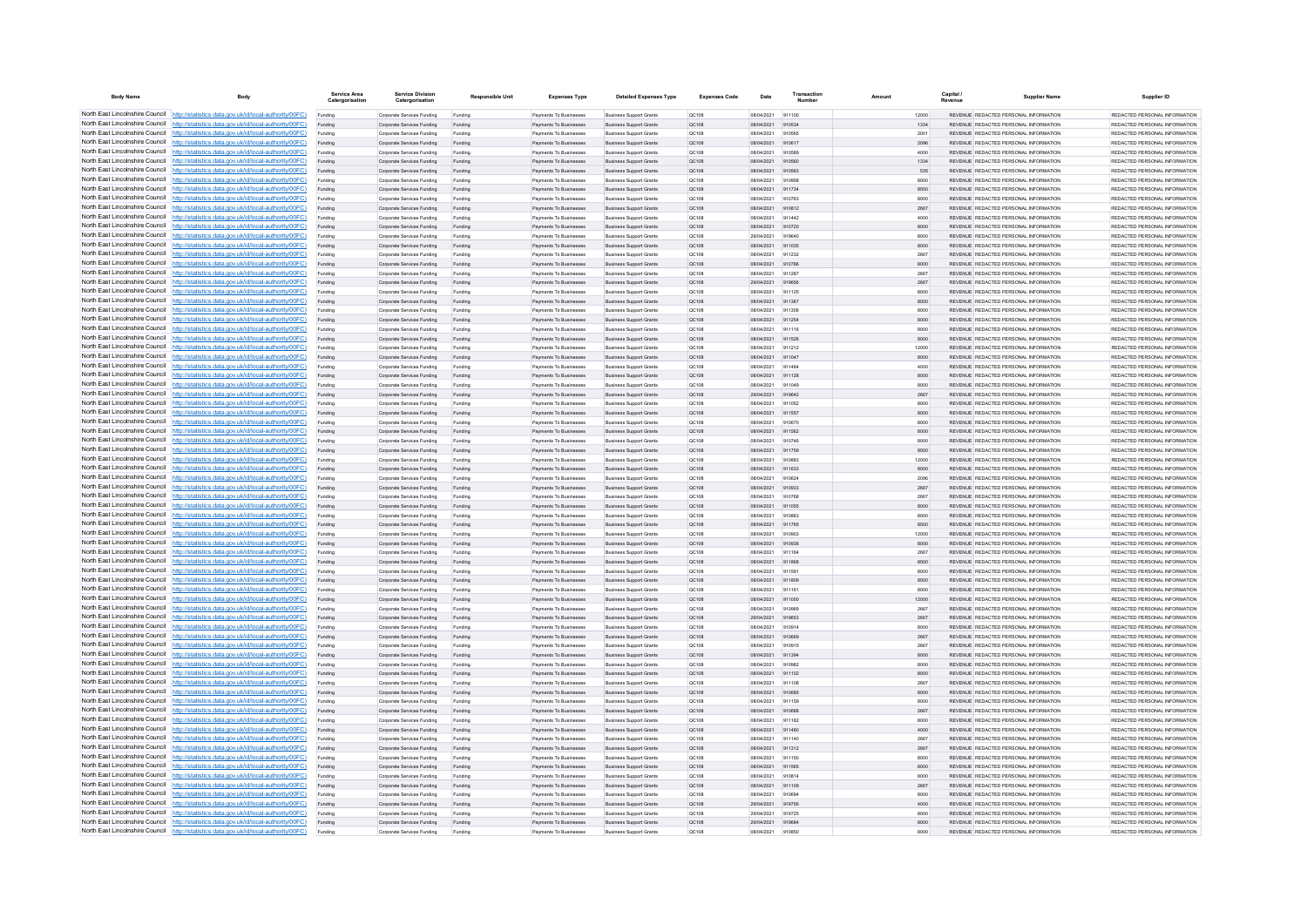| <b>Body Name</b>                | Body                                                                                                                                                                             | Service Area<br>Catergorisatio | <b>Service Division</b><br>Catergorisation               | <b>Responsible Unit</b> | <b>Expenses Type</b>                                    | <b>Detailed Expenses Type</b>                                    | <b>Expenses Code</b>  | Date                     | Transactio       | Amount | Capital       | <b>Supplier Name</b>                                                           | Supplier ID                                                     |
|---------------------------------|----------------------------------------------------------------------------------------------------------------------------------------------------------------------------------|--------------------------------|----------------------------------------------------------|-------------------------|---------------------------------------------------------|------------------------------------------------------------------|-----------------------|--------------------------|------------------|--------|---------------|--------------------------------------------------------------------------------|-----------------------------------------------------------------|
|                                 | North East Lincolnshire Council http://statistics.data.gov.uk/id/local-authority/00FC)                                                                                           | Funding                        | Corporate Services Funding                               | Funding                 | Payments To Businesses                                  | <b>Business Support Grants</b>                                   | OC108                 | 08/04/2021               | 911100           |        | 12000         | REVENUE REDACTED PERSONAL INFORMATION                                          | REDACTED PERSONAL INFORMATION                                   |
|                                 | North East Lincolnshire Council http://statistics.data.gov.uk/id/local-authority/00FC)                                                                                           | Funding                        | Corporate Services Funding                               | Funding                 | Payments To Businesses                                  | <b>Business Support Grants</b>                                   | QC108                 | 08/04/2021               | 910534           |        | 1334          | REVENUE REDACTED PERSONAL INFORMATION                                          | REDACTED PERSONAL INFORMATION                                   |
|                                 | North East Lincolnshire Council http://statistics.data.gov.uk/id/local-authority/00FC)                                                                                           | Funding                        | Corporate Services Funding                               | Funding                 | Payments To Busin                                       | <b>Business Support Grant</b>                                    | QC108                 | 08/04/2021               | 910565           |        | 2001          | REVENUE REDACTED PERSONAL INFORMATION                                          | REDACTED PERSONAL INFORMATION                                   |
|                                 | North East Lincolnshire Council http://statistics.data.gov.uk/id/local-authority/00FC)<br>North East Lincolnshire Council http://statistics.data.gov.uk/id/local-authority/00FC) | Funding                        | Corporate Services Funding                               | Funding                 | Payments To Businesses                                  | <b>Business Support Grants</b>                                   | OC108                 | 08/04/2021               | 910617           |        | 2096          | REVENUE REDACTED PERSONAL INFORMATION<br>REVENUE REDACTED PERSONAL INFORMATION | REDACTED PERSONAL INFORMATION<br>REDACTED PERSONAL INFORMATION. |
|                                 | North East Lincolnshire Council http://statistics.data.gov.uk/id/local-authority/00FC)                                                                                           | Funding<br>Funding             | Corporate Services Funding<br>Corporate Services Funding | Funding<br>Funding      | Payments To Businesses<br>Payments To Businesses        | <b>Business Support Grants</b><br><b>Business Support Grants</b> | <b>QC108</b><br>QC108 | 08/04/2021<br>08/04/2021 | 910589<br>910560 |        | 4000<br>1334  | REVENUE REDACTED PERSONAL INFORMATION                                          | REDACTED PERSONAL INFORMATION                                   |
|                                 | North East Lincolnshire Council http://statistics.data.gov.uk/id/local-authority/00FC)                                                                                           | Funding                        | Corporate Services Funding                               | Funding                 | Payments To Businesses                                  | <b>Business Support Grants</b>                                   | QC108                 | 08/04/2021               | 910563           |        | 535           | REVENUE REDACTED PERSONAL INFORMATION                                          | REDACTED PERSONAL INFORMATION                                   |
|                                 | North East Lincolnshire Council http://statistics.data.gov.uk/id/local-authority/00FC)                                                                                           | Funding                        | Corporate Services Funding                               | Funding                 | <b>Payments To Businesses</b>                           | <b>Business Support Grants</b>                                   | OC108                 | 08/04/2021               | 910958           |        | 8000          | REVENUE REDACTED PERSONAL INFORMATION                                          | REDACTED PERSONAL INFORMATION.                                  |
| North East Lincolnshire Council | http://statistics.data.gov.uk/id/local-authority/00FC)                                                                                                                           | Funding                        | Corporate Services Funding                               | Funding                 | Payments To Businesses                                  | <b>Business Support Grants</b>                                   | OC108                 | 08/04/2021               | 911734           |        | 8500          | REVENUE REDACTED PERSONAL INFORMATION                                          | REDACTED PERSONAL INFORMATION                                   |
| North East Lincolnshire Council | http://statistics.data.gov.uk/id/local-authority/00FC)                                                                                                                           | Funding                        | Corporate Services Funding                               | Funding                 | Payments To Businessee                                  | <b>Business Support Grants</b>                                   | QC108                 | 08/04/2021               | 910762           |        | 8000          | REVENUE REDACTED PERSONAL INFORMATION                                          | REDACTED PERSONAL INFORMATION                                   |
|                                 | North East Lincolnshire Council http://statistics.data.gov.uk/id/local-authority/00FC)                                                                                           | Funding                        | Corporate Services Funding                               | Funding                 | Payments To Businesses                                  | <b>Business Support Grants</b>                                   | QC108                 | 08/04/2021               | 910812           |        | 2667          | <b>REVENHE REDACTED RERSONAL INFORMATION</b>                                   | <b>PEDACTED PERSONAL INFORMATION</b>                            |
|                                 | North East Lincolnshire Council http://statistics.data.gov.uk/id/local-authority/00FC)                                                                                           | Funding                        | Corporate Services Funding                               | Funding                 | Payments To Businesses                                  | <b>Business Support Grants</b>                                   | OC108                 | 08/04/2021               | 911442           |        | 4000          | REVENUE REDACTED PERSONAL INFORMATION                                          | REDACTED PERSONAL INFORMATION                                   |
|                                 | North East Lincolnshire Council http://statistics.data.gov.uk/id/local-authority/00FC)                                                                                           | Funding                        | Corporate Services Funding                               | Funding                 | Payments To Businesses                                  | <b>Business Support Grants</b>                                   | QC108                 | 08/04/2021               | 910720           |        | 8000          | REVENUE REDACTED PERSONAL INFORMATION                                          | REDACTED PERSONAL INFORMATION                                   |
|                                 | North East Lincolnshire Council http://statistics.data.gov.uk/id/local-authority/00FC)                                                                                           | Funding                        | Corporate Services Funding                               | Funding                 | Payments To Businessee                                  | <b>Business Support Grants</b>                                   | QC108                 | 29/04/2021               | 919640           |        | 8000          | REVENUE REDACTED PERSONAL INFORMATION                                          | REDACTED PERSONAL INFORMATION                                   |
| North East Lincolnshire Council | North East Lincolnshire Council http://statistics.data.gov.uk/id/local-authority/00FC)<br>http://statistics.data.gov.uk/id/local-authority/00FC)                                 | Funding<br>Funding             | Corporate Services Funding<br>Corporate Services Funding | Funding<br>Funding      | Payments To Businesses<br>Payments To Businessee        | <b>Business Support Grants</b><br><b>Business Support Grants</b> | QC108<br>QC108        | 08/04/2021<br>08/04/2021 | 911035<br>911232 |        | 8000<br>2667  | REVENUE REDACTED PERSONAL INFORMATION<br>REVENUE REDACTED PERSONAL INFORMATION | REDACTED PERSONAL INFORMATION<br>REDACTED PERSONAL INFORMATION  |
| North East Lincolnshire Council | http://statistics.data.gov.uk/id/local-authority/00FC)                                                                                                                           | Funding                        | Corporate Services Funding                               | Funding                 | Payments To Businessee                                  | <b>Business Support Grants</b>                                   | QC108                 | 08/04/2021               | 910786           |        | 8000          | REVENUE REDACTED PERSONAL INFORMATION                                          | REDACTED PERSONAL INFORMATION                                   |
| North East Lincolnshire Council | http://statistics.data.gov.uk/id/local-authority/00FC)                                                                                                                           | Funding                        | Corporate Services Funding                               | Funding                 | Payments To Businessee                                  | <b>Business Support Grants</b>                                   | QC108                 | 08/04/2021               | 911287           |        | 2667          | REVENUE, REDACTED PERSONAL INFORMATION                                         | REDACTED PERSONAL INFORMATION.                                  |
|                                 | North East Lincolnshire Council http://statistics.data.gov.uk/id/local-authority/00FC)                                                                                           | Funding                        | Comorate Services Funding                                | Funding                 | <b>Payments To Businesses</b>                           | <b>Business Sunnort Grants</b>                                   | OC108                 | 29/04/2021               | 919656           |        | 2667          | REVENUE, REDACTED PERSONAL INFORMATION                                         | REDACTED PERSONAL INFORMATION.                                  |
|                                 | North East Lincolnshire Council   http://statistics.data.gov.uk/id/local-authority/00FC)                                                                                         | Funding                        | Corporate Services Funding                               | Funding                 | Payments To Businesses                                  | <b>Business Support Grants</b>                                   | OC108                 | 08/04/2021               | 911125           |        | 8000          | REVENUE REDACTED PERSONAL INFORMATION                                          | REDACTED PERSONAL INFORMATION                                   |
|                                 | North East Lincolnshire Council http://statistics.data.gov.uk/id/local-authority/00FC)                                                                                           | Funding                        | Corporate Services Funding                               | Funding                 | Payments To Businesses                                  | <b>Business Support Grants</b>                                   | QC108                 | 08/04/2021               | 911367           |        | 8000          | REVENUE REDACTED PERSONAL INFORMATION                                          | REDACTED PERSONAL INFORMATION                                   |
|                                 | North East Lincolnshire Council   http://statistics.data.gov.uk/id/local-authority/00FC)                                                                                         | Funding                        | Corporate Services Funding                               | Funding                 | Payments To Businesses                                  | <b>Business Support Grants</b>                                   | QC108                 | 08/04/2021               | 911306           |        | 8000          | REVENUE REDACTED PERSONAL INFORMATION                                          | REDACTED PERSONAL INFORMATION                                   |
|                                 | North East Lincolnshire Council http://statistics.data.gov.uk/id/local-authority/00FC)                                                                                           | Funding                        | Corporate Services Funding                               | Funding                 | <b>Payments To Businesses</b>                           | <b>Business Support Grants</b>                                   | QC108                 | 08/04/2021               | 911254           |        | 8000          | REVENUE REDACTED PERSONAL INFORMATION                                          | REDACTED PERSONAL INFORMATION                                   |
| North East Lincolnshire Council | http://statistics.data.gov.uk/id/local-authority/00FC)                                                                                                                           | Funding                        | Corporate Services Funding                               | Funding                 | Payments To Businesses                                  | <b>Business Support Grants</b>                                   | QC108                 | 08/04/2021               | 911116           |        | 8000          | REVENUE REDACTED PERSONAL INFORMATION                                          | REDACTED PERSONAL INFORMATION                                   |
|                                 | North East Lincolnshire Council http://statistics.data.gov.uk/id/local-authority/00FC)                                                                                           | Funding                        | Corporate Services Funding                               | Funding                 | Payments To Businesses                                  | <b>Business Support Grants</b>                                   | QC108                 | 08/04/2021               | 911526           |        | 8000          | REVENUE REDACTED PERSONAL INFORMATION                                          | REDACTED PERSONAL INFORMATION                                   |
|                                 | North East Lincolnshire Council http://statistics.data.gov.uk/id/local-authority/00FC)<br>North East Lincolnshire Council http://statistics.data.gov.uk/id/local-authority/00FC) | Funding                        | Corporate Services Funding                               | Funding                 | Payments To Businesses                                  | <b>Business Support Grants</b>                                   | QC108                 | 08/04/2021               | 911212           |        | 12000         | REVENUE REDACTED PERSONAL INFORMATION                                          | REDACTED PERSONAL INFORMATION<br>REDACTED PERSONAL INFORMATION  |
|                                 | North East Lincolnshire Council http://statistics.data.gov.uk/id/local-authority/00FC)                                                                                           | Funding                        | Corporate Services Funding<br>Corporate Services Funding | Funding<br>Funding      | Payments To Businesses<br>Payments To Businesses        | <b>Business Support Grants</b><br><b>Business Support Grants</b> | QC108<br>OC108        | 08/04/2021<br>08/04/2021 | 911047<br>911484 |        | 8000<br>4000  | REVENUE REDACTED PERSONAL INFORMATION<br>REVENUE REDACTED PERSONAL INFORMATION | REDACTED PERSONAL INFORMATION                                   |
|                                 | North East Lincolnshire Council http://statistics.data.gov.uk/id/local-authority/00FC)                                                                                           | Funding<br>Funding             | Corporate Services Funding                               | Funding                 | Payments To Businessee                                  | <b>Business Support Grants</b>                                   | QC108                 | 08/04/2021               | 911128           |        | 8000          | REVENUE REDACTED PERSONAL INFORMATION                                          | REDACTED PERSONAL INFORMATION                                   |
|                                 | North East Lincolnshire Council http://statistics.data.gov.uk/id/local-authority/00FC)                                                                                           | Funding                        | Corporate Services Funding                               | Funding                 | Payments To Businessee                                  | <b>Business Support Grants</b>                                   | OC108                 | 08/04/2021               | 911049           |        | 8000          | REVENUE REDACTED PERSONAL INFORMATION                                          | REDACTED PERSONAL INFORMATION.                                  |
| North East Lincolnshire Council | http://statistics.data.gov.uk/id/local-authority/00FC)                                                                                                                           | Funding                        | Corporate Services Funding                               | Funding                 | Payments To Businesses                                  | <b>Business Support Grants</b>                                   | QC108                 | 29/04/2021               | 919642           |        | 2667          | REVENUE REDACTED PERSONAL INFORMATION                                          | REDACTED PERSONAL INFORMATION                                   |
| North East Lincolnshire Council | http://statistics.data.gov.uk/id/local-authority/00FC)                                                                                                                           | Funding                        | Corporate Services Funding                               | Funding                 | Payments To Businesse                                   | <b>Business Support Grants</b>                                   | QC108                 | 08/04/2021               | 911052           |        | 8000          | REVENUE REDACTED PERSONAL INFORMATION                                          | REDACTED PERSONAL INFORMATION                                   |
|                                 | North East Lincolnshire Council http://statistics.data.gov.uk/id/local-authority/00FC)                                                                                           | Funding                        | Corporate Services Funding                               | Funding                 | Payments To Businesses                                  | <b>Business Support Grants</b>                                   | QC108                 | 08/04/2021               | 911557           |        | 8000          | REVENUE REDACTED PERSONAL INFORMATION                                          | REDACTED PERSONAL INFORMATION.                                  |
|                                 | North East Lincolnshire Council http://statistics.data.gov.uk/id/local-authority/00FC)                                                                                           | Funding                        | Corporate Services Funding                               | Funding                 | Payments To Businessee                                  | <b>Business Support Grants</b>                                   | QC108                 | 08/04/2021               | 910870           |        | 8000          | REVENUE REDACTED PERSONAL INFORMATION                                          | REDACTED PERSONAL INFORMATION                                   |
|                                 | North East Lincolnshire Council http://statistics.data.gov.uk/id/local-authority/00FC)                                                                                           | Funding                        | Corporate Services Funding                               | Funding                 | Payments To Businesses                                  | <b>Business Support Grants</b>                                   | QC108                 | 08/04/2021               | 911562           |        | 8000          | REVENUE REDACTED PERSONAL INFORMATION                                          | REDACTED PERSONAL INFORMATION                                   |
|                                 | North East Lincolnshire Council http://statistics.data.gov.uk/id/local-authority/00FC)                                                                                           | Funding                        | Corporate Services Funding                               | Funding                 | Payments To Businesses                                  | <b>Business Support Grants</b>                                   | OC108                 | 08/04/2021               | 910746           |        | 8000          | REVENUE REDACTED PERSONAL INFORMATION                                          | REDACTED PERSONAL INFORMATION                                   |
|                                 | North East Lincolnshire Council http://statistics.data.gov.uk/id/local-authority/00FC)<br>North East Lincolnshire Council http://statistics.data.gov.uk/id/local-authority/00FC) | Funding                        | Corporate Services Funding                               | Funding                 | Payments To Businesses                                  | <b>Business Support Grants</b>                                   | QC108                 | 08/04/2021               | 911759           |        | 8500          | REVENUE REDACTED PERSONAL INFORMATION                                          | REDACTED PERSONAL INFORMATION                                   |
| North East Lincolnshire Council | http://statistics.data.gov.uk/id/local-authority/00FC)                                                                                                                           | Funding                        | Corporate Services Funding                               | Funding<br>Funding      | Payments To Businesses<br>Payments To Businesses        | <b>Business Support Grants</b><br><b>Business Support Grants</b> | QC108<br>QC108        | 08/04/2021<br>08/04/2021 | 910883<br>911633 |        | 12000<br>8000 | REVENUE REDACTED PERSONAL INFORMATION<br>REVENUE REDACTED PERSONAL INFORMATION | REDACTED PERSONAL INFORMATION<br>REDACTED PERSONAL INFORMATION  |
|                                 | North East Lincolnshire Council http://statistics.data.gov.uk/id/local-authority/00FC)                                                                                           | Funding<br>Funding             | Corporate Services Funding<br>Corporate Services Funding | Funding                 | Payments To Businesses                                  | <b>Business Support Grants</b>                                   | QC108                 | 08/04/2021               | 910624           |        | 2096          | REVENUE REDACTED PERSONAL INFORMATION                                          | REDACTED PERSONAL INFORMATION                                   |
|                                 | North East Lincolnshire Council http://statistics.data.gov.uk/id/local-authority/00FC)                                                                                           |                                | Corporate Services Funding                               | Funding                 | Payments To Businesses                                  | <b>Business Support Grants</b>                                   | QC108                 | 08/04/2021               | 910933           |        | 2667          | REVENUE REDACTED PERSONAL INFORMATION                                          | REDACTED PERSONAL INFORMATION                                   |
|                                 | North East Lincolnshire Council http://statistics.data.gov.uk/id/local-authority/00FC)                                                                                           | Funding                        | Comorate Services Funding                                | Funding                 | <b>Payments To Businesses</b>                           | <b>Business Sunnort Grants</b>                                   | OCD108                | 08/04/2021               | 910768           |        | 2667          | REVENUE REDACTED PERSONAL INFORMATION                                          | REDACTED PERSONAL INFORMATION.                                  |
|                                 | North East Lincolnshire Council http://statistics.data.gov.uk/id/local-authority/00FC)                                                                                           | Funding                        | Corporate Services Funding                               | Funding                 | Payments To Businesses                                  | <b>Business Support Grants</b>                                   | QC108                 | 08/04/2021               | 911055           |        | 8000          | REVENUE REDACTED PERSONAL INFORMATION                                          | REDACTED PERSONAL INFORMATION                                   |
|                                 | North East Lincolnshire Council http://statistics.data.gov.uk/id/local-authority/00FC)                                                                                           | Funding                        | Corporate Services Funding                               | Funding                 | Payments To Businessee                                  | <b>Business Support Grants</b>                                   | QC108                 | 08/04/2021               | 910863           |        | 8000          | REVENUE REDACTED PERSONAL INFORMATION                                          | REDACTED PERSONAL INFORMATION                                   |
|                                 | North East Lincolnshire Council http://statistics.data.gov.uk/id/local-authority/00FC)                                                                                           | Funding                        | Corporate Services Funding                               | Funding                 | Payments To Businesses                                  | <b>Business Support Grants</b>                                   | QC108                 | 08/04/2021               | 911765           |        | 8500          | REVENUE REDACTED PERSONAL INFORMATION                                          | REDACTED PERSONAL INFORMATION                                   |
| North East Lincolnshire Council | http://statistics.data.gov.uk/id/local-authority/00EC)                                                                                                                           | Funding                        | Comorate Services Funding                                | Funding                 | Payments To Businessee                                  | <b>Business Sunnort Grants</b>                                   | OC108                 | 08/04/2021               | 910903           |        | 12000         | REVENUE REDACTED PERSONAL INFORMATION                                          | REDACTED PERSONAL INFORMATION.                                  |
|                                 | North East Lincolnshire Council http://statistics.data.gov.uk/id/local-authority/00FC)                                                                                           | Funding                        | Corporate Services Funding                               | Funding                 | Payments To Businessee                                  | <b>Business Support Grants</b>                                   | QC108                 | 08/04/2021               | 910936           |        | 8000          | REVENUE REDACTED PERSONAL INFORMATION                                          | REDACTED PERSONAL INFORMATION                                   |
|                                 | North East Lincolnshire Council http://statistics.data.gov.uk/id/local-authority/00FC)<br>North East Lincolnshire Council http://statistics.data.gov.uk/id/local-authority/00FC) | Funding                        | Corporate Services Funding                               | Funding                 | Payments To Businesse                                   | <b>Business Support Grants</b>                                   | QC108                 | 08/04/2021               | 911164           |        | 2667          | REVENUE REDACTED PERSONAL INFORMATION                                          | REDACTED PERSONAL INFORMATION                                   |
|                                 | North East Lincolnshire Council http://statistics.data.gov.uk/id/local-authority/00FC)                                                                                           | Funding                        | Corporate Services Funding<br>Corporate Services Funding | Funding<br>Funding      | Payments To Businesses<br>Payments To Businesses        | <b>Business Support Grants</b><br><b>Business Support Grants</b> | QC108<br>OC108        | 08/04/2021<br>08/04/2021 | 911868<br>911591 |        | 8500<br>8000  | REVENUE REDACTED PERSONAL INFORMATION<br>REVENUE REDACTED PERSONAL INFORMATION | REDACTED PERSONAL INFORMATION<br>REDACTED PERSONAL INFORMATION  |
|                                 | North East Lincolnshire Council http://statistics.data.gov.uk/id/local-authority/00FC)                                                                                           | Funding<br>Funding             | Corporate Services Funding                               | Funding                 | Payments To Businesses                                  | <b>Business Support Grants</b>                                   | QC108                 | 08/04/2021               | 911809           |        | 8500          | REVENUE REDACTED PERSONAL INFORMATION                                          | REDACTED PERSONAL INFORMATION                                   |
|                                 | North East Lincolnshire Council http://statistics.data.gov.uk/id/local-authority/00FC)                                                                                           | Funding                        | Corporate Services Funding                               | Funding                 | Payments To Businesses                                  | <b>Business Support Grants</b>                                   | QC108                 | 08/04/2021               | 911161           |        | 8000          | REVENUE REDACTED PERSONAL INFORMATION                                          | REDACTED PERSONAL INFORMATION                                   |
| North East Lincolnshire Council | http://statistics.data.gov.uk/id/local-authority/00EC)                                                                                                                           | Funding                        | Corporate Services Funding                               | Funding                 | Payments To Businesses                                  | <b>Business Support Grants</b>                                   | QC108                 | 08/04/2021               | 911000           |        | 12000         | REVENUE REDACTED PERSONAL INFORMATION                                          | REDACTED PERSONAL INFORMATION.                                  |
| North East Lincolnshire Council | http://statistics.data.gov.uk/id/local-authority/00EC)                                                                                                                           | Funding                        | Corporate Services Funding                               | Funding                 | Payments To Businesses                                  | <b>Business Support Grants</b>                                   | QC108                 | 08/04/2021               | 910969           |        | 2667          | REVENUE REDACTED PERSONAL INFORMATION                                          | REDACTED PERSONAL INFORMATION                                   |
|                                 | North East Lincolnshire Council http://statistics.data.gov.uk/id/local-authority/00FC)                                                                                           | Funding                        | Corporate Services Funding                               | Funding                 | Payments To Businesses                                  | <b>Business Support Grants</b>                                   | QC108                 | 29/04/2021               | 919653           |        | 2667          | <b>REVENUE REDACTED PERSONAL INFORMATION</b>                                   | REDACTED PERSONAL INFORMATION                                   |
|                                 | North East Lincolnshire Council http://statistics.data.gov.uk/id/local-authority/00FC)                                                                                           |                                | Corporate Services Funding                               | Funding                 | Payments To Businessee                                  | <b>Business Support Grants</b>                                   | QC108                 | 08/04/2021               | 910914           |        | 8000          | REVENUE REDACTED PERSONAL INFORMATION                                          | REDACTED PERSONAL INFORMATION                                   |
|                                 | North East Lincolnshire Council http://statistics.data.gov.uk/id/local-authority/00FC)                                                                                           | Funding                        | Corporate Services Funding                               | Funding                 | <b>Payments To Businesses</b>                           | <b>Business Support Grants</b>                                   | OC108                 | 08/04/2021               | 910669           |        | 2667          | REVENUE REDACTED PERSONAL INFORMATION                                          | REDACTED PERSONAL INFORMATION.                                  |
|                                 | North East Lincolnshire Council http://statistics.data.gov.uk/id/local-authority/00FC)                                                                                           | Funding                        | Corporate Services Funding                               | Funding                 | Payments To Businesses                                  | <b>Business Support Grants</b>                                   | OC108                 | 08/04/2021               | 910915           |        | 2667          | REVENUE REDACTED PERSONAL INFORMATION                                          | REDACTED PERSONAL INFORMATION                                   |
|                                 | North East Lincolnshire Council http://statistics.data.gov.uk/id/local-authority/00FC)                                                                                           | Funding                        | Corporate Services Funding                               | Funding                 | Payments To Businesses                                  | <b>Business Support Grants</b>                                   | QC108                 | 08/04/2021               | 911394           |        | 8000          | REVENUE REDACTED PERSONAL INFORMATION                                          | REDACTED PERSONAL INFORMATION                                   |
| North East Lincolnshire Council | North East Lincolnshire Council http://statistics.data.gov.uk/id/local-authority/00FC)<br>http://statistics.data.gov.uk/id/local-authority/00FC)                                 | Funding                        | Corporate Services Funding                               | Funding                 | Payments To Businessee                                  | <b>Business Support Grants</b>                                   | QC108                 | 08/04/2021               | 910982           |        | 8000          | REVENUE REDACTED PERSONAL INFORMATION<br>REVENUE REDACTED PERSONAL INFORMATION | REDACTED PERSONAL INFORMATION<br>REDACTED PERSONAL INFORMATION  |
|                                 | North East Lincolnshire Council http://statistics.data.gov.uk/id/local-authority/00FC)                                                                                           | Funding<br>Funding             | Corporate Services Funding<br>Corporate Services Funding | Funding<br>Funding      | Payments To Businessee<br>Payments To Businessee        | <b>Business Support Grants</b><br><b>Business Support Grants</b> | QC108<br>QC108        | 08/04/2021<br>08/04/2021 | 911102<br>911108 |        | 8000<br>2667  | REVENUE REDACTED PERSONAL INFORMATION                                          | REDACTED PERSONAL INFORMATION                                   |
|                                 | North East Lincolnshire Council http://statistics.data.gov.uk/id/local-authority/00FC)                                                                                           | Funding                        | Corporate Services Funding                               | Funding                 | Payments To Businessee                                  | <b>Business Support Grants</b>                                   | QC108                 | 08/04/2021               | 910685           |        | 8000          | REVENUE REDACTED PERSONAL INFORMATION                                          | REDACTED PERSONAL INFORMATION                                   |
|                                 | North East Lincolnshire Council http://statistics.data.gov.uk/id/local-authority/00FC)                                                                                           | Funding                        | Comorate Services Funding                                | Funding                 | Payments To Businesses                                  | <b>Business Support Grants</b>                                   | 00108                 | 08/04/2021               | 911159           |        | 8000          | REVENUE REDACTED PERSONAL INFORMATION                                          | REDACTED PERSONAL INFORMATION                                   |
|                                 | North East Lincolnshire Council http://statistics.data.gov.uk/id/local-authority/00FC)                                                                                           | Funding                        | Corporate Services Funding                               | Funding                 | Payments To Businesses                                  | <b>Business Support Grants</b>                                   | <b>QC108</b>          | 08/04/2021               | 910688           |        | 2667          | REVENUE REDACTED PERSONAL INFORMATION                                          | REDACTED PERSONAL INFORMATION                                   |
|                                 | North East Lincolnshire Council http://statistics.data.gov.uk/id/local-authority/00FC)                                                                                           | Funding                        | Corporate Services Funding                               | Funding                 | Payments To Businesses                                  | <b>Business Support Grants</b>                                   | OC108                 | 08/04/2021               | 911182           |        | 8000          | REVENUE REDACTED PERSONAL INFORMATION                                          | REDACTED PERSONAL INFORMATION                                   |
|                                 | North East Lincolnshire Council http://statistics.data.gov.uk/id/local-authority/00FC)                                                                                           | Funding                        | Corporate Services Funding                               | Funding                 | Payments To Businesses                                  | <b>Business Support Grants</b>                                   | QC108                 | 08/04/2021               | 911480           |        | 4000          | REVENUE REDACTED PERSONAL INFORMATION                                          | REDACTED PERSONAL INFORMATION                                   |
|                                 | North East Lincolnshire Council http://statistics.data.gov.uk/id/local-authority/00FC)                                                                                           | Funding                        | Corporate Services Funding                               | Funding                 | <b>Payments To Businesses</b>                           | <b>Business Support Grants</b>                                   | OC108                 | 08/04/2021               | 911140           |        | 2667          | REVENUE REDACTED PERSONAL INFORMATION                                          | REDACTED PERSONAL INFORMATION.                                  |
| North East Lincolnshire Council | http://statistics.data.gov.uk/id/local-authority/00EC)                                                                                                                           | Funding                        | Corporate Services Funding                               | Funding                 | Payments To Businesses                                  | <b>Business Support Grants</b>                                   | <b>QC108</b>          | 08/04/2021               | 911312           |        | 2667          | REVENUE REDACTED PERSONAL INFORMATION                                          | REDACTED PERSONAL INFORMATION                                   |
|                                 | North East Lincolnshire Council http://statistics.data.gov.uk/id/local-authority/00FC)                                                                                           | Funding                        | Corporate Services Funding                               | Funding                 | Payments To Businesses                                  | <b>Business Support Grants</b>                                   | QC108                 | 08/04/2021               | 911150           |        | 8000          | REVENUE REDACTED PERSONAL INFORMATION                                          | REDACTED PERSONAL INFORMATION                                   |
|                                 | North East Lincolnshire Council http://statistics.data.gov.uk/id/local-authority/00FC)<br>North East Lincolnshire Council http://statistics.data.gov.uk/id/local-authority/00FC) |                                | Corporate Services Funding                               | Funding                 | Payments To Businesses                                  | <b>Business Support Grants</b>                                   | QC108                 | 08/04/2021               | 911565           |        | 8000          | REVENUE REDACTED PERSONAL INFORMATION                                          | REDACTED PERSONAL INFORMATION                                   |
|                                 | North East Lincolnshire Council http://statistics.data.gov.uk/id/local-authority/00FC)                                                                                           | Funding                        | Corporate Services Funding<br>Corporate Services Funding | Funding<br>Funding      | <b>Payments To Businesses</b><br>Payments To Businesses | <b>Business Support Grants</b><br><b>Business Support Grants</b> | OC108<br>QC108        | 08/04/2021<br>08/04/2021 | 910814<br>911109 |        | 8000<br>2667  | REVENUE REDACTED PERSONAL INFORMATION<br>REVENUE REDACTED PERSONAL INFORMATION | REDACTED PERSONAL INFORMATION<br>REDACTED PERSONAL INFORMATION  |
|                                 | North East Lincolnshire Council http://statistics.data.gov.uk/id/local-authority/00FC)                                                                                           | Funding<br>Funding             | Corporate Services Funding                               | Funding                 | Payments To Businessee                                  | <b>Business Support Grants</b>                                   | QC108                 | 08/04/2021               | 910694           |        | 8000          | REVENUE REDACTED PERSONAL INFORMATION                                          | REDACTED PERSONAL INFORMATION                                   |
|                                 | North East Lincolnshire Council http://statistics.data.gov.uk/id/local-authority/00FC)                                                                                           | Funding                        | Corporate Services Funding                               | Funding                 | Payments To Businesses                                  | <b>Business Support Grants</b>                                   | QC108                 | 29/04/2021               | 919756           |        | 4000          | REVENUE REDACTED PERSONAL INFORMATION                                          | REDACTED PERSONAL INFORMATION                                   |
|                                 | North East Lincolnshire Council http://statistics.data.gov.uk/id/local-authority/00FC)                                                                                           | Funding                        | Corporate Services Funding                               | Funding                 | Payments To Businessee                                  | <b>Business Support Grants</b>                                   | QC108                 | 29/04/2021               | 919725           |        | 8000          | REVENUE REDACTED PERSONAL INFORMATION                                          | REDACTED PERSONAL INFORMATION                                   |
|                                 | North East Lincolnshire Council http://statistics.data.gov.uk/id/local-authority/00FC)                                                                                           | Funding                        | Corporate Services Funding                               | Funding                 | Payments To Businesses                                  | <b>Business Support Grants</b>                                   | QC108                 | 29/04/2021               | 919684           |        | 8000          | REVENUE REDACTED PERSONAL INFORMATION                                          | REDACTED PERSONAL INFORMATION                                   |
|                                 | North East Lincolnshire Council http://statistics.data.gov.uk/id/local-authority/00FC)                                                                                           |                                | Corporate Services Funding                               | Funding                 | Payments To Businesse                                   | <b>Business Support Grants</b>                                   | QC108                 | 08/04/2021               | 910850           |        | 8000          | REVENUE REDACTED PERSONAL INFORMATION                                          | REDACTED PERSONAL INFORMATION                                   |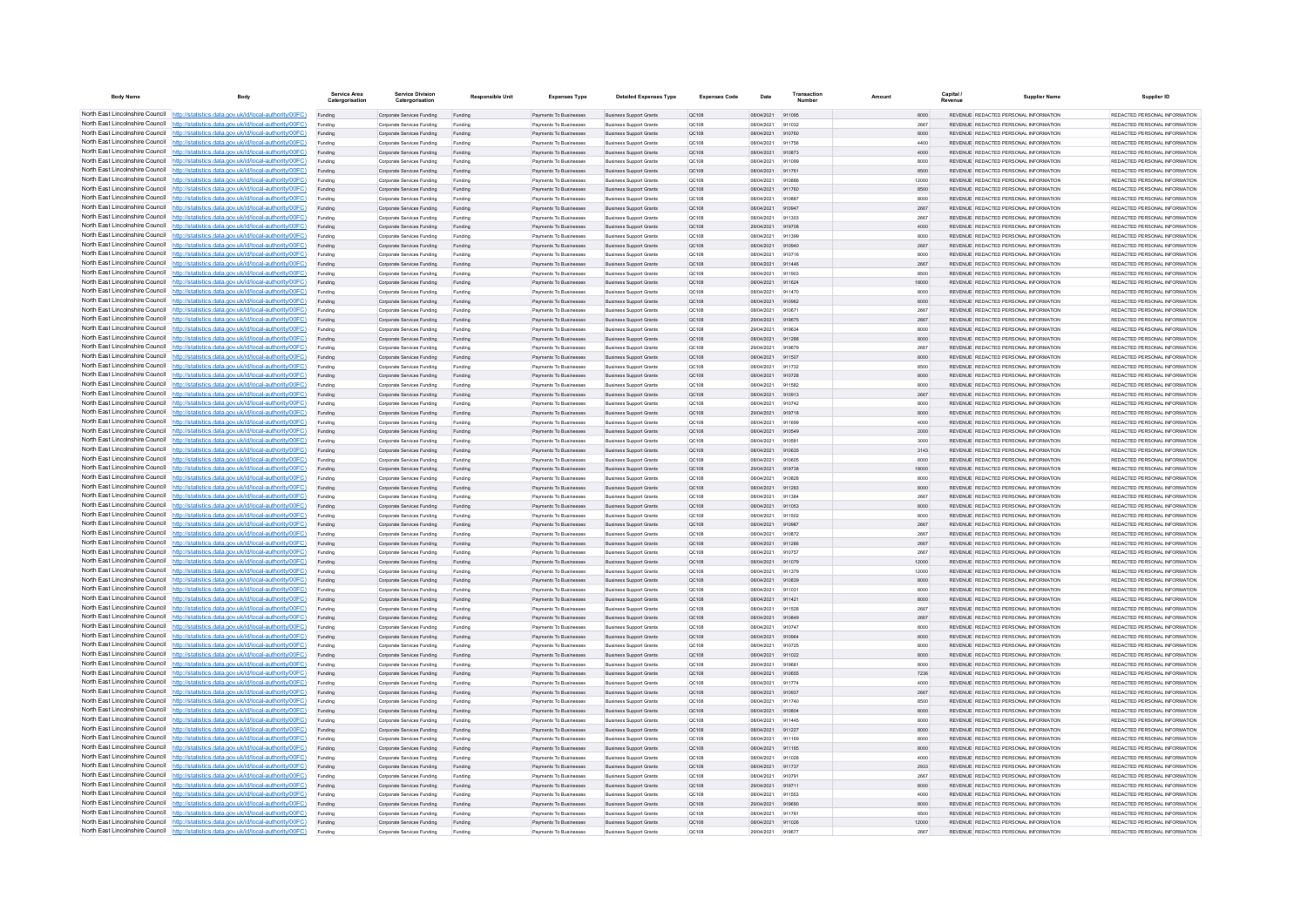| <b>Body Name</b>                                                   | Body                                                                                                                                                                             | Service Area<br>Catergorisation | <b>Service Division</b><br>Catergorisation               | <b>Responsible Unit</b> | <b>Expenses Type</b>                             | <b>Detailed Expenses Type</b>                                    | <b>Expenses Code</b>  | Date                     | Transactic       | Amount | Capital<br>Revenue | <b>Supplier Name</b>                                                            | Supplier ID                                                     |
|--------------------------------------------------------------------|----------------------------------------------------------------------------------------------------------------------------------------------------------------------------------|---------------------------------|----------------------------------------------------------|-------------------------|--------------------------------------------------|------------------------------------------------------------------|-----------------------|--------------------------|------------------|--------|--------------------|---------------------------------------------------------------------------------|-----------------------------------------------------------------|
|                                                                    | North East Lincolnshire Council http://statistics.data.gov.uk/id/local-authority/00FC)                                                                                           | Funding                         | Corporate Services Funding                               | Funding                 | Payments To Businesses                           | <b>Business Support Grants</b>                                   | QC108                 | 08/04/2021               | 911095           |        | 8000               | REVENUE REDACTED PERSONAL INFORMATION                                           | REDACTED PERSONAL INFORMATION                                   |
|                                                                    | North East Lincolnshire Council http://statistics.data.gov.uk/id/local-authority/00FC)                                                                                           |                                 | Corporate Services Funding                               |                         | Payments To Businessee                           | <b>Business Support Grant</b>                                    | QC108                 | 08/04/2021               | 911032           |        | 2667               | REVENUE REDACTED PERSONAL INFORMATION                                           | REDACTED PERSONAL INFORMATION                                   |
|                                                                    | North East Lincolnshire Council http://statistics.data.gov.uk/id/local-authority/00FC)                                                                                           | Funding                         | Corporate Services Funding                               | Funding                 | Payments To Businesses                           | <b>Business Support Grants</b>                                   | QC108                 | 08/04/2021               | 910760           |        | 8000               | REVENUE REDACTED PERSONAL INFORMATION                                           | REDACTED PERSONAL INFORMATION                                   |
|                                                                    | North East Lincolnshire Council http://statistics.data.gov.uk/id/local-authority/00FC)                                                                                           | Funding                         | Corporate Services Funding                               | Funding                 | Payments To Businesses                           | <b>Business Support Grants</b>                                   | OC108                 | 08/04/2021               | 911756           |        | 4400               | REVENUE REDACTED PERSONAL INFORMATION                                           | REDACTED PERSONAL INFORMATION                                   |
|                                                                    | North East Lincolnshire Council http://statistics.data.gov.uk/id/local-authority/00FC)                                                                                           | Funding                         | Corporate Services Funding                               | Funding                 | Payments To Businesses                           | <b>Business Support Grants</b>                                   | QC108                 | 08/04/2021               | 910873           |        | 4000               | REVENUE REDACTED PERSONAL INFORMATION                                           | REDACTED PERSONAL INFORMATION                                   |
|                                                                    | North East Lincolnshire Council http://statistics.data.gov.uk/id/local-authority/00FC)                                                                                           | Funding                         | Corporate Services Funding                               | Funding                 | Payments To Businesses                           | <b>Business Support Grants</b>                                   | QC108                 | 08/04/2021               | 911099           |        | 8000               | REVENUE REDACTED PERSONAL INFORMATION                                           | REDACTED PERSONAL INFORMATION                                   |
| North East Lincolnshire Council                                    | North East Lincolnshire Council http://statistics.data.gov.uk/id/local-authority/00FC)<br>http://statistics.data.gov.uk/id/local-authority/00FC)                                 | Funding<br>Funding              | Corporate Services Funding<br>Corporate Services Funding | Funding<br>Funding      | Payments To Businesses<br>Payments To Businesses | <b>Business Support Grants</b><br><b>Business Support Grants</b> | OC108<br>OC108        | 08/04/2021<br>08/04/2021 | 911761<br>910886 |        | 8500<br>12000      | REVENUE, REDACTED PERSONAL INFORMATION<br>REVENUE REDACTED PERSONAL INFORMATION | REDACTED PERSONAL INFORMATION.<br>REDACTED PERSONAL INFORMATION |
| North East Lincolnshire Council                                    | http://statistics.data.gov.uk/id/local-authority/00FC)                                                                                                                           | Funding                         | Corporate Services Funding                               | Funding                 | Payments To Businesses                           | <b>Business Support Grants</b>                                   | QC108                 | 08/04/2021               | 911760           |        | 8500               | REVENUE REDACTED PERSONAL INFORMATION                                           | REDACTED PERSONAL INFORMATION                                   |
|                                                                    | North East Lincolnshire Council http://statistics.data.gov.uk/id/local-authority/00FC)                                                                                           |                                 | Corporate Services Funding                               | Funding                 | Payments To Businessee                           | <b>Business Support Grants</b>                                   | QC108                 | 08/04/2021               | 910887           |        | 8000               | REVENUE REDACTED PERSONAL INFORMATION                                           | REDACTED PERSONAL INFORMATION.                                  |
|                                                                    | North East Lincolnshire Council   http://statistics.data.gov.uk/id/local-authority/00FC)                                                                                         | Funding                         | Comorate Services Funding                                | Funding                 | <b>Payments To Businesses</b>                    | <b>Business Sunnort Grants</b>                                   | OC108                 | 08/04/2021               | 910947           |        | 2667               | REVENUE, REDACTED PERSONAL INFORMATION                                          | REDACTED PERSONAL INFORMATION.                                  |
|                                                                    | North East Lincolnshire Council http://statistics.data.gov.uk/id/local-authority/00FC)                                                                                           | Funding                         | Corporate Services Funding                               | Funding                 | Payments To Businesses                           | <b>Business Support Grants</b>                                   | OC108                 | 08/04/2021               | 911303           |        | 2667               | REVENUE REDACTED PERSONAL INFORMATION                                           | REDACTED PERSONAL INFORMATION                                   |
|                                                                    | North East Lincolnshire Council http://statistics.data.gov.uk/id/local-authority/00FC)                                                                                           | Funding                         | Corporate Services Funding                               | Funding                 | Payments To Businesses                           | <b>Business Support Grants</b>                                   | QC108                 | 29/04/2021               | 919708           |        | 4000               | REVENUE REDACTED PERSONAL INFORMATION                                           | REDACTED PERSONAL INFORMATION                                   |
|                                                                    | North East Lincolnshire Council http://statistics.data.gov.uk/id/local-authority/00FC)                                                                                           | Funding                         | Corporate Services Funding                               | Funding                 | Payments To Businessee                           | <b>Business Support Grants</b>                                   | QC108                 | 08/04/2021               | 911399           |        | 8000               | REVENUE REDACTED PERSONAL INFORMATION                                           | REDACTED PERSONAL INFORMATION                                   |
| North East Lincolnshire Council                                    | http://statistics.data.gov.uk/id/local-authority/00FC)                                                                                                                           | Funding                         | Corporate Services Funding                               | Funding                 | Payments To Businesses                           | <b>Business Support Grants</b>                                   | QC108                 | 08/04/2021               | 910940           |        | 2667               | REVENUE REDACTED PERSONAL INFORMATION                                           | REDACTED PERSONAL INFORMATION                                   |
| North East Lincolnshire Council                                    | http://statistics.data.gov.uk/id/local-authority/00FC)                                                                                                                           | Funding                         | Corporate Services Funding                               | Funding                 | Payments To Businessee                           | Business Support Grants                                          | QC108                 | 08/04/2021               | 910716           |        | 8000               | REVENUE REDACTED PERSONAL INFORMATION                                           | REDACTED PERSONAL INFORMATION                                   |
|                                                                    | North East Lincolnshire Council http://statistics.data.gov.uk/id/local-authority/00FC)<br>North East Lincolnshire Council http://statistics.data.gov.uk/id/local-authority/00FC) | Funding                         | Corporate Services Funding                               | Funding                 | Payments To Businessee                           | <b>Business Support Grants</b>                                   | QC108                 | 08/04/2021               | 911446           |        | 2667               | REVENUE REDACTED PERSONAL INFORMATION                                           | REDACTED PERSONAL INFORMATION                                   |
|                                                                    | North East Lincolnshire Council http://statistics.data.gov.uk/id/local-authority/00FC)                                                                                           | Funding<br>Funding              | Comorate Services Funding<br>Corporate Services Funding  | Funding<br>Funding      | Payments To Businesses<br>Payments To Businesses | <b>Business Sunnort Grants</b><br><b>Business Support Grants</b> | OC108<br><b>QC108</b> | 08/04/2021<br>08/04/2021 | 911903<br>911624 |        | 8500<br>18000      | REVENUE, REDACTED PERSONAL INFORMATION<br>REVENUE REDACTED PERSONAL INFORMATION | REDACTED PERSONAL INFORMATION.<br>REDACTED PERSONAL INFORMATION |
|                                                                    | North East Lincolnshire Council http://statistics.data.gov.uk/id/local-authority/00FC)                                                                                           | Funding                         | Corporate Services Funding                               | Funding                 | Payments To Businesses                           | <b>Business Support Grants</b>                                   | OC108                 | 08/04/2021               | 911470           |        | 8000               | REVENUE REDACTED PERSONAL INFORMATION                                           | REDACTED PERSONAL INFORMATION                                   |
|                                                                    | North East Lincolnshire Council http://statistics.data.gov.uk/id/local-authority/00FC)                                                                                           | Funding                         | Corporate Services Funding                               | Funding                 | Payments To Businesses                           | <b>Business Support Grants</b>                                   | QC108                 | 08/04/2021               | 910962           |        | 8000               | REVENUE REDACTED PERSONAL INFORMATION                                           | REDACTED PERSONAL INFORMATION                                   |
| North East Lincolnshire Council                                    | http://statistics.data.gov.uk/id/local-authority/00FC)                                                                                                                           | Funding                         | Comorate Services Funding                                | Funding                 | <b>Payments To Businesses</b>                    | <b>Business Sunnort Grants</b>                                   | OC108                 | 08/04/2021               | 910671           |        | 2667               | REVENUE REDACTED PERSONAL INFORMATION                                           | REDACTED PERSONAL INFORMATION.                                  |
| North East Lincolnshire Council                                    | http://statistics.data.gov.uk/id/local-authority/00FC)                                                                                                                           | Funding                         | Corporate Services Funding                               | Funding                 | Payments To Businesses                           | <b>Business Support Grants</b>                                   | OC108                 | 29/04/2021               | 919675           |        | 2667               | REVENUE REDACTED PERSONAL INFORMATION                                           | REDACTED PERSONAL INFORMATION                                   |
| North East Lincolnshire Council                                    | http://statistics.data.gov.uk/id/local-authority/00FC)                                                                                                                           | Funding                         | Corporate Services Funding                               | Funding                 | Payments To Businessee                           | <b>Business Support Grants</b>                                   | QC108                 | 29/04/2021               | 919634           |        | 8000               | REVENUE REDACTED PERSONAL INFORMATION                                           | REDACTED PERSONAL INFORMATION                                   |
|                                                                    | North East Lincolnshire Council http://statistics.data.gov.uk/id/local-authority/00FC)                                                                                           | Funding                         | Corporate Services Funding                               | Funding                 | Payments To Businesses                           | <b>Business Support Grants</b>                                   | QC108                 | 08/04/2021               | 911288           |        | 8000               | REVENUE REDACTED PERSONAL INFORMATION                                           | REDACTED PERSONAL INFORMATION                                   |
|                                                                    | North East Lincolnshire Council http://statistics.data.gov.uk/id/local-authority/00FC)                                                                                           | Funding                         | Corporate Services Funding                               | Funding                 | Payments To Businesses                           | <b>Business Support Grants</b>                                   | OC108                 | 29/04/2021               | 919679           |        | 2667               | REVENUE REDACTED PERSONAL INFORMATION                                           | REDACTED PERSONAL INFORMATION                                   |
|                                                                    | North East Lincolnshire Council http://statistics.data.gov.uk/id/local-authority/00FC)                                                                                           | Funding                         | Corporate Services Funding                               | Funding                 | Payments To Businesses                           | <b>Business Support Grants</b>                                   | QC108                 | 08/04/2021               | 911507           |        | 8000               | REVENUE REDACTED PERSONAL INFORMATION                                           | REDACTED PERSONAL INFORMATION                                   |
|                                                                    | North East Lincolnshire Council http://statistics.data.gov.uk/id/local-authority/00FC)                                                                                           | Funding                         | Corporate Services Funding                               | Funding                 | Payments To Businessee                           | <b>Business Support Grants</b>                                   | QC108                 | 08/04/2021               | 911732           |        | 8500               | REVENUE REDACTED PERSONAL INFORMATION                                           | REDACTED PERSONAL INFORMATION                                   |
| North East Lincolnshire Council                                    | North East Lincolnshire Council http://statistics.data.gov.uk/id/local-authority/00FC)<br>http://statistics.data.gov.uk/id/local-authority/00FC)                                 | Funding                         | Corporate Services Funding                               | Funding                 | Payments To Businesses<br>Payments To Businessee | <b>Business Support Grants</b>                                   | QC108                 | 08/04/2021               | 910728<br>911582 |        | 8000<br>8000       | REVENUE REDACTED PERSONAL INFORMATION<br>REVENUE REDACTED PERSONAL INFORMATION  | REDACTED PERSONAL INFORMATION<br>REDACTED PERSONAL INFORMATION  |
|                                                                    | North East Lincolnshire Council http://statistics.data.gov.uk/id/local-authority/00FC)                                                                                           | Funding<br>Funding              | Corporate Services Funding<br>Corporate Services Funding | Funding<br>Funding      | Payments To Businessee                           | <b>Business Support Grants</b><br><b>Business Support Grants</b> | QC108<br>QC108        | 08/04/2021<br>08/04/2021 | 910913           |        | 2667               | REVENUE REDACTED PERSONAL INFORMATION                                           | REDACTED PERSONAL INFORMATION                                   |
|                                                                    | North East Lincolnshire Council http://statistics.data.gov.uk/id/local-authority/00FC)                                                                                           | Funding                         | Corporate Services Funding                               | Funding                 | Payments To Businesse                            | <b>Business Support Grants</b>                                   | QC108                 | 08/04/2021               | 910742           |        | 8000               | REVENUE, REDACTED PERSONAL INFORMATION                                          | REDACTED PERSONAL INFORMATION.                                  |
|                                                                    | North East Lincolnshire Council http://statistics.data.gov.uk/id/local-authority/00FC)                                                                                           | Funding                         | Comorate Services Funding                                | Funding                 | <b>Payments To Businesses</b>                    | <b>Business Sunnort Grants</b>                                   | OC108                 | 29/04/2021               | 919718           |        | 8000               | REVENUE, REDACTED PERSONAL INFORMATION                                          | REDACTED PERSONAL INFORMATION.                                  |
|                                                                    | North East Lincolnshire Council http://statistics.data.gov.uk/id/local-authority/00FC)                                                                                           | Funding                         | Comorate Services Funding                                | Funding                 | Payments To Businesses                           | <b>Business Sunnort Grants</b>                                   | OC108                 | 08/04/2021               | 911699           |        | 4000               | REVENUE, REDACTED PERSONAL INFORMATION                                          | REDACTED PERSONAL INFORMATION.                                  |
|                                                                    | North East Lincolnshire Council http://statistics.data.gov.uk/id/local-authority/00FC)                                                                                           | Funding                         | Corporate Services Funding                               | Funding                 | Payments To Businesses                           | <b>Business Support Grants</b>                                   | QC108                 | 08/04/2021               | 910549           |        | 2000               | REVENUE REDACTED PERSONAL INFORMATION                                           | REDACTED PERSONAL INFORMATION                                   |
|                                                                    | North East Lincolnshire Council http://statistics.data.gov.uk/id/local-authority/00FC)                                                                                           | Funding                         | Corporate Services Funding                               | Funding                 | Payments To Businesses                           | <b>Business Support Grants</b>                                   | QC108                 | 08/04/2021               | 910581           |        | 3000               | REVENUE REDACTED PERSONAL INFORMATION                                           | REDACTED PERSONAL INFORMATION                                   |
|                                                                    | North East Lincolnshire Council http://statistics.data.gov.uk/id/local-authority/00FC)                                                                                           | Funding                         | Corporate Services Funding                               | Funding                 | Payments To Businesses                           | <b>Business Support Grants</b>                                   | QC108                 | 08/04/2021               | 910635           |        | 3143               | REVENUE REDACTED PERSONAL INFORMATION                                           | REDACTED PERSONAL INFORMATION                                   |
| North East Lincolnshire Council                                    | http://statistics.data.gov.uk/id/local-authority/00FC)                                                                                                                           | Funding                         | Corporate Services Funding                               | Funding                 | Payments To Businesses                           | <b>Business Support Grants</b>                                   | QC108                 | 08/04/2021               | 910605           |        | 6000               | REVENUE REDACTED PERSONAL INFORMATION                                           | REDACTED PERSONAL INFORMATION                                   |
| North East Lincolnshire Council                                    | http://statistics.data.gov.uk/id/local-authority/00FC)                                                                                                                           | Funding                         | Corporate Services Funding                               | Funding                 | Payments To Businesses                           | <b>Business Support Grants</b>                                   | QC108                 | 29/04/2021               | 919738           |        | 18000              | REVENUE REDACTED PERSONAL INFORMATION                                           | REDACTED PERSONAL INFORMATION                                   |
|                                                                    | North East Lincolnshire Council http://statistics.data.gov.uk/id/local-authority/00FC)<br>North East Lincolnshire Council http://statistics.data.gov.uk/id/local-authority/00FC) | Funding                         | Corporate Services Funding<br>Corporate Services Funding |                         | Payments To Businessee<br>Payments To Businesses | <b>Business Support Grants</b><br><b>Business Support Grants</b> | QC108                 | 08/04/2021<br>08/04/2021 | 910828           |        | 8000<br>8000       | REVENUE REDACTED PERSONAL INFORMATION<br>REVENUE REDACTED PERSONAL INFORMATION  | REDACTED PERSONAL INFORMATION<br>REDACTED PERSONAL INFORMATION  |
|                                                                    | North East Lincolnshire Council http://statistics.data.gov.uk/id/local-authority/00FC)                                                                                           | Funding<br>Funding              | Corporate Services Funding                               | Funding<br>Funding      | Payments To Businesses                           | <b>Business Support Grants</b>                                   | OC108<br><b>QC108</b> | 08/04/2021               | 911283<br>911384 |        | 2667               | REVENUE REDACTED PERSONAL INFORMATION                                           | REDACTED PERSONAL INFORMATION.                                  |
|                                                                    | North East Lincolnshire Council http://statistics.data.gov.uk/id/local-authority/00FC)                                                                                           | Funding                         | Corporate Services Funding                               | Funding                 | Payments To Businesses                           | <b>Business Support Grants</b>                                   | QC108                 | 08/04/2021               | 911053           |        | 8000               | REVENUE REDACTED PERSONAL INFORMATION                                           | REDACTED PERSONAL INFORMATION                                   |
|                                                                    | North East Lincolnshire Council http://statistics.data.gov.uk/id/local-authority/00FC)                                                                                           | Funding                         | Corporate Services Funding                               | Funding                 | Payments To Businessee                           | <b>Business Support Grants</b>                                   | QC108                 | 08/04/2021               | 911502           |        | 8000               | REVENUE REDACTED PERSONAL INFORMATION                                           | REDACTED PERSONAL INFORMATION                                   |
| North East Lincolnshire Council                                    | http://statistics.data.gov.uk/id/local-authority/00EC)                                                                                                                           | Funding                         | Corporate Services Funding                               | Funding                 | Payments To Businessee                           | <b>Business Support Grants</b>                                   | OC108                 | 08/04/2021               | 910987           |        | 2667               | REVENUE REDACTED PERSONAL INFORMATION                                           | REDACTED PERSONAL INFORMATION.                                  |
|                                                                    | North East Lincolnshire Council http://statistics.data.gov.uk/id/local-authority/00FC)                                                                                           | Funding                         | Corporate Services Funding                               | Funding                 | Payments To Businessee                           | <b>Business Support Grants</b>                                   | QC108                 | 08/04/2021               | 910872           |        | 2667               | REVENUE REDACTED PERSONAL INFORMATION                                           | REDACTED PERSONAL INFORMATION                                   |
|                                                                    | North East Lincolnshire Council http://statistics.data.gov.uk/id/local-authority/00FC)                                                                                           | Funding                         | Corporate Services Funding                               | Funding                 | Payments To Businesses                           | <b>Business Support Grants</b>                                   | QC108                 | 08/04/2021               | 911286           |        | 2667               | REVENUE REDACTED PERSONAL INFORMATION                                           | REDACTED PERSONAL INFORMATION                                   |
|                                                                    | North East Lincolnshire Council http://statistics.data.gov.uk/id/local-authority/00FC)                                                                                           | Funding                         | Corporate Services Funding                               | Funding                 | Payments To Businessee                           | <b>Business Support Grants</b>                                   | QC108                 | 08/04/2021               | 910757           |        | 2667               | REVENUE REDACTED PERSONAL INFORMATION                                           | REDACTED PERSONAL INFORMATION                                   |
|                                                                    | North East Lincolnshire Council http://statistics.data.gov.uk/id/local-authority/00FC)                                                                                           | Funding                         | Corporate Services Funding                               | Funding                 | Payments To Businesses                           | <b>Business Support Grants</b>                                   | QC108                 | 08/04/2021               | 911079           |        | 12000              | REVENUE REDACTED PERSONAL INFORMATION                                           | REDACTED PERSONAL INFORMATION                                   |
|                                                                    | North East Lincolnshire Council http://statistics.data.gov.uk/id/local-authority/00FC)<br>North East Lincolnshire Council http://statistics.data.gov.uk/id/local-authority/00FC) | Funding                         | Corporate Services Funding                               | Funding                 | Payments To Businesses                           | <b>Business Support Grants</b>                                   | OC108                 | 08/04/2021               | 911379           |        | 12000              | REVENUE REDACTED PERSONAL INFORMATION                                           | REDACTED PERSONAL INFORMATION                                   |
|                                                                    | North East Lincolnshire Council http://statistics.data.gov.uk/id/local-authority/00FC)                                                                                           | Funding<br>Funding              | Corporate Services Funding<br>Corporate Services Funding | Funding<br>Funding      | Payments To Businesses<br>Payments To Businesses | <b>Business Support Grants</b><br><b>Business Support Grants</b> | QC108<br>OC108        | 08/04/2021<br>08/04/2021 | 910839<br>911031 |        | 8000<br>8000       | REVENUE REDACTED PERSONAL INFORMATION<br>REVENUE REDACTED PERSONAL INFORMATION  | REDACTED PERSONAL INFORMATION<br>REDACTED PERSONAL INFORMATION  |
| North East Lincolnshire Council                                    | http://statistics.data.gov.uk/id/local-authority/00FC)                                                                                                                           | Funding                         | Corporate Services Funding                               | Funding                 | Payments To Businesses                           | <b>Business Support Grants</b>                                   | <b>QC108</b>          | 08/04/2021               | 911421           |        | 8000               | REVENUE REDACTED PERSONAL INFORMATION                                           | REDACTED PERSONAL INFORMATION                                   |
|                                                                    | North East Lincolnshire Council http://statistics.data.gov.uk/id/local-authority/00FC)                                                                                           | Funding                         | Corporate Services Funding                               | Funding                 | Payments To Businessee                           | <b>Business Support Grants</b>                                   | QC108                 | 08/04/2021               | 911528           |        | 2667               | REVENUE REDACTED PERSONAL INFORMATION                                           | REDACTED PERSONAL INFORMATION                                   |
|                                                                    | North East Lincolnshire Council http://statistics.data.gov.uk/id/local-authority/00FC)                                                                                           |                                 | Corporate Services Funding                               |                         | Payments To Businesses                           | <b>Business Support Grants</b>                                   | QC108                 | 08/04/2021               | 910849           |        | 2667               | REVENUE REDACTED PERSONAL INFORMATION                                           | REDACTED PERSONAL INFORMATION.                                  |
|                                                                    | North East Lincolnshire Council http://statistics.data.gov.uk/id/local-authority/00FC)                                                                                           | Funding                         | Comorate Services Funding                                | Funding                 | <b>Payments To Businesses</b>                    | <b>Business Sunnort Grants</b>                                   | OC108                 | 08/04/2021               | 910747           |        | 8000               | REVENUE REDACTED PERSONAL INFORMATION                                           | REDACTED PERSONAL INFORMATION.                                  |
|                                                                    | North East Lincolnshire Council http://statistics.data.gov.uk/id/local-authority/00FC)                                                                                           | Funding                         | Corporate Services Funding                               | Funding                 | Payments To Businesses                           | <b>Business Support Grants</b>                                   | <b>QC108</b>          | 08/04/2021               | 910964           |        | 8000               | REVENUE REDACTED PERSONAL INFORMATION                                           | REDACTED PERSONAL INFORMATION                                   |
|                                                                    | North East Lincolnshire Council http://statistics.data.gov.uk/id/local-authority/00FC)                                                                                           | Funding                         | Corporate Services Funding                               | Funding                 | Payments To Businesses                           | <b>Business Support Grants</b>                                   | OC108                 | 08/04/2021               | 910725           |        | 8000               | REVENUE REDACTED PERSONAL INFORMATION                                           | REDACTED PERSONAL INFORMATION                                   |
|                                                                    | North East Lincolnshire Council http://statistics.data.gov.uk/id/local-authority/00FC)                                                                                           | Funding                         | Corporate Services Funding                               | Funding                 | Payments To Businesses                           | <b>Business Support Grants</b>                                   | QC108                 | 08/04/2021               | 911022           |        | 8000               | REVENUE REDACTED PERSONAL INFORMATION                                           | REDACTED PERSONAL INFORMATION                                   |
| North East Lincolnshire Council<br>North East Lincolnshire Council | http://statistics.data.gov.uk/id/local-authority/00FC)                                                                                                                           | Funding                         | Corporate Services Funding                               | Funding                 | Payments To Businessee                           | <b>Business Support Grants</b>                                   | OC108                 | 29/04/2021               | 919681           |        | 8000               | REVENUE REDACTED PERSONAL INFORMATION                                           | REDACTED PERSONAL INFORMATION                                   |
|                                                                    | http://statistics.data.gov.uk/id/local-authority/00FC)<br>North East Lincolnshire Council http://statistics.data.gov.uk/id/local-authority/00FC)                                 | Funding                         | Corporate Services Funding<br>Corporate Services Funding | Funding                 | Payments To Businesses<br>Payments To Businesse  | <b>Business Support Grants</b><br><b>Business Support Grants</b> | QC108<br>QC108        | 08/04/2021<br>08/04/2021 | 910655<br>911774 |        | 7236<br>4000       | REVENUE REDACTED PERSONAL INFORMATION<br>REVENUE REDACTED PERSONAL INFORMATION  | REDACTED PERSONAL INFORMATION<br>REDACTED PERSONAL INFORMATION  |
|                                                                    | North East Lincolnshire Council http://statistics.data.gov.uk/id/local-authority/00FC)                                                                                           | Funding<br>Funding              | Corporate Services Funding                               | Funding<br>Funding      | Payments To Businesses                           | <b>Business Support Grants</b>                                   | QC108                 | 08/04/2021               | 910937           |        | 2667               | REVENUE REDACTED PERSONAL INFORMATION                                           | REDACTED PERSONAL INFORMATION                                   |
|                                                                    | North East Lincolnshire Council http://statistics.data.gov.uk/id/local-authority/00FC)                                                                                           | Funding                         | Corporate Services Funding                               | Funding                 | Payments To Businesses                           | <b>Business Support Grants</b>                                   | OC108                 | 08/04/2021               | 911740           |        | 8500               | REVENUE REDACTED PERSONAL INFORMATION                                           | REDACTED PERSONAL INFORMATION                                   |
|                                                                    | North East Lincolnshire Council http://statistics.data.gov.uk/id/local-authority/00FC)                                                                                           | Funding                         | Corporate Services Funding                               | Funding                 | Payments To Businesses                           | <b>Business Support Grants</b>                                   | QC108                 | 08/04/2021               | 910804           |        | 8000               | REVENUE REDACTED PERSONAL INFORMATION                                           | REDACTED PERSONAL INFORMATION                                   |
|                                                                    | North East Lincolnshire Council http://statistics.data.gov.uk/id/local-authority/00FC)                                                                                           | Funding                         | Corporate Services Funding                               | Funding                 | Payments To Businessee                           | <b>Business Support Grants</b>                                   | QC108                 | 08/04/2021               | 911445           |        | 8000               | REVENUE REDACTED PERSONAL INFORMATION                                           | REDACTED PERSONAL INFORMATION                                   |
|                                                                    | North East Lincolnshire Council http://statistics.data.gov.uk/id/local-authority/00FC)                                                                                           | Funding                         | Corporate Services Funding                               | Funding                 | Payments To Businesses                           | <b>Business Support Grants</b>                                   | QC108                 | 08/04/2021               | 911227           |        | 8000               | REVENUE REDACTED PERSONAL INFORMATION                                           | REDACTED PERSONAL INFORMATION.                                  |
| North East Lincolnshire Council                                    | http://statistics.data.gov.uk/id/local-authority/00EC)                                                                                                                           | Funding                         | Corporate Services Funding                               | Funding                 | Payments To Businesses                           | <b>Business Support Grants</b>                                   | QC108                 | 08/04/2021               | 911169           |        | 8000               | REVENUE REDACTED PERSONAL INFORMATION                                           | REDACTED PERSONAL INFORMATION                                   |
|                                                                    | North East Lincolnshire Council http://statistics.data.gov.uk/id/local-authority/00FC)                                                                                           | Funding                         | Corporate Services Funding                               | Funding                 | Payments To Businesses                           | <b>Business Support Grants</b>                                   | QC108                 | 08/04/2021               | 911185           |        | 8000               | REVENUE REDACTED PERSONAL INFORMATION                                           | REDACTED PERSONAL INFORMATION                                   |
|                                                                    | North East Lincolnshire Council http://statistics.data.gov.uk/id/local-authority/00FC)                                                                                           | Funding                         | Corporate Services Funding                               | Funding                 | Payments To Businesses                           | <b>Business Support Grants</b>                                   | QC108                 | 08/04/2021               | 911028           |        | 4000               | REVENUE REDACTED PERSONAL INFORMATION                                           | PEDACTED PERSONAL INFORMATION.                                  |
|                                                                    | North East Lincolnshire Council http://statistics.data.gov.uk/id/local-authority/00FC)                                                                                           | Funding                         | Corporate Services Funding                               | Funding                 | Payments To Rusinesses                           | <b>Business Sunnort Grants</b>                                   | OC108                 | 08/04/2021               | 911737           |        | 2933               | REVENUE, REDACTED PERSONAL INFORMATION                                          | REDACTED PERSONAL INFORMATION.                                  |
|                                                                    | North East Lincolnshire Council http://statistics.data.gov.uk/id/local-authority/00FC)<br>North East Lincolnshire Council http://statistics.data.gov.uk/id/local-authority/00FC) | Funding                         | Corporate Services Funding<br>Corporate Services Funding | Funding                 | Payments To Businesses<br>Payments To Businesses | <b>Business Support Grants</b><br><b>Business Support Grants</b> | OC108<br>QC108        | 08/04/2021<br>29/04/2021 | 910791<br>919711 |        | 2667<br>8000       | REVENUE REDACTED PERSONAL INFORMATION<br>REVENUE REDACTED PERSONAL INFORMATION  | REDACTED PERSONAL INFORMATION<br>REDACTED PERSONAL INFORMATION  |
|                                                                    | North East Lincolnshire Council http://statistics.data.gov.uk/id/local-authority/00FC)                                                                                           | Funding<br>Funding              | Corporate Services Funding                               | Funding<br>Funding      | Payments To Businesses                           | <b>Business Support Grants</b>                                   | OC108                 | 08/04/2021               | 911553           |        | 4000               | REVENUE REDACTED PERSONAL INFORMATION                                           | REDACTED PERSONAL INFORMATION                                   |
| North East Lincolnshire Council                                    | http://statistics.data.gov.uk/id/local-authority/00FC)                                                                                                                           | Funding                         | Corporate Services Funding                               | Funding                 | Payments To Businesses                           | <b>Business Support Grants</b>                                   | QC108                 | 29/04/2021               | 919690           |        | 8000               | REVENUE REDACTED PERSONAL INFORMATION                                           | REDACTED PERSONAL INFORMATION                                   |
|                                                                    | North East Lincolnshire Council http://statistics.data.gov.uk/id/local-authority/00FC)                                                                                           | Funding                         | Corporate Services Funding                               | Funding                 | Payments To Businessee                           | <b>Business Support Grants</b>                                   | QC108                 | 08/04/2021               | 911781           |        | 8500               | REVENUE REDACTED PERSONAL INFORMATION                                           | REDACTED PERSONAL INFORMATION                                   |
|                                                                    | North East Lincolnshire Council http://statistics.data.gov.uk/id/local-authority/00FC)                                                                                           | Funding                         | Corporate Services Funding                               | Funding                 | Payments To Businesses                           | <b>Business Support Grants</b>                                   | QC108                 | 08/04/2021               | 911026           |        | 12000              | REVENUE REDACTED PERSONAL INFORMATION                                           | REDACTED PERSONAL INFORMATION                                   |
|                                                                    | North East Lincolnshire Council http://statistics.data.gov.uk/id/local-authority/00FC)                                                                                           | Funding                         | Comorate Services Funding                                | Funding                 | Payments To Businesses                           | <b>Business Sunnort Grants</b>                                   | OC108                 | 29/04/2021 919677        |                  |        | 2667               | REVENUE REDACTED PERSONAL INFORMATION                                           | REDACTED PERSONAL INFORMATION                                   |
|                                                                    |                                                                                                                                                                                  |                                 |                                                          |                         |                                                  |                                                                  |                       |                          |                  |        |                    |                                                                                 |                                                                 |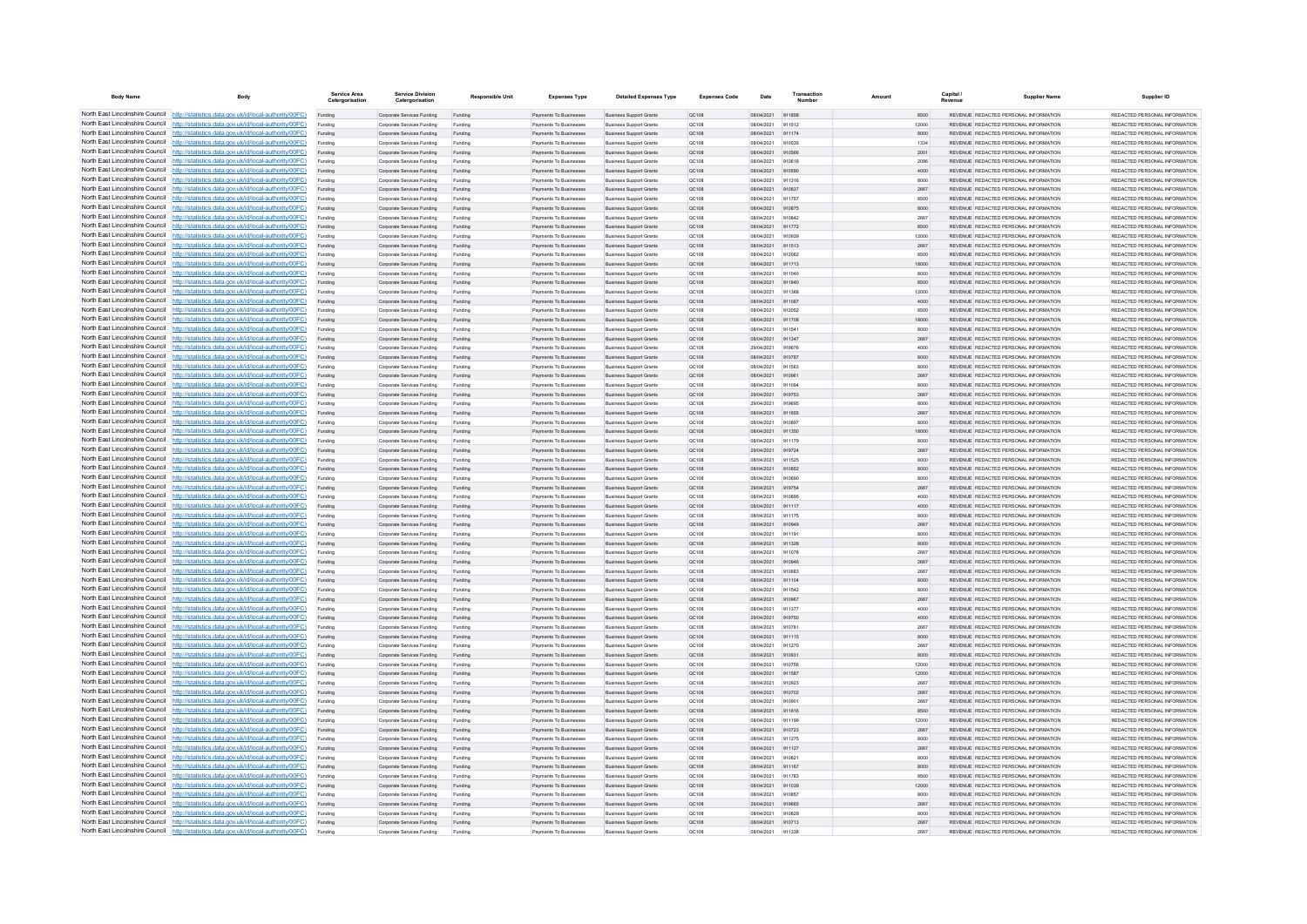| <b>Body Name</b>                | Body                                                                                                                                                                             | Service Area<br>Catergorisatio | <b>Service Division</b><br>Catergorisation               | <b>Responsible Unit</b> | <b>Expenses Type</b>                                    | <b>Detailed Expenses Type</b>                                    | <b>Expenses Code</b>  | Date                     | Transaction      | Amoun         | Capital / | <b>Supplier Name</b>                                                           | Supplier ID                                                    |
|---------------------------------|----------------------------------------------------------------------------------------------------------------------------------------------------------------------------------|--------------------------------|----------------------------------------------------------|-------------------------|---------------------------------------------------------|------------------------------------------------------------------|-----------------------|--------------------------|------------------|---------------|-----------|--------------------------------------------------------------------------------|----------------------------------------------------------------|
|                                 | North East Lincolnshire Council http://statistics.data.gov.uk/id/local-authority/00FC)                                                                                           | Funding                        | Corporate Services Funding                               | Funding                 | Payments To Businesses                                  | <b>Business Support Grants</b>                                   | <b>QC108</b>          | 08/04/2021 911858        |                  | 8500          |           | REVENUE REDACTED PERSONAL INFORMATION                                          | REDACTED PERSONAL INFORMATION                                  |
|                                 | North East Lincolnshire Council http://statistics.data.gov.uk/id/local-authority/00FC)                                                                                           | Funding                        | Corporate Services Funding                               | Funding                 | Payments To Businesses                                  | <b>Business Support Grants</b>                                   | QC108                 | 08/04/2021               | 911512           | 12000         |           | REVENUE REDACTED PERSONAL INFORMATION                                          | REDACTED PERSONAL INFORMATION                                  |
|                                 | North East Lincolnshire Council http://statistics.data.gov.uk/id/local-authority/00FC)                                                                                           | Funding                        | Corporate Services Funding                               | Funding                 | Payments To Businesser                                  | <b>Business Support Grants</b>                                   | QC108                 | 08/04/2021               | 911174           | 8000          |           | REVENUE REDACTED PERSONAL INFORMATION                                          | REDACTED PERSONAL INFORMATION                                  |
|                                 | North East Lincolnshire Council http://statistics.data.gov.uk/id/local-authority/00FC)<br>North East Lincolnshire Council http://statistics.data.gov.uk/id/local-authority/00FC) | Funding<br>Funding             | Comorate Services Funding<br>Corporate Services Funding  | Funding<br>Funding      | <b>Payments To Businesses</b><br>Payments To Businesses | <b>Business Sunnort Grants</b><br><b>Business Support Grants</b> | 00108<br>QC108        | 08/04/2021<br>08/04/2021 | 910535<br>910566 | 1334<br>2001  |           | REVENUE REDACTED PERSONAL INFORMATION<br>REVENUE REDACTED PERSONAL INFORMATION | REDACTED PERSONAL INFORMATION<br>REDACTED PERSONAL INFORMATION |
|                                 | North East Lincolnshire Council http://statistics.data.gov.uk/id/local-authority/00FC)                                                                                           | Funding                        | Corporate Services Funding                               | Funding                 | Payments To Businesses                                  | <b>Business Support Grants</b>                                   | QC108                 | 08/04/2021               | 910618           | 2096          |           | REVENUE REDACTED PERSONAL INFORMATION                                          | REDACTED PERSONAL INFORMATION                                  |
|                                 | North East Lincolnshire Council http://statistics.data.gov.uk/id/local-authority/00FC)                                                                                           | Funding                        | Corporate Services Funding                               | Funding                 | Payments To Businesses                                  | <b>Business Support Grants</b>                                   | QC108                 | 08/04/2021               | 910590           | 4000          |           | REVENUE REDACTED PERSONAL INFORMATION                                          | REDACTED PERSONAL INFORMATION                                  |
|                                 | North East Lincolnshire Council http://statistics.data.gov.uk/id/local-authority/00FC)                                                                                           | Funding                        | Corporate Services Funding                               | Funding                 | <b>Payments To Businesses</b>                           | <b>Business Support Grants</b>                                   | OC108                 | 08/04/2021               | 911316           | 8000          |           | REVENUE REDACTED PERSONAL INFORMATION                                          | REDACTED PERSONAL INFORMATION                                  |
| North East Lincolnshire Council | http://statistics.data.gov.uk/id/local-authority/00FC)                                                                                                                           | Funding                        | Corporate Services Funding                               | Funding                 | Payments To Businesses                                  | <b>Business Support Grants</b>                                   | OC108                 | 08/04/2021               | 910837           | 2667          |           | REVENUE REDACTED PERSONAL INFORMATION                                          | REDACTED PERSONAL INFORMATION                                  |
| North East Lincolnshire Council | http://statistics.data.gov.uk/id/local-authority/00FC)                                                                                                                           | Funding                        | Corporate Services Funding                               | Funding                 | Payments To Businesser                                  | <b>Business Support Grants</b>                                   | QC108                 | 08/04/2021               | 911757           | 8500          |           | REVENUE REDACTED PERSONAL INFORMATION                                          | REDACTED PERSONAL INFORMATION                                  |
|                                 | North East Lincolnshire Council http://statistics.data.gov.uk/id/local-authority/00FC)                                                                                           | Funding                        | Corporate Services Funding                               | Funding                 | Payments To Businesses                                  | <b>Business Support Grants</b>                                   | QC108                 | 08/04/2021               | 910875           | 8000          |           | <b>PEVENHE PEDACTED PERSONAL INFORMATION</b>                                   | <b>PEDACTED PERSONAL INFORMATION</b>                           |
|                                 | North East Lincolnshire Council http://statistics.data.gov.uk/id/local-authority/00FC)                                                                                           | Funding                        | Corporate Services Funding                               | Funding                 | <b>Payments To Businesses</b>                           | <b>Business Support Grants</b>                                   | QC108                 | 08/04/2021               | 910842           | 2667          |           | REVENUE REDACTED PERSONAL INFORMATION                                          | REDACTED PERSONAL INFORMATION                                  |
|                                 | North East Lincolnshire Council http://statistics.data.gov.uk/id/local-authority/00FC)                                                                                           | Funding                        | Corporate Services Funding                               | Funding                 | Payments To Businesses                                  | <b>Business Support Grants</b>                                   | <b>QC108</b>          | 08/04/2021               | 911772           | 8500          |           | REVENUE REDACTED PERSONAL INFORMATION                                          | REDACTED PERSONAL INFORMATION                                  |
|                                 | North East Lincolnshire Council http://statistics.data.gov.uk/id/local-authority/00FC)                                                                                           | Funding                        | Corporate Services Funding                               | Funding                 | Payments To Businesser                                  | <b>Business Support Grants</b>                                   | QC108                 | 08/04/2021               | 910939           | 12000         |           | REVENUE REDACTED PERSONAL INFORMATION                                          | REDACTED PERSONAL INFORMATION                                  |
| North East Lincolnshire Council | North East Lincolnshire Council http://statistics.data.gov.uk/id/local-authority/00FC)                                                                                           | Funding                        | Corporate Services Funding                               | Funding                 | Payments To Businesses                                  | <b>Business Support Grants</b>                                   | QC108                 | 08/04/2021               | 911513           | 2667          |           | REVENUE REDACTED PERSONAL INFORMATION                                          | REDACTED PERSONAL INFORMATION                                  |
| North East Lincolnshire Council | http://statistics.data.gov.uk/id/local-authority/00FC)<br>http://statistics.data.gov.uk/id/local-authority/00FC)                                                                 | Funding                        | Corporate Services Funding                               | Funding                 | Payments To Businesses<br>Payments To Businesses        | <b>Business Support Grants</b><br><b>Business Support Grants</b> | QC108                 | 08/04/2021<br>08/04/2021 | 912062<br>911713 | 8500<br>18000 |           | REVENUE REDACTED PERSONAL INFORMATION<br>REVENUE REDACTED PERSONAL INFORMATION | REDACTED PERSONAL INFORMATION<br>REDACTED PERSONAL INFORMATION |
|                                 | North East Lincolnshire Council http://statistics.data.gov.uk/id/local-authority/00FC)                                                                                           | Funding<br>Funding             | Corporate Services Funding<br>Corporate Services Funding | Funding<br>Funding      | Payments To Businesser                                  | <b>Business Support Grants</b>                                   | QC108<br>QC108        | 08/04/2021               | 911040           | 8000          |           | REVENUE REDACTED PERSONAL INFORMATION                                          | REDACTED PERSONAL INFORMATION                                  |
|                                 | North East Lincolnshire Council http://statistics.data.gov.uk/id/local-authority/00FC)                                                                                           | Funding                        | Cornorate Services Funding                               | Funding                 | <b>Payments To Businesses</b>                           | <b>Business Sunnort Grants</b>                                   | OC108                 | 08/04/2021               | 911840           | 8500          |           | REVENUE, REDACTED PERSONAL INFORMATION                                         | REDACTED PERSONAL INFORMATION                                  |
|                                 | North East Lincolnshire Council   http://statistics.data.gov.uk/id/local-authority/00FC)                                                                                         | Funding                        | Corporate Services Funding                               | Funding                 | Payments To Businesses                                  | <b>Business Support Grants</b>                                   | OC108                 | 08/04/2021               | 911368           | 12000         |           | REVENUE REDACTED PERSONAL INFORMATION                                          | REDACTED PERSONAL INFORMATION                                  |
|                                 | North East Lincolnshire Council http://statistics.data.gov.uk/id/local-authority/00FC)                                                                                           | Funding                        | Corporate Services Funding                               | Funding                 | Payments To Businesses                                  | <b>Business Support Grants</b>                                   | QC108                 | 08/04/2021               | 911087           | 4000          |           | REVENUE REDACTED PERSONAL INFORMATION                                          | REDACTED PERSONAL INFORMATION                                  |
|                                 | North East Lincolnshire Council   http://statistics.data.gov.uk/id/local-authority/00FC)                                                                                         | Funding                        | Corporate Services Funding                               | Funding                 | Payments To Businesses                                  | <b>Business Support Grants</b>                                   | QC108                 | 08/04/2021               | 912052           | 8500          |           | REVENUE REDACTED PERSONAL INFORMATION                                          | REDACTED PERSONAL INFORMATION                                  |
|                                 | North East Lincolnshire Council http://statistics.data.gov.uk/id/local-authority/00FC)                                                                                           | Funding                        | Corporate Services Funding                               | Funding                 | Payments To Businesses                                  | <b>Business Support Grants</b>                                   | QC108                 | 08/04/2021               | 911708           | 18000         |           | REVENUE REDACTED PERSONAL INFORMATION                                          | REDACTED PERSONAL INFORMATION                                  |
| North East Lincolnshire Council | http://statistics.data.gov.uk/id/local-authority/00FC)                                                                                                                           | Funding                        | Corporate Services Funding                               | Funding                 | Payments To Businesses                                  | <b>Business Support Grants</b>                                   | QC108                 | 08/04/2021               | 91154            | 8000          |           | REVENUE REDACTED PERSONAL INFORMATION                                          | REDACTED PERSONAL INFORMATION                                  |
|                                 | North East Lincolnshire Council http://statistics.data.gov.uk/id/local-authority/00FC)                                                                                           | Funding                        | Corporate Services Funding                               | Funding                 | Payments To Businesses                                  | <b>Business Support Grants</b>                                   | QC108                 | 08/04/2021               | 911347           | 2667          |           | REVENUE REDACTED PERSONAL INFORMATION                                          | REDACTED PERSONAL INFORMATION                                  |
|                                 | North East Lincolnshire Council http://statistics.data.gov.uk/id/local-authority/00FC)                                                                                           | Funding                        | Corporate Services Funding                               | Funding                 | Payments To Businesses                                  | <b>Business Support Grants</b>                                   | QC108                 | 29/04/2021               | 919676           | 4000          |           | REVENUE REDACTED PERSONAL INFORMATION                                          | REDACTED PERSONAL INFORMATION                                  |
|                                 | North East Lincolnshire Council http://statistics.data.gov.uk/id/local-authority/00FC)                                                                                           | Funding                        | Corporate Services Funding                               | Funding                 | Payments To Businesses                                  | <b>Business Support Grants</b>                                   | QC108                 | 08/04/2021               | 910787           | 8000          |           | REVENUE REDACTED PERSONAL INFORMATION                                          | REDACTED PERSONAL INFORMATION                                  |
|                                 | North East Lincolnshire Council http://statistics.data.gov.uk/id/local-authority/00FC)                                                                                           | Funding                        | Corporate Services Funding                               | Funding                 | Payments To Businesses                                  | <b>Business Support Grants</b>                                   | QC108                 | 08/04/2021               | 911563           | 8000          |           | REVENUE REDACTED PERSONAL INFORMATION                                          | REDACTED PERSONAL INFORMATION                                  |
|                                 | North East Lincolnshire Council http://statistics.data.gov.uk/id/local-authority/00FC)                                                                                           | Funding                        | Corporate Services Funding                               | Funding                 | Payments To Businesses                                  | <b>Business Support Grants</b>                                   | QC108                 | 08/04/2021               | 91096            | 2667          |           | REVENUE REDACTED PERSONAL INFORMATION                                          | REDACTED PERSONAL INFORMATION                                  |
|                                 | North East Lincolnshire Council http://statistics.data.gov.uk/id/local-authority/00FC)                                                                                           | Funding                        | Corporate Services Funding                               | Funding                 | Payments To Businesses                                  | <b>Business Support Grants</b>                                   | OC108                 | 08/04/2021               | 911094           | 8000          |           | REVENUE REDACTED PERSONAL INFORMATION                                          | REDACTED PERSONAL INFORMATION                                  |
| North East Lincolnshire Council | http://statistics.data.gov.uk/id/local-authority/00FC)                                                                                                                           | Funding                        | Corporate Services Funding                               | Funding                 | Payments To Businesses                                  | <b>Business Support Grants</b>                                   | QC108                 | 29/04/2021               | 919753           | 2667          |           | REVENUE REDACTED PERSONAL INFORMATION                                          | REDACTED PERSONAL INFORMATION                                  |
| North East Lincolnshire Council | http://statistics.data.gov.uk/id/local-authority/00FC)<br>North East Lincolnshire Council http://statistics.data.gov.uk/id/local-authority/00FC)                                 | Funding                        | Corporate Services Funding                               | Funding                 | Payments To Businesser                                  | <b>Business Support Grants</b>                                   | QC108                 | 29/04/2021               | 91969<br>911655  | 8000          |           | REVENUE REDACTED PERSONAL INFORMATION<br>REVENUE REDACTED PERSONAL INFORMATION | REDACTED PERSONAL INFORMATION<br>REDACTED PERSONAL INFORMATION |
|                                 | North East Lincolnshire Council http://statistics.data.gov.uk/id/local-authority/00FC)                                                                                           | Funding                        | Corporate Services Funding                               | Funding                 | Payments To Businesser                                  | <b>Business Support Grants</b>                                   | QC108                 | 08/04/2021<br>08/04/2021 | 910897           | 2667          |           | <b>PEVENHE PEDACTED PERSONAL INFORMATION</b>                                   | REDACTED PERSONAL INFORMATION                                  |
|                                 | North East Lincolnshire Council http://statistics.data.gov.uk/id/local-authority/00FC)                                                                                           | Funding<br>Funding             | Corporate Services Funding<br>Corporate Services Funding | Funding<br>Funding      | Payments To Businesser<br>Payments To Businesses        | <b>Business Support Grants</b><br><b>Business Support Grants</b> | QC108<br><b>QC108</b> | 08/04/2021               | 911350           | 8000<br>18000 |           | REVENUE REDACTED PERSONAL INFORMATION                                          | REDACTED PERSONAL INFORMATION                                  |
|                                 | North East Lincolnshire Council http://statistics.data.gov.uk/id/local-authority/00FC)                                                                                           | Funding                        | Corporate Services Funding                               | Funding                 | Payments To Businesses                                  | <b>Business Support Grants</b>                                   | <b>QC108</b>          | 08/04/2021               | 911179           | 8000          |           | REVENUE REDACTED PERSONAL INFORMATION                                          | REDACTED PERSONAL INFORMATION                                  |
|                                 | North East Lincolnshire Council http://statistics.data.gov.uk/id/local-authority/00FC)                                                                                           | Funding                        | Corporate Services Funding                               | Funding                 | Payments To Businesses                                  | <b>Business Support Grants</b>                                   | QC108                 | 29/04/2021               | 919724           | 2667          |           | REVENUE REDACTED PERSONAL INFORMATION                                          | REDACTED PERSONAL INFORMATION                                  |
|                                 | North East Lincolnshire Council http://statistics.data.gov.uk/id/local-authority/00FC)                                                                                           | Funding                        | Corporate Services Funding                               | Funding                 | Payments To Businesses                                  | <b>Business Support Grants</b>                                   | QC108                 | 08/04/2021               | 911525           | 8000          |           | REVENUE REDACTED PERSONAL INFORMATION                                          | REDACTED PERSONAL INFORMATION                                  |
| North East Lincolnshire Council | http://statistics.data.gov.uk/id/local-authority/00FC)                                                                                                                           | Funding                        | Corporate Services Funding                               | Funding                 | Payments To Businesses                                  | <b>Business Support Grants</b>                                   | QC108                 | 08/04/2021               | 910852           | 8000          |           | REVENUE REDACTED PERSONAL INFORMATION                                          | REDACTED PERSONAL INFORMATION                                  |
|                                 | North East Lincolnshire Council http://statistics.data.gov.uk/id/local-authority/00FC)                                                                                           | Funding                        | Corporate Services Funding                               | Funding                 | Payments To Businesses                                  | <b>Business Support Grants</b>                                   | QC108                 | 08/04/2021               | 91069            | 8000          |           | REVENUE REDACTED PERSONAL INFORMATION                                          | REDACTED PERSONAL INFORMATION                                  |
|                                 | North East Lincolnshire Council http://statistics.data.gov.uk/id/local-authority/00FC)                                                                                           |                                | Corporate Services Funding                               | Funding                 | Payments To Businesses                                  | <b>Business Support Grants</b>                                   | QC108                 | 29/04/2021               | 919754           | 2667          |           | REVENUE REDACTED PERSONAL INFORMATION                                          | REDACTED PERSONAL INFORMATION                                  |
|                                 | North East Lincolnshire Council http://statistics.data.gov.uk/id/local-authority/00FC)                                                                                           | Funding                        | Comorate Services Funding                                | Funding                 | <b>Payments To Businesses</b>                           | <b>Business Support Grants</b>                                   | OC108                 | 08/04/2021               | 910895           | 4000          |           | REVENUE REDACTED PERSONAL INFORMATION                                          | REDACTED PERSONAL INFORMATION                                  |
|                                 | North East Lincolnshire Council http://statistics.data.gov.uk/id/local-authority/00FC)                                                                                           | Funding                        | Corporate Services Funding                               | Funding                 | Payments To Businesses                                  | <b>Business Support Grants</b>                                   | <b>QC108</b>          | 08/04/2021               | 911117           | 4000          |           | REVENUE REDACTED PERSONAL INFORMATION                                          | REDACTED PERSONAL INFORMATION                                  |
|                                 | North East Lincolnshire Council http://statistics.data.gov.uk/id/local-authority/00FC)                                                                                           | Funding                        | Corporate Services Funding                               | Funding                 | Payments To Businesses                                  | <b>Business Support Grants</b>                                   | QC108                 | 08/04/2021               | 911175           | 8000          |           | REVENUE REDACTED PERSONAL INFORMATION                                          | REDACTED PERSONAL INFORMATION                                  |
|                                 | North East Lincolnshire Council http://statistics.data.gov.uk/id/local-authority/00FC)                                                                                           | Funding                        | Corporate Services Funding                               | Funding                 | Payments To Businesses                                  | <b>Business Support Grants</b>                                   | QC108                 | 08/04/2021               | 910949           | 2667          |           | REVENUE REDACTED PERSONAL INFORMATION                                          | REDACTED PERSONAL INFORMATION                                  |
| North East Lincolnshire Council | http://statistics.data.gov.uk/id/local-authority/00EC)                                                                                                                           | Funding                        | Corporate Services Funding                               | Funding                 | Payments To Businesse                                   | <b>Business Support Grants</b>                                   | OC108                 | 08/04/2021               | 911191           | 8000          |           | REVENUE REDACTED PERSONAL INFORMATION                                          | REDACTED PERSONAL INFORMATION                                  |
|                                 | North East Lincolnshire Council http://statistics.data.gov.uk/id/local-authority/00FC)<br>North East Lincolnshire Council http://statistics.data.gov.uk/id/local-authority/00FC) | Funding                        | Corporate Services Funding                               | Funding                 | Payments To Businesses                                  | <b>Business Support Grants</b>                                   | QC108                 | 08/04/2021               | 911328           | 8000          |           | REVENUE REDACTED PERSONAL INFORMATION                                          | REDACTED PERSONAL INFORMATION                                  |
|                                 | North East Lincolnshire Council http://statistics.data.gov.uk/id/local-authority/00FC)                                                                                           | Funding                        | Corporate Services Funding                               | Funding                 | Payments To Businesse<br>Payments To Businesses         | <b>Business Support Grants</b>                                   | QC108                 | 08/04/2021<br>08/04/2021 | 911078<br>910946 | 2667          |           | REVENUE REDACTED PERSONAL INFORMATION<br>REVENUE REDACTED PERSONAL INFORMATION | REDACTED PERSONAL INFORMATION<br>REDACTED PERSONAL INFORMATION |
|                                 | North East Lincolnshire Council http://statistics.data.gov.uk/id/local-authority/00FC)                                                                                           | Funding<br>Funding             | Corporate Services Funding<br>Corporate Services Funding | Funding<br>Funding      | Payments To Businesses                                  | <b>Business Support Grants</b><br><b>Business Support Grants</b> | QC108<br><b>QC108</b> | 08/04/2021               | 910683           | 2667<br>2667  |           | REVENUE REDACTED PERSONAL INFORMATION                                          | REDACTED PERSONAL INFORMATION                                  |
|                                 | North East Lincolnshire Council http://statistics.data.gov.uk/id/local-authority/00FC)                                                                                           | Funding                        | Corporate Services Funding                               | Funding                 | Payments To Businesses                                  | <b>Business Support Grants</b>                                   | <b>QC108</b>          | 08/04/2021 911104        |                  | 8000          |           | REVENUE REDACTED PERSONAL INFORMATION                                          | REDACTED PERSONAL INFORMATION                                  |
|                                 | North East Lincolnshire Council http://statistics.data.gov.uk/id/local-authority/00FC)                                                                                           | Funding                        | Corporate Services Funding                               | Funding                 | Payments To Businesses                                  | <b>Business Support Grants</b>                                   | QC108                 | 08/04/2021               | 911542           | 8000          |           | REVENUE REDACTED PERSONAL INFORMATION                                          | REDACTED PERSONAL INFORMATION                                  |
|                                 | North East Lincolnshire Council http://statistics.data.gov.uk/id/local-authority/00FC)                                                                                           | Funding                        | Corporate Services Funding                               | Funding                 | Payments To Businesses                                  | <b>Business Support Grants</b>                                   | QC108                 | 08/04/2021               | 910967           | 2667          |           | REVENUE REDACTED PERSONAL INFORMATION                                          | REDACTED PERSONAL INFORMATION                                  |
| North East Lincolnshire Council | http://statistics.data.gov.uk/id/local-authority/00EC)                                                                                                                           | Funding                        | Corporate Services Funding                               | Funding                 | Payments To Businesses                                  | <b>Business Support Grants</b>                                   | QC108                 | 08/04/2021               | 911377           | 4000          |           | REVENUE REDACTED PERSONAL INFORMATION                                          | REDACTED PERSONAL INFORMATION                                  |
|                                 | North East Lincolnshire Council http://statistics.data.gov.uk/id/local-authority/00FC)                                                                                           | Funding                        | Corporate Services Funding                               | Funding                 | Payments To Businesses                                  | <b>Business Support Grants</b>                                   | QC108                 | 29/04/2021               | 919750           | 4000          |           | REVENUE REDACTED PERSONAL INFORMATION                                          | REDACTED PERSONAL INFORMATION                                  |
|                                 | North East Lincolnshire Council http://statistics.data.gov.uk/id/local-authority/00FC)                                                                                           |                                | Corporate Services Funding                               | Funding                 | Payments To Businesser                                  | <b>Business Support Grants</b>                                   | QC108                 | 08/04/2021               | 910781           | 2667          |           | REVENUE REDACTED PERSONAL INFORMATION                                          | REDACTED PERSONAL INFORMATION                                  |
|                                 | North East Lincolnshire Council http://statistics.data.gov.uk/id/local-authority/00FC)                                                                                           | Funding                        | Corporate Services Funding                               | Funding                 | Payments To Businesses                                  | <b>Business Support Grants</b>                                   | OC108                 | 08/04/2021               | 911115           | 8000          |           | REVENUE REDACTED PERSONAL INFORMATION                                          | REDACTED PERSONAL INFORMATION                                  |
|                                 | North East Lincolnshire Council http://statistics.data.gov.uk/id/local-authority/00FC)                                                                                           | Funding                        | Corporate Services Funding                               | Funding                 | Payments To Businesses                                  | <b>Business Support Grants</b>                                   | OC108                 | 08/04/2021               | 911270           | 2667          |           | REVENUE REDACTED PERSONAL INFORMATION                                          | REDACTED PERSONAL INFORMATION                                  |
|                                 | North East Lincolnshire Council http://statistics.data.gov.uk/id/local-authority/00FC)                                                                                           | Funding                        | Corporate Services Funding                               | Funding                 | Payments To Businesses                                  | <b>Business Support Grants</b>                                   | QC108                 | 08/04/2021               | 91093            | 8000          |           | REVENUE REDACTED PERSONAL INFORMATION                                          | REDACTED PERSONAL INFORMATION                                  |
|                                 | North East Lincolnshire Council http://statistics.data.gov.uk/id/local-authority/00FC)                                                                                           | Funding                        | Corporate Services Funding                               | Funding                 | Payments To Businesser                                  | <b>Business Support Grants</b>                                   | QC108                 | 08/04/2021               | 910756           | 12000         |           | REVENUE REDACTED PERSONAL INFORMATION                                          | REDACTED PERSONAL INFORMATION                                  |
| North East Lincolnshire Council | http://statistics.data.gov.uk/id/local-authority/00FC)                                                                                                                           | Funding                        | Corporate Services Funding                               | Funding                 | Payments To Businesses                                  | <b>Business Support Grants</b>                                   | QC108                 | 08/04/2021               | 911587           | 12000         |           | REVENUE REDACTED PERSONAL INFORMATION                                          | REDACTED PERSONAL INFORMATION                                  |
|                                 | North East Lincolnshire Council http://statistics.data.gov.uk/id/local-authority/00FC)<br>North East Lincolnshire Council http://statistics.data.gov.uk/id/local-authority/00FC) | Funding                        | Corporate Services Funding                               | Funding                 | Payments To Businesser                                  | <b>Business Support Grants</b>                                   | QC108                 | 08/04/2021               | 910923           | 2667          |           | REVENUE REDACTED PERSONAL INFORMATION                                          | REDACTED PERSONAL INFORMATION                                  |
|                                 | North East Lincolnshire Council http://statistics.data.gov.uk/id/local-authority/00FC)                                                                                           | Funding                        | Corporate Services Funding<br>Comorate Services Funding  | Funding                 | Payments To Businesser<br>Payments To Businessee        | <b>Business Support Grants</b>                                   | QC108<br>00108        | 08/04/2021<br>08/04/2021 | 910702<br>910901 | 2667<br>2667  |           | REVENUE REDACTED PERSONAL INFORMATION<br>REVENUE REDACTED PERSONAL INFORMATION | REDACTED PERSONAL INFORMATION<br>REDACTED PERSONAL INFORMATION |
|                                 | North East Lincolnshire Council http://statistics.data.gov.uk/id/local-authority/00FC)                                                                                           | Funding                        |                                                          | Funding                 |                                                         | <b>Business Support Grants</b>                                   |                       |                          |                  |               |           | REVENUE REDACTED PERSONAL INFORMATION                                          | REDACTED PERSONAL INFORMATION                                  |
|                                 | North East Lincolnshire Council http://statistics.data.gov.uk/id/local-authority/00FC)                                                                                           | Funding<br>Funding             | Corporate Services Funding<br>Corporate Services Funding | Funding<br>Funding      | Payments To Businesses<br>Payments To Businesses        | <b>Business Support Grants</b><br><b>Business Support Grants</b> | <b>QC108</b><br>QC108 | 08/04/2021<br>08/04/2021 | 911816<br>911199 | 8500<br>12000 |           | REVENUE REDACTED PERSONAL INFORMATION                                          | REDACTED PERSONAL INFORMATION                                  |
|                                 | North East Lincolnshire Council http://statistics.data.gov.uk/id/local-authority/00FC)                                                                                           | Funding                        | Corporate Services Funding                               | Funding                 | Payments To Businesses                                  | <b>Business Support Grants</b>                                   | QC108                 | 08/04/2021               | 910723           | 2667          |           | REVENUE REDACTED PERSONAL INFORMATION                                          | REDACTED PERSONAL INFORMATION                                  |
|                                 | North East Lincolnshire Council http://statistics.data.gov.uk/id/local-authority/00FC)                                                                                           | Funding                        | Corporate Services Funding                               | Funding                 | Payments To Businesses                                  | <b>Business Support Grants</b>                                   | OC108                 | 08/04/2021               | 911275           | 8000          |           | REVENUE REDACTED PERSONAL INFORMATION                                          | REDACTED PERSONAL INFORMATION                                  |
| North East Lincolnshire Council | http://statistics.data.gov.uk/id/local-authority/00EC)                                                                                                                           | Funding                        | Corporate Services Funding                               | Funding                 | Payments To Businesses                                  | <b>Business Support Grants</b>                                   | QC108                 | 08/04/2021               | 911127           | 2667          |           | REVENUE REDACTED PERSONAL INFORMATION                                          | REDACTED PERSONAL INFORMATION                                  |
|                                 | North East Lincolnshire Council http://statistics.data.gov.uk/id/local-authority/00FC)                                                                                           | Funding                        | Corporate Services Funding                               | Funding                 | Payments To Businesses                                  | <b>Business Support Grants</b>                                   | QC108                 | 08/04/2021               | 91082            | 8000          |           | REVENUE REDACTED PERSONAL INFORMATION                                          | REDACTED PERSONAL INFORMATION                                  |
|                                 | North East Lincolnshire Council http://statistics.data.gov.uk/id/local-authority/00FC)                                                                                           | Funding                        | Corporate Services Funding                               | Funding                 | Payments To Businesses                                  | <b>Business Support Grants</b>                                   | QC108                 | 08/04/2021               | 911167           | 8000          |           | REVENUE REDACTED PERSONAL INFORMATION                                          | REDACTED PERSONAL INFORMATION                                  |
|                                 | North East Lincolnshire Council http://statistics.data.gov.uk/id/local-authority/00FC)                                                                                           | Funding                        | Corporate Services Funding                               | Funding                 | Payments To Businesses                                  | <b>Business Support Grants</b>                                   | QC108                 | 08/04/2021               | 911783           | 8500          |           | REVENUE REDACTED PERSONAL INFORMATION                                          | REDACTED PERSONAL INFORMATION                                  |
|                                 | North East Lincolnshire Council http://statistics.data.gov.uk/id/local-authority/00FC)                                                                                           | Funding                        | Corporate Services Funding                               | Funding                 | Payments To Businesses                                  | <b>Business Support Grants</b>                                   | QC108                 | 08/04/2021               | 911039           | 12000         |           | REVENUE REDACTED PERSONAL INFORMATION                                          | REDACTED PERSONAL INFORMATION                                  |
|                                 | North East Lincolnshire Council http://statistics.data.gov.uk/id/local-authority/00FC)                                                                                           | Funding                        | Corporate Services Funding                               | Funding                 | Payments To Businesses                                  | <b>Business Support Grants</b>                                   | QC108                 | 08/04/2021               | 91085            | 8000          |           | REVENUE REDACTED PERSONAL INFORMATION                                          | REDACTED PERSONAL INFORMATION                                  |
|                                 | North East Lincolnshire Council http://statistics.data.gov.uk/id/local-authority/00FC)                                                                                           | Funding                        | Corporate Services Funding                               | Funding                 | Payments To Businesses                                  | <b>Business Support Grants</b>                                   | QC108                 | 29/04/2021               | 919665           | 2667          |           | REVENUE REDACTED PERSONAL INFORMATION                                          | REDACTED PERSONAL INFORMATION                                  |
|                                 | North East Lincolnshire Council http://statistics.data.gov.uk/id/local-authority/00FC)                                                                                           | Funding                        | Corporate Services Funding                               | Funding                 | Payments To Businesses                                  | <b>Business Support Grants</b>                                   | QC108                 | 08/04/2021               | 910829           | 8000          |           | REVENUE REDACTED PERSONAL INFORMATION                                          | REDACTED PERSONAL INFORMATION                                  |
|                                 | North East Lincolnshire Council http://statistics.data.gov.uk/id/local-authority/00FC)                                                                                           | Funding                        | Corporate Services Funding                               | Funding                 | Payments To Businesses                                  | <b>Business Support Grants</b>                                   | QC108                 | 08/04/2021               | 910713           | 2667          |           | REVENUE REDACTED PERSONAL INFORMATION                                          | REDACTED PERSONAL INFORMATION                                  |
|                                 | North East Lincolnshire Council http://statistics.data.gov.uk/id/local-authority/00FC)                                                                                           |                                | Corporate Services Funding                               | Funding                 | Payments To Businesser                                  | <b>Business Support Grants</b>                                   | QC108                 | 08/04/2021               | 911338           | 2667          |           | REVENUE REDACTED PERSONAL INFORMATION                                          | REDACTED PERSONAL INFORMATION                                  |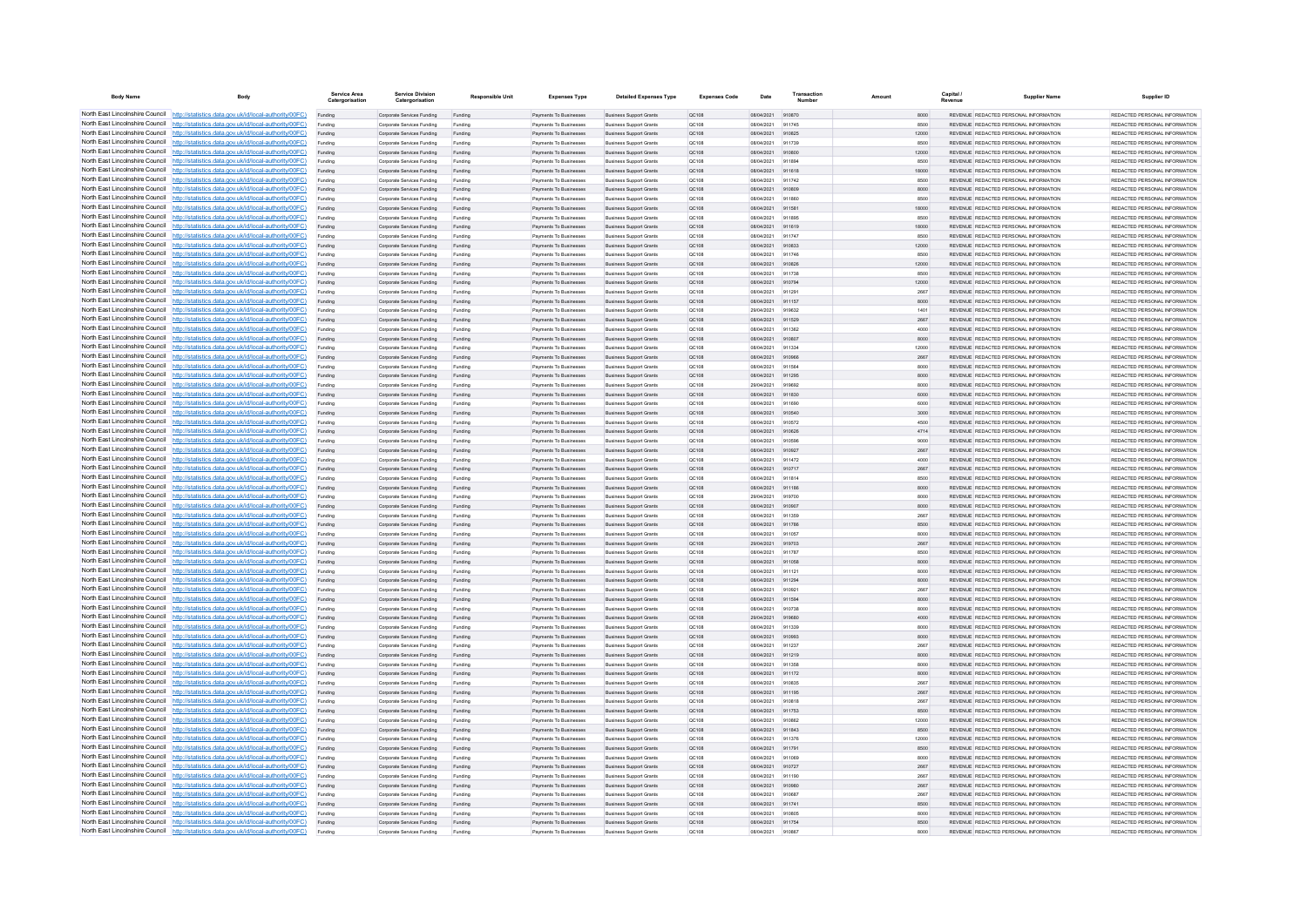| <b>Body Name</b>                                                   | Body                                                                                                                                                                             | Service Area<br>Catergorisation | <b>Service Division</b><br>Catergorisation               | <b>Responsible Unit</b> | <b>Expenses Type</b>                             | <b>Detailed Expenses Type</b>                                    | <b>Expenses Code</b> | Date                     | Transactic       | Amount | Capital<br>Revenue | <b>Supplier Name</b>                                                            | Supplier ID                                                      |
|--------------------------------------------------------------------|----------------------------------------------------------------------------------------------------------------------------------------------------------------------------------|---------------------------------|----------------------------------------------------------|-------------------------|--------------------------------------------------|------------------------------------------------------------------|----------------------|--------------------------|------------------|--------|--------------------|---------------------------------------------------------------------------------|------------------------------------------------------------------|
|                                                                    | North East Lincolnshire Council http://statistics.data.gov.uk/id/local-authority/00FC)                                                                                           | Funding                         | Corporate Services Funding                               | Funding                 | Payments To Businesses                           | <b>Business Support Grants</b>                                   | QC108                | 08/04/2021               | 910870           |        | 8000               | REVENUE REDACTED PERSONAL INFORMATION                                           | REDACTED PERSONAL INFORMATION                                    |
|                                                                    | North East Lincolnshire Council http://statistics.data.gov.uk/id/local-authority/00FC)                                                                                           |                                 | Corporate Services Funding                               |                         | Payments To Businessee                           | <b>Business Support Grant</b>                                    | QC108                | 08/04/2021               | 911745           |        | 8500               | REVENUE REDACTED PERSONAL INFORMATION                                           | REDACTED PERSONAL INFORMATION                                    |
|                                                                    | North East Lincolnshire Council http://statistics.data.gov.uk/id/local-authority/00FC)                                                                                           | Funding                         | Corporate Services Funding                               | Funding                 | Payments To Businesses                           | <b>Business Support Grants</b>                                   | QC108                | 08/04/2021               | 910825           |        | 12000              | REVENUE REDACTED PERSONAL INFORMATION                                           | REDACTED PERSONAL INFORMATION                                    |
|                                                                    | North East Lincolnshire Council http://statistics.data.gov.uk/id/local-authority/00FC)                                                                                           | Funding                         | Corporate Services Funding                               | Funding                 | Payments To Businesses                           | <b>Business Support Grants</b>                                   | OC108                | 08/04/2021               | 911739           |        | 8500               | REVENUE REDACTED PERSONAL INFORMATION                                           | REDACTED PERSONAL INFORMATION                                    |
|                                                                    | North East Lincolnshire Council http://statistics.data.gov.uk/id/local-authority/00FC)                                                                                           | Funding                         | Corporate Services Funding                               | Funding                 | Payments To Businesses                           | <b>Business Support Grants</b>                                   | QC108                | 08/04/2021               | 910800           |        | 12000              | REVENUE REDACTED PERSONAL INFORMATION<br>REVENUE REDACTED PERSONAL INFORMATION  | REDACTED PERSONAL INFORMATION                                    |
|                                                                    | North East Lincolnshire Council http://statistics.data.gov.uk/id/local-authority/00FC)<br>North East Lincolnshire Council http://statistics.data.gov.uk/id/local-authority/00FC) | Funding                         | Corporate Services Funding<br>Corporate Services Funding | Funding                 | Payments To Businesses<br>Payments To Businesses | <b>Business Support Grants</b><br><b>Business Support Grants</b> | QC108<br>OC108       | 08/04/2021<br>08/04/2021 | 911894<br>911618 |        | 8500<br>18000      | REVENUE, REDACTED PERSONAL INFORMATION                                          | REDACTED PERSONAL INFORMATION<br>REDACTED PERSONAL INFORMATION.  |
| North East Lincolnshire Council                                    | http://statistics.data.gov.uk/id/local-authority/00FC)                                                                                                                           | Funding<br>Funding              | Corporate Services Funding                               | Funding<br>Funding      | Payments To Businesses                           | <b>Business Support Grants</b>                                   | OC108                | 08/04/2021               | 911742           |        | 8500               | REVENUE REDACTED PERSONAL INFORMATION                                           | REDACTED PERSONAL INFORMATION                                    |
| North East Lincolnshire Council                                    | http://statistics.data.gov.uk/id/local-authority/00FC)                                                                                                                           | Funding                         | Corporate Services Funding                               | Funding                 | Payments To Businesses                           | <b>Business Support Grants</b>                                   | QC108                | 08/04/2021               |                  |        | 8000               | REVENUE REDACTED PERSONAL INFORMATION                                           | REDACTED PERSONAL INFORMATION                                    |
|                                                                    | North East Lincolnshire Council http://statistics.data.gov.uk/id/local-authority/00FC)                                                                                           |                                 | Corporate Services Funding                               | Funding                 | Payments To Businessee                           | <b>Business Support Grants</b>                                   | QC108                | 08/04/2021               | 911860           |        | 8500               | REVENUE REDACTED PERSONAL INFORMATION                                           | REDACTED PERSONAL INFORMATION.                                   |
|                                                                    | North East Lincolnshire Council http://statistics.data.gov.uk/id/local-authority/00FC)                                                                                           | Funding                         | Comorate Services Funding                                | Funding                 | <b>Payments To Businesses</b>                    | <b>Business Sunnort Grants</b>                                   | OC108                | 08/04/2021               | 911581           |        | 18000              | REVENUE, REDACTED PERSONAL INFORMATION                                          | REDACTED PERSONAL INFORMATION.                                   |
|                                                                    | North East Lincolnshire Council http://statistics.data.gov.uk/id/local-authority/00FC)                                                                                           | Funding                         | Corporate Services Funding                               | Funding                 | Payments To Businesses                           | <b>Business Support Grants</b>                                   | OC108                | 08/04/2021               | 911895           |        | 8500               | REVENUE REDACTED PERSONAL INFORMATION                                           | REDACTED PERSONAL INFORMATION                                    |
|                                                                    | North East Lincolnshire Council http://statistics.data.gov.uk/id/local-authority/00FC)                                                                                           | Funding                         | Corporate Services Funding                               | Funding                 | Payments To Businesses                           | <b>Business Support Grants</b>                                   | QC108                | 08/04/2021               | 911619           |        | 18000              | REVENUE REDACTED PERSONAL INFORMATION                                           | REDACTED PERSONAL INFORMATION                                    |
|                                                                    | North East Lincolnshire Council http://statistics.data.gov.uk/id/local-authority/00FC)                                                                                           | Funding                         | Corporate Services Funding                               | Funding                 | Payments To Businessee                           | <b>Business Support Grants</b>                                   | QC108                | 08/04/2021               | 911747           |        | 8500               | REVENUE REDACTED PERSONAL INFORMATION                                           | REDACTED PERSONAL INFORMATION                                    |
| North East Lincolnshire Council                                    | http://statistics.data.gov.uk/id/local-authority/00FC)                                                                                                                           | Funding                         | Corporate Services Funding                               | Funding                 | Payments To Businesses                           | <b>Business Support Grants</b>                                   | QC108                | 08/04/2021               | 910833           |        | 12000              | REVENUE REDACTED PERSONAL INFORMATION                                           | REDACTED PERSONAL INFORMATION                                    |
| North East Lincolnshire Council                                    | http://statistics.data.gov.uk/id/local-authority/00FC)                                                                                                                           | Funding                         | Corporate Services Funding                               | Funding                 | Payments To Businessee                           | Business Support Grants                                          | QC108                | 08/04/2021<br>08/04/2021 | 911746<br>910826 |        | 8500               | REVENUE REDACTED PERSONAL INFORMATION<br>REVENUE REDACTED PERSONAL INFORMATION  | REDACTED PERSONAL INFORMATION<br>REDACTED PERSONAL INFORMATION   |
|                                                                    | North East Lincolnshire Council http://statistics.data.gov.uk/id/local-authority/00FC)<br>North East Lincolnshire Council http://statistics.data.gov.uk/id/local-authority/00FC) | Funding<br>Funding              | Corporate Services Funding<br>Comorate Services Funding  | Funding<br>Funding      | Payments To Businessee<br>Payments To Businesses | <b>Business Support Grants</b><br><b>Business Sunnort Grants</b> | QC108<br>OC108       | 08/04/2021               | 911738           |        | 12000<br>8500      | REVENUE, REDACTED PERSONAL INFORMATION                                          | REDACTED PERSONAL INFORMATION.                                   |
|                                                                    | North East Lincolnshire Council http://statistics.data.gov.uk/id/local-authority/00FC)                                                                                           | Funding                         | Corporate Services Funding                               | Funding                 | Payments To Businesses                           | <b>Business Support Grants</b>                                   | QC108                | 08/04/2021               | 910794           |        | 12000              | REVENUE REDACTED PERSONAL INFORMATION                                           | REDACTED PERSONAL INFORMATION                                    |
|                                                                    | North East Lincolnshire Council http://statistics.data.gov.uk/id/local-authority/00FC)                                                                                           | Funding                         | Corporate Services Funding                               | Funding                 | Payments To Businesses                           | <b>Business Support Grants</b>                                   | OC108                | 08/04/2021               | 911291           |        | 2667               | REVENUE REDACTED PERSONAL INFORMATION                                           | REDACTED PERSONAL INFORMATION                                    |
|                                                                    | North East Lincolnshire Council http://statistics.data.gov.uk/id/local-authority/00FC)                                                                                           | Funding                         | Corporate Services Funding                               | Funding                 | Payments To Businesses                           | <b>Business Support Grants</b>                                   | QC108                | 08/04/2021               | 911157           |        | 8000               | REVENUE REDACTED PERSONAL INFORMATION                                           | REDACTED PERSONAL INFORMATION                                    |
| North East Lincolnshire Council                                    | http://statistics.data.gov.uk/id/local-authority/00FC)                                                                                                                           | Funding                         | Comorate Services Funding                                | Funding                 | <b>Payments To Businesses</b>                    | <b>Business Sunnort Grants</b>                                   | OC108                | 29/04/2021               | 919632           |        | 1401               | REVENUE REDACTED PERSONAL INFORMATION                                           | REDACTED PERSONAL INFORMATION.                                   |
| North East Lincolnshire Council                                    | http://statistics.data.gov.uk/id/local-authority/00FC)                                                                                                                           | Funding                         | Corporate Services Funding                               | Funding                 | Payments To Businesses                           | <b>Business Support Grants</b>                                   | OC108                | 08/04/2021               | 911529           |        | 2667               | REVENUE REDACTED PERSONAL INFORMATION                                           | REDACTED PERSONAL INFORMATION                                    |
| North East Lincolnshire Council                                    | http://statistics.data.gov.uk/id/local-authority/00FC)                                                                                                                           | Funding                         | Corporate Services Funding                               | Funding                 | Payments To Businessee                           | <b>Business Support Grants</b>                                   | QC108                | 08/04/2021               | 911362           |        | 4000               | REVENUE REDACTED PERSONAL INFORMATION                                           | REDACTED PERSONAL INFORMATION                                    |
|                                                                    | North East Lincolnshire Council http://statistics.data.gov.uk/id/local-authority/00FC)                                                                                           | Funding                         | Corporate Services Funding                               | Funding                 | Payments To Businesses                           | <b>Business Support Grants</b>                                   | QC108                | 08/04/2021               | 910807           |        | 8000               | REVENUE REDACTED PERSONAL INFORMATION                                           | REDACTED PERSONAL INFORMATION                                    |
|                                                                    | North East Lincolnshire Council http://statistics.data.gov.uk/id/local-authority/00FC)                                                                                           | Funding                         | Corporate Services Funding                               | Funding                 | Payments To Businesses                           | <b>Business Support Grants</b>                                   | OC108                | 08/04/2021               | 911334           |        | 12000              | REVENUE REDACTED PERSONAL INFORMATION                                           | REDACTED PERSONAL INFORMATION                                    |
|                                                                    | North East Lincolnshire Council http://statistics.data.gov.uk/id/local-authority/00FC)                                                                                           | Funding                         | Corporate Services Funding                               | Funding                 | Payments To Businesses                           | <b>Business Support Grants</b>                                   | QC108                | 08/04/2021<br>08/04/2021 | 910966<br>911564 |        | 2667<br>8000       | REVENUE REDACTED PERSONAL INFORMATION<br>REVENUE REDACTED PERSONAL INFORMATION  | REDACTED PERSONAL INFORMATION<br>REDACTED PERSONAL INFORMATION   |
|                                                                    | North East Lincolnshire Council http://statistics.data.gov.uk/id/local-authority/00FC)<br>North East Lincolnshire Council http://statistics.data.gov.uk/id/local-authority/00FC) | Funding<br>Funding              | Corporate Services Funding<br>Corporate Services Funding | Funding<br>Funding      | Payments To Businessee<br>Payments To Businesses | <b>Business Support Grants</b><br><b>Business Support Grants</b> | QC108<br>QC108       | 08/04/2021               | 911295           |        | 8000               | REVENUE REDACTED PERSONAL INFORMATION                                           | REDACTED PERSONAL INFORMATION                                    |
| North East Lincolnshire Council                                    | http://statistics.data.gov.uk/id/local-authority/00FC)                                                                                                                           | Funding                         | Corporate Services Funding                               | Funding                 | Payments To Businessee                           | <b>Business Support Grants</b>                                   | QC108                | 29/04/2021               | 919692           |        | 8000               | REVENUE REDACTED PERSONAL INFORMATION                                           | REDACTED PERSONAL INFORMATION                                    |
|                                                                    | North East Lincolnshire Council http://statistics.data.gov.uk/id/local-authority/00FC)                                                                                           | Funding                         | Corporate Services Funding                               | Funding                 | Payments To Businessee                           | <b>Business Support Grants</b>                                   | QC108                | 08/04/2021               | 911830           |        | 6000               | REVENUE REDACTED PERSONAL INFORMATION                                           | REDACTED PERSONAL INFORMATION                                    |
|                                                                    | North East Lincolnshire Council http://statistics.data.gov.uk/id/local-authority/00FC)                                                                                           | Funding                         | Corporate Services Funding                               | Funding                 | Payments To Businesse                            | <b>Business Support Grants</b>                                   | QC108                | 08/04/2021               | 911690           |        | 6000               | REVENUE, REDACTED PERSONAL INFORMATION                                          | REDACTED PERSONAL INFORMATION.                                   |
|                                                                    | North East Lincolnshire Council http://statistics.data.gov.uk/id/local-authority/00FC)                                                                                           | Funding                         | Comorate Services Funding                                | Funding                 | <b>Payments To Businesses</b>                    | <b>Business Sunnort Grants</b>                                   | OC108                | 08/04/2021               | 910540           |        | 3000               | REVENUE, REDACTED PERSONAL INFORMATION                                          | REDACTED PERSONAL INFORMATION.                                   |
|                                                                    | North East Lincolnshire Council http://statistics.data.gov.uk/id/local-authority/00FC)                                                                                           | Funding                         | Comorate Services Funding                                | Funding                 | Payments To Businesses                           | <b>Business Sunnort Grants</b>                                   | OC108                | 08/04/2021               | 910572           |        | 4500               | REVENUE, REDACTED PERSONAL INFORMATION                                          | REDACTED PERSONAL INFORMATION.                                   |
|                                                                    | North East Lincolnshire Council http://statistics.data.gov.uk/id/local-authority/00FC)                                                                                           | Funding                         | Corporate Services Funding                               | Funding                 | Payments To Businesses                           | <b>Business Support Grants</b>                                   | QC108                | 08/04/2021               | 910626           |        | 4714               | REVENUE REDACTED PERSONAL INFORMATION                                           | REDACTED PERSONAL INFORMATION                                    |
|                                                                    | North East Lincolnshire Council http://statistics.data.gov.uk/id/local-authority/00FC)                                                                                           | Funding                         | Corporate Services Funding                               | Funding                 | Payments To Businesses                           | <b>Business Support Grants</b>                                   | QC108                | 08/04/2021               | 910596           |        | 9000               | REVENUE REDACTED PERSONAL INFORMATION                                           | REDACTED PERSONAL INFORMATION                                    |
|                                                                    | North East Lincolnshire Council http://statistics.data.gov.uk/id/local-authority/00FC)                                                                                           | Funding                         | Corporate Services Funding                               | Funding                 | Payments To Businesses                           | <b>Business Support Grants</b>                                   | QC108                | 08/04/2021               | 910927           |        | 2667               | REVENUE REDACTED PERSONAL INFORMATION                                           | REDACTED PERSONAL INFORMATION                                    |
| North East Lincolnshire Council<br>North East Lincolnshire Council | http://statistics.data.gov.uk/id/local-authority/00FC)<br>http://statistics.data.gov.uk/id/local-authority/00FC)                                                                 | Funding                         | Corporate Services Funding                               | Funding                 | Payments To Businesses                           | <b>Business Support Grants</b>                                   | QC108                | 08/04/2021               | 911472           |        | 4000               | REVENUE REDACTED PERSONAL INFORMATION<br>REVENUE REDACTED PERSONAL INFORMATION  | REDACTED PERSONAL INFORMATION                                    |
|                                                                    | North East Lincolnshire Council http://statistics.data.gov.uk/id/local-authority/00FC)                                                                                           | Funding<br>Funding              | Corporate Services Funding<br>Corporate Services Funding | Funding                 | Payments To Businesses<br>Payments To Businessee | <b>Business Support Grants</b><br><b>Business Support Grants</b> | QC108<br>QC108       | 08/04/2021<br>08/04/2021 | 910717<br>911814 |        | 2667<br>8500       | REVENUE REDACTED PERSONAL INFORMATION                                           | REDACTED PERSONAL INFORMATION<br>REDACTED PERSONAL INFORMATION   |
|                                                                    | North East Lincolnshire Council http://statistics.data.gov.uk/id/local-authority/00FC)                                                                                           | Funding                         | Corporate Services Funding                               | Funding                 | Payments To Businesses                           | <b>Business Support Grants</b>                                   | OC108                | 08/04/2021               | 911186           |        | 8000               | REVENUE REDACTED PERSONAL INFORMATION                                           | REDACTED PERSONAL INFORMATION                                    |
|                                                                    | North East Lincolnshire Council http://statistics.data.gov.uk/id/local-authority/00FC)                                                                                           | Funding                         | Corporate Services Funding                               | Funding                 | Payments To Businesses                           | <b>Business Support Grants</b>                                   | <b>QC108</b>         | 29/04/2021               | 919700           |        | 8000               | REVENUE REDACTED PERSONAL INFORMATION                                           | REDACTED PERSONAL INFORMATION.                                   |
|                                                                    | North East Lincolnshire Council http://statistics.data.gov.uk/id/local-authority/00FC)                                                                                           | Funding                         | Corporate Services Funding                               | Funding                 | Payments To Businesses                           | <b>Business Support Grants</b>                                   | QC108                | 08/04/2021               | 910907           |        | 8000               | REVENUE REDACTED PERSONAL INFORMATION                                           | REDACTED PERSONAL INFORMATION                                    |
|                                                                    | North East Lincolnshire Council http://statistics.data.gov.uk/id/local-authority/00FC)                                                                                           | Funding                         | Corporate Services Funding                               | Funding                 | Payments To Businessee                           | <b>Business Support Grants</b>                                   | QC108                | 08/04/2021               | 911359           |        | 2667               | REVENUE REDACTED PERSONAL INFORMATION                                           | REDACTED PERSONAL INFORMATION                                    |
| North East Lincolnshire Council                                    | http://statistics.data.gov.uk/id/local-authority/00EC)                                                                                                                           | Funding                         | Corporate Services Funding                               | Funding                 | Payments To Businessee                           | <b>Business Support Grants</b>                                   | OC108                | 08/04/2021               | 911786           |        | 8500               | REVENUE REDACTED PERSONAL INFORMATION                                           | REDACTED PERSONAL INFORMATION.                                   |
|                                                                    | North East Lincolnshire Council http://statistics.data.gov.uk/id/local-authority/00FC)                                                                                           | Funding                         | Corporate Services Funding                               | Funding                 | Payments To Businessee                           | <b>Business Support Grants</b>                                   | QC108                | 08/04/2021               | 911057           |        | 8000               | REVENUE REDACTED PERSONAL INFORMATION                                           | REDACTED PERSONAL INFORMATION                                    |
|                                                                    | North East Lincolnshire Council http://statistics.data.gov.uk/id/local-authority/00FC)                                                                                           | Funding                         | Corporate Services Funding                               | Funding                 | Payments To Businesses                           | <b>Business Support Grants</b>                                   | QC108                | 29/04/202                | 919703           |        | 2667               | REVENUE REDACTED PERSONAL INFORMATION                                           | REDACTED PERSONAL INFORMATION                                    |
|                                                                    | North East Lincolnshire Council http://statistics.data.gov.uk/id/local-authority/00FC)                                                                                           | Funding                         | Corporate Services Funding                               | Funding                 | Payments To Businessee                           | <b>Business Support Grants</b>                                   | QC108                | 08/04/2021               | 911787           |        | 8500               | REVENUE REDACTED PERSONAL INFORMATION                                           | REDACTED PERSONAL INFORMATION                                    |
|                                                                    | North East Lincolnshire Council http://statistics.data.gov.uk/id/local-authority/00FC)<br>North East Lincolnshire Council http://statistics.data.gov.uk/id/local-authority/00FC) | Funding                         | Corporate Services Funding<br>Corporate Services Funding | Funding<br>Funding      | Payments To Businesses<br>Payments To Businesses | <b>Business Support Grants</b><br><b>Business Support Grants</b> | QC108<br>OC108       | 08/04/2021<br>08/04/2021 | 911058<br>911121 |        | 8000<br>8000       | REVENUE REDACTED PERSONAL INFORMATION<br>REVENUE REDACTED PERSONAL INFORMATION  | REDACTED PERSONAL INFORMATION<br>REDACTED PERSONAL INFORMATION   |
|                                                                    | North East Lincolnshire Council http://statistics.data.gov.uk/id/local-authority/00FC)                                                                                           | Funding<br>Funding              | Corporate Services Funding                               | Funding                 | Payments To Businesses                           | <b>Business Support Grants</b>                                   | QC108                | 08/04/2021               | 911294           |        | 8000               | REVENUE REDACTED PERSONAL INFORMATION                                           | REDACTED PERSONAL INFORMATION                                    |
|                                                                    | North East Lincolnshire Council http://statistics.data.gov.uk/id/local-authority/00FC)                                                                                           | Funding                         | Corporate Services Funding                               | Funding                 | Payments To Businesses                           | <b>Business Support Grants</b>                                   | OC108                | 08/04/2021               | 910921           |        | 2667               | REVENUE REDACTED PERSONAL INFORMATION                                           | REDACTED PERSONAL INFORMATION                                    |
| North East Lincolnshire Council                                    | http://statistics.data.gov.uk/id/local-authority/00FC)                                                                                                                           | Funding                         | Corporate Services Funding                               | Funding                 | Payments To Businesses                           | <b>Business Support Grants</b>                                   | <b>QC108</b>         | 08/04/2021               | 911594           |        | 8000               | REVENUE REDACTED PERSONAL INFORMATION                                           | REDACTED PERSONAL INFORMATION                                    |
|                                                                    | North East Lincolnshire Council http://statistics.data.gov.uk/id/local-authority/00FC)                                                                                           | Funding                         | Corporate Services Funding                               | Funding                 | Payments To Businessee                           | <b>Business Support Grants</b>                                   | QC108                | 08/04/2021               |                  |        | 8000               | REVENUE REDACTED PERSONAL INFORMATION                                           | REDACTED PERSONAL INFORMATION                                    |
|                                                                    | North East Lincolnshire Council http://statistics.data.gov.uk/id/local-authority/00FC)                                                                                           |                                 | Corporate Services Funding                               |                         | Payments To Businesses                           | <b>Business Support Grants</b>                                   | QC108                | 29/04/2021               | 919680           |        | 4000               | REVENUE REDACTED PERSONAL INFORMATION                                           | REDACTED PERSONAL INFORMATION.                                   |
|                                                                    | North East Lincolnshire Council http://statistics.data.gov.uk/id/local-authority/00FC)                                                                                           | Funding                         | Comorate Services Funding                                | Funding                 | <b>Payments To Businesses</b>                    | <b>Business Sunnort Grants</b>                                   | OC108                | 08/04/2021               | 911339           |        | 8000               | REVENUE REDACTED PERSONAL INFORMATION                                           | REDACTED PERSONAL INFORMATION.                                   |
|                                                                    | North East Lincolnshire Council http://statistics.data.gov.uk/id/local-authority/00FC)                                                                                           | Funding                         | Corporate Services Funding                               | Funding                 | Payments To Businesses                           | <b>Business Support Grants</b>                                   | <b>QC108</b>         | 08/04/2021               | 910993           |        | 8000               | REVENUE REDACTED PERSONAL INFORMATION                                           | REDACTED PERSONAL INFORMATION                                    |
|                                                                    | North East Lincolnshire Council http://statistics.data.gov.uk/id/local-authority/00FC)                                                                                           | Funding                         | Corporate Services Funding                               | Funding                 | Payments To Businesses                           | <b>Business Support Grants</b>                                   | OC108                | 08/04/2021               | 911237           |        | 2667               | REVENUE REDACTED PERSONAL INFORMATION                                           | REDACTED PERSONAL INFORMATION                                    |
| North East Lincolnshire Council                                    | North East Lincolnshire Council http://statistics.data.gov.uk/id/local-authority/00FC)<br>http://statistics.data.gov.uk/id/local-authority/00FC)                                 | Funding                         | Corporate Services Funding                               | Funding                 | Payments To Businesses                           | <b>Business Support Grants</b>                                   | QC108                | 08/04/2021               | 911219           |        | 8000               | REVENUE REDACTED PERSONAL INFORMATION                                           | REDACTED PERSONAL INFORMATION                                    |
| North East Lincolnshire Council                                    | http://statistics.data.gov.uk/id/local-authority/00FC)                                                                                                                           | Funding<br>Funding              | Corporate Services Funding<br>Corporate Services Funding | Funding<br>Funding      | Payments To Businessee<br>Payments To Businesses | <b>Business Support Grants</b><br><b>Business Support Grants</b> | OC108<br>QC108       | 08/04/2021<br>08/04/2021 | 911358<br>911172 |        | 8000<br>8000       | REVENUE REDACTED PERSONAL INFORMATION<br>REVENUE REDACTED PERSONAL INFORMATION  | REDACTED PERSONAL INFORMATION<br>REDACTED PERSONAL INFORMATION   |
|                                                                    | North East Lincolnshire Council http://statistics.data.gov.uk/id/local-authority/00FC)                                                                                           | Funding                         | Corporate Services Funding                               | Funding                 | Payments To Businesse                            | <b>Business Support Grants</b>                                   | QC108                | 08/04/2021               | 910835           |        | 2667               | REVENUE REDACTED PERSONAL INFORMATION                                           | REDACTED PERSONAL INFORMATION                                    |
|                                                                    | North East Lincolnshire Council http://statistics.data.gov.uk/id/local-authority/00FC)                                                                                           | Funding                         | Corporate Services Funding                               | Funding                 | Payments To Businesses                           | <b>Business Support Grants</b>                                   | QC108                | 08/04/2021               | 911195           |        | 2667               | REVENUE REDACTED PERSONAL INFORMATION                                           | REDACTED PERSONAL INFORMATION                                    |
|                                                                    | North East Lincolnshire Council http://statistics.data.gov.uk/id/local-authority/00FC)                                                                                           | Funding                         | Corporate Services Funding                               | Funding                 | Payments To Businesses                           | <b>Business Support Grants</b>                                   | OC108                | 08/04/2021               | 910818           |        | 2667               | REVENUE REDACTED PERSONAL INFORMATION                                           | REDACTED PERSONAL INFORMATION                                    |
|                                                                    | North East Lincolnshire Council http://statistics.data.gov.uk/id/local-authority/00FC)                                                                                           | Funding                         | Corporate Services Funding                               | Funding                 | Payments To Businesses                           | <b>Business Support Grants</b>                                   | QC108                | 08/04/2021               | 911753           |        | 8500               | REVENUE REDACTED PERSONAL INFORMATION                                           | REDACTED PERSONAL INFORMATION                                    |
|                                                                    | North East Lincolnshire Council http://statistics.data.gov.uk/id/local-authority/00FC)                                                                                           | Funding                         | Corporate Services Funding                               | Funding                 | Payments To Businessee                           | <b>Business Support Grants</b>                                   | QC108                | 08/04/2021               | 910862           |        | 12000              | REVENUE REDACTED PERSONAL INFORMATION                                           | REDACTED PERSONAL INFORMATION                                    |
|                                                                    | North East Lincolnshire Council http://statistics.data.gov.uk/id/local-authority/00FC)                                                                                           | Funding                         | Corporate Services Funding                               | Funding                 | Payments To Businesses                           | <b>Business Support Grants</b>                                   | QC108                | 08/04/2021               | 911843           |        | 8500               | REVENUE REDACTED PERSONAL INFORMATION                                           | REDACTED PERSONAL INFORMATION.                                   |
| North East Lincolnshire Council                                    | http://statistics.data.gov.uk/id/local-authority/00EC)                                                                                                                           | Funding                         | Corporate Services Funding                               | Funding                 | Payments To Businesses                           | <b>Business Support Grants</b>                                   | QC108                | 08/04/2021               | 911376           |        | 12000              | REVENUE REDACTED PERSONAL INFORMATION                                           | REDACTED PERSONAL INFORMATION                                    |
|                                                                    | North East Lincolnshire Council http://statistics.data.gov.uk/id/local-authority/00FC)                                                                                           | Funding                         | Corporate Services Funding                               | Funding                 | Payments To Businesses                           | <b>Business Support Grants</b>                                   | QC108                | 08/04/2021               | 911791           |        | 8500               | REVENUE REDACTED PERSONAL INFORMATION                                           | REDACTED PERSONAL INFORMATION                                    |
|                                                                    | North East Lincolnshire Council http://statistics.data.gov.uk/id/local-authority/00FC)<br>North East Lincolnshire Council http://statistics.data.gov.uk/id/local-authority/00FC) | Funding                         | Corporate Services Funding                               | Funding                 | Payments To Businesses<br>Payments To Rusinesses | <b>Business Support Grants</b><br><b>Business Sunnort Grants</b> | QC108<br>OC108       | 08/04/2021<br>08/04/2021 | 911069<br>910727 |        | 8000<br>2667       | REVENUE REDACTED PERSONAL INFORMATION<br>REVENUE, REDACTED PERSONAL INFORMATION | REDACTED PERSONAL INFORMATION.<br>REDACTED PERSONAL INFORMATION. |
|                                                                    | North East Lincolnshire Council http://statistics.data.gov.uk/id/local-authority/00FC)                                                                                           | Funding<br>Funding              | Corporate Services Funding<br>Corporate Services Funding | Funding<br>Funding      | Payments To Businesses                           | <b>Business Support Grants</b>                                   | OC108                | 08/04/2021               | 911190           |        | 2667               | REVENUE REDACTED PERSONAL INFORMATION                                           | REDACTED PERSONAL INFORMATION                                    |
|                                                                    | North East Lincolnshire Council http://statistics.data.gov.uk/id/local-authority/00FC)                                                                                           | Funding                         | Corporate Services Funding                               | Funding                 | Payments To Businesses                           | <b>Business Support Grants</b>                                   | QC108                | 08/04/2021               | 910980           |        | 2667               | REVENUE REDACTED PERSONAL INFORMATION                                           | REDACTED PERSONAL INFORMATION                                    |
|                                                                    | North East Lincolnshire Council http://statistics.data.gov.uk/id/local-authority/00FC)                                                                                           | Funding                         | Corporate Services Funding                               | Funding                 | Payments To Businesses                           | <b>Business Support Grants</b>                                   | OC108                | 08/04/2021               | 910687           |        | 2667               | REVENUE REDACTED PERSONAL INFORMATION                                           | REDACTED PERSONAL INFORMATION                                    |
| North East Lincolnshire Council                                    | http://statistics.data.gov.uk/id/local-authority/00FC)                                                                                                                           | Funding                         | Corporate Services Funding                               | Funding                 | Payments To Businesses                           | <b>Business Support Grants</b>                                   | QC108                | 08/04/2021               | 911741           |        | 8500               | REVENUE REDACTED PERSONAL INFORMATION                                           | REDACTED PERSONAL INFORMATION                                    |
|                                                                    | North East Lincolnshire Council http://statistics.data.gov.uk/id/local-authority/00FC)                                                                                           | Funding                         | Corporate Services Funding                               | Funding                 | Payments To Businessee                           | <b>Business Support Grants</b>                                   | QC108                | 08/04/2021               | 910805           |        | 8000               | REVENUE REDACTED PERSONAL INFORMATION                                           | REDACTED PERSONAL INFORMATION                                    |
|                                                                    | North East Lincolnshire Council http://statistics.data.gov.uk/id/local-authority/00FC)                                                                                           | Funding                         | Corporate Services Funding                               | Funding                 | Payments To Businesses                           | <b>Business Support Grants</b>                                   | QC108                | 08/04/2021               | 911754           |        | 8500               | REVENUE REDACTED PERSONAL INFORMATION                                           | REDACTED PERSONAL INFORMATION                                    |
|                                                                    | North East Lincolnshire Council http://statistics.data.gov.uk/id/local-authority/00FC)                                                                                           | Funding                         | Comorate Services Funding                                | Funding                 | Payments To Businesses                           | <b>Business Sunnort Grants</b>                                   | OC108                | 08/04/2021               | 910867           |        | 8000               | REVENUE REDACTED PERSONAL INFORMATION                                           | REDACTED PERSONAL INFORMATION                                    |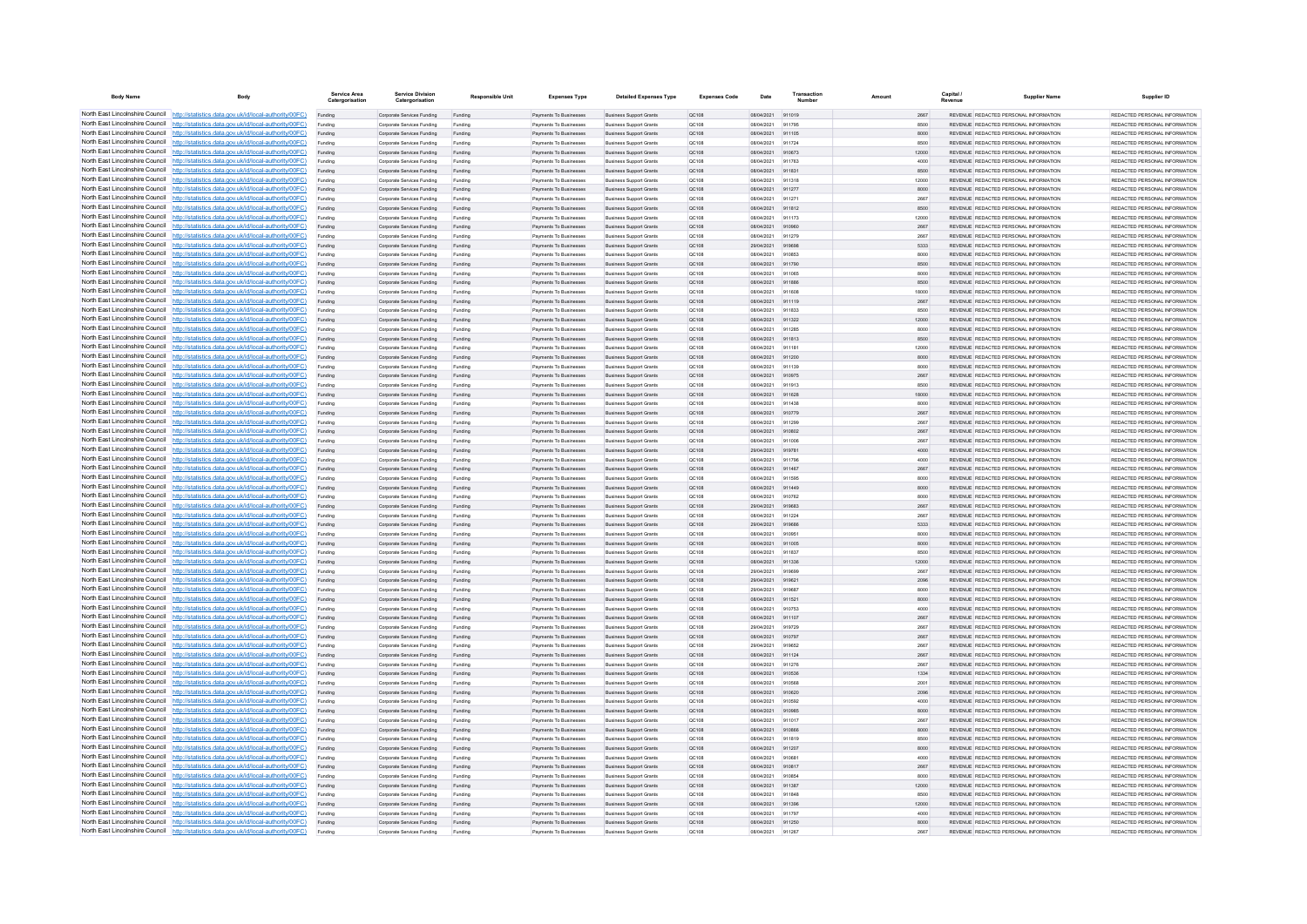| <b>Body Name</b>                | Body                                                                                                                                                                             | Service Area<br>Catergorisation | <b>Service Division</b><br>Catergorisation               | <b>Responsible Unit</b> | <b>Expenses Type</b>                             | <b>Detailed Expenses Type</b>                                    | <b>Expenses Code</b> | Date                     | Transactic       | Amount | Capital<br>Revenue | <b>Supplier Name</b>                                                           | Supplier ID                                                     |
|---------------------------------|----------------------------------------------------------------------------------------------------------------------------------------------------------------------------------|---------------------------------|----------------------------------------------------------|-------------------------|--------------------------------------------------|------------------------------------------------------------------|----------------------|--------------------------|------------------|--------|--------------------|--------------------------------------------------------------------------------|-----------------------------------------------------------------|
|                                 | North East Lincolnshire Council http://statistics.data.gov.uk/id/local-authority/00FC)                                                                                           | Funding                         | Corporate Services Funding                               | Funding                 | Payments To Businesses                           | <b>Business Support Grants</b>                                   | QC108                | 08/04/2021               | 911019           |        | 2667               | REVENUE REDACTED PERSONAL INFORMATION                                          | REDACTED PERSONAL INFORMATION                                   |
|                                 | North East Lincolnshire Council http://statistics.data.gov.uk/id/local-authority/00FC)                                                                                           |                                 | Corporate Services Funding                               |                         | Payments To Businessee                           | <b>Business Support Grant</b>                                    | QC108                | 08/04/2021               | 911795           |        | 8500               | REVENUE REDACTED PERSONAL INFORMATION                                          | REDACTED PERSONAL INFORMATION                                   |
|                                 | North East Lincolnshire Council http://statistics.data.gov.uk/id/local-authority/00FC)                                                                                           | Funding                         | Corporate Services Funding                               | Funding                 | Payments To Businesses                           | <b>Business Support Grants</b>                                   | QC108                | 08/04/2021               | 911105           |        | 8000               | REVENUE REDACTED PERSONAL INFORMATION                                          | REDACTED PERSONAL INFORMATION                                   |
|                                 | North East Lincolnshire Council http://statistics.data.gov.uk/id/local-authority/00FC)                                                                                           | Funding                         | Corporate Services Funding                               | Funding                 | Payments To Businesses                           | <b>Business Support Grants</b>                                   | OC108                | 08/04/2021               | 911724           |        | 8500               | REVENUE REDACTED PERSONAL INFORMATION                                          | REDACTED PERSONAL INFORMATION                                   |
|                                 | North East Lincolnshire Council http://statistics.data.gov.uk/id/local-authority/00FC)                                                                                           | Funding                         | Corporate Services Funding                               | Funding                 | Payments To Businesses                           | <b>Business Support Grants</b>                                   | QC108                | 08/04/2021               | 910673           | 12000  |                    | REVENUE REDACTED PERSONAL INFORMATION<br>REVENUE REDACTED PERSONAL INFORMATION | REDACTED PERSONAL INFORMATION                                   |
|                                 | North East Lincolnshire Council http://statistics.data.gov.uk/id/local-authority/00FC)<br>North East Lincolnshire Council http://statistics.data.gov.uk/id/local-authority/00FC) | Funding<br>Funding              | Corporate Services Funding<br>Corporate Services Funding | Funding<br>Funding      | Payments To Businesses<br>Payments To Businesses | <b>Business Support Grants</b><br><b>Business Support Grants</b> | QC108<br>OC108       | 08/04/2021<br>08/04/2021 | 911763<br>911831 |        | 4000<br>8500       | REVENUE, REDACTED PERSONAL INFORMATION                                         | REDACTED PERSONAL INFORMATION<br>REDACTED PERSONAL INFORMATION. |
| North East Lincolnshire Council | http://statistics.data.gov.uk/id/local-authority/00FC)                                                                                                                           | Funding                         | Corporate Services Funding                               | Funding                 | Payments To Businesses                           | <b>Business Support Grants</b>                                   | OC108                | 08/04/2021               | 911318           | 12000  |                    | REVENUE REDACTED PERSONAL INFORMATION                                          | REDACTED PERSONAL INFORMATION                                   |
| North East Lincolnshire Council | http://statistics.data.gov.uk/id/local-authority/00FC)                                                                                                                           | Funding                         | Corporate Services Funding                               | Funding                 | Payments To Businesses                           | <b>Business Support Grants</b>                                   | QC108                | 08/04/2021               | 911277           |        | 8000               | REVENUE REDACTED PERSONAL INFORMATION                                          | REDACTED PERSONAL INFORMATION                                   |
|                                 | North East Lincolnshire Council http://statistics.data.gov.uk/id/local-authority/00FC)                                                                                           |                                 | Corporate Services Funding                               | Funding                 | Payments To Businessee                           | <b>Business Support Grants</b>                                   | QC108                | 08/04/2021               | 911271           |        | 2667               | REVENUE REDACTED PERSONAL INFORMATION                                          | REDACTED PERSONAL INFORMATION.                                  |
|                                 | North East Lincolnshire Council http://statistics.data.gov.uk/id/local-authority/00FC)                                                                                           | Funding                         | Comorate Services Funding                                | Funding                 | <b>Payments To Businesses</b>                    | <b>Business Sunnort Grants</b>                                   | OC108                | 08/04/2021               | 911812           |        | 8500               | REVENUE, REDACTED PERSONAL INFORMATION                                         | REDACTED PERSONAL INFORMATION.                                  |
|                                 | North East Lincolnshire Council http://statistics.data.gov.uk/id/local-authority/00FC)                                                                                           | Funding                         | Corporate Services Funding                               | Funding                 | Payments To Businesses                           | <b>Business Support Grants</b>                                   | OC108                | 08/04/2021               | 911173           | 12000  |                    | REVENUE REDACTED PERSONAL INFORMATION                                          | REDACTED PERSONAL INFORMATION                                   |
|                                 | North East Lincolnshire Council http://statistics.data.gov.uk/id/local-authority/00FC)                                                                                           | Funding                         | Corporate Services Funding                               | Funding                 | Payments To Businesses                           | <b>Business Support Grants</b>                                   | QC108                | 08/04/2021               | 910960           |        | 2667               | REVENUE REDACTED PERSONAL INFORMATION                                          | REDACTED PERSONAL INFORMATION                                   |
| North East Lincolnshire Council | North East Lincolnshire Council http://statistics.data.gov.uk/id/local-authority/00FC)<br>http://statistics.data.gov.uk/id/local-authority/00FC)                                 | Funding                         | Corporate Services Funding                               | Funding                 | Payments To Businessee                           | <b>Business Support Grants</b>                                   | QC108                | 08/04/2021               | 911279           |        | 2667               | REVENUE REDACTED PERSONAL INFORMATION<br>REVENUE REDACTED PERSONAL INFORMATION | REDACTED PERSONAL INFORMATION<br>REDACTED PERSONAL INFORMATION  |
| North East Lincolnshire Council | http://statistics.data.gov.uk/id/local-authority/00FC)                                                                                                                           | Funding<br>Funding              | Corporate Services Funding<br>Corporate Services Funding | Funding<br>Funding      | Payments To Businesses<br>Payments To Businessee | <b>Business Support Grants</b><br>Business Support Grants        | QC108<br>QC108       | 29/04/2021<br>08/04/2021 | 919698<br>910853 |        | 5333<br>8000       | REVENUE REDACTED PERSONAL INFORMATION                                          | REDACTED PERSONAL INFORMATION                                   |
|                                 | North East Lincolnshire Council http://statistics.data.gov.uk/id/local-authority/00FC)                                                                                           | Funding                         | Corporate Services Funding                               | Funding                 | Payments To Businessee                           | <b>Business Support Grants</b>                                   | QC108                | 08/04/2021               | 911790           |        | 8500               | REVENUE REDACTED PERSONAL INFORMATION                                          | REDACTED PERSONAL INFORMATION                                   |
|                                 | North East Lincolnshire Council http://statistics.data.gov.uk/id/local-authority/00FC)                                                                                           | Funding                         | Comorate Services Funding                                | Funding                 | Payments To Businesses                           | <b>Business Sunnort Grants</b>                                   | OC108                | 08/04/2021               | 911065           |        | 8000               | REVENUE, REDACTED PERSONAL INFORMATION                                         | REDACTED PERSONAL INFORMATION.                                  |
|                                 | North East Lincolnshire Council http://statistics.data.gov.uk/id/local-authority/00FC)                                                                                           | Funding                         | Corporate Services Funding                               | Funding                 | Payments To Businesses                           | <b>Business Support Grants</b>                                   | QC108                | 08/04/2021               | 911886           |        | 8500               | REVENUE REDACTED PERSONAL INFORMATION                                          | REDACTED PERSONAL INFORMATION                                   |
|                                 | North East Lincolnshire Council http://statistics.data.gov.uk/id/local-authority/00FC)                                                                                           | Funding                         | Corporate Services Funding                               | Funding                 | Payments To Businesses                           | <b>Business Support Grants</b>                                   | OC108                | 08/04/2021               | 911608           | 18000  |                    | REVENUE REDACTED PERSONAL INFORMATION                                          | REDACTED PERSONAL INFORMATION                                   |
|                                 | North East Lincolnshire Council http://statistics.data.gov.uk/id/local-authority/00FC)                                                                                           | Funding                         | Corporate Services Funding                               | Funding                 | Payments To Businesses                           | <b>Business Support Grants</b>                                   | QC108                | 08/04/2021               | 911119           |        | 2667               | REVENUE REDACTED PERSONAL INFORMATION                                          | REDACTED PERSONAL INFORMATION                                   |
| North East Lincolnshire Council | http://statistics.data.gov.uk/id/local-authority/00FC)                                                                                                                           | Funding                         | Comorate Services Funding                                | Funding                 | <b>Payments To Businesses</b>                    | <b>Business Sunnort Grants</b>                                   | OC108                | 08/04/2021               | 911833           |        | 8500               | REVENUE REDACTED PERSONAL INFORMATION                                          | REDACTED PERSONAL INFORMATION.                                  |
| North East Lincolnshire Council | http://statistics.data.gov.uk/id/local-authority/00FC)                                                                                                                           | Funding                         | Corporate Services Funding                               | Funding                 | Payments To Businesses                           | <b>Business Support Grants</b>                                   | OC108                | 08/04/2021               | 911322           | 12000  |                    | REVENUE REDACTED PERSONAL INFORMATION                                          | REDACTED PERSONAL INFORMATION                                   |
| North East Lincolnshire Council | http://statistics.data.gov.uk/id/local-authority/00FC)<br>North East Lincolnshire Council http://statistics.data.gov.uk/id/local-authority/00FC)                                 | Funding                         | Corporate Services Funding                               | Funding                 | Payments To Businessee<br>Payments To Businesses | <b>Business Support Grants</b><br><b>Business Support Grants</b> | QC108<br>QC108       | 08/04/2021<br>08/04/2021 | 911285<br>911813 |        | 8000<br>8500       | REVENUE REDACTED PERSONAL INFORMATION<br>REVENUE REDACTED PERSONAL INFORMATION | REDACTED PERSONAL INFORMATION<br>REDACTED PERSONAL INFORMATION  |
|                                 | North East Lincolnshire Council http://statistics.data.gov.uk/id/local-authority/00FC)                                                                                           | Funding<br>Funding              | Corporate Services Funding<br>Corporate Services Funding | Funding<br>Funding      | Payments To Businesses                           | <b>Business Support Grants</b>                                   | OC108                | 08/04/2021               | 911181           | 12000  |                    | REVENUE REDACTED PERSONAL INFORMATION                                          | REDACTED PERSONAL INFORMATION                                   |
|                                 | North East Lincolnshire Council http://statistics.data.gov.uk/id/local-authority/00FC)                                                                                           | Funding                         | Corporate Services Funding                               | Funding                 | Payments To Businesses                           | <b>Business Support Grants</b>                                   | QC108                | 08/04/2021               | 911200           |        | 8000               | REVENUE REDACTED PERSONAL INFORMATION                                          | REDACTED PERSONAL INFORMATION                                   |
|                                 | North East Lincolnshire Council http://statistics.data.gov.uk/id/local-authority/00FC)                                                                                           | Funding                         | Corporate Services Funding                               | Funding                 | Payments To Businessee                           | <b>Business Support Grants</b>                                   | QC108                | 08/04/2021               | 911139           |        | 8000               | REVENUE REDACTED PERSONAL INFORMATION                                          | REDACTED PERSONAL INFORMATION                                   |
|                                 | North East Lincolnshire Council http://statistics.data.gov.uk/id/local-authority/00FC)                                                                                           | Funding                         | Corporate Services Funding                               | Funding                 | Payments To Businesses                           | <b>Business Support Grants</b>                                   | QC108                | 08/04/2021               | 910975           |        | 2667               | REVENUE REDACTED PERSONAL INFORMATION                                          | REDACTED PERSONAL INFORMATION                                   |
| North East Lincolnshire Council | http://statistics.data.gov.uk/id/local-authority/00FC)                                                                                                                           | Funding                         | Corporate Services Funding                               | Funding                 | Payments To Businessee                           | <b>Business Support Grants</b>                                   | QC108                | 08/04/2021               | 911913           |        | 8500               | REVENUE REDACTED PERSONAL INFORMATION                                          | REDACTED PERSONAL INFORMATION                                   |
|                                 | North East Lincolnshire Council http://statistics.data.gov.uk/id/local-authority/00FC)                                                                                           | Funding                         | Corporate Services Funding                               | Funding                 | Payments To Businessee                           | <b>Business Support Grants</b>                                   | QC108                | 08/04/2021               | 911628           | 18000  |                    | REVENUE REDACTED PERSONAL INFORMATION                                          | REDACTED PERSONAL INFORMATION                                   |
|                                 | North East Lincolnshire Council http://statistics.data.gov.uk/id/local-authority/00FC)                                                                                           | Funding                         | Corporate Services Funding                               | Funding                 | Payments To Businesse                            | <b>Business Support Grants</b>                                   | QC108                | 08/04/2021               | 011438           |        | 8000               | REVENUE, REDACTED PERSONAL INFORMATION                                         | REDACTED PERSONAL INFORMATION.                                  |
|                                 | North East Lincolnshire Council http://statistics.data.gov.uk/id/local-authority/00FC)                                                                                           | Funding                         | Comorate Services Funding                                | Funding                 | <b>Payments To Businesses</b>                    | <b>Business Sunnort Grants</b>                                   | OC108                | 08/04/2021               | 910779           |        | 2667               | REVENUE, REDACTED PERSONAL INFORMATION                                         | REDACTED PERSONAL INFORMATION.                                  |
|                                 | North East Lincolnshire Council http://statistics.data.gov.uk/id/local-authority/00FC)                                                                                           | Funding                         | Comorate Services Funding                                | Funding                 | Payments To Businesses                           | <b>Business Sunnort Grants</b>                                   | OC108                | 08/04/2021               | 911299           |        | 2667               | REVENUE, REDACTED PERSONAL INFORMATION                                         | REDACTED PERSONAL INFORMATION.                                  |
|                                 | North East Lincolnshire Council http://statistics.data.gov.uk/id/local-authority/00FC)<br>North East Lincolnshire Council http://statistics.data.gov.uk/id/local-authority/00FC) | Funding<br>Funding              | Corporate Services Funding<br>Corporate Services Funding | Funding<br>Funding      | Payments To Businesses<br>Payments To Businesses | <b>Business Support Grants</b><br><b>Business Support Grants</b> | QC108<br>QC108       | 08/04/2021<br>08/04/2021 | 910802<br>911006 |        | 2667<br>2667       | REVENUE REDACTED PERSONAL INFORMATION<br>REVENUE REDACTED PERSONAL INFORMATION | REDACTED PERSONAL INFORMATION<br>REDACTED PERSONAL INFORMATION  |
|                                 | North East Lincolnshire Council http://statistics.data.gov.uk/id/local-authority/00FC)                                                                                           | Funding                         | Corporate Services Funding                               | Funding                 | Payments To Businesses                           | <b>Business Support Grants</b>                                   | QC108                | 29/04/2021               | 919781           |        | 4000               | REVENUE REDACTED PERSONAL INFORMATION                                          | REDACTED PERSONAL INFORMATION                                   |
| North East Lincolnshire Council | http://statistics.data.gov.uk/id/local-authority/00FC)                                                                                                                           | Funding                         | Corporate Services Funding                               | Funding                 | Payments To Businesses                           | <b>Business Support Grants</b>                                   | QC108                | 08/04/2021               | 911796           |        | 4000               | REVENUE REDACTED PERSONAL INFORMATION                                          | REDACTED PERSONAL INFORMATION                                   |
| North East Lincolnshire Council | http://statistics.data.gov.uk/id/local-authority/00FC)                                                                                                                           | Funding                         | Corporate Services Funding                               | Funding                 | Payments To Businesses                           | <b>Business Support Grants</b>                                   | QC108                | 08/04/2021               | 911467           |        | 2667               | REVENUE REDACTED PERSONAL INFORMATION                                          | REDACTED PERSONAL INFORMATION                                   |
|                                 | North East Lincolnshire Council http://statistics.data.gov.uk/id/local-authority/00FC)                                                                                           | Funding                         | Corporate Services Funding                               |                         | Payments To Businessee                           | <b>Business Support Grants</b>                                   | QC108                | 08/04/2021               | 911595           |        | 8000               | REVENUE REDACTED PERSONAL INFORMATION                                          | REDACTED PERSONAL INFORMATION                                   |
|                                 | North East Lincolnshire Council http://statistics.data.gov.uk/id/local-authority/00FC)                                                                                           | Funding                         | Corporate Services Funding                               | Funding                 | Payments To Businesses                           | <b>Business Support Grants</b>                                   | OC108                | 08/04/2021               | 911449           |        | 8000               | REVENUE REDACTED PERSONAL INFORMATION                                          | REDACTED PERSONAL INFORMATION                                   |
|                                 | North East Lincolnshire Council http://statistics.data.gov.uk/id/local-authority/00FC)                                                                                           | Funding                         | Corporate Services Funding                               | Funding                 | Payments To Businesses                           | <b>Business Support Grants</b>                                   | <b>QC108</b>         | 08/04/2021               | 910762           |        | 8000               | REVENUE REDACTED PERSONAL INFORMATION                                          | REDACTED PERSONAL INFORMATION.                                  |
|                                 | North East Lincolnshire Council http://statistics.data.gov.uk/id/local-authority/00FC)                                                                                           | Funding                         | Corporate Services Funding                               | Funding                 | Payments To Businesses                           | <b>Business Support Grants</b>                                   | QC108                | 29/04/2021               | 919683           |        | 2667               | REVENUE REDACTED PERSONAL INFORMATION                                          | REDACTED PERSONAL INFORMATION                                   |
| North East Lincolnshire Council | North East Lincolnshire Council http://statistics.data.gov.uk/id/local-authority/00FC)<br>http://statistics.data.gov.uk/id/local-authority/00EC)                                 | Funding                         | Corporate Services Funding                               | Funding                 | Payments To Businessee                           | <b>Business Support Grants</b>                                   | QC108<br>OC108       | 08/04/2021<br>29/04/2021 | 911224<br>919686 |        | 2667<br>5333       | REVENUE REDACTED PERSONAL INFORMATION<br>REVENUE REDACTED PERSONAL INFORMATION | REDACTED PERSONAL INFORMATION<br>REDACTED PERSONAL INFORMATION. |
|                                 | North East Lincolnshire Council http://statistics.data.gov.uk/id/local-authority/00FC)                                                                                           | Funding<br>Funding              | Corporate Services Funding<br>Corporate Services Funding | Funding<br>Funding      | Payments To Businessee<br>Payments To Businessee | <b>Business Support Grants</b><br><b>Business Support Grants</b> | QC108                | 08/04/2021               | 910951           |        | 8000               | REVENUE REDACTED PERSONAL INFORMATION                                          | REDACTED PERSONAL INFORMATION                                   |
|                                 | North East Lincolnshire Council http://statistics.data.gov.uk/id/local-authority/00FC)                                                                                           | Funding                         | Corporate Services Funding                               | Funding                 | Payments To Businesses                           | <b>Business Support Grants</b>                                   | QC108                | 08/04/2021               | 911005           |        | 8000               | REVENUE REDACTED PERSONAL INFORMATION                                          | REDACTED PERSONAL INFORMATION                                   |
|                                 | North East Lincolnshire Council http://statistics.data.gov.uk/id/local-authority/00FC)                                                                                           | Funding                         | Corporate Services Funding                               | Funding                 | Payments To Businessee                           | <b>Business Support Grants</b>                                   | QC108                | 08/04/2021               | 911837           |        | 8500               | REVENUE REDACTED PERSONAL INFORMATION                                          | REDACTED PERSONAL INFORMATION                                   |
|                                 | North East Lincolnshire Council http://statistics.data.gov.uk/id/local-authority/00FC)                                                                                           | Funding                         | Corporate Services Funding                               | Funding                 | Payments To Businesses                           | <b>Business Support Grants</b>                                   | QC108                | 08/04/2021               | 911336           | 12000  |                    | REVENUE REDACTED PERSONAL INFORMATION                                          | REDACTED PERSONAL INFORMATION                                   |
|                                 | North East Lincolnshire Council http://statistics.data.gov.uk/id/local-authority/00FC)                                                                                           | Funding                         | Corporate Services Funding                               | Funding                 | Payments To Businesses                           | <b>Business Support Grants</b>                                   | OC108                | 29/04/2021               | 919699           |        | 2667               | REVENUE REDACTED PERSONAL INFORMATION                                          | REDACTED PERSONAL INFORMATION                                   |
|                                 | North East Lincolnshire Council http://statistics.data.gov.uk/id/local-authority/00FC)                                                                                           | Funding                         | Corporate Services Funding                               | Funding                 | Payments To Businesses                           | <b>Business Support Grants</b>                                   | QC108                | 29/04/2021               | 919621           |        | 2096               | REVENUE REDACTED PERSONAL INFORMATION                                          | REDACTED PERSONAL INFORMATION                                   |
|                                 | North East Lincolnshire Council http://statistics.data.gov.uk/id/local-authority/00FC)                                                                                           | Funding                         | Corporate Services Funding                               | Funding                 | Payments To Businesses                           | <b>Business Support Grants</b>                                   | OC108                | 29/04/2021               | 919687           |        | 8000               | REVENUE REDACTED PERSONAL INFORMATION                                          | REDACTED PERSONAL INFORMATION                                   |
| North East Lincolnshire Council | http://statistics.data.gov.uk/id/local-authority/00FC)<br>North East Lincolnshire Council http://statistics.data.gov.uk/id/local-authority/00FC)                                 | Funding                         | Corporate Services Funding                               | Funding                 | Payments To Businesses<br>Payments To Businessee | <b>Business Support Grants</b>                                   | <b>QC108</b>         | 08/04/2021<br>08/04/2021 | 911521           |        | 8000<br>4000       | REVENUE REDACTED PERSONAL INFORMATION<br>REVENUE REDACTED PERSONAL INFORMATION | REDACTED PERSONAL INFORMATION<br>REDACTED PERSONAL INFORMATION  |
|                                 | North East Lincolnshire Council http://statistics.data.gov.uk/id/local-authority/00FC)                                                                                           | Funding                         | Corporate Services Funding<br>Corporate Services Funding | Funding                 | Payments To Businesses                           | <b>Business Support Grants</b><br><b>Business Support Grants</b> | QC108<br>QC108       | 08/04/2021               | 911107           |        | 2667               | REVENUE REDACTED PERSONAL INFORMATION                                          | REDACTED PERSONAL INFORMATION.                                  |
|                                 | North East Lincolnshire Council http://statistics.data.gov.uk/id/local-authority/00FC)                                                                                           | Funding                         | Comorate Services Funding                                | Funding                 | <b>Payments To Businesses</b>                    | <b>Business Sunnort Grants</b>                                   | OC108                | 29/04/2021               | 919729           |        | 2667               | REVENUE REDACTED PERSONAL INFORMATION                                          | REDACTED PERSONAL INFORMATION.                                  |
|                                 | North East Lincolnshire Council http://statistics.data.gov.uk/id/local-authority/00FC)                                                                                           | Funding                         | Corporate Services Funding                               | Funding                 | Payments To Businesses                           | <b>Business Support Grants</b>                                   | <b>QC108</b>         | 08/04/2021               | 910797           |        | 2667               | REVENUE REDACTED PERSONAL INFORMATION                                          | REDACTED PERSONAL INFORMATION                                   |
|                                 | North East Lincolnshire Council http://statistics.data.gov.uk/id/local-authority/00FC)                                                                                           | Funding                         | Corporate Services Funding                               | Funding                 | Payments To Businesses                           | <b>Business Support Grants</b>                                   | OC108                | 29/04/2021               | 919652           |        | 2667               | REVENUE REDACTED PERSONAL INFORMATION                                          | REDACTED PERSONAL INFORMATION                                   |
|                                 | North East Lincolnshire Council http://statistics.data.gov.uk/id/local-authority/00FC)                                                                                           | Funding                         | Corporate Services Funding                               | Funding                 | Payments To Businesses                           | <b>Business Support Grants</b>                                   | QC108                | 08/04/2021               | 911124           |        | 2667               | REVENUE REDACTED PERSONAL INFORMATION                                          | REDACTED PERSONAL INFORMATION                                   |
| North East Lincolnshire Council | http://statistics.data.gov.uk/id/local-authority/00FC)                                                                                                                           | Funding                         | Corporate Services Funding                               | Funding                 | Payments To Businessee                           | <b>Business Support Grants</b>                                   | OC108                | 08/04/2021               | 911276           |        | 2667               | REVENUE REDACTED PERSONAL INFORMATION                                          | REDACTED PERSONAL INFORMATION                                   |
| North East Lincolnshire Council | http://statistics.data.gov.uk/id/local-authority/00FC)                                                                                                                           | Funding                         | Corporate Services Funding                               | Funding                 | Payments To Businesses                           | <b>Business Support Grants</b>                                   | QC108                | 08/04/2021               | 910536           |        | 1334               | REVENUE REDACTED PERSONAL INFORMATION                                          | REDACTED PERSONAL INFORMATION                                   |
|                                 | North East Lincolnshire Council http://statistics.data.gov.uk/id/local-authority/00FC)<br>North East Lincolnshire Council http://statistics.data.gov.uk/id/local-authority/00FC) | Funding                         | Corporate Services Funding                               | Funding                 | Payments To Businesse                            | <b>Business Support Grants</b>                                   | QC108                | 08/04/2021               | 910568           |        | 2001               | REVENUE REDACTED PERSONAL INFORMATION<br>REVENUE REDACTED PERSONAL INFORMATION | REDACTED PERSONAL INFORMATION<br>REDACTED PERSONAL INFORMATION  |
|                                 | North East Lincolnshire Council http://statistics.data.gov.uk/id/local-authority/00FC)                                                                                           | Funding<br>Funding              | Corporate Services Funding<br>Corporate Services Funding | Funding<br>Funding      | Payments To Businesses<br>Payments To Businesses | <b>Business Support Grants</b><br><b>Business Support Grants</b> | QC108<br>OC108       | 08/04/2021<br>08/04/2021 | 910620<br>910592 |        | 2096<br>4000       | REVENUE REDACTED PERSONAL INFORMATION                                          | REDACTED PERSONAL INFORMATION                                   |
|                                 | North East Lincolnshire Council http://statistics.data.gov.uk/id/local-authority/00FC)                                                                                           | Funding                         | Corporate Services Funding                               | Funding                 | Payments To Businesses                           | <b>Business Support Grants</b>                                   | QC108                | 08/04/2021               | 910985           |        | 8000               | REVENUE REDACTED PERSONAL INFORMATION                                          | REDACTED PERSONAL INFORMATION                                   |
|                                 | North East Lincolnshire Council http://statistics.data.gov.uk/id/local-authority/00FC)                                                                                           | Funding                         | Corporate Services Funding                               | Funding                 | Payments To Businessee                           | <b>Business Support Grants</b>                                   | QC108                | 08/04/2021               | 911017           |        | 2667               | REVENUE REDACTED PERSONAL INFORMATION                                          | REDACTED PERSONAL INFORMATION                                   |
|                                 | North East Lincolnshire Council http://statistics.data.gov.uk/id/local-authority/00FC)                                                                                           | Funding                         | Corporate Services Funding                               | Funding                 | Payments To Businesses                           | <b>Business Support Grants</b>                                   | <b>QC108</b>         | 08/04/2021               | 910866           |        | 8000               | REVENUE REDACTED PERSONAL INFORMATION                                          | REDACTED PERSONAL INFORMATION.                                  |
| North East Lincolnshire Council | http://statistics.data.gov.uk/id/local-authority/00EC)                                                                                                                           | Funding                         | Corporate Services Funding                               | Funding                 | Payments To Businesses                           | <b>Business Support Grants</b>                                   | QC108                | 08/04/2021               | 911819           |        | 8500               | REVENUE REDACTED PERSONAL INFORMATION                                          | REDACTED PERSONAL INFORMATION                                   |
|                                 | North East Lincolnshire Council http://statistics.data.gov.uk/id/local-authority/00FC)                                                                                           | Funding                         | Corporate Services Funding                               | Funding                 | Payments To Businesses                           | <b>Business Support Grants</b>                                   | QC108                | 08/04/2021               | 911207           |        | 8000               | REVENUE REDACTED PERSONAL INFORMATION                                          | REDACTED PERSONAL INFORMATION                                   |
|                                 | North East Lincolnshire Council http://statistics.data.gov.uk/id/local-authority/00FC)                                                                                           | Funding                         | Corporate Services Funding                               | Funding                 | Payments To Businesses                           | <b>Business Support Grants</b>                                   | QC108                | 08/04/2021               | 910681           |        | 4000               | REVENUE REDACTED PERSONAL INFORMATION                                          | REDACTED PERSONAL INFORMATION.                                  |
|                                 | North East Lincolnshire Council http://statistics.data.gov.uk/id/local-authority/00FC)                                                                                           | Funding                         | Corporate Services Funding                               | Funding                 | Payments To Rusinesses                           | <b>Business Sunnort Grants</b>                                   | OC108                | 08/04/2021               | 910817           |        | 2667               | REVENUE, REDACTED PERSONAL INFORMATION                                         | REDACTED PERSONAL INFORMATION.                                  |
|                                 | North East Lincolnshire Council http://statistics.data.gov.uk/id/local-authority/00FC)<br>North East Lincolnshire Council http://statistics.data.gov.uk/id/local-authority/00FC) | Funding                         | Corporate Services Funding                               | Funding                 | Payments To Businesses                           | <b>Business Support Grants</b>                                   | OC108                | 08/04/2021               | 910854           |        | 8000               | REVENUE REDACTED PERSONAL INFORMATION                                          | REDACTED PERSONAL INFORMATION                                   |
|                                 | North East Lincolnshire Council http://statistics.data.gov.uk/id/local-authority/00FC)                                                                                           | Funding<br>Funding              | Corporate Services Funding<br>Corporate Services Funding | Funding<br>Funding      | Payments To Businesses<br>Payments To Businesses | <b>Business Support Grants</b><br><b>Business Support Grants</b> | QC108<br>OC108       | 08/04/2021<br>08/04/2021 | 911387<br>911848 | 12000  | 8500               | REVENUE REDACTED PERSONAL INFORMATION<br>REVENUE REDACTED PERSONAL INFORMATION | REDACTED PERSONAL INFORMATION<br>REDACTED PERSONAL INFORMATION  |
| North East Lincolnshire Council | http://statistics.data.gov.uk/id/local-authority/00FC)                                                                                                                           | Funding                         | Corporate Services Funding                               | Funding                 | Payments To Businesses                           | <b>Business Support Grants</b>                                   | QC108                | 08/04/2021               | 911396           | 12000  |                    | REVENUE REDACTED PERSONAL INFORMATION                                          | REDACTED PERSONAL INFORMATION                                   |
|                                 | North East Lincolnshire Council http://statistics.data.gov.uk/id/local-authority/00FC)                                                                                           | Funding                         | Corporate Services Funding                               | Funding                 | Payments To Businessee                           | <b>Business Support Grants</b>                                   | QC108                | 08/04/2021               | 911797           |        | 4000               | REVENUE REDACTED PERSONAL INFORMATION                                          | REDACTED PERSONAL INFORMATION                                   |
|                                 | North East Lincolnshire Council http://statistics.data.gov.uk/id/local-authority/00FC)                                                                                           | Funding                         | Corporate Services Funding                               | Funding                 | Payments To Businesses                           | <b>Business Support Grants</b>                                   | QC108                | 08/04/2021               | 911250           |        | 8000               | REVENUE REDACTED PERSONAL INFORMATION                                          | REDACTED PERSONAL INFORMATION                                   |
|                                 | North East Lincolnshire Council http://statistics.data.gov.uk/id/local-authority/00FC)                                                                                           | Funding                         | Comorate Services Funding                                | Funding                 | Payments To Businesses                           | <b>Business Sunnort Grants</b>                                   | OC108                | 08/04/2021 911267        |                  |        | 2667               | REVENUE REDACTED PERSONAL INFORMATION                                          | REDACTED PERSONAL INFORMATION                                   |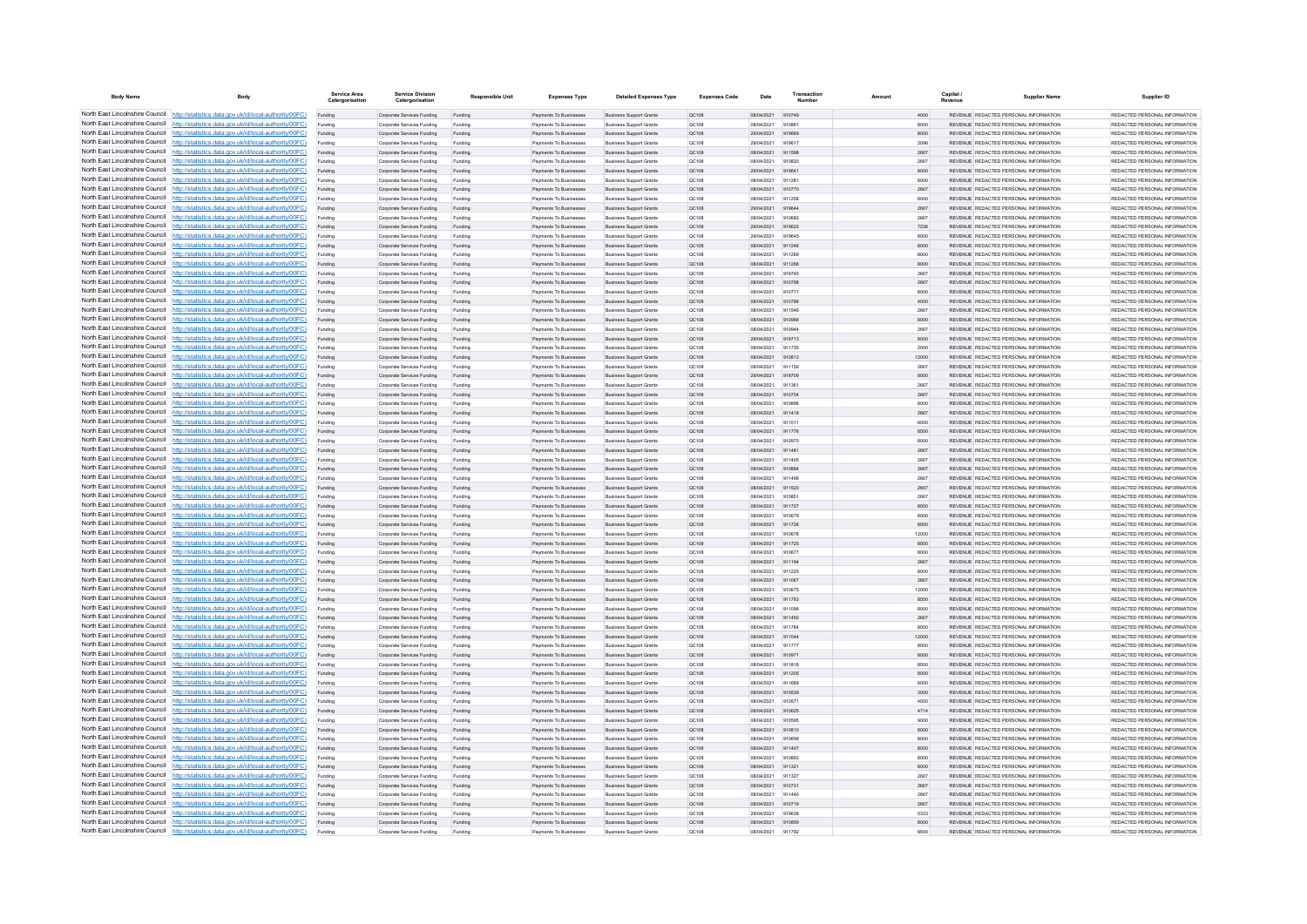| <b>Body Name</b>                | Body                                                                                                                                                                             | Service Area<br>Catergorisation | <b>Service Division</b><br>Catergorisation               | <b>Responsible Unit</b> | <b>Expenses Type</b>                             | <b>Detailed Expenses Type</b>                                    | <b>Expenses Code</b>  | Date                     | Transactio       | Amount |               | Capital | <b>Supplier Name</b>                                                           | Supplier ID                                                     |
|---------------------------------|----------------------------------------------------------------------------------------------------------------------------------------------------------------------------------|---------------------------------|----------------------------------------------------------|-------------------------|--------------------------------------------------|------------------------------------------------------------------|-----------------------|--------------------------|------------------|--------|---------------|---------|--------------------------------------------------------------------------------|-----------------------------------------------------------------|
|                                 | North East Lincolnshire Council http://statistics.data.gov.uk/id/local-authority/00FC)                                                                                           | Funding                         | Corporate Services Funding                               | Funding                 | Payments To Businesses                           | <b>Business Support Grants</b>                                   | QC108                 | 08/04/2021 910749        |                  |        | 4000          |         | REVENUE REDACTED PERSONAL INFORMATION                                          | REDACTED PERSONAL INFORMATION                                   |
|                                 | North East Lincolnshire Council http://statistics.data.gov.uk/id/local-authority/00FC)                                                                                           | Funding                         | Corporate Services Funding                               | Funding                 | <b>Payments To Businesses</b>                    | <b>Business Support Grants</b>                                   | QC108                 | 08/04/2021               |                  |        | 8000          |         | REVENUE REDACTED PERSONAL INFORMATION                                          | REDACTED PERSONAL INFORMATION                                   |
|                                 | North East Lincolnshire Council http://statistics.data.gov.uk/id/local-authority/00FC)                                                                                           | Funding                         | Corporate Services Funding                               | Funding                 | Payments To Busi                                 | <b>Business Support Grants</b>                                   | QC108                 | 29/04/2021               | 919669           |        | 8000          |         | REVENUE REDACTED PERSONAL INFORMATION                                          | REDACTED PERSONAL INFORMATION                                   |
|                                 | North East Lincolnshire Council http://statistics.data.gov.uk/id/local-authority/00FC)<br>North East Lincolnshire Council http://statistics.data.gov.uk/id/local-authority/00FC) | Funding                         | Comorate Services Funding                                | Funding                 | <b>Payments To Businesses</b>                    | <b>Business Sunnort Grants</b>                                   | OC108                 | 29/04/2021               | 919617           |        | 2096          |         | REVENUE REDACTED PERSONAL INFORMATION<br>REVENUE REDACTED PERSONAL INFORMATION | REDACTED PERSONAL INFORMATION<br>REDACTED PERSONAL INFORMATION. |
|                                 | North East Lincolnshire Council http://statistics.data.gov.uk/id/local-authority/00FC)                                                                                           | Funding<br>Funding              | Corporate Services Funding<br>Corporate Services Funding | Funding<br>Funding      | Payments To Businesses<br>Payments To Businesses | <b>Business Support Grants</b><br><b>Business Support Grants</b> | <b>QC108</b><br>OC108 | 08/04/2021<br>08/04/2021 | 911598<br>910830 |        | 2667<br>2667  |         | REVENUE REDACTED PERSONAL INFORMATION                                          | REDACTED PERSONAL INFORMATION                                   |
|                                 | North East Lincolnshire Council http://statistics.data.gov.uk/id/local-authority/00FC)                                                                                           | Funding                         | Corporate Services Funding                               | Funding                 | Payments To Businesses                           | <b>Business Support Grants</b>                                   | QC108                 | 29/04/2021               | 919641           |        | 8000          |         | REVENUE REDACTED PERSONAL INFORMATION                                          | REDACTED PERSONAL INFORMATION                                   |
|                                 | North East Lincolnshire Council http://statistics.data.gov.uk/id/local-authority/00FC)                                                                                           | Funding                         | Corporate Services Funding                               | Funding                 | <b>Payments To Businesses</b>                    | <b>Business Support Grants</b>                                   | OC108                 | 08/04/2021               | 911281           |        | 8000          |         | REVENUE REDACTED PERSONAL INFORMATION                                          | REDACTED PERSONAL INFORMATION.                                  |
| North East Lincolnshire Council | http://statistics.data.gov.uk/id/local-authority/00FC)                                                                                                                           | Funding                         | Corporate Services Funding                               | Funding                 | Payments To Businesses                           | <b>Business Support Grants</b>                                   | OC:108                | 08/04/2021               | 910770           |        | 2667          |         | REVENUE REDACTED PERSONAL INFORMATION                                          | REDACTED PERSONAL INFORMATION                                   |
| North East Lincolnshire Council | http://statistics.data.gov.uk/id/local-authority/00FC)                                                                                                                           | Funding                         | Corporate Services Funding                               | Funding                 | Payments To Businessee                           | <b>Business Support Grants</b>                                   | QC108                 | 08/04/2021               | 911258           |        | 8000          |         | REVENUE REDACTED PERSONAL INFORMATION                                          | REDACTED PERSONAL INFORMATION                                   |
|                                 | North East Lincolnshire Council http://statistics.data.gov.uk/id/local-authority/00FC)                                                                                           |                                 | Corporate Services Funding                               | Funding                 | Payments To Businesses                           | <b>Business Support Grants</b>                                   | QC108                 | 29/04/2021               | 919844           |        | 2667          |         | <b>REVENHE REDACTED REPSONAL INFORMATION</b>                                   | <b>PEDACTED PERSONAL INFORMATION</b>                            |
|                                 | North East Lincolnshire Council http://statistics.data.gov.uk/id/local-authority/00FC)                                                                                           | Funding                         | Corporate Services Funding                               | Funding                 | Payments To Businesses                           | <b>Business Support Grants</b>                                   | OC108                 | 08/04/2021               | 910682           |        | 2667          |         | REVENUE REDACTED PERSONAL INFORMATION                                          | REDACTED PERSONAL INFORMATION                                   |
|                                 | North East Lincolnshire Council http://statistics.data.gov.uk/id/local-authority/00FC)                                                                                           | Funding                         | Corporate Services Funding                               | Funding                 | Payments To Businesses                           | <b>Business Support Grants</b>                                   | QC108                 | 29/04/2021               | 919622           |        | 7236          |         | REVENUE REDACTED PERSONAL INFORMATION                                          | REDACTED PERSONAL INFORMATION                                   |
|                                 | North East Lincolnshire Council http://statistics.data.gov.uk/id/local-authority/00FC)                                                                                           | Funding                         | Corporate Services Funding                               | Funding                 | Payments To Businessee                           | <b>Business Support Grants</b>                                   | QC108                 | 29/04/2021               | 919645           |        | 8000          |         | REVENUE REDACTED PERSONAL INFORMATION                                          | REDACTED PERSONAL INFORMATION                                   |
| North East Lincolnshire Council | North East Lincolnshire Council http://statistics.data.gov.uk/id/local-authority/00FC)<br>http://statistics.data.gov.uk/id/local-authority/00FC)                                 | Funding<br>Funding              | Corporate Services Funding<br>Corporate Services Funding | Funding<br>Funding      | Payments To Businesses<br>Payments To Businessee | <b>Business Support Grants</b><br><b>Business Support Grants</b> | QC108<br>QC108        | 08/04/2021<br>08/04/2021 | 911248<br>911269 |        | 8000<br>8000  |         | REVENUE REDACTED PERSONAL INFORMATION<br>REVENUE REDACTED PERSONAL INFORMATION | REDACTED PERSONAL INFORMATION<br>REDACTED PERSONAL INFORMATION  |
| North East Lincolnshire Council | http://statistics.data.gov.uk/id/local-authority/00FC)                                                                                                                           | Funding                         | Corporate Services Funding                               | Funding                 | Payments To Businessee                           | <b>Business Support Grants</b>                                   | QC108                 | 08/04/2021               | 911268           |        | 8000          |         | REVENUE REDACTED PERSONAL INFORMATION                                          | REDACTED PERSONAL INFORMATION                                   |
| North East Lincolnshire Council | http://statistics.data.gov.uk/id/local-authority/00FC)                                                                                                                           | Funding                         | Corporate Services Funding                               | Funding                 | Payments To Businessee                           | <b>Business Support Grants</b>                                   | QC108                 | 29/04/2021               | 919745           |        | 2667          |         | REVENUE, REDACTED PERSONAL INFORMATION                                         | REDACTED PERSONAL INFORMATION.                                  |
|                                 | North East Lincolnshire Council http://statistics.data.gov.uk/id/local-authority/00FC)                                                                                           | Funding                         | Comorate Services Funding                                | Funding                 | <b>Payments To Businesses</b>                    | <b>Business Sunnort Grants</b>                                   | OC108                 | 08/04/2021               | 910798           |        | 2667          |         | REVENUE, REDACTED PERSONAL INFORMATION                                         | REDACTED PERSONAL INFORMATION.                                  |
|                                 | North East Lincolnshire Council   http://statistics.data.gov.uk/id/local-authority/00FC)                                                                                         | Funding                         | Corporate Services Funding                               | Funding                 | Payments To Businesses                           | <b>Business Support Grants</b>                                   | OC108                 | 08/04/2021               | 910771           |        | 8000          |         | REVENUE REDACTED PERSONAL INFORMATION                                          | REDACTED PERSONAL INFORMATION                                   |
|                                 | North East Lincolnshire Council http://statistics.data.gov.uk/id/local-authority/00FC)                                                                                           | Funding                         | Corporate Services Funding                               | Funding                 | Payments To Businesses                           | <b>Business Support Grants</b>                                   | QC108                 | 08/04/2021               | 910788           |        | 4000          |         | REVENUE REDACTED PERSONAL INFORMATION                                          | REDACTED PERSONAL INFORMATION                                   |
|                                 | North East Lincolnshire Council   http://statistics.data.gov.uk/id/local-authority/00FC)                                                                                         | Funding                         | Corporate Services Funding                               | Funding                 | Payments To Businesses                           | <b>Business Support Grants</b>                                   | QC108                 | 08/04/2021               | 911546           |        | 2667          |         | REVENUE REDACTED PERSONAL INFORMATION                                          | REDACTED PERSONAL INFORMATION                                   |
|                                 | North East Lincolnshire Council http://statistics.data.gov.uk/id/local-authority/00FC)                                                                                           | Funding                         | Corporate Services Funding                               | Funding                 | <b>Payments To Businesses</b>                    | <b>Business Support Grants</b>                                   | QC108                 | 08/04/2021               | 910968           |        | 8000          |         | REVENUE REDACTED PERSONAL INFORMATION                                          | REDACTED PERSONAL INFORMATION                                   |
| North East Lincolnshire Council | http://statistics.data.gov.uk/id/local-authority/00FC)                                                                                                                           | Funding                         | Corporate Services Funding                               | Funding                 | Payments To Businesses                           | <b>Business Support Grants</b>                                   | QC108                 | 08/04/2021               | 910944           |        | 2667          |         | REVENUE REDACTED PERSONAL INFORMATION                                          | REDACTED PERSONAL INFORMATION                                   |
|                                 | North East Lincolnshire Council http://statistics.data.gov.uk/id/local-authority/00FC)                                                                                           | Funding                         | Corporate Services Funding                               | Funding                 | Payments To Businesses                           | <b>Business Support Grants</b>                                   | QC108                 | 29/04/2021               | 919713           |        | 8000          |         | REVENUE REDACTED PERSONAL INFORMATION                                          | REDACTED PERSONAL INFORMATION                                   |
|                                 | North East Lincolnshire Council http://statistics.data.gov.uk/id/local-authority/00FC)<br>North East Lincolnshire Council http://statistics.data.gov.uk/id/local-authority/00FC) | Funding                         | Corporate Services Funding                               | Funding                 | Payments To Businesses                           | <b>Business Support Grants</b>                                   | QC108                 | 08/04/2021               | 911735           |        | 2000          |         | REVENUE REDACTED PERSONAL INFORMATION                                          | REDACTED PERSONAL INFORMATION<br>REDACTED PERSONAL INFORMATION  |
|                                 | North East Lincolnshire Council http://statistics.data.gov.uk/id/local-authority/00FC)                                                                                           | Funding                         | Corporate Services Funding<br>Corporate Services Funding | Funding<br>Funding      | Payments To Businesses<br>Payments To Businesses | <b>Business Support Grants</b><br><b>Business Support Grants</b> | QC108<br>OC108        | 08/04/2021<br>08/04/2021 | 910813<br>911156 |        | 12000<br>2667 |         | REVENUE REDACTED PERSONAL INFORMATION<br>REVENUE REDACTED PERSONAL INFORMATION | REDACTED PERSONAL INFORMATION                                   |
|                                 | North East Lincolnshire Council http://statistics.data.gov.uk/id/local-authority/00FC)                                                                                           | Funding<br>Funding              | Corporate Services Funding                               | Funding                 | Payments To Businessee                           | <b>Business Support Grants</b>                                   | QC108                 | 29/04/2021               | 919709           |        | 8000          |         | REVENUE REDACTED PERSONAL INFORMATION                                          | REDACTED PERSONAL INFORMATION                                   |
|                                 | North East Lincolnshire Council http://statistics.data.gov.uk/id/local-authority/00FC)                                                                                           | Funding                         | Corporate Services Funding                               | Funding                 | Payments To Businessee                           | <b>Business Support Grants</b>                                   | OC108                 | 08/04/2021               | 911361           |        | 2667          |         | REVENUE REDACTED PERSONAL INFORMATION                                          | REDACTED PERSONAL INFORMATION.                                  |
| North East Lincolnshire Council | http://statistics.data.gov.uk/id/local-authority/00FC)                                                                                                                           | Funding                         | Corporate Services Funding                               | Funding                 | Payments To Businesses                           | <b>Business Support Grants</b>                                   | QC108                 | 08/04/2021               | 910704           |        | 2667          |         | REVENUE REDACTED PERSONAL INFORMATION                                          | REDACTED PERSONAL INFORMATION                                   |
| North East Lincolnshire Council | http://statistics.data.gov.uk/id/local-authority/00FC)                                                                                                                           | Funding                         | Corporate Services Funding                               | Funding                 | Payments To Businesse                            | <b>Business Support Grants</b>                                   | QC108                 | 08/04/2021               | 91089            |        | 8000          |         | REVENUE REDACTED PERSONAL INFORMATION                                          | REDACTED PERSONAL INFORMATION                                   |
|                                 | North East Lincolnshire Council http://statistics.data.gov.uk/id/local-authority/00FC)                                                                                           | Funding                         | Corporate Services Funding                               | Funding                 | Payments To Businesses                           | <b>Business Support Grants</b>                                   | QC108                 | 08/04/2021               | 911418           |        | 2667          |         | REVENUE REDACTED PERSONAL INFORMATION                                          | REDACTED PERSONAL INFORMATION.                                  |
|                                 | North East Lincolnshire Council http://statistics.data.gov.uk/id/local-authority/00FC)                                                                                           | Funding                         | Corporate Services Funding                               | Funding                 | Payments To Businessee                           | <b>Business Support Grants</b>                                   | QC108                 | 08/04/2021               | 011011           |        | 8000          |         | REVENUE REDACTED PERSONAL INFORMATION                                          | REDACTED PERSONAL INFORMATION                                   |
|                                 | North East Lincolnshire Council http://statistics.data.gov.uk/id/local-authority/00FC)                                                                                           | Funding                         | Corporate Services Funding                               | Funding                 | Payments To Businesses                           | <b>Business Support Grants</b>                                   | QC108                 | 08/04/2021               | 911776           |        | 8500          |         | REVENUE REDACTED PERSONAL INFORMATION                                          | REDACTED PERSONAL INFORMATION                                   |
|                                 | North East Lincolnshire Council http://statistics.data.gov.uk/id/local-authority/00FC)                                                                                           | Funding                         | Corporate Services Funding                               | Funding                 | Payments To Businesses                           | <b>Business Support Grants</b>                                   | OC108                 | 08/04/2021               | 910970           |        | 8000          |         | REVENUE REDACTED PERSONAL INFORMATION                                          | REDACTED PERSONAL INFORMATION                                   |
|                                 | North East Lincolnshire Council http://statistics.data.gov.uk/id/local-authority/00FC)<br>North East Lincolnshire Council http://statistics.data.gov.uk/id/local-authority/00FC) | Funding                         | Corporate Services Funding                               | Funding                 | Payments To Businesses                           | <b>Business Support Grants</b>                                   | QC108                 | 08/04/2021               | 911481           |        | 2667          |         | REVENUE REDACTED PERSONAL INFORMATION                                          | REDACTED PERSONAL INFORMATION                                   |
| North East Lincolnshire Council | http://statistics.data.gov.uk/id/local-authority/00FC)                                                                                                                           | Funding                         | Corporate Services Funding                               | Funding<br>Funding      | Payments To Businesses<br>Payments To Businesses | <b>Business Support Grants</b><br><b>Business Support Grants</b> | QC108<br>QC108        | 08/04/2021<br>08/04/2021 | 911405<br>910884 |        | 2667<br>2667  |         | REVENUE REDACTED PERSONAL INFORMATION<br>REVENUE REDACTED PERSONAL INFORMATION | REDACTED PERSONAL INFORMATION<br>REDACTED PERSONAL INFORMATION  |
|                                 | North East Lincolnshire Council http://statistics.data.gov.uk/id/local-authority/00FC)                                                                                           | Funding<br>Funding              | Corporate Services Funding<br>Corporate Services Funding | Funding                 | Payments To Businesses                           | <b>Business Support Grants</b>                                   | QC108                 | 08/04/2021               | 911496           |        | 2667          |         | REVENUE REDACTED PERSONAL INFORMATION                                          | REDACTED PERSONAL INFORMATION                                   |
|                                 | North East Lincolnshire Council http://statistics.data.gov.uk/id/local-authority/00FC)                                                                                           |                                 | Corporate Services Funding                               | Funding                 | Payments To Businesses                           | <b>Business Support Grants</b>                                   | QC108                 | 08/04/2021               | 911520           |        | 2667          |         | REVENUE REDACTED PERSONAL INFORMATION                                          | REDACTED PERSONAL INFORMATION                                   |
|                                 | North East Lincolnshire Council http://statistics.data.gov.uk/id/local-authority/00FC)                                                                                           | Funding                         | Comorate Services Funding                                | Funding                 | <b>Payments To Businesses</b>                    | <b>Business Sunnort Grants</b>                                   | OCD108                | 08/04/2021               | 910851           |        | 2667          |         | REVENUE REDACTED PERSONAL INFORMATION                                          | REDACTED PERSONAL INFORMATION.                                  |
|                                 | North East Lincolnshire Council http://statistics.data.gov.uk/id/local-authority/00FC)                                                                                           | Funding                         | Corporate Services Funding                               | Funding                 | Payments To Businesses                           | <b>Business Support Grants</b>                                   | <b>QC108</b>          | 08/04/2021               | 911727           |        | 8500          |         | REVENUE REDACTED PERSONAL INFORMATION                                          | REDACTED PERSONAL INFORMATION                                   |
|                                 | North East Lincolnshire Council http://statistics.data.gov.uk/id/local-authority/00FC)                                                                                           | Funding                         | Corporate Services Funding                               | Funding                 | Payments To Businessee                           | <b>Business Support Grants</b>                                   | QC108                 | 08/04/2021               | 910679           |        | 8000          |         | REVENUE REDACTED PERSONAL INFORMATION                                          | REDACTED PERSONAL INFORMATION                                   |
|                                 | North East Lincolnshire Council http://statistics.data.gov.uk/id/local-authority/00FC)                                                                                           | Funding                         | Corporate Services Funding                               | Funding                 | Payments To Businesses                           | <b>Business Support Grants</b>                                   | QC108                 | 08/04/2021               | 911726           |        | 8500          |         | REVENUE REDACTED PERSONAL INFORMATION                                          | REDACTED PERSONAL INFORMATION                                   |
| North East Lincolnshire Council | http://statistics.data.gov.uk/id/local-authority/00EC)                                                                                                                           | Funding                         | Comorate Services Funding                                | Funding                 | Payments To Businessee                           | <b>Business Sunnort Grants</b>                                   | OC108                 | 08/04/2021               | 910678           |        | 12000         |         | REVENUE REDACTED PERSONAL INFORMATION                                          | REDACTED PERSONAL INFORMATION.                                  |
|                                 | North East Lincolnshire Council http://statistics.data.gov.uk/id/local-authority/00FC)                                                                                           | Funding                         | Corporate Services Funding                               | Funding                 | Payments To Businessee                           | <b>Business Support Grants</b>                                   | QC108                 | 08/04/2021               | 911725           |        | 8500          |         | REVENUE REDACTED PERSONAL INFORMATION                                          | REDACTED PERSONAL INFORMATION                                   |
|                                 | North East Lincolnshire Council http://statistics.data.gov.uk/id/local-authority/00FC)<br>North East Lincolnshire Council http://statistics.data.gov.uk/id/local-authority/00FC) | Funding                         | Corporate Services Funding                               | Funding                 | Payments To Businesse                            | <b>Business Support Grants</b>                                   | QC108                 | 08/04/2021               | 910677           |        | 8000          |         | REVENUE REDACTED PERSONAL INFORMATION                                          | REDACTED PERSONAL INFORMATION                                   |
|                                 | North East Lincolnshire Council http://statistics.data.gov.uk/id/local-authority/00FC)                                                                                           | Funding                         | Corporate Services Funding<br>Corporate Services Funding | Funding<br>Funding      | Payments To Businesses<br>Payments To Businesses | <b>Business Support Grants</b><br><b>Business Support Grants</b> | QC108<br>OC108        | 08/04/2021<br>08/04/2021 | 911194<br>911225 |        | 2667<br>8000  |         | REVENUE REDACTED PERSONAL INFORMATION<br>REVENUE REDACTED PERSONAL INFORMATION | REDACTED PERSONAL INFORMATION<br>REDACTED PERSONAL INFORMATION  |
|                                 | North East Lincolnshire Council http://statistics.data.gov.uk/id/local-authority/00FC)                                                                                           | Funding<br>Funding              | Corporate Services Funding                               | Funding                 | Payments To Businesses                           | <b>Business Support Grants</b>                                   | QC108                 | 08/04/2021               | 911067           |        | 2667          |         | REVENUE REDACTED PERSONAL INFORMATION                                          | REDACTED PERSONAL INFORMATION                                   |
|                                 | North East Lincolnshire Council http://statistics.data.gov.uk/id/local-authority/00FC)                                                                                           | Funding                         | Corporate Services Funding                               | Funding                 | Payments To Businesses                           | <b>Business Support Grants</b>                                   | QC108                 | 08/04/2021               | 910675           |        | 12000         |         | REVENUE REDACTED PERSONAL INFORMATION                                          | REDACTED PERSONAL INFORMATION                                   |
|                                 | North East Lincolnshire Council http://statistics.data.gov.uk/id/local-authority/00FC)                                                                                           | Funding                         | Corporate Services Funding                               | Funding                 | Payments To Businesses                           | <b>Business Support Grants</b>                                   | <b>QC108</b>          | 08/04/2021               | 911793           |        | 8500          |         | REVENUE REDACTED PERSONAL INFORMATION                                          | REDACTED PERSONAL INFORMATION.                                  |
| North East Lincolnshire Council | http://statistics.data.gov.uk/id/local-authority/00EC)                                                                                                                           | Funding                         | Corporate Services Funding                               | Funding                 | Payments To Businesses                           | <b>Business Support Grants</b>                                   | QC108                 | 08/04/2021               | 911096           |        | 8000          |         | REVENUE REDACTED PERSONAL INFORMATION                                          | REDACTED PERSONAL INFORMATION                                   |
|                                 | North East Lincolnshire Council http://statistics.data.gov.uk/id/local-authority/00FC)                                                                                           | Funding                         | Corporate Services Funding                               | Funding                 | Payments To Businesses                           | <b>Business Support Grants</b>                                   | QC108                 | 08/04/2021               | 911450           |        | 2667          |         | <b>REVENUE REDACTED PERSONAL INFORMATION</b>                                   | REDACTED PERSONAL INFORMATION                                   |
|                                 | North East Lincolnshire Council http://statistics.data.gov.uk/id/local-authority/00FC)                                                                                           |                                 | Corporate Services Funding                               | Funding                 | Payments To Businessee                           | <b>Business Support Grants</b>                                   | QC108                 | 08/04/2021               | 911784           |        | 8500          |         | REVENUE REDACTED PERSONAL INFORMATION                                          | REDACTED PERSONAL INFORMATION                                   |
|                                 | North East Lincolnshire Council http://statistics.data.gov.uk/id/local-authority/00FC)                                                                                           | Funding                         | Corporate Services Funding                               | Funding                 | <b>Payments To Businesses</b>                    | <b>Business Support Grants</b>                                   | OC108                 | 08/04/2021               | 911044           |        | 12000         |         | REVENUE REDACTED PERSONAL INFORMATION                                          | REDACTED PERSONAL INFORMATION.                                  |
|                                 | North East Lincolnshire Council http://statistics.data.gov.uk/id/local-authority/00FC)                                                                                           | Funding                         | Corporate Services Funding                               | Funding                 | Payments To Businesses                           | <b>Business Support Grants</b>                                   | OC108                 | 08/04/2021               | 911777           |        | 8500          |         | REVENUE REDACTED PERSONAL INFORMATION                                          | REDACTED PERSONAL INFORMATION                                   |
|                                 | North East Lincolnshire Council http://statistics.data.gov.uk/id/local-authority/00FC)                                                                                           | Funding                         | Corporate Services Funding                               | Funding                 | Payments To Businesses                           | <b>Business Support Grants</b>                                   | QC108                 | 08/04/2021               | 910971           |        | 8000          |         | REVENUE REDACTED PERSONAL INFORMATION                                          | REDACTED PERSONAL INFORMATION                                   |
| North East Lincolnshire Council | North East Lincolnshire Council http://statistics.data.gov.uk/id/local-authority/00FC)<br>http://statistics.data.gov.uk/id/local-authority/00FC)                                 | Funding                         | Corporate Services Funding                               | Funding                 | Payments To Businessee                           | <b>Business Support Grants</b>                                   | QC108                 | 08/04/2021               | 911818           |        | 8500          |         | REVENUE REDACTED PERSONAL INFORMATION<br>REVENUE REDACTED PERSONAL INFORMATION | REDACTED PERSONAL INFORMATION<br>REDACTED PERSONAL INFORMATION  |
|                                 | North East Lincolnshire Council http://statistics.data.gov.uk/id/local-authority/00FC)                                                                                           | Funding<br>Funding              | Corporate Services Funding<br>Corporate Services Funding | Funding<br>Funding      | Payments To Businessee<br>Payments To Businessee | <b>Business Support Grants</b><br><b>Business Support Grants</b> | QC108<br>QC108        | 08/04/2021<br>08/04/2021 | 911205<br>911689 |        | 8000<br>6000  |         | REVENUE REDACTED PERSONAL INFORMATION                                          | REDACTED PERSONAL INFORMATION                                   |
|                                 | North East Lincolnshire Council http://statistics.data.gov.uk/id/local-authority/00FC)                                                                                           | Funding                         | Corporate Services Funding                               | Funding                 | Payments To Businessee                           | <b>Business Support Grants</b>                                   | QC108                 | 08/04/2021               | 910539           |        | 3000          |         | REVENUE REDACTED PERSONAL INFORMATION                                          | REDACTED PERSONAL INFORMATION                                   |
|                                 | North East Lincolnshire Council http://statistics.data.gov.uk/id/local-authority/00FC)                                                                                           | Funding                         | Comorate Services Funding                                | Funding                 | Payments To Businesses                           | <b>Business Support Grants</b>                                   | 00108                 | 08/04/2021               | 910571           |        | 4500          |         | REVENUE REDACTED PERSONAL INFORMATION                                          | REDACTED PERSONAL INFORMATION                                   |
|                                 | North East Lincolnshire Council http://statistics.data.gov.uk/id/local-authority/00FC)                                                                                           | Funding                         | Corporate Services Funding                               | Funding                 | Payments To Businesses                           | <b>Business Support Grants</b>                                   | <b>QC108</b>          | 08/04/2021               | 910625           |        | 4714          |         | REVENUE REDACTED PERSONAL INFORMATION                                          | REDACTED PERSONAL INFORMATION                                   |
|                                 | North East Lincolnshire Council http://statistics.data.gov.uk/id/local-authority/00FC)                                                                                           | Funding                         | Corporate Services Funding                               | Funding                 | Payments To Businesses                           | <b>Business Support Grants</b>                                   | OC108                 | 08/04/2021               | 910595           |        | 9000          |         | REVENUE REDACTED PERSONAL INFORMATION                                          | REDACTED PERSONAL INFORMATION                                   |
|                                 | North East Lincolnshire Council http://statistics.data.gov.uk/id/local-authority/00FC)                                                                                           | Funding                         | Corporate Services Funding                               | Funding                 | Payments To Businesses                           | <b>Business Support Grants</b>                                   | QC108                 | 08/04/2021               | 910810           |        | 8000          |         | REVENUE REDACTED PERSONAL INFORMATION                                          | REDACTED PERSONAL INFORMATION                                   |
|                                 | North East Lincolnshire Council http://statistics.data.gov.uk/id/local-authority/00FC)                                                                                           | Funding                         | Corporate Services Funding                               | Funding                 | <b>Payments To Businesses</b>                    | <b>Business Support Grants</b>                                   | OC108                 | 08/04/2021               | 910699           |        | 8000          |         | REVENUE REDACTED PERSONAL INFORMATION                                          | REDACTED PERSONAL INFORMATION.                                  |
| North East Lincolnshire Council | http://statistics.data.gov.uk/id/local-authority/00EC)                                                                                                                           | Funding                         | Corporate Services Funding                               | Funding                 | Payments To Businesses                           | <b>Business Support Grants</b>                                   | <b>QC108</b>          | 08/04/2021               | 911407           |        | 8000          |         | REVENUE REDACTED PERSONAL INFORMATION                                          | REDACTED PERSONAL INFORMATION                                   |
|                                 | North East Lincolnshire Council http://statistics.data.gov.uk/id/local-authority/00FC)                                                                                           | Funding                         | Corporate Services Funding                               | Funding                 | Payments To Businesses                           | <b>Business Support Grants</b>                                   | QC108                 | 08/04/202                |                  |        | 8000          |         | REVENUE REDACTED PERSONAL INFORMATION                                          | REDACTED PERSONAL INFORMATION                                   |
|                                 | North East Lincolnshire Council http://statistics.data.gov.uk/id/local-authority/00FC)<br>North East Lincolnshire Council http://statistics.data.gov.uk/id/local-authority/00FC) |                                 | Corporate Services Funding                               | Funding                 | Payments To Businesses                           | <b>Business Support Grants</b>                                   | QC108                 | 08/04/2021               | 911321           |        | 8000          |         | REVENUE REDACTED PERSONAL INFORMATION                                          | REDACTED PERSONAL INFORMATION                                   |
|                                 | North East Lincolnshire Council http://statistics.data.gov.uk/id/local-authority/00FC)                                                                                           | Funding<br>Funding              | Corporate Services Funding<br>Corporate Services Funding | Funding<br>Funding      | Payments To Businesses<br>Payments To Businesses | <b>Business Support Grants</b><br><b>Business Support Grants</b> | OC108<br>QC108        | 08/04/2021<br>08/04/2021 | 911327<br>910731 |        | 2667<br>2667  |         | REVENUE REDACTED PERSONAL INFORMATION<br>REVENUE REDACTED PERSONAL INFORMATION | REDACTED PERSONAL INFORMATION<br>REDACTED PERSONAL INFORMATION  |
|                                 | North East Lincolnshire Council http://statistics.data.gov.uk/id/local-authority/00FC)                                                                                           | Funding                         | Corporate Services Funding                               | Funding                 | Payments To Businessee                           | <b>Business Support Grants</b>                                   | QC108                 | 08/04/2021               | 911440           |        | 2667          |         | REVENUE REDACTED PERSONAL INFORMATION                                          | REDACTED PERSONAL INFORMATION                                   |
|                                 | North East Lincolnshire Council http://statistics.data.gov.uk/id/local-authority/00FC)                                                                                           | Funding                         | Corporate Services Funding                               | Funding                 | Payments To Businesses                           | <b>Business Support Grants</b>                                   | QC108                 | 08/04/2021               | 910719           |        | 2667          |         | REVENUE REDACTED PERSONAL INFORMATION                                          | REDACTED PERSONAL INFORMATION                                   |
|                                 | North East Lincolnshire Council http://statistics.data.gov.uk/id/local-authority/00FC)                                                                                           | Funding                         | Corporate Services Funding                               | Funding                 | Payments To Businessee                           | <b>Business Support Grants</b>                                   | QC108                 | 29/04/2021               | 919638           |        | 5333          |         | REVENUE REDACTED PERSONAL INFORMATION                                          | REDACTED PERSONAL INFORMATION                                   |
|                                 | North East Lincolnshire Council http://statistics.data.gov.uk/id/local-authority/00FC)                                                                                           | Funding                         | Corporate Services Funding                               | Funding                 | Payments To Businesses                           | <b>Business Support Grants</b>                                   | QC108                 | 08/04/2021               | 910859           |        | 8000          |         | REVENUE REDACTED PERSONAL INFORMATION                                          | REDACTED PERSONAL INFORMATION                                   |
|                                 | North East Lincolnshire Council http://statistics.data.gov.uk/id/local-authority/00FC)                                                                                           |                                 | Corporate Services Funding                               | Funding                 | Payments To Businesse                            | <b>Business Support Grants</b>                                   | QC108                 | 08/04/2021               | 911792           |        | 8500          |         | REVENUE REDACTED PERSONAL INFORMATION                                          | REDACTED PERSONAL INFORMATION                                   |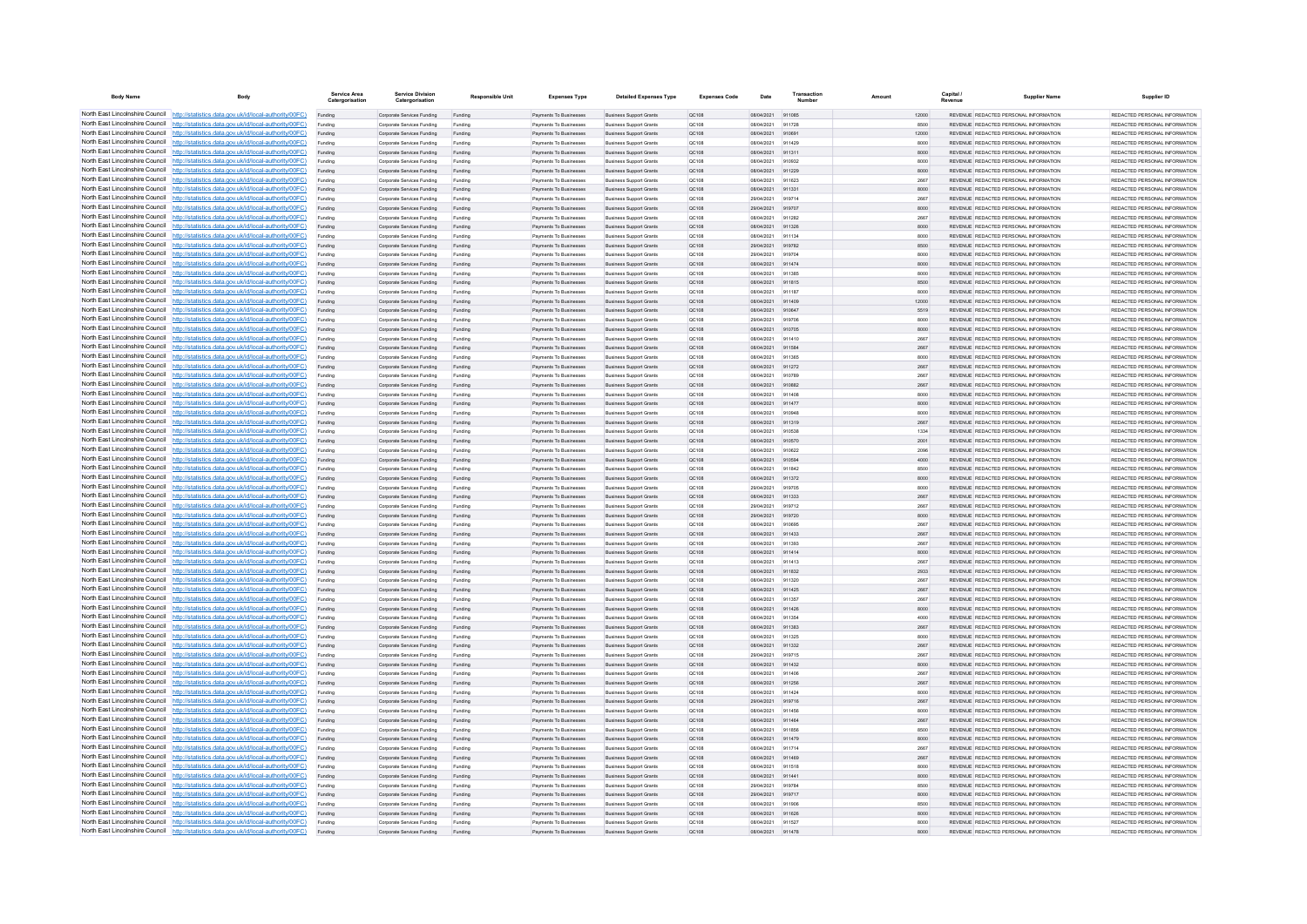| <b>Body Name</b>                | Body                                                                                                                                                                               | Service Area<br>Catergorisatio | <b>Service Division</b><br>Catergorisation               | <b>Responsible Unit</b> | <b>Expenses Type</b>                                    | <b>Detailed Expenses Type</b>                                    | <b>Expenses Code</b>  | Date                     | Transaction      | Amoun        | Capital / | <b>Supplier Name</b>                                                           | Supplier ID                                                    |
|---------------------------------|------------------------------------------------------------------------------------------------------------------------------------------------------------------------------------|--------------------------------|----------------------------------------------------------|-------------------------|---------------------------------------------------------|------------------------------------------------------------------|-----------------------|--------------------------|------------------|--------------|-----------|--------------------------------------------------------------------------------|----------------------------------------------------------------|
|                                 | North East Lincolnshire Council http://statistics.data.gov.uk/id/local-authority/00FC)                                                                                             | Funding                        | Corporate Services Funding                               | Funding                 | Payments To Businesses                                  | <b>Business Support Grants</b>                                   | <b>QC108</b>          | 08/04/2021 911085        |                  | 12000        |           | REVENUE REDACTED PERSONAL INFORMATION                                          | REDACTED PERSONAL INFORMATION                                  |
|                                 | North East Lincolnshire Council http://statistics.data.gov.uk/id/local-authority/00FC)                                                                                             | Funding                        | Corporate Services Funding                               | Funding                 | Payments To Businesses                                  | <b>Business Support Grants</b>                                   | QC108                 | 08/04/2021               | 911728           | 8500         |           | REVENUE REDACTED PERSONAL INFORMATION                                          | REDACTED PERSONAL INFORMATION                                  |
|                                 | North East Lincolnshire Council http://statistics.data.gov.uk/id/local-authority/00FC)                                                                                             | Funding                        | Corporate Services Funding                               | Funding                 | Payments To Businesser                                  | <b>Business Support Grants</b>                                   | QC108                 | 08/04/2021               | 910691           | 12000        |           | REVENUE REDACTED PERSONAL INFORMATION                                          | REDACTED PERSONAL INFORMATION                                  |
|                                 | North East Lincolnshire Council http://statistics.data.gov.uk/id/local-authority/00FC)<br>North East Lincolnshire Council http://statistics.data.gov.uk/id/local-authority/00FC)   | Funding                        | Comorate Services Funding                                | Funding                 | <b>Payments To Businesses</b><br>Payments To Businesses | <b>Business Sunnort Grants</b>                                   | 00108                 | 08/04/2021               | 911429<br>911311 | 8000         |           | REVENUE REDACTED PERSONAL INFORMATION<br>REVENUE REDACTED PERSONAL INFORMATION | REDACTED PERSONAL INFORMATION<br>REDACTED PERSONAL INFORMATION |
|                                 | North East Lincolnshire Council http://statistics.data.gov.uk/id/local-authority/00FC)                                                                                             | Funding<br>Funding             | Corporate Services Funding<br>Corporate Services Funding | Funding<br>Funding      | Payments To Businesses                                  | <b>Business Support Grants</b><br><b>Business Support Grants</b> | <b>QC108</b><br>QC108 | 08/04/2021<br>08/04/2021 | 910932           | 8000<br>8000 |           | REVENUE REDACTED PERSONAL INFORMATION                                          | REDACTED PERSONAL INFORMATION                                  |
|                                 | North East Lincolnshire Council http://statistics.data.gov.uk/id/local-authority/00FC)                                                                                             | Funding                        | Corporate Services Funding                               | Funding                 | Payments To Businesses                                  | <b>Business Support Grants</b>                                   | QC108                 | 08/04/2021               | 911229           | 8000         |           | REVENUE REDACTED PERSONAL INFORMATION                                          | REDACTED PERSONAL INFORMATION                                  |
|                                 | North East Lincolnshire Council http://statistics.data.gov.uk/id/local-authority/00FC)                                                                                             | Funding                        | Corporate Services Funding                               | Funding                 | <b>Payments To Businesses</b>                           | <b>Business Support Grants</b>                                   | OC108                 | 08/04/2021               | 911623           | 2667         |           | REVENUE REDACTED PERSONAL INFORMATION                                          | REDACTED PERSONAL INFORMATION                                  |
| North East Lincolnshire Council | http://statistics.data.gov.uk/id/local-authority/00FC)                                                                                                                             | Funding                        | Corporate Services Funding                               | Funding                 | Payments To Businesses                                  | <b>Business Support Grants</b>                                   | QC108                 | 08/04/2021               | 911331           | 8000         |           | REVENUE REDACTED PERSONAL INFORMATION                                          | REDACTED PERSONAL INFORMATION                                  |
| North East Lincolnshire Council | http://statistics.data.gov.uk/id/local-authority/00FC)                                                                                                                             | Funding                        | Corporate Services Funding                               | Funding                 | Payments To Businesser                                  | <b>Business Support Grants</b>                                   | QC108                 | 29/04/2021               | 919714           | 2667         |           | REVENUE REDACTED PERSONAL INFORMATION                                          | REDACTED PERSONAL INFORMATION                                  |
|                                 | North East Lincolnshire Council http://statistics.data.gov.uk/id/local-authority/00FC)                                                                                             |                                | Corporate Services Funding                               | Funding                 | Payments To Businesses                                  | <b>Business Support Grants</b>                                   | QC108                 | 29/04/2021               | 919707           | 8000         |           | <b>PEVENHE PEDACTED PERSONAL INFORMATION</b>                                   | REDACTED PERSONAL INFORMATION                                  |
|                                 | North East Lincolnshire Council http://statistics.data.gov.uk/id/local-authority/00FC)                                                                                             | Funding                        | Comorate Services Funding                                | Funding                 | <b>Payments To Businesses</b>                           | <b>Business Sunnort Grants</b>                                   | OC108                 | 08/04/2021               | 911282           | 2667         |           | REVENUE REDACTED PERSONAL INFORMATION                                          | REDACTED PERSONAL INFORMATION                                  |
|                                 | North East Lincolnshire Council http://statistics.data.gov.uk/id/local-authority/00FC)                                                                                             | Funding                        | Corporate Services Funding                               | Funding                 | Payments To Businesses                                  | <b>Business Support Grants</b>                                   | <b>QC108</b>          | 08/04/2021               | 911326           | 8000         |           | REVENUE REDACTED PERSONAL INFORMATION                                          | REDACTED PERSONAL INFORMATION                                  |
|                                 | North East Lincolnshire Council http://statistics.data.gov.uk/id/local-authority/00FC)                                                                                             | Funding                        | Corporate Services Funding                               | Funding                 | Payments To Businesser                                  | <b>Business Support Grants</b>                                   | QC108                 | 08/04/2021               | 911134           | 8000         |           | REVENUE REDACTED PERSONAL INFORMATION                                          | REDACTED PERSONAL INFORMATION                                  |
| North East Lincolnshire Council | North East Lincolnshire Council http://statistics.data.gov.uk/id/local-authority/00FC)<br>http://statistics.data.gov.uk/id/local-authority/00FC)                                   | Funding                        | Corporate Services Funding                               | Funding                 | Payments To Businesses                                  | <b>Business Support Grants</b>                                   | QC108                 | 29/04/2021               | 919782<br>919704 | 8500         |           | REVENUE REDACTED PERSONAL INFORMATION<br>REVENUE REDACTED PERSONAL INFORMATION | REDACTED PERSONAL INFORMATION<br>REDACTED PERSONAL INFORMATION |
| North East Lincolnshire Council | p://statistics.data.gov.uk/id/local-authority/00FC)                                                                                                                                | Funding<br>Funding             | Corporate Services Funding<br>Corporate Services Funding | Funding<br>Funding      | Payments To Businesses<br>Payments To Businesses        | <b>Business Support Grants</b><br><b>Business Support Grants</b> | QC108<br>QC108        | 29/04/2021<br>08/04/2021 | 911474           | 8000<br>8000 |           | REVENUE REDACTED PERSONAL INFORMATION                                          | REDACTED PERSONAL INFORMATION                                  |
| North East Lincolnshire Council | http://statistics.data.gov.uk/id/local-authority/00FC)                                                                                                                             | Funding                        | Corporate Services Funding                               | Funding                 | Payments To Businesser                                  | <b>Business Support Grants</b>                                   | QC108                 | 08/04/2021               | 91138            | 8000         |           | REVENUE REDACTED PERSONAL INFORMATION                                          | REDACTED PERSONAL INFORMATION                                  |
|                                 | North East Lincolnshire Council http://statistics.data.gov.uk/id/local-authority/00FC)                                                                                             | Funding                        | Corporate Services Funding                               | Funding                 | <b>Payments To Businesses</b>                           | <b>Business Sunnort Grants</b>                                   | QC108                 | 08/04/2021               | 911815           | 8500         |           | REVENUE REDACTED PERSONAL INFORMATION                                          | REDACTED PERSONAL INFORMATION                                  |
|                                 | North East Lincolnshire Council http://statistics.data.gov.uk/id/local-authority/00FC)                                                                                             | Funding                        | Corporate Services Funding                               | Funding                 | Payments To Businesses                                  | <b>Business Support Grants</b>                                   | OC108                 | 08/04/2021               | 911187           | 8000         |           | REVENUE REDACTED PERSONAL INFORMATION                                          | REDACTED PERSONAL INFORMATION                                  |
|                                 | North East Lincolnshire Council http://statistics.data.gov.uk/id/local-authority/00FC)                                                                                             | Funding                        | Corporate Services Funding                               | Funding                 | Payments To Businesses                                  | <b>Business Support Grants</b>                                   | QC108                 | 08/04/2021               | 911409           | 12000        |           | REVENUE REDACTED PERSONAL INFORMATION                                          | REDACTED PERSONAL INFORMATION                                  |
|                                 | North East Lincolnshire Council http://statistics.data.gov.uk/id/local-authority/00FC)                                                                                             | Funding                        | Corporate Services Funding                               | Funding                 | Payments To Businesses                                  | <b>Business Support Grants</b>                                   | QC108                 | 08/04/2021               | 910647           | 5519         |           | REVENUE REDACTED PERSONAL INFORMATION                                          | REDACTED PERSONAL INFORMATION                                  |
|                                 | North East Lincolnshire Council http://statistics.data.gov.uk/id/local-authority/00FC)                                                                                             | Funding                        | Corporate Services Funding                               | Funding                 | <b>Payments To Businesses</b>                           | <b>Business Support Grants</b>                                   | OC108                 | 29/04/2021               | 919706           | 8000         |           | REVENUE REDACTED PERSONAL INFORMATION                                          | REDACTED PERSONAL INFORMATION                                  |
| North East Lincolnshire Council | http://statistics.data.gov.uk/id/local-authority/00FC)                                                                                                                             | Funding                        | Corporate Services Funding                               | Funding                 | Payments To Businesses                                  | <b>Business Support Grants</b>                                   | OC108                 | 08/04/2021               | 910705           | 8000         |           | REVENUE REDACTED PERSONAL INFORMATION                                          | REDACTED PERSONAL INFORMATION                                  |
| North East Lincolnshire Council | http://statistics.data.gov.uk/id/local-authority/00FC)                                                                                                                             | Funding                        | Corporate Services Funding                               | Funding                 | Payments To Businesses                                  | <b>Business Support Grants</b>                                   | QC108                 | 08/04/2021               | 911410           | 2667         |           | REVENUE REDACTED PERSONAL INFORMATION                                          | REDACTED PERSONAL INFORMATION                                  |
|                                 | North East Lincolnshire Council   http://statistics.data.gov.uk/id/local-authority/00FC)<br>North East Lincolnshire Council http://statistics.data.gov.uk/id/local-authority/00FC) | Funding                        | Corporate Services Funding                               | Funding                 | Payments To Businesses                                  | <b>Business Support Grants</b>                                   | QC108                 | 08/04/2021               | 911584<br>911365 | 2667         |           | <b>PEVENHE PEDACTED PERSONAL INFORMATION</b>                                   | REDACTED PERSONAL INFORMATION                                  |
|                                 | North East Lincolnshire Council http://statistics.data.gov.uk/id/local-authority/00FC)                                                                                             | Funding<br>Funding             | Corporate Services Funding<br>Corporate Services Funding | Funding<br>Funding      | Payments To Businesses<br>Payments To Businesses        | <b>Business Support Grants</b><br><b>Business Support Grants</b> | QC108<br><b>QC108</b> | 08/04/2021<br>08/04/2021 | 911272           | 8000<br>2667 |           | REVENUE REDACTED PERSONAL INFORMATION<br>REVENUE REDACTED PERSONAL INFORMATION | REDACTED PERSONAL INFORMATION<br>REDACTED PERSONAL INFORMATION |
|                                 | North East Lincolnshire Council http://statistics.data.gov.uk/id/local-authority/00FC)                                                                                             | Funding                        | Corporate Services Funding                               | Funding                 | Payments To Businesses                                  | <b>Business Support Grants</b>                                   | QC108                 | 08/04/2021               | 910789           | 2667         |           | REVENUE REDACTED PERSONAL INFORMATION                                          | REDACTED PERSONAL INFORMATION                                  |
|                                 | North East Lincolnshire Council http://statistics.data.gov.uk/id/local-authority/00FC)                                                                                             | Funding                        | Corporate Services Funding                               | Funding                 | Payments To Businesses                                  | <b>Business Support Grants</b>                                   | QC108                 | 08/04/2021               | 910882           | 2667         |           | REVENUE REDACTED PERSONAL INFORMATION                                          | REDACTED PERSONAL INFORMATION                                  |
| North East Lincolnshire Council | http://statistics.data.gov.uk/id/local-authority/00FC)                                                                                                                             | Funding                        | Corporate Services Funding                               | Funding                 | Payments To Businesser                                  | <b>Business Support Grants</b>                                   | QC108                 | 08/04/2021               | 911408           | 8000         |           | REVENUE REDACTED PERSONAL INFORMATION                                          | REDACTED PERSONAL INFORMATION                                  |
|                                 | North East Lincolnshire Council http://statistics.data.gov.uk/id/local-authority/00FC)                                                                                             | Funding                        | Corporate Services Funding                               | Funding                 | Payments To Businesses                                  | <b>Business Support Grants</b>                                   | QC108                 | 08/04/2021               | 911477           | 8000         |           | REVENUE REDACTED PERSONAL INFORMATION                                          | REDACTED PERSONAL INFORMATION                                  |
|                                 | North East Lincolnshire Council http://statistics.data.gov.uk/id/local-authority/00FC)                                                                                             | Funding                        | Corporate Services Funding                               | Funding                 | Payments To Businesse                                   | <b>Business Support Grant</b>                                    | QC108                 | 08/04/2021               | 910948           | 8000         |           | REVENUE REDACTED PERSONAL INFORMATION                                          | REDACTED PERSONAL INFORMATION                                  |
|                                 | North East Lincolnshire Council http://statistics.data.gov.uk/id/local-authority/00FC)                                                                                             |                                | Corporate Services Funding                               | Funding                 | Payments To Businesser                                  | <b>Business Support Grants</b>                                   | QC108                 | 08/04/2021               | 911319           | 2667         |           | REVENUE REDACTED PERSONAL INFORMATION                                          | REDACTED PERSONAL INFORMATION                                  |
|                                 | North East Lincolnshire Council http://statistics.data.gov.uk/id/local-authority/00FC)                                                                                             | Funding                        | Comorate Services Funding                                | Funding                 | <b>Payments To Businesses</b>                           | <b>Business Sunnort Grants</b>                                   | OC108                 | 08/04/2021               | 910538           | 1334         |           | REVENUE REDACTED PERSONAL INFORMATION                                          | REDACTED PERSONAL INFORMATION                                  |
|                                 | North East Lincolnshire Council http://statistics.data.gov.uk/id/local-authority/00FC)                                                                                             | Funding                        | Corporate Services Funding                               | Funding                 | Payments To Businesses                                  | <b>Business Support Grants</b>                                   | <b>QC108</b>          | 08/04/2021               | 910570           | 2001         |           | REVENUE REDACTED PERSONAL INFORMATION                                          | REDACTED PERSONAL INFORMATION                                  |
|                                 | North East Lincolnshire Council http://statistics.data.gov.uk/id/local-authority/00FC)                                                                                             | Funding                        | Corporate Services Funding                               | Funding                 | Payments To Businesses                                  | <b>Business Support Grants</b>                                   | QC108                 | 08/04/2021               | 910622           | 2096         |           | REVENUE REDACTED PERSONAL INFORMATION                                          | REDACTED PERSONAL INFORMATION                                  |
| North East Lincolnshire Council | North East Lincolnshire Council http://statistics.data.gov.uk/id/local-authority/00FC)<br>http://statistics.data.gov.uk/id/local-authority/00EC)                                   | Funding                        | Corporate Services Funding                               | Funding                 | Payments To Businesses<br><b>Payments To Businesses</b> | <b>Business Support Grants</b>                                   | QC108                 | 08/04/2021<br>08/04/2021 | 910594<br>911842 | 4000<br>8500 |           | REVENUE REDACTED PERSONAL INFORMATION<br>REVENUE REDACTED PERSONAL INFORMATION | REDACTED PERSONAL INFORMATION<br>REDACTED PERSONAL INFORMATION |
| North East Lincolnshire Council | http://statistics.data.gov.uk/id/local-authority/00FC)                                                                                                                             | Funding<br>Funding             | Corporate Services Funding<br>Corporate Services Funding | Funding<br>Funding      | Payments To Businesses                                  | <b>Business Support Grants</b><br><b>Business Support Grants</b> | OC108<br>QC108        | 08/04/2021               | 911372           | 8000         |           | REVENUE REDACTED PERSONAL INFORMATION                                          | REDACTED PERSONAL INFORMATION                                  |
|                                 | North East Lincolnshire Council http://statistics.data.gov.uk/id/local-authority/00FC)                                                                                             | Funding                        | Corporate Services Funding                               | Funding                 | Payments To Businesser                                  | <b>Business Support Grants</b>                                   | QC108                 | 29/04/2021               | 91970            | 8000         |           | REVENUE REDACTED PERSONAL INFORMATION                                          | REDACTED PERSONAL INFORMATION                                  |
|                                 | North East Lincolnshire Council http://statistics.data.gov.uk/id/local-authority/00FC)                                                                                             | Funding                        | Corporate Services Funding                               | Funding                 | Payments To Businesses                                  | <b>Business Support Grants</b>                                   | QC108                 | 08/04/2021               | 911333           | 2667         |           | REVENUE REDACTED PERSONAL INFORMATION                                          | REDACTED PERSONAL INFORMATION                                  |
|                                 | North East Lincolnshire Council http://statistics.data.gov.uk/id/local-authority/00FC)                                                                                             | Funding                        | Corporate Services Funding                               | Funding                 | <b>Payments To Businesses</b>                           | <b>Business Support Grants</b>                                   | QC108                 | 29/04/2021               | 919712           | 2667         |           | REVENUE REDACTED PERSONAL INFORMATION                                          | REDACTED PERSONAL INFORMATION                                  |
|                                 | North East Lincolnshire Council http://statistics.data.gov.uk/id/local-authority/00FC)                                                                                             | Funding                        | Corporate Services Funding                               | Funding                 | Payments To Businesses                                  | <b>Business Support Grants</b>                                   | <b>QC108</b>          | 29/04/2021               | 919720           | 8000         |           | REVENUE REDACTED PERSONAL INFORMATION                                          | REDACTED PERSONAL INFORMATION                                  |
|                                 | North East Lincolnshire Council http://statistics.data.gov.uk/id/local-authority/00FC)                                                                                             | Funding                        | Corporate Services Funding                               | Funding                 | Payments To Businesser                                  | <b>Business Support Grants</b>                                   | QC108                 | 08/04/2021               | 91069            | 2667         |           | REVENUE REDACTED PERSONAL INFORMATION                                          | REDACTED PERSONAL INFORMATION                                  |
|                                 | North East Lincolnshire Council http://statistics.data.gov.uk/id/local-authority/00FC)                                                                                             | Funding                        | Corporate Services Funding                               | Funding                 | Payments To Businesses                                  | <b>Business Support Grants</b>                                   | QC108                 | 08/04/2021               | 911433           | 2667         |           | REVENUE REDACTED PERSONAL INFORMATION                                          | REDACTED PERSONAL INFORMATION                                  |
|                                 | North East Lincolnshire Council http://statistics.data.gov.uk/id/local-authority/00FC)                                                                                             | Funding                        | Corporate Services Funding                               | Funding                 | Payments To Businesser                                  | <b>Business Support Grants</b>                                   | QC108                 | 08/04/2021               | 911393           | 2667         |           | REVENUE REDACTED PERSONAL INFORMATION                                          | REDACTED PERSONAL INFORMATION                                  |
|                                 | North East Lincolnshire Council http://statistics.data.gov.uk/id/local-authority/00FC)<br>North East Lincolnshire Council http://statistics.data.gov.uk/id/local-authority/00FC)   | Funding                        | Corporate Services Funding                               | Funding                 | Payments To Businesses                                  | <b>Business Support Grants</b>                                   | QC108                 | 08/04/2021               | 911414           | 8000         |           | REVENUE REDACTED PERSONAL INFORMATION                                          | REDACTED PERSONAL INFORMATION                                  |
|                                 | North East Lincolnshire Council http://statistics.data.gov.uk/id/local-authority/00FC)                                                                                             | Funding                        | Corporate Services Funding                               | Funding                 | Payments To Businesser                                  | <b>Business Support Grants</b>                                   | QC108<br>OC108        | 08/04/2021<br>08/04/2021 | 911413<br>911832 | 2667<br>2933 |           | REVENUE REDACTED PERSONAL INFORMATION<br>REVENUE REDACTED PERSONAL INFORMATION | REDACTED PERSONAL INFORMATION<br>REDACTED PERSONAL INFORMATION |
|                                 | North East Lincolnshire Council http://statistics.data.gov.uk/id/local-authority/00FC)                                                                                             | Funding<br>Funding             | Corporate Services Funding<br>Corporate Services Funding | Funding<br>Funding      | Payments To Businesses<br>Payments To Businesses        | <b>Business Support Grants</b><br><b>Business Support Grants</b> | QC108                 | 08/04/2021               | 911320           | 2667         |           | REVENUE REDACTED PERSONAL INFORMATION                                          | REDACTED PERSONAL INFORMATION                                  |
|                                 | North East Lincolnshire Council http://statistics.data.gov.uk/id/local-authority/00FC)                                                                                             | Funding                        | Corporate Services Funding                               | Funding                 | Payments To Businesses                                  | <b>Business Support Grants</b>                                   | QC108                 | 08/04/2021               | 911425           | 2667         |           | REVENUE REDACTED PERSONAL INFORMATION                                          | REDACTED PERSONAL INFORMATION                                  |
|                                 | North East Lincolnshire Council http://statistics.data.gov.uk/id/local-authority/00FC)                                                                                             | Funding                        | Corporate Services Funding                               | Funding                 | Payments To Businesses                                  | <b>Business Support Grants</b>                                   | QC108                 | 08/04/2021               | 911357           | 2667         |           | REVENUE REDACTED PERSONAL INFORMATION                                          | REDACTED PERSONAL INFORMATION                                  |
| North East Lincolnshire Council | http://statistics.data.gov.uk/id/local-authority/00EC)                                                                                                                             | Funding                        | Corporate Services Funding                               | Funding                 | Payments To Businesses                                  | <b>Business Support Grants</b>                                   | OC108                 | 08/04/2021               | 911426           | 8000         |           | REVENUE REDACTED PERSONAL INFORMATION                                          | REDACTED PERSONAL INFORMATION                                  |
| North East Lincolnshire Council | http://statistics.data.gov.uk/id/local-authority/00FC)                                                                                                                             | Funding                        | Corporate Services Funding                               | Funding                 | Payments To Businesses                                  | <b>Business Support Grants</b>                                   | QC108                 | 08/04/2021               | 911354           | 4000         |           | REVENUE REDACTED PERSONAL INFORMATION                                          | REDACTED PERSONAL INFORMATION                                  |
|                                 | North East Lincolnshire Council http://statistics.data.gov.uk/id/local-authority/00FC)                                                                                             | Funding                        | Corporate Services Funding                               | Funding                 | Payments To Businesses                                  | <b>Business Support Grants</b>                                   | QC108                 | 08/04/2021               | 911383           | 2667         |           | REVENUE REDACTED PERSONAL INFORMATION                                          | REDACTED PERSONAL INFORMATION                                  |
|                                 | North East Lincolnshire Council http://statistics.data.gov.uk/id/local-authority/00FC)                                                                                             | Funding                        | Corporate Services Funding                               | Funding                 | <b>Payments To Businesses</b>                           | <b>Business Support Grants</b>                                   | QC108                 | 08/04/2021               | 911325           | 8000         |           | REVENUE REDACTED PERSONAL INFORMATION                                          | REDACTED PERSONAL INFORMATION                                  |
|                                 | North East Lincolnshire Council http://statistics.data.gov.uk/id/local-authority/00FC)                                                                                             | Funding                        | Corporate Services Funding                               | Funding                 | Payments To Businesses                                  | <b>Business Support Grants</b>                                   | <b>QC108</b>          | 08/04/2021               | 911332           | 2667         |           | REVENUE REDACTED PERSONAL INFORMATION                                          | REDACTED PERSONAL INFORMATION                                  |
|                                 | North East Lincolnshire Council http://statistics.data.gov.uk/id/local-authority/00FC)                                                                                             | Funding                        | Corporate Services Funding                               | Funding                 | Payments To Businesses                                  | <b>Business Support Grants</b>                                   | QC108                 | 29/04/2021               | 919715           | 2667         |           | REVENUE REDACTED PERSONAL INFORMATION                                          | REDACTED PERSONAL INFORMATION                                  |
| North East Lincolnshire Council | North East Lincolnshire Council http://statistics.data.gov.uk/id/local-authority/00FC)<br>http://statistics.data.gov.uk/id/local-authority/00FC)                                   | Funding                        | Corporate Services Funding<br>Corporate Services Funding | Funding                 | Payments To Businesses                                  | <b>Business Support Grants</b><br><b>Business Support Grants</b> | QC108                 | 08/04/2021<br>08/04/2021 | 911432<br>911408 | 8000<br>2667 |           | REVENUE REDACTED PERSONAL INFORMATION<br>REVENUE REDACTED PERSONAL INFORMATION | REDACTED PERSONAL INFORMATION<br>REDACTED PERSONAL INFORMATION |
| North East Lincolnshire Council | http://statistics.data.gov.uk/id/local-authority/00FC)                                                                                                                             | Funding<br>Funding             | Corporate Services Funding                               | Funding<br>Funding      | Payments To Businesses<br>Payments To Businesses        | <b>Business Support Grants</b>                                   | OC108<br>QC108        | 08/04/2021               | 911256           | 2667         |           | REVENUE REDACTED PERSONAL INFORMATION                                          | REDACTED PERSONAL INFORMATION                                  |
|                                 | North East Lincolnshire Council http://statistics.data.gov.uk/id/local-authority/00FC)                                                                                             | Funding                        | Corporate Services Funding                               | Funding                 | Payments To Businesser                                  | <b>Business Support Grants</b>                                   | QC108                 | 08/04/2021               | 91142            | 8000         |           | REVENUE REDACTED PERSONAL INFORMATION                                          | REDACTED PERSONAL INFORMATION                                  |
|                                 | North East Lincolnshire Council http://statistics.data.gov.uk/id/local-authority/00FC)                                                                                             | Funding                        | Corporate Services Funding                               | Funding                 | Payments To Businesser                                  | <b>Business Support Grants</b>                                   | QC108                 | 29/04/2021               | 919716           | 2667         |           | REVENUE REDACTED PERSONAL INFORMATION                                          | REDACTED PERSONAL INFORMATION                                  |
|                                 | North East Lincolnshire Council http://statistics.data.gov.uk/id/local-authority/00FC)                                                                                             | Funding                        | Comorate Services Funding                                | Funding                 | <b>Payments To Businesses</b>                           | <b>Business Sunnort Grants</b>                                   | OC108                 | 08/04/2021               | 911456           | 8000         |           | REVENUE REDACTED PERSONAL INFORMATION                                          | REDACTED PERSONAL INFORMATION                                  |
|                                 | North East Lincolnshire Council http://statistics.data.gov.uk/id/local-authority/00FC)                                                                                             | Funding                        | Corporate Services Funding                               | Funding                 | Payments To Businesses                                  | <b>Business Support Grants</b>                                   | <b>QC108</b>          | 08/04/2021               | 911464           | 2667         |           | REVENUE REDACTED PERSONAL INFORMATION                                          | REDACTED PERSONAL INFORMATION                                  |
|                                 | North East Lincolnshire Council http://statistics.data.gov.uk/id/local-authority/00FC)                                                                                             | Funding                        | Corporate Services Funding                               | Funding                 | Payments To Businesses                                  | <b>Business Support Grants</b>                                   | QC108                 | 08/04/2021               | 91185            | 8500         |           | REVENUE REDACTED PERSONAL INFORMATION                                          | REDACTED PERSONAL INFORMATION                                  |
|                                 | North East Lincolnshire Council http://statistics.data.gov.uk/id/local-authority/00FC)                                                                                             | Funding                        | Corporate Services Funding                               | Funding                 | Payments To Businesses                                  | <b>Business Support Grants</b>                                   | QC108                 | 08/04/2021               | 911479           | 8000         |           | REVENUE REDACTED PERSONAL INFORMATION                                          | REDACTED PERSONAL INFORMATION                                  |
| North East Lincolnshire Council | http://statistics.data.gov.uk/id/local-authority/00FC)                                                                                                                             | Funding                        | Corporate Services Funding                               | Funding                 | Payments To Businesses                                  | <b>Business Support Grants</b>                                   | QC108                 | 08/04/2021               | 911714           | 2667         |           | REVENUE REDACTED PERSONAL INFORMATION                                          | REDACTED PERSONAL INFORMATION                                  |
|                                 | North East Lincolnshire Council http://statistics.data.gov.uk/id/local-authority/00FC)                                                                                             | Funding                        | Corporate Services Funding                               | Funding                 | Payments To Businesses                                  | <b>Business Support Grants</b>                                   | QC108                 | 08/04/2021               | 911469           | 2667         |           | REVENUE REDACTED PERSONAL INFORMATION                                          | REDACTED PERSONAL INFORMATION                                  |
|                                 | North East Lincolnshire Council http://statistics.data.gov.uk/id/local-authority/00FC)<br>North East Lincolnshire Council http://statistics.data.gov.uk/id/local-authority/00FC)   | Funding                        | Corporate Services Funding                               | Funding                 | Payments To Businesser                                  | <b>Business Support Grants</b>                                   | QC108                 | 08/04/2021               | 911518           | 8000         |           | REVENUE REDACTED PERSONAL INFORMATION                                          | REDACTED PERSONAL INFORMATION                                  |
|                                 | North East Lincolnshire Council http://statistics.data.gov.uk/id/local-authority/00FC)                                                                                             | Funding<br>Funding             | Corporate Services Funding<br>Corporate Services Funding | Funding<br>Funding      | Payments To Businesses<br>Payments To Businesses        | <b>Business Support Grants</b><br><b>Business Support Grants</b> | QC108<br>QC108        | 08/04/2021<br>29/04/2021 | 911441<br>919784 | 8000<br>8500 |           | REVENUE REDACTED PERSONAL INFORMATION<br>REVENUE REDACTED PERSONAL INFORMATION | REDACTED PERSONAL INFORMATION<br>REDACTED PERSONAL INFORMATION |
|                                 | North East Lincolnshire Council http://statistics.data.gov.uk/id/local-authority/00FC)                                                                                             | Funding                        | Corporate Services Funding                               | Funding                 | Payments To Businesses                                  | <b>Business Support Grants</b>                                   | <b>QC108</b>          | 29/04/2021               | 919717           | 8000         |           | REVENUE REDACTED PERSONAL INFORMATION                                          | REDACTED PERSONAL INFORMATION                                  |
|                                 | North East Lincolnshire Council http://statistics.data.gov.uk/id/local-authority/00FC)                                                                                             |                                | Corporate Services Funding                               | Funding                 | Payments To Businesser                                  | <b>Business Support Grants</b>                                   | QC108                 | 08/04/2021               | 911906           | 8500         |           | REVENUE REDACTED PERSONAL INFORMATION                                          | REDACTED PERSONAL INFORMATION                                  |
|                                 | North East Lincolnshire Council http://statistics.data.gov.uk/id/local-authority/00FC)                                                                                             | Funding                        | Corporate Services Funding                               | Funding                 | Payments To Businesses                                  | <b>Business Support Grants</b>                                   | QC108                 | 08/04/2021 911626        |                  | 8000         |           | REVENUE REDACTED PERSONAL INFORMATION                                          | REDACTED PERSONAL INFORMATION                                  |
|                                 | North East Lincolnshire Council http://statistics.data.gov.uk/id/local-authority/00FC)                                                                                             | Funding                        | Corporate Services Funding                               | Funding                 | Payments To Businesses                                  | <b>Business Support Grants</b>                                   | OC108                 | 08/04/2021               | 911523           | 8000         |           | REVENUE REDACTED PERSONAL INFORMATION                                          | REDACTED PERSONAL INFORMATION                                  |
|                                 | North East Lincolnshire Council http://statistics.data.gov.uk/id/local-authority/00FC)                                                                                             |                                | Corporate Services Funding                               | Funding                 | Payments To Businesses                                  | <b>Business Support Grants</b>                                   |                       | 08/04/2021               |                  | 8000         |           | REVENUE REDACTED PERSONAL INFORMATION                                          | REDACTED PERSONAL INFORMATION                                  |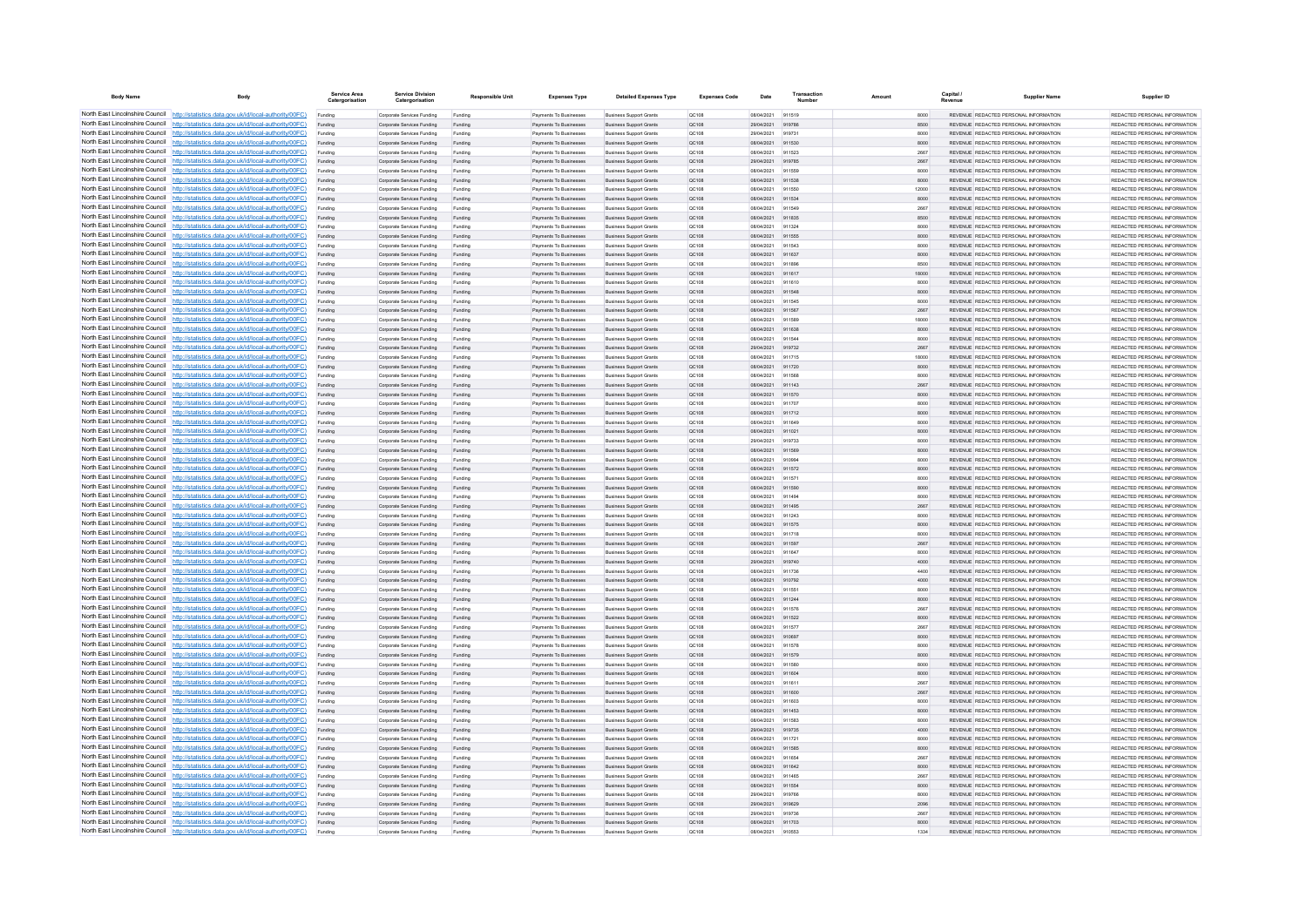| <b>Body Name</b>                | Body                                                                                                                                                                             | Service Area<br>Catergorisatio | <b>Service Division</b><br>Catergorisation               | <b>Responsible Unit</b> | <b>Expenses Type</b>                             | <b>Detailed Expenses Type</b>                                    | <b>Expenses Code</b>  | Date                     | Transactio       | Amount |               | Capital | <b>Supplier Name</b>                                                           | Supplier ID                                                     |
|---------------------------------|----------------------------------------------------------------------------------------------------------------------------------------------------------------------------------|--------------------------------|----------------------------------------------------------|-------------------------|--------------------------------------------------|------------------------------------------------------------------|-----------------------|--------------------------|------------------|--------|---------------|---------|--------------------------------------------------------------------------------|-----------------------------------------------------------------|
|                                 | North East Lincolnshire Council http://statistics.data.gov.uk/id/local-authority/00FC)                                                                                           | Funding                        | Corporate Services Funding                               | Funding                 | Payments To Businesses                           | <b>Business Support Grants</b>                                   | OC108                 | 08/04/2021               | 911519           |        | 8000          |         | REVENUE REDACTED PERSONAL INFORMATION                                          | REDACTED PERSONAL INFORMATION                                   |
|                                 | North East Lincolnshire Council http://statistics.data.gov.uk/id/local-authority/00FC)                                                                                           | Funding                        | Corporate Services Funding                               | Funding                 | Payments To Businesses                           | <b>Business Support Grants</b>                                   | QC108                 | 29/04/2021               | 919786           |        | 8500          |         | REVENUE REDACTED PERSONAL INFORMATION                                          | REDACTED PERSONAL INFORMATION                                   |
|                                 | North East Lincolnshire Council http://statistics.data.gov.uk/id/local-authority/00FC)                                                                                           | Funding                        | Corporate Services Funding                               | Funding                 | Payments To Busin                                | <b>Business Support Grant</b>                                    | QC108                 | 29/04/2021               | 919731           |        | 8000          |         | REVENUE REDACTED PERSONAL INFORMATION                                          | REDACTED PERSONAL INFORMATION                                   |
|                                 | North East Lincolnshire Council http://statistics.data.gov.uk/id/local-authority/00FC)<br>North East Lincolnshire Council http://statistics.data.gov.uk/id/local-authority/00FC) | Funding                        | Corporate Services Funding                               | Funding                 | Payments To Businesses                           | <b>Business Support Grants</b>                                   | OC108                 | 08/04/2021               | 911530<br>911523 |        | 8000          |         | REVENUE REDACTED PERSONAL INFORMATION<br>REVENUE REDACTED PERSONAL INFORMATION | REDACTED PERSONAL INFORMATION<br>REDACTED PERSONAL INFORMATION. |
|                                 | North East Lincolnshire Council http://statistics.data.gov.uk/id/local-authority/00FC)                                                                                           | Funding<br>Funding             | Corporate Services Funding<br>Corporate Services Funding | Funding<br>Funding      | Payments To Businesses<br>Payments To Businesses | <b>Business Support Grants</b><br><b>Business Support Grants</b> | <b>QC108</b><br>QC108 | 08/04/2021<br>29/04/2021 | 919785           |        | 2667<br>2667  |         | REVENUE REDACTED PERSONAL INFORMATION                                          | REDACTED PERSONAL INFORMATION                                   |
|                                 | North East Lincolnshire Council http://statistics.data.gov.uk/id/local-authority/00FC)                                                                                           | Funding                        | Corporate Services Funding                               | Funding                 | Payments To Businesses                           | <b>Business Support Grants</b>                                   | QC108                 | 08/04/2021               | 911559           |        | 8000          |         | REVENUE REDACTED PERSONAL INFORMATION                                          | REDACTED PERSONAL INFORMATION                                   |
|                                 | North East Lincolnshire Council http://statistics.data.gov.uk/id/local-authority/00FC)                                                                                           | Funding                        | Corporate Services Funding                               | Funding                 | <b>Payments To Businesses</b>                    | <b>Business Support Grants</b>                                   | OC108                 | 08/04/2021               | 911538           |        | 8000          |         | REVENUE, REDACTED PERSONAL INFORMATION                                         | REDACTED PERSONAL INFORMATION.                                  |
| North East Lincolnshire Council | http://statistics.data.gov.uk/id/local-authority/00FC)                                                                                                                           | Funding                        | Corporate Services Funding                               | Funding                 | <b>Payments To Businesses</b>                    | <b>Business Support Grants</b>                                   | OC108                 | 08/04/2021               | 911550           |        | 12000         |         | REVENUE REDACTED PERSONAL INFORMATION                                          | REDACTED PERSONAL INFORMATION                                   |
| North East Lincolnshire Council | http://statistics.data.gov.uk/id/local-authority/00FC)                                                                                                                           | Funding                        | Corporate Services Funding                               | Funding                 | Payments To Businesses                           | <b>Business Support Grants</b>                                   | QC108                 | 08/04/2021               | 911534           |        | 8000          |         | REVENUE REDACTED PERSONAL INFORMATION                                          | REDACTED PERSONAL INFORMATION                                   |
|                                 | North East Lincolnshire Council http://statistics.data.gov.uk/id/local-authority/00FC)                                                                                           | Funding                        | Corporate Services Funding                               | Funding                 | Payments To Businesses                           | <b>Business Support Grants</b>                                   | QC108                 | 08/04/2021               | 011540           |        | 2667          |         | <b>REVENHE REDACTED RERSONAL INFORMATION</b>                                   | <b>PEDACTED PERSONAL INFORMATION</b>                            |
|                                 | North East Lincolnshire Council http://statistics.data.gov.uk/id/local-authority/00FC)                                                                                           | Funding                        | Corporate Services Funding                               | Funding                 | Payments To Businesses                           | <b>Business Support Grants</b>                                   | QC108                 | 08/04/2021               | 911835           |        | 8500          |         | REVENUE REDACTED PERSONAL INFORMATION                                          | REDACTED PERSONAL INFORMATION                                   |
|                                 | North East Lincolnshire Council http://statistics.data.gov.uk/id/local-authority/00FC)                                                                                           | Funding                        | Corporate Services Funding                               | Funding                 | Payments To Businesses                           | <b>Business Support Grants</b>                                   | OC108                 | 08/04/2021               | 911324           |        | 8000          |         | REVENUE REDACTED PERSONAL INFORMATION                                          | REDACTED PERSONAL INFORMATION                                   |
|                                 | North East Lincolnshire Council http://statistics.data.gov.uk/id/local-authority/00FC)                                                                                           | Funding                        | Corporate Services Funding                               | Funding                 | Payments To Businesses                           | <b>Business Support Grants</b>                                   | QC108                 | 08/04/2021               | 911555           |        | 8000          |         | REVENUE REDACTED PERSONAL INFORMATION                                          | REDACTED PERSONAL INFORMATION                                   |
| North East Lincolnshire Council | North East Lincolnshire Council http://statistics.data.gov.uk/id/local-authority/00FC)<br>http://statistics.data.gov.uk/id/local-authority/00FC)                                 | Funding                        | Corporate Services Funding                               | Funding                 | Payments To Businessee<br>Payments To Businesses | <b>Business Support Grants</b><br><b>Business Support Grants</b> | OC108                 | 08/04/2021<br>08/04/2021 | 911543<br>911637 |        | 8000<br>8000  |         | REVENUE REDACTED PERSONAL INFORMATION<br>REVENUE REDACTED PERSONAL INFORMATION | REDACTED PERSONAL INFORMATION<br>REDACTED PERSONAL INFORMATION  |
| North East Lincolnshire Council | http://statistics.data.gov.uk/id/local-authority/00FC)                                                                                                                           | Funding<br>Funding             | Corporate Services Funding<br>Corporate Services Funding | Funding<br>Funding      | Payments To Businessee                           | <b>Business Support Grants</b>                                   | QC108<br>QC108        | 08/04/2021               | 911896           |        | 8500          |         | REVENUE REDACTED PERSONAL INFORMATION                                          | REDACTED PERSONAL INFORMATION                                   |
| North East Lincolnshire Council | http://statistics.data.gov.uk/id/local-authority/00FC)                                                                                                                           | Funding                        | Corporate Services Funding                               | Funding                 | Payments To Businessee                           | <b>Business Support Grants</b>                                   | QC108                 | 08/04/2021               | 911617           |        | 18000         |         | REVENUE, REDACTED PERSONAL INFORMATION                                         | REDACTED PERSONAL INFORMATION.                                  |
|                                 | North East Lincolnshire Council http://statistics.data.gov.uk/id/local-authority/00FC)                                                                                           | Funding                        | Comorate Services Funding                                | Funding                 | <b>Payments To Businesses</b>                    | <b>Business Sunnort Grants</b>                                   | OC108                 | 08/04/2021               | 911610           |        | 8000          |         | REVENUE, REDACTED PERSONAL INFORMATION                                         | REDACTED PERSONAL INFORMATION.                                  |
|                                 | North East Lincolnshire Council   http://statistics.data.gov.uk/id/local-authority/00FC)                                                                                         | Funding                        | Corporate Services Funding                               | Funding                 | Payments To Businesses                           | <b>Business Support Grants</b>                                   | OC108                 | 08/04/2021               | 911548           |        | 8000          |         | REVENUE REDACTED PERSONAL INFORMATION                                          | REDACTED PERSONAL INFORMATION                                   |
|                                 | North East Lincolnshire Council http://statistics.data.gov.uk/id/local-authority/00FC)                                                                                           | Funding                        | Corporate Services Funding                               | Funding                 | Payments To Businesses                           | <b>Business Support Grants</b>                                   | OC108                 | 08/04/2021               | 911545           |        | 8000          |         | REVENUE REDACTED PERSONAL INFORMATION                                          | REDACTED PERSONAL INFORMATION                                   |
|                                 | North East Lincolnshire Council   http://statistics.data.gov.uk/id/local-authority/00FC)                                                                                         | Funding                        | Corporate Services Funding                               | Funding                 | Payments To Businesses                           | <b>Business Support Grants</b>                                   | QC108                 | 08/04/2021               | 911567           |        | 2667          |         | REVENUE REDACTED PERSONAL INFORMATION                                          | REDACTED PERSONAL INFORMATION                                   |
|                                 | North East Lincolnshire Council http://statistics.data.gov.uk/id/local-authority/00FC)                                                                                           | Funding                        | Corporate Services Funding                               | Funding                 | Payments To Businesses                           | <b>Business Support Grants</b>                                   | QC108                 | 08/04/2021               | 911589           |        | 18000         |         | REVENUE REDACTED PERSONAL INFORMATION                                          | REDACTED PERSONAL INFORMATION                                   |
| North East Lincolnshire Council | http://statistics.data.gov.uk/id/local-authority/00FC)                                                                                                                           | Funding                        | Corporate Services Funding                               | Funding                 | Payments To Businesses                           | <b>Business Support Grants</b>                                   | QC108                 | 08/04/2021               | 911638           |        | 8000          |         | REVENUE REDACTED PERSONAL INFORMATION                                          | REDACTED PERSONAL INFORMATION                                   |
|                                 | North East Lincolnshire Council http://statistics.data.gov.uk/id/local-authority/00FC)                                                                                           | Funding                        | Corporate Services Funding                               | Funding                 | Payments To Businessee                           | <b>Business Support Grants</b>                                   | QC108                 | 08/04/2021               | 911544           |        | 8000          |         | REVENUE REDACTED PERSONAL INFORMATION                                          | REDACTED PERSONAL INFORMATION                                   |
|                                 | North East Lincolnshire Council http://statistics.data.gov.uk/id/local-authority/00FC)<br>North East Lincolnshire Council http://statistics.data.gov.uk/id/local-authority/00FC) | Funding                        | Corporate Services Funding                               | Funding                 | Payments To Businesses                           | <b>Business Support Grants</b>                                   | QC108                 | 29/04/2021               | 919732           |        | 2667          |         | REVENUE REDACTED PERSONAL INFORMATION                                          | REDACTED PERSONAL INFORMATION<br>REDACTED PERSONAL INFORMATION  |
|                                 | North East Lincolnshire Council http://statistics.data.gov.uk/id/local-authority/00FC)                                                                                           | Funding                        | Corporate Services Funding<br>Corporate Services Funding | Funding<br>Funding      | Payments To Businesses<br>Payments To Businesses | <b>Business Support Grants</b><br><b>Business Support Grants</b> | OC108<br>QC108        | 08/04/2021<br>08/04/2021 | 911715<br>911720 |        | 18000<br>8000 |         | REVENUE REDACTED PERSONAL INFORMATION<br>REVENUE REDACTED PERSONAL INFORMATION | REDACTED PERSONAL INFORMATION                                   |
|                                 | North East Lincolnshire Council http://statistics.data.gov.uk/id/local-authority/00FC)                                                                                           | Funding<br>Funding             | Corporate Services Funding                               | Funding                 | Payments To Businessee                           | <b>Business Support Grants</b>                                   | QC108                 | 08/04/2021               | 911568           |        | 8000          |         | REVENUE REDACTED PERSONAL INFORMATION                                          | REDACTED PERSONAL INFORMATION                                   |
|                                 | North East Lincolnshire Council http://statistics.data.gov.uk/id/local-authority/00FC)                                                                                           | Funding                        | Corporate Services Funding                               | Funding                 | Payments To Businessee                           | <b>Business Support Grants</b>                                   | QC108                 | 08/04/2021               | 911143           |        | 2667          |         | REVENUE REDACTED PERSONAL INFORMATION                                          | REDACTED PERSONAL INFORMATION.                                  |
| North East Lincolnshire Council | http://statistics.data.gov.uk/id/local-authority/00FC)                                                                                                                           | Funding                        | Corporate Services Funding                               | Funding                 | Payments To Businesses                           | <b>Business Support Grants</b>                                   | <b>QC108</b>          | 08/04/2021               | 911570           |        | 8000          |         | REVENUE REDACTED PERSONAL INFORMATION                                          | REDACTED PERSONAL INFORMATION                                   |
| North East Lincolnshire Council | http://statistics.data.gov.uk/id/local-authority/00FC)                                                                                                                           | Funding                        | Corporate Services Funding                               | Funding                 | Payments To Businesse                            | <b>Business Support Grants</b>                                   | QC108                 | 08/04/2021               | 911707           |        | 8000          |         | REVENUE REDACTED PERSONAL INFORMATION                                          | REDACTED PERSONAL INFORMATION                                   |
|                                 | North East Lincolnshire Council http://statistics.data.gov.uk/id/local-authority/00FC)                                                                                           | Funding                        | Corporate Services Funding                               | Funding                 | Payments To Businesses                           | <b>Business Support Grants</b>                                   | QC108                 | 08/04/2021               | 911712           |        | 8000          |         | REVENUE REDACTED PERSONAL INFORMATION                                          | REDACTED PERSONAL INFORMATION.                                  |
|                                 | North East Lincolnshire Council http://statistics.data.gov.uk/id/local-authority/00FC)                                                                                           | Funding                        | Corporate Services Funding                               | Funding                 | Payments To Businessee                           | <b>Business Support Grants</b>                                   | QC108                 | 08/04/2021               | 011649           |        | 8000          |         | REVENUE REDACTED PERSONAL INFORMATION                                          | REDACTED PERSONAL INFORMATION                                   |
|                                 | North East Lincolnshire Council http://statistics.data.gov.uk/id/local-authority/00FC)                                                                                           | Funding                        | Corporate Services Funding                               | Funding                 | Payments To Businesses                           | <b>Business Support Grants</b>                                   | QC108                 | 08/04/2021               | 911021           |        | 8000          |         | REVENUE REDACTED PERSONAL INFORMATION                                          | REDACTED PERSONAL INFORMATION                                   |
|                                 | North East Lincolnshire Council http://statistics.data.gov.uk/id/local-authority/00FC)                                                                                           | Funding                        | Corporate Services Funding                               | Funding                 | Payments To Businesses                           | <b>Business Support Grants</b>                                   | OC108                 | 29/04/2021               | 919733           |        | 8000          |         | REVENUE REDACTED PERSONAL INFORMATION                                          | REDACTED PERSONAL INFORMATION                                   |
|                                 | North East Lincolnshire Council http://statistics.data.gov.uk/id/local-authority/00FC)<br>North East Lincolnshire Council http://statistics.data.gov.uk/id/local-authority/00FC) | Funding                        | Corporate Services Funding                               | Funding                 | Payments To Businesses                           | <b>Business Support Grants</b>                                   | QC108                 | 08/04/2021               | 911569           |        | 8000          |         | REVENUE REDACTED PERSONAL INFORMATION                                          | REDACTED PERSONAL INFORMATION                                   |
| North East Lincolnshire Council | http://statistics.data.gov.uk/id/local-authority/00FC)                                                                                                                           | Funding                        | Corporate Services Funding                               | Funding<br>Funding      | Payments To Businesses<br>Payments To Businesses | <b>Business Support Grants</b><br><b>Business Support Grants</b> | QC108<br>QC108        | 08/04/2021<br>08/04/2021 | 910994<br>911572 |        | 8000<br>8000  |         | REVENUE REDACTED PERSONAL INFORMATION<br>REVENUE REDACTED PERSONAL INFORMATION | REDACTED PERSONAL INFORMATION<br>REDACTED PERSONAL INFORMATION  |
|                                 | North East Lincolnshire Council http://statistics.data.gov.uk/id/local-authority/00FC)                                                                                           | Funding<br>Funding             | Corporate Services Funding<br>Corporate Services Funding | Funding                 | Payments To Businesses                           | <b>Business Support Grants</b>                                   | QC108                 | 08/04/2021               | 911571           |        | 8000          |         | REVENUE REDACTED PERSONAL INFORMATION                                          | REDACTED PERSONAL INFORMATION                                   |
|                                 | North East Lincolnshire Council http://statistics.data.gov.uk/id/local-authority/00FC)                                                                                           |                                | Corporate Services Funding                               | Funding                 | Payments To Businesses                           | <b>Business Support Grants</b>                                   | QC108                 | 08/04/2021               | 911590           |        | 8000          |         | REVENUE REDACTED PERSONAL INFORMATION                                          | REDACTED PERSONAL INFORMATION                                   |
|                                 | North East Lincolnshire Council http://statistics.data.gov.uk/id/local-authority/00FC)                                                                                           | Funding                        | Comorate Services Funding                                | Funding                 | <b>Payments To Businesses</b>                    | <b>Business Sunnort Grants</b>                                   | OCD108                | 08/04/2021               | 911494           |        | 8000          |         | REVENUE REDACTED PERSONAL INFORMATION                                          | REDACTED PERSONAL INFORMATION.                                  |
|                                 | North East Lincolnshire Council http://statistics.data.gov.uk/id/local-authority/00FC)                                                                                           | Funding                        | Corporate Services Funding                               | Funding                 | Payments To Businesses                           | <b>Business Support Grants</b>                                   | QC108                 | 08/04/2021               | 911495           |        | 2667          |         | REVENUE REDACTED PERSONAL INFORMATION                                          | REDACTED PERSONAL INFORMATION                                   |
|                                 | North East Lincolnshire Council http://statistics.data.gov.uk/id/local-authority/00FC)                                                                                           | Funding                        | Corporate Services Funding                               | Funding                 | Payments To Businessee                           | <b>Business Support Grants</b>                                   | QC108                 | 08/04/2021               | 911243           |        | 8000          |         | REVENUE REDACTED PERSONAL INFORMATION                                          | REDACTED PERSONAL INFORMATION                                   |
|                                 | North East Lincolnshire Council http://statistics.data.gov.uk/id/local-authority/00FC)                                                                                           | Funding                        | Corporate Services Funding                               | Funding                 | Payments To Businesses                           | <b>Business Support Grants</b>                                   | QC108                 | 08/04/2021               | 911575           |        | 8000          |         | REVENUE REDACTED PERSONAL INFORMATION                                          | REDACTED PERSONAL INFORMATION                                   |
| North East Lincolnshire Council | http://statistics.data.gov.uk/id/local-authority/00EC)                                                                                                                           | Funding                        | Comorate Services Funding                                | Funding                 | <b>Payments To Businessee</b>                    | <b>Business Sunnort Grants</b>                                   | OC108                 | 08/04/2021               | 911718           |        | 8000          |         | REVENUE REDACTED PERSONAL INFORMATION                                          | REDACTED PERSONAL INFORMATION.                                  |
|                                 | North East Lincolnshire Council http://statistics.data.gov.uk/id/local-authority/00FC)                                                                                           | Funding                        | Corporate Services Funding                               | Funding                 | Payments To Businessee                           | <b>Business Support Grants</b>                                   | QC108                 | 08/04/2021               | 911597           |        | 2667          |         | REVENUE REDACTED PERSONAL INFORMATION                                          | REDACTED PERSONAL INFORMATION                                   |
|                                 | North East Lincolnshire Council http://statistics.data.gov.uk/id/local-authority/00FC)<br>North East Lincolnshire Council http://statistics.data.gov.uk/id/local-authority/00FC) | Funding                        | Corporate Services Funding                               | Funding                 | Payments To Businesse                            | <b>Business Support Grants</b>                                   | QC108                 | 08/04/2021               | 911647           |        | 8000          |         | REVENUE REDACTED PERSONAL INFORMATION                                          | REDACTED PERSONAL INFORMATION                                   |
|                                 | North East Lincolnshire Council http://statistics.data.gov.uk/id/local-authority/00FC)                                                                                           | Funding                        | Corporate Services Funding<br>Corporate Services Funding | Funding<br>Funding      | Payments To Businesses<br>Payments To Businesses | <b>Business Support Grants</b><br><b>Business Support Grants</b> | QC108<br>OC108        | 29/04/2021<br>08/04/2021 | 919740<br>911736 |        | 4000<br>4400  |         | REVENUE REDACTED PERSONAL INFORMATION<br>REVENUE REDACTED PERSONAL INFORMATION | REDACTED PERSONAL INFORMATION<br>REDACTED PERSONAL INFORMATION  |
|                                 | North East Lincolnshire Council http://statistics.data.gov.uk/id/local-authority/00FC)                                                                                           | Funding<br>Funding             | Corporate Services Funding                               | Funding                 | Payments To Businesses                           | <b>Business Support Grants</b>                                   | QC108                 | 08/04/2021               | 910792           |        | 4000          |         | REVENUE REDACTED PERSONAL INFORMATION                                          | REDACTED PERSONAL INFORMATION                                   |
|                                 | North East Lincolnshire Council http://statistics.data.gov.uk/id/local-authority/00FC)                                                                                           | Funding                        | Corporate Services Funding                               | Funding                 | Payments To Businesses                           | <b>Business Support Grants</b>                                   | QC108                 | 08/04/2021               | 911551           |        | 8000          |         | REVENUE REDACTED PERSONAL INFORMATION                                          | REDACTED PERSONAL INFORMATION                                   |
| North East Lincolnshire Council | http://statistics.data.gov.uk/id/local-authority/00EC)                                                                                                                           | Funding                        | Corporate Services Funding                               | Funding                 | Payments To Businesses                           | <b>Business Support Grants</b>                                   | QC108                 | 08/04/2021               | 911244           |        | 8000          |         | REVENUE REDACTED PERSONAL INFORMATION                                          | REDACTED PERSONAL INFORMATION.                                  |
| North East Lincolnshire Council | http://statistics.data.gov.uk/id/local-authority/00EC)                                                                                                                           | Funding                        | Corporate Services Funding                               | Funding                 | Payments To Businesses                           | <b>Business Support Grants</b>                                   | QC108                 | 08/04/2021               | 911576           |        | 2667          |         | REVENUE REDACTED PERSONAL INFORMATION                                          | REDACTED PERSONAL INFORMATION                                   |
|                                 | North East Lincolnshire Council http://statistics.data.gov.uk/id/local-authority/00FC)                                                                                           | Funding                        | Corporate Services Funding                               | Funding                 | Payments To Businesses                           | <b>Business Support Grants</b>                                   | QC108                 | 08/04/2021               | 911522           |        | 8000          |         | REVENUE REDACTED PERSONAL INFORMATION                                          | REDACTED PERSONAL INFORMATION                                   |
|                                 | North East Lincolnshire Council http://statistics.data.gov.uk/id/local-authority/00FC)                                                                                           |                                | Corporate Services Funding                               | Funding                 | Payments To Businessee                           | <b>Business Support Grants</b>                                   | QC108                 | 08/04/2021               | 911577           |        | 2667          |         | REVENUE REDACTED PERSONAL INFORMATION                                          | REDACTED PERSONAL INFORMATION                                   |
|                                 | North East Lincolnshire Council http://statistics.data.gov.uk/id/local-authority/00FC)                                                                                           | Funding                        | Corporate Services Funding                               | Funding                 | <b>Payments To Businesses</b>                    | <b>Business Support Grants</b>                                   | OC108                 | 08/04/2021               | 910697           |        | 8000          |         | REVENUE REDACTED PERSONAL INFORMATION                                          | REDACTED PERSONAL INFORMATION.                                  |
|                                 | North East Lincolnshire Council http://statistics.data.gov.uk/id/local-authority/00FC)                                                                                           | Funding                        | Corporate Services Funding                               | Funding                 | Payments To Businesses                           | <b>Business Support Grants</b>                                   | OC108                 | 08/04/2021               | 911578           |        | 8000          |         | REVENUE REDACTED PERSONAL INFORMATION                                          | REDACTED PERSONAL INFORMATION                                   |
|                                 | North East Lincolnshire Council http://statistics.data.gov.uk/id/local-authority/00FC)                                                                                           | Funding                        | Corporate Services Funding                               | Funding                 | Payments To Businesses                           | <b>Business Support Grants</b>                                   | QC108                 | 08/04/2021               | 911579           |        | 8000          |         | REVENUE REDACTED PERSONAL INFORMATION                                          | REDACTED PERSONAL INFORMATION                                   |
| North East Lincolnshire Council | North East Lincolnshire Council http://statistics.data.gov.uk/id/local-authority/00FC)<br>http://statistics.data.gov.uk/id/local-authority/00FC)                                 | Funding                        | Corporate Services Funding                               | Funding                 | Payments To Businessee                           | <b>Business Support Grants</b>                                   | QC108                 | 08/04/2021               | 911580           |        | 8000          |         | REVENUE REDACTED PERSONAL INFORMATION<br>REVENUE REDACTED PERSONAL INFORMATION | REDACTED PERSONAL INFORMATION<br>REDACTED PERSONAL INFORMATION  |
|                                 | North East Lincolnshire Council http://statistics.data.gov.uk/id/local-authority/00FC)                                                                                           | Funding<br>Funding             | Corporate Services Funding<br>Corporate Services Funding | Funding<br>Funding      | Payments To Businessee<br>Payments To Businessee | <b>Business Support Grants</b><br><b>Business Support Grants</b> | QC108<br>QC108        | 08/04/2021<br>08/04/2021 | 911604<br>911611 |        | 8000<br>2667  |         | REVENUE REDACTED PERSONAL INFORMATION                                          | REDACTED PERSONAL INFORMATION                                   |
|                                 | North East Lincolnshire Council http://statistics.data.gov.uk/id/local-authority/00FC)                                                                                           | Funding                        | Corporate Services Funding                               | Funding                 | Payments To Businessee                           | <b>Business Support Grants</b>                                   | QC108                 | 08/04/2021               | 911600           |        | 2667          |         | REVENUE REDACTED PERSONAL INFORMATION                                          | REDACTED PERSONAL INFORMATION                                   |
|                                 | North East Lincolnshire Council http://statistics.data.gov.uk/id/local-authority/00FC)                                                                                           | Funding                        | Comorate Services Funding                                | Funding                 | Payments To Businesses                           | <b>Business Support Grants</b>                                   | 00108                 | 08/04/2021               | 911603           |        | 8000          |         | REVENUE REDACTED PERSONAL INFORMATION                                          | REDACTED PERSONAL INFORMATION                                   |
|                                 | North East Lincolnshire Council http://statistics.data.gov.uk/id/local-authority/00FC)                                                                                           | Funding                        | Corporate Services Funding                               | Funding                 | Payments To Businesses                           | <b>Business Support Grants</b>                                   | QC108                 | 08/04/2021               | 911453           |        | 8000          |         | REVENUE REDACTED PERSONAL INFORMATION                                          | REDACTED PERSONAL INFORMATION                                   |
|                                 | North East Lincolnshire Council http://statistics.data.gov.uk/id/local-authority/00FC)                                                                                           | Funding                        | Corporate Services Funding                               | Funding                 | Payments To Businesses                           | <b>Business Support Grants</b>                                   | OC108                 | 08/04/2021               | 911583           |        | 8000          |         | REVENUE REDACTED PERSONAL INFORMATION                                          | REDACTED PERSONAL INFORMATION                                   |
|                                 | North East Lincolnshire Council http://statistics.data.gov.uk/id/local-authority/00FC)                                                                                           | Funding                        | Corporate Services Funding                               | Funding                 | Payments To Businesses                           | <b>Business Support Grants</b>                                   | QC108                 | 29/04/2021               | 919735           |        | 4000          |         | REVENUE REDACTED PERSONAL INFORMATION                                          | REDACTED PERSONAL INFORMATION                                   |
|                                 | North East Lincolnshire Council http://statistics.data.gov.uk/id/local-authority/00FC)                                                                                           | Funding                        | Corporate Services Funding                               | Funding                 | <b>Payments To Businesses</b>                    | <b>Business Support Grants</b>                                   | OC108                 | 08/04/2021               | 911721           |        | 8000          |         | REVENUE REDACTED PERSONAL INFORMATION                                          | REDACTED PERSONAL INFORMATION.                                  |
| North East Lincolnshire Council | http://statistics.data.gov.uk/id/local-authority/00EC)                                                                                                                           | Funding                        | Corporate Services Funding                               | Funding                 | Payments To Businesses                           | <b>Business Support Grants</b>                                   | QC108                 | 08/04/2021               | 911585           |        | 8000          |         | REVENUE REDACTED PERSONAL INFORMATION                                          | REDACTED PERSONAL INFORMATION                                   |
|                                 | North East Lincolnshire Council http://statistics.data.gov.uk/id/local-authority/00FC)<br>North East Lincolnshire Council http://statistics.data.gov.uk/id/local-authority/00FC) | Funding                        | Corporate Services Funding                               | Funding                 | Payments To Businesses                           | <b>Business Support Grants</b>                                   | QC108                 | 08/04/202                | 911654           |        | 2667          |         | REVENUE REDACTED PERSONAL INFORMATION                                          | REDACTED PERSONAL INFORMATION                                   |
|                                 | North East Lincolnshire Council http://statistics.data.gov.uk/id/local-authority/00FC)                                                                                           |                                | Corporate Services Funding<br>Corporate Services Funding | Funding                 | Payments To Businesses<br>Payments To Businesses | <b>Business Support Grants</b><br><b>Business Support Grants</b> | QC108<br>OC108        | 08/04/2021<br>08/04/2021 | 911642<br>911465 |        | 8000<br>2667  |         | REVENUE REDACTED PERSONAL INFORMATION<br>REVENUE REDACTED PERSONAL INFORMATION | REDACTED PERSONAL INFORMATION<br>REDACTED PERSONAL INFORMATION  |
|                                 | North East Lincolnshire Council http://statistics.data.gov.uk/id/local-authority/00FC)                                                                                           | Funding<br>Funding             | Corporate Services Funding                               | Funding<br>Funding      | Payments To Businesses                           | <b>Business Support Grants</b>                                   | QC108                 | 08/04/2021               | 911554           |        | 8000          |         | REVENUE REDACTED PERSONAL INFORMATION                                          | REDACTED PERSONAL INFORMATION                                   |
|                                 | North East Lincolnshire Council http://statistics.data.gov.uk/id/local-authority/00FC)                                                                                           | Funding                        | Corporate Services Funding                               | Funding                 | Payments To Businessee                           | <b>Business Support Grants</b>                                   | QC108                 | 29/04/2021               | 919766           |        | 8000          |         | REVENUE REDACTED PERSONAL INFORMATION                                          | REDACTED PERSONAL INFORMATION                                   |
|                                 | North East Lincolnshire Council http://statistics.data.gov.uk/id/local-authority/00FC)                                                                                           | Funding                        | Corporate Services Funding                               | Funding                 | Payments To Businesses                           | <b>Business Support Grants</b>                                   | QC108                 | 29/04/2021               | 919629           |        | 2096          |         | REVENUE REDACTED PERSONAL INFORMATION                                          | REDACTED PERSONAL INFORMATION                                   |
|                                 | North East Lincolnshire Council http://statistics.data.gov.uk/id/local-authority/00FC)                                                                                           | Funding                        | Corporate Services Funding                               | Funding                 | Payments To Businessee                           | <b>Business Support Grants</b>                                   | QC108                 | 29/04/2021               | 919736           |        | 2667          |         | REVENUE REDACTED PERSONAL INFORMATION                                          | REDACTED PERSONAL INFORMATION                                   |
|                                 | North East Lincolnshire Council http://statistics.data.gov.uk/id/local-authority/00FC)                                                                                           | Funding                        | Corporate Services Funding                               | Funding                 | Payments To Businesses                           | <b>Business Support Grants</b>                                   | QC108                 | 08/04/2021               | 911703           |        | 8000          |         | REVENUE REDACTED PERSONAL INFORMATION                                          | REDACTED PERSONAL INFORMATION                                   |
|                                 | North East Lincolnshire Council http://statistics.data.gov.uk/id/local-authority/00FC)                                                                                           |                                | Corporate Services Funding                               | Funding                 | Payments To Businesse                            | <b>Business Support Grants</b>                                   | QC108                 | 08/04/2021               | 910553           |        | 1334          |         | REVENUE REDACTED PERSONAL INFORMATION                                          | REDACTED PERSONAL INFORMATION                                   |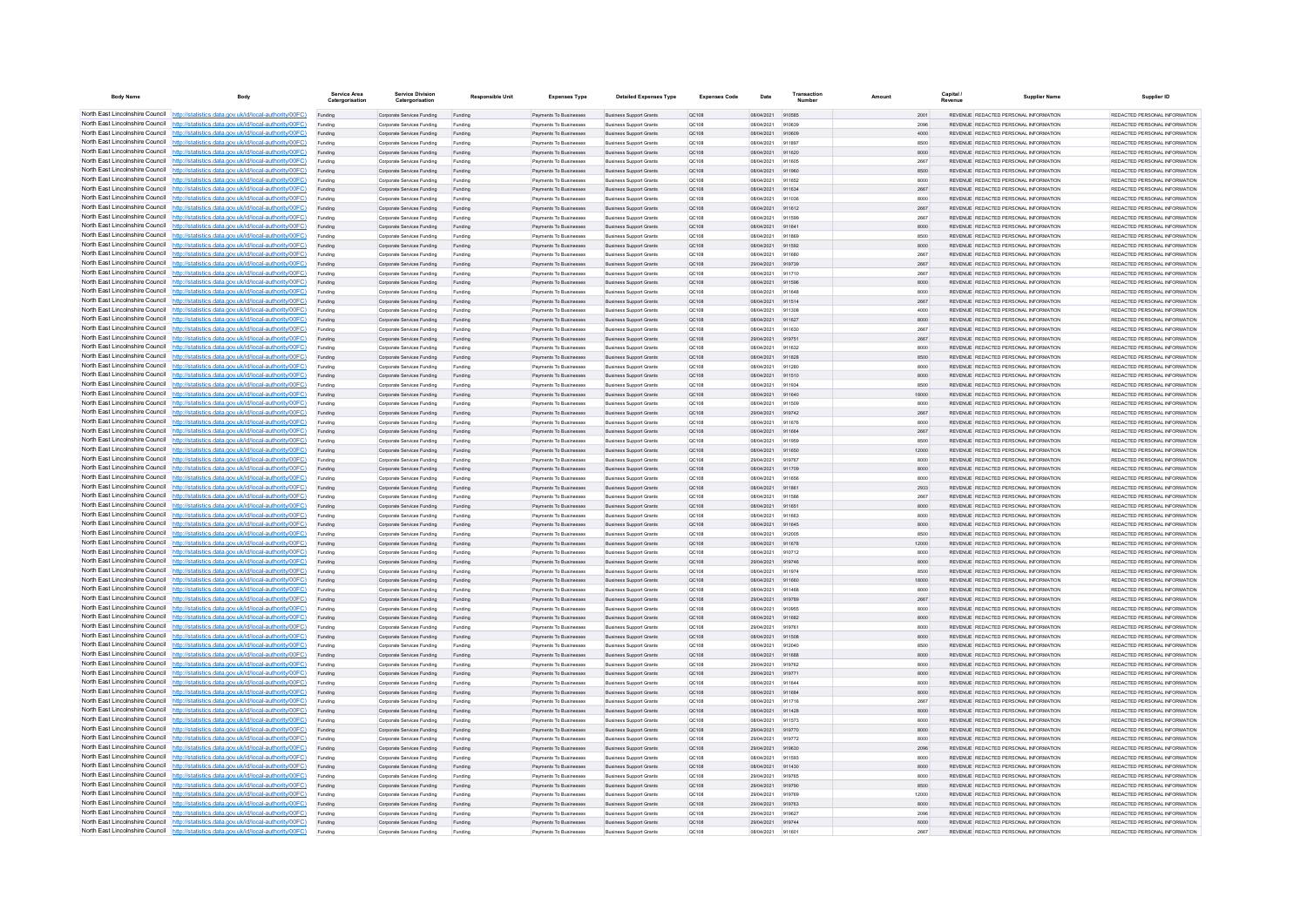| <b>Body Name</b>                                                   | Body                                                                                                                                                                             | <b>Service Area</b> | <b>Service Division</b><br>Catergorisation               | <b>Responsible Unit</b> | <b>Expenses Type</b>                                    | <b>Detailed Expenses Type</b>                                    | <b>Expenses Code</b>  | Date                     | Transaction      |               | <b>Capital</b> | <b>Supplier Name</b>                                                           | Supplier ID                                                    |
|--------------------------------------------------------------------|----------------------------------------------------------------------------------------------------------------------------------------------------------------------------------|---------------------|----------------------------------------------------------|-------------------------|---------------------------------------------------------|------------------------------------------------------------------|-----------------------|--------------------------|------------------|---------------|----------------|--------------------------------------------------------------------------------|----------------------------------------------------------------|
|                                                                    | North East Lincolnshire Council http://statistics.data.gov.uk/id/local-authority/00FC)                                                                                           | Funding             | Corporate Services Funding                               | Funding                 | Payments To Businesses                                  | <b>Business Support Grants</b>                                   | QC108                 | 08/04/2021 910585        |                  | 2001          |                | REVENUE, REDACTED PERSONAL INFORMATION                                         | REDACTED PERSONAL INFORMATION                                  |
|                                                                    | North East Lincolnshire Council http://statistics.data.gov.uk/id/local-authority/00FC)                                                                                           | Funding             | Corporate Services Funding                               | Funding                 | Payments To Businesses                                  | <b>Business Support Grants</b>                                   | QC108                 | 08/04/2021               | 910639           | 2096          |                | REVENUE REDACTED PERSONAL INFORMATION                                          | REDACTED PERSONAL INFORMATION                                  |
|                                                                    | North East Lincolnshire Council http://statistics.data.gov.uk/id/local-authority/00FC)                                                                                           | Funding             | Corporate Services Funding                               | Funding                 | Payments To Businessee                                  | <b>Business Support Grants</b>                                   | QC108                 | 08/04/2021               | 910609<br>011897 | 4000          |                | REVENUE REDACTED PERSONAL INFORMATION<br>REVENUE REDACTED PERSONAL INFORMATION | REDACTED PERSONAL INFORMATION<br>REDACTED PERSONAL INFORMATION |
|                                                                    | North East Lincolnshire Council http://statistics.data.gov.uk/id/local-authority/00FC)<br>North East Lincolnshire Council http://statistics.data.gov.uk/id/local-authority/00FC) | Funding<br>Funding  | Corporate Services Funding<br>Comorate Services Funding  | Funding<br>Funding      | Payments To Businessee<br><b>Payments To Businesses</b> | <b>Business Support Grants</b><br><b>Business Sunnort Grants</b> | QC108<br>OC108        | 08/04/2021<br>08/04/2021 | 911620           | 8500<br>8000  |                | REVENUE, REDACTED PERSONAL INFORMATION                                         | REDACTED PERSONAL INFORMATION.                                 |
|                                                                    | North East Lincolnshire Council http://statistics.data.gov.uk/id/local-authority/00FC)                                                                                           | Funding             | Corporate Services Funding                               | Funding                 | Payments To Businesses                                  | <b>Business Support Grants</b>                                   | OC108                 | 08/04/2021               | 911605           | 2667          |                | REVENUE REDACTED PERSONAL INFORMATION                                          | REDACTED PERSONAL INFORMATION                                  |
|                                                                    | North East Lincolnshire Council http://statistics.data.gov.uk/id/local-authority/00FC)                                                                                           | Funding             | Corporate Services Funding                               | Funding                 | Payments To Businesses                                  | <b>Business Support Grants</b>                                   | QC108                 | 08/04/2021               | 911960           | 8500          |                | REVENUE REDACTED PERSONAL INFORMATION                                          | REDACTED PERSONAL INFORMATION                                  |
|                                                                    | North East Lincolnshire Council http://statistics.data.gov.uk/id/local-authority/00FC)                                                                                           | Funding             | Corporate Services Funding                               | Funding                 | Payments To Businesses                                  | <b>Business Support Grants</b>                                   | QC108                 | 08/04/2021               | 911652           | 8000          |                | REVENUE REDACTED PERSONAL INFORMATION                                          | REDACTED PERSONAL INFORMATION                                  |
| North East Lincolnshire Council                                    | http://statistics.data.gov.uk/id/local-authority/00FC)                                                                                                                           | Funding             | Corporate Services Funding                               | Funding                 | <b>Payments To Businesses</b>                           | <b>Business Support Grants</b>                                   | QC108                 | 08/04/2021               | 911634           | 2667          |                | REVENUE REDACTED PERSONAL INFORMATION                                          | REDACTED PERSONAL INFORMATION                                  |
| North East Lincolnshire Council                                    | http://statistics.data.gov.uk/id/local-authority/00FC)                                                                                                                           | Funding             | Corporate Services Funding                               | Funding                 | Payments To Businesses                                  | <b>Business Support Grants</b>                                   | QC108                 | 08/04/2021               | 911036           | 8000          |                | REVENUE REDACTED PERSONAL INFORMATION                                          | REDACTED PERSONAL INFORMATION                                  |
| North East Lincolnshire Council                                    | http://statistics.data.gov.uk/id/local-authority/00FC)                                                                                                                           | Funding             | Corporate Services Funding                               | Funding                 | Payments To Businesses                                  | <b>Business Support Grants</b>                                   | QC108                 | 08/04/2021               | 911612           | 2667          |                | REVENUE REDACTED PERSONAL INFORMATION                                          | REDACTED PERSONAL INFORMATION                                  |
|                                                                    | North East Lincolnshire Council http://statistics.data.gov.uk/id/local-authority/00FC)                                                                                           | Funding             | Comorate Services Funding                                | Funding                 | <b>Payments To Businesses</b>                           | <b>Business Sunnort Grants</b>                                   | OC108                 | 08/04/2021               | 911599           | 2667          |                | REVENUE REDACTED PERSONAL INFORMATION                                          | REDACTED PERSONAL INFORMATION                                  |
|                                                                    | North East Lincolnshire Council http://statistics.data.gov.uk/id/local-authority/00FC)<br>North East Lincolnshire Council http://statistics.data.gov.uk/id/local-authority/00FC) | Funding             | Corporate Services Funding<br>Corporate Services Funding | Funding<br>Funding      | Payments To Businesses<br>Payments To Businesses        | <b>Business Support Grants</b><br><b>Business Support Grants</b> | <b>QC108</b><br>QC108 | 08/04/2021<br>08/04/2021 | 911641<br>911869 | 8000<br>8500  |                | REVENUE REDACTED PERSONAL INFORMATION<br>REVENUE REDACTED PERSONAL INFORMATION | REDACTED PERSONAL INFORMATION<br>REDACTED PERSONAL INFORMATION |
|                                                                    | North East Lincolnshire Council   http://statistics.data.gov.uk/id/local-authority/00FC)                                                                                         | Funding<br>Funding  | Corporate Services Funding                               | Funding                 | Payments To Businesses                                  | <b>Business Support Grants</b>                                   | QC108                 | 08/04/2021               | 911592           | 8000          |                | REVENUE REDACTED PERSONAL INFORMATION                                          | REDACTED PERSONAL INFORMATION                                  |
|                                                                    | North East Lincolnshire Council http://statistics.data.gov.uk/id/local-authority/00FC)                                                                                           | Funding             | Comorate Services Funding                                | Funding                 | Payments To Businessee                                  | <b>Business Sunnort Grants</b>                                   | OC108                 | 08/04/2021               | 911680           | 2667          |                | REVENUE REDACTED PERSONAL INFORMATION                                          | REDACTED PERSONAL INFORMATION.                                 |
| North East Lincolnshire Council                                    | http://statistics.data.gov.uk/id/local-authority/00FC)                                                                                                                           | Funding             | Corporate Services Funding                               | Funding                 | Payments To Businessee                                  | <b>Business Support Grants</b>                                   | QC108                 | 29/04/2021               | 919739           | 2667          |                | REVENUE REDACTED PERSONAL INFORMATION                                          | REDACTED PERSONAL INFORMATION                                  |
|                                                                    | North East Lincolnshire Council http://statistics.data.gov.uk/id/local-authority/00FC)                                                                                           | Funding             | Corporate Services Funding                               | Funding                 | Payments To Businesse                                   | <b>Business Support Grants</b>                                   | QC108                 | 08/04/2021               | 911710           | 2667          |                | REVENUE REDACTED PERSONAL INFORMATION                                          | REDACTED PERSONAL INFORMATION                                  |
|                                                                    | North East Lincolnshire Council http://statistics.data.gov.uk/id/local-authority/00FC)                                                                                           | Funding             | Corporate Services Funding                               | Funding                 | Payments To Businessee                                  | <b>Business Support Grants</b>                                   | QC108                 | 08/04/2021               | 911598           | 8000          |                | REVENUE REDACTED PERSONAL INFORMATION                                          | REDACTED PERSONAL INFORMATION                                  |
|                                                                    | North East Lincolnshire Council http://statistics.data.gov.uk/id/local-authority/00FC)                                                                                           | Funding             | Corporate Services Funding                               | Funding                 | Payments To Businesses                                  | <b>Business Support Grants</b>                                   | OC108                 | 08/04/2021               | 911648           | 8000          |                | REVENUE REDACTED PERSONAL INFORMATION                                          | REDACTED PERSONAL INFORMATION                                  |
|                                                                    | North East Lincolnshire Council http://statistics.data.gov.uk/id/local-authority/00FC)                                                                                           | Funding             | Corporate Services Funding                               | Funding                 | Payments To Businesses                                  | <b>Business Support Grants</b>                                   | QC108                 | 08/04/2021               | 911514           | 2667          |                | REVENUE REDACTED PERSONAL INFORMATION                                          | REDACTED PERSONAL INFORMATION                                  |
|                                                                    | North East Lincolnshire Council http://statistics.data.gov.uk/id/local-authority/00FC)                                                                                           | Funding             | Corporate Services Funding                               | Funding                 | Payments To Businesses                                  | <b>Business Support Grants</b>                                   | QC108                 | 08/04/2021               | 911308           | 4000          |                | REVENUE REDACTED PERSONAL INFORMATION                                          | REDACTED PERSONAL INFORMATION                                  |
|                                                                    | North East Lincolnshire Council http://statistics.data.gov.uk/id/local-authority/00FC)                                                                                           | Funding             | Corporate Services Funding                               | Funding                 | Payments To Businesses                                  | <b>Business Support Grants</b>                                   | OC108                 | 08/04/2021               | 911627           | 8000          |                | REVENUE, REDACTED PERSONAL INFORMATION                                         | REDACTED PERSONAL INFORMATION.                                 |
| North East Lincolnshire Council<br>North East Lincolnshire Council | http://statistics.data.gov.uk/id/local-authority/00FC)<br>http://statistics.data.gov.uk/id/local-authority/00FC)                                                                 | Funding             | Corporate Services Funding<br>Corporate Services Funding | Funding                 | <b>Payments To Businesses</b><br>Payments To Businesses | <b>Business Support Grants</b><br><b>Business Support Grants</b> | OC108<br>QC108        | 08/04/2021<br>29/04/2021 | 911630<br>919751 | 2667<br>2667  |                | REVENUE REDACTED PERSONAL INFORMATION<br>REVENUE REDACTED PERSONAL INFORMATION | REDACTED PERSONAL INFORMATION<br>REDACTED PERSONAL INFORMATION |
|                                                                    | North East Lincolnshire Council http://statistics.data.gov.uk/id/local-authority/00FC)                                                                                           | Funding<br>Funding  | Corporate Services Funding                               | Funding<br>Funding      | Payments To Businesses                                  | <b>Business Support Grants</b>                                   | QC108                 | 08/04/2021               | 911632           | 8000          |                | <b>PEVENHE PEDACTED PERSONAL INFORMATION</b>                                   | <b>PEDACTED PERSONAL INFORMATION</b>                           |
|                                                                    | North East Lincolnshire Council http://statistics.data.gov.uk/id/local-authority/00FC)                                                                                           | Funding             | Corporate Services Funding                               | Funding                 | Payments To Businesses                                  | <b>Business Support Grants</b>                                   | QC108                 | 08/04/2021               | 911828           | 8500          |                | REVENUE REDACTED PERSONAL INFORMATION                                          | REDACTED PERSONAL INFORMATION.                                 |
|                                                                    | North East Lincolnshire Council http://statistics.data.gov.uk/id/local-authority/00FC)                                                                                           | Funding             | Corporate Services Funding                               | Funding                 | Payments To Businesses                                  | <b>Business Support Grants</b>                                   | OC108                 | 08/04/2021               | 911280           | 8000          |                | REVENUE REDACTED PERSONAL INFORMATION                                          | REDACTED PERSONAL INFORMATION                                  |
|                                                                    | North East Lincolnshire Council http://statistics.data.gov.uk/id/local-authority/00FC)                                                                                           | Funding             | Corporate Services Funding                               | Funding                 | Payments To Businesses                                  | <b>Business Support Grants</b>                                   | QC108                 | 08/04/2021               | 911510           | 8000          |                | REVENUE REDACTED PERSONAL INFORMATION                                          | REDACTED PERSONAL INFORMATION                                  |
|                                                                    | North East Lincolnshire Council http://statistics.data.gov.uk/id/local-authority/00FC)                                                                                           | Funding             | Corporate Services Funding                               | Funding                 | Payments To Businesses                                  | <b>Business Support Grants</b>                                   | OC108                 | 08/04/2021               | 911934           | 8500          |                | REVENUE REDACTED PERSONAL INFORMATION                                          | REDACTED PERSONAL INFORMATION                                  |
| North East Lincolnshire Council                                    | http://statistics.data.gov.uk/id/local-authority/00FC)                                                                                                                           | Funding             | Corporate Services Funding                               | Funding                 | Payments To Businesses                                  | <b>Business Support Grants</b>                                   | <b>QC108</b>          | 08/04/2021               | 911640           | 18000         |                | REVENUE REDACTED PERSONAL INFORMATION                                          | REDACTED PERSONAL INFORMATION                                  |
|                                                                    | North East Lincolnshire Council http://statistics.data.gov.uk/id/local-authority/00FC)                                                                                           | Funding             | Corporate Services Funding                               | Funding                 | Payments To Businesser                                  | <b>Business Support Grants</b>                                   | QC108                 | 08/04/2021               | 911509           | 8000          |                | REVENUE REDACTED PERSONAL INFORMATION                                          | REDACTED PERSONAL INFORMATION                                  |
|                                                                    | North East Lincolnshire Council http://statistics.data.gov.uk/id/local-authority/00FC)                                                                                           | Funding             | Corporate Services Funding                               |                         | Payments To Businesse                                   | <b>Business Support Grants</b>                                   | QC108                 | 29/04/2021               | 919742           | 2667          |                | REVENUE REDACTED PERSONAL INFORMATION                                          | REDACTED PERSONAL INFORMATION                                  |
|                                                                    | North East Lincolnshire Council http://statistics.data.gov.uk/id/local-authority/00FC)                                                                                           | Funding             | Corporate Services Funding                               | Funding                 | Payments To Businessee                                  | <b>Business Support Grants</b>                                   | QC108                 | 08/04/2021               | 911676           | 8000          |                | <b>PEVENHE PEDACTED PERSONAL INFORMATION</b>                                   | REDACTED PERSONAL INFORMATION                                  |
|                                                                    | North East Lincolnshire Council http://statistics.data.gov.uk/id/local-authority/00FC)<br>North East Lincolnshire Council http://statistics.data.gov.uk/id/local-authority/00FC) | Funding             | Corporate Services Funding                               | Funding                 | Payments To Businesses                                  | <b>Business Support Grants</b>                                   | QC108                 | 08/04/2021               | 911664           | 2667          |                | REVENUE REDACTED PERSONAL INFORMATION<br>REVENUE REDACTED PERSONAL INFORMATION | REDACTED PERSONAL INFORMATION<br>REDACTED PERSONAL INFORMATION |
|                                                                    | North East Lincolnshire Council http://statistics.data.gov.uk/id/local-authority/00FC)                                                                                           | Funding<br>Funding  | Corporate Services Funding<br>Corporate Services Funding | Funding<br>Funding      | Payments To Businesses<br>Payments To Businesses        | <b>Business Support Grants</b><br><b>Business Support Grants</b> | OC108<br>QC108        | 08/04/2021<br>08/04/2021 | 911959<br>911650 | 8500<br>12000 |                | REVENUE REDACTED PERSONAL INFORMATION                                          | REDACTED PERSONAL INFORMATION                                  |
|                                                                    | North East Lincolnshire Council http://statistics.data.gov.uk/id/local-authority/00FC)                                                                                           | Funding             | Corporate Services Funding                               | Funding                 | Payments To Businesses                                  | <b>Business Support Grants</b>                                   | OC108                 | 29/04/2021               | 919767           | 8000          |                | REVENUE REDACTED PERSONAL INFORMATION                                          | REDACTED PERSONAL INFORMATION                                  |
| North East Lincolnshire Council                                    | http://statistics.data.gov.uk/id/local-authority/00FC)                                                                                                                           | Funding             | Corporate Services Funding                               | Funding                 | Payments To Businesses                                  | <b>Business Support Grants</b>                                   | QC108                 | 08/04/2021               | 911709           | 8000          |                | REVENUE REDACTED PERSONAL INFORMATION                                          | REDACTED PERSONAL INFORMATION                                  |
|                                                                    | North East Lincolnshire Council http://statistics.data.gov.uk/id/local-authority/00FC)                                                                                           | Funding             | Corporate Services Funding                               | Funding                 | Payments To Businesses                                  | <b>Business Support Grants</b>                                   | QC108                 | 08/04/2021               |                  | 8000          |                | REVENUE REDACTED PERSONAL INFORMATION                                          | REDACTED PERSONAL INFORMATION                                  |
|                                                                    | North East Lincolnshire Council http://statistics.data.gov.uk/id/local-authority/00FC)                                                                                           |                     | Corporate Services Funding                               | Funding                 | Payments To Businesses                                  | <b>Business Support Grants</b>                                   | QC108                 | 08/04/2021               | 911861           | 2933          |                | REVENUE REDACTED PERSONAL INFORMATION                                          | REDACTED PERSONAL INFORMATION.                                 |
|                                                                    | North East Lincolnshire Council http://statistics.data.gov.uk/id/local-authority/00FC)                                                                                           | Funding             | Comorate Services Funding                                | Funding                 | <b>Payments To Businesses</b>                           | <b>Business Sunnort Grants</b>                                   | OC108                 | 08/04/2021               | 911588           | 2667          |                | REVENUE REDACTED PERSONAL INFORMATION                                          | REDACTED PERSONAL INFORMATION.                                 |
|                                                                    | North East Lincolnshire Council http://statistics.data.gov.uk/id/local-authority/00FC)                                                                                           | Funding             | Corporate Services Funding                               | Funding                 | Payments To Businesses                                  | <b>Business Support Grants</b>                                   | QC108                 | 08/04/2021               | 911651           | 8000          |                | REVENUE REDACTED PERSONAL INFORMATION                                          | REDACTED PERSONAL INFORMATION                                  |
|                                                                    | North East Lincolnshire Council http://statistics.data.gov.uk/id/local-authority/00FC)                                                                                           | Funding             | Corporate Services Funding                               | Funding                 | Payments To Businesses                                  | <b>Business Support Grants</b>                                   | QC108                 | 08/04/2021               | 911663           | 8000          |                | REVENUE REDACTED PERSONAL INFORMATION                                          | REDACTED PERSONAL INFORMATION                                  |
|                                                                    | North East Lincolnshire Council http://statistics.data.gov.uk/id/local-authority/00FC)                                                                                           | Funding             | Corporate Services Funding                               | Funding                 | Payments To Businesses                                  | <b>Business Support Grants</b>                                   | QC108                 | 08/04/2021               | 911645           | 8000          |                | REVENUE REDACTED PERSONAL INFORMATION                                          | REDACTED PERSONAL INFORMATION                                  |
| North East Lincolnshire Council                                    | http://statistics.data.gov.uk/id/local-authority/00FC)<br>North East Lincolnshire Council http://statistics.data.gov.uk/id/local-authority/00FC)                                 | Funding             | Corporate Services Funding                               | Funding                 | Payments To Businessee                                  | <b>Business Support Grants</b>                                   | OC108                 | 08/04/2021<br>08/04/2021 | 912005<br>911678 | 8500          |                | REVENUE REDACTED PERSONAL INFORMATION                                          | REDACTED PERSONAL INFORMATION<br>REDACTED PERSONAL INFORMATION |
|                                                                    | North East Lincolnshire Council http://statistics.data.gov.uk/id/local-authority/00FC)                                                                                           | Funding<br>Funding  | Corporate Services Funding<br>Corporate Services Funding | Funding<br>Funding      | Payments To Businesses<br>Payments To Businesse         | <b>Business Support Grants</b><br><b>Business Support Grants</b> | QC108<br>QC108        | 08/04/2021               | 910712           | 12000<br>8000 |                | REVENUE REDACTED PERSONAL INFORMATION<br>REVENUE REDACTED PERSONAL INFORMATION | REDACTED PERSONAL INFORMATION                                  |
|                                                                    | North East Lincolnshire Council http://statistics.data.gov.uk/id/local-authority/00FC)                                                                                           | Funding             | Corporate Services Funding                               | Funding                 | Payments To Businesses                                  | <b>Business Support Grants</b>                                   | QC108                 | 29/04/2021               | 919746           | 8000          |                | REVENUE REDACTED PERSONAL INFORMATION                                          | REDACTED PERSONAL INFORMATION                                  |
|                                                                    | North East Lincolnshire Council http://statistics.data.gov.uk/id/local-authority/00FC)                                                                                           | Funding             | Corporate Services Funding                               | Funding                 | Payments To Businesses                                  | <b>Business Support Grants</b>                                   | <b>QC108</b>          | 08/04/2021               | 911974           | 8500          |                | REVENUE REDACTED PERSONAL INFORMATION                                          | REDACTED PERSONAL INFORMATION                                  |
|                                                                    | North East Lincolnshire Council http://statistics.data.gov.uk/id/local-authority/00FC)                                                                                           | Funding             | Corporate Services Funding                               | Funding                 | Payments To Businesses                                  | <b>Business Support Grants</b>                                   | QC108                 | 08/04/2021               | 911660           | 18000         |                | REVENUE REDACTED PERSONAL INFORMATION                                          | REDACTED PERSONAL INFORMATION                                  |
|                                                                    | North East Lincolnshire Council http://statistics.data.gov.uk/id/local-authority/00FC)                                                                                           | Funding             | Corporate Services Funding                               | Funding                 | Payments To Businesses                                  | <b>Business Support Grants</b>                                   | QC108                 | 08/04/2021               | 911468           | 8000          |                | REVENUE REDACTED PERSONAL INFORMATION                                          | REDACTED PERSONAL INFORMATION                                  |
| North East Lincolnshire Council                                    | http://statistics.data.gov.uk/id/local-authority/00EC)                                                                                                                           | Funding             | Corporate Services Funding                               | Funding                 | Payments To Businesses                                  | <b>Business Support Grants</b>                                   | OC108                 | 29/04/2021               | 919789           | 2667          |                | REVENUE REDACTED PERSONAL INFORMATION                                          | REDACTED PERSONAL INFORMATION.                                 |
| North East Lincolnshire Council                                    | http://statistics.data.gov.uk/id/local-authority/00FC)                                                                                                                           | Funding             | Corporate Services Funding                               | Funding                 | Payments To Businesses                                  | <b>Business Support Grants</b>                                   | QC108                 | 08/04/2021               | 910955           | 8000          |                | REVENUE REDACTED PERSONAL INFORMATION                                          | REDACTED PERSONAL INFORMATION                                  |
|                                                                    | North East Lincolnshire Council http://statistics.data.gov.uk/id/local-authority/00FC)                                                                                           | Funding             | Corporate Services Funding                               | Funding                 | Payments To Businesses                                  | <b>Business Support Grants</b>                                   | QC108                 | 08/04/2021               | 911682           | 8000          |                | REVENUE REDACTED PERSONAL INFORMATION                                          | REDACTED PERSONAL INFORMATION                                  |
|                                                                    | North East Lincolnshire Council http://statistics.data.gov.uk/id/local-authority/00FC)<br>North East Lincolnshire Council http://statistics.data.gov.uk/id/local-authority/00FC) | Funding             | Corporate Services Funding                               | Funding                 | Payments To Businesses                                  | <b>Business Support Grants</b>                                   | QC108                 | 29/04/2021               | 919761           | 8000          |                | REVENUE REDACTED PERSONAL INFORMATION                                          | REDACTED PERSONAL INFORMATION<br>REDACTED PERSONAL INFORMATION |
|                                                                    | North East Lincolnshire Council http://statistics.data.gov.uk/id/local-authority/00FC)                                                                                           | Funding<br>Funding  | Corporate Services Funding<br>Corporate Services Funding | Funding<br>Funding      | Payments To Businesses<br>Payments To Businesses        | <b>Business Support Grants</b><br><b>Business Support Grants</b> | QC108<br>OC108        | 08/04/2021<br>08/04/2021 | 911508<br>912040 | 8000<br>8500  |                | REVENUE REDACTED PERSONAL INFORMATION<br>REVENUE REDACTED PERSONAL INFORMATION | REDACTED PERSONAL INFORMATION                                  |
|                                                                    | North East Lincolnshire Council http://statistics.data.gov.uk/id/local-authority/00FC)                                                                                           | Funding             | Corporate Services Funding                               | Funding                 | Payments To Businesses                                  | <b>Business Support Grants</b>                                   | QC108                 | 08/04/2021               | 911688           | 8000          |                | REVENUE REDACTED PERSONAL INFORMATION                                          | REDACTED PERSONAL INFORMATION                                  |
| North East Lincolnshire Council                                    | http://statistics.data.gov.uk/id/local-authority/00FC)                                                                                                                           | Funding             | Corporate Services Funding                               | Funding                 | Payments To Businessee                                  | <b>Business Support Grants</b>                                   | OC108                 | 29/04/2021               | 919762           | 8000          |                | REVENUE REDACTED PERSONAL INFORMATION                                          | REDACTED PERSONAL INFORMATION.                                 |
| North East Lincolnshire Council                                    | //statistics.data.gov.uk/id/local-authority/00EC)                                                                                                                                | Funding             | Corporate Services Funding                               | Funding                 | Payments To Businesses                                  | <b>Business Support Grants</b>                                   | QC108                 | 29/04/2021               | 919771           | 8000          |                | REVENUE REDACTED PERSONAL INFORMATION                                          | REDACTED PERSONAL INFORMATION                                  |
|                                                                    | North East Lincolnshire Council http://statistics.data.gov.uk/id/local-authority/00FC)                                                                                           | Funding             | Corporate Services Funding                               | Funding                 | Payments To Businesser                                  | <b>Business Support Grants</b>                                   | QC108                 | 08/04/2021               | 911644           | 8000          |                | REVENUE REDACTED PERSONAL INFORMATION                                          | REDACTED PERSONAL INFORMATION                                  |
|                                                                    | North East Lincolnshire Council http://statistics.data.gov.uk/id/local-authority/00FC)                                                                                           |                     | Corporate Services Funding                               | Funding                 | Payments To Businessee                                  | <b>Business Support Grants</b>                                   | QC108                 | 08/04/2021               | 911684           | 8000          |                | REVENUE, REDACTED PERSONAL INFORMATION                                         | REDACTED PERSONAL INFORMATION.                                 |
|                                                                    | North East Lincolnshire Council http://statistics.data.gov.uk/id/local-authority/00FC)                                                                                           | Funding             | Corporate Services Funding                               | Funding                 | Payments To Businesses                                  | <b>Business Support Grants</b>                                   | OC108                 | 08/04/2021               | 911716           | 2667          |                | REVENUE REDACTED PERSONAL INFORMATION                                          | REDACTED PERSONAL INFORMATION                                  |
|                                                                    | North East Lincolnshire Council http://statistics.data.gov.uk/id/local-authority/00FC)                                                                                           | Funding             | Corporate Services Funding                               | Funding                 | Payments To Businesses                                  | <b>Business Support Grants</b>                                   | QC108                 | 08/04/2021               | 911428           | 8000          |                | REVENUE REDACTED PERSONAL INFORMATION                                          | REDACTED PERSONAL INFORMATION                                  |
|                                                                    | North East Lincolnshire Council http://statistics.data.gov.uk/id/local-authority/00FC)                                                                                           | Funding             | Corporate Services Funding                               | Funding                 | Payments To Businesses                                  | <b>Business Support Grants</b>                                   | QC108                 | 08/04/2021               | 911573           | 8000          |                | REVENUE REDACTED PERSONAL INFORMATION                                          | REDACTED PERSONAL INFORMATION                                  |
| North East Lincolnshire Council                                    | North East Lincolnshire Council http://statistics.data.gov.uk/id/local-authority/00FC)<br>http://statistics.data.gov.uk/id/local-authority/00FC)                                 | Funding             | Corporate Services Funding                               | Funding                 | Payments To Businesses                                  | <b>Business Support Grants</b>                                   | QC108                 | 29/04/2021               | 919770           | 8000          |                | REVENUE REDACTED PERSONAL INFORMATION                                          | REDACTED PERSONAL INFORMATION                                  |
|                                                                    | North East Lincolnshire Council http://statistics.data.gov.uk/id/local-authority/00FC)                                                                                           | Funding             | Corporate Services Funding<br>Corporate Services Funding | Funding<br>Funding      | Payments To Businesses<br>Payments To Businesses        | <b>Business Support Grants</b><br><b>Business Support Grants</b> | QC108<br>QC108        | 29/04/2021<br>29/04/2021 | 919772<br>919630 | 8000<br>2096  |                | REVENUE REDACTED PERSONAL INFORMATION<br>REVENUE REDACTED PERSONAL INFORMATION | REDACTED PERSONAL INFORMATION<br>REDACTED PERSONAL INFORMATION |
|                                                                    | North East Lincolnshire Council http://statistics.data.gov.uk/id/local-authority/00FC)                                                                                           | Funding             | Corporate Services Funding                               | Funding                 | Payments To Businesses                                  | <b>Business Support Grants</b>                                   | QC108                 | 08/04/2021               | 911593           | 8000          |                | REVENUE REDACTED PERSONAL INFORMATION                                          | REDACTED PERSONAL INFORMATION.                                 |
|                                                                    | North East Lincolnshire Council http://statistics.data.gov.uk/id/local-authority/00FC)                                                                                           | Funding             | Corporate Services Funding                               | Funding                 | <b>Payments To Businesses</b>                           | <b>Business Sunnort Grants</b>                                   | OC108                 | 08/04/2021               | 911430           | 8000          |                | REVENUE, REDACTED PERSONAL INFORMATION                                         | REDACTED PERSONAL INFORMATION.                                 |
|                                                                    | North East Lincolnshire Council http://statistics.data.gov.uk/id/local-authority/00FC)                                                                                           | Funding             | Corporate Services Funding                               | Funding                 | Payments To Businesses                                  | <b>Business Support Grants</b>                                   | OC108                 | 29/04/2021               | 919765           | 8000          |                | REVENUE REDACTED PERSONAL INFORMATION                                          | REDACTED PERSONAL INFORMATION                                  |
|                                                                    | North East Lincolnshire Council http://statistics.data.gov.uk/id/local-authority/00FC)                                                                                           | Funding             | Corporate Services Funding                               | Funding                 | Payments To Businesses                                  | <b>Business Support Grants</b>                                   | QC108                 | 29/04/2021               | 919790           | 8500          |                | REVENUE REDACTED PERSONAL INFORMATION                                          | REDACTED PERSONAL INFORMATION                                  |
|                                                                    | North East Lincolnshire Council http://statistics.data.gov.uk/id/local-authority/00FC)                                                                                           | Funding             | Corporate Services Funding                               | Funding                 | Payments To Businessee                                  | <b>Business Support Grants</b>                                   | QC108                 | 29/04/2021               | 919769           | 12000         |                | REVENUE REDACTED PERSONAL INFORMATION                                          | REDACTED PERSONAL INFORMATION                                  |
| North East Lincolnshire Council                                    | http://statistics.data.gov.uk/id/local-authority/00FC)                                                                                                                           | Funding             | Corporate Services Funding                               | Funding                 | Payments To Businesses                                  | <b>Business Support Grants</b>                                   | QC108                 | 29/04/2021               | 919763           | 8000          |                | REVENUE REDACTED PERSONAL INFORMATION                                          | REDACTED PERSONAL INFORMATION                                  |
|                                                                    | North East Lincolnshire Council http://statistics.data.gov.uk/id/local-authority/00FC)                                                                                           | Funding             | Corporate Services Funding                               | Funding                 | Payments To Businessee                                  | <b>Business Support Grants</b>                                   | QC108                 | 29/04/2021               | 919627           | 2096          |                | REVENUE REDACTED PERSONAL INFORMATION                                          | REDACTED PERSONAL INFORMATION                                  |
|                                                                    | North East Lincolnshire Council http://statistics.data.gov.uk/id/local-authority/00FC)                                                                                           | Funding             | Corporate Services Funding                               | Funding                 | Payments To Businesses                                  | <b>Business Support Grants</b>                                   | QC108                 | 29/04/2021               | 919744           | 6000          |                | REVENUE REDACTED PERSONAL INFORMATION                                          | REDACTED PERSONAL INFORMATION                                  |
|                                                                    | North East Lincolnshire Council http://statistics.data.gov.uk/id/local-authority/00FC)                                                                                           | Funding             | Comorate Services Funding                                | Funding                 | Payments To Businesses                                  | <b>Business Sunnort Grants</b>                                   | OC108                 | 08/04/2021 911601        |                  | 2667          |                | REVENUE REDACTED PERSONAL INFORMATION                                          | REDACTED PERSONAL INFORMATION                                  |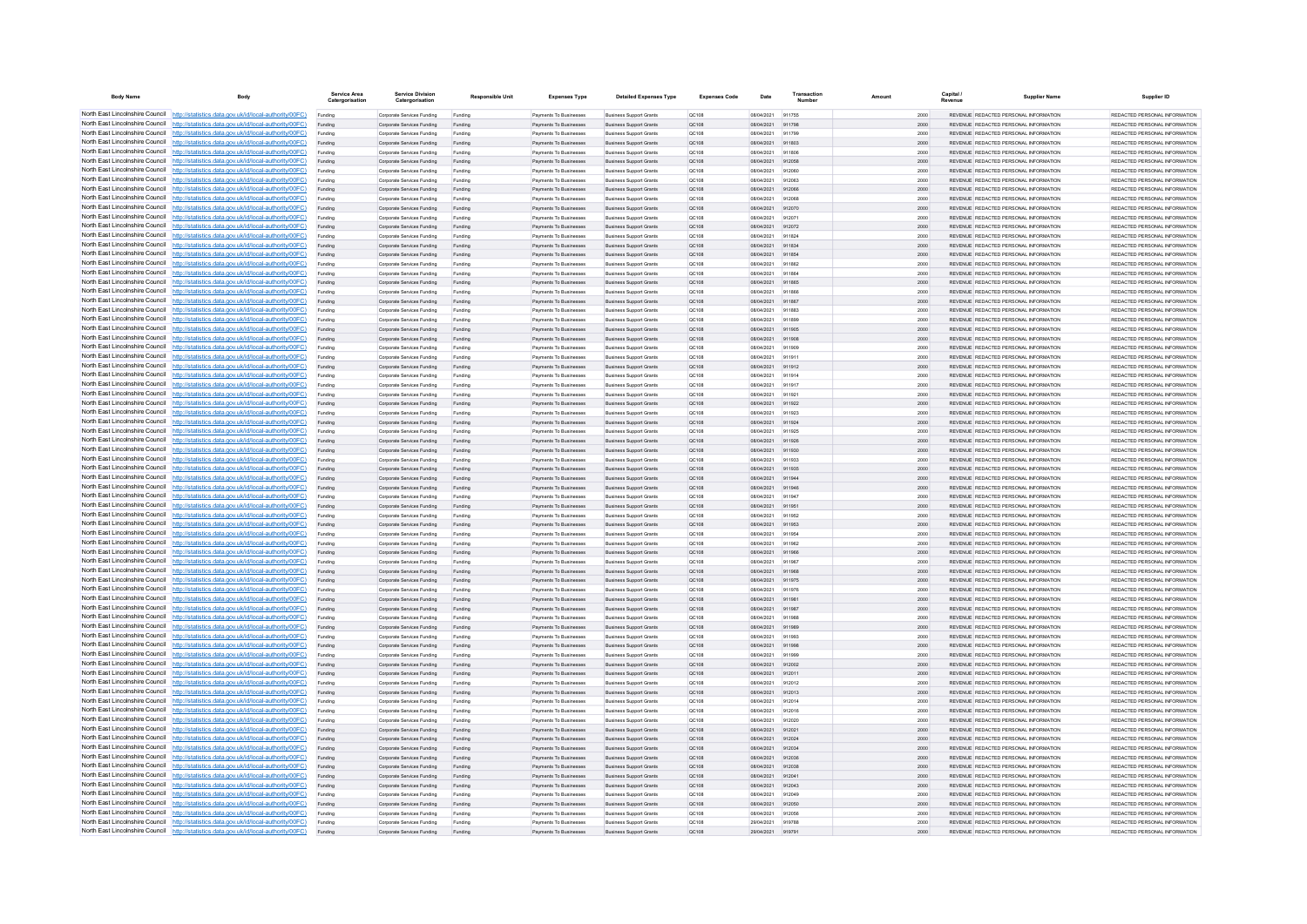| <b>Body Name</b>                                                   | Body                                                                                                                                                                             | Service Area<br>Catergorisatio | <b>Service Division</b><br>Catergorisation               | <b>Responsible Unit</b> | <b>Expenses Type</b>                                    | <b>Detailed Expenses Type</b>                                    | <b>Expenses Code</b>  | Date                     | Transactio       | Amount | <b>Capital</b> | <b>Supplier Name</b>                                                            | Supplier ID                                                     |
|--------------------------------------------------------------------|----------------------------------------------------------------------------------------------------------------------------------------------------------------------------------|--------------------------------|----------------------------------------------------------|-------------------------|---------------------------------------------------------|------------------------------------------------------------------|-----------------------|--------------------------|------------------|--------|----------------|---------------------------------------------------------------------------------|-----------------------------------------------------------------|
|                                                                    | North East Lincolnshire Council http://statistics.data.gov.uk/id/local-authority/00FC)                                                                                           | Funding                        | Corporate Services Funding                               | Funding                 | Payments To Businesses                                  | <b>Business Support Grants</b>                                   | OC108                 | 08/04/2021               | 911755           |        | 2000           | REVENUE REDACTED PERSONAL INFORMATION                                           | REDACTED PERSONAL INFORMATION                                   |
|                                                                    | North East Lincolnshire Council http://statistics.data.gov.uk/id/local-authority/00FC)                                                                                           | Funding                        | Corporate Services Funding                               | Funding                 | Payments To Businesses                                  | <b>Business Support Grants</b>                                   | QC108                 | 08/04/2021               | 911798           |        | 2000           | REVENUE REDACTED PERSONAL INFORMATION                                           | REDACTED PERSONAL INFORMATION                                   |
|                                                                    | North East Lincolnshire Council http://statistics.data.gov.uk/id/local-authority/00FC)                                                                                           | Funding                        | Corporate Services Funding                               | Funding                 | Payments To Busin                                       | <b>Business Support Grant</b>                                    | QC108                 | 08/04/2021               | 911799           |        | 2000           | REVENUE REDACTED PERSONAL INFORMATION                                           | REDACTED PERSONAL INFORMATION                                   |
|                                                                    | North East Lincolnshire Council http://statistics.data.gov.uk/id/local-authority/00FC)                                                                                           | Funding                        | Corporate Services Funding                               | Funding                 | <b>Payments To Businessee</b>                           | <b>Business Support Grants</b>                                   | OC108                 | 08/04/2021               | 911803           |        | 2000           | REVENUE REDACTED PERSONAL INFORMATION                                           | REDACTED PERSONAL INFORMATION                                   |
|                                                                    | North East Lincolnshire Council http://statistics.data.gov.uk/id/local-authority/00FC)<br>North East Lincolnshire Council http://statistics.data.gov.uk/id/local-authority/00FC) | Funding                        | Corporate Services Funding<br>Corporate Services Funding | Funding<br>Funding      | Payments To Businesses<br>Payments To Businesses        | <b>Business Support Grants</b><br>Business Support Grants        | <b>QC108</b><br>QC108 | 08/04/2021<br>08/04/2021 | 911806<br>912058 |        | 2000<br>2000   | REVENUE REDACTED PERSONAL INFORMATION<br>REVENUE REDACTED PERSONAL INFORMATION  | REDACTED PERSONAL INFORMATION<br>REDACTED PERSONAL INFORMATION  |
|                                                                    | North East Lincolnshire Council http://statistics.data.gov.uk/id/local-authority/00FC)                                                                                           | Funding<br>Funding             | Corporate Services Funding                               | Funding                 | Payments To Businesses                                  | <b>Business Support Grants</b>                                   | QC108                 | 08/04/2021               | 912060           |        | 2000           | REVENUE REDACTED PERSONAL INFORMATION                                           | REDACTED PERSONAL INFORMATION                                   |
|                                                                    | North East Lincolnshire Council http://statistics.data.gov.uk/id/local-authority/00FC)                                                                                           | Funding                        | Corporate Services Funding                               | Funding                 | <b>Payments To Businesses</b>                           | <b>Business Support Grants</b>                                   | OC108                 | 08/04/2021               | 912063           |        | 2000           | REVENUE, REDACTED PERSONAL INFORMATION                                          | REDACTED PERSONAL INFORMATION.                                  |
| North East Lincolnshire Council                                    | http://statistics.data.gov.uk/id/local-authority/00FC)                                                                                                                           | Funding                        | Corporate Services Funding                               | Funding                 | Payments To Businesses                                  | <b>Business Support Grants</b>                                   | OC108                 | 08/04/2021               | 912066           |        | 2000           | REVENUE REDACTED PERSONAL INFORMATION                                           | REDACTED PERSONAL INFORMATION                                   |
| North East Lincolnshire Council                                    | http://statistics.data.gov.uk/id/local-authority/00FC)                                                                                                                           | Funding                        | Corporate Services Funding                               | Funding                 | Payments To Businesser                                  | <b>Business Support Grants</b>                                   | QC108                 | 08/04/2021               | 912068           |        | 2000           | REVENUE REDACTED PERSONAL INFORMATION                                           | REDACTED PERSONAL INFORMATION                                   |
| North East Lincolnshire Council                                    | http://statistics.data.gov.uk/id/local-authority/00FC)                                                                                                                           |                                | Corporate Services Funding                               | Funding                 | Payments To Businesses                                  | <b>Business Support Grants</b>                                   | QC108                 | 08/04/2021               | 912070           |        | 2000           | <b>REVENHE REDACTED RERSONAL INFORMATION</b>                                    | REDACTED PERSONAL INFORMATION.                                  |
|                                                                    | North East Lincolnshire Council http://statistics.data.gov.uk/id/local-authority/00FC)                                                                                           | Funding                        | Comorate Services Funding                                | Funding                 | <b>Payments To Businesses</b>                           | <b>Business Sunnort Grants</b>                                   | OC108                 | 08/04/2021               | 912071           |        | 2000           | REVENUE REDACTED PERSONAL INFORMATION                                           | REDACTED PERSONAL INFORMATION.                                  |
|                                                                    | North East Lincolnshire Council http://statistics.data.gov.uk/id/local-authority/00FC)                                                                                           | Funding                        | Corporate Services Funding                               | Funding                 | Payments To Businesses                                  | <b>Business Support Grants</b>                                   | QC108                 | 08/04/2021               | 912072           |        | 2000           | REVENUE REDACTED PERSONAL INFORMATION                                           | REDACTED PERSONAL INFORMATION                                   |
|                                                                    | North East Lincolnshire Council http://statistics.data.gov.uk/id/local-authority/00FC)                                                                                           | Funding                        | Corporate Services Funding                               | Funding                 | Payments To Businessee                                  | <b>Business Support Grants</b>                                   | QC108                 | 08/04/2021               | 911824           |        | 2000           | REVENUE REDACTED PERSONAL INFORMATION                                           | REDACTED PERSONAL INFORMATION                                   |
| North East Lincolnshire Council<br>North East Lincolnshire Council | http://statistics.data.gov.uk/id/local-authority/00FC)                                                                                                                           | Funding                        | Corporate Services Funding                               | Funding                 | Payments To Businessee                                  | <b>Business Support Grants</b>                                   | QC108                 | 08/04/2021               | 911834           |        | 2000           | REVENUE REDACTED PERSONAL INFORMATION                                           | REDACTED PERSONAL INFORMATION                                   |
| North East Lincolnshire Council                                    | http://statistics.data.gov.uk/id/local-authority/00FC)<br>ttp://statistics.data.gov.uk/id/local-authority/00FC)                                                                  | Funding                        | Corporate Services Funding<br>Corporate Services Funding | Funding<br>Funding      | Payments To Businesses<br>Payments To Businessee        | <b>Business Support Grants</b><br><b>Business Support Grants</b> | QC108<br>QC108        | 08/04/2021<br>08/04/2021 | 911854<br>911862 |        | 2000<br>2000   | REVENUE REDACTED PERSONAL INFORMATION<br>REVENUE REDACTED PERSONAL INFORMATION  | REDACTED PERSONAL INFORMATION<br>REDACTED PERSONAL INFORMATION  |
| North East Lincolnshire Council                                    | tatistics.data.gov.uk/id/local-authority/00FC)                                                                                                                                   | Funding<br>Funding             | Corporate Services Funding                               |                         | Payments To Businesser                                  | <b>Business Support Grant</b>                                    | OC108                 | 08/04/2021               | 911864           |        | 2000           | REVENUE REDACTED PERSONAL INFORMATION                                           | REDACTED PERSONAL INFORMATION                                   |
| North East Lincolnshire Council                                    | http://statistics.data.gov.uk/id/local-authority/00FC)                                                                                                                           | Funding                        | Corporate Services Funding                               | Funding                 | Payments To Businesses                                  | <b>Business Support Grants</b>                                   | OC108                 | 08/04/2021               | 911865           |        | 2000           | REVENUE REDACTED PERSONAL INFORMATION                                           | REDACTED PERSONAL INFORMATION                                   |
|                                                                    | North East Lincolnshire Council http://statistics.data.gov.uk/id/local-authority/00FC)                                                                                           | Funding                        | Corporate Services Funding                               | Funding                 | Payments To Businesses                                  | <b>Business Support Grants</b>                                   | <b>QC108</b>          | 08/04/2021               | 911866           |        | 2000           | REVENUE REDACTED PERSONAL INFORMATION                                           | REDACTED PERSONAL INFORMATION                                   |
|                                                                    | North East Lincolnshire Council http://statistics.data.gov.uk/id/local-authority/00FC)                                                                                           | Funding                        | Corporate Services Funding                               | Funding                 | Payments To Businesses                                  | <b>Business Support Grants</b>                                   | QC108                 | 08/04/2021               | 911867           |        | 2000           | REVENUE REDACTED PERSONAL INFORMATION                                           | REDACTED PERSONAL INFORMATION                                   |
|                                                                    | North East Lincolnshire Council http://statistics.data.gov.uk/id/local-authority/00FC)                                                                                           | Funding                        | Corporate Services Funding                               | Funding                 | Payments To Businesses                                  | <b>Business Support Grants</b>                                   | OC108                 | 08/04/2021               | 911883           |        | 2000           | REVENUE REDACTED PERSONAL INFORMATION                                           | REDACTED PERSONAL INFORMATION                                   |
|                                                                    | North East Lincolnshire Council http://statistics.data.gov.uk/id/local-authority/00FC)                                                                                           | Funding                        | Corporate Services Funding                               | Funding                 | <b>Payments To Businesses</b>                           | <b>Business Sunnort Grants</b>                                   | OC108                 | 08/04/2021               | 911899           |        | 2000           | REVENUE, REDACTED PERSONAL INFORMATION                                          | REDACTED PERSONAL INFORMATION.                                  |
| North East Lincolnshire Council                                    | http://statistics.data.gov.uk/id/local-authority/00FC)                                                                                                                           | Funding                        | Corporate Services Funding                               | Funding                 | Payments To Businesses                                  | <b>Business Support Grants</b>                                   | OC108                 | 08/04/2021               | 911905           |        | 2000           | REVENUE REDACTED PERSONAL INFORMATION                                           | REDACTED PERSONAL INFORMATION                                   |
| North East Lincolnshire Council                                    | http://statistics.data.gov.uk/id/local-authority/00FC)                                                                                                                           | Funding                        | Corporate Services Funding                               | Funding                 | Payments To Businesses                                  | <b>Business Support Grants</b>                                   | QC108                 | 08/04/2021               |                  |        | 2000           | REVENUE REDACTED PERSONAL INFORMATION                                           | REDACTED PERSONAL INFORMATION                                   |
| North East Lincolnshire Council                                    | http://statistics.data.gov.uk/id/local-authority/00FC)<br>North East Lincolnshire Council http://statistics.data.gov.uk/id/local-authority/00FC)                                 |                                | Corporate Services Funding                               | Funding                 | Payments To Businesses                                  | <b>Business Support Grants</b>                                   | QC108                 | 08/04/2021               | 911906<br>011011 |        | 2000           | <b>PEVENHE PEDACTED PERSONAL INFORMATION</b>                                    | PEDACTED PERSONAL INFORMATION.                                  |
|                                                                    | North East Lincolnshire Council http://statistics.data.gov.uk/id/local-authority/00FC)                                                                                           | Funding<br>Funding             | Corporate Services Funding<br>Corporate Services Funding | Funding<br>Funding      | Payments To Businesses<br>Payments To Businesses        | <b>Business Support Grants</b><br><b>Business Support Grants</b> | OC108<br>QC108        | 08/04/2021<br>08/04/2021 | 911912           |        | 2000<br>2000   | REVENUE REDACTED PERSONAL INFORMATION<br>REVENUE REDACTED PERSONAL INFORMATION  | REDACTED PERSONAL INFORMATION<br>REDACTED PERSONAL INFORMATION  |
|                                                                    | North East Lincolnshire Council http://statistics.data.gov.uk/id/local-authority/00FC)                                                                                           | Funding                        | Corporate Services Funding                               | Funding                 | Payments To Businesses                                  | <b>Business Support Grants</b>                                   | QC108                 | 08/04/2021               | 911914           |        | 2000           | REVENUE REDACTED PERSONAL INFORMATION                                           | REDACTED PERSONAL INFORMATION                                   |
|                                                                    | North East Lincolnshire Council   http://statistics.data.gov.uk/id/local-authority/00FC)                                                                                         | Funding                        | Corporate Services Funding                               | Funding                 | Payments To Businessee                                  | <b>Business Support Grants</b>                                   | QC108                 | 08/04/2021               | 911917           |        | 2000           | REVENUE REDACTED PERSONAL INFORMATION                                           | REDACTED PERSONAL INFORMATION                                   |
|                                                                    | North East Lincolnshire Council http://statistics.data.gov.uk/id/local-authority/00FC)                                                                                           | Funding                        | Corporate Services Funding                               | Funding                 | Payments To Businessee                                  | <b>Business Support Grants</b>                                   | OC108                 | 08/04/2021               | 911921           |        | 2000           | REVENUE REDACTED PERSONAL INFORMATION                                           | REDACTED PERSONAL INFORMATION                                   |
| North East Lincolnshire Council                                    | http://statistics.data.gov.uk/id/local-authority/00FC)                                                                                                                           | Funding                        | Corporate Services Funding                               | Funding                 | Payments To Businesses                                  | <b>Business Support Grants</b>                                   | QC108                 | 08/04/2021               | 911922           |        | 2000           | REVENUE REDACTED PERSONAL INFORMATION                                           | REDACTED PERSONAL INFORMATION                                   |
|                                                                    | North East Lincolnshire Council http://statistics.data.gov.uk/id/local-authority/00FC)                                                                                           | Funding                        | Corporate Services Funding                               |                         | Payments To Businesser                                  | <b>Business Support Grant</b>                                    | QC108                 | 08/04/2021               | 911923           |        | 2000           | REVENUE REDACTED PERSONAL INFORMATION                                           | REDACTED PERSONAL INFORMATION                                   |
|                                                                    | North East Lincolnshire Council http://statistics.data.gov.uk/id/local-authority/00FC)                                                                                           |                                | Corporate Services Funding                               | Funding                 | Payments To Businessee                                  | <b>Business Support Grants</b>                                   | QC108                 | 08/04/2021               | 911924           |        | 2000           | REVENUE, REDACTED PERSONAL INFORMATION                                          | REDACTED PERSONAL INFORMATION                                   |
|                                                                    | North East Lincolnshire Council http://statistics.data.gov.uk/id/local-authority/00FC)                                                                                           | Funding                        | Comorate Services Funding                                | Funding                 | <b>Payments To Businesses</b>                           | <b>Business Sunnort Grants</b>                                   | OC108                 | 08/04/2021               | 911925           |        | 2000           | REVENUE, REDACTED PERSONAL INFORMATION                                          | REDACTED PERSONAL INFORMATION.                                  |
|                                                                    | North East Lincolnshire Council http://statistics.data.gov.uk/id/local-authority/00FC)                                                                                           | Funding                        | Corporate Services Funding                               | Funding                 | Payments To Businesses                                  | <b>Business Support Grants</b>                                   | <b>QC108</b>          | 08/04/2021               | 911926           |        | 2000           | REVENUE REDACTED PERSONAL INFORMATION                                           | REDACTED PERSONAL INFORMATION.                                  |
|                                                                    | North East Lincolnshire Council http://statistics.data.gov.uk/id/local-authority/00FC)                                                                                           | Funding                        | Corporate Services Funding                               | Funding                 | Payments To Businesses                                  | <b>Business Support Grants</b>                                   | QC108                 | 08/04/2021               | 911930           |        | 2000           | REVENUE REDACTED PERSONAL INFORMATION                                           | REDACTED PERSONAL INFORMATION                                   |
| North East Lincolnshire Council                                    | North East Lincolnshire Council http://statistics.data.gov.uk/id/local-authority/00FC)<br>http://statistics.data.gov.uk/id/local-authority/00EC)                                 | Funding                        | Corporate Services Funding                               | Funding                 | Payments To Businesses<br><b>Payments To Businesses</b> | <b>Business Support Grants</b>                                   | OC108<br>OC108        | 08/04/2021<br>08/04/2021 | 911933<br>911935 |        | 2000<br>2000   | REVENUE REDACTED PERSONAL INFORMATION<br>REVENUE REDACTED PERSONAL INFORMATION  | REDACTED PERSONAL INFORMATION<br>REDACTED PERSONAL INFORMATION. |
| North East Lincolnshire Council                                    | http://statistics.data.gov.uk/id/local-authority/00FC)                                                                                                                           | Funding<br>Funding             | Corporate Services Funding<br>Corporate Services Funding | Funding<br>Funding      | Payments To Businesses                                  | <b>Business Support Grants</b><br><b>Business Support Grants</b> | <b>QC108</b>          | 08/04/2021               | 911944           |        | 2000           | REVENUE REDACTED PERSONAL INFORMATION                                           | REDACTED PERSONAL INFORMATION                                   |
|                                                                    | North East Lincolnshire Council http://statistics.data.gov.uk/id/local-authority/00FC)                                                                                           | Funding                        | Corporate Services Funding                               | Funding                 | Payments To Businesses                                  | <b>Business Support Grants</b>                                   | QC108                 | 08/04/2021               | 911946           |        | 2000           | REVENUE REDACTED PERSONAL INFORMATION                                           | REDACTED PERSONAL INFORMATION                                   |
|                                                                    | North East Lincolnshire Council http://statistics.data.gov.uk/id/local-authority/00FC)                                                                                           | Funding                        | Corporate Services Funding                               | Funding                 | Payments To Businessee                                  | <b>Business Support Grants</b>                                   | QC108                 | 08/04/2021               | 911947           |        | 2000           | REVENUE REDACTED PERSONAL INFORMATION                                           | REDACTED PERSONAL INFORMATION                                   |
|                                                                    | North East Lincolnshire Council http://statistics.data.gov.uk/id/local-authority/00FC)                                                                                           | Funding                        | Corporate Services Funding                               | Funding                 | Payments To Businesses                                  | <b>Business Support Grants</b>                                   | QC108                 | 08/04/2021               | 911951           |        | 2000           | REVENUE REDACTED PERSONAL INFORMATION                                           | REDACTED PERSONAL INFORMATION                                   |
|                                                                    | North East Lincolnshire Council http://statistics.data.gov.uk/id/local-authority/00FC)                                                                                           | Funding                        | Corporate Services Funding                               | Funding                 | Payments To Businesses                                  | <b>Business Support Grants</b>                                   | OC108                 | 08/04/2021               | 911952           |        | 2000           | REVENUE REDACTED PERSONAL INFORMATION                                           | REDACTED PERSONAL INFORMATION                                   |
|                                                                    | North East Lincolnshire Council http://statistics.data.gov.uk/id/local-authority/00FC)                                                                                           | Funding                        | Corporate Services Funding                               | Funding                 | Payments To Businesses                                  | <b>Business Support Grants</b>                                   | QC108                 | 08/04/2021               | 911953           |        | 2000           | REVENUE REDACTED PERSONAL INFORMATION                                           | REDACTED PERSONAL INFORMATION                                   |
|                                                                    | North East Lincolnshire Council http://statistics.data.gov.uk/id/local-authority/00FC)                                                                                           | Funding                        | Corporate Services Funding                               | Funding                 | Payments To Businessee                                  | <b>Business Support Grants</b>                                   | OC108                 | 08/04/2021               | 911954           |        | 2000           | REVENUE REDACTED PERSONAL INFORMATION                                           | REDACTED PERSONAL INFORMATION                                   |
|                                                                    | North East Lincolnshire Council http://statistics.data.gov.uk/id/local-authority/00FC)                                                                                           | Funding                        | Corporate Services Funding                               | Funding                 | Payments To Businessee                                  | <b>Business Support Grants</b>                                   | <b>QC108</b>          | 08/04/2021               | 911962           |        | 2000           | REVENUE REDACTED PERSONAL INFORMATION                                           | REDACTED PERSONAL INFORMATION                                   |
|                                                                    | North East Lincolnshire Council http://statistics.data.gov.uk/id/local-authority/00FC)                                                                                           | Funding                        | Corporate Services Funding                               | Funding                 | Payments To Businesses                                  | <b>Business Support Grants</b>                                   | QC108                 | 08/04/2021               | 911966           |        | 2000           | REVENUE REDACTED PERSONAL INFORMATION                                           | REDACTED PERSONAL INFORMATION                                   |
|                                                                    | North East Lincolnshire Council http://statistics.data.gov.uk/id/local-authority/00FC)<br>North East Lincolnshire Council http://statistics.data.gov.uk/id/local-authority/00FC) | Funding                        | Corporate Services Funding<br>Comorate Services Funding  | Funding                 | Payments To Businessee<br><b>Payments To Businesses</b> | <b>Business Support Grants</b>                                   | OC108<br>OC108        | 08/04/2021<br>08/04/2021 | 911967<br>911968 |        | 2000<br>2000   | REVENUE REDACTED PERSONAL INFORMATION<br>REVENUE, REDACTED PERSONAL INFORMATION | REDACTED PERSONAL INFORMATION<br>REDACTED PERSONAL INFORMATION. |
|                                                                    | North East Lincolnshire Council http://statistics.data.gov.uk/id/local-authority/00FC)                                                                                           | Funding<br>Funding             | Corporate Services Funding                               | Funding<br>Funding      | Payments To Businesses                                  | <b>Business Support Grants</b><br><b>Business Support Grants</b> | <b>QC108</b>          | 08/04/2021               | 911975           |        | 2000           | REVENUE REDACTED PERSONAL INFORMATION                                           | REDACTED PERSONAL INFORMATION                                   |
|                                                                    | North East Lincolnshire Council http://statistics.data.gov.uk/id/local-authority/00FC)                                                                                           | Funding                        | Corporate Services Funding                               | Funding                 | Payments To Businesses                                  | <b>Business Support Grants</b>                                   | OC108                 | 08/04/2021               | 911976           |        | 2000           | REVENUE REDACTED PERSONAL INFORMATION                                           | REDACTED PERSONAL INFORMATION                                   |
|                                                                    | North East Lincolnshire Council http://statistics.data.gov.uk/id/local-authority/00FC)                                                                                           | Funding                        | Corporate Services Funding                               | Funding                 | Payments To Businesses                                  | <b>Business Support Grants</b>                                   | QC108                 | 08/04/2021               | 911981           |        | 2000           | REVENUE REDACTED PERSONAL INFORMATION                                           | REDACTED PERSONAL INFORMATION                                   |
| North East Lincolnshire Council                                    | http://statistics.data.gov.uk/id/local-authority/00EC)                                                                                                                           | Funding                        | Corporate Services Funding                               | Funding                 | Payments To Businesses                                  | <b>Business Support Grants</b>                                   | OC108                 | 08/04/2021               | 911987           |        | 2000           | REVENUE REDACTED PERSONAL INFORMATION                                           | REDACTED PERSONAL INFORMATION.                                  |
| North East Lincolnshire Council                                    | http://statistics.data.gov.uk/id/local-authority/00FC)                                                                                                                           | Funding                        | Corporate Services Funding                               | Funding                 | Payments To Businesses                                  | <b>Business Support Grants</b>                                   | QC108                 | 08/04/2021               | 911988           |        | 2000           | REVENUE REDACTED PERSONAL INFORMATION                                           | REDACTED PERSONAL INFORMATION                                   |
|                                                                    | North East Lincolnshire Council http://statistics.data.gov.uk/id/local-authority/00FC)                                                                                           |                                | Corporate Services Funding                               | Funding                 | Payments To Businesses                                  | <b>Business Support Grants</b>                                   | QC108                 | 08/04/2021               | 911989           |        | 2000           | REVENUE REDACTED PERSONAL INFORMATION                                           | REDACTED PERSONAL INFORMATION                                   |
|                                                                    | North East Lincolnshire Council http://statistics.data.gov.uk/id/local-authority/00FC)                                                                                           | Funding                        | Corporate Services Funding                               | Funding                 | <b>Payments To Businesses</b>                           | <b>Business Support Grants</b>                                   | OC108                 | 08/04/2021               | 911993           |        | 2000           | REVENUE REDACTED PERSONAL INFORMATION                                           | REDACTED PERSONAL INFORMATION                                   |
|                                                                    | North East Lincolnshire Council http://statistics.data.gov.uk/id/local-authority/00FC)                                                                                           | Funding                        | Corporate Services Funding                               | Funding                 | Payments To Businesses                                  | <b>Business Support Grants</b>                                   | QC108                 | 08/04/2021               | 911998           |        | 2000           | REVENUE REDACTED PERSONAL INFORMATION                                           | REDACTED PERSONAL INFORMATION                                   |
|                                                                    | North East Lincolnshire Council http://statistics.data.gov.uk/id/local-authority/00FC)                                                                                           | Funding                        | Corporate Services Funding                               | Funding                 | Payments To Businesses                                  | <b>Business Support Grants</b>                                   | OC108                 | 08/04/2021               | 911999           |        | 2000           | REVENUE REDACTED PERSONAL INFORMATION                                           | REDACTED PERSONAL INFORMATION                                   |
| North East Lincolnshire Council                                    | North East Lincolnshire Council http://statistics.data.gov.uk/id/local-authority/00FC)<br>http://statistics.data.gov.uk/id/local-authority/00FC)                                 | Funding                        | Corporate Services Funding                               | Funding                 | Payments To Businessee                                  | <b>Business Support Grants</b>                                   | QC108                 | 08/04/2021<br>08/04/2021 | 912002<br>912011 |        | 2000<br>2000   | REVENUE REDACTED PERSONAL INFORMATION<br>REVENUE REDACTED PERSONAL INFORMATION  | REDACTED PERSONAL INFORMATION<br>REDACTED PERSONAL INFORMATION  |
| North East Lincolnshire Council                                    | http://statistics.data.gov.uk/id/local-authority/00FC)                                                                                                                           | Funding<br>Funding             | Corporate Services Funding<br>Corporate Services Funding | Funding<br>Funding      | Payments To Businessee<br>Payments To Businessee        | <b>Business Support Grants</b><br><b>Business Support Grants</b> | QC108<br><b>QC108</b> | 08/04/2021               | 912012           |        | 2000           | REVENUE REDACTED PERSONAL INFORMATION                                           | REDACTED PERSONAL INFORMATION                                   |
| North East Lincolnshire Council                                    | http://statistics.data.gov.uk/id/local-authority/00FC)                                                                                                                           | Funding                        | Corporate Services Funding                               | Funding                 | Payments To Businessee                                  | <b>Business Support Grants</b>                                   | QC108                 | 08/04/2021               | 912013           |        | 2000           | REVENUE REDACTED PERSONAL INFORMATION                                           | REDACTED PERSONAL INFORMATION                                   |
|                                                                    | North East Lincolnshire Council http://statistics.data.gov.uk/id/local-authority/00FC)                                                                                           |                                | Corporate Services Funding                               | Funding                 | Payments To Businessee                                  | <b>Business Support Grants</b>                                   | QC108                 | 08/04/2021               | 912014           |        | 2000           | REVENUE REDACTED PERSONAL INFORMATION                                           | REDACTED PERSONAL INFORMATION                                   |
|                                                                    | North East Lincolnshire Council http://statistics.data.gov.uk/id/local-authority/00FC)                                                                                           | Funding                        | Comorate Services Funding                                | Funding                 | <b>Payments To Businesses</b>                           | <b>Business Support Grants</b>                                   | OC108                 | 08/04/2021               | 912016           |        | 2000           | REVENUE, REDACTED PERSONAL INFORMATION                                          | REDACTED PERSONAL INFORMATION.                                  |
|                                                                    | North East Lincolnshire Council http://statistics.data.gov.uk/id/local-authority/00FC)                                                                                           | Funding                        | Corporate Services Funding                               | Funding                 | Payments To Businesses                                  | <b>Business Support Grants</b>                                   | <b>QC108</b>          | 08/04/2021               | 912020           |        | 2000           | REVENUE REDACTED PERSONAL INFORMATION                                           | REDACTED PERSONAL INFORMATION                                   |
|                                                                    | North East Lincolnshire Council http://statistics.data.gov.uk/id/local-authority/00FC)                                                                                           | Funding                        | Corporate Services Funding                               | Funding                 | Payments To Businesses                                  | <b>Business Support Grants</b>                                   | <b>QC108</b>          | 08/04/2021               | 912021           |        | 2000           | REVENUE REDACTED PERSONAL INFORMATION                                           | REDACTED PERSONAL INFORMATION                                   |
|                                                                    | North East Lincolnshire Council http://statistics.data.gov.uk/id/local-authority/00FC)                                                                                           | Funding                        | Corporate Services Funding                               | Funding                 | Payments To Businesses                                  | <b>Business Support Grants</b>                                   | QC108                 | 08/04/2021               | 912024           |        | 2000           | REVENUE REDACTED PERSONAL INFORMATION                                           | REDACTED PERSONAL INFORMATION                                   |
| North East Lincolnshire Council                                    | http://statistics.data.gov.uk/id/local-authority/00FC)                                                                                                                           | Funding                        | Corporate Services Funding                               | Funding                 | Payments To Businesses                                  | <b>Business Support Grants</b>                                   | QC108                 | 08/04/2021               | 912034           |        | 2000           | REVENUE REDACTED PERSONAL INFORMATION                                           | REDACTED PERSONAL INFORMATION                                   |
| North East Lincolnshire Council                                    | http://statistics.data.gov.uk/id/local-authority/00FC)                                                                                                                           | Funding                        | Corporate Services Funding                               | Funding                 | Payments To Businesses                                  | <b>Business Support Grants</b>                                   | QC108                 | 08/04/2021               | 912036           |        | 2000           | REVENUE REDACTED PERSONAL INFORMATION                                           | REDACTED PERSONAL INFORMATION                                   |
|                                                                    | North East Lincolnshire Council http://statistics.data.gov.uk/id/local-authority/00FC)<br>North East Lincolnshire Council http://statistics.data.gov.uk/id/local-authority/00FC) | Funding                        | Corporate Services Funding                               | Funding                 | Payments To Businesses                                  | <b>Business Support Grants</b>                                   | QC108                 | 08/04/2021               | 912038           |        | 2000           | REVENUE REDACTED PERSONAL INFORMATION                                           | REDACTED PERSONAL INFORMATION                                   |
|                                                                    | North East Lincolnshire Council http://statistics.data.gov.uk/id/local-authority/00FC)                                                                                           | Funding                        | Corporate Services Funding<br>Corporate Services Funding | Funding                 | Payments To Businesses<br>Payments To Businesses        | <b>Business Support Grants</b><br><b>Business Support Grants</b> | QC108<br>QC108        | 08/04/2021<br>08/04/2021 | 912041<br>912043 |        | 2000<br>2000   | REVENUE REDACTED PERSONAL INFORMATION<br>REVENUE REDACTED PERSONAL INFORMATION  | REDACTED PERSONAL INFORMATION<br>REDACTED PERSONAL INFORMATION  |
|                                                                    | North East Lincolnshire Council http://statistics.data.gov.uk/id/local-authority/00FC)                                                                                           | Funding<br>Funding             | Corporate Services Funding                               | Funding<br>Funding      | Payments To Businesses                                  | <b>Business Support Grants</b>                                   | OC108                 | 08/04/2021               | 912049           |        | 2000           | REVENUE REDACTED PERSONAL INFORMATION                                           | REDACTED PERSONAL INFORMATION                                   |
|                                                                    | North East Lincolnshire Council http://statistics.data.gov.uk/id/local-authority/00FC)                                                                                           |                                | Corporate Services Funding                               | Funding                 | Payments To Businessee                                  | <b>Business Support Grants</b>                                   | QC108                 | 08/04/2021               | 912050           |        | 2000           | REVENUE REDACTED PERSONAL INFORMATION                                           | REDACTED PERSONAL INFORMATION                                   |
|                                                                    | North East Lincolnshire Council http://statistics.data.gov.uk/id/local-authority/00FC)                                                                                           | Funding                        | Corporate Services Funding                               | Funding                 | Payments To Businessee                                  | <b>Business Support Grants</b>                                   | OC108                 | 08/04/2021               | 912056           |        | 2000           | REVENUE REDACTED PERSONAL INFORMATION                                           | REDACTED PERSONAL INFORMATION                                   |
|                                                                    | North East Lincolnshire Council http://statistics.data.gov.uk/id/local-authority/00FC)                                                                                           | Funding                        | Corporate Services Funding                               | Funding                 | Payments To Businessee                                  | <b>Business Support Grants</b>                                   | OC108                 | 29/04/2021               | 919788           |        | 2000           | REVENUE REDACTED PERSONAL INFORMATION                                           | REDACTED PERSONAL INFORMATION                                   |
|                                                                    | North East Lincolnshire Council http://statistics.data.gov.uk/id/local-authority/00FC)                                                                                           | Funding                        | Corporate Services Funding                               | Funding                 | Payments To Businessee                                  | <b>Business Support Grants</b>                                   |                       | 29/04/2021               |                  |        | 2000           | REVENUE REDACTED PERSONAL INFORMATION                                           | REDACTED PERSONAL INFORMATION                                   |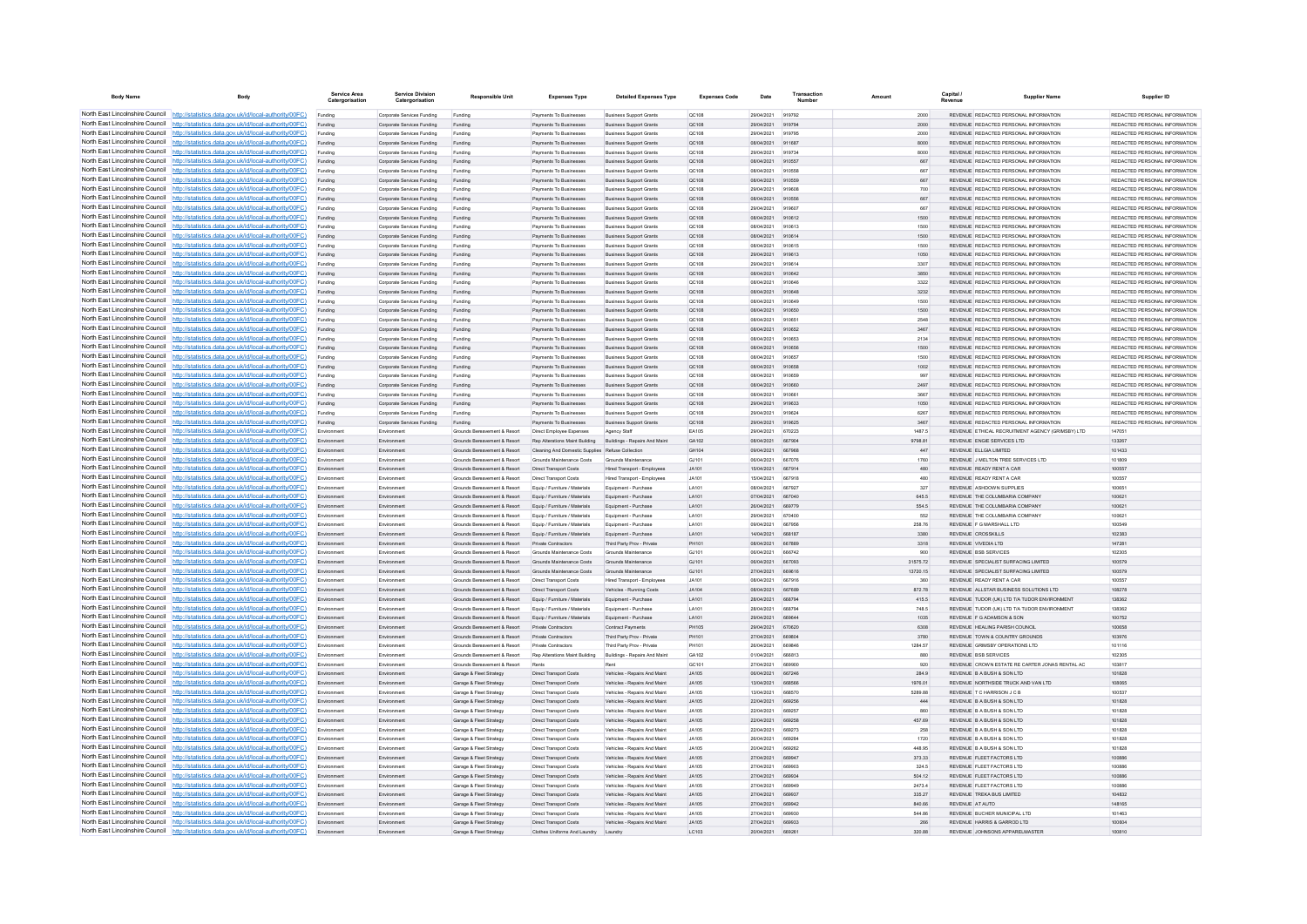| <b>Body Name</b>                | Body                                                                                                                                                                             | Service Area<br>Catergorisation | <b>Service Division</b><br>Catergorisation               | <b>Responsible Unit</b>                                                                   | <b>Expenses Type</b>                                           | <b>Detailed Expenses Type</b>                                     | <b>Expenses Code</b>         | Date                     | Transactio<br>Number | Amount               | Capital<br>Revenue | <b>Supplier Name</b>                                                           | Supplier ID                                                    |
|---------------------------------|----------------------------------------------------------------------------------------------------------------------------------------------------------------------------------|---------------------------------|----------------------------------------------------------|-------------------------------------------------------------------------------------------|----------------------------------------------------------------|-------------------------------------------------------------------|------------------------------|--------------------------|----------------------|----------------------|--------------------|--------------------------------------------------------------------------------|----------------------------------------------------------------|
|                                 | North East Lincolnshire Council http://statistics.data.gov.uk/id/local-authority/00FC)                                                                                           | Funding                         | Corporate Services Funding                               | Funding                                                                                   | Payments To Businesses                                         | <b>Business Support Grants</b>                                    | QC108                        | 29/04/2021               | 919792               | 2000                 |                    | REVENUE REDACTED PERSONAL INFORMATION                                          | REDACTED PERSONAL INFORMATION                                  |
|                                 | North East Lincolnshire Council http://statistics.data.gov.uk/id/local-authority/00FC)                                                                                           | Funding                         | Corporate Services Funding                               | Funding                                                                                   | Payments To Businesses                                         | <b>Business Support Grants</b>                                    | QC108                        | 29/04/2021               | 919794               | 2000                 |                    | REVENUE REDACTED PERSONAL INFORMATION                                          | REDACTED PERSONAL INFORMATION                                  |
|                                 | North East Lincolnshire Council http://statistics.data.gov.uk/id/local-authority/00FC)                                                                                           | Funding                         | Comorate Services Funding                                | Funding                                                                                   | <b>Payments To Businesses</b>                                  | <b>Business Sunnort Grants</b>                                    | OC108                        | 29/04/2021               | 919795               | 2000                 |                    | REVENUE REDACTED PERSONAL INFORMATION                                          | REDACTED PERSONAL INFORMATION                                  |
|                                 | North East Lincolnshire Council http://statistics.data.gov.uk/id/local-authority/00FC)                                                                                           | Funding                         | Corporate Services Funding                               | Funding                                                                                   | Payments To Businesses                                         | <b>Business Support Grants</b>                                    | QC108                        | 08/04/2021               | 911687               | 8000                 |                    | REVENUE REDACTED PERSONAL INFORMATION                                          | REDACTED PERSONAL INFORMATION                                  |
|                                 | North East Lincolnshire Council http://statistics.data.gov.uk/id/local-authority/00FC)                                                                                           | Funding                         | Corporate Services Funding                               | Funding                                                                                   | Payments To Businesses                                         | <b>Business Support Grants</b>                                    | OC108                        | 29/04/2021               | 919734               | 8000                 |                    | REVENUE REDACTED PERSONAL INFORMATION                                          | REDACTED PERSONAL INFORMATION                                  |
|                                 | North East Lincolnshire Council http://statistics.data.gov.uk/id/local-authority/00FC)<br>North East Lincolnshire Council http://statistics.data.gov.uk/id/local-authority/00FC) | Funding                         | Corporate Services Funding<br>Corporate Services Funding | Funding                                                                                   | Payments To Businesses<br><b>Payments To Businesses</b>        | <b>Business Support Grants</b><br><b>Business Support Grants</b>  | QC108<br>OC108               | 08/04/2021<br>08/04/2021 | 910557<br>910558     | 667<br>667           |                    | REVENUE REDACTED PERSONAL INFORMATION<br>REVENUE REDACTED PERSONAL INFORMATION | REDACTED PERSONAL INFORMATION<br>REDACTED PERSONAL INFORMATION |
| North East Lincolnshire Council | http://statistics.data.gov.uk/id/local-authority/00FC)                                                                                                                           | Funding<br>Funding              | Corporate Services Funding                               | Funding<br>Funding                                                                        | Payments To Businesses                                         | <b>Business Support Grants</b>                                    | <b>QC108</b>                 | 08/04/2021               | 910559               | 667                  |                    | REVENUE REDACTED PERSONAL INFORMATION                                          | REDACTED PERSONAL INFORMATION                                  |
| North East Lincolnshire Council | http://statistics.data.gov.uk/id/local-authority/00FC)                                                                                                                           | Funding                         | Corporate Services Funding                               | Funding                                                                                   | Payments To Businesses                                         | <b>Business Support Grants</b>                                    | QC108                        | 29/04/2021               |                      | 700                  |                    | REVENUE REDACTED PERSONAL INFORMATION                                          | REDACTED PERSONAL INFORMATION                                  |
|                                 | North East Lincolnshire Council http://statistics.data.gov.uk/id/local-authority/00FC)                                                                                           | Funding                         | Corporate Services Funding                               | Funding                                                                                   | Payments To Businesses                                         | <b>Business Support Grants</b>                                    | QC108                        | 08/04/2021               | 910558               | 667                  |                    | REVENUE REDACTED PERSONAL INFORMATION                                          | REDACTED PERSONAL INFORMATION                                  |
|                                 | North East Lincolnshire Council http://statistics.data.gov.uk/id/local-authority/00FC)                                                                                           | Funding                         | Comorate Services Funding                                | Funding                                                                                   | <b>Payments To Businesses</b>                                  | <b>Business Sunnort Grants</b>                                    | OC108                        | 29/04/2021               | 919607               | 667                  |                    | REVENUE, REDACTED PERSONAL INFORMATION                                         | REDACTED PERSONAL INFORMATION.                                 |
|                                 | North East Lincolnshire Council http://statistics.data.gov.uk/id/local-authority/00FC)                                                                                           | Funding                         | Corporate Services Funding                               | Funding                                                                                   | Payments To Businesses                                         | <b>Business Support Grants</b>                                    | <b>QC108</b>                 | 08/04/2021               | 910612               | 1500                 |                    | REVENUE REDACTED PERSONAL INFORMATION                                          | REDACTED PERSONAL INFORMATION                                  |
|                                 | North East Lincolnshire Council http://statistics.data.gov.uk/id/local-authority/00FC)                                                                                           | Funding                         | Corporate Services Funding                               | Funding                                                                                   | Payments To Businesses                                         | <b>Business Support Grants</b>                                    | QC108                        | 08/04/2021               | 910613               | 1500                 |                    | REVENUE REDACTED PERSONAL INFORMATION                                          | REDACTED PERSONAL INFORMATION                                  |
|                                 | North East Lincolnshire Council   http://statistics.data.gov.uk/id/local-authority/00FC)                                                                                         | Funding                         | Corporate Services Funding                               | Funding                                                                                   | Payments To Businesses                                         | <b>Business Support Grants</b>                                    | QC108                        | 08/04/2021               | 910614               | 1500                 |                    | REVENUE REDACTED PERSONAL INFORMATION                                          | REDACTED PERSONAL INFORMATION                                  |
| North East Lincolnshire Council | North East Lincolnshire Council http://statistics.data.gov.uk/id/local-authority/00FC)                                                                                           | Funding                         | Comorate Services Funding                                | Funding                                                                                   | <b>Payments To Businesses</b>                                  | <b>Business Sunnort Grants</b>                                    | OC108                        | 08/04/2021               | 910615               | 1500                 |                    | REVENUE REDACTED PERSONAL INFORMATION                                          | REDACTED PERSONAL INFORMATION.                                 |
| North East Lincolnshire Council | http://statistics.data.gov.uk/id/local-authority/00FC)<br>http://statistics.data.gov.uk/id/local-authority/00FC)                                                                 | Funding                         | Corporate Services Funding<br>Corporate Services Funding | Funding                                                                                   | Payments To Businesses<br>Payments To Businesse                | <b>Business Support Grants</b><br><b>Business Support Grants</b>  | OC108<br>QC108               | 29/04/2021<br>29/04/2021 | 919613<br>919614     | 1050<br>3307         |                    | REVENUE REDACTED PERSONAL INFORMATION<br>REVENUE REDACTED PERSONAL INFORMATION | REDACTED PERSONAL INFORMATION<br>REDACTED PERSONAL INFORMATION |
|                                 | North East Lincolnshire Council http://statistics.data.gov.uk/id/local-authority/00FC)                                                                                           | Funding<br>Funding              | Corporate Services Funding                               | Funding<br>Funding                                                                        | Payments To Businessee                                         | <b>Business Support Grants</b>                                    | QC108                        | 08/04/2021               | 910642               | 3850                 |                    | REVENUE REDACTED PERSONAL INFORMATION                                          | REDACTED PERSONAL INFORMATION                                  |
|                                 | North East Lincolnshire Council http://statistics.data.gov.uk/id/local-authority/00FC)                                                                                           | Funding                         | Corporate Services Funding                               | Funding                                                                                   | Payments To Businesses                                         | <b>Business Support Grants</b>                                    | OC108                        | 08/04/2021               | 910646               | 3322                 |                    | REVENUE REDACTED PERSONAL INFORMATION                                          | REDACTED PERSONAL INFORMATION                                  |
|                                 | North East Lincolnshire Council http://statistics.data.gov.uk/id/local-authority/00FC)                                                                                           | Funding                         | Corporate Services Funding                               | Funding                                                                                   | Payments To Businesses                                         | <b>Business Support Grants</b>                                    | QC108                        | 08/04/2021               | 910648               | 3232                 |                    | REVENUE REDACTED PERSONAL INFORMATION                                          | REDACTED PERSONAL INFORMATION                                  |
|                                 | North East Lincolnshire Council http://statistics.data.gov.uk/id/local-authority/00FC)                                                                                           | Funding                         | Corporate Services Funding                               | Funding                                                                                   | Payments To Businesses                                         | <b>Business Support Grants</b>                                    | QC108                        | 08/04/2021               | 910649               | 1500                 |                    | REVENUE REDACTED PERSONAL INFORMATION                                          | REDACTED PERSONAL INFORMATION                                  |
|                                 | North East Lincolnshire Council http://statistics.data.gov.uk/id/local-authority/00FC)                                                                                           | Funding                         | Corporate Services Funding                               | Funding                                                                                   | Payments To Businesses                                         | <b>Business Support Grants</b>                                    | QC108                        | 08/04/2021               | 910650               | 1500                 |                    | REVENUE REDACTED PERSONAL INFORMATION                                          | REDACTED PERSONAL INFORMATION                                  |
| North East Lincolnshire Council | http://statistics.data.gov.uk/id/local-authority/00FC)                                                                                                                           | Funding                         | Corporate Services Funding                               | Funding                                                                                   | Payments To Businesses                                         | <b>Business Support Grants</b>                                    | QC108                        | 08/04/2021               | 910651               | 2548                 |                    | REVENUE REDACTED PERSONAL INFORMATION                                          | REDACTED PERSONAL INFORMATION                                  |
| North East Lincolnshire Council | ttp://statistics.data.gov.uk/id/local-authority/00FC)                                                                                                                            | Funding                         | Corporate Services Funding                               | Funding                                                                                   | Payments To Businesses                                         | Business Support Grants                                           | QC108                        | 08/04/2021               | 910652               | 3467                 |                    | REVENUE REDACTED PERSONAL INFORMATION                                          | REDACTED PERSONAL INFORMATION                                  |
| North East Lincolnshire Council | http://statistics.data.gov.uk/id/local-authority/00FC)                                                                                                                           | Funding                         | Corporate Services Funding                               | Funding                                                                                   | Payments To Businesses                                         | <b>Business Support Grants</b>                                    | QC108                        | 08/04/2021               | 910853               | 2134                 |                    | REVENUE REDACTED PERSONAL INFORMATION                                          | REDACTED PERSONAL INFORMATION                                  |
|                                 | North East Lincolnshire Council http://statistics.data.gov.uk/id/local-authority/00FC)                                                                                           | Funding                         | Corporate Services Funding                               | Funding                                                                                   | <b>Payments To Businesses</b>                                  | <b>Business Sunnort Grants</b>                                    | OC108                        | 08/04/2021               | 910656               | 1500                 |                    | REVENUE, REDACTED PERSONAL INFORMATION                                         | REDACTED PERSONAL INFORMATION.                                 |
|                                 | North East Lincolnshire Council http://statistics.data.gov.uk/id/local-authority/00FC)<br>North East Lincolnshire Council http://statistics.data.gov.uk/id/local-authority/00FC) | Funding                         | Corporate Services Funding<br>Corporate Services Funding | Funding                                                                                   | Payments To Businesses<br>Payments To Businesses               | <b>Business Support Grants</b><br><b>Business Support Grants</b>  | OC108<br>QC108               | 08/04/2021<br>08/04/2021 | 910657<br>910658     | 1500<br>1002         |                    | REVENUE REDACTED PERSONAL INFORMATION<br>REVENUE REDACTED PERSONAL INFORMATION | REDACTED PERSONAL INFORMATION<br>REDACTED PERSONAL INFORMATION |
|                                 | North East Lincolnshire Council http://statistics.data.gov.uk/id/local-authority/00FC)                                                                                           | Funding<br>Funding              | Corporate Services Funding                               | Funding<br>Funding                                                                        | Payments To Businesses                                         | <b>Business Support Grants</b>                                    | OC108                        | 08/04/2021               | 910659               | 997                  |                    | REVENUE REDACTED PERSONAL INFORMATION                                          | REDACTED PERSONAL INFORMATION.                                 |
|                                 | North East Lincolnshire Council http://statistics.data.gov.uk/id/local-authority/00FC)                                                                                           | Funding                         | Corporate Services Funding                               | Funding                                                                                   | Payments To Businesses                                         | <b>Business Support Grants</b>                                    | OC108                        | 08/04/2021               | 910660               | 2497                 |                    | REVENUE, REDACTED PERSONAL INFORMATION                                         | REDACTED PERSONAL INFORMATION.                                 |
| North East Lincolnshire Council | http://statistics.data.gov.uk/id/local-authority/00FC)                                                                                                                           | Funding                         | Corporate Services Funding                               | Funding                                                                                   | Payments To Businesses                                         | <b>Business Support Grants</b>                                    | OCD108                       | 08/04/2021               | 910661               | 3667                 |                    | REVENUE REDACTED PERSONAL INFORMATION                                          | REDACTED PERSONAL INFORMATION                                  |
|                                 | North East Lincolnshire Council http://statistics.data.gov.uk/id/local-authority/00FC)                                                                                           | Funding                         | Corporate Services Funding                               | Funding                                                                                   | Payments To Businesses                                         | <b>Business Support Grants</b>                                    | QC108                        | 29/04/2021               | 919632               | 1050                 |                    | REVENUE REDACTED PERSONAL INFORMATION                                          | REDACTED PERSONAL INFORMATION                                  |
|                                 | North East Lincolnshire Council   http://statistics.data.gov.uk/id/local-authority/00FC)                                                                                         | Funding                         | Comorate Services Funding                                | Funding                                                                                   | Payments To Businessee                                         | <b>Business Support Grants</b>                                    | QC108                        | 29/04/2021               | 919824               | 6267                 |                    | REVENUE REDACTED PERSONAL INFORMATION                                          | REDACTED PERSONAL INFORMATION.                                 |
|                                 | North East Lincolnshire Council http://statistics.data.gov.uk/id/local-authority/00FC)                                                                                           | Funding                         | Corporate Services Funding                               | Funding                                                                                   | Payments To Businesses                                         | <b>Business Support Grants</b>                                    | QC108                        | 29/04/2021               | 919625               | 3467                 |                    | REVENUE REDACTED PERSONAL INFORMATION                                          | REDACTED PERSONAL INFORMATION                                  |
|                                 | North East Lincolnshire Council http://statistics.data.gov.uk/id/local-authority/00FC)                                                                                           | Environment                     | Environment                                              | Grounds Bereavement & Resort                                                              | Direct Employee Expenses                                       | Agency Staff                                                      | EA105                        | 29/04/2021               | 670223               | 1487.5               |                    | REVENUE ETHICAL RECRUITMENT AGENCY (GRIMSBY) LTD                               | 147051                                                         |
|                                 | North East Lincolnshire Council http://statistics.data.gov.uk/id/local-authority/00FC)                                                                                           | Environment                     | Environment                                              | Grounds Bereavement & Resort Rep Alterations Maint Building Buildings - Repairs And Maint |                                                                |                                                                   | GA102                        | 08/04/2021               | 667904               | 9798.81              |                    | REVENUE ENGIE SERVICES LTD                                                     | 133267                                                         |
|                                 | North East Lincolnshire Council http://statistics.data.gov.uk/id/local-authority/00FC)                                                                                           | Environment                     | Environment                                              | Grounds Bereavement & Resort Cleaning And Domestic Supplies Refuse Collection             |                                                                |                                                                   | GH104                        | 09/04/2021               | 667968               | 447                  |                    | REVENUE ELLGIA LIMITED                                                         | 101433                                                         |
| North East Lincolnshire Council | North East Lincolnshire Council http://statistics.data.gov.uk/id/local-authority/00FC)<br>http://statistics.data.gov.uk/id/local-authority/00FC)                                 | Environment                     | Environment                                              | Grounds Reseavement & Resort                                                              | Grounds Maintenance Costs                                      | Grounds Maintenance                                               | G1101                        | 08/04/2021               | 667076               | 1760                 |                    | REVENUE J MELTON TREE SERVICES LTD                                             | 101809                                                         |
| North East Lincolnshire Council | http://statistics.data.gov.uk/id/local-authority/00FC)                                                                                                                           | Environment<br>Environment      | Environment                                              | Grounds Bereavement & Resort<br>Grounds Bereavement & Resort                              | <b>Direct Transport Costs</b><br><b>Direct Transport Costs</b> | Hired Transport - Employees<br><b>Hired Transport - Employees</b> | JA101<br><b>JA101</b>        | 15/04/2021<br>15/04/2021 | 667914<br>667918     | 480<br>480           |                    | REVENUE READY RENT A CAR<br>REVENUE READY RENT A CAR                           | 100557<br>100557                                               |
|                                 | North East Lincolnshire Council http://statistics.data.gov.uk/id/local-authority/00FC)                                                                                           | Em                              | Environment<br>Environmen                                | Grounds Bereavement & Resort                                                              | Equip / Furniture / Materials                                  | Equipment - Purchase                                              | LA101                        | 08/04/2021               | <b>667027</b>        | 327                  |                    | REVENUE ASHDOWN SUPPLIES                                                       | 100651                                                         |
|                                 | North East Lincolnshire Council http://statistics.data.gov.uk/id/local-authority/00FC)                                                                                           | Fry                             | Environment                                              | Grounds Bereavement & Resort                                                              | Fouin / Furniture / Materials                                  | Faujoment - Purchase                                              | LA101                        | 07/04/2021               | 667040               | 645.5                |                    | REVENUE THE COLUMBARIA COMPANY                                                 | 100621                                                         |
|                                 | North East Lincolnshire Council http://statistics.data.gov.uk/id/local-authority/00FC)                                                                                           | Environment                     | Environment                                              | Grounds Bereavement & Resort                                                              | Equip / Furniture / Materials                                  | Equipment - Purchase                                              | LA101                        | 26/04/2021               | 669779               | 554.5                |                    | REVENUE THE COLUMBARIA COMPANY                                                 | 100621                                                         |
|                                 | North East Lincolnshire Council http://statistics.data.gov.uk/id/local-authority/00FC)                                                                                           | Environment                     | Environment                                              | Grounds Bereavement & Resort                                                              | Equip / Furniture / Materials                                  | Equipment - Purchase                                              | LA101                        | 29/04/2021               | 670400               | 552                  |                    | REVENUE THE COLUMBARIA COMPANY                                                 | 100621                                                         |
|                                 | North East Lincolnshire Council http://statistics.data.gov.uk/id/local-authority/00FC)                                                                                           | Environment                     | Environmen                                               | Grounds Bereavement & Resort                                                              | Equip / Furniture / Materials                                  | Equipment - Purchase                                              | LA101                        | 09/04/2021               | 667956               | 258.76               |                    | REVENUE E G MARSHALL LTD                                                       | 100549                                                         |
| North East Lincolnshire Council | http://statistics.data.gov.uk/id/local-authority/00EC)                                                                                                                           | Environment                     | Environment                                              | Grounds Bereavement & Resort                                                              | Fouin / Furniture / Materials                                  | Equipment - Purchase                                              | LA101                        | 14/04/2021               | 668187               | 3380                 |                    | REVENUE CROSSKILLS                                                             | 102383                                                         |
| North East Lincolnshire Council | //statistics.data.gov.uk/id/local-authority/00EC)                                                                                                                                | Environment                     | Environment                                              | Grounds Bereavement & Resort                                                              | Private Contractors                                            | Third Party Prov - Private                                        | PH101                        | 08/04/2021               | 667889               | 3318                 |                    | REVENUE VIVEDIA LTD                                                            | 147281                                                         |
|                                 | North East Lincolnshire Council http://statistics.data.gov.uk/id/local-authority/00FC)<br>North East Lincolnshire Council http://statistics.data.gov.uk/id/local-authority/00FC) | Environmen                      | Environmen                                               | Grounds Bereavement & Resor                                                               | Grounds Maintenance Costs                                      | Grounds Maintenance                                               | GJ101                        | 06/04/202                | 666742               | 900                  |                    | <b>REVENUE BSB SERVICES</b>                                                    | 102305                                                         |
|                                 | North East Lincolnshire Council http://statistics.data.gov.uk/id/local-authority/00FC)                                                                                           | Envi                            | Environmen<br>Environment                                | Grounds Bereavement & Resort<br>Grounds Bereavement & Resort                              | Grounds Maintenance Costs<br>Grounds Maintenance Costs         | Grounds Maintenance<br>Grounds Maintenance                        | GJ101<br>GJ101               | 08/04/2021<br>27/04/2021 | 667093<br>669616     | 31575.72<br>13720.15 |                    | REVENUE SPECIALIST SURFACING LIMITED<br>REVENUE SPECIALIST SURFACING LIMITED   | 100579<br>100579                                               |
|                                 | North East Lincolnshire Council http://statistics.data.gov.uk/id/local-authority/00FC)                                                                                           | Environment<br>Environment      | Environment                                              | Grounds Bereavement & Resort                                                              | Direct Transport Costs                                         | <b>Hired Transport - Employees</b>                                | JA101                        | 08/04/2021               | 667916               | 360                  |                    | REVENUE READY RENT A CAR                                                       | 100557                                                         |
|                                 | North East Lincolnshire Council http://statistics.data.gov.uk/id/local-authority/00FC)                                                                                           | Environment                     | Environmen                                               | Grounds Bereavement & Resort                                                              | <b>Direct Transport Costs</b>                                  | Vehicles - Running Costs                                          | <b>JA104</b>                 | 08/04/2021               | 667689               | 872.78               |                    | REVENUE ALLSTAR BUSINESS SOLUTIONS LTD                                         | 108278                                                         |
|                                 | North East Lincolnshire Council http://statistics.data.gov.uk/id/local-authority/00FC)                                                                                           | Environment                     | Environment                                              | Grounds Bereavement & Resort                                                              | Equip / Furniture / Materials                                  | Equipment - Purchase                                              | LA101                        | 28/04/2021               | 668794               | 415.5                |                    | REVENUE TUDOR (UK) LTD T/A TUDOR ENVIRONMENT                                   | 138362                                                         |
| North East Lincolnshire Council | http://statistics.data.gov.uk/id/local-authority/00FC)                                                                                                                           | Environment                     | Environment                                              | Grounds Bereavement & Resort                                                              | Equip / Furniture / Materials                                  | Equipment - Purchase                                              | LA101                        | 28/04/2021               | 668794               | 748.5                |                    | REVENUE TUDOR (UK) LTD T/A TUDOR ENVIRONMENT                                   | 138362                                                         |
|                                 | North East Lincolnshire Council http://statistics.data.gov.uk/id/local-authority/00FC)                                                                                           | Environment                     | Environment                                              | Grounds Bereavement & Resort                                                              | Equip / Furniture / Materials                                  | Equipment - Purchase                                              | LA101                        | 29/04/2021               | 669644               | 1035                 |                    | REVENUE F G ADAMSON & SON                                                      | 100752                                                         |
|                                 | North East Lincolnshire Council http://statistics.data.gov.uk/id/local-authority/00FC)                                                                                           | En                              | Environmen                                               | Grounds Bereavement & Resort                                                              | Private Contractors                                            | Contract Payments                                                 | <b>PH105</b>                 | 29/04/2021               | 670620               | 6308                 |                    | REVENUE HEALING PARISH COUNCIL                                                 | 100658                                                         |
|                                 | North East Lincolnshire Council http://statistics.data.gov.uk/id/local-authority/00FC)                                                                                           | Environment                     | Environment                                              | Grounds Receasement & Resort                                                              | Private Contractors                                            | Third Party Prov - Private                                        | PH101                        | 27/04/2021               | 669804               | 3780                 |                    | REVENUE TOWN & COUNTRY GROUNDS                                                 | 103976                                                         |
|                                 | North East Lincolnshire Council http://statistics.data.gov.uk/id/local-authority/00FC)                                                                                           | Environment                     | Environment                                              | Grounds Bereavement & Resort                                                              | Private Contractors                                            | Third Party Prov - Private                                        | PH101                        | 26/04/2021               | <b>BRAR46</b>        | 1284.57              |                    | REVENUE GRIMSBY OPERATIONS LTD                                                 | 101116                                                         |
|                                 | North East Lincolnshire Council http://statistics.data.gov.uk/id/local-authority/00FC)<br>North East Lincolnshire Council http://statistics.data.gov.uk/id/local-authority/00FC) | Environment                     | Environment                                              | Grounds Bereavement & Resort                                                              | Rep Alterations Maint Building Buildings - Repairs And Maint   |                                                                   | GA102                        | 01/04/2021               | 666813               | 880                  |                    | REVENUE BSB SERVICES                                                           | 102305                                                         |
| North East Lincolnshire Council | http://statistics.data.gov.uk/id/local-authority/00EC)                                                                                                                           | Environment<br>Environment      | Environmen<br>Environment                                | Grounds Bereavement & Resort<br>Garage & Fleet Strategy                                   | Rents<br><b>Direct Transport Costs</b>                         | Vehicles - Repairs And Maint                                      | GC101<br>JA105               | 27/04/2021<br>06/04/2021 | 669900<br>667246     | 920<br>284 9         |                    | REVENUE CROWN ESTATE RE CARTER JONAS RENTAL AC<br>REVENUE B A BUSH & SON LTD   | 103817<br>101828                                               |
| North East Lincolnshire Council | //statistics.data.gov.uk/id/local-authority/00EC)                                                                                                                                | Environment                     | Environment                                              | Garage & Fleet Strategy                                                                   | <b>Direct Transport Costs</b>                                  | Vehicles - Repairs And Maint                                      | JA105                        | 13/04/2021               | 668566               | 1976.01              |                    | REVENUE NORTHSIDE TRUCK AND VAN LTD                                            | 108065                                                         |
|                                 | North East Lincolnshire Council http://statistics.data.gov.uk/id/local-authority/00FC)                                                                                           | Environment                     | Environmen                                               | Garage & Fleet Strategy                                                                   | <b>Direct Transport Costs</b>                                  | Vehicles - Repairs And Maint                                      | <b>JA105</b>                 | 13/04/2021               | 668570               | 5289.88              |                    | REVENUE TC HARRISON JC B                                                       | 100537                                                         |
|                                 | North East Lincolnshire Council http://statistics.data.gov.uk/id/local-authority/00FC)                                                                                           |                                 | Environmen                                               | Garage & Fleet Strategy                                                                   | <b>Direct Transport Costs</b>                                  | Vehicles - Repairs And Maint                                      | <b>JA105</b>                 | 22/04/2021               | <b>BROOFR</b>        | 444                  |                    | REVENUE B A BUSH & SON LTD                                                     | 101828                                                         |
|                                 | North East Lincolnshire Council http://statistics.data.gov.uk/id/local-authority/00FC)                                                                                           | Environment                     | Environment                                              | Garage & Fleet Strategy                                                                   | <b>Direct Transport Costs</b>                                  | Vehicles - Renairs And Maint                                      | JA105                        | 22/04/2021               | BR9257               | 860                  |                    | REVENUE B A BUSH & SON LTD                                                     | 101828                                                         |
|                                 | North East Lincolnshire Council http://statistics.data.gov.uk/id/local-authority/00FC)                                                                                           | Environment                     | Environment                                              | Garage & Fleet Strategy                                                                   | Direct Transport Costs                                         | Vehicles - Repairs And Maint                                      | JA105                        | 22/04/2021               | 669258               | 457.69               |                    | REVENUE B A BUSH & SON LTD                                                     | 101828                                                         |
|                                 | North East Lincolnshire Council http://statistics.data.gov.uk/id/local-authority/00FC)                                                                                           | Environment                     | Environment                                              | Garage & Fleet Strategy                                                                   | Direct Transport Costs                                         | Vehicles - Repairs And Maint                                      | JA105                        | 22/04/2021               | 669273               | 258                  |                    | REVENUE B A BUSH & SON LTD                                                     | 101828                                                         |
|                                 | North East Lincolnshire Council http://statistics.data.gov.uk/id/local-authority/00FC)                                                                                           | Environment                     | Environment                                              | Garage & Fleet Strategy                                                                   | Direct Transport Costs                                         | Vehicles - Repairs And Maint                                      | JA105                        | 26/04/2021               | 669284               | 1720                 |                    | REVENUE B A BUSH & SON LTD                                                     | 101828                                                         |
| North East Lincolnshire Council | http://statistics.data.gov.uk/id/local-authority/00FC)                                                                                                                           | Environment                     | Environment                                              | Garage & Fleet Strategy                                                                   | <b>Direct Transport Costs</b>                                  | Vehicles - Repairs And Maint                                      | <b>JA105</b>                 | 20/04/2021               | 669262               | 448.95               |                    | REVENUE B A BUSH & SON LTD                                                     | 101828                                                         |
|                                 | North East Lincolnshire Council http://statistics.data.gov.uk/id/local-authority/00FC)<br>North East Lincolnshire Council http://statistics.data.gov.uk/id/local-authority/00FC) | Environment                     | Environment                                              | Garage & Fleet Strategy                                                                   | Direct Transport Costs                                         | Vehicles - Repairs And Maint                                      | JA105                        | 27/04/2021               | 669947               | 373.33               |                    | REVENUE FLEET FACTORS LTD                                                      | 100886                                                         |
|                                 | North East Lincolnshire Council http://statistics.data.gov.uk/id/local-authority/00FC)                                                                                           | Environment                     | Environmen<br>Environment                                | Garage & Fleet Strategy<br>Garage & Fleet Strategy                                        | Direct Transport Costs<br>Direct Transport Costs               | Vehicles - Repairs And Main<br>Vehicles - Repairs And Maint       | <b>JA105</b><br><b>JA105</b> | 27/04/2021<br>27/04/2021 | 669902<br>669934     | 324.5<br>504.12      |                    | REVENUE FLEET FACTORS LTD<br>REVENUE FLEET FACTORS LTD                         | 100886<br>100886                                               |
|                                 | North East Lincolnshire Council http://statistics.data.gov.uk/id/local-authority/00FC)                                                                                           | Environment                     | Environment                                              | Garage & Fleet Strategy                                                                   | <b>Direct Transport Costs</b>                                  | Vehicles - Repairs And Maint                                      | JA105                        | 27/04/2021               | 669949               | 2473.4               |                    | REVENUE FLEET FACTORS LTD                                                      | 100886                                                         |
|                                 | North East Lincolnshire Council http://statistics.data.gov.uk/id/local-authority/00FC)                                                                                           | Environment                     | Environment                                              | Garage & Fleet Strategy                                                                   | Direct Transport Costs                                         | Vehicles - Repairs And Maint                                      | JA105                        | 27/04/2021               | 66993                | 335.27               |                    | REVENUE TREKA BUS LIMITED                                                      | 104832                                                         |
|                                 | North East Lincolnshire Council http://statistics.data.gov.uk/id/local-authority/00FC)                                                                                           |                                 | Environmen                                               | Garage & Fleet Strategy                                                                   | Direct Transport Costs                                         | Vehicles - Repairs And Maint                                      | <b>JA105</b>                 | 27/04/2021               | 669942               | 840.66               | REVENUE AT AUTO    |                                                                                | 148165                                                         |
|                                 | North East Lincolnshire Council http://statistics.data.gov.uk/id/local-authority/00FC)                                                                                           | Environment                     | Environment                                              | Garage & Fleet Strategy                                                                   | <b>Direct Transport Costs</b>                                  | Vehicles - Renairs And Maint                                      | JA105                        | 27/04/2021               | 669930               | <b>544 86</b>        |                    | REVENUE BUCHER MUNICIPAL LTD                                                   | 101463                                                         |
|                                 | North East Lincolnshire Council http://statistics.data.gov.uk/id/local-authority/00FC)                                                                                           | Environment                     | Environment                                              | Garage & Fleet Strategy                                                                   | <b>Direct Transport Costs</b>                                  | Vehicles - Repairs And Maint                                      | JA105                        | 27/04/2021               | 669933               | 266                  |                    | REVENUE HARRIS & GARROD LTD                                                    | 100604                                                         |
|                                 | North East Lincolnshire Council http://statistics.data.gov.uk/id/local-authority/00FC)                                                                                           |                                 | Environmen                                               | Garage & Fleet Strategy                                                                   | Clothes Uniforms And Laundry                                   | Laundry                                                           |                              | 20/04/2021               |                      | 320.88               |                    | REVENUE JOHNSONS APPARELMASTEI                                                 | 100810                                                         |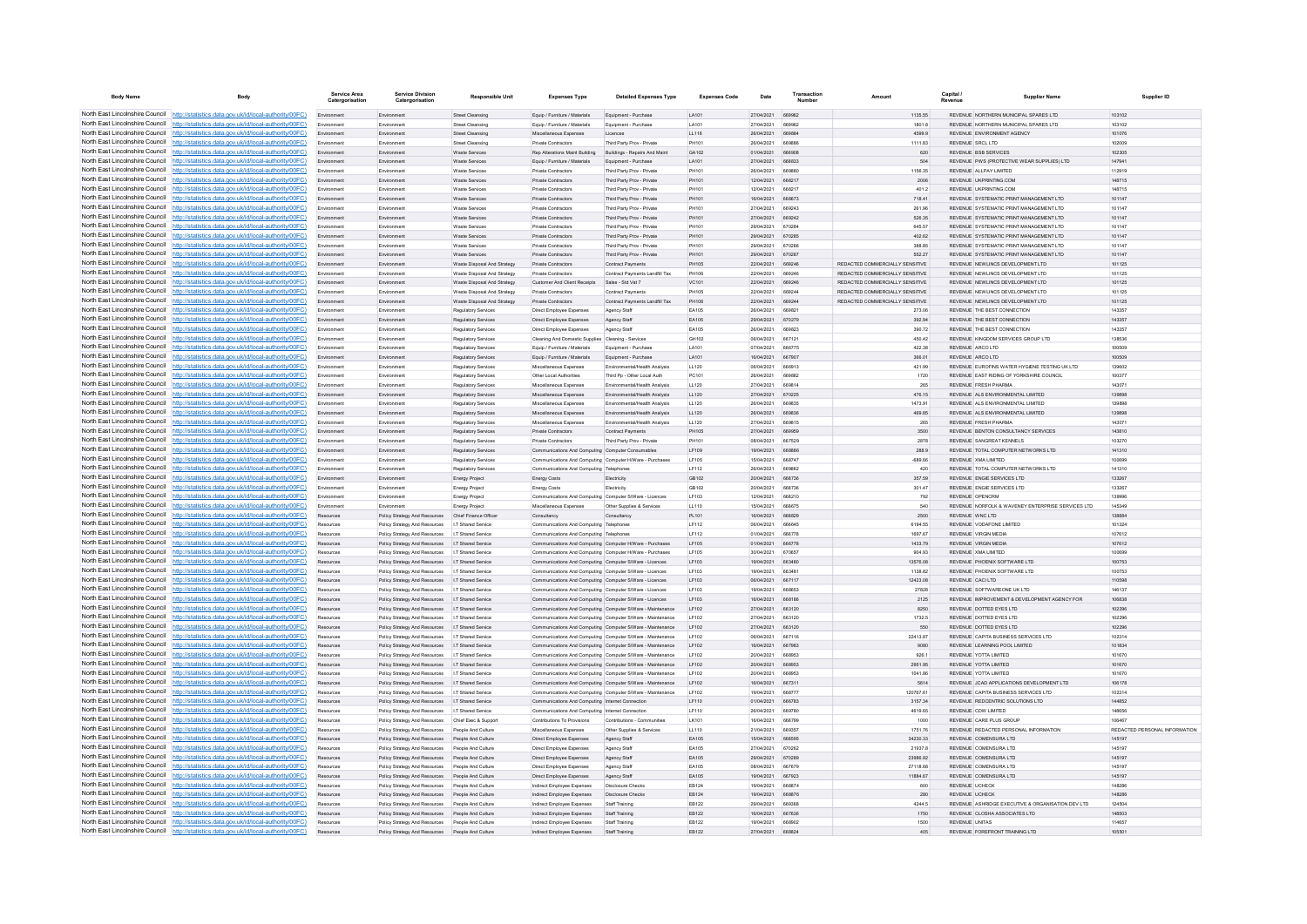| <b>Body Name</b>                                                   |                                                                                                                                                                                  | Service Area<br>Catergorisation | <b>Service Division</b><br>Catergorisation                                                               | <b>Responsible Unit</b>                       | <b>Expenses Type</b>                                                                                          | <b>Detailed Expenses Type</b>                              | <b>Expenses Code</b>  | Date                     | Transactio<br>Number    | Amoun                                     | Capital /              | <b>Supplier Name</b>                                                               | Supplier ID                   |
|--------------------------------------------------------------------|----------------------------------------------------------------------------------------------------------------------------------------------------------------------------------|---------------------------------|----------------------------------------------------------------------------------------------------------|-----------------------------------------------|---------------------------------------------------------------------------------------------------------------|------------------------------------------------------------|-----------------------|--------------------------|-------------------------|-------------------------------------------|------------------------|------------------------------------------------------------------------------------|-------------------------------|
|                                                                    | North East Lincolnshire Council http://statistics.data.gov.uk/id/local-authority/00FC)                                                                                           | Environment                     | Environment                                                                                              | <b>Street Cleansing</b>                       | Equip / Furniture / Materials                                                                                 | Equipment - Purchase                                       | LA101                 | 27/04/2021               | 669962                  | 1135.55                                   |                        | REVENUE NORTHERN MUNICIPAL SPARES LTD                                              | 103102                        |
|                                                                    | North East Lincolnshire Council http://statistics.data.gov.uk/id/local-authority/00FC)                                                                                           |                                 | Environment                                                                                              | <b>Street Cleansing</b>                       | Equip / Furniture / Materials                                                                                 | Equipment - Purchas                                        | LA101                 | 27/04/2021               | <b>BROORS</b>           | 1801.8                                    |                        | REVENUE NORTHERN MUNICIPAL SPARES LTD                                              | 103102                        |
|                                                                    | North East Lincolnshire Council http://statistics.data.gov.uk/id/local-authority/00FC)                                                                                           | Environment                     | Environment                                                                                              | Street Cleansing                              | Miscellaneous Expenses                                                                                        | Licences                                                   | LL116                 | 26/04/2021               | <b>BRARRA</b>           | 4599.9                                    |                        | REVENUE ENVIRONMENT AGENCY                                                         | 101076                        |
|                                                                    | North East Lincolnshire Council http://statistics.data.gov.uk/id/local-authority/00FC)                                                                                           | Environment                     | Environment                                                                                              | Street Cleansing                              | Private Contractors                                                                                           | Third Party Prov - Private                                 | PH101                 | 26/04/2021               | <b>BRARAR</b>           | 1111.83                                   | REVENUE SRCLLTD        |                                                                                    | 102009                        |
|                                                                    | North East Lincolnshire Council http://statistics.data.gov.uk/id/local-authority/00FC)                                                                                           | Environment                     | Environment                                                                                              | Waste Services                                | Rep Alterations Maint Building Buildings - Repairs And Maint                                                  |                                                            | GA102                 | 01/04/2021               | 666908                  | 620                                       |                        | <b>REVENUE BSB SERVICES</b>                                                        | 102305                        |
|                                                                    | North East Lincolnshire Council http://statistics.data.gov.uk/id/local-authority/00FC)                                                                                           | Environment                     | Environment                                                                                              | Waste Services                                | Equip / Furniture / Materials                                                                                 | Equipment - Purchase                                       | LA101                 | 27/04/2021               | <b>BRBB33</b>           | 504                                       |                        | REVENUE PWS (PROTECTIVE WEAR SUPPLIES) LTD                                         | 14794                         |
| North East Lincolnshire Council                                    | North East Lincolnshire Council http://statistics.data.gov.uk/id/local-authority/00FC)<br>http://statistics.data.gov.uk/id/local-authority/00FC)                                 | Environment<br>Environment      | Environment<br>Environment                                                                               | Waste Senioes<br><b>Waste Services</b>        | <b>Private Contractors</b><br><b>Private Contractors</b>                                                      | Third Party Proy - Private<br>Third Party Prov - Private   | PH101<br>PH101        | 26/04/2021<br>12/04/2021 | <b>BROBBO</b><br>668217 | 1156.35<br>2006                           |                        | REVENUE ALLPAY LIMITED<br>REVENUE UKPRINTING.COM                                   | 112919<br>148715              |
| North East Lincolnshire Council                                    | http://statistics.data.gov.uk/id/local-authority/00FC)                                                                                                                           | Environmen                      |                                                                                                          | Waste Services                                | Private Contractors                                                                                           | hird Party Prov - Private                                  | PH101                 | 12/04/2021               |                         | 401.2                                     |                        | REVENUE UKPRINTING.COM                                                             | 148715                        |
| North East Lincolnshire Council                                    | http://statistics.data.gov.uk/id/local-authority/00FC)                                                                                                                           |                                 | Environment                                                                                              | Waste Service                                 | Private Contractors                                                                                           | Third Party Proy - Private                                 | PH101                 | 16/04/2021               | <b>BRBR73</b>           | 718.41                                    |                        | REVENUE SYSTEMATIC PRINT MANAGEMENT I TD                                           | 101147                        |
|                                                                    | North East Lincolnshire Council http://statistics.data.gov.uk/id/local-authority/00FC)                                                                                           | Environment                     | Environment                                                                                              | Waste Senioes                                 | Private Contractors                                                                                           | Third Party Prov - Private                                 | <b>PH101</b>          | 27/04/2021               | 669243                  | 261.96                                    |                        | REVENUE SYSTEMATIC PRINT MANAGEMENT LTD                                            | 101147                        |
|                                                                    | North East Lincolnshire Council http://statistics.data.gov.uk/id/local-authority/00FC)                                                                                           | Environment                     | Environment                                                                                              | Waste Services                                | Private Contractors                                                                                           | Third Party Prov - Private                                 | PH101                 | 27/04/2021               | 669242                  | 526.35                                    |                        | REVENUE SYSTEMATIC PRINT MANAGEMENT LTD                                            | 101147                        |
|                                                                    | North East Lincolnshire Council http://statistics.data.gov.uk/id/local-authority/00FC)                                                                                           |                                 | Environment                                                                                              | Waste Services                                | Private Contractors                                                                                           | Third Party Prov - Private                                 | PH101                 | 29/04/2021               | 670284                  | 645.57                                    |                        | REVENUE SYSTEMATIC PRINT MANAGEMENT LTD                                            | 101147                        |
|                                                                    | North East Lincolnshire Council http://statistics.data.gov.uk/id/local-authority/00FC)                                                                                           | Environment                     | Environment                                                                                              | Waste Services                                | Private Contractors                                                                                           | Third Party Prov - Private                                 | PH101                 | 29/04/2021               | 670285                  | 402.62                                    |                        | REVENUE SYSTEMATIC PRINT MANAGEMENT LTD                                            | 101147                        |
| North East Lincolnshire Council                                    | http://statistics.data.gov.uk/id/local-authority/00FC)                                                                                                                           | Environment                     | Environment                                                                                              | Waste Services                                | <b>Private Contractors</b>                                                                                    | Third Party Proy - Private                                 | PH101                 | 29/04/2021               | 670286                  | 388.85                                    |                        | REVENUE SYSTEMATIC PRINT MANAGEMENT LTD                                            | 101147                        |
| North East Lincolnshire Council<br>North East Lincolnshire Council | to://statistics.data.gov.uk/id/local-authority/00FC)<br>statistics.data.gov.uk/id/local-authority/00FC)                                                                          | Environment                     | Environment<br>Environment                                                                               | Waste Services<br>Waste Disposal And Strategy | <b>Private Contractors</b><br>Private Contractors                                                             | Third Party Prov - Private<br>Contract Payments            | PH101<br><b>PH105</b> | 29/04/2021<br>22/04/2021 | 670287<br>669246        | 552.27<br>REDACTED COMMERCIALLY SENSITIVE |                        | REVENUE SYSTEMATIC PRINT MANAGEMENT LTD<br>REVENUE NEWLINCS DEVELOPMENT LTD        | 101147<br>101125              |
| North East Lincolnshire Council                                    | http://statistics.data.gov.uk/id/local-authority/00FC)                                                                                                                           | Environment                     | Environment                                                                                              | Waste Disposal And Strategy                   | Private Contractors                                                                                           | Contract Payments Landfill Tax                             | PH106                 | 22/04/2021               | 669246                  | REDACTED COMMERCIALLY SENSITIVE           |                        | REVENUE NEWLINGS DEVELOPMENT LTD                                                   | 101125                        |
|                                                                    | North East Lincolnshire Council http://statistics.data.gov.uk/id/local-authority/00FC)                                                                                           | Environment                     | Environment                                                                                              | Waste Disposal And Strategy                   | Customer And Client Receipts Sales - Std Vat 7                                                                |                                                            | VC101                 | 22/04/2021               | 669246                  | REDACTED COMMERCIALLY SENSITIVE           |                        | REVENUE NEWLINCS DEVELOPMENT LTD                                                   | 101125                        |
|                                                                    | North East Lincolnshire Council http://statistics.data.gov.uk/id/local-authority/00FC)                                                                                           | Environment                     | Environment                                                                                              | Waste Disposal And Strategy                   | Private Contractors                                                                                           | Contract Payments                                          | <b>PH105</b>          | 22/04/2021               | 669244                  | REDACTED COMMERCIALLY SENSITIVE           |                        | REVENUE NEWLINCS DEVELOPMENT LTD                                                   | 101125                        |
|                                                                    | North East Lincolnshire Council http://statistics.data.gov.uk/id/local-authority/00FC)                                                                                           | Environment                     | Environment                                                                                              | Waste Disposal And Strategy                   | Private Contractors                                                                                           | Contract Payments Landfill Tax                             | PH106                 | 22/04/2021               | <b>BROOM</b>            | REDACTED COMMERCIALLY SENSITIVE           |                        | REVENUE NEWLINCS DEVELOPMENT LTD                                                   | 101125                        |
| North East Lincolnshire Council                                    | http://statistics.data.gov.uk/id/local-authority/00EC).                                                                                                                          | Environment                     | Environment                                                                                              | Regulatory Services                           | <b>Direct Employee Expenses</b>                                                                               | Agency Staff                                               | FA105                 | 26/04/2021               | 669821                  | 273.06                                    |                        | REVENUE THE REST CONNECTION                                                        | 143357                        |
| North East Lincolnshire Council                                    | http://statistics.data.gov.uk/id/local-authority/00EC)                                                                                                                           | Environment                     | Environment                                                                                              | Regulatory Services                           | Direct Employee Expenses                                                                                      | Agency Staff                                               | FA105                 | 29/04/2021               | 670279                  | 392.94                                    |                        | REVENUE THE REST CONNECTION                                                        | 143357                        |
| North East Lincolnshire Council                                    | http://statistics.data.gov.uk/id/local-authority/00FC)                                                                                                                           |                                 |                                                                                                          | Regulatory Services                           | Direct Employee Expenses                                                                                      | Agency Staf                                                | EA105                 | 26/04/2021               | 669823                  | 390.72                                    |                        | REVENUE THE BEST CONNECTION                                                        | 143357                        |
|                                                                    | North East Lincolnshire Council http://statistics.data.gov.uk/id/local-authority/00FC)                                                                                           | Envir                           | Environment                                                                                              | Regulatory Services                           | Cleaning And Domestic Supplies Cleaning - Services                                                            |                                                            | GH102                 | 06/04/2021               | 667121                  | 450.42                                    |                        | REVENUE KINGDOM SERVICES GROUP LTD                                                 | 138536                        |
|                                                                    | North East Lincolnshire Council http://statistics.data.gov.uk/id/local-authority/00FC)<br>North East Lincolnshire Council http://statistics.data.gov.uk/id/local-authority/00FC) | Environment                     | Environment<br>Environment                                                                               | Regulatory Services                           | Equip / Furniture / Materials<br>Equip / Furniture / Materials                                                | Equipment - Purchase<br>Equipment - Purchase               | LA101<br>LA101        | 07/04/2021<br>16/04/2021 | 666775<br>667907        | 422.38<br>366.01                          | REVENUE ARCO LTD       | REVENUE ARCO LTD                                                                   | 100509<br>100509              |
|                                                                    | North East Lincolnshire Council http://statistics.data.gov.uk/id/local-authority/00FC)                                                                                           | Environment                     | Environment                                                                                              | Regulatory Services<br>Regulatory Services    | Miscellaneous Expenses                                                                                        | Environmental/Health Analysis                              | LL120                 | 06/04/2021               | 666913                  | 421.99                                    |                        | REVENUE EUROFINS WATER HYGIENE TESTING UK LTD                                      | 139602                        |
| North East Lincolnshire Council                                    | http://statistics.data.gov.uk/id/local-authority/00FC)                                                                                                                           | Environment                     | Environment                                                                                              | Regulatory Services                           | Other Local Authorities                                                                                       | Third Po - Other Local Auth                                | PC101                 | 26/04/2021               | 669882                  | 1720                                      |                        | REVENUE FAST RIDING OF YORKSHIRE COUNCIL                                           | 100377                        |
| North East Lincolnshire Council                                    | http://statistics.data.gov.uk/id/local-authority/00FC)                                                                                                                           | Environment                     | Environment                                                                                              | Regulatory Services                           | Miscellaneous Expenses                                                                                        | Environmental/Health Analysis                              | 11 120                | 27/04/2021               | 669814                  | 265                                       |                        | <b>REVENUE ERESH PHARMA</b>                                                        | 14307                         |
| North East Lincolnshire Council                                    | to://statistics.data.gov.uk/id/local-authority/00FC)                                                                                                                             | Environment                     | Environment                                                                                              | Regulatory Services                           | Miscellaneous Expenses                                                                                        | Environmental/Health Analysis                              | LL120                 | 27/04/2021               | 670225                  | 476.15                                    |                        | REVENUE ALS ENVIRONMENTAL LIMITED                                                  | 139898                        |
| North East Lincolnshire Council                                    | http://statistics.data.gov.uk/id/local-authority/00FC)                                                                                                                           | Environment                     | Environment                                                                                              | Regulatory Services                           | Miscellaneous Expenses                                                                                        | Environmental/Health Analysi                               | LL120                 | 28/04/2021               | <b>BROB35</b>           | 1473.91                                   |                        | REVENUE ALS ENVIRONMENTAL LIMITED                                                  | 139898                        |
|                                                                    | North East Lincolnshire Council http://statistics.data.gov.uk/id/local-authority/00FC)                                                                                           | Environment                     | Environment                                                                                              | Regulatory Services                           | Miscellaneous Expenses                                                                                        | Environmental/Health Analysis                              | 11120                 | 26/04/2021               | <b>BROB3R</b>           | 469.85                                    |                        | REVENUE ALS ENVIRONMENTAL LIMITED.                                                 | 139898                        |
|                                                                    | North East Lincolnshire Council http://statistics.data.gov.uk/id/local-authority/00FC)                                                                                           | Environment                     | Environment                                                                                              | <b>Regulatory Services</b>                    | Miscellaneous Expenses                                                                                        | Environmental/Health Analysis                              | 11120                 | 27/04/2021               | ARGR15                  | 265                                       |                        | <b>REVENUE ERESH PHARMA</b>                                                        | 143071                        |
|                                                                    | North East Lincolnshire Council http://statistics.data.gov.uk/id/local-authority/00FC)                                                                                           | Environment                     | Environment                                                                                              | Regulatory Services                           | Private Contractors                                                                                           | Contract Payments                                          | PH105                 | 27/04/2021               | 669959                  | 3500                                      |                        | REVENUE BENTON CONSULTANCY SERVICES                                                | 143810                        |
| North East Lincolnshire Council                                    | North East Lincolnshire Council http://statistics.data.gov.uk/id/local-authority/00FC)<br>http://statistics.data.gov.uk/id/local-authority/00FC)                                 | Environmen                      | Environment                                                                                              | Regulatory Services                           | Private Contractors                                                                                           | Third Party Prov - Private                                 | PH101                 | 08/04/2021<br>19/04/2021 | 667529<br><b>BRARAR</b> | 2878                                      |                        | REVENUE SANGREAT KENNELS                                                           | 103270<br>141310              |
| North East Lincolnshire Council                                    | http://statistics.data.gov.uk/id/local-authority/00FC)                                                                                                                           | Environment<br>Environment      | Environment<br>Environment                                                                               | Regulatory Services<br>Regulatory Services    | Communications And Computing Computer Consumables<br>Communications And Computing Computer H/Ware - Purchases |                                                            | LF109<br>LF105        | 15/04/2021               | 668747                  | 288.9<br>$-689.66$                        |                        | REVENUE TOTAL COMPUTER NETWORKS LTD<br>REVENUE XMA LIMITED                         | 100699                        |
| North East Lincolnshire Council                                    | http://statistics.data.gov.uk/id/local-authority/00FC)                                                                                                                           | Environmen                      | Environment                                                                                              | Regulatory Services                           | Communications And Computing Telephones                                                                       |                                                            | LF112                 | 26/04/2021               | 669862                  | 420                                       |                        | REVENUE TOTAL COMPUTER NETWORKS LTD                                                | 141310                        |
|                                                                    | North East Lincolnshire Council http://statistics.data.gov.uk/id/local-authority/00FC)                                                                                           |                                 | Environment                                                                                              | <b>Energy Project</b>                         | Energy Costs                                                                                                  | Electricity                                                | GB102                 | 20/04/2021               | 668736                  | 357.59                                    |                        | REVENUE ENGIE SERVICES LTD                                                         | 133267                        |
|                                                                    | North East Lincolnshire Council http://statistics.data.gov.uk/id/local-authority/00FC)                                                                                           | Environment                     | Environment                                                                                              | <b>Energy Project</b>                         | <b>Energy Costs</b>                                                                                           | Flectricity                                                | GR102                 | 20/04/2021               | 668736                  | 301.47                                    |                        | REVENUE ENGIE SERVICES LTD                                                         | 133267                        |
|                                                                    | North East Lincolnshire Council http://statistics.data.gov.uk/id/local-authority/00FC)                                                                                           | Environment                     | Environment                                                                                              | <b>Energy Project</b>                         | Communications And Computing Computer S/Ware - Licences                                                       |                                                            | LF103                 | 12/04/2021               | 668210                  | 792                                       |                        | REVENUE OPENCRM                                                                    | 139996                        |
|                                                                    | North East Lincolnshire Council http://statistics.data.gov.uk/id/local-authority/00FC)                                                                                           |                                 | Environment                                                                                              | <b>Energy Project</b>                         | Miscellaneous Expenses                                                                                        | Other Supplies & Services                                  | LL110                 | 15/04/2021               | 668675                  | 540                                       |                        | REVENUE NORFOLK & WAVENEY ENTERPRISE SERVICES LTD                                  | 145349                        |
|                                                                    | North East Lincolnshire Council http://statistics.data.gov.uk/id/local-authority/00FC)                                                                                           | Resources                       | Policy Strategy And Resources                                                                            | Chief Finance Office                          | Consultancy                                                                                                   | Consultancy                                                | PL101                 | 16/04/2021               | 668829                  | 2500                                      | REVENUE WNC LTD        |                                                                                    | 138884                        |
| North East Lincolnshire Council<br>North East Lincolnshire Council | http://statistics.data.gov.uk/id/local-authority/00EC).<br>http://statistics.data.gov.uk/id/local-authority/00EC).                                                               | Resources                       | Policy Strategy And Resources   I.T Shared Service                                                       |                                               | Communications And Computing Telephones                                                                       |                                                            | IF112<br>IF112        | 06/04/2021<br>01/04/2021 | 666645                  | 6194.55                                   |                        | REVENUE VODAEONE LIMITED                                                           | 101324<br>107612              |
|                                                                    | North East Lincolnshire Council http://statistics.data.gov.uk/id/local-authority/00FC)                                                                                           | Resources<br>Resources          | Policy Strategy And Resources<br>Policy Strategy And Resources                                           | I.T Shared Service<br>I.T Shared Service      | Communications And Computing Telephones<br>Communications And Computing Computer H/Ware - Purchases           |                                                            | LF105                 | 01/04/2021               | 666778<br>666778        | 1697.67<br>1433.79                        |                        | REVENUE VIRGIN MEDIA<br>REVENUE VIRGIN MEDIA                                       | 107612                        |
|                                                                    | North East Lincolnshire Council http://statistics.data.gov.uk/id/local-authority/00FC)                                                                                           | Resources                       | Policy Strategy And Resources   I.T Shared Service                                                       |                                               | Communications And Computing Computer H/Ware - Purchase                                                       |                                                            | LF105                 | 30/04/2021               | 670657                  | 904.93                                    |                        | REVENUE XMA LIMITED                                                                | 100699                        |
|                                                                    | North East Lincolnshire Council   http://statistics.data.gov.uk/id/local-authority/00FC)                                                                                         | Resources                       | Policy Strategy And Resources   I.T Shared Service                                                       |                                               | Communications And Computing Computer S/Ware - Licences                                                       |                                                            | LF103                 | 19/04/2021               | 663480                  | 13576.08                                  |                        | REVENUE PHOENIX SOFTWARE LTD                                                       | 100753                        |
|                                                                    | North East Lincolnshire Council http://statistics.data.gov.uk/id/local-authority/00FC)                                                                                           | Resources                       | Policy Strategy And Resources   I.T Shared Service                                                       |                                               | Communications And Computing Computer S/Ware - Licences                                                       |                                                            | LF103                 | 19/04/2021               | 663481                  | 1138.82                                   |                        | REVENUE PHOENIX SOFTWARE LTD                                                       | 100753                        |
|                                                                    | North East Lincolnshire Council http://statistics.data.gov.uk/id/local-authority/00FC)                                                                                           | Resources                       | Policy Strategy And Resources   I.T Shared Service                                                       |                                               | Communications And Computing Computer S/Ware - Licences                                                       |                                                            | LF103                 | 06/04/2021               | 667117                  | 12423.08                                  | REVENUE CACILTD        |                                                                                    | 110598                        |
| North East Lincolnshire Council                                    | http://statistics.data.gov.uk/id/local-authority/00EC).                                                                                                                          | Resources                       | Policy Strategy And Resources   I.T Shared Service                                                       |                                               | Communications And Computing Computer S/Ware - Licences                                                       |                                                            | LE103                 | 19/04/2021               | 668653                  | 27828                                     |                        | REVENUE SOFTWAREONE UK LTD                                                         | 146137                        |
| North East Lincolnshire Council                                    | http://statistics.data.gov.uk/id/local-authority/00EC)                                                                                                                           | Resources                       | Policy Strategy And Resources   I.T Shared Service                                                       |                                               | Communications And Computing Computer S/Ware - Licences                                                       |                                                            | LF103                 | 16/04/2021               | 668186                  | 2125                                      |                        | REVENUE IMPROVEMENT & DEVELOPMENT AGENCY FOR                                       | 106838                        |
| North East Lincolnshire Council                                    | http://statistics.data.gov.uk/id/local-authority/00FC)<br>North East Lincolnshire Council   http://statistics.data.gov.uk/id/local-authority/00FC)                               | Resources                       | Policy Strategy And Resources                                                                            | LT Shared Service                             |                                                                                                               | Communications And Computing Computer S/Ware - Maintenance | LF102                 | 27/04/2021               | 663120                  | 8250                                      |                        | REVENUE DOTTED EYES LTD                                                            | 102296                        |
|                                                                    | North East Lincolnshire Council http://statistics.data.gov.uk/id/local-authority/00FC)                                                                                           | Resources                       | Policy Strategy And Resources<br>Policy Strategy And Resources   I.T Shared Service                      | <b>I.T Shared Service</b>                     | Communications And Computing Computer S/Ware - Maintenance                                                    | Communications And Computing Computer S/Ware - Maintenance | LE102<br><b>IF102</b> | 27/04/2021<br>27/04/2021 | 663120<br>663120        | 1732.5<br>550                             |                        | REVENUE DOTTED EYES LTD.<br>REVENUE DOTTED EYES LTD.                               | 102298<br>102296              |
|                                                                    | North East Lincolnshire Council http://statistics.data.gov.uk/id/local-authority/00FC)                                                                                           | Resources                       | Policy Strategy And Resources   IT Shared Service                                                        |                                               |                                                                                                               | Communications And Computing Computer S/Ware - Maintenance | LE102                 | 08/04/2021               | 667116                  | 22413.87                                  |                        | REVENUE CAPITA BUSINESS SERVICES LTD                                               | 102314                        |
|                                                                    | North East Lincolnshire Council http://statistics.data.gov.uk/id/local-authority/00FC)                                                                                           | Resources                       | Policy Strategy And Resources   I.T Shared Service                                                       |                                               |                                                                                                               | Communications And Computing Computer S/Ware - Maintenance | LF102                 | 16/04/2021               | 667983                  | 9080                                      |                        | REVENUE LEARNING POOL LIMITED                                                      | 101834                        |
| North East Lincolnshire Council                                    | http://statistics.data.gov.uk/id/local-authority/00EC)                                                                                                                           | Resources                       | Policy Strategy And Resources   I.T Shared Service                                                       |                                               |                                                                                                               | Communications And Computing Computer S/Ware - Maintenance | LE102                 | 20/04/2021               | <b>BRBD53</b>           | 926.1                                     |                        | REVENUE YOTTA LIMITED                                                              | 101670                        |
| North East Lincolnshire Council                                    | http://statistics.data.gov.uk/id/local-authority/00FC)                                                                                                                           | Resources                       | Policy Strategy And Resources   I.T Shared Service                                                       |                                               | Communications And Computing Computer S/Ware - Maintenance                                                    |                                                            | LF102                 | 20/04/2021               | 668953                  | 2951.95                                   |                        | REVENUE YOTTA LIMITED                                                              | 101670                        |
|                                                                    | North East Lincolnshire Council   http://statistics.data.gov.uk/id/local-authority/00FC)                                                                                         | Resources                       | Policy Strategy And Resources                                                                            | I.T Shared Service                            |                                                                                                               | Communications And Computing Computer S/Ware - Maintenance | LF102                 | 20/04/2021               | 668953                  | 1041.86                                   |                        | REVENUE YOTTA LIMITED                                                              | 101670                        |
|                                                                    | North East Lincolnshire Council http://statistics.data.gov.uk/id/local-authority/00FC)                                                                                           | Resources                       | Policy Strategy And Resources   I.T Shared Service                                                       |                                               |                                                                                                               | Communications And Computing Computer S/Ware - Maintenance | LF102                 | 16/04/2021               | 667311                  | 5614                                      |                        | REVENUE JCAD APPLICATIONS DEVELOPMENT LTD                                          | 106178                        |
|                                                                    | North East Lincolnshire Council http://statistics.data.gov.uk/id/local-authority/00FC)                                                                                           | Resources                       | Policy Strategy And Resources   I.T Shared Service                                                       |                                               |                                                                                                               | Communications And Computing Computer S/Ware - Maintenance | LE102                 | 19/04/2021               | 668777                  | 120767-61                                 |                        | REVENUE CAPITA BUSINESS SERVICES LTD                                               | 102314                        |
|                                                                    | North East Lincolnshire Council http://statistics.data.gov.uk/id/local-authority/00FC)<br>North East Lincolnshire Council http://statistics.data.gov.uk/id/local-authority/00FC) | Resources                       | Policy Strategy And Resources   I.T Shared Service<br>Policy Strategy And Resources   I.T Shared Service |                                               | Communications And Computing Internet Connection<br>Communications And Computing Internet Connection          |                                                            | LF110<br>LF110        | 01/04/2021<br>26/04/2021 | 666783<br>669780        | 3157.34<br>4619.65                        |                        | REVENUE REDCENTRIC SOLUTIONS LTD<br>REVENUE CDW LIMITED                            | 144852<br>148656              |
|                                                                    | North East Lincolnshire Council http://statistics.data.gov.uk/id/local-authority/00FC)                                                                                           | Resources<br>Resources          | Policy Strategy And Resources Chief Exec & Suppor                                                        |                                               | Contributions To Provisions                                                                                   | Contributions - Communities                                | LK101                 | 16/04/2021               | 668799                  | 1000                                      |                        | REVENUE CARE PLUS GROUP                                                            | 106467                        |
| North East Lincolnshire Council                                    | http://statistics.data.gov.uk/id/local-authority/00EC).                                                                                                                          | Resources                       | Policy Strategy And Resources People And Culture                                                         |                                               | Miscellaneous Expenses                                                                                        | Other Supplies & Services                                  | 11110                 | 21/04/2021               | 669357                  | 1751.76                                   |                        | REVENUE REDACTED PERSONAL INFORMATION                                              | REDACTED PERSONAL INFORMATION |
| North East Lincolnshire Council                                    | http://statistics.data.gov.uk/id/local-authority/00EC).                                                                                                                          | Resources                       | Policy Strategy And Resources People And Culture                                                         |                                               | Direct Employee Expenses                                                                                      | Agency Staff                                               | EA105                 | 15/04/2021               | 668595                  | 34230.33                                  |                        | REVENUE COMENSURA LTD                                                              | 145197                        |
| North East Lincolnshire Council                                    | http://statistics.data.gov.uk/id/local-authority/00EC)                                                                                                                           | Resource:                       | Policy Strategy And Resources                                                                            | People And Culture                            | Direct Employee Expenses                                                                                      | Agency Staff                                               | EA105                 | 27/04/2021               | 670262                  | 21937.8                                   |                        | REVENUE COMENSURA LTD                                                              | 145197                        |
|                                                                    | North East Lincolnshire Council http://statistics.data.gov.uk/id/local-authority/00FC)                                                                                           |                                 | Policy Strategy And Resources                                                                            | People And Culture                            | Direct Employee Expenses                                                                                      | Agency Staff                                               | EA105                 | 29/04/2021               | 670289                  | 23986.92                                  |                        | REVENUE COMENSURA LTD                                                              | 145197                        |
|                                                                    | North East Lincolnshire Council http://statistics.data.gov.uk/id/local-authority/00FC)                                                                                           | Resources                       | Policy Strategy And Resources People And Culture                                                         |                                               | Direct Employee Expenses                                                                                      | Agency Staff                                               | FA105                 | 08/04/2021               | <b>667670</b>           | 27118.68                                  |                        | REVENUE COMENSURA LTD                                                              | 145197                        |
|                                                                    | North East Lincolnshire Council http://statistics.data.gov.uk/id/local-authority/00FC)                                                                                           | Resources                       | Policy Strategy And Resources People And Culture                                                         |                                               | Direct Employee Expenses                                                                                      | Agency Staff                                               | EA105                 | 19/04/2021               | 667923                  | 11884.67                                  |                        | REVENUE COMENSURA LTD                                                              | 145197                        |
|                                                                    | North East Lincolnshire Council http://statistics.data.gov.uk/id/local-authority/00FC)                                                                                           | Resources                       | Policy Strategy And Resources People And Culture                                                         |                                               | Indirect Employee Expenses                                                                                    | Disclosure Checks                                          | EB124                 | 19/04/2021               | 668874                  | 600                                       | REVENUE UCHECK         |                                                                                    | 148286                        |
| North East Lincolnshire Council                                    | North East Lincolnshire Council http://statistics.data.gov.uk/id/local-authority/00FC)                                                                                           | Resources                       | Policy Strategy And Resources People And Culture                                                         |                                               | Indirect Employee Expenses                                                                                    | <b>Disclosure Checks</b>                                   | EB124                 | 19/04/2021               | 668876                  | 280                                       | <b>REVENUE LICHECK</b> |                                                                                    | 148286                        |
|                                                                    | http://statistics.data.gov.uk/id/local-authority/00FC)<br>North East Lincolnshire Council http://statistics.data.gov.uk/id/local-authority/00FC)                                 | Resources                       | Policy Strategy And Resources People And Culture<br>Policy Strategy And Resources People And Culture     |                                               | Indirect Employee Expenses<br>Indirect Employee Expenses                                                      | Staff Training<br>Staff Training                           | EB122<br>EB122        | 29/04/2021<br>16/04/2021 | 669368<br>667636        | 4244.5<br>1750                            |                        | REVENUE ASHRIDGE EXECUTIVE & ORGANISATION DEV LTD<br>REVENUE CLOSHA ASSOCIATES LTD | 124504<br>148503              |
|                                                                    | North East Lincolnshire Council http://statistics.data.gov.uk/id/local-authority/00FC)                                                                                           | Resources                       | Policy Strategy And Resources People And Culture                                                         |                                               | Indirect Employee Expenses                                                                                    | Staff Training                                             | EB122                 | 19/04/2021               | 668902                  | 1500                                      | <b>REVENUE UNITAS</b>  |                                                                                    | 114657                        |
|                                                                    | North East Lincolnshire Council http://statistics.data.gov.uk/id/local-authority/00FC)                                                                                           |                                 | Policy Strategy And Resources People And Culture                                                         |                                               | Indirect Employee Expenses                                                                                    | Staff Training                                             | FR122                 | 27/04/2021 668824        |                         | 405                                       |                        | REVENUE FOREFRONT TRAINING LTD                                                     | 105501                        |
|                                                                    |                                                                                                                                                                                  |                                 |                                                                                                          |                                               |                                                                                                               |                                                            |                       |                          |                         |                                           |                        |                                                                                    |                               |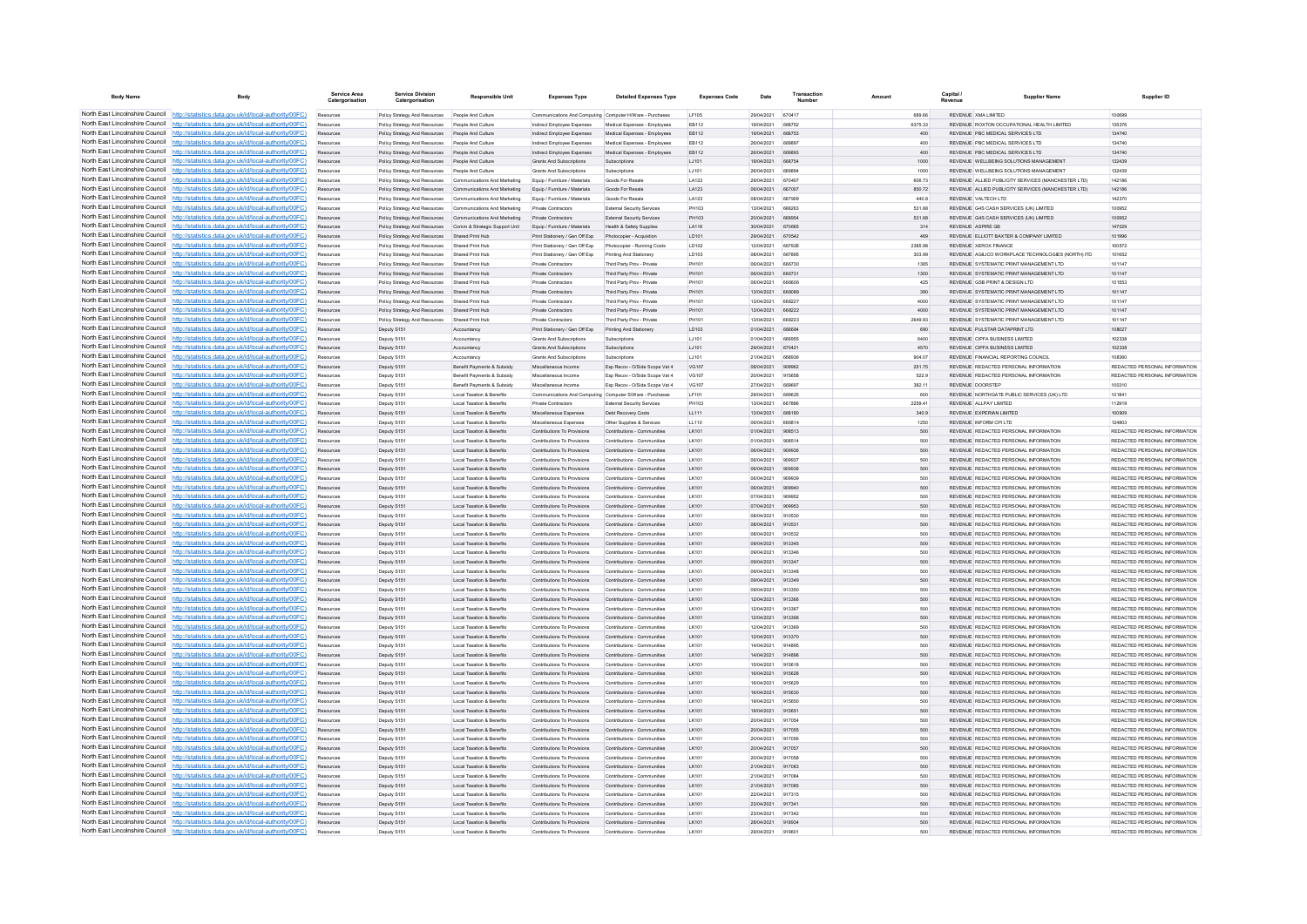| <b>Body Name</b>                | <b>Body</b>                                                                                                                                                                        | Service Area           | <b>Service Division</b><br>Catergorisation                                                           | Responsible Unit                                            | <b>Expenses Type</b>                                                             | <b>Detailed Expenses Type</b>                              | <b>Expenses Code</b>   | Date                            | Transaction             |                   | <b>Capital</b> | <b>Supplier Name</b>                                                           | Supplier ID                                                    |
|---------------------------------|------------------------------------------------------------------------------------------------------------------------------------------------------------------------------------|------------------------|------------------------------------------------------------------------------------------------------|-------------------------------------------------------------|----------------------------------------------------------------------------------|------------------------------------------------------------|------------------------|---------------------------------|-------------------------|-------------------|----------------|--------------------------------------------------------------------------------|----------------------------------------------------------------|
|                                 | North East Lincolnshire Council http://statistics.data.gov.uk/id/local-authority/00FC)                                                                                             | Resources              | Policy Strategy And Resources People And Culture                                                     |                                                             | Communications And Computing Computer H/Ware - Purchases                         |                                                            | <b>IF105</b>           | 29/04/2021                      | 670417                  | 889.66            |                | REVENUE XMA LIMITED                                                            | 100699                                                         |
|                                 | North East Lincolnshire Council http://statistics.data.gov.uk/id/local-authority/00FC)                                                                                             | Resources              | Policy Strategy And Resources People And Culture                                                     |                                                             | Indirect Employee Expenses                                                       | Medical Expenses - Employees                               | EB112                  | 19/04/2021                      | 668752                  | 6375.33           |                | REVENUE ROXTON OCCUPATIONAL HEALTH LIMITED                                     | 135376                                                         |
|                                 | North East Lincolnshire Council http://statistics.data.gov.uk/id/local-authority/00FC)                                                                                             | Resources              | Policy Strategy And Resources People And Culture                                                     |                                                             | Indirect Employee Expenses                                                       | Medical Expenses - Employees                               | EB112                  | 19/04/2021                      | 668753                  | 400               |                | REVENUE PBC MEDICAL SERVICES LTD                                               | 134740                                                         |
|                                 | North East Lincolnshire Council http://statistics.data.gov.uk/id/local-authority/00FC)                                                                                             | Resources              | Policy Strategy And Resources People And Culture                                                     |                                                             | Indirect Employee Expenses                                                       | Medical Expenses - Employee                                | EB112                  | 26/04/2021                      | <b>ARGRO7</b>           | 400               |                | REVENUE PRC MEDICAL SERVICES LTD                                               | 134740                                                         |
|                                 | North East Lincolnshire Council http://statistics.data.gov.uk/id/local-authority/00FC)<br>North East Lincolnshire Council   http://statistics.data.gov.uk/id/local-authority/00FC) | Resources<br>Resources | Policy Strategy And Resources People And Culture<br>Policy Strategy And Resources People And Culture |                                                             | Indirect Employee Expenses<br>Grants And Subscriptions                           | Medical Expenses - Employees<br>Subscriptions              | <b>FR112</b><br>1.1101 | 26/04/2021<br>19/04/2021        | <b>RROBO3</b><br>668754 | 400<br>1000       |                | REVENUE PRC MEDICAL SERVICES LTD.<br>REVENUE WELLBEING SOLUTIONS MANAGEMENT    | 134740<br>132439                                               |
|                                 | North East Lincolnshire Council http://statistics.data.gov.uk/id/local-authority/00FC)                                                                                             | Resources              | Policy Strategy And Resources People And Culture                                                     |                                                             | Grants And Subscriptions                                                         | Subscriptions                                              | LJ101                  | 26/04/2021                      | 669894                  | 1000              |                | REVENUE WELLBEING SOLUTIONS MANAGEMENT                                         | 132439                                                         |
|                                 | North East Lincolnshire Council http://statistics.data.gov.uk/id/local-authority/00FC)                                                                                             | Resources              |                                                                                                      | Policy Strategy And Resources Communications And Marketing  | Equip / Furniture / Materials                                                    | Goods For Resale                                           | LA123                  | 29/04/2021                      | 670407                  | 606.73            |                | REVENUE ALLIED PUBLICITY SERVICES (MANCHESTER LTD)                             | 142186                                                         |
| North East Lincolnshire Council | http://statistics.data.gov.uk/id/local-authority/00EC)                                                                                                                             | Resources              |                                                                                                      | Policy Strategy And Resources Communications And Marketing  | Foujo / Furniture / Materials                                                    | Goods For Resale                                           | LA123                  | 06/04/2021                      | 667007                  | 850.72            |                | REVENUE ALLIED PUBLICITY SERVICES MANCHESTER LTD.                              | 142186                                                         |
| North East Lincolnshire Council | http://statistics.data.gov.uk/id/local-authority/00FC)                                                                                                                             | Resources              |                                                                                                      | Policy Strategy And Resources Communications And Marketing  | Equip / Furniture / Materials                                                    | Goods For Resale                                           | LA123                  | 08/04/2021                      | 667909                  | 440.8             |                | REVENUE VALTECH LTD                                                            | 142370                                                         |
| North East Lincolnshire Council | http://statistics.data.gov.uk/id/local-authority/00FC)                                                                                                                             |                        |                                                                                                      | Policy Strategy And Resources Communications And Marketing  | Private Contractors                                                              | External Security Services                                 | PH103                  | 13/04/2021                      | 668263                  | 531.68            |                | REVENUE G4S CASH SERVICES (UK) LIMITED                                         | 100952                                                         |
|                                 | North East Lincolnshire Council http://statistics.data.gov.uk/id/local-authority/00FC)                                                                                             |                        |                                                                                                      | Policy Strategy And Resources Communications And Marketing  | Private Contractors                                                              | <b>External Security Services</b>                          | <b>PH103</b>           | 20/04/2021                      | 668954                  | 531.68            |                | REVENUE GAS CASH SERVICES (UK) LIMITED                                         | 100952                                                         |
|                                 | North East Lincolnshire Council http://statistics.data.gov.uk/id/local-authority/00FC)                                                                                             | Resources              |                                                                                                      | Policy Strategy And Resources Comm & Strategic Support Unit | Equip / Furniture / Materials                                                    | Health & Safety Supplies                                   | LA116                  | 30/04/2021                      | 670665                  | 314               |                | REVENUE ASPIRE GR                                                              | 147029                                                         |
|                                 | North East Lincolnshire Council http://statistics.data.gov.uk/id/local-authority/00FC)                                                                                             | Resources              | Policy Strategy And Resources Shared Print Hub                                                       |                                                             | Print Stationery / Gen Off Exp Photocopier - Acquistion                          |                                                            | LD101                  | 29/04/2021                      | 670542                  | 469               |                | REVENUE ELLIOTT BAXTER & COMPANY LIMITED                                       | 101996                                                         |
|                                 | North East Lincolnshire Council http://statistics.data.gov.uk/id/local-authority/00FC)<br>North East Lincolnshire Council http://statistics.data.gov.uk/id/local-authority/00FC)   | Resources              | Policy Strategy And Resources Shared Print Hub                                                       |                                                             | Print Stationery / Gen Off Exp                                                   | Photocopier - Running Cost                                 | LD102                  | 12/04/2021<br>08/04/2021        | 667928<br>667895        | 2385.98<br>303.99 |                | REVENUE XEROX FINANCE<br>REVENUE AGILICO WORKPLACE TECHNOLOGIES (NORTH) ITD    | 100572<br>101652                                               |
| North East Lincolnshire Council | http://statistics.data.gov.uk/id/local-authority/00FC)                                                                                                                             | Resources<br>Resources | Policy Strategy And Resources Shared Print Hub<br>Policy Strategy And Resources Shared Print Hub     |                                                             | Print Stationery / Gen Off Exp<br><b>Private Contractors</b>                     | Printing And Stationery<br>Third Party Prov - Private      | <b>ID103</b><br>PH101  | 06/04/2021                      | 666730                  | 1365              |                | REVENUE SYSTEMATIC PRINT MANAGEMENT LTD                                        | 101147                                                         |
|                                 | North East Lincolnshire Council http://statistics.data.gov.uk/id/local-authority/00FC)                                                                                             | Resources              | Policy Strategy And Resources                                                                        | Shared Print Hub                                            | Private Contractors                                                              | Third Party Proy - Private                                 | PH101                  | 06/04/2021                      | 666731                  | 1300              |                | REVENUE SYSTEMATIC PRINT MANAGEMENT LTD                                        | 101147                                                         |
|                                 | North East Lincolnshire Council http://statistics.data.gov.uk/id/local-authority/00FC)                                                                                             |                        | Policy Strategy And Resources Shared Print Hub                                                       |                                                             | Private Contractor                                                               | Third Party Prov - Private                                 | PH101                  | 08/04/2021                      | <b>BRAROR</b>           | 425               |                | <b>PEVENHE CSB PRINT &amp; RESIGN I TO</b>                                     | 101553                                                         |
|                                 | North East Lincolnshire Council http://statistics.data.gov.uk/id/local-authority/00FC)                                                                                             | Resources              | Policy Strategy And Resources Shared Print Hub                                                       |                                                             | <b>Private Contractors</b>                                                       | Third Party Proy - Private                                 | PH101                  | 13/04/2021                      | GRADER                  | 390               |                | REVENUE SYSTEMATIC PRINT MANAGEMENT I TD                                       | 101147                                                         |
|                                 | North East Lincolnshire Council http://statistics.data.gov.uk/id/local-authority/00FC)                                                                                             | Resources              | Policy Strategy And Resources Shared Print Hub                                                       |                                                             | Private Contractors                                                              | Third Party Prov - Private                                 | PH101                  | 13/04/2021                      | 668227                  | 4000              |                | REVENUE SYSTEMATIC PRINT MANAGEMENT I TD                                       | 101147                                                         |
|                                 | North East Lincolnshire Council http://statistics.data.gov.uk/id/local-authority/00FC)                                                                                             | Resources              | Policy Strategy And Resources Shared Print Hub                                                       |                                                             | Private Contractors                                                              | Third Party Prov - Private                                 | PH101                  | 13/04/2021                      | 668222                  | 4000              |                | REVENUE SYSTEMATIC PRINT MANAGEMENT LTD                                        | 101147                                                         |
|                                 | North East Lincolnshire Council http://statistics.data.gov.uk/id/local-authority/00FC)                                                                                             | Resources              | Policy Strategy And Resources                                                                        | Shared Print Hub                                            | Private Contractors                                                              | Third Party Proy - Private                                 | PH101                  | 13/04/2021                      | 668223                  | 2649.93           |                | REVENUE SYSTEMATIC PRINT MANAGEMENT LTD                                        | 101147                                                         |
| North East Lincolnshire Council | http://statistics.data.gov.uk/id/local-authority/00FC)                                                                                                                             | Resources              | Deputy S151                                                                                          | Accountancy                                                 | Print Stationery / Gen Off Exp                                                   | Printing And Stationery                                    | LD103                  | 01/04/2021                      | 666684                  | 690               |                | REVENUE PULSTAR DATAPRINT LTD                                                  | 108027                                                         |
| North East Lincolnshire Council | ttp://statistics.data.gov.uk/id/local-authority/00FC)                                                                                                                              | Resources              | Deputy S151                                                                                          | Accountancy                                                 | <b>Grants And Subscriptions</b>                                                  | Subscriptions                                              | LJ101                  | 01/04/2021                      |                         | 6400              |                | REVENUE CIPFA BUSINESS LIMITED                                                 | 102338                                                         |
| North East Lincolnshire Council | http://statistics.data.gov.uk/id/local-authority/00FC)                                                                                                                             |                        | Deputy S151                                                                                          | Accountancy                                                 | Grants And Subscriptions                                                         | Subscriptions                                              | LJ101                  | 29/04/2021                      | 670421                  | 4570              |                | REVENUE CIPFA BUSINESS LIMITED                                                 | 102338                                                         |
|                                 | North East Lincolnshire Council http://statistics.data.gov.uk/id/local-authority/00FC)                                                                                             | Resources              | Deputy S151                                                                                          | Accountancy                                                 | <b>Grants And Subscriptions</b>                                                  | Subscriptions                                              | 1.1101                 | 21/04/2021                      | 668936                  | 904.07            |                | REVENUE EINANCIAL REPORTING COUNCIL                                            | 108360                                                         |
| North East Lincolnshire Council | http://statistics.data.gov.uk/id/local-authority/00FC)                                                                                                                             | Resources              | Deputy S151                                                                                          | Benefit Payments & Subsidy                                  | Miscellaneous Income                                                             | Exp Recov - O/Side Scope Vat 4                             | VG107                  | 08/04/2021                      | 909962                  | 251.75            |                | REVENUE REDACTED PERSONAL INFORMATION                                          | REDACTED PERSONAL INFORMATION                                  |
|                                 | North East Lincolnshire Council http://statistics.data.gov.uk/id/local-authority/00FC)                                                                                             | Resources              | Deputy S151                                                                                          | Benefit Payments & Subsidy                                  | Miscellaneous Income                                                             | Exp Recov - O/Side Scope Vat 4                             | VG107                  | 20/04/2021                      | 915658<br><b>REGEQ7</b> | 522.9             |                | REVENUE REDACTED PERSONAL INFORMATION                                          | REDACTED PERSONAL INFORMATION                                  |
| North East Lincolnshire Council | North East Lincolnshire Council http://statistics.data.gov.uk/id/local-authority/00FC)<br>http://statistics.data.gov.uk/id/local-authority/00EC)                                   | Resources<br>Resources | Deputy S151<br>Deputy S151                                                                           | Benefit Payments & Subsidy<br>Local Taxation & Renefits     | Miscellaneous Income<br>Communications And Computing Computer S/Ware - Purchases | Exp Recov - O/Side Scope Vat 4                             | VG107<br>LE101         | 27/04/2021<br>29/04/2021        | 669625                  | 382.11<br>600     |                | <b>REVENUE DOORSTEP</b><br>REVENUE, NORTHGATE PUBLIC SERVICES (UK) LTD.        | 100310<br>101841                                               |
| North East Lincolnshire Council | http://statistics.data.gov.uk/id/local-authority/00FC)                                                                                                                             | Resources              | Deputy S151                                                                                          | Local Taxation & Benefits                                   | Private Contractors                                                              | <b>External Security Services</b>                          | <b>PH103</b>           | 13/04/2021                      | 667886                  | 2259.41           |                | REVENUE ALLPAY LIMITED                                                         | 112919                                                         |
|                                 | North East Lincolnshire Council http://statistics.data.gov.uk/id/local-authority/00FC)                                                                                             | Resources              | Deputy S151                                                                                          | Local Taxation & Benefits                                   | Miscellaneous Expenses                                                           | Debt Recovery Costs                                        | LL111                  | 13/04/2021                      | 668180                  | 340.9             |                | REVENUE EXPERIAN LIMITED                                                       | 100909                                                         |
|                                 | North East Lincolnshire Council http://statistics.data.gov.uk/id/local-authority/00FC)                                                                                             | Resources              | Deputy S15                                                                                           | Local Taxation & Benefits                                   | Miscellaneous Expenses                                                           | Other Supplies & Services                                  | LL110                  | 06/04/2021                      | 666814                  | 1250              |                | REVENUE INFORM CPILTD                                                          | 124803                                                         |
|                                 | North East Lincolnshire Council http://statistics.data.gov.uk/id/local-authority/00FC)                                                                                             |                        | Deputy S151                                                                                          | Local Taxation & Benefits                                   | Contributions To Provisions                                                      | Contributions - Communities                                | LK101                  | 01/04/2021                      | 908513                  | 500               |                | REVENUE REDACTED PERSONAL INFORMATION                                          | REDACTED PERSONAL INFORMATION                                  |
|                                 | North East Lincolnshire Council http://statistics.data.gov.uk/id/local-authority/00FC)                                                                                             | Resources              | Deputy S151                                                                                          | Local Taxation & Benefits                                   | Contributions To Provisions                                                      | Contributions - Communities                                | LK101                  | 01/04/2021                      | 908514                  | 500               |                | REVENUE REDACTED PERSONAL INFORMATION                                          | REDACTED PERSONAL INFORMATION                                  |
|                                 | North East Lincolnshire Council http://statistics.data.gov.uk/id/local-authority/00FC)                                                                                             | Resources              | Deputy S151                                                                                          | Local Taxation & Benefits                                   | Contributions To Provisions Contributions - Communities                          |                                                            | LK101                  | 06/04/2021                      | 909936                  | 500               |                | REVENUE REDACTED PERSONAL INFORMATION                                          | REDACTED PERSONAL INFORMATION                                  |
|                                 | North East Lincolnshire Council http://statistics.data.gov.uk/id/local-authority/00FC)                                                                                             |                        | Deputy S151                                                                                          | Local Taxation & Benefits                                   | Contributions To Provisions                                                      | Contributions - Communities                                | LK101                  | 06/04/2021                      | 909937                  | 500               |                | REVENUE REDACTED PERSONAL INFORMATION                                          | REDACTED PERSONAL INFORMATION                                  |
| North East Lincolnshire Council | http://statistics.data.gov.uk/id/local-authority/00EC)                                                                                                                             | Resources              | Deputy S151                                                                                          | Local Taxation & Benefits                                   | Contributions To Provisions                                                      | Contributions - Communities                                | IK101                  | 06/04/2021                      | 909938                  | 500               |                | REVENUE REDACTED PERSONAL INFORMATION                                          | REDACTED PERSONAL INFORMATION                                  |
| North East Lincolnshire Council | http://statistics.data.gov.uk/id/local-authority/00EC)                                                                                                                             | Resources              | Deputy S151                                                                                          | <b>Local Taxation &amp; Benefits</b>                        | Contributions To Provisions                                                      | Contributions - Communities                                | I K101                 | 06/04/2021                      | 909939                  | 500               |                | REVENUE REDACTED PERSONAL INFORMATION                                          | REDACTED PERSONAL INFORMATION                                  |
|                                 | North East Lincolnshire Council http://statistics.data.gov.uk/id/local-authority/00FC)                                                                                             |                        | Deputy S151                                                                                          | Local Taxation & Benefits                                   | Contributions To Provisions                                                      | Contributions - Communities                                | LK101                  | 06/04/2021                      | 909940                  | 500               |                | REVENUE REDACTED PERSONAL INFORMATION                                          | REDACTED PERSONAL INFORMATION                                  |
|                                 | North East Lincolnshire Council http://statistics.data.gov.uk/id/local-authority/00FC)                                                                                             |                        | Deputy S151                                                                                          | Local Taxation & Benefits                                   | Contributions To Provisions                                                      | Contributions - Communities                                | I K101                 | 07/04/2021                      | gnops2                  | 500               |                | REVENUE REDACTED PERSONAL INFORMATION                                          | REDACTED PERSONAL INFORMATION                                  |
|                                 | North East Lincolnshire Council http://statistics.data.gov.uk/id/local-authority/00FC)                                                                                             | <b>Decourse</b>        | Deputy S151                                                                                          | Local Taxation & Benefits                                   | Contributions To Provisions                                                      | Contributions - Communities                                | IX101                  | 07/04/2021                      | gnops3                  | 500               |                | REVENUE REDACTED PERSONAL INFORMATION                                          | REDACTED PERSONAL INFORMATION                                  |
|                                 | North East Lincolnshire Council http://statistics.data.gov.uk/id/local-authority/00FC)<br>North East Lincolnshire Council http://statistics.data.gov.uk/id/local-authority/00FC)   | Resources              | Deputy S151                                                                                          | <b>Local Taxation &amp; Benefits</b>                        | Contributions To Provisions                                                      | Contributions - Communities                                | $1$ K 101              | 08/04/2021                      | 910530                  | 500               |                | REVENUE REDACTED PERSONAL INFORMATION                                          | REDACTED PERSONAL INFORMATION                                  |
| North East Lincolnshire Council | http://statistics.data.gov.uk/id/local-authority/00FC)                                                                                                                             | Resources<br>Resources | Deputy S151                                                                                          | Local Taxation & Benefits<br>Local Taxation & Benefits      | Contributions To Provisions<br>Contributions To Provisions                       | Contributions - Communities<br>Contributions - Communities | LK101<br>LK101         | 08/04/2021<br>08/04/2021        | 910531<br>910532        | 500<br>500        |                | REVENUE REDACTED PERSONAL INFORMATION<br>REVENUE REDACTED PERSONAL INFORMATION | REDACTED PERSONAL INFORMATION<br>REDACTED PERSONAL INFORMATION |
| North East Lincolnshire Council | ://statistics.data.gov.uk/id/local-authority/00FC)                                                                                                                                 | Resources              | Deputy S151<br>Deputy S151                                                                           | Local Taxation & Benefits                                   | Contributions To Provisions                                                      | Contributions - Communities                                | LK101                  | 09/04/2021                      | 913345                  | 500               |                | REVENUE REDACTED PERSONAL INFORMATION                                          | REDACTED PERSONAL INFORMATION                                  |
|                                 | North East Lincolnshire Council http://statistics.data.gov.uk/id/local-authority/00FC)                                                                                             | Resources              | Deputy S151                                                                                          | Local Taxation & Benefits                                   | Contributions To Provisions                                                      | Contributions - Communities                                | LK101                  | 09/04/2021                      | 913346                  | 500               |                | REVENUE REDACTED PERSONAL INFORMATION                                          | REDACTED PERSONAL INFORMATION                                  |
|                                 | North East Lincolnshire Council http://statistics.data.gov.uk/id/local-authority/00FC)                                                                                             | Resources              | Deputy S151                                                                                          | Local Taxation & Benefits                                   | Contributions To Provisions                                                      | Contributions - Communities                                | LK101                  | 09/04/2021                      | 913347                  | 500               |                | REVENUE REDACTED PERSONAL INFORMATION                                          | REDACTED PERSONAL INFORMATION                                  |
|                                 | North East Lincolnshire Council http://statistics.data.gov.uk/id/local-authority/00FC)                                                                                             | Resources              | Deputy S151                                                                                          | Local Taxation & Benefits                                   | Contributions To Provisions                                                      | Contributions - Communities                                | LK101                  | 09/04/2021                      | 913348                  | 500               |                | REVENUE REDACTED PERSONAL INFORMATION                                          | REDACTED PERSONAL INFORMATION                                  |
|                                 | North East Lincolnshire Council http://statistics.data.gov.uk/id/local-authority/00FC)                                                                                             | Resources              | Deputy S151                                                                                          | Local Taxation & Benefits                                   | Contributions To Provisions                                                      | Contributions - Communities                                | LK101                  | 09/04/2021                      | 913349                  | 500               |                | REVENUE REDACTED PERSONAL INFORMATION                                          | REDACTED PERSONAL INFORMATION                                  |
|                                 | North East Lincolnshire Council http://statistics.data.gov.uk/id/local-authority/00FC)                                                                                             | Resources              | Deputy S151                                                                                          | Local Taxation & Benefits                                   | Contributions To Provisions                                                      | Contributions - Communities                                | LK101                  | 09/04/2021                      | 913350                  | 500               |                | REVENUE REDACTED PERSONAL INFORMATION                                          | REDACTED PERSONAL INFORMATION                                  |
|                                 | North East Lincolnshire Council http://statistics.data.gov.uk/id/local-authority/00FC)                                                                                             | Resources              | Deputy S151                                                                                          | Local Taxation & Benefits                                   | Contributions To Provisions                                                      | Contributions - Communities                                | LK101                  | 12/04/2021                      | 913366                  | 500               |                | REVENUE REDACTED PERSONAL INFORMATION                                          | REDACTED PERSONAL INFORMATION                                  |
| North East Lincolnshire Council | http://statistics.data.gov.uk/id/local-authority/00EC)                                                                                                                             | Resources              | Deputy S151                                                                                          | Local Taxation & Renefits                                   | Contributions To Provisions                                                      | Contributions - Communities                                | $I$ K <sub>10</sub>    | 12/04/2021                      | 913367                  | 500               |                | REVENUE REDACTED PERSONAL INFORMATION                                          | REDACTED PERSONAL INFORMATION                                  |
| North East Lincolnshire Council | http://statistics.data.gov.uk/id/local-authority/00EC)                                                                                                                             | Resources              | Deputy S151                                                                                          | Local Taxation & Benefits                                   | Contributions To Provisions                                                      | Contributions - Communities                                | I K101                 | 12/04/2021                      | 913368                  | 500               |                | REVENUE REDACTED PERSONAL INFORMATION                                          | REDACTED PERSONAL INFORMATION                                  |
|                                 | North East Lincolnshire Council   http://statistics.data.gov.uk/id/local-authority/00FC)<br>North East Lincolnshire Council http://statistics.data.gov.uk/id/local-authority/00FC) |                        | Deputy S151                                                                                          | <b>Local Taxation &amp; Benefits</b>                        | Contributions To Provisions                                                      | Contributions - Communitie                                 | LK101                  | 12/04/2021                      | 913369                  | 500               |                | REVENUE REDACTED PERSONAL INFORMATION                                          | REDACTED PERSONAL INFORMATION                                  |
|                                 |                                                                                                                                                                                    |                        | Deputy S151                                                                                          | Local Taxation & Benefits                                   | Contributions To Provisions                                                      | Contributions - Communities                                | IX101                  | 12/04/2021                      | 913370                  | 500               |                | <b>REVENHE REDACTED REPSONAL INFORMATION</b>                                   | <b>PEDACTED PERSONAL INFORMATION</b>                           |
|                                 | North East Lincolnshire Council   http://statistics.data.gov.uk/id/local-authority/00FC)<br>North East Lincolnshire Council http://statistics.data.gov.uk/id/local-authority/00FC) | <b>Perrittar</b>       | Deputy S151                                                                                          | Local Taxation & Benefits<br>Local Taxation & Benefits      | Contributions To Provisions<br>Contributions To Provisions                       | Contributions - Communities<br>Contributions - Communities | LK101<br>LK101         | 14/04/2021<br>14/04/2021 914896 | 914895                  | 500<br>500        |                | REVENUE REDACTED PERSONAL INFORMATION<br>REVENUE REDACTED PERSONAL INFORMATION | REDACTED PERSONAL INFORMATION<br>REDACTED PERSONAL INFORMATION |
|                                 | North East Lincolnshire Council http://statistics.data.gov.uk/id/local-authority/00FC)                                                                                             | Resources<br>Resources | Deputy S151<br>Deputy S151                                                                           | Local Taxation & Benefits                                   | Contributions To Provisions                                                      | Contributions - Communitie                                 | LK101                  | 15/04/2021                      | 915618                  | 500               |                | REVENUE REDACTED PERSONAL INFORMATION                                          | REDACTED PERSONAL INFORMATION                                  |
| North East Lincolnshire Council | http://statistics.data.gov.uk/id/local-authority/00FC)                                                                                                                             | Resources              | Deputy S151                                                                                          | Local Taxation & Benefits                                   | Contributions To Provisions                                                      | Contributions - Communities                                | LK101                  | 16/04/2021                      | 915628                  | 500               |                | REVENUE REDACTED PERSONAL INFORMATION                                          | REDACTED PERSONAL INFORMATION                                  |
| North East Lincolnshire Council | //statistics.data.gov.uk/id/local-authority/00FC)                                                                                                                                  | Resources              | Deputy S151                                                                                          | Local Taxation & Benefits                                   | Contributions To Provisions                                                      | Contributions - Communities                                | $1$ K 101              | 16/04/2021                      | 915629                  | 500               |                | REVENUE REDACTED PERSONAL INFORMATION                                          | REDACTED PERSONAL INFORMATION                                  |
|                                 | North East Lincolnshire Council http://statistics.data.gov.uk/id/local-authority/00FC)                                                                                             | Resources              | Deputy S151                                                                                          | Local Taxation & Benefits                                   | Contributions To Provisions                                                      | Contributions - Communities                                | LK101                  | 16/04/2021                      | 915630                  | 500               |                | REVENUE REDACTED PERSONAL INFORMATION                                          | REDACTED PERSONAL INFORMATION                                  |
|                                 | North East Lincolnshire Council http://statistics.data.gov.uk/id/local-authority/00FC)                                                                                             |                        | Deputy S151                                                                                          | Local Taxation & Benefits                                   | Contributions To Provisions                                                      | Contributions - Communitie                                 | LK101                  | 19/04/2021                      | 915650                  | 500               |                | REVENUE REDACTED PERSONAL INFORMATION                                          | REDACTED PERSONAL INFORMATION                                  |
|                                 | North East Lincolnshire Council http://statistics.data.gov.uk/id/local-authority/00FC)                                                                                             |                        | Deputy S151                                                                                          | Local Taxation & Benefits                                   | Contributions To Provisions                                                      | Contributions - Communities                                | IX101                  | 19/04/2021                      | 915651                  | 500               |                | REVENUE REDACTED PERSONAL INFORMATION                                          | REDACTED PERSONAL INFORMATION                                  |
|                                 | North East Lincolnshire Council http://statistics.data.gov.uk/id/local-authority/00FC)                                                                                             | Resources              | Deputy S151                                                                                          | Local Taxation & Benefits                                   | Contributions To Provisions                                                      | Contributions - Communities                                | I K101                 | 20/04/2021                      | 917054                  | 500               |                | REVENUE REDACTED PERSONAL INFORMATION                                          | REDACTED PERSONAL INFORMATION                                  |
|                                 | North East Lincolnshire Council http://statistics.data.gov.uk/id/local-authority/00FC)                                                                                             | Resources              | Deputy S151                                                                                          | Local Taxation & Benefits                                   | Contributions To Provisions                                                      | Contributions - Communities                                | LK101                  | 20/04/2021                      | 917055                  | 500               |                | REVENUE REDACTED PERSONAL INFORMATION                                          | REDACTED PERSONAL INFORMATION                                  |
|                                 | North East Lincolnshire Council http://statistics.data.gov.uk/id/local-authority/00FC)                                                                                             |                        | Deputy S151                                                                                          | Local Taxation & Benefits                                   | Contributions To Provisions                                                      | Contributions - Communities                                | LK101                  | 20/04/2021                      | 917056                  | 500               |                | REVENUE REDACTED PERSONAL INFORMATION                                          | REDACTED PERSONAL INFORMATION                                  |
| North East Lincolnshire Council | http://statistics.data.gov.uk/id/local-authority/00EC)                                                                                                                             | Resources              | Deputy S151                                                                                          | Local Taxation & Benefits                                   | Contributions To Provisions                                                      | Contributions - Communities                                | IX101                  | 20/04/2021                      | 917057                  | 500               |                | REVENUE REDACTED PERSONAL INFORMATION                                          | REDACTED PERSONAL INFORMATION                                  |
|                                 | North East Lincolnshire Council http://statistics.data.gov.uk/id/local-authority/00FC)                                                                                             | Resources              | Deputy S151                                                                                          | Local Taxation & Benefits                                   | Contributions To Provisions                                                      | Contributions - Communities                                | LK101                  | 20/04/2021                      | 917058                  | 500               |                | REVENUE REDACTED PERSONAL INFORMATION                                          | REDACTED PERSONAL INFORMATION                                  |
|                                 | North East Lincolnshire Council http://statistics.data.gov.uk/id/local-authority/00FC)<br>North East Lincolnshire Council http://statistics.data.gov.uk/id/local-authority/00FC)   | Resources              | Deputy S151                                                                                          | Local Taxation & Benefits                                   | Contributions To Provisions                                                      | Contributions - Communities                                | LK101                  | 21/04/2021                      | 917083                  | 500               |                | REVENUE REDACTED PERSONAL INFORMATION                                          | REDACTED PERSONAL INFORMATION                                  |
|                                 | North East Lincolnshire Council http://statistics.data.gov.uk/id/local-authority/00FC)                                                                                             | Resources              | Deputy S151                                                                                          | Local Taxation & Benefits                                   | Contributions To Provisions                                                      | Contributions - Communities                                | $1$ K 101              | 21/04/2021                      | 917084<br>917085        | 500               |                | REVENUE REDACTED PERSONAL INFORMATION<br>REVENUE REDACTED PERSONAL INFORMATION | REDACTED PERSONAL INFORMATION<br>REDACTED PERSONAL INFORMATION |
|                                 | North East Lincolnshire Council http://statistics.data.gov.uk/id/local-authority/00FC)                                                                                             | Resources<br>Resources | Deputy S151<br>Deputy S151                                                                           | Local Taxation & Benefits<br>Local Taxation & Benefits      | Contributions To Provisions<br>Contributions To Provisions                       | Contributions - Communities<br>Contributions - Communities | LK101<br>LK101         | 21/04/2021<br>22/04/2021        | 917315                  | 500<br>500        |                | REVENUE REDACTED PERSONAL INFORMATION                                          | REDACTED PERSONAL INFORMATION                                  |
|                                 | North East Lincolnshire Council http://statistics.data.gov.uk/id/local-authority/00FC)                                                                                             | Resources              | Deputy S15                                                                                           | Local Taxation & Benefits                                   | Contributions To Provisions                                                      | Contributions - Communitie                                 | LK101                  | 23/04/2021 917341               |                         | 500               |                | REVENUE REDACTED PERSONAL INFORMATION                                          | REDACTED PERSONAL INFORMATION                                  |
|                                 | North East Lincolnshire Council http://statistics.data.gov.uk/id/local-authority/00FC)                                                                                             | Resources              | Deputy S151                                                                                          | Local Taxation & Benefits                                   | Contributions To Provisions                                                      | Contributions - Communities                                | $I$ K <sub>10</sub>    | 23/04/2021 917342               |                         | 500               |                | REVENUE REDACTED PERSONAL INFORMATION                                          | REDACTED PERSONAL INFORMATION                                  |
|                                 | North East Lincolnshire Council http://statistics.data.gov.uk/id/local-authority/00FC)                                                                                             | Resources              | Deputy S151                                                                                          | Local Taxation & Benefits                                   | Contributions To Provisions                                                      | Contributions - Communities                                | I K101                 | 28/04/2021                      | 918934                  | 500               |                | REVENUE REDACTED PERSONAL INFORMATION                                          | REDACTED PERSONAL INFORMATION                                  |
|                                 | North East Lincolnshire Council http://statistics.data.gov.uk/id/local-authority/00FC)                                                                                             |                        | Deputy S15                                                                                           | <b>Local Taxation &amp; Benefits</b>                        | Contributions To Provisions                                                      | Contributions - Communitie                                 |                        | 29/04/2021                      |                         | 500               |                | REVENUE REDACTED PERSONAL INFORMATION                                          | REDACTED PERSONAL INFORMATION                                  |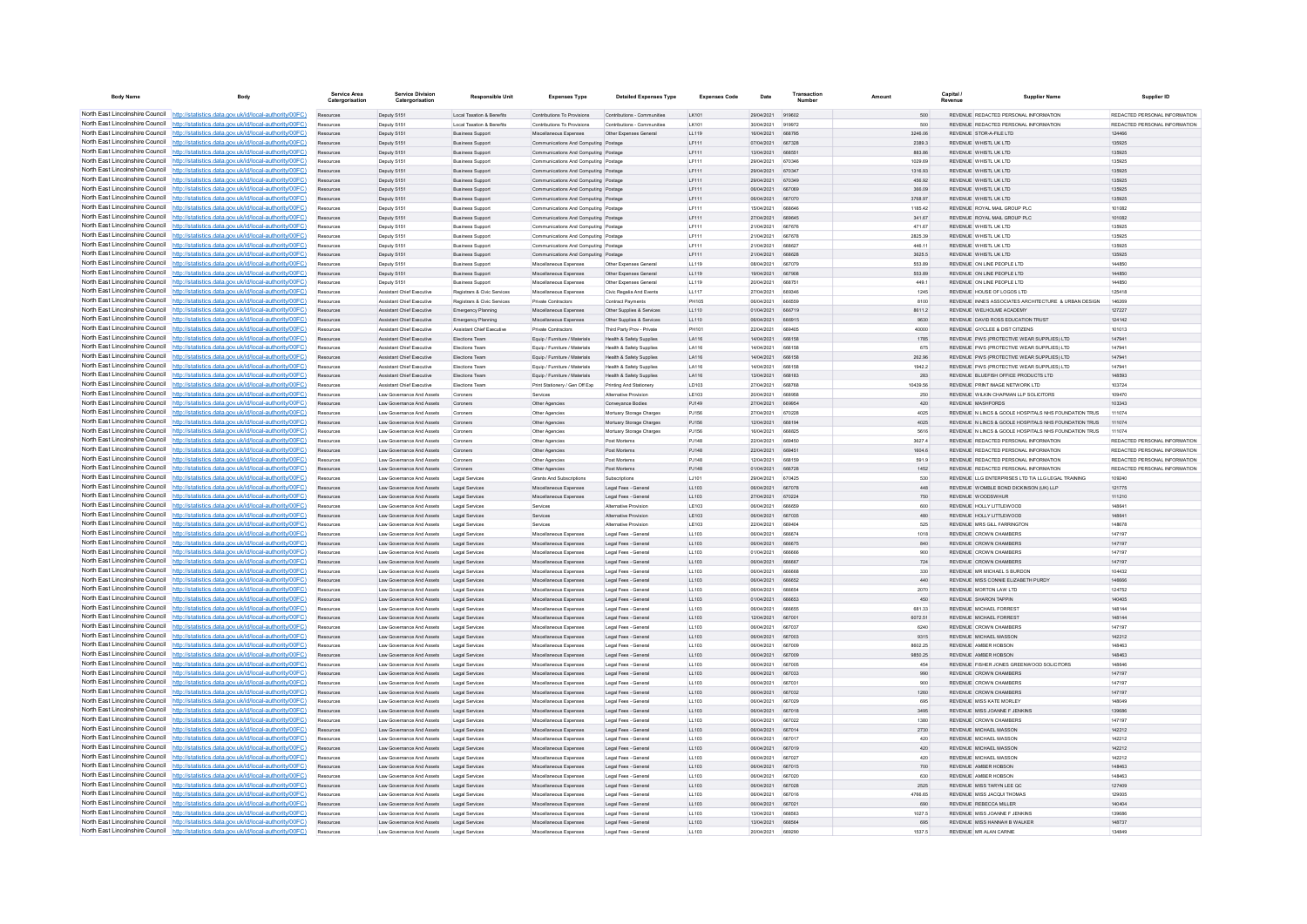| <b>Body Name</b>                                                   | Body                                                                                                                                                                             | Service Area<br>Catergorisation | <b>Service Division</b><br>Catergorisation                    | <b>Responsible Unit</b>                            | <b>Expenses Type</b>                                                         | <b>Detailed Expenses Type</b>                        | <b>Expenses Code</b> | Date                     | Transactio<br>Number    | Amount             | Capital<br>Revenue | <b>Supplier Name</b>                                                                        | Supplier ID                            |
|--------------------------------------------------------------------|----------------------------------------------------------------------------------------------------------------------------------------------------------------------------------|---------------------------------|---------------------------------------------------------------|----------------------------------------------------|------------------------------------------------------------------------------|------------------------------------------------------|----------------------|--------------------------|-------------------------|--------------------|--------------------|---------------------------------------------------------------------------------------------|----------------------------------------|
|                                                                    | North East Lincolnshire Council http://statistics.data.gov.uk/id/local-authority/00FC)                                                                                           | Resources                       | Deputy S151                                                   | Local Taxation & Benefits                          | Contributions To Provisions                                                  | Contributions - Communities                          | LK101                | 29/04/2021               | 919602                  | 500                |                    | REVENUE REDACTED PERSONAL INFORMATION                                                       | REDACTED PERSONAL INFORMATION          |
|                                                                    | North East Lincolnshire Council http://statistics.data.gov.uk/id/local-authority/00FC)                                                                                           |                                 | Deputy S15                                                    | Local Taxation & Benefit                           | Contributions To Provisions                                                  | Contributions - Communities                          | LK101                | 30/04/2021               | 919972                  | 500                |                    | REVENUE REDACTED PERSONAL INFORMATION                                                       | REDACTED PERSONAL INFORMATION          |
|                                                                    | North East Lincolnshire Council http://statistics.data.gov.uk/id/local-authority/00FC)                                                                                           | Resources                       | Deputy S151                                                   | <b>Business Sunnot</b>                             | Miscellaneous Expenses                                                       | Other Expenses General                               | LL119                | 16/04/2021               | 668795                  | 3246.06            |                    | REVENUE STOR-A-FILE LTD                                                                     | 124466                                 |
|                                                                    | North East Lincolnshire Council http://statistics.data.gov.uk/id/local-authority/00FC)                                                                                           | Resources                       | Deputy S151                                                   | <b>Business Support</b>                            | Communications And Computing Postage                                         |                                                      | LF111                | 07/04/2021               | 667328                  | 2389.3             |                    | REVENUE WHISTL UK LTD                                                                       | 135925                                 |
|                                                                    | North East Lincolnshire Council http://statistics.data.gov.uk/id/local-authority/00FC)                                                                                           | Resources                       | Deputy S151                                                   | <b>Business Support</b>                            | Communications And Computing Postage                                         |                                                      | LF111                | 13/04/2021               | 668551                  | 883.86             |                    | REVENUE WHISTL UK LTD<br>REVENUE WHISTL UK LTD                                              | 135925                                 |
|                                                                    | North East Lincolnshire Council http://statistics.data.gov.uk/id/local-authority/00FC)<br>North East Lincolnshire Council http://statistics.data.gov.uk/id/local-authority/00FC) | Resources<br>Resources          | Deputy S151<br>Deputy S151                                    | <b>Business Support</b><br><b>Business Support</b> | Communications And Computing Postage<br>Communications And Computing Postage |                                                      | LF111<br>IF111       | 29/04/2021<br>29/04/2021 | 670346<br>670347        | 1029.69<br>1316.93 |                    | REVENUE WHISTLIK ITD.                                                                       | 135925<br>135925                       |
| North East Lincolnshire Council                                    | http://statistics.data.gov.uk/id/local-authority/00FC)                                                                                                                           | Resources                       | Deputy S151                                                   | <b>Business Support</b>                            | Communications And Computing Postage                                         |                                                      | IF111                | 29/04/2021               | 670349                  | 456.92             |                    | REVENUE WHISTL UK LTD                                                                       | 135925                                 |
| North East Lincolnshire Council                                    | http://statistics.data.gov.uk/id/local-authority/00FC)                                                                                                                           | Resources                       | Deputy S151                                                   | <b>Business Support</b>                            | Communications And Computing Postage                                         |                                                      | LF111                | 06/04/2021               | 667069                  | 366.09             |                    | REVENUE WHISTL UK LTD                                                                       | 135925                                 |
|                                                                    | North East Lincolnshire Council   http://statistics.data.gov.uk/id/local-authority/00FC)                                                                                         |                                 | Deputy S151                                                   | <b>Business Support</b>                            | Communications And Computing Postage                                         |                                                      | LF111                | 08/04/2021               | <b>667070</b>           | 3768.97            |                    | REVENUE WHISTLUK ITD                                                                        | 135925                                 |
|                                                                    | North East Lincolnshire Council   http://statistics.data.gov.uk/id/local-authority/00FC)                                                                                         | Resources                       | Deputy S151                                                   | <b>Business Sunnort</b>                            | Communications And Computing Postage                                         |                                                      | <b>IF111</b>         | 15/04/2021               | <b>BRBRAF</b>           | 1185.42            |                    | REVENUE ROYAL MAIL GROUP PLC                                                                | 101082                                 |
|                                                                    | North East Lincolnshire Council http://statistics.data.gov.uk/id/local-authority/00FC)                                                                                           | Resources                       | Deputy S151                                                   | <b>Business Support</b>                            | Communications And Computing Postage                                         |                                                      | LF111                | 27/04/2021               | 669645                  | 341.67             |                    | REVENUE ROYAL MAIL GROUP PLC                                                                | 101082                                 |
|                                                                    | North East Lincolnshire Council http://statistics.data.gov.uk/id/local-authority/00FC)                                                                                           | Resources                       | Deputy S15                                                    | <b>Business Support</b>                            | Communications And Computing Postage                                         |                                                      | LF111                | 21/04/2021               | 667676                  | 471.67             |                    | REVENUE WHISTL UK LTD                                                                       | 135925                                 |
|                                                                    | North East Lincolnshire Council http://statistics.data.gov.uk/id/local-authority/00FC)                                                                                           | Resources                       | Deputy S151                                                   | <b>Business Support</b>                            | Communications And Computing Postage                                         |                                                      | LF111                | 21/04/2021               | 667678                  | 2825.39            |                    | REVENUE WHISTLUK ITD                                                                        | 135925                                 |
| North East Lincolnshire Council                                    | http://statistics.data.gov.uk/id/local-authority/00FC)                                                                                                                           | Resources                       | Deputy S151                                                   | <b>Business Support</b>                            | Communications And Computing Postage                                         |                                                      | LF111                | 21/04/2021               | 668627                  | 446.11             |                    | REVENUE WHISTL UK LTD                                                                       | 135925                                 |
| North East Lincolnshire Council<br>North East Lincolnshire Council | ://statistics.data.gov.uk/id/local-authority/00FC)                                                                                                                               | Resources                       | Deputy S151                                                   | <b>Business Support</b>                            | Communications And Computing Postage                                         |                                                      | LF111                | 21/04/2021<br>08/04/2021 | 668628<br><b>667070</b> | 3625.5<br>553.89   |                    | REVENUE WHISTL UK LTD<br>REVENUE ON UNE PEOPLE LTD                                          | 135925<br>144850                       |
|                                                                    | http://statistics.data.gov.uk/id/local-authority/00FC)<br>North East Lincolnshire Council http://statistics.data.gov.uk/id/local-authority/00FC)                                 | Resources<br>Resources          | Deputy S151<br>Deputy S151                                    | <b>Business Support</b><br><b>Business Sunnort</b> | Miscellaneous Expenses<br>Miscellaneous Expenses                             | Other Expenses General<br>Other Expenses General     | LL119<br>11119       | 19/04/2021               | 667908                  | 553.89             |                    | REVENUE ON LINE PEOPLE LTD                                                                  | 144850                                 |
| North East Lincolnshire Council                                    | http://statistics.data.gov.uk/id/local-authority/00FC)                                                                                                                           | Resources                       | Deputy S151                                                   | <b>Business Support</b>                            | Miscellaneous Expenses                                                       | Other Expenses General                               | LL119                | 20/04/2021               | 668751                  | 449.1              |                    | REVENUE ON UNE PEOPLE LTD                                                                   | 144850                                 |
|                                                                    | North East Lincolnshire Council http://statistics.data.gov.uk/id/local-authority/00FC)                                                                                           | Resources                       | <b>Assistant Chief Executive</b>                              | Registrars & Civic Services                        | Miscellaneous Expenses                                                       | Civic Regalia And Events                             | LL117                | 27/04/2021               | 669346                  | 1245               |                    | REVENUE HOUSE OF LOGOS LTD                                                                  | 125418                                 |
|                                                                    | North East Lincolnshire Council http://statistics.data.gov.uk/id/local-authority/00FC)                                                                                           | Resources                       | <b>Assistant Chief Executive</b>                              | Registrars & Civic Services                        | <b>Private Contractors</b>                                                   | <b>Contract Payments</b>                             | <b>PH105</b>         | 100014/0021              | <b>BRASSO</b>           | 8100               |                    | REVENUE INNES ASSOCIATES ARCHITECTURE & URBAN DESIGN                                        | 146269                                 |
| North East Lincolnshire Council                                    | http://statistics.data.gov.uk/id/local-authority/00FC)                                                                                                                           | Resources                       | <b>Assistant Chief Executive</b>                              | Emergency Planning                                 | Miscellaneous Expenses                                                       | Other Supplies & Services                            | 11110                | 01/04/2021               | 666719                  | 86112              |                    | REVENUE WELHOLME ACADEMY                                                                    | 127227                                 |
| North East Lincolnshire Council                                    | http://statistics.data.gov.uk/id/local-authority/00EC)                                                                                                                           | Resources                       | Assistant Chief Executive                                     | Emergency Planning                                 | Miscellaneous Expenses                                                       | Other Supplies & Services                            | 11110                | 08/04/2021               | 666915                  | 9630               |                    | REVENUE DAVID ROSS EDUCATION TRUST                                                          | 124142                                 |
| North East Lincolnshire Council                                    | http://statistics.data.gov.uk/id/local-authority/00FC)                                                                                                                           | Resources                       | Assistant Chief Executive                                     | Assistant Chief Executiv                           | Private Contractors                                                          | Third Party Prov - Privat                            |                      | 22/04/2021               | <b>BROADE</b>           | 40000              |                    | REVENUE GY/CLEE & DIST CITIZENS                                                             | 101013                                 |
|                                                                    | North East Lincolnshire Council http://statistics.data.gov.uk/id/local-authority/00FC)                                                                                           |                                 | <b>Assistant Chief Executive</b>                              | <b>Flections Team</b>                              | Equip / Furniture / Materials                                                | Health & Safety Supplies                             | LA116                | 14/04/2021               | 666158                  | 1785               |                    | REVENUE PWS (PROTECTIVE WEAR SUPPLIES) LTD                                                  | 147941                                 |
|                                                                    | North East Lincolnshire Council http://statistics.data.gov.uk/id/local-authority/00FC)                                                                                           | Resources                       | Assistant Chief Executive                                     | Elections Team                                     | Equip / Furniture / Materials                                                | Health & Safety Supplies                             | LA116                | 14/04/2021               | 666158                  | 675                |                    | REVENUE PWS (PROTECTIVE WEAR SUPPLIES) LTD                                                  | 147941                                 |
|                                                                    | North East Lincolnshire Council http://statistics.data.gov.uk/id/local-authority/00FC)                                                                                           | Resources                       | Assistant Chief Executive                                     | Elections Team<br>Elections Team                   | Equip / Furniture / Materials                                                | Health & Safety Supplies                             | LA116                | 14/04/2021<br>14/04/2021 | 666158<br>666158        | 262.96<br>1942.2   |                    | REVENUE PWS (PROTECTIVE WEAR SUPPLIES) LTD<br>REVENUE PWS (PROTECTIVE WEAR SUPPLIES) LTD    | 147941<br>147941                       |
|                                                                    | North East Lincolnshire Council http://statistics.data.gov.uk/id/local-authority/00FC)<br>North East Lincolnshire Council http://statistics.data.gov.uk/id/local-authority/00FC) | Resources<br>Resources          | Assistant Chief Executive<br><b>Assistant Chief Executive</b> | Elections Team                                     | Equip / Furniture / Materials<br>Equip / Furniture / Materials               | Health & Safety Supplies<br>Health & Safety Supplies | LA116<br>LA116       | 13/04/2021               | 668183                  | 283                |                    | REVENUE BLUEEISH OFFICE PRODUCTS LTD                                                        | 148593                                 |
| North East Lincolnshire Council                                    | http://statistics.data.gov.uk/id/local-authority/00FC)                                                                                                                           | Resources                       | <b>Assistant Chief Executive</b>                              | Elections Team                                     | Print Stationery / Gen Off Exp                                               | Printing And Stationery                              | LD103                | 27/04/2021               | 668768                  | 10439.56           |                    | REVENUE PRINT IMAGE NETWORK LTD                                                             | 103724                                 |
| North East Lincolnshire Council                                    | ://statistics.data.gov.uk/id/local-authority/00FC)                                                                                                                               | Resources                       | Law Governance And Assets                                     | Coroners                                           | Services                                                                     | Alternative Provision                                | LE103                | 20/04/2021               | 668958                  | 250                |                    | REVENUE WILKIN CHAPMAN LLP SOLICITORS                                                       | 109470                                 |
| North East Lincolnshire Council                                    | http://statistics.data.gov.uk/id/local-authority/00FC)                                                                                                                           |                                 | Law Governance And Assets                                     | Coroners                                           | Other Agencies                                                               | Conveyance Bodies                                    | PJ149                | 27/04/2021               | <b>BROOK</b>            | 420                |                    | <b>PEVENHE MASHEOPDS</b>                                                                    | 103343                                 |
|                                                                    | North East Lincolnshire Council http://statistics.data.gov.uk/id/local-authority/00FC)                                                                                           | Resources                       | Law Governance And Assets                                     | Compers                                            | Other Agencies                                                               | Mortuary Storage Chames                              | P.1156               | 27/04/2021               | 670228                  | 4025               |                    | REVENUE IN LINCS & GOOLE HOSPITALS NHS FOUNDATION TRUS                                      | 111074                                 |
|                                                                    | North East Lincolnshire Council http://statistics.data.gov.uk/id/local-authority/00FC)                                                                                           | Resources                       | Law Governance And Assets                                     | Compers                                            | Other Agencies                                                               | Mortuary Storage Charges                             | P.1156               | 12/04/2021               | 668194                  | 4025               |                    | REVENUE IN LINCS & GOOLE HOSPITALS NHS FOUNDATION TRUS.                                     | 111074                                 |
|                                                                    | North East Lincolnshire Council http://statistics.data.gov.uk/id/local-authority/00FC)                                                                                           | Resources                       | Law Governance And Assets                                     | Coroners                                           | Other Agencies                                                               | Mortuary Storage Charges                             | PJ156                | 16/04/2021               | 668825                  | 5616               |                    | REVENUE N LINCS & GOOLE HOSPITALS NHS FOUNDATION TRUS                                       | 111074                                 |
|                                                                    | North East Lincolnshire Council http://statistics.data.gov.uk/id/local-authority/00FC)                                                                                           | Resources                       | Law Governance And Assets                                     | Coroners                                           | Other Agencies                                                               | Post Mortems                                         | PJ148                | 22/04/2021               | 669450                  | 3627.4             |                    | REVENUE REDACTED PERSONAL INFORMATION                                                       | REDACTED PERSONAL INFORMATION          |
|                                                                    | North East Lincolnshire Council http://statistics.data.gov.uk/id/local-authority/00FC)                                                                                           | Resources                       | Law Governance And Assets                                     | Coroners                                           | Other Agencies                                                               | Post Mortems                                         | PJ148                | 22/04/2021               | 669451                  | 1604.6             |                    | REVENUE REDACTED PERSONAL INFORMATION                                                       | REDACTED PERSONAL INFORMATION          |
| North East Lincolnshire Council                                    | http://statistics.data.gov.uk/id/local-authority/00FC)                                                                                                                           | Resources                       | Law Governance And Assets                                     | Coroners                                           | Other Agencies                                                               | Post Mortems                                         | PJ148                | 12/04/2021               | 668159                  | 591.9              |                    | REVENUE REDACTED PERSONAL INFORMATION                                                       | REDACTED PERSONAL INFORMATION          |
|                                                                    | North East Lincolnshire Council http://statistics.data.gov.uk/id/local-authority/00FC)<br>North East Lincolnshire Council http://statistics.data.gov.uk/id/local-authority/00FC) | Resources                       | Law Governance And Assets<br>Law Governance And Assets        | Coroners<br>Legal Services                         | Other Agencies<br>Grants And Subscription                                    | Post Mortems<br>Subscription                         | PJ148<br>LJ101       | 01/04/2021<br>29/04/2021 | 666728<br>670425        | 1452<br>530        |                    | REVENUE REDACTED PERSONAL INFORMATION<br>REVENUE LLG ENTERPRISES LTD T/A LLG LEGAL TRAINING | REDACTED PERSONAL INFORMATION<br>10924 |
|                                                                    | North East Lincolnshire Council http://statistics.data.gov.uk/id/local-authority/00FC)                                                                                           | Resources                       | Law Governance And Assets                                     | Legal Services                                     | Miscellaneous Expenses                                                       | Legal Fees - General                                 | 11.103               | 06/04/2021               | 667078                  | 44 <sub>R</sub>    |                    | REVENUE WOMBLE BOND DICKINSON (UK) LLP                                                      | 121775                                 |
|                                                                    | North East Lincolnshire Council http://statistics.data.gov.uk/id/local-authority/00FC)                                                                                           | Resources                       | Law Governance And Assets                                     | Legal Services                                     | Miscellaneous Expenses                                                       | Legal Fees - General                                 | LL103                | 27/04/2021               | 670224                  | 750                |                    | REVENUE WOODSWHUR                                                                           | 111210                                 |
|                                                                    | North East Lincolnshire Council http://statistics.data.gov.uk/id/local-authority/00FC)                                                                                           | Resources                       | Law Governance And Assets                                     | Legal Services                                     | Services                                                                     | Alternative Provision                                | LE103                | 06/04/2021               | 666659                  | 600                |                    | REVENUE HOLLY LITTLEWOOD                                                                    | 148641                                 |
|                                                                    | North East Lincolnshire Council http://statistics.data.gov.uk/id/local-authority/00FC)                                                                                           | Resources                       | Law Governance And Assets                                     | Legal Services                                     | Services                                                                     | Alternative Provision                                | LE103                | 06/04/2021               | 667035                  | 480                |                    | REVENUE HOLLY LITTLEWOOD                                                                    | 148641                                 |
| North East Lincolnshire Council                                    | http://statistics.data.gov.uk/id/local-authority/00EC)                                                                                                                           | Resources                       | Law Governance And Assets                                     | Legal Services                                     | Senices                                                                      | Alternative Provision                                | LE103                | 22/04/2021               | 669404                  | 525                |                    | REVENUE MRS GILL FARRINGTON                                                                 | 148678                                 |
|                                                                    | North East Lincolnshire Council http://statistics.data.gov.uk/id/local-authority/00FC)                                                                                           | Resources                       | Law Governance And Assets                                     | Legal Services                                     | Miscellaneous Expenses                                                       | Legal Fees - Genera                                  | LL103                | 08/04/2021               | 666674                  | 1018               |                    | REVENUE CROWN CHAMBERS                                                                      | 147197                                 |
|                                                                    | North East Lincolnshire Council http://statistics.data.gov.uk/id/local-authority/00FC)                                                                                           | Resources                       | Law Governance And Assets                                     | Legal Services                                     | Miscellaneous Expenses                                                       | Legal Fees - Genera                                  | LL103                | 06/04/2021               | 666675                  | 840                |                    | REVENUE CROWN CHAMBERS                                                                      | 147197                                 |
|                                                                    | North East Lincolnshire Council http://statistics.data.gov.uk/id/local-authority/00FC)                                                                                           | Resources                       | Law Governance And Assets                                     | Legal Services                                     | Miscellaneous Expenses                                                       | Legal Fees - Genera                                  | LL103                | 01/04/2021               | <b>BRABBR</b>           | 900                |                    | REVENUE CROWN CHAMBERS                                                                      | 147197                                 |
|                                                                    | North East Lincolnshire Council http://statistics.data.gov.uk/id/local-authority/00FC)                                                                                           | Resources                       | Law Governance And Assets                                     | Legal Services                                     | Miscellaneous Expenses                                                       | Legal Fees - General                                 | LL103                | 06/04/2021               | 666667                  | 724                |                    | REVENUE CROWN CHAMBERS                                                                      | 147197                                 |
|                                                                    | North East Lincolnshire Council http://statistics.data.gov.uk/id/local-authority/00FC)<br>North East Lincolnshire Council http://statistics.data.gov.uk/id/local-authority/00FC) | Resources                       | Law Governance And Assets<br>Law Governance And Assets        | Legal Services<br>Legal Services                   | Miscellaneous Expenses<br>Miscellaneous Expenses                             | Legal Fees - General<br>Legal Fees - General         | LL103<br>LL103       | 06/04/2021<br>06/04/2021 | 666666<br>666652        | 330<br>440         |                    | REVENUE MR MICHAEL S BURDON<br>REVENUE MISS CONNIE ELIZABETH PURDY                          | 104432<br>146666                       |
| North East Lincolnshire Council                                    | http://statistics.data.gov.uk/id/local-authority/00EC)                                                                                                                           | Resources<br>Resources          | Law Governance And Assets                                     | Legal Services                                     | Miscellaneous Expenses                                                       | Legal Fees - General                                 | LL103                | 06/04/2021               | 666654                  | 2070               |                    | REVENUE MORTON LAW LTD                                                                      | 124752                                 |
| North East Lincolnshire Council                                    | http://statistics.data.gov.uk/id/local-authority/00EC)                                                                                                                           | Resources                       | Law Governance And Assets                                     | Legal Services                                     | Miscellaneous Expenses                                                       | Legal Fees - General                                 | LL103                | 01/04/2021               | 666653                  | 450                |                    | REVENUE SHARON TAPPIN                                                                       | 140405                                 |
|                                                                    | North East Lincolnshire Council http://statistics.data.gov.uk/id/local-authority/00FC)                                                                                           | Resources                       | Law Governance And Assets                                     | Legal Services                                     | Miscellaneous Expenses                                                       | Legal Fees - Genera                                  | LL103                | 06/04/2021               |                         | 681.33             |                    | REVENUE MICHAEL FORREST                                                                     | 148144                                 |
|                                                                    | North East Lincolnshire Council http://statistics.data.gov.uk/id/local-authority/00FC)                                                                                           |                                 | Law Governance And Assets                                     | Legal Services                                     | Miscellaneous Expenses                                                       | Legal Fees - General                                 | LL103                | 12/04/2021               | 667001                  | 6072.51            |                    | REVENUE MICHAEL FORREST                                                                     | 148144                                 |
|                                                                    | North East Lincolnshire Council http://statistics.data.gov.uk/id/local-authority/00FC)                                                                                           | Resources                       | Law Governance And Assets                                     | Legal Services                                     | Miscellaneous Expenses                                                       | Legal Fees - General                                 | 11.103               | 06/04/2021               | 667037                  | 6240               |                    | REVENUE CROWN CHAMBERS                                                                      | 147197                                 |
|                                                                    | North East Lincolnshire Council http://statistics.data.gov.uk/id/local-authority/00FC)                                                                                           | Resources                       | Law Governance And Assets                                     | Legal Services                                     | Miscellaneous Expenses                                                       | Legal Fees - General                                 | LL103                | 06/04/2021               | 667003                  | 9315               |                    | <b>REVENUE MICHAEL MASSON</b>                                                               | 142212                                 |
|                                                                    | North East Lincolnshire Council http://statistics.data.gov.uk/id/local-authority/00FC)                                                                                           | Resources                       | Law Governance And Assets                                     | Legal Services                                     | Miscellaneous Expenses                                                       | Legal Fees - Genera                                  | LL103                | 06/04/2021               | 667009                  | 8602.25            |                    | REVENUE AMBER HOBSON                                                                        | 148463                                 |
| North East Lincolnshire Council                                    | North East Lincolnshire Council http://statistics.data.gov.uk/id/local-authority/00FC)                                                                                           | Resources                       | Law Governance And Assets                                     | Legal Services                                     | Miscellaneous Expenses                                                       | Legal Fees - General                                 | LL103                | 08/04/2021               | 667009                  | 9850.25            |                    | REVENUE AMRER HORSON                                                                        | 148463                                 |
|                                                                    | http://statistics.data.gov.uk/id/local-authority/00FC)<br>North East Lincolnshire Council http://statistics.data.gov.uk/id/local-authority/00FC)                                 | Resources                       | Law Governance And Assets                                     | Legal Services                                     | Miscellaneous Expenses                                                       | Legal Fees - General                                 | LL103                | 06/04/2021<br>06/04/2021 | 667005<br>667033        | 454<br>990         |                    | REVENUE FISHER JONES GREENWOOD SOLICITORS<br>REVENUE CROWN CHAMBERS                         | 148646<br>147197                       |
|                                                                    | North East Lincolnshire Council http://statistics.data.gov.uk/id/local-authority/00FC)                                                                                           | Resources<br>Resources          | Law Governance And Assets<br>Law Governance And Assets        | Legal Services<br>Legal Services                   | Miscellaneous Expenses<br>Miscellaneous Expenses                             | Legal Fees - General<br>Legal Fees - Genera          | LL103<br>LL103       | 06/04/2021               | 667031                  | 900                |                    | REVENUE CROWN CHAMBERS                                                                      | 147197                                 |
|                                                                    | North East Lincolnshire Council http://statistics.data.gov.uk/id/local-authority/00FC)                                                                                           | Resources                       | Law Governance And Assets                                     | Legal Services                                     | Miscellaneous Expenses                                                       | Legal Fees - General                                 | LL103                | 06/04/2021               | 667032                  | 1260               |                    | REVENUE CROWN CHAMBERS                                                                      | 147197                                 |
|                                                                    | North East Lincolnshire Council http://statistics.data.gov.uk/id/local-authority/00FC)                                                                                           | Resources                       | Law Governance And Assets                                     | Legal Services                                     | Miscellaneous Expenses                                                       | Legal Fees - General                                 | LL103                | 06/04/2021               | 667029                  | 695                |                    | REVENUE MISS KATE MORLEY                                                                    | 148049                                 |
|                                                                    | North East Lincolnshire Council http://statistics.data.gov.uk/id/local-authority/00FC)                                                                                           | Resources                       | Law Governance And Assets                                     | Legal Services                                     | Miscellaneous Expenses                                                       | Legal Fees - General                                 | LL103                | 06/04/2021               | 667018                  | 3495               |                    | REVENUE MISS JOANNE F JENKINS                                                               | 139686                                 |
|                                                                    | North East Lincolnshire Council http://statistics.data.gov.uk/id/local-authority/00FC)                                                                                           | Resources                       | Law Governance And Assets                                     | Legal Services                                     | Miscellaneous Expenses                                                       | Legal Fees - Genera                                  | LL103                | 06/04/2021               | 667022                  | 1380               |                    | REVENUE CROWN CHAMBERS                                                                      | 147197                                 |
| North East Lincolnshire Council                                    | http://statistics.data.gov.uk/id/local-authority/00EC)                                                                                                                           | Resources                       | Law Governance And Assets                                     | Legal Services                                     | Miscellaneous Expenses                                                       | Legal Fees - General                                 | LL103                | 08/04/2021               | 667014                  | 2730               |                    | REVENUE MICHAEL MASSON                                                                      | 142212                                 |
| North East Lincolnshire Council                                    | //statistics.data.gov.uk/id/local-authority/00EC)                                                                                                                                | Resources                       | Law Governance And Assets                                     | Legal Services                                     | Miscellaneous Expenses                                                       | Legal Fees - General                                 | LL103                | 06/04/2021               | 667017                  | 420                |                    | REVENUE MICHAEL MASSON                                                                      | 142212                                 |
|                                                                    | North East Lincolnshire Council http://statistics.data.gov.uk/id/local-authority/00FC)                                                                                           | Resources                       | Law Governance And Assets                                     | Legal Services                                     | Miscellaneous Expenses                                                       | Legal Fees - General                                 | LL103                | 06/04/2021               | 667019                  | 420                |                    | REVENUE MICHAEL MASSON                                                                      | 142212                                 |
|                                                                    | North East Lincolnshire Council http://statistics.data.gov.uk/id/local-authority/00FC)                                                                                           | Resources                       | Law Governance And Assets                                     | Legal Services                                     | Miscellaneous Expenses                                                       | Legal Fees - Genera                                  | LL103                | 08/04/2021               | <b>BR7027</b>           | 420                |                    | <b>PEVENHE MICHAEL MASSON</b>                                                               | 142212                                 |
|                                                                    | North East Lincolnshire Council http://statistics.data.gov.uk/id/local-authority/00FC)<br>North East Lincolnshire Council http://statistics.data.gov.uk/id/local-authority/00FC) | Resources                       | Law Governance And Assets<br>Law Governance And Assets        | Legal Services<br>Legal Services                   | Miscellaneous Expenses<br>Miscellaneous Expenses                             | Legal Fees - General                                 | 11.103<br>LL103      | 08/04/2021<br>06/04/2021 | 667015<br>667020        | 700<br>630         |                    | REVENUE AMRER HORSON<br>REVENUE AMBER HOBSON                                                | 148463<br>148463                       |
|                                                                    | North East Lincolnshire Council http://statistics.data.gov.uk/id/local-authority/00FC)                                                                                           | Resources<br>Resources          | Law Governance And Assets                                     | Legal Services                                     | Miscellaneous Expenses                                                       | Legal Fees - General<br>Legal Fees - General         | LL103                | 06/04/2021               | 667028                  | 2525               |                    | REVENUE MISS TARYN LEE QC                                                                   | 127409                                 |
|                                                                    | North East Lincolnshire Council http://statistics.data.gov.uk/id/local-authority/00FC)                                                                                           | Resources                       | Law Governance And Assets                                     | Legal Services                                     | Miscellaneous Expenses                                                       | Legal Fees - General                                 | LL103                | 06/04/2021               | 667016                  | 4766.65            |                    | REVENUE MISS JACQUI THOMAS                                                                  | 129005                                 |
| North East Lincolnshire Council                                    | http://statistics.data.gov.uk/id/local-authority/00FC)                                                                                                                           | Resources                       | Law Governance And Assets                                     | Legal Services                                     | Miscellaneous Expenses                                                       | Legal Fees - General                                 | LL103                | 06/04/2021               | 667021                  | 690                |                    | REVENUE REBECCA MILLER                                                                      | 140404                                 |
|                                                                    | North East Lincolnshire Council http://statistics.data.gov.uk/id/local-authority/00FC)                                                                                           | Resources                       | Law Governance And Assets                                     | Legal Services                                     | Miscellaneous Expenses                                                       | Legal Fees - Genera                                  | LL103                | 13/04/2021               |                         | 1027.5             |                    | REVENUE MISS JOANNE F JENKINS                                                               | 139686                                 |
|                                                                    | North East Lincolnshire Council http://statistics.data.gov.uk/id/local-authority/00FC)                                                                                           | Resources                       | Law Governance And Assets                                     | Legal Services                                     | Miscellaneous Expenses                                                       | Legal Fees - General                                 | LL103                | 13/04/2021               | 668564                  | 695                |                    | REVENUE MISS HANNAH B WALKER                                                                | 148737                                 |
|                                                                    | North East Lincolnshire Council http://statistics.data.gov.uk/id/local-authority/00FC)                                                                                           | <b>Pernirres</b>                | I aw Governance And Assets                                    | Legal Services                                     | Miscellaneous Expenses                                                       | Legal Fees - General                                 | 11.103               | 20/04/2021 669290        |                         | 1537.5             |                    | REVENUE MR ALAN CARNIE                                                                      | 134849                                 |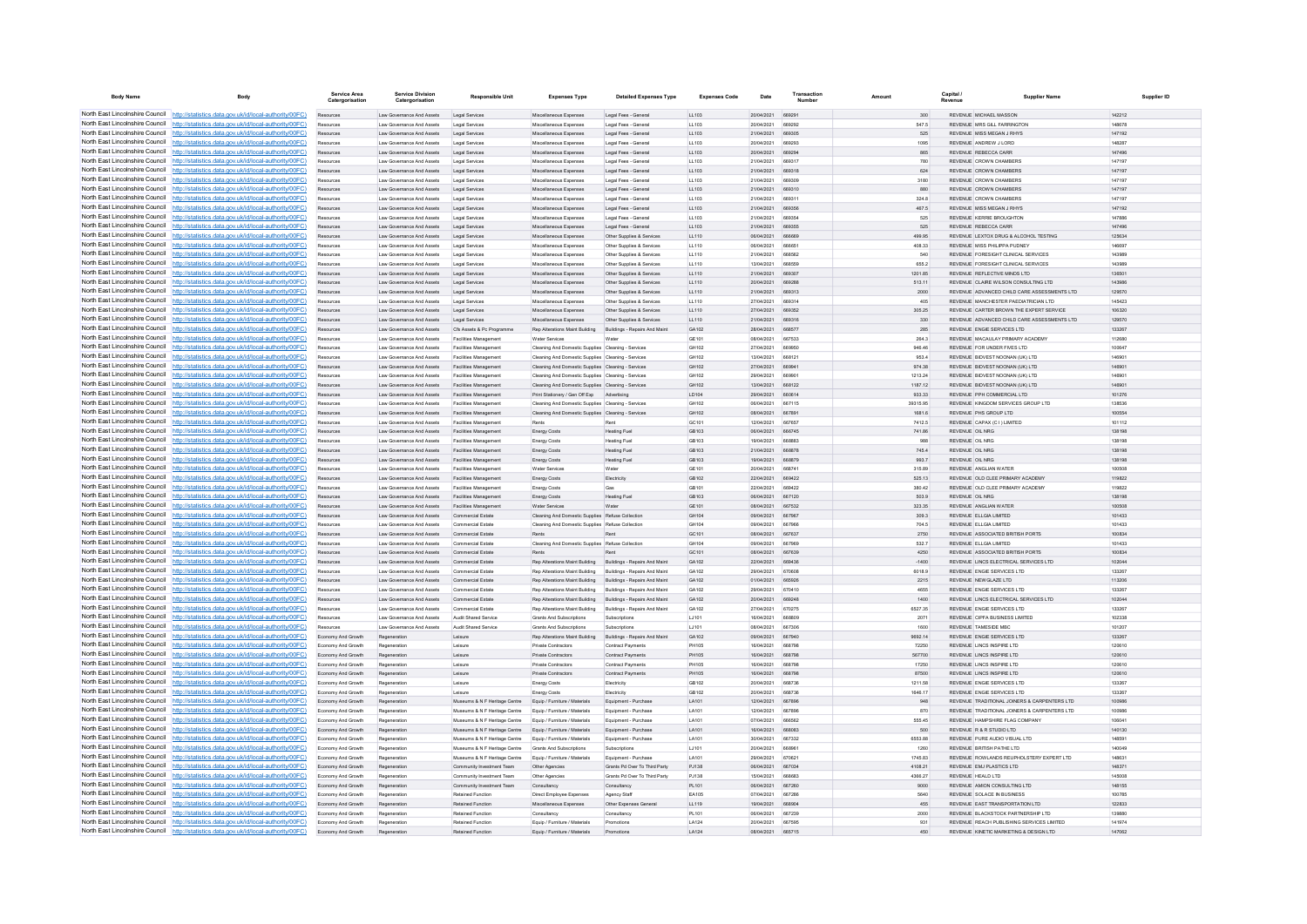| <b>Body Name</b>                                                   | Body                                                                                                                                                                                 | Service Area<br>Catergorisation          | <b>Service Division</b><br>Catergorisation             | <b>Responsible Unit</b>                                        | <b>Expenses Type</b>                                                                                                        | <b>Detailed Expenses Type</b>                             | <b>Expenses Code</b> | Date                     | Transactio<br>Number           | Amount             | Capital<br>Revenue                 | <b>Supplier Name</b>                                                       | Supplier ID      |
|--------------------------------------------------------------------|--------------------------------------------------------------------------------------------------------------------------------------------------------------------------------------|------------------------------------------|--------------------------------------------------------|----------------------------------------------------------------|-----------------------------------------------------------------------------------------------------------------------------|-----------------------------------------------------------|----------------------|--------------------------|--------------------------------|--------------------|------------------------------------|----------------------------------------------------------------------------|------------------|
|                                                                    | North East Lincolnshire Council http://statistics.data.gov.uk/id/local-authority/00FC)                                                                                               | Resources                                | Law Governance And Assets                              | Legal Services                                                 | Miscellaneous Expenses                                                                                                      | Legal Fees - General                                      | LL103                | 20/04/2021               | 669291                         | 300                |                                    | <b>REVENUE MICHAEL MASSON</b>                                              | 142212           |
|                                                                    | North East Lincolnshire Council http://statistics.data.gov.uk/id/local-authority/00FC)                                                                                               |                                          | Law Governance And Assets                              | Legal Service                                                  | Miscellaneous Expenses                                                                                                      | Legal Fees - Genera                                       | LL103                | 20/04/2021               | <b>ARQ2Q2</b>                  | 547.5              |                                    | REVENUE MRS GLI FARRINGTO                                                  | 148678           |
|                                                                    | North East Lincolnshire Council http://statistics.data.gov.uk/id/local-authority/00FC)                                                                                               | Resources                                | Law Governance And Assets                              | Legal Services                                                 | Miscellaneous Expenses                                                                                                      | Legal Fees - General                                      | 11.103               | 21/04/2021               | 669305                         | 525                |                                    | REVENUE MISS MEGAN J RHYS                                                  | 147192           |
|                                                                    | North East Lincolnshire Council http://statistics.data.gov.uk/id/local-authority/00FC)<br>North East Lincolnshire Council http://statistics.data.gov.uk/id/local-authority/00FC)     | Resources<br>Resources                   | Law Governance And Assets<br>Law Governance And Assets | Legal Services<br>Legal Services                               | Miscellaneous Expenses<br>Miscellaneous Expenses                                                                            | Legal Fees - General<br>Legal Fees - General              | LL103<br>LL103       | 20/04/2021<br>20/04/2021 | 669293<br>669294               | 1095<br>865        |                                    | REVENUE ANDREW JLORD<br>REVENUE REBECCA CARR                               | 148287<br>147496 |
|                                                                    | North East Lincolnshire Council http://statistics.data.gov.uk/id/local-authority/00FC)                                                                                               | Resources                                | Law Governance And Assets                              | Legal Services                                                 | Miscellaneous Expenses                                                                                                      | Legal Fees - General                                      | LL103                | 21/04/2021               | <b>BR9317</b>                  | 780                |                                    | <b>REVENUE CROWN CHAMBERS</b>                                              | 147197           |
| North East Lincolnshire Council                                    | http://statistics.data.gov.uk/id/local-authority/00FC)                                                                                                                               | Resources                                | Law Governance And Assets                              | Legal Services                                                 | Miscellaneous Expenses                                                                                                      | Legal Fees - General                                      | 11 103               | 21/04/2021               | 669318                         | 624                |                                    | REVENUE CROWN CHAMBERS                                                     | 147197           |
| North East Lincolnshire Council                                    | http://statistics.data.gov.uk/id/local-authority/00FC)                                                                                                                               | Resources                                | Law Governance And Assets                              | Legal Services                                                 | Miscellaneous Expenses                                                                                                      | Legal Fees - General                                      | 11 103               | 21/04/2021               | 669309                         | 3180               |                                    | REVENUE CROWN CHAMBERS                                                     | 147197           |
| North East Lincolnshire Council                                    | http://statistics.data.gov.uk/id/local-authority/00FC)                                                                                                                               |                                          | Law Governance And Assets                              | Legal Services                                                 | Miscellaneous Expenses                                                                                                      | Legal Fees - General                                      | LL103                | 21/04/2021               |                                | 880                |                                    | REVENUE CROWN CHAMBERS                                                     | 147197           |
|                                                                    | North East Lincolnshire Council   http://statistics.data.gov.uk/id/local-authority/00FC)<br>North East Lincolnshire Council   http://statistics.data.gov.uk/id/local-authority/00FC) | Resources<br><b>Deenirree</b>            | Law Governance And Assets<br>Law Governance And Assets | Legal Service<br>Legal Services                                | Miscellaneous Expenses<br>Miscellaneous Expenses                                                                            | Legal Fees - Genera<br>Legal Fees - General               | 11 103<br>11.103     | 21/04/2021<br>21/04/2021 | <b>BR9311</b><br><b>BRO358</b> | 324 R<br>467.5     |                                    | <b>PEVENUE CROWN CHAMBERS</b><br>REVENUE MISS MEGAN J RHYS                 | 147107<br>147192 |
|                                                                    | North East Lincolnshire Council http://statistics.data.gov.uk/id/local-authority/00FC)                                                                                               | Resources                                | Law Governance And Assets                              | Legal Services                                                 | Miscellaneous Expenses                                                                                                      | Legal Fees - General                                      | LL103                | 21/04/2021               | 669354                         | 525                |                                    | REVENUE KERRIE BROUGHTON                                                   | 147886           |
|                                                                    | North East Lincolnshire Council http://statistics.data.gov.uk/id/local-authority/00FC)                                                                                               | Resources                                | Law Governance And Assets                              | Legal Services                                                 | Miscellaneous Expenses                                                                                                      | Legal Fees - General                                      | LL103                | 21/04/2021               | 669355                         | 525                |                                    | REVENUE REBECCA CARR                                                       | 147496           |
|                                                                    | North East Lincolnshire Council   http://statistics.data.gov.uk/id/local-authority/00FC)                                                                                             | Resources                                | Law Governance And Assets                              | Legal Services                                                 | Miscellaneous Expenses                                                                                                      | Other Supplies & Services                                 | LL110                | 06/04/2021               | 666669                         | 499.95             |                                    | REVENUE LEXTOX DRUG & ALCOHOL TESTING                                      | 125634           |
| North East Lincolnshire Council                                    | http://statistics.data.gov.uk/id/local-authority/00FC)                                                                                                                               | Resources                                | Law Governance And Assets                              | Legal Services                                                 | Miscellaneous Expenses                                                                                                      | Other Supplies & Services                                 | LL110                | 06/04/2021               | 666651                         | 408.33             |                                    | REVENUE MISS PHILIPPA PUDNEY                                               | 146697           |
| North East Lincolnshire Council                                    | http://statistics.data.gov.uk/id/local-authority/00FC)                                                                                                                               | Resources                                | Law Governance And Assets<br>Law Governance And Assets | Legal Services                                                 | Miscellaneous Expenses                                                                                                      | Other Supplies & Services<br>Other Supplies & Service     | LL110<br>LL110       | 21/04/2021<br>13/04/2021 | 668562<br><b>BRBESC</b>        | 540<br>655.2       |                                    | REVENUE FORESIGHT CLINICAL SERVICES<br>REVENUE FORESIGHT CLINICAL SERVICES | 143989<br>143989 |
|                                                                    | North East Lincolnshire Council http://statistics.data.gov.uk/id/local-authority/00FC)<br>North East Lincolnshire Council http://statistics.data.gov.uk/id/local-authority/00FC)     | Resources<br>Resources                   | Law Governance And Assets                              | Legal Service<br>Legal Services                                | Miscellaneous Expenses<br>Miscellaneous Expenses                                                                            | Other Supplies & Services                                 | 11110                | 21/04/2021               | <b>BRO307</b>                  | 1201.85            |                                    | REVENUE REFLECTIVE MINDS LTD.                                              | 136501           |
|                                                                    | North East Lincolnshire Council http://statistics.data.gov.uk/id/local-authority/00FC)                                                                                               | Resources                                | Law Governance And Assets                              | Legal Services                                                 | Miscellaneous Expenses                                                                                                      | Other Supplies & Services                                 | LL110                | 20/04/2021               | 66928F                         | 513.11             |                                    | REVENUE CLAIRE WILSON CONSULTING LTD                                       | 143986           |
|                                                                    | North East Lincolnshire Council http://statistics.data.gov.uk/id/local-authority/00FC)                                                                                               | Resources                                | Law Governance And Assets                              | Legal Services                                                 | Miscellaneous Expenses                                                                                                      | Other Supplies & Services                                 | LL110                | 21/04/2021               | 669313                         | 2000               |                                    | REVENUE ADVANCED CHILD CARE ASSESSMENTS LTD                                | 129570           |
|                                                                    | North East Lincolnshire Council http://statistics.data.gov.uk/id/local-authority/00FC)                                                                                               | Resources                                | Law Governance And Assets                              | Legal Services                                                 | Miscellaneous Expenses                                                                                                      | Other Supplies & Services                                 | LL110                | 27/04/2021               | <b>BR9314</b>                  | 405                |                                    | <b>PEVENHE MANCHESTED PAEDIATPICIAN LTD.</b>                               | 145423           |
| North East Lincolnshire Council                                    | http://statistics.data.gov.uk/id/local-authority/00FC)                                                                                                                               | Resources                                | Law Governance And Assets                              | Legal Services                                                 | Miscellaneous Expenses                                                                                                      | Other Supplies & Services                                 | 11110                | 27/04/2021               | 669352                         | 305.25             |                                    | REVENUE CARTER BROWN THE EXPERT SERVICE.                                   | 106320           |
| North East Lincolnshire Council<br>North East Lincolnshire Council | http://statistics.data.gov.uk/id/local-authority/00FC)<br>http://statistics.data.gov.uk/id/local-authority/00FC)                                                                     | Resources                                | Law Governance And Assets<br>Law Governance And Assets | Legal Services<br>Cfs Assets & Pc Programme                    | Miscellaneous Expenses<br>Rep Alterations Maint Building                                                                    | Other Supplies & Services<br>Buildings - Repairs And Main | 11110<br>GA102       | 21/04/2021<br>28/04/2021 | 669316<br>BRB577               | 330<br>285         |                                    | REVENUE ADVANCED CHILD CARE ASSESSMENTS LTD.<br>REVENUE ENGIE SERVICES LTD | 129570<br>133267 |
|                                                                    | North East Lincolnshire Council   http://statistics.data.gov.uk/id/local-authority/00FC)                                                                                             | Resources                                | Law Governance And Assets                              | <b>Facilities Management</b>                                   | Water Services                                                                                                              | Water                                                     | GF 101               | 08/04/2021               | 667533                         | 264.3              |                                    | REVENUE MACAULAY PRIMARY ACADEMY                                           | 112680           |
|                                                                    | North East Lincolnshire Council http://statistics.data.gov.uk/id/local-authority/00FC)                                                                                               | Resources                                | Law Governance And Assets                              | <b>Facilities Management</b>                                   | Cleaning And Domestic Supplies Cleaning - Services                                                                          |                                                           | GH102                | 27/04/2021               | 669950                         | 946.46             |                                    | REVENUE FOR UNDER FIVES LTD                                                | 100647           |
|                                                                    | North East Lincolnshire Council http://statistics.data.gov.uk/id/local-authority/00FC)                                                                                               | Resources                                | Law Governance And Assets                              | Facilities Management                                          | Cleaning And Domestic Supplies Cleaning - Services                                                                          |                                                           | GH102                | 13/04/2021               | 668121                         | 953.4              |                                    | REVENUE BIDVEST NOONAN (UK) LTD                                            | 146901           |
|                                                                    | North East Lincolnshire Council http://statistics.data.gov.uk/id/local-authority/00FC)                                                                                               | Resources                                | Law Governance And Assets                              | <b>Facilities Management</b>                                   | Cleaning And Domestic Supplies Cleaning - Service                                                                           |                                                           | GH102                | 27/04/2021               | 669941                         | 974.38             |                                    | REVENUE BIDVEST NOONAN (UK) LTD                                            | 14690            |
| North East Lincolnshire Council                                    | North East Lincolnshire Council http://statistics.data.gov.uk/id/local-authority/00FC)                                                                                               | Resources                                | Law Governance And Assets                              | Facilities Management                                          | Cleaning And Domestic Supplies Cleaning - Services                                                                          |                                                           | GH102                | 29/04/2021               | 669901                         | 1213.24            |                                    | REVENUE BIDVEST NOONAN (UK) I TD                                           | 146901           |
|                                                                    | http://statistics.data.gov.uk/id/local-authority/00FC)<br>North East Lincolnshire Council http://statistics.data.gov.uk/id/local-authority/00FC)                                     | Resources<br>Resources                   | Law Governance And Assets<br>Law Governance And Assets | <b>Facilities Management</b><br>Facilities Management          | Cleaning And Domestic Supplies Cleaning - Services<br>Print Stationery / Gen Off Exp Advertising                            |                                                           | GH102<br>LD104       | 13/04/2021<br>29/04/2021 | 668122                         | 1187.12<br>933.33  |                                    | REVENUE BIDVEST NOONAN (UK) LTD<br>REVENUE PPH COMMERCIAL LTD              | 146901<br>101276 |
|                                                                    | North East Lincolnshire Council http://statistics.data.gov.uk/id/local-authority/00FC)                                                                                               |                                          | Law Governance And Assets                              | Facilities Management                                          | Cleaning And Domestic Supplies Cleaning - Service                                                                           |                                                           | GH102                | 06/04/2021               | <b>BR7115</b>                  | 39315.95           |                                    | REVENUE KINGDOM SERVICES GROUP LTD                                         | 138536           |
|                                                                    | North East Lincolnshire Council http://statistics.data.gov.uk/id/local-authority/00FC)                                                                                               | Resources                                | Law Governance And Assets                              | <b>Facilities Management</b>                                   | Cleaning And Domestic Supplies Cleaning - Services                                                                          |                                                           | GH102                | 08/04/2021               | 667891                         | 1681.6             |                                    | REVENUE PHS GROUP LTD                                                      | 100554           |
|                                                                    | North East Lincolnshire Council http://statistics.data.gov.uk/id/local-authority/00FC)                                                                                               | Resources                                | Law Governance And Assets                              | <b>Facilities Management</b>                                   | <b>Dante</b>                                                                                                                | Pent                                                      | GC101                | 12/04/2021               | <b>BR7857</b>                  | 7412.5             |                                    | REVENUE CAPAX (C.I.) LIMITED                                               | 101112           |
|                                                                    | North East Lincolnshire Council http://statistics.data.gov.uk/id/local-authority/00FC)                                                                                               | Resources                                | Law Governance And Assets                              | Facilities Management                                          | <b>Energy Costs</b>                                                                                                         | <b>Heating Fuel</b>                                       | GB103                | 06/04/2021               | 666745                         | 741.86             | REVENUE OIL NRG                    |                                                                            | 138198           |
|                                                                    | North East Lincolnshire Council http://statistics.data.gov.uk/id/local-authority/00FC)<br>North East Lincolnshire Council http://statistics.data.gov.uk/id/local-authority/00FC)     | Resources                                | Law Governance And Assets                              | <b>Facilities Management</b>                                   | Energy Costs                                                                                                                | <b>Heating Fuel</b>                                       | GB103<br>GR103       | 19/04/2021<br>21/04/2021 | 668883<br>668878               | 988<br>745.4       | REVENUE OIL NRG<br>REVENUE OIL NRG |                                                                            | 138198<br>138198 |
| North East Lincolnshire Council                                    | ://statistics.data.gov.uk/id/local-authority/00FC)                                                                                                                                   | Resources<br>Resources                   | Law Governance And Assets<br>Law Governance And Assets | Facilities Management<br><b>Facilities Management</b>          | Energy Costs<br><b>Energy Costs</b>                                                                                         | <b>Heating Fuel</b><br><b>Heating Fuel</b>                | GB103                | 19/04/2021               | 668879                         | 993.7              |                                    | REVENUE OIL NRG                                                            | 138198           |
| North East Lincolnshire Council                                    | http://statistics.data.gov.uk/id/local-authority/00FC)                                                                                                                               | Resources                                | Law Governance And Assets                              | Facilities Management                                          | Water Services                                                                                                              | Water                                                     | GE101                | 20/04/2021               |                                | 315.89             |                                    | REVENUE ANGLIAN WATER                                                      | 100508           |
|                                                                    | North East Lincolnshire Council http://statistics.data.gov.uk/id/local-authority/00FC)                                                                                               |                                          | Law Governance And Assets                              | <b>Facilities Management</b>                                   | <b>Energy Costs</b>                                                                                                         | Electricity                                               | GB102                | 22/04/2021               | 669422                         | 525.13             |                                    | REVENUE OLD CLEE PRIMARY ACADEMY                                           | 119822           |
|                                                                    | North East Lincolnshire Council http://statistics.data.gov.uk/id/local-authority/00FC)                                                                                               | <b>Deenirree</b>                         | Law Governance And Assets                              | Facilities Management                                          | <b>Energy Costs</b>                                                                                                         | Gas                                                       | GR101                | 22/04/2021               | 669422                         | 380.42             |                                    | REVENUE OLD CLEE PRIMARY ACADEMY                                           | 119822           |
|                                                                    | North East Lincolnshire Council http://statistics.data.gov.uk/id/local-authority/00FC)                                                                                               | Resources                                | Law Governance And Assets                              | <b>Facilities Management</b>                                   | <b>Energy Costs</b>                                                                                                         | <b>Heating Fuel</b>                                       | GB103                | 06/04/2021               | 667120                         | 503.9              |                                    | REVENUE OIL NRG                                                            | 138198           |
|                                                                    | North East Lincolnshire Council http://statistics.data.gov.uk/id/local-authority/00FC)<br>North East Lincolnshire Council http://statistics.data.gov.uk/id/local-authority/00FC)     | Resources                                | Law Governance And Assets                              | Facilities Management                                          | Water Services                                                                                                              | Water                                                     | GE101<br>GH104       | 08/04/2021<br>09/04/2021 | 667532<br>667967               | 323.35<br>309.3    |                                    | REVENUE ANGLIAN WATER<br>REVENUE ELLGIA LIMITED                            | 100508<br>101433 |
| North East Lincolnshire Council                                    | http://statistics.data.gov.uk/id/local-authority/00EC)                                                                                                                               | Resources<br>Resources                   | Law Governance And Assets<br>Law Governance And Assets | <b>Commercial Estate</b><br>Commercial Estate                  | Cleaning And Domestic Supplies Refuse Collection<br>Cleaning And Domestic Supplies Refuse Collectio                         |                                                           | GH104                | 09/04/2021               | 667966                         | 704.5              |                                    | REVENUE FLIGIA LIMITED                                                     | 101433           |
|                                                                    | North East Lincolnshire Council http://statistics.data.gov.uk/id/local-authority/00FC)                                                                                               | Resources                                | Law Governance And Assets                              | Commercial Estate                                              | Rents                                                                                                                       | Rent                                                      | GC101                | 08/04/2021               | 667637                         | 2750               |                                    | REVENUE ASSOCIATED BRITISH PORTS                                           | 100834           |
|                                                                    | North East Lincolnshire Council http://statistics.data.gov.uk/id/local-authority/00FC)                                                                                               | Resources                                | Law Governance And Assets                              | Commercial Estate                                              | Cleaning And Domestic Supplies Refuse Collectio                                                                             |                                                           | GH104                | 09/04/2021               | 667969                         | 532.7              |                                    | REVENUE FLIGIA LIMITED                                                     | 101433           |
|                                                                    | North East Lincolnshire Council http://statistics.data.gov.uk/id/local-authority/00FC)                                                                                               | Resources                                | Law Governance And Assets                              | Commercial Estate                                              | Rents                                                                                                                       |                                                           | GC101                | 08/04/2021               | 667639                         | 4250               |                                    | REVENUE ASSOCIATED BRITISH PORTS                                           | 100834           |
|                                                                    | North East Lincolnshire Council http://statistics.data.gov.uk/id/local-authority/00FC)<br>North East Lincolnshire Council http://statistics.data.gov.uk/id/local-authority/00FC)     | Resources                                | Law Governance And Assets                              | Commercial Estate                                              | Rep Alterations Maint Building Buildings - Repairs And Maint                                                                |                                                           | GA102<br>GA102       | 22/04/2021               | 669436<br>670608               | $-1400$<br>6018.9  |                                    | REVENUE LINCS ELECTRICAL SERVICES LTD<br>REVENUE ENGIE SERVICES LTD        | 102044           |
|                                                                    | North East Lincolnshire Council http://statistics.data.gov.uk/id/local-authority/00FC)                                                                                               | Resources<br>Resources                   | Law Governance And Assets<br>Law Governance And Assets | Commercial Estate<br>Commercial Estate                         | Rep Alterations Maint Building Buildings - Repairs And Maint<br>Rep Alterations Maint Building Buildings - Repairs And Main |                                                           | GA102                | 29/04/2021<br>01/04/2021 | 665926                         | 2215               |                                    | REVENUE NEWGLAZE LTD                                                       | 133267<br>113206 |
|                                                                    | North East Lincolnshire Council http://statistics.data.gov.uk/id/local-authority/00FC)                                                                                               | Resources                                | Law Governance And Assets                              | Commercial Estate                                              | Rep Alterations Maint Building Buildings - Repairs And Maint                                                                |                                                           | GA102                | 29/04/2021               | 670410                         | 4655               |                                    | REVENUE ENGIE SERVICES LTD.                                                | 133267           |
| North East Lincolnshire Council                                    | http://statistics.data.gov.uk/id/local-authority/00EC)                                                                                                                               | Resources                                | Law Governance And Assets                              | Commercial Estate                                              | Rep Alterations Maint Building                                                                                              | Buildings - Repairs And Maint                             | GA102                | 20/04/2021               | 669248                         | 1400               |                                    | REVENUE LINCS ELECTRICAL SERVICES LTD                                      | 102044           |
|                                                                    | North East Lincolnshire Council http://statistics.data.gov.uk/id/local-authority/00FC)                                                                                               | Resources                                | Law Governance And Assets                              | mercial Estate                                                 | Rep Alterations Maint Building                                                                                              | Buildings - Repairs And Maint                             | GA102                | 27/04/2021               | 670275                         | 6527.35            |                                    | REVENUE ENGIE SERVICES LTD                                                 | 133267           |
|                                                                    | North East Lincolnshire Council http://statistics.data.gov.uk/id/local-authority/00FC)                                                                                               | Resources                                | Law Governance And Assets                              | Audit Shared Service                                           | Grants And Subscriptions                                                                                                    | Subscription                                              | LJ101                | 16/04/2021               | <b>BRBBOD</b>                  | 2071               |                                    | REVENUE CIPEA BUSINESS LIMITED                                             | 102338           |
|                                                                    | North East Lincolnshire Council http://statistics.data.gov.uk/id/local-authority/00FC)<br>North East Lincolnshire Council http://statistics.data.gov.uk/id/local-authority/00FC)     | <b>Deenirree</b><br>Economy And Growth   | Law Governance And Assets<br>Regeneration              | <b>Audit Shared Service</b><br>Leisure                         | Grants And Subscriptions<br>Rep Alterations Maint Building Buildings - Repairs And Maint                                    | Subscriptions                                             | 1.1101<br>GA102      | 08/04/2021<br>09/04/2021 | 667306<br>667940               | 1600<br>9692.14    |                                    | REVENUE TAMESIDE MRC.<br>REVENUE ENGIE SERVICES LTD                        | 101207<br>133267 |
|                                                                    | North East Lincolnshire Council http://statistics.data.gov.uk/id/local-authority/00FC)                                                                                               | Economy And Growth                       | Regeneratio                                            | Leisure                                                        | Private Contractors                                                                                                         | Contract Payments                                         | PH105                | 16/04/2021               | 668798                         | 72250              |                                    | REVENUE LINCS INSPIRE LTD                                                  | 120610           |
|                                                                    | North East Lincolnshire Council http://statistics.data.gov.uk/id/local-authority/00FC)                                                                                               | Economy And Growth                       | Regeneration                                           | Leisure                                                        | Private Contractors                                                                                                         | Contract Payments                                         | <b>PH105</b>         | 16/04/2021               | 668798                         | 567700             |                                    | REVENUE LINCS INSPIRE LTD                                                  | 120610           |
| North East Lincolnshire Council                                    | http://statistics.data.gov.uk/id/local-authority/00FC)                                                                                                                               | Economy And Growth                       | Regeneration                                           | Leisure                                                        | <b>Private Contractors</b>                                                                                                  | <b>Contract Payments</b>                                  | PH105                | 16/04/2021               | <b>BRR70R</b>                  | 17250              |                                    | REVENUE LINCS INSPIRE LTD                                                  | 120610           |
| North East Lincolnshire Council                                    | //statistics.data.gov.uk/id/local-authority/00FC)                                                                                                                                    | Economy And Growth                       | Regeneration                                           | Leisure                                                        | Private Contractors                                                                                                         | Contract Payments                                         | PH105                | 16/04/2021               | 668798                         | 87500              |                                    | REVENUE LINCS INSPIRE LTD                                                  | 120610           |
|                                                                    | North East Lincolnshire Council http://statistics.data.gov.uk/id/local-authority/00FC)<br>North East Lincolnshire Council http://statistics.data.gov.uk/id/local-authority/00FC)     | Economy And Growth<br>Economy And Growth | Regeneratio<br>Regeneration                            | Leisure<br>Leisure                                             | Energy Costs                                                                                                                | Electricity<br>Electricity                                | GB102<br>GR102       | 20/04/2021<br>20/04/2021 | 668736<br>668736               | 1211.58<br>1646.17 |                                    | REVENUE ENGIE SERVICES LTD<br>REVENUE ENGIE SERVICES LTD.                  | 133267<br>133267 |
|                                                                    | North East Lincolnshire Council http://statistics.data.gov.uk/id/local-authority/00FC)                                                                                               | Economy And Growth                       | Regeneration                                           | Museums & N F Heritage Centre                                  | Energy Costs<br>Equip / Furniture / Materials                                                                               | Equipment - Purchase                                      | LA101                | 12/04/2021               | 667896                         | 948                |                                    | REVENUE TRADITIONAL JOINERS & CARPENTERS LTD                               | 100986           |
|                                                                    | North East Lincolnshire Council http://statistics.data.gov.uk/id/local-authority/00FC)                                                                                               | Economy And Growth                       | Regeneration                                           | Museums & N F Heritage Centre                                  | Equip / Furniture / Materials                                                                                               | Equipment - Purchase                                      | LA101                | 12/04/2021               | 667896                         | 870                |                                    | REVENUE TRADITIONAL JOINERS & CARPENTERS LTD                               | 100986           |
|                                                                    | North East Lincolnshire Council http://statistics.data.gov.uk/id/local-authority/00FC)                                                                                               | Economy And Growth                       | Regeneratio                                            | Museums & N F Heritage Centre                                  | Equip / Furniture / Materials                                                                                               | Equipment - Purchase                                      | LA101                | 07/04/2021               | 666562                         | 555.45             |                                    | REVENUE HAMPSHIRE FLAG COMPANY                                             | 106041           |
| North East Lincolnshire Council                                    | http://statistics.data.gov.uk/id/local-authority/00EC)                                                                                                                               | Economy And Growth                       | Regeneration                                           | Museums & N F Heritage Centre                                  | Equip / Furniture / Materials                                                                                               | Equipment - Purchase                                      | LA101                | 16/04/2021               | 668083                         | 500                |                                    | REVENUE R& R STUDIO LTD.                                                   | 140130           |
| North East Lincolnshire Council                                    | http://statistics.data.gov.uk/id/local-authority/00EC)<br>North East Lincolnshire Council http://statistics.data.gov.uk/id/local-authority/00FC)                                     | Economy And Growth<br>Economy And Growth | Regeneration                                           | Museums & N F Heritage Centre<br>Museums & N F Heritage Centre | Equip / Furniture / Materials<br>Grants And Subscriptions                                                                   | Equipment - Purchase                                      | LA101<br>LJ101       | 30/04/2021<br>20/04/202  | 667332                         | 6553.88<br>1260    |                                    | REVENUE PURE AUDIO VISUAL LTD<br>REVENUE BRITISH PATHE LTD                 | 148591<br>140049 |
|                                                                    | North East Lincolnshire Council http://statistics.data.gov.uk/id/local-authority/00FC)                                                                                               | Economy And Growth                       | Regeneratio<br>Regeneratio                             | Museums & N F Heritage Centre                                  | Equip / Furniture / Materials                                                                                               | Subscriptions<br>Equipment - Purchase                     | LA101                | 20/04/2021               | <b>670621</b>                  | 1745.83            |                                    | REVENUE ROWLANDS REUPHOLSTERY EXPERT LTD                                   | 148831           |
|                                                                    | North East Lincolnshire Council http://statistics.data.gov.uk/id/local-authority/00FC)                                                                                               | Fronomy And Growth                       | Regeneration                                           | Community Investment Team                                      | Other Agencies                                                                                                              | Grants Pd Over To Third Party                             | P.1138               | 06/04/2021               | 667034                         | 4108.21            |                                    | REVENUE EMJ PLASTICS LTD.                                                  | 148371           |
|                                                                    | North East Lincolnshire Council http://statistics.data.gov.uk/id/local-authority/00FC)                                                                                               | Economy And Growth                       | Regeneration                                           | Community Investment Team                                      | Other Agencies                                                                                                              | Grants Pd Over To Third Party                             | PJ138                | 15/04/2021               | 668683                         | 4366.27            |                                    | REVENUE HEALD LTD                                                          | 145008           |
|                                                                    | North East Lincolnshire Council http://statistics.data.gov.uk/id/local-authority/00FC)                                                                                               | Economy And Growth                       | Regeneratio                                            | Community Investment Team                                      | Consultancy                                                                                                                 | Consultancy                                               | PL101                | 06/04/2021               | 667260                         | 9000               |                                    | REVENUE AMION CONSULTING LTD                                               | 148155           |
|                                                                    | North East Lincolnshire Council http://statistics.data.gov.uk/id/local-authority/00FC)                                                                                               | Economy And Growth                       | Regeneration                                           | <b>Retained Function</b>                                       | Direct Employee Expenses                                                                                                    | Agency Staff                                              | FA105                | 07/04/2021               | 667286                         | 5640               |                                    | REVENUE SOLACE IN BUSINESS                                                 | 100785           |
| North East Lincolnshire Council                                    | http://statistics.data.gov.uk/id/local-authority/00FC)<br>North East Lincolnshire Council http://statistics.data.gov.uk/id/local-authority/00FC)                                     | Economy And Growth<br>Economy And Growth | Regeneration<br>Regeneration                           | <b>Retained Function</b><br><b>Retained Function</b>           | Miscellaneous Expenses<br>Consultancy                                                                                       | Other Expenses General                                    | LL119<br>PL101       | 19/04/2021<br>06/04/2021 | 668904<br>667239               | 455<br>2000        |                                    | REVENUE EAST TRANSPORTATION LTD<br>REVENUE BLACKSTOCK PARTNERSHIP LTD      | 122833<br>139880 |
|                                                                    | North East Lincolnshire Council http://statistics.data.gov.uk/id/local-authority/00FC)                                                                                               | Economy And Growth                       | Regeneratio                                            | <b>Retained Function</b>                                       | Equip / Furniture / Materials                                                                                               | Consultancy<br>Promotions                                 | LA124                | 20/04/2021               | 667595                         | 931                |                                    | REVENUE REACH PUBLISHING SERVICES LIMITED                                  | 141974           |
|                                                                    | North East Lincolnshire Council http://statistics.data.gov.uk/id/local-authority/00FC)                                                                                               | Fronomy And Growth                       | Regeneratio                                            | <b>Retained Function</b>                                       | Equip / Furniture / Materials                                                                                               | Promotions                                                | LA124                | 08/04/2021               | 665715                         | 450                |                                    | REVENUE KINETIC MARKETING & DESIGN LTD.                                    | 147062           |
|                                                                    |                                                                                                                                                                                      |                                          |                                                        |                                                                |                                                                                                                             |                                                           |                      |                          |                                |                    |                                    |                                                                            |                  |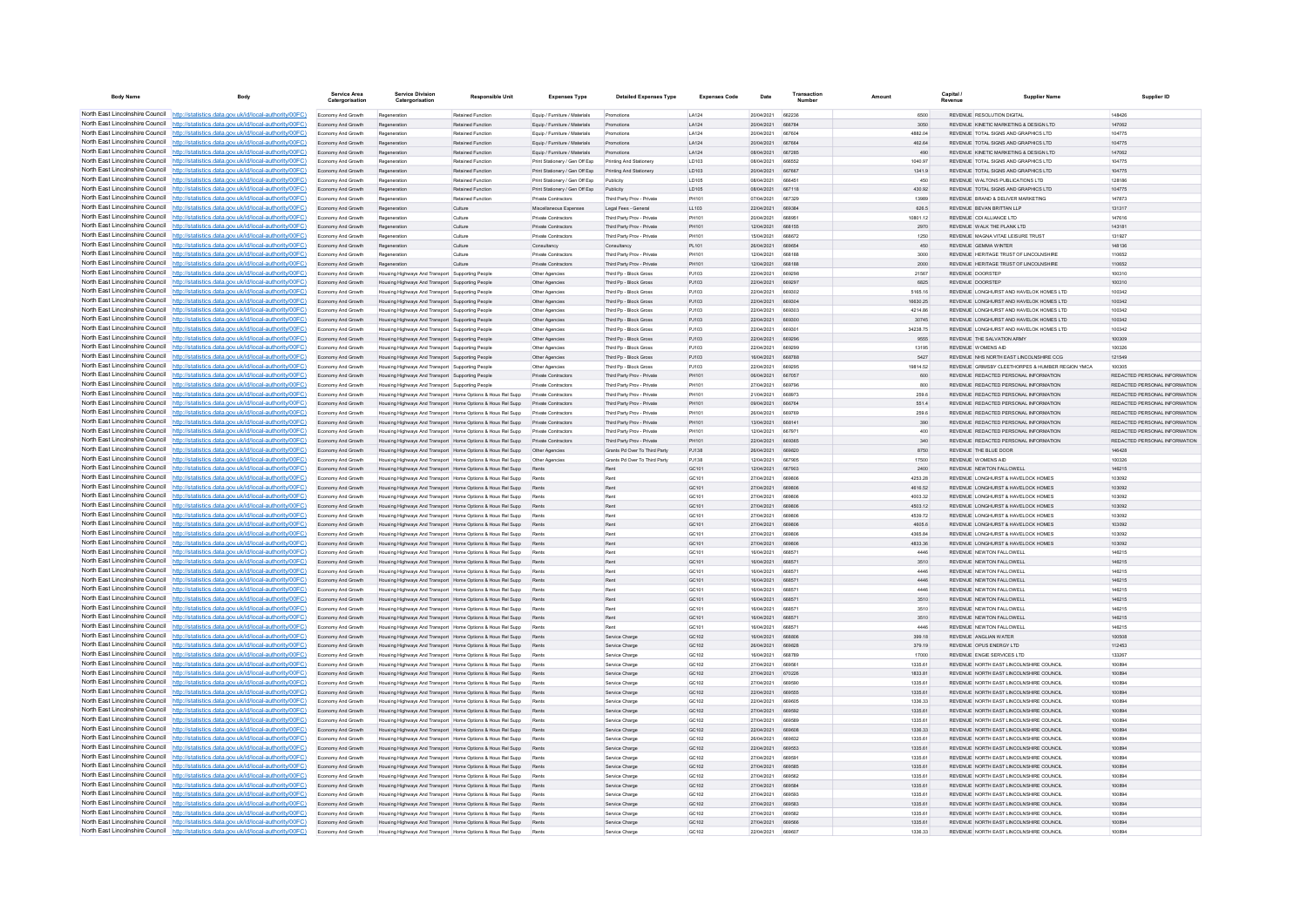| <b>Body Name</b>                |                                                                                                                                                                                  | Service Area<br>Catergorisatio           | <b>Service Division</b><br>Catergorisation                                                           | <b>Responsible Unit</b>                                                                                                      | <b>Expenses Type</b>                                            | <b>Detailed Expenses Type</b>                            | <b>Expenses Code</b>  | Date                     | Transaction            | Amount             | Capital /               | <b>Supplier Name</b>                                                                | Supplier ID                                                    |
|---------------------------------|----------------------------------------------------------------------------------------------------------------------------------------------------------------------------------|------------------------------------------|------------------------------------------------------------------------------------------------------|------------------------------------------------------------------------------------------------------------------------------|-----------------------------------------------------------------|----------------------------------------------------------|-----------------------|--------------------------|------------------------|--------------------|-------------------------|-------------------------------------------------------------------------------------|----------------------------------------------------------------|
|                                 | North East Lincolnshire Council http://statistics.data.gov.uk/id/local-authority/00FC)                                                                                           | Economy And Growth                       | Regeneration                                                                                         | Retained Function                                                                                                            | Equip / Furniture / Materials                                   | Promotions                                               | <b>LA124</b>          | 20/04/2021               | 662236                 | 6500               |                         | REVENUE RESOLUTION DIGITAL                                                          | 148426                                                         |
|                                 | North East Lincolnshire Council http://statistics.data.gov.uk/id/local-authority/00FC)                                                                                           | Economy And Growth                       | Regeneration                                                                                         | Retained Function                                                                                                            | Equip / Furniture / Materials                                   | Promotions                                               | LA124                 | 20/04/2021               | 666784                 | 3050               |                         | REVENUE KINETIC MARKETING & DESIGN LTD                                              | 147062                                                         |
|                                 | North East Lincolnshire Council http://statistics.data.gov.uk/id/local-authority/00FC)                                                                                           | Economy And Growth                       | Regeneration                                                                                         | <b>Retained Function</b>                                                                                                     | Equip / Furniture / Materials                                   | Promotions                                               | LA124                 | 20/04/2021               | <b>BR7RO</b>           | 4882.04            |                         | REVENUE TOTAL SIGNS AND GRAPHICS LTD                                                | 104775                                                         |
|                                 | North East Lincolnshire Council http://statistics.data.gov.uk/id/local-authority/00FC)<br>North East Lincolnshire Council http://statistics.data.gov.uk/id/local-authority/00FC) | Economy And Growth                       | Regeneration                                                                                         | <b>Retained Function</b>                                                                                                     | Foujo / Furniture / Materials                                   | Promotions<br>Promotions                                 | LA124                 | 20/04/2021<br>08/04/2021 | 667664<br>667285       | 462.64             |                         | REVENUE TOTAL SIGNS AND GRAPHICS LTD.<br>REVENUE KINETIC MARKETING & DESIGN LTD     | 104775                                                         |
|                                 | North East Lincolnshire Council http://statistics.data.gov.uk/id/local-authority/00FC)                                                                                           | Economy And Growth<br>Economy And Growth | Regeneration<br>Regeneration                                                                         | Retained Function<br><b>Retained Function</b>                                                                                | Equip / Furniture / Materials<br>Print Stationery / Gen Off Exp | Printing And Stationery                                  | LA124<br>LD103        | 08/04/2021               | 666552                 | 490<br>1040.97     |                         | REVENUE TOTAL SIGNS AND GRAPHICS LTD                                                | 147062<br>104775                                               |
|                                 | North East Lincolnshire Council http://statistics.data.gov.uk/id/local-authority/00FC)                                                                                           | Economy And Growth                       | Regeneratio                                                                                          | Retained Function                                                                                                            | Print Stationery / Gen Off Exp                                  | Printing And Stationery                                  | LD103                 | 20/04/2021               | 667667                 | 1341.9             |                         | REVENUE TOTAL SIGNS AND GRAPHICS LTD                                                | 104775                                                         |
|                                 | North East Lincolnshire Council http://statistics.data.gov.uk/id/local-authority/00FC)                                                                                           | Economy And Growth                       | Regeneration                                                                                         | <b>Retained Function</b>                                                                                                     | Print Stationery / Gen Off Exp                                  | Publicity                                                | <b>LD105</b>          | 08/04/2021               | 666451                 | 450                |                         | REVENUE, WALTONS PUBLICATIONS LTD.                                                  | 128186                                                         |
| North East Lincolnshire Council | http://statistics.data.gov.uk/id/local-authority/00FC)                                                                                                                           | Economy And Growth                       | Regeneration                                                                                         | <b>Retained Function</b>                                                                                                     | Print Stationery / Gen Off Exp                                  | Publicity                                                | LD105                 | 08/04/2021               | 667118                 | 430.92             |                         | REVENUE TOTAL SIGNS AND GRAPHICS LTD                                                | 104775                                                         |
| North East Lincolnshire Council | http://statistics.data.gov.uk/id/local-authority/00FC)                                                                                                                           | Economy And Growth                       | Regeneratio                                                                                          | Retained Functio                                                                                                             | Private Contractors                                             | Third Party Prov - Private                               |                       | 07/04/2021               |                        | 13989              |                         | REVENUE BRAND & DELIVER MARKETING                                                   | 147873                                                         |
| North East Lincolnshire Council | http://statistics.data.gov.uk/id/local-authority/00FC)                                                                                                                           | Economy And Growth                       |                                                                                                      | Culture                                                                                                                      | Miscellaneous Expenses                                          | Legal Fees - General                                     | LL103                 | 22/04/2021               | <b>BRO3RA</b>          | 626.5              |                         | <b>PEVENUE REVAN RPITTAN I I D</b>                                                  | 131317                                                         |
|                                 | North East Lincolnshire Council http://statistics.data.gov.uk/id/local-authority/00FC)                                                                                           | Fronomy And Growth                       | Regeneration                                                                                         | Culture                                                                                                                      | Private Contractors                                             | Third Party Proy - Private                               | <b>PH101</b>          | 20/04/2021               | <b>BRROS1</b>          | 10801.12           |                         | REVENUE CDI ALLIANCE LTD                                                            | 147616                                                         |
|                                 | North East Lincolnshire Council   http://statistics.data.gov.uk/id/local-authority/00FC)                                                                                         | Economy And Growth                       | Regeneration                                                                                         | Culture                                                                                                                      | Private Contractors                                             | Third Party Prov - Private                               | PH101<br><b>PH101</b> | 12/04/2021<br>15/04/2021 | 668155<br>668672       | 2970<br>1250       |                         | REVENUE WALK THE PLANK LTD.<br>REVENUE MAGNA VITAE LEISURE TRUST                    | 143181                                                         |
|                                 | North East Lincolnshire Council http://statistics.data.gov.uk/id/local-authority/00FC)<br>North East Lincolnshire Council http://statistics.data.gov.uk/id/local-authority/00FC) | Economy And Growth                       | Regeneratio                                                                                          | Culture<br>Culture                                                                                                           | Private Contractor                                              | Third Party Prov - Private                               | PL101                 | 28/04/2021               | <b>BRORSA</b>          | 450                |                         | <b>PEVENUE CEMMA WINTER</b>                                                         | 131927<br>148138                                               |
| North East Lincolnshire Council | http://statistics.data.gov.uk/id/local-authority/00FC)                                                                                                                           | Economy And Growth<br>Economy And Growth | Regeneration                                                                                         | Culture                                                                                                                      | Consultancy<br><b>Private Contractors</b>                       | Consultancy<br>Third Party Proy - Private                | PH101                 | 12/04/2021               | <b>BRR18E</b>          | 3000               |                         | REVENUE HERITAGE TRUST OF LINCOLNSHIRE                                              | 110652                                                         |
| North East Lincolnshire Council | http://statistics.data.gov.uk/id/local-authority/00FC)                                                                                                                           | Economy And Growth                       | Regeneration                                                                                         | Culture                                                                                                                      | Private Contractors                                             | Third Party Prov - Private                               | PH101                 | 12/04/2021               | 668188                 | 2000               |                         | REVENUE HERITAGE TRUST OF LINCOLNSHIRE                                              | 110652                                                         |
| North East Lincolnshire Council | statistics.data.gov.uk/id/local-authority/00FC)                                                                                                                                  | Economy And Growth                       | Housing Highways And Transport Supporting People                                                     |                                                                                                                              | Other Agencie                                                   | Third Pp - Block Gross                                   | PJ103                 | 22/04/2021               | <b>BRO2QE</b>          | 21567              | <b>REVENUE DOORSTEP</b> |                                                                                     | 100310                                                         |
|                                 | North East Lincolnshire Council http://statistics.data.gov.uk/id/local-authority/00FC)                                                                                           | Economy And Growth                       | Housing Highways And Transport Supporting People                                                     |                                                                                                                              | Other Agencies                                                  | Third Po - Block Gross                                   | P.1103                | 22/04/2021               | 669297                 | 6825               |                         | <b>REVENUE DOORSTEP</b>                                                             | 100310                                                         |
|                                 | North East Lincolnshire Council http://statistics.data.gov.uk/id/local-authority/00FC)                                                                                           | Economy And Growth                       | Housing Highways And Transport Supporting People                                                     |                                                                                                                              | Other Agencies                                                  | Third Po - Block Gross                                   | PJ103                 | 22/04/2021               | 669302                 | 5165.16            |                         | REVENUE LONGHURST AND HAVELOK HOMES LTD                                             | 100342                                                         |
|                                 | North East Lincolnshire Council http://statistics.data.gov.uk/id/local-authority/00FC)                                                                                           | Economy And Growth                       | Housing Highways And Transport Supporting People                                                     |                                                                                                                              | Other Agencies                                                  | Third Pp - Block Gross                                   | PJ103                 | 22/04/2021               | 669304                 | 16630.25           |                         | REVENUE LONGHURST AND HAVELOK HOMES LTD                                             | 100342                                                         |
|                                 | North East Lincolnshire Council http://statistics.data.gov.uk/id/local-authority/00FC)                                                                                           | Economy And Growth                       | Housing Highways And Transport Supporting People                                                     |                                                                                                                              | Other Agencie                                                   | Third Pp - Block Gross                                   | PJ103                 | 22/04/2021               | 669303                 | 4214.86            |                         | REVENUE LONGHURST AND HAVELOK HOMES LTD                                             | 100342                                                         |
| North East Lincolnshire Council | North East Lincolnshire Council http://statistics.data.gov.uk/id/local-authority/00FC)<br>http://statistics.data.gov.uk/id/local-authority/00FC)                                 | Economy And Growth                       | Housing Highways And Transport Supporting People                                                     |                                                                                                                              | Other Agencies                                                  | Third Po - Block Gross<br>Third Pp - Block Gross         | P.1103                | 22/04/2021               | 669300                 | 30745<br>34238.75  |                         | REVENUE LONGHURST AND HAVELOK HOMES LTD.<br>REVENUE LONGHURST AND HAVELOK HOMES LTD | 100342                                                         |
| North East Lincolnshire Council | http://statistics.data.gov.uk/id/local-authority/00FC)                                                                                                                           | Economy And Growth<br>Economy And Growth | Housing Highways And Transport Supporting People<br>Housing Highways And Transport Supporting People |                                                                                                                              | Other Agencies<br>Other Agencies                                | Third Pp - Block Gross                                   | P.1103<br>PJ103       | 22/04/2021<br>22/04/2021 | 669301                 | 9555               |                         | REVENUE THE SALVATION ARMY                                                          | 100342<br>100309                                               |
| North East Lincolnshire Council | http://statistics.data.gov.uk/id/local-authority/00FC)                                                                                                                           | Economy And Growth                       | Housing Highways And Transport Supporting People                                                     |                                                                                                                              | Other Agencie                                                   | Third Pp - Block Gross                                   | P.1103                | 22/04/2021               | 669290                 | 13195              |                         | <b><i>DEVENHE WOMENS AID</i></b>                                                    | 100326                                                         |
|                                 | North East Lincolnshire Council http://statistics.data.gov.uk/id/local-authority/00FC)                                                                                           | Fronomy And Growth                       | Housing Highways And Transport Supporting People                                                     |                                                                                                                              | Other Agencies                                                  | Third Pn - Block Gross                                   | P.1103                | 16/04/2021               | <b>GRS788</b>          | 5427               |                         | REVENUE NHS NORTH FAST UNCOLNSHIRE CCG.                                             | 121549                                                         |
|                                 | North East Lincolnshire Council   http://statistics.data.gov.uk/id/local-authority/00FC)                                                                                         | Economy And Growth                       | Housing Highways And Transport Supporting People                                                     |                                                                                                                              | Other Agencies                                                  | Third Pp - Block Gross                                   | P.1103                | 22/04/2021               | 669295                 | 19814.52           |                         | REVENUE GRIMSBY CLEETHORPES & HUMBER REGION YMCA                                    | 100305                                                         |
|                                 | North East Lincolnshire Council http://statistics.data.gov.uk/id/local-authority/00FC)                                                                                           | Economy And Growth                       | Housing Highways And Transport Supporting People                                                     |                                                                                                                              | Private Contractor                                              | Third Party Proy - Private                               | PH101                 | 06/04/2021               | 667057                 | 600                |                         | REVENUE REDACTED PERSONAL INFORMATION                                               | REDACTED PERSONAL INFORMATION                                  |
|                                 | North East Lincolnshire Council http://statistics.data.gov.uk/id/local-authority/00FC)                                                                                           | Economy And Growth                       | Housing Highways And Transport Supporting People                                                     |                                                                                                                              | <b>Private Contractors</b>                                      | Third Party Proy - Private                               | <b>PH101</b>          | 27/04/2021               | <b>BRQ7QF</b>          | 800                |                         | REVENUE REDACTED PERSONAL INFORMATION                                               | REDACTED PERSONAL INFORMATION                                  |
|                                 | North East Lincolnshire Council http://statistics.data.gov.uk/id/local-authority/00FC)                                                                                           | Fronomy And Growth                       |                                                                                                      | Housing Highways And Transport Home Onlines & Hous Rel Supp                                                                  | Private Contractors                                             | Third Party Prov - Private                               | PH101                 | 21/04/2021               | A68975                 | 259.6              |                         | REVENUE REDACTED PERSONAL INFORMATION                                               | REDACTED PERSONAL INFORMATION.                                 |
| North East Lincolnshire Council | http://statistics.data.gov.uk/id/local-authority/00FC)                                                                                                                           | Economy And Growth                       |                                                                                                      | Housing Highways And Transport Home Options & Hous Rel Supp                                                                  | <b>Private Contractors</b>                                      | Third Party Prov - Private                               | PH101                 | 09/04/2021               | 666764                 | 551.4              |                         | REVENUE REDACTED PERSONAL INFORMATION                                               | REDACTED PERSONAL INFORMATION                                  |
| North East Lincolnshire Council | http://statistics.data.gov.uk/id/local-authority/00FC)                                                                                                                           | Economy And Growth                       |                                                                                                      | Housing Highways And Transport Home Options & Hous Rel Supp                                                                  | Private Contractor                                              | Third Party Prov - Privat                                | PH101                 | 26/04/2021               | <b>BRQ7BD</b>          | 259.6              |                         | REVENUE REDACTED PERSONAL INFORMATION                                               | REDACTED PERSONAL INFORMATION                                  |
|                                 | North East Lincolnshire Council http://statistics.data.gov.uk/id/local-authority/00FC)<br>North East Lincolnshire Council http://statistics.data.gov.uk/id/local-authority/00FC) | Economy And Growth                       |                                                                                                      | Housing Highways And Transport Home Options & Hous Rel Supp                                                                  | Private Contractors                                             | Third Party Prov - Private                               | PH101                 | 13/04/2021<br>12/04/2021 | 668141<br>667971       | 390<br>400         |                         | REVENUE REDACTED PERSONAL INFORMATION<br>REVENUE REDACTED PERSONAL INFORMATION      | REDACTED PERSONAL INFORMATION<br>REDACTED PERSONAL INFORMATION |
|                                 | North East Lincolnshire Council http://statistics.data.gov.uk/id/local-authority/00FC)                                                                                           | Economy And Growth<br>Economy And Growth |                                                                                                      | Housing Highways And Transport Home Options & Hous Rel Supp<br>Housing Highways And Transport Home Options & Hous Rel Supp   | Private Contractors<br>Private Contractors                      | Third Party Proy - Private<br>Third Party Prov - Private | PH101<br>PH101        | 22/04/2021               | 669365                 | 340                |                         | REVENUE REDACTED PERSONAL INFORMATION                                               | REDACTED PERSONAL INFORMATION                                  |
|                                 | North East Lincolnshire Council http://statistics.data.gov.uk/id/local-authority/00FC)                                                                                           | Economy And Growth                       |                                                                                                      |                                                                                                                              |                                                                 | Grants Pd Over To Third Party                            | PJ138                 | 26/04/2021               | 669820                 | 8750               |                         | REVENUE THE BLUE DOOR                                                               | 146428                                                         |
|                                 | North East Lincolnshire Council http://statistics.data.gov.uk/id/local-authority/00FC)                                                                                           | Economy And Growth                       |                                                                                                      | Housing Highways And Transport Home Options & Hous Rel Supp                                                                  | Other Agencies                                                  | Grants Pd Over To Third Party                            | PJ138                 | 12/04/2021               | 667905                 | 17500              |                         | <b>REVENUE WOMENS AID</b>                                                           | 100326                                                         |
| North East Lincolnshire Council | http://statistics.data.gov.uk/id/local-authority/00EC)                                                                                                                           | Economy And Growth                       |                                                                                                      | Housing Highways And Transport Home Options & Hous Rel Supp                                                                  | Rents                                                           | Rent                                                     | GC101                 | 12/04/2021               | 667903                 | 2400               |                         | REVENUE NEWTON FALLOWELL                                                            | 146215                                                         |
| North East Lincolnshire Council | http://statistics.data.gov.uk/id/local-authority/00EC)                                                                                                                           | Economy And Growth                       |                                                                                                      | Housing Highways And Transport Home Options & Hous Rel Supp                                                                  | Rents                                                           | Ren                                                      | GC101                 | 27/04/2021               | 669806                 | 4253.28            |                         | REVENUE LONGHURST & HAVELOCK HOMES                                                  | 103092                                                         |
| North East Lincolnshire Council | http://statistics.data.gov.uk/id/local-authority/00FC)                                                                                                                           | Economy And Growth                       |                                                                                                      | Housing Highways And Transport Home Options & Hous Rel Supp                                                                  | Rents                                                           | Rent                                                     | GC101                 | 27/04/2021               | 669806                 | 4616.52            |                         | REVENUE LONGHURST & HAVELOCK HOMES                                                  | 103092                                                         |
|                                 | North East Lincolnshire Council   http://statistics.data.gov.uk/id/local-authority/00FC)                                                                                         | nomy And Growth                          |                                                                                                      | using Highways And Transport Home Options & Hous Rel Supp                                                                    | Rent                                                            |                                                          | GC101                 | 27/04/2021               | <b>BROBOR</b>          | 4003.32            |                         | REVENUE LONGHURST & HAVELOCK HOMES                                                  | 103092                                                         |
|                                 | North East Lincolnshire Council http://statistics.data.gov.uk/id/local-authority/00FC)                                                                                           | Economy And Growth                       |                                                                                                      | Housing Highways And Transport Home Options & Hous Rel Supp                                                                  | Rents                                                           | Rent                                                     | GC101                 | 27/04/2021               | 669806                 | 4503.12            |                         | REVENUE LONGHURST & HAVELOCK HOMES.                                                 | 103092                                                         |
|                                 | North East Lincolnshire Council http://statistics.data.gov.uk/id/local-authority/00FC)<br>North East Lincolnshire Council http://statistics.data.gov.uk/id/local-authority/00FC) | Economy And Growth<br>Economy And Growth |                                                                                                      | Housing Highways And Transport Home Options & Hous Rel Supp                                                                  | Rents                                                           | Rent<br>Ren                                              | GC101<br>GC101        | 27/04/2021<br>27/04/2021 | <b>BRAROE</b><br>66980 | 4539.72<br>4605.6  |                         | REVENUE LONGHURST & HAVELOCK HOMES<br>REVENUE LONGHURST & HAVELOCK HOMES            | 103092<br>103092                                               |
|                                 | North East Lincolnshire Council http://statistics.data.gov.uk/id/local-authority/00FC)                                                                                           | Economy And Growth                       |                                                                                                      | Housing Highways And Transport Home Options & Hous Rel Supp<br>Housing Highways And Transport   Home Options & Hous Rel Supp | Pant                                                            | <b>Dan</b>                                               | GC101                 | 27/04/2021               | <b>BROBOF</b>          | <b>4385.84</b>     |                         | REVENUE LONGHURST & HAVELOCK HOMES                                                  | 103092                                                         |
| North East Lincolnshire Council | http://statistics.data.gov.uk/id/local-authority/00EC)                                                                                                                           | Economy And Growth                       |                                                                                                      | Housing Highways And Transport Home Options & Hous Rel Supp                                                                  | Rents                                                           | Rent                                                     | GC101                 | 27/04/2021               | 669806                 | 4833.36            |                         | REVENUE LONGHURST & HAVELOCK HOMES                                                  | 103092                                                         |
|                                 | North East Lincolnshire Council http://statistics.data.gov.uk/id/local-authority/00FC)                                                                                           | Economy And Growth                       |                                                                                                      | Housing Highways And Transport Home Options & Hous Rel Supp                                                                  |                                                                 | Ren                                                      | GC101                 | 16/04/2021               | 66857                  | 4446               |                         | REVENUE NEWTON FALLOWELL                                                            | 146215                                                         |
|                                 | North East Lincolnshire Council http://statistics.data.gov.uk/id/local-authority/00FC)                                                                                           | Economy And Growth                       |                                                                                                      | Housing Highways And Transport Home Options & Hous Rel Supp                                                                  |                                                                 | Ren                                                      | GC101                 | 16/04/2021               | 668571                 | 3510               |                         | REVENUE NEWTON FALLOWELL                                                            | 146215                                                         |
|                                 | North East Lincolnshire Council http://statistics.data.gov.uk/id/local-authority/00FC)                                                                                           | Economy And Growth                       |                                                                                                      | Housing Highways And Transport Home Options & Hous Rel Supp                                                                  | Rents                                                           | Rent                                                     | GC101                 | 16/04/2021               | 668571                 | 4446               |                         | REVENUE NEWTON FALLOWELL                                                            | 146215                                                         |
|                                 | North East Lincolnshire Council http://statistics.data.gov.uk/id/local-authority/00FC)                                                                                           | Economy And Growth                       |                                                                                                      | Housing Highways And Transport Home Options & Hous Rel Supp                                                                  | Rents                                                           | Rent                                                     | GC101                 | 16/04/2021               | 668571                 | 4446               |                         | REVENUE NEWTON FALLOWELL                                                            | 146215                                                         |
|                                 | North East Lincolnshire Council http://statistics.data.gov.uk/id/local-authority/00FC)                                                                                           | Economy And Growth                       |                                                                                                      | Housing Highways And Transport Home Options & Hous Rel Supp                                                                  |                                                                 | Rent                                                     | GC101                 | 16/04/2021               | 668571                 | 4446               |                         | REVENUE NEWTON FALLOWELL                                                            | 146215                                                         |
| North East Lincolnshire Council | North East Lincolnshire Council http://statistics.data.gov.uk/id/local-authority/00FC)<br>http://statistics.data.gov.uk/id/local-authority/00FC)                                 | Economy And Growth<br>Economy And Growth |                                                                                                      | Housing Highways And Transport Home Options & Hous Rel Supp<br>Housing Highways And Transport Home Options & Hous Rel Supp   | Rents<br>Rents                                                  | Ren<br>Rent                                              | GC101<br>GC101        | 16/04/2021<br>16/04/2021 | 668571<br>668571       | 3510<br>3510       |                         | REVENUE NEWTON FALLOWELL<br>REVENUE NEWTON FALLOWELL                                | 146215<br>146215                                               |
| North East Lincolnshire Council | http://statistics.data.gov.uk/id/local-authority/00FC)                                                                                                                           | Economy And Growth                       |                                                                                                      | Housing Highways And Transport Home Options & Hous Rel Supp                                                                  | Rents                                                           | Rent                                                     | GC101                 | 16/04/2021               | 668571                 | 3510               |                         | REVENUE NEWTON FALLOWELL                                                            | 146215                                                         |
| North East Lincolnshire Council | http://statistics.data.gov.uk/id/local-authority/00FC)                                                                                                                           | Economy And Growth                       |                                                                                                      | Housing Highways And Transport Home Options & Hous Rel Supp                                                                  |                                                                 |                                                          | GC101                 | 16/04/2021               |                        | 4446               |                         | REVENUE NEWTON FALLOWELL                                                            | 146215                                                         |
|                                 | North East Lincolnshire Council   http://statistics.data.gov.uk/id/local-authority/00FC)                                                                                         | Economy And Growth                       |                                                                                                      | using Highways And Transport Home Options & Hous Rel Supp                                                                    | Rents                                                           | Service Charge                                           | GC102                 | 16/04/2021               | <b>BRBBOR</b>          | 399.18             |                         | REVENUE ANGLIAN WATER                                                               | 100508                                                         |
|                                 | North East Lincolnshire Council http://statistics.data.gov.uk/id/local-authority/00FC)                                                                                           | Economy And Growth                       |                                                                                                      | Housing Highways And Transport Home Options & Hous Rel Supp                                                                  | Rents                                                           | Service Charge                                           | GC102                 | 26/04/2021               | 669828                 | 379.19             |                         | REVENUE OPUS ENERGY LTD                                                             | 112453                                                         |
|                                 | North East Lincolnshire Council http://statistics.data.gov.uk/id/local-authority/00FC)                                                                                           | Economy And Growth                       |                                                                                                      | Housing Highways And Transport Home Options & Hous Rel Supp                                                                  | Rents                                                           | Service Charge                                           | GC102                 | 16/04/2021               | 668789                 | 17000              |                         | REVENUE ENGIE SERVICES LTD                                                          | 133267                                                         |
|                                 | North East Lincolnshire Council http://statistics.data.gov.uk/id/local-authority/00FC)                                                                                           | Economy And Growth                       |                                                                                                      | Housing Highways And Transport Home Options & Hous Rel Supp                                                                  |                                                                 | Service Charge                                           | GC102                 | 27/04/2021               | 66956                  | 1335.61            |                         | REVENUE NORTH EAST LINCOLNSHIRE COUNCI                                              | 100894                                                         |
|                                 | North East Lincolnshire Council http://statistics.data.gov.uk/id/local-authority/00FC)                                                                                           | Economy And Growth                       |                                                                                                      | Housing Highways And Transport Home Options & Hous Rel Supp                                                                  | Rent                                                            | Service Charge                                           | GC102                 | 27/04/2021               | 670226                 | 1833.81            |                         | REVENUE NORTH EAST LINCOLNSHIRE COUNCIL                                             | 100894                                                         |
| North East Lincolnshire Council | http://statistics.data.gov.uk/id/local-authority/00EC)                                                                                                                           | Economy And Growth                       |                                                                                                      | Housing Highways And Transport Home Options & Hous Rel Supp                                                                  | Rents                                                           | Service Charge                                           | GC102                 | 27/04/2021               | 669590                 | 1335.61            |                         | REVENUE NORTH FAST LINCOLNSHIRE COUNCIL                                             | 100894                                                         |
|                                 | North East Lincolnshire Council http://statistics.data.gov.uk/id/local-authority/00FC)<br>North East Lincolnshire Council http://statistics.data.gov.uk/id/local-authority/00FC) | Economy And Growth<br>Economy And Growth |                                                                                                      | Housing Highways And Transport Home Options & Hous Rel Supp<br>Housing Highways And Transport Home Options & Hous Rel Supp   | Rents<br>Rents                                                  | Service Charge<br>Service Charge                         | GC102<br>GC102        | 22/04/2021<br>22/04/2021 | 669555<br>669605       | 1335.61<br>1336.33 |                         | REVENUE NORTH EAST LINCOLNSHIRE COUNCIL<br>REVENUE NORTH EAST LINCOLNSHIRE COUNCI   | 100894<br>100894                                               |
|                                 | North East Lincolnshire Council http://statistics.data.gov.uk/id/local-authority/00FC)                                                                                           | Economy And Growth                       |                                                                                                      | Housing Highways And Transport Home Options & Hous Rel Supp                                                                  | Rents                                                           | Service Charge                                           | GC102                 | 27/04/2021               | <b>BROSO</b> 2         | 1335.61            |                         | REVENUE NORTH EAST LINCOLNSHIRE COUNCIL                                             | 100804                                                         |
|                                 | North East Lincolnshire Council http://statistics.data.gov.uk/id/local-authority/00FC)                                                                                           | Economy And Growth                       |                                                                                                      | Housing Highways And Transport Home Options & Hous Rel Supp                                                                  | Rents                                                           | Service Charge                                           | GC102                 | 27/04/2021               | <b>ARGERO</b>          | 1335.61            |                         | REVENUE NORTH EAST LINCOLNSHIRE COUNCIL                                             | 100894                                                         |
|                                 | North East Lincolnshire Council http://statistics.data.gov.uk/id/local-authority/00FC)                                                                                           | Economy And Growth                       |                                                                                                      | Housing Highways And Transport Home Options & Hous Rel Supp                                                                  | Rents                                                           | Service Charge                                           | GC102                 | 22/04/2021               | 669608                 | 1336.33            |                         | REVENUE NORTH EAST LINCOLNSHIRE COUNCIL                                             | 100894                                                         |
|                                 | North East Lincolnshire Council http://statistics.data.gov.uk/id/local-authority/00FC)                                                                                           | Economy And Growth                       |                                                                                                      | Housing Highways And Transport Home Options & Hous Rel Supp                                                                  | Rent                                                            | Service Charge                                           | GC102                 | 26/04/2021               | 669832                 | 1335.61            |                         | REVENUE NORTH EAST LINCOLNSHIRE COUNCIL                                             | 100894                                                         |
|                                 | North East Lincolnshire Council http://statistics.data.gov.uk/id/local-authority/00FC)                                                                                           | Economy And Growth                       |                                                                                                      | Housing Highways And Transport Home Options & Hous Rel Supp                                                                  | Rents                                                           | Service Charge                                           | GC102                 | 22/04/2021               | 669553                 | 1335.61            |                         | REVENUE NORTH EAST LINCOLNSHIRE COUNCIL                                             | 100894                                                         |
| North East Lincolnshire Council | http://statistics.data.gov.uk/id/local-authority/00FC)                                                                                                                           | Economy And Growth                       |                                                                                                      | Housing Highways And Transport Home Options & Hous Rel Supp                                                                  | Rents                                                           | Service Charge                                           | GC102                 | 27/04/2021               | 669591                 | 1335.61            |                         | REVENUE NORTH EAST LINCOLNSHIRE COUNCIL                                             | 100894                                                         |
| North East Lincolnshire Council | http://statistics.data.gov.uk/id/local-authority/00FC)                                                                                                                           | Economy And Growth                       |                                                                                                      | Housing Highways And Transport Home Options & Hous Rel Supp                                                                  | Rents                                                           | Service Charge                                           | GC102                 | 27/04/2021               | 669585                 | 1335.61            |                         | REVENUE NORTH EAST LINCOLNSHIRE COUNCIL                                             | 100894                                                         |
|                                 | North East Lincolnshire Council http://statistics.data.gov.uk/id/local-authority/00FC)                                                                                           | Economy And Growth                       |                                                                                                      | Housing Highways And Transport Home Options & Hous Rel Supp                                                                  | Rent                                                            | Service Charge                                           | GC102                 | 27/04/2021               | <b>BROSS</b>           | 1335.61            |                         | REVENUE NORTH EAST LINCOLNSHIRE COUNCI                                              | 100894                                                         |
|                                 | North East Lincolnshire Council http://statistics.data.gov.uk/id/local-authority/00FC)                                                                                           | Economy And Growth                       |                                                                                                      | Housing Highways And Transport Home Options & Hous Rel Supp                                                                  | Rents                                                           | Service Charge                                           | GC102                 | 27/04/2021               | 669584                 | 1335.61            |                         | REVENUE NORTH FAST LINCOLNSHIRE COUNCIL                                             | 100894                                                         |
|                                 | North East Lincolnshire Council http://statistics.data.gov.uk/id/local-authority/00FC)<br>North East Lincolnshire Council http://statistics.data.gov.uk/id/local-authority/00FC) | Economy And Growth<br>Economy And Growth |                                                                                                      | Housing Highways And Transport Home Options & Hous Rel Supp<br>Housing Highways And Transport Home Options & Hous Rel Supp   | Rents                                                           | Service Charge<br>Service Charge                         | GC 102<br>GC102       | 27/04/2021<br>27/04/2021 | 669593<br>669583       | 1335.61<br>1335.61 |                         | REVENUE NORTH EAST LINCOLNSHIRE COUNCIL<br>REVENUE NORTH EAST LINCOLNSHIRE COUNCIL  | 100894<br>100894                                               |
|                                 | North East Lincolnshire Council http://statistics.data.gov.uk/id/local-authority/00FC)                                                                                           | Economy And Growth                       |                                                                                                      | Housing Highways And Transport Home Options & Hous Rel Supp                                                                  | Rents                                                           | Service Charge                                           | GC102                 | 27/04/2021               | 669582                 | 1335.61            |                         | REVENUE NORTH EAST LINCOLNSHIRE COUNCI                                              | 100894                                                         |
|                                 | North East Lincolnshire Council http://statistics.data.gov.uk/id/local-authority/00FC)                                                                                           | Economy And Growth                       |                                                                                                      | Housing Highways And Transport Home Options & Hous Rel Supp                                                                  | Rents                                                           | Service Charge                                           | GC102                 | 27/04/2021               | 669566                 | 1335.61            |                         | REVENUE NORTH FAST LINCOLNSHIRE COUNCIL                                             | 100894                                                         |
|                                 | North East Lincolnshire Council http://statistics.data.gov.uk/id/local-authority/00FC)                                                                                           | Economy And Growth                       |                                                                                                      | Housing Highways And Transport Home Options & Hous Rel Supp                                                                  | Rents                                                           | Service Charge                                           | GC102                 | 22/04/2021               | 669607                 | 1336.33            |                         | REVENUE NORTH EAST LINCOLNSHIRE COUNCIL                                             | 100894                                                         |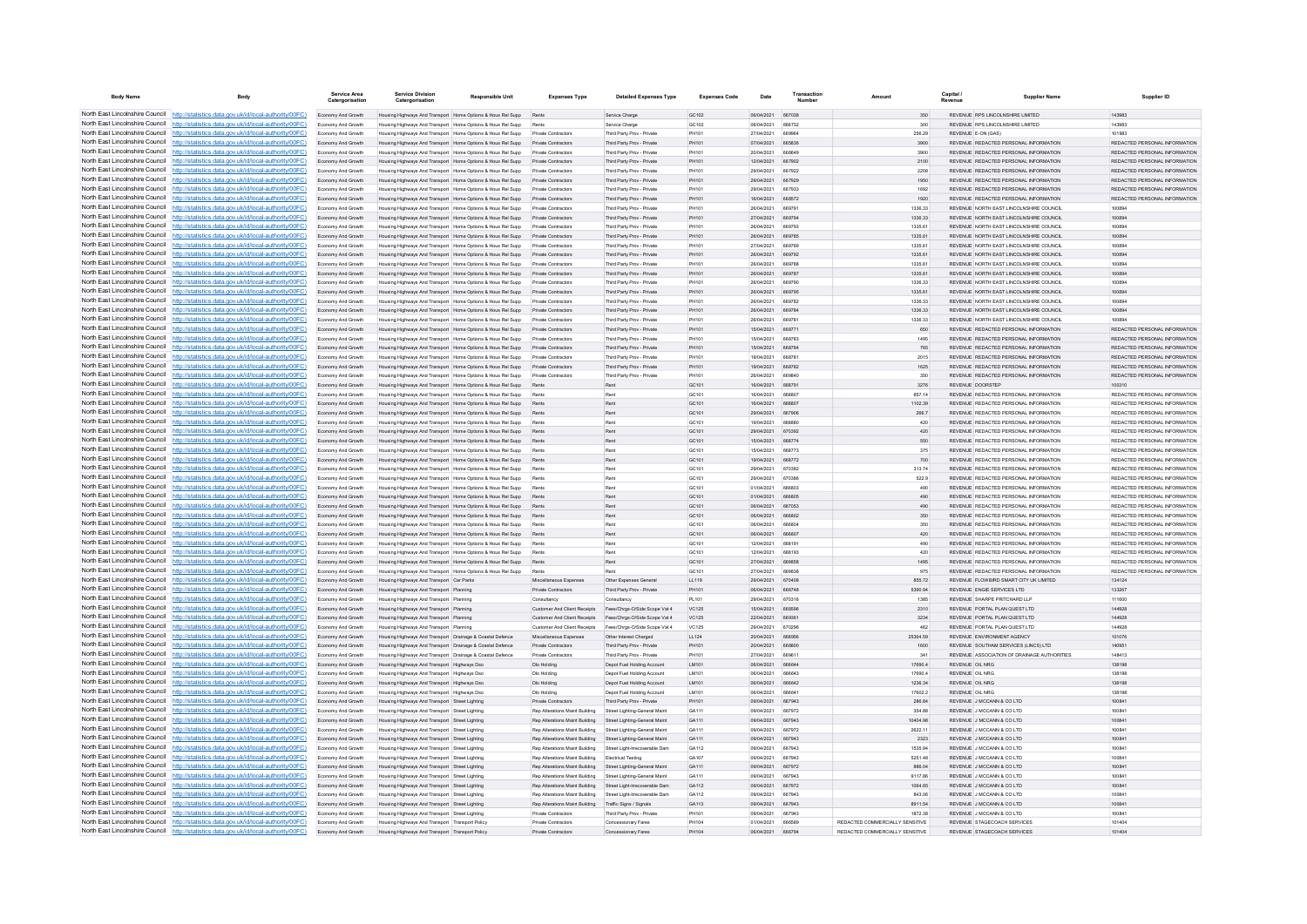| <b>Body Name</b>                                                   | Body                                                                                                                                                                               | Service Area<br>Catergorisation          | <b>Service Division</b><br>Catergorisation                                                                                 | <b>Responsible Unit</b>                                                         | <b>Expenses Type</b>                                             | <b>Detailed Expenses Type</b>                            | <b>Expenses Code</b> | Date                     | Transactio<br>Number    | Amount                          | Capital                | <b>Supplier Name</b>                                                               | Supplier ID                                                    |
|--------------------------------------------------------------------|------------------------------------------------------------------------------------------------------------------------------------------------------------------------------------|------------------------------------------|----------------------------------------------------------------------------------------------------------------------------|---------------------------------------------------------------------------------|------------------------------------------------------------------|----------------------------------------------------------|----------------------|--------------------------|-------------------------|---------------------------------|------------------------|------------------------------------------------------------------------------------|----------------------------------------------------------------|
|                                                                    | North East Lincolnshire Council http://statistics.data.gov.uk/id/local-authority/00FC)                                                                                             | Economy And Growth                       | Housing Highways And Transport Home Options & Hous Rel Supp                                                                |                                                                                 | Rents                                                            | Service Charge                                           | GC102                | 06/04/2021               | 667038                  | 350                             |                        | REVENUE RPS LINCOLNSHIRE LIMITED                                                   | 143983                                                         |
|                                                                    | North East Lincolnshire Council http://statistics.data.gov.uk/id/local-authority/00FC)                                                                                             | Economy And Growth                       | Housing Highways And Transport Home Options & Hous Rel Supp                                                                |                                                                                 | Rents                                                            | Service Charge                                           | GC102                | 06/04/2021               | <b>BRR732</b>           | 300                             |                        | REVENUE RPS LINCOLNSHIRE LIMITED                                                   | 143983                                                         |
|                                                                    | North East Lincolnshire Council   http://statistics.data.gov.uk/id/local-authority/00FC)                                                                                           | Economy And Growth                       | Housing Highways And Transport Home Options & Hous Rel Supp                                                                |                                                                                 | Private Contractors                                              | Third Party Prov - Private                               | PH101                | 27/04/2021               | <b>BROOR</b>            | 256.29                          |                        | REVENUE F-ON (GAS)                                                                 | 101983                                                         |
|                                                                    | North East Lincolnshire Council http://statistics.data.gov.uk/id/local-authority/00FC)                                                                                             | Economy And Growth                       |                                                                                                                            | Housing Highways And Transport Home Options & Hous Rel Supp Private Contractors |                                                                  | Third Party Proy - Private                               | PH101                | 07/04/2021               | 665836                  | 3900                            |                        | REVENUE REDACTED PERSONAL INFORMATION                                              | REDACTED PERSONAL INFORMATION                                  |
|                                                                    | North East Lincolnshire Council http://statistics.data.gov.uk/id/local-authority/00FC)                                                                                             | Economy And Growth                       |                                                                                                                            | Housing Highways And Transport Home Options & Hous Rel Supp Private Contractors |                                                                  | Third Party Prov - Private                               | PH101                | 20/04/2021               | 668649                  | 3900                            |                        | REVENUE REDACTED PERSONAL INFORMATION                                              | REDACTED PERSONAL INFORMATION                                  |
|                                                                    | North East Lincolnshire Council http://statistics.data.gov.uk/id/local-authority/00FC)<br>North East Lincolnshire Council http://statistics.data.gov.uk/id/local-authority/00FC)   | Economy And Growth<br>Economy And Growth | Housing Highways And Transport Home Options & Hous Rel Supp                                                                | Housing Highways And Transport Home Options & Hous Rel Supp Private Contractors | Private Contractors                                              | Third Party Prov - Private<br>Third Party Prov - Private | PH101<br>PH101       | 12/04/2021<br>29/04/2021 | 667902<br>667922        | 2100<br>2208                    |                        | REVENUE REDACTED PERSONAL INFORMATION<br>REVENUE REDACTED PERSONAL INFORMATION.    | REDACTED PERSONAL INFORMATION<br>REDACTED PERSONAL INFORMATION |
| North East Lincolnshire Council                                    | http://statistics.data.gov.uk/id/local-authority/00FC)                                                                                                                             | Economy And Growth                       |                                                                                                                            | Housing Highways And Transport Home Options & Hous Rel Supp                     | Private Contractors                                              | Third Party Proy - Private                               | PH101                | 29/04/2021               | 667929                  | 1950                            |                        | REVENUE REDACTED PERSONAL INFORMATION                                              | REDACTED PERSONAL INFORMATION                                  |
| North East Lincolnshire Council                                    | http://statistics.data.gov.uk/id/local-authority/00FC)                                                                                                                             | Economy And Growth                       | Housing Highways And Transport Home Options & Hous Rel Supp                                                                |                                                                                 | <b>Private Contractors</b>                                       | Third Party Prov - Private                               |                      | 29/04/2021               |                         | 1692                            |                        | REVENUE REDACTED PERSONAL INFORMATION                                              | REDACTED PERSONAL INFORMATION                                  |
|                                                                    | North East Lincolnshire Council http://statistics.data.gov.uk/id/local-authority/00FC)                                                                                             | Economy And Growth                       | Housing Highways And Transport Home Options & Hous Rel Supp                                                                |                                                                                 | Private Contractors                                              | Third Party Proy - Private                               | PH101                | 16/04/2021               | BRB572                  | 1920                            |                        | REVENUE REDACTED PERSONAL INFORMATION                                              | REDACTED PERSONAL INFORMATION.                                 |
|                                                                    | North East Lincolnshire Council http://statistics.data.gov.uk/id/local-authority/00FC)                                                                                             | Fconomy And Growth                       | Housing Highways And Transport Home Onligns & Hous Rel Supp                                                                |                                                                                 | Private Contractors                                              | Third Party Prov - Private                               | <b>DH101</b>         | 26/04/2021               | A69791                  | 1336.33                         |                        | REVENUE NORTH FAST LINCOLNSHIRE COUNCIL                                            | 10080/                                                         |
|                                                                    | North East Lincolnshire Council http://statistics.data.gov.uk/id/local-authority/00FC)                                                                                             | Economy And Growth                       |                                                                                                                            | Housing Highways And Transport Home Options & Hous Rel Supp Private Contractors |                                                                  | Third Party Prov - Private                               | PH101                | 27/04/2021               | 669794                  | 1336.33                         |                        | REVENUE NORTH EAST LINCOLNSHIRE COUNCIL                                            | 100894                                                         |
|                                                                    | North East Lincolnshire Council http://statistics.data.gov.uk/id/local-authority/00FC)                                                                                             | Economy And Growth                       |                                                                                                                            | Housing Highways And Transport   Home Options & Hous Rel Supp                   | Private Contractors                                              | Third Party Prov - Private                               |                      | 26/04/2021               | 669793                  | 1335.61                         |                        | REVENUE NORTH EAST LINCOLNSHIRE COUNCIL                                            | 100894                                                         |
|                                                                    | North East Lincolnshire Council   http://statistics.data.gov.uk/id/local-authority/00FC)                                                                                           | Economy And Growth                       |                                                                                                                            | Housing Highways And Transport Home Options & Hous Rel Supp                     | Private Contractors                                              | Third Party Prov - Private                               | PH101                | 26/04/2021               | <b>BROZBR</b>           | 1335.61                         |                        | REVENUE NORTH FAST LINCOLNSHIRE COUNCIL                                            | 100894                                                         |
| North East Lincolnshire Council<br>North East Lincolnshire Council | http://statistics.data.gov.uk/id/local-authority/00FC)                                                                                                                             | Fronomy And Growth                       | Housing Highways And Transport Home Options & Hous Rel Supp                                                                |                                                                                 | Private Contractors<br>Private Contractors                       | Third Party Prov - Private                               | <b>DH101</b>         | 27/04/2021<br>26/04/2021 | <b>ARQ780</b><br>669792 | 1335.61<br>1335.61              |                        | REVENUE NORTH FAST LINCOLNSHIRE COUNCIL<br>REVENUE NORTH FAST LINCOLNSHIRE COUNCIL | 100894<br>100894                                               |
|                                                                    | tp://statistics.data.gov.uk/id/local-authority/00FC)<br>North East Lincolnshire Council http://statistics.data.gov.uk/id/local-authority/00FC)                                     | Economy And Growth<br>Economy And Growth | Housing Highways And Transport Home Options & Hous Rel Supp<br>Housing Highways And Transport Home Options & Hous Rel Supp |                                                                                 | Private Contractor                                               | Third Party Prov - Private<br>Third Party Prov - Private | PH101<br>PH101       | 26/04/2021               | <b>ARQ78I</b>           | 1335.61                         |                        | REVENUE NORTH EAST LINCOLNSHIRE COUNCIL                                            | 100894                                                         |
|                                                                    | North East Lincolnshire Council http://statistics.data.gov.uk/id/local-authority/00FC)                                                                                             | Economy And Growth                       | Housing Highways And Transport Home Options & Hous Rel Supp                                                                |                                                                                 | <b>Private Contractors</b>                                       | Third Party Proy - Private                               | PH101                | 26/04/2021               | 669787                  | 1335.61                         |                        | REVENUE NORTH FAST LINCOLNSHIRE COUNCIL                                            | 100894                                                         |
|                                                                    | North East Lincolnshire Council http://statistics.data.gov.uk/id/local-authority/00FC)                                                                                             | Economy And Growth                       |                                                                                                                            | Housing Highways And Transport   Home Options & Hous Rel Supp                   | Private Contractors                                              | Third Party Prov - Private                               | PH101                | 26/04/2021               | 669790                  | 1336.33                         |                        | REVENUE NORTH EAST LINCOLNSHIRE COUNCIL                                            | 100894                                                         |
|                                                                    | North East Lincolnshire Council http://statistics.data.gov.uk/id/local-authority/00FC)                                                                                             | Economy And Growth                       |                                                                                                                            | Housing Highways And Transport Home Options & Hous Rel Supp Private Contractors |                                                                  | Third Party Prov - Private                               | PH101                | 26/04/2021               | 669795                  | 1335.61                         |                        | REVENUE NORTH EAST LINCOLNSHIRE COUNCIL                                            | 100894                                                         |
|                                                                    | North East Lincolnshire Council http://statistics.data.gov.uk/id/local-authority/00FC)                                                                                             | Economy And Growth                       |                                                                                                                            | Housing Highways And Transport Home Options & Hous Rel Supp Private Contractors |                                                                  | Third Party Prov - Private                               | PH101                | 26/04/2021               | 669782                  | 1336.33                         |                        | REVENUE NORTH EAST LINCOLNSHIRE COUNCIL                                            | 100894                                                         |
|                                                                    | North East Lincolnshire Council   http://statistics.data.gov.uk/id/local-authority/00FC)                                                                                           | Economy And Growth                       |                                                                                                                            | Housing Highways And Transport Home Options & Hous Rel Supp                     | Private Contractors                                              | Third Party Proy - Private                               | PH101                | 26/04/2021               | 669784                  | 1336.33                         |                        | REVENUE NORTH FAST LINCOLNSHIRE COUNCIL.                                           | 100894                                                         |
| North East Lincolnshire Council                                    | http://statistics.data.gov.uk/id/local-authority/00FC)                                                                                                                             | Economy And Growth                       | Housing Highways And Transport Home Options & Hous Rel Supp                                                                |                                                                                 | Private Contractors                                              | Third Party Prov - Private                               | PH101                | 26/04/2021               | 669781                  | 1336.33                         |                        | REVENUE NORTH EAST LINCOLNSHIRE COUNCIL                                            | 100894                                                         |
| North East Lincolnshire Council                                    | http://statistics.data.gov.uk/id/local-authority/00FC)                                                                                                                             | Economy And Growth                       |                                                                                                                            | Housing Highways And Transport Home Options & Hous Rel Supp                     | Private Contractors                                              | Third Party Prov - Private                               | PH101                | 15/04/2021               |                         | 650                             |                        | REVENUE REDACTED PERSONAL INFORMATION                                              | REDACTED PERSONAL INFORMATION                                  |
|                                                                    | North East Lincolnshire Council http://statistics.data.gov.uk/id/local-authority/00FC)                                                                                             | Economy And Growth                       | Housing Highways And Transport Home Options & Hous Rel Supp                                                                |                                                                                 | Private Contractor                                               | Third Party Prov - Private                               | PH101                | 15/04/2021               | <b>ARR783</b>           | 1495                            |                        | REVENUE REDACTED PERSONAL INFORMATION                                              | REDACTED PERSONAL INFORMATION                                  |
|                                                                    | North East Lincolnshire Council http://statistics.data.gov.uk/id/local-authority/00FC)<br>North East Lincolnshire Council http://statistics.data.gov.uk/id/local-authority/00FC)   | Economy And Growth                       | Housing Highways And Transport Home Options & Hous Rel Supp                                                                | Housing Highways And Transport Home Options & Hous Rel Supp                     | Private Contractors<br>Private Contractors                       | Third Party Prov - Private<br>Third Party Prov - Private | PH101<br>PH101       | 15/04/2021<br>19/04/2021 | <b>BRR7RA</b><br>668781 | 765<br>2015                     |                        | REVENUE REDACTED PERSONAL INFORMATION<br>REVENUE REDACTED PERSONAL INFORMATION     | REDACTED PERSONAL INFORMATION<br>REDACTED PERSONAL INFORMATION |
|                                                                    | North East Lincolnshire Council http://statistics.data.gov.uk/id/local-authority/00FC)                                                                                             | Economy And Growth<br>Economy And Growth |                                                                                                                            | Housing Highways And Transport Home Options & Hous Rel Supp Private Contractors |                                                                  | Third Party Prov - Private                               | PH101                | 19/04/2021               | 668782                  | 1625                            |                        | REVENUE REDACTED PERSONAL INFORMATION                                              | REDACTED PERSONAL INFORMATION                                  |
|                                                                    | North East Lincolnshire Council http://statistics.data.gov.uk/id/local-authority/00FC)                                                                                             | Economy And Growth                       | Housing Highways And Transport Home Options & Hous Rel Supp                                                                |                                                                                 | Private Contractors                                              | Third Party Prov - Private                               | <b>DH101</b>         | 26/04/2021               | <b>BROBAN</b>           | 350                             |                        | REVENUE REDACTED PERSONAL INFORMATION                                              | REDACTED PERSONAL INFORMATION                                  |
|                                                                    | North East Lincolnshire Council http://statistics.data.gov.uk/id/local-authority/00FC)                                                                                             | Economy And Growth                       | Housing Highways And Transport Home Options & Hous Rel Supp                                                                |                                                                                 | Rents                                                            | Rent                                                     | GC101                | 16/04/2021               | 668791                  | 3276                            |                        | REVENUE DOORSTEP                                                                   | 100310                                                         |
| North East Lincolnshire Council                                    | http://statistics.data.gov.uk/id/local-authority/00FC)                                                                                                                             | Economy And Growth                       | Housing Highways And Transport Home Options & Hous Rel Supp                                                                |                                                                                 |                                                                  | Ren                                                      | GC101                | 16/04/2021               | 66880                   | 857 14                          |                        | REVENUE REDACTED PERSONAL INFORMATION                                              | REDACTED PERSONAL INFORMATION                                  |
|                                                                    | North East Lincolnshire Council http://statistics.data.gov.uk/id/local-authority/00FC)                                                                                             | Economy And Growth                       | Housing Highways And Transport Home Options & Hous Rel Supp                                                                |                                                                                 | Rents                                                            | Ren                                                      | GC101                | 16/04/2021               | 668803                  | 1102.39                         |                        | REVENUE REDACTED PERSONAL INFORMATION                                              | REDACTED PERSONAL INFORMATION                                  |
|                                                                    | North East Lincolnshire Council http://statistics.data.gov.uk/id/local-authority/00FC)                                                                                             | Economy And Growth                       | Housing Highways And Transport Home Options & Hous Rel Supp                                                                |                                                                                 | Pant                                                             | Rent                                                     | GC101                | 20/04/2021               | 667906                  | 266.7                           |                        | REVENUE REDACTED PERSONAL INFORMATION                                              | REDACTED PERSONAL INFORMATION                                  |
|                                                                    | North East Lincolnshire Council http://statistics.data.gov.uk/id/local-authority/00FC)                                                                                             | Economy And Growth                       | Housing Highways And Transport Home Options & Hous Rel Supp                                                                |                                                                                 | Rent                                                             | Rent                                                     | GC101                | 19/04/2021               | econon                  | 420                             |                        | REVENUE REDACTED PERSONAL INFORMATION                                              | REDACTED PERSONAL INFORMATION                                  |
|                                                                    | North East Lincolnshire Council   http://statistics.data.gov.uk/id/local-authority/00FC)                                                                                           | Economy And Growth                       | Housing Highways And Transport Home Options & Hous Rel Supp                                                                |                                                                                 | Rents                                                            | Ren                                                      | GC101                | 29/04/2021               | 670392                  | 420                             |                        | REVENUE REDACTED PERSONAL INFORMATION                                              | REDACTED PERSONAL INFORMATION                                  |
|                                                                    | North East Lincolnshire Council http://statistics.data.gov.uk/id/local-authority/00FC)                                                                                             | Economy And Growth                       |                                                                                                                            | Housing Highways And Transport Home Options & Hous Rel Supp                     |                                                                  | Ren                                                      | GC101                | 15/04/2021               | 668774                  | 550                             |                        | REVENUE REDACTED PERSONAL INFORMATION                                              | REDACTED PERSONAL INFORMATION                                  |
|                                                                    | North East Lincolnshire Council http://statistics.data.gov.uk/id/local-authority/00FC)<br>North East Lincolnshire Council http://statistics.data.gov.uk/id/local-authority/00FC)   | Economy And Growth                       | Housing Highways And Transport Home Options & Hous Rel Supp<br>Housing Highways And Transport Home Options & Hous Rel Supp |                                                                                 | Rent<br>Rents                                                    | Ren                                                      | GC101<br>GC101       | 15/04/2021<br>19/04/2021 | 668773<br>668772        | 375<br>700                      |                        | REVENUE REDACTED PERSONAL INFORMATION<br>REVENUE REDACTED PERSONAL INFORMATION     | REDACTED PERSONAL INFORMATION<br>REDACTED PERSONAL INFORMATION |
| North East Lincolnshire Council                                    | http://statistics.data.gov.uk/id/local-authority/00EC)                                                                                                                             | Economy And Growth<br>Economy And Growth | Housing Highways And Transport Home Options & Hous Rel Supp                                                                |                                                                                 | Rents                                                            | Rent                                                     | GC101                | 29/04/2021               | 670382                  | 313.74                          |                        | REVENUE REDACTED PERSONAL INFORMATION                                              | REDACTED PERSONAL INFORMATION                                  |
|                                                                    | North East Lincolnshire Council http://statistics.data.gov.uk/id/local-authority/00FC)                                                                                             | Economy And Growth                       | Housing Highways And Transport Home Options & Hous Rel Supp                                                                |                                                                                 |                                                                  | Ren                                                      | GC101                | 29/04/2021               | 670386                  | 522.9                           |                        | REVENUE REDACTED PERSONAL INFORMATION                                              | REDACTED PERSONAL INFORMATION                                  |
|                                                                    | North East Lincolnshire Council http://statistics.data.gov.uk/id/local-authority/00FC)                                                                                             | Economy And Growth                       | Housing Highways And Transport Home Options & Hous Rel Supp                                                                |                                                                                 | Rent                                                             | Rent                                                     | GC101                | 01/04/2021               | <b>BRARO3</b>           | 490                             |                        | REVENUE REDACTED PERSONAL INFORMATION                                              | REDACTED PERSONAL INFORMATION                                  |
|                                                                    | North East Lincolnshire Council http://statistics.data.gov.uk/id/local-authority/00FC)                                                                                             | Economy And Growth                       | Housing Highways And Transport Home Options & Hous Rel Supp                                                                |                                                                                 | Rents                                                            | Rent                                                     | GC101                | 01/04/2021               | <b>BRAROS</b>           | 490                             |                        | REVENUE REDACTED PERSONAL INFORMATION                                              | REDACTED PERSONAL INFORMATION                                  |
|                                                                    | North East Lincolnshire Council http://statistics.data.gov.uk/id/local-authority/00FC)                                                                                             | Economy And Growth                       | Housing Highways And Transport Home Options & Hous Rel Supp                                                                |                                                                                 | Rents                                                            | Ren                                                      | GC101                | 06/04/2021               | 667053                  | 490                             |                        | REVENUE REDACTED PERSONAL INFORMATION                                              | REDACTED PERSONAL INFORMATION                                  |
|                                                                    | North East Lincolnshire Council http://statistics.data.gov.uk/id/local-authority/00FC)                                                                                             | Economy And Growth                       |                                                                                                                            | Housing Highways And Transport Home Options & Hous Rel Supp                     |                                                                  | Ren                                                      | GC101                | 06/04/2021               | 666802                  | 350                             |                        | REVENUE REDACTED PERSONAL INFORMATION                                              | REDACTED PERSONAL INFORMATION                                  |
|                                                                    | North East Lincolnshire Council http://statistics.data.gov.uk/id/local-authority/00FC)                                                                                             | Economy And Growth                       | Housing Highways And Transport Home Options & Hous Rel Supp                                                                |                                                                                 | Pant                                                             | Rent                                                     | GC101                | 06/04/2021               | <b>BRRROA</b>           | 350                             |                        | REVENUE REDACTED PERSONAL INFORMATION                                              | REDACTED PERSONAL INFORMATION                                  |
| North East Lincolnshire Council                                    | http://statistics.data.gov.uk/id/local-authority/00EC)                                                                                                                             | Economy And Growth                       | Housing Highways And Transport Home Options & Hous Rel Supp                                                                |                                                                                 | Rents                                                            | Rent                                                     | GC101                | 06/04/2021               | 666807                  | 420                             |                        | REVENUE REDACTED PERSONAL INFORMATION                                              | REDACTED PERSONAL INFORMATION                                  |
|                                                                    | North East Lincolnshire Council   http://statistics.data.gov.uk/id/local-authority/00FC)<br>North East Lincolnshire Council http://statistics.data.gov.uk/id/local-authority/00FC) | Economy And Growth<br>Economy And Growth | Housing Highways And Transport Home Options & Hous Rel Supp<br>Housing Highways And Transport Home Options & Hous Rel Supp |                                                                                 | Rents                                                            | Rent<br>Rent                                             | GC101<br>GC101       | 12/04/2021<br>12/04/2021 | 668191<br><b>BRR103</b> | 490<br>420                      |                        | REVENUE REDACTED PERSONAL INFORMATION<br>REVENUE REDACTED PERSONAL INFORMATION     | REDACTED PERSONAL INFORMATION<br>REDACTED PERSONAL INFORMATION |
|                                                                    | North East Lincolnshire Council http://statistics.data.gov.uk/id/local-authority/00FC)                                                                                             | Economy And Growth                       | Housing Highways And Transport Home Options & Hous Rel Supp                                                                |                                                                                 | Rents                                                            | Rent                                                     | GC101                | 27/04/2021               | <b>BROBSB</b>           | 1495                            |                        | <b>PEVENHE PEDACTED PERSONAL INFORMATION</b>                                       | <b>PEDACTED PERSONAL INFORMATION</b>                           |
|                                                                    | North East Lincolnshire Council   http://statistics.data.gov.uk/id/local-authority/00FC)                                                                                           | Economy And Growth                       | Housing Highways And Transport Home Options & Hous Rel Supp                                                                |                                                                                 | Rents                                                            | <b>Dan</b>                                               | GC101                | 27/04/2021               | <b>BROB3B</b>           | 975                             |                        | REVENUE REDACTED PERSONAL INFORMATION                                              | REDACTED PERSONAL INFORMATION                                  |
|                                                                    | North East Lincolnshire Council http://statistics.data.gov.uk/id/local-authority/00FC)                                                                                             | Economy And Growth                       | Housing Highways And Transport Car Parks                                                                                   |                                                                                 | Miscellaneous Expenses                                           | Other Expenses General                                   | LL119                | 29/04/2021               | 670408                  | 855.72                          |                        | REVENUE FLOWBIRD SMART CITY UK LIMITED                                             | 134124                                                         |
|                                                                    | North East Lincolnshire Council http://statistics.data.gov.uk/id/local-authority/00FC)                                                                                             | Economy And Growth                       | Housing Highways And Transport Planning                                                                                    |                                                                                 | Private Contractors                                              | Third Party Prov - Private                               | PH101                | 06/04/2021               | 666748                  | 5390.94                         |                        | REVENUE ENGIE SERVICES LTD                                                         | 133267                                                         |
|                                                                    | North East Lincolnshire Council http://statistics.data.gov.uk/id/local-authority/00FC)                                                                                             | Economy And Growth                       | Housing Highways And Transport Planning                                                                                    |                                                                                 | Consultancy                                                      | Consultancy                                              | PL101                | 29/04/2021               | 670316                  | 1385                            |                        | REVENUE SHARPE PRITCHARD LLP                                                       | 111600                                                         |
| North East Lincolnshire Council                                    | http://statistics.data.gov.uk/id/local-authority/00FC)                                                                                                                             | Economy And Growth                       | Housing Highways And Transport Planning                                                                                    |                                                                                 | <b>Customer And Client Receipts</b>                              | Fees/Chros-O/Side Scope Vat 4                            | VC125                | 15/04/2021               | 668596                  | 2310                            |                        | REVENUE PORTAL PLAN QUEST LTD                                                      | 144928                                                         |
|                                                                    | North East Lincolnshire Council http://statistics.data.gov.uk/id/local-authority/00FC)                                                                                             | Economy And Growth                       | Housing Highways And Transport Planning                                                                                    |                                                                                 | <b>Customer And Client Receipts</b>                              | Fees/Chrgs-O/Side Scope Vat 4                            | <b>VC125</b>         | 22/04/2021               | 66936                   | 3234                            |                        | REVENUE PORTAL PLAN QUEST LTD                                                      | 144928                                                         |
|                                                                    | North East Lincolnshire Council http://statistics.data.gov.uk/id/local-authority/00FC)<br>North East Lincolnshire Council http://statistics.data.gov.uk/id/local-authority/00FC)   | Economy And Growth                       | Housing Highways And Transport Planning                                                                                    |                                                                                 | <b>Customer And Client Receipts</b>                              | Fees/Chrgs-O/Side Scope Vat 4                            | <b>VC125</b>         | 29/04/2021               | 670296                  | 462                             |                        | REVENUE PORTAL PLAN QUEST LTD                                                      | 144928                                                         |
|                                                                    | North East Lincolnshire Council http://statistics.data.gov.uk/id/local-authority/00FC)                                                                                             | Economy And Growth                       | Housing Highways And Transport Drainage & Coastal Defence<br>Housing Highways And Transport Drainage & Coastal Defence     |                                                                                 | Miscellaneous Expenses<br>Private Contractors                    | Other Interest Charged<br>Third Party Proy - Private     | LL124<br>PH101       | 20/04/2021<br>20/04/2021 | 668956<br>668800        | 25364.59                        |                        | REVENUE ENVIRONMENT AGENCY<br>REVENUE SOUTHAM SERVICES (LINCS) LTD                 | 101076                                                         |
|                                                                    | North East Lincolnshire Council http://statistics.data.gov.uk/id/local-authority/00FC)                                                                                             | Economy And Growth<br>Economy And Growth | Housing Highways And Transport Drainage & Coastal Defence                                                                  |                                                                                 | Private Contractors                                              | Third Party Prov - Private                               | PH101                | 27/04/2021               | 66961                   | 1600                            |                        | REVENUE ASSOCIATION OF DRAINAGE AUTHORITIES                                        | 140951<br>148413                                               |
|                                                                    | North East Lincolnshire Council http://statistics.data.gov.uk/id/local-authority/00FC)                                                                                             | Economy And Growth                       | Housing Highways And Transport Highways Dso                                                                                |                                                                                 | Dlo Holding                                                      | Depot Fuel Holding Account                               | LM101                | 06/04/2021               | 666644                  | 17690.4                         | <b>REVENUE OIL NRG</b> |                                                                                    | 138198                                                         |
|                                                                    | North East Lincolnshire Council http://statistics.data.gov.uk/id/local-authority/00FC)                                                                                             | Economy And Growth                       | Housing Highways And Transport Highways Dso                                                                                |                                                                                 | Dlo Holding                                                      | Depot Fuel Holding Account                               | LM101                | 06/04/2021               | <b>BRARA3</b>           | 17690.4                         | REVENUE OIL NRG        |                                                                                    | 138198                                                         |
|                                                                    | North East Lincolnshire Council http://statistics.data.gov.uk/id/local-authority/00FC)                                                                                             | Economy And Growth                       | Housing Highways And Transport Highways Dso                                                                                |                                                                                 | Dlo Holding                                                      | Depot Fuel Holding Account                               | <b>IM101</b>         | 06/04/2021               | 666642                  | 1236.34                         | REVENUE OIL NRG        |                                                                                    | 138198                                                         |
|                                                                    | North East Lincolnshire Council http://statistics.data.gov.uk/id/local-authority/00FC)                                                                                             | Economy And Growth                       | Housing Highways And Transport Highways Dsc                                                                                |                                                                                 | Dlo Holding                                                      | Depot Fuel Holding Accoun                                | LM101                | 06/04/2021               | 666641                  | 17602.2                         | REVENUE OIL NRG        |                                                                                    | 138198                                                         |
|                                                                    | North East Lincolnshire Council http://statistics.data.gov.uk/id/local-authority/00FC)                                                                                             | Economy And Growth                       | Housing Highways And Transport Street Lighting                                                                             |                                                                                 | Private Contracto                                                | Third Party Prov - Private                               | PH101                | 09/04/2021               | <b>BR7043</b>           | 286.84                          |                        | REVENUE J MCCANN & CO LTD                                                          | 100841                                                         |
|                                                                    | North East Lincolnshire Council   http://statistics.data.gov.uk/id/local-authority/00FC)                                                                                           | Fronomy And Growth                       | Housing Highways And Transport Street Lighting                                                                             |                                                                                 | Ren Alterations Maint Ruilding Street Lighting-General Maint     |                                                          | GA111                | 09/04/2021               | 667972                  | 354.88                          |                        | REVENUE J MCCANN & CO LTD                                                          | 100841                                                         |
|                                                                    | North East Lincolnshire Council http://statistics.data.gov.uk/id/local-authority/00FC)                                                                                             | Economy And Growth                       | Housing Highways And Transport Street Lighting                                                                             |                                                                                 | Rep Alterations Maint Building Street Lighting-General Maint     |                                                          | GA111                | 09/04/2021               | 667943                  | 10404.98                        |                        | REVENUE J MCCANN & CO LTD                                                          | 100841                                                         |
|                                                                    | North East Lincolnshire Council http://statistics.data.gov.uk/id/local-authority/00FC)                                                                                             | Economy And Growth                       | Housing Highways And Transport Street Lighting                                                                             |                                                                                 | Rep Alterations Maint Building Street Lighting-General Maint     |                                                          | GA111                | 09/04/2021               | 667972                  | 2622.11                         |                        | REVENUE J MCCANN & CO LTD                                                          | 10084                                                          |
| North East Lincolnshire Council                                    | North East Lincolnshire Council http://statistics.data.gov.uk/id/local-authority/00FC)<br>http://statistics.data.gov.uk/id/local-authority/00FC)                                   | Economy And Growth                       | Housing Highways And Transport Street Lighting                                                                             |                                                                                 | Rep Alterations Maint Building                                   | Street Lighting-General Maint                            | GA111                | 09/04/2021               | 667943<br>667943        | 2323                            |                        | REVENUE J MCCANN & CO LTD<br>REVENUE J MCCANN & CO LTD                             | 100841                                                         |
|                                                                    | North East Lincolnshire Council http://statistics.data.gov.uk/id/local-authority/00FC)                                                                                             | Economy And Growth<br>Economy And Growth | Housing Highways And Transport Street Lighting<br>Housing Highways And Transport Street Lighting                           |                                                                                 | Rep Alterations Maint Building<br>Rep Alterations Maint Building | Street Light-Irrecoverable Dam<br>Electrical Testing     | GA112<br>GA107       | 09/04/2021<br>09/04/2021 | 667943                  | 1535.94<br>5251.48              |                        | REVENUE J MCCANN & CO LTD                                                          | 100841<br>10084                                                |
|                                                                    | North East Lincolnshire Council http://statistics.data.gov.uk/id/local-authority/00FC)                                                                                             | Economy And Growth                       | Housing Highways And Transport Street Lighting                                                                             |                                                                                 | <b>Rep Alterations Maint Building</b>                            | Street Lighting-General Maint                            | GA111                | 09/04/2021               | 667972                  | 886.04                          |                        | REVENUE J MCCANN & CO LTD                                                          | 10084                                                          |
|                                                                    | North East Lincolnshire Council http://statistics.data.gov.uk/id/local-authority/00FC)                                                                                             | Economy And Growth                       | Housing Highways And Transport Street Lighting                                                                             |                                                                                 | Rep Alterations Maint Building                                   | Street Lighting-General Maint                            | GA111                | 09/04/2021               | 667943                  | 9117 86                         |                        | REVENUE J MCCANN & CO LTD                                                          | 100841                                                         |
|                                                                    | North East Lincolnshire Council http://statistics.data.gov.uk/id/local-authority/00FC)                                                                                             | Economy And Growth                       | Housing Highways And Transport Street Lighting                                                                             |                                                                                 | Rep Alterations Maint Building Street Light-Irrecoverable Dam    |                                                          | GA112                | 09/04/2021               | 667972                  | 1064.65                         |                        | REVENUE J MCCANN & CO LTD                                                          | 100841                                                         |
|                                                                    | North East Lincolnshire Council http://statistics.data.gov.uk/id/local-authority/00FC)                                                                                             | Economy And Growth                       | Housing Highways And Transport Street Lighting                                                                             |                                                                                 | Rep Alterations Maint Building Street Light-Irrecoverable Dam    |                                                          | GA112                | 09/04/2021               | 667943                  | 843.06                          |                        | REVENUE J MCCANN & CO LTD                                                          | 10084                                                          |
|                                                                    | North East Lincolnshire Council http://statistics.data.gov.uk/id/local-authority/00FC)                                                                                             | Economy And Growth                       | Housing Highways And Transport Street Lighting                                                                             |                                                                                 | Rep Alterations Maint Building Traffic Signs / Signals           |                                                          | GA113                | 09/04/2021               | 667943                  | 8911.54                         |                        | REVENUE J MCCANN & CO LTD                                                          | 10084                                                          |
|                                                                    | North East Lincolnshire Council http://statistics.data.gov.uk/id/local-authority/00FC)                                                                                             | Economy And Growth                       | Housing Highways And Transport Street Lighting                                                                             |                                                                                 | <b>Private Contractors</b>                                       | Third Party Prov - Private                               | PH101                | 09/04/2021               | 667943                  | 1872 38                         |                        | REVENUE J MCCANN & CO LTD                                                          | 100841                                                         |
|                                                                    | North East Lincolnshire Council http://statistics.data.gov.uk/id/local-authority/00FC)                                                                                             | Economy And Growth                       | Housing Highways And Transport Transport Policy                                                                            |                                                                                 | <b>Private Contractors</b>                                       | Concessionary Fares                                      | PH104                | 01/04/2021               | 666589                  | REDACTED COMMERCIALLY SENSITIVE |                        | REVENUE STAGECOACH SERVICES                                                        | 101404                                                         |
|                                                                    | North East Lincolnshire Council http://statistics.data.gov.uk/id/local-authority/00FC)                                                                                             | Economy And Growth                       | Housing Highways And Transport Transport Policy                                                                            |                                                                                 | Private Contractors                                              | Concessionary Fares                                      |                      | 06/04/2021               |                         | REDACTED COMMERCIALLY SENSITIVE |                        | REVENUE STAGECOACH SERVICES                                                        | 101404                                                         |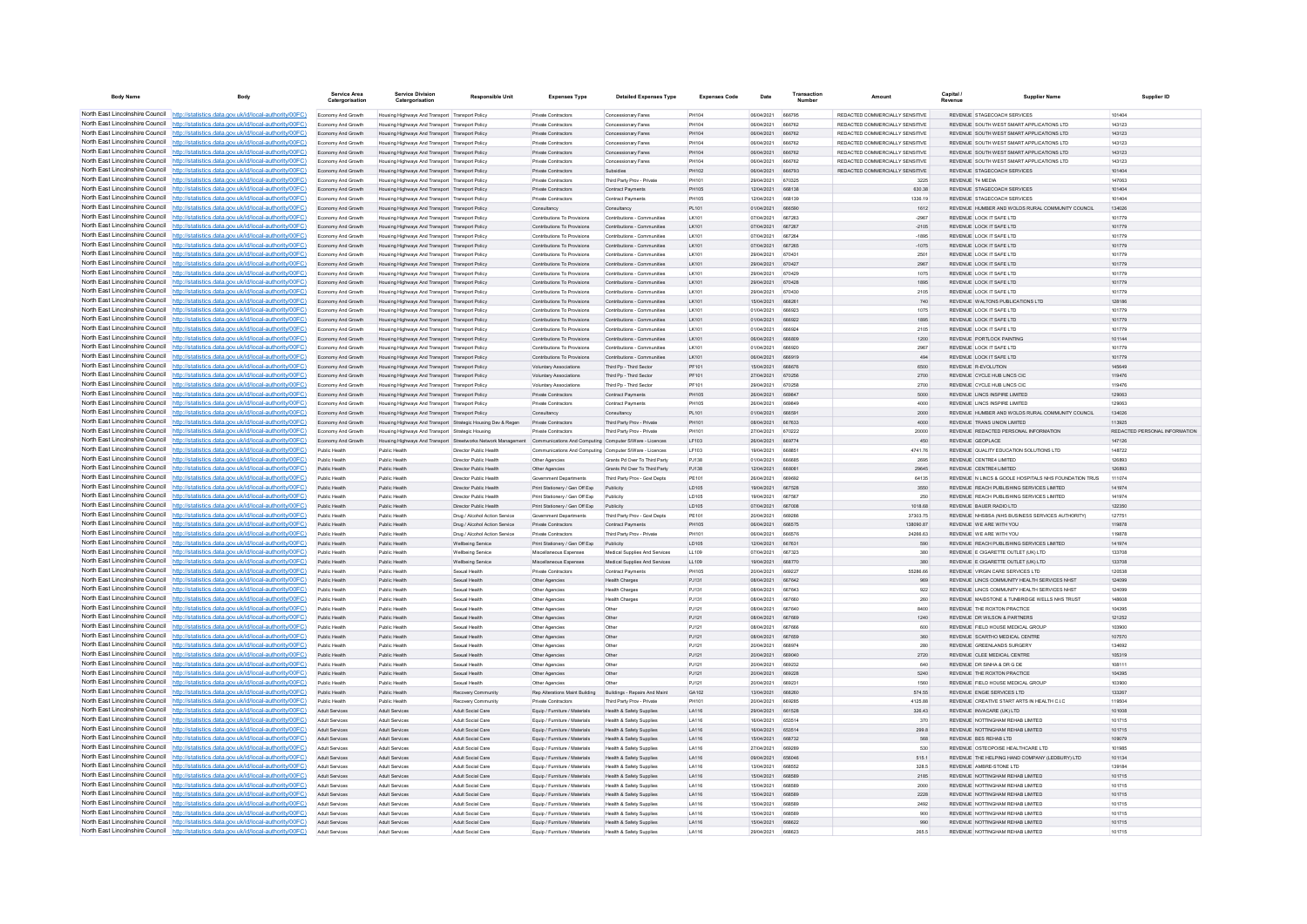| <b>Body Name</b>                | Body                                                                                                                                                                               | Service Area<br>Catergorisation          | <b>Service Division</b><br>Catergorisation                                                         | <b>Responsible Unit</b>                                                                                               | <b>Expenses Type</b>                                           | <b>Detailed Expenses Type</b>                                  | <b>Expenses Code</b>         | Date                            | Transaction                    | Amount                                                             | Capital          | <b>Supplier Name</b>                                                                   | Supplier ID                   |
|---------------------------------|------------------------------------------------------------------------------------------------------------------------------------------------------------------------------------|------------------------------------------|----------------------------------------------------------------------------------------------------|-----------------------------------------------------------------------------------------------------------------------|----------------------------------------------------------------|----------------------------------------------------------------|------------------------------|---------------------------------|--------------------------------|--------------------------------------------------------------------|------------------|----------------------------------------------------------------------------------------|-------------------------------|
|                                 | North East Lincolnshire Council http://statistics.data.gov.uk/id/local-authority/00FC)                                                                                             | Economy And Growth                       | Housing Highways And Transport Transport Policy                                                    |                                                                                                                       | <b>Private Contractors</b>                                     | Concessionary Fares                                            | PH104                        | 06/04/2021                      | 666795                         | REDACTED COMMERCIALLY SENSITIVE                                    |                  | REVENUE STAGECOACH SERVICES                                                            | 101404                        |
|                                 | North East Lincolnshire Council http://statistics.data.gov.uk/id/local-authority/00FC)                                                                                             | Economy And Growth                       | Housing Highways And Transport Transport Policy                                                    |                                                                                                                       | Private Contractors                                            | Concessionary Fares                                            | PH104                        | 06/04/2021                      | 666762                         | REDACTED COMMERCIALLY SENSITIVE                                    |                  | REVENUE SOUTH WEST SMART APPLICATIONS LTD                                              | 143123                        |
|                                 | North East Lincolnshire Council http://statistics.data.gov.uk/id/local-authority/00FC)                                                                                             | Economy And Growth                       | Housing Highways And Transport Transport Policy                                                    |                                                                                                                       | Private Contractor                                             | Concessionary Fares                                            | PH104                        | 06/04/2021                      | 666762                         | REDACTED COMMERCIALLY SENSITIVE                                    |                  | REVENUE SOUTH WEST SMART APPLICATIONS LTD                                              | 143123                        |
|                                 | North East Lincolnshire Council http://statistics.data.gov.uk/id/local-authority/00FC)                                                                                             | Economy And Growth                       | Housing Highways And Transport Transport Policy                                                    |                                                                                                                       | Private Contractors                                            | Concessionary Fares                                            | <b>PH104</b>                 | 06/04/2021                      | 666762                         | REDACTED COMMERCIALLY SENSITIVE                                    |                  | REVENUE SOUTH WEST SMART APPLICATIONS LTD.                                             | 143123                        |
|                                 | North East Lincolnshire Council http://statistics.data.gov.uk/id/local-authority/00FC)<br>North East Lincolnshire Council   http://statistics.data.gov.uk/id/local-authority/00FC) | Economy And Growth<br>Economy And Growth | Housing Highways And Transport Transport Policy<br>Housing Highways And Transport Transport Policy |                                                                                                                       | <b>Private Contractors</b><br>Private Contractors              | Concessionary Fares<br>Concessionary Fares                     | PH104<br>PH104               | 06/04/2021 666762<br>06/04/2021 | 666762                         | REDACTED COMMERCIALLY SENSITIVE<br>REDACTED COMMERCIALLY SENSITIVE |                  | REVENUE SOUTH WEST SMART APPLICATIONS LTD<br>REVENUE SOUTH WEST SMART APPLICATIONS LTD | 143123<br>143123              |
|                                 | North East Lincolnshire Council http://statistics.data.gov.uk/id/local-authority/00FC)                                                                                             | Economy And Growth                       | Housing Highways And Transport Transport Policy                                                    |                                                                                                                       | <b>Private Contractors</b>                                     | Subsidies                                                      | PH102                        | 08/04/2021                      | 666793                         | REDACTED COMMERCIALLY SENSITIVE                                    |                  | REVENUE STAGECOACH SERVICES                                                            | 101404                        |
|                                 | North East Lincolnshire Council http://statistics.data.gov.uk/id/local-authority/00FC)                                                                                             | Economy And Growth                       | Housing Highways And Transport Transport Policy                                                    |                                                                                                                       | Private Contractors                                            | Third Party Prov - Private                                     | PH101                        | 29/04/2021                      | 670325                         | 3225                                                               | REVENUE T4 MEDIA |                                                                                        | 147063                        |
| North East Lincolnshire Council | http://statistics.data.gov.uk/id/local-authority/00FC)                                                                                                                             | Economy And Growth                       | Housing Highways And Transport Transport Policy                                                    |                                                                                                                       | <b>Private Contractors</b>                                     | Contract Payments                                              | <b>PH105</b>                 | 12/04/2021                      | 668138                         | 630.38                                                             |                  | REVENUE STAGECOACH SERVICES                                                            | 101404                        |
| North East Lincolnshire Council | http://statistics.data.gov.uk/id/local-authority/00FC)                                                                                                                             | Economy And Growth                       | Housing Highways And Transport Transport Policy                                                    |                                                                                                                       | Private Contractor                                             | Contract Payments                                              | PH105                        | 12/04/2021                      | 668130                         | 1336.19                                                            |                  | REVENUE STAGECOACH SERVICES                                                            | 101404                        |
|                                 | North East Lincolnshire Council http://statistics.data.gov.uk/id/local-authority/00FC)                                                                                             | Economy And Growth                       | Housing Highways And Transport Transport Policy                                                    |                                                                                                                       | Consultancy                                                    | Consultancy                                                    | PL101                        | 01/04/2021                      | <b>BRR590</b>                  | 1612                                                               |                  | REVENUE HUMBER AND WOLDS RURAL COMMUNITY COUNCIL                                       | 134026                        |
|                                 | North East Lincolnshire Council http://statistics.data.gov.uk/id/local-authority/00FC)                                                                                             | Economy And Growth                       | Housing Highways And Transport Transport Policy                                                    |                                                                                                                       | Contributions To Provisions                                    | Contributions - Communities                                    | I K101                       | 07/04/2021                      | 667263                         | $-2967$                                                            |                  | REVENUE LOCK IT SAFE LTD                                                               | 101779                        |
|                                 | North East Lincolnshire Council http://statistics.data.gov.uk/id/local-authority/00FC)                                                                                             | Economy And Growth                       | Housing Highways And Transport Transport Policy                                                    |                                                                                                                       | Contributions To Provisions<br>Contributions To Provisions     | Contributions - Communities<br>Contributions - Communities     | LK101                        | 07/04/2021<br>07/04/2021        | 667267<br>667264               | $-2105$<br>$-1895$                                                 |                  | REVENUE LOCK IT SAFE LTD<br>REVENUE LOCK IT SAFE LTD                                   | 101779<br>101779              |
|                                 | North East Lincolnshire Council http://statistics.data.gov.uk/id/local-authority/00FC)<br>North East Lincolnshire Council http://statistics.data.gov.uk/id/local-authority/00FC)   | Economy And Growth<br>Economy And Growth | Housing Highways And Transport Transport Policy<br>Housing Highways And Transport Transport Policy |                                                                                                                       | Contributions To Provisions                                    | Contributions - Communities                                    | LK101<br>I K101              | 07/04/2021                      | 667265                         | $-1075$                                                            |                  | REVENUE LOCK IT SAFE LTD.                                                              | 101779                        |
| North East Lincolnshire Council | http://statistics.data.gov.uk/id/local-authority/00FC)                                                                                                                             | Economy And Growth                       | Housing Highways And Transport Transport Policy                                                    |                                                                                                                       | Contributions To Provisions                                    | Contributions - Communities                                    | I K101                       | 29/04/2021                      | 670431                         | 2501                                                               |                  | REVENUE LOCK IT SAFE LTD                                                               | 101779                        |
|                                 | North East Lincolnshire Council http://statistics.data.gov.uk/id/local-authority/00FC)                                                                                             | Economy And Growth                       | Housing Highways And Transport Transport Policy                                                    |                                                                                                                       | Contributions To Provisions                                    | Contributions - Communities                                    | LK101                        | 29/04/2021                      | 670427                         | 2967                                                               |                  | REVENUE LOCK IT SAFE LTD                                                               | 101779                        |
|                                 | North East Lincolnshire Council http://statistics.data.gov.uk/id/local-authority/00FC)                                                                                             | Economy And Growth                       | Housing Highways And Transport Transport Policy                                                    |                                                                                                                       | Contributions To Provisions                                    | Contributions - Communities                                    | LK101                        | 29/04/2021                      | 670420                         | 1075                                                               |                  | REVENUE LOCK IT SAFE LTD                                                               | 101779                        |
|                                 | North East Lincolnshire Council http://statistics.data.gov.uk/id/local-authority/00FC)                                                                                             | Economy And Growth                       | Housing Highways And Transport Transport Policy                                                    |                                                                                                                       | Contributions To Provisions                                    | Contributions - Communities                                    | I K101                       | 29/04/2021                      | 670428                         | 1895                                                               |                  | REVENUE LOCK IT SAFE LTD.                                                              | 101779                        |
|                                 | North East Lincolnshire Council   http://statistics.data.gov.uk/id/local-authority/00FC)                                                                                           | Economy And Growth                       | Housing Highways And Transport Transport Policy                                                    |                                                                                                                       | Contributions To Provisions                                    | Contributions - Communities                                    | I K101                       | 29/04/2021                      | 670430                         | 2105                                                               |                  | REVENUE LOCK IT SAFE LTD.                                                              | 101779                        |
|                                 | North East Lincolnshire Council http://statistics.data.gov.uk/id/local-authority/00FC)                                                                                             | Economy And Growth                       | Housing Highways And Transport Transport Policy                                                    |                                                                                                                       | Contributions To Provisions                                    | Contributions - Communities                                    | LK101                        | 15/04/2021<br>1104/2021         | 668261                         | 740                                                                |                  | REVENUE WALTONS PUBLICATIONS LTD                                                       | 128186                        |
|                                 | North East Lincolnshire Council   http://statistics.data.gov.uk/id/local-authority/00FC)<br>North East Lincolnshire Council http://statistics.data.gov.uk/id/local-authority/00FC) | Economy And Growth<br>Economy And Growth | Housing Highways And Transport Transport Policy<br>Housing Highways And Transport Transport Policy |                                                                                                                       | Contributions To Provisions<br>Contributions To Provisions     | Contributions - Communities<br>Contributions - Communities     | LK101<br>LK101               | 01/04/2021                      | <b>BRRO23</b><br>666922        | 1075<br>1895                                                       |                  | REVENUE LOCK IT SAFE LTD.<br>REVENUE LOCK IT SAFE LTD                                  | 101779<br>101779              |
| North East Lincolnshire Council | http://statistics.data.gov.uk/id/local-authority/00FC)                                                                                                                             | Economy And Growth                       | Housing Highways And Transport Transport Policy                                                    |                                                                                                                       | Contributions To Provisions                                    | Contributions - Communities                                    | LK101                        | 01/04/2021                      | 666924                         | 2105                                                               |                  | REVENUE LOCK IT SAFE LTD                                                               | 101779                        |
| North East Lincolnshire Council | http://statistics.data.gov.uk/id/local-authority/00FC)                                                                                                                             | Economy And Growth                       | Housing Highways And Transport Transport Policy                                                    |                                                                                                                       | Contributions To Provisions                                    | Contributions - Communities                                    | LK101                        | 06/04/2021                      | 666809                         | 1200                                                               |                  | REVENUE PORTLOCK PAINTING                                                              | 101144                        |
|                                 | North East Lincolnshire Council http://statistics.data.gov.uk/id/local-authority/00FC)                                                                                             | Fronomy And Growth                       | Housing Highways And Transport Transport Policy                                                    |                                                                                                                       | Contributions To Provisions                                    | Contributions - Communities                                    | I K101                       | 01/04/2021                      | 666920                         | 2967                                                               |                  | REVENUE LOCK IT SAFE LTD                                                               | 101779                        |
|                                 | North East Lincolnshire Council http://statistics.data.gov.uk/id/local-authority/00FC)                                                                                             | Economy And Growth                       | Housing Highways And Transport Transport Policy                                                    |                                                                                                                       | Contributions To Provisions                                    | Contributions - Communities                                    | LK101                        | 06/04/2021                      | 666919                         | 494                                                                |                  | REVENUE LOCK IT SAFE LTD                                                               | 101779                        |
|                                 | North East Lincolnshire Council http://statistics.data.gov.uk/id/local-authority/00FC)                                                                                             | Economy And Growth                       | Housing Highways And Transport Transport Policy                                                    |                                                                                                                       | <b>Voluntary Associations</b>                                  | Third Po - Third Sector                                        | PF101                        | 15/04/2021                      | 668676                         | 6500                                                               |                  | REVENUE R-EVOLUTION                                                                    | 145649                        |
|                                 | North East Lincolnshire Council http://statistics.data.gov.uk/id/local-authority/00FC)                                                                                             | Economy And Growth                       | Housing Highways And Transport Transport Policy                                                    |                                                                                                                       | Voluntary Associations                                         | Third Pp - Third Sector                                        | PF101                        | 27/04/2021                      | 670256                         | 2700                                                               |                  | REVENUE CYCLE HUB LINCS CIC                                                            | 119476                        |
| North East Lincolnshire Council | North East Lincolnshire Council http://statistics.data.gov.uk/id/local-authority/00FC)                                                                                             | Economy And Growth                       | Housing Highways And Transport Transport Policy                                                    |                                                                                                                       | <b>Voluntary Associations</b>                                  | Third Pn - Third Sector                                        | PF101                        | 29/04/2021                      | 670258                         | 2700                                                               |                  | REVENUE CYCLE HUB LINCS CIC.<br>REVENUE LINCS INSPIRE LIMITED                          | 119476                        |
|                                 | http://statistics.data.gov.uk/id/local-authority/00FC)<br>North East Lincolnshire Council http://statistics.data.gov.uk/id/local-authority/00FC)                                   | Economy And Growth<br>Economy And Growth | Housing Highways And Transport Transport Policy<br>Housing Highways And Transport Transport Policy |                                                                                                                       | <b>Private Contractors</b><br>Private Contractor               | <b>Contract Payments</b><br>Contract Payments                  | <b>PH105</b><br><b>PH105</b> | 26/04/2021<br>26/04/2021        | 669847                         | 5000<br>4000                                                       |                  | REVENUE LINCS INSPIRE LIMITED                                                          | 129063<br>129063              |
|                                 | North East Lincolnshire Council   http://statistics.data.gov.uk/id/local-authority/00FC)                                                                                           | Economy And Growth                       | Housing Highways And Transport Transport Policy                                                    |                                                                                                                       | Consultancy                                                    | Consultancy                                                    | PL101                        | 01/04/2021                      | <b>BRASQ1</b>                  | 2000                                                               |                  | REVENUE. HUMBER AND WOLDS RURAL COMMUNITY COUNCIL                                      | 134026                        |
|                                 | North East Lincolnshire Council http://statistics.data.gov.uk/id/local-authority/00FC)                                                                                             | Economy And Growth                       | Housing Highways And Transport Strategic Housing Dev & Regen                                       |                                                                                                                       | Private Contractors                                            | Third Party Prov - Private                                     | <b>PH101</b>                 | 08/04/2021                      | <b>BR7833</b>                  | A000                                                               |                  | <b>PEVENUE TRANS UNION LIMITED</b>                                                     | 113925                        |
|                                 | North East Lincolnshire Council http://statistics.data.gov.uk/id/local-authority/00FC)                                                                                             | Economy And Growth                       | Housing Highways And Transport Strategic Housing                                                   |                                                                                                                       | <b>Private Contractors</b>                                     | Third Party Prov - Private                                     | PH101                        | 27/04/2021                      | 670222                         | 20000                                                              |                  | REVENUE REDACTED PERSONAL INFORMATION                                                  | REDACTED PERSONAL INFORMATION |
|                                 | North East Lincolnshire Council http://statistics.data.gov.uk/id/local-authority/00FC)                                                                                             | Economy And Growth                       |                                                                                                    | Housing Highways And Transport Streetworks Network Management Communications And Computing Computer S/Ware - Licences |                                                                |                                                                | LF103                        | 26/04/2021                      | 669774                         | 450                                                                | REVENUE GEOPLACE |                                                                                        | 147126                        |
|                                 | North East Lincolnshire Council http://statistics.data.gov.uk/id/local-authority/00FC)                                                                                             | Public Health                            | Public Health                                                                                      | Director Public Health                                                                                                | Communications And Computing Computer S/Ware - Licences        |                                                                | LF103                        | 19/04/2021                      | 668851                         | 4741.76                                                            |                  | REVENUE QUALITY EDUCATION SOLUTIONS LTD                                                | 148722                        |
|                                 | North East Lincolnshire Council http://statistics.data.gov.uk/id/local-authority/00FC)                                                                                             | Public Health                            | Public Health                                                                                      | Director Public Health                                                                                                | Other Agencies                                                 | Grants Pd Over To Third Party                                  | P.1138                       | 01/04/2021                      | 666685                         | 2695                                                               |                  | REVENUE CENTRE4 LIMITED                                                                | 126893                        |
| North East Lincolnshire Council | http://statistics.data.gov.uk/id/local-authority/00FC)                                                                                                                             | Public Health                            | Public Health                                                                                      | Director Public Health<br>Director Public Health                                                                      | Other Agencies                                                 | Grants Pd Over To Third Party<br>Third Party Proy - Govt Depts | PJ138                        | 12/04/2021<br>26/04/2021        | 668081                         | 29645                                                              |                  | REVENUE CENTRE4 LIMITED<br>REVENUE N LINCS & GOOLE HOSPITALS NHS FOUNDATION TRUS       | 126893<br>111074              |
|                                 | North East Lincolnshire Council http://statistics.data.gov.uk/id/local-authority/00FC)<br>North East Lincolnshire Council http://statistics.data.gov.uk/id/local-authority/00FC)   | Public Health<br>Public Health           | Public Healt<br>Public Health                                                                      | Director Public Health                                                                                                | Government Departments<br>Print Stationery / Gen Off Exp       | Publicity                                                      | PE101<br>LD105               | 19/04/2021                      | 667528                         | 64135<br>3550                                                      |                  | REVENUE REACH PUBLISHING SERVICES LIMITED                                              | 141974                        |
|                                 | North East Lincolnshire Council http://statistics.data.gov.uk/id/local-authority/00FC)                                                                                             | Public Health                            | Public Health                                                                                      | Director Public Health                                                                                                | Print Stationery / Gen Off Fan                                 | Publicity                                                      | <b>LD105</b>                 | 19/04/2021                      | 667567                         | 250                                                                |                  | REVENUE REACH PUBLISHING SERVICES LIMITED                                              | 141974                        |
|                                 | North East Lincolnshire Council http://statistics.data.gov.uk/id/local-authority/00FC)                                                                                             | Public Health                            | Public Health                                                                                      | Director Public Health                                                                                                | Print Stationery / Gen Off Exp Publicity                       |                                                                | LD105                        | 07/04/2021                      | 667008                         | 1018.68                                                            |                  | REVENUE BAUER RADIO LTD                                                                | 122350                        |
|                                 | North East Lincolnshire Council http://statistics.data.gov.uk/id/local-authority/00FC)                                                                                             | Public Health                            | Public Health                                                                                      | Drug / Alcohol Action Service                                                                                         | <b>Government Departments</b>                                  | Third Party Prov - Govt Depts                                  | PE101                        | 20/04/2021                      | 66928                          | 37303.75                                                           |                  | REVENUE NHSBSA (NHS BUSINESS SERVICES AUTHORITY)                                       | 127751                        |
|                                 | North East Lincolnshire Council http://statistics.data.gov.uk/id/local-authority/00FC)                                                                                             | Public Health                            | Public Health                                                                                      | Drug / Alcohol Action Service                                                                                         | <b>Private Contractors</b>                                     | Contract Payments                                              | PH105                        | 06/04/2021                      | 666575                         | 138090.87                                                          |                  | REVENUE WE ARE WITH YOU                                                                | 119878                        |
| North East Lincolnshire Council | http://statistics.data.gov.uk/id/local-authority/00EC)                                                                                                                             | Public Health                            | Public Health                                                                                      | Drug / Alcohol Action Service                                                                                         | Private Contractors                                            | Third Party Prov - Private                                     | PH101                        | 06/04/2021                      | <b>BRAS76</b>                  | 24266.63                                                           |                  | REVENUE WE ARE WITH YOU                                                                | 119878                        |
|                                 | North East Lincolnshire Council http://statistics.data.gov.uk/id/local-authority/00FC)<br>North East Lincolnshire Council http://statistics.data.gov.uk/id/local-authority/00FC)   | Public Health                            | Public Health                                                                                      | <b>Wellbeing Service</b>                                                                                              | Print Stationery / Gen Off Exp                                 | Publicity                                                      | LD105                        | 12/04/2021                      | 667631                         | 590                                                                |                  | REVENUE REACH PUBLISHING SERVICES LIMITED                                              | 141974                        |
|                                 | North East Lincolnshire Council http://statistics.data.gov.uk/id/local-authority/00FC)                                                                                             | Public Health<br>Public Health           | Public Healt<br>Public Health                                                                      | <b>Wellbeing Service</b>                                                                                              | Miscellaneous Expenses<br>Miscellaneous Expenses               | Medical Supplies And Services<br>Medical Supplies And Services | LL109<br>LL109               | 07/04/2021<br>19/04/2021        | 667323<br>668770               | 380<br>380                                                         |                  | REVENUE E CIGARETTE OUTLET (UK) LTD<br>REVENUE E CIGARETTE OUTLET (UK) LTD             | 133708<br>133708              |
|                                 | North East Lincolnshire Council http://statistics.data.gov.uk/id/local-authority/00FC)                                                                                             | Public Health                            | Public Health                                                                                      | <b>Wellbeing Service</b><br>Sexual Health                                                                             | <b>Private Contractors</b>                                     | Contract Payments                                              | PH105                        | 20/04/2021                      | 669227                         | 55286.66                                                           |                  | REVENUE VIRGIN CARE SERVICES LTD                                                       | 120538                        |
|                                 | North East Lincolnshire Council http://statistics.data.gov.uk/id/local-authority/00FC)                                                                                             | Public Health                            | Public Health                                                                                      | Sexual Health                                                                                                         | Other Agencies                                                 | <b>Health Charges</b>                                          | PJ131                        | 08/04/2021                      | 667642                         | 969                                                                |                  | REVENUE LINCS COMMUNITY HEALTH SERVICES NHST                                           | 124099                        |
|                                 | North East Lincolnshire Council http://statistics.data.gov.uk/id/local-authority/00FC)                                                                                             | Public Health                            | Public Health                                                                                      | Sexual Health                                                                                                         | Other Agencies                                                 | <b>Health Charges</b>                                          | PJ131                        | 08/04/2021                      | 667643                         | 922                                                                |                  | REVENUE LINCS COMMUNITY HEALTH SERVICES NHST                                           | 124099                        |
|                                 | North East Lincolnshire Council http://statistics.data.gov.uk/id/local-authority/00FC)                                                                                             | Public Health                            | Public Health                                                                                      | Searal Health                                                                                                         | Other Agencies                                                 | <b>Health Charges</b>                                          | P.1131                       | 08/04/2021                      | 667660                         | 260                                                                |                  | REVENUE, MAIDSTONE & TUNRRIDGE WELLS NHS TRUST                                         | 148608                        |
| North East Lincolnshire Council | http://statistics.data.gov.uk/id/local-authority/00EC)                                                                                                                             | Public Health                            | Public Health                                                                                      | Sexual Health                                                                                                         | Other Agencies                                                 | Other                                                          | PJ121                        | 08/04/2021                      | 667640                         | 8400                                                               |                  | REVENUE THE ROXTON PRACTICE                                                            | 104395                        |
|                                 | North East Lincolnshire Council http://statistics.data.gov.uk/id/local-authority/00FC)<br>North East Lincolnshire Council   http://statistics.data.gov.uk/id/local-authority/00FC) | Public Health                            | Public Healt                                                                                       | Sexual Health                                                                                                         | Other Agencies                                                 | Other                                                          | PJ121                        | 08/04/2021<br>08/04/2021        |                                | 1240                                                               |                  | REVENUE DR WILSON & PARTNERS                                                           | 121252                        |
|                                 | North East Lincolnshire Council http://statistics.data.gov.uk/id/local-authority/00FC)                                                                                             | Public Health<br>Public Health           | Public Health<br>Public Health                                                                     | Sexual Health<br>Sexual Health                                                                                        | Other Agencie<br>Other Agencies                                | Othe<br>Other                                                  | PJ121<br>P.1121              | 08/04/2021                      | <b>BR7BBE</b><br><b>BR7850</b> | 600<br>360                                                         |                  | REVENUE FIELD HOUSE MEDICAL GROUP<br>REVENUE SCARTHO MEDICAL CENTRE                    | 103900<br>107570              |
|                                 | North East Lincolnshire Council http://statistics.data.gov.uk/id/local-authority/00FC)                                                                                             | Public Health                            | Public Health                                                                                      | Seppal Health                                                                                                         | Other Agencies                                                 | Other                                                          | P.1121                       | 20/04/2021                      | 668974                         | 280                                                                |                  | REVENUE GREENLANDS SURGERY                                                             | 134692                        |
|                                 | North East Lincolnshire Council http://statistics.data.gov.uk/id/local-authority/00FC)                                                                                             | Public Health                            | Public Health                                                                                      | Sexual Health                                                                                                         | Other Agencies                                                 | Other                                                          | PJ121                        | 20/04/2021                      | 669040                         | 2720                                                               |                  | REVENUE CLEE MEDICAL CENTRE                                                            | 105319                        |
|                                 | North East Lincolnshire Council http://statistics.data.gov.uk/id/local-authority/00FC)                                                                                             | Public Health                            | Public Health                                                                                      | Sexual Health                                                                                                         | Other Agencies                                                 | Othe                                                           | PJ121                        | 20/04/2021                      | 669232                         | 640                                                                |                  | REVENUE DR SINHA & DR G DE                                                             | 108111                        |
| North East Lincolnshire Council | http://statistics.data.gov.uk/id/local-authority/00FC)                                                                                                                             | Public Health                            | Public Health                                                                                      | Sexual Health                                                                                                         | Other Agencies                                                 | Other                                                          | PJ121                        | 20/04/2021                      | 669228                         | 5240                                                               |                  | REVENUE THE ROXTON PRACTICE                                                            | 104395                        |
|                                 | North East Lincolnshire Council http://statistics.data.gov.uk/id/local-authority/00FC)                                                                                             | Public Health                            | Public Health                                                                                      | Sexual Health                                                                                                         | Other Agencie                                                  |                                                                | PJ121                        | 20/04/2021                      | 66923                          | 1560                                                               |                  | REVENUE FIELD HOUSE MEDICAL GROUP                                                      | 103900                        |
|                                 | North East Lincolnshire Council   http://statistics.data.gov.uk/id/local-authority/00FC)                                                                                           | Public Health                            | Public Health                                                                                      | Recovery Community                                                                                                    | <b>Rep Alterations Maint Building</b>                          | Buildings - Repairs And Main                                   | GA102                        | 13/04/2021                      | 668260                         | 574.55                                                             |                  | REVENUE ENGIE SERVICES LTD                                                             | 133267                        |
|                                 | North East Lincolnshire Council http://statistics.data.gov.uk/id/local-authority/00FC)<br>North East Lincolnshire Council http://statistics.data.gov.uk/id/local-authority/00FC)   | Public Health                            | Public Health                                                                                      | Recovery Community                                                                                                    | Private Contractors                                            | Third Party Prov - Private<br>Health & Safety Supplies         | PH101                        | 20/04/2021                      | 669285<br>661528               | 4125 RR<br>326.43                                                  |                  | REVENUE CREATIVE START ARTS IN HEALTH C.LC<br>REVENUE INVACARE (UK) LTD                | 119504                        |
|                                 | North East Lincolnshire Council http://statistics.data.gov.uk/id/local-authority/00FC)                                                                                             | Adult Services<br>Adult Services         | Adult Services<br>Adult Services                                                                   | Adult Social Care<br>Adult Social Care                                                                                | Equip / Furniture / Materials<br>Equip / Furniture / Materials | Health & Safety Supplies                                       | LA116<br>LA116               | 29/04/2021<br>16/04/2021        | 653514                         | 370                                                                |                  | REVENUE NOTTINGHAM REHAB LIMITED                                                       | 101008<br>101715              |
|                                 | North East Lincolnshire Council http://statistics.data.gov.uk/id/local-authority/00FC)                                                                                             | Adult Services                           | <b>Adult Services</b>                                                                              | Adult Social Care                                                                                                     | Equip / Furniture / Materials                                  | Health & Safety Supplies                                       | LA116                        | 16/04/2021                      | 653514                         | 299.8                                                              |                  | REVENUE NOTTINGHAM REHAB LIMITED                                                       | 101715                        |
|                                 | North East Lincolnshire Council http://statistics.data.gov.uk/id/local-authority/00FC)                                                                                             | <b>Adult Senices</b>                     | <b>Adult Senices</b>                                                                               | <b>Adult Social Care</b>                                                                                              | Equip / Furniture / Materials                                  | Health & Safety Supplies                                       | LA116                        | 15/04/2021                      | 668732                         | <b>568</b>                                                         |                  | REVENUE RES REHAB LTD                                                                  | 109079                        |
|                                 | North East Lincolnshire Council http://statistics.data.gov.uk/id/local-authority/00FC)                                                                                             | <b>Adult Senices</b>                     | <b>Adult Senices</b>                                                                               | <b>Adult Social Care</b>                                                                                              | Equip / Furniture / Materials                                  | Health & Safety Supplies                                       | LA116                        | 27/04/2021                      | 669289                         | 530                                                                |                  | REVENUE OSTEOPOISE HEALTHCARE LTD                                                      | 101985                        |
|                                 | North East Lincolnshire Council http://statistics.data.gov.uk/id/local-authority/00FC)                                                                                             | Adult Services                           | Adult Services                                                                                     | Adult Social Care                                                                                                     | Equip / Furniture / Materials                                  | Health & Safety Supplies                                       | LA116                        | 09/04/2021                      | 656046                         | 515.1                                                              |                  | REVENUE THE HELPING HAND COMPANY (LEDBURY) LTD                                         | 101134                        |
|                                 | North East Lincolnshire Council http://statistics.data.gov.uk/id/local-authority/00FC)                                                                                             | Adult Senices                            | Adult Services                                                                                     | Adult Social Care                                                                                                     | Equip / Furniture / Materials                                  | Health & Safety Supplier                                       | LA116                        | 13/04/2021                      | <b>BRBESS</b>                  | 328.5                                                              |                  | <b>PEVENUE AMBRE-STONE ITD</b>                                                         | 139184                        |
|                                 | North East Lincolnshire Council http://statistics.data.gov.uk/id/local-authority/00FC)                                                                                             | Adult Services                           | Adult Services                                                                                     | Adult Social Care                                                                                                     | Equip / Furniture / Materials                                  | Health & Safety Supplies                                       | LA116                        | 15/04/2021                      | <b>BRASAS</b>                  | 2185                                                               |                  | REVENUE NOTTINGHAM REHAB LIMITED                                                       | 101715                        |
|                                 | North East Lincolnshire Council http://statistics.data.gov.uk/id/local-authority/00FC)<br>North East Lincolnshire Council http://statistics.data.gov.uk/id/local-authority/00FC)   | Adult Services<br>Adult Services         | Adult Services<br>Adult Services                                                                   | Adult Social Care<br>Adult Social Care                                                                                | Equip / Furniture / Materials<br>Equip / Furniture / Materials | Health & Safety Supplies<br>Health & Safety Supplies           | LA116<br>LA116               | 15/04/2021<br>15/04/2021        | 668589<br>668589               | 2000<br>2228                                                       |                  | REVENUE NOTTINGHAM REHAB LIMITED<br>REVENUE NOTTINGHAM REHAB LIMITED                   | 101715<br>101715              |
|                                 | North East Lincolnshire Council http://statistics.data.gov.uk/id/local-authority/00FC)                                                                                             | <b>Adult Services</b>                    | <b>Adult Services</b>                                                                              | Adult Social Care                                                                                                     | Equip / Furniture / Materials                                  | Health & Safety Supplies                                       | LA116                        | 15/04/2021                      | <b>BRASAS</b>                  | 2492                                                               |                  | REVENUE NOTTINGHAM REHAR LIMITED                                                       | 101715                        |
|                                 | North East Lincolnshire Council http://statistics.data.gov.uk/id/local-authority/00FC)                                                                                             | <b>Adult Services</b>                    | <b>Adult Services</b>                                                                              | <b>Adult Social Care</b>                                                                                              | Equip / Furniture / Materials                                  | Health & Safety Supplies                                       | LA116                        | 15/04/2021                      | 668589                         | 900                                                                |                  | REVENUE NOTTINGHAM REHAB LIMITED                                                       | 101715                        |
|                                 | North East Lincolnshire Council http://statistics.data.gov.uk/id/local-authority/00FC)                                                                                             | Adult Services                           | Adult Services                                                                                     | Adult Social Care                                                                                                     | Equip / Furniture / Materials                                  | Health & Safety Supplies                                       | LA116                        | 15/04/2021                      | 668622                         | 990                                                                |                  | REVENUE NOTTINGHAM REHAB LIMITED                                                       | 101715                        |
|                                 | North East Lincolnshire Council http://statistics.data.gov.uk/id/local-authority/00FC)                                                                                             | Adult Services                           | Adult Services                                                                                     | <b>Adult Social Care</b>                                                                                              | Equip / Furniture / Materials                                  | Health & Safety Supplier                                       | LA116                        | 29/04/2021                      | <b>BRBR23</b>                  | 265.5                                                              |                  | REVENUE NOTTINGHAM REHAR LIMITED                                                       | 101715                        |